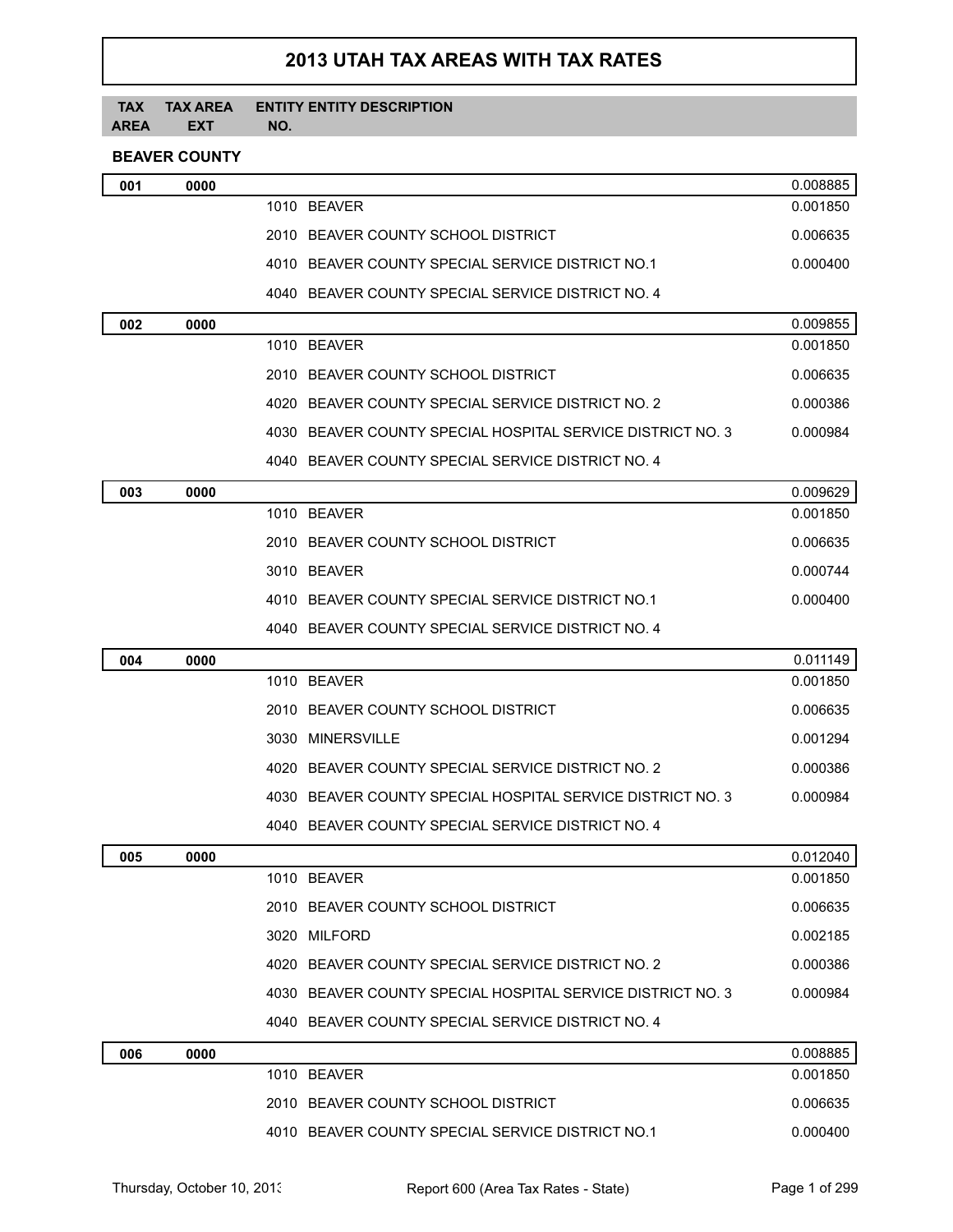# **2013 UTAH TAX AREAS WITH TAX RATES**

#### **TAX AREA TAX AREA EXT ENTITY ENTITY DESCRIPTION NO.**

# **BEAVER COUNTY**

| 001 | 0000 |                                                            | 0.008885 |
|-----|------|------------------------------------------------------------|----------|
|     |      | 1010 BEAVER                                                | 0.001850 |
|     |      | 2010 BEAVER COUNTY SCHOOL DISTRICT                         | 0.006635 |
|     |      | 4010 BEAVER COUNTY SPECIAL SERVICE DISTRICT NO.1           | 0.000400 |
|     |      | 4040 BEAVER COUNTY SPECIAL SERVICE DISTRICT NO. 4          |          |
| 002 | 0000 |                                                            | 0.009855 |
|     |      | 1010 BEAVER                                                | 0.001850 |
|     |      | 2010 BEAVER COUNTY SCHOOL DISTRICT                         | 0.006635 |
|     |      | 4020 BEAVER COUNTY SPECIAL SERVICE DISTRICT NO. 2          | 0.000386 |
|     |      | 4030 BEAVER COUNTY SPECIAL HOSPITAL SERVICE DISTRICT NO. 3 | 0.000984 |
|     |      | 4040 BEAVER COUNTY SPECIAL SERVICE DISTRICT NO. 4          |          |
| 003 | 0000 |                                                            | 0.009629 |
|     |      | 1010 BEAVER                                                | 0.001850 |
|     |      | 2010 BEAVER COUNTY SCHOOL DISTRICT                         | 0.006635 |
|     |      | 3010 BEAVER                                                | 0.000744 |
|     |      | 4010 BEAVER COUNTY SPECIAL SERVICE DISTRICT NO.1           | 0.000400 |
|     |      | 4040 BEAVER COUNTY SPECIAL SERVICE DISTRICT NO. 4          |          |
| 004 | 0000 |                                                            | 0.011149 |
|     |      | 1010 BEAVER                                                | 0.001850 |
|     |      | 2010 BEAVER COUNTY SCHOOL DISTRICT                         | 0.006635 |
|     |      | 3030 MINERSVILLE                                           | 0.001294 |
|     |      | 4020 BEAVER COUNTY SPECIAL SERVICE DISTRICT NO. 2          | 0.000386 |
|     |      | 4030 BEAVER COUNTY SPECIAL HOSPITAL SERVICE DISTRICT NO. 3 | 0.000984 |
|     |      | 4040 BEAVER COUNTY SPECIAL SERVICE DISTRICT NO. 4          |          |
| 005 | 0000 |                                                            | 0.012040 |
|     |      | 1010 BEAVER                                                | 0.001850 |
|     |      | 2010 BEAVER COUNTY SCHOOL DISTRICT                         | 0.006635 |
|     |      | 3020 MILFORD                                               | 0.002185 |
|     |      | 4020 BEAVER COUNTY SPECIAL SERVICE DISTRICT NO. 2          | 0.000386 |
|     |      | 4030 BEAVER COUNTY SPECIAL HOSPITAL SERVICE DISTRICT NO. 3 | 0.000984 |
|     |      | 4040 BEAVER COUNTY SPECIAL SERVICE DISTRICT NO. 4          |          |
| 006 | 0000 |                                                            | 0.008885 |
|     |      | 1010 BEAVER                                                | 0.001850 |
|     |      | 2010 BEAVER COUNTY SCHOOL DISTRICT                         | 0.006635 |
|     |      | 4010 BEAVER COUNTY SPECIAL SERVICE DISTRICT NO.1           | 0.000400 |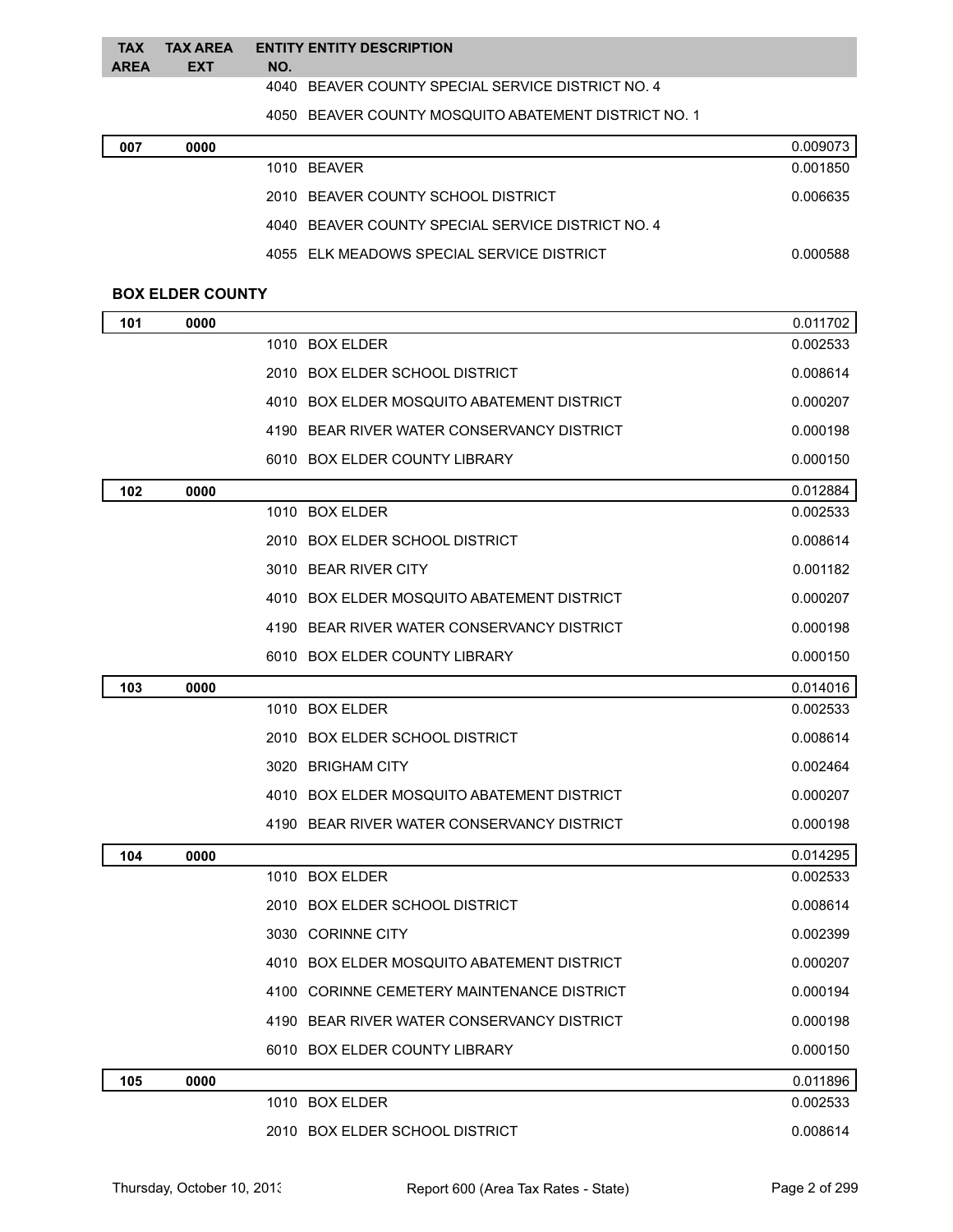| <b>\REA   EXT</b><br>NO. |  |
|--------------------------|--|

BEAVER COUNTY SPECIAL SERVICE DISTRICT NO. 4

BEAVER COUNTY MOSQUITO ABATEMENT DISTRICT NO. 1

| 007 | 0000 |                                                   | 0.009073 |
|-----|------|---------------------------------------------------|----------|
|     |      | 1010 BFAVFR                                       | 0.001850 |
|     |      | 2010 BEAVER COUNTY SCHOOL DISTRICT                | 0.006635 |
|     |      | 4040 BEAVER COUNTY SPECIAL SERVICE DISTRICT NO. 4 |          |
|     |      | 4055 ELK MEADOWS SPECIAL SERVICE DISTRICT         | 0.000588 |

## **BOX ELDER COUNTY**

A<sub>l</sub>

| 101 | 0000 |                                            | 0.011702 |
|-----|------|--------------------------------------------|----------|
|     |      | 1010 BOX ELDER                             | 0.002533 |
|     |      | 2010 BOX ELDER SCHOOL DISTRICT             | 0.008614 |
|     |      | 4010 BOX ELDER MOSQUITO ABATEMENT DISTRICT | 0.000207 |
|     |      | 4190 BEAR RIVER WATER CONSERVANCY DISTRICT | 0.000198 |
|     |      | 6010 BOX ELDER COUNTY LIBRARY              | 0.000150 |
| 102 | 0000 |                                            | 0.012884 |
|     |      | 1010 BOX ELDER                             | 0.002533 |
|     |      | 2010 BOX ELDER SCHOOL DISTRICT             | 0.008614 |
|     |      | 3010 BEAR RIVER CITY                       | 0.001182 |
|     |      | 4010 BOX ELDER MOSQUITO ABATEMENT DISTRICT | 0.000207 |
|     |      | 4190 BEAR RIVER WATER CONSERVANCY DISTRICT | 0.000198 |
|     |      | 6010 BOX ELDER COUNTY LIBRARY              | 0.000150 |
| 103 | 0000 |                                            | 0.014016 |
|     |      | 1010 BOX ELDER                             | 0.002533 |
|     |      | 2010 BOX ELDER SCHOOL DISTRICT             | 0.008614 |
|     |      | 3020 BRIGHAM CITY                          | 0.002464 |
|     |      | 4010 BOX ELDER MOSQUITO ABATEMENT DISTRICT | 0.000207 |
|     |      | 4190 BEAR RIVER WATER CONSERVANCY DISTRICT | 0.000198 |
| 104 | 0000 |                                            | 0.014295 |
|     |      | 1010 BOX ELDER                             | 0.002533 |
|     |      | 2010 BOX ELDER SCHOOL DISTRICT             | 0.008614 |
|     |      | 3030 CORINNE CITY                          | 0.002399 |
|     |      | 4010 BOX ELDER MOSQUITO ABATEMENT DISTRICT | 0.000207 |
|     |      | 4100 CORINNE CEMETERY MAINTENANCE DISTRICT | 0.000194 |
|     |      | 4190 BEAR RIVER WATER CONSERVANCY DISTRICT | 0.000198 |
|     |      | 6010 BOX ELDER COUNTY LIBRARY              | 0.000150 |
| 105 | 0000 |                                            | 0.011896 |
|     |      | 1010 BOX ELDER                             | 0.002533 |
|     |      | 2010 BOX ELDER SCHOOL DISTRICT             | 0.008614 |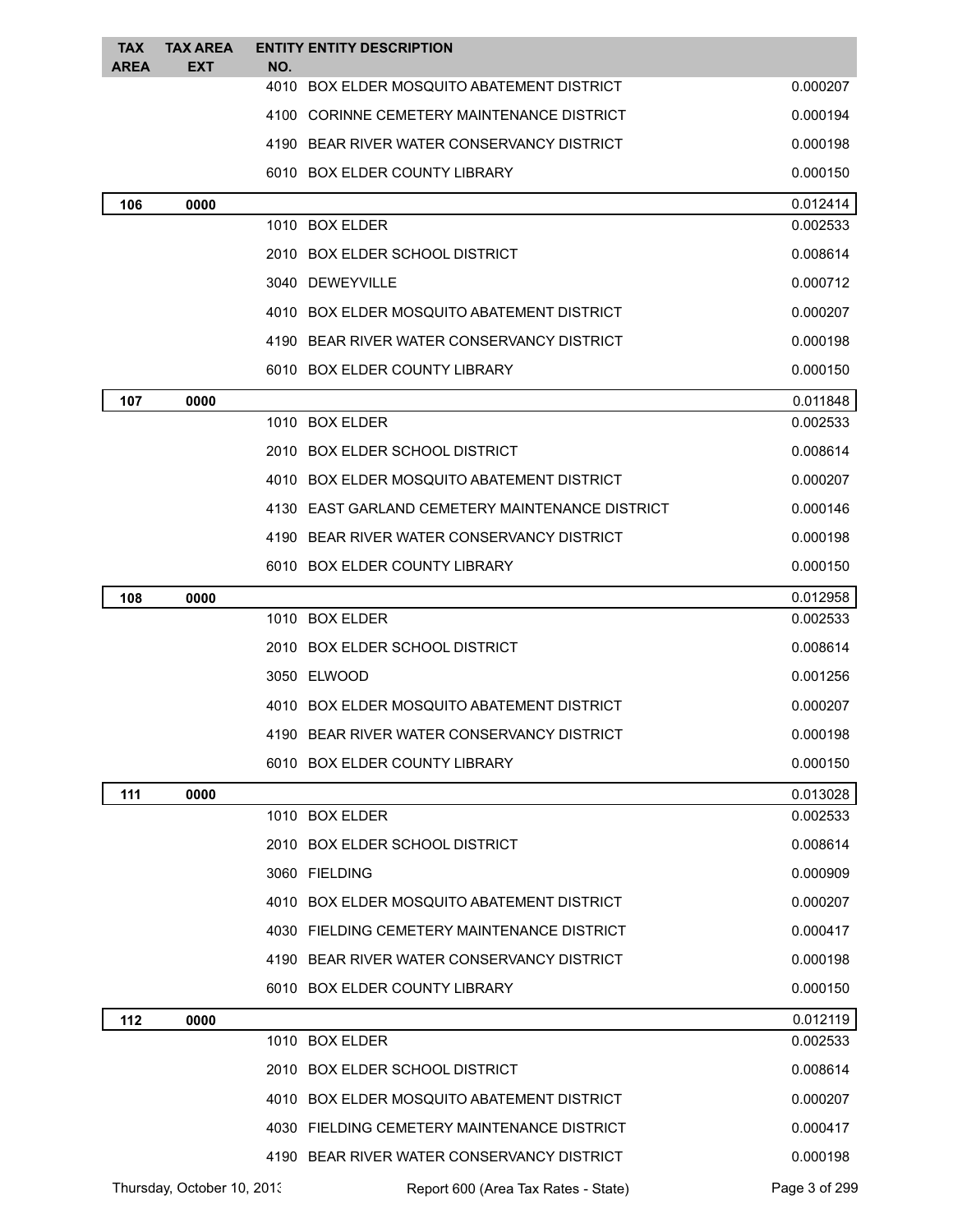| <b>TAX</b><br>AREA | <b>TAX AREA</b><br>EXT     | NO. | <b>ENTITY ENTITY DESCRIPTION</b>                |               |
|--------------------|----------------------------|-----|-------------------------------------------------|---------------|
|                    |                            |     | 4010 BOX ELDER MOSQUITO ABATEMENT DISTRICT      | 0.000207      |
|                    |                            |     | 4100 CORINNE CEMETERY MAINTENANCE DISTRICT      | 0.000194      |
|                    |                            |     | 4190 BEAR RIVER WATER CONSERVANCY DISTRICT      | 0.000198      |
|                    |                            |     | 6010 BOX ELDER COUNTY LIBRARY                   | 0.000150      |
| 106                | 0000                       |     |                                                 | 0.012414      |
|                    |                            |     | 1010 BOX ELDER                                  | 0.002533      |
|                    |                            |     | 2010 BOX ELDER SCHOOL DISTRICT                  | 0.008614      |
|                    |                            |     | 3040 DEWEYVILLE                                 | 0.000712      |
|                    |                            |     | 4010 BOX ELDER MOSQUITO ABATEMENT DISTRICT      | 0.000207      |
|                    |                            |     | 4190 BEAR RIVER WATER CONSERVANCY DISTRICT      | 0.000198      |
|                    |                            |     | 6010 BOX ELDER COUNTY LIBRARY                   | 0.000150      |
| 107                | 0000                       |     |                                                 | 0.011848      |
|                    |                            |     | 1010 BOX ELDER                                  | 0.002533      |
|                    |                            |     | 2010 BOX ELDER SCHOOL DISTRICT                  | 0.008614      |
|                    |                            |     | 4010 BOX ELDER MOSQUITO ABATEMENT DISTRICT      | 0.000207      |
|                    |                            |     | 4130 EAST GARLAND CEMETERY MAINTENANCE DISTRICT | 0.000146      |
|                    |                            |     | 4190 BEAR RIVER WATER CONSERVANCY DISTRICT      | 0.000198      |
|                    |                            |     | 6010 BOX ELDER COUNTY LIBRARY                   | 0.000150      |
| 108                | 0000                       |     |                                                 | 0.012958      |
|                    |                            |     | 1010 BOX ELDER                                  | 0.002533      |
|                    |                            |     | 2010 BOX ELDER SCHOOL DISTRICT                  | 0.008614      |
|                    |                            |     | 3050 ELWOOD                                     | 0.001256      |
|                    |                            |     | 4010 BOX ELDER MOSQUITO ABATEMENT DISTRICT      | 0.000207      |
|                    |                            |     | 4190 BEAR RIVER WATER CONSERVANCY DISTRICT      | 0.000198      |
|                    |                            |     | 6010 BOX ELDER COUNTY LIBRARY                   | 0.000150      |
| 111                | 0000                       |     |                                                 | 0.013028      |
|                    |                            |     | 1010 BOX ELDER                                  | 0.002533      |
|                    |                            |     | 2010 BOX ELDER SCHOOL DISTRICT                  | 0.008614      |
|                    |                            |     | 3060 FIELDING                                   | 0.000909      |
|                    |                            |     | 4010 BOX ELDER MOSQUITO ABATEMENT DISTRICT      | 0.000207      |
|                    |                            |     | 4030 FIELDING CEMETERY MAINTENANCE DISTRICT     | 0.000417      |
|                    |                            |     | 4190 BEAR RIVER WATER CONSERVANCY DISTRICT      | 0.000198      |
|                    |                            |     | 6010 BOX ELDER COUNTY LIBRARY                   | 0.000150      |
| 112                | 0000                       |     |                                                 | 0.012119      |
|                    |                            |     | 1010 BOX ELDER                                  | 0.002533      |
|                    |                            |     | 2010 BOX ELDER SCHOOL DISTRICT                  | 0.008614      |
|                    |                            |     | 4010 BOX ELDER MOSQUITO ABATEMENT DISTRICT      | 0.000207      |
|                    |                            |     | 4030 FIELDING CEMETERY MAINTENANCE DISTRICT     | 0.000417      |
|                    |                            |     | 4190 BEAR RIVER WATER CONSERVANCY DISTRICT      | 0.000198      |
|                    | Thursday, October 10, 2013 |     | Report 600 (Area Tax Rates - State)             | Page 3 of 299 |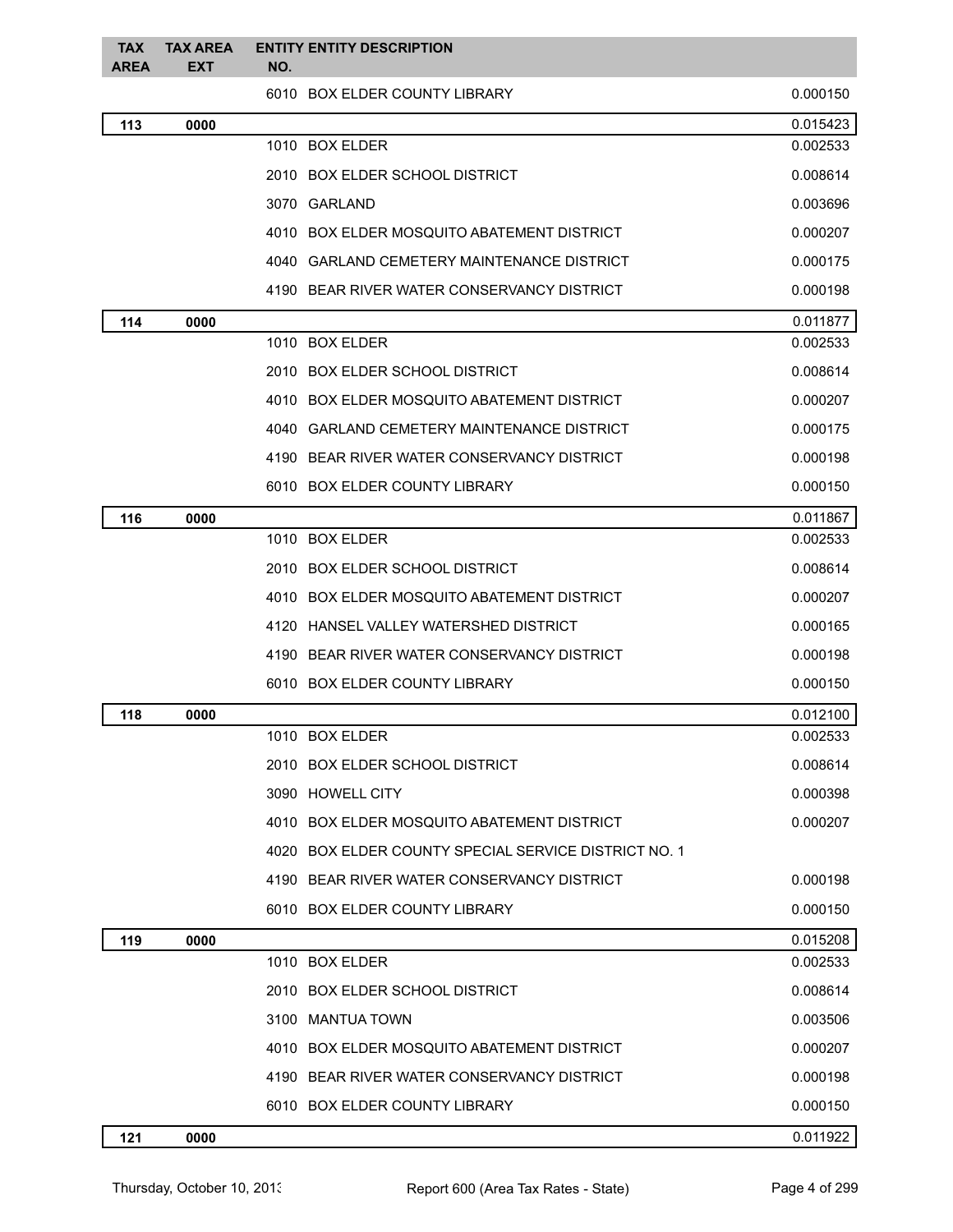| <b>TAX</b><br>AREA | <b>TAX AREA</b><br><b>EXT</b> | <b>ENTITY ENTITY DESCRIPTION</b><br>NO.              |          |
|--------------------|-------------------------------|------------------------------------------------------|----------|
|                    |                               | 6010 BOX ELDER COUNTY LIBRARY                        | 0.000150 |
| 113                | 0000                          |                                                      | 0.015423 |
|                    |                               | 1010 BOX ELDER                                       | 0.002533 |
|                    |                               | 2010 BOX ELDER SCHOOL DISTRICT                       | 0.008614 |
|                    |                               | 3070 GARLAND                                         | 0.003696 |
|                    |                               | 4010 BOX ELDER MOSQUITO ABATEMENT DISTRICT           | 0.000207 |
|                    |                               | 4040 GARLAND CEMETERY MAINTENANCE DISTRICT           | 0.000175 |
|                    |                               | 4190 BEAR RIVER WATER CONSERVANCY DISTRICT           | 0.000198 |
| 114                | 0000                          |                                                      | 0.011877 |
|                    |                               | 1010 BOX ELDER                                       | 0.002533 |
|                    |                               | 2010 BOX ELDER SCHOOL DISTRICT                       | 0.008614 |
|                    |                               | 4010 BOX ELDER MOSQUITO ABATEMENT DISTRICT           | 0.000207 |
|                    |                               | 4040 GARLAND CEMETERY MAINTENANCE DISTRICT           | 0.000175 |
|                    |                               | 4190 BEAR RIVER WATER CONSERVANCY DISTRICT           | 0.000198 |
|                    |                               | 6010 BOX ELDER COUNTY LIBRARY                        | 0.000150 |
| 116                | 0000                          |                                                      | 0.011867 |
|                    |                               | 1010 BOX ELDER                                       | 0.002533 |
|                    |                               | 2010 BOX ELDER SCHOOL DISTRICT                       | 0.008614 |
|                    |                               | 4010 BOX ELDER MOSQUITO ABATEMENT DISTRICT           | 0.000207 |
|                    |                               | 4120 HANSEL VALLEY WATERSHED DISTRICT                | 0.000165 |
|                    |                               | 4190 BEAR RIVER WATER CONSERVANCY DISTRICT           | 0.000198 |
|                    |                               | 6010 BOX ELDER COUNTY LIBRARY                        | 0.000150 |
| 118                | 0000                          |                                                      | 0.012100 |
|                    |                               | 1010 BOX ELDER                                       | 0.002533 |
|                    |                               | 2010 BOX ELDER SCHOOL DISTRICT                       | 0.008614 |
|                    |                               | 3090 HOWELL CITY                                     | 0.000398 |
|                    |                               | 4010 BOX ELDER MOSQUITO ABATEMENT DISTRICT           | 0.000207 |
|                    |                               | 4020 BOX ELDER COUNTY SPECIAL SERVICE DISTRICT NO. 1 |          |
|                    |                               | 4190 BEAR RIVER WATER CONSERVANCY DISTRICT           | 0.000198 |
|                    |                               | 6010 BOX ELDER COUNTY LIBRARY                        | 0.000150 |
| 119                | 0000                          |                                                      | 0.015208 |
|                    |                               | 1010 BOX ELDER                                       | 0.002533 |
|                    |                               | 2010 BOX ELDER SCHOOL DISTRICT                       | 0.008614 |
|                    |                               | 3100 MANTUA TOWN                                     | 0.003506 |
|                    |                               | 4010 BOX ELDER MOSQUITO ABATEMENT DISTRICT           | 0.000207 |
|                    |                               | 4190 BEAR RIVER WATER CONSERVANCY DISTRICT           | 0.000198 |
|                    |                               | 6010 BOX ELDER COUNTY LIBRARY                        | 0.000150 |
| 121                | 0000                          |                                                      | 0.011922 |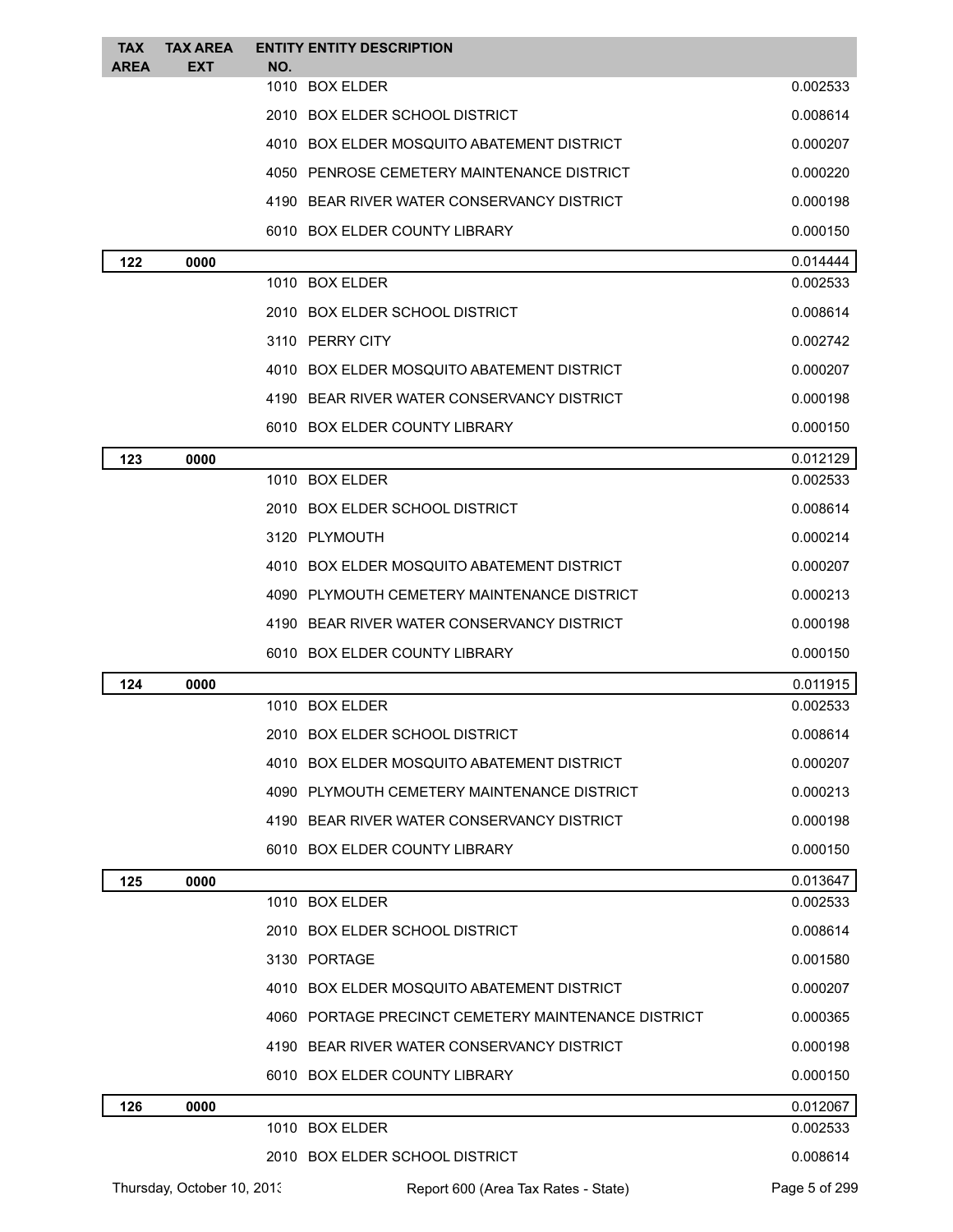| <b>TAX</b><br><b>AREA</b> | <b>TAX AREA</b><br><b>EXT</b> | NO. | <b>ENTITY ENTITY DESCRIPTION</b>                    |                      |
|---------------------------|-------------------------------|-----|-----------------------------------------------------|----------------------|
|                           |                               |     | 1010 BOX ELDER                                      | 0.002533             |
|                           |                               |     | 2010 BOX ELDER SCHOOL DISTRICT                      | 0.008614             |
|                           |                               |     | 4010 BOX ELDER MOSQUITO ABATEMENT DISTRICT          | 0.000207             |
|                           |                               |     | 4050 PENROSE CEMETERY MAINTENANCE DISTRICT          | 0.000220             |
|                           |                               |     | 4190 BEAR RIVER WATER CONSERVANCY DISTRICT          | 0.000198             |
|                           |                               |     | 6010 BOX ELDER COUNTY LIBRARY                       | 0.000150             |
| 122                       | 0000                          |     |                                                     | 0.014444             |
|                           |                               |     | 1010 BOX ELDER                                      | 0.002533             |
|                           |                               |     | 2010 BOX ELDER SCHOOL DISTRICT                      | 0.008614             |
|                           |                               |     | 3110 PERRY CITY                                     | 0.002742             |
|                           |                               |     | 4010 BOX ELDER MOSQUITO ABATEMENT DISTRICT          | 0.000207             |
|                           |                               |     | 4190 BEAR RIVER WATER CONSERVANCY DISTRICT          | 0.000198             |
|                           |                               |     | 6010 BOX ELDER COUNTY LIBRARY                       | 0.000150             |
| 123                       | 0000                          |     |                                                     | 0.012129             |
|                           |                               |     | 1010 BOX ELDER                                      | 0.002533             |
|                           |                               |     | 2010 BOX ELDER SCHOOL DISTRICT                      | 0.008614             |
|                           |                               |     | 3120 PLYMOUTH                                       | 0.000214             |
|                           |                               |     | 4010 BOX ELDER MOSQUITO ABATEMENT DISTRICT          | 0.000207             |
|                           |                               |     | 4090 PLYMOUTH CEMETERY MAINTENANCE DISTRICT         | 0.000213             |
|                           |                               |     | 4190 BEAR RIVER WATER CONSERVANCY DISTRICT          | 0.000198             |
|                           |                               |     | 6010 BOX ELDER COUNTY LIBRARY                       | 0.000150             |
| 124                       | 0000                          |     |                                                     | 0.011915             |
|                           |                               |     | 1010 BOX ELDER                                      | 0.002533             |
|                           |                               |     | 2010 BOX ELDER SCHOOL DISTRICT                      | 0.008614             |
|                           |                               |     | 4010 BOX ELDER MOSQUITO ABATEMENT DISTRICT          | 0.000207             |
|                           |                               |     | 4090 PLYMOUTH CEMETERY MAINTENANCE DISTRICT         | 0.000213             |
|                           |                               |     | 4190 BEAR RIVER WATER CONSERVANCY DISTRICT          | 0.000198             |
|                           |                               |     | 6010 BOX ELDER COUNTY LIBRARY                       | 0.000150             |
| 125                       | 0000                          |     | 1010 BOX ELDER                                      | 0.013647<br>0.002533 |
|                           |                               |     | 2010 BOX ELDER SCHOOL DISTRICT                      | 0.008614             |
|                           |                               |     | 3130 PORTAGE                                        | 0.001580             |
|                           |                               |     | 4010 BOX ELDER MOSQUITO ABATEMENT DISTRICT          | 0.000207             |
|                           |                               |     | 4060 PORTAGE PRECINCT CEMETERY MAINTENANCE DISTRICT | 0.000365             |
|                           |                               |     | 4190 BEAR RIVER WATER CONSERVANCY DISTRICT          | 0.000198             |
|                           |                               |     | 6010 BOX ELDER COUNTY LIBRARY                       | 0.000150             |
| 126                       | 0000                          |     |                                                     | 0.012067             |
|                           |                               |     | 1010 BOX ELDER                                      | 0.002533             |
|                           |                               |     | 2010 BOX ELDER SCHOOL DISTRICT                      | 0.008614             |
|                           | Thursday, October 10, 2013    |     | Report 600 (Area Tax Rates - State)                 | Page 5 of 299        |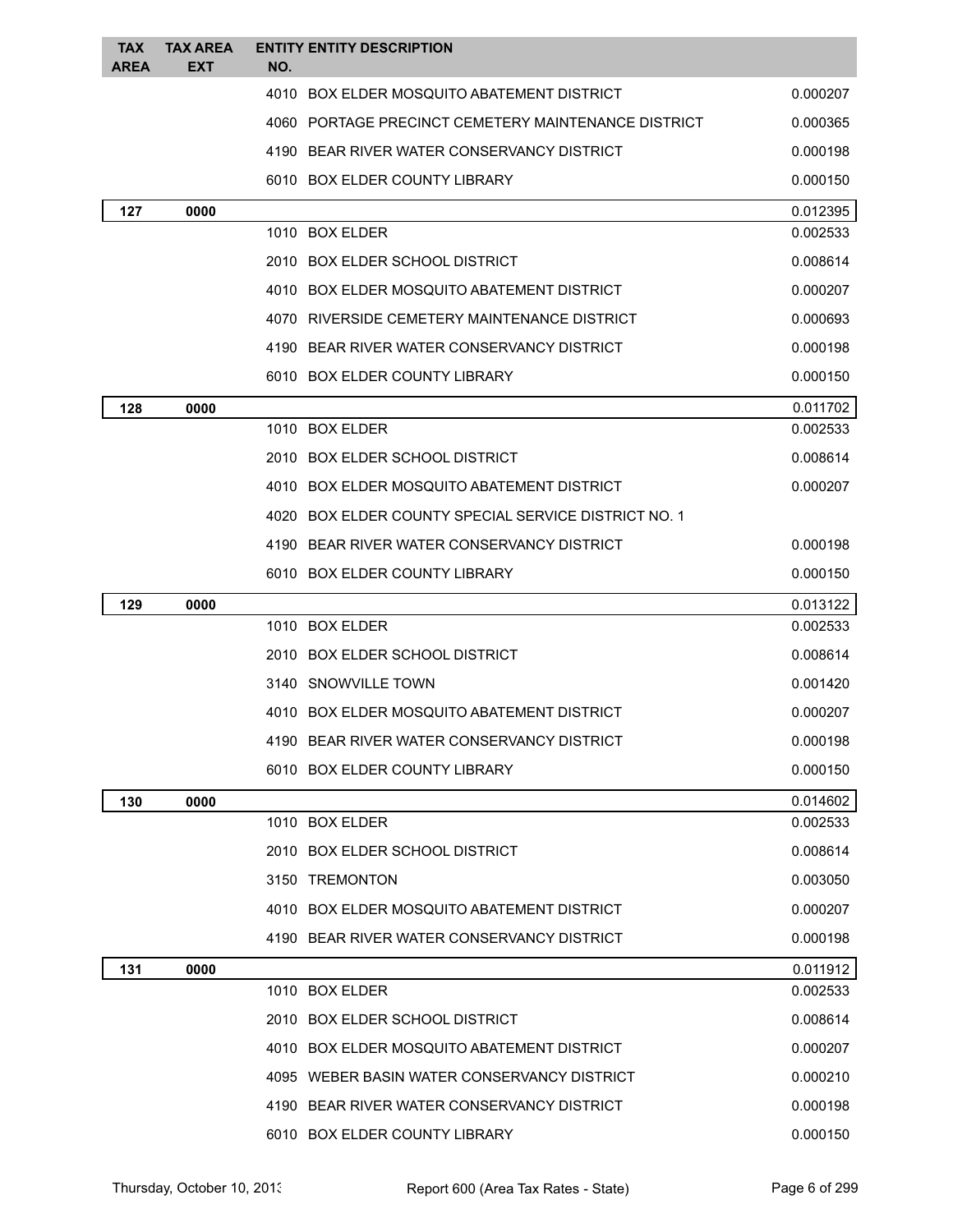| <b>TAX</b><br><b>AREA</b> | <b>TAX AREA</b><br>EXT | <b>ENTITY ENTITY DESCRIPTION</b><br>NO.              |                      |
|---------------------------|------------------------|------------------------------------------------------|----------------------|
|                           |                        | 4010 BOX ELDER MOSQUITO ABATEMENT DISTRICT           | 0.000207             |
|                           |                        | 4060 PORTAGE PRECINCT CEMETERY MAINTENANCE DISTRICT  | 0.000365             |
|                           |                        | 4190 BEAR RIVER WATER CONSERVANCY DISTRICT           | 0.000198             |
|                           |                        | 6010 BOX ELDER COUNTY LIBRARY                        | 0.000150             |
| 127                       | 0000                   |                                                      | 0.012395             |
|                           |                        | 1010 BOX ELDER                                       | 0.002533             |
|                           |                        | 2010 BOX ELDER SCHOOL DISTRICT                       | 0.008614             |
|                           |                        | 4010 BOX ELDER MOSQUITO ABATEMENT DISTRICT           | 0.000207             |
|                           |                        | 4070 RIVERSIDE CEMETERY MAINTENANCE DISTRICT         | 0.000693             |
|                           |                        | 4190 BEAR RIVER WATER CONSERVANCY DISTRICT           | 0.000198             |
|                           |                        | 6010 BOX ELDER COUNTY LIBRARY                        | 0.000150             |
| 128                       | 0000                   |                                                      | 0.011702             |
|                           |                        | 1010 BOX ELDER                                       | 0.002533             |
|                           |                        | 2010 BOX ELDER SCHOOL DISTRICT                       | 0.008614             |
|                           |                        | 4010 BOX ELDER MOSQUITO ABATEMENT DISTRICT           | 0.000207             |
|                           |                        | 4020 BOX ELDER COUNTY SPECIAL SERVICE DISTRICT NO. 1 |                      |
|                           |                        | 4190 BEAR RIVER WATER CONSERVANCY DISTRICT           | 0.000198             |
|                           |                        | 6010 BOX ELDER COUNTY LIBRARY                        | 0.000150             |
| 129                       | 0000                   |                                                      | 0.013122             |
|                           |                        | 1010 BOX ELDER                                       | 0.002533             |
|                           |                        | 2010 BOX ELDER SCHOOL DISTRICT                       | 0.008614             |
|                           |                        | 3140 SNOWVILLE TOWN                                  | 0.001420             |
|                           |                        | 4010 BOX ELDER MOSQUITO ABATEMENT DISTRICT           | 0.000207             |
|                           |                        | 4190 BEAR RIVER WATER CONSERVANCY DISTRICT           | 0.000198             |
|                           |                        | 6010 BOX ELDER COUNTY LIBRARY                        | 0.000150             |
| 130                       | 0000                   |                                                      | 0.014602             |
|                           |                        | 1010 BOX ELDER                                       | 0.002533             |
|                           |                        | 2010 BOX ELDER SCHOOL DISTRICT                       | 0.008614             |
|                           |                        | 3150 TREMONTON                                       | 0.003050             |
|                           |                        | 4010 BOX ELDER MOSQUITO ABATEMENT DISTRICT           | 0.000207             |
|                           |                        | 4190 BEAR RIVER WATER CONSERVANCY DISTRICT           | 0.000198             |
| 131                       | 0000                   |                                                      | 0.011912<br>0.002533 |
|                           |                        | 1010 BOX ELDER<br>2010 BOX ELDER SCHOOL DISTRICT     |                      |
|                           |                        | 4010 BOX ELDER MOSQUITO ABATEMENT DISTRICT           | 0.008614<br>0.000207 |
|                           |                        | 4095 WEBER BASIN WATER CONSERVANCY DISTRICT          | 0.000210             |
|                           |                        | 4190 BEAR RIVER WATER CONSERVANCY DISTRICT           | 0.000198             |
|                           |                        |                                                      |                      |
|                           |                        | 6010 BOX ELDER COUNTY LIBRARY                        | 0.000150             |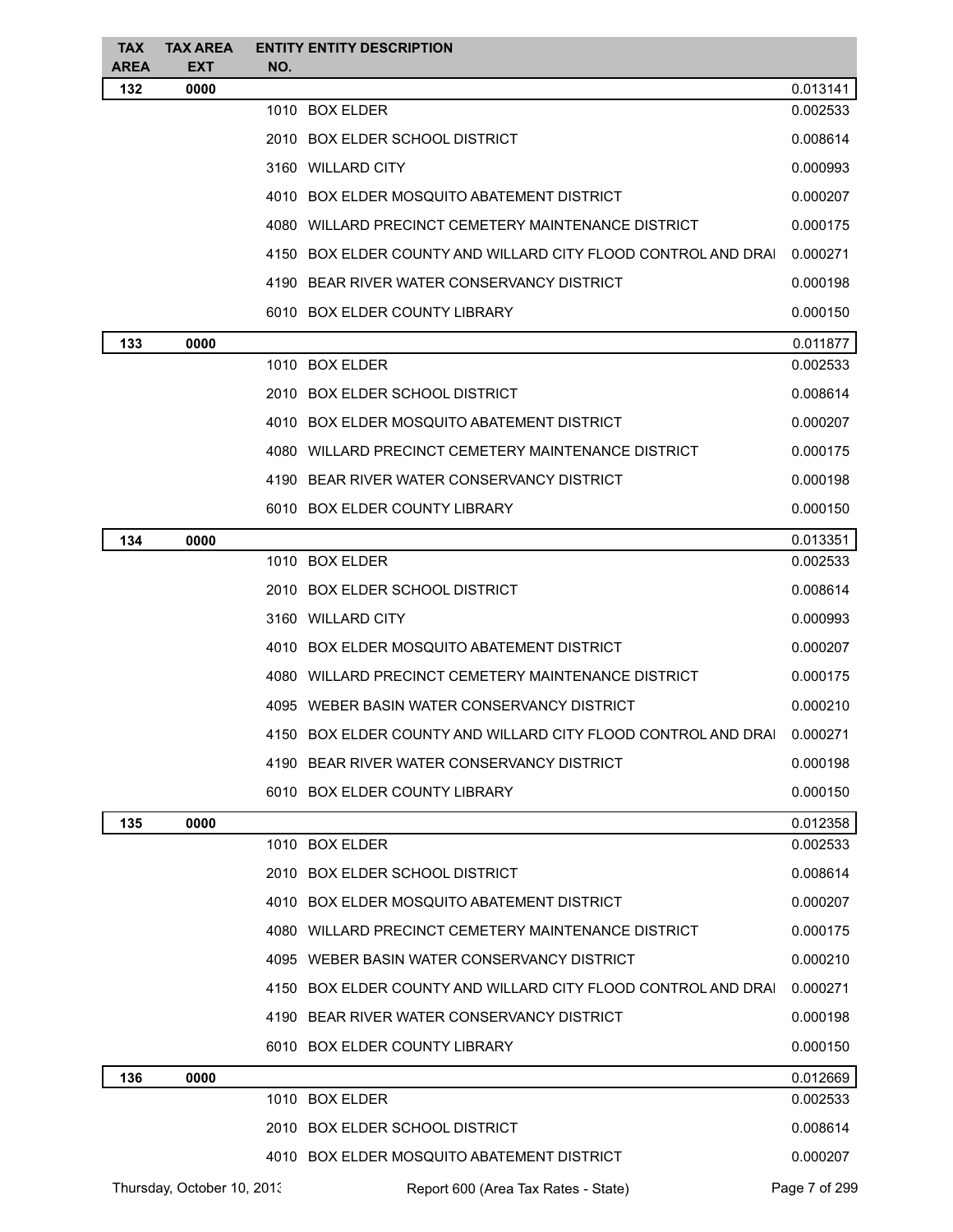| <b>TAX</b><br><b>AREA</b> | <b>TAX AREA</b><br>EXT     | NO. | <b>ENTITY ENTITY DESCRIPTION</b>                              |               |
|---------------------------|----------------------------|-----|---------------------------------------------------------------|---------------|
| 132                       | 0000                       |     |                                                               | 0.013141      |
|                           |                            |     | 1010 BOX ELDER                                                | 0.002533      |
|                           |                            |     | 2010 BOX ELDER SCHOOL DISTRICT                                | 0.008614      |
|                           |                            |     | 3160 WILLARD CITY                                             | 0.000993      |
|                           |                            |     | 4010 BOX ELDER MOSQUITO ABATEMENT DISTRICT                    | 0.000207      |
|                           |                            |     | 4080 WILLARD PRECINCT CEMETERY MAINTENANCE DISTRICT           | 0.000175      |
|                           |                            |     | 4150 BOX ELDER COUNTY AND WILLARD CITY FLOOD CONTROL AND DRAI | 0.000271      |
|                           |                            |     | 4190 BEAR RIVER WATER CONSERVANCY DISTRICT                    | 0.000198      |
|                           |                            |     | 6010 BOX ELDER COUNTY LIBRARY                                 | 0.000150      |
| 133                       | 0000                       |     |                                                               | 0.011877      |
|                           |                            |     | 1010 BOX ELDER                                                | 0.002533      |
|                           |                            |     | 2010 BOX ELDER SCHOOL DISTRICT                                | 0.008614      |
|                           |                            |     | 4010 BOX ELDER MOSQUITO ABATEMENT DISTRICT                    | 0.000207      |
|                           |                            |     | 4080 WILLARD PRECINCT CEMETERY MAINTENANCE DISTRICT           | 0.000175      |
|                           |                            |     | 4190 BEAR RIVER WATER CONSERVANCY DISTRICT                    | 0.000198      |
|                           |                            |     | 6010 BOX ELDER COUNTY LIBRARY                                 | 0.000150      |
| 134                       | 0000                       |     |                                                               | 0.013351      |
|                           |                            |     | 1010 BOX ELDER                                                | 0.002533      |
|                           |                            |     | 2010 BOX ELDER SCHOOL DISTRICT                                | 0.008614      |
|                           |                            |     | 3160 WILLARD CITY                                             | 0.000993      |
|                           |                            |     | 4010 BOX ELDER MOSQUITO ABATEMENT DISTRICT                    | 0.000207      |
|                           |                            |     | 4080 WILLARD PRECINCT CEMETERY MAINTENANCE DISTRICT           | 0.000175      |
|                           |                            |     | 4095 WEBER BASIN WATER CONSERVANCY DISTRICT                   | 0.000210      |
|                           |                            |     | 4150 BOX ELDER COUNTY AND WILLARD CITY FLOOD CONTROL AND DRAI | 0.000271      |
|                           |                            |     | 4190 BEAR RIVER WATER CONSERVANCY DISTRICT                    | 0.000198      |
|                           |                            |     | 6010 BOX ELDER COUNTY LIBRARY                                 | 0.000150      |
| 135                       | 0000                       |     |                                                               | 0.012358      |
|                           |                            |     | 1010 BOX ELDER                                                | 0.002533      |
|                           |                            |     | 2010 BOX ELDER SCHOOL DISTRICT                                | 0.008614      |
|                           |                            |     | 4010 BOX ELDER MOSQUITO ABATEMENT DISTRICT                    | 0.000207      |
|                           |                            |     | 4080 WILLARD PRECINCT CEMETERY MAINTENANCE DISTRICT           | 0.000175      |
|                           |                            |     | 4095 WEBER BASIN WATER CONSERVANCY DISTRICT                   | 0.000210      |
|                           |                            |     | 4150 BOX ELDER COUNTY AND WILLARD CITY FLOOD CONTROL AND DRAI | 0.000271      |
|                           |                            |     | 4190 BEAR RIVER WATER CONSERVANCY DISTRICT                    | 0.000198      |
|                           |                            |     | 6010 BOX ELDER COUNTY LIBRARY                                 | 0.000150      |
| 136                       | 0000                       |     |                                                               | 0.012669      |
|                           |                            |     | 1010 BOX ELDER                                                | 0.002533      |
|                           |                            |     | 2010 BOX ELDER SCHOOL DISTRICT                                | 0.008614      |
|                           |                            |     | 4010 BOX ELDER MOSQUITO ABATEMENT DISTRICT                    | 0.000207      |
|                           | Thursday, October 10, 2013 |     | Report 600 (Area Tax Rates - State)                           | Page 7 of 299 |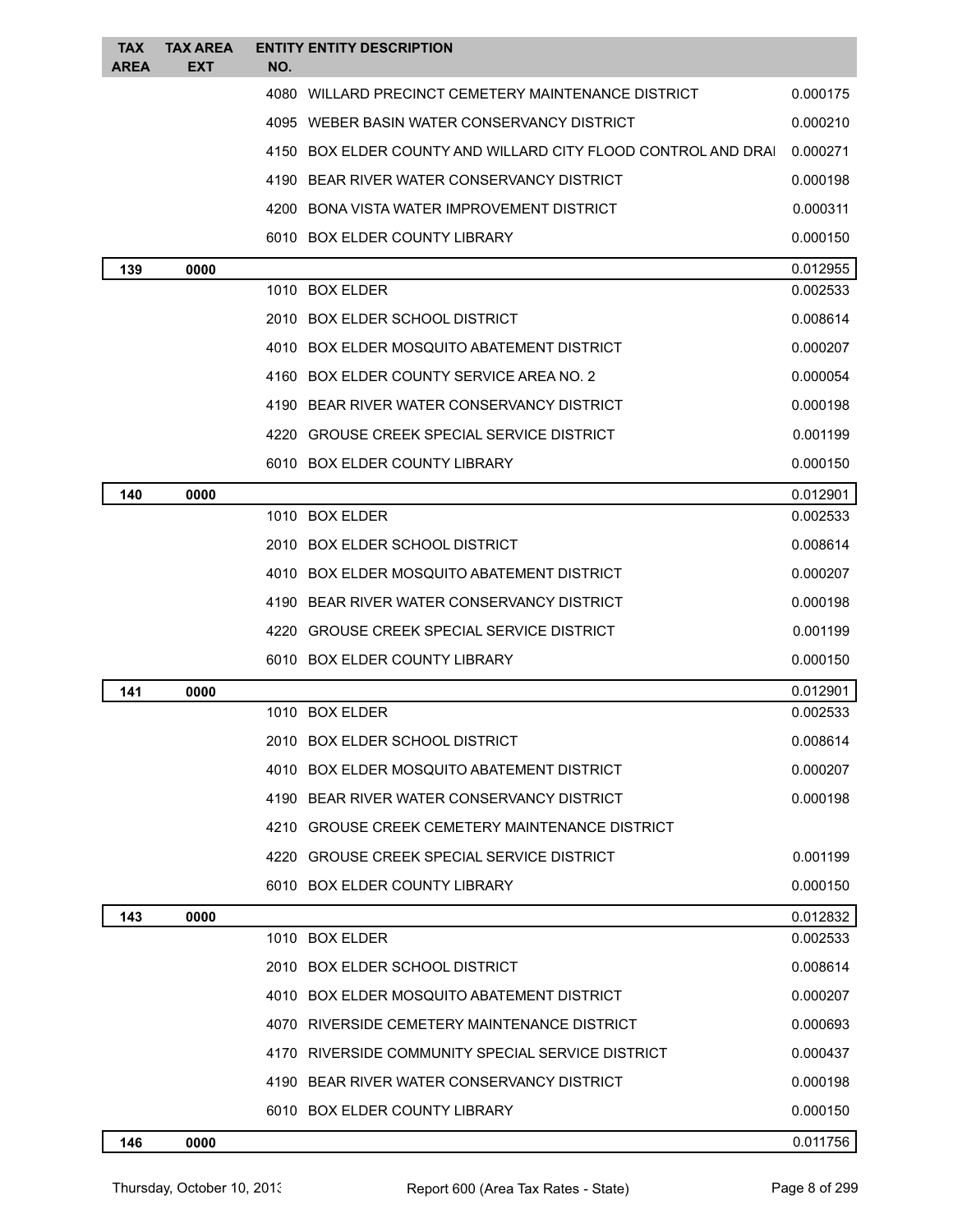| <b>TAX</b><br><b>AREA</b> | <b>TAX AREA</b><br><b>EXT</b> | <b>ENTITY ENTITY DESCRIPTION</b><br>NO.                       |          |
|---------------------------|-------------------------------|---------------------------------------------------------------|----------|
|                           |                               | 4080 WILLARD PRECINCT CEMETERY MAINTENANCE DISTRICT           | 0.000175 |
|                           |                               | 4095 WEBER BASIN WATER CONSERVANCY DISTRICT                   | 0.000210 |
|                           |                               | 4150 BOX ELDER COUNTY AND WILLARD CITY FLOOD CONTROL AND DRAI | 0.000271 |
|                           |                               | 4190 BEAR RIVER WATER CONSERVANCY DISTRICT                    | 0.000198 |
|                           |                               | 4200 BONA VISTA WATER IMPROVEMENT DISTRICT                    | 0.000311 |
|                           |                               | 6010 BOX ELDER COUNTY LIBRARY                                 | 0.000150 |
| 139                       | 0000                          |                                                               | 0.012955 |
|                           |                               | 1010 BOX ELDER                                                | 0.002533 |
|                           |                               | 2010 BOX ELDER SCHOOL DISTRICT                                | 0.008614 |
|                           |                               | 4010 BOX ELDER MOSQUITO ABATEMENT DISTRICT                    | 0.000207 |
|                           |                               | 4160 BOX ELDER COUNTY SERVICE AREA NO. 2                      | 0.000054 |
|                           |                               | 4190 BEAR RIVER WATER CONSERVANCY DISTRICT                    | 0.000198 |
|                           |                               | 4220 GROUSE CREEK SPECIAL SERVICE DISTRICT                    | 0.001199 |
|                           |                               | 6010 BOX ELDER COUNTY LIBRARY                                 | 0.000150 |
| 140                       | 0000                          |                                                               | 0.012901 |
|                           |                               | 1010 BOX ELDER                                                | 0.002533 |
|                           |                               | 2010 BOX ELDER SCHOOL DISTRICT                                | 0.008614 |
|                           |                               | 4010 BOX ELDER MOSQUITO ABATEMENT DISTRICT                    | 0.000207 |
|                           |                               | 4190 BEAR RIVER WATER CONSERVANCY DISTRICT                    | 0.000198 |
|                           |                               | 4220 GROUSE CREEK SPECIAL SERVICE DISTRICT                    | 0.001199 |
|                           |                               | 6010 BOX ELDER COUNTY LIBRARY                                 | 0.000150 |
| 141                       | 0000                          |                                                               | 0.012901 |
|                           |                               | 1010 BOX ELDER                                                | 0.002533 |
|                           |                               | 2010 BOX ELDER SCHOOL DISTRICT                                | 0.008614 |
|                           |                               | 4010 BOX ELDER MOSQUITO ABATEMENT DISTRICT                    | 0.000207 |
|                           |                               | 4190 BEAR RIVER WATER CONSERVANCY DISTRICT                    | 0.000198 |
|                           |                               | 4210 GROUSE CREEK CEMETERY MAINTENANCE DISTRICT               |          |
|                           |                               | 4220 GROUSE CREEK SPECIAL SERVICE DISTRICT                    | 0.001199 |
|                           |                               | 6010 BOX ELDER COUNTY LIBRARY                                 | 0.000150 |
| 143                       | 0000                          |                                                               | 0.012832 |
|                           |                               | 1010 BOX ELDER                                                | 0.002533 |
|                           |                               | 2010 BOX ELDER SCHOOL DISTRICT                                | 0.008614 |
|                           |                               | 4010 BOX ELDER MOSQUITO ABATEMENT DISTRICT                    | 0.000207 |
|                           |                               | 4070 RIVERSIDE CEMETERY MAINTENANCE DISTRICT                  | 0.000693 |
|                           |                               | 4170 RIVERSIDE COMMUNITY SPECIAL SERVICE DISTRICT             | 0.000437 |
|                           |                               | 4190 BEAR RIVER WATER CONSERVANCY DISTRICT                    | 0.000198 |
|                           |                               | 6010 BOX ELDER COUNTY LIBRARY                                 | 0.000150 |
| 146                       | 0000                          |                                                               | 0.011756 |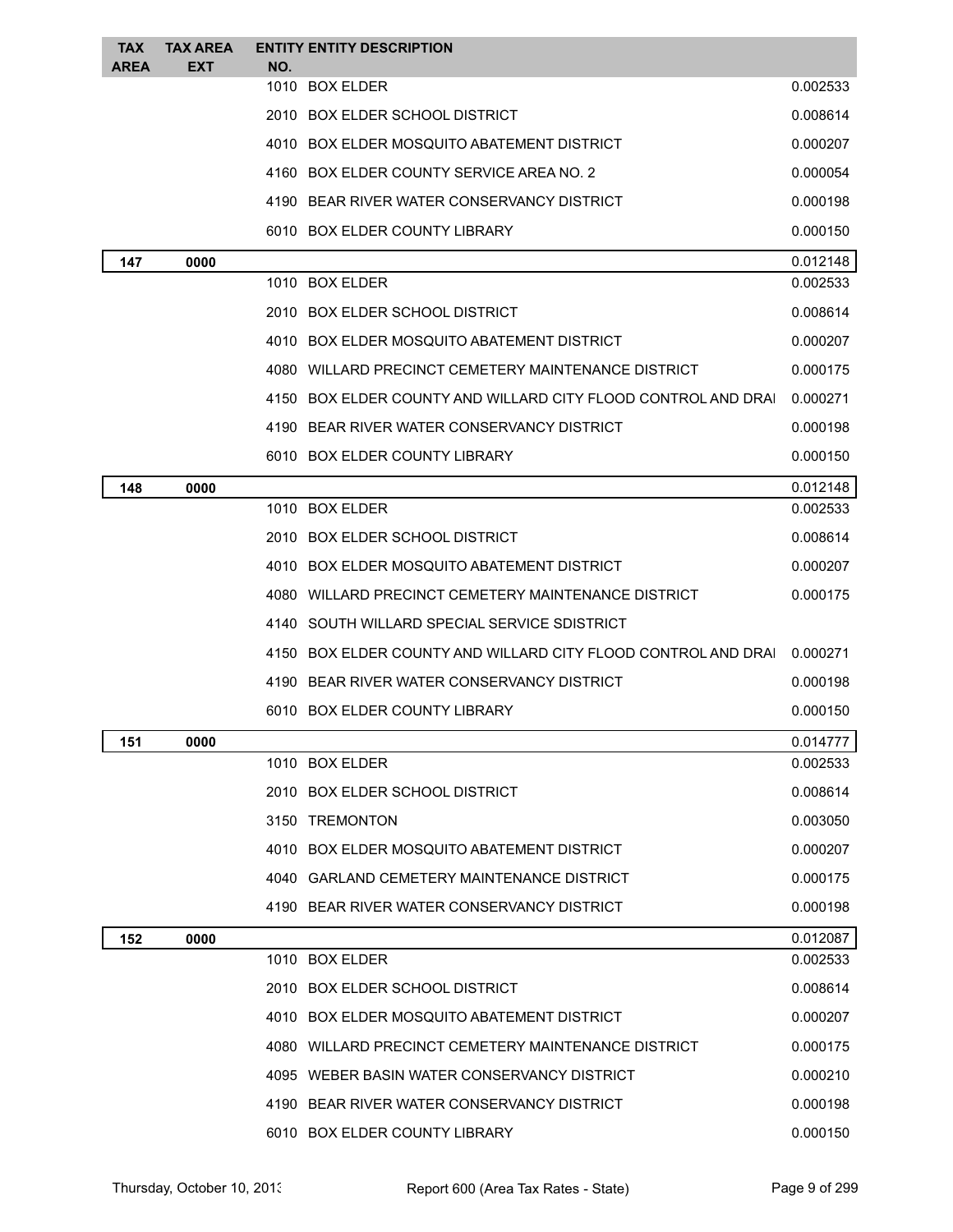| <b>TAX</b><br><b>AREA</b> | <b>TAX AREA</b><br><b>EXT</b> | NO. | <b>ENTITY ENTITY DESCRIPTION</b>                              |          |
|---------------------------|-------------------------------|-----|---------------------------------------------------------------|----------|
|                           |                               |     | 1010 BOX ELDER                                                | 0.002533 |
|                           |                               |     | 2010 BOX ELDER SCHOOL DISTRICT                                | 0.008614 |
|                           |                               |     | 4010 BOX ELDER MOSQUITO ABATEMENT DISTRICT                    | 0.000207 |
|                           |                               |     | 4160 BOX ELDER COUNTY SERVICE AREA NO. 2                      | 0.000054 |
|                           |                               |     | 4190 BEAR RIVER WATER CONSERVANCY DISTRICT                    | 0.000198 |
|                           |                               |     | 6010 BOX ELDER COUNTY LIBRARY                                 | 0.000150 |
| 147                       | 0000                          |     |                                                               | 0.012148 |
|                           |                               |     | 1010 BOX ELDER                                                | 0.002533 |
|                           |                               |     | 2010 BOX ELDER SCHOOL DISTRICT                                | 0.008614 |
|                           |                               |     | 4010 BOX ELDER MOSQUITO ABATEMENT DISTRICT                    | 0.000207 |
|                           |                               |     | 4080   WILLARD PRECINCT CEMETERY MAINTENANCE DISTRICT         | 0.000175 |
|                           |                               |     | 4150 BOX ELDER COUNTY AND WILLARD CITY FLOOD CONTROL AND DRAI | 0.000271 |
|                           |                               |     | 4190 BEAR RIVER WATER CONSERVANCY DISTRICT                    | 0.000198 |
|                           |                               |     | 6010 BOX ELDER COUNTY LIBRARY                                 | 0.000150 |
| 148                       | 0000                          |     |                                                               | 0.012148 |
|                           |                               |     | 1010 BOX ELDER                                                | 0.002533 |
|                           |                               |     | 2010 BOX ELDER SCHOOL DISTRICT                                | 0.008614 |
|                           |                               |     | 4010 BOX ELDER MOSQUITO ABATEMENT DISTRICT                    | 0.000207 |
|                           |                               |     | 4080   WILLARD PRECINCT CEMETERY MAINTENANCE DISTRICT         | 0.000175 |
|                           |                               |     | 4140 SOUTH WILLARD SPECIAL SERVICE SDISTRICT                  |          |
|                           |                               |     | 4150 BOX ELDER COUNTY AND WILLARD CITY FLOOD CONTROL AND DRAI | 0.000271 |
|                           |                               |     | 4190 BEAR RIVER WATER CONSERVANCY DISTRICT                    | 0.000198 |
|                           |                               |     | 6010 BOX ELDER COUNTY LIBRARY                                 | 0.000150 |
| 151                       | 0000                          |     |                                                               | 0.014777 |
|                           |                               |     | 1010 BOX ELDER                                                | 0.002533 |
|                           |                               |     | 2010 BOX ELDER SCHOOL DISTRICT                                | 0.008614 |
|                           |                               |     | 3150 TREMONTON                                                | 0.003050 |
|                           |                               |     | 4010 BOX ELDER MOSQUITO ABATEMENT DISTRICT                    | 0.000207 |
|                           |                               |     | 4040 GARLAND CEMETERY MAINTENANCE DISTRICT                    | 0.000175 |
|                           |                               |     | 4190 BEAR RIVER WATER CONSERVANCY DISTRICT                    | 0.000198 |
| 152                       | 0000                          |     |                                                               | 0.012087 |
|                           |                               |     | 1010 BOX ELDER                                                | 0.002533 |
|                           |                               |     | 2010 BOX ELDER SCHOOL DISTRICT                                | 0.008614 |
|                           |                               |     | 4010 BOX ELDER MOSQUITO ABATEMENT DISTRICT                    | 0.000207 |
|                           |                               |     | 4080   WILLARD PRECINCT CEMETERY MAINTENANCE DISTRICT         | 0.000175 |
|                           |                               |     | 4095 WEBER BASIN WATER CONSERVANCY DISTRICT                   | 0.000210 |
|                           |                               |     | 4190 BEAR RIVER WATER CONSERVANCY DISTRICT                    | 0.000198 |
|                           |                               |     | 6010 BOX ELDER COUNTY LIBRARY                                 | 0.000150 |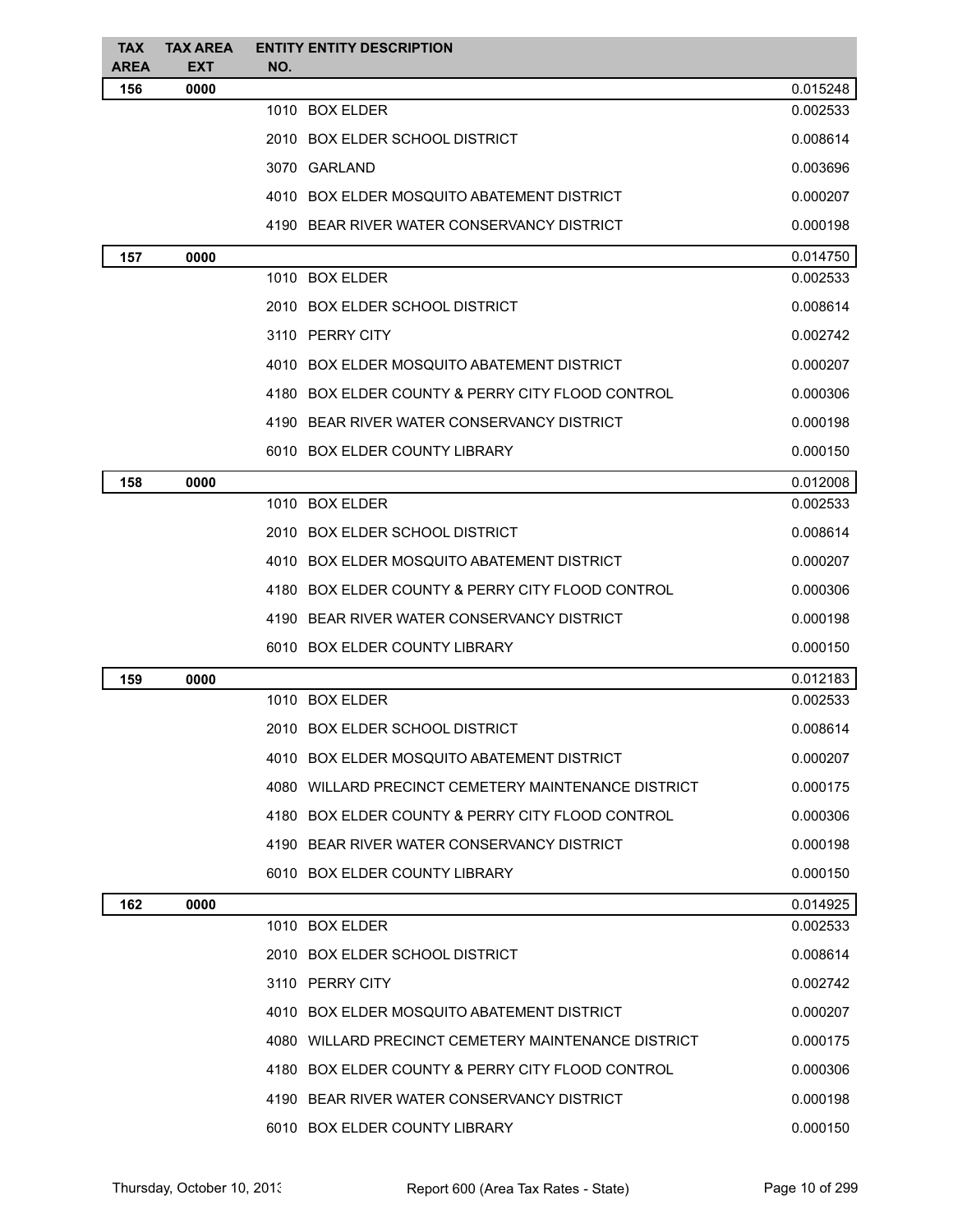| <b>TAX</b><br><b>AREA</b> | <b>TAX AREA</b><br><b>EXT</b> | <b>ENTITY ENTITY DESCRIPTION</b><br>NO.             |          |
|---------------------------|-------------------------------|-----------------------------------------------------|----------|
| 156                       | 0000                          |                                                     | 0.015248 |
|                           |                               | 1010 BOX ELDER                                      | 0.002533 |
|                           |                               | 2010 BOX ELDER SCHOOL DISTRICT                      | 0.008614 |
|                           |                               | 3070 GARLAND                                        | 0.003696 |
|                           |                               | 4010 BOX ELDER MOSQUITO ABATEMENT DISTRICT          | 0.000207 |
|                           |                               | 4190 BEAR RIVER WATER CONSERVANCY DISTRICT          | 0.000198 |
| 157                       | 0000                          |                                                     | 0.014750 |
|                           |                               | 1010 BOX ELDER                                      | 0.002533 |
|                           |                               | 2010 BOX ELDER SCHOOL DISTRICT                      | 0.008614 |
|                           |                               | 3110 PERRY CITY                                     | 0.002742 |
|                           |                               | 4010 BOX ELDER MOSQUITO ABATEMENT DISTRICT          | 0.000207 |
|                           |                               | 4180 BOX ELDER COUNTY & PERRY CITY FLOOD CONTROL    | 0.000306 |
|                           |                               | 4190 BEAR RIVER WATER CONSERVANCY DISTRICT          | 0.000198 |
|                           |                               | 6010 BOX ELDER COUNTY LIBRARY                       | 0.000150 |
| 158                       | 0000                          |                                                     | 0.012008 |
|                           |                               | 1010 BOX ELDER                                      | 0.002533 |
|                           |                               | 2010 BOX ELDER SCHOOL DISTRICT                      | 0.008614 |
|                           |                               | 4010 BOX ELDER MOSQUITO ABATEMENT DISTRICT          | 0.000207 |
|                           |                               | 4180 BOX ELDER COUNTY & PERRY CITY FLOOD CONTROL    | 0.000306 |
|                           |                               | 4190 BEAR RIVER WATER CONSERVANCY DISTRICT          | 0.000198 |
|                           |                               | 6010 BOX ELDER COUNTY LIBRARY                       | 0.000150 |
| 159                       | 0000                          |                                                     | 0.012183 |
|                           |                               | 1010 BOX ELDER                                      | 0.002533 |
|                           |                               | 2010 BOX ELDER SCHOOL DISTRICT                      | 0.008614 |
|                           |                               | 4010 BOX ELDER MOSQUITO ABATEMENT DISTRICT          | 0.000207 |
|                           |                               | 4080 WILLARD PRECINCT CEMETERY MAINTENANCE DISTRICT | 0.000175 |
|                           |                               | 4180 BOX ELDER COUNTY & PERRY CITY FLOOD CONTROL    | 0.000306 |
|                           |                               | 4190 BEAR RIVER WATER CONSERVANCY DISTRICT          | 0.000198 |
|                           |                               | 6010 BOX ELDER COUNTY LIBRARY                       | 0.000150 |
| 162                       | 0000                          |                                                     | 0.014925 |
|                           |                               | 1010 BOX ELDER                                      | 0.002533 |
|                           |                               | 2010 BOX ELDER SCHOOL DISTRICT                      | 0.008614 |
|                           |                               | 3110 PERRY CITY                                     | 0.002742 |
|                           |                               | 4010 BOX ELDER MOSQUITO ABATEMENT DISTRICT          | 0.000207 |
|                           |                               | 4080 WILLARD PRECINCT CEMETERY MAINTENANCE DISTRICT | 0.000175 |
|                           |                               | 4180 BOX ELDER COUNTY & PERRY CITY FLOOD CONTROL    | 0.000306 |
|                           |                               | 4190 BEAR RIVER WATER CONSERVANCY DISTRICT          | 0.000198 |
|                           |                               | 6010 BOX ELDER COUNTY LIBRARY                       | 0.000150 |
|                           |                               |                                                     |          |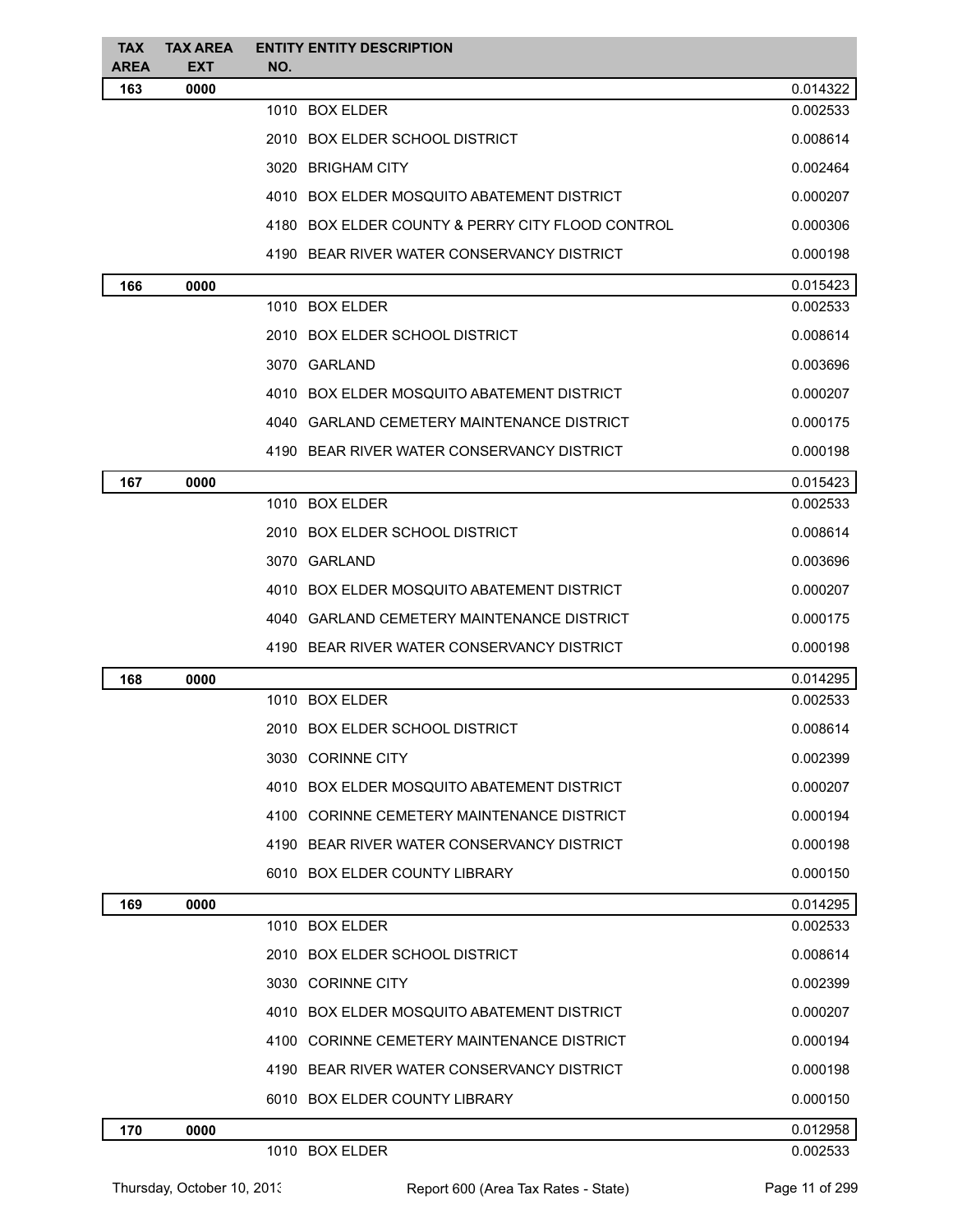| <b>TAX</b><br><b>AREA</b> | <b>TAX AREA</b><br><b>EXT</b> | <b>ENTITY ENTITY DESCRIPTION</b><br>NO.          |          |
|---------------------------|-------------------------------|--------------------------------------------------|----------|
| 163                       | 0000                          |                                                  | 0.014322 |
|                           |                               | 1010 BOX ELDER                                   | 0.002533 |
|                           |                               | 2010 BOX ELDER SCHOOL DISTRICT                   | 0.008614 |
|                           |                               | 3020 BRIGHAM CITY                                | 0.002464 |
|                           |                               | 4010 BOX ELDER MOSQUITO ABATEMENT DISTRICT       | 0.000207 |
|                           |                               | 4180 BOX ELDER COUNTY & PERRY CITY FLOOD CONTROL | 0.000306 |
|                           |                               | 4190 BEAR RIVER WATER CONSERVANCY DISTRICT       | 0.000198 |
| 166                       | 0000                          |                                                  | 0.015423 |
|                           |                               | 1010 BOX ELDER                                   | 0.002533 |
|                           |                               | 2010 BOX ELDER SCHOOL DISTRICT                   | 0.008614 |
|                           |                               | 3070 GARLAND                                     | 0.003696 |
|                           |                               | 4010 BOX ELDER MOSQUITO ABATEMENT DISTRICT       | 0.000207 |
|                           |                               | 4040 GARLAND CEMETERY MAINTENANCE DISTRICT       | 0.000175 |
|                           |                               | 4190 BEAR RIVER WATER CONSERVANCY DISTRICT       | 0.000198 |
| 167                       | 0000                          |                                                  | 0.015423 |
|                           |                               | 1010 BOX ELDER                                   | 0.002533 |
|                           |                               | 2010 BOX ELDER SCHOOL DISTRICT                   | 0.008614 |
|                           |                               | 3070 GARLAND                                     | 0.003696 |
|                           |                               | 4010 BOX ELDER MOSQUITO ABATEMENT DISTRICT       | 0.000207 |
|                           |                               | 4040 GARLAND CEMETERY MAINTENANCE DISTRICT       | 0.000175 |
|                           |                               | 4190 BEAR RIVER WATER CONSERVANCY DISTRICT       | 0.000198 |
| 168                       | 0000                          |                                                  | 0.014295 |
|                           |                               | 1010 BOX ELDER                                   | 0.002533 |
|                           |                               | 2010 BOX ELDER SCHOOL DISTRICT                   | 0.008614 |
|                           |                               | 3030 CORINNE CITY                                | 0.002399 |
|                           |                               | 4010 BOX ELDER MOSQUITO ABATEMENT DISTRICT       | 0.000207 |
|                           |                               | 4100 CORINNE CEMETERY MAINTENANCE DISTRICT       | 0.000194 |
|                           |                               | 4190 BEAR RIVER WATER CONSERVANCY DISTRICT       | 0.000198 |
|                           |                               | 6010 BOX ELDER COUNTY LIBRARY                    | 0.000150 |
| 169                       | 0000                          |                                                  | 0.014295 |
|                           |                               | 1010 BOX ELDER                                   | 0.002533 |
|                           |                               | 2010 BOX ELDER SCHOOL DISTRICT                   | 0.008614 |
|                           |                               | 3030 CORINNE CITY                                | 0.002399 |
|                           |                               | 4010 BOX ELDER MOSQUITO ABATEMENT DISTRICT       | 0.000207 |
|                           |                               | 4100 CORINNE CEMETERY MAINTENANCE DISTRICT       | 0.000194 |
|                           |                               | 4190 BEAR RIVER WATER CONSERVANCY DISTRICT       | 0.000198 |
|                           |                               | 6010 BOX ELDER COUNTY LIBRARY                    | 0.000150 |
| 170                       | 0000                          |                                                  | 0.012958 |
|                           |                               | 1010 BOX ELDER                                   | 0.002533 |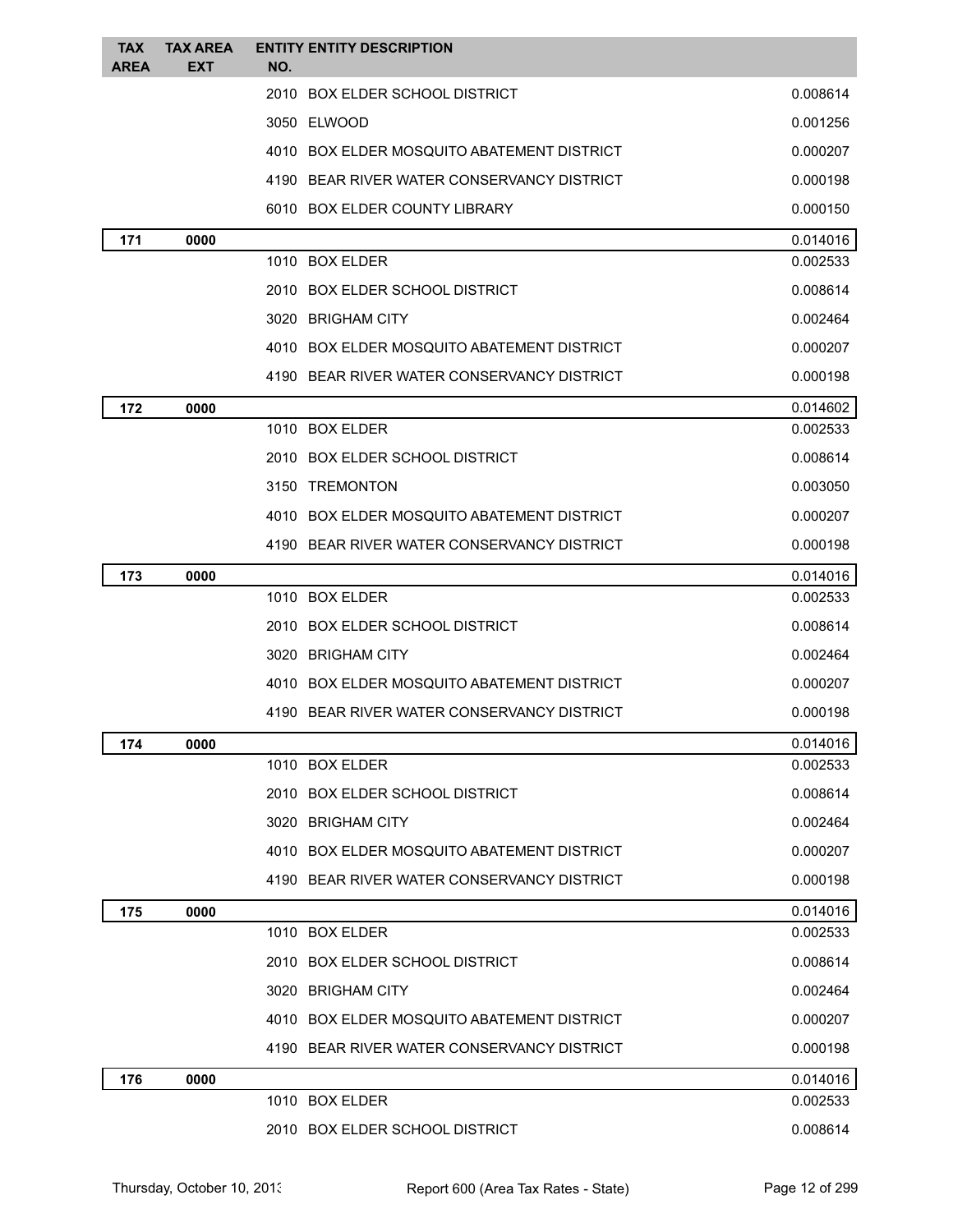| <b>TAX</b><br><b>AREA</b> | <b>TAX AREA</b><br><b>EXT</b> | <b>ENTITY ENTITY DESCRIPTION</b><br>NO.    |          |
|---------------------------|-------------------------------|--------------------------------------------|----------|
|                           |                               | 2010 BOX ELDER SCHOOL DISTRICT             | 0.008614 |
|                           |                               | 3050 ELWOOD                                | 0.001256 |
|                           |                               | 4010 BOX ELDER MOSQUITO ABATEMENT DISTRICT | 0.000207 |
|                           |                               | 4190 BEAR RIVER WATER CONSERVANCY DISTRICT | 0.000198 |
|                           |                               | 6010 BOX ELDER COUNTY LIBRARY              | 0.000150 |
| 171                       | 0000                          |                                            | 0.014016 |
|                           |                               | 1010 BOX ELDER                             | 0.002533 |
|                           |                               | 2010 BOX ELDER SCHOOL DISTRICT             | 0.008614 |
|                           |                               | 3020 BRIGHAM CITY                          | 0.002464 |
|                           |                               | 4010 BOX ELDER MOSQUITO ABATEMENT DISTRICT | 0.000207 |
|                           |                               | 4190 BEAR RIVER WATER CONSERVANCY DISTRICT | 0.000198 |
| 172                       | 0000                          |                                            | 0.014602 |
|                           |                               | 1010 BOX ELDER                             | 0.002533 |
|                           |                               | 2010 BOX ELDER SCHOOL DISTRICT             | 0.008614 |
|                           |                               | 3150 TREMONTON                             | 0.003050 |
|                           |                               | 4010 BOX ELDER MOSQUITO ABATEMENT DISTRICT | 0.000207 |
|                           |                               | 4190 BEAR RIVER WATER CONSERVANCY DISTRICT | 0.000198 |
| 173                       | 0000                          |                                            | 0.014016 |
|                           |                               | 1010 BOX ELDER                             | 0.002533 |
|                           |                               | 2010 BOX ELDER SCHOOL DISTRICT             | 0.008614 |
|                           |                               | 3020 BRIGHAM CITY                          | 0.002464 |
|                           |                               | 4010 BOX ELDER MOSQUITO ABATEMENT DISTRICT | 0.000207 |
|                           |                               | 4190 BEAR RIVER WATER CONSERVANCY DISTRICT | 0.000198 |
| 174                       | 0000                          |                                            | 0.014016 |
|                           |                               | 1010 BOX ELDER                             | 0.002533 |
|                           |                               | 2010 BOX ELDER SCHOOL DISTRICT             | 0.008614 |
|                           |                               | 3020 BRIGHAM CITY                          | 0.002464 |
|                           |                               | 4010 BOX ELDER MOSQUITO ABATEMENT DISTRICT | 0.000207 |
|                           |                               | 4190 BEAR RIVER WATER CONSERVANCY DISTRICT | 0.000198 |
| 175                       | 0000                          |                                            | 0.014016 |
|                           |                               | 1010 BOX ELDER                             | 0.002533 |
|                           |                               | 2010 BOX ELDER SCHOOL DISTRICT             | 0.008614 |
|                           |                               | 3020 BRIGHAM CITY                          | 0.002464 |
|                           |                               | 4010 BOX ELDER MOSQUITO ABATEMENT DISTRICT | 0.000207 |
|                           |                               | 4190 BEAR RIVER WATER CONSERVANCY DISTRICT | 0.000198 |
| 176                       | 0000                          |                                            | 0.014016 |
|                           |                               | 1010 BOX ELDER                             | 0.002533 |
|                           |                               | 2010 BOX ELDER SCHOOL DISTRICT             | 0.008614 |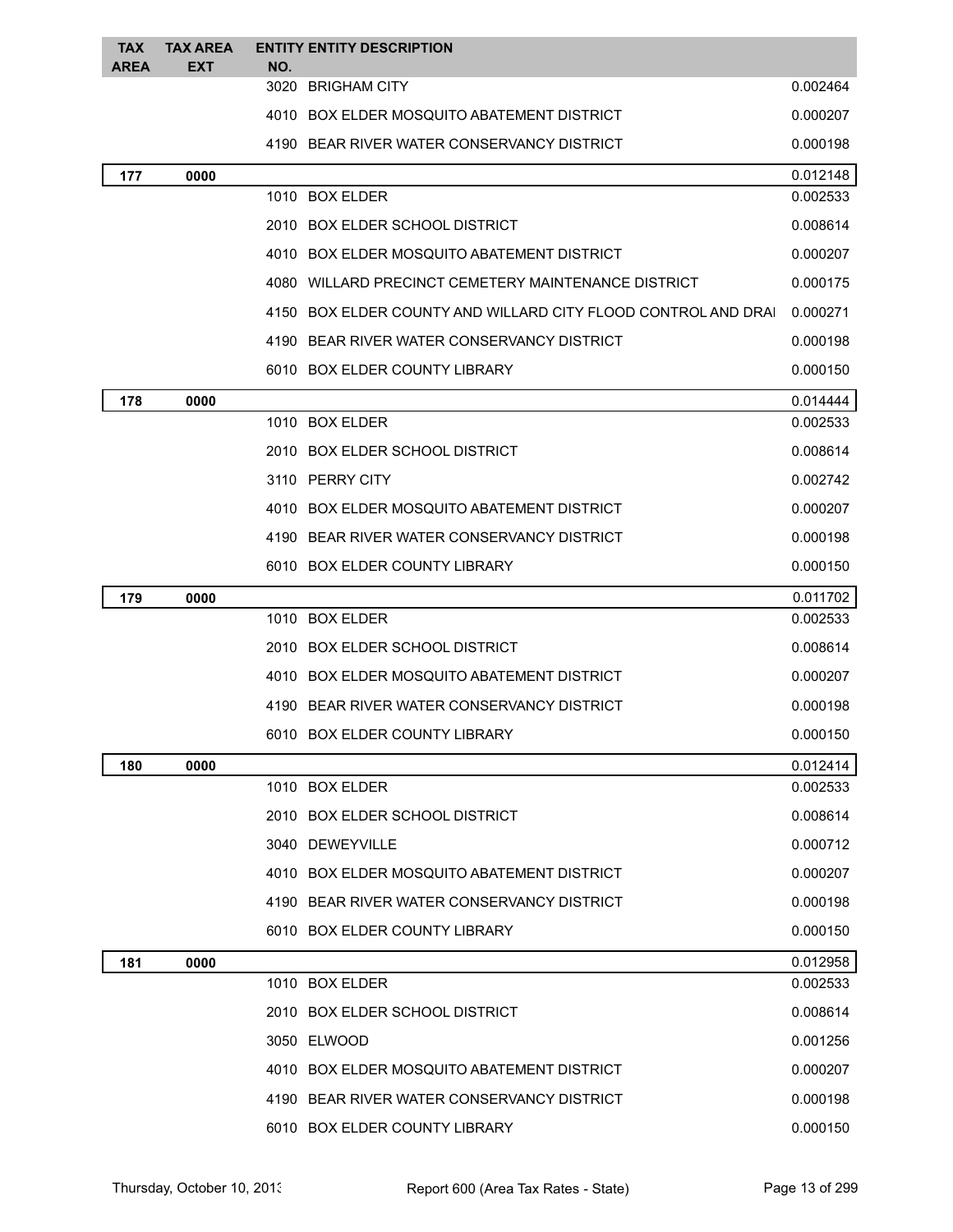| <b>TAX</b><br><b>AREA</b> | <b>TAX AREA</b><br><b>EXT</b> | NO. | <b>ENTITY ENTITY DESCRIPTION</b>                              |          |
|---------------------------|-------------------------------|-----|---------------------------------------------------------------|----------|
|                           |                               |     | 3020 BRIGHAM CITY                                             | 0.002464 |
|                           |                               |     | 4010 BOX ELDER MOSQUITO ABATEMENT DISTRICT                    | 0.000207 |
|                           |                               |     | 4190 BEAR RIVER WATER CONSERVANCY DISTRICT                    | 0.000198 |
| 177                       | 0000                          |     |                                                               | 0.012148 |
|                           |                               |     | 1010 BOX ELDER                                                | 0.002533 |
|                           |                               |     | 2010 BOX ELDER SCHOOL DISTRICT                                | 0.008614 |
|                           |                               |     | 4010 BOX ELDER MOSQUITO ABATEMENT DISTRICT                    | 0.000207 |
|                           |                               |     | 4080 WILLARD PRECINCT CEMETERY MAINTENANCE DISTRICT           | 0.000175 |
|                           |                               |     | 4150 BOX ELDER COUNTY AND WILLARD CITY FLOOD CONTROL AND DRAI | 0.000271 |
|                           |                               |     | 4190 BEAR RIVER WATER CONSERVANCY DISTRICT                    | 0.000198 |
|                           |                               |     | 6010 BOX ELDER COUNTY LIBRARY                                 | 0.000150 |
| 178                       | 0000                          |     |                                                               | 0.014444 |
|                           |                               |     | 1010 BOX ELDER                                                | 0.002533 |
|                           |                               |     | 2010 BOX ELDER SCHOOL DISTRICT                                | 0.008614 |
|                           |                               |     | 3110 PERRY CITY                                               | 0.002742 |
|                           |                               |     | 4010 BOX ELDER MOSQUITO ABATEMENT DISTRICT                    | 0.000207 |
|                           |                               |     | 4190 BEAR RIVER WATER CONSERVANCY DISTRICT                    | 0.000198 |
|                           |                               |     | 6010 BOX ELDER COUNTY LIBRARY                                 | 0.000150 |
| 179                       | 0000                          |     |                                                               | 0.011702 |
|                           |                               |     | 1010 BOX ELDER                                                | 0.002533 |
|                           |                               |     | 2010 BOX ELDER SCHOOL DISTRICT                                | 0.008614 |
|                           |                               |     | 4010 BOX ELDER MOSQUITO ABATEMENT DISTRICT                    | 0.000207 |
|                           |                               |     | 4190 BEAR RIVER WATER CONSERVANCY DISTRICT                    | 0.000198 |
|                           |                               |     | 6010 BOX ELDER COUNTY LIBRARY                                 | 0.000150 |
| 180                       | 0000                          |     |                                                               | 0.012414 |
|                           |                               |     | 1010 BOX ELDER                                                | 0.002533 |
|                           |                               |     | 2010 BOX ELDER SCHOOL DISTRICT                                | 0.008614 |
|                           |                               |     | 3040 DEWEYVILLE                                               | 0.000712 |
|                           |                               |     | 4010 BOX ELDER MOSQUITO ABATEMENT DISTRICT                    | 0.000207 |
|                           |                               |     | 4190 BEAR RIVER WATER CONSERVANCY DISTRICT                    | 0.000198 |
|                           |                               |     | 6010 BOX ELDER COUNTY LIBRARY                                 | 0.000150 |
| 181                       | 0000                          |     |                                                               | 0.012958 |
|                           |                               |     | 1010 BOX ELDER                                                | 0.002533 |
|                           |                               |     | 2010 BOX ELDER SCHOOL DISTRICT                                | 0.008614 |
|                           |                               |     | 3050 ELWOOD                                                   | 0.001256 |
|                           |                               |     | 4010 BOX ELDER MOSQUITO ABATEMENT DISTRICT                    | 0.000207 |
|                           |                               |     | 4190 BEAR RIVER WATER CONSERVANCY DISTRICT                    | 0.000198 |
|                           |                               |     | 6010 BOX ELDER COUNTY LIBRARY                                 | 0.000150 |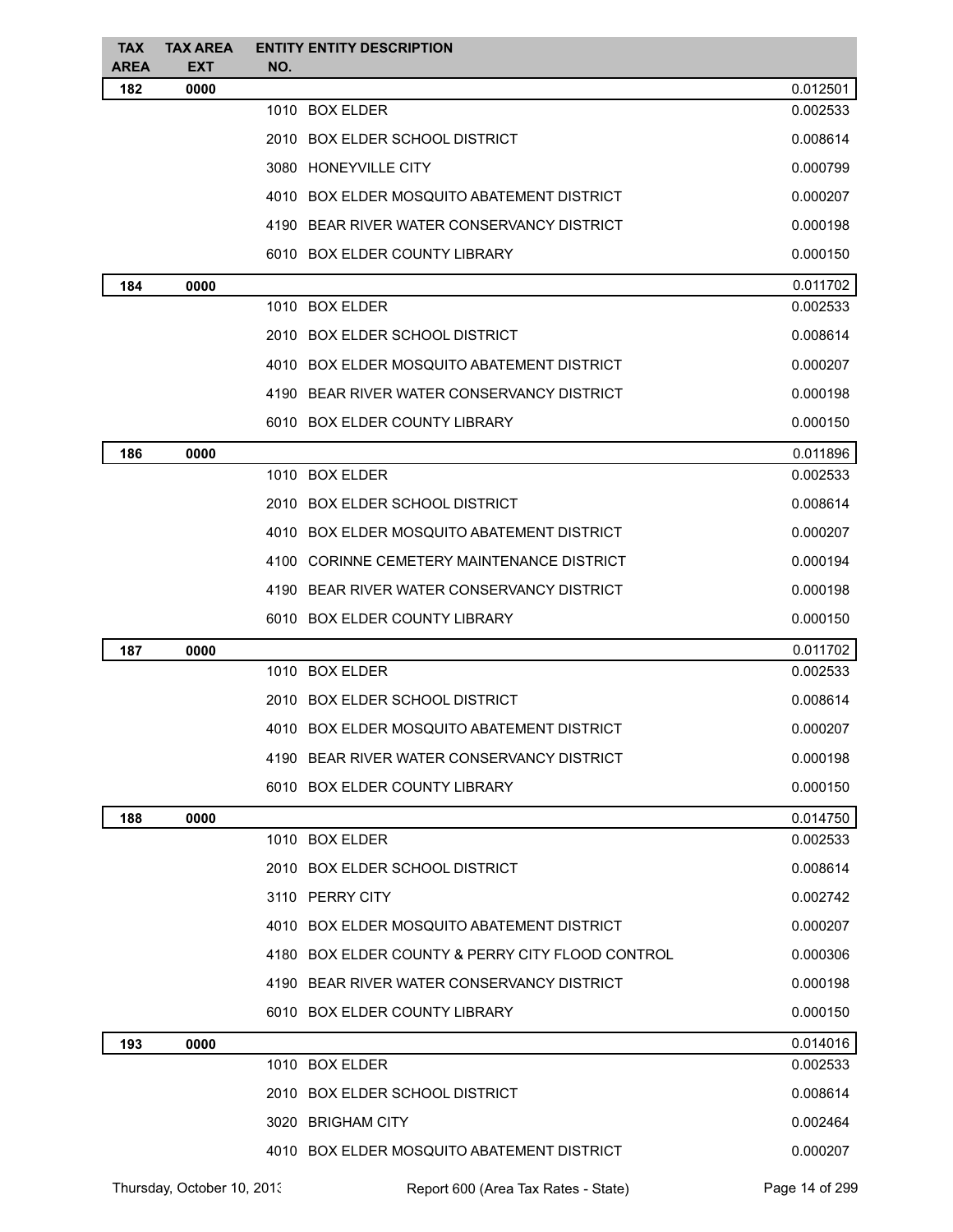| <b>TAX</b><br><b>AREA</b> | <b>TAX AREA</b><br><b>EXT</b> | <b>ENTITY ENTITY DESCRIPTION</b><br>NO.          |          |
|---------------------------|-------------------------------|--------------------------------------------------|----------|
| 182                       | 0000                          |                                                  | 0.012501 |
|                           |                               | 1010 BOX ELDER                                   | 0.002533 |
|                           |                               | 2010 BOX ELDER SCHOOL DISTRICT                   | 0.008614 |
|                           |                               | 3080 HONEYVILLE CITY                             | 0.000799 |
|                           |                               | 4010 BOX ELDER MOSQUITO ABATEMENT DISTRICT       | 0.000207 |
|                           |                               | 4190 BEAR RIVER WATER CONSERVANCY DISTRICT       | 0.000198 |
|                           |                               | 6010 BOX ELDER COUNTY LIBRARY                    | 0.000150 |
| 184                       | 0000                          |                                                  | 0.011702 |
|                           |                               | 1010 BOX ELDER                                   | 0.002533 |
|                           |                               | 2010 BOX ELDER SCHOOL DISTRICT                   | 0.008614 |
|                           |                               | 4010 BOX ELDER MOSQUITO ABATEMENT DISTRICT       | 0.000207 |
|                           |                               | 4190 BEAR RIVER WATER CONSERVANCY DISTRICT       | 0.000198 |
|                           |                               | 6010 BOX ELDER COUNTY LIBRARY                    | 0.000150 |
| 186                       | 0000                          |                                                  | 0.011896 |
|                           |                               | 1010 BOX ELDER                                   | 0.002533 |
|                           |                               | 2010 BOX ELDER SCHOOL DISTRICT                   | 0.008614 |
|                           |                               | 4010 BOX ELDER MOSQUITO ABATEMENT DISTRICT       | 0.000207 |
|                           |                               | 4100 CORINNE CEMETERY MAINTENANCE DISTRICT       | 0.000194 |
|                           |                               | 4190 BEAR RIVER WATER CONSERVANCY DISTRICT       | 0.000198 |
|                           |                               | 6010 BOX ELDER COUNTY LIBRARY                    | 0.000150 |
| 187                       | 0000                          |                                                  | 0.011702 |
|                           |                               | 1010 BOX ELDER                                   | 0.002533 |
|                           |                               | 2010 BOX ELDER SCHOOL DISTRICT                   | 0.008614 |
|                           |                               | 4010 BOX ELDER MOSQUITO ABATEMENT DISTRICT       | 0.000207 |
|                           |                               | 4190 BEAR RIVER WATER CONSERVANCY DISTRICT       | 0.000198 |
|                           |                               | 6010 BOX ELDER COUNTY LIBRARY                    | 0.000150 |
| 188                       | 0000                          |                                                  | 0.014750 |
|                           |                               | 1010 BOX ELDER                                   | 0.002533 |
|                           |                               | 2010 BOX ELDER SCHOOL DISTRICT                   | 0.008614 |
|                           |                               | 3110 PERRY CITY                                  | 0.002742 |
|                           |                               | 4010 BOX ELDER MOSQUITO ABATEMENT DISTRICT       | 0.000207 |
|                           |                               | 4180 BOX ELDER COUNTY & PERRY CITY FLOOD CONTROL | 0.000306 |
|                           |                               | 4190 BEAR RIVER WATER CONSERVANCY DISTRICT       | 0.000198 |
|                           |                               | 6010 BOX ELDER COUNTY LIBRARY                    | 0.000150 |
| 193                       | 0000                          |                                                  | 0.014016 |
|                           |                               | 1010 BOX ELDER                                   | 0.002533 |
|                           |                               | 2010 BOX ELDER SCHOOL DISTRICT                   | 0.008614 |
|                           |                               | 3020 BRIGHAM CITY                                | 0.002464 |
|                           |                               | 4010 BOX ELDER MOSQUITO ABATEMENT DISTRICT       | 0.000207 |
|                           |                               |                                                  |          |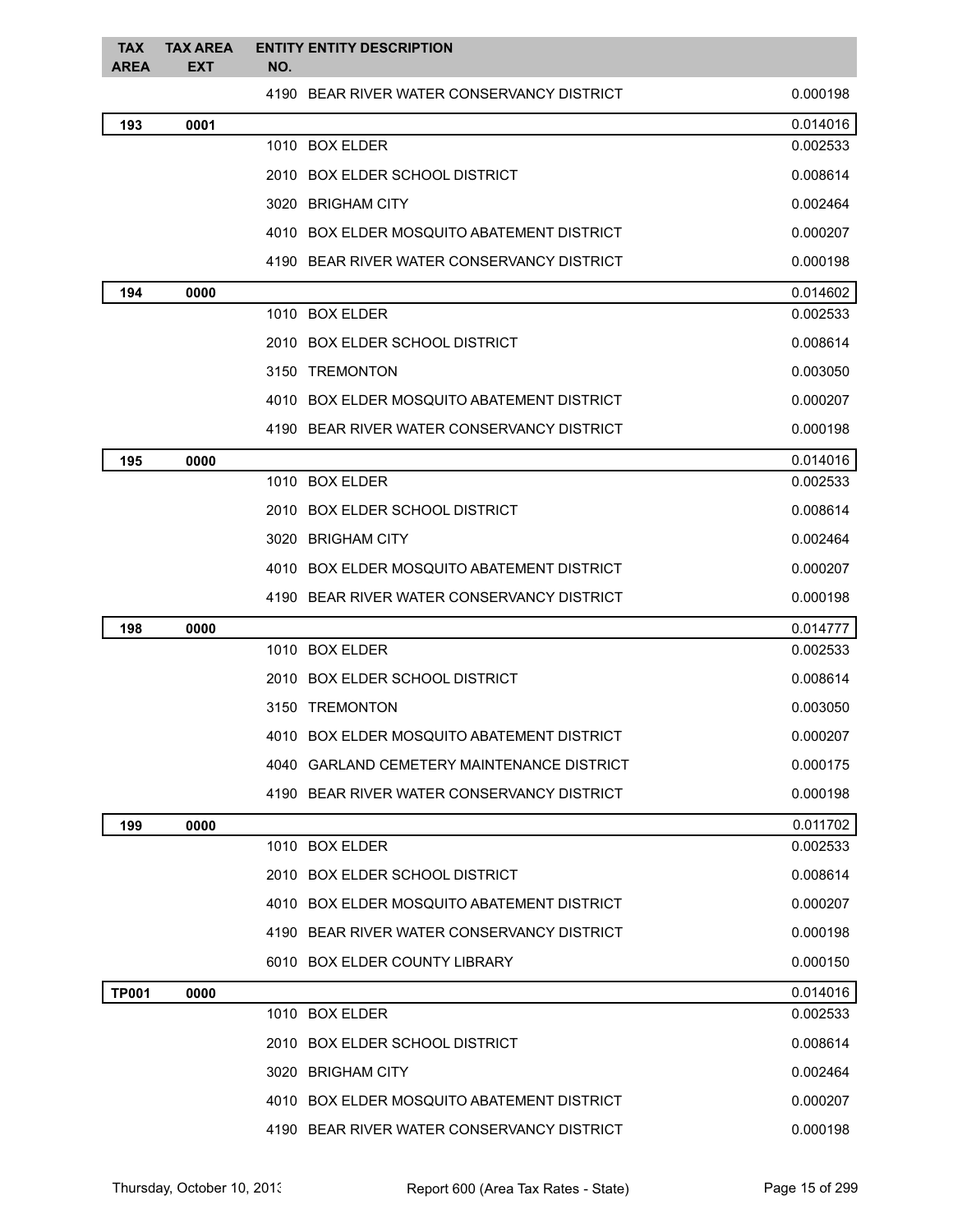| <b>TAX</b><br><b>AREA</b> | <b>TAX AREA</b><br><b>EXT</b> | <b>ENTITY ENTITY DESCRIPTION</b><br>NO.    |          |
|---------------------------|-------------------------------|--------------------------------------------|----------|
|                           |                               | 4190 BEAR RIVER WATER CONSERVANCY DISTRICT | 0.000198 |
| 193                       | 0001                          |                                            | 0.014016 |
|                           |                               | 1010 BOX ELDER                             | 0.002533 |
|                           |                               | 2010 BOX ELDER SCHOOL DISTRICT             | 0.008614 |
|                           |                               | 3020 BRIGHAM CITY                          | 0.002464 |
|                           |                               | 4010 BOX ELDER MOSQUITO ABATEMENT DISTRICT | 0.000207 |
|                           |                               | 4190 BEAR RIVER WATER CONSERVANCY DISTRICT | 0.000198 |
| 194                       | 0000                          |                                            | 0.014602 |
|                           |                               | 1010 BOX ELDER                             | 0.002533 |
|                           |                               | 2010 BOX ELDER SCHOOL DISTRICT             | 0.008614 |
|                           |                               | 3150 TREMONTON                             | 0.003050 |
|                           |                               | 4010 BOX ELDER MOSQUITO ABATEMENT DISTRICT | 0.000207 |
|                           |                               | 4190 BEAR RIVER WATER CONSERVANCY DISTRICT | 0.000198 |
| 195                       | 0000                          |                                            | 0.014016 |
|                           |                               | 1010 BOX ELDER                             | 0.002533 |
|                           |                               | 2010 BOX ELDER SCHOOL DISTRICT             | 0.008614 |
|                           |                               | 3020 BRIGHAM CITY                          | 0.002464 |
|                           |                               | 4010 BOX ELDER MOSQUITO ABATEMENT DISTRICT | 0.000207 |
|                           |                               | 4190 BEAR RIVER WATER CONSERVANCY DISTRICT | 0.000198 |
| 198                       | 0000                          |                                            | 0.014777 |
|                           |                               | 1010 BOX ELDER                             | 0.002533 |
|                           |                               | 2010 BOX ELDER SCHOOL DISTRICT             | 0.008614 |
|                           |                               | 3150 TREMONTON                             | 0.003050 |
|                           |                               | 4010 BOX ELDER MOSQUITO ABATEMENT DISTRICT | 0.000207 |
|                           |                               | 4040 GARLAND CEMETERY MAINTENANCE DISTRICT | 0.000175 |
|                           |                               | 4190 BEAR RIVER WATER CONSERVANCY DISTRICT | 0.000198 |
| 199                       | 0000                          |                                            | 0.011702 |
|                           |                               | 1010 BOX ELDER                             | 0.002533 |
|                           |                               | 2010 BOX ELDER SCHOOL DISTRICT             | 0.008614 |
|                           |                               | 4010 BOX ELDER MOSQUITO ABATEMENT DISTRICT | 0.000207 |
|                           |                               | 4190 BEAR RIVER WATER CONSERVANCY DISTRICT | 0.000198 |
|                           |                               | 6010 BOX ELDER COUNTY LIBRARY              | 0.000150 |
| <b>TP001</b>              | 0000                          |                                            | 0.014016 |
|                           |                               | 1010 BOX ELDER                             | 0.002533 |
|                           |                               | 2010 BOX ELDER SCHOOL DISTRICT             | 0.008614 |
|                           |                               | 3020 BRIGHAM CITY                          | 0.002464 |
|                           |                               | 4010 BOX ELDER MOSQUITO ABATEMENT DISTRICT | 0.000207 |
|                           |                               | 4190 BEAR RIVER WATER CONSERVANCY DISTRICT | 0.000198 |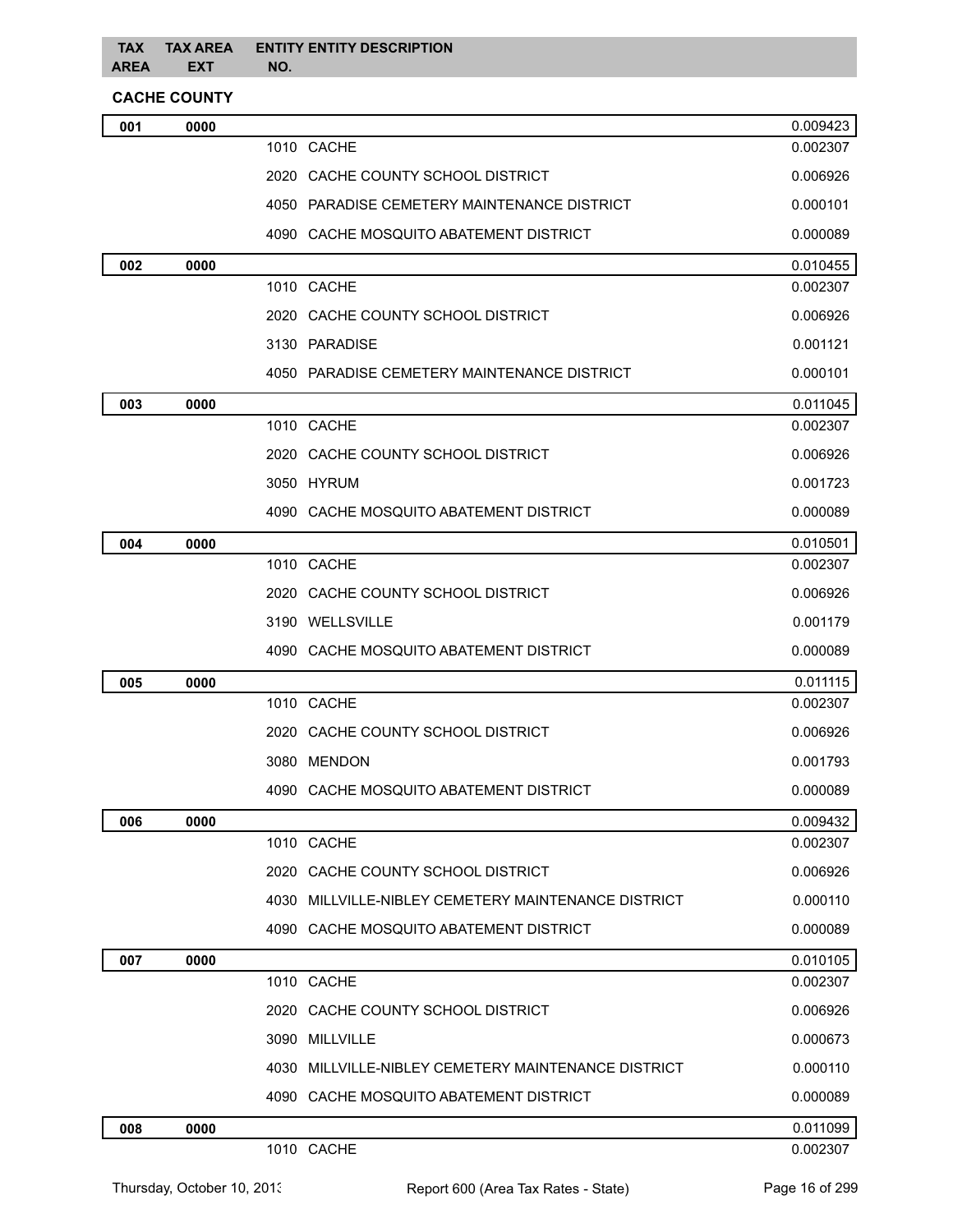## **CACHE COUNTY**

| 001 | 0000 |                                                        | 0.009423 |
|-----|------|--------------------------------------------------------|----------|
|     |      | 1010 CACHE                                             | 0.002307 |
|     |      | 2020 CACHE COUNTY SCHOOL DISTRICT                      | 0.006926 |
|     |      | 4050 PARADISE CEMETERY MAINTENANCE DISTRICT            | 0.000101 |
|     |      | 4090 CACHE MOSQUITO ABATEMENT DISTRICT                 | 0.000089 |
| 002 | 0000 |                                                        | 0.010455 |
|     |      | 1010 CACHE                                             | 0.002307 |
|     |      | 2020 CACHE COUNTY SCHOOL DISTRICT                      | 0.006926 |
|     |      | 3130 PARADISE                                          | 0.001121 |
|     |      | 4050 PARADISE CEMETERY MAINTENANCE DISTRICT            | 0.000101 |
| 003 | 0000 |                                                        | 0.011045 |
|     |      | 1010 CACHE                                             | 0.002307 |
|     |      | 2020 CACHE COUNTY SCHOOL DISTRICT                      | 0.006926 |
|     |      | 3050 HYRUM                                             | 0.001723 |
|     |      | 4090 CACHE MOSQUITO ABATEMENT DISTRICT                 | 0.000089 |
| 004 | 0000 |                                                        | 0.010501 |
|     |      | 1010 CACHE                                             | 0.002307 |
|     |      | 2020 CACHE COUNTY SCHOOL DISTRICT                      | 0.006926 |
|     |      | 3190 WELLSVILLE                                        | 0.001179 |
|     |      | 4090 CACHE MOSQUITO ABATEMENT DISTRICT                 | 0.000089 |
| 005 | 0000 |                                                        | 0.011115 |
|     |      | 1010 CACHE                                             | 0.002307 |
|     |      | 2020 CACHE COUNTY SCHOOL DISTRICT                      | 0.006926 |
|     |      | 3080 MENDON                                            | 0.001793 |
|     |      | 4090 CACHE MOSQUITO ABATEMENT DISTRICT                 | 0.000089 |
| 006 | 0000 |                                                        | 0.009432 |
|     |      | 1010 CACHE                                             | 0.002307 |
|     |      | 2020 CACHE COUNTY SCHOOL DISTRICT                      | 0.006926 |
|     |      | MILLVILLE-NIBLEY CEMETERY MAINTENANCE DISTRICT<br>4030 | 0.000110 |
|     |      | 4090 CACHE MOSQUITO ABATEMENT DISTRICT                 | 0.000089 |
| 007 | 0000 |                                                        | 0.010105 |
|     |      | 1010 CACHE                                             | 0.002307 |
|     |      | 2020 CACHE COUNTY SCHOOL DISTRICT                      | 0.006926 |
|     |      | 3090 MILLVILLE                                         | 0.000673 |
|     |      | MILLVILLE-NIBLEY CEMETERY MAINTENANCE DISTRICT<br>4030 | 0.000110 |
|     |      | 4090 CACHE MOSQUITO ABATEMENT DISTRICT                 | 0.000089 |
| 008 | 0000 |                                                        | 0.011099 |
|     |      | 1010 CACHE                                             | 0.002307 |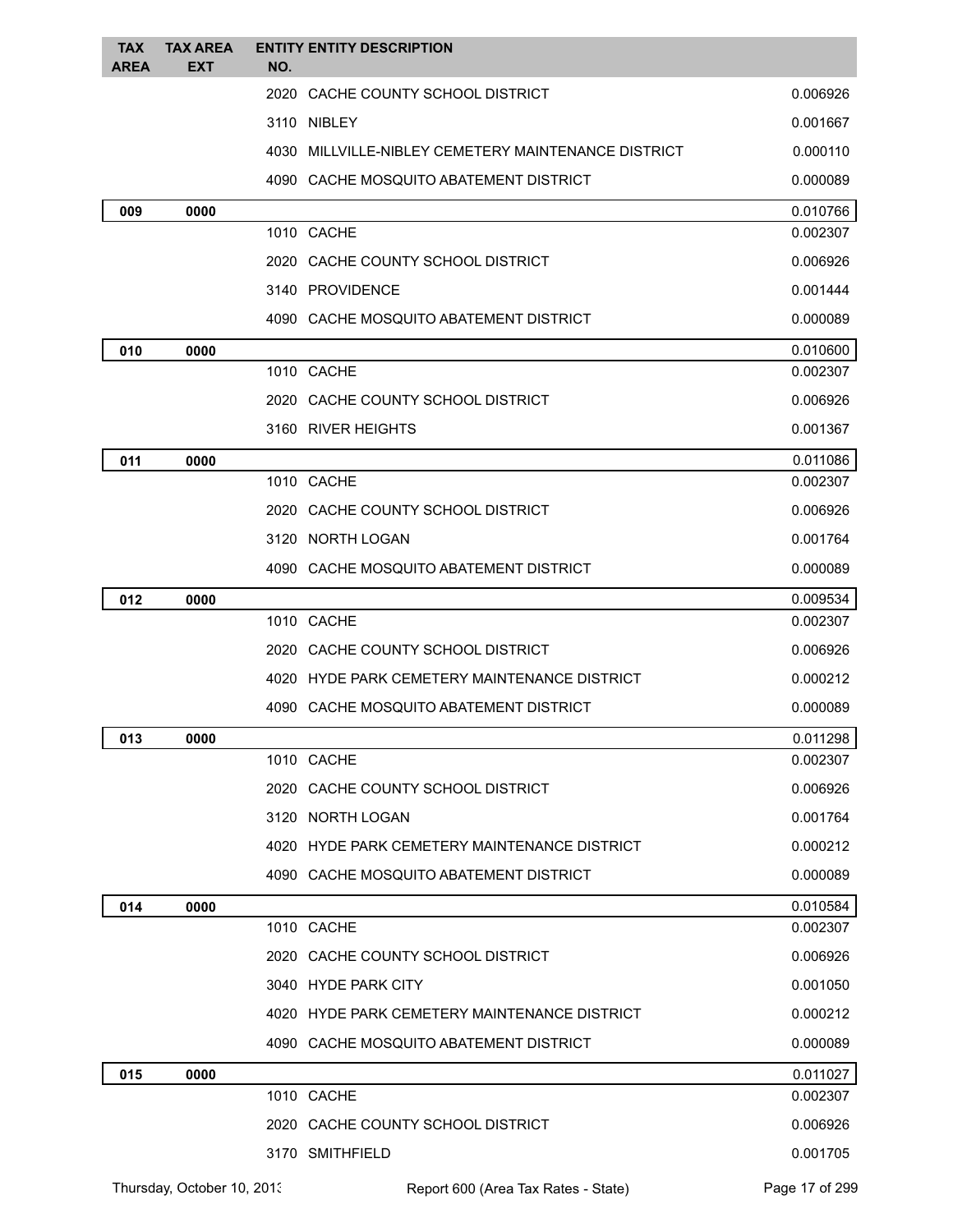| <b>TAX</b><br><b>AREA</b> | <b>TAX AREA</b><br>EXT | <b>ENTITY ENTITY DESCRIPTION</b><br>NO.             |                      |
|---------------------------|------------------------|-----------------------------------------------------|----------------------|
|                           |                        | 2020 CACHE COUNTY SCHOOL DISTRICT                   | 0.006926             |
|                           |                        | 3110 NIBLEY                                         | 0.001667             |
|                           |                        | 4030 MILLVILLE-NIBLEY CEMETERY MAINTENANCE DISTRICT | 0.000110             |
|                           |                        | 4090 CACHE MOSQUITO ABATEMENT DISTRICT              | 0.000089             |
| 009                       | 0000                   |                                                     | 0.010766             |
|                           |                        | 1010 CACHE                                          | 0.002307             |
|                           |                        | 2020 CACHE COUNTY SCHOOL DISTRICT                   | 0.006926             |
|                           |                        | 3140 PROVIDENCE                                     | 0.001444             |
|                           |                        | 4090 CACHE MOSQUITO ABATEMENT DISTRICT              | 0.000089             |
| 010                       | 0000                   |                                                     | 0.010600             |
|                           |                        | 1010 CACHE                                          | 0.002307             |
|                           |                        | 2020 CACHE COUNTY SCHOOL DISTRICT                   | 0.006926             |
|                           |                        | 3160 RIVER HEIGHTS                                  | 0.001367             |
| 011                       | 0000                   |                                                     | 0.011086             |
|                           |                        | 1010 CACHE                                          | 0.002307             |
|                           |                        | 2020 CACHE COUNTY SCHOOL DISTRICT                   | 0.006926             |
|                           |                        | 3120 NORTH LOGAN                                    | 0.001764             |
|                           |                        | 4090 CACHE MOSQUITO ABATEMENT DISTRICT              | 0.000089             |
| 012                       | 0000                   |                                                     | 0.009534             |
|                           |                        | 1010 CACHE                                          | 0.002307             |
|                           |                        | 2020 CACHE COUNTY SCHOOL DISTRICT                   | 0.006926             |
|                           |                        | 4020 HYDE PARK CEMETERY MAINTENANCE DISTRICT        | 0.000212             |
|                           |                        | 4090 CACHE MOSQUITO ABATEMENT DISTRICT              | 0.000089             |
| 013                       | 0000                   | 1010 CACHE                                          | 0.011298<br>0.002307 |
|                           |                        |                                                     |                      |
|                           |                        | 2020 CACHE COUNTY SCHOOL DISTRICT                   | 0.006926             |
|                           |                        | 3120 NORTH LOGAN                                    | 0.001764             |
|                           |                        | 4020 HYDE PARK CEMETERY MAINTENANCE DISTRICT        | 0.000212             |
|                           |                        | 4090 CACHE MOSQUITO ABATEMENT DISTRICT              | 0.000089             |
| 014                       | 0000                   | 1010 CACHE                                          | 0.010584<br>0.002307 |
|                           |                        | 2020 CACHE COUNTY SCHOOL DISTRICT                   | 0.006926             |
|                           |                        | 3040 HYDE PARK CITY                                 | 0.001050             |
|                           |                        | 4020 HYDE PARK CEMETERY MAINTENANCE DISTRICT        | 0.000212             |
|                           |                        | 4090 CACHE MOSQUITO ABATEMENT DISTRICT              | 0.000089             |
|                           |                        |                                                     | 0.011027             |
| 015                       | 0000                   | 1010 CACHE                                          | 0.002307             |
|                           |                        | 2020 CACHE COUNTY SCHOOL DISTRICT                   | 0.006926             |
|                           |                        | 3170 SMITHFIELD                                     | 0.001705             |
|                           |                        |                                                     |                      |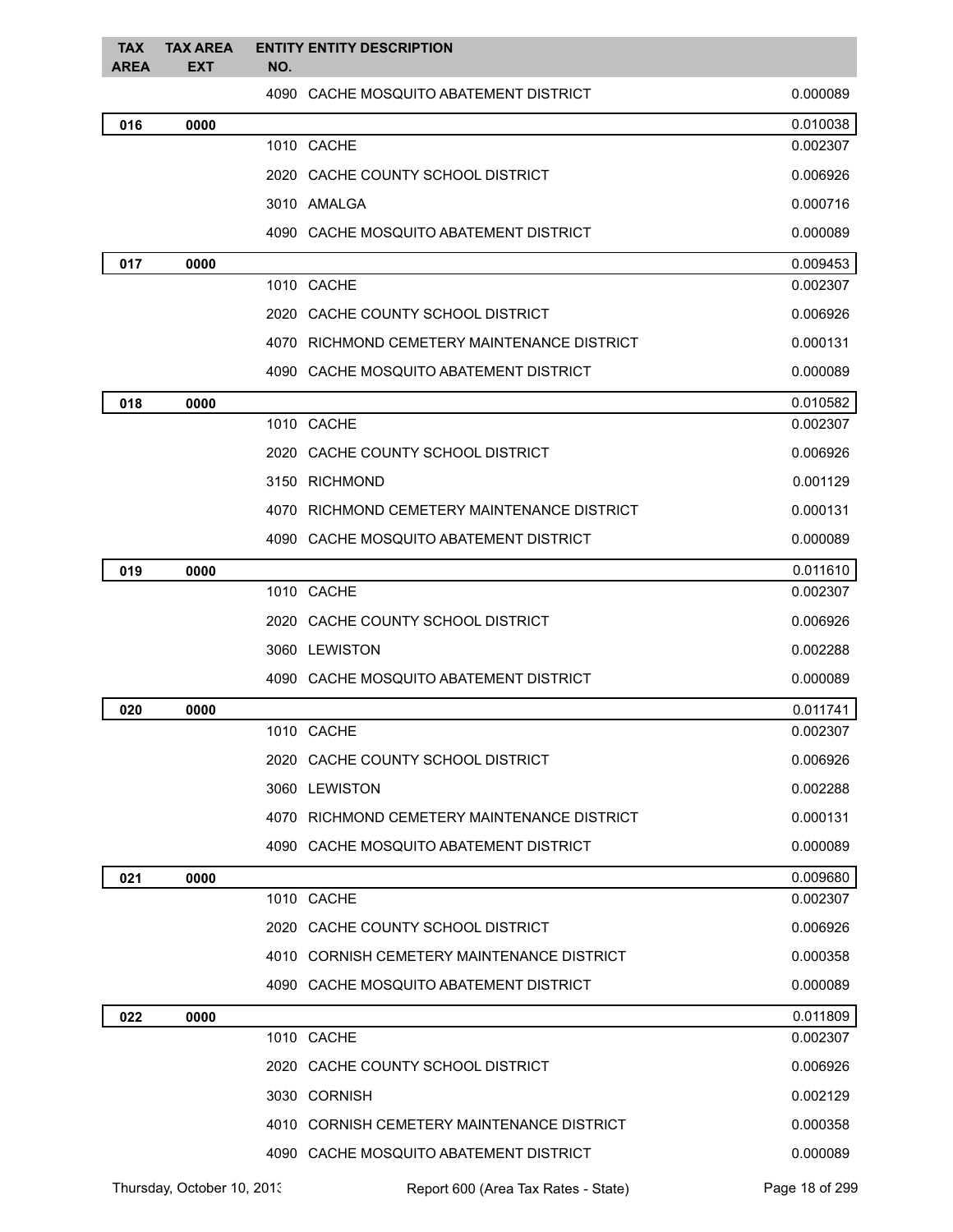| <b>TAX</b><br><b>AREA</b> | <b>TAX AREA</b><br><b>EXT</b> | <b>ENTITY ENTITY DESCRIPTION</b><br>NO.     |          |
|---------------------------|-------------------------------|---------------------------------------------|----------|
|                           |                               | 4090 CACHE MOSQUITO ABATEMENT DISTRICT      | 0.000089 |
| 016                       | 0000                          |                                             | 0.010038 |
|                           |                               | 1010 CACHE                                  | 0.002307 |
|                           |                               | 2020 CACHE COUNTY SCHOOL DISTRICT           | 0.006926 |
|                           |                               | 3010 AMALGA                                 | 0.000716 |
|                           |                               | 4090 CACHE MOSQUITO ABATEMENT DISTRICT      | 0.000089 |
| 017                       | 0000                          |                                             | 0.009453 |
|                           |                               | 1010 CACHE                                  | 0.002307 |
|                           |                               | 2020 CACHE COUNTY SCHOOL DISTRICT           | 0.006926 |
|                           |                               | 4070 RICHMOND CEMETERY MAINTENANCE DISTRICT | 0.000131 |
|                           |                               | 4090 CACHE MOSQUITO ABATEMENT DISTRICT      | 0.000089 |
| 018                       | 0000                          |                                             | 0.010582 |
|                           |                               | 1010 CACHE                                  | 0.002307 |
|                           |                               | 2020 CACHE COUNTY SCHOOL DISTRICT           | 0.006926 |
|                           |                               | 3150 RICHMOND                               | 0.001129 |
|                           |                               | 4070 RICHMOND CEMETERY MAINTENANCE DISTRICT | 0.000131 |
|                           |                               | 4090 CACHE MOSQUITO ABATEMENT DISTRICT      | 0.000089 |
| 019                       | 0000                          |                                             | 0.011610 |
|                           |                               | 1010 CACHE                                  | 0.002307 |
|                           |                               | 2020 CACHE COUNTY SCHOOL DISTRICT           | 0.006926 |
|                           |                               | 3060 LEWISTON                               | 0.002288 |
|                           |                               | 4090 CACHE MOSQUITO ABATEMENT DISTRICT      | 0.000089 |
| 020                       | 0000                          |                                             | 0.011741 |
|                           |                               | 1010 CACHE                                  | 0.002307 |
|                           |                               | 2020 CACHE COUNTY SCHOOL DISTRICT           | 0.006926 |
|                           |                               | 3060 LEWISTON                               | 0.002288 |
|                           |                               | 4070 RICHMOND CEMETERY MAINTENANCE DISTRICT | 0.000131 |
|                           |                               | 4090 CACHE MOSQUITO ABATEMENT DISTRICT      | 0.000089 |
| 021                       | 0000                          |                                             | 0.009680 |
|                           |                               | 1010 CACHE                                  | 0.002307 |
|                           |                               | 2020 CACHE COUNTY SCHOOL DISTRICT           | 0.006926 |
|                           |                               | 4010 CORNISH CEMETERY MAINTENANCE DISTRICT  | 0.000358 |
|                           |                               | 4090 CACHE MOSQUITO ABATEMENT DISTRICT      | 0.000089 |
| 022                       | 0000                          |                                             | 0.011809 |
|                           |                               | 1010 CACHE                                  | 0.002307 |
|                           |                               | 2020 CACHE COUNTY SCHOOL DISTRICT           | 0.006926 |
|                           |                               | 3030 CORNISH                                | 0.002129 |
|                           |                               | 4010 CORNISH CEMETERY MAINTENANCE DISTRICT  | 0.000358 |
|                           |                               | 4090 CACHE MOSQUITO ABATEMENT DISTRICT      | 0.000089 |

Thursday, October 10, 2013 Report 600 (Area Tax Rates - State) Page 18 of 299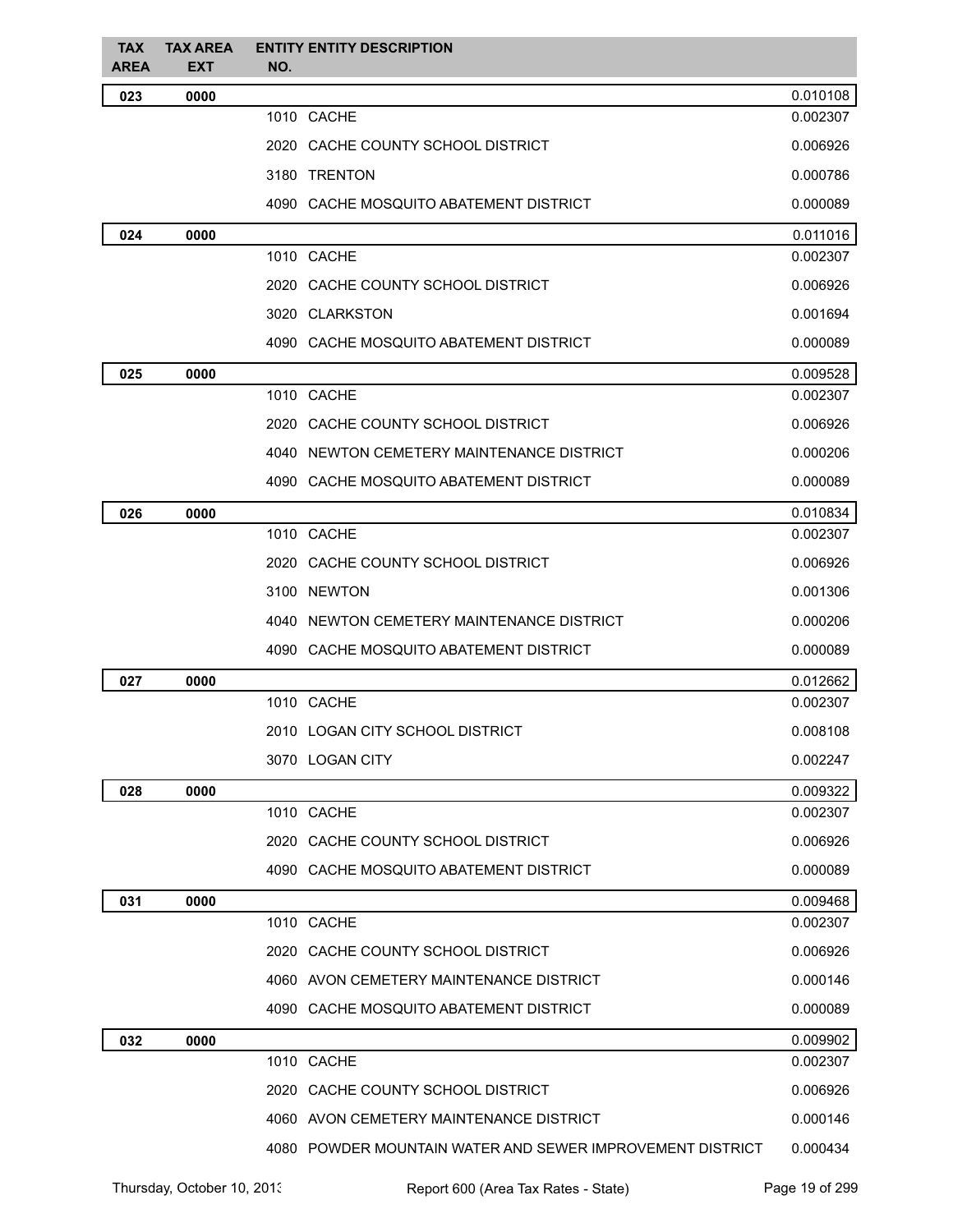| <b>TAX</b><br><b>AREA</b> | <b>TAX AREA</b><br>EXT | <b>ENTITY ENTITY DESCRIPTION</b><br>NO.                   |          |
|---------------------------|------------------------|-----------------------------------------------------------|----------|
| 023                       | 0000                   |                                                           | 0.010108 |
|                           |                        | 1010 CACHE                                                | 0.002307 |
|                           |                        | 2020 CACHE COUNTY SCHOOL DISTRICT                         | 0.006926 |
|                           |                        | 3180 TRENTON                                              | 0.000786 |
|                           |                        | 4090 CACHE MOSQUITO ABATEMENT DISTRICT                    | 0.000089 |
| 024                       | 0000                   |                                                           | 0.011016 |
|                           |                        | 1010 CACHE                                                | 0.002307 |
|                           |                        | 2020 CACHE COUNTY SCHOOL DISTRICT                         | 0.006926 |
|                           |                        | 3020 CLARKSTON                                            | 0.001694 |
|                           |                        | 4090 CACHE MOSQUITO ABATEMENT DISTRICT                    | 0.000089 |
| 025                       | 0000                   |                                                           | 0.009528 |
|                           |                        | 1010 CACHE                                                | 0.002307 |
|                           |                        | 2020 CACHE COUNTY SCHOOL DISTRICT                         | 0.006926 |
|                           |                        | 4040 NEWTON CEMETERY MAINTENANCE DISTRICT                 | 0.000206 |
|                           |                        | 4090 CACHE MOSQUITO ABATEMENT DISTRICT                    | 0.000089 |
| 026                       | 0000                   |                                                           | 0.010834 |
|                           |                        | 1010 CACHE                                                | 0.002307 |
|                           |                        | 2020 CACHE COUNTY SCHOOL DISTRICT                         | 0.006926 |
|                           |                        | 3100 NEWTON                                               | 0.001306 |
|                           |                        | 4040 NEWTON CEMETERY MAINTENANCE DISTRICT                 | 0.000206 |
|                           |                        | 4090 CACHE MOSQUITO ABATEMENT DISTRICT                    | 0.000089 |
| 027                       | 0000                   |                                                           | 0.012662 |
|                           |                        | 1010 CACHE                                                | 0.002307 |
|                           |                        | 2010 LOGAN CITY SCHOOL DISTRICT                           | 0.008108 |
|                           |                        | 3070 LOGAN CITY                                           | 0.002247 |
| 028                       | 0000                   |                                                           | 0.009322 |
|                           |                        | 1010 CACHE                                                | 0.002307 |
|                           |                        | 2020 CACHE COUNTY SCHOOL DISTRICT                         | 0.006926 |
|                           |                        | 4090 CACHE MOSQUITO ABATEMENT DISTRICT                    | 0.000089 |
| 031                       | 0000                   |                                                           | 0.009468 |
|                           |                        | 1010 CACHE                                                | 0.002307 |
|                           |                        | 2020 CACHE COUNTY SCHOOL DISTRICT                         | 0.006926 |
|                           |                        | 4060 AVON CEMETERY MAINTENANCE DISTRICT                   | 0.000146 |
|                           |                        | 4090 CACHE MOSQUITO ABATEMENT DISTRICT                    | 0.000089 |
| 032                       | 0000                   |                                                           | 0.009902 |
|                           |                        | 1010 CACHE                                                | 0.002307 |
|                           |                        | 2020 CACHE COUNTY SCHOOL DISTRICT                         | 0.006926 |
|                           |                        | 4060 AVON CEMETERY MAINTENANCE DISTRICT                   | 0.000146 |
|                           |                        | 4080 POWDER MOUNTAIN WATER AND SEWER IMPROVEMENT DISTRICT | 0.000434 |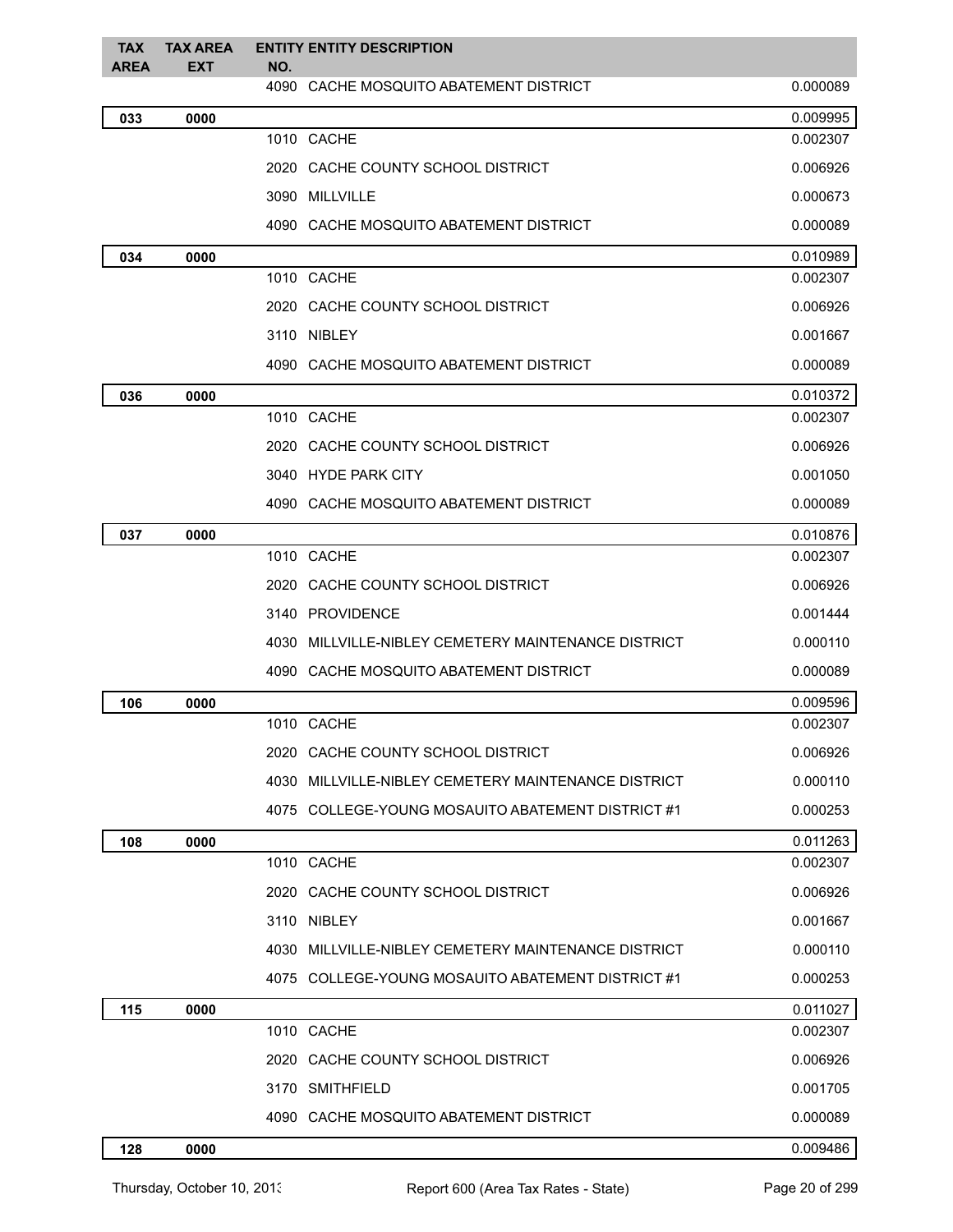| <b>TAX</b><br><b>AREA</b> | <b>TAX AREA</b><br><b>EXT</b> | <b>ENTITY ENTITY DESCRIPTION</b><br>NO.             |          |
|---------------------------|-------------------------------|-----------------------------------------------------|----------|
|                           |                               | 4090 CACHE MOSQUITO ABATEMENT DISTRICT              | 0.000089 |
| 033                       | 0000                          |                                                     | 0.009995 |
|                           |                               | 1010 CACHE                                          | 0.002307 |
|                           |                               | 2020 CACHE COUNTY SCHOOL DISTRICT                   | 0.006926 |
|                           |                               | 3090 MILLVILLE                                      | 0.000673 |
|                           |                               | 4090 CACHE MOSQUITO ABATEMENT DISTRICT              | 0.000089 |
| 034                       | 0000                          |                                                     | 0.010989 |
|                           |                               | 1010 CACHE                                          | 0.002307 |
|                           |                               | 2020 CACHE COUNTY SCHOOL DISTRICT                   | 0.006926 |
|                           |                               | 3110 NIBLEY                                         | 0.001667 |
|                           |                               | 4090 CACHE MOSQUITO ABATEMENT DISTRICT              | 0.000089 |
| 036                       | 0000                          |                                                     | 0.010372 |
|                           |                               | 1010 CACHE                                          | 0.002307 |
|                           |                               | 2020 CACHE COUNTY SCHOOL DISTRICT                   | 0.006926 |
|                           |                               | 3040 HYDE PARK CITY                                 | 0.001050 |
|                           |                               | 4090 CACHE MOSQUITO ABATEMENT DISTRICT              | 0.000089 |
| 037                       | 0000                          |                                                     | 0.010876 |
|                           |                               | 1010 CACHE                                          | 0.002307 |
|                           |                               | 2020 CACHE COUNTY SCHOOL DISTRICT                   | 0.006926 |
|                           |                               | 3140 PROVIDENCE                                     | 0.001444 |
|                           |                               | 4030 MILLVILLE-NIBLEY CEMETERY MAINTENANCE DISTRICT | 0.000110 |
|                           |                               | 4090 CACHE MOSQUITO ABATEMENT DISTRICT              | 0.000089 |
| 106                       | 0000                          |                                                     | 0.009596 |
|                           |                               | 1010 CACHE                                          | 0.002307 |
|                           |                               | 2020 CACHE COUNTY SCHOOL DISTRICT                   | 0.006926 |
|                           |                               | 4030 MILLVILLE-NIBLEY CEMETERY MAINTENANCE DISTRICT | 0.000110 |
|                           |                               | 4075 COLLEGE-YOUNG MOSAUITO ABATEMENT DISTRICT #1   | 0.000253 |
| 108                       | 0000                          |                                                     | 0.011263 |
|                           |                               | 1010 CACHE                                          | 0.002307 |
|                           |                               | 2020 CACHE COUNTY SCHOOL DISTRICT                   | 0.006926 |
|                           |                               | 3110 NIBLEY                                         | 0.001667 |
|                           |                               | 4030 MILLVILLE-NIBLEY CEMETERY MAINTENANCE DISTRICT | 0.000110 |
|                           |                               | 4075 COLLEGE-YOUNG MOSAUITO ABATEMENT DISTRICT #1   | 0.000253 |
| 115                       | 0000                          |                                                     | 0.011027 |
|                           |                               | 1010 CACHE                                          | 0.002307 |
|                           |                               | 2020 CACHE COUNTY SCHOOL DISTRICT                   | 0.006926 |
|                           |                               | 3170 SMITHFIELD                                     | 0.001705 |
|                           |                               | 4090 CACHE MOSQUITO ABATEMENT DISTRICT              | 0.000089 |
| 128                       | 0000                          |                                                     | 0.009486 |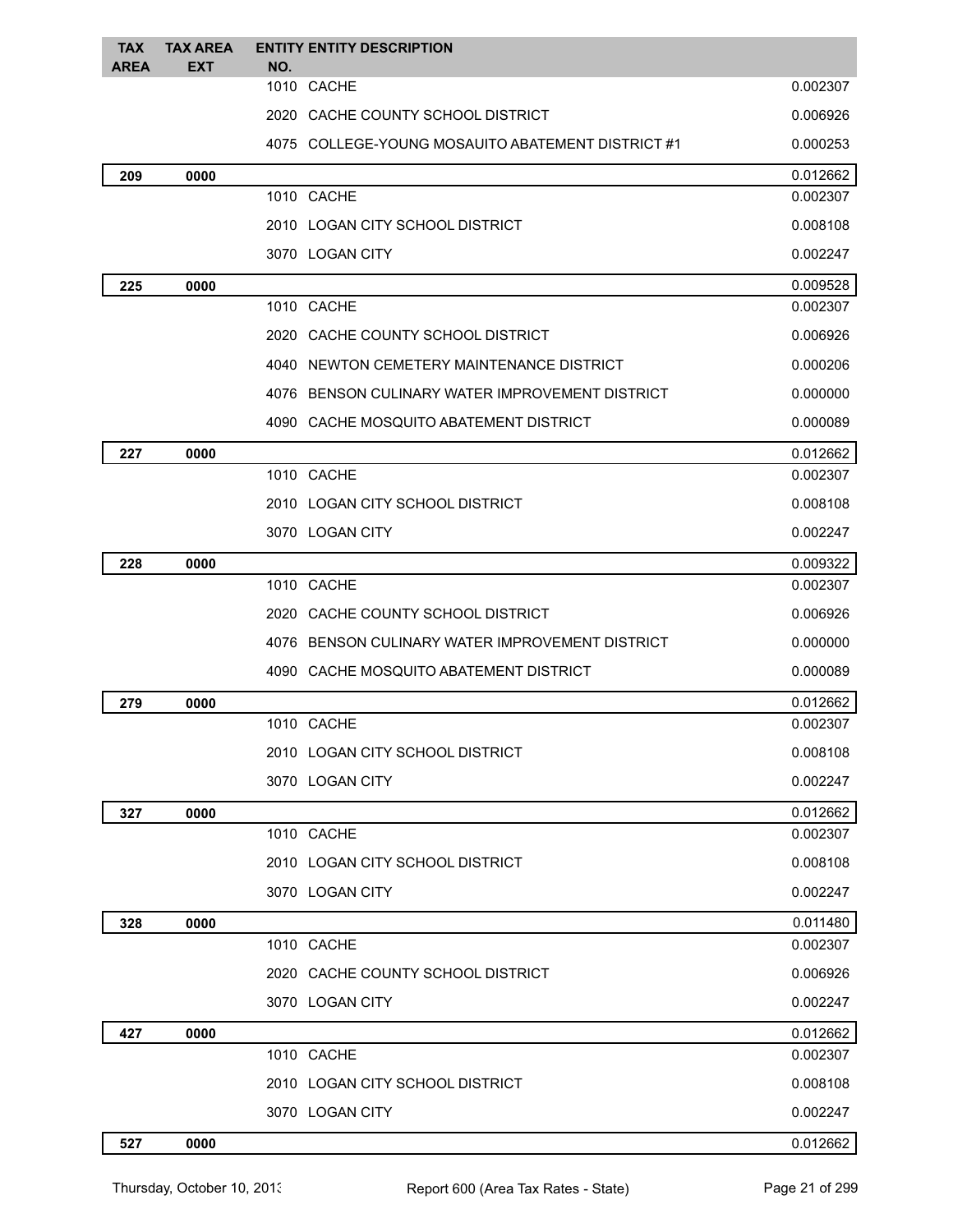| <b>TAX</b><br><b>AREA</b> | <b>TAX AREA</b><br><b>EXT</b> | <b>ENTITY ENTITY DESCRIPTION</b><br>NO.           |          |
|---------------------------|-------------------------------|---------------------------------------------------|----------|
|                           |                               | 1010 CACHE                                        | 0.002307 |
|                           |                               | 2020 CACHE COUNTY SCHOOL DISTRICT                 | 0.006926 |
|                           |                               | 4075 COLLEGE-YOUNG MOSAUITO ABATEMENT DISTRICT #1 | 0.000253 |
| 209                       | 0000                          |                                                   | 0.012662 |
|                           |                               | 1010 CACHE                                        | 0.002307 |
|                           |                               | 2010 LOGAN CITY SCHOOL DISTRICT                   | 0.008108 |
|                           |                               | 3070 LOGAN CITY                                   | 0.002247 |
| 225                       | 0000                          |                                                   | 0.009528 |
|                           |                               | 1010 CACHE                                        | 0.002307 |
|                           |                               | 2020 CACHE COUNTY SCHOOL DISTRICT                 | 0.006926 |
|                           |                               | 4040 NEWTON CEMETERY MAINTENANCE DISTRICT         | 0.000206 |
|                           |                               | 4076 BENSON CULINARY WATER IMPROVEMENT DISTRICT   | 0.000000 |
|                           |                               | 4090 CACHE MOSQUITO ABATEMENT DISTRICT            | 0.000089 |
| 227                       | 0000                          |                                                   | 0.012662 |
|                           |                               | 1010 CACHE                                        | 0.002307 |
|                           |                               | 2010 LOGAN CITY SCHOOL DISTRICT                   | 0.008108 |
|                           |                               | 3070 LOGAN CITY                                   | 0.002247 |
| 228                       | 0000                          |                                                   | 0.009322 |
|                           |                               | 1010 CACHE                                        | 0.002307 |
|                           |                               | 2020 CACHE COUNTY SCHOOL DISTRICT                 | 0.006926 |
|                           |                               | 4076 BENSON CULINARY WATER IMPROVEMENT DISTRICT   | 0.000000 |
|                           |                               | 4090 CACHE MOSQUITO ABATEMENT DISTRICT            | 0.000089 |
| 279                       | 0000                          |                                                   | 0.012662 |
|                           |                               | 1010 CACHE                                        | 0.002307 |
|                           |                               | 2010 LOGAN CITY SCHOOL DISTRICT                   | 0.008108 |
|                           |                               | 3070 LOGAN CITY                                   | 0.002247 |
| 327                       | 0000                          |                                                   | 0.012662 |
|                           |                               | 1010 CACHE                                        | 0.002307 |
|                           |                               | 2010 LOGAN CITY SCHOOL DISTRICT                   | 0.008108 |
|                           |                               | 3070 LOGAN CITY                                   | 0.002247 |
| 328                       | 0000                          |                                                   | 0.011480 |
|                           |                               | 1010 CACHE                                        | 0.002307 |
|                           |                               | 2020 CACHE COUNTY SCHOOL DISTRICT                 | 0.006926 |
|                           |                               | 3070 LOGAN CITY                                   | 0.002247 |
| 427                       | 0000                          |                                                   | 0.012662 |
|                           |                               | 1010 CACHE                                        | 0.002307 |
|                           |                               | 2010 LOGAN CITY SCHOOL DISTRICT                   | 0.008108 |
|                           |                               | 3070 LOGAN CITY                                   | 0.002247 |
| 527                       | 0000                          |                                                   | 0.012662 |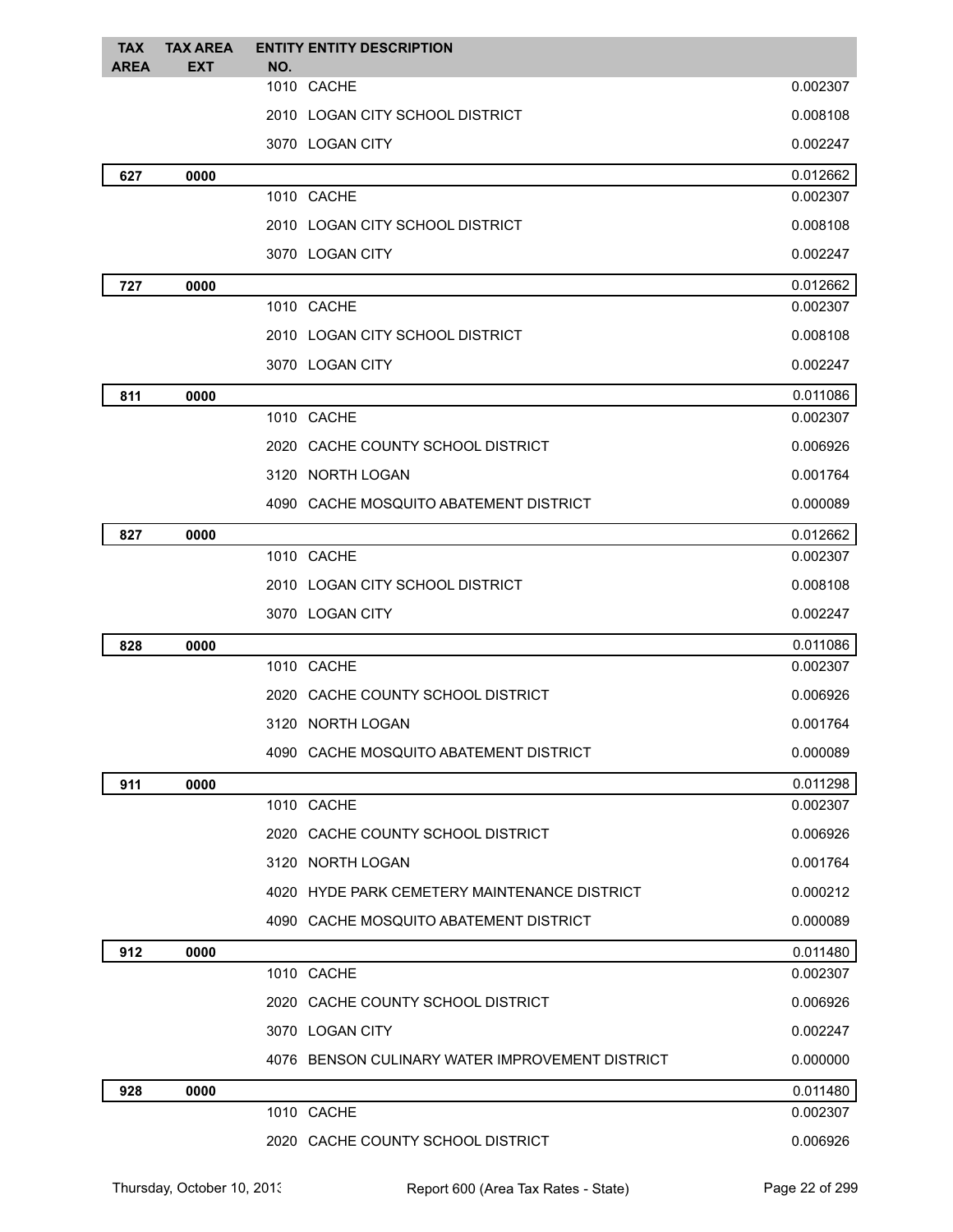| <b>TAX</b><br><b>AREA</b> | <b>TAX AREA</b><br><b>EXT</b> | <b>ENTITY ENTITY DESCRIPTION</b><br>NO.         |          |
|---------------------------|-------------------------------|-------------------------------------------------|----------|
|                           |                               | 1010 CACHE                                      | 0.002307 |
|                           |                               | 2010 LOGAN CITY SCHOOL DISTRICT                 | 0.008108 |
|                           |                               | 3070 LOGAN CITY                                 | 0.002247 |
| 627                       | 0000                          |                                                 | 0.012662 |
|                           |                               | 1010 CACHE                                      | 0.002307 |
|                           |                               | 2010 LOGAN CITY SCHOOL DISTRICT                 | 0.008108 |
|                           |                               | 3070 LOGAN CITY                                 | 0.002247 |
| 727                       | 0000                          |                                                 | 0.012662 |
|                           |                               | 1010 CACHE                                      | 0.002307 |
|                           |                               | 2010 LOGAN CITY SCHOOL DISTRICT                 | 0.008108 |
|                           |                               | 3070 LOGAN CITY                                 | 0.002247 |
| 811                       | 0000                          |                                                 | 0.011086 |
|                           |                               | 1010 CACHE                                      | 0.002307 |
|                           |                               | 2020 CACHE COUNTY SCHOOL DISTRICT               | 0.006926 |
|                           |                               | 3120 NORTH LOGAN                                | 0.001764 |
|                           |                               | 4090 CACHE MOSQUITO ABATEMENT DISTRICT          | 0.000089 |
| 827                       | 0000                          |                                                 | 0.012662 |
|                           |                               | 1010 CACHE                                      | 0.002307 |
|                           |                               | 2010 LOGAN CITY SCHOOL DISTRICT                 | 0.008108 |
|                           |                               | 3070 LOGAN CITY                                 | 0.002247 |
| 828                       | 0000                          |                                                 | 0.011086 |
|                           |                               | 1010 CACHE                                      | 0.002307 |
|                           |                               | 2020 CACHE COUNTY SCHOOL DISTRICT               | 0.006926 |
|                           |                               | 3120 NORTH LOGAN                                | 0.001764 |
|                           |                               | 4090 CACHE MOSQUITO ABATEMENT DISTRICT          | 0.000089 |
| 911                       | 0000                          |                                                 | 0.011298 |
|                           |                               | 1010 CACHE                                      | 0.002307 |
|                           |                               | 2020 CACHE COUNTY SCHOOL DISTRICT               | 0.006926 |
|                           |                               | 3120 NORTH LOGAN                                | 0.001764 |
|                           |                               | 4020 HYDE PARK CEMETERY MAINTENANCE DISTRICT    | 0.000212 |
|                           |                               | 4090 CACHE MOSQUITO ABATEMENT DISTRICT          | 0.000089 |
| 912                       | 0000                          |                                                 | 0.011480 |
|                           |                               | 1010 CACHE                                      | 0.002307 |
|                           |                               | 2020 CACHE COUNTY SCHOOL DISTRICT               | 0.006926 |
|                           |                               | 3070 LOGAN CITY                                 | 0.002247 |
|                           |                               | 4076 BENSON CULINARY WATER IMPROVEMENT DISTRICT | 0.000000 |
| 928                       | 0000                          |                                                 | 0.011480 |
|                           |                               | 1010 CACHE                                      | 0.002307 |
|                           |                               | 2020 CACHE COUNTY SCHOOL DISTRICT               | 0.006926 |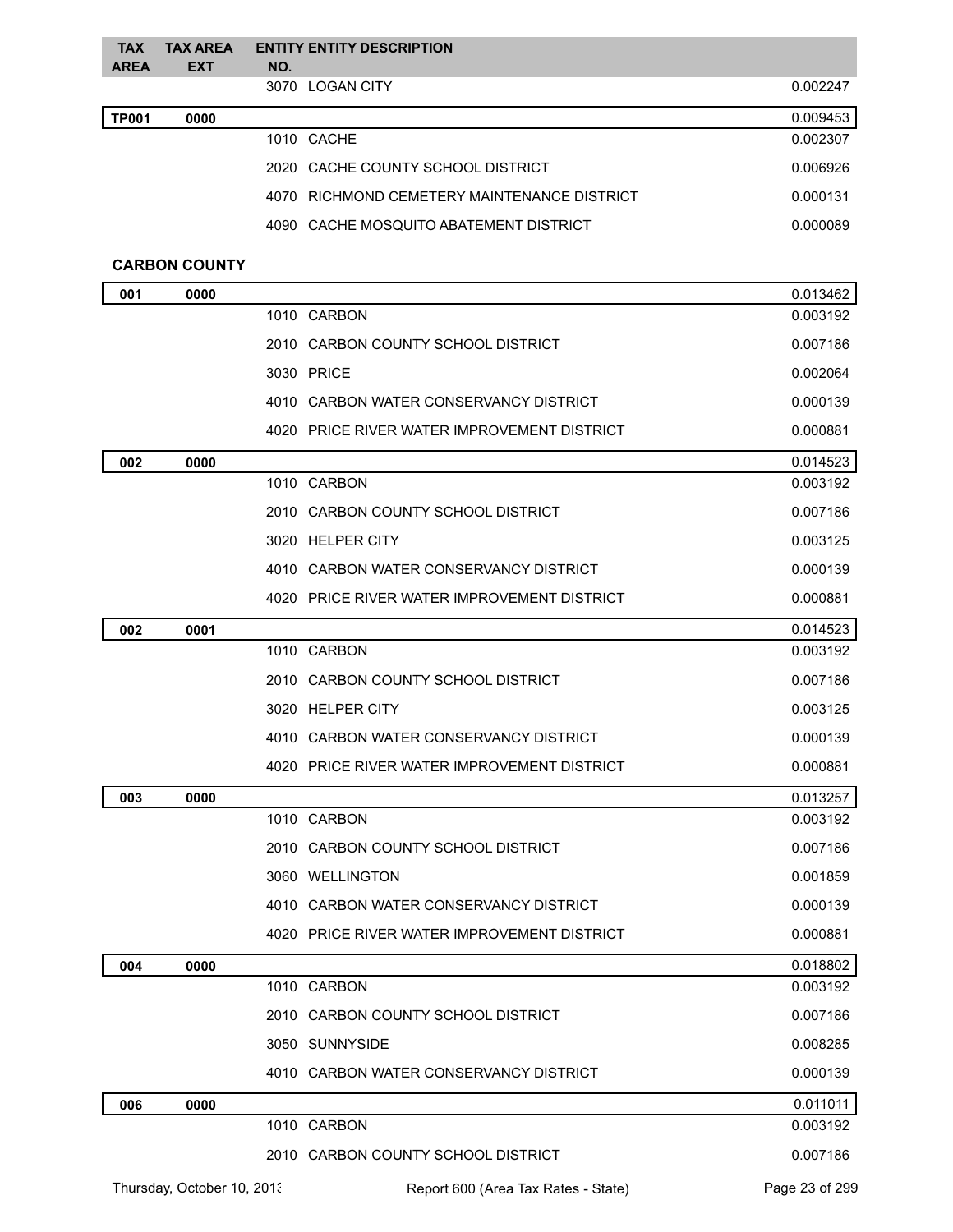| <b>TAX</b><br><b>AREA</b> | <b>TAX AREA</b><br><b>EXT</b> | NO. | <b>ENTITY ENTITY DESCRIPTION</b>            |          |
|---------------------------|-------------------------------|-----|---------------------------------------------|----------|
|                           |                               |     | 3070 LOGAN CITY                             | 0.002247 |
| <b>TP001</b>              | 0000                          |     |                                             | 0.009453 |
|                           |                               |     | 1010 CACHE                                  | 0.002307 |
|                           |                               |     | 2020 CACHE COUNTY SCHOOL DISTRICT           | 0.006926 |
|                           |                               |     | 4070 RICHMOND CEMETERY MAINTENANCE DISTRICT | 0.000131 |
|                           |                               |     | 4090 CACHE MOSQUITO ABATEMENT DISTRICT      | 0.000089 |
|                           | <b>CARBON COUNTY</b>          |     |                                             |          |
| 001                       | 0000                          |     |                                             | 0.013462 |
|                           |                               |     | 1010 CARBON                                 | 0.003192 |
|                           |                               |     | 2010 CARBON COUNTY SCHOOL DISTRICT          | 0.007186 |
|                           |                               |     | 3030 PRICE                                  | 0.002064 |
|                           |                               |     | 4010 CARBON WATER CONSERVANCY DISTRICT      | 0.000139 |
|                           |                               |     | 4020 PRICE RIVER WATER IMPROVEMENT DISTRICT | 0.000881 |
| 002                       | 0000                          |     |                                             | 0.014523 |
|                           |                               |     | 1010 CARBON                                 | 0.003192 |
|                           |                               |     | 2010 CARBON COUNTY SCHOOL DISTRICT          | 0.007186 |
|                           |                               |     | 3020 HELPER CITY                            | 0.003125 |
|                           |                               |     | 4010 CARBON WATER CONSERVANCY DISTRICT      | 0.000139 |
|                           |                               |     | 4020 PRICE RIVER WATER IMPROVEMENT DISTRICT | 0.000881 |
| 002                       | 0001                          |     |                                             | 0.014523 |
|                           |                               |     | 1010 CARBON                                 | 0.003192 |
|                           |                               |     | 2010 CARBON COUNTY SCHOOL DISTRICT          | 0.007186 |
|                           |                               |     | 3020 HELPER CITY                            | 0.003125 |
|                           |                               |     | 4010 CARBON WATER CONSERVANCY DISTRICT      | 0.000139 |
|                           |                               |     | 4020 PRICE RIVER WATER IMPROVEMENT DISTRICT | 0.000881 |
| 003                       | 0000                          |     |                                             | 0.013257 |
|                           |                               |     | 1010 CARBON                                 | 0.003192 |
|                           |                               |     | 2010 CARBON COUNTY SCHOOL DISTRICT          | 0.007186 |
|                           |                               |     | 3060 WELLINGTON                             | 0.001859 |
|                           |                               |     | 4010 CARBON WATER CONSERVANCY DISTRICT      | 0.000139 |
|                           |                               |     | 4020 PRICE RIVER WATER IMPROVEMENT DISTRICT | 0.000881 |
| 004                       | 0000                          |     |                                             | 0.018802 |
|                           |                               |     | 1010 CARBON                                 | 0.003192 |
|                           |                               |     | 2010 CARBON COUNTY SCHOOL DISTRICT          | 0.007186 |
|                           |                               |     | 3050 SUNNYSIDE                              | 0.008285 |
|                           |                               |     | 4010 CARBON WATER CONSERVANCY DISTRICT      | 0.000139 |
| 006                       | 0000                          |     |                                             | 0.011011 |
|                           |                               |     | 1010 CARBON                                 | 0.003192 |
|                           |                               |     | 2010 CARBON COUNTY SCHOOL DISTRICT          | 0.007186 |
|                           |                               |     |                                             |          |

Thursday, October 10, 2013 Report 600 (Area Tax Rates - State) Page 23 of 299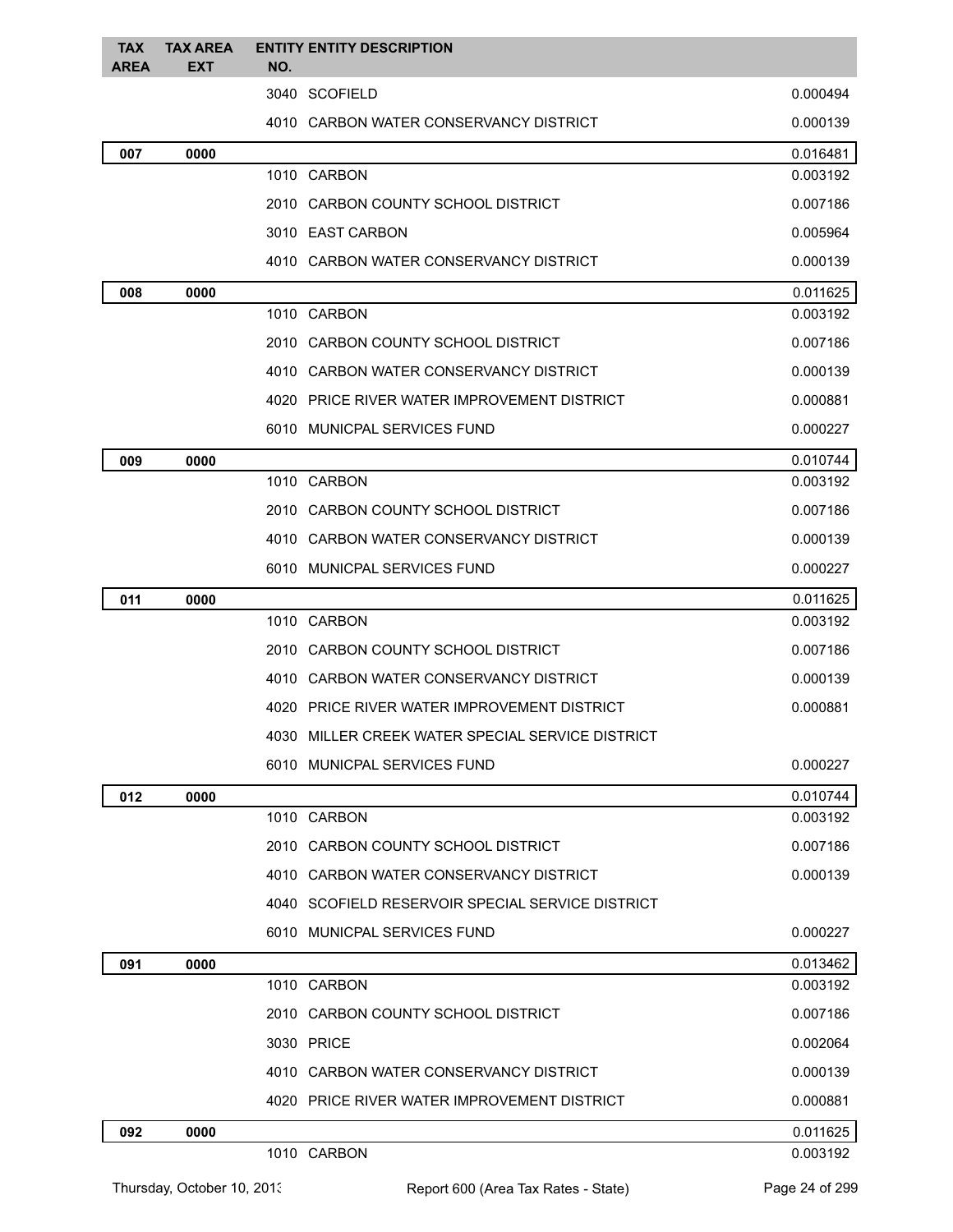| <b>TAX</b><br>AREA | <b>TAX AREA</b><br>EXT | <b>ENTITY ENTITY DESCRIPTION</b><br>NO.          |          |
|--------------------|------------------------|--------------------------------------------------|----------|
|                    |                        | 3040 SCOFIELD                                    | 0.000494 |
|                    |                        | 4010 CARBON WATER CONSERVANCY DISTRICT           | 0.000139 |
| 007                | 0000                   |                                                  | 0.016481 |
|                    |                        | 1010 CARBON                                      | 0.003192 |
|                    |                        | 2010 CARBON COUNTY SCHOOL DISTRICT               | 0.007186 |
|                    |                        | 3010 EAST CARBON                                 | 0.005964 |
|                    |                        | 4010 CARBON WATER CONSERVANCY DISTRICT           | 0.000139 |
| 008                | 0000                   |                                                  | 0.011625 |
|                    |                        | 1010 CARBON                                      | 0.003192 |
|                    |                        | 2010 CARBON COUNTY SCHOOL DISTRICT               | 0.007186 |
|                    |                        | 4010 CARBON WATER CONSERVANCY DISTRICT           | 0.000139 |
|                    |                        | 4020 PRICE RIVER WATER IMPROVEMENT DISTRICT      | 0.000881 |
|                    |                        | 6010 MUNICPAL SERVICES FUND                      | 0.000227 |
| 009                | 0000                   |                                                  | 0.010744 |
|                    |                        | 1010 CARBON                                      | 0.003192 |
|                    |                        | 2010 CARBON COUNTY SCHOOL DISTRICT               | 0.007186 |
|                    |                        | 4010 CARBON WATER CONSERVANCY DISTRICT           | 0.000139 |
|                    |                        | 6010 MUNICPAL SERVICES FUND                      | 0.000227 |
| 011                | 0000                   |                                                  | 0.011625 |
|                    |                        | 1010 CARBON                                      | 0.003192 |
|                    |                        | 2010 CARBON COUNTY SCHOOL DISTRICT               | 0.007186 |
|                    |                        | 4010 CARBON WATER CONSERVANCY DISTRICT           | 0.000139 |
|                    |                        | 4020 PRICE RIVER WATER IMPROVEMENT DISTRICT      | 0.000881 |
|                    |                        | 4030 MILLER CREEK WATER SPECIAL SERVICE DISTRICT |          |
|                    |                        | 6010 MUNICPAL SERVICES FUND                      | 0.000227 |
| 012                | 0000                   |                                                  | 0.010744 |
|                    |                        | 1010 CARBON                                      | 0.003192 |
|                    |                        | 2010 CARBON COUNTY SCHOOL DISTRICT               | 0.007186 |
|                    |                        | 4010 CARBON WATER CONSERVANCY DISTRICT           | 0.000139 |
|                    |                        | 4040 SCOFIELD RESERVOIR SPECIAL SERVICE DISTRICT |          |
|                    |                        | 6010 MUNICPAL SERVICES FUND                      | 0.000227 |
| 091                | 0000                   |                                                  | 0.013462 |
|                    |                        | 1010 CARBON                                      | 0.003192 |
|                    |                        | 2010 CARBON COUNTY SCHOOL DISTRICT               | 0.007186 |
|                    |                        | 3030 PRICE                                       | 0.002064 |
|                    |                        | 4010 CARBON WATER CONSERVANCY DISTRICT           | 0.000139 |
|                    |                        | 4020 PRICE RIVER WATER IMPROVEMENT DISTRICT      | 0.000881 |
| 092                | 0000                   |                                                  | 0.011625 |
|                    |                        | 1010 CARBON                                      | 0.003192 |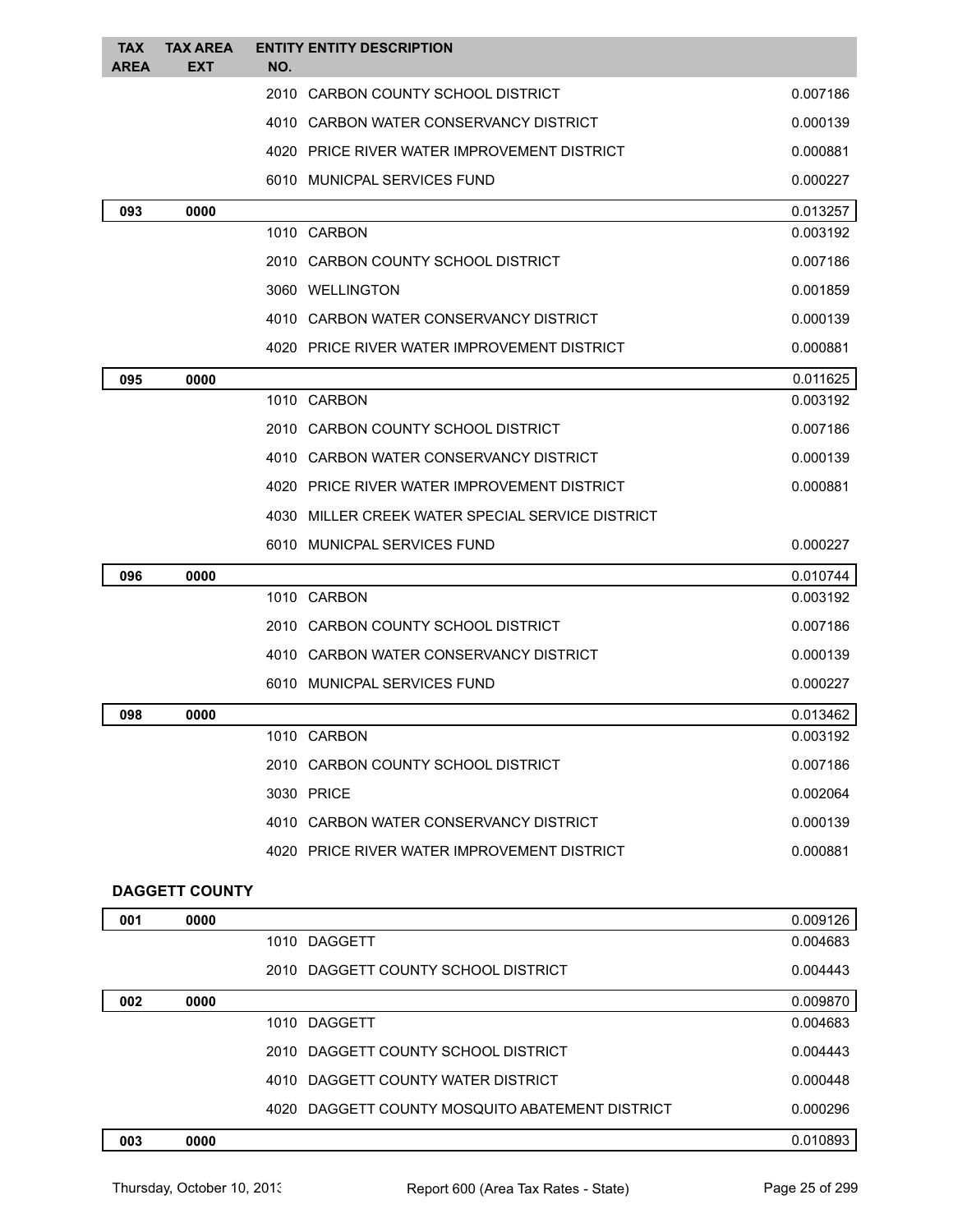| <b>TAX</b><br><b>AREA</b> | <b>TAX AREA</b><br>EXT | NO. | <b>ENTITY ENTITY DESCRIPTION</b>                 |          |
|---------------------------|------------------------|-----|--------------------------------------------------|----------|
|                           |                        |     | 2010 CARBON COUNTY SCHOOL DISTRICT               | 0.007186 |
|                           |                        |     | 4010 CARBON WATER CONSERVANCY DISTRICT           | 0.000139 |
|                           |                        |     | 4020 PRICE RIVER WATER IMPROVEMENT DISTRICT      | 0.000881 |
|                           |                        |     | 6010 MUNICPAL SERVICES FUND                      | 0.000227 |
| 093                       | 0000                   |     |                                                  | 0.013257 |
|                           |                        |     | 1010 CARBON                                      | 0.003192 |
|                           |                        |     | 2010 CARBON COUNTY SCHOOL DISTRICT               | 0.007186 |
|                           |                        |     | 3060 WELLINGTON                                  | 0.001859 |
|                           |                        |     | 4010 CARBON WATER CONSERVANCY DISTRICT           | 0.000139 |
|                           |                        |     | 4020 PRICE RIVER WATER IMPROVEMENT DISTRICT      | 0.000881 |
| 095                       | 0000                   |     |                                                  | 0.011625 |
|                           |                        |     | 1010 CARBON                                      | 0.003192 |
|                           |                        |     | 2010 CARBON COUNTY SCHOOL DISTRICT               | 0.007186 |
|                           |                        |     | 4010 CARBON WATER CONSERVANCY DISTRICT           | 0.000139 |
|                           |                        |     | 4020 PRICE RIVER WATER IMPROVEMENT DISTRICT      | 0.000881 |
|                           |                        |     | 4030 MILLER CREEK WATER SPECIAL SERVICE DISTRICT |          |
|                           |                        |     | 6010 MUNICPAL SERVICES FUND                      | 0.000227 |
| 096                       | 0000                   |     |                                                  | 0.010744 |
|                           |                        |     | 1010 CARBON                                      | 0.003192 |
|                           |                        |     | 2010 CARBON COUNTY SCHOOL DISTRICT               | 0.007186 |
|                           |                        |     | 4010 CARBON WATER CONSERVANCY DISTRICT           | 0.000139 |
|                           |                        |     | 6010 MUNICPAL SERVICES FUND                      | 0.000227 |
| 098                       | 0000                   |     |                                                  | 0.013462 |
|                           |                        |     | 1010 CARBON                                      | 0.003192 |
|                           |                        |     | 2010 CARBON COUNTY SCHOOL DISTRICT               | 0.007186 |
|                           |                        |     | 3030 PRICE                                       | 0.002064 |
|                           |                        |     | 4010 CARBON WATER CONSERVANCY DISTRICT           | 0.000139 |
|                           |                        |     | 4020 PRICE RIVER WATER IMPROVEMENT DISTRICT      | 0.000881 |
|                           | <b>DAGGETT COUNTY</b>  |     |                                                  |          |
| 001                       | 0000                   |     |                                                  | 0.009126 |
|                           |                        |     | 1010 DAGGETT                                     | 0.004683 |
|                           |                        |     | 2010 DAGGETT COUNTY SCHOOL DISTRICT              | 0.004443 |
| 002                       | 0000                   |     |                                                  | 0.009870 |
|                           |                        |     | 1010 DAGGETT                                     | 0.004683 |
|                           |                        |     | 2010 DAGGETT COUNTY SCHOOL DISTRICT              | 0.004443 |
|                           |                        |     | 4010 DAGGETT COUNTY WATER DISTRICT               | 0.000448 |
|                           |                        |     | 4020 DAGGETT COUNTY MOSQUITO ABATEMENT DISTRICT  | 0.000296 |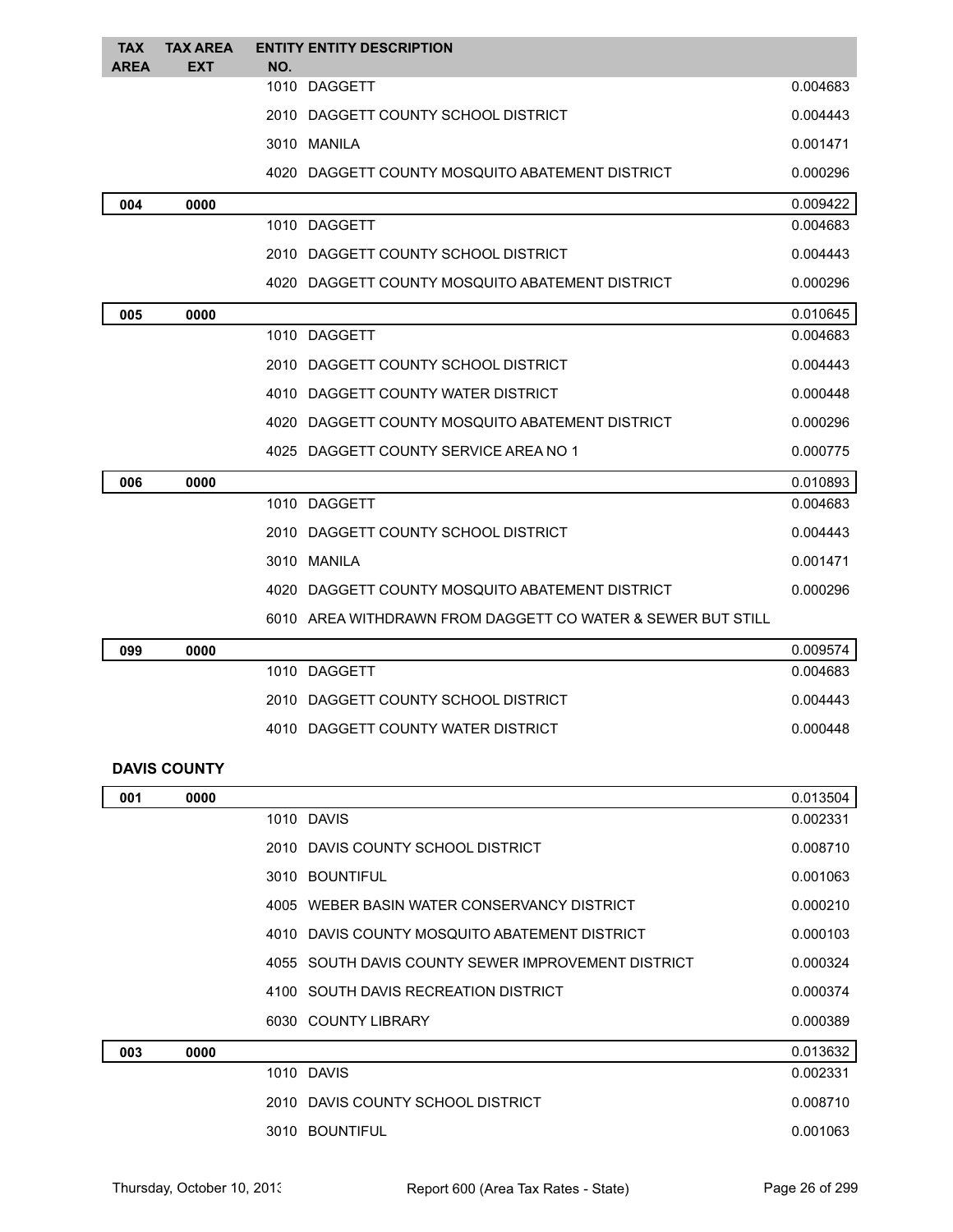| <b>TAX</b><br><b>AREA</b> | <b>TAX AREA</b><br><b>EXT</b> | <b>ENTITY ENTITY DESCRIPTION</b><br>NO.                     |          |
|---------------------------|-------------------------------|-------------------------------------------------------------|----------|
|                           |                               | 1010 DAGGETT                                                | 0.004683 |
|                           |                               | 2010 DAGGETT COUNTY SCHOOL DISTRICT                         | 0.004443 |
|                           |                               | 3010 MANILA                                                 | 0.001471 |
|                           |                               | 4020 DAGGETT COUNTY MOSQUITO ABATEMENT DISTRICT             | 0.000296 |
| 004                       | 0000                          |                                                             | 0.009422 |
|                           |                               | 1010 DAGGETT                                                | 0.004683 |
|                           |                               | 2010 DAGGETT COUNTY SCHOOL DISTRICT                         | 0.004443 |
|                           |                               | 4020 DAGGETT COUNTY MOSQUITO ABATEMENT DISTRICT             | 0.000296 |
| 005                       | 0000                          |                                                             | 0.010645 |
|                           |                               | 1010 DAGGETT                                                | 0.004683 |
|                           |                               | 2010 DAGGETT COUNTY SCHOOL DISTRICT                         | 0.004443 |
|                           |                               | 4010 DAGGETT COUNTY WATER DISTRICT                          | 0.000448 |
|                           |                               | 4020 DAGGETT COUNTY MOSQUITO ABATEMENT DISTRICT             | 0.000296 |
|                           |                               | 4025 DAGGETT COUNTY SERVICE AREA NO 1                       | 0.000775 |
| 006                       | 0000                          |                                                             | 0.010893 |
|                           |                               | 1010 DAGGETT                                                | 0.004683 |
|                           |                               | 2010 DAGGETT COUNTY SCHOOL DISTRICT                         | 0.004443 |
|                           |                               | 3010 MANILA                                                 | 0.001471 |
|                           |                               | 4020 DAGGETT COUNTY MOSQUITO ABATEMENT DISTRICT             | 0.000296 |
|                           |                               | 6010 AREA WITHDRAWN FROM DAGGETT CO WATER & SEWER BUT STILL |          |
| 099                       | 0000                          |                                                             | 0.009574 |
|                           |                               | 1010 DAGGETT                                                | 0.004683 |
|                           |                               | 2010 DAGGETT COUNTY SCHOOL DISTRICT                         | 0.004443 |
|                           |                               | 4010 DAGGETT COUNTY WATER DISTRICT                          | 0.000448 |
|                           | <b>DAVIS COUNTY</b>           |                                                             |          |
| 001                       | 0000                          |                                                             | 0.013504 |
|                           |                               | 1010 DAVIS                                                  | 0.002331 |
|                           |                               | 2010 DAVIS COUNTY SCHOOL DISTRICT                           | 0.008710 |
|                           |                               | 3010 BOUNTIFUL                                              | 0.001063 |
|                           |                               | 4005 WEBER BASIN WATER CONSERVANCY DISTRICT                 | 0.000210 |
|                           |                               | 4010 DAVIS COUNTY MOSQUITO ABATEMENT DISTRICT               | 0.000103 |
|                           |                               | 4055 SOUTH DAVIS COUNTY SEWER IMPROVEMENT DISTRICT          | 0.000324 |
|                           |                               | 4100 SOUTH DAVIS RECREATION DISTRICT                        | 0.000374 |
|                           |                               | 6030 COUNTY LIBRARY                                         | 0.000389 |
| 003                       | 0000                          |                                                             | 0.013632 |
|                           |                               | 1010 DAVIS                                                  | 0.002331 |
|                           |                               | 2010 DAVIS COUNTY SCHOOL DISTRICT                           | 0.008710 |
|                           |                               | 3010 BOUNTIFUL                                              | 0.001063 |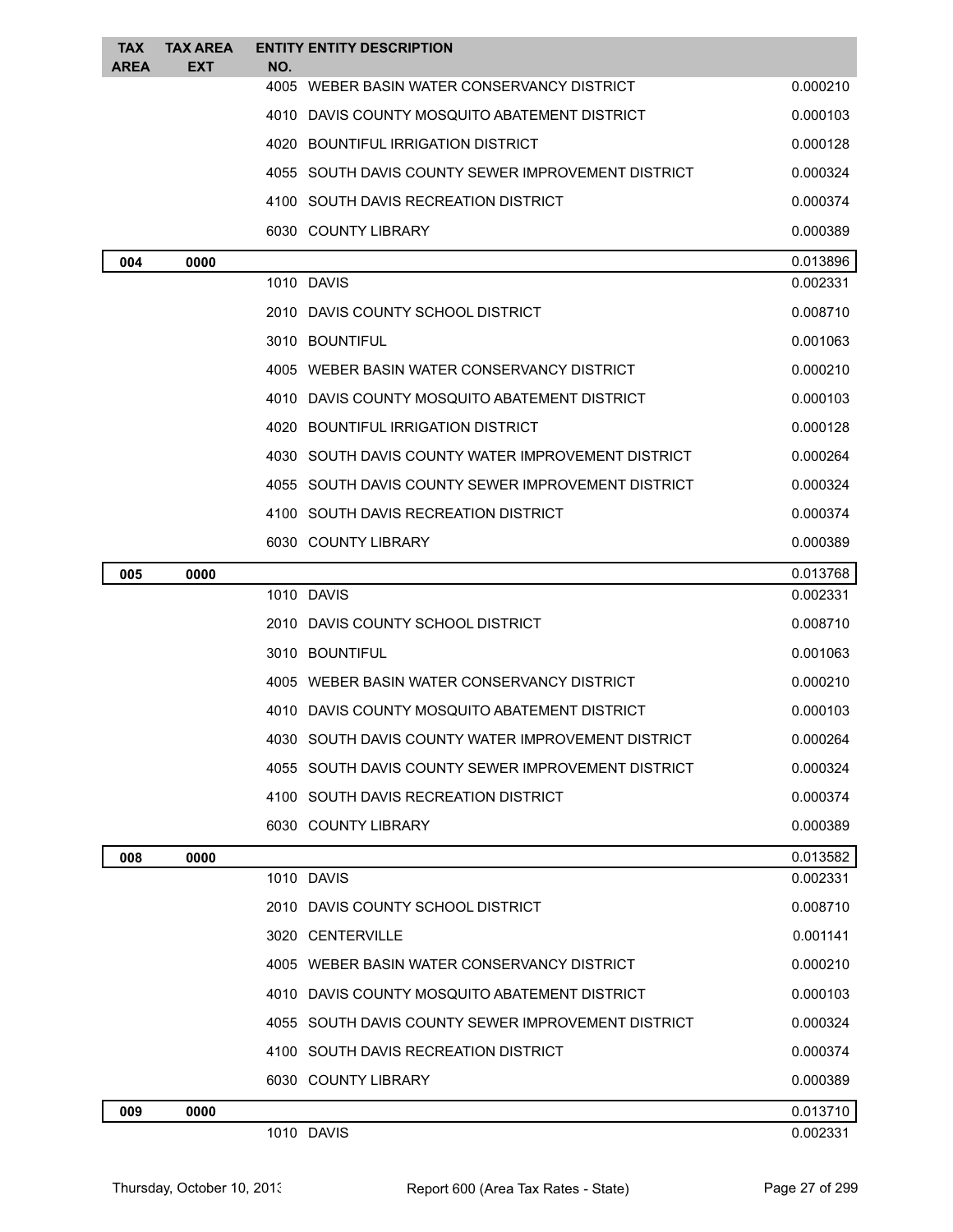| TAX<br><b>AREA</b> | <b>TAX AREA</b><br><b>EXT</b> | <b>ENTITY ENTITY DESCRIPTION</b><br>NO.              |          |
|--------------------|-------------------------------|------------------------------------------------------|----------|
|                    |                               | 4005 WEBER BASIN WATER CONSERVANCY DISTRICT          | 0.000210 |
|                    |                               | 4010 DAVIS COUNTY MOSQUITO ABATEMENT DISTRICT        | 0.000103 |
|                    |                               | 4020 BOUNTIFUL IRRIGATION DISTRICT                   | 0.000128 |
|                    |                               | 4055   SOUTH DAVIS COUNTY SEWER IMPROVEMENT DISTRICT | 0.000324 |
|                    |                               | 4100 SOUTH DAVIS RECREATION DISTRICT                 | 0.000374 |
|                    |                               | 6030 COUNTY LIBRARY                                  | 0.000389 |
| 004                | 0000                          |                                                      | 0.013896 |
|                    |                               | 1010 DAVIS                                           | 0.002331 |
|                    |                               | 2010 DAVIS COUNTY SCHOOL DISTRICT                    | 0.008710 |
|                    |                               | 3010 BOUNTIFUL                                       | 0.001063 |
|                    |                               | 4005 WEBER BASIN WATER CONSERVANCY DISTRICT          | 0.000210 |
|                    |                               | 4010 DAVIS COUNTY MOSQUITO ABATEMENT DISTRICT        | 0.000103 |
|                    |                               | 4020 BOUNTIFUL IRRIGATION DISTRICT                   | 0.000128 |
|                    |                               | 4030 SOUTH DAVIS COUNTY WATER IMPROVEMENT DISTRICT   | 0.000264 |
|                    |                               | 4055 SOUTH DAVIS COUNTY SEWER IMPROVEMENT DISTRICT   | 0.000324 |
|                    |                               | 4100 SOUTH DAVIS RECREATION DISTRICT                 | 0.000374 |
|                    |                               | 6030 COUNTY LIBRARY                                  | 0.000389 |
| 005                | 0000                          |                                                      | 0.013768 |
|                    |                               | 1010 DAVIS                                           | 0.002331 |
|                    |                               | 2010   DAVIS COUNTY SCHOOL DISTRICT                  | 0.008710 |
|                    |                               | 3010 BOUNTIFUL                                       | 0.001063 |
|                    |                               | 4005 WEBER BASIN WATER CONSERVANCY DISTRICT          | 0.000210 |
|                    |                               | 4010 DAVIS COUNTY MOSQUITO ABATEMENT DISTRICT        | 0.000103 |
|                    |                               | 4030 SOUTH DAVIS COUNTY WATER IMPROVEMENT DISTRICT   | 0.000264 |
|                    |                               | 4055 SOUTH DAVIS COUNTY SEWER IMPROVEMENT DISTRICT   | 0.000324 |
|                    |                               | 4100 SOUTH DAVIS RECREATION DISTRICT                 | 0.000374 |
|                    |                               | 6030 COUNTY LIBRARY                                  | 0.000389 |
| 008                | 0000                          |                                                      | 0.013582 |
|                    |                               | 1010 DAVIS                                           | 0.002331 |
|                    |                               | 2010 DAVIS COUNTY SCHOOL DISTRICT                    | 0.008710 |
|                    |                               | 3020 CENTERVILLE                                     | 0.001141 |
|                    |                               | 4005 WEBER BASIN WATER CONSERVANCY DISTRICT          | 0.000210 |
|                    |                               | 4010 DAVIS COUNTY MOSQUITO ABATEMENT DISTRICT        | 0.000103 |
|                    |                               | 4055   SOUTH DAVIS COUNTY SEWER IMPROVEMENT DISTRICT | 0.000324 |
|                    |                               | 4100 SOUTH DAVIS RECREATION DISTRICT                 | 0.000374 |
|                    |                               | 6030 COUNTY LIBRARY                                  | 0.000389 |
| 009                | 0000                          |                                                      | 0.013710 |
|                    |                               | 1010 DAVIS                                           | 0.002331 |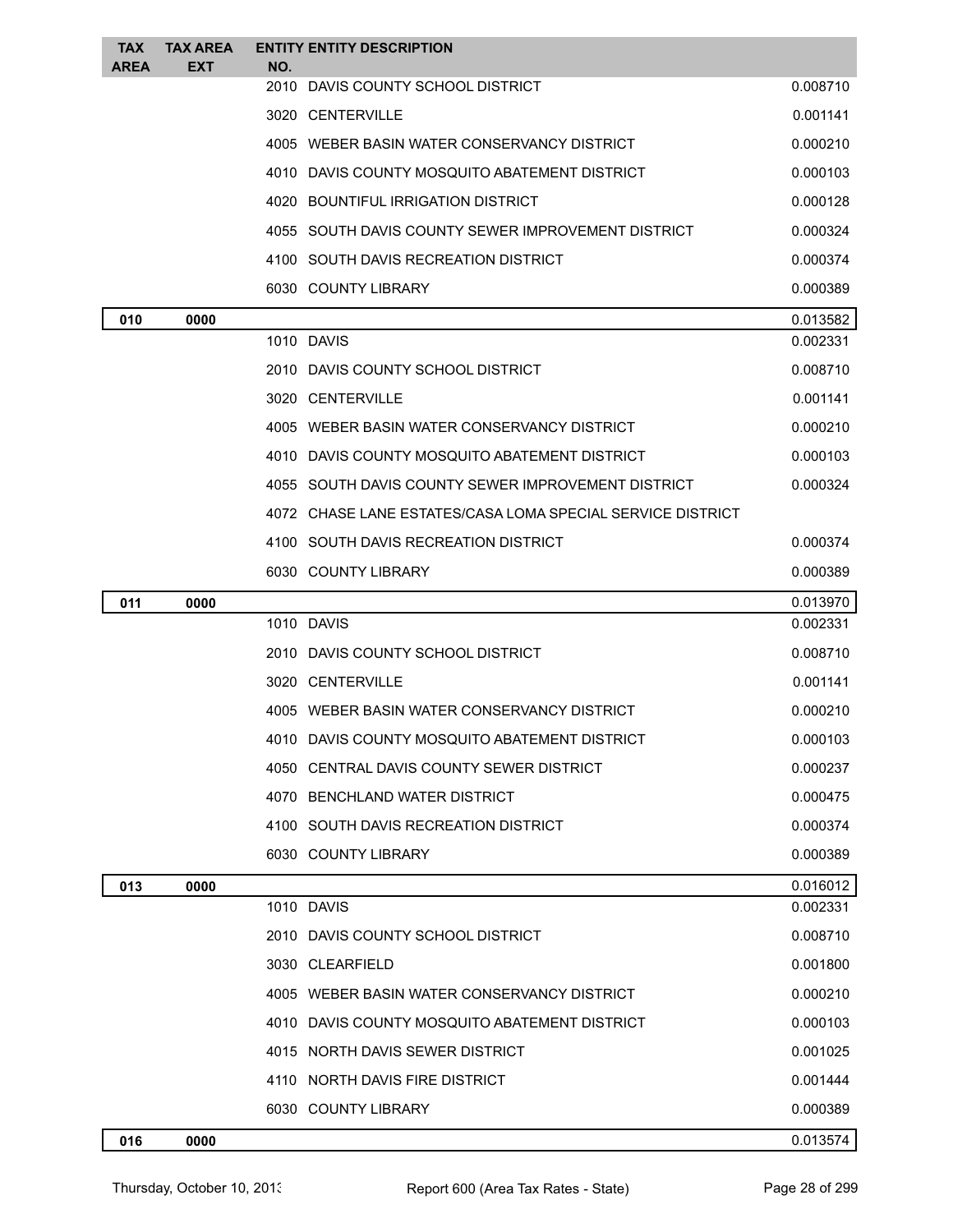| TAX<br><b>AREA</b> | <b>TAX AREA</b><br><b>EXT</b> | <b>ENTITY ENTITY DESCRIPTION</b><br>NO.                    |          |
|--------------------|-------------------------------|------------------------------------------------------------|----------|
|                    |                               | 2010 DAVIS COUNTY SCHOOL DISTRICT                          | 0.008710 |
|                    |                               | 3020 CENTERVILLE                                           | 0.001141 |
|                    |                               | 4005 WEBER BASIN WATER CONSERVANCY DISTRICT                | 0.000210 |
|                    |                               | 4010 DAVIS COUNTY MOSQUITO ABATEMENT DISTRICT              | 0.000103 |
|                    |                               | 4020 BOUNTIFUL IRRIGATION DISTRICT                         | 0.000128 |
|                    |                               | 4055 SOUTH DAVIS COUNTY SEWER IMPROVEMENT DISTRICT         | 0.000324 |
|                    |                               | 4100 SOUTH DAVIS RECREATION DISTRICT                       | 0.000374 |
|                    |                               | 6030 COUNTY LIBRARY                                        | 0.000389 |
| 010                | 0000                          |                                                            | 0.013582 |
|                    |                               | 1010 DAVIS                                                 | 0.002331 |
|                    |                               | 2010 DAVIS COUNTY SCHOOL DISTRICT                          | 0.008710 |
|                    |                               | 3020 CENTERVILLE                                           | 0.001141 |
|                    |                               | 4005 WEBER BASIN WATER CONSERVANCY DISTRICT                | 0.000210 |
|                    |                               | 4010 DAVIS COUNTY MOSQUITO ABATEMENT DISTRICT              | 0.000103 |
|                    |                               | 4055 SOUTH DAVIS COUNTY SEWER IMPROVEMENT DISTRICT         | 0.000324 |
|                    |                               | 4072 CHASE LANE ESTATES/CASA LOMA SPECIAL SERVICE DISTRICT |          |
|                    |                               | 4100 SOUTH DAVIS RECREATION DISTRICT                       | 0.000374 |
|                    |                               | 6030 COUNTY LIBRARY                                        | 0.000389 |
| 011                | 0000                          |                                                            | 0.013970 |
|                    |                               | 1010 DAVIS                                                 | 0.002331 |
|                    |                               | 2010 DAVIS COUNTY SCHOOL DISTRICT                          | 0.008710 |
|                    |                               | 3020 CENTERVILLE                                           | 0.001141 |
|                    |                               | 4005 WEBER BASIN WATER CONSERVANCY DISTRICT                | 0.000210 |
|                    |                               | 4010 DAVIS COUNTY MOSQUITO ABATEMENT DISTRICT              | 0.000103 |
|                    |                               | 4050 CENTRAL DAVIS COUNTY SEWER DISTRICT                   | 0.000237 |
|                    |                               | 4070 BENCHLAND WATER DISTRICT                              | 0.000475 |
|                    |                               | 4100 SOUTH DAVIS RECREATION DISTRICT                       | 0.000374 |
|                    |                               | 6030 COUNTY LIBRARY                                        | 0.000389 |
| 013                | 0000                          |                                                            | 0.016012 |
|                    |                               | 1010 DAVIS                                                 | 0.002331 |
|                    |                               | 2010 DAVIS COUNTY SCHOOL DISTRICT                          | 0.008710 |
|                    |                               | 3030 CLEARFIELD                                            | 0.001800 |
|                    |                               | 4005 WEBER BASIN WATER CONSERVANCY DISTRICT                | 0.000210 |
|                    |                               | 4010 DAVIS COUNTY MOSQUITO ABATEMENT DISTRICT              | 0.000103 |
|                    |                               | 4015 NORTH DAVIS SEWER DISTRICT                            | 0.001025 |
|                    |                               | 4110 NORTH DAVIS FIRE DISTRICT                             | 0.001444 |
|                    |                               | 6030 COUNTY LIBRARY                                        | 0.000389 |
| 016                | 0000                          |                                                            | 0.013574 |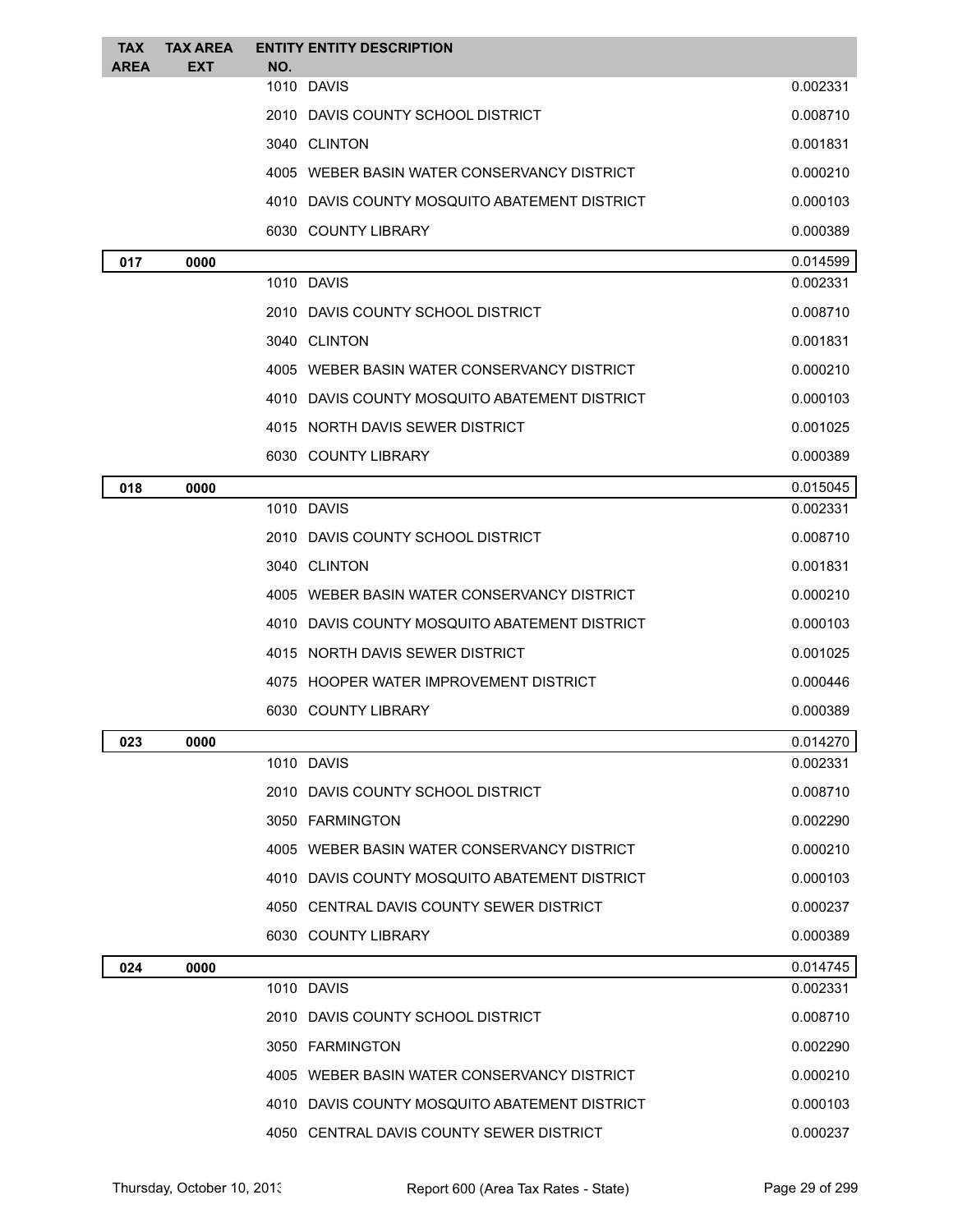| <b>TAX</b><br>AREA | <b>TAX AREA</b><br>EXT | <b>ENTITY ENTITY DESCRIPTION</b><br>NO.         |          |
|--------------------|------------------------|-------------------------------------------------|----------|
|                    |                        | 1010 DAVIS                                      | 0.002331 |
|                    |                        | 2010 DAVIS COUNTY SCHOOL DISTRICT               | 0.008710 |
|                    |                        | 3040 CLINTON                                    | 0.001831 |
|                    |                        | 4005 WEBER BASIN WATER CONSERVANCY DISTRICT     | 0.000210 |
|                    |                        | 4010   DAVIS COUNTY MOSQUITO ABATEMENT DISTRICT | 0.000103 |
|                    |                        | 6030 COUNTY LIBRARY                             | 0.000389 |
| 017                | 0000                   |                                                 | 0.014599 |
|                    |                        | 1010 DAVIS                                      | 0.002331 |
|                    |                        | 2010 DAVIS COUNTY SCHOOL DISTRICT               | 0.008710 |
|                    |                        | 3040 CLINTON                                    | 0.001831 |
|                    |                        | 4005 WEBER BASIN WATER CONSERVANCY DISTRICT     | 0.000210 |
|                    |                        | 4010 DAVIS COUNTY MOSQUITO ABATEMENT DISTRICT   | 0.000103 |
|                    |                        | 4015 NORTH DAVIS SEWER DISTRICT                 | 0.001025 |
|                    |                        | 6030 COUNTY LIBRARY                             | 0.000389 |
| 018                | 0000                   |                                                 | 0.015045 |
|                    |                        | 1010 DAVIS                                      | 0.002331 |
|                    |                        | 2010 DAVIS COUNTY SCHOOL DISTRICT               | 0.008710 |
|                    |                        | 3040 CLINTON                                    | 0.001831 |
|                    |                        | 4005 WEBER BASIN WATER CONSERVANCY DISTRICT     | 0.000210 |
|                    |                        | 4010 DAVIS COUNTY MOSQUITO ABATEMENT DISTRICT   | 0.000103 |
|                    |                        | 4015 NORTH DAVIS SEWER DISTRICT                 | 0.001025 |
|                    |                        | 4075 HOOPER WATER IMPROVEMENT DISTRICT          | 0.000446 |
|                    |                        | 6030 COUNTY LIBRARY                             | 0.000389 |
| 023                | 0000                   |                                                 | 0.014270 |
|                    |                        | 1010 DAVIS                                      | 0.002331 |
|                    |                        | 2010 DAVIS COUNTY SCHOOL DISTRICT               | 0.008710 |
|                    |                        | 3050 FARMINGTON                                 | 0.002290 |
|                    |                        | 4005 WEBER BASIN WATER CONSERVANCY DISTRICT     | 0.000210 |
|                    |                        | 4010 DAVIS COUNTY MOSQUITO ABATEMENT DISTRICT   | 0.000103 |
|                    |                        | 4050 CENTRAL DAVIS COUNTY SEWER DISTRICT        | 0.000237 |
|                    |                        | 6030 COUNTY LIBRARY                             | 0.000389 |
| 024                | 0000                   |                                                 | 0.014745 |
|                    |                        | 1010 DAVIS                                      | 0.002331 |
|                    |                        | 2010 DAVIS COUNTY SCHOOL DISTRICT               | 0.008710 |
|                    |                        | 3050 FARMINGTON                                 | 0.002290 |
|                    |                        | 4005 WEBER BASIN WATER CONSERVANCY DISTRICT     | 0.000210 |
|                    |                        | 4010 DAVIS COUNTY MOSQUITO ABATEMENT DISTRICT   | 0.000103 |
|                    |                        | 4050 CENTRAL DAVIS COUNTY SEWER DISTRICT        | 0.000237 |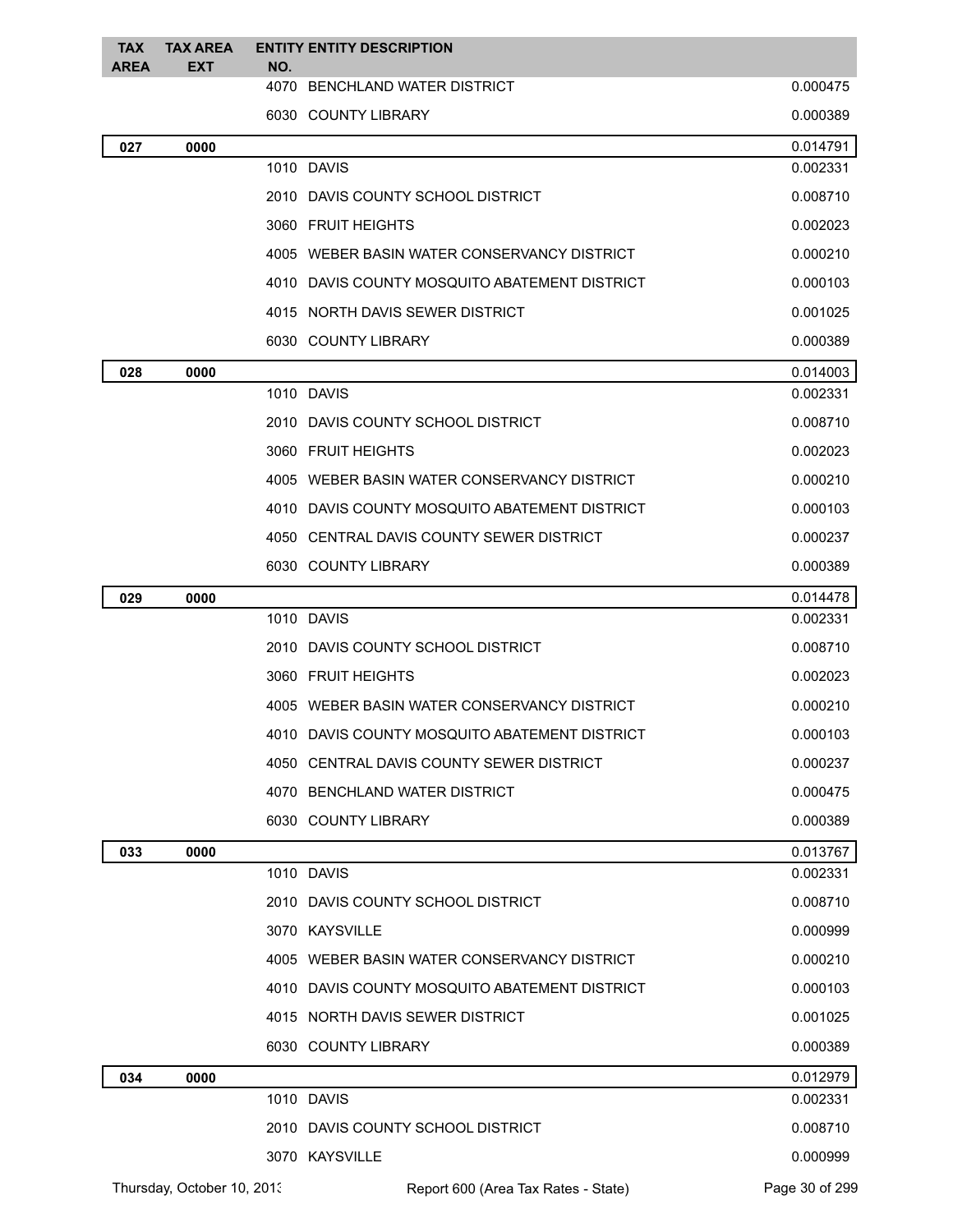| <b>TAX</b><br><b>AREA</b> | <b>TAX AREA</b><br><b>EXT</b> | NO. | <b>ENTITY ENTITY DESCRIPTION</b>              |                      |
|---------------------------|-------------------------------|-----|-----------------------------------------------|----------------------|
|                           |                               |     | 4070 BENCHLAND WATER DISTRICT                 | 0.000475             |
|                           |                               |     | 6030 COUNTY LIBRARY                           | 0.000389             |
| 027                       | 0000                          |     |                                               | 0.014791             |
|                           |                               |     | 1010 DAVIS                                    | 0.002331             |
|                           |                               |     | 2010 DAVIS COUNTY SCHOOL DISTRICT             | 0.008710             |
|                           |                               |     | 3060 FRUIT HEIGHTS                            | 0.002023             |
|                           |                               |     | 4005 WEBER BASIN WATER CONSERVANCY DISTRICT   | 0.000210             |
|                           |                               |     | 4010 DAVIS COUNTY MOSQUITO ABATEMENT DISTRICT | 0.000103             |
|                           |                               |     | 4015 NORTH DAVIS SEWER DISTRICT               | 0.001025             |
|                           |                               |     | 6030 COUNTY LIBRARY                           | 0.000389             |
| 028                       | 0000                          |     |                                               | 0.014003             |
|                           |                               |     | 1010 DAVIS                                    | 0.002331             |
|                           |                               |     | 2010 DAVIS COUNTY SCHOOL DISTRICT             | 0.008710             |
|                           |                               |     | 3060 FRUIT HEIGHTS                            | 0.002023             |
|                           |                               |     | 4005 WEBER BASIN WATER CONSERVANCY DISTRICT   | 0.000210             |
|                           |                               |     | 4010 DAVIS COUNTY MOSQUITO ABATEMENT DISTRICT | 0.000103             |
|                           |                               |     | 4050 CENTRAL DAVIS COUNTY SEWER DISTRICT      | 0.000237             |
|                           |                               |     | 6030 COUNTY LIBRARY                           | 0.000389             |
| 029                       | 0000                          |     |                                               | 0.014478             |
|                           |                               |     | 1010 DAVIS                                    | 0.002331             |
|                           |                               |     | 2010 DAVIS COUNTY SCHOOL DISTRICT             | 0.008710             |
|                           |                               |     | 3060 FRUIT HEIGHTS                            | 0.002023             |
|                           |                               |     | 4005 WEBER BASIN WATER CONSERVANCY DISTRICT   | 0.000210             |
|                           |                               |     | 4010 DAVIS COUNTY MOSQUITO ABATEMENT DISTRICT | 0.000103             |
|                           |                               |     | 4050 CENTRAL DAVIS COUNTY SEWER DISTRICT      | 0.000237             |
|                           |                               |     | 4070 BENCHLAND WATER DISTRICT                 | 0.000475             |
|                           |                               |     | 6030 COUNTY LIBRARY                           | 0.000389             |
| 033                       | 0000                          |     |                                               | 0.013767             |
|                           |                               |     | 1010 DAVIS                                    | 0.002331             |
|                           |                               |     | 2010 DAVIS COUNTY SCHOOL DISTRICT             | 0.008710             |
|                           |                               |     | 3070 KAYSVILLE                                | 0.000999             |
|                           |                               |     | 4005 WEBER BASIN WATER CONSERVANCY DISTRICT   | 0.000210             |
|                           |                               |     | 4010 DAVIS COUNTY MOSQUITO ABATEMENT DISTRICT | 0.000103             |
|                           |                               |     | 4015 NORTH DAVIS SEWER DISTRICT               | 0.001025             |
|                           |                               |     | 6030 COUNTY LIBRARY                           | 0.000389             |
| 034                       | 0000                          |     | 1010 DAVIS                                    | 0.012979<br>0.002331 |
|                           |                               |     |                                               |                      |
|                           |                               |     | 2010 DAVIS COUNTY SCHOOL DISTRICT             | 0.008710             |
|                           |                               |     | 3070 KAYSVILLE                                | 0.000999             |
|                           | Thursday, October 10, 2013    |     | Report 600 (Area Tax Rates - State)           | Page 30 of 299       |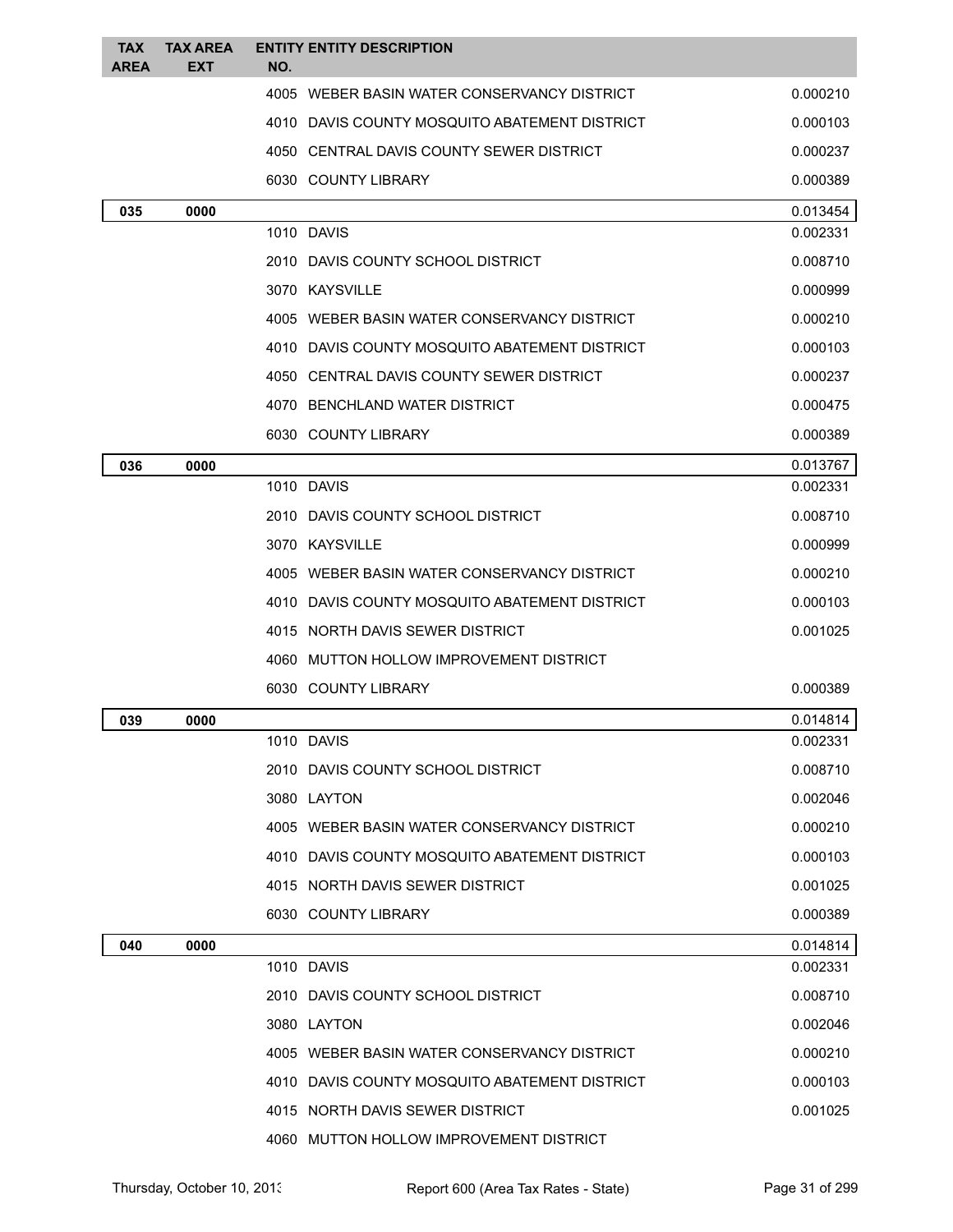| <b>TAX</b><br><b>AREA</b> | <b>TAX AREA</b><br>EXT | <b>ENTITY ENTITY DESCRIPTION</b><br>NO.       |          |
|---------------------------|------------------------|-----------------------------------------------|----------|
|                           |                        | 4005 WEBER BASIN WATER CONSERVANCY DISTRICT   | 0.000210 |
|                           |                        | 4010 DAVIS COUNTY MOSQUITO ABATEMENT DISTRICT | 0.000103 |
|                           |                        | 4050 CENTRAL DAVIS COUNTY SEWER DISTRICT      | 0.000237 |
|                           |                        | 6030 COUNTY LIBRARY                           | 0.000389 |
| 035                       | 0000                   |                                               | 0.013454 |
|                           |                        | 1010 DAVIS                                    | 0.002331 |
|                           |                        | 2010 DAVIS COUNTY SCHOOL DISTRICT             | 0.008710 |
|                           |                        | 3070 KAYSVILLE                                | 0.000999 |
|                           |                        | 4005 WEBER BASIN WATER CONSERVANCY DISTRICT   | 0.000210 |
|                           |                        | 4010 DAVIS COUNTY MOSQUITO ABATEMENT DISTRICT | 0.000103 |
|                           |                        | 4050 CENTRAL DAVIS COUNTY SEWER DISTRICT      | 0.000237 |
|                           |                        | 4070 BENCHLAND WATER DISTRICT                 | 0.000475 |
|                           |                        | 6030 COUNTY LIBRARY                           | 0.000389 |
| 036                       | 0000                   |                                               | 0.013767 |
|                           |                        | 1010 DAVIS                                    | 0.002331 |
|                           |                        | 2010 DAVIS COUNTY SCHOOL DISTRICT             | 0.008710 |
|                           |                        | 3070 KAYSVILLE                                | 0.000999 |
|                           |                        | 4005 WEBER BASIN WATER CONSERVANCY DISTRICT   | 0.000210 |
|                           |                        | 4010 DAVIS COUNTY MOSQUITO ABATEMENT DISTRICT | 0.000103 |
|                           |                        | 4015 NORTH DAVIS SEWER DISTRICT               | 0.001025 |
|                           |                        | 4060 MUTTON HOLLOW IMPROVEMENT DISTRICT       |          |
|                           |                        | 6030 COUNTY LIBRARY                           | 0.000389 |
| 039                       | 0000                   |                                               | 0.014814 |
|                           |                        | 1010 DAVIS                                    | 0.002331 |
|                           |                        | 2010 DAVIS COUNTY SCHOOL DISTRICT             | 0.008710 |
|                           |                        | 3080 LAYTON                                   | 0.002046 |
|                           |                        | 4005 WEBER BASIN WATER CONSERVANCY DISTRICT   | 0.000210 |
|                           |                        | 4010 DAVIS COUNTY MOSQUITO ABATEMENT DISTRICT | 0.000103 |
|                           |                        | 4015 NORTH DAVIS SEWER DISTRICT               | 0.001025 |
|                           |                        | 6030 COUNTY LIBRARY                           | 0.000389 |
| 040                       | 0000                   |                                               | 0.014814 |
|                           |                        | 1010 DAVIS                                    | 0.002331 |
|                           |                        | 2010 DAVIS COUNTY SCHOOL DISTRICT             | 0.008710 |
|                           |                        | 3080 LAYTON                                   | 0.002046 |
|                           |                        | 4005 WEBER BASIN WATER CONSERVANCY DISTRICT   | 0.000210 |
|                           |                        | 4010 DAVIS COUNTY MOSQUITO ABATEMENT DISTRICT | 0.000103 |
|                           |                        | 4015 NORTH DAVIS SEWER DISTRICT               | 0.001025 |
|                           |                        | 4060 MUTTON HOLLOW IMPROVEMENT DISTRICT       |          |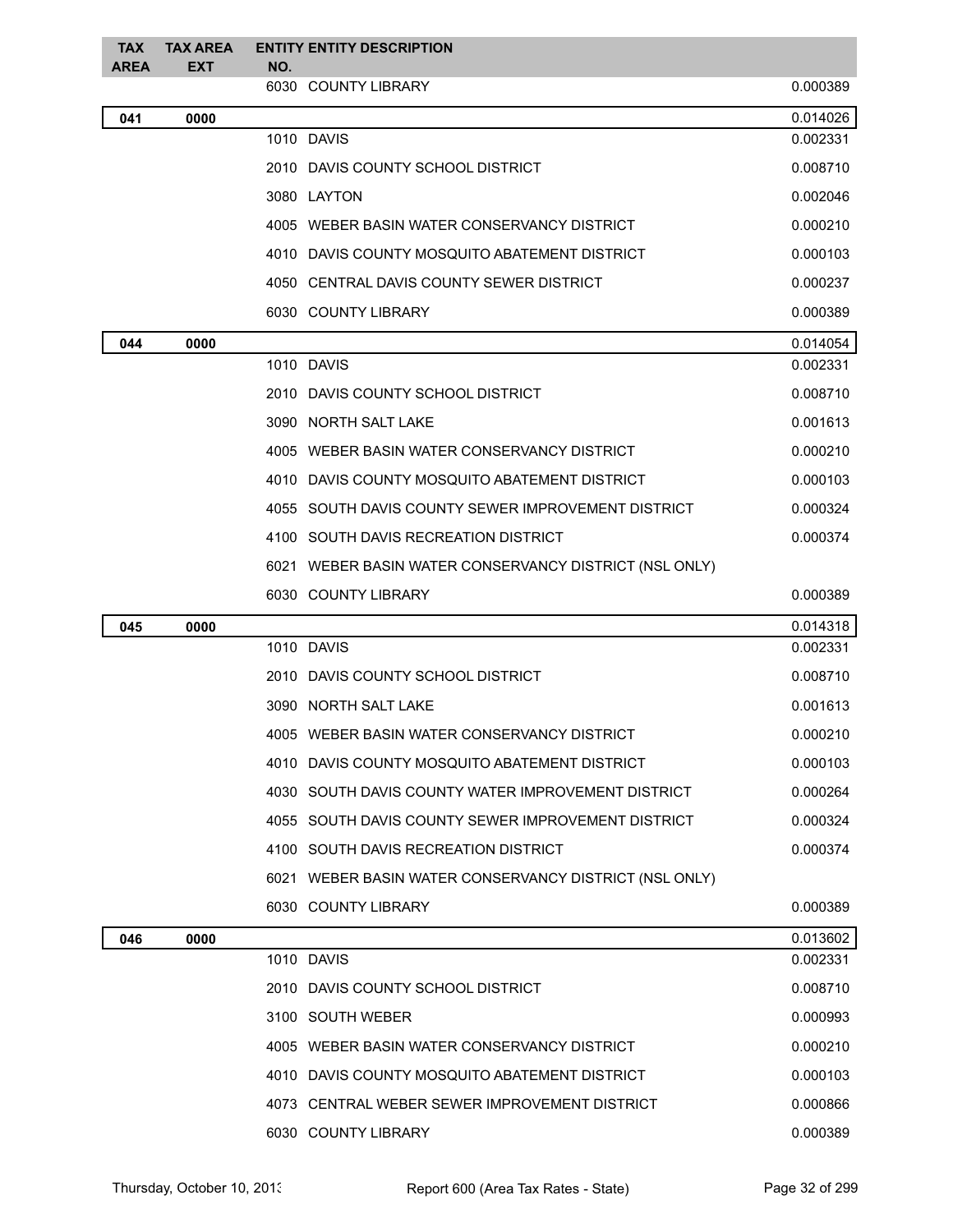| <b>TAX</b><br>AREA | <b>TAX AREA</b><br>EXT | <b>ENTITY ENTITY DESCRIPTION</b><br>NO.                |          |
|--------------------|------------------------|--------------------------------------------------------|----------|
|                    |                        | 6030 COUNTY LIBRARY                                    | 0.000389 |
| 041                | 0000                   |                                                        | 0.014026 |
|                    |                        | 1010 DAVIS                                             | 0.002331 |
|                    |                        | 2010 DAVIS COUNTY SCHOOL DISTRICT                      | 0.008710 |
|                    |                        | 3080 LAYTON                                            | 0.002046 |
|                    |                        | 4005 WEBER BASIN WATER CONSERVANCY DISTRICT            | 0.000210 |
|                    |                        | 4010 DAVIS COUNTY MOSQUITO ABATEMENT DISTRICT          | 0.000103 |
|                    |                        | 4050 CENTRAL DAVIS COUNTY SEWER DISTRICT               | 0.000237 |
|                    |                        | 6030 COUNTY LIBRARY                                    | 0.000389 |
| 044                | 0000                   |                                                        | 0.014054 |
|                    |                        | 1010 DAVIS                                             | 0.002331 |
|                    |                        | 2010 DAVIS COUNTY SCHOOL DISTRICT                      | 0.008710 |
|                    |                        | 3090 NORTH SALT LAKE                                   | 0.001613 |
|                    |                        | 4005 WEBER BASIN WATER CONSERVANCY DISTRICT            | 0.000210 |
|                    |                        | 4010 DAVIS COUNTY MOSQUITO ABATEMENT DISTRICT          | 0.000103 |
|                    |                        | 4055 SOUTH DAVIS COUNTY SEWER IMPROVEMENT DISTRICT     | 0.000324 |
|                    |                        | 4100 SOUTH DAVIS RECREATION DISTRICT                   | 0.000374 |
|                    |                        | 6021 WEBER BASIN WATER CONSERVANCY DISTRICT (NSL ONLY) |          |
|                    |                        | 6030 COUNTY LIBRARY                                    | 0.000389 |
| 045                | 0000                   |                                                        | 0.014318 |
|                    |                        | 1010 DAVIS                                             | 0.002331 |
|                    |                        | 2010 DAVIS COUNTY SCHOOL DISTRICT                      | 0.008710 |
|                    |                        | 3090 NORTH SALT LAKE                                   | 0.001613 |
|                    |                        | 4005 WEBER BASIN WATER CONSERVANCY DISTRICT            | 0.000210 |
|                    |                        | 4010 DAVIS COUNTY MOSQUITO ABATEMENT DISTRICT          | 0.000103 |
|                    |                        | 4030 SOUTH DAVIS COUNTY WATER IMPROVEMENT DISTRICT     | 0.000264 |
|                    |                        | 4055 SOUTH DAVIS COUNTY SEWER IMPROVEMENT DISTRICT     | 0.000324 |
|                    |                        | 4100 SOUTH DAVIS RECREATION DISTRICT                   | 0.000374 |
|                    |                        | 6021 WEBER BASIN WATER CONSERVANCY DISTRICT (NSL ONLY) |          |
|                    |                        | 6030 COUNTY LIBRARY                                    | 0.000389 |
| 046                | 0000                   |                                                        | 0.013602 |
|                    |                        | 1010 DAVIS                                             | 0.002331 |
|                    |                        | 2010 DAVIS COUNTY SCHOOL DISTRICT                      | 0.008710 |
|                    |                        | 3100 SOUTH WEBER                                       | 0.000993 |
|                    |                        | 4005 WEBER BASIN WATER CONSERVANCY DISTRICT            | 0.000210 |
|                    |                        | 4010 DAVIS COUNTY MOSQUITO ABATEMENT DISTRICT          | 0.000103 |
|                    |                        | 4073 CENTRAL WEBER SEWER IMPROVEMENT DISTRICT          | 0.000866 |
|                    |                        | 6030 COUNTY LIBRARY                                    | 0.000389 |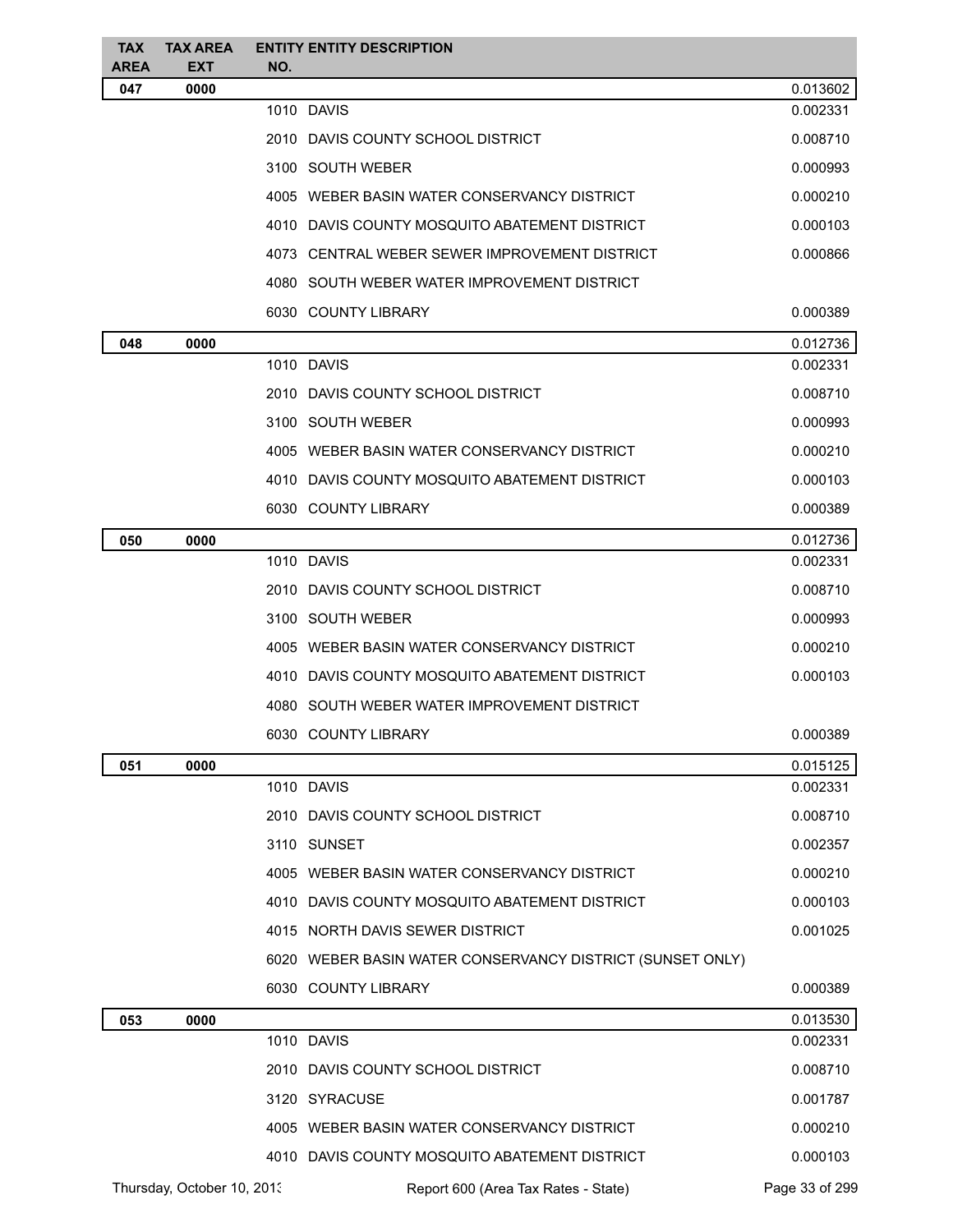| <b>TAX</b><br><b>AREA</b> | <b>TAX AREA</b><br>EXT     | NO. | <b>ENTITY ENTITY DESCRIPTION</b>                          |                |
|---------------------------|----------------------------|-----|-----------------------------------------------------------|----------------|
| 047                       | 0000                       |     |                                                           | 0.013602       |
|                           |                            |     | 1010 DAVIS                                                | 0.002331       |
|                           |                            |     | 2010 DAVIS COUNTY SCHOOL DISTRICT                         | 0.008710       |
|                           |                            |     | 3100 SOUTH WEBER                                          | 0.000993       |
|                           |                            |     | 4005 WEBER BASIN WATER CONSERVANCY DISTRICT               | 0.000210       |
|                           |                            |     | 4010 DAVIS COUNTY MOSQUITO ABATEMENT DISTRICT             | 0.000103       |
|                           |                            |     | 4073 CENTRAL WEBER SEWER IMPROVEMENT DISTRICT             | 0.000866       |
|                           |                            |     | 4080 SOUTH WEBER WATER IMPROVEMENT DISTRICT               |                |
|                           |                            |     | 6030 COUNTY LIBRARY                                       | 0.000389       |
| 048                       | 0000                       |     |                                                           | 0.012736       |
|                           |                            |     | 1010 DAVIS                                                | 0.002331       |
|                           |                            |     | 2010 DAVIS COUNTY SCHOOL DISTRICT                         | 0.008710       |
|                           |                            |     | 3100 SOUTH WEBER                                          | 0.000993       |
|                           |                            |     | 4005 WEBER BASIN WATER CONSERVANCY DISTRICT               | 0.000210       |
|                           |                            |     | 4010 DAVIS COUNTY MOSQUITO ABATEMENT DISTRICT             | 0.000103       |
|                           |                            |     | 6030 COUNTY LIBRARY                                       | 0.000389       |
| 050                       | 0000                       |     |                                                           | 0.012736       |
|                           |                            |     | 1010 DAVIS                                                | 0.002331       |
|                           |                            |     | 2010 DAVIS COUNTY SCHOOL DISTRICT                         | 0.008710       |
|                           |                            |     | 3100 SOUTH WEBER                                          | 0.000993       |
|                           |                            |     | 4005 WEBER BASIN WATER CONSERVANCY DISTRICT               | 0.000210       |
|                           |                            |     | 4010 DAVIS COUNTY MOSQUITO ABATEMENT DISTRICT             | 0.000103       |
|                           |                            |     | 4080 SOUTH WEBER WATER IMPROVEMENT DISTRICT               |                |
|                           |                            |     | 6030 COUNTY LIBRARY                                       | 0.000389       |
| 051                       | 0000                       |     |                                                           | 0.015125       |
|                           |                            |     | 1010 DAVIS                                                | 0.002331       |
|                           |                            |     | 2010 DAVIS COUNTY SCHOOL DISTRICT                         | 0.008710       |
|                           |                            |     | 3110 SUNSET                                               | 0.002357       |
|                           |                            |     | 4005 WEBER BASIN WATER CONSERVANCY DISTRICT               | 0.000210       |
|                           |                            |     | 4010 DAVIS COUNTY MOSQUITO ABATEMENT DISTRICT             | 0.000103       |
|                           |                            |     | 4015 NORTH DAVIS SEWER DISTRICT                           | 0.001025       |
|                           |                            |     | 6020 WEBER BASIN WATER CONSERVANCY DISTRICT (SUNSET ONLY) |                |
|                           |                            |     | 6030 COUNTY LIBRARY                                       | 0.000389       |
| 053                       | 0000                       |     |                                                           | 0.013530       |
|                           |                            |     | 1010 DAVIS                                                | 0.002331       |
|                           |                            |     | 2010 DAVIS COUNTY SCHOOL DISTRICT                         | 0.008710       |
|                           |                            |     | 3120 SYRACUSE                                             | 0.001787       |
|                           |                            |     | 4005 WEBER BASIN WATER CONSERVANCY DISTRICT               | 0.000210       |
|                           |                            |     | 4010 DAVIS COUNTY MOSQUITO ABATEMENT DISTRICT             | 0.000103       |
|                           | Thursday, October 10, 2013 |     | Report 600 (Area Tax Rates - State)                       | Page 33 of 299 |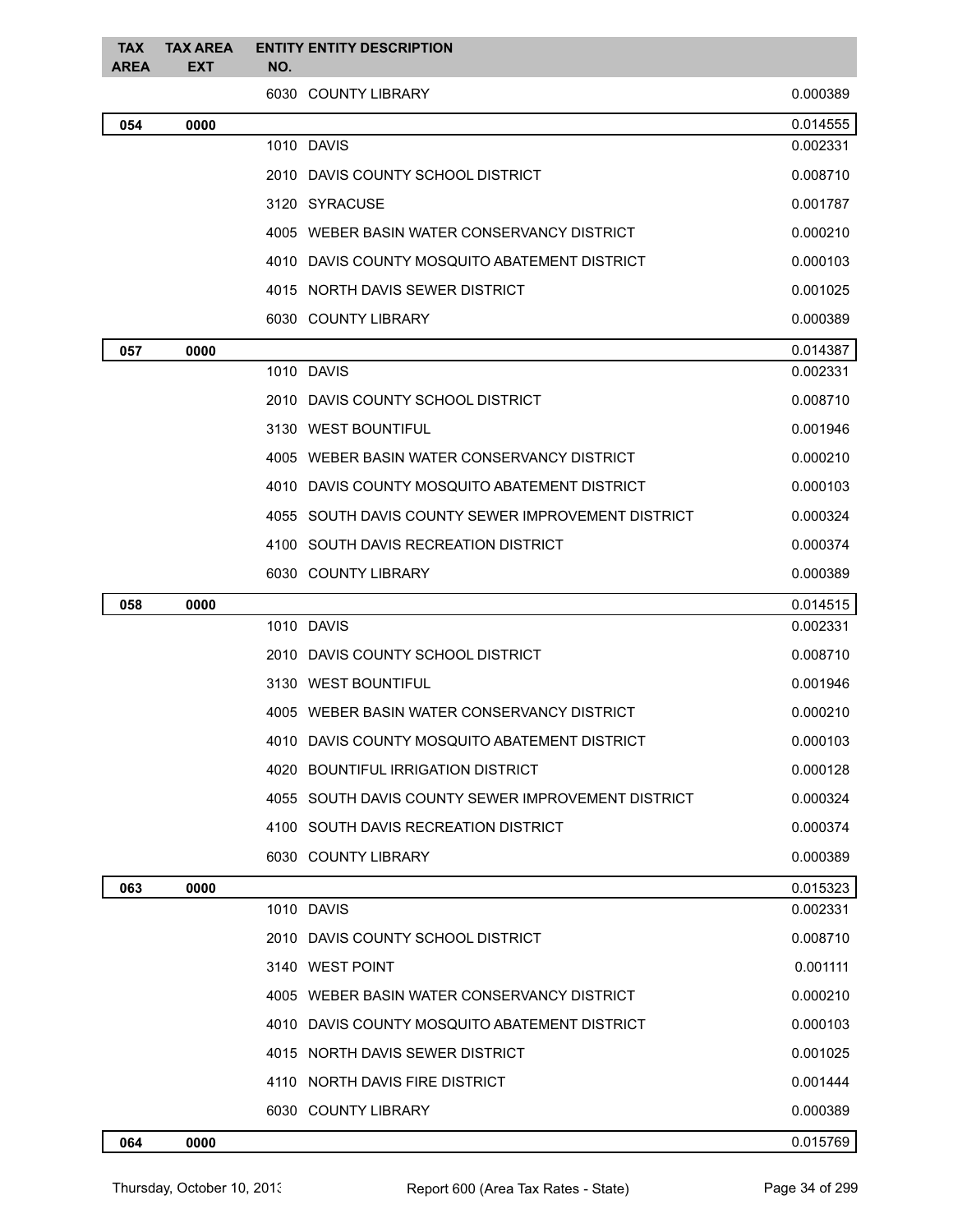| <b>TAX</b><br><b>AREA</b> | <b>TAX AREA</b><br><b>EXT</b> | <b>ENTITY ENTITY DESCRIPTION</b><br>NO.            |          |
|---------------------------|-------------------------------|----------------------------------------------------|----------|
|                           |                               | 6030 COUNTY LIBRARY                                | 0.000389 |
| 054                       | 0000                          |                                                    | 0.014555 |
|                           |                               | 1010 DAVIS                                         | 0.002331 |
|                           |                               | 2010 DAVIS COUNTY SCHOOL DISTRICT                  | 0.008710 |
|                           |                               | 3120 SYRACUSE                                      | 0.001787 |
|                           |                               | 4005 WEBER BASIN WATER CONSERVANCY DISTRICT        | 0.000210 |
|                           |                               | 4010 DAVIS COUNTY MOSQUITO ABATEMENT DISTRICT      | 0.000103 |
|                           |                               | 4015 NORTH DAVIS SEWER DISTRICT                    | 0.001025 |
|                           |                               | 6030 COUNTY LIBRARY                                | 0.000389 |
| 057                       | 0000                          |                                                    | 0.014387 |
|                           |                               | 1010 DAVIS                                         | 0.002331 |
|                           |                               | 2010 DAVIS COUNTY SCHOOL DISTRICT                  | 0.008710 |
|                           |                               | 3130 WEST BOUNTIFUL                                | 0.001946 |
|                           |                               | 4005 WEBER BASIN WATER CONSERVANCY DISTRICT        | 0.000210 |
|                           |                               | 4010 DAVIS COUNTY MOSQUITO ABATEMENT DISTRICT      | 0.000103 |
|                           |                               | 4055 SOUTH DAVIS COUNTY SEWER IMPROVEMENT DISTRICT | 0.000324 |
|                           |                               | 4100 SOUTH DAVIS RECREATION DISTRICT               | 0.000374 |
|                           |                               | 6030 COUNTY LIBRARY                                | 0.000389 |
| 058                       | 0000                          |                                                    | 0.014515 |
|                           |                               | 1010 DAVIS                                         | 0.002331 |
|                           |                               | 2010 DAVIS COUNTY SCHOOL DISTRICT                  | 0.008710 |
|                           |                               | 3130 WEST BOUNTIFUL                                | 0.001946 |
|                           |                               | 4005 WEBER BASIN WATER CONSERVANCY DISTRICT        | 0.000210 |
|                           |                               | 4010 DAVIS COUNTY MOSQUITO ABATEMENT DISTRICT      | 0.000103 |
|                           |                               | 4020 BOUNTIFUL IRRIGATION DISTRICT                 | 0.000128 |
|                           |                               | 4055 SOUTH DAVIS COUNTY SEWER IMPROVEMENT DISTRICT | 0.000324 |
|                           |                               | 4100 SOUTH DAVIS RECREATION DISTRICT               | 0.000374 |
|                           |                               | 6030 COUNTY LIBRARY                                | 0.000389 |
| 063                       | 0000                          |                                                    | 0.015323 |
|                           |                               | 1010 DAVIS                                         | 0.002331 |
|                           |                               | 2010 DAVIS COUNTY SCHOOL DISTRICT                  | 0.008710 |
|                           |                               | 3140 WEST POINT                                    | 0.001111 |
|                           |                               | 4005 WEBER BASIN WATER CONSERVANCY DISTRICT        | 0.000210 |
|                           |                               | 4010 DAVIS COUNTY MOSQUITO ABATEMENT DISTRICT      | 0.000103 |
|                           |                               | 4015 NORTH DAVIS SEWER DISTRICT                    | 0.001025 |
|                           |                               | 4110 NORTH DAVIS FIRE DISTRICT                     | 0.001444 |
|                           |                               | 6030 COUNTY LIBRARY                                | 0.000389 |
| 064                       | 0000                          |                                                    | 0.015769 |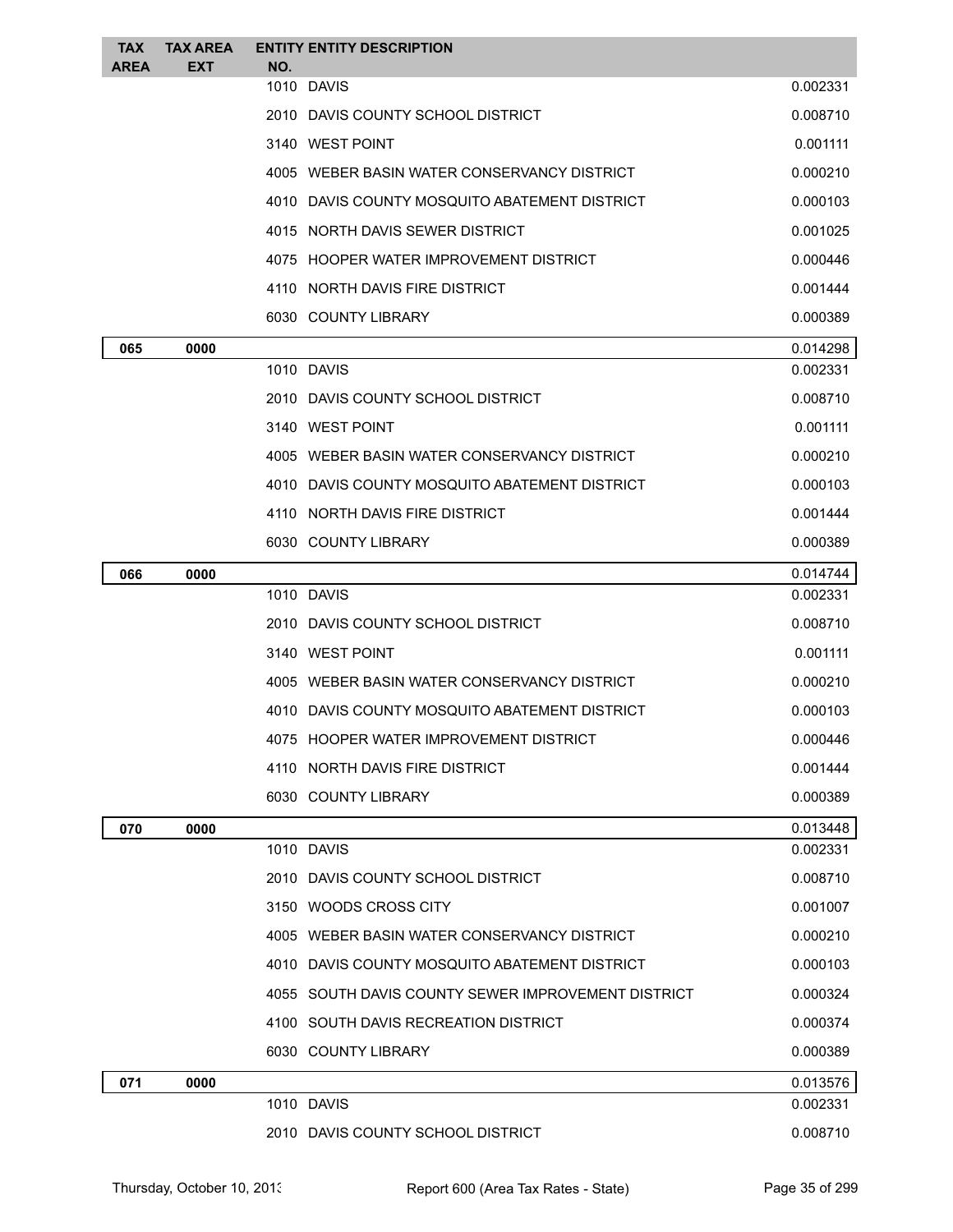| <b>TAX</b><br><b>AREA</b> | <b>TAX AREA</b><br><b>EXT</b> | <b>ENTITY ENTITY DESCRIPTION</b><br>NO.            |          |
|---------------------------|-------------------------------|----------------------------------------------------|----------|
|                           |                               | 1010 DAVIS                                         | 0.002331 |
|                           |                               | 2010 DAVIS COUNTY SCHOOL DISTRICT                  | 0.008710 |
|                           |                               | 3140 WEST POINT                                    | 0.001111 |
|                           |                               | 4005 WEBER BASIN WATER CONSERVANCY DISTRICT        | 0.000210 |
|                           |                               | 4010 DAVIS COUNTY MOSQUITO ABATEMENT DISTRICT      | 0.000103 |
|                           |                               | 4015 NORTH DAVIS SEWER DISTRICT                    | 0.001025 |
|                           |                               | 4075 HOOPER WATER IMPROVEMENT DISTRICT             | 0.000446 |
|                           |                               | 4110 NORTH DAVIS FIRE DISTRICT                     | 0.001444 |
|                           |                               | 6030 COUNTY LIBRARY                                | 0.000389 |
| 065                       | 0000                          |                                                    | 0.014298 |
|                           |                               | 1010 DAVIS                                         | 0.002331 |
|                           |                               | 2010 DAVIS COUNTY SCHOOL DISTRICT                  | 0.008710 |
|                           |                               | 3140 WEST POINT                                    | 0.001111 |
|                           |                               | 4005 WEBER BASIN WATER CONSERVANCY DISTRICT        | 0.000210 |
|                           |                               | 4010 DAVIS COUNTY MOSQUITO ABATEMENT DISTRICT      | 0.000103 |
|                           |                               | 4110 NORTH DAVIS FIRE DISTRICT                     | 0.001444 |
|                           |                               | 6030 COUNTY LIBRARY                                | 0.000389 |
| 066                       | 0000                          |                                                    | 0.014744 |
|                           |                               | 1010 DAVIS                                         | 0.002331 |
|                           |                               | 2010 DAVIS COUNTY SCHOOL DISTRICT                  | 0.008710 |
|                           |                               | 3140 WEST POINT                                    | 0.001111 |
|                           |                               | 4005 WEBER BASIN WATER CONSERVANCY DISTRICT        | 0.000210 |
|                           |                               | 4010 DAVIS COUNTY MOSQUITO ABATEMENT DISTRICT      | 0.000103 |
|                           |                               | 4075 HOOPER WATER IMPROVEMENT DISTRICT             | 0.000446 |
|                           |                               | 4110 NORTH DAVIS FIRE DISTRICT                     | 0.001444 |
|                           |                               | 6030 COUNTY LIBRARY                                | 0.000389 |
| 070                       | 0000                          |                                                    | 0.013448 |
|                           |                               | 1010 DAVIS                                         | 0.002331 |
|                           |                               | 2010 DAVIS COUNTY SCHOOL DISTRICT                  | 0.008710 |
|                           |                               | 3150 WOODS CROSS CITY                              | 0.001007 |
|                           |                               | 4005 WEBER BASIN WATER CONSERVANCY DISTRICT        | 0.000210 |
|                           |                               | 4010 DAVIS COUNTY MOSQUITO ABATEMENT DISTRICT      | 0.000103 |
|                           |                               | 4055 SOUTH DAVIS COUNTY SEWER IMPROVEMENT DISTRICT | 0.000324 |
|                           |                               | 4100 SOUTH DAVIS RECREATION DISTRICT               | 0.000374 |
|                           |                               | 6030 COUNTY LIBRARY                                | 0.000389 |
| 071                       | 0000                          |                                                    | 0.013576 |
|                           |                               | 1010 DAVIS                                         | 0.002331 |
|                           |                               | 2010 DAVIS COUNTY SCHOOL DISTRICT                  | 0.008710 |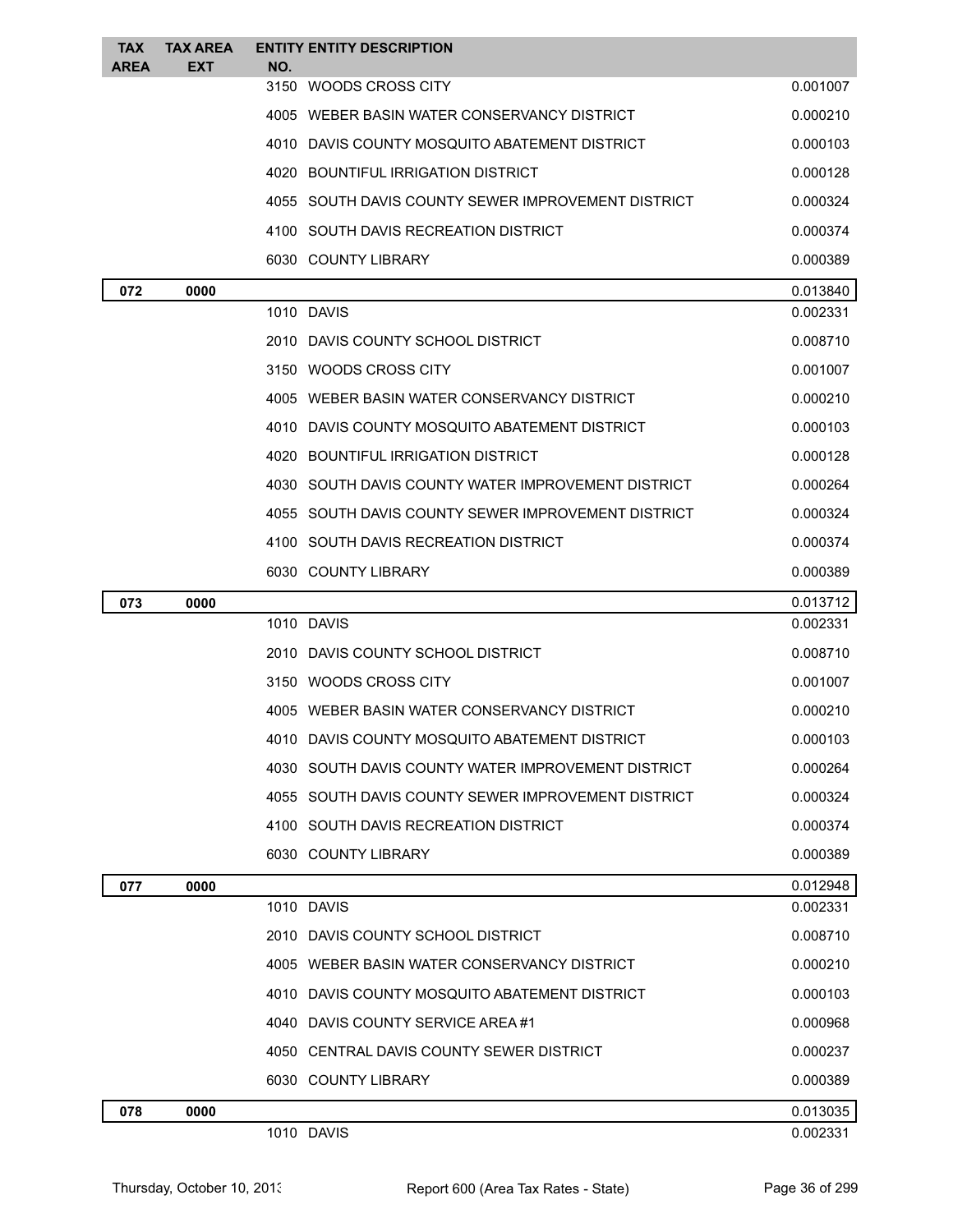| <b>TAX</b><br><b>AREA</b> | <b>TAX AREA</b><br><b>EXT</b> | <b>ENTITY ENTITY DESCRIPTION</b><br>NO.               |          |
|---------------------------|-------------------------------|-------------------------------------------------------|----------|
|                           |                               | 3150 WOODS CROSS CITY                                 | 0.001007 |
|                           |                               | 4005 WEBER BASIN WATER CONSERVANCY DISTRICT           | 0.000210 |
|                           |                               | 4010 DAVIS COUNTY MOSQUITO ABATEMENT DISTRICT         | 0.000103 |
|                           |                               | 4020 BOUNTIFUL IRRIGATION DISTRICT                    | 0.000128 |
|                           |                               | 4055 SOUTH DAVIS COUNTY SEWER IMPROVEMENT DISTRICT    | 0.000324 |
|                           |                               | 4100 SOUTH DAVIS RECREATION DISTRICT                  | 0.000374 |
|                           |                               | 6030 COUNTY LIBRARY                                   | 0.000389 |
| 072                       | 0000                          |                                                       | 0.013840 |
|                           |                               | 1010 DAVIS                                            | 0.002331 |
|                           |                               | 2010 DAVIS COUNTY SCHOOL DISTRICT                     | 0.008710 |
|                           |                               | 3150 WOODS CROSS CITY                                 | 0.001007 |
|                           |                               | 4005 WEBER BASIN WATER CONSERVANCY DISTRICT           | 0.000210 |
|                           |                               | 4010 DAVIS COUNTY MOSQUITO ABATEMENT DISTRICT         | 0.000103 |
|                           |                               | 4020 BOUNTIFUL IRRIGATION DISTRICT                    | 0.000128 |
|                           |                               | 4030 SOUTH DAVIS COUNTY WATER IMPROVEMENT DISTRICT    | 0.000264 |
|                           |                               | 4055 SOUTH DAVIS COUNTY SEWER IMPROVEMENT DISTRICT    | 0.000324 |
|                           |                               | 4100 SOUTH DAVIS RECREATION DISTRICT                  | 0.000374 |
|                           |                               | 6030 COUNTY LIBRARY                                   | 0.000389 |
| 073                       | 0000                          |                                                       | 0.013712 |
|                           |                               | 1010 DAVIS                                            | 0.002331 |
|                           |                               | 2010 DAVIS COUNTY SCHOOL DISTRICT                     | 0.008710 |
|                           |                               | 3150 WOODS CROSS CITY                                 | 0.001007 |
|                           |                               | 4005 WEBER BASIN WATER CONSERVANCY DISTRICT           | 0.000210 |
|                           |                               | 4010 DAVIS COUNTY MOSQUITO ABATEMENT DISTRICT         | 0.000103 |
|                           |                               | SOUTH DAVIS COUNTY WATER IMPROVEMENT DISTRICT<br>4030 | 0.000264 |
|                           |                               | 4055 SOUTH DAVIS COUNTY SEWER IMPROVEMENT DISTRICT    | 0.000324 |
|                           |                               | 4100 SOUTH DAVIS RECREATION DISTRICT                  | 0.000374 |
|                           |                               | 6030 COUNTY LIBRARY                                   | 0.000389 |
| 077                       | 0000                          |                                                       | 0.012948 |
|                           |                               | 1010 DAVIS                                            | 0.002331 |
|                           |                               | 2010 DAVIS COUNTY SCHOOL DISTRICT                     | 0.008710 |
|                           |                               | 4005 WEBER BASIN WATER CONSERVANCY DISTRICT           | 0.000210 |
|                           |                               | 4010 DAVIS COUNTY MOSQUITO ABATEMENT DISTRICT         | 0.000103 |
|                           |                               | 4040 DAVIS COUNTY SERVICE AREA#1                      | 0.000968 |
|                           |                               | 4050 CENTRAL DAVIS COUNTY SEWER DISTRICT              | 0.000237 |
|                           |                               | 6030 COUNTY LIBRARY                                   | 0.000389 |
| 078                       | 0000                          |                                                       | 0.013035 |
|                           |                               |                                                       |          |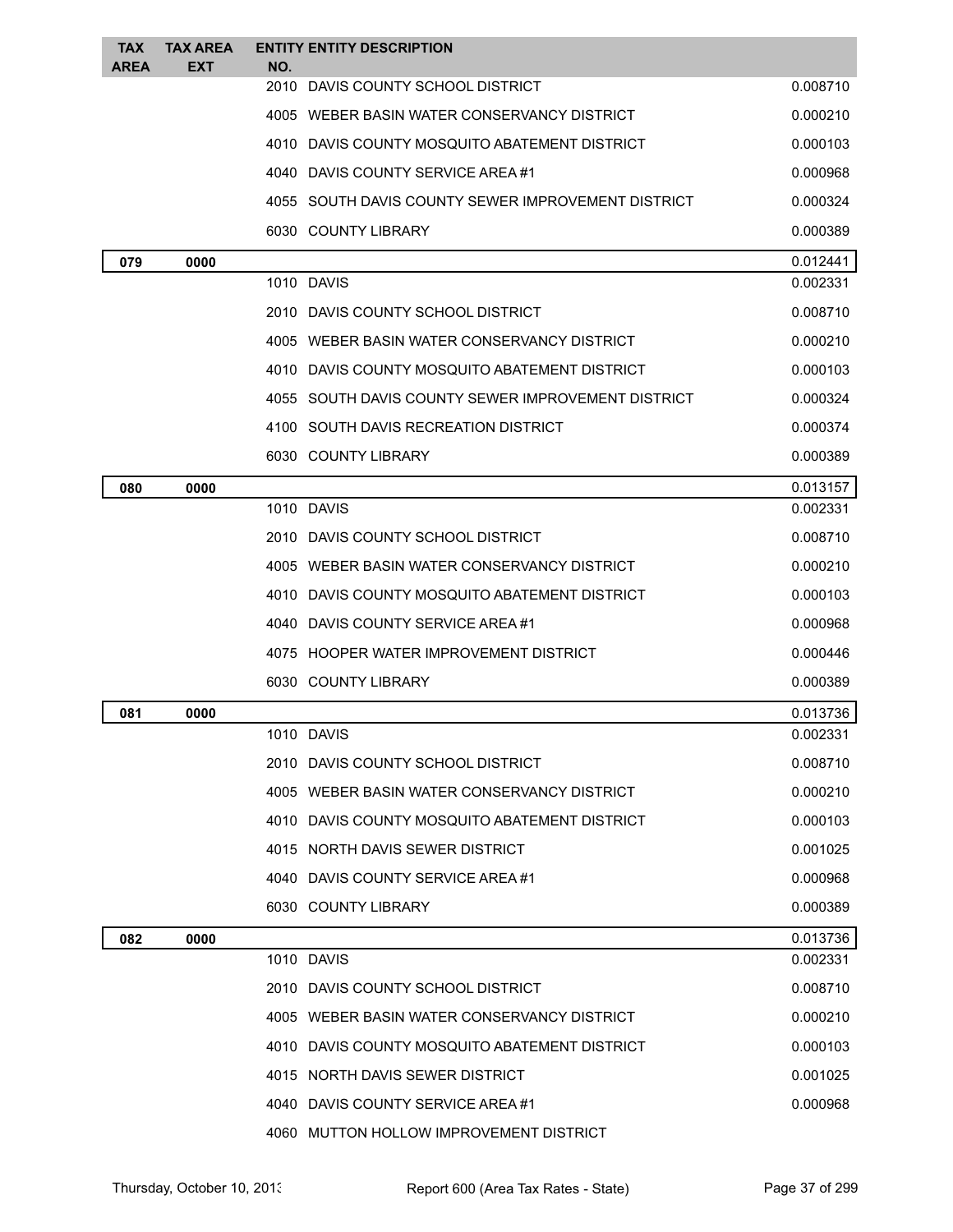| <b>TAX</b><br><b>AREA</b> | <b>TAX AREA</b><br>EXT | <b>ENTITY ENTITY DESCRIPTION</b><br>NO.            |          |
|---------------------------|------------------------|----------------------------------------------------|----------|
|                           |                        | 2010 DAVIS COUNTY SCHOOL DISTRICT                  | 0.008710 |
|                           |                        | 4005 WEBER BASIN WATER CONSERVANCY DISTRICT        | 0.000210 |
|                           |                        | 4010 DAVIS COUNTY MOSQUITO ABATEMENT DISTRICT      | 0.000103 |
|                           |                        | 4040 DAVIS COUNTY SERVICE AREA #1                  | 0.000968 |
|                           |                        | 4055 SOUTH DAVIS COUNTY SEWER IMPROVEMENT DISTRICT | 0.000324 |
|                           |                        | 6030 COUNTY LIBRARY                                | 0.000389 |
| 079                       | 0000                   |                                                    | 0.012441 |
|                           |                        | 1010 DAVIS                                         | 0.002331 |
|                           |                        | 2010 DAVIS COUNTY SCHOOL DISTRICT                  | 0.008710 |
|                           |                        | 4005 WEBER BASIN WATER CONSERVANCY DISTRICT        | 0.000210 |
|                           |                        | 4010 DAVIS COUNTY MOSQUITO ABATEMENT DISTRICT      | 0.000103 |
|                           |                        | 4055 SOUTH DAVIS COUNTY SEWER IMPROVEMENT DISTRICT | 0.000324 |
|                           |                        | 4100 SOUTH DAVIS RECREATION DISTRICT               | 0.000374 |
|                           |                        | 6030 COUNTY LIBRARY                                | 0.000389 |
| 080                       | 0000                   |                                                    | 0.013157 |
|                           |                        | 1010 DAVIS                                         | 0.002331 |
|                           |                        | 2010 DAVIS COUNTY SCHOOL DISTRICT                  | 0.008710 |
|                           |                        | 4005 WEBER BASIN WATER CONSERVANCY DISTRICT        | 0.000210 |
|                           |                        | 4010 DAVIS COUNTY MOSQUITO ABATEMENT DISTRICT      | 0.000103 |
|                           |                        | 4040 DAVIS COUNTY SERVICE AREA #1                  | 0.000968 |
|                           |                        | 4075 HOOPER WATER IMPROVEMENT DISTRICT             | 0.000446 |
|                           |                        | 6030 COUNTY LIBRARY                                | 0.000389 |
| 081                       | 0000                   |                                                    | 0.013736 |
|                           |                        | 1010 DAVIS                                         | 0.002331 |
|                           |                        | 2010 DAVIS COUNTY SCHOOL DISTRICT                  | 0.008710 |
|                           |                        | 4005 WEBER BASIN WATER CONSERVANCY DISTRICT        | 0.000210 |
|                           |                        | 4010 DAVIS COUNTY MOSQUITO ABATEMENT DISTRICT      | 0.000103 |
|                           |                        | 4015 NORTH DAVIS SEWER DISTRICT                    | 0.001025 |
|                           |                        | 4040 DAVIS COUNTY SERVICE AREA#1                   | 0.000968 |
|                           |                        | 6030 COUNTY LIBRARY                                | 0.000389 |
| 082                       | 0000                   |                                                    | 0.013736 |
|                           |                        | 1010 DAVIS                                         | 0.002331 |
|                           |                        | 2010 DAVIS COUNTY SCHOOL DISTRICT                  | 0.008710 |
|                           |                        | 4005 WEBER BASIN WATER CONSERVANCY DISTRICT        | 0.000210 |
|                           |                        | 4010 DAVIS COUNTY MOSQUITO ABATEMENT DISTRICT      | 0.000103 |
|                           |                        | 4015 NORTH DAVIS SEWER DISTRICT                    | 0.001025 |
|                           |                        | 4040 DAVIS COUNTY SERVICE AREA #1                  | 0.000968 |
|                           |                        | 4060 MUTTON HOLLOW IMPROVEMENT DISTRICT            |          |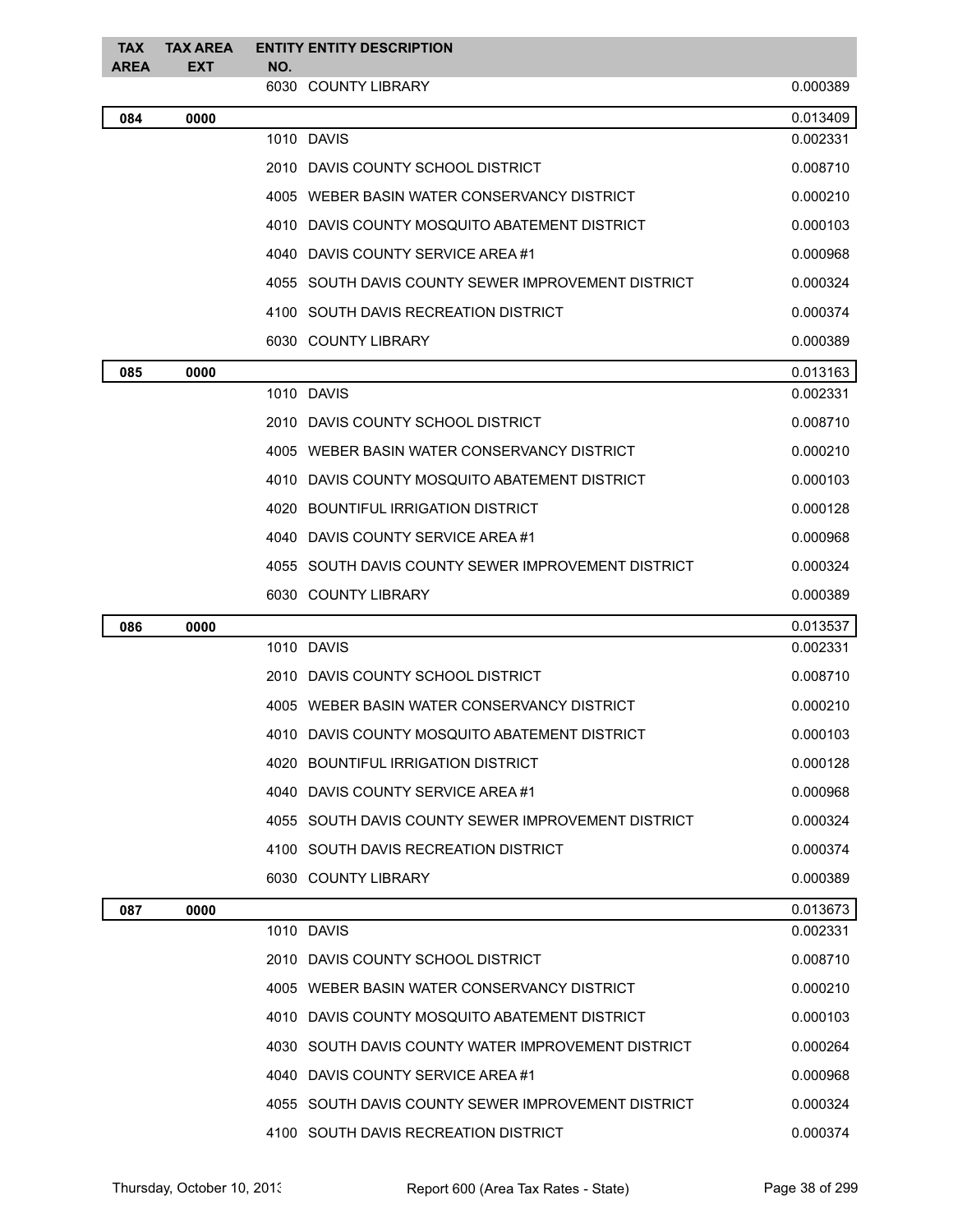| <b>TAX</b><br><b>AREA</b> | <b>TAX AREA</b><br><b>EXT</b> | <b>ENTITY ENTITY DESCRIPTION</b><br>NO.            |          |
|---------------------------|-------------------------------|----------------------------------------------------|----------|
|                           |                               | 6030 COUNTY LIBRARY                                | 0.000389 |
| 084                       | 0000                          |                                                    | 0.013409 |
|                           |                               | 1010 DAVIS                                         | 0.002331 |
|                           |                               | 2010 DAVIS COUNTY SCHOOL DISTRICT                  | 0.008710 |
|                           |                               | 4005 WEBER BASIN WATER CONSERVANCY DISTRICT        | 0.000210 |
|                           |                               | 4010 DAVIS COUNTY MOSQUITO ABATEMENT DISTRICT      | 0.000103 |
|                           |                               | 4040 DAVIS COUNTY SERVICE AREA #1                  | 0.000968 |
|                           |                               | 4055 SOUTH DAVIS COUNTY SEWER IMPROVEMENT DISTRICT | 0.000324 |
|                           |                               | 4100 SOUTH DAVIS RECREATION DISTRICT               | 0.000374 |
|                           |                               | 6030 COUNTY LIBRARY                                | 0.000389 |
| 085                       | 0000                          |                                                    | 0.013163 |
|                           |                               | 1010 DAVIS                                         | 0.002331 |
|                           |                               | 2010 DAVIS COUNTY SCHOOL DISTRICT                  | 0.008710 |
|                           |                               | 4005 WEBER BASIN WATER CONSERVANCY DISTRICT        | 0.000210 |
|                           |                               | 4010 DAVIS COUNTY MOSQUITO ABATEMENT DISTRICT      | 0.000103 |
|                           |                               | 4020 BOUNTIFUL IRRIGATION DISTRICT                 | 0.000128 |
|                           |                               | 4040 DAVIS COUNTY SERVICE AREA#1                   | 0.000968 |
|                           |                               | 4055 SOUTH DAVIS COUNTY SEWER IMPROVEMENT DISTRICT | 0.000324 |
|                           |                               | 6030 COUNTY LIBRARY                                | 0.000389 |
| 086                       | 0000                          |                                                    | 0.013537 |
|                           |                               | 1010 DAVIS                                         | 0.002331 |
|                           |                               | 2010 DAVIS COUNTY SCHOOL DISTRICT                  | 0.008710 |
|                           |                               | 4005 WEBER BASIN WATER CONSERVANCY DISTRICT        | 0.000210 |
|                           |                               | 4010 DAVIS COUNTY MOSQUITO ABATEMENT DISTRICT      | 0.000103 |
|                           |                               | 4020 BOUNTIFUL IRRIGATION DISTRICT                 | 0.000128 |
|                           |                               | 4040 DAVIS COUNTY SERVICE AREA #1                  | 0.000968 |
|                           |                               | 4055 SOUTH DAVIS COUNTY SEWER IMPROVEMENT DISTRICT | 0.000324 |
|                           |                               | 4100 SOUTH DAVIS RECREATION DISTRICT               | 0.000374 |
|                           |                               | 6030 COUNTY LIBRARY                                | 0.000389 |
| 087                       | 0000                          |                                                    | 0.013673 |
|                           |                               | 1010 DAVIS                                         | 0.002331 |
|                           |                               | 2010 DAVIS COUNTY SCHOOL DISTRICT                  | 0.008710 |
|                           |                               | 4005 WEBER BASIN WATER CONSERVANCY DISTRICT        | 0.000210 |
|                           |                               | 4010 DAVIS COUNTY MOSQUITO ABATEMENT DISTRICT      | 0.000103 |
|                           |                               | 4030 SOUTH DAVIS COUNTY WATER IMPROVEMENT DISTRICT | 0.000264 |
|                           |                               | 4040 DAVIS COUNTY SERVICE AREA#1                   | 0.000968 |
|                           |                               | 4055 SOUTH DAVIS COUNTY SEWER IMPROVEMENT DISTRICT | 0.000324 |
|                           |                               | 4100 SOUTH DAVIS RECREATION DISTRICT               | 0.000374 |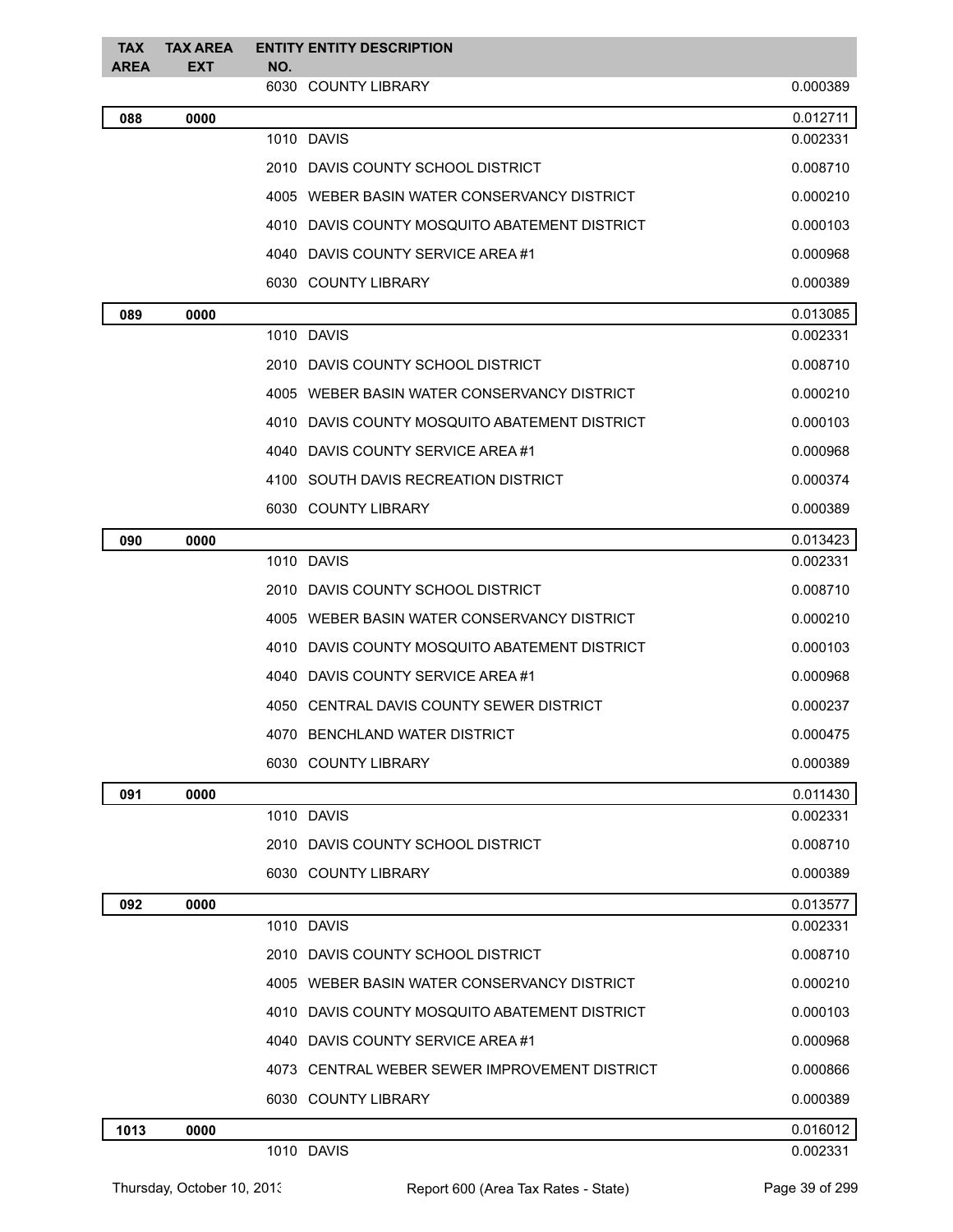| <b>TAX</b><br><b>AREA</b> | <b>TAX AREA</b><br>EXT | <b>ENTITY ENTITY DESCRIPTION</b><br>NO.       |          |
|---------------------------|------------------------|-----------------------------------------------|----------|
|                           |                        | 6030 COUNTY LIBRARY                           | 0.000389 |
| 088                       | 0000                   |                                               | 0.012711 |
|                           |                        | 1010 DAVIS                                    | 0.002331 |
|                           |                        | 2010 DAVIS COUNTY SCHOOL DISTRICT             | 0.008710 |
|                           |                        | 4005 WEBER BASIN WATER CONSERVANCY DISTRICT   | 0.000210 |
|                           |                        | 4010 DAVIS COUNTY MOSQUITO ABATEMENT DISTRICT | 0.000103 |
|                           |                        | 4040 DAVIS COUNTY SERVICE AREA#1              | 0.000968 |
|                           |                        | 6030 COUNTY LIBRARY                           | 0.000389 |
| 089                       | 0000                   |                                               | 0.013085 |
|                           |                        | 1010 DAVIS                                    | 0.002331 |
|                           |                        | 2010 DAVIS COUNTY SCHOOL DISTRICT             | 0.008710 |
|                           |                        | 4005 WEBER BASIN WATER CONSERVANCY DISTRICT   | 0.000210 |
|                           |                        | 4010 DAVIS COUNTY MOSQUITO ABATEMENT DISTRICT | 0.000103 |
|                           |                        | 4040 DAVIS COUNTY SERVICE AREA#1              | 0.000968 |
|                           |                        | 4100 SOUTH DAVIS RECREATION DISTRICT          | 0.000374 |
|                           |                        | 6030 COUNTY LIBRARY                           | 0.000389 |
| 090                       | 0000                   |                                               | 0.013423 |
|                           |                        | 1010 DAVIS                                    | 0.002331 |
|                           |                        | 2010 DAVIS COUNTY SCHOOL DISTRICT             | 0.008710 |
|                           |                        | 4005 WEBER BASIN WATER CONSERVANCY DISTRICT   | 0.000210 |
|                           |                        | 4010 DAVIS COUNTY MOSQUITO ABATEMENT DISTRICT | 0.000103 |
|                           |                        | 4040 DAVIS COUNTY SERVICE AREA #1             | 0.000968 |
|                           |                        | 4050 CENTRAL DAVIS COUNTY SEWER DISTRICT      | 0.000237 |
|                           |                        | 4070 BENCHLAND WATER DISTRICT                 | 0.000475 |
|                           |                        | 6030 COUNTY LIBRARY                           | 0.000389 |
| 091                       | 0000                   |                                               | 0.011430 |
|                           |                        | 1010 DAVIS                                    | 0.002331 |
|                           |                        | 2010 DAVIS COUNTY SCHOOL DISTRICT             | 0.008710 |
|                           |                        | 6030 COUNTY LIBRARY                           | 0.000389 |
| 092                       | 0000                   |                                               | 0.013577 |
|                           |                        | 1010 DAVIS                                    | 0.002331 |
|                           |                        | 2010 DAVIS COUNTY SCHOOL DISTRICT             | 0.008710 |
|                           |                        | 4005 WEBER BASIN WATER CONSERVANCY DISTRICT   | 0.000210 |
|                           |                        | 4010 DAVIS COUNTY MOSQUITO ABATEMENT DISTRICT | 0.000103 |
|                           |                        | 4040 DAVIS COUNTY SERVICE AREA#1              | 0.000968 |
|                           |                        | 4073 CENTRAL WEBER SEWER IMPROVEMENT DISTRICT | 0.000866 |
|                           |                        | 6030 COUNTY LIBRARY                           | 0.000389 |
| 1013                      | 0000                   |                                               | 0.016012 |
|                           |                        | 1010 DAVIS                                    | 0.002331 |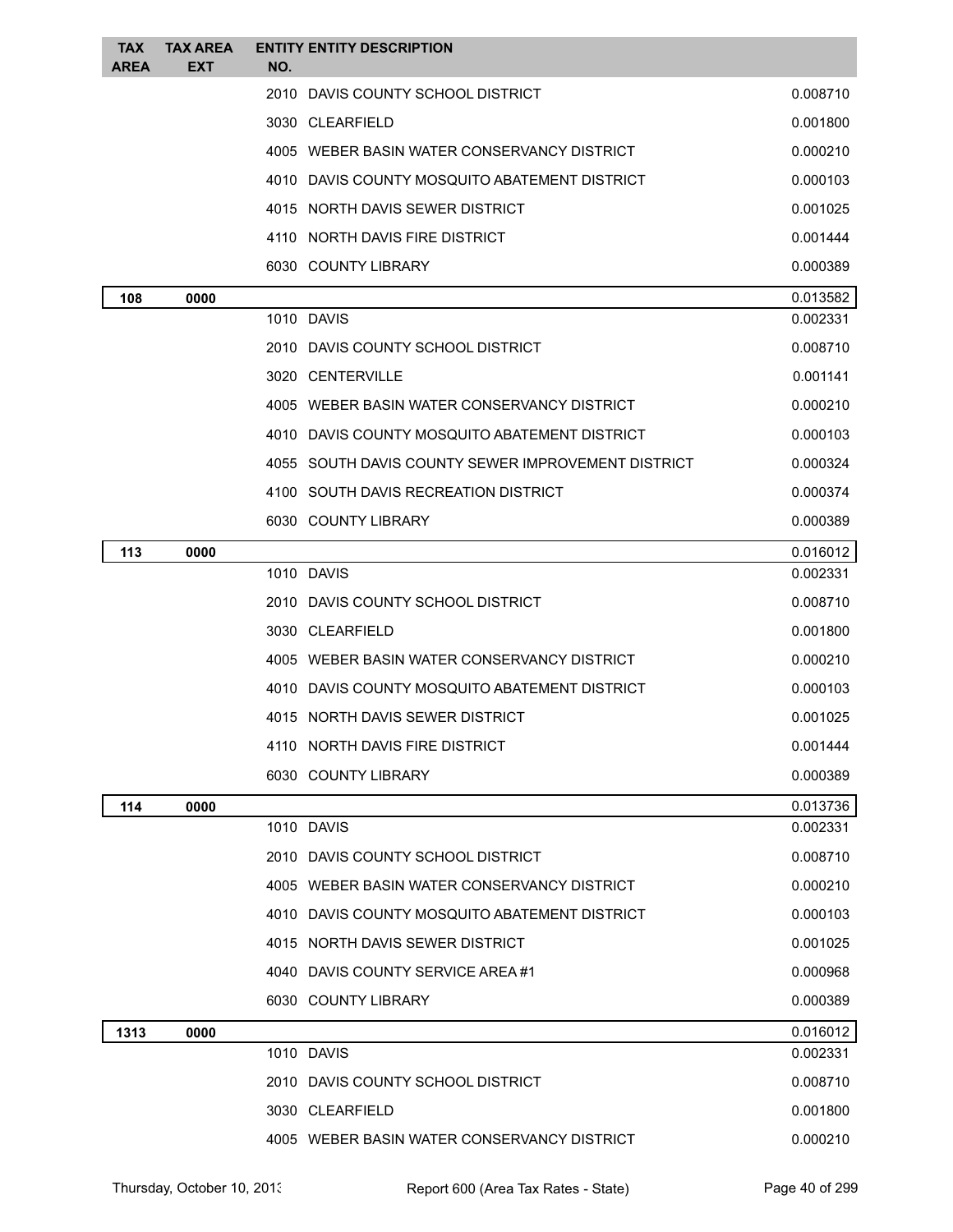| TAX<br><b>AREA</b> | <b>TAX AREA</b><br>EXT | <b>ENTITY ENTITY DESCRIPTION</b><br>NO.            |          |
|--------------------|------------------------|----------------------------------------------------|----------|
|                    |                        | 2010 DAVIS COUNTY SCHOOL DISTRICT                  | 0.008710 |
|                    |                        | 3030 CLEARFIELD                                    | 0.001800 |
|                    |                        | 4005 WEBER BASIN WATER CONSERVANCY DISTRICT        | 0.000210 |
|                    |                        | 4010 DAVIS COUNTY MOSQUITO ABATEMENT DISTRICT      | 0.000103 |
|                    |                        | 4015 NORTH DAVIS SEWER DISTRICT                    | 0.001025 |
|                    |                        | 4110 NORTH DAVIS FIRE DISTRICT                     | 0.001444 |
|                    |                        | 6030 COUNTY LIBRARY                                | 0.000389 |
| 108                | 0000                   |                                                    | 0.013582 |
|                    |                        | 1010 DAVIS                                         | 0.002331 |
|                    |                        | 2010 DAVIS COUNTY SCHOOL DISTRICT                  | 0.008710 |
|                    |                        | 3020 CENTERVILLE                                   | 0.001141 |
|                    |                        | 4005 WEBER BASIN WATER CONSERVANCY DISTRICT        | 0.000210 |
|                    |                        | 4010 DAVIS COUNTY MOSQUITO ABATEMENT DISTRICT      | 0.000103 |
|                    |                        | 4055 SOUTH DAVIS COUNTY SEWER IMPROVEMENT DISTRICT | 0.000324 |
|                    |                        | 4100 SOUTH DAVIS RECREATION DISTRICT               | 0.000374 |
|                    |                        | 6030 COUNTY LIBRARY                                | 0.000389 |
| 113                | 0000                   |                                                    | 0.016012 |
|                    |                        | 1010 DAVIS                                         | 0.002331 |
|                    |                        | 2010 DAVIS COUNTY SCHOOL DISTRICT                  | 0.008710 |
|                    |                        | 3030 CLEARFIELD                                    | 0.001800 |
|                    |                        | 4005 WEBER BASIN WATER CONSERVANCY DISTRICT        | 0.000210 |
|                    |                        | 4010 DAVIS COUNTY MOSQUITO ABATEMENT DISTRICT      | 0.000103 |
|                    |                        | 4015 NORTH DAVIS SEWER DISTRICT                    | 0.001025 |
|                    |                        | 4110 NORTH DAVIS FIRE DISTRICT                     | 0.001444 |
|                    |                        | 6030 COUNTY LIBRARY                                | 0.000389 |
| 114                | 0000                   |                                                    | 0.013736 |
|                    |                        | 1010 DAVIS                                         | 0.002331 |
|                    |                        | 2010 DAVIS COUNTY SCHOOL DISTRICT                  | 0.008710 |
|                    |                        | 4005 WEBER BASIN WATER CONSERVANCY DISTRICT        | 0.000210 |
|                    |                        | 4010 DAVIS COUNTY MOSQUITO ABATEMENT DISTRICT      | 0.000103 |
|                    |                        | 4015 NORTH DAVIS SEWER DISTRICT                    | 0.001025 |
|                    |                        | 4040 DAVIS COUNTY SERVICE AREA #1                  | 0.000968 |
|                    |                        | 6030 COUNTY LIBRARY                                | 0.000389 |
| 1313               | 0000                   |                                                    | 0.016012 |
|                    |                        | 1010 DAVIS                                         | 0.002331 |
|                    |                        | 2010 DAVIS COUNTY SCHOOL DISTRICT                  | 0.008710 |
|                    |                        | 3030 CLEARFIELD                                    | 0.001800 |
|                    |                        | 4005 WEBER BASIN WATER CONSERVANCY DISTRICT        | 0.000210 |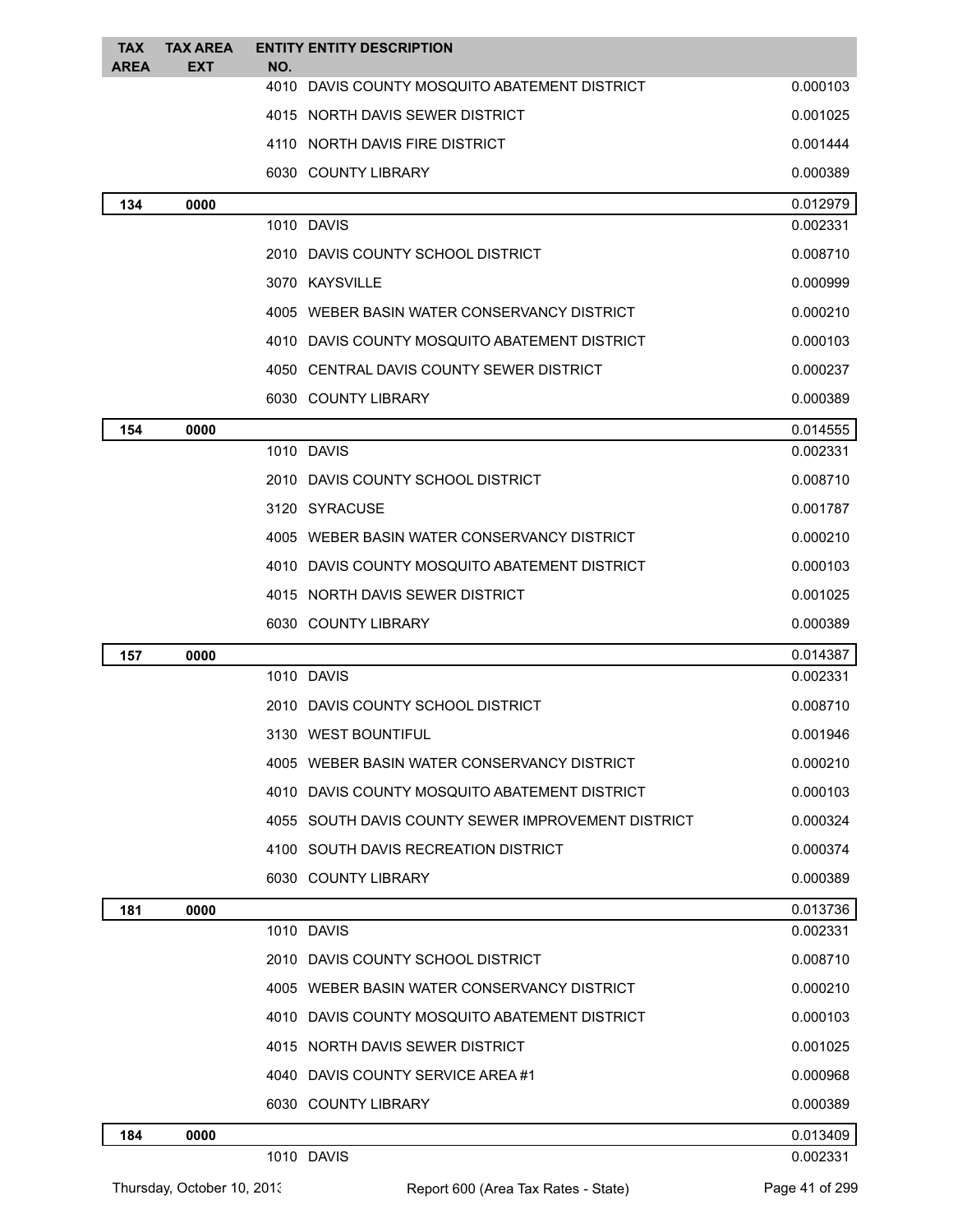| <b>TAX</b><br><b>AREA</b> | <b>TAX AREA</b><br><b>EXT</b> | <b>ENTITY ENTITY DESCRIPTION</b><br>NO.            |          |
|---------------------------|-------------------------------|----------------------------------------------------|----------|
|                           |                               | 4010 DAVIS COUNTY MOSQUITO ABATEMENT DISTRICT      | 0.000103 |
|                           |                               | 4015 NORTH DAVIS SEWER DISTRICT                    | 0.001025 |
|                           |                               | 4110 NORTH DAVIS FIRE DISTRICT                     | 0.001444 |
|                           |                               | 6030 COUNTY LIBRARY                                | 0.000389 |
| 134                       | 0000                          |                                                    | 0.012979 |
|                           |                               | 1010 DAVIS                                         | 0.002331 |
|                           |                               | 2010 DAVIS COUNTY SCHOOL DISTRICT                  | 0.008710 |
|                           |                               | 3070 KAYSVILLE                                     | 0.000999 |
|                           |                               | 4005 WEBER BASIN WATER CONSERVANCY DISTRICT        | 0.000210 |
|                           |                               | 4010 DAVIS COUNTY MOSQUITO ABATEMENT DISTRICT      | 0.000103 |
|                           |                               | 4050 CENTRAL DAVIS COUNTY SEWER DISTRICT           | 0.000237 |
|                           |                               | 6030 COUNTY LIBRARY                                | 0.000389 |
| 154                       | 0000                          |                                                    | 0.014555 |
|                           |                               | 1010 DAVIS                                         | 0.002331 |
|                           |                               | 2010 DAVIS COUNTY SCHOOL DISTRICT                  | 0.008710 |
|                           |                               | 3120 SYRACUSE                                      | 0.001787 |
|                           |                               | 4005 WEBER BASIN WATER CONSERVANCY DISTRICT        | 0.000210 |
|                           |                               | 4010 DAVIS COUNTY MOSQUITO ABATEMENT DISTRICT      | 0.000103 |
|                           |                               | 4015 NORTH DAVIS SEWER DISTRICT                    | 0.001025 |
|                           |                               | 6030 COUNTY LIBRARY                                | 0.000389 |
| 157                       | 0000                          |                                                    | 0.014387 |
|                           |                               | 1010 DAVIS                                         | 0.002331 |
|                           |                               | 2010 DAVIS COUNTY SCHOOL DISTRICT                  | 0.008710 |
|                           |                               | 3130 WEST BOUNTIFUL                                | 0.001946 |
|                           |                               | 4005 WEBER BASIN WATER CONSERVANCY DISTRICT        | 0.000210 |
|                           |                               | 4010 DAVIS COUNTY MOSQUITO ABATEMENT DISTRICT      | 0.000103 |
|                           |                               | 4055 SOUTH DAVIS COUNTY SEWER IMPROVEMENT DISTRICT | 0.000324 |
|                           |                               | 4100 SOUTH DAVIS RECREATION DISTRICT               | 0.000374 |
|                           |                               | 6030 COUNTY LIBRARY                                | 0.000389 |
| 181                       | 0000                          |                                                    | 0.013736 |
|                           |                               | 1010 DAVIS                                         | 0.002331 |
|                           |                               | 2010 DAVIS COUNTY SCHOOL DISTRICT                  | 0.008710 |
|                           |                               | 4005 WEBER BASIN WATER CONSERVANCY DISTRICT        | 0.000210 |
|                           |                               | 4010 DAVIS COUNTY MOSQUITO ABATEMENT DISTRICT      | 0.000103 |
|                           |                               | 4015 NORTH DAVIS SEWER DISTRICT                    | 0.001025 |
|                           |                               | 4040 DAVIS COUNTY SERVICE AREA#1                   | 0.000968 |
|                           |                               | 6030 COUNTY LIBRARY                                | 0.000389 |
| 184                       | 0000                          |                                                    | 0.013409 |
|                           |                               | 1010 DAVIS                                         | 0.002331 |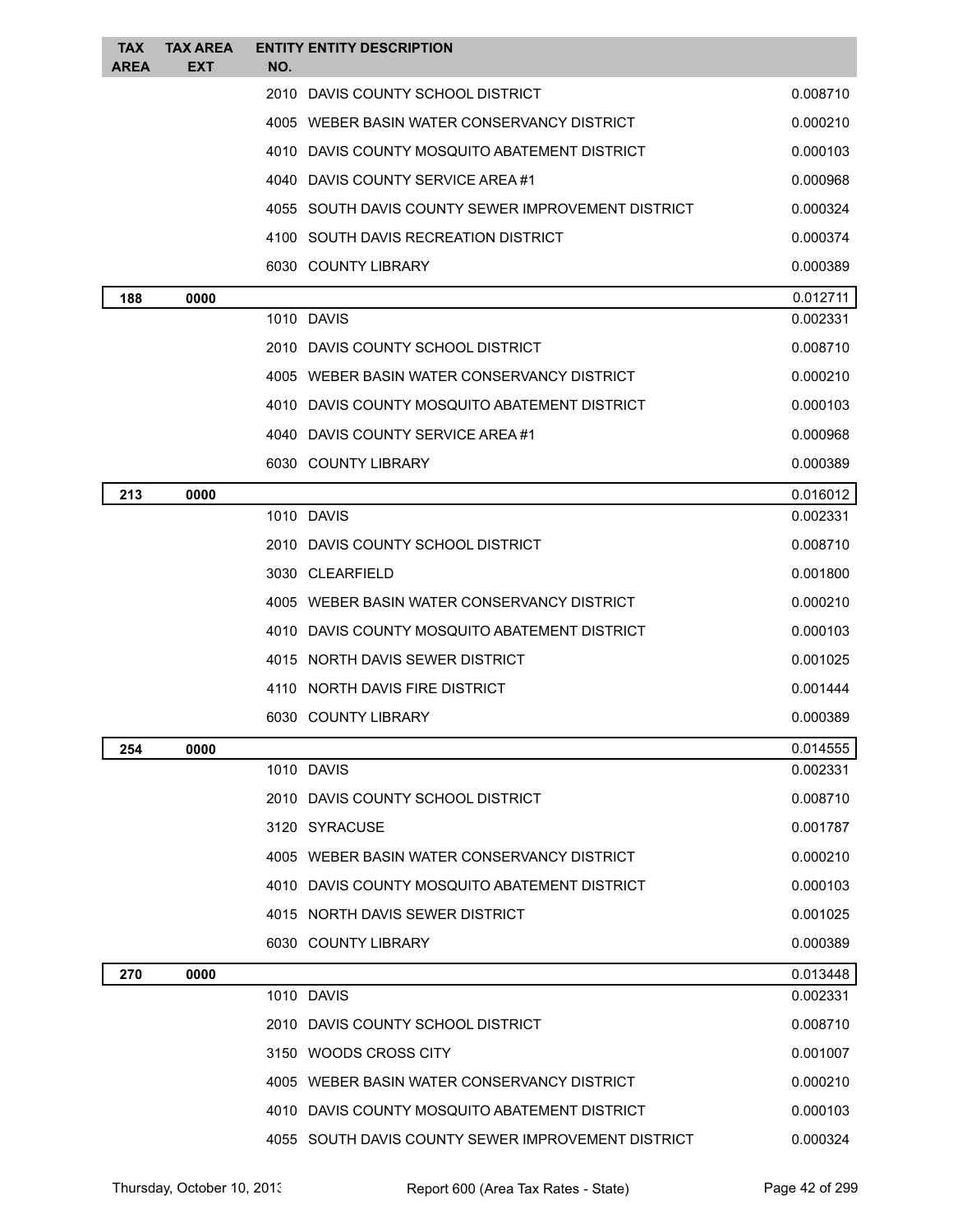| <b>TAX</b><br><b>AREA</b> | TAX AREA<br><b>EXT</b> | <b>ENTITY ENTITY DESCRIPTION</b><br>NO.            |                      |
|---------------------------|------------------------|----------------------------------------------------|----------------------|
|                           |                        | 2010 DAVIS COUNTY SCHOOL DISTRICT                  | 0.008710             |
|                           |                        | 4005 WEBER BASIN WATER CONSERVANCY DISTRICT        | 0.000210             |
|                           |                        | 4010 DAVIS COUNTY MOSQUITO ABATEMENT DISTRICT      | 0.000103             |
|                           |                        | 4040 DAVIS COUNTY SERVICE AREA #1                  | 0.000968             |
|                           |                        | 4055 SOUTH DAVIS COUNTY SEWER IMPROVEMENT DISTRICT | 0.000324             |
|                           |                        | 4100 SOUTH DAVIS RECREATION DISTRICT               | 0.000374             |
|                           |                        | 6030 COUNTY LIBRARY                                | 0.000389             |
| 188                       | 0000                   |                                                    | 0.012711             |
|                           |                        | 1010 DAVIS                                         | 0.002331             |
|                           |                        | 2010 DAVIS COUNTY SCHOOL DISTRICT                  | 0.008710             |
|                           |                        | 4005 WEBER BASIN WATER CONSERVANCY DISTRICT        | 0.000210             |
|                           |                        | 4010 DAVIS COUNTY MOSQUITO ABATEMENT DISTRICT      | 0.000103             |
|                           |                        | 4040 DAVIS COUNTY SERVICE AREA #1                  | 0.000968             |
|                           |                        | 6030 COUNTY LIBRARY                                | 0.000389             |
| 213                       | 0000                   |                                                    | 0.016012             |
|                           |                        | 1010 DAVIS                                         | 0.002331             |
|                           |                        | 2010 DAVIS COUNTY SCHOOL DISTRICT                  | 0.008710             |
|                           |                        | 3030 CLEARFIELD                                    | 0.001800             |
|                           |                        | 4005 WEBER BASIN WATER CONSERVANCY DISTRICT        | 0.000210             |
|                           |                        | 4010 DAVIS COUNTY MOSQUITO ABATEMENT DISTRICT      | 0.000103             |
|                           |                        | 4015 NORTH DAVIS SEWER DISTRICT                    | 0.001025             |
|                           |                        | 4110 NORTH DAVIS FIRE DISTRICT                     | 0.001444             |
|                           |                        | 6030 COUNTY LIBRARY                                | 0.000389             |
| 254                       | 0000                   |                                                    | 0.014555             |
|                           |                        | 1010 DAVIS                                         | 0.002331             |
|                           |                        | 2010 DAVIS COUNTY SCHOOL DISTRICT                  | 0.008710             |
|                           |                        | 3120 SYRACUSE                                      | 0.001787             |
|                           |                        | 4005 WEBER BASIN WATER CONSERVANCY DISTRICT        | 0.000210             |
|                           |                        | 4010 DAVIS COUNTY MOSQUITO ABATEMENT DISTRICT      | 0.000103             |
|                           |                        | 4015 NORTH DAVIS SEWER DISTRICT                    | 0.001025             |
|                           |                        | 6030 COUNTY LIBRARY                                | 0.000389             |
| 270                       | 0000                   | 1010 DAVIS                                         | 0.013448<br>0.002331 |
|                           |                        | 2010 DAVIS COUNTY SCHOOL DISTRICT                  | 0.008710             |
|                           |                        | 3150 WOODS CROSS CITY                              | 0.001007             |
|                           |                        | 4005 WEBER BASIN WATER CONSERVANCY DISTRICT        | 0.000210             |
|                           |                        | 4010 DAVIS COUNTY MOSQUITO ABATEMENT DISTRICT      | 0.000103             |
|                           |                        | 4055 SOUTH DAVIS COUNTY SEWER IMPROVEMENT DISTRICT | 0.000324             |
|                           |                        |                                                    |                      |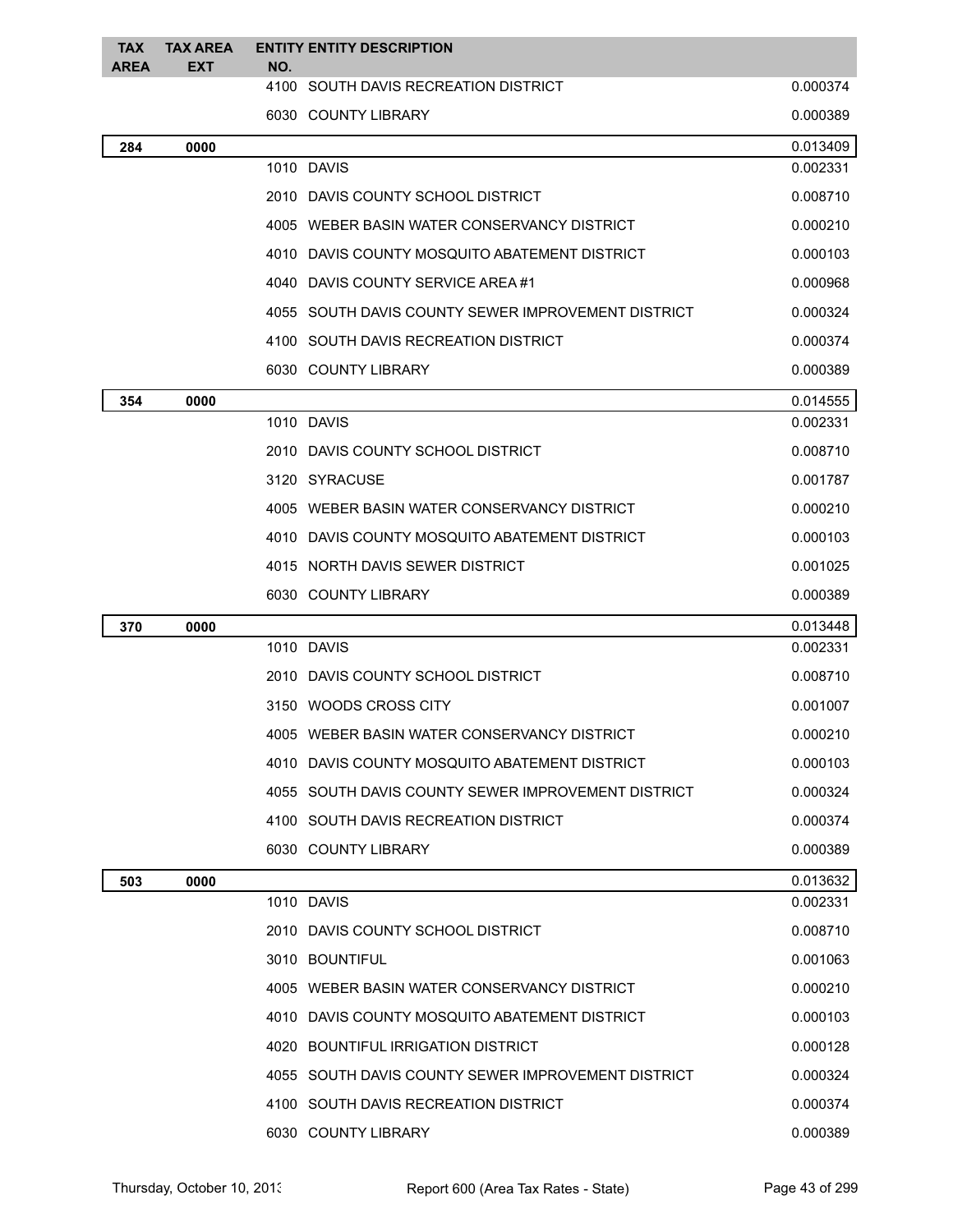| <b>TAX</b><br><b>AREA</b> | <b>TAX AREA</b><br><b>EXT</b> | NO.  | <b>ENTITY ENTITY DESCRIPTION</b>                   |          |
|---------------------------|-------------------------------|------|----------------------------------------------------|----------|
|                           |                               |      | 4100 SOUTH DAVIS RECREATION DISTRICT               | 0.000374 |
|                           |                               |      | 6030 COUNTY LIBRARY                                | 0.000389 |
| 284                       | 0000                          |      |                                                    | 0.013409 |
|                           |                               |      | 1010 DAVIS                                         | 0.002331 |
|                           |                               |      | 2010 DAVIS COUNTY SCHOOL DISTRICT                  | 0.008710 |
|                           |                               |      | 4005 WEBER BASIN WATER CONSERVANCY DISTRICT        | 0.000210 |
|                           |                               |      | 4010 DAVIS COUNTY MOSQUITO ABATEMENT DISTRICT      | 0.000103 |
|                           |                               |      | 4040 DAVIS COUNTY SERVICE AREA #1                  | 0.000968 |
|                           |                               |      | 4055 SOUTH DAVIS COUNTY SEWER IMPROVEMENT DISTRICT | 0.000324 |
|                           |                               |      | 4100 SOUTH DAVIS RECREATION DISTRICT               | 0.000374 |
|                           |                               |      | 6030 COUNTY LIBRARY                                | 0.000389 |
| 354                       | 0000                          |      |                                                    | 0.014555 |
|                           |                               |      | 1010 DAVIS                                         | 0.002331 |
|                           |                               |      | 2010 DAVIS COUNTY SCHOOL DISTRICT                  | 0.008710 |
|                           |                               |      | 3120 SYRACUSE                                      | 0.001787 |
|                           |                               |      | 4005 WEBER BASIN WATER CONSERVANCY DISTRICT        | 0.000210 |
|                           |                               |      | 4010 DAVIS COUNTY MOSQUITO ABATEMENT DISTRICT      | 0.000103 |
|                           |                               |      | 4015 NORTH DAVIS SEWER DISTRICT                    | 0.001025 |
|                           |                               |      | 6030 COUNTY LIBRARY                                | 0.000389 |
| 370                       | 0000                          |      |                                                    | 0.013448 |
|                           |                               |      | 1010 DAVIS                                         | 0.002331 |
|                           |                               |      | 2010 DAVIS COUNTY SCHOOL DISTRICT                  | 0.008710 |
|                           |                               |      | 3150 WOODS CROSS CITY                              | 0.001007 |
|                           |                               | 4005 | WEBER BASIN WATER CONSERVANCY DISTRICT             | 0.000210 |
|                           |                               |      | 4010 DAVIS COUNTY MOSQUITO ABATEMENT DISTRICT      | 0.000103 |
|                           |                               |      | 4055 SOUTH DAVIS COUNTY SEWER IMPROVEMENT DISTRICT | 0.000324 |
|                           |                               |      | 4100 SOUTH DAVIS RECREATION DISTRICT               | 0.000374 |
|                           |                               |      | 6030 COUNTY LIBRARY                                | 0.000389 |
| 503                       | 0000                          |      |                                                    | 0.013632 |
|                           |                               |      | 1010 DAVIS                                         | 0.002331 |
|                           |                               |      | 2010 DAVIS COUNTY SCHOOL DISTRICT                  | 0.008710 |
|                           |                               |      | 3010 BOUNTIFUL                                     | 0.001063 |
|                           |                               |      | 4005 WEBER BASIN WATER CONSERVANCY DISTRICT        | 0.000210 |
|                           |                               |      | 4010 DAVIS COUNTY MOSQUITO ABATEMENT DISTRICT      | 0.000103 |
|                           |                               |      | 4020 BOUNTIFUL IRRIGATION DISTRICT                 | 0.000128 |
|                           |                               |      | 4055 SOUTH DAVIS COUNTY SEWER IMPROVEMENT DISTRICT | 0.000324 |
|                           |                               |      | 4100 SOUTH DAVIS RECREATION DISTRICT               | 0.000374 |
|                           |                               |      | 6030 COUNTY LIBRARY                                | 0.000389 |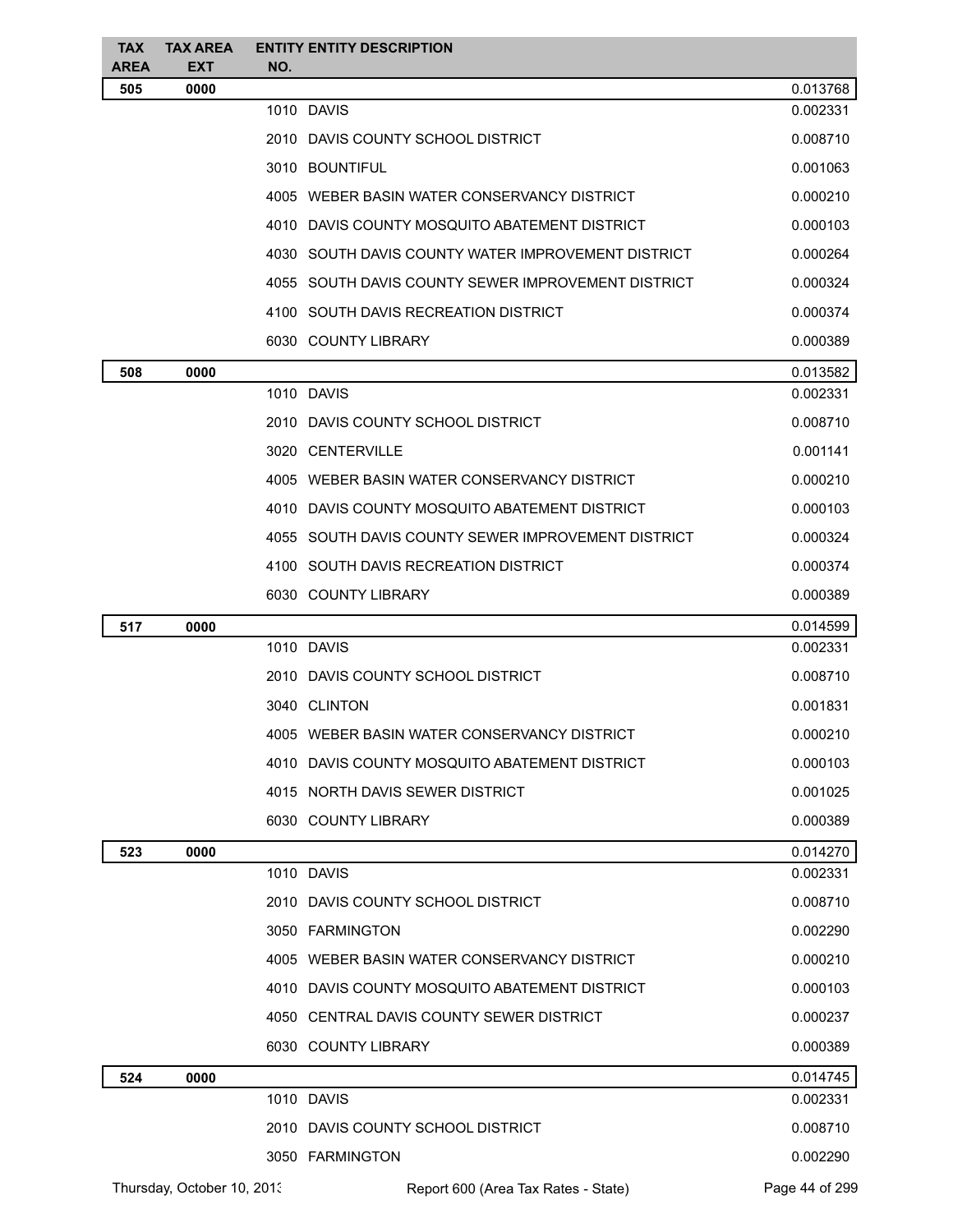| <b>TAX</b><br><b>AREA</b> | <b>TAX AREA</b><br><b>EXT</b> | NO. | <b>ENTITY ENTITY DESCRIPTION</b>                     |                |
|---------------------------|-------------------------------|-----|------------------------------------------------------|----------------|
| 505                       | 0000                          |     |                                                      | 0.013768       |
|                           |                               |     | 1010 DAVIS                                           | 0.002331       |
|                           |                               |     | 2010 DAVIS COUNTY SCHOOL DISTRICT                    | 0.008710       |
|                           |                               |     | 3010 BOUNTIFUL                                       | 0.001063       |
|                           |                               |     | 4005 WEBER BASIN WATER CONSERVANCY DISTRICT          | 0.000210       |
|                           |                               |     | 4010 DAVIS COUNTY MOSQUITO ABATEMENT DISTRICT        | 0.000103       |
|                           |                               |     | 4030 SOUTH DAVIS COUNTY WATER IMPROVEMENT DISTRICT   | 0.000264       |
|                           |                               |     | 4055   SOUTH DAVIS COUNTY SEWER IMPROVEMENT DISTRICT | 0.000324       |
|                           |                               |     | 4100 SOUTH DAVIS RECREATION DISTRICT                 | 0.000374       |
|                           |                               |     | 6030 COUNTY LIBRARY                                  | 0.000389       |
| 508                       | 0000                          |     |                                                      | 0.013582       |
|                           |                               |     | 1010 DAVIS                                           | 0.002331       |
|                           |                               |     | 2010 DAVIS COUNTY SCHOOL DISTRICT                    | 0.008710       |
|                           |                               |     | 3020 CENTERVILLE                                     | 0.001141       |
|                           |                               |     | 4005 WEBER BASIN WATER CONSERVANCY DISTRICT          | 0.000210       |
|                           |                               |     | 4010   DAVIS COUNTY MOSQUITO ABATEMENT DISTRICT      | 0.000103       |
|                           |                               |     | 4055   SOUTH DAVIS COUNTY SEWER IMPROVEMENT DISTRICT | 0.000324       |
|                           |                               |     | 4100 SOUTH DAVIS RECREATION DISTRICT                 | 0.000374       |
|                           |                               |     | 6030 COUNTY LIBRARY                                  | 0.000389       |
| 517                       | 0000                          |     |                                                      | 0.014599       |
|                           |                               |     | 1010 DAVIS                                           | 0.002331       |
|                           |                               |     | 2010 DAVIS COUNTY SCHOOL DISTRICT                    | 0.008710       |
|                           |                               |     | 3040 CLINTON                                         | 0.001831       |
|                           |                               |     | 4005 WEBER BASIN WATER CONSERVANCY DISTRICT          | 0.000210       |
|                           |                               |     | 4010   DAVIS COUNTY MOSQUITO ABATEMENT DISTRICT      | 0.000103       |
|                           |                               |     | 4015 NORTH DAVIS SEWER DISTRICT                      | 0.001025       |
|                           |                               |     | 6030 COUNTY LIBRARY                                  | 0.000389       |
| 523                       | 0000                          |     |                                                      | 0.014270       |
|                           |                               |     | 1010 DAVIS                                           | 0.002331       |
|                           |                               |     | 2010 DAVIS COUNTY SCHOOL DISTRICT                    | 0.008710       |
|                           |                               |     | 3050 FARMINGTON                                      | 0.002290       |
|                           |                               |     | 4005 WEBER BASIN WATER CONSERVANCY DISTRICT          | 0.000210       |
|                           |                               |     | 4010 DAVIS COUNTY MOSQUITO ABATEMENT DISTRICT        | 0.000103       |
|                           |                               |     | 4050 CENTRAL DAVIS COUNTY SEWER DISTRICT             | 0.000237       |
|                           |                               |     | 6030 COUNTY LIBRARY                                  | 0.000389       |
| 524                       | 0000                          |     |                                                      | 0.014745       |
|                           |                               |     | 1010 DAVIS                                           | 0.002331       |
|                           |                               |     | 2010 DAVIS COUNTY SCHOOL DISTRICT                    | 0.008710       |
|                           |                               |     | 3050 FARMINGTON                                      | 0.002290       |
|                           | Thursday, October 10, 2013    |     | Report 600 (Area Tax Rates - State)                  | Page 44 of 299 |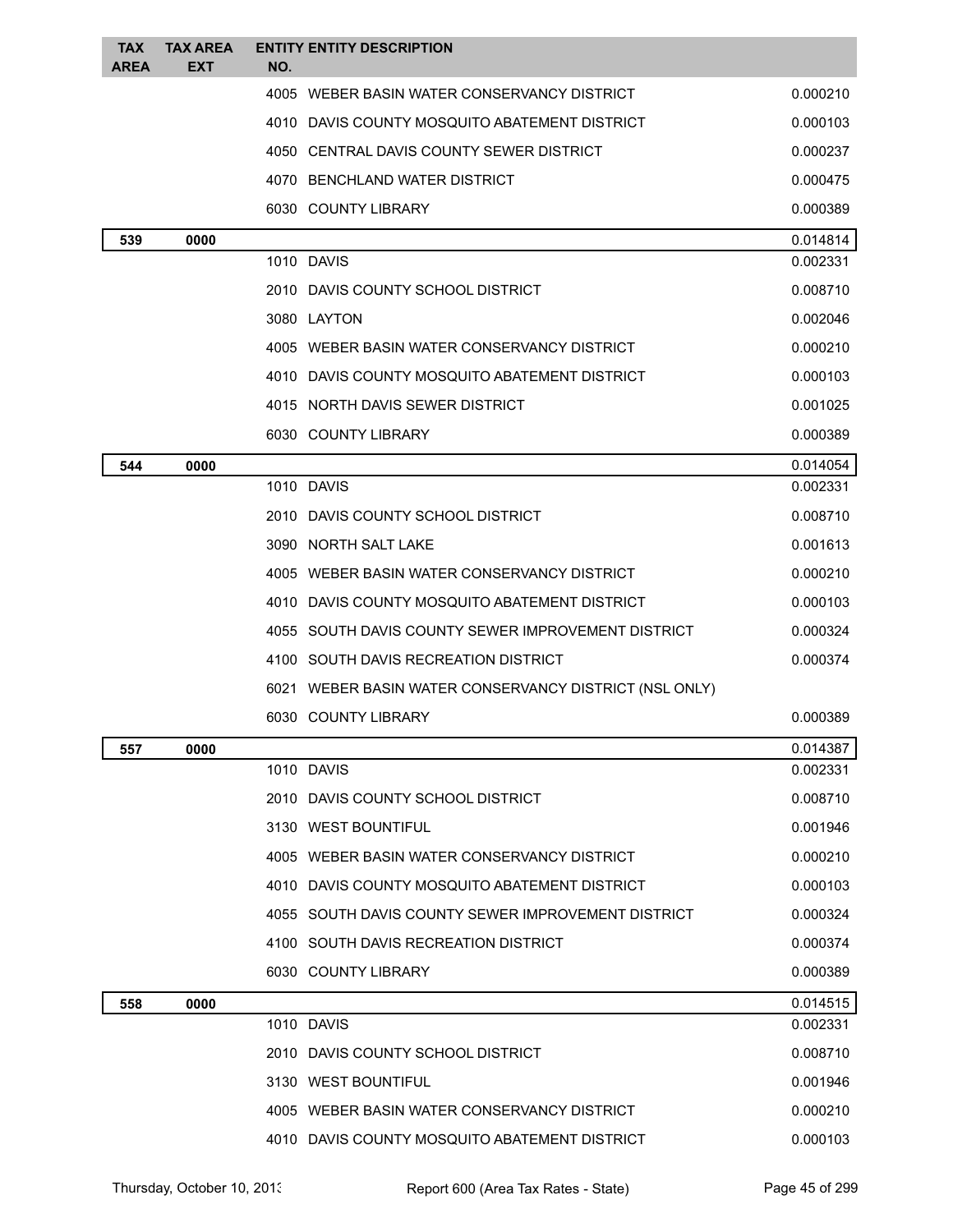| <b>TAX</b><br><b>AREA</b> | <b>TAX AREA</b><br><b>EXT</b> | <b>ENTITY ENTITY DESCRIPTION</b><br>NO.                |          |
|---------------------------|-------------------------------|--------------------------------------------------------|----------|
|                           |                               | 4005 WEBER BASIN WATER CONSERVANCY DISTRICT            | 0.000210 |
|                           |                               | 4010 DAVIS COUNTY MOSQUITO ABATEMENT DISTRICT          | 0.000103 |
|                           |                               | 4050 CENTRAL DAVIS COUNTY SEWER DISTRICT               | 0.000237 |
|                           |                               | 4070 BENCHLAND WATER DISTRICT                          | 0.000475 |
|                           |                               | 6030 COUNTY LIBRARY                                    | 0.000389 |
| 539                       | 0000                          |                                                        | 0.014814 |
|                           |                               | 1010 DAVIS                                             | 0.002331 |
|                           |                               | 2010 DAVIS COUNTY SCHOOL DISTRICT                      | 0.008710 |
|                           |                               | 3080 LAYTON                                            | 0.002046 |
|                           |                               | 4005 WEBER BASIN WATER CONSERVANCY DISTRICT            | 0.000210 |
|                           |                               | 4010 DAVIS COUNTY MOSQUITO ABATEMENT DISTRICT          | 0.000103 |
|                           |                               | 4015 NORTH DAVIS SEWER DISTRICT                        | 0.001025 |
|                           |                               | 6030 COUNTY LIBRARY                                    | 0.000389 |
| 544                       | 0000                          |                                                        | 0.014054 |
|                           |                               | 1010 DAVIS                                             | 0.002331 |
|                           |                               | 2010 DAVIS COUNTY SCHOOL DISTRICT                      | 0.008710 |
|                           |                               | 3090 NORTH SALT LAKE                                   | 0.001613 |
|                           |                               | 4005 WEBER BASIN WATER CONSERVANCY DISTRICT            | 0.000210 |
|                           |                               | 4010 DAVIS COUNTY MOSQUITO ABATEMENT DISTRICT          | 0.000103 |
|                           |                               | 4055 SOUTH DAVIS COUNTY SEWER IMPROVEMENT DISTRICT     | 0.000324 |
|                           |                               | 4100 SOUTH DAVIS RECREATION DISTRICT                   | 0.000374 |
|                           |                               | 6021 WEBER BASIN WATER CONSERVANCY DISTRICT (NSL ONLY) |          |
|                           |                               | 6030 COUNTY LIBRARY                                    | 0.000389 |
| 557                       | 0000                          |                                                        | 0.014387 |
|                           |                               | 1010 DAVIS                                             | 0.002331 |
|                           |                               | 2010 DAVIS COUNTY SCHOOL DISTRICT                      | 0.008710 |
|                           |                               | 3130 WEST BOUNTIFUL                                    | 0.001946 |
|                           |                               | 4005 WEBER BASIN WATER CONSERVANCY DISTRICT            | 0.000210 |
|                           |                               | 4010 DAVIS COUNTY MOSQUITO ABATEMENT DISTRICT          | 0.000103 |
|                           |                               | 4055 SOUTH DAVIS COUNTY SEWER IMPROVEMENT DISTRICT     | 0.000324 |
|                           |                               | 4100 SOUTH DAVIS RECREATION DISTRICT                   | 0.000374 |
|                           |                               | 6030 COUNTY LIBRARY                                    | 0.000389 |
| 558                       | 0000                          |                                                        | 0.014515 |
|                           |                               | 1010 DAVIS                                             | 0.002331 |
|                           |                               | 2010 DAVIS COUNTY SCHOOL DISTRICT                      | 0.008710 |
|                           |                               | 3130 WEST BOUNTIFUL                                    | 0.001946 |
|                           |                               | 4005 WEBER BASIN WATER CONSERVANCY DISTRICT            | 0.000210 |
|                           |                               | 4010 DAVIS COUNTY MOSQUITO ABATEMENT DISTRICT          | 0.000103 |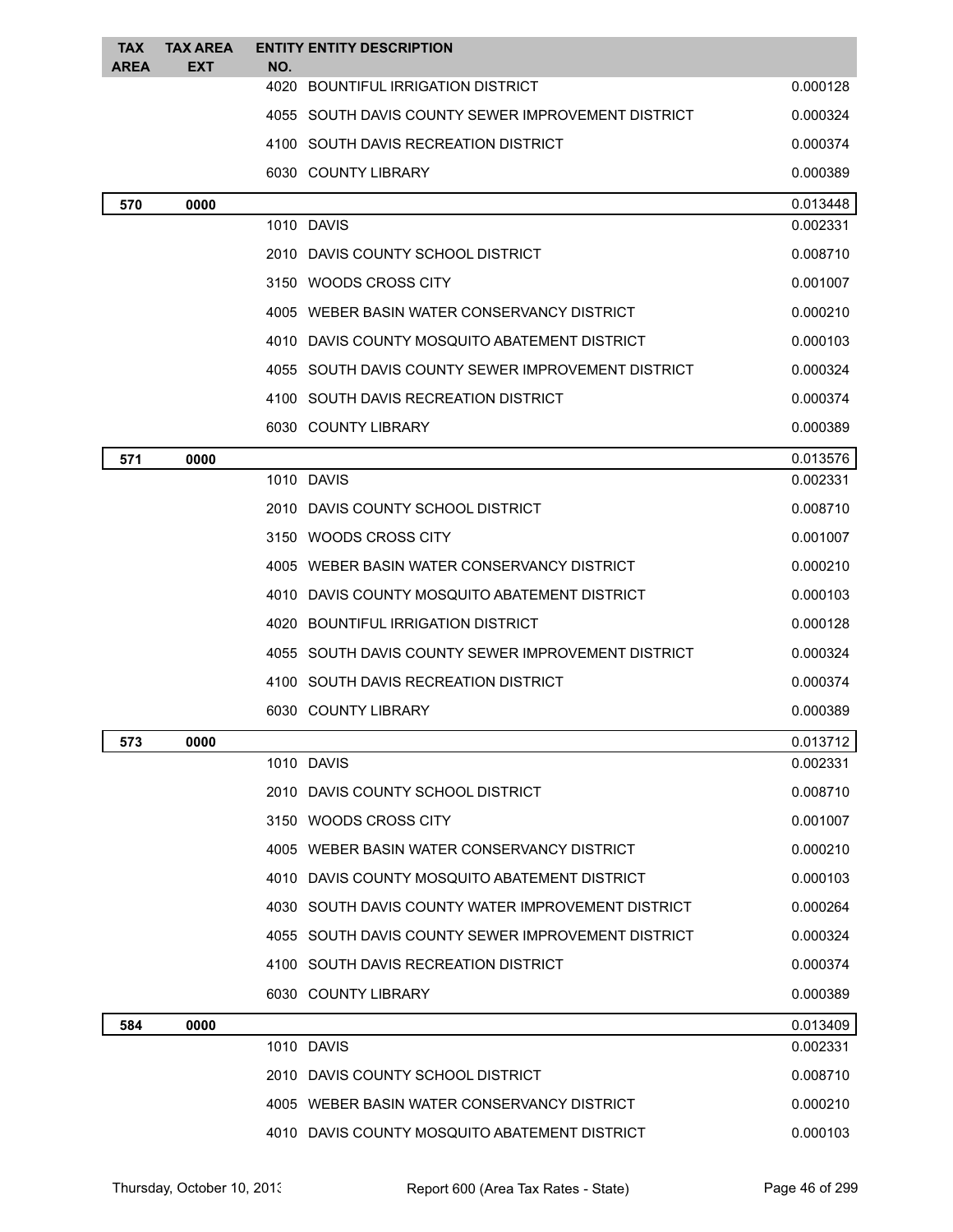| TAX<br><b>AREA</b> | <b>TAX AREA</b><br><b>EXT</b> | <b>ENTITY ENTITY DESCRIPTION</b><br>NO.            |          |
|--------------------|-------------------------------|----------------------------------------------------|----------|
|                    |                               | 4020 BOUNTIFUL IRRIGATION DISTRICT                 | 0.000128 |
|                    |                               | 4055 SOUTH DAVIS COUNTY SEWER IMPROVEMENT DISTRICT | 0.000324 |
|                    |                               | 4100 SOUTH DAVIS RECREATION DISTRICT               | 0.000374 |
|                    |                               | 6030 COUNTY LIBRARY                                | 0.000389 |
| 570                | 0000                          |                                                    | 0.013448 |
|                    |                               | 1010 DAVIS                                         | 0.002331 |
|                    |                               | 2010 DAVIS COUNTY SCHOOL DISTRICT                  | 0.008710 |
|                    |                               | 3150 WOODS CROSS CITY                              | 0.001007 |
|                    |                               | 4005 WEBER BASIN WATER CONSERVANCY DISTRICT        | 0.000210 |
|                    |                               | 4010 DAVIS COUNTY MOSQUITO ABATEMENT DISTRICT      | 0.000103 |
|                    |                               | 4055 SOUTH DAVIS COUNTY SEWER IMPROVEMENT DISTRICT | 0.000324 |
|                    |                               | 4100 SOUTH DAVIS RECREATION DISTRICT               | 0.000374 |
|                    |                               | 6030 COUNTY LIBRARY                                | 0.000389 |
| 571                | 0000                          |                                                    | 0.013576 |
|                    |                               | 1010 DAVIS                                         | 0.002331 |
|                    |                               | 2010 DAVIS COUNTY SCHOOL DISTRICT                  | 0.008710 |
|                    |                               | 3150 WOODS CROSS CITY                              | 0.001007 |
|                    |                               | 4005 WEBER BASIN WATER CONSERVANCY DISTRICT        | 0.000210 |
|                    |                               | 4010 DAVIS COUNTY MOSQUITO ABATEMENT DISTRICT      | 0.000103 |
|                    |                               | 4020 BOUNTIFUL IRRIGATION DISTRICT                 | 0.000128 |
|                    |                               | 4055 SOUTH DAVIS COUNTY SEWER IMPROVEMENT DISTRICT | 0.000324 |
|                    |                               | 4100 SOUTH DAVIS RECREATION DISTRICT               | 0.000374 |
|                    |                               | 6030 COUNTY LIBRARY                                | 0.000389 |
| 573                | 0000                          |                                                    | 0.013712 |
|                    |                               | 1010 DAVIS                                         | 0.002331 |
|                    |                               | 2010 DAVIS COUNTY SCHOOL DISTRICT                  | 0.008710 |
|                    |                               | 3150 WOODS CROSS CITY                              | 0.001007 |
|                    |                               | 4005 WEBER BASIN WATER CONSERVANCY DISTRICT        | 0.000210 |
|                    |                               | 4010 DAVIS COUNTY MOSQUITO ABATEMENT DISTRICT      | 0.000103 |
|                    |                               | 4030 SOUTH DAVIS COUNTY WATER IMPROVEMENT DISTRICT | 0.000264 |
|                    |                               | 4055 SOUTH DAVIS COUNTY SEWER IMPROVEMENT DISTRICT | 0.000324 |
|                    |                               | 4100 SOUTH DAVIS RECREATION DISTRICT               | 0.000374 |
|                    |                               | 6030 COUNTY LIBRARY                                | 0.000389 |
| 584                | 0000                          |                                                    | 0.013409 |
|                    |                               | 1010 DAVIS                                         | 0.002331 |
|                    |                               | 2010 DAVIS COUNTY SCHOOL DISTRICT                  | 0.008710 |
|                    |                               | 4005 WEBER BASIN WATER CONSERVANCY DISTRICT        | 0.000210 |
|                    |                               | 4010 DAVIS COUNTY MOSQUITO ABATEMENT DISTRICT      | 0.000103 |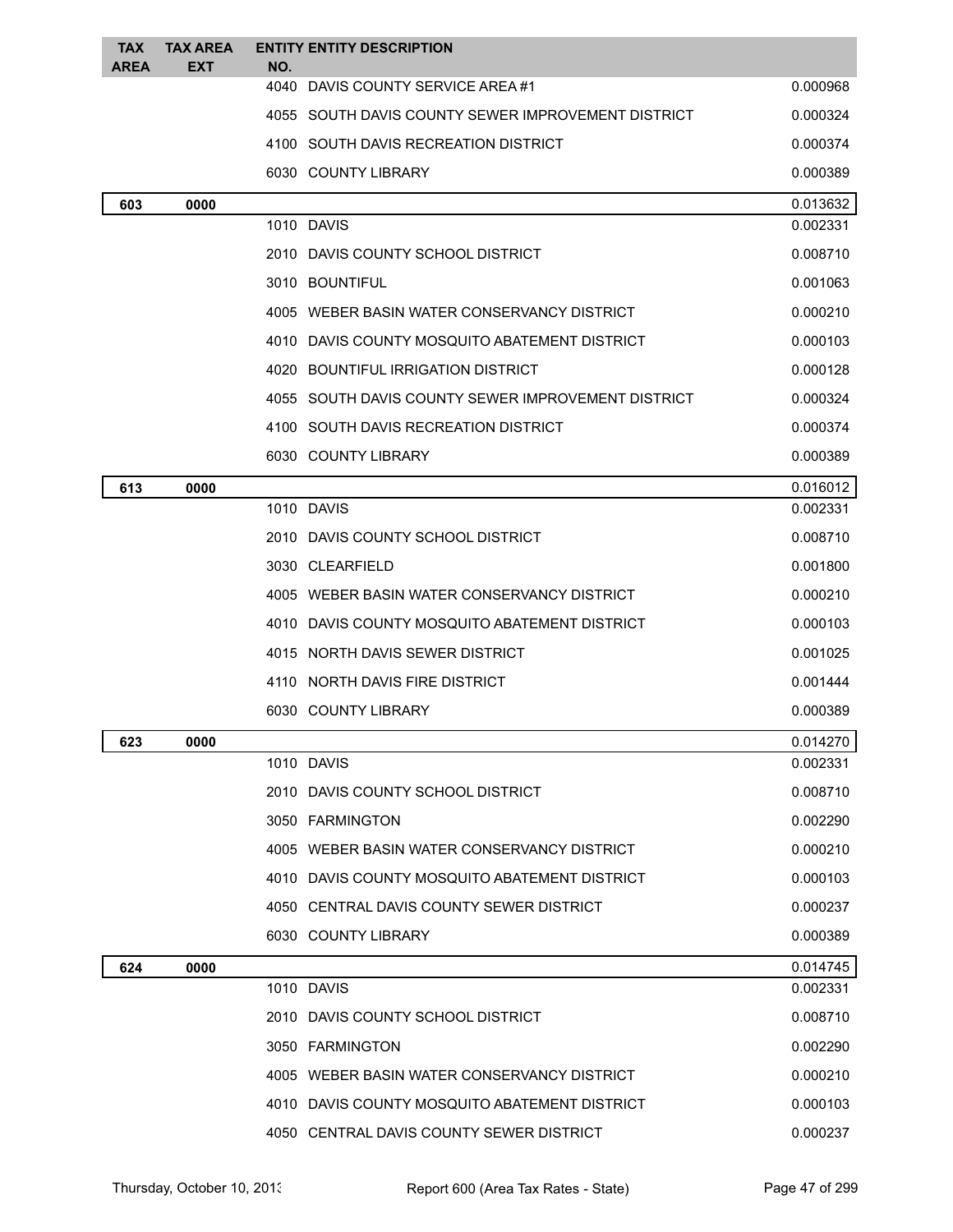| <b>TAX</b><br><b>AREA</b> | <b>TAX AREA</b><br>EXT | <b>ENTITY ENTITY DESCRIPTION</b><br>NO.            |          |
|---------------------------|------------------------|----------------------------------------------------|----------|
|                           |                        | 4040<br>DAVIS COUNTY SERVICE AREA #1               | 0.000968 |
|                           |                        | 4055 SOUTH DAVIS COUNTY SEWER IMPROVEMENT DISTRICT | 0.000324 |
|                           |                        | 4100 SOUTH DAVIS RECREATION DISTRICT               | 0.000374 |
|                           |                        | 6030 COUNTY LIBRARY                                | 0.000389 |
| 603                       | 0000                   |                                                    | 0.013632 |
|                           |                        | 1010 DAVIS                                         | 0.002331 |
|                           |                        | 2010 DAVIS COUNTY SCHOOL DISTRICT                  | 0.008710 |
|                           |                        | 3010 BOUNTIFUL                                     | 0.001063 |
|                           |                        | 4005 WEBER BASIN WATER CONSERVANCY DISTRICT        | 0.000210 |
|                           |                        | 4010 DAVIS COUNTY MOSQUITO ABATEMENT DISTRICT      | 0.000103 |
|                           |                        | 4020 BOUNTIFUL IRRIGATION DISTRICT                 | 0.000128 |
|                           |                        | 4055 SOUTH DAVIS COUNTY SEWER IMPROVEMENT DISTRICT | 0.000324 |
|                           |                        | 4100 SOUTH DAVIS RECREATION DISTRICT               | 0.000374 |
|                           |                        | 6030 COUNTY LIBRARY                                | 0.000389 |
| 613                       | 0000                   |                                                    | 0.016012 |
|                           |                        | 1010 DAVIS                                         | 0.002331 |
|                           |                        | 2010 DAVIS COUNTY SCHOOL DISTRICT                  | 0.008710 |
|                           |                        | 3030 CLEARFIELD                                    | 0.001800 |
|                           |                        | 4005 WEBER BASIN WATER CONSERVANCY DISTRICT        | 0.000210 |
|                           |                        | 4010 DAVIS COUNTY MOSQUITO ABATEMENT DISTRICT      | 0.000103 |
|                           |                        | 4015 NORTH DAVIS SEWER DISTRICT                    | 0.001025 |
|                           |                        | 4110 NORTH DAVIS FIRE DISTRICT                     | 0.001444 |
|                           |                        | 6030 COUNTY LIBRARY                                | 0.000389 |
| 623                       | 0000                   |                                                    | 0.014270 |
|                           |                        | 1010 DAVIS                                         | 0.002331 |
|                           |                        | 2010 DAVIS COUNTY SCHOOL DISTRICT                  | 0.008710 |
|                           |                        | 3050 FARMINGTON                                    | 0.002290 |
|                           |                        | 4005 WEBER BASIN WATER CONSERVANCY DISTRICT        | 0.000210 |
|                           |                        | 4010 DAVIS COUNTY MOSQUITO ABATEMENT DISTRICT      | 0.000103 |
|                           |                        | 4050 CENTRAL DAVIS COUNTY SEWER DISTRICT           | 0.000237 |
|                           |                        | 6030 COUNTY LIBRARY                                | 0.000389 |
| 624                       | 0000                   |                                                    | 0.014745 |
|                           |                        | 1010 DAVIS                                         | 0.002331 |
|                           |                        | 2010 DAVIS COUNTY SCHOOL DISTRICT                  | 0.008710 |
|                           |                        | 3050 FARMINGTON                                    | 0.002290 |
|                           |                        | 4005 WEBER BASIN WATER CONSERVANCY DISTRICT        | 0.000210 |
|                           |                        | 4010 DAVIS COUNTY MOSQUITO ABATEMENT DISTRICT      | 0.000103 |
|                           |                        | 4050 CENTRAL DAVIS COUNTY SEWER DISTRICT           | 0.000237 |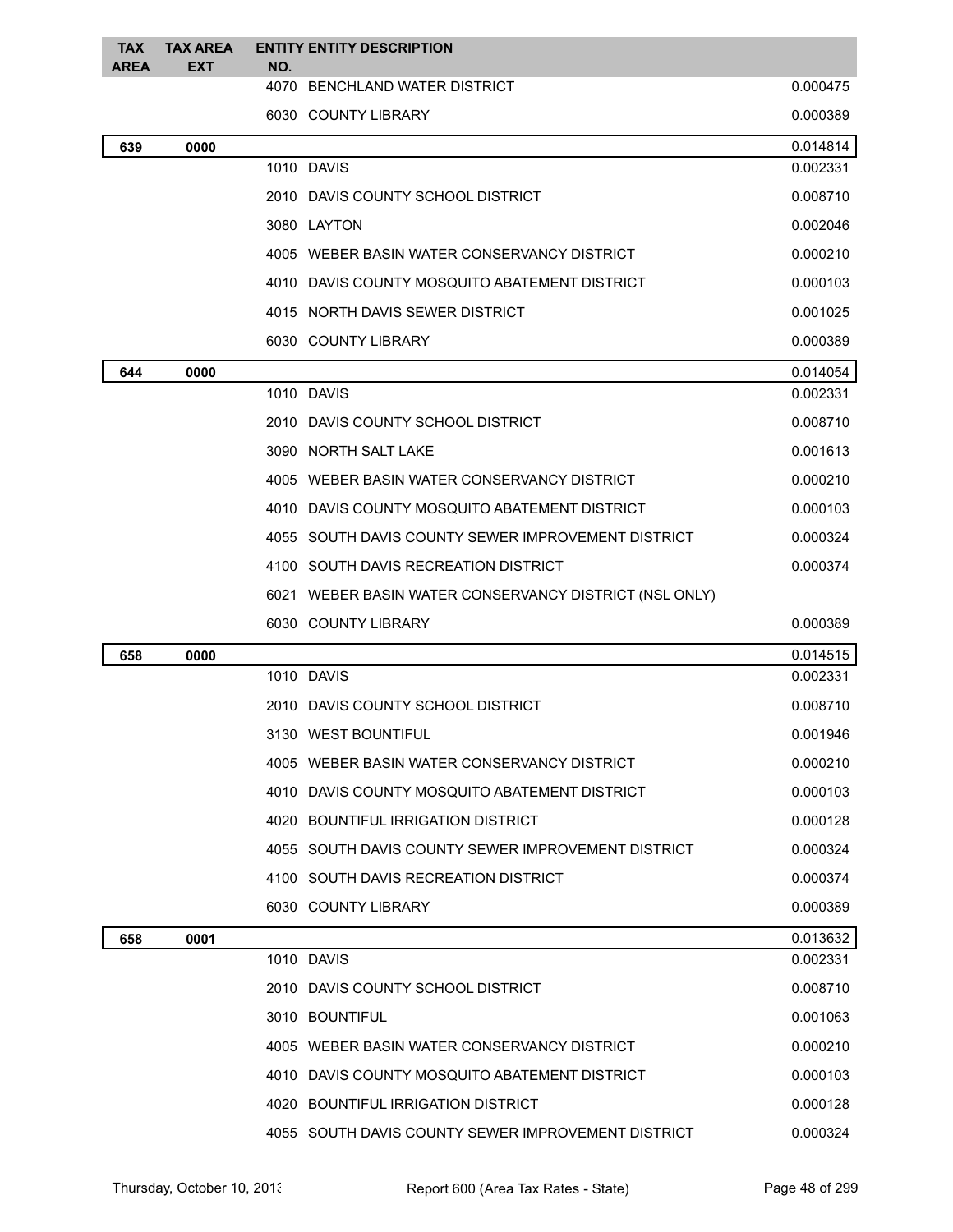| TAX<br><b>AREA</b> | <b>TAX AREA</b><br><b>EXT</b> | NO.            | <b>ENTITY ENTITY DESCRIPTION</b>                       |          |
|--------------------|-------------------------------|----------------|--------------------------------------------------------|----------|
|                    |                               |                | 4070 BENCHLAND WATER DISTRICT                          | 0.000475 |
|                    |                               |                | 6030 COUNTY LIBRARY                                    | 0.000389 |
| 639                | 0000                          |                |                                                        | 0.014814 |
|                    |                               | 1010 DAVIS     |                                                        | 0.002331 |
|                    |                               |                | 2010 DAVIS COUNTY SCHOOL DISTRICT                      | 0.008710 |
|                    |                               | 3080 LAYTON    |                                                        | 0.002046 |
|                    |                               |                | 4005 WEBER BASIN WATER CONSERVANCY DISTRICT            | 0.000210 |
|                    |                               |                | 4010 DAVIS COUNTY MOSQUITO ABATEMENT DISTRICT          | 0.000103 |
|                    |                               |                | 4015 NORTH DAVIS SEWER DISTRICT                        | 0.001025 |
|                    |                               |                | 6030 COUNTY LIBRARY                                    | 0.000389 |
| 644                | 0000                          |                |                                                        | 0.014054 |
|                    |                               | 1010 DAVIS     |                                                        | 0.002331 |
|                    |                               |                | 2010 DAVIS COUNTY SCHOOL DISTRICT                      | 0.008710 |
|                    |                               |                | 3090 NORTH SALT LAKE                                   | 0.001613 |
|                    |                               |                | 4005 WEBER BASIN WATER CONSERVANCY DISTRICT            | 0.000210 |
|                    |                               |                | 4010 DAVIS COUNTY MOSQUITO ABATEMENT DISTRICT          | 0.000103 |
|                    |                               |                | 4055 SOUTH DAVIS COUNTY SEWER IMPROVEMENT DISTRICT     | 0.000324 |
|                    |                               |                | 4100 SOUTH DAVIS RECREATION DISTRICT                   | 0.000374 |
|                    |                               |                | 6021 WEBER BASIN WATER CONSERVANCY DISTRICT (NSL ONLY) |          |
|                    |                               |                | 6030 COUNTY LIBRARY                                    | 0.000389 |
| 658                | 0000                          |                |                                                        | 0.014515 |
|                    |                               | 1010 DAVIS     |                                                        | 0.002331 |
|                    |                               |                | 2010 DAVIS COUNTY SCHOOL DISTRICT                      | 0.008710 |
|                    |                               |                | 3130 WEST BOUNTIFUL                                    | 0.001946 |
|                    |                               |                | 4005 WEBER BASIN WATER CONSERVANCY DISTRICT            | 0.000210 |
|                    |                               |                | 4010 DAVIS COUNTY MOSQUITO ABATEMENT DISTRICT          | 0.000103 |
|                    |                               |                | 4020 BOUNTIFUL IRRIGATION DISTRICT                     | 0.000128 |
|                    |                               |                | 4055 SOUTH DAVIS COUNTY SEWER IMPROVEMENT DISTRICT     | 0.000324 |
|                    |                               |                | 4100 SOUTH DAVIS RECREATION DISTRICT                   | 0.000374 |
|                    |                               |                | 6030 COUNTY LIBRARY                                    | 0.000389 |
| 658                | 0001                          |                |                                                        | 0.013632 |
|                    |                               | 1010 DAVIS     |                                                        | 0.002331 |
|                    |                               |                | 2010 DAVIS COUNTY SCHOOL DISTRICT                      | 0.008710 |
|                    |                               | 3010 BOUNTIFUL |                                                        | 0.001063 |
|                    |                               |                | 4005 WEBER BASIN WATER CONSERVANCY DISTRICT            | 0.000210 |
|                    |                               |                | 4010 DAVIS COUNTY MOSQUITO ABATEMENT DISTRICT          | 0.000103 |
|                    |                               |                | 4020 BOUNTIFUL IRRIGATION DISTRICT                     | 0.000128 |
|                    |                               |                | 4055 SOUTH DAVIS COUNTY SEWER IMPROVEMENT DISTRICT     | 0.000324 |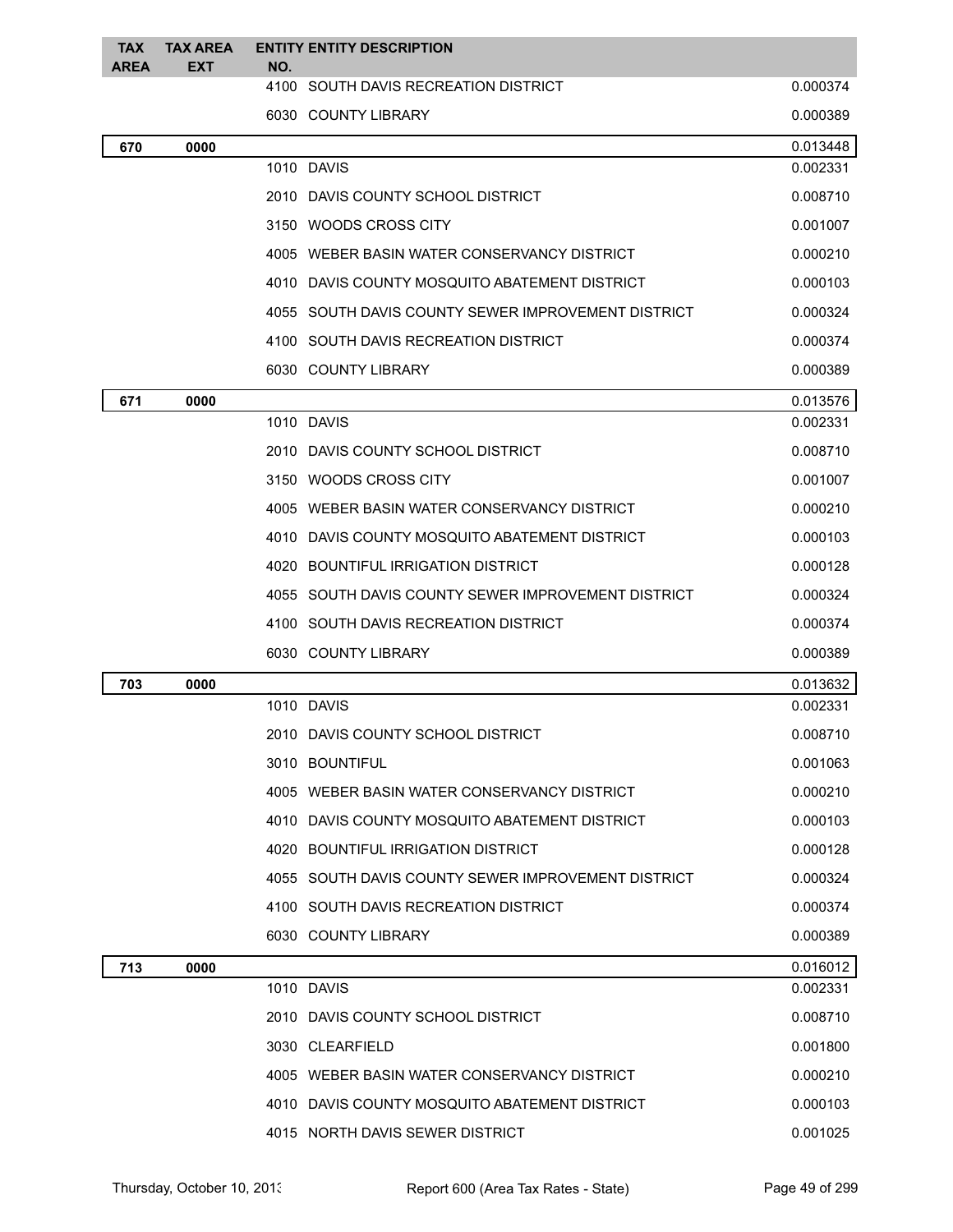| <b>TAX</b><br><b>AREA</b> | <b>TAX AREA</b><br><b>EXT</b> | <b>ENTITY ENTITY DESCRIPTION</b><br>NO.            |          |
|---------------------------|-------------------------------|----------------------------------------------------|----------|
|                           |                               | 4100 SOUTH DAVIS RECREATION DISTRICT               | 0.000374 |
|                           |                               | 6030 COUNTY LIBRARY                                | 0.000389 |
| 670                       | 0000                          |                                                    | 0.013448 |
|                           |                               | 1010 DAVIS                                         | 0.002331 |
|                           |                               | 2010 DAVIS COUNTY SCHOOL DISTRICT                  | 0.008710 |
|                           |                               | 3150 WOODS CROSS CITY                              | 0.001007 |
|                           |                               | 4005 WEBER BASIN WATER CONSERVANCY DISTRICT        | 0.000210 |
|                           |                               | 4010 DAVIS COUNTY MOSQUITO ABATEMENT DISTRICT      | 0.000103 |
|                           |                               | 4055 SOUTH DAVIS COUNTY SEWER IMPROVEMENT DISTRICT | 0.000324 |
|                           |                               | 4100 SOUTH DAVIS RECREATION DISTRICT               | 0.000374 |
|                           |                               | 6030 COUNTY LIBRARY                                | 0.000389 |
| 671                       | 0000                          |                                                    | 0.013576 |
|                           |                               | 1010 DAVIS                                         | 0.002331 |
|                           |                               | 2010 DAVIS COUNTY SCHOOL DISTRICT                  | 0.008710 |
|                           |                               | 3150 WOODS CROSS CITY                              | 0.001007 |
|                           |                               | 4005 WEBER BASIN WATER CONSERVANCY DISTRICT        | 0.000210 |
|                           |                               | 4010 DAVIS COUNTY MOSQUITO ABATEMENT DISTRICT      | 0.000103 |
|                           |                               | 4020 BOUNTIFUL IRRIGATION DISTRICT                 | 0.000128 |
|                           |                               | 4055 SOUTH DAVIS COUNTY SEWER IMPROVEMENT DISTRICT | 0.000324 |
|                           |                               | 4100 SOUTH DAVIS RECREATION DISTRICT               | 0.000374 |
|                           |                               | 6030 COUNTY LIBRARY                                | 0.000389 |
| 703                       | 0000                          |                                                    | 0.013632 |
|                           |                               | 1010 DAVIS                                         | 0.002331 |
|                           |                               | 2010 DAVIS COUNTY SCHOOL DISTRICT                  | 0.008710 |
|                           |                               | 3010 BOUNTIFUL                                     | 0.001063 |
|                           |                               | 4005 WEBER BASIN WATER CONSERVANCY DISTRICT        | 0.000210 |
|                           |                               | 4010 DAVIS COUNTY MOSQUITO ABATEMENT DISTRICT      | 0.000103 |
|                           |                               | 4020 BOUNTIFUL IRRIGATION DISTRICT                 | 0.000128 |
|                           |                               | 4055 SOUTH DAVIS COUNTY SEWER IMPROVEMENT DISTRICT | 0.000324 |
|                           |                               | 4100 SOUTH DAVIS RECREATION DISTRICT               | 0.000374 |
|                           |                               | 6030 COUNTY LIBRARY                                | 0.000389 |
| 713                       | 0000                          |                                                    | 0.016012 |
|                           |                               | 1010 DAVIS                                         | 0.002331 |
|                           |                               | 2010 DAVIS COUNTY SCHOOL DISTRICT                  | 0.008710 |
|                           |                               | 3030 CLEARFIELD                                    | 0.001800 |
|                           |                               | 4005 WEBER BASIN WATER CONSERVANCY DISTRICT        | 0.000210 |
|                           |                               | 4010 DAVIS COUNTY MOSQUITO ABATEMENT DISTRICT      | 0.000103 |
|                           |                               | 4015 NORTH DAVIS SEWER DISTRICT                    | 0.001025 |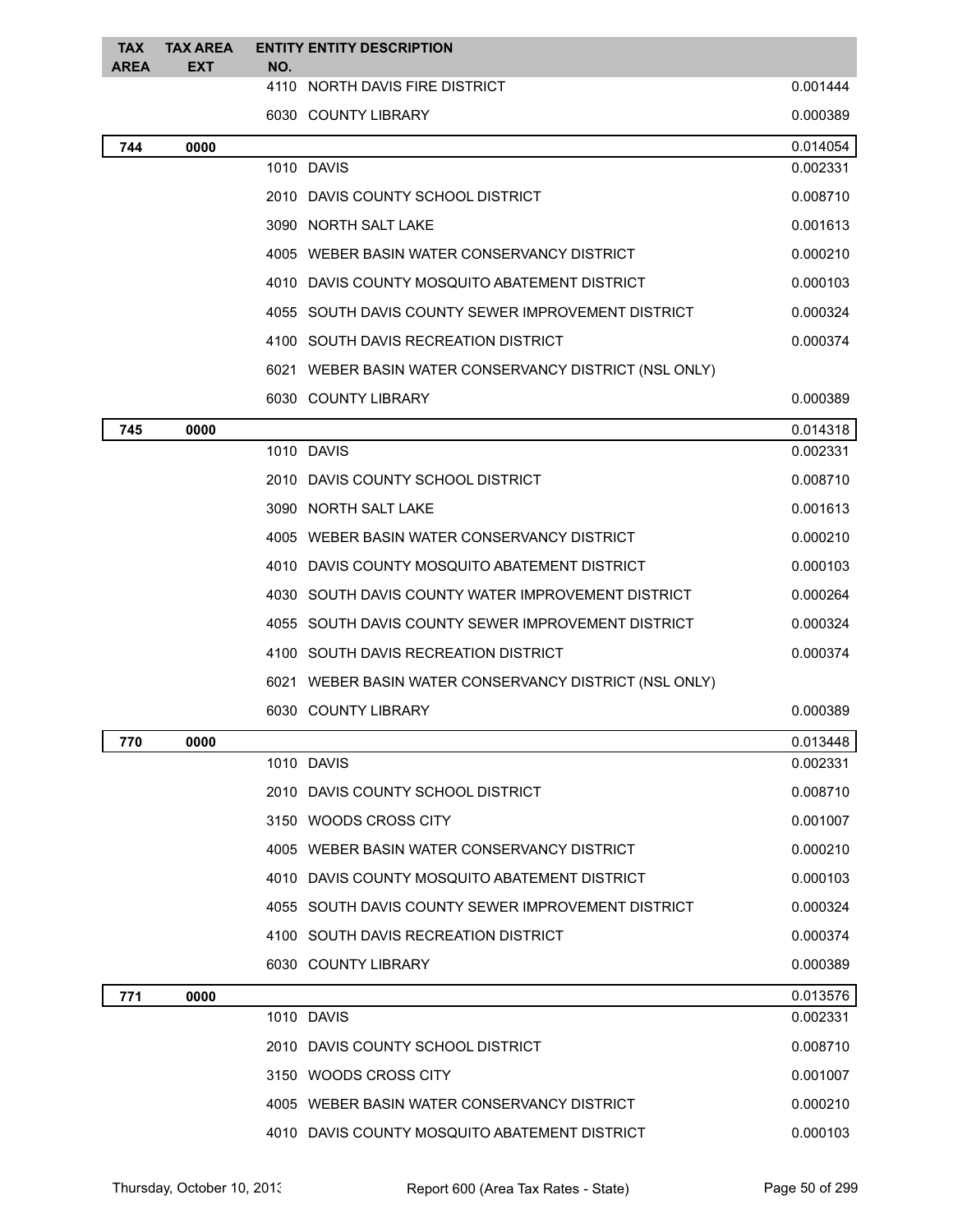| TAX<br><b>AREA</b> | <b>TAX AREA</b><br><b>EXT</b> | <b>ENTITY ENTITY DESCRIPTION</b><br>NO.                |          |
|--------------------|-------------------------------|--------------------------------------------------------|----------|
|                    |                               | 4110 NORTH DAVIS FIRE DISTRICT                         | 0.001444 |
|                    |                               | 6030 COUNTY LIBRARY                                    | 0.000389 |
| 744                | 0000                          |                                                        | 0.014054 |
|                    |                               | 1010 DAVIS                                             | 0.002331 |
|                    |                               | 2010 DAVIS COUNTY SCHOOL DISTRICT                      | 0.008710 |
|                    |                               | 3090 NORTH SALT LAKE                                   | 0.001613 |
|                    |                               | 4005 WEBER BASIN WATER CONSERVANCY DISTRICT            | 0.000210 |
|                    |                               | 4010 DAVIS COUNTY MOSQUITO ABATEMENT DISTRICT          | 0.000103 |
|                    |                               | 4055 SOUTH DAVIS COUNTY SEWER IMPROVEMENT DISTRICT     | 0.000324 |
|                    |                               | 4100 SOUTH DAVIS RECREATION DISTRICT                   | 0.000374 |
|                    |                               | 6021 WEBER BASIN WATER CONSERVANCY DISTRICT (NSL ONLY) |          |
|                    |                               | 6030 COUNTY LIBRARY                                    | 0.000389 |
| 745                | 0000                          |                                                        | 0.014318 |
|                    |                               | 1010 DAVIS                                             | 0.002331 |
|                    |                               | 2010 DAVIS COUNTY SCHOOL DISTRICT                      | 0.008710 |
|                    |                               | 3090 NORTH SALT LAKE                                   | 0.001613 |
|                    |                               | 4005 WEBER BASIN WATER CONSERVANCY DISTRICT            | 0.000210 |
|                    |                               | 4010 DAVIS COUNTY MOSQUITO ABATEMENT DISTRICT          | 0.000103 |
|                    |                               | 4030 SOUTH DAVIS COUNTY WATER IMPROVEMENT DISTRICT     | 0.000264 |
|                    |                               | 4055 SOUTH DAVIS COUNTY SEWER IMPROVEMENT DISTRICT     | 0.000324 |
|                    |                               | 4100 SOUTH DAVIS RECREATION DISTRICT                   | 0.000374 |
|                    |                               | 6021 WEBER BASIN WATER CONSERVANCY DISTRICT (NSL ONLY) |          |
|                    |                               | 6030 COUNTY LIBRARY                                    | 0.000389 |
| 770                | 0000                          |                                                        | 0.013448 |
|                    |                               | 1010 DAVIS                                             | 0.002331 |
|                    |                               | 2010 DAVIS COUNTY SCHOOL DISTRICT                      | 0.008710 |
|                    |                               | 3150 WOODS CROSS CITY                                  | 0.001007 |
|                    |                               | 4005 WEBER BASIN WATER CONSERVANCY DISTRICT            | 0.000210 |
|                    |                               | 4010 DAVIS COUNTY MOSQUITO ABATEMENT DISTRICT          | 0.000103 |
|                    |                               | 4055 SOUTH DAVIS COUNTY SEWER IMPROVEMENT DISTRICT     | 0.000324 |
|                    |                               | 4100 SOUTH DAVIS RECREATION DISTRICT                   | 0.000374 |
|                    |                               | 6030 COUNTY LIBRARY                                    | 0.000389 |
| 771                | 0000                          |                                                        | 0.013576 |
|                    |                               | 1010 DAVIS                                             | 0.002331 |
|                    |                               | 2010 DAVIS COUNTY SCHOOL DISTRICT                      | 0.008710 |
|                    |                               | 3150 WOODS CROSS CITY                                  | 0.001007 |
|                    |                               | 4005 WEBER BASIN WATER CONSERVANCY DISTRICT            | 0.000210 |
|                    |                               | 4010 DAVIS COUNTY MOSQUITO ABATEMENT DISTRICT          | 0.000103 |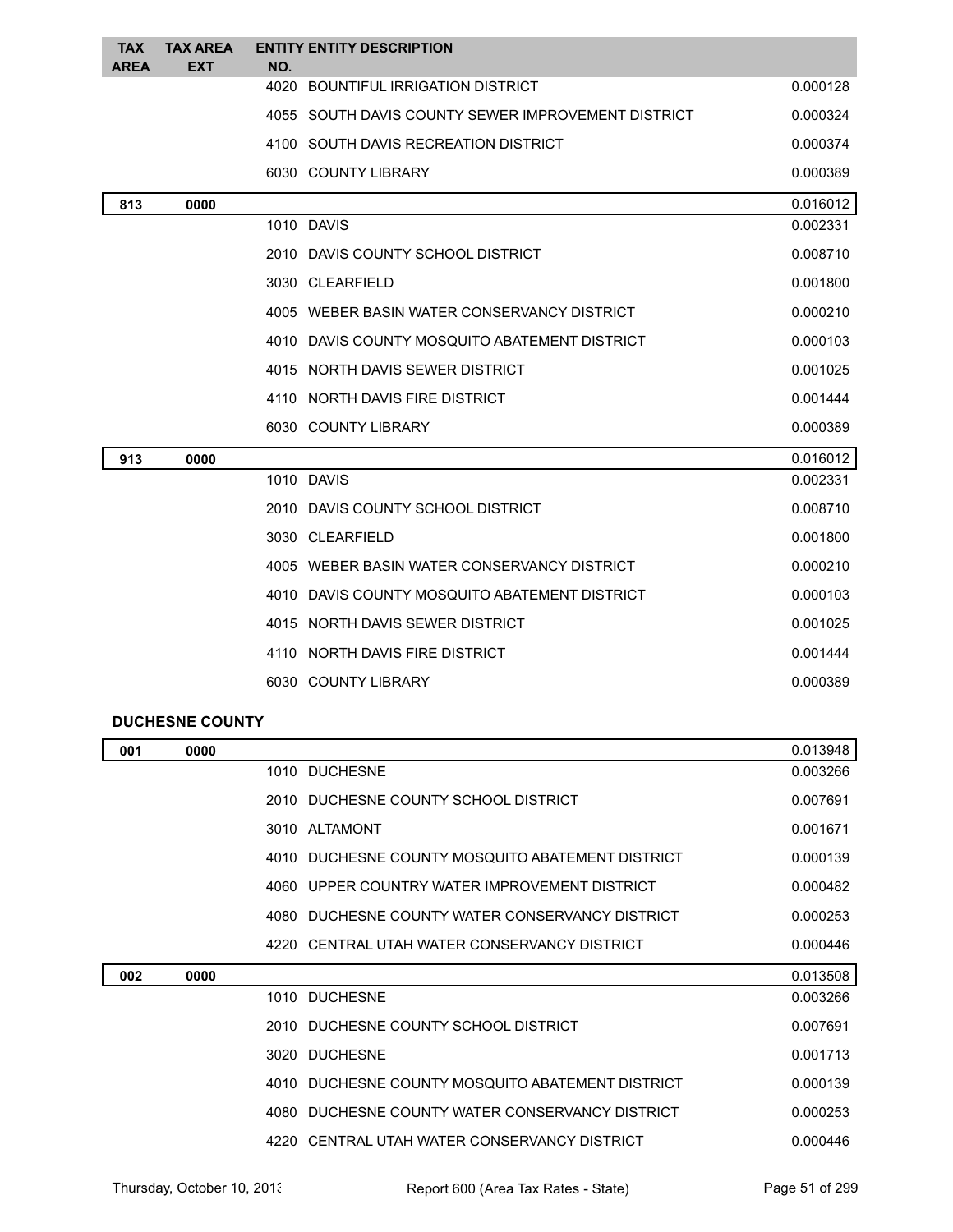| <b>TAX</b><br><b>AREA</b> | <b>TAX AREA</b><br><b>EXT</b> | NO.  | <b>ENTITY ENTITY DESCRIPTION</b>                   |          |
|---------------------------|-------------------------------|------|----------------------------------------------------|----------|
|                           |                               | 4020 | BOUNTIFUL IRRIGATION DISTRICT                      | 0.000128 |
|                           |                               |      | 4055 SOUTH DAVIS COUNTY SEWER IMPROVEMENT DISTRICT | 0.000324 |
|                           |                               |      | 4100 SOUTH DAVIS RECREATION DISTRICT               | 0.000374 |
|                           |                               |      | 6030 COUNTY LIBRARY                                | 0.000389 |
| 813                       | 0000                          |      |                                                    | 0.016012 |
|                           |                               |      | 1010 DAVIS                                         | 0.002331 |
|                           |                               |      | 2010 DAVIS COUNTY SCHOOL DISTRICT                  | 0.008710 |
|                           |                               |      | 3030 CLEARFIELD                                    | 0.001800 |
|                           |                               |      | 4005 WEBER BASIN WATER CONSERVANCY DISTRICT        | 0.000210 |
|                           |                               |      | 4010 DAVIS COUNTY MOSQUITO ABATEMENT DISTRICT      | 0.000103 |
|                           |                               |      | 4015 NORTH DAVIS SEWER DISTRICT                    | 0.001025 |
|                           |                               |      | 4110 NORTH DAVIS FIRE DISTRICT                     | 0.001444 |
|                           |                               |      | 6030 COUNTY LIBRARY                                | 0.000389 |
| 913                       | 0000                          |      |                                                    | 0.016012 |
|                           |                               |      | 1010 DAVIS                                         | 0.002331 |
|                           |                               |      | 2010 DAVIS COUNTY SCHOOL DISTRICT                  | 0.008710 |
|                           |                               |      | 3030 CLEARFIELD                                    | 0.001800 |
|                           |                               |      | 4005 WEBER BASIN WATER CONSERVANCY DISTRICT        | 0.000210 |
|                           |                               |      | 4010 DAVIS COUNTY MOSQUITO ABATEMENT DISTRICT      | 0.000103 |
|                           |                               |      | 4015 NORTH DAVIS SEWER DISTRICT                    | 0.001025 |
|                           |                               |      | 4110 NORTH DAVIS FIRE DISTRICT                     | 0.001444 |
|                           |                               |      | 6030 COUNTY LIBRARY                                | 0.000389 |
|                           |                               |      |                                                    |          |

## **DUCHESNE COUNTY**

| 001 | 0000 |                                                  | 0.013948 |
|-----|------|--------------------------------------------------|----------|
|     |      | 1010 DUCHESNE                                    | 0.003266 |
|     |      | 2010 DUCHESNE COUNTY SCHOOL DISTRICT             | 0.007691 |
|     |      | 3010 ALTAMONT                                    | 0.001671 |
|     |      | 4010 DUCHESNE COUNTY MOSQUITO ABATEMENT DISTRICT | 0.000139 |
|     |      | 4060 UPPER COUNTRY WATER IMPROVEMENT DISTRICT    | 0.000482 |
|     |      | 4080 DUCHESNE COUNTY WATER CONSERVANCY DISTRICT  | 0.000253 |
|     |      | 4220 CENTRAL UTAH WATER CONSERVANCY DISTRICT     | 0.000446 |
|     |      |                                                  |          |
| 002 | 0000 |                                                  | 0.013508 |
|     |      | 1010 DUCHESNE                                    | 0.003266 |
|     |      | 2010 DUCHESNE COUNTY SCHOOL DISTRICT             | 0.007691 |
|     |      | 3020 DUCHESNE                                    | 0.001713 |
|     |      | 4010 DUCHESNE COUNTY MOSQUITO ABATEMENT DISTRICT | 0.000139 |
|     |      | 4080 DUCHESNE COUNTY WATER CONSERVANCY DISTRICT  | 0.000253 |
|     |      | 4220 CENTRAL UTAH WATER CONSERVANCY DISTRICT     | 0.000446 |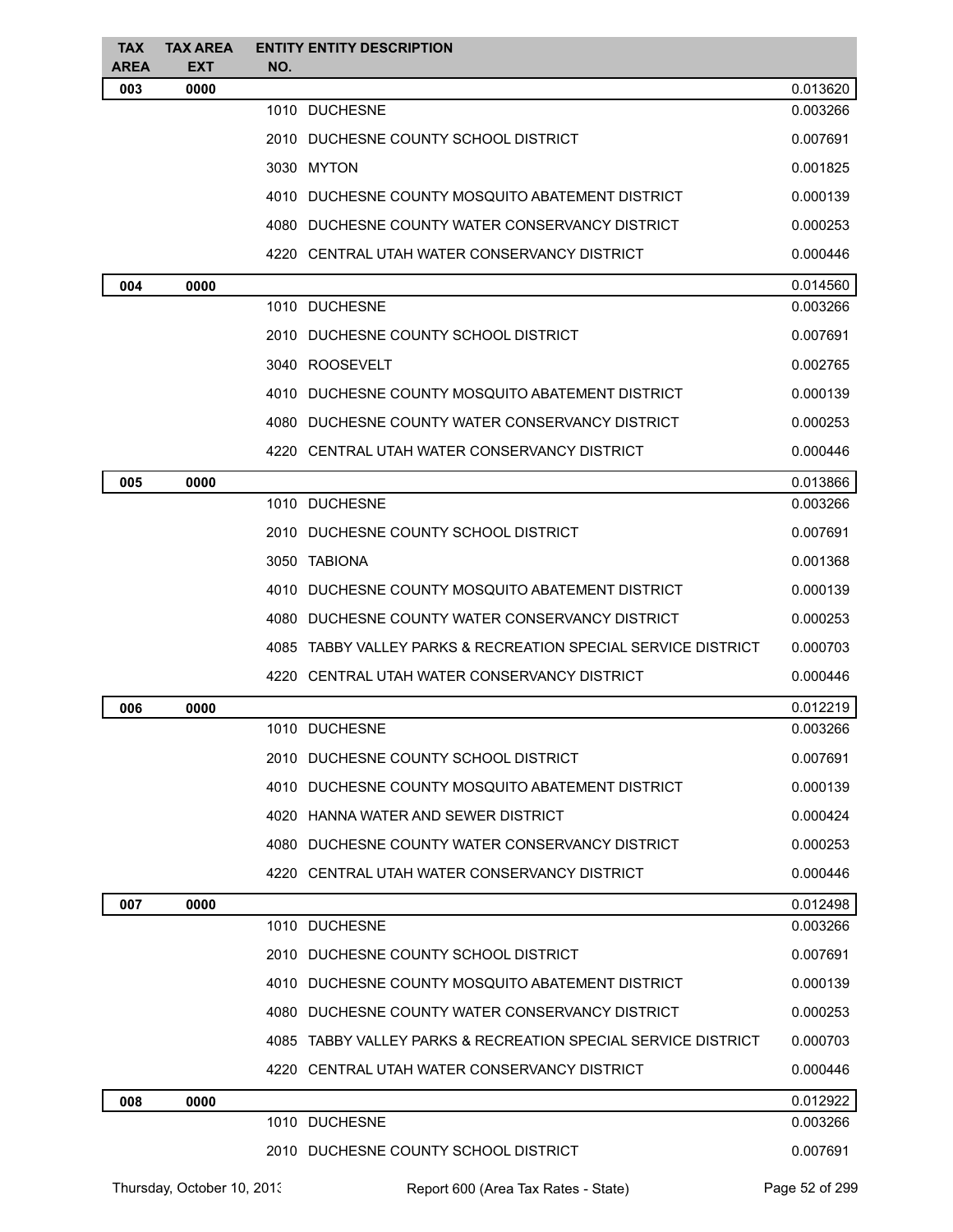| <b>TAX</b><br><b>AREA</b> | <b>TAX AREA</b><br><b>EXT</b> | <b>ENTITY ENTITY DESCRIPTION</b><br>NO.                       |          |
|---------------------------|-------------------------------|---------------------------------------------------------------|----------|
| 003                       | 0000                          |                                                               | 0.013620 |
|                           |                               | 1010 DUCHESNE                                                 | 0.003266 |
|                           |                               | 2010 DUCHESNE COUNTY SCHOOL DISTRICT                          | 0.007691 |
|                           |                               | 3030 MYTON                                                    | 0.001825 |
|                           |                               | 4010 DUCHESNE COUNTY MOSQUITO ABATEMENT DISTRICT              | 0.000139 |
|                           |                               | 4080 DUCHESNE COUNTY WATER CONSERVANCY DISTRICT               | 0.000253 |
|                           |                               | 4220 CENTRAL UTAH WATER CONSERVANCY DISTRICT                  | 0.000446 |
| 004                       | 0000                          |                                                               | 0.014560 |
|                           |                               | 1010 DUCHESNE                                                 | 0.003266 |
|                           |                               | 2010 DUCHESNE COUNTY SCHOOL DISTRICT                          | 0.007691 |
|                           |                               | 3040 ROOSEVELT                                                | 0.002765 |
|                           |                               | 4010 DUCHESNE COUNTY MOSQUITO ABATEMENT DISTRICT              | 0.000139 |
|                           |                               | 4080 DUCHESNE COUNTY WATER CONSERVANCY DISTRICT               | 0.000253 |
|                           |                               | 4220 CENTRAL UTAH WATER CONSERVANCY DISTRICT                  | 0.000446 |
| 005                       | 0000                          |                                                               | 0.013866 |
|                           |                               | 1010 DUCHESNE                                                 | 0.003266 |
|                           |                               | 2010 DUCHESNE COUNTY SCHOOL DISTRICT                          | 0.007691 |
|                           |                               | 3050 TABIONA                                                  | 0.001368 |
|                           |                               | 4010 DUCHESNE COUNTY MOSQUITO ABATEMENT DISTRICT              | 0.000139 |
|                           |                               | 4080 DUCHESNE COUNTY WATER CONSERVANCY DISTRICT               | 0.000253 |
|                           |                               | 4085 TABBY VALLEY PARKS & RECREATION SPECIAL SERVICE DISTRICT | 0.000703 |
|                           |                               | 4220 CENTRAL UTAH WATER CONSERVANCY DISTRICT                  | 0.000446 |
| 006                       | 0000                          |                                                               | 0.012219 |
|                           |                               | 1010 DUCHESNE                                                 | 0.003266 |
|                           |                               | 2010 DUCHESNE COUNTY SCHOOL DISTRICT                          | 0.007691 |
|                           |                               | 4010 DUCHESNE COUNTY MOSQUITO ABATEMENT DISTRICT              | 0.000139 |
|                           |                               | 4020 HANNA WATER AND SEWER DISTRICT                           | 0.000424 |
|                           |                               | 4080 DUCHESNE COUNTY WATER CONSERVANCY DISTRICT               | 0.000253 |
|                           |                               | 4220 CENTRAL UTAH WATER CONSERVANCY DISTRICT                  | 0.000446 |
| 007                       | 0000                          |                                                               | 0.012498 |
|                           |                               | 1010 DUCHESNE                                                 | 0.003266 |
|                           |                               | 2010 DUCHESNE COUNTY SCHOOL DISTRICT                          | 0.007691 |
|                           |                               | 4010 DUCHESNE COUNTY MOSQUITO ABATEMENT DISTRICT              | 0.000139 |
|                           |                               | 4080 DUCHESNE COUNTY WATER CONSERVANCY DISTRICT               | 0.000253 |
|                           |                               | 4085 TABBY VALLEY PARKS & RECREATION SPECIAL SERVICE DISTRICT | 0.000703 |
|                           |                               | 4220 CENTRAL UTAH WATER CONSERVANCY DISTRICT                  | 0.000446 |
| 008                       | 0000                          |                                                               | 0.012922 |
|                           |                               | 1010 DUCHESNE                                                 | 0.003266 |
|                           |                               | 2010 DUCHESNE COUNTY SCHOOL DISTRICT                          | 0.007691 |
|                           |                               |                                                               |          |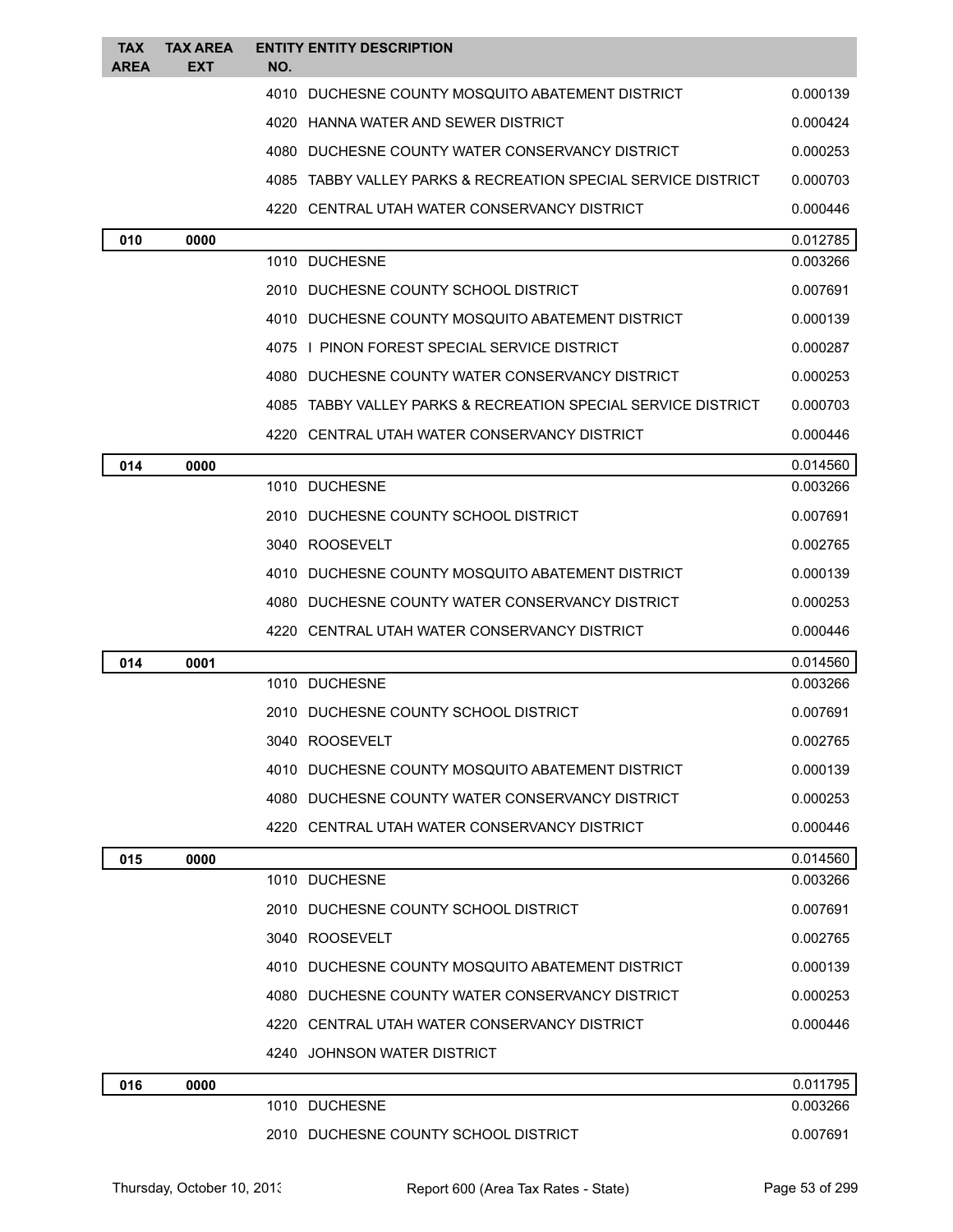| <b>TAX</b><br>AREA | <b>TAX AREA</b><br>EXT | <b>ENTITY ENTITY DESCRIPTION</b><br>NO.                       |          |
|--------------------|------------------------|---------------------------------------------------------------|----------|
|                    |                        | 4010 DUCHESNE COUNTY MOSQUITO ABATEMENT DISTRICT              | 0.000139 |
|                    |                        | 4020 HANNA WATER AND SEWER DISTRICT                           | 0.000424 |
|                    |                        | 4080 DUCHESNE COUNTY WATER CONSERVANCY DISTRICT               | 0.000253 |
|                    |                        | 4085 TABBY VALLEY PARKS & RECREATION SPECIAL SERVICE DISTRICT | 0.000703 |
|                    |                        | 4220 CENTRAL UTAH WATER CONSERVANCY DISTRICT                  | 0.000446 |
| 010                | 0000                   |                                                               | 0.012785 |
|                    |                        | 1010 DUCHESNE                                                 | 0.003266 |
|                    |                        | 2010 DUCHESNE COUNTY SCHOOL DISTRICT                          | 0.007691 |
|                    |                        | 4010 DUCHESNE COUNTY MOSQUITO ABATEMENT DISTRICT              | 0.000139 |
|                    |                        | 4075 I PINON FOREST SPECIAL SERVICE DISTRICT                  | 0.000287 |
|                    |                        | 4080 DUCHESNE COUNTY WATER CONSERVANCY DISTRICT               | 0.000253 |
|                    |                        | 4085 TABBY VALLEY PARKS & RECREATION SPECIAL SERVICE DISTRICT | 0.000703 |
|                    |                        | 4220 CENTRAL UTAH WATER CONSERVANCY DISTRICT                  | 0.000446 |
| 014                | 0000                   |                                                               | 0.014560 |
|                    |                        | 1010 DUCHESNE                                                 | 0.003266 |
|                    |                        | 2010 DUCHESNE COUNTY SCHOOL DISTRICT                          | 0.007691 |
|                    |                        | 3040 ROOSEVELT                                                | 0.002765 |
|                    |                        | 4010 DUCHESNE COUNTY MOSQUITO ABATEMENT DISTRICT              | 0.000139 |
|                    |                        | 4080 DUCHESNE COUNTY WATER CONSERVANCY DISTRICT               | 0.000253 |
|                    |                        | 4220 CENTRAL UTAH WATER CONSERVANCY DISTRICT                  | 0.000446 |
| 014                | 0001                   |                                                               | 0.014560 |
|                    |                        | 1010 DUCHESNE                                                 | 0.003266 |
|                    |                        | 2010 DUCHESNE COUNTY SCHOOL DISTRICT                          | 0.007691 |
|                    |                        | 3040 ROOSEVELT                                                | 0.002765 |
|                    |                        | 4010 DUCHESNE COUNTY MOSQUITO ABATEMENT DISTRICT              | 0.000139 |
|                    |                        | 4080 DUCHESNE COUNTY WATER CONSERVANCY DISTRICT               | 0.000253 |
|                    |                        | 4220 CENTRAL UTAH WATER CONSERVANCY DISTRICT                  | 0.000446 |
| 015                | 0000                   |                                                               | 0.014560 |
|                    |                        | 1010 DUCHESNE                                                 | 0.003266 |
|                    |                        | 2010 DUCHESNE COUNTY SCHOOL DISTRICT                          | 0.007691 |
|                    |                        | 3040 ROOSEVELT                                                | 0.002765 |
|                    |                        | 4010 DUCHESNE COUNTY MOSQUITO ABATEMENT DISTRICT              | 0.000139 |
|                    |                        | 4080 DUCHESNE COUNTY WATER CONSERVANCY DISTRICT               | 0.000253 |
|                    |                        | 4220 CENTRAL UTAH WATER CONSERVANCY DISTRICT                  | 0.000446 |
|                    |                        | 4240 JOHNSON WATER DISTRICT                                   |          |
| 016                | 0000                   |                                                               | 0.011795 |
|                    |                        | 1010 DUCHESNE                                                 | 0.003266 |
|                    |                        | 2010 DUCHESNE COUNTY SCHOOL DISTRICT                          | 0.007691 |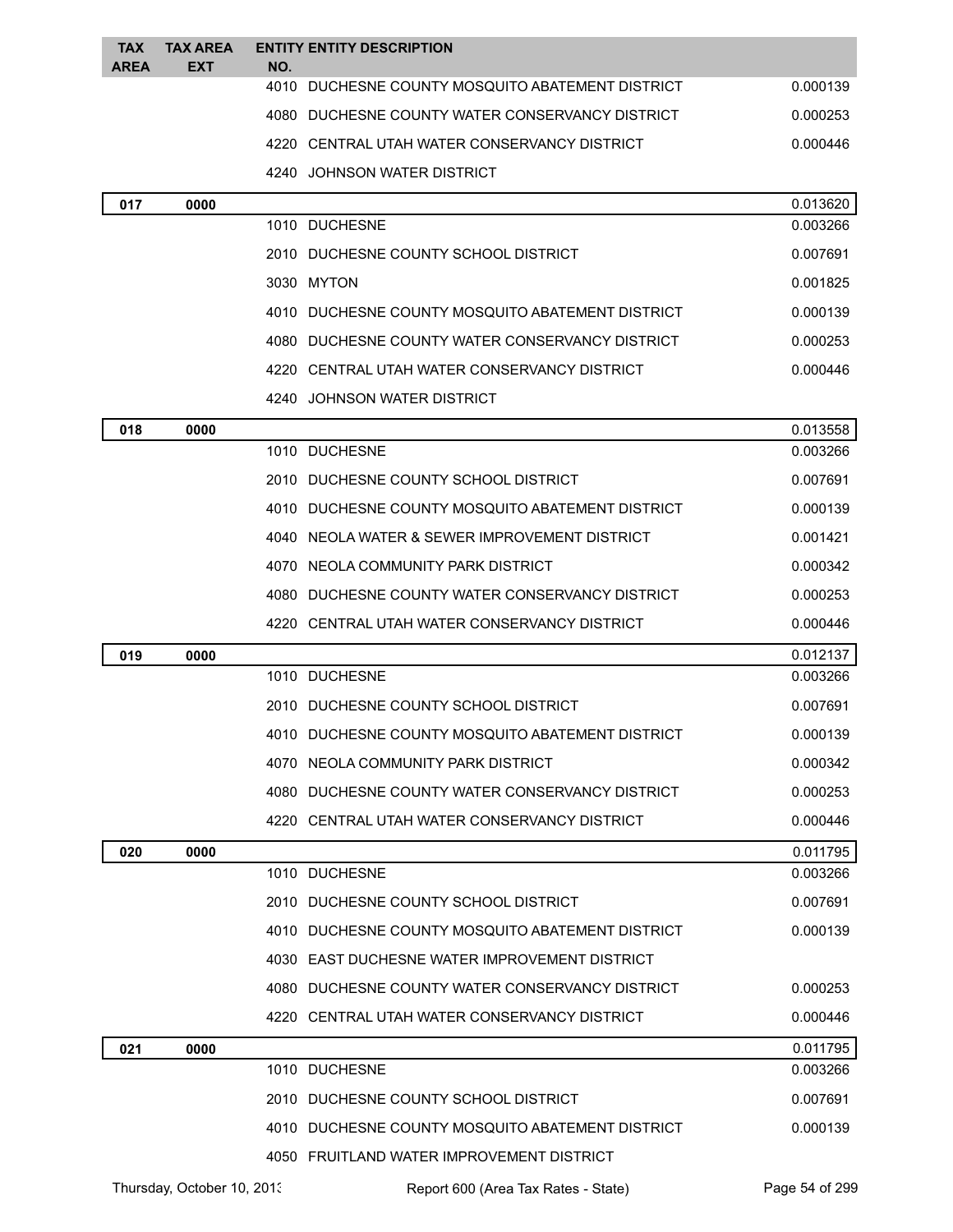| <b>TAX</b><br><b>AREA</b> | <b>TAX AREA</b><br><b>EXT</b> | <b>ENTITY ENTITY DESCRIPTION</b><br>NO.          |          |
|---------------------------|-------------------------------|--------------------------------------------------|----------|
|                           |                               | 4010 DUCHESNE COUNTY MOSQUITO ABATEMENT DISTRICT | 0.000139 |
|                           |                               | 4080 DUCHESNE COUNTY WATER CONSERVANCY DISTRICT  | 0.000253 |
|                           |                               | 4220 CENTRAL UTAH WATER CONSERVANCY DISTRICT     | 0.000446 |
|                           |                               | JOHNSON WATER DISTRICT<br>4240                   |          |
| 017                       | 0000                          |                                                  | 0.013620 |
|                           |                               | 1010 DUCHESNE                                    | 0.003266 |
|                           |                               | 2010 DUCHESNE COUNTY SCHOOL DISTRICT             | 0.007691 |
|                           |                               | 3030 MYTON                                       | 0.001825 |
|                           |                               | 4010 DUCHESNE COUNTY MOSQUITO ABATEMENT DISTRICT | 0.000139 |
|                           |                               | 4080 DUCHESNE COUNTY WATER CONSERVANCY DISTRICT  | 0.000253 |
|                           |                               | 4220 CENTRAL UTAH WATER CONSERVANCY DISTRICT     | 0.000446 |
|                           |                               | 4240 JOHNSON WATER DISTRICT                      |          |
| 018                       | 0000                          |                                                  | 0.013558 |
|                           |                               | 1010 DUCHESNE                                    | 0.003266 |
|                           |                               | 2010 DUCHESNE COUNTY SCHOOL DISTRICT             | 0.007691 |
|                           |                               | 4010 DUCHESNE COUNTY MOSQUITO ABATEMENT DISTRICT | 0.000139 |
|                           |                               | 4040 NEOLA WATER & SEWER IMPROVEMENT DISTRICT    | 0.001421 |
|                           |                               | 4070 NEOLA COMMUNITY PARK DISTRICT               | 0.000342 |
|                           |                               | 4080 DUCHESNE COUNTY WATER CONSERVANCY DISTRICT  | 0.000253 |
|                           |                               | 4220 CENTRAL UTAH WATER CONSERVANCY DISTRICT     | 0.000446 |
| 019                       | 0000                          |                                                  | 0.012137 |
|                           |                               | 1010 DUCHESNE                                    | 0.003266 |
|                           |                               | 2010 DUCHESNE COUNTY SCHOOL DISTRICT             | 0.007691 |
|                           |                               | 4010 DUCHESNE COUNTY MOSQUITO ABATEMENT DISTRICT | 0.000139 |
|                           |                               | 4070 NEOLA COMMUNITY PARK DISTRICT               | 0.000342 |
|                           |                               | 4080 DUCHESNE COUNTY WATER CONSERVANCY DISTRICT  | 0.000253 |
|                           |                               | 4220 CENTRAL UTAH WATER CONSERVANCY DISTRICT     | 0.000446 |
| 020                       | 0000                          |                                                  | 0.011795 |
|                           |                               | 1010 DUCHESNE                                    | 0.003266 |
|                           |                               | 2010 DUCHESNE COUNTY SCHOOL DISTRICT             | 0.007691 |
|                           |                               | 4010 DUCHESNE COUNTY MOSQUITO ABATEMENT DISTRICT | 0.000139 |
|                           |                               | 4030 EAST DUCHESNE WATER IMPROVEMENT DISTRICT    |          |
|                           |                               | 4080 DUCHESNE COUNTY WATER CONSERVANCY DISTRICT  | 0.000253 |
|                           |                               | 4220 CENTRAL UTAH WATER CONSERVANCY DISTRICT     | 0.000446 |
| 021                       | 0000                          |                                                  | 0.011795 |
|                           |                               | 1010 DUCHESNE                                    | 0.003266 |
|                           |                               | 2010 DUCHESNE COUNTY SCHOOL DISTRICT             | 0.007691 |
|                           |                               | 4010 DUCHESNE COUNTY MOSQUITO ABATEMENT DISTRICT | 0.000139 |
|                           |                               | 4050 FRUITLAND WATER IMPROVEMENT DISTRICT        |          |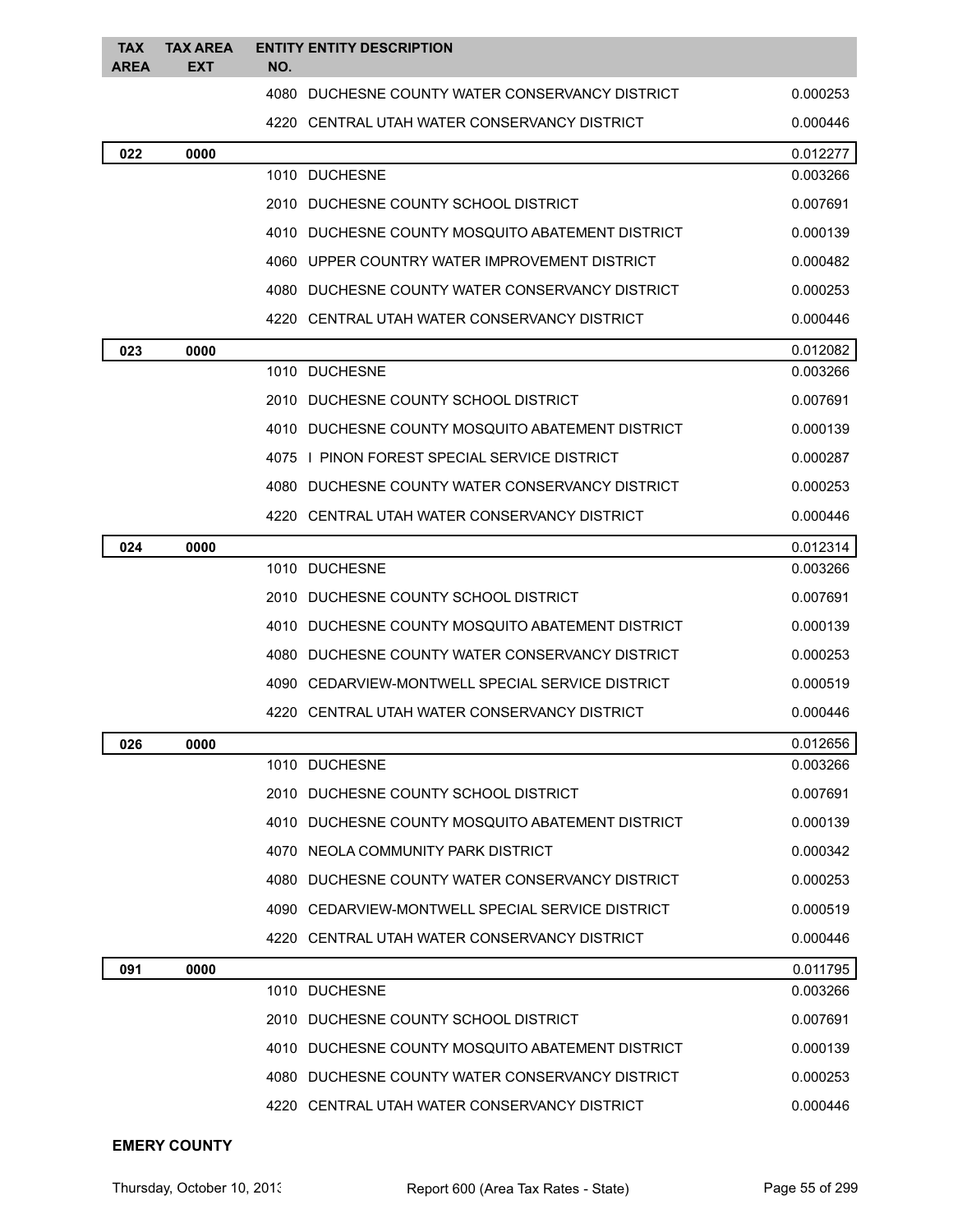| <b>TAX</b><br><b>AREA</b> | <b>TAX AREA</b><br>EXT | <b>ENTITY ENTITY DESCRIPTION</b><br>NO.            |          |
|---------------------------|------------------------|----------------------------------------------------|----------|
|                           |                        | 4080<br>DUCHESNE COUNTY WATER CONSERVANCY DISTRICT | 0.000253 |
|                           |                        | 4220 CENTRAL UTAH WATER CONSERVANCY DISTRICT       | 0.000446 |
| 022                       | 0000                   |                                                    | 0.012277 |
|                           |                        | 1010 DUCHESNE                                      | 0.003266 |
|                           |                        | 2010 DUCHESNE COUNTY SCHOOL DISTRICT               | 0.007691 |
|                           |                        | 4010 DUCHESNE COUNTY MOSQUITO ABATEMENT DISTRICT   | 0.000139 |
|                           |                        | 4060 UPPER COUNTRY WATER IMPROVEMENT DISTRICT      | 0.000482 |
|                           |                        | 4080 DUCHESNE COUNTY WATER CONSERVANCY DISTRICT    | 0.000253 |
|                           |                        | 4220 CENTRAL UTAH WATER CONSERVANCY DISTRICT       | 0.000446 |
| 023                       | 0000                   |                                                    | 0.012082 |
|                           |                        | 1010 DUCHESNE                                      | 0.003266 |
|                           |                        | 2010 DUCHESNE COUNTY SCHOOL DISTRICT               | 0.007691 |
|                           |                        | 4010 DUCHESNE COUNTY MOSQUITO ABATEMENT DISTRICT   | 0.000139 |
|                           |                        | 4075 I PINON FOREST SPECIAL SERVICE DISTRICT       | 0.000287 |
|                           |                        | 4080 DUCHESNE COUNTY WATER CONSERVANCY DISTRICT    | 0.000253 |
|                           |                        | 4220   CENTRAL UTAH WATER CONSERVANCY DISTRICT     | 0.000446 |
| 024                       | 0000                   |                                                    | 0.012314 |
|                           |                        | 1010 DUCHESNE                                      | 0.003266 |
|                           |                        | 2010 DUCHESNE COUNTY SCHOOL DISTRICT               | 0.007691 |
|                           |                        | 4010 DUCHESNE COUNTY MOSQUITO ABATEMENT DISTRICT   | 0.000139 |
|                           |                        | 4080 DUCHESNE COUNTY WATER CONSERVANCY DISTRICT    | 0.000253 |
|                           |                        | 4090 CEDARVIEW-MONTWELL SPECIAL SERVICE DISTRICT   | 0.000519 |
|                           |                        | 4220   CENTRAL UTAH WATER CONSERVANCY DISTRICT     | 0.000446 |
| 026                       | 0000                   |                                                    | 0.012656 |
|                           |                        | 1010 DUCHESNE                                      | 0.003266 |
|                           |                        | 2010 DUCHESNE COUNTY SCHOOL DISTRICT               | 0.007691 |
|                           |                        | 4010 DUCHESNE COUNTY MOSQUITO ABATEMENT DISTRICT   | 0.000139 |
|                           |                        | 4070 NEOLA COMMUNITY PARK DISTRICT                 | 0.000342 |
|                           |                        | 4080 DUCHESNE COUNTY WATER CONSERVANCY DISTRICT    | 0.000253 |
|                           |                        | 4090 CEDARVIEW-MONTWELL SPECIAL SERVICE DISTRICT   | 0.000519 |
|                           |                        | 4220 CENTRAL UTAH WATER CONSERVANCY DISTRICT       | 0.000446 |
| 091                       | 0000                   |                                                    | 0.011795 |
|                           |                        | 1010 DUCHESNE                                      | 0.003266 |
|                           |                        | 2010 DUCHESNE COUNTY SCHOOL DISTRICT               | 0.007691 |
|                           |                        | 4010 DUCHESNE COUNTY MOSQUITO ABATEMENT DISTRICT   | 0.000139 |
|                           |                        | 4080 DUCHESNE COUNTY WATER CONSERVANCY DISTRICT    | 0.000253 |
|                           |                        | 4220 CENTRAL UTAH WATER CONSERVANCY DISTRICT       | 0.000446 |

#### **EMERY COUNTY**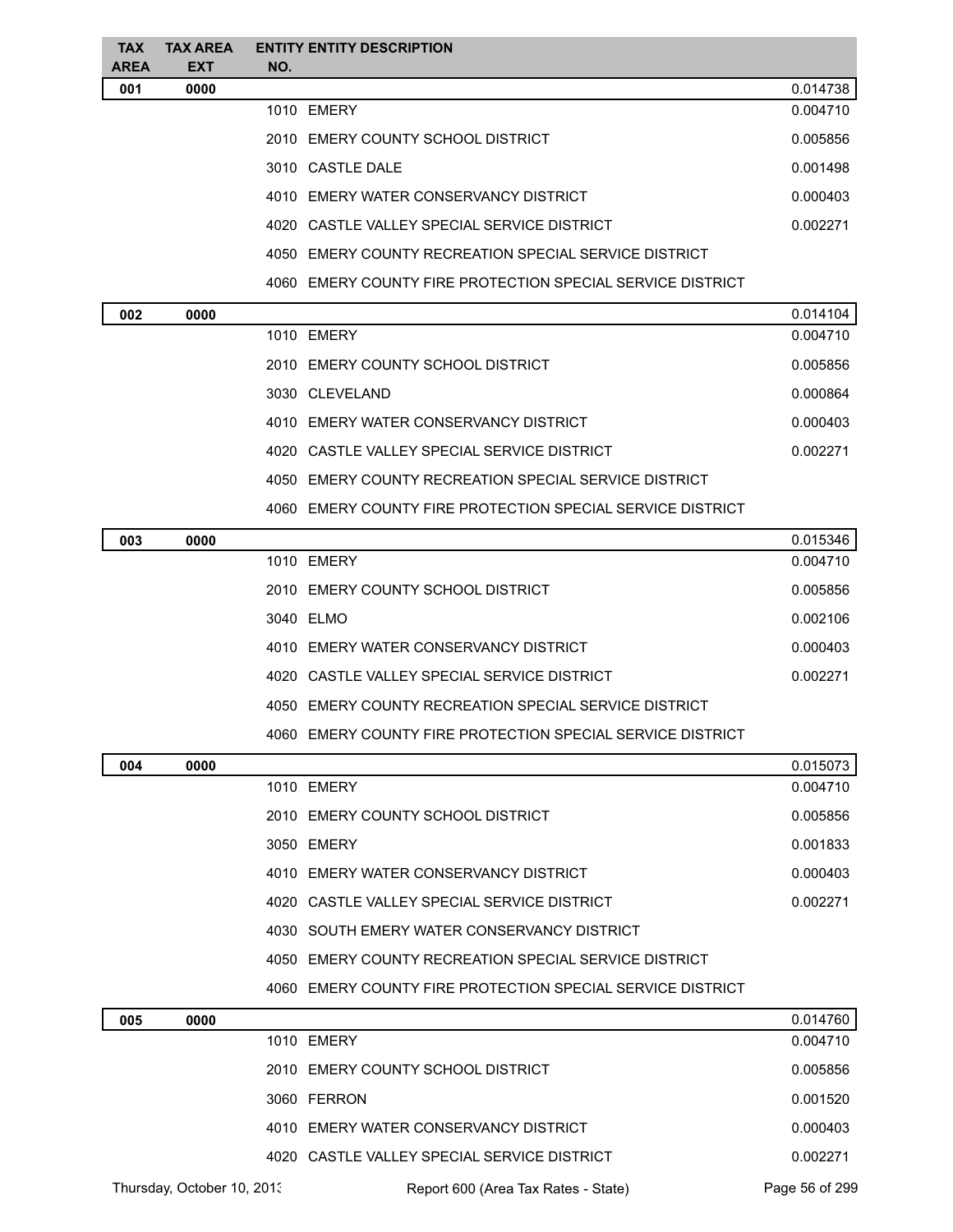| <b>TAX</b><br><b>AREA</b> | <b>TAX AREA</b><br><b>EXT</b> | <b>ENTITY ENTITY DESCRIPTION</b><br>NO.                    |          |
|---------------------------|-------------------------------|------------------------------------------------------------|----------|
| 001                       | 0000                          |                                                            | 0.014738 |
|                           |                               | 1010 EMERY                                                 | 0.004710 |
|                           |                               | 2010 EMERY COUNTY SCHOOL DISTRICT                          | 0.005856 |
|                           |                               | 3010 CASTLE DALE                                           | 0.001498 |
|                           |                               | 4010 EMERY WATER CONSERVANCY DISTRICT                      | 0.000403 |
|                           |                               | 4020 CASTLE VALLEY SPECIAL SERVICE DISTRICT                | 0.002271 |
|                           |                               | 4050 EMERY COUNTY RECREATION SPECIAL SERVICE DISTRICT      |          |
|                           |                               | 4060 EMERY COUNTY FIRE PROTECTION SPECIAL SERVICE DISTRICT |          |
| 002                       | 0000                          |                                                            | 0.014104 |
|                           |                               | 1010 EMERY                                                 | 0.004710 |
|                           |                               | 2010 EMERY COUNTY SCHOOL DISTRICT                          | 0.005856 |
|                           |                               | 3030 CLEVELAND                                             | 0.000864 |
|                           |                               | 4010 EMERY WATER CONSERVANCY DISTRICT                      | 0.000403 |
|                           |                               | 4020 CASTLE VALLEY SPECIAL SERVICE DISTRICT                | 0.002271 |
|                           |                               | 4050 EMERY COUNTY RECREATION SPECIAL SERVICE DISTRICT      |          |
|                           |                               | 4060 EMERY COUNTY FIRE PROTECTION SPECIAL SERVICE DISTRICT |          |
| 003                       | 0000                          |                                                            | 0.015346 |
|                           |                               | 1010 EMERY                                                 | 0.004710 |
|                           |                               | 2010 EMERY COUNTY SCHOOL DISTRICT                          | 0.005856 |
|                           |                               | 3040 ELMO                                                  | 0.002106 |
|                           |                               | 4010 EMERY WATER CONSERVANCY DISTRICT                      | 0.000403 |
|                           |                               | 4020 CASTLE VALLEY SPECIAL SERVICE DISTRICT                | 0.002271 |
|                           |                               | 4050 EMERY COUNTY RECREATION SPECIAL SERVICE DISTRICT      |          |
|                           |                               | 4060 EMERY COUNTY FIRE PROTECTION SPECIAL SERVICE DISTRICT |          |
| 004                       | 0000                          |                                                            | 0.015073 |
|                           |                               | 1010 EMERY                                                 | 0.004710 |
|                           |                               | 2010 EMERY COUNTY SCHOOL DISTRICT                          | 0.005856 |
|                           |                               | 3050 EMERY                                                 | 0.001833 |
|                           |                               | 4010 EMERY WATER CONSERVANCY DISTRICT                      | 0.000403 |
|                           |                               | 4020 CASTLE VALLEY SPECIAL SERVICE DISTRICT                | 0.002271 |
|                           |                               | 4030 SOUTH EMERY WATER CONSERVANCY DISTRICT                |          |
|                           |                               | 4050 EMERY COUNTY RECREATION SPECIAL SERVICE DISTRICT      |          |
|                           |                               | 4060 EMERY COUNTY FIRE PROTECTION SPECIAL SERVICE DISTRICT |          |
| 005                       | 0000                          |                                                            | 0.014760 |
|                           |                               | 1010 EMERY                                                 | 0.004710 |
|                           |                               | 2010 EMERY COUNTY SCHOOL DISTRICT                          | 0.005856 |
|                           |                               | 3060 FERRON                                                | 0.001520 |
|                           |                               | 4010 EMERY WATER CONSERVANCY DISTRICT                      | 0.000403 |

Thursday, October 10, 2013 Report 600 (Area Tax Rates - State) Page 56 of 299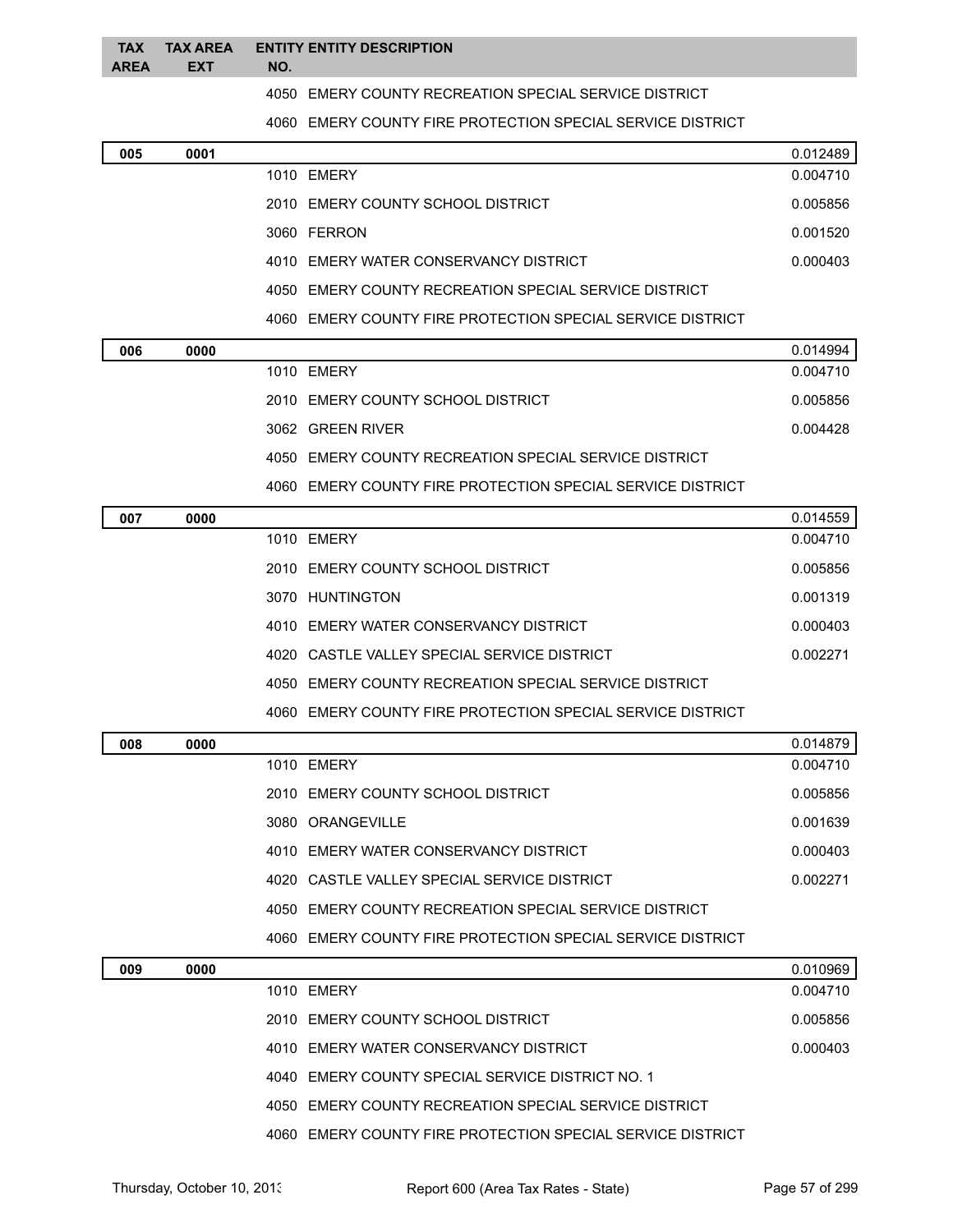|          | TAX TAX AREA ENTITY ENTITY DESCRIPTION |
|----------|----------------------------------------|
| AREA EXT | NO.                                    |

EMERY COUNTY RECREATION SPECIAL SERVICE DISTRICT

EMERY COUNTY FIRE PROTECTION SPECIAL SERVICE DISTRICT

| 005 | 0001 |                                                            | 0.012489 |
|-----|------|------------------------------------------------------------|----------|
|     |      | 1010 FMFRY                                                 | 0.004710 |
|     |      | 2010 EMERY COUNTY SCHOOL DISTRICT                          | 0.005856 |
|     |      | 3060 FFRRON                                                | 0.001520 |
|     |      | 4010 EMERY WATER CONSERVANCY DISTRICT                      | 0.000403 |
|     |      | 4050 EMERY COUNTY RECREATION SPECIAL SERVICE DISTRICT      |          |
|     |      | 4060 EMERY COUNTY FIRE PROTECTION SPECIAL SERVICE DISTRICT |          |
| 006 | 0000 |                                                            | 0.014994 |

| vvv | uuu |                                                       | 0.01 <del>4</del> 55 <del>4</del> |
|-----|-----|-------------------------------------------------------|-----------------------------------|
|     |     | 1010 FMFRY                                            | 0.004710                          |
|     |     | 2010 EMERY COUNTY SCHOOL DISTRICT                     | 0.005856                          |
|     |     | 3062 GREEN RIVER                                      | 0.004428                          |
|     |     | 4050 EMERY COUNTY RECREATION SPECIAL SERVICE DISTRICT |                                   |
|     |     |                                                       |                                   |

EMERY COUNTY FIRE PROTECTION SPECIAL SERVICE DISTRICT

| 007 | 0000 |                                                            | 0.014559 |
|-----|------|------------------------------------------------------------|----------|
|     |      | 1010 EMERY                                                 | 0.004710 |
|     |      | 2010 EMERY COUNTY SCHOOL DISTRICT                          | 0.005856 |
|     |      | 3070 HUNTINGTON                                            | 0.001319 |
|     |      | 4010 EMERY WATER CONSERVANCY DISTRICT                      | 0.000403 |
|     |      | 4020 CASTLE VALLEY SPECIAL SERVICE DISTRICT                | 0.002271 |
|     |      | 4050 EMERY COUNTY RECREATION SPECIAL SERVICE DISTRICT      |          |
|     |      | 4060 EMERY COUNTY FIRE PROTECTION SPECIAL SERVICE DISTRICT |          |
| 008 | 0000 |                                                            | 0.014879 |
|     |      | 1010 FMFRY                                                 | 0.004710 |
|     |      | 2010 EMERY COUNTY SCHOOL DISTRICT                          | 0.005856 |
|     |      | 3080 ORANGEVILLE                                           | 0.001639 |
|     |      | 4010 EMERY WATER CONSERVANCY DISTRICT                      | 0.000403 |
|     |      | 4020 CASTLE VALLEY SPECIAL SERVICE DISTRICT                | 0.002271 |
|     |      | 4050 EMERY COUNTY RECREATION SPECIAL SERVICE DISTRICT      |          |
|     |      | 4060 EMERY COUNTY FIRE PROTECTION SPECIAL SERVICE DISTRICT |          |

| 009 | 0000 |                                                            | 0.010969 |
|-----|------|------------------------------------------------------------|----------|
|     |      | 1010 FMFRY                                                 | 0.004710 |
|     |      | 2010 FMFRY COUNTY SCHOOL DISTRICT                          | 0.005856 |
|     |      | 4010 EMERY WATER CONSERVANCY DISTRICT                      | 0.000403 |
|     |      | 4040 FMERY COUNTY SPECIAL SERVICE DISTRICT NO. 1           |          |
|     |      | 4050 EMERY COUNTY RECREATION SPECIAL SERVICE DISTRICT      |          |
|     |      | 4060 EMERY COUNTY FIRE PROTECTION SPECIAL SERVICE DISTRICT |          |
|     |      |                                                            |          |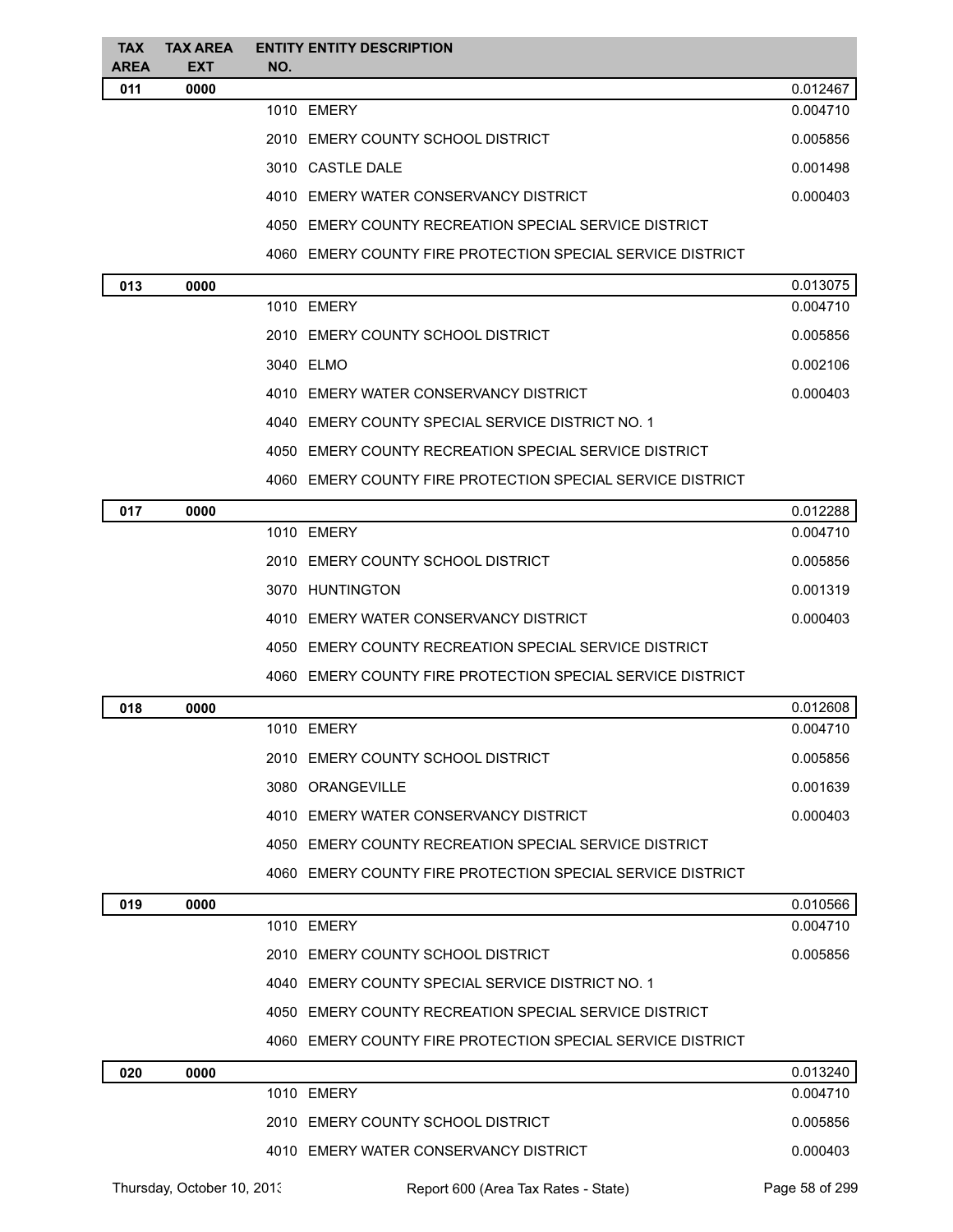| <b>TAX</b><br><b>AREA</b> | <b>TAX AREA</b><br><b>EXT</b> | <b>ENTITY ENTITY DESCRIPTION</b><br>NO.                    |          |
|---------------------------|-------------------------------|------------------------------------------------------------|----------|
| 011                       | 0000                          |                                                            | 0.012467 |
|                           |                               | 1010 EMERY                                                 | 0.004710 |
|                           |                               | 2010 EMERY COUNTY SCHOOL DISTRICT                          | 0.005856 |
|                           |                               | 3010 CASTLE DALE                                           | 0.001498 |
|                           |                               | 4010 EMERY WATER CONSERVANCY DISTRICT                      | 0.000403 |
|                           |                               | 4050 EMERY COUNTY RECREATION SPECIAL SERVICE DISTRICT      |          |
|                           |                               | 4060 EMERY COUNTY FIRE PROTECTION SPECIAL SERVICE DISTRICT |          |
| 013                       | 0000                          |                                                            | 0.013075 |
|                           |                               | 1010 EMERY                                                 | 0.004710 |
|                           |                               | 2010 EMERY COUNTY SCHOOL DISTRICT                          | 0.005856 |
|                           |                               | 3040 ELMO                                                  | 0.002106 |
|                           |                               | 4010 EMERY WATER CONSERVANCY DISTRICT                      | 0.000403 |
|                           |                               | 4040 EMERY COUNTY SPECIAL SERVICE DISTRICT NO. 1           |          |
|                           |                               | 4050 EMERY COUNTY RECREATION SPECIAL SERVICE DISTRICT      |          |
|                           |                               | 4060 EMERY COUNTY FIRE PROTECTION SPECIAL SERVICE DISTRICT |          |
| 017                       | 0000                          |                                                            | 0.012288 |
|                           |                               | 1010 EMERY                                                 | 0.004710 |
|                           |                               | 2010 EMERY COUNTY SCHOOL DISTRICT                          | 0.005856 |
|                           |                               | 3070 HUNTINGTON                                            | 0.001319 |
|                           |                               | 4010 EMERY WATER CONSERVANCY DISTRICT                      | 0.000403 |
|                           |                               | 4050 EMERY COUNTY RECREATION SPECIAL SERVICE DISTRICT      |          |
|                           |                               | 4060 EMERY COUNTY FIRE PROTECTION SPECIAL SERVICE DISTRICT |          |
| 018                       | 0000                          |                                                            | 0.012608 |
|                           |                               | 1010 EMERY                                                 | 0.004710 |
|                           |                               | 2010 EMERY COUNTY SCHOOL DISTRICT                          | 0.005856 |
|                           |                               | 3080 ORANGEVILLE                                           | 0.001639 |
|                           |                               | 4010 EMERY WATER CONSERVANCY DISTRICT                      | 0.000403 |
|                           |                               | 4050 EMERY COUNTY RECREATION SPECIAL SERVICE DISTRICT      |          |
|                           |                               | 4060 EMERY COUNTY FIRE PROTECTION SPECIAL SERVICE DISTRICT |          |
| 019                       | 0000                          |                                                            | 0.010566 |
|                           |                               | 1010 EMERY                                                 | 0.004710 |
|                           |                               | 2010 EMERY COUNTY SCHOOL DISTRICT                          | 0.005856 |
|                           |                               | 4040 EMERY COUNTY SPECIAL SERVICE DISTRICT NO. 1           |          |
|                           |                               | 4050 EMERY COUNTY RECREATION SPECIAL SERVICE DISTRICT      |          |
|                           |                               | 4060 EMERY COUNTY FIRE PROTECTION SPECIAL SERVICE DISTRICT |          |
| 020                       | 0000                          |                                                            | 0.013240 |
|                           |                               | 1010 EMERY                                                 | 0.004710 |
|                           |                               | 2010 EMERY COUNTY SCHOOL DISTRICT                          | 0.005856 |
|                           |                               | 4010 EMERY WATER CONSERVANCY DISTRICT                      | 0.000403 |

Thursday, October 10, 2013 Report 600 (Area Tax Rates - State) Page 58 of 299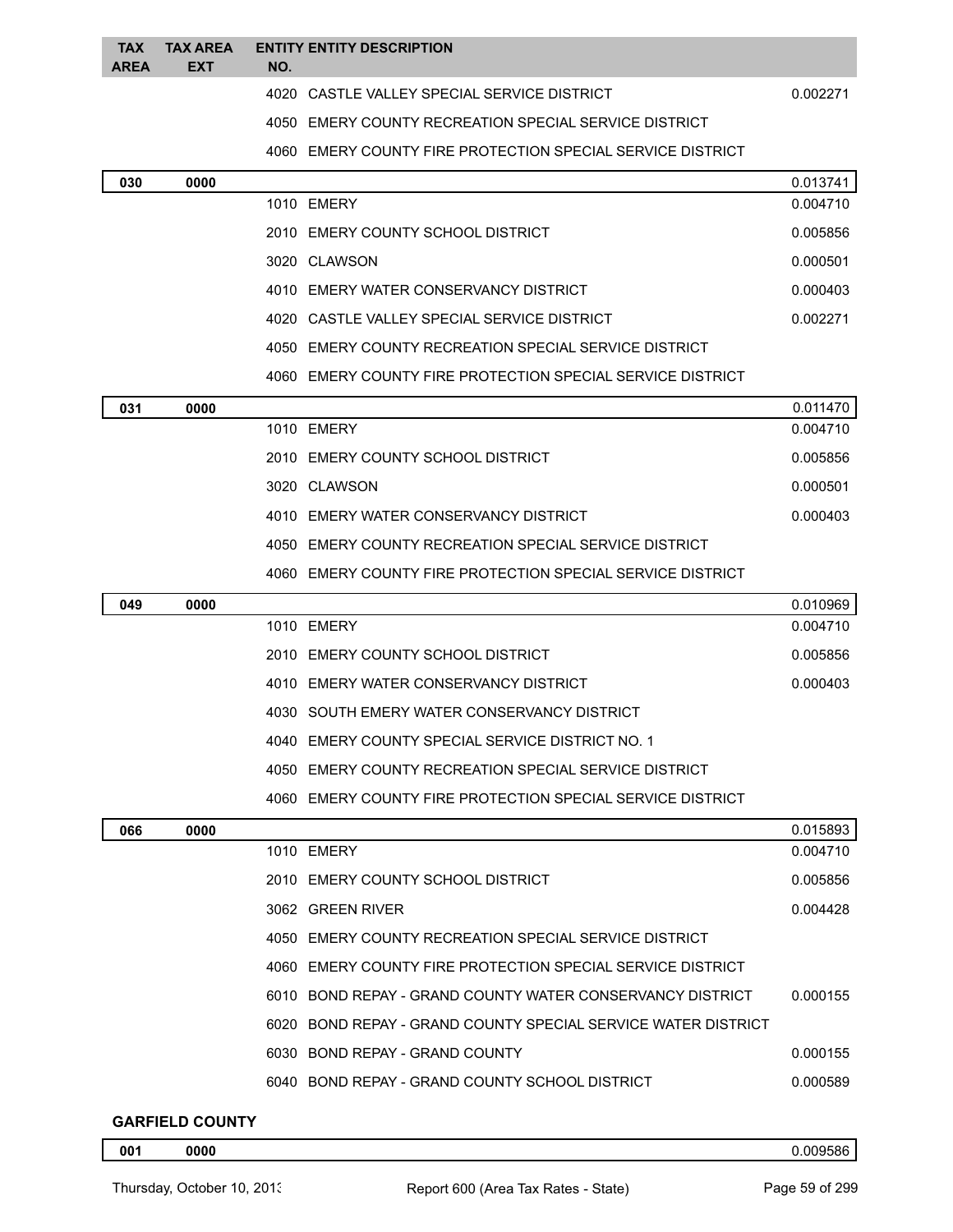| <b>TAX</b><br><b>AREA</b> | <b>TAX AREA</b><br><b>EXT</b> | NO. | <b>ENTITY ENTITY DESCRIPTION</b>                              |                      |
|---------------------------|-------------------------------|-----|---------------------------------------------------------------|----------------------|
|                           |                               |     | 4020 CASTLE VALLEY SPECIAL SERVICE DISTRICT                   | 0.002271             |
|                           |                               |     | 4050 EMERY COUNTY RECREATION SPECIAL SERVICE DISTRICT         |                      |
|                           |                               |     | 4060 EMERY COUNTY FIRE PROTECTION SPECIAL SERVICE DISTRICT    |                      |
| 030                       | 0000                          |     |                                                               | 0.013741             |
|                           |                               |     | 1010 EMERY                                                    | 0.004710             |
|                           |                               |     | 2010 EMERY COUNTY SCHOOL DISTRICT                             | 0.005856             |
|                           |                               |     | 3020 CLAWSON                                                  | 0.000501             |
|                           |                               |     | 4010 EMERY WATER CONSERVANCY DISTRICT                         | 0.000403             |
|                           |                               |     | 4020 CASTLE VALLEY SPECIAL SERVICE DISTRICT                   | 0.002271             |
|                           |                               |     | 4050 EMERY COUNTY RECREATION SPECIAL SERVICE DISTRICT         |                      |
|                           |                               |     | 4060 EMERY COUNTY FIRE PROTECTION SPECIAL SERVICE DISTRICT    |                      |
| 031                       | 0000                          |     |                                                               | 0.011470             |
|                           |                               |     | 1010 EMERY                                                    | 0.004710             |
|                           |                               |     | 2010 EMERY COUNTY SCHOOL DISTRICT                             | 0.005856             |
|                           |                               |     | 3020 CLAWSON                                                  | 0.000501             |
|                           |                               |     | 4010 EMERY WATER CONSERVANCY DISTRICT                         | 0.000403             |
|                           |                               |     | 4050 EMERY COUNTY RECREATION SPECIAL SERVICE DISTRICT         |                      |
|                           |                               |     | 4060 EMERY COUNTY FIRE PROTECTION SPECIAL SERVICE DISTRICT    |                      |
| 049                       | 0000                          |     |                                                               | 0.010969             |
|                           |                               |     | 1010 EMERY                                                    | 0.004710             |
|                           |                               |     | 2010 EMERY COUNTY SCHOOL DISTRICT                             | 0.005856             |
|                           |                               |     | 4010 EMERY WATER CONSERVANCY DISTRICT                         | 0.000403             |
|                           |                               |     | 4030 SOUTH EMERY WATER CONSERVANCY DISTRICT                   |                      |
|                           |                               |     | 4040 EMERY COUNTY SPECIAL SERVICE DISTRICT NO. 1              |                      |
|                           |                               |     | 4050 EMERY COUNTY RECREATION SPECIAL SERVICE DISTRICT         |                      |
|                           |                               |     | 4060 EMERY COUNTY FIRE PROTECTION SPECIAL SERVICE DISTRICT    |                      |
| 066                       | 0000                          |     | 1010 EMERY                                                    | 0.015893<br>0.004710 |
|                           |                               |     | 2010 EMERY COUNTY SCHOOL DISTRICT                             | 0.005856             |
|                           |                               |     | 3062 GREEN RIVER                                              | 0.004428             |
|                           |                               |     |                                                               |                      |
|                           |                               |     | 4050 EMERY COUNTY RECREATION SPECIAL SERVICE DISTRICT         |                      |
|                           |                               |     | 4060 EMERY COUNTY FIRE PROTECTION SPECIAL SERVICE DISTRICT    |                      |
|                           |                               |     | 6010 BOND REPAY - GRAND COUNTY WATER CONSERVANCY DISTRICT     | 0.000155             |
|                           |                               |     | 6020 BOND REPAY - GRAND COUNTY SPECIAL SERVICE WATER DISTRICT |                      |
|                           |                               |     | 6030 BOND REPAY - GRAND COUNTY                                | 0.000155             |
|                           |                               |     | 6040 BOND REPAY - GRAND COUNTY SCHOOL DISTRICT                | 0.000589             |

# **GARFIELD COUNTY**

**0000** 0.009586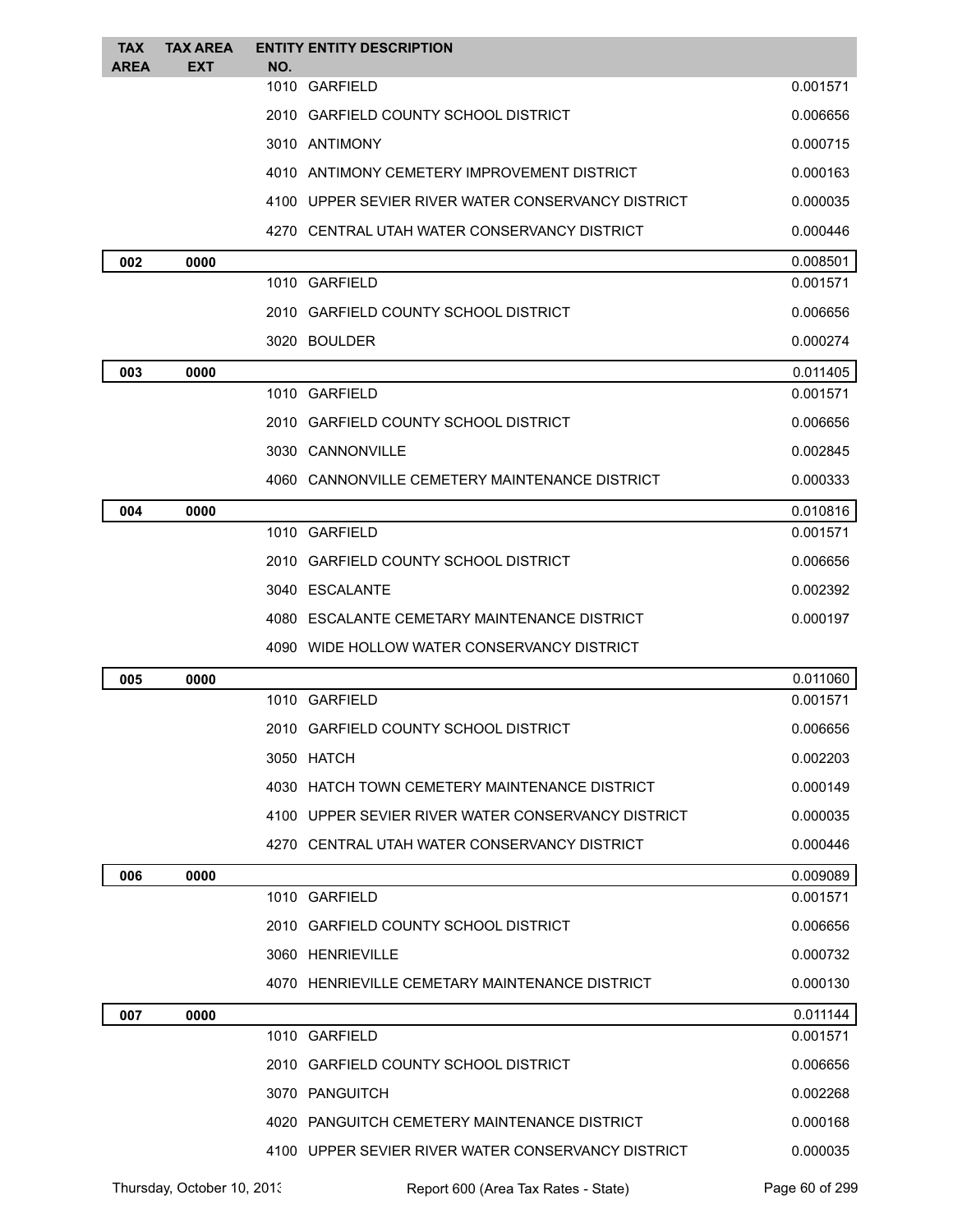| <b>TAX</b><br><b>AREA</b> | <b>TAX AREA</b><br><b>EXT</b> | <b>ENTITY ENTITY DESCRIPTION</b><br>NO.            |          |
|---------------------------|-------------------------------|----------------------------------------------------|----------|
|                           |                               | 1010 GARFIELD                                      | 0.001571 |
|                           |                               | 2010 GARFIELD COUNTY SCHOOL DISTRICT               | 0.006656 |
|                           |                               | 3010 ANTIMONY                                      | 0.000715 |
|                           |                               | 4010 ANTIMONY CEMETERY IMPROVEMENT DISTRICT        | 0.000163 |
|                           |                               | 4100 UPPER SEVIER RIVER WATER CONSERVANCY DISTRICT | 0.000035 |
|                           |                               | 4270 CENTRAL UTAH WATER CONSERVANCY DISTRICT       | 0.000446 |
| 002                       | 0000                          |                                                    | 0.008501 |
|                           |                               | 1010 GARFIELD                                      | 0.001571 |
|                           |                               | 2010 GARFIELD COUNTY SCHOOL DISTRICT               | 0.006656 |
|                           |                               | 3020 BOULDER                                       | 0.000274 |
| 003                       | 0000                          |                                                    | 0.011405 |
|                           |                               | 1010 GARFIELD                                      | 0.001571 |
|                           |                               | 2010 GARFIELD COUNTY SCHOOL DISTRICT               | 0.006656 |
|                           |                               | 3030 CANNONVILLE                                   | 0.002845 |
|                           |                               | 4060 CANNONVILLE CEMETERY MAINTENANCE DISTRICT     | 0.000333 |
| 004                       | 0000                          |                                                    | 0.010816 |
|                           |                               | 1010 GARFIELD                                      | 0.001571 |
|                           |                               | 2010 GARFIELD COUNTY SCHOOL DISTRICT               | 0.006656 |
|                           |                               | 3040 ESCALANTE                                     | 0.002392 |
|                           |                               | 4080 ESCALANTE CEMETARY MAINTENANCE DISTRICT       | 0.000197 |
|                           |                               | 4090 WIDE HOLLOW WATER CONSERVANCY DISTRICT        |          |
| 005                       | 0000                          |                                                    | 0.011060 |
|                           |                               | 1010 GARFIELD                                      | 0.001571 |
|                           |                               | 2010 GARFIELD COUNTY SCHOOL DISTRICT               | 0.006656 |
|                           |                               | 3050 HATCH                                         | 0.002203 |
|                           |                               | 4030 HATCH TOWN CEMETERY MAINTENANCE DISTRICT      | 0.000149 |
|                           |                               | 4100 UPPER SEVIER RIVER WATER CONSERVANCY DISTRICT | 0.000035 |
|                           |                               | 4270 CENTRAL UTAH WATER CONSERVANCY DISTRICT       | 0.000446 |
| 006                       | 0000                          |                                                    | 0.009089 |
|                           |                               | 1010 GARFIELD                                      | 0.001571 |
|                           |                               | 2010 GARFIELD COUNTY SCHOOL DISTRICT               | 0.006656 |
|                           |                               | 3060 HENRIEVILLE                                   | 0.000732 |
|                           |                               | 4070 HENRIEVILLE CEMETARY MAINTENANCE DISTRICT     | 0.000130 |
| 007                       | 0000                          |                                                    | 0.011144 |
|                           |                               | 1010 GARFIELD                                      | 0.001571 |
|                           |                               | 2010 GARFIELD COUNTY SCHOOL DISTRICT               | 0.006656 |
|                           |                               | 3070 PANGUITCH                                     | 0.002268 |
|                           |                               | 4020 PANGUITCH CEMETERY MAINTENANCE DISTRICT       | 0.000168 |
|                           |                               | 4100 UPPER SEVIER RIVER WATER CONSERVANCY DISTRICT | 0.000035 |

Thursday, October 10, 2013 Report 600 (Area Tax Rates - State) Page 60 of 299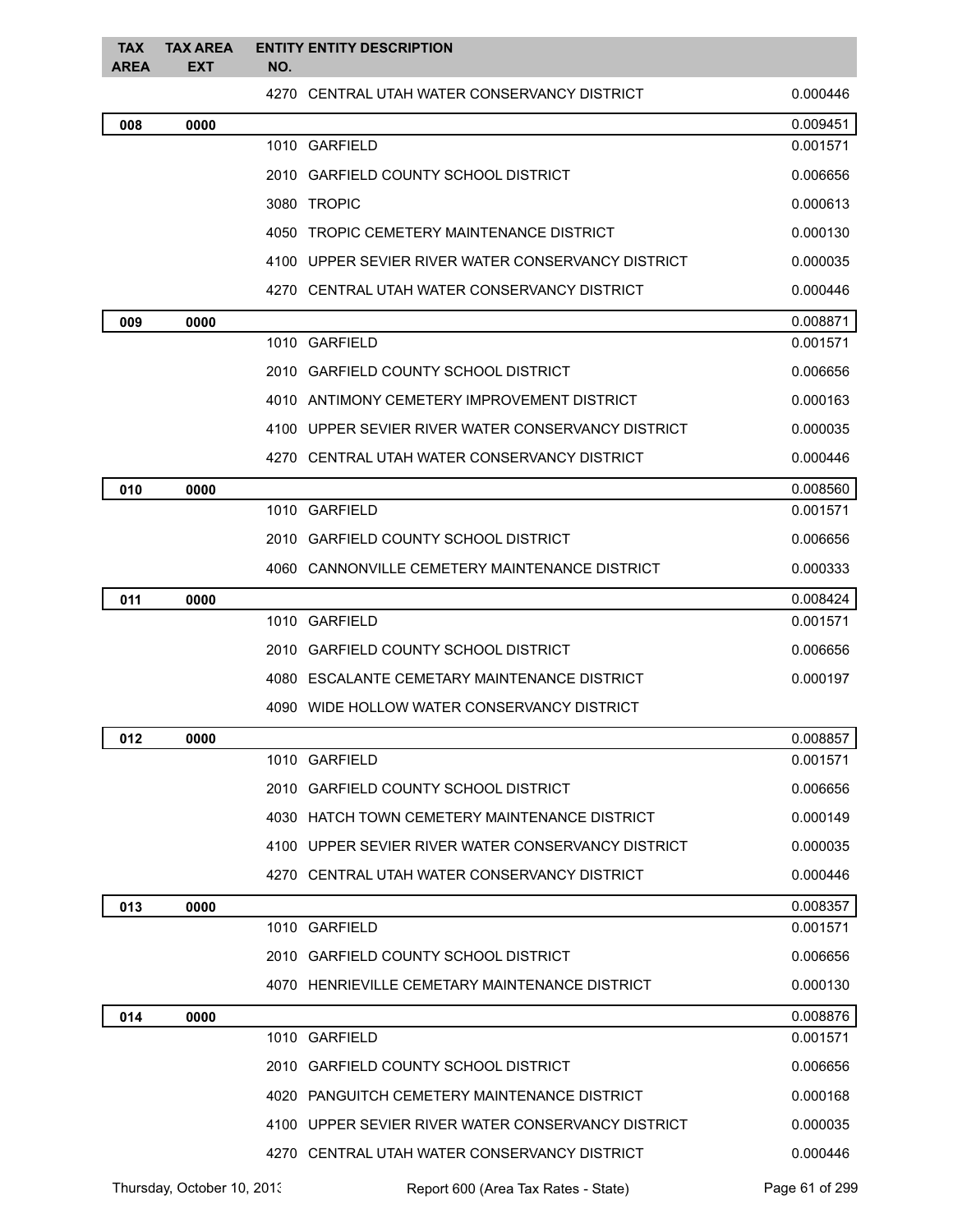| <b>TAX</b><br><b>AREA</b> | <b>TAX AREA</b><br><b>EXT</b> | <b>ENTITY ENTITY DESCRIPTION</b><br>NO.            |          |
|---------------------------|-------------------------------|----------------------------------------------------|----------|
|                           |                               | 4270 CENTRAL UTAH WATER CONSERVANCY DISTRICT       | 0.000446 |
| 008                       | 0000                          |                                                    | 0.009451 |
|                           |                               | 1010 GARFIELD                                      | 0.001571 |
|                           |                               | 2010 GARFIELD COUNTY SCHOOL DISTRICT               | 0.006656 |
|                           |                               | 3080 TROPIC                                        | 0.000613 |
|                           |                               | 4050 TROPIC CEMETERY MAINTENANCE DISTRICT          | 0.000130 |
|                           |                               | 4100 UPPER SEVIER RIVER WATER CONSERVANCY DISTRICT | 0.000035 |
|                           |                               | 4270 CENTRAL UTAH WATER CONSERVANCY DISTRICT       | 0.000446 |
| 009                       | 0000                          |                                                    | 0.008871 |
|                           |                               | 1010 GARFIELD                                      | 0.001571 |
|                           |                               | 2010 GARFIELD COUNTY SCHOOL DISTRICT               | 0.006656 |
|                           |                               | 4010 ANTIMONY CEMETERY IMPROVEMENT DISTRICT        | 0.000163 |
|                           |                               | 4100 UPPER SEVIER RIVER WATER CONSERVANCY DISTRICT | 0.000035 |
|                           |                               | 4270 CENTRAL UTAH WATER CONSERVANCY DISTRICT       | 0.000446 |
| 010                       | 0000                          |                                                    | 0.008560 |
|                           |                               | 1010 GARFIELD                                      | 0.001571 |
|                           |                               | 2010 GARFIELD COUNTY SCHOOL DISTRICT               | 0.006656 |
|                           |                               | 4060 CANNONVILLE CEMETERY MAINTENANCE DISTRICT     | 0.000333 |
| 011                       | 0000                          |                                                    | 0.008424 |
|                           |                               | 1010 GARFIELD                                      | 0.001571 |
|                           |                               | 2010 GARFIELD COUNTY SCHOOL DISTRICT               | 0.006656 |
|                           |                               | 4080 ESCALANTE CEMETARY MAINTENANCE DISTRICT       | 0.000197 |
|                           |                               | 4090 WIDE HOLLOW WATER CONSERVANCY DISTRICT        |          |
| 012                       | 0000                          |                                                    | 0.008857 |
|                           |                               | 1010 GARFIELD                                      | 0.001571 |
|                           |                               | 2010 GARFIELD COUNTY SCHOOL DISTRICT               | 0.006656 |
|                           |                               | 4030 HATCH TOWN CEMETERY MAINTENANCE DISTRICT      | 0.000149 |
|                           |                               | 4100 UPPER SEVIER RIVER WATER CONSERVANCY DISTRICT | 0.000035 |
|                           |                               | 4270 CENTRAL UTAH WATER CONSERVANCY DISTRICT       | 0.000446 |
| 013                       | 0000                          |                                                    | 0.008357 |
|                           |                               | 1010 GARFIELD                                      | 0.001571 |
|                           |                               | 2010 GARFIELD COUNTY SCHOOL DISTRICT               | 0.006656 |
|                           |                               | 4070 HENRIEVILLE CEMETARY MAINTENANCE DISTRICT     | 0.000130 |
| 014                       | 0000                          |                                                    | 0.008876 |
|                           |                               | 1010 GARFIELD                                      | 0.001571 |
|                           |                               | 2010 GARFIELD COUNTY SCHOOL DISTRICT               | 0.006656 |
|                           |                               | 4020 PANGUITCH CEMETERY MAINTENANCE DISTRICT       | 0.000168 |
|                           |                               | 4100 UPPER SEVIER RIVER WATER CONSERVANCY DISTRICT | 0.000035 |
|                           |                               | 4270 CENTRAL UTAH WATER CONSERVANCY DISTRICT       | 0.000446 |

Thursday, October 10, 2013 Report 600 (Area Tax Rates - State) Page 61 of 299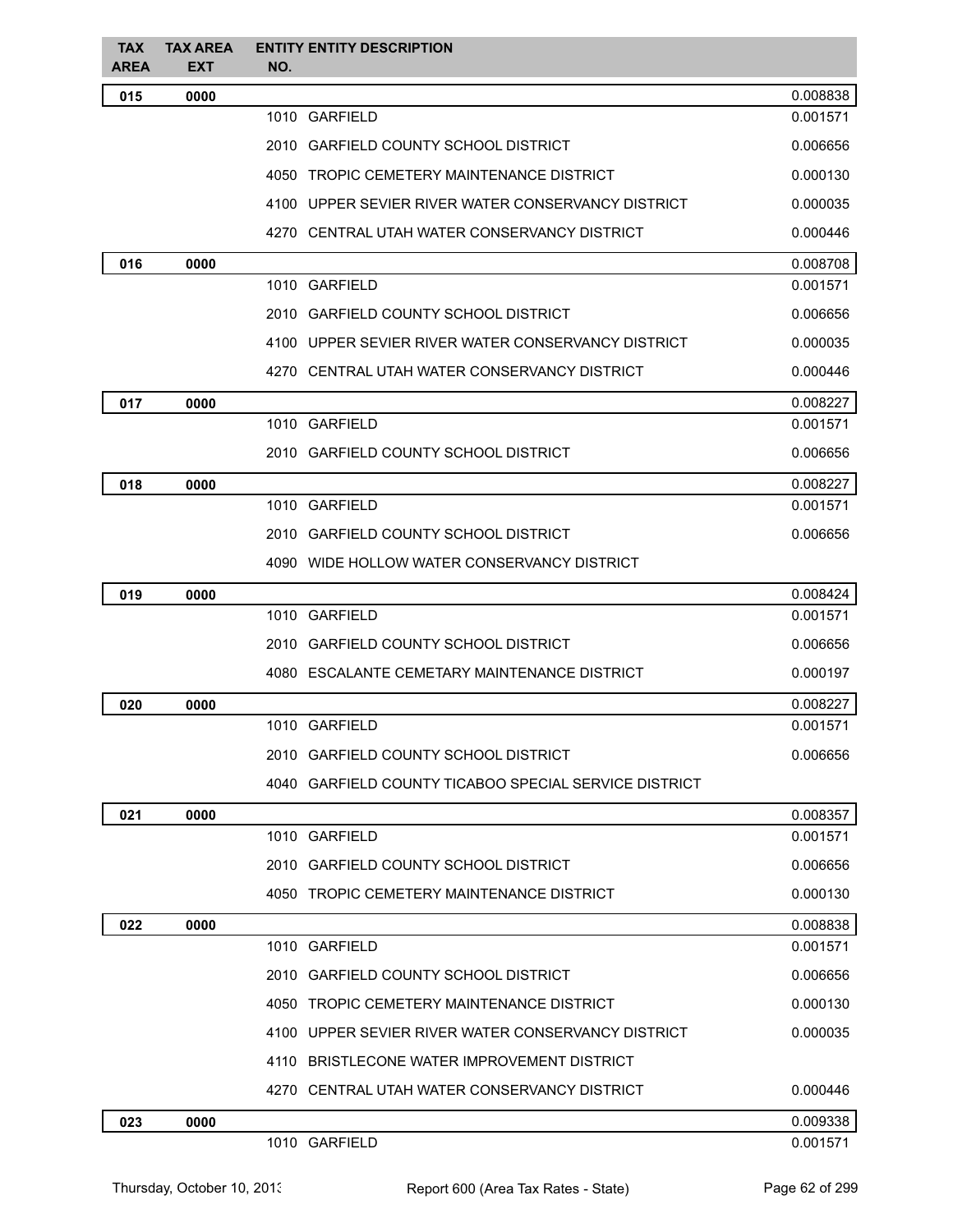| <b>TAX</b><br>AREA | <b>TAX AREA</b><br>EXT | <b>ENTITY ENTITY DESCRIPTION</b><br>NO.               |          |
|--------------------|------------------------|-------------------------------------------------------|----------|
| 015                | 0000                   |                                                       | 0.008838 |
|                    |                        | 1010 GARFIELD                                         | 0.001571 |
|                    |                        | 2010 GARFIELD COUNTY SCHOOL DISTRICT                  | 0.006656 |
|                    |                        | 4050 TROPIC CEMETERY MAINTENANCE DISTRICT             | 0.000130 |
|                    |                        | 4100 UPPER SEVIER RIVER WATER CONSERVANCY DISTRICT    | 0.000035 |
|                    |                        | 4270 CENTRAL UTAH WATER CONSERVANCY DISTRICT          | 0.000446 |
| 016                | 0000                   |                                                       | 0.008708 |
|                    |                        | 1010 GARFIELD                                         | 0.001571 |
|                    |                        | 2010 GARFIELD COUNTY SCHOOL DISTRICT                  | 0.006656 |
|                    |                        | 4100 UPPER SEVIER RIVER WATER CONSERVANCY DISTRICT    | 0.000035 |
|                    |                        | 4270 CENTRAL UTAH WATER CONSERVANCY DISTRICT          | 0.000446 |
| 017                | 0000                   |                                                       | 0.008227 |
|                    |                        | 1010 GARFIELD                                         | 0.001571 |
|                    |                        | 2010 GARFIELD COUNTY SCHOOL DISTRICT                  | 0.006656 |
| 018                | 0000                   |                                                       | 0.008227 |
|                    |                        | 1010 GARFIELD                                         | 0.001571 |
|                    |                        | 2010 GARFIELD COUNTY SCHOOL DISTRICT                  | 0.006656 |
|                    |                        | 4090 WIDE HOLLOW WATER CONSERVANCY DISTRICT           |          |
| 019                | 0000                   |                                                       | 0.008424 |
|                    |                        | 1010 GARFIELD                                         | 0.001571 |
|                    |                        | 2010 GARFIELD COUNTY SCHOOL DISTRICT                  | 0.006656 |
|                    |                        | 4080 ESCALANTE CEMETARY MAINTENANCE DISTRICT          | 0.000197 |
| 020                | 0000                   |                                                       | 0.008227 |
|                    |                        | 1010 GARFIELD                                         | 0.001571 |
|                    |                        | 2010 GARFIELD COUNTY SCHOOL DISTRICT                  | 0.006656 |
|                    |                        | 4040 GARFIELD COUNTY TICABOO SPECIAL SERVICE DISTRICT |          |
| 021                | 0000                   |                                                       | 0.008357 |
|                    |                        | 1010 GARFIELD                                         | 0.001571 |
|                    |                        | 2010 GARFIELD COUNTY SCHOOL DISTRICT                  | 0.006656 |
|                    |                        | 4050 TROPIC CEMETERY MAINTENANCE DISTRICT             | 0.000130 |
| 022                | 0000                   |                                                       | 0.008838 |
|                    |                        | 1010 GARFIELD                                         | 0.001571 |
|                    |                        | 2010 GARFIELD COUNTY SCHOOL DISTRICT                  | 0.006656 |
|                    |                        | 4050 TROPIC CEMETERY MAINTENANCE DISTRICT             | 0.000130 |
|                    |                        | 4100 UPPER SEVIER RIVER WATER CONSERVANCY DISTRICT    | 0.000035 |
|                    |                        | 4110 BRISTLECONE WATER IMPROVEMENT DISTRICT           |          |
|                    |                        | 4270 CENTRAL UTAH WATER CONSERVANCY DISTRICT          | 0.000446 |
| 023                | 0000                   |                                                       | 0.009338 |
|                    |                        | 1010 GARFIELD                                         | 0.001571 |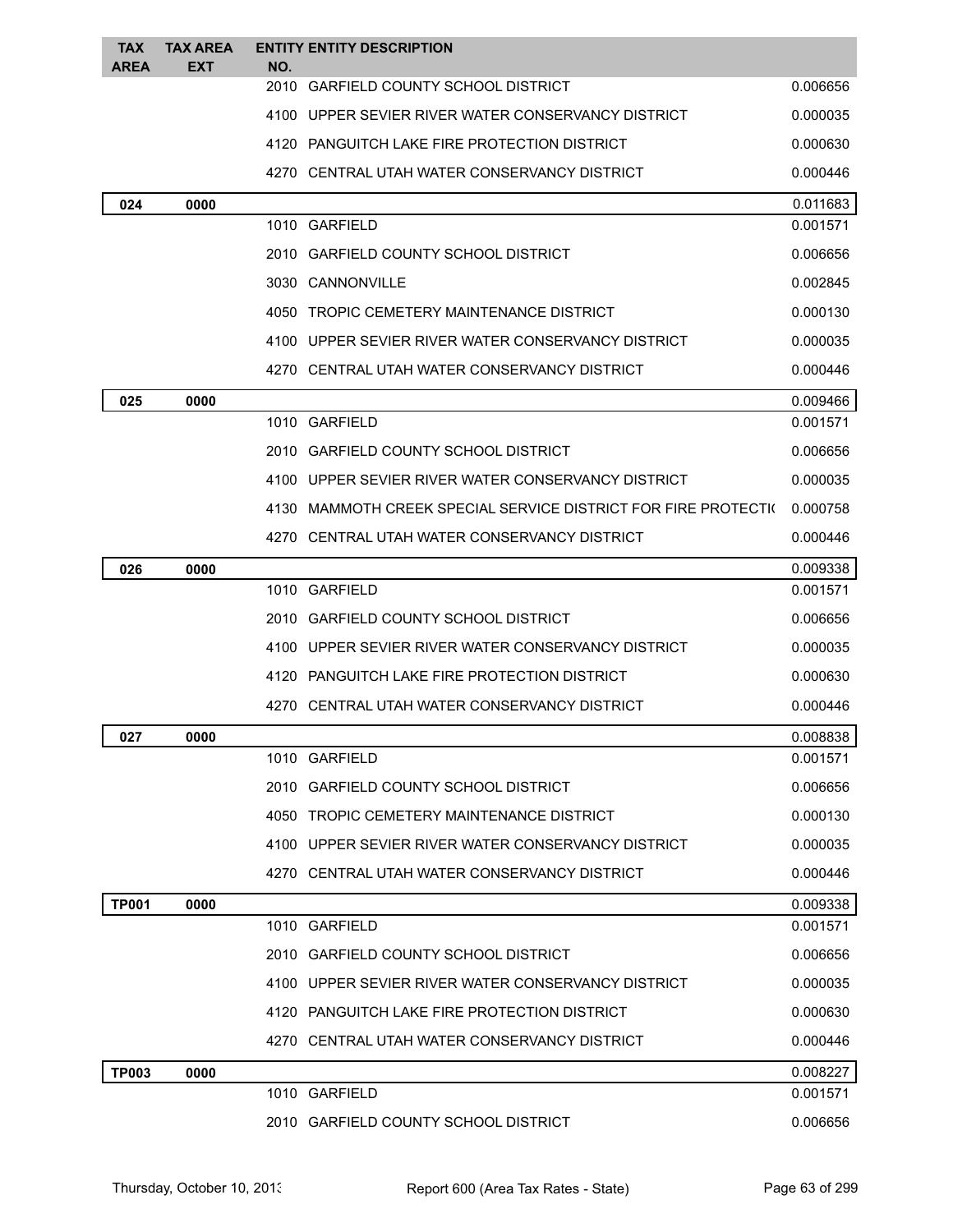| <b>TAX</b><br>AREA | <b>TAX AREA</b><br>EXT | NO. | <b>ENTITY ENTITY DESCRIPTION</b>                               |          |
|--------------------|------------------------|-----|----------------------------------------------------------------|----------|
|                    |                        |     | 2010 GARFIELD COUNTY SCHOOL DISTRICT                           | 0.006656 |
|                    |                        |     | 4100 UPPER SEVIER RIVER WATER CONSERVANCY DISTRICT             | 0.000035 |
|                    |                        |     | 4120 PANGUITCH LAKE FIRE PROTECTION DISTRICT                   | 0.000630 |
|                    |                        |     | 4270 CENTRAL UTAH WATER CONSERVANCY DISTRICT                   | 0.000446 |
| 024                | 0000                   |     |                                                                | 0.011683 |
|                    |                        |     | 1010 GARFIELD                                                  | 0.001571 |
|                    |                        |     | 2010 GARFIELD COUNTY SCHOOL DISTRICT                           | 0.006656 |
|                    |                        |     | 3030 CANNONVILLE                                               | 0.002845 |
|                    |                        |     | 4050 TROPIC CEMETERY MAINTENANCE DISTRICT                      | 0.000130 |
|                    |                        |     | 4100 UPPER SEVIER RIVER WATER CONSERVANCY DISTRICT             | 0.000035 |
|                    |                        |     | 4270 CENTRAL UTAH WATER CONSERVANCY DISTRICT                   | 0.000446 |
| 025                | 0000                   |     |                                                                | 0.009466 |
|                    |                        |     | 1010 GARFIELD                                                  | 0.001571 |
|                    |                        |     | 2010 GARFIELD COUNTY SCHOOL DISTRICT                           | 0.006656 |
|                    |                        |     | 4100 UPPER SEVIER RIVER WATER CONSERVANCY DISTRICT             | 0.000035 |
|                    |                        |     | 4130 MAMMOTH CREEK SPECIAL SERVICE DISTRICT FOR FIRE PROTECTI( | 0.000758 |
|                    |                        |     | 4270 CENTRAL UTAH WATER CONSERVANCY DISTRICT                   | 0.000446 |
| 026                | 0000                   |     |                                                                | 0.009338 |
|                    |                        |     | 1010 GARFIELD                                                  | 0.001571 |
|                    |                        |     | 2010 GARFIELD COUNTY SCHOOL DISTRICT                           | 0.006656 |
|                    |                        |     | 4100 UPPER SEVIER RIVER WATER CONSERVANCY DISTRICT             | 0.000035 |
|                    |                        |     | 4120 PANGUITCH LAKE FIRE PROTECTION DISTRICT                   | 0.000630 |
|                    |                        |     | 4270 CENTRAL UTAH WATER CONSERVANCY DISTRICT                   | 0.000446 |
| 027                | 0000                   |     |                                                                | 0.008838 |
|                    |                        |     | 1010 GARFIELD                                                  | 0.001571 |
|                    |                        |     | 2010 GARFIELD COUNTY SCHOOL DISTRICT                           | 0.006656 |
|                    |                        |     | 4050 TROPIC CEMETERY MAINTENANCE DISTRICT                      | 0.000130 |
|                    |                        |     | 4100 UPPER SEVIER RIVER WATER CONSERVANCY DISTRICT             | 0.000035 |
|                    |                        |     | 4270 CENTRAL UTAH WATER CONSERVANCY DISTRICT                   | 0.000446 |
| <b>TP001</b>       | 0000                   |     |                                                                | 0.009338 |
|                    |                        |     | 1010 GARFIELD                                                  | 0.001571 |
|                    |                        |     | 2010 GARFIELD COUNTY SCHOOL DISTRICT                           | 0.006656 |
|                    |                        |     | 4100 UPPER SEVIER RIVER WATER CONSERVANCY DISTRICT             | 0.000035 |
|                    |                        |     | 4120 PANGUITCH LAKE FIRE PROTECTION DISTRICT                   | 0.000630 |
|                    |                        |     | 4270 CENTRAL UTAH WATER CONSERVANCY DISTRICT                   | 0.000446 |
| <b>TP003</b>       | 0000                   |     |                                                                | 0.008227 |
|                    |                        |     | 1010 GARFIELD                                                  | 0.001571 |
|                    |                        |     | 2010 GARFIELD COUNTY SCHOOL DISTRICT                           | 0.006656 |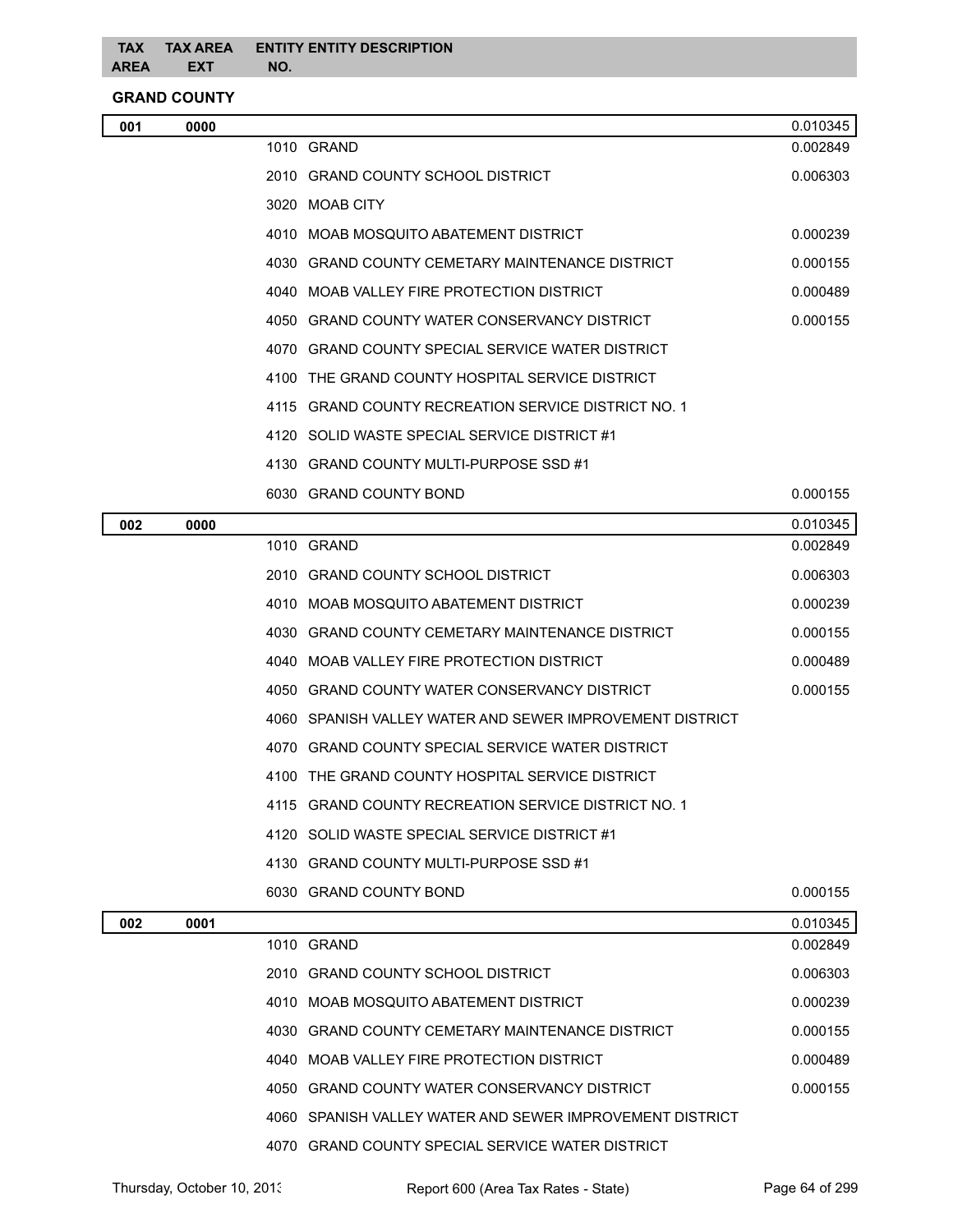**GRAND COUNTY**

| 001 | 0000 |                                                          | 0.010345 |
|-----|------|----------------------------------------------------------|----------|
|     |      | 1010 GRAND                                               | 0.002849 |
|     |      | 2010 GRAND COUNTY SCHOOL DISTRICT                        | 0.006303 |
|     |      | 3020 MOAB CITY                                           |          |
|     |      | 4010 MOAB MOSQUITO ABATEMENT DISTRICT                    | 0.000239 |
|     |      | 4030 GRAND COUNTY CEMETARY MAINTENANCE DISTRICT          | 0.000155 |
|     |      | 4040 MOAB VALLEY FIRE PROTECTION DISTRICT                | 0.000489 |
|     |      | 4050 GRAND COUNTY WATER CONSERVANCY DISTRICT             | 0.000155 |
|     |      | 4070 GRAND COUNTY SPECIAL SERVICE WATER DISTRICT         |          |
|     |      | 4100 THE GRAND COUNTY HOSPITAL SERVICE DISTRICT          |          |
|     |      | 4115 GRAND COUNTY RECREATION SERVICE DISTRICT NO. 1      |          |
|     |      | 4120 SOLID WASTE SPECIAL SERVICE DISTRICT #1             |          |
|     |      | 4130 GRAND COUNTY MULTI-PURPOSE SSD #1                   |          |
|     |      | 6030 GRAND COUNTY BOND                                   | 0.000155 |
| 002 | 0000 |                                                          | 0.010345 |
|     |      | 1010 GRAND                                               | 0.002849 |
|     |      | 2010 GRAND COUNTY SCHOOL DISTRICT                        | 0.006303 |
|     |      | 4010 MOAB MOSQUITO ABATEMENT DISTRICT                    | 0.000239 |
|     |      | 4030 GRAND COUNTY CEMETARY MAINTENANCE DISTRICT          | 0.000155 |
|     |      | 4040 MOAB VALLEY FIRE PROTECTION DISTRICT                | 0.000489 |
|     |      | 4050 GRAND COUNTY WATER CONSERVANCY DISTRICT             | 0.000155 |
|     |      | 4060 SPANISH VALLEY WATER AND SEWER IMPROVEMENT DISTRICT |          |
|     |      | 4070 GRAND COUNTY SPECIAL SERVICE WATER DISTRICT         |          |
|     |      | 4100 THE GRAND COUNTY HOSPITAL SERVICE DISTRICT          |          |
|     |      | 4115 GRAND COUNTY RECREATION SERVICE DISTRICT NO. 1      |          |
|     |      | 4120 SOLID WASTE SPECIAL SERVICE DISTRICT #1             |          |
|     |      | 4130 GRAND COUNTY MULTI-PURPOSE SSD #1                   |          |
|     |      | 6030 GRAND COUNTY BOND                                   | 0.000155 |
| 002 | 0001 |                                                          | 0.010345 |
|     |      | 1010 GRAND                                               | 0.002849 |
|     |      | 2010 GRAND COUNTY SCHOOL DISTRICT                        | 0.006303 |
|     |      | 4010 MOAB MOSQUITO ABATEMENT DISTRICT                    | 0.000239 |
|     |      | 4030 GRAND COUNTY CEMETARY MAINTENANCE DISTRICT          | 0.000155 |
|     |      | 4040 MOAB VALLEY FIRE PROTECTION DISTRICT                | 0.000489 |
|     |      | 4050 GRAND COUNTY WATER CONSERVANCY DISTRICT             | 0.000155 |
|     |      | 4060 SPANISH VALLEY WATER AND SEWER IMPROVEMENT DISTRICT |          |

GRAND COUNTY SPECIAL SERVICE WATER DISTRICT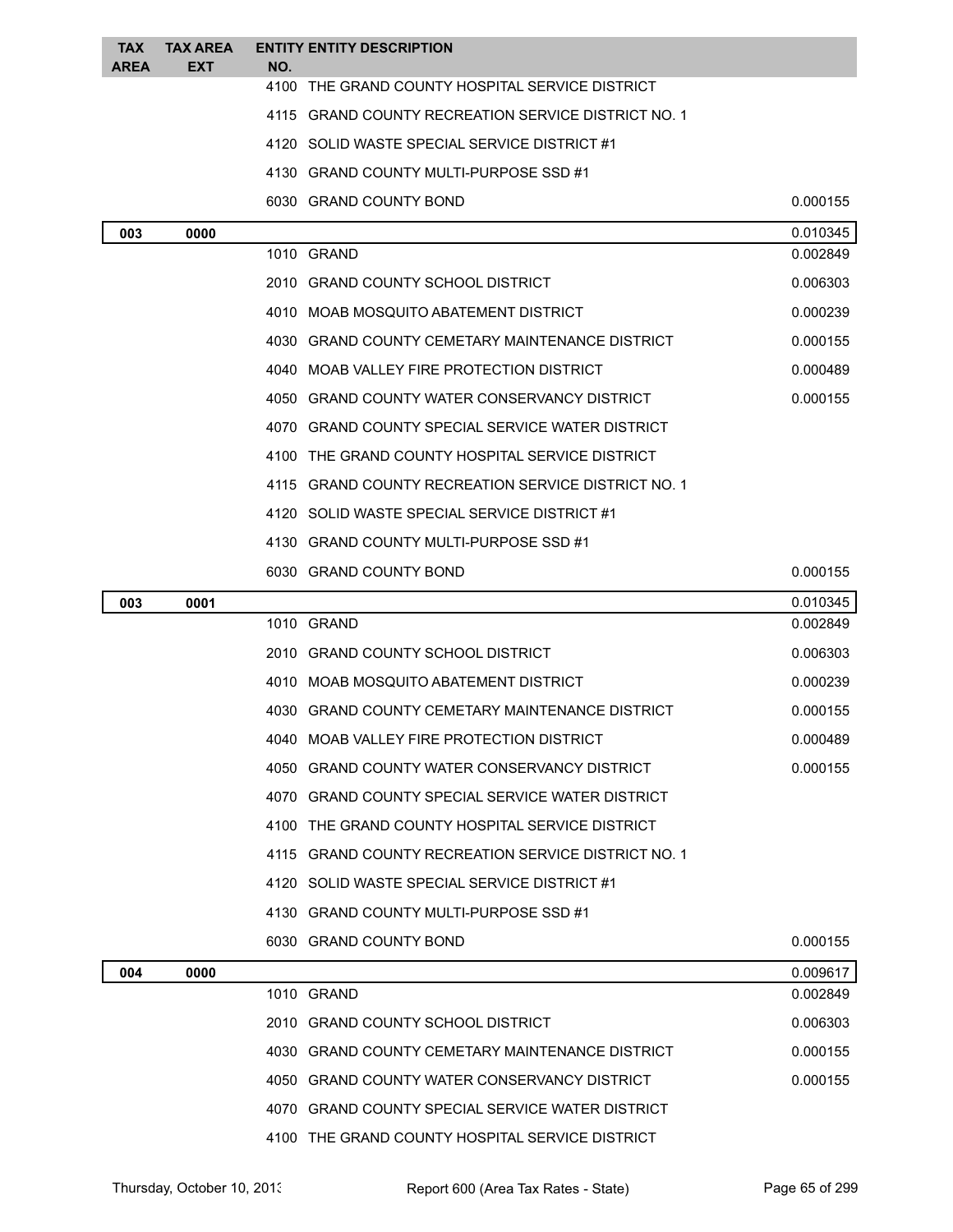| <b>TAX</b><br><b>AREA</b> | <b>TAX AREA</b><br><b>EXT</b> | NO.  | <b>ENTITY ENTITY DESCRIPTION</b>                    |          |
|---------------------------|-------------------------------|------|-----------------------------------------------------|----------|
|                           |                               | 4100 | THE GRAND COUNTY HOSPITAL SERVICE DISTRICT          |          |
|                           |                               |      | 4115 GRAND COUNTY RECREATION SERVICE DISTRICT NO. 1 |          |
|                           |                               |      | 4120 SOLID WASTE SPECIAL SERVICE DISTRICT #1        |          |
|                           |                               |      | 4130 GRAND COUNTY MULTI-PURPOSE SSD #1              |          |
|                           |                               |      | 6030 GRAND COUNTY BOND                              | 0.000155 |
| 003                       | 0000                          |      |                                                     | 0.010345 |
|                           |                               |      | 1010 GRAND                                          | 0.002849 |
|                           |                               |      | 2010 GRAND COUNTY SCHOOL DISTRICT                   | 0.006303 |
|                           |                               |      | 4010 MOAB MOSQUITO ABATEMENT DISTRICT               | 0.000239 |
|                           |                               |      | 4030 GRAND COUNTY CEMETARY MAINTENANCE DISTRICT     | 0.000155 |
|                           |                               |      | 4040 MOAB VALLEY FIRE PROTECTION DISTRICT           | 0.000489 |
|                           |                               |      | 4050 GRAND COUNTY WATER CONSERVANCY DISTRICT        | 0.000155 |
|                           |                               |      | 4070 GRAND COUNTY SPECIAL SERVICE WATER DISTRICT    |          |
|                           |                               |      | 4100 THE GRAND COUNTY HOSPITAL SERVICE DISTRICT     |          |
|                           |                               |      | 4115 GRAND COUNTY RECREATION SERVICE DISTRICT NO. 1 |          |
|                           |                               |      | 4120 SOLID WASTE SPECIAL SERVICE DISTRICT #1        |          |
|                           |                               |      | 4130 GRAND COUNTY MULTI-PURPOSE SSD #1              |          |
|                           |                               |      | 6030 GRAND COUNTY BOND                              | 0.000155 |
|                           |                               |      |                                                     |          |
| 003                       | 0001                          |      |                                                     | 0.010345 |
|                           |                               |      | 1010 GRAND                                          | 0.002849 |
|                           |                               |      | 2010 GRAND COUNTY SCHOOL DISTRICT                   | 0.006303 |
|                           |                               |      | 4010 MOAB MOSQUITO ABATEMENT DISTRICT               | 0.000239 |
|                           |                               |      | 4030 GRAND COUNTY CEMETARY MAINTENANCE DISTRICT     | 0.000155 |
|                           |                               |      | 4040 MOAB VALLEY FIRE PROTECTION DISTRICT           | 0.000489 |
|                           |                               |      | 4050 GRAND COUNTY WATER CONSERVANCY DISTRICT        | 0.000155 |
|                           |                               |      | 4070 GRAND COUNTY SPECIAL SERVICE WATER DISTRICT    |          |
|                           |                               |      | 4100 THE GRAND COUNTY HOSPITAL SERVICE DISTRICT     |          |
|                           |                               |      | 4115 GRAND COUNTY RECREATION SERVICE DISTRICT NO. 1 |          |
|                           |                               |      | 4120 SOLID WASTE SPECIAL SERVICE DISTRICT #1        |          |
|                           |                               |      | 4130 GRAND COUNTY MULTI-PURPOSE SSD #1              |          |
|                           |                               |      | 6030 GRAND COUNTY BOND                              | 0.000155 |
| 004                       | 0000                          |      |                                                     | 0.009617 |
|                           |                               |      | 1010 GRAND                                          | 0.002849 |
|                           |                               |      | 2010 GRAND COUNTY SCHOOL DISTRICT                   | 0.006303 |
|                           |                               |      | 4030 GRAND COUNTY CEMETARY MAINTENANCE DISTRICT     | 0.000155 |
|                           |                               |      | 4050 GRAND COUNTY WATER CONSERVANCY DISTRICT        | 0.000155 |
|                           |                               |      | 4070 GRAND COUNTY SPECIAL SERVICE WATER DISTRICT    |          |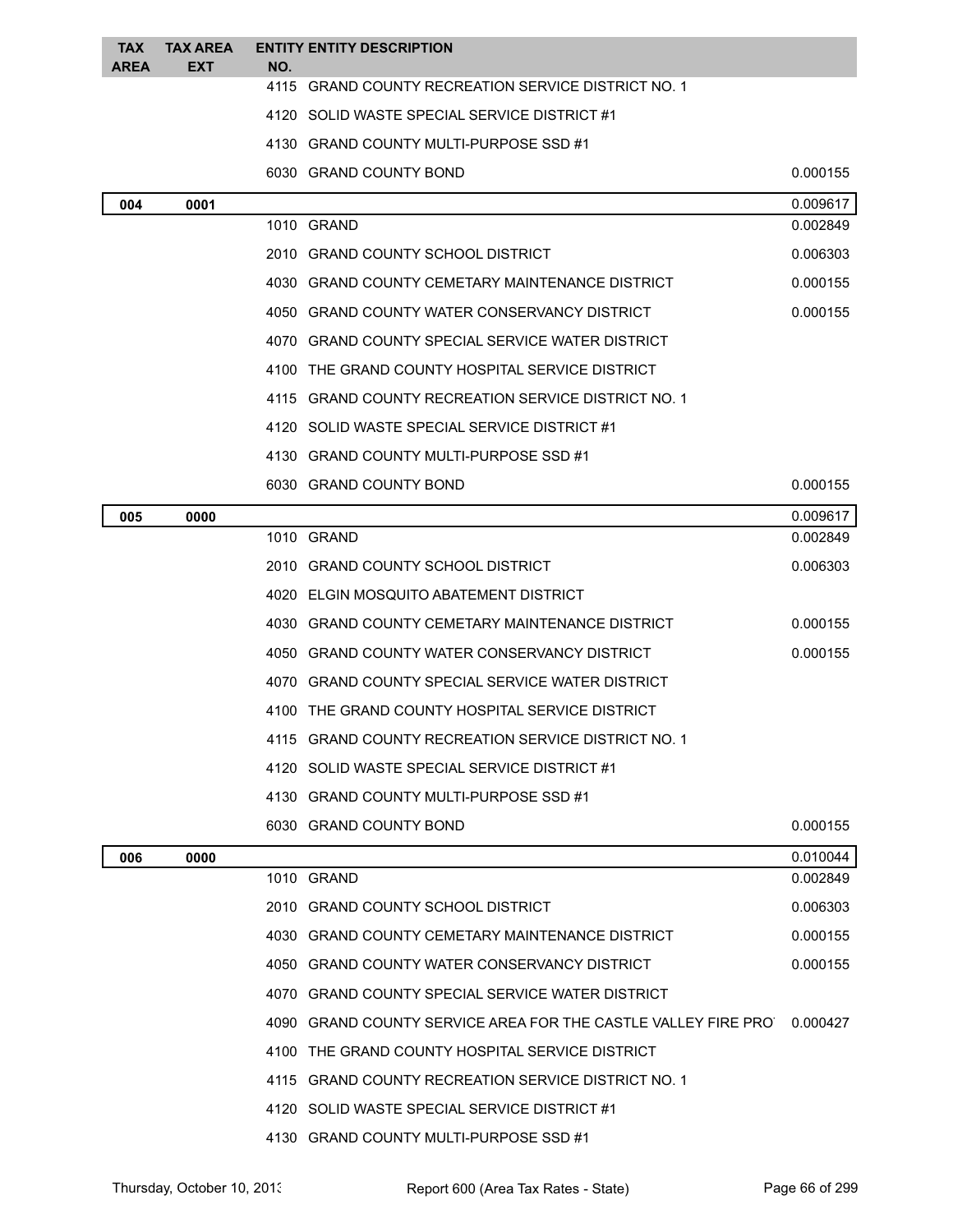| <b>TAX</b>  | <b>TAX AREA</b> |     | <b>ENTITY ENTITY DESCRIPTION</b>                               |          |
|-------------|-----------------|-----|----------------------------------------------------------------|----------|
| <b>AREA</b> | EXT             | NO. | 4115 GRAND COUNTY RECREATION SERVICE DISTRICT NO. 1            |          |
|             |                 |     | 4120 SOLID WASTE SPECIAL SERVICE DISTRICT #1                   |          |
|             |                 |     | 4130 GRAND COUNTY MULTI-PURPOSE SSD #1                         |          |
|             |                 |     | 6030 GRAND COUNTY BOND                                         | 0.000155 |
| 004         | 0001            |     |                                                                | 0.009617 |
|             |                 |     | 1010 GRAND                                                     | 0.002849 |
|             |                 |     | 2010 GRAND COUNTY SCHOOL DISTRICT                              | 0.006303 |
|             |                 |     | 4030 GRAND COUNTY CEMETARY MAINTENANCE DISTRICT                | 0.000155 |
|             |                 |     | 4050 GRAND COUNTY WATER CONSERVANCY DISTRICT                   | 0.000155 |
|             |                 |     | 4070 GRAND COUNTY SPECIAL SERVICE WATER DISTRICT               |          |
|             |                 |     | 4100 THE GRAND COUNTY HOSPITAL SERVICE DISTRICT                |          |
|             |                 |     | 4115 GRAND COUNTY RECREATION SERVICE DISTRICT NO. 1            |          |
|             |                 |     | 4120 SOLID WASTE SPECIAL SERVICE DISTRICT #1                   |          |
|             |                 |     | 4130 GRAND COUNTY MULTI-PURPOSE SSD #1                         |          |
|             |                 |     | 6030 GRAND COUNTY BOND                                         | 0.000155 |
| 005         | 0000            |     |                                                                | 0.009617 |
|             |                 |     | 1010 GRAND                                                     | 0.002849 |
|             |                 |     | 2010 GRAND COUNTY SCHOOL DISTRICT                              | 0.006303 |
|             |                 |     | 4020 ELGIN MOSQUITO ABATEMENT DISTRICT                         |          |
|             |                 |     | 4030 GRAND COUNTY CEMETARY MAINTENANCE DISTRICT                | 0.000155 |
|             |                 |     | 4050 GRAND COUNTY WATER CONSERVANCY DISTRICT                   | 0.000155 |
|             |                 |     | 4070 GRAND COUNTY SPECIAL SERVICE WATER DISTRICT               |          |
|             |                 |     | 4100 THE GRAND COUNTY HOSPITAL SERVICE DISTRICT                |          |
|             |                 |     | 4115 GRAND COUNTY RECREATION SERVICE DISTRICT NO. 1            |          |
|             |                 |     | 4120 SOLID WASTE SPECIAL SERVICE DISTRICT #1                   |          |
|             |                 |     | 4130 GRAND COUNTY MULTI-PURPOSE SSD #1                         |          |
|             |                 |     | 6030 GRAND COUNTY BOND                                         | 0.000155 |
| 006         | 0000            |     |                                                                | 0.010044 |
|             |                 |     | 1010 GRAND                                                     | 0.002849 |
|             |                 |     | 2010 GRAND COUNTY SCHOOL DISTRICT                              | 0.006303 |
|             |                 |     | 4030 GRAND COUNTY CEMETARY MAINTENANCE DISTRICT                | 0.000155 |
|             |                 |     | 4050 GRAND COUNTY WATER CONSERVANCY DISTRICT                   | 0.000155 |
|             |                 |     | 4070 GRAND COUNTY SPECIAL SERVICE WATER DISTRICT               |          |
|             |                 |     | 4090 GRAND COUNTY SERVICE AREA FOR THE CASTLE VALLEY FIRE PROT | 0.000427 |
|             |                 |     | 4100 THE GRAND COUNTY HOSPITAL SERVICE DISTRICT                |          |
|             |                 |     | 4115 GRAND COUNTY RECREATION SERVICE DISTRICT NO. 1            |          |
|             |                 |     | 4120 SOLID WASTE SPECIAL SERVICE DISTRICT #1                   |          |
|             |                 |     | 4130 GRAND COUNTY MULTI-PURPOSE SSD #1                         |          |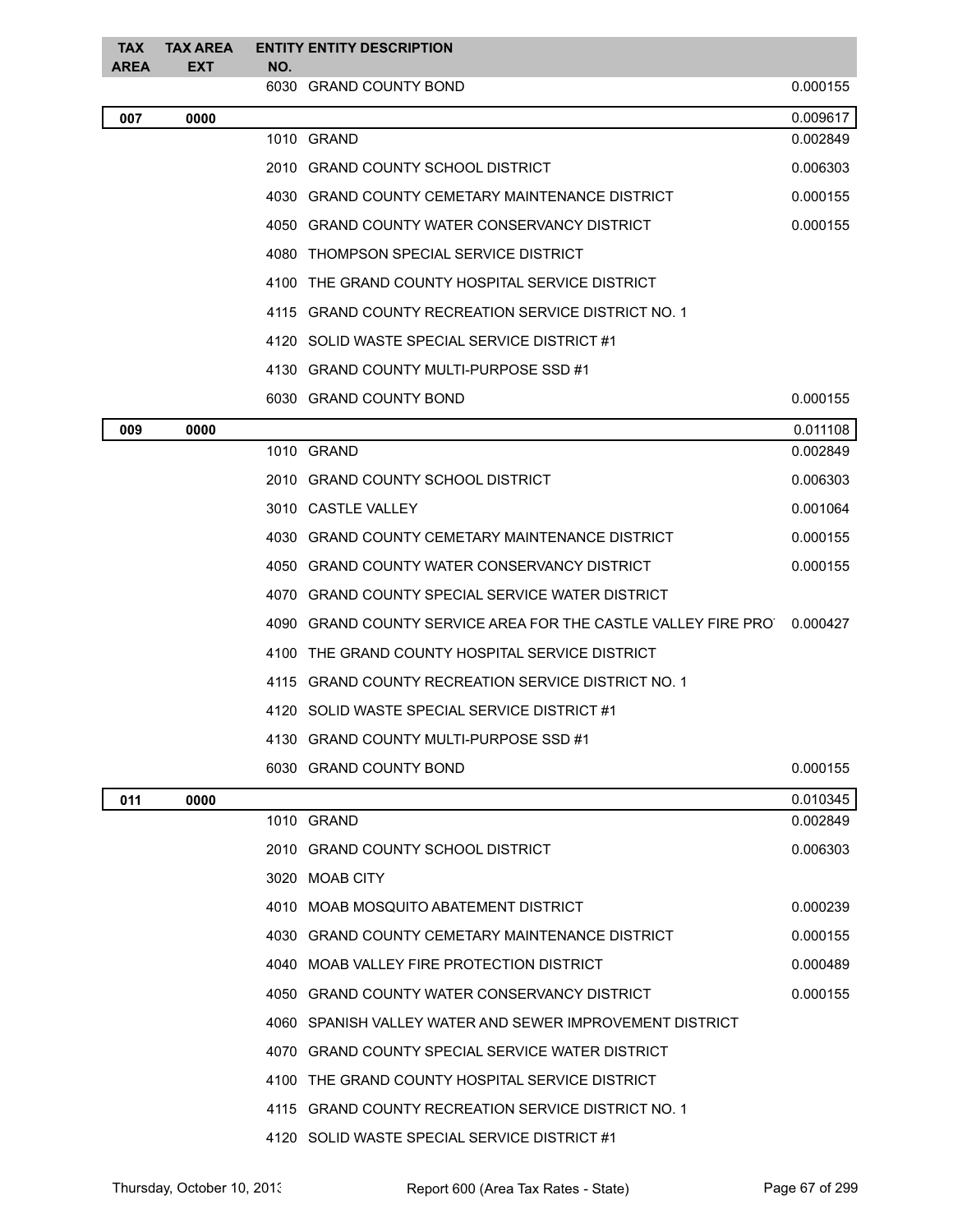| <b>TAX</b><br><b>AREA</b> | <b>TAX AREA</b><br>EXT | NO. | <b>ENTITY ENTITY DESCRIPTION</b>                                         |          |
|---------------------------|------------------------|-----|--------------------------------------------------------------------------|----------|
|                           |                        |     | 6030 GRAND COUNTY BOND                                                   | 0.000155 |
| 007                       | 0000                   |     |                                                                          | 0.009617 |
|                           |                        |     | 1010 GRAND                                                               | 0.002849 |
|                           |                        |     | 2010 GRAND COUNTY SCHOOL DISTRICT                                        | 0.006303 |
|                           |                        |     | 4030 GRAND COUNTY CEMETARY MAINTENANCE DISTRICT                          | 0.000155 |
|                           |                        |     | 4050 GRAND COUNTY WATER CONSERVANCY DISTRICT                             | 0.000155 |
|                           |                        |     | 4080 THOMPSON SPECIAL SERVICE DISTRICT                                   |          |
|                           |                        |     | 4100 THE GRAND COUNTY HOSPITAL SERVICE DISTRICT                          |          |
|                           |                        |     | 4115 GRAND COUNTY RECREATION SERVICE DISTRICT NO. 1                      |          |
|                           |                        |     | 4120 SOLID WASTE SPECIAL SERVICE DISTRICT #1                             |          |
|                           |                        |     | 4130 GRAND COUNTY MULTI-PURPOSE SSD #1                                   |          |
|                           |                        |     | 6030 GRAND COUNTY BOND                                                   | 0.000155 |
| 009                       | 0000                   |     |                                                                          | 0.011108 |
|                           |                        |     | 1010 GRAND                                                               | 0.002849 |
|                           |                        |     | 2010 GRAND COUNTY SCHOOL DISTRICT                                        | 0.006303 |
|                           |                        |     | 3010 CASTLE VALLEY                                                       | 0.001064 |
|                           |                        |     | 4030 GRAND COUNTY CEMETARY MAINTENANCE DISTRICT                          | 0.000155 |
|                           |                        |     | 4050 GRAND COUNTY WATER CONSERVANCY DISTRICT                             | 0.000155 |
|                           |                        |     | 4070 GRAND COUNTY SPECIAL SERVICE WATER DISTRICT                         |          |
|                           |                        |     | 4090 GRAND COUNTY SERVICE AREA FOR THE CASTLE VALLEY FIRE PRO   0.000427 |          |
|                           |                        |     | 4100 THE GRAND COUNTY HOSPITAL SERVICE DISTRICT                          |          |
|                           |                        |     | 4115 GRAND COUNTY RECREATION SERVICE DISTRICT NO. 1                      |          |
|                           |                        |     | 4120 SOLID WASTE SPECIAL SERVICE DISTRICT #1                             |          |
|                           |                        |     | 4130 GRAND COUNTY MULTI-PURPOSE SSD #1                                   |          |
|                           |                        |     | 6030 GRAND COUNTY BOND                                                   | 0.000155 |
| 011                       | 0000                   |     |                                                                          | 0.010345 |
|                           |                        |     | 1010 GRAND                                                               | 0.002849 |
|                           |                        |     | 2010 GRAND COUNTY SCHOOL DISTRICT                                        | 0.006303 |
|                           |                        |     | 3020 MOAB CITY                                                           |          |
|                           |                        |     | 4010 MOAB MOSQUITO ABATEMENT DISTRICT                                    | 0.000239 |
|                           |                        |     | 4030 GRAND COUNTY CEMETARY MAINTENANCE DISTRICT                          | 0.000155 |
|                           |                        |     | 4040 MOAB VALLEY FIRE PROTECTION DISTRICT                                | 0.000489 |
|                           |                        |     | 4050 GRAND COUNTY WATER CONSERVANCY DISTRICT                             | 0.000155 |
|                           |                        |     | 4060 SPANISH VALLEY WATER AND SEWER IMPROVEMENT DISTRICT                 |          |
|                           |                        |     | 4070 GRAND COUNTY SPECIAL SERVICE WATER DISTRICT                         |          |
|                           |                        |     | 4100 THE GRAND COUNTY HOSPITAL SERVICE DISTRICT                          |          |
|                           |                        |     | 4115 GRAND COUNTY RECREATION SERVICE DISTRICT NO. 1                      |          |
|                           |                        |     | 4120 SOLID WASTE SPECIAL SERVICE DISTRICT #1                             |          |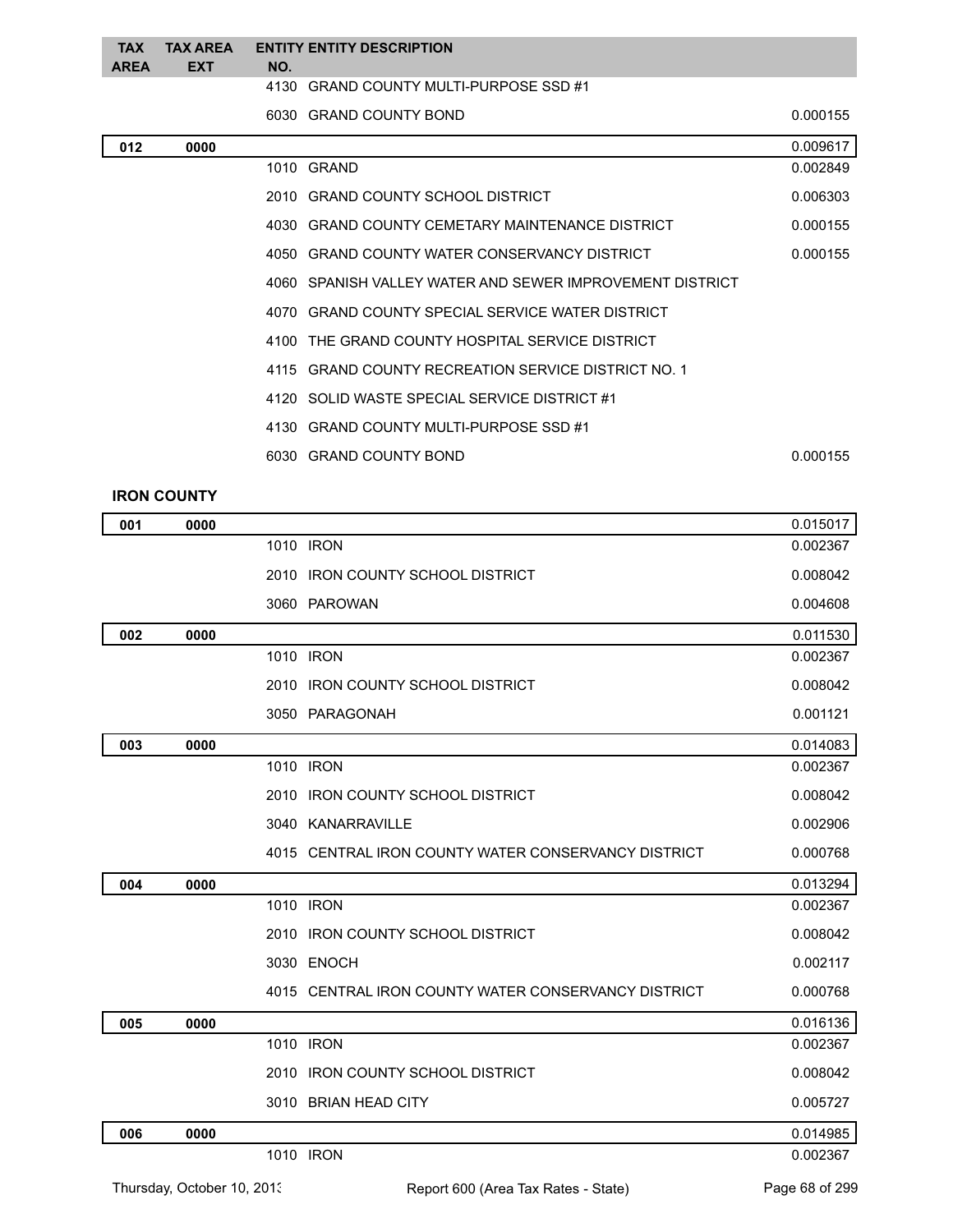| <b>TAX</b><br><b>AREA</b> | EXT | TAX AREA ENTITY ENTITY DESCRIPTION<br>NO. |          |
|---------------------------|-----|-------------------------------------------|----------|
|                           |     | 4130 GRAND COUNTY MULTI-PURPOSE SSD #1    |          |
|                           |     | 6030 GRAND COUNTY BOND                    | 0.000155 |

| 012 | 0000 |                                                          | 0.009617 |
|-----|------|----------------------------------------------------------|----------|
|     |      | 1010 GRAND                                               | 0.002849 |
|     |      | 2010 GRAND COUNTY SCHOOL DISTRICT                        | 0.006303 |
|     |      | 4030 GRAND COUNTY CEMETARY MAINTENANCE DISTRICT          | 0.000155 |
|     |      | 4050 GRAND COUNTY WATER CONSERVANCY DISTRICT             | 0.000155 |
|     |      | 4060 SPANISH VALLEY WATER AND SEWER IMPROVEMENT DISTRICT |          |
|     |      | 4070 GRAND COUNTY SPECIAL SERVICE WATER DISTRICT         |          |
|     |      | 4100 THE GRAND COUNTY HOSPITAL SERVICE DISTRICT          |          |
|     |      | 4115 GRAND COUNTY RECREATION SERVICE DISTRICT NO. 1      |          |
|     |      | 4120 SOLID WASTE SPECIAL SERVICE DISTRICT #1             |          |
|     |      | 4130 GRAND COUNTY MULTI-PURPOSE SSD #1                   |          |
|     |      | 6030 GRAND COUNTY BOND                                   | 0.000155 |
|     |      |                                                          |          |

## **IRON COUNTY**

| 001 | 0000 |                                                     | 0.015017 |
|-----|------|-----------------------------------------------------|----------|
|     |      | 1010 IRON                                           | 0.002367 |
|     |      | 2010 IRON COUNTY SCHOOL DISTRICT                    | 0.008042 |
|     |      | 3060 PAROWAN                                        | 0.004608 |
| 002 | 0000 |                                                     | 0.011530 |
|     |      | 1010 IRON                                           | 0.002367 |
|     |      | 2010 IRON COUNTY SCHOOL DISTRICT                    | 0.008042 |
|     |      | 3050 PARAGONAH                                      | 0.001121 |
| 003 | 0000 |                                                     | 0.014083 |
|     |      | 1010 IRON                                           | 0.002367 |
|     |      | 2010 IRON COUNTY SCHOOL DISTRICT                    | 0.008042 |
|     |      | 3040 KANARRAVILLE                                   | 0.002906 |
|     |      | 4015 CENTRAL IRON COUNTY WATER CONSERVANCY DISTRICT | 0.000768 |
| 004 | 0000 |                                                     | 0.013294 |
|     |      | 1010 IRON                                           | 0.002367 |
|     |      | 2010 IRON COUNTY SCHOOL DISTRICT                    | 0.008042 |
|     |      | 3030 ENOCH                                          | 0.002117 |
|     |      | 4015 CENTRAL IRON COUNTY WATER CONSERVANCY DISTRICT | 0.000768 |
| 005 | 0000 |                                                     | 0.016136 |
|     |      | 1010 IRON                                           | 0.002367 |
|     |      | 2010<br><b>IRON COUNTY SCHOOL DISTRICT</b>          | 0.008042 |
|     |      | 3010 BRIAN HEAD CITY                                | 0.005727 |
| 006 | 0000 |                                                     | 0.014985 |
|     |      | 1010 IRON                                           | 0.002367 |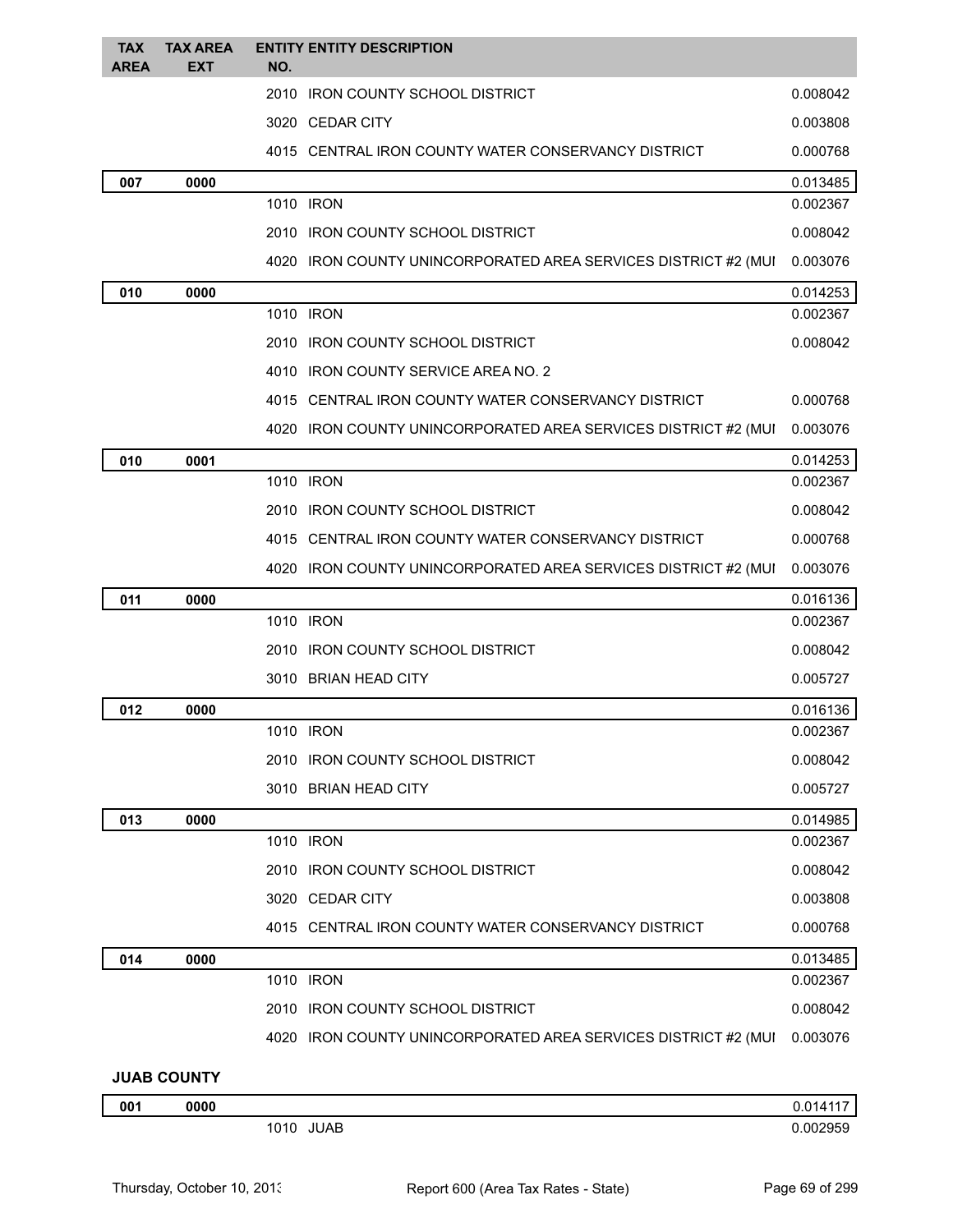| <b>TAX</b><br><b>AREA</b> | <b>TAX AREA</b><br><b>EXT</b> | <b>ENTITY ENTITY DESCRIPTION</b><br>NO.                        |          |
|---------------------------|-------------------------------|----------------------------------------------------------------|----------|
|                           |                               | 2010 IRON COUNTY SCHOOL DISTRICT                               | 0.008042 |
|                           |                               | 3020 CEDAR CITY                                                | 0.003808 |
|                           |                               | 4015 CENTRAL IRON COUNTY WATER CONSERVANCY DISTRICT            | 0.000768 |
| 007                       | 0000                          |                                                                | 0.013485 |
|                           |                               | 1010 IRON                                                      | 0.002367 |
|                           |                               | 2010 IRON COUNTY SCHOOL DISTRICT                               | 0.008042 |
|                           |                               | 4020 IRON COUNTY UNINCORPORATED AREA SERVICES DISTRICT #2 (MUI | 0.003076 |
| 010                       | 0000                          |                                                                | 0.014253 |
|                           |                               | 1010 IRON                                                      | 0.002367 |
|                           |                               | 2010 IRON COUNTY SCHOOL DISTRICT                               | 0.008042 |
|                           |                               | 4010 IRON COUNTY SERVICE AREA NO. 2                            |          |
|                           |                               | 4015 CENTRAL IRON COUNTY WATER CONSERVANCY DISTRICT            | 0.000768 |
|                           |                               | 4020 IRON COUNTY UNINCORPORATED AREA SERVICES DISTRICT #2 (MUI | 0.003076 |
| 010                       | 0001                          |                                                                | 0.014253 |
|                           |                               | 1010 IRON                                                      | 0.002367 |
|                           |                               | 2010 IRON COUNTY SCHOOL DISTRICT                               | 0.008042 |
|                           |                               | 4015 CENTRAL IRON COUNTY WATER CONSERVANCY DISTRICT            | 0.000768 |
|                           |                               | 4020 IRON COUNTY UNINCORPORATED AREA SERVICES DISTRICT #2 (MUI | 0.003076 |
| 011                       | 0000                          |                                                                | 0.016136 |
|                           |                               | 1010 IRON                                                      | 0.002367 |
|                           |                               | 2010 IRON COUNTY SCHOOL DISTRICT                               | 0.008042 |
|                           |                               | 3010 BRIAN HEAD CITY                                           | 0.005727 |
| 012                       | 0000                          |                                                                | 0.016136 |
|                           |                               | 1010 IRON                                                      | 0.002367 |
|                           |                               | 2010 IRON COUNTY SCHOOL DISTRICT                               | 0.008042 |
|                           |                               | 3010 BRIAN HEAD CITY                                           | 0.005727 |
| 013                       | 0000                          |                                                                | 0.014985 |
|                           |                               | 1010 IRON                                                      | 0.002367 |
|                           |                               | 2010 IRON COUNTY SCHOOL DISTRICT                               | 0.008042 |
|                           |                               | 3020 CEDAR CITY                                                | 0.003808 |
|                           |                               | 4015 CENTRAL IRON COUNTY WATER CONSERVANCY DISTRICT            | 0.000768 |
| 014                       | 0000                          |                                                                | 0.013485 |
|                           |                               | 1010 IRON                                                      | 0.002367 |
|                           |                               | 2010 IRON COUNTY SCHOOL DISTRICT                               | 0.008042 |
|                           |                               | 4020 IRON COUNTY UNINCORPORATED AREA SERVICES DISTRICT #2 (MUI | 0.003076 |
|                           | IIINONOMIIV                   |                                                                |          |

**JUAB COUNTY**

| 001 | 0000 |              | <b>01</b>      |
|-----|------|--------------|----------------|
|     |      | JUAB<br>1010 | 002950<br>ົາມະ |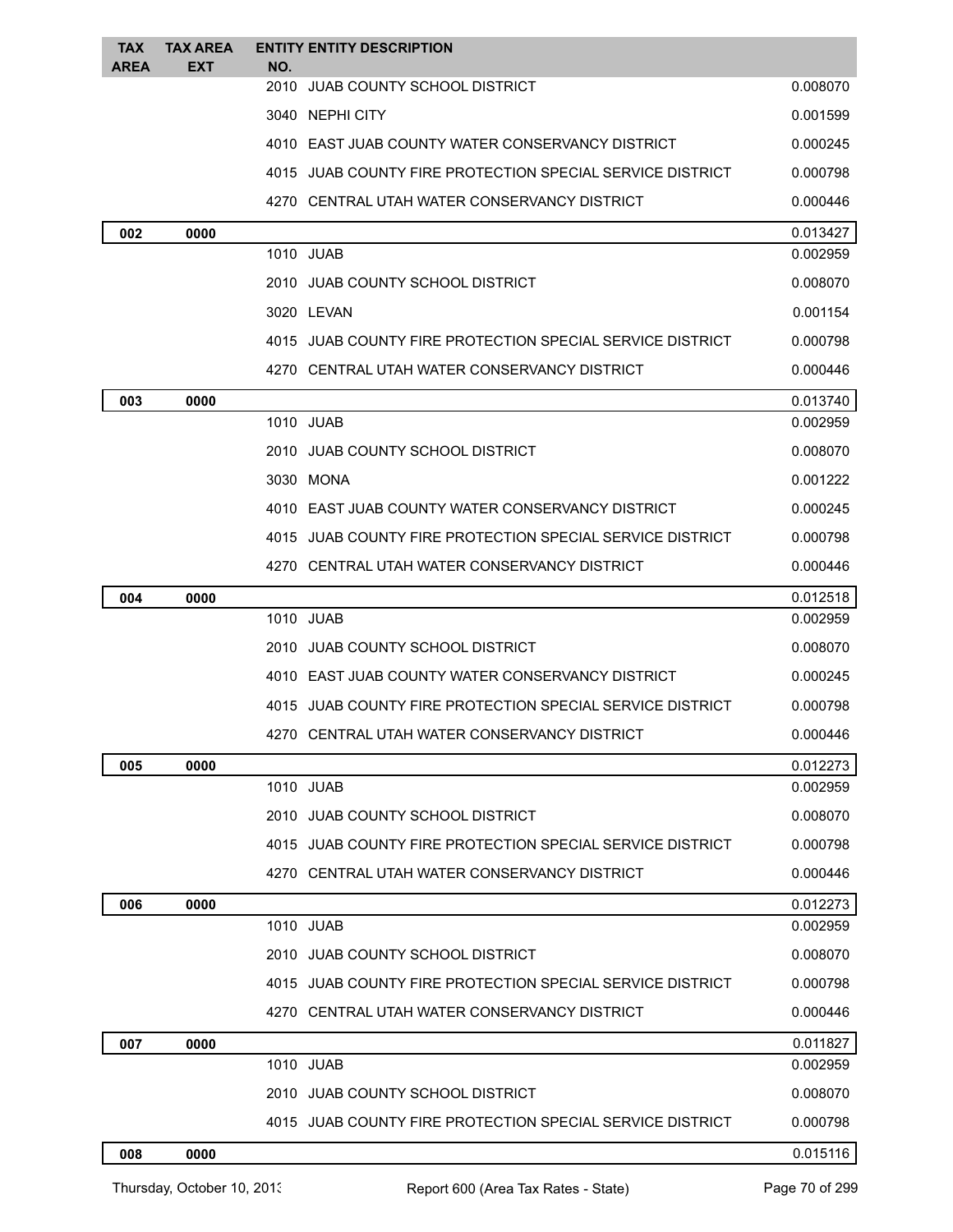| <b>TAX</b><br>AREA | <b>TAX AREA</b><br>EXT | <b>ENTITY ENTITY DESCRIPTION</b><br>NO.                   |          |
|--------------------|------------------------|-----------------------------------------------------------|----------|
|                    |                        | 2010 JUAB COUNTY SCHOOL DISTRICT                          | 0.008070 |
|                    |                        | 3040 NEPHI CITY                                           | 0.001599 |
|                    |                        | 4010   EAST JUAB COUNTY WATER CONSERVANCY DISTRICT        | 0.000245 |
|                    |                        | 4015 JUAB COUNTY FIRE PROTECTION SPECIAL SERVICE DISTRICT | 0.000798 |
|                    |                        | 4270 CENTRAL UTAH WATER CONSERVANCY DISTRICT              | 0.000446 |
| 002                | 0000                   |                                                           | 0.013427 |
|                    |                        | 1010 JUAB                                                 | 0.002959 |
|                    |                        | 2010 JUAB COUNTY SCHOOL DISTRICT                          | 0.008070 |
|                    |                        | 3020 LEVAN                                                | 0.001154 |
|                    |                        | 4015 JUAB COUNTY FIRE PROTECTION SPECIAL SERVICE DISTRICT | 0.000798 |
|                    |                        | 4270 CENTRAL UTAH WATER CONSERVANCY DISTRICT              | 0.000446 |
| 003                | 0000                   |                                                           | 0.013740 |
|                    |                        | 1010 JUAB                                                 | 0.002959 |
|                    |                        | 2010 JUAB COUNTY SCHOOL DISTRICT                          | 0.008070 |
|                    |                        | 3030 MONA                                                 | 0.001222 |
|                    |                        | 4010 EAST JUAB COUNTY WATER CONSERVANCY DISTRICT          | 0.000245 |
|                    |                        | 4015 JUAB COUNTY FIRE PROTECTION SPECIAL SERVICE DISTRICT | 0.000798 |
|                    |                        | 4270 CENTRAL UTAH WATER CONSERVANCY DISTRICT              | 0.000446 |
| 004                | 0000                   |                                                           | 0.012518 |
|                    |                        | 1010 JUAB                                                 | 0.002959 |
|                    |                        | 2010 JUAB COUNTY SCHOOL DISTRICT                          | 0.008070 |
|                    |                        | 4010 EAST JUAB COUNTY WATER CONSERVANCY DISTRICT          | 0.000245 |
|                    |                        | 4015 JUAB COUNTY FIRE PROTECTION SPECIAL SERVICE DISTRICT | 0.000798 |
|                    |                        | 4270 CENTRAL UTAH WATER CONSERVANCY DISTRICT              | 0.000446 |
| 005                | 0000                   |                                                           | 0.012273 |
|                    |                        | 1010 JUAB                                                 | 0.002959 |
|                    |                        | 2010 JUAB COUNTY SCHOOL DISTRICT                          | 0.008070 |
|                    |                        | 4015 JUAB COUNTY FIRE PROTECTION SPECIAL SERVICE DISTRICT | 0.000798 |
|                    |                        | 4270 CENTRAL UTAH WATER CONSERVANCY DISTRICT              | 0.000446 |
| 006                | 0000                   |                                                           | 0.012273 |
|                    |                        | 1010 JUAB                                                 | 0.002959 |
|                    |                        | 2010 JUAB COUNTY SCHOOL DISTRICT                          | 0.008070 |
|                    |                        | 4015 JUAB COUNTY FIRE PROTECTION SPECIAL SERVICE DISTRICT | 0.000798 |
|                    |                        | 4270   CENTRAL UTAH WATER CONSERVANCY DISTRICT            | 0.000446 |
| 007                | 0000                   |                                                           | 0.011827 |
|                    |                        | 1010 JUAB                                                 | 0.002959 |
|                    |                        | 2010 JUAB COUNTY SCHOOL DISTRICT                          | 0.008070 |
|                    |                        | 4015 JUAB COUNTY FIRE PROTECTION SPECIAL SERVICE DISTRICT | 0.000798 |
| 008                | 0000                   |                                                           | 0.015116 |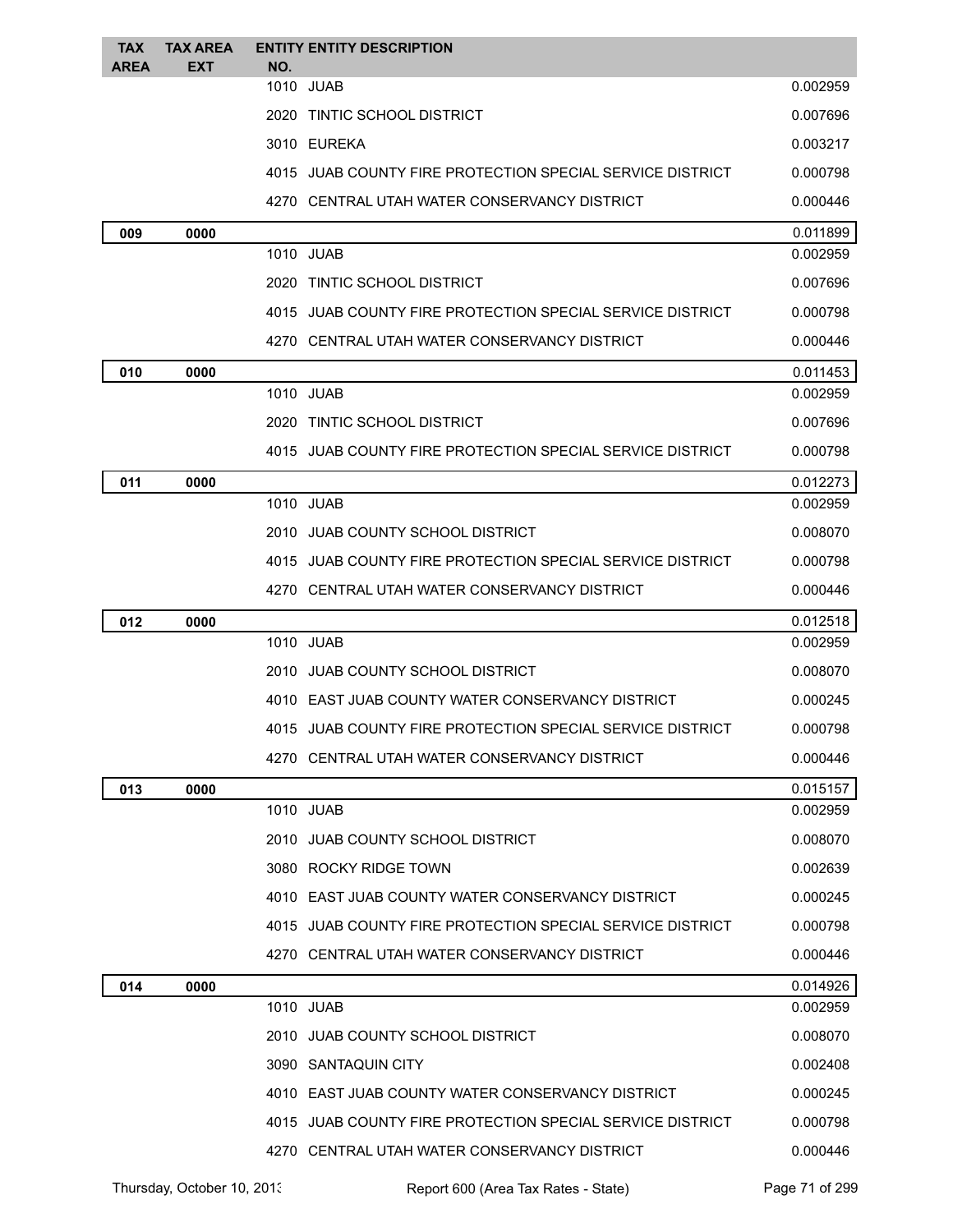| <b>TAX</b><br><b>AREA</b> | <b>TAX AREA</b><br><b>EXT</b> | <b>ENTITY ENTITY DESCRIPTION</b><br>NO.                   |          |
|---------------------------|-------------------------------|-----------------------------------------------------------|----------|
|                           |                               | 1010<br>JUAB                                              | 0.002959 |
|                           |                               | 2020 TINTIC SCHOOL DISTRICT                               | 0.007696 |
|                           |                               | 3010 EUREKA                                               | 0.003217 |
|                           |                               | 4015 JUAB COUNTY FIRE PROTECTION SPECIAL SERVICE DISTRICT | 0.000798 |
|                           |                               | 4270 CENTRAL UTAH WATER CONSERVANCY DISTRICT              | 0.000446 |
| 009                       | 0000                          |                                                           | 0.011899 |
|                           |                               | 1010 JUAB                                                 | 0.002959 |
|                           |                               | 2020 TINTIC SCHOOL DISTRICT                               | 0.007696 |
|                           |                               | 4015 JUAB COUNTY FIRE PROTECTION SPECIAL SERVICE DISTRICT | 0.000798 |
|                           |                               | 4270 CENTRAL UTAH WATER CONSERVANCY DISTRICT              | 0.000446 |
| 010                       | 0000                          |                                                           | 0.011453 |
|                           |                               | 1010 JUAB                                                 | 0.002959 |
|                           |                               | 2020 TINTIC SCHOOL DISTRICT                               | 0.007696 |
|                           |                               | 4015 JUAB COUNTY FIRE PROTECTION SPECIAL SERVICE DISTRICT | 0.000798 |
| 011                       | 0000                          |                                                           | 0.012273 |
|                           |                               | 1010 JUAB                                                 | 0.002959 |
|                           |                               | 2010 JUAB COUNTY SCHOOL DISTRICT                          | 0.008070 |
|                           |                               | 4015 JUAB COUNTY FIRE PROTECTION SPECIAL SERVICE DISTRICT | 0.000798 |
|                           |                               | 4270 CENTRAL UTAH WATER CONSERVANCY DISTRICT              | 0.000446 |
| 012                       | 0000                          |                                                           | 0.012518 |
|                           |                               | 1010 JUAB                                                 | 0.002959 |
|                           |                               | 2010 JUAB COUNTY SCHOOL DISTRICT                          | 0.008070 |
|                           |                               | 4010 EAST JUAB COUNTY WATER CONSERVANCY DISTRICT          | 0.000245 |
|                           |                               | 4015 JUAB COUNTY FIRE PROTECTION SPECIAL SERVICE DISTRICT | 0.000798 |
|                           |                               | 4270 CENTRAL UTAH WATER CONSERVANCY DISTRICT              | 0.000446 |
| 013                       | 0000                          |                                                           | 0.015157 |
|                           |                               | 1010 JUAB                                                 | 0.002959 |
|                           |                               | 2010 JUAB COUNTY SCHOOL DISTRICT                          | 0.008070 |
|                           |                               | 3080 ROCKY RIDGE TOWN                                     | 0.002639 |
|                           |                               | 4010 EAST JUAB COUNTY WATER CONSERVANCY DISTRICT          | 0.000245 |
|                           |                               | 4015 JUAB COUNTY FIRE PROTECTION SPECIAL SERVICE DISTRICT | 0.000798 |
|                           |                               | 4270 CENTRAL UTAH WATER CONSERVANCY DISTRICT              | 0.000446 |
| 014                       | 0000                          |                                                           | 0.014926 |
|                           |                               | 1010 JUAB                                                 | 0.002959 |
|                           |                               | 2010 JUAB COUNTY SCHOOL DISTRICT                          | 0.008070 |
|                           |                               | 3090 SANTAQUIN CITY                                       | 0.002408 |
|                           |                               | 4010 EAST JUAB COUNTY WATER CONSERVANCY DISTRICT          | 0.000245 |
|                           |                               | 4015 JUAB COUNTY FIRE PROTECTION SPECIAL SERVICE DISTRICT | 0.000798 |
|                           |                               | 4270 CENTRAL UTAH WATER CONSERVANCY DISTRICT              | 0.000446 |

Thursday, October 10, 2013 Report 600 (Area Tax Rates - State) Page 71 of 299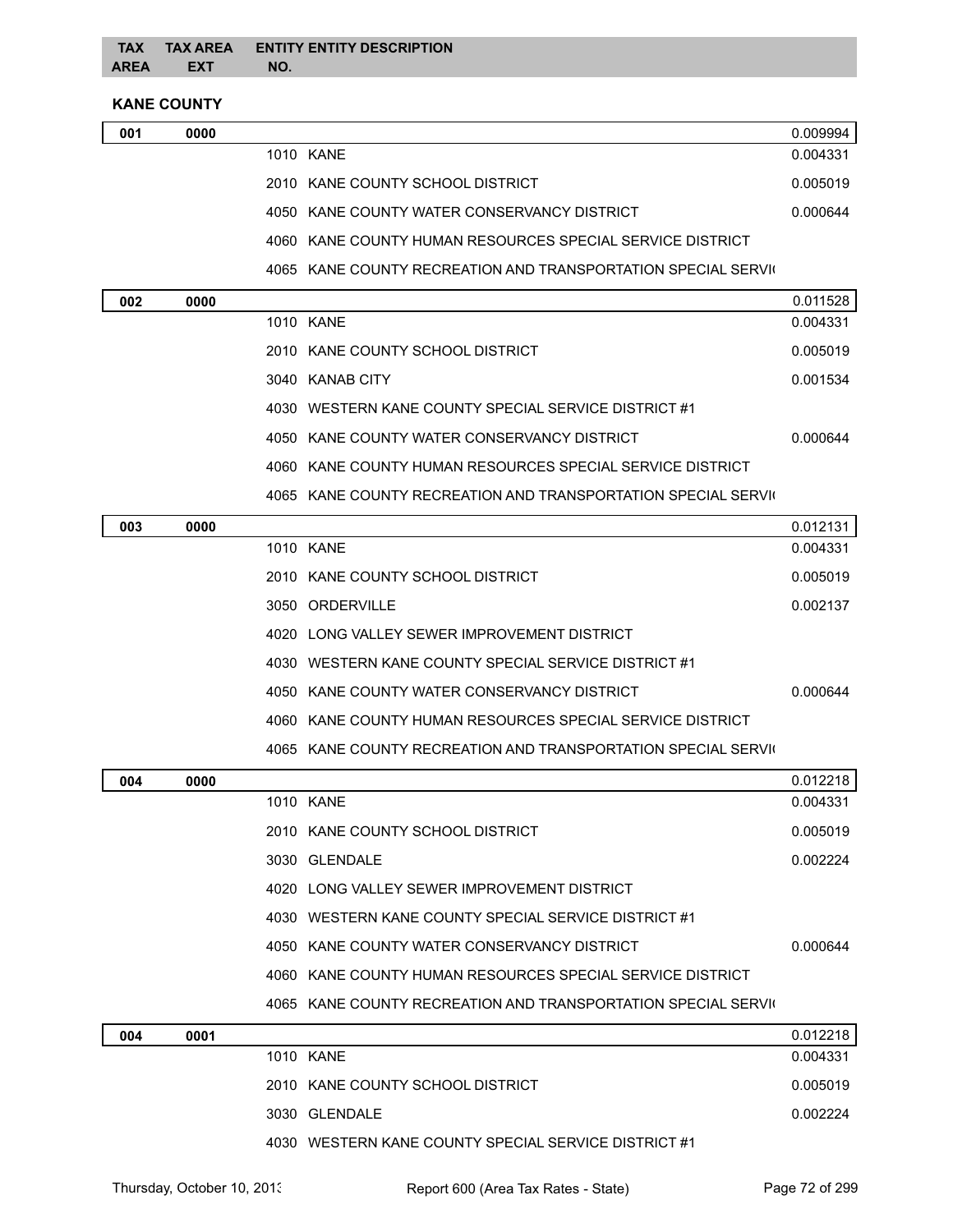### **KANE COUNTY**

| 001 | 0000 |                                                           | 0.009994 |
|-----|------|-----------------------------------------------------------|----------|
|     |      | 1010 KANF                                                 | 0.004331 |
|     |      | 2010 KANE COUNTY SCHOOL DISTRICT                          | 0.005019 |
|     |      | 4050 KANE COUNTY WATER CONSERVANCY DISTRICT               | 0.000644 |
|     |      | 4060 KANE COUNTY HUMAN RESOURCES SPECIAL SERVICE DISTRICT |          |
|     |      |                                                           |          |

4065 KANE COUNTY RECREATION AND TRANSPORTATION SPECIAL SERVIC

| 002 | 0000 |                                                               | 0.011528 |
|-----|------|---------------------------------------------------------------|----------|
|     |      | 1010 KANE                                                     | 0.004331 |
|     |      | 2010 KANE COUNTY SCHOOL DISTRICT                              | 0.005019 |
|     |      | 3040 KANAB CITY                                               | 0.001534 |
|     |      | 4030 WESTERN KANE COUNTY SPECIAL SERVICE DISTRICT #1          |          |
|     |      | 4050 KANE COUNTY WATER CONSERVANCY DISTRICT                   | 0.000644 |
|     |      | 4060 KANE COUNTY HUMAN RESOURCES SPECIAL SERVICE DISTRICT     |          |
|     |      | 4065 KANE COUNTY RECREATION AND TRANSPORTATION SPECIAL SERVIC |          |
| 003 | 0000 |                                                               | 0.012131 |
|     |      | 1010 KANE                                                     | 0.004331 |
|     |      | 2010 KANE COUNTY SCHOOL DISTRICT                              | 0.005019 |
|     |      | 3050 ORDERVILLE                                               | 0.002137 |
|     |      | 4020 LONG VALLEY SEWER IMPROVEMENT DISTRICT                   |          |
|     |      | 4030 WESTERN KANE COUNTY SPECIAL SERVICE DISTRICT #1          |          |
|     |      | 4050 KANE COUNTY WATER CONSERVANCY DISTRICT                   | 0.000644 |
|     |      | 4060 KANE COUNTY HUMAN RESOURCES SPECIAL SERVICE DISTRICT     |          |
|     |      | 4065 KANE COUNTY RECREATION AND TRANSPORTATION SPECIAL SERVIC |          |
| 004 | 0000 |                                                               | 0.012218 |

| 004 | 0000 |                                                               | 0.012218 |
|-----|------|---------------------------------------------------------------|----------|
|     |      | 1010 KANE                                                     | 0.004331 |
|     |      | 2010 KANE COUNTY SCHOOL DISTRICT                              | 0.005019 |
|     |      | 3030 GLENDALE                                                 | 0.002224 |
|     |      | 4020 LONG VALLEY SEWER IMPROVEMENT DISTRICT                   |          |
|     |      | 4030 WESTERN KANE COUNTY SPECIAL SERVICE DISTRICT #1          |          |
|     |      | 4050 KANE COUNTY WATER CONSERVANCY DISTRICT                   | 0.000644 |
|     |      | 4060 KANE COUNTY HUMAN RESOURCES SPECIAL SERVICE DISTRICT     |          |
|     |      | 4065 KANE COUNTY RECREATION AND TRANSPORTATION SPECIAL SERVIC |          |
| 004 | 0001 |                                                               | 0.012218 |
|     |      | 1010 KANE                                                     | 0.004331 |
|     |      | 2010 KANE COUNTY SCHOOL DISTRICT                              | 0.005019 |
|     |      | 3030 GLENDALE                                                 | 0.002224 |
|     |      | 4030 WESTERN KANE COUNTY SPECIAL SERVICE DISTRICT #1          |          |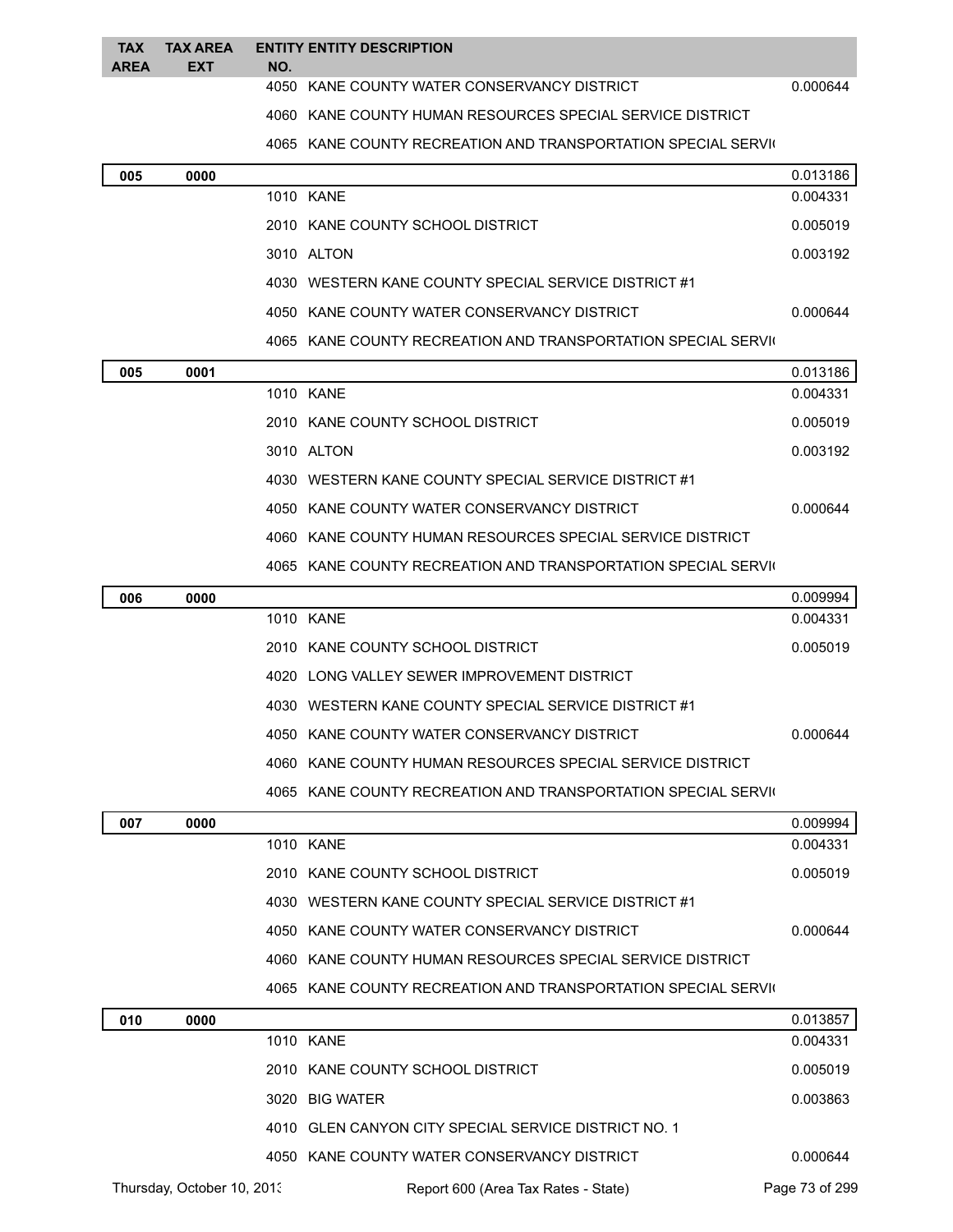| <b>TAX</b><br><b>AREA</b> | <b>TAX AREA</b><br><b>EXT</b> | <b>ENTITY ENTITY DESCRIPTION</b><br>NO.                       |          |
|---------------------------|-------------------------------|---------------------------------------------------------------|----------|
|                           |                               | 4050 KANE COUNTY WATER CONSERVANCY DISTRICT                   | 0.000644 |
|                           |                               | 4060 KANE COUNTY HUMAN RESOURCES SPECIAL SERVICE DISTRICT     |          |
|                           |                               | 4065 KANE COUNTY RECREATION AND TRANSPORTATION SPECIAL SERVIC |          |
| 005                       | 0000                          |                                                               | 0.013186 |

| บบ๖ | uuuu |                                                               | 0.013180 |
|-----|------|---------------------------------------------------------------|----------|
|     |      | 1010 KANE                                                     | 0.004331 |
|     |      | 2010 KANE COUNTY SCHOOL DISTRICT                              | 0.005019 |
|     |      | 3010 ALTON                                                    | 0.003192 |
|     |      | 4030 WESTERN KANE COUNTY SPECIAL SERVICE DISTRICT #1          |          |
|     |      | 4050 KANE COUNTY WATER CONSERVANCY DISTRICT                   | 0.000644 |
|     |      | 4065 KANE COUNTY RECREATION AND TRANSPORTATION SPECIAL SERVIC |          |
| 005 | 0001 |                                                               | 0.013186 |
|     |      | 1010 KANE                                                     | 0.004331 |
|     |      | 2010 KANE COUNTY SCHOOL DISTRICT                              | 0.005019 |
|     |      | 3010 ALTON                                                    | 0.003192 |
|     |      | 4030 WESTERN KANE COUNTY SPECIAL SERVICE DISTRICT #1          |          |
|     |      | 4050 KANE COUNTY WATER CONSERVANCY DISTRICT                   | 0.000644 |
|     |      | 4060 KANE COUNTY HUMAN RESOURCES SPECIAL SERVICE DISTRICT     |          |
|     |      | 4065 KANE COUNTY RECREATION AND TRANSPORTATION SPECIAL SERVIC |          |
| 006 | 0000 |                                                               | 0.009994 |
|     |      | 1010 KANE                                                     | 0.004331 |
|     |      | 2010 KANE COUNTY SCHOOL DISTRICT                              | 0.005019 |
|     |      | 4020 LONG VALLEY SEWER IMPROVEMENT DISTRICT                   |          |
|     |      | 4030 WESTERN KANE COUNTY SPECIAL SERVICE DISTRICT #1          |          |
|     |      | 4050 KANE COUNTY WATER CONSERVANCY DISTRICT                   | 0.000644 |
|     |      | 4060 KANE COUNTY HUMAN RESOURCES SPECIAL SERVICE DISTRICT     |          |
|     |      | 4065 KANE COUNTY RECREATION AND TRANSPORTATION SPECIAL SERVIC |          |
| 007 | 0000 |                                                               | 0.009994 |
|     |      | 1010 KANE                                                     | 0.004331 |
|     |      | 2010 KANE COUNTY SCHOOL DISTRICT                              | 0.005019 |
|     |      | 4030 WESTERN KANE COUNTY SPECIAL SERVICE DISTRICT #1          |          |
|     |      | 4050 KANE COUNTY WATER CONSERVANCY DISTRICT                   | 0.000644 |
|     |      | 4060 KANE COUNTY HUMAN RESOURCES SPECIAL SERVICE DISTRICT     |          |
|     |      | 4065 KANE COUNTY RECREATION AND TRANSPORTATION SPECIAL SERVIC |          |
| 010 | 0000 |                                                               | 0.013857 |
|     |      | 1010 KANE                                                     | 0.004331 |
|     |      | 2010 KANE COUNTY SCHOOL DISTRICT                              | 0.005019 |
|     |      | 3020 BIG WATER                                                | 0.003863 |

| 4010 GLEN CANYON CITY SPECIAL SERVICE DISTRICT NO. 1 |  |
|------------------------------------------------------|--|
|                                                      |  |

| 4050 KANE COUNTY WATER CONSERVANCY DISTRICT | 0.000644 |
|---------------------------------------------|----------|
|                                             |          |

Thursday, October 10, 2013 Report 600 (Area Tax Rates - State) Page 73 of 299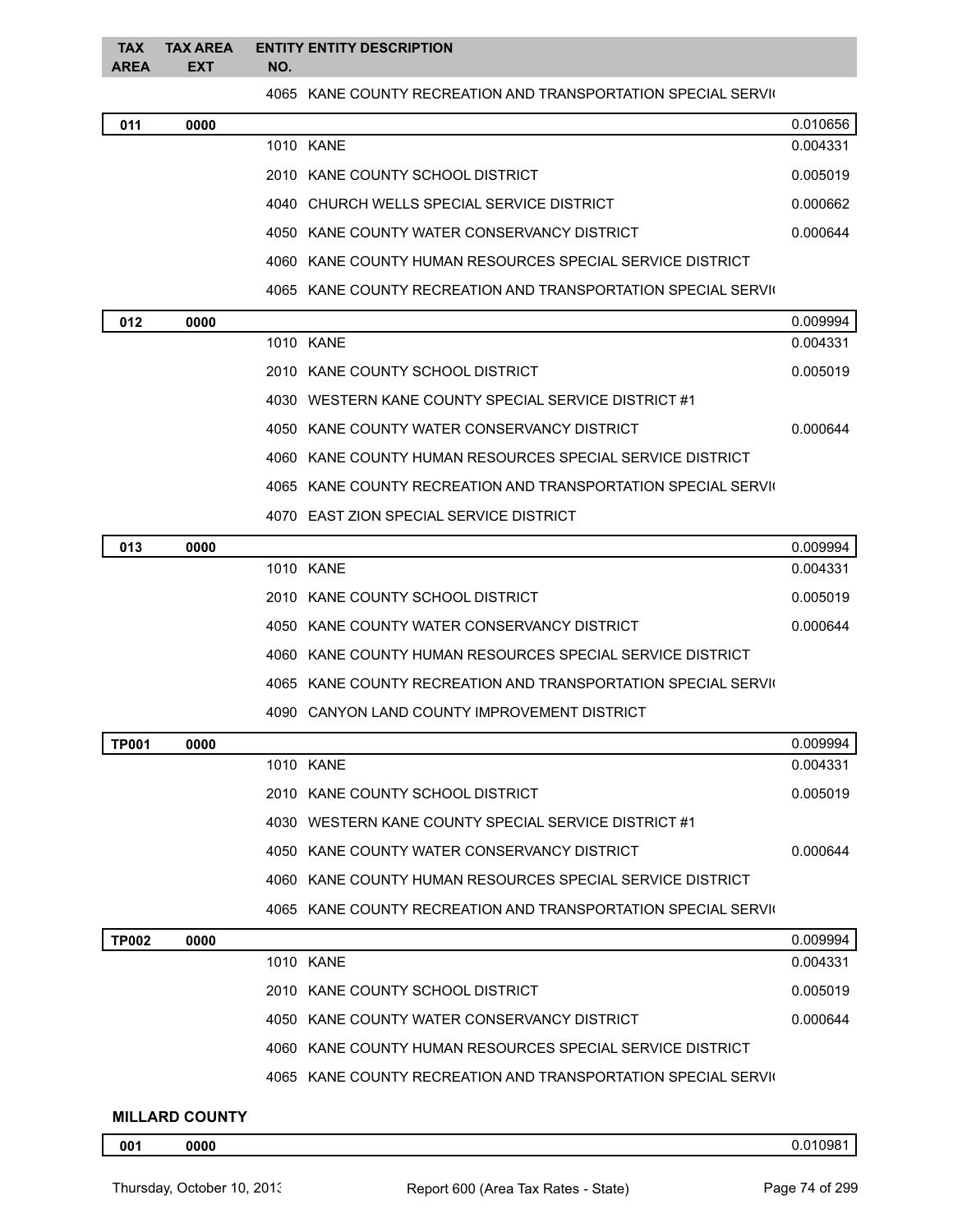4065 KANE COUNTY RECREATION AND TRANSPORTATION SPECIAL SERVIC

|              |      | 400J  | - NAINE COUNTER RECREATION AND TRANSPORTATION SPECIAL SERVIC  |          |
|--------------|------|-------|---------------------------------------------------------------|----------|
| 011          | 0000 |       |                                                               | 0.010656 |
|              |      |       | 1010 KANE                                                     | 0.004331 |
|              |      |       | 2010 KANE COUNTY SCHOOL DISTRICT                              | 0.005019 |
|              |      | 4040- | CHURCH WELLS SPECIAL SERVICE DISTRICT                         | 0.000662 |
|              |      |       | 4050 KANE COUNTY WATER CONSERVANCY DISTRICT                   | 0.000644 |
|              |      |       | 4060 KANE COUNTY HUMAN RESOURCES SPECIAL SERVICE DISTRICT     |          |
|              |      |       | 4065 KANE COUNTY RECREATION AND TRANSPORTATION SPECIAL SERVIC |          |
| 012          | 0000 |       |                                                               | 0.009994 |
|              |      |       | 1010 KANE                                                     | 0.004331 |
|              |      |       | 2010 KANE COUNTY SCHOOL DISTRICT                              | 0.005019 |
|              |      |       | 4030 WESTERN KANE COUNTY SPECIAL SERVICE DISTRICT #1          |          |
|              |      |       | 4050 KANE COUNTY WATER CONSERVANCY DISTRICT                   | 0.000644 |
|              |      |       | 4060 KANE COUNTY HUMAN RESOURCES SPECIAL SERVICE DISTRICT     |          |
|              |      |       | 4065 KANE COUNTY RECREATION AND TRANSPORTATION SPECIAL SERVIC |          |
|              |      |       | 4070 EAST ZION SPECIAL SERVICE DISTRICT                       |          |
| 013          | 0000 |       |                                                               | 0.009994 |
|              |      |       | 1010 KANE                                                     | 0.004331 |
|              |      |       | 2010 KANE COUNTY SCHOOL DISTRICT                              | 0.005019 |
|              |      |       | 4050 KANE COUNTY WATER CONSERVANCY DISTRICT                   | 0.000644 |
|              |      |       | 4060 KANE COUNTY HUMAN RESOURCES SPECIAL SERVICE DISTRICT     |          |
|              |      |       | 4065 KANE COUNTY RECREATION AND TRANSPORTATION SPECIAL SERVIC |          |
|              |      |       | 4090 CANYON LAND COUNTY IMPROVEMENT DISTRICT                  |          |
| <b>TP001</b> | 0000 |       |                                                               | 0.009994 |
|              |      |       | 1010 KANE                                                     | 0.004331 |

|  | 1010 KANE                                                     | 0.004331 |
|--|---------------------------------------------------------------|----------|
|  | 2010 KANE COUNTY SCHOOL DISTRICT                              | 0.005019 |
|  | 4030 WESTERN KANE COUNTY SPECIAL SERVICE DISTRICT #1          |          |
|  | 4050 KANE COUNTY WATER CONSERVANCY DISTRICT                   | 0.000644 |
|  | 4060 KANE COUNTY HUMAN RESOURCES SPECIAL SERVICE DISTRICT     |          |
|  | 4065 KANE COUNTY RECREATION AND TRANSPORTATION SPECIAL SERVIC |          |

| <b>TP002</b> | 0000 |                                                               | 0.009994 |
|--------------|------|---------------------------------------------------------------|----------|
|              |      | 1010 KANF                                                     | 0.004331 |
|              |      | 2010 KANE COUNTY SCHOOL DISTRICT                              | 0.005019 |
|              |      | 4050 KANE COUNTY WATER CONSERVANCY DISTRICT                   | 0.000644 |
|              |      | 4060 KANE COUNTY HUMAN RESOURCES SPECIAL SERVICE DISTRICT     |          |
|              |      | 4065 KANE COUNTY RECREATION AND TRANSPORTATION SPECIAL SERVIC |          |

## **MILLARD COUNTY**

**0000** 0.010981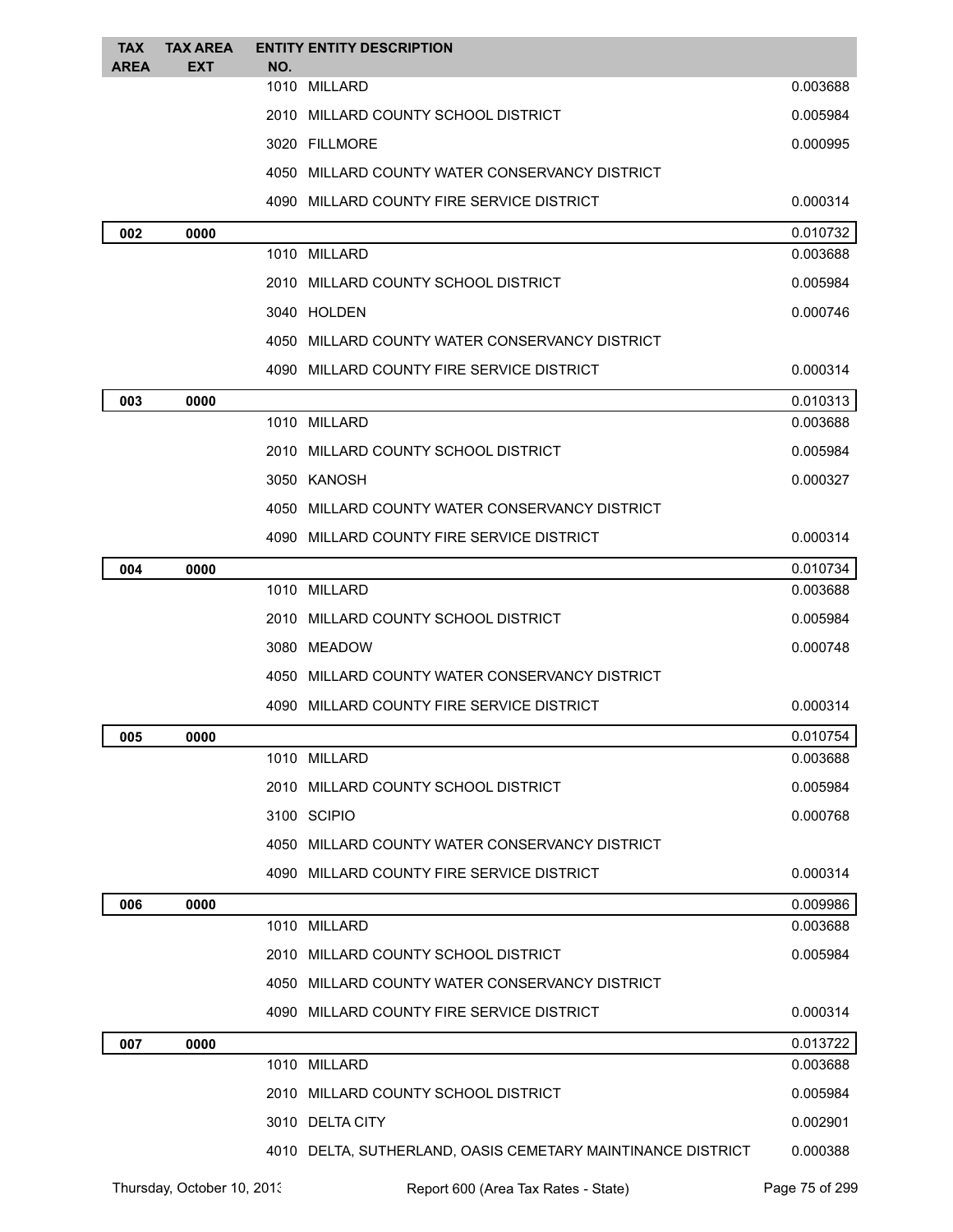| <b>TAX</b><br><b>AREA</b> | <b>TAX AREA</b><br><b>EXT</b> | <b>ENTITY ENTITY DESCRIPTION</b><br>NO.                     |          |
|---------------------------|-------------------------------|-------------------------------------------------------------|----------|
|                           |                               | 1010 MILLARD                                                | 0.003688 |
|                           |                               | 2010 MILLARD COUNTY SCHOOL DISTRICT                         | 0.005984 |
|                           |                               | 3020 FILLMORE                                               | 0.000995 |
|                           |                               | 4050 MILLARD COUNTY WATER CONSERVANCY DISTRICT              |          |
|                           |                               | 4090 MILLARD COUNTY FIRE SERVICE DISTRICT                   | 0.000314 |
| 002                       | 0000                          |                                                             | 0.010732 |
|                           |                               | 1010 MILLARD                                                | 0.003688 |
|                           |                               | 2010 MILLARD COUNTY SCHOOL DISTRICT                         | 0.005984 |
|                           |                               | 3040 HOLDEN                                                 | 0.000746 |
|                           |                               | 4050 MILLARD COUNTY WATER CONSERVANCY DISTRICT              |          |
|                           |                               | 4090   MILLARD COUNTY FIRE SERVICE DISTRICT                 | 0.000314 |
| 003                       | 0000                          |                                                             | 0.010313 |
|                           |                               | 1010 MILLARD                                                | 0.003688 |
|                           |                               | 2010 MILLARD COUNTY SCHOOL DISTRICT                         | 0.005984 |
|                           |                               | 3050 KANOSH                                                 | 0.000327 |
|                           |                               | 4050 MILLARD COUNTY WATER CONSERVANCY DISTRICT              |          |
|                           |                               | 4090   MILLARD COUNTY FIRE SERVICE DISTRICT                 | 0.000314 |
| 004                       | 0000                          |                                                             | 0.010734 |
|                           |                               | 1010 MILLARD                                                | 0.003688 |
|                           |                               | 2010 MILLARD COUNTY SCHOOL DISTRICT                         | 0.005984 |
|                           |                               | 3080 MEADOW                                                 | 0.000748 |
|                           |                               | 4050 MILLARD COUNTY WATER CONSERVANCY DISTRICT              |          |
|                           |                               | 4090 MILLARD COUNTY FIRE SERVICE DISTRICT                   | 0.000314 |
| 005                       | 0000                          |                                                             | 0.010754 |
|                           |                               | 1010 MILLARD                                                | 0.003688 |
|                           |                               | 2010 MILLARD COUNTY SCHOOL DISTRICT                         | 0.005984 |
|                           |                               | 3100 SCIPIO                                                 | 0.000768 |
|                           |                               | 4050 MILLARD COUNTY WATER CONSERVANCY DISTRICT              |          |
|                           |                               | 4090 MILLARD COUNTY FIRE SERVICE DISTRICT                   | 0.000314 |
| 006                       | 0000                          |                                                             | 0.009986 |
|                           |                               | 1010 MILLARD                                                | 0.003688 |
|                           |                               | 2010 MILLARD COUNTY SCHOOL DISTRICT                         | 0.005984 |
|                           |                               | 4050 MILLARD COUNTY WATER CONSERVANCY DISTRICT              |          |
|                           |                               | 4090 MILLARD COUNTY FIRE SERVICE DISTRICT                   | 0.000314 |
| 007                       | 0000                          |                                                             | 0.013722 |
|                           |                               | 1010 MILLARD                                                | 0.003688 |
|                           |                               | 2010 MILLARD COUNTY SCHOOL DISTRICT                         | 0.005984 |
|                           |                               | 3010 DELTA CITY                                             | 0.002901 |
|                           |                               | 4010 DELTA, SUTHERLAND, OASIS CEMETARY MAINTINANCE DISTRICT | 0.000388 |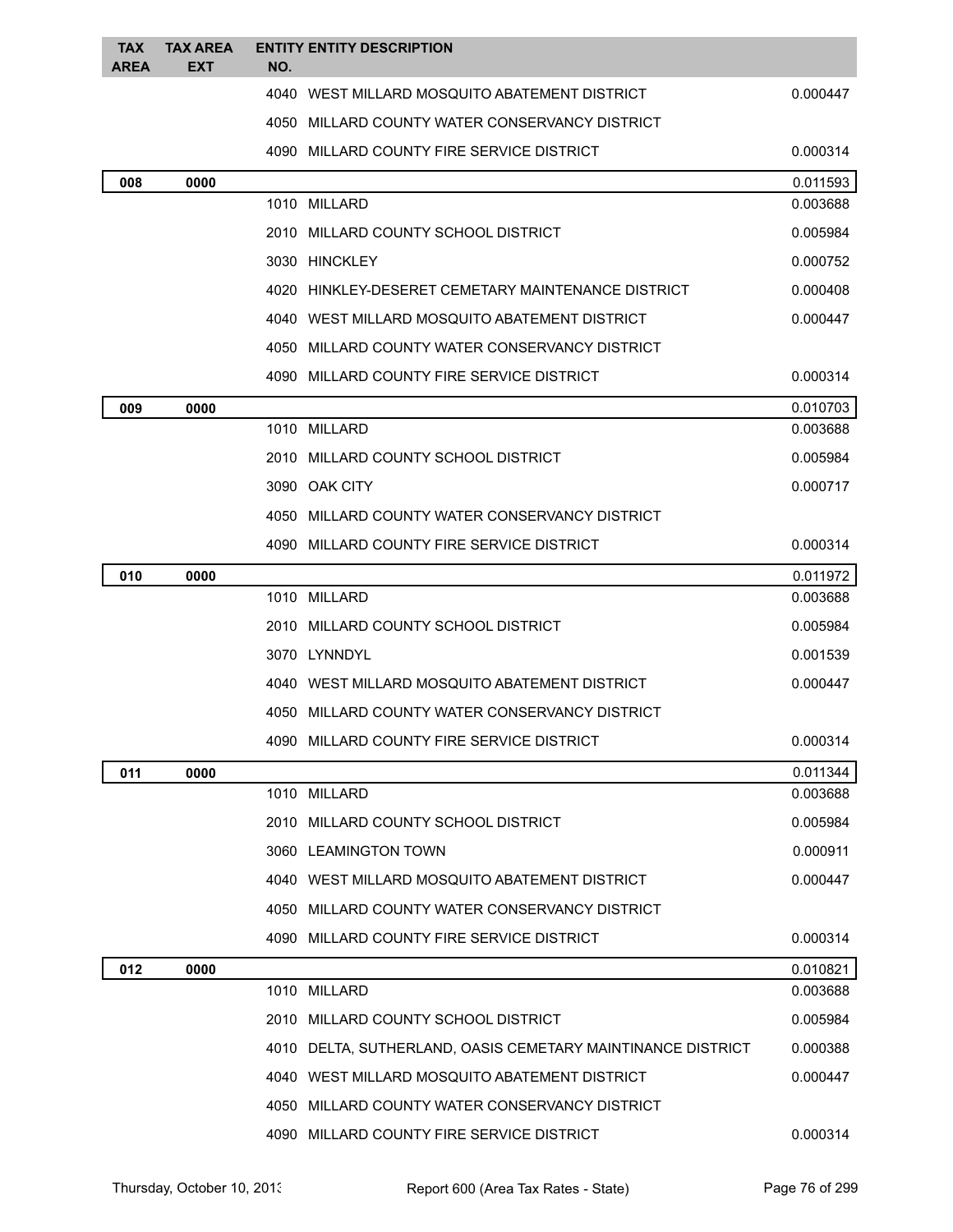| <b>TAX</b><br><b>AREA</b> | <b>TAX AREA</b><br><b>EXT</b> | NO. | <b>ENTITY ENTITY DESCRIPTION</b>                            |          |  |
|---------------------------|-------------------------------|-----|-------------------------------------------------------------|----------|--|
|                           |                               |     | 4040 WEST MILLARD MOSQUITO ABATEMENT DISTRICT               | 0.000447 |  |
|                           |                               |     | 4050 MILLARD COUNTY WATER CONSERVANCY DISTRICT              |          |  |
|                           |                               |     | 4090 MILLARD COUNTY FIRE SERVICE DISTRICT                   | 0.000314 |  |
| 008                       | 0000                          |     |                                                             | 0.011593 |  |
|                           |                               |     | 1010 MILLARD                                                | 0.003688 |  |
|                           |                               |     | 2010 MILLARD COUNTY SCHOOL DISTRICT                         | 0.005984 |  |
|                           |                               |     | 3030 HINCKLEY                                               | 0.000752 |  |
|                           |                               |     | 4020 HINKLEY-DESERET CEMETARY MAINTENANCE DISTRICT          | 0.000408 |  |
|                           |                               |     | 4040 WEST MILLARD MOSQUITO ABATEMENT DISTRICT               | 0.000447 |  |
|                           |                               |     | 4050 MILLARD COUNTY WATER CONSERVANCY DISTRICT              |          |  |
|                           |                               |     | 4090 MILLARD COUNTY FIRE SERVICE DISTRICT                   | 0.000314 |  |
| 009                       | 0000                          |     |                                                             | 0.010703 |  |
|                           |                               |     | 1010 MILLARD                                                | 0.003688 |  |
|                           |                               |     | 2010 MILLARD COUNTY SCHOOL DISTRICT                         | 0.005984 |  |
|                           |                               |     | 3090 OAK CITY                                               | 0.000717 |  |
|                           |                               |     | 4050 MILLARD COUNTY WATER CONSERVANCY DISTRICT              |          |  |
|                           |                               |     | 4090 MILLARD COUNTY FIRE SERVICE DISTRICT                   | 0.000314 |  |
| 010                       | 0000                          |     |                                                             | 0.011972 |  |
|                           |                               |     | 1010 MILLARD                                                | 0.003688 |  |
|                           |                               |     | 2010 MILLARD COUNTY SCHOOL DISTRICT                         | 0.005984 |  |
|                           |                               |     | 3070 LYNNDYL                                                | 0.001539 |  |
|                           |                               |     | 4040 WEST MILLARD MOSQUITO ABATEMENT DISTRICT               | 0.000447 |  |
|                           |                               |     | 4050 MILLARD COUNTY WATER CONSERVANCY DISTRICT              |          |  |
|                           |                               |     | 4090 MILLARD COUNTY FIRE SERVICE DISTRICT                   | 0.000314 |  |
| 011                       | 0000                          |     |                                                             | 0.011344 |  |
|                           |                               |     | 1010 MILLARD                                                | 0.003688 |  |
|                           |                               |     | 2010 MILLARD COUNTY SCHOOL DISTRICT                         | 0.005984 |  |
|                           |                               |     | 3060 LEAMINGTON TOWN                                        | 0.000911 |  |
|                           |                               |     | 4040 WEST MILLARD MOSQUITO ABATEMENT DISTRICT               | 0.000447 |  |
|                           |                               |     | 4050 MILLARD COUNTY WATER CONSERVANCY DISTRICT              |          |  |
|                           |                               |     | 4090 MILLARD COUNTY FIRE SERVICE DISTRICT                   | 0.000314 |  |
| 012                       | 0000                          |     |                                                             | 0.010821 |  |
|                           |                               |     | 1010 MILLARD                                                | 0.003688 |  |
|                           |                               |     | 2010 MILLARD COUNTY SCHOOL DISTRICT                         | 0.005984 |  |
|                           |                               |     | 4010 DELTA, SUTHERLAND, OASIS CEMETARY MAINTINANCE DISTRICT | 0.000388 |  |
|                           |                               |     | 4040 WEST MILLARD MOSQUITO ABATEMENT DISTRICT               | 0.000447 |  |
|                           |                               |     | 4050 MILLARD COUNTY WATER CONSERVANCY DISTRICT              |          |  |
|                           |                               |     | 4090 MILLARD COUNTY FIRE SERVICE DISTRICT                   | 0.000314 |  |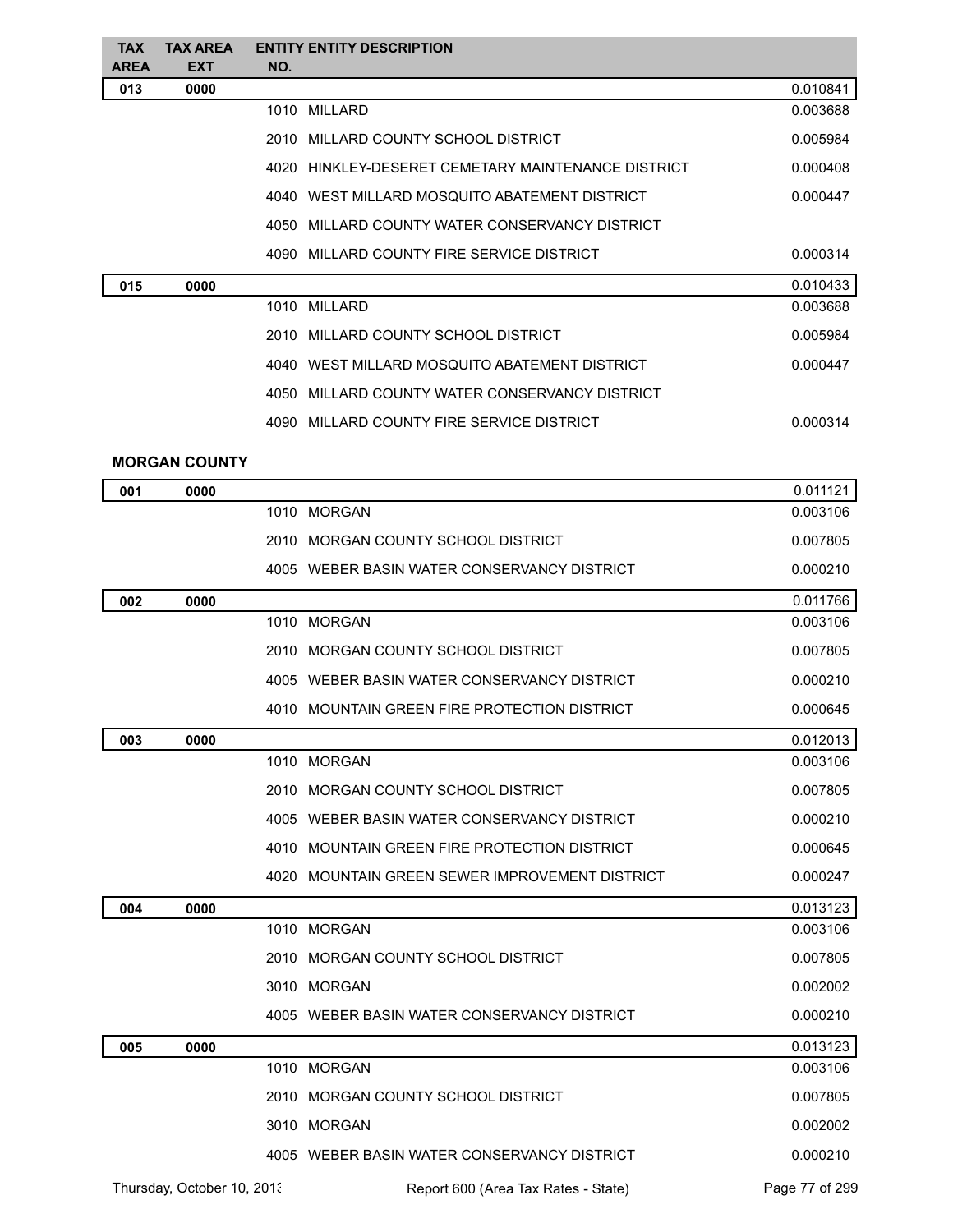| <b>TAX</b><br><b>AREA</b> | <b>TAX AREA</b><br><b>EXT</b> | <b>ENTITY ENTITY DESCRIPTION</b><br>NO. |                                                    |          |
|---------------------------|-------------------------------|-----------------------------------------|----------------------------------------------------|----------|
| 013                       | 0000                          |                                         |                                                    | 0.010841 |
|                           |                               | 1010 MILLARD                            |                                                    | 0.003688 |
|                           |                               |                                         | 2010 MILLARD COUNTY SCHOOL DISTRICT                | 0.005984 |
|                           |                               |                                         | 4020 HINKLEY-DESERET CEMETARY MAINTENANCE DISTRICT | 0.000408 |
|                           |                               |                                         | 4040 WEST MILLARD MOSQUITO ABATEMENT DISTRICT      | 0.000447 |
|                           |                               | 4050                                    | MILLARD COUNTY WATER CONSERVANCY DISTRICT          |          |
|                           |                               |                                         | 4090 MILLARD COUNTY FIRE SERVICE DISTRICT          | 0.000314 |
| 015                       | 0000                          |                                         |                                                    | 0.010433 |
|                           |                               | 1010 MILLARD                            |                                                    | 0.003688 |
|                           |                               |                                         | 2010 MILLARD COUNTY SCHOOL DISTRICT                | 0.005984 |
|                           |                               |                                         | 4040 WEST MILLARD MOSQUITO ABATEMENT DISTRICT      | 0.000447 |
|                           |                               | 4050                                    | MILLARD COUNTY WATER CONSERVANCY DISTRICT          |          |
|                           |                               |                                         | 4090 MILLARD COUNTY FIRE SERVICE DISTRICT          | 0.000314 |
|                           | <b>MORGAN COUNTY</b>          |                                         |                                                    |          |
|                           |                               |                                         |                                                    | 0.011121 |
| 001                       | 0000                          | 1010 MORGAN                             |                                                    | 0.003106 |
|                           |                               |                                         | 2010 MORGAN COUNTY SCHOOL DISTRICT                 | 0.007805 |
|                           |                               |                                         | 4005 WEBER BASIN WATER CONSERVANCY DISTRICT        | 0.000210 |
| 002                       | 0000                          |                                         |                                                    | 0.011766 |
|                           |                               | 1010 MORGAN                             |                                                    | 0.003106 |
|                           |                               |                                         | 2010 MORGAN COUNTY SCHOOL DISTRICT                 | 0.007805 |
|                           |                               |                                         | 4005 WEBER BASIN WATER CONSERVANCY DISTRICT        | 0.000210 |
|                           |                               |                                         | 4010 MOUNTAIN GREEN FIRE PROTECTION DISTRICT       | 0.000645 |
| 003                       | 0000                          |                                         |                                                    | 0.012013 |
|                           |                               | 1010 MORGAN                             |                                                    | 0.003106 |
|                           |                               |                                         | 2010 MORGAN COUNTY SCHOOL DISTRICT                 | 0.007805 |
|                           |                               |                                         | 4005 WEBER BASIN WATER CONSERVANCY DISTRICT        | 0.000210 |
|                           |                               |                                         | 4010 MOUNTAIN GREEN FIRE PROTECTION DISTRICT       | 0.000645 |
|                           |                               |                                         | 4020 MOUNTAIN GREEN SEWER IMPROVEMENT DISTRICT     | 0.000247 |
| 004                       | 0000                          |                                         |                                                    | 0.013123 |
|                           |                               | 1010 MORGAN                             |                                                    | 0.003106 |
|                           |                               |                                         | 2010 MORGAN COUNTY SCHOOL DISTRICT                 | 0.007805 |
|                           |                               | 3010 MORGAN                             |                                                    | 0.002002 |
|                           |                               |                                         | 4005 WEBER BASIN WATER CONSERVANCY DISTRICT        | 0.000210 |
| 005                       | 0000                          |                                         |                                                    | 0.013123 |
|                           |                               | 1010 MORGAN                             |                                                    | 0.003106 |
|                           |                               |                                         | 2010 MORGAN COUNTY SCHOOL DISTRICT                 | 0.007805 |
|                           |                               | 3010 MORGAN                             |                                                    | 0.002002 |
|                           |                               |                                         | 4005 WEBER BASIN WATER CONSERVANCY DISTRICT        | 0.000210 |

Thursday, October 10, 2013 Report 600 (Area Tax Rates - State) Page 77 of 299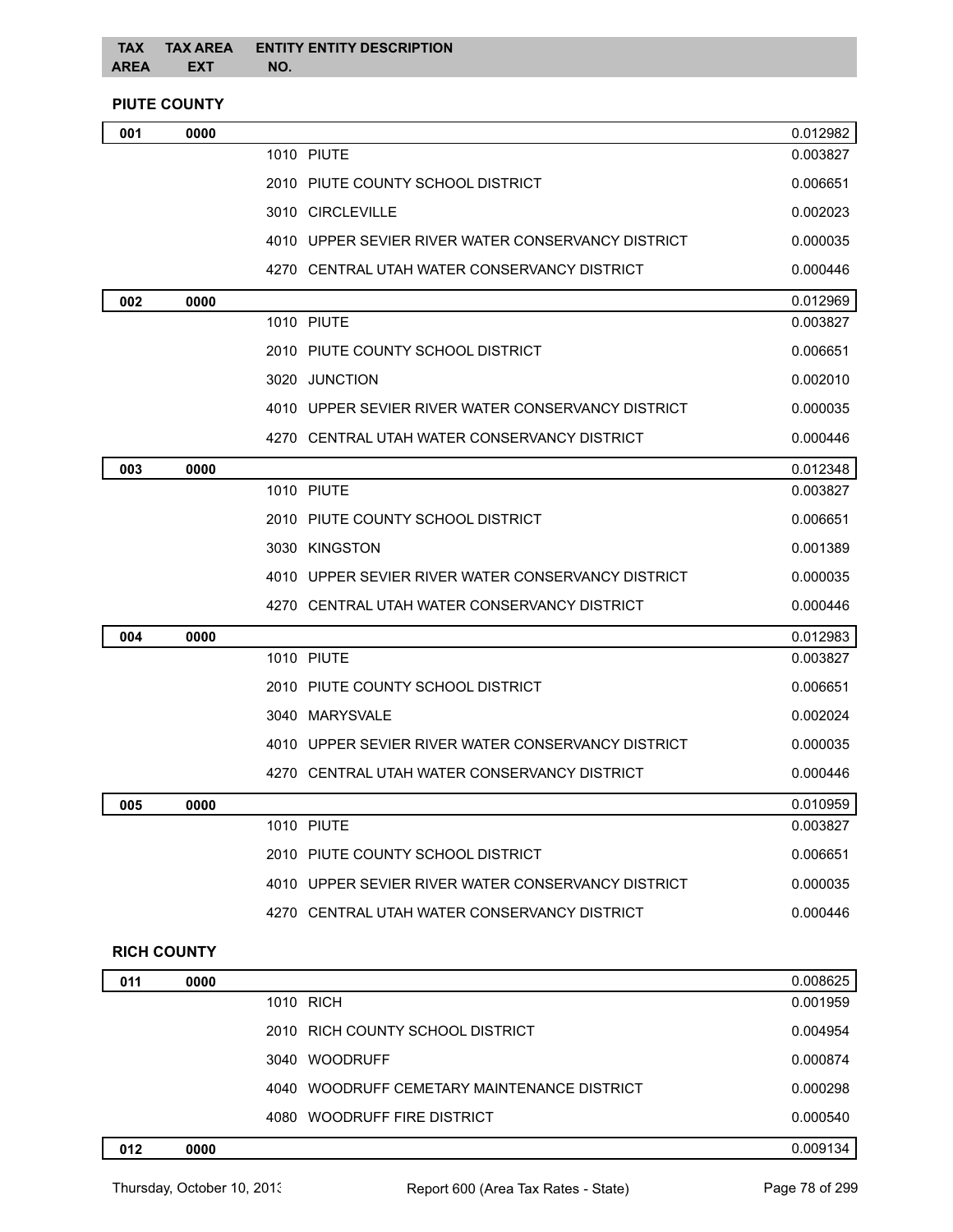## **PIUTE COUNTY**

| <b>1010 PIUTE</b><br>0.003827<br>2010 PIUTE COUNTY SCHOOL DISTRICT<br>0.006651<br>3010 CIRCLEVILLE<br>0.002023<br>4010 UPPER SEVIER RIVER WATER CONSERVANCY DISTRICT<br>0.000035<br>4270 CENTRAL UTAH WATER CONSERVANCY DISTRICT<br>0.000446<br>0.012969<br>0000<br>002<br>1010 PIUTE<br>0.003827<br>2010 PIUTE COUNTY SCHOOL DISTRICT<br>0.006651<br>3020 JUNCTION<br>0.002010<br>4010 UPPER SEVIER RIVER WATER CONSERVANCY DISTRICT<br>0.000035<br>4270 CENTRAL UTAH WATER CONSERVANCY DISTRICT<br>0.000446<br>0.012348<br>003<br>0000<br><b>1010 PIUTE</b><br>0.003827<br>2010 PIUTE COUNTY SCHOOL DISTRICT<br>0.006651<br>3030 KINGSTON<br>0.001389<br>4010 UPPER SEVIER RIVER WATER CONSERVANCY DISTRICT<br>0.000035<br>4270 CENTRAL UTAH WATER CONSERVANCY DISTRICT<br>0.000446<br>0.012983<br>0000<br>004<br><b>1010 PIUTE</b><br>0.003827<br>2010 PIUTE COUNTY SCHOOL DISTRICT<br>0.006651<br>3040 MARYSVALE<br>0.002024<br>4010 UPPER SEVIER RIVER WATER CONSERVANCY DISTRICT<br>0.000035<br>4270 CENTRAL UTAH WATER CONSERVANCY DISTRICT<br>0.000446<br>0.010959<br>005<br>0000<br>1010 PIUTE<br>0.003827<br>2010 PIUTE COUNTY SCHOOL DISTRICT<br>0.006651<br>4010 UPPER SEVIER RIVER WATER CONSERVANCY DISTRICT<br>0.000035<br>4270 CENTRAL UTAH WATER CONSERVANCY DISTRICT<br>0.000446<br><b>RICH COUNTY</b><br>0.008625<br>011<br>0000 | 001 | 0000 |  | 0.012982 |
|-----------------------------------------------------------------------------------------------------------------------------------------------------------------------------------------------------------------------------------------------------------------------------------------------------------------------------------------------------------------------------------------------------------------------------------------------------------------------------------------------------------------------------------------------------------------------------------------------------------------------------------------------------------------------------------------------------------------------------------------------------------------------------------------------------------------------------------------------------------------------------------------------------------------------------------------------------------------------------------------------------------------------------------------------------------------------------------------------------------------------------------------------------------------------------------------------------------------------------------------------------------------------------------------------------------------------------------------------------|-----|------|--|----------|
|                                                                                                                                                                                                                                                                                                                                                                                                                                                                                                                                                                                                                                                                                                                                                                                                                                                                                                                                                                                                                                                                                                                                                                                                                                                                                                                                                     |     |      |  |          |
|                                                                                                                                                                                                                                                                                                                                                                                                                                                                                                                                                                                                                                                                                                                                                                                                                                                                                                                                                                                                                                                                                                                                                                                                                                                                                                                                                     |     |      |  |          |
|                                                                                                                                                                                                                                                                                                                                                                                                                                                                                                                                                                                                                                                                                                                                                                                                                                                                                                                                                                                                                                                                                                                                                                                                                                                                                                                                                     |     |      |  |          |
|                                                                                                                                                                                                                                                                                                                                                                                                                                                                                                                                                                                                                                                                                                                                                                                                                                                                                                                                                                                                                                                                                                                                                                                                                                                                                                                                                     |     |      |  |          |
|                                                                                                                                                                                                                                                                                                                                                                                                                                                                                                                                                                                                                                                                                                                                                                                                                                                                                                                                                                                                                                                                                                                                                                                                                                                                                                                                                     |     |      |  |          |
|                                                                                                                                                                                                                                                                                                                                                                                                                                                                                                                                                                                                                                                                                                                                                                                                                                                                                                                                                                                                                                                                                                                                                                                                                                                                                                                                                     |     |      |  |          |
|                                                                                                                                                                                                                                                                                                                                                                                                                                                                                                                                                                                                                                                                                                                                                                                                                                                                                                                                                                                                                                                                                                                                                                                                                                                                                                                                                     |     |      |  |          |
|                                                                                                                                                                                                                                                                                                                                                                                                                                                                                                                                                                                                                                                                                                                                                                                                                                                                                                                                                                                                                                                                                                                                                                                                                                                                                                                                                     |     |      |  |          |
|                                                                                                                                                                                                                                                                                                                                                                                                                                                                                                                                                                                                                                                                                                                                                                                                                                                                                                                                                                                                                                                                                                                                                                                                                                                                                                                                                     |     |      |  |          |
|                                                                                                                                                                                                                                                                                                                                                                                                                                                                                                                                                                                                                                                                                                                                                                                                                                                                                                                                                                                                                                                                                                                                                                                                                                                                                                                                                     |     |      |  |          |
|                                                                                                                                                                                                                                                                                                                                                                                                                                                                                                                                                                                                                                                                                                                                                                                                                                                                                                                                                                                                                                                                                                                                                                                                                                                                                                                                                     |     |      |  |          |
|                                                                                                                                                                                                                                                                                                                                                                                                                                                                                                                                                                                                                                                                                                                                                                                                                                                                                                                                                                                                                                                                                                                                                                                                                                                                                                                                                     |     |      |  |          |
|                                                                                                                                                                                                                                                                                                                                                                                                                                                                                                                                                                                                                                                                                                                                                                                                                                                                                                                                                                                                                                                                                                                                                                                                                                                                                                                                                     |     |      |  |          |
|                                                                                                                                                                                                                                                                                                                                                                                                                                                                                                                                                                                                                                                                                                                                                                                                                                                                                                                                                                                                                                                                                                                                                                                                                                                                                                                                                     |     |      |  |          |
|                                                                                                                                                                                                                                                                                                                                                                                                                                                                                                                                                                                                                                                                                                                                                                                                                                                                                                                                                                                                                                                                                                                                                                                                                                                                                                                                                     |     |      |  |          |
|                                                                                                                                                                                                                                                                                                                                                                                                                                                                                                                                                                                                                                                                                                                                                                                                                                                                                                                                                                                                                                                                                                                                                                                                                                                                                                                                                     |     |      |  |          |
|                                                                                                                                                                                                                                                                                                                                                                                                                                                                                                                                                                                                                                                                                                                                                                                                                                                                                                                                                                                                                                                                                                                                                                                                                                                                                                                                                     |     |      |  |          |
|                                                                                                                                                                                                                                                                                                                                                                                                                                                                                                                                                                                                                                                                                                                                                                                                                                                                                                                                                                                                                                                                                                                                                                                                                                                                                                                                                     |     |      |  |          |
|                                                                                                                                                                                                                                                                                                                                                                                                                                                                                                                                                                                                                                                                                                                                                                                                                                                                                                                                                                                                                                                                                                                                                                                                                                                                                                                                                     |     |      |  |          |
|                                                                                                                                                                                                                                                                                                                                                                                                                                                                                                                                                                                                                                                                                                                                                                                                                                                                                                                                                                                                                                                                                                                                                                                                                                                                                                                                                     |     |      |  |          |
|                                                                                                                                                                                                                                                                                                                                                                                                                                                                                                                                                                                                                                                                                                                                                                                                                                                                                                                                                                                                                                                                                                                                                                                                                                                                                                                                                     |     |      |  |          |
|                                                                                                                                                                                                                                                                                                                                                                                                                                                                                                                                                                                                                                                                                                                                                                                                                                                                                                                                                                                                                                                                                                                                                                                                                                                                                                                                                     |     |      |  |          |
|                                                                                                                                                                                                                                                                                                                                                                                                                                                                                                                                                                                                                                                                                                                                                                                                                                                                                                                                                                                                                                                                                                                                                                                                                                                                                                                                                     |     |      |  |          |
|                                                                                                                                                                                                                                                                                                                                                                                                                                                                                                                                                                                                                                                                                                                                                                                                                                                                                                                                                                                                                                                                                                                                                                                                                                                                                                                                                     |     |      |  |          |
|                                                                                                                                                                                                                                                                                                                                                                                                                                                                                                                                                                                                                                                                                                                                                                                                                                                                                                                                                                                                                                                                                                                                                                                                                                                                                                                                                     |     |      |  |          |
|                                                                                                                                                                                                                                                                                                                                                                                                                                                                                                                                                                                                                                                                                                                                                                                                                                                                                                                                                                                                                                                                                                                                                                                                                                                                                                                                                     |     |      |  |          |
|                                                                                                                                                                                                                                                                                                                                                                                                                                                                                                                                                                                                                                                                                                                                                                                                                                                                                                                                                                                                                                                                                                                                                                                                                                                                                                                                                     |     |      |  |          |
|                                                                                                                                                                                                                                                                                                                                                                                                                                                                                                                                                                                                                                                                                                                                                                                                                                                                                                                                                                                                                                                                                                                                                                                                                                                                                                                                                     |     |      |  |          |
|                                                                                                                                                                                                                                                                                                                                                                                                                                                                                                                                                                                                                                                                                                                                                                                                                                                                                                                                                                                                                                                                                                                                                                                                                                                                                                                                                     |     |      |  |          |
|                                                                                                                                                                                                                                                                                                                                                                                                                                                                                                                                                                                                                                                                                                                                                                                                                                                                                                                                                                                                                                                                                                                                                                                                                                                                                                                                                     |     |      |  |          |

| .   | ,,,, |                                             | v.vvvvev |
|-----|------|---------------------------------------------|----------|
|     |      | 1010 RICH                                   | 0.001959 |
|     |      | 2010 RICH COUNTY SCHOOL DISTRICT            | 0.004954 |
|     |      | 3040 WOODRUFF                               | 0.000874 |
|     |      | 4040 WOODRUFF CEMETARY MAINTENANCE DISTRICT | 0.000298 |
|     |      | 4080 WOODRUFF FIRE DISTRICT                 | 0.000540 |
| 012 | 0000 |                                             | 0.009134 |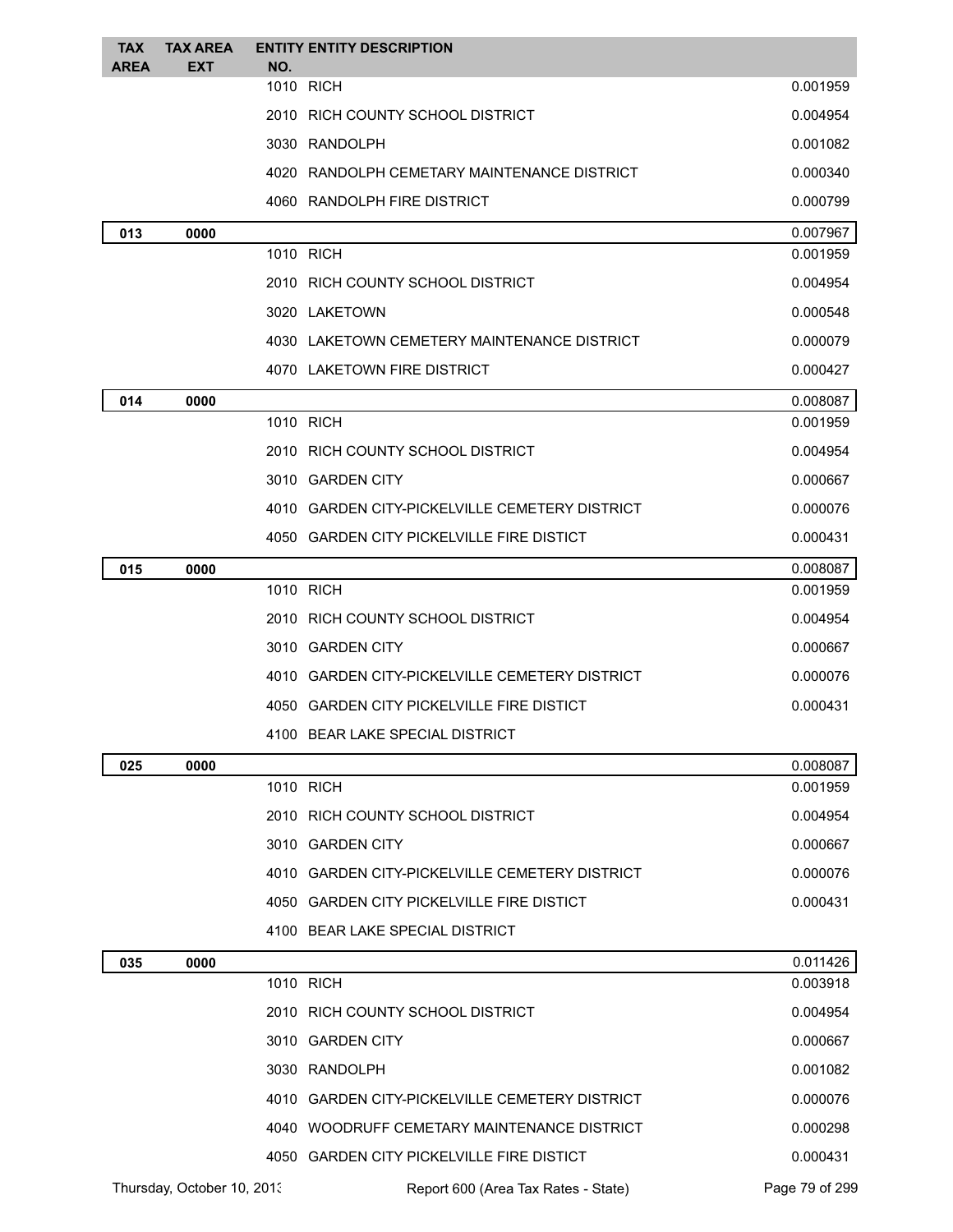| <b>TAX</b>  | <b>TAX AREA</b>            |     | <b>ENTITY ENTITY DESCRIPTION</b>               |                |
|-------------|----------------------------|-----|------------------------------------------------|----------------|
| <b>AREA</b> | <b>EXT</b>                 | NO. | 1010 RICH                                      | 0.001959       |
|             |                            |     | 2010 RICH COUNTY SCHOOL DISTRICT               | 0.004954       |
|             |                            |     | 3030 RANDOLPH                                  | 0.001082       |
|             |                            |     | 4020 RANDOLPH CEMETARY MAINTENANCE DISTRICT    | 0.000340       |
|             |                            |     | 4060 RANDOLPH FIRE DISTRICT                    | 0.000799       |
| 013         | 0000                       |     |                                                | 0.007967       |
|             |                            |     | 1010 RICH                                      | 0.001959       |
|             |                            |     | 2010 RICH COUNTY SCHOOL DISTRICT               | 0.004954       |
|             |                            |     | 3020 LAKETOWN                                  | 0.000548       |
|             |                            |     | 4030 LAKETOWN CEMETERY MAINTENANCE DISTRICT    | 0.000079       |
|             |                            |     | 4070 LAKETOWN FIRE DISTRICT                    | 0.000427       |
| 014         | 0000                       |     |                                                | 0.008087       |
|             |                            |     | 1010 RICH                                      | 0.001959       |
|             |                            |     | 2010 RICH COUNTY SCHOOL DISTRICT               | 0.004954       |
|             |                            |     | 3010 GARDEN CITY                               | 0.000667       |
|             |                            |     | 4010 GARDEN CITY-PICKELVILLE CEMETERY DISTRICT | 0.000076       |
|             |                            |     | 4050 GARDEN CITY PICKELVILLE FIRE DISTICT      | 0.000431       |
| 015         | 0000                       |     |                                                | 0.008087       |
|             |                            |     | 1010 RICH                                      | 0.001959       |
|             |                            |     | 2010 RICH COUNTY SCHOOL DISTRICT               | 0.004954       |
|             |                            |     | 3010 GARDEN CITY                               | 0.000667       |
|             |                            |     | 4010 GARDEN CITY-PICKELVILLE CEMETERY DISTRICT | 0.000076       |
|             |                            |     | 4050 GARDEN CITY PICKELVILLE FIRE DISTICT      | 0.000431       |
|             |                            |     | 4100 BEAR LAKE SPECIAL DISTRICT                |                |
| 025         | 0000                       |     |                                                | 0.008087       |
|             |                            |     | 1010 RICH                                      | 0.001959       |
|             |                            |     | 2010 RICH COUNTY SCHOOL DISTRICT               | 0.004954       |
|             |                            |     | 3010 GARDEN CITY                               | 0.000667       |
|             |                            |     | 4010 GARDEN CITY-PICKELVILLE CEMETERY DISTRICT | 0.000076       |
|             |                            |     | 4050 GARDEN CITY PICKELVILLE FIRE DISTICT      | 0.000431       |
|             |                            |     | 4100 BEAR LAKE SPECIAL DISTRICT                |                |
| 035         | 0000                       |     |                                                | 0.011426       |
|             |                            |     | 1010 RICH                                      | 0.003918       |
|             |                            |     | 2010 RICH COUNTY SCHOOL DISTRICT               | 0.004954       |
|             |                            |     | 3010 GARDEN CITY                               | 0.000667       |
|             |                            |     | 3030 RANDOLPH                                  | 0.001082       |
|             |                            |     | 4010 GARDEN CITY-PICKELVILLE CEMETERY DISTRICT | 0.000076       |
|             |                            |     | 4040 WOODRUFF CEMETARY MAINTENANCE DISTRICT    | 0.000298       |
|             |                            |     | 4050 GARDEN CITY PICKELVILLE FIRE DISTICT      | 0.000431       |
|             | Thursday, October 10, 2013 |     | Report 600 (Area Tax Rates - State)            | Page 79 of 299 |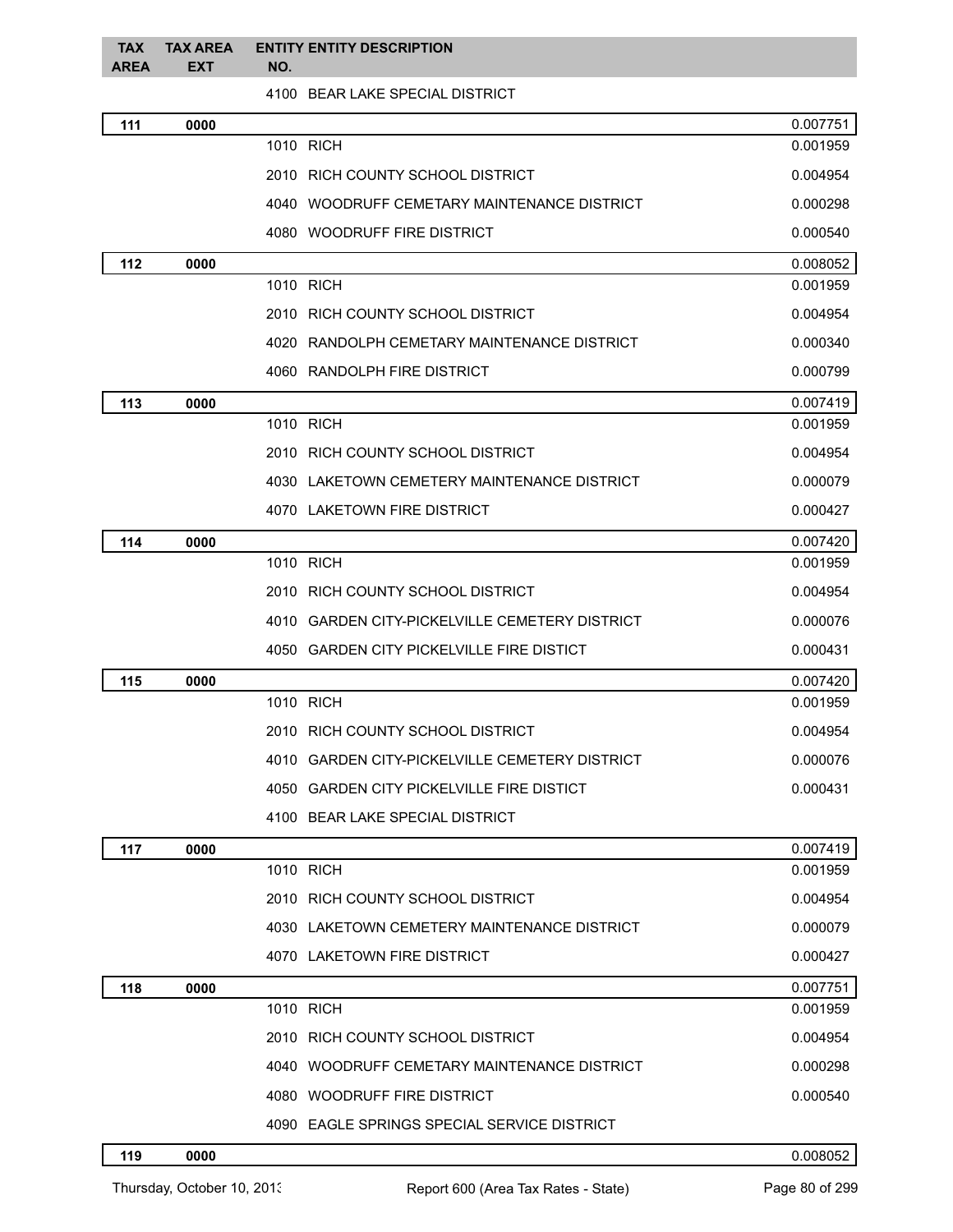| <b>TAX</b><br><b>AREA</b> | <b>TAX AREA</b><br><b>EXT</b> | <b>ENTITY ENTITY DESCRIPTION</b><br>NO.        |          |
|---------------------------|-------------------------------|------------------------------------------------|----------|
|                           |                               | 4100 BEAR LAKE SPECIAL DISTRICT                |          |
| 111                       | 0000                          |                                                | 0.007751 |
|                           |                               | 1010 RICH                                      | 0.001959 |
|                           |                               | 2010 RICH COUNTY SCHOOL DISTRICT               | 0.004954 |
|                           |                               | 4040 WOODRUFF CEMETARY MAINTENANCE DISTRICT    | 0.000298 |
|                           |                               | 4080 WOODRUFF FIRE DISTRICT                    | 0.000540 |
| 112                       | 0000                          |                                                | 0.008052 |
|                           |                               | 1010 RICH                                      | 0.001959 |
|                           |                               | 2010 RICH COUNTY SCHOOL DISTRICT               | 0.004954 |
|                           |                               | 4020 RANDOLPH CEMETARY MAINTENANCE DISTRICT    | 0.000340 |
|                           |                               | 4060 RANDOLPH FIRE DISTRICT                    | 0.000799 |
| 113                       | 0000                          |                                                | 0.007419 |
|                           |                               | 1010 RICH                                      | 0.001959 |
|                           |                               | 2010 RICH COUNTY SCHOOL DISTRICT               | 0.004954 |
|                           |                               | 4030 LAKETOWN CEMETERY MAINTENANCE DISTRICT    | 0.000079 |
|                           |                               | 4070 LAKETOWN FIRE DISTRICT                    | 0.000427 |
| 114                       | 0000                          |                                                | 0.007420 |
|                           |                               | 1010 RICH                                      | 0.001959 |
|                           |                               | 2010 RICH COUNTY SCHOOL DISTRICT               | 0.004954 |
|                           |                               | 4010 GARDEN CITY-PICKELVILLE CEMETERY DISTRICT | 0.000076 |
|                           |                               | 4050 GARDEN CITY PICKELVILLE FIRE DISTICT      | 0.000431 |
| 115                       | 0000                          |                                                | 0.007420 |
|                           |                               | 1010 RICH                                      | 0.001959 |
|                           |                               | 2010 RICH COUNTY SCHOOL DISTRICT               | 0.004954 |
|                           |                               | 4010 GARDEN CITY-PICKELVILLE CEMETERY DISTRICT | 0.000076 |
|                           |                               | 4050 GARDEN CITY PICKELVILLE FIRE DISTICT      | 0.000431 |
|                           |                               | 4100 BEAR LAKE SPECIAL DISTRICT                |          |
| 117                       | 0000                          |                                                | 0.007419 |
|                           |                               | 1010 RICH                                      | 0.001959 |
|                           |                               | 2010 RICH COUNTY SCHOOL DISTRICT               | 0.004954 |
|                           |                               | 4030 LAKETOWN CEMETERY MAINTENANCE DISTRICT    | 0.000079 |
|                           |                               | 4070 LAKETOWN FIRE DISTRICT                    | 0.000427 |
| 118                       | 0000                          |                                                | 0.007751 |
|                           |                               | 1010 RICH                                      | 0.001959 |
|                           |                               | 2010 RICH COUNTY SCHOOL DISTRICT               | 0.004954 |
|                           |                               | 4040 WOODRUFF CEMETARY MAINTENANCE DISTRICT    | 0.000298 |
|                           |                               | 4080 WOODRUFF FIRE DISTRICT                    | 0.000540 |
|                           |                               | 4090 EAGLE SPRINGS SPECIAL SERVICE DISTRICT    |          |

## **0000** 0.008052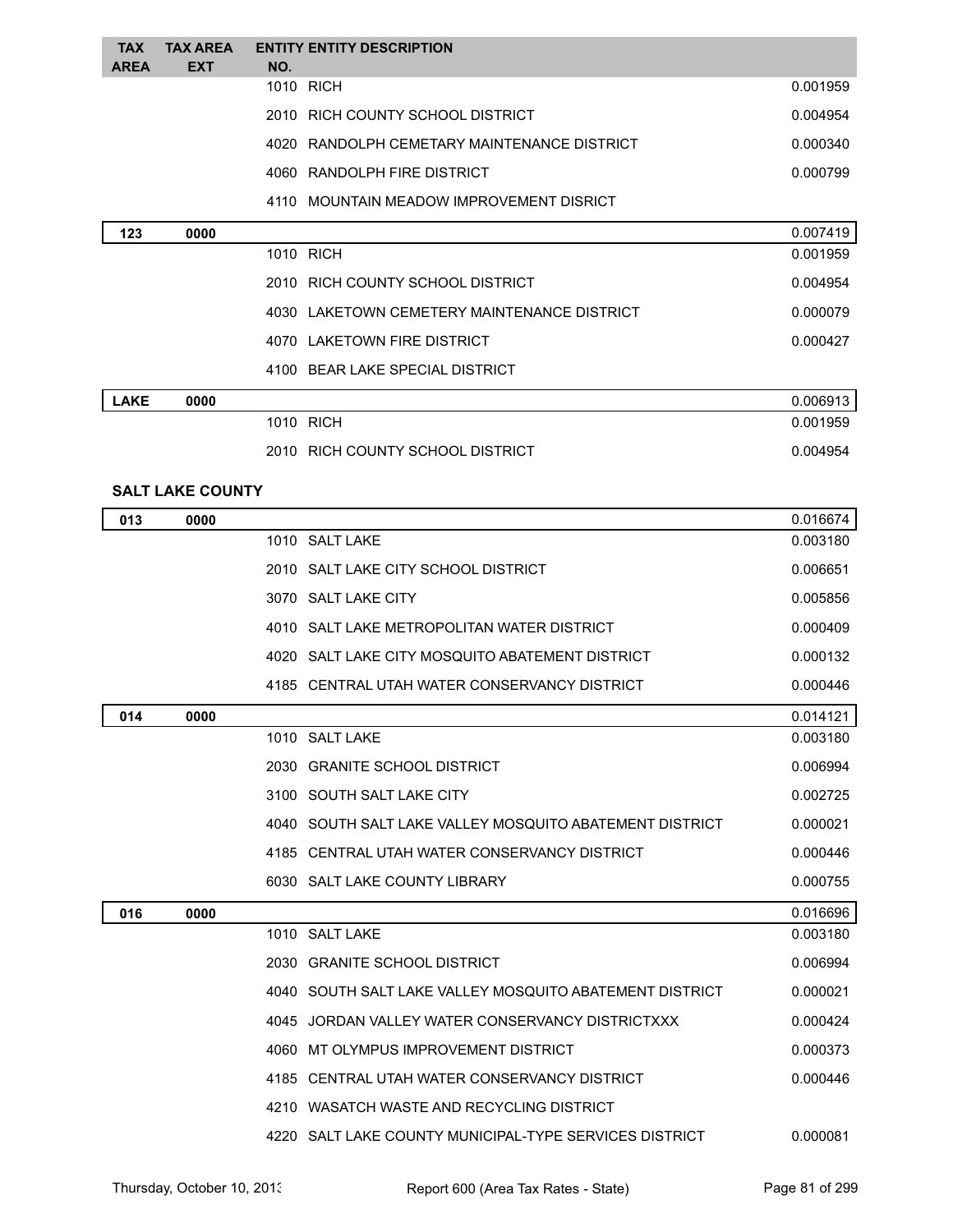| <b>TAX</b><br><b>AREA</b> | <b>TAX AREA</b><br><b>EXT</b> | NO. | <b>ENTITY ENTITY DESCRIPTION</b>                        |          |
|---------------------------|-------------------------------|-----|---------------------------------------------------------|----------|
|                           |                               |     | 1010 RICH                                               | 0.001959 |
|                           |                               |     | 2010 RICH COUNTY SCHOOL DISTRICT                        | 0.004954 |
|                           |                               |     | 4020 RANDOLPH CEMETARY MAINTENANCE DISTRICT             | 0.000340 |
|                           |                               |     | 4060 RANDOLPH FIRE DISTRICT                             | 0.000799 |
|                           |                               |     | 4110 MOUNTAIN MEADOW IMPROVEMENT DISRICT                |          |
| 123                       | 0000                          |     |                                                         | 0.007419 |
|                           |                               |     | 1010 RICH                                               | 0.001959 |
|                           |                               |     | 2010 RICH COUNTY SCHOOL DISTRICT                        | 0.004954 |
|                           |                               |     | 4030 LAKETOWN CEMETERY MAINTENANCE DISTRICT             | 0.000079 |
|                           |                               |     | 4070 LAKETOWN FIRE DISTRICT                             | 0.000427 |
|                           |                               |     | 4100 BEAR LAKE SPECIAL DISTRICT                         |          |
| <b>LAKE</b>               | 0000                          |     |                                                         | 0.006913 |
|                           |                               |     | 1010 RICH                                               | 0.001959 |
|                           |                               |     | 2010 RICH COUNTY SCHOOL DISTRICT                        | 0.004954 |
|                           | <b>SALT LAKE COUNTY</b>       |     |                                                         |          |
| 013                       | 0000                          |     |                                                         | 0.016674 |
|                           |                               |     | 1010 SALT LAKE                                          | 0.003180 |
|                           |                               |     | 2010 SALT LAKE CITY SCHOOL DISTRICT                     | 0.006651 |
|                           |                               |     | 3070 SALT LAKE CITY                                     | 0.005856 |
|                           |                               |     | 4010 SALT LAKE METROPOLITAN WATER DISTRICT              | 0.000409 |
|                           |                               |     | 4020 SALT LAKE CITY MOSQUITO ABATEMENT DISTRICT         | 0.000132 |
|                           |                               |     | 4185 CENTRAL UTAH WATER CONSERVANCY DISTRICT            | 0.000446 |
| 014                       | 0000                          |     |                                                         | 0.014121 |
|                           |                               |     | 1010 SALT LAKE                                          | 0.003180 |
|                           |                               |     | 2030 GRANITE SCHOOL DISTRICT                            | 0.006994 |
|                           |                               |     | 3100 SOUTH SALT LAKE CITY                               | 0.002725 |
|                           |                               |     | 4040 SOUTH SALT LAKE VALLEY MOSQUITO ABATEMENT DISTRICT | 0.000021 |
|                           |                               |     | 4185 CENTRAL UTAH WATER CONSERVANCY DISTRICT            | 0.000446 |
|                           |                               |     | 6030 SALT LAKE COUNTY LIBRARY                           | 0.000755 |
| 016                       | 0000                          |     |                                                         | 0.016696 |
|                           |                               |     | 1010 SALT LAKE                                          | 0.003180 |
|                           |                               |     | 2030 GRANITE SCHOOL DISTRICT                            | 0.006994 |
|                           |                               |     | 4040 SOUTH SALT LAKE VALLEY MOSQUITO ABATEMENT DISTRICT | 0.000021 |
|                           |                               |     | 4045 JORDAN VALLEY WATER CONSERVANCY DISTRICTXXX        | 0.000424 |
|                           |                               |     | 4060 MT OLYMPUS IMPROVEMENT DISTRICT                    | 0.000373 |
|                           |                               |     | 4185 CENTRAL UTAH WATER CONSERVANCY DISTRICT            | 0.000446 |

SALT LAKE COUNTY MUNICIPAL-TYPE SERVICES DISTRICT 0.000081

WASATCH WASTE AND RECYCLING DISTRICT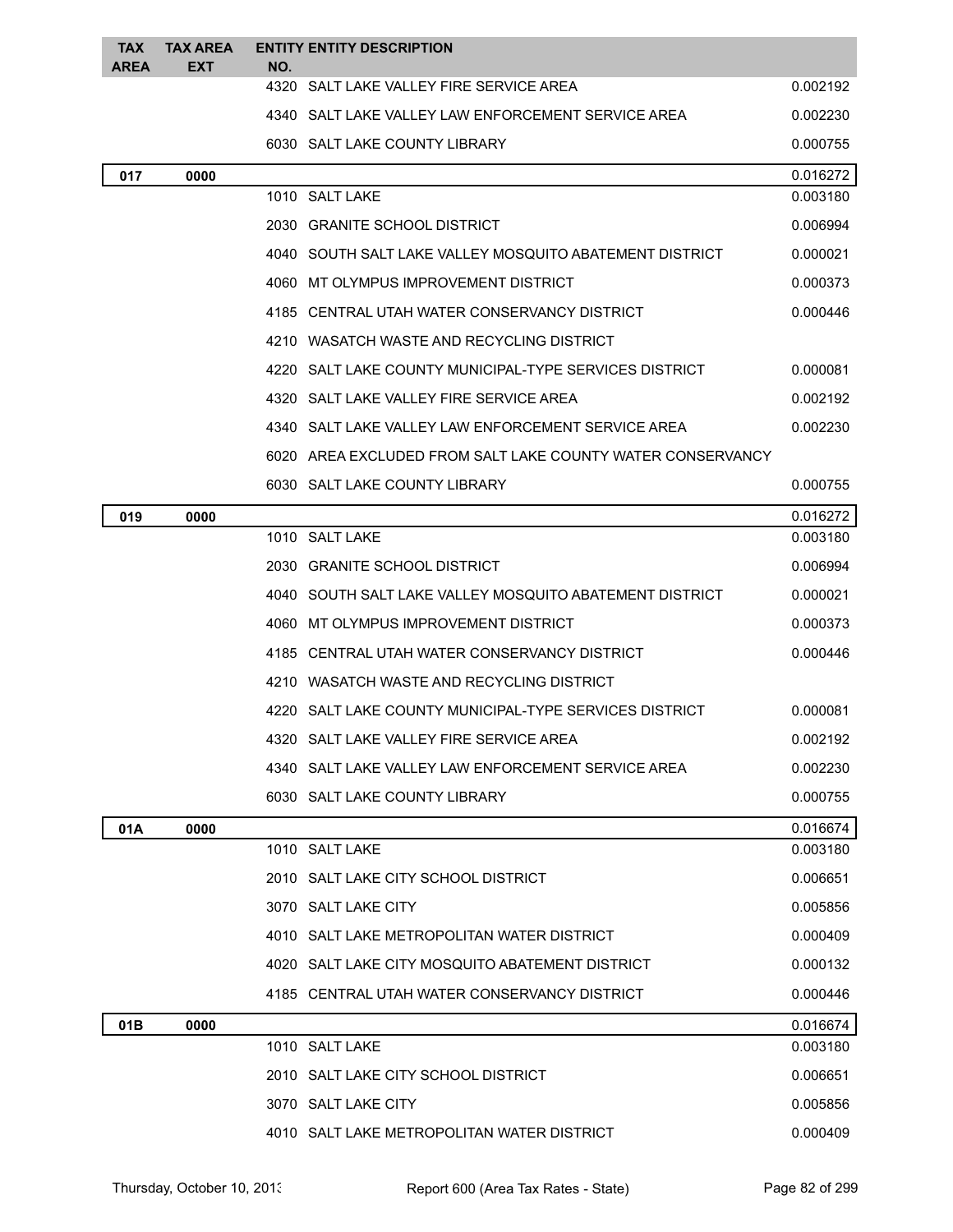| TAX<br><b>AREA</b> | <b>TAX AREA</b><br>EXT | NO. | <b>ENTITY ENTITY DESCRIPTION</b>                           |          |
|--------------------|------------------------|-----|------------------------------------------------------------|----------|
|                    |                        |     | 4320 SALT LAKE VALLEY FIRE SERVICE AREA                    | 0.002192 |
|                    |                        |     | 4340 SALT LAKE VALLEY LAW ENFORCEMENT SERVICE AREA         | 0.002230 |
|                    |                        |     | 6030 SALT LAKE COUNTY LIBRARY                              | 0.000755 |
| 017                | 0000                   |     |                                                            | 0.016272 |
|                    |                        |     | 1010 SALT LAKE                                             | 0.003180 |
|                    |                        |     | 2030 GRANITE SCHOOL DISTRICT                               | 0.006994 |
|                    |                        |     | 4040 SOUTH SALT LAKE VALLEY MOSQUITO ABATEMENT DISTRICT    | 0.000021 |
|                    |                        |     | 4060 MT OLYMPUS IMPROVEMENT DISTRICT                       | 0.000373 |
|                    |                        |     | 4185 CENTRAL UTAH WATER CONSERVANCY DISTRICT               | 0.000446 |
|                    |                        |     | 4210 WASATCH WASTE AND RECYCLING DISTRICT                  |          |
|                    |                        |     | 4220 SALT LAKE COUNTY MUNICIPAL-TYPE SERVICES DISTRICT     | 0.000081 |
|                    |                        |     | 4320 SALT LAKE VALLEY FIRE SERVICE AREA                    | 0.002192 |
|                    |                        |     | 4340 SALT LAKE VALLEY LAW ENFORCEMENT SERVICE AREA         | 0.002230 |
|                    |                        |     | 6020 AREA EXCLUDED FROM SALT LAKE COUNTY WATER CONSERVANCY |          |
|                    |                        |     | 6030 SALT LAKE COUNTY LIBRARY                              | 0.000755 |
| 019                | 0000                   |     |                                                            | 0.016272 |
|                    |                        |     | 1010 SALT LAKE                                             | 0.003180 |
|                    |                        |     | 2030 GRANITE SCHOOL DISTRICT                               | 0.006994 |
|                    |                        |     | 4040 SOUTH SALT LAKE VALLEY MOSQUITO ABATEMENT DISTRICT    | 0.000021 |
|                    |                        |     | 4060 MT OLYMPUS IMPROVEMENT DISTRICT                       | 0.000373 |
|                    |                        |     | 4185 CENTRAL UTAH WATER CONSERVANCY DISTRICT               | 0.000446 |
|                    |                        |     | 4210 WASATCH WASTE AND RECYCLING DISTRICT                  |          |
|                    |                        |     | 4220 SALT LAKE COUNTY MUNICIPAL-TYPE SERVICES DISTRICT     | 0.000081 |
|                    |                        |     | 4320 SALT LAKE VALLEY FIRE SERVICE AREA                    | 0.002192 |
|                    |                        |     | 4340 SALT LAKE VALLEY LAW ENFORCEMENT SERVICE AREA         | 0.002230 |
|                    |                        |     | 6030 SALT LAKE COUNTY LIBRARY                              | 0.000755 |
| 01A                | 0000                   |     |                                                            | 0.016674 |
|                    |                        |     | 1010 SALT LAKE                                             | 0.003180 |
|                    |                        |     | 2010 SALT LAKE CITY SCHOOL DISTRICT                        | 0.006651 |
|                    |                        |     | 3070 SALT LAKE CITY                                        | 0.005856 |
|                    |                        |     | 4010 SALT LAKE METROPOLITAN WATER DISTRICT                 | 0.000409 |
|                    |                        |     | 4020 SALT LAKE CITY MOSQUITO ABATEMENT DISTRICT            | 0.000132 |
|                    |                        |     | 4185 CENTRAL UTAH WATER CONSERVANCY DISTRICT               | 0.000446 |
| 01B                | 0000                   |     |                                                            | 0.016674 |
|                    |                        |     | 1010 SALT LAKE                                             | 0.003180 |
|                    |                        |     | 2010 SALT LAKE CITY SCHOOL DISTRICT                        | 0.006651 |
|                    |                        |     | 3070 SALT LAKE CITY                                        | 0.005856 |
|                    |                        |     | 4010 SALT LAKE METROPOLITAN WATER DISTRICT                 | 0.000409 |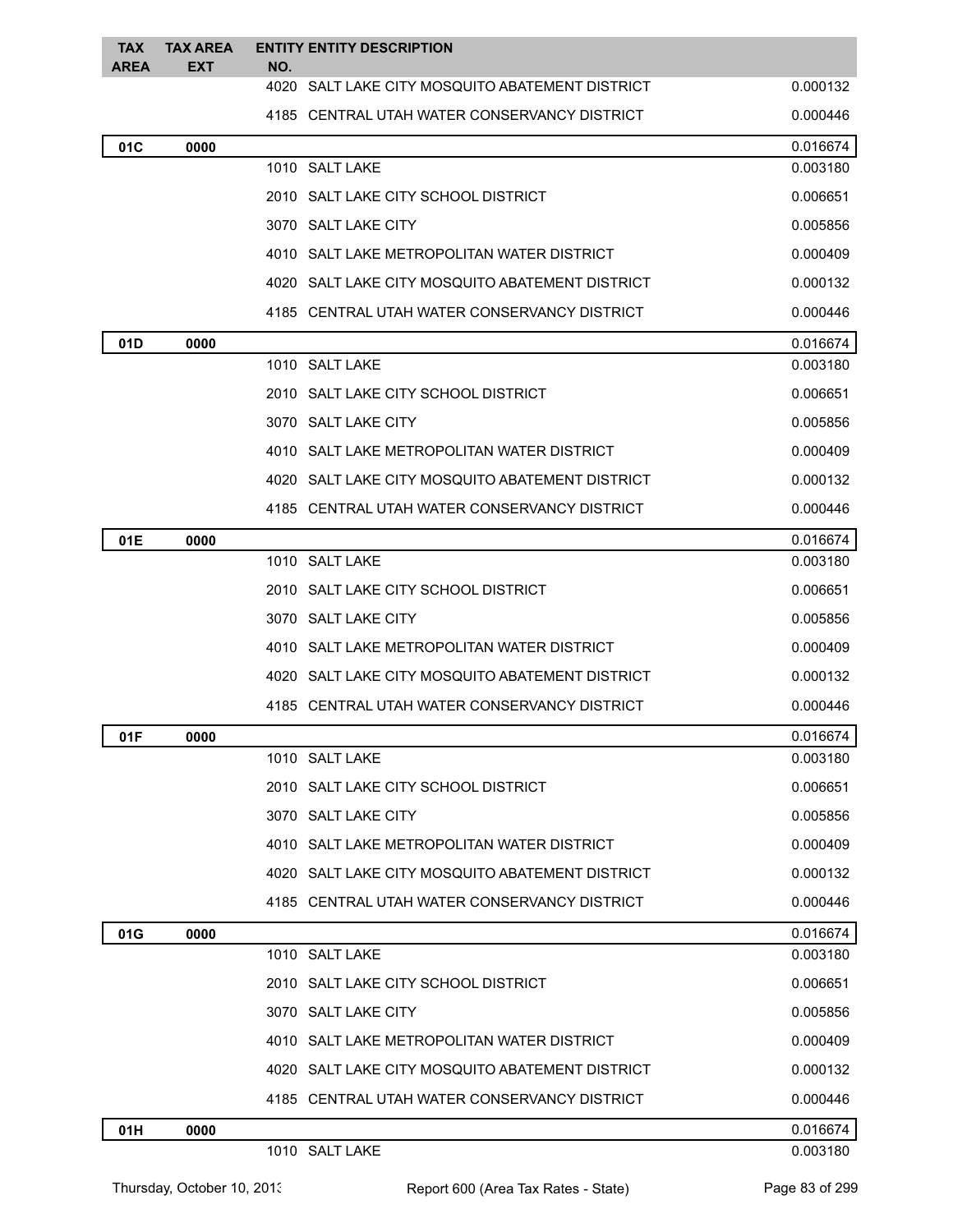| <b>TAX</b><br><b>AREA</b> | <b>TAX AREA</b><br><b>EXT</b> | <b>ENTITY ENTITY DESCRIPTION</b><br>NO.         |          |
|---------------------------|-------------------------------|-------------------------------------------------|----------|
|                           |                               | 4020 SALT LAKE CITY MOSQUITO ABATEMENT DISTRICT | 0.000132 |
|                           |                               | 4185 CENTRAL UTAH WATER CONSERVANCY DISTRICT    | 0.000446 |
| 01C                       | 0000                          |                                                 | 0.016674 |
|                           |                               | 1010 SALT LAKE                                  | 0.003180 |
|                           |                               | 2010 SALT LAKE CITY SCHOOL DISTRICT             | 0.006651 |
|                           |                               | 3070 SALT LAKE CITY                             | 0.005856 |
|                           |                               | 4010 SALT LAKE METROPOLITAN WATER DISTRICT      | 0.000409 |
|                           |                               | 4020 SALT LAKE CITY MOSQUITO ABATEMENT DISTRICT | 0.000132 |
|                           |                               | 4185 CENTRAL UTAH WATER CONSERVANCY DISTRICT    | 0.000446 |
| 01D                       | 0000                          |                                                 | 0.016674 |
|                           |                               | 1010 SALT LAKE                                  | 0.003180 |
|                           |                               | 2010 SALT LAKE CITY SCHOOL DISTRICT             | 0.006651 |
|                           |                               | 3070 SALT LAKE CITY                             | 0.005856 |
|                           |                               | 4010 SALT LAKE METROPOLITAN WATER DISTRICT      | 0.000409 |
|                           |                               | 4020 SALT LAKE CITY MOSQUITO ABATEMENT DISTRICT | 0.000132 |
|                           |                               | 4185 CENTRAL UTAH WATER CONSERVANCY DISTRICT    | 0.000446 |
| 01E                       | 0000                          |                                                 | 0.016674 |
|                           |                               | 1010 SALT LAKE                                  | 0.003180 |
|                           |                               | 2010 SALT LAKE CITY SCHOOL DISTRICT             | 0.006651 |
|                           |                               | 3070 SALT LAKE CITY                             | 0.005856 |
|                           |                               | 4010 SALT LAKE METROPOLITAN WATER DISTRICT      | 0.000409 |
|                           |                               | 4020 SALT LAKE CITY MOSQUITO ABATEMENT DISTRICT | 0.000132 |
|                           |                               | 4185 CENTRAL UTAH WATER CONSERVANCY DISTRICT    | 0.000446 |
| 01F                       | 0000                          |                                                 | 0.016674 |
|                           |                               | 1010 SALT LAKE                                  | 0.003180 |
|                           |                               | 2010 SALT LAKE CITY SCHOOL DISTRICT             | 0.006651 |
|                           |                               | 3070 SALT LAKE CITY                             | 0.005856 |
|                           |                               | 4010 SALT LAKE METROPOLITAN WATER DISTRICT      | 0.000409 |
|                           |                               | 4020 SALT LAKE CITY MOSQUITO ABATEMENT DISTRICT | 0.000132 |
|                           |                               | 4185 CENTRAL UTAH WATER CONSERVANCY DISTRICT    | 0.000446 |
| 01G                       | 0000                          |                                                 | 0.016674 |
|                           |                               | 1010 SALT LAKE                                  | 0.003180 |
|                           |                               | 2010 SALT LAKE CITY SCHOOL DISTRICT             | 0.006651 |
|                           |                               | 3070 SALT LAKE CITY                             | 0.005856 |
|                           |                               | 4010 SALT LAKE METROPOLITAN WATER DISTRICT      | 0.000409 |
|                           |                               | 4020 SALT LAKE CITY MOSQUITO ABATEMENT DISTRICT | 0.000132 |
|                           |                               | 4185 CENTRAL UTAH WATER CONSERVANCY DISTRICT    | 0.000446 |
| 01H                       | 0000                          |                                                 | 0.016674 |
|                           |                               | 1010 SALT LAKE                                  | 0.003180 |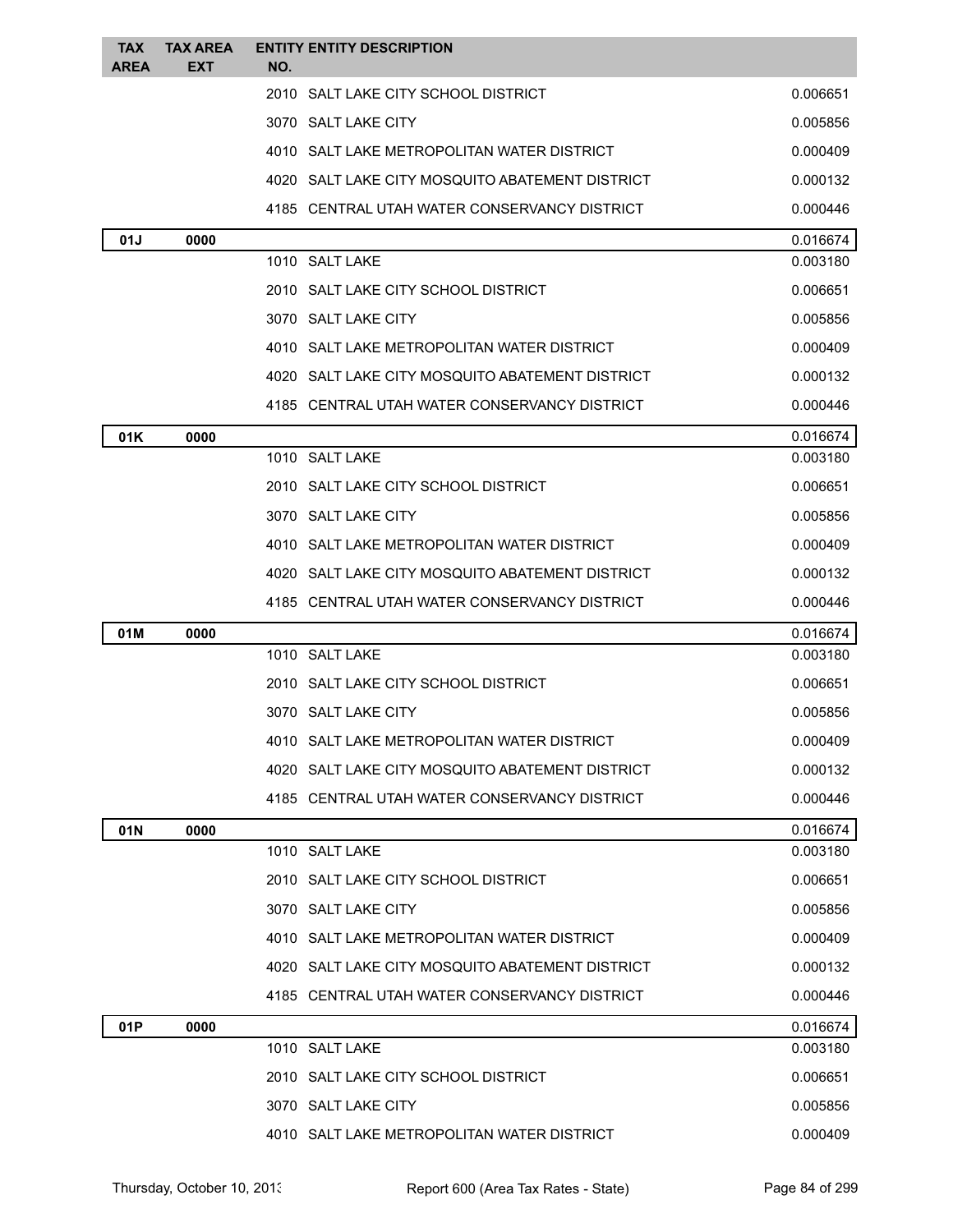| <b>TAX</b><br><b>AREA</b> | <b>TAX AREA</b><br>EXT | <b>ENTITY ENTITY DESCRIPTION</b><br>NO.         |          |
|---------------------------|------------------------|-------------------------------------------------|----------|
|                           |                        | 2010 SALT LAKE CITY SCHOOL DISTRICT             | 0.006651 |
|                           |                        | 3070 SALT LAKE CITY                             | 0.005856 |
|                           |                        | 4010 SALT LAKE METROPOLITAN WATER DISTRICT      | 0.000409 |
|                           |                        | 4020 SALT LAKE CITY MOSQUITO ABATEMENT DISTRICT | 0.000132 |
|                           |                        | 4185 CENTRAL UTAH WATER CONSERVANCY DISTRICT    | 0.000446 |
| 01J                       | 0000                   |                                                 | 0.016674 |
|                           |                        | 1010 SALT LAKE                                  | 0.003180 |
|                           |                        | 2010 SALT LAKE CITY SCHOOL DISTRICT             | 0.006651 |
|                           |                        | 3070 SALT LAKE CITY                             | 0.005856 |
|                           |                        | 4010 SALT LAKE METROPOLITAN WATER DISTRICT      | 0.000409 |
|                           |                        | 4020 SALT LAKE CITY MOSQUITO ABATEMENT DISTRICT | 0.000132 |
|                           |                        | 4185 CENTRAL UTAH WATER CONSERVANCY DISTRICT    | 0.000446 |
| 01K                       | 0000                   |                                                 | 0.016674 |
|                           |                        | 1010 SALT LAKE                                  | 0.003180 |
|                           |                        | 2010 SALT LAKE CITY SCHOOL DISTRICT             | 0.006651 |
|                           |                        | 3070 SALT LAKE CITY                             | 0.005856 |
|                           |                        | 4010 SALT LAKE METROPOLITAN WATER DISTRICT      | 0.000409 |
|                           |                        | 4020 SALT LAKE CITY MOSQUITO ABATEMENT DISTRICT | 0.000132 |
|                           |                        | 4185 CENTRAL UTAH WATER CONSERVANCY DISTRICT    | 0.000446 |
| 01M                       | 0000                   |                                                 | 0.016674 |
|                           |                        | 1010 SALT LAKE                                  | 0.003180 |
|                           |                        | 2010 SALT LAKE CITY SCHOOL DISTRICT             | 0.006651 |
|                           |                        | 3070 SALT LAKE CITY                             | 0.005856 |
|                           |                        | 4010 SALT LAKE METROPOLITAN WATER DISTRICT      | 0.000409 |
|                           |                        | 4020 SALT LAKE CITY MOSQUITO ABATEMENT DISTRICT | 0.000132 |
|                           |                        | 4185 CENTRAL UTAH WATER CONSERVANCY DISTRICT    | 0.000446 |
| 01N                       | 0000                   |                                                 | 0.016674 |
|                           |                        | 1010 SALT LAKE                                  | 0.003180 |
|                           |                        | 2010 SALT LAKE CITY SCHOOL DISTRICT             | 0.006651 |
|                           |                        | 3070 SALT LAKE CITY                             | 0.005856 |
|                           |                        | 4010 SALT LAKE METROPOLITAN WATER DISTRICT      | 0.000409 |
|                           |                        | 4020 SALT LAKE CITY MOSQUITO ABATEMENT DISTRICT | 0.000132 |
|                           |                        | 4185 CENTRAL UTAH WATER CONSERVANCY DISTRICT    | 0.000446 |
| 01P                       | 0000                   |                                                 | 0.016674 |
|                           |                        | 1010 SALT LAKE                                  | 0.003180 |
|                           |                        | 2010 SALT LAKE CITY SCHOOL DISTRICT             | 0.006651 |
|                           |                        | 3070 SALT LAKE CITY                             | 0.005856 |
|                           |                        | 4010 SALT LAKE METROPOLITAN WATER DISTRICT      | 0.000409 |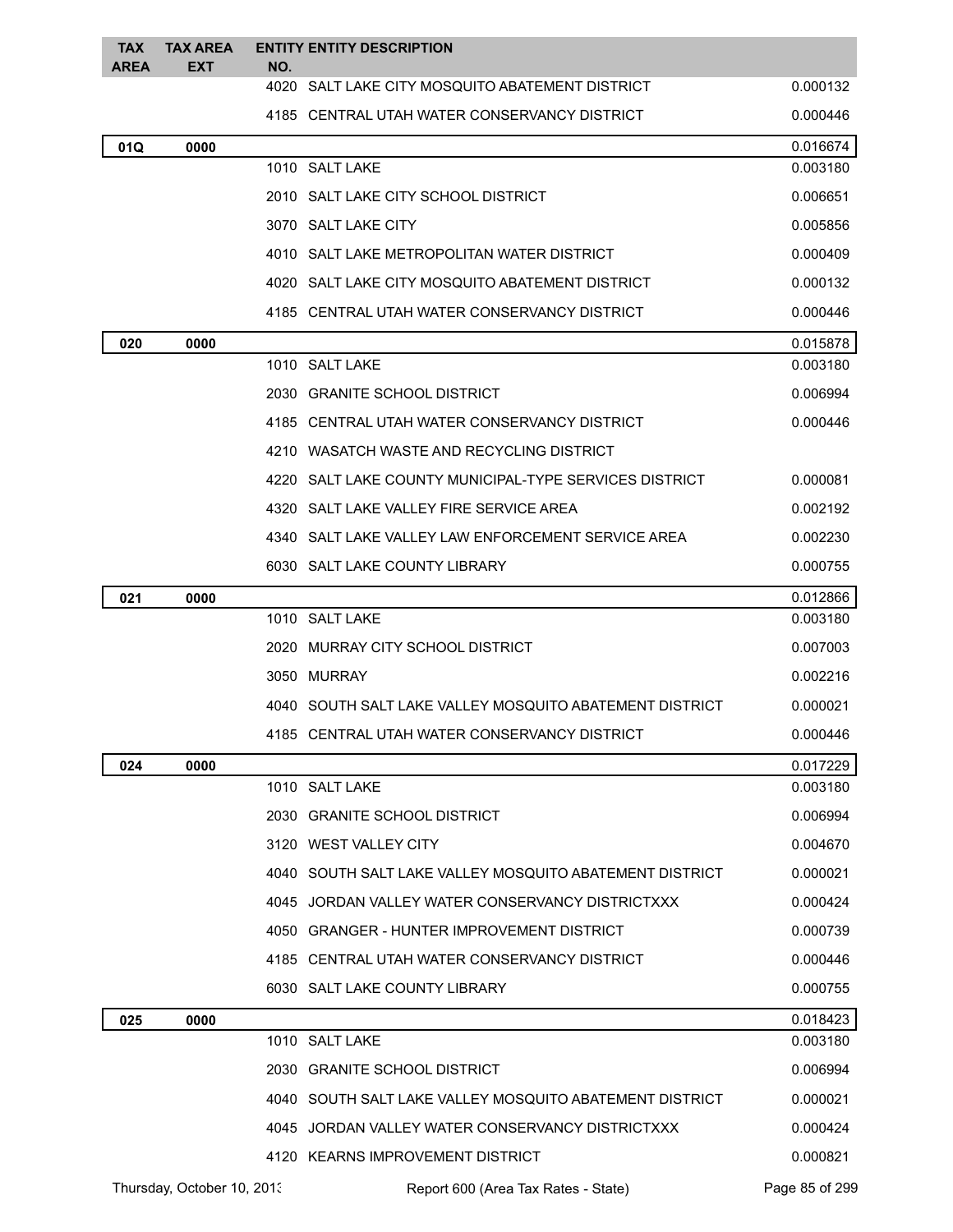| <b>TAX</b><br><b>AREA</b> | <b>TAX AREA</b><br><b>EXT</b> | NO. | <b>ENTITY ENTITY DESCRIPTION</b>                        |                |
|---------------------------|-------------------------------|-----|---------------------------------------------------------|----------------|
|                           |                               |     | 4020 SALT LAKE CITY MOSQUITO ABATEMENT DISTRICT         | 0.000132       |
|                           |                               |     | 4185 CENTRAL UTAH WATER CONSERVANCY DISTRICT            | 0.000446       |
| 01Q                       | 0000                          |     |                                                         | 0.016674       |
|                           |                               |     | 1010 SALT LAKE                                          | 0.003180       |
|                           |                               |     | 2010 SALT LAKE CITY SCHOOL DISTRICT                     | 0.006651       |
|                           |                               |     | 3070 SALT LAKE CITY                                     | 0.005856       |
|                           |                               |     | 4010 SALT LAKE METROPOLITAN WATER DISTRICT              | 0.000409       |
|                           |                               |     | 4020 SALT LAKE CITY MOSQUITO ABATEMENT DISTRICT         | 0.000132       |
|                           |                               |     | 4185 CENTRAL UTAH WATER CONSERVANCY DISTRICT            | 0.000446       |
| 020                       | 0000                          |     |                                                         | 0.015878       |
|                           |                               |     | 1010 SALT LAKE                                          | 0.003180       |
|                           |                               |     | 2030 GRANITE SCHOOL DISTRICT                            | 0.006994       |
|                           |                               |     | 4185 CENTRAL UTAH WATER CONSERVANCY DISTRICT            | 0.000446       |
|                           |                               |     | 4210 WASATCH WASTE AND RECYCLING DISTRICT               |                |
|                           |                               |     | 4220 SALT LAKE COUNTY MUNICIPAL-TYPE SERVICES DISTRICT  | 0.000081       |
|                           |                               |     | 4320 SALT LAKE VALLEY FIRE SERVICE AREA                 | 0.002192       |
|                           |                               |     | 4340 SALT LAKE VALLEY LAW ENFORCEMENT SERVICE AREA      | 0.002230       |
|                           |                               |     | 6030 SALT LAKE COUNTY LIBRARY                           | 0.000755       |
| 021                       | 0000                          |     |                                                         | 0.012866       |
|                           |                               |     | 1010 SALT LAKE                                          | 0.003180       |
|                           |                               |     | 2020 MURRAY CITY SCHOOL DISTRICT                        | 0.007003       |
|                           |                               |     | 3050 MURRAY                                             | 0.002216       |
|                           |                               |     | 4040 SOUTH SALT LAKE VALLEY MOSQUITO ABATEMENT DISTRICT | 0.000021       |
|                           |                               |     | 4185 CENTRAL UTAH WATER CONSERVANCY DISTRICT            | 0.000446       |
| 024                       | 0000                          |     |                                                         | 0.017229       |
|                           |                               |     | 1010 SALT LAKE                                          | 0.003180       |
|                           |                               |     | 2030 GRANITE SCHOOL DISTRICT                            | 0.006994       |
|                           |                               |     | 3120 WEST VALLEY CITY                                   | 0.004670       |
|                           |                               |     | 4040 SOUTH SALT LAKE VALLEY MOSQUITO ABATEMENT DISTRICT | 0.000021       |
|                           |                               |     | 4045 JORDAN VALLEY WATER CONSERVANCY DISTRICTXXX        | 0.000424       |
|                           |                               |     | 4050 GRANGER - HUNTER IMPROVEMENT DISTRICT              | 0.000739       |
|                           |                               |     | 4185 CENTRAL UTAH WATER CONSERVANCY DISTRICT            | 0.000446       |
|                           |                               |     | 6030 SALT LAKE COUNTY LIBRARY                           | 0.000755       |
| 025                       | 0000                          |     |                                                         | 0.018423       |
|                           |                               |     | 1010 SALT LAKE                                          | 0.003180       |
|                           |                               |     | 2030 GRANITE SCHOOL DISTRICT                            | 0.006994       |
|                           |                               |     | 4040 SOUTH SALT LAKE VALLEY MOSQUITO ABATEMENT DISTRICT | 0.000021       |
|                           |                               |     | 4045 JORDAN VALLEY WATER CONSERVANCY DISTRICTXXX        | 0.000424       |
|                           |                               |     | 4120 KEARNS IMPROVEMENT DISTRICT                        | 0.000821       |
|                           | Thursday, October 10, 2013    |     | Report 600 (Area Tax Rates - State)                     | Page 85 of 299 |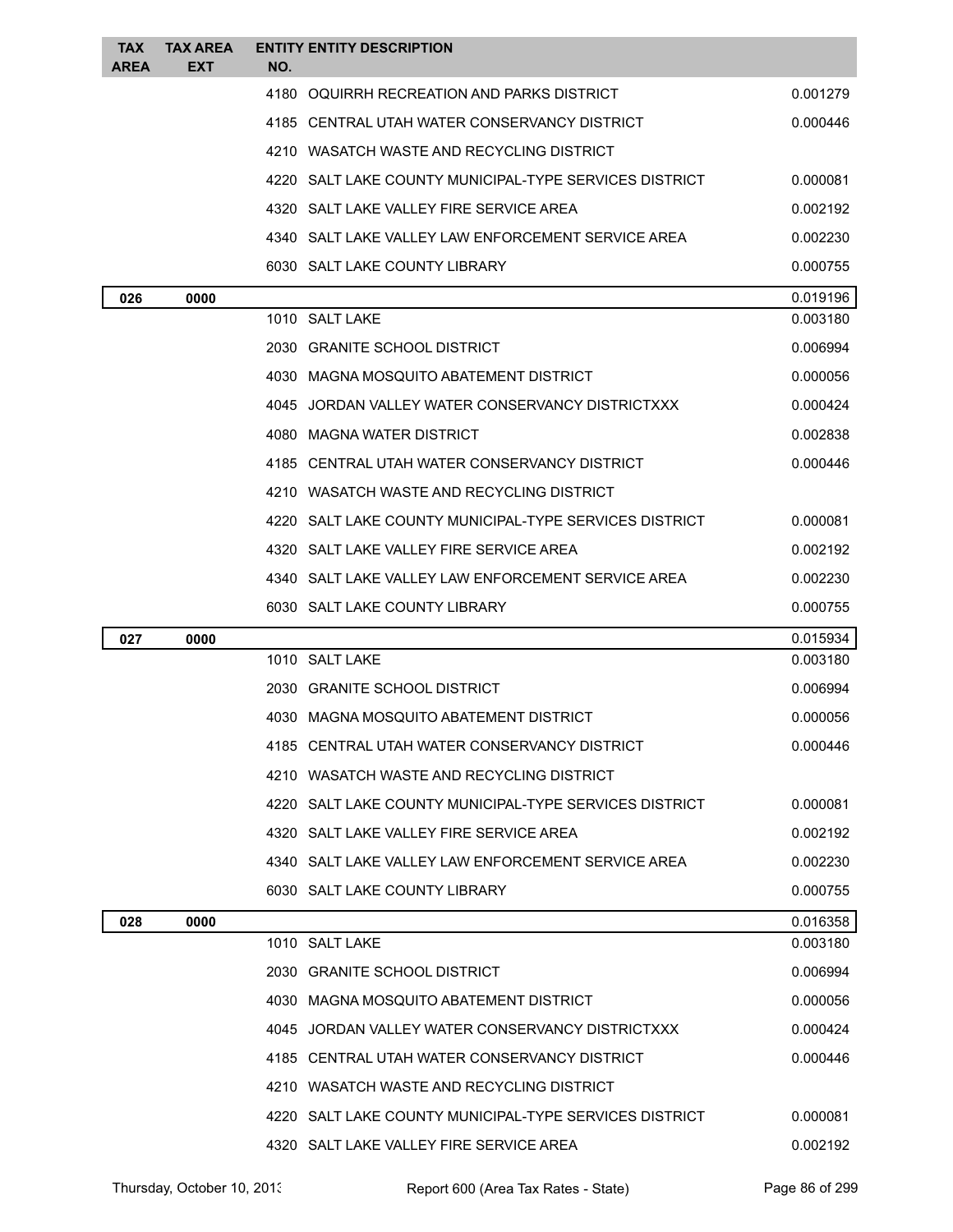| <b>TAX</b><br><b>AREA</b> | <b>TAX AREA</b><br>EXT | NO.  | <b>ENTITY ENTITY DESCRIPTION</b>                       |                      |
|---------------------------|------------------------|------|--------------------------------------------------------|----------------------|
|                           |                        | 4180 | OQUIRRH RECREATION AND PARKS DISTRICT                  | 0.001279             |
|                           |                        |      | 4185 CENTRAL UTAH WATER CONSERVANCY DISTRICT           | 0.000446             |
|                           |                        |      | 4210 WASATCH WASTE AND RECYCLING DISTRICT              |                      |
|                           |                        |      | 4220 SALT LAKE COUNTY MUNICIPAL-TYPE SERVICES DISTRICT | 0.000081             |
|                           |                        |      | 4320 SALT LAKE VALLEY FIRE SERVICE AREA                | 0.002192             |
|                           |                        |      | 4340 SALT LAKE VALLEY LAW ENFORCEMENT SERVICE AREA     | 0.002230             |
|                           |                        |      | 6030 SALT LAKE COUNTY LIBRARY                          | 0.000755             |
| 026                       | 0000                   |      |                                                        | 0.019196             |
|                           |                        |      | 1010 SALT LAKE                                         | 0.003180             |
|                           |                        |      | 2030 GRANITE SCHOOL DISTRICT                           | 0.006994             |
|                           |                        |      | 4030 MAGNA MOSQUITO ABATEMENT DISTRICT                 | 0.000056             |
|                           |                        |      | 4045 JORDAN VALLEY WATER CONSERVANCY DISTRICTXXX       | 0.000424             |
|                           |                        |      | 4080 MAGNA WATER DISTRICT                              | 0.002838             |
|                           |                        |      | 4185 CENTRAL UTAH WATER CONSERVANCY DISTRICT           | 0.000446             |
|                           |                        |      | 4210 WASATCH WASTE AND RECYCLING DISTRICT              |                      |
|                           |                        | 4220 | SALT LAKE COUNTY MUNICIPAL-TYPE SERVICES DISTRICT      | 0.000081             |
|                           |                        |      | 4320 SALT LAKE VALLEY FIRE SERVICE AREA                | 0.002192             |
|                           |                        |      | 4340 SALT LAKE VALLEY LAW ENFORCEMENT SERVICE AREA     | 0.002230             |
|                           |                        |      |                                                        |                      |
|                           |                        |      | 6030 SALT LAKE COUNTY LIBRARY                          | 0.000755             |
| 027                       | 0000                   |      |                                                        | 0.015934             |
|                           |                        |      | 1010 SALT LAKE                                         | 0.003180             |
|                           |                        |      | 2030 GRANITE SCHOOL DISTRICT                           | 0.006994             |
|                           |                        |      | 4030 MAGNA MOSQUITO ABATEMENT DISTRICT                 | 0.000056             |
|                           |                        |      | 4185 CENTRAL UTAH WATER CONSERVANCY DISTRICT           | 0.000446             |
|                           |                        |      | 4210 WASATCH WASTE AND RECYCLING DISTRICT              |                      |
|                           |                        |      | 4220 SALT LAKE COUNTY MUNICIPAL-TYPE SERVICES DISTRICT | 0.000081             |
|                           |                        |      | 4320 SALT LAKE VALLEY FIRE SERVICE AREA                | 0.002192             |
|                           |                        |      | 4340 SALT LAKE VALLEY LAW ENFORCEMENT SERVICE AREA     | 0.002230             |
|                           |                        |      | 6030 SALT LAKE COUNTY LIBRARY                          | 0.000755             |
| 028                       | 0000                   |      |                                                        | 0.016358             |
|                           |                        |      | 1010 SALT LAKE                                         | 0.003180             |
|                           |                        |      | 2030 GRANITE SCHOOL DISTRICT                           | 0.006994             |
|                           |                        |      | 4030 MAGNA MOSQUITO ABATEMENT DISTRICT                 | 0.000056             |
|                           |                        |      | 4045 JORDAN VALLEY WATER CONSERVANCY DISTRICTXXX       | 0.000424             |
|                           |                        |      | 4185 CENTRAL UTAH WATER CONSERVANCY DISTRICT           | 0.000446             |
|                           |                        |      | 4210 WASATCH WASTE AND RECYCLING DISTRICT              |                      |
|                           |                        |      | 4220 SALT LAKE COUNTY MUNICIPAL-TYPE SERVICES DISTRICT | 0.000081<br>0.002192 |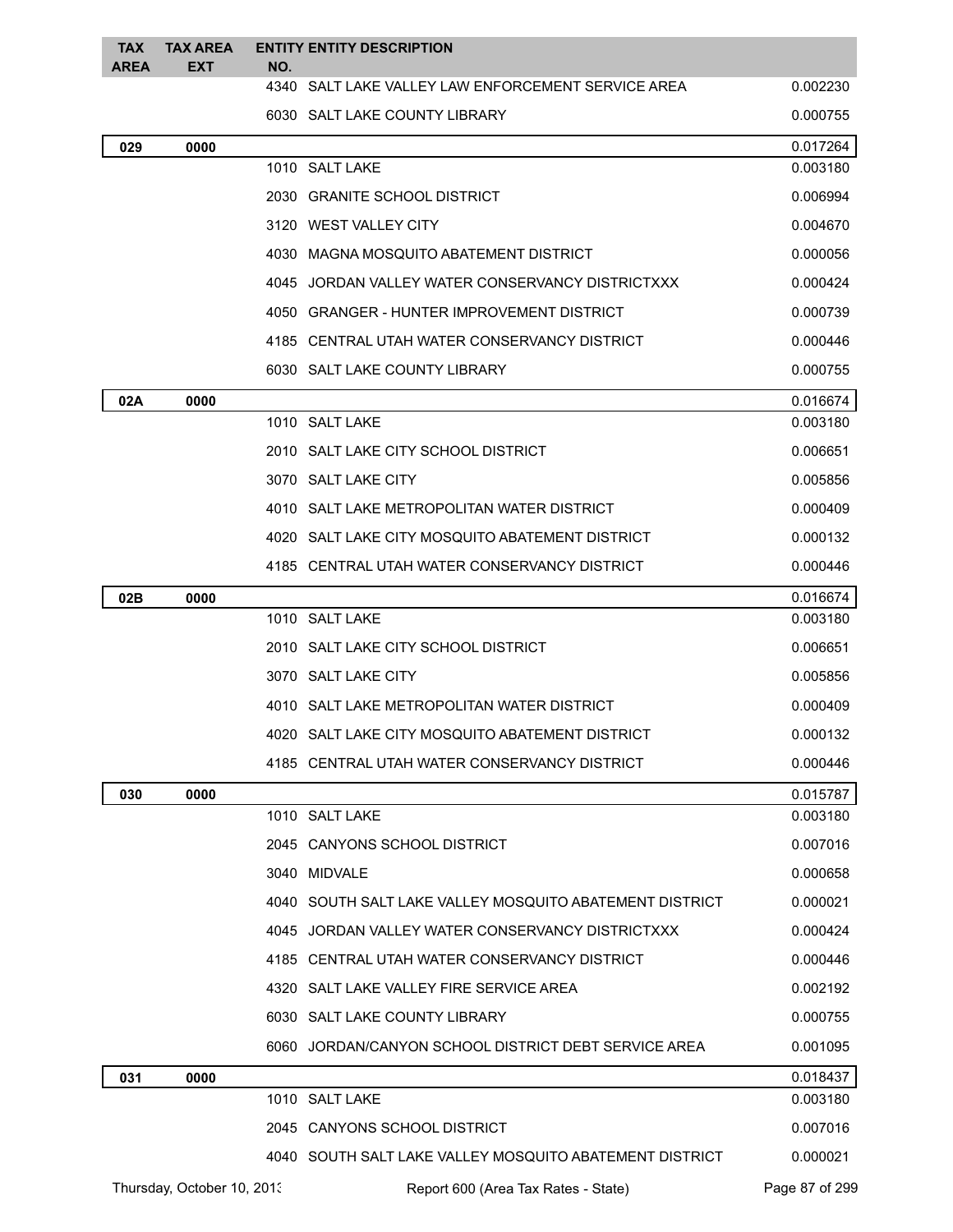| <b>TAX</b><br><b>AREA</b> | TAX AREA<br><b>EXT</b>     | NO. | <b>ENTITY ENTITY DESCRIPTION</b>                        |                      |
|---------------------------|----------------------------|-----|---------------------------------------------------------|----------------------|
|                           |                            |     | 4340 SALT LAKE VALLEY LAW ENFORCEMENT SERVICE AREA      | 0.002230             |
|                           |                            |     | 6030 SALT LAKE COUNTY LIBRARY                           | 0.000755             |
| 029                       | 0000                       |     |                                                         | 0.017264             |
|                           |                            |     | 1010 SALT LAKE                                          | 0.003180             |
|                           |                            |     | 2030 GRANITE SCHOOL DISTRICT                            | 0.006994             |
|                           |                            |     | 3120 WEST VALLEY CITY                                   | 0.004670             |
|                           |                            |     | 4030 MAGNA MOSQUITO ABATEMENT DISTRICT                  | 0.000056             |
|                           |                            |     | 4045 JORDAN VALLEY WATER CONSERVANCY DISTRICTXXX        | 0.000424             |
|                           |                            |     | 4050 GRANGER - HUNTER IMPROVEMENT DISTRICT              | 0.000739             |
|                           |                            |     | 4185 CENTRAL UTAH WATER CONSERVANCY DISTRICT            | 0.000446             |
|                           |                            |     | 6030 SALT LAKE COUNTY LIBRARY                           | 0.000755             |
| 02A                       | 0000                       |     |                                                         | 0.016674             |
|                           |                            |     | 1010 SALT LAKE                                          | 0.003180             |
|                           |                            |     | 2010 SALT LAKE CITY SCHOOL DISTRICT                     | 0.006651             |
|                           |                            |     | 3070 SALT LAKE CITY                                     | 0.005856             |
|                           |                            |     | 4010 SALT LAKE METROPOLITAN WATER DISTRICT              | 0.000409             |
|                           |                            |     | 4020 SALT LAKE CITY MOSQUITO ABATEMENT DISTRICT         | 0.000132             |
|                           |                            |     | 4185 CENTRAL UTAH WATER CONSERVANCY DISTRICT            | 0.000446             |
| 02B                       | 0000                       |     |                                                         | 0.016674             |
|                           |                            |     | 1010 SALT LAKE                                          | 0.003180             |
|                           |                            |     | 2010 SALT LAKE CITY SCHOOL DISTRICT                     | 0.006651             |
|                           |                            |     | 3070 SALT LAKE CITY                                     | 0.005856             |
|                           |                            |     | 4010 SALT LAKE METROPOLITAN WATER DISTRICT              | 0.000409             |
|                           |                            |     | 4020 SALT LAKE CITY MOSQUITO ABATEMENT DISTRICT         | 0.000132             |
|                           |                            |     | 4185 CENTRAL UTAH WATER CONSERVANCY DISTRICT            | 0.000446             |
| 030                       | 0000                       |     | 1010 SALT LAKE                                          | 0.015787<br>0.003180 |
|                           |                            |     | 2045 CANYONS SCHOOL DISTRICT                            | 0.007016             |
|                           |                            |     |                                                         |                      |
|                           |                            |     | 3040 MIDVALE                                            | 0.000658<br>0.000021 |
|                           |                            |     | 4040 SOUTH SALT LAKE VALLEY MOSQUITO ABATEMENT DISTRICT |                      |
|                           |                            |     | 4045 JORDAN VALLEY WATER CONSERVANCY DISTRICTXXX        | 0.000424             |
|                           |                            |     | 4185 CENTRAL UTAH WATER CONSERVANCY DISTRICT            | 0.000446             |
|                           |                            |     | 4320 SALT LAKE VALLEY FIRE SERVICE AREA                 | 0.002192             |
|                           |                            |     | 6030 SALT LAKE COUNTY LIBRARY                           | 0.000755             |
|                           |                            |     | 6060 JORDAN/CANYON SCHOOL DISTRICT DEBT SERVICE AREA    | 0.001095             |
| 031                       | 0000                       |     | 1010 SALT LAKE                                          | 0.018437<br>0.003180 |
|                           |                            |     | 2045 CANYONS SCHOOL DISTRICT                            | 0.007016             |
|                           |                            |     | 4040 SOUTH SALT LAKE VALLEY MOSQUITO ABATEMENT DISTRICT | 0.000021             |
|                           | Thursday, October 10, 2013 |     | Report 600 (Area Tax Rates - State)                     | Page 87 of 299       |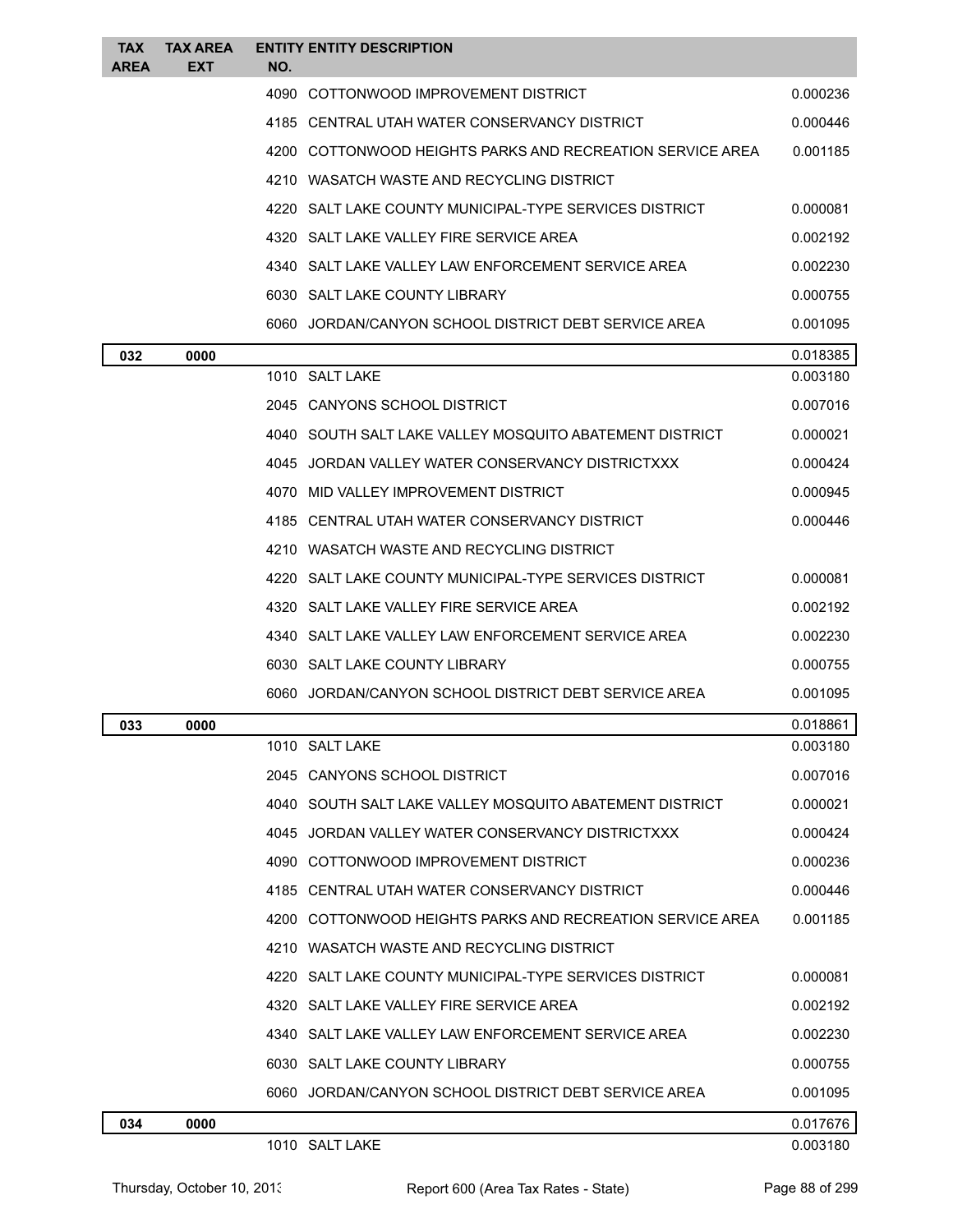| TAX<br><b>AREA</b> | <b>TAX AREA</b><br>EXT | NO. | <b>ENTITY ENTITY DESCRIPTION</b>                          |                      |
|--------------------|------------------------|-----|-----------------------------------------------------------|----------------------|
|                    |                        |     | 4090 COTTONWOOD IMPROVEMENT DISTRICT                      | 0.000236             |
|                    |                        |     | 4185 CENTRAL UTAH WATER CONSERVANCY DISTRICT              | 0.000446             |
|                    |                        |     | 4200 COTTONWOOD HEIGHTS PARKS AND RECREATION SERVICE AREA | 0.001185             |
|                    |                        |     | 4210 WASATCH WASTE AND RECYCLING DISTRICT                 |                      |
|                    |                        |     | 4220 SALT LAKE COUNTY MUNICIPAL-TYPE SERVICES DISTRICT    | 0.000081             |
|                    |                        |     | 4320 SALT LAKE VALLEY FIRE SERVICE AREA                   | 0.002192             |
|                    |                        |     | 4340 SALT LAKE VALLEY LAW ENFORCEMENT SERVICE AREA        | 0.002230             |
|                    |                        |     | 6030 SALT LAKE COUNTY LIBRARY                             | 0.000755             |
|                    |                        |     | 6060 JORDAN/CANYON SCHOOL DISTRICT DEBT SERVICE AREA      | 0.001095             |
| 032                | 0000                   |     |                                                           | 0.018385             |
|                    |                        |     | 1010 SALT LAKE                                            | 0.003180             |
|                    |                        |     | 2045 CANYONS SCHOOL DISTRICT                              | 0.007016             |
|                    |                        |     | 4040 SOUTH SALT LAKE VALLEY MOSQUITO ABATEMENT DISTRICT   | 0.000021             |
|                    |                        |     | 4045 JORDAN VALLEY WATER CONSERVANCY DISTRICTXXX          | 0.000424             |
|                    |                        |     | 4070 MID VALLEY IMPROVEMENT DISTRICT                      | 0.000945             |
|                    |                        |     | 4185 CENTRAL UTAH WATER CONSERVANCY DISTRICT              | 0.000446             |
|                    |                        |     | 4210 WASATCH WASTE AND RECYCLING DISTRICT                 |                      |
|                    |                        |     | 4220 SALT LAKE COUNTY MUNICIPAL-TYPE SERVICES DISTRICT    | 0.000081             |
|                    |                        |     | 4320 SALT LAKE VALLEY FIRE SERVICE AREA                   | 0.002192             |
|                    |                        |     | 4340 SALT LAKE VALLEY LAW ENFORCEMENT SERVICE AREA        | 0.002230             |
|                    |                        |     | 6030 SALT LAKE COUNTY LIBRARY                             | 0.000755             |
|                    |                        |     | 6060 JORDAN/CANYON SCHOOL DISTRICT DEBT SERVICE AREA      | 0.001095             |
| 033                | 0000                   |     |                                                           | 0.018861             |
|                    |                        |     | 1010 SALT LAKE                                            | 0.003180             |
|                    |                        |     | 2045 CANYONS SCHOOL DISTRICT                              | 0.007016             |
|                    |                        |     | 4040 SOUTH SALT LAKE VALLEY MOSQUITO ABATEMENT DISTRICT   | 0.000021             |
|                    |                        |     | 4045 JORDAN VALLEY WATER CONSERVANCY DISTRICTXXX          | 0.000424             |
|                    |                        |     | 4090 COTTONWOOD IMPROVEMENT DISTRICT                      | 0.000236             |
|                    |                        |     | 4185 CENTRAL UTAH WATER CONSERVANCY DISTRICT              | 0.000446             |
|                    |                        |     | 4200 COTTONWOOD HEIGHTS PARKS AND RECREATION SERVICE AREA | 0.001185             |
|                    |                        |     | 4210 WASATCH WASTE AND RECYCLING DISTRICT                 |                      |
|                    |                        |     | 4220 SALT LAKE COUNTY MUNICIPAL-TYPE SERVICES DISTRICT    | 0.000081             |
|                    |                        |     | 4320 SALT LAKE VALLEY FIRE SERVICE AREA                   | 0.002192             |
|                    |                        |     | 4340 SALT LAKE VALLEY LAW ENFORCEMENT SERVICE AREA        | 0.002230             |
|                    |                        |     | 6030 SALT LAKE COUNTY LIBRARY                             | 0.000755             |
|                    |                        |     | 6060 JORDAN/CANYON SCHOOL DISTRICT DEBT SERVICE AREA      | 0.001095             |
| 034                | 0000                   |     | 1010 SALT LAKE                                            | 0.017676<br>0.003180 |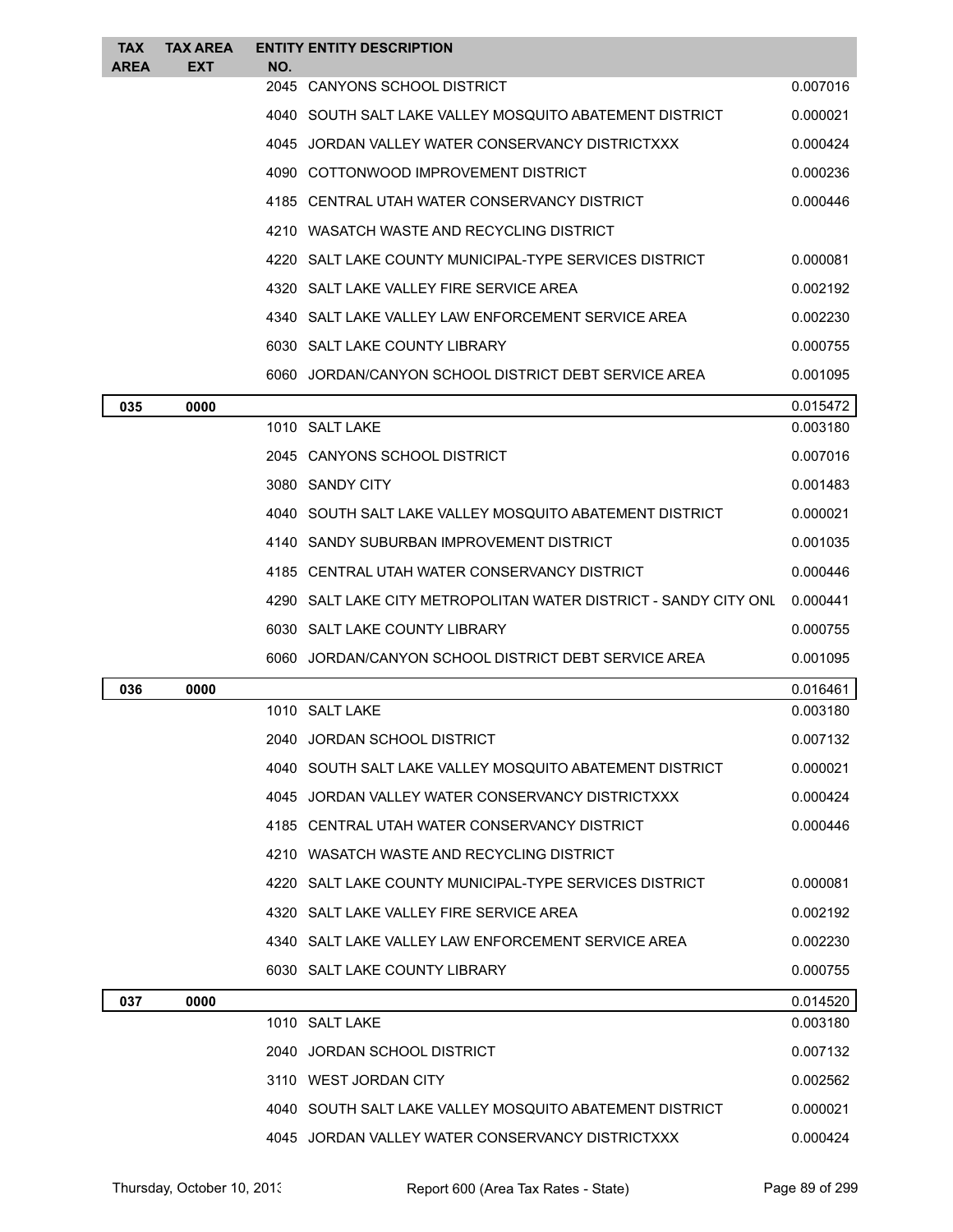| <b>TAX</b><br><b>AREA</b> | <b>TAX AREA</b><br>EXT | NO.  | <b>ENTITY ENTITY DESCRIPTION</b>                                   |          |
|---------------------------|------------------------|------|--------------------------------------------------------------------|----------|
|                           |                        |      | 2045 CANYONS SCHOOL DISTRICT                                       | 0.007016 |
|                           |                        |      | 4040 SOUTH SALT LAKE VALLEY MOSQUITO ABATEMENT DISTRICT            | 0.000021 |
|                           |                        |      | 4045 JORDAN VALLEY WATER CONSERVANCY DISTRICTXXX                   | 0.000424 |
|                           |                        |      | 4090 COTTONWOOD IMPROVEMENT DISTRICT                               | 0.000236 |
|                           |                        |      | 4185 CENTRAL UTAH WATER CONSERVANCY DISTRICT                       | 0.000446 |
|                           |                        |      | 4210 WASATCH WASTE AND RECYCLING DISTRICT                          |          |
|                           |                        | 4220 | SALT LAKE COUNTY MUNICIPAL-TYPE SERVICES DISTRICT                  | 0.000081 |
|                           |                        |      | 4320 SALT LAKE VALLEY FIRE SERVICE AREA                            | 0.002192 |
|                           |                        |      | 4340 SALT LAKE VALLEY LAW ENFORCEMENT SERVICE AREA                 | 0.002230 |
|                           |                        |      | 6030 SALT LAKE COUNTY LIBRARY                                      | 0.000755 |
|                           |                        |      | 6060 JORDAN/CANYON SCHOOL DISTRICT DEBT SERVICE AREA               | 0.001095 |
| 035                       | 0000                   |      |                                                                    | 0.015472 |
|                           |                        |      | 1010 SALT LAKE                                                     | 0.003180 |
|                           |                        |      | 2045 CANYONS SCHOOL DISTRICT                                       | 0.007016 |
|                           |                        |      | 3080 SANDY CITY                                                    | 0.001483 |
|                           |                        |      | 4040 SOUTH SALT LAKE VALLEY MOSQUITO ABATEMENT DISTRICT            | 0.000021 |
|                           |                        |      | 4140 SANDY SUBURBAN IMPROVEMENT DISTRICT                           | 0.001035 |
|                           |                        |      | 4185 CENTRAL UTAH WATER CONSERVANCY DISTRICT                       | 0.000446 |
|                           |                        |      | 4290   SALT LAKE CITY METROPOLITAN WATER DISTRICT - SANDY CITY ONL | 0.000441 |
|                           |                        |      | 6030 SALT LAKE COUNTY LIBRARY                                      | 0.000755 |
|                           |                        |      | 6060 JORDAN/CANYON SCHOOL DISTRICT DEBT SERVICE AREA               | 0.001095 |
| 036                       | 0000                   |      |                                                                    | 0.016461 |
|                           |                        |      | 1010 SALT LAKE                                                     | 0.003180 |
|                           |                        |      | 2040 JORDAN SCHOOL DISTRICT                                        | 0.007132 |
|                           |                        |      | 4040 SOUTH SALT LAKE VALLEY MOSQUITO ABATEMENT DISTRICT            | 0.000021 |
|                           |                        |      | 4045 JORDAN VALLEY WATER CONSERVANCY DISTRICTXXX                   | 0.000424 |
|                           |                        |      | 4185 CENTRAL UTAH WATER CONSERVANCY DISTRICT                       | 0.000446 |
|                           |                        |      | 4210 WASATCH WASTE AND RECYCLING DISTRICT                          |          |
|                           |                        |      | 4220 SALT LAKE COUNTY MUNICIPAL-TYPE SERVICES DISTRICT             | 0.000081 |
|                           |                        |      | 4320 SALT LAKE VALLEY FIRE SERVICE AREA                            | 0.002192 |
|                           |                        |      | 4340 SALT LAKE VALLEY LAW ENFORCEMENT SERVICE AREA                 | 0.002230 |
|                           |                        |      | 6030 SALT LAKE COUNTY LIBRARY                                      | 0.000755 |
| 037                       | 0000                   |      |                                                                    | 0.014520 |
|                           |                        |      | 1010 SALT LAKE                                                     | 0.003180 |
|                           |                        |      | 2040 JORDAN SCHOOL DISTRICT                                        | 0.007132 |
|                           |                        |      | 3110 WEST JORDAN CITY                                              | 0.002562 |
|                           |                        |      | 4040 SOUTH SALT LAKE VALLEY MOSQUITO ABATEMENT DISTRICT            | 0.000021 |
|                           |                        |      | 4045 JORDAN VALLEY WATER CONSERVANCY DISTRICTXXX                   | 0.000424 |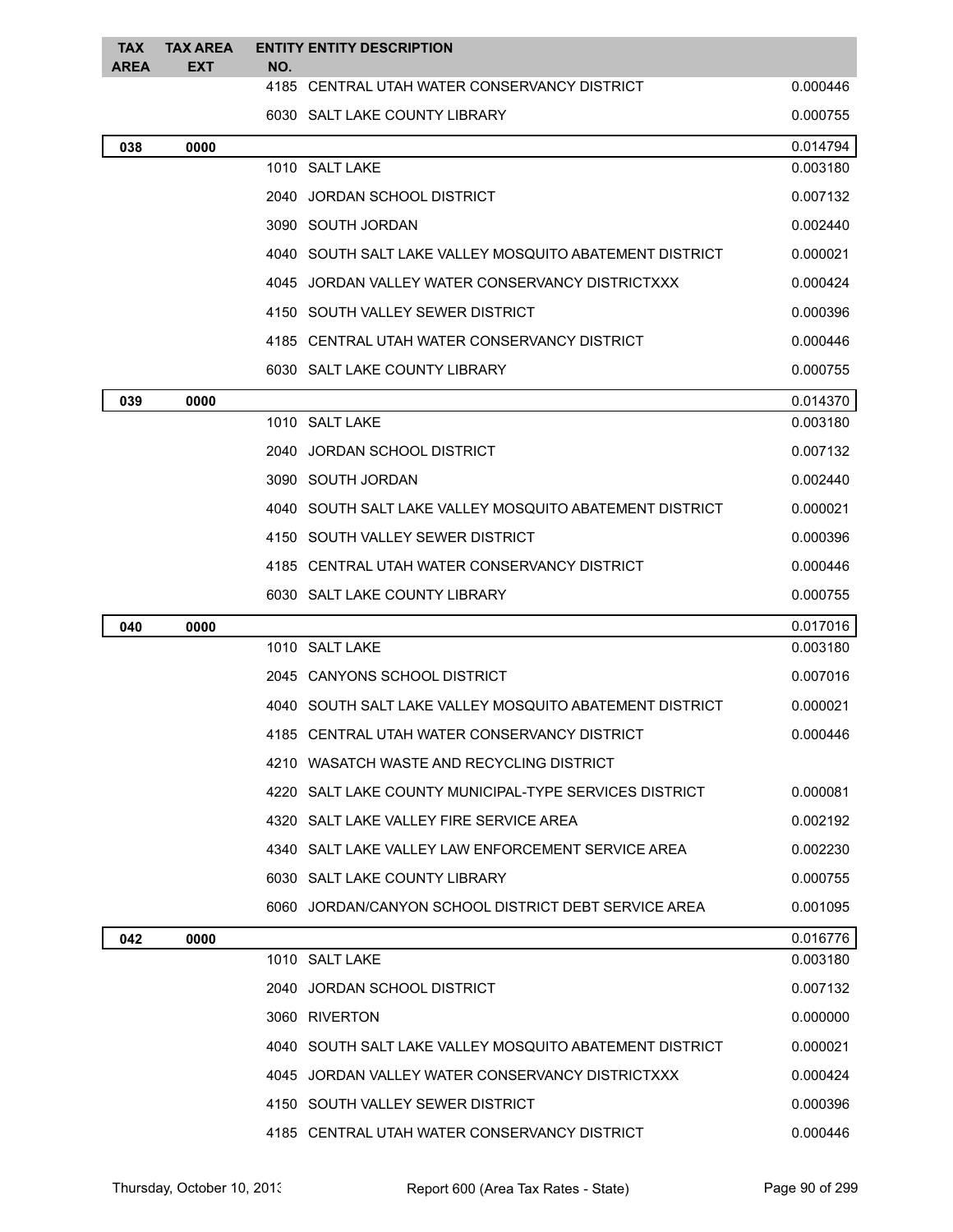| <b>TAX</b><br><b>AREA</b> | TAX AREA<br><b>EXT</b> | <b>ENTITY ENTITY DESCRIPTION</b><br>NO.                   |          |
|---------------------------|------------------------|-----------------------------------------------------------|----------|
|                           |                        | 4185 CENTRAL UTAH WATER CONSERVANCY DISTRICT              | 0.000446 |
|                           |                        | 6030 SALT LAKE COUNTY LIBRARY                             | 0.000755 |
| 038                       | 0000                   |                                                           | 0.014794 |
|                           |                        | 1010 SALT LAKE                                            | 0.003180 |
|                           |                        | 2040 JORDAN SCHOOL DISTRICT                               | 0.007132 |
|                           |                        | 3090 SOUTH JORDAN                                         | 0.002440 |
|                           |                        | 4040   SOUTH SALT LAKE VALLEY MOSQUITO ABATEMENT DISTRICT | 0.000021 |
|                           |                        | 4045 JORDAN VALLEY WATER CONSERVANCY DISTRICTXXX          | 0.000424 |
|                           |                        | 4150 SOUTH VALLEY SEWER DISTRICT                          | 0.000396 |
|                           |                        | 4185 CENTRAL UTAH WATER CONSERVANCY DISTRICT              | 0.000446 |
|                           |                        | 6030 SALT LAKE COUNTY LIBRARY                             | 0.000755 |
| 039                       | 0000                   |                                                           | 0.014370 |
|                           |                        | 1010 SALT LAKE                                            | 0.003180 |
|                           |                        | 2040 JORDAN SCHOOL DISTRICT                               | 0.007132 |
|                           |                        | 3090 SOUTH JORDAN                                         | 0.002440 |
|                           |                        | 4040 SOUTH SALT LAKE VALLEY MOSQUITO ABATEMENT DISTRICT   | 0.000021 |
|                           |                        | 4150 SOUTH VALLEY SEWER DISTRICT                          | 0.000396 |
|                           |                        | 4185 CENTRAL UTAH WATER CONSERVANCY DISTRICT              | 0.000446 |
|                           |                        | 6030 SALT LAKE COUNTY LIBRARY                             | 0.000755 |
| 040                       | 0000                   |                                                           | 0.017016 |
|                           |                        | 1010 SALT LAKE                                            | 0.003180 |
|                           |                        | 2045 CANYONS SCHOOL DISTRICT                              | 0.007016 |
|                           |                        | 4040   SOUTH SALT LAKE VALLEY MOSQUITO ABATEMENT DISTRICT | 0.000021 |
|                           |                        | 4185 CENTRAL UTAH WATER CONSERVANCY DISTRICT              | 0.000446 |
|                           |                        | 4210   WASATCH WASTE AND RECYCLING DISTRICT               |          |
|                           |                        | 4220 SALT LAKE COUNTY MUNICIPAL-TYPE SERVICES DISTRICT    | 0.000081 |
|                           |                        | 4320 SALT LAKE VALLEY FIRE SERVICE AREA                   | 0.002192 |
|                           |                        | 4340 SALT LAKE VALLEY LAW ENFORCEMENT SERVICE AREA        | 0.002230 |
|                           |                        | 6030 SALT LAKE COUNTY LIBRARY                             | 0.000755 |
|                           |                        | 6060 JORDAN/CANYON SCHOOL DISTRICT DEBT SERVICE AREA      | 0.001095 |
| 042                       | 0000                   |                                                           | 0.016776 |
|                           |                        | 1010 SALT LAKE                                            | 0.003180 |
|                           |                        | 2040 JORDAN SCHOOL DISTRICT                               | 0.007132 |
|                           |                        | 3060 RIVERTON                                             | 0.000000 |
|                           |                        | 4040 SOUTH SALT LAKE VALLEY MOSQUITO ABATEMENT DISTRICT   | 0.000021 |
|                           |                        | 4045 JORDAN VALLEY WATER CONSERVANCY DISTRICTXXX          | 0.000424 |
|                           |                        | 4150 SOUTH VALLEY SEWER DISTRICT                          | 0.000396 |
|                           |                        | 4185 CENTRAL UTAH WATER CONSERVANCY DISTRICT              | 0.000446 |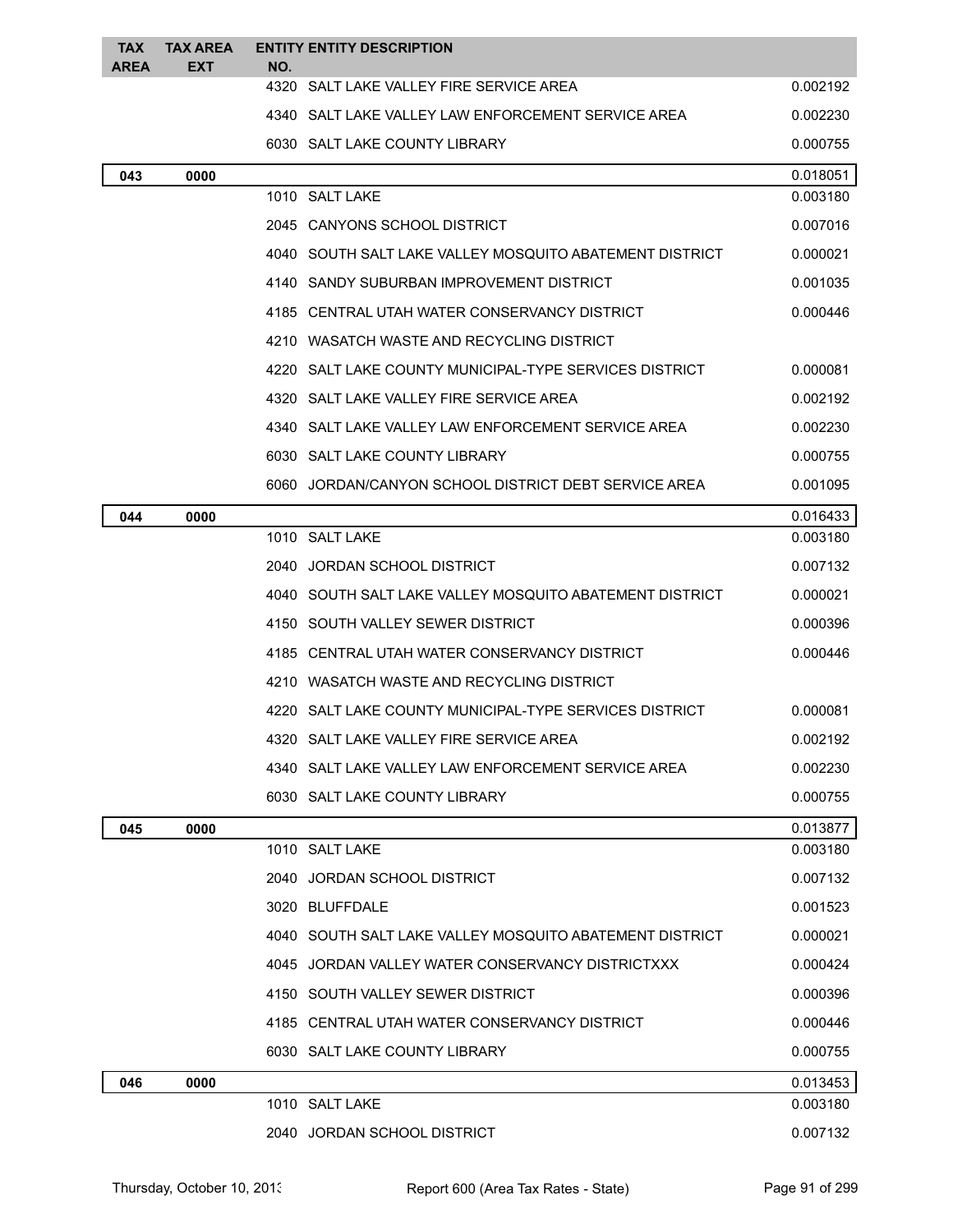| <b>TAX</b><br><b>AREA</b> | <b>TAX AREA</b><br><b>EXT</b> | <b>ENTITY ENTITY DESCRIPTION</b><br>NO. |                                                         |          |
|---------------------------|-------------------------------|-----------------------------------------|---------------------------------------------------------|----------|
|                           |                               |                                         | 4320 SALT LAKE VALLEY FIRE SERVICE AREA                 | 0.002192 |
|                           |                               |                                         | 4340 SALT LAKE VALLEY LAW ENFORCEMENT SERVICE AREA      | 0.002230 |
|                           |                               | 6030 SALT LAKE COUNTY LIBRARY           |                                                         | 0.000755 |
| 043                       | 0000                          |                                         |                                                         | 0.018051 |
|                           |                               | 1010 SALT LAKE                          |                                                         | 0.003180 |
|                           |                               | 2045 CANYONS SCHOOL DISTRICT            |                                                         | 0.007016 |
|                           |                               |                                         | 4040 SOUTH SALT LAKE VALLEY MOSQUITO ABATEMENT DISTRICT | 0.000021 |
|                           |                               |                                         | 4140 SANDY SUBURBAN IMPROVEMENT DISTRICT                | 0.001035 |
|                           |                               |                                         | 4185 CENTRAL UTAH WATER CONSERVANCY DISTRICT            | 0.000446 |
|                           |                               |                                         | 4210 WASATCH WASTE AND RECYCLING DISTRICT               |          |
|                           |                               |                                         | 4220 SALT LAKE COUNTY MUNICIPAL-TYPE SERVICES DISTRICT  | 0.000081 |
|                           |                               |                                         | 4320 SALT LAKE VALLEY FIRE SERVICE AREA                 | 0.002192 |
|                           |                               |                                         | 4340 SALT LAKE VALLEY LAW ENFORCEMENT SERVICE AREA      | 0.002230 |
|                           |                               | 6030 SALT LAKE COUNTY LIBRARY           |                                                         | 0.000755 |
|                           |                               |                                         | 6060 JORDAN/CANYON SCHOOL DISTRICT DEBT SERVICE AREA    | 0.001095 |
| 044                       | 0000                          |                                         |                                                         | 0.016433 |
|                           |                               | 1010 SALT LAKE                          |                                                         | 0.003180 |
|                           |                               | 2040 JORDAN SCHOOL DISTRICT             |                                                         | 0.007132 |
|                           |                               |                                         | 4040 SOUTH SALT LAKE VALLEY MOSQUITO ABATEMENT DISTRICT | 0.000021 |
|                           |                               |                                         | 4150 SOUTH VALLEY SEWER DISTRICT                        | 0.000396 |
|                           |                               |                                         | 4185 CENTRAL UTAH WATER CONSERVANCY DISTRICT            | 0.000446 |
|                           |                               |                                         | 4210 WASATCH WASTE AND RECYCLING DISTRICT               |          |
|                           |                               |                                         | 4220 SALT LAKE COUNTY MUNICIPAL-TYPE SERVICES DISTRICT  | 0.000081 |
|                           |                               |                                         | 4320 SALT LAKE VALLEY FIRE SERVICE AREA                 | 0.002192 |
|                           |                               |                                         | 4340 SALT LAKE VALLEY LAW ENFORCEMENT SERVICE AREA      | 0.002230 |
|                           |                               | 6030 SALT LAKE COUNTY LIBRARY           |                                                         | 0.000755 |
| 045                       | 0000                          |                                         |                                                         | 0.013877 |
|                           |                               | 1010 SALT LAKE                          |                                                         | 0.003180 |
|                           |                               | 2040 JORDAN SCHOOL DISTRICT             |                                                         | 0.007132 |
|                           |                               | 3020 BLUFFDALE                          |                                                         | 0.001523 |
|                           |                               |                                         | 4040 SOUTH SALT LAKE VALLEY MOSQUITO ABATEMENT DISTRICT | 0.000021 |
|                           |                               |                                         | 4045 JORDAN VALLEY WATER CONSERVANCY DISTRICTXXX        | 0.000424 |
|                           |                               |                                         | 4150 SOUTH VALLEY SEWER DISTRICT                        | 0.000396 |
|                           |                               |                                         | 4185 CENTRAL UTAH WATER CONSERVANCY DISTRICT            | 0.000446 |
|                           |                               | 6030 SALT LAKE COUNTY LIBRARY           |                                                         | 0.000755 |
| 046                       | 0000                          |                                         |                                                         | 0.013453 |
|                           |                               | 1010 SALT LAKE                          |                                                         | 0.003180 |
|                           |                               | 2040 JORDAN SCHOOL DISTRICT             |                                                         | 0.007132 |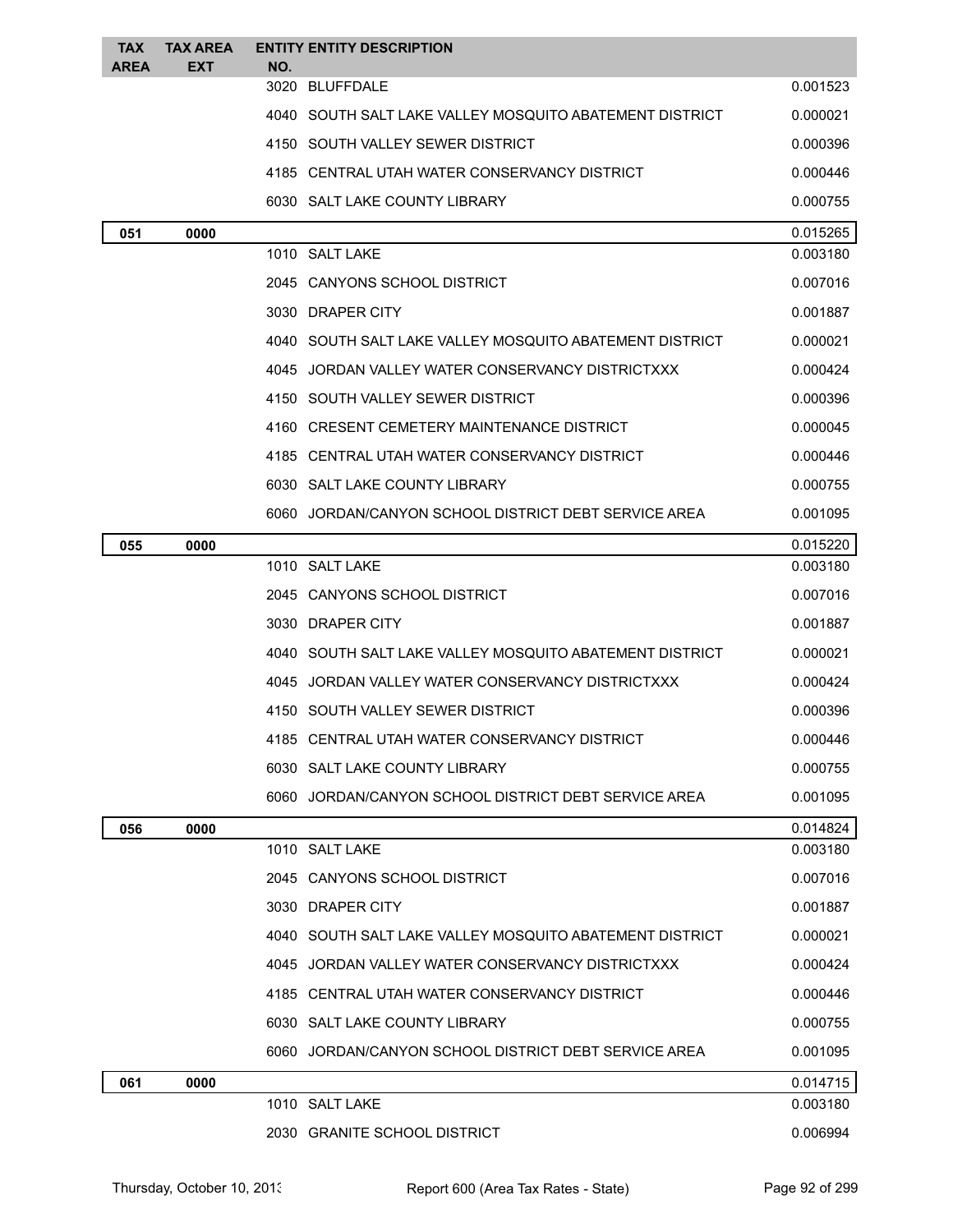| <b>TAX</b><br><b>AREA</b> | <b>TAX AREA</b><br>EXT | NO. | <b>ENTITY ENTITY DESCRIPTION</b>                          |          |
|---------------------------|------------------------|-----|-----------------------------------------------------------|----------|
|                           |                        |     | 3020 BLUFFDALE                                            | 0.001523 |
|                           |                        |     | 4040 SOUTH SALT LAKE VALLEY MOSQUITO ABATEMENT DISTRICT   | 0.000021 |
|                           |                        |     | 4150 SOUTH VALLEY SEWER DISTRICT                          | 0.000396 |
|                           |                        |     | 4185 CENTRAL UTAH WATER CONSERVANCY DISTRICT              | 0.000446 |
|                           |                        |     | 6030 SALT LAKE COUNTY LIBRARY                             | 0.000755 |
| 051                       | 0000                   |     |                                                           | 0.015265 |
|                           |                        |     | 1010 SALT LAKE                                            | 0.003180 |
|                           |                        |     | 2045 CANYONS SCHOOL DISTRICT                              | 0.007016 |
|                           |                        |     | 3030 DRAPER CITY                                          | 0.001887 |
|                           |                        |     | 4040 SOUTH SALT LAKE VALLEY MOSQUITO ABATEMENT DISTRICT   | 0.000021 |
|                           |                        |     | 4045 JORDAN VALLEY WATER CONSERVANCY DISTRICTXXX          | 0.000424 |
|                           |                        |     | 4150 SOUTH VALLEY SEWER DISTRICT                          | 0.000396 |
|                           |                        |     | 4160 CRESENT CEMETERY MAINTENANCE DISTRICT                | 0.000045 |
|                           |                        |     | 4185 CENTRAL UTAH WATER CONSERVANCY DISTRICT              | 0.000446 |
|                           |                        |     | 6030 SALT LAKE COUNTY LIBRARY                             | 0.000755 |
|                           |                        |     | 6060 JORDAN/CANYON SCHOOL DISTRICT DEBT SERVICE AREA      | 0.001095 |
| 055                       | 0000                   |     |                                                           | 0.015220 |
|                           |                        |     | 1010 SALT LAKE                                            | 0.003180 |
|                           |                        |     | 2045 CANYONS SCHOOL DISTRICT                              | 0.007016 |
|                           |                        |     | 3030 DRAPER CITY                                          | 0.001887 |
|                           |                        |     | 4040 SOUTH SALT LAKE VALLEY MOSQUITO ABATEMENT DISTRICT   | 0.000021 |
|                           |                        |     | 4045 JORDAN VALLEY WATER CONSERVANCY DISTRICTXXX          | 0.000424 |
|                           |                        |     | 4150 SOUTH VALLEY SEWER DISTRICT                          | 0.000396 |
|                           |                        |     | 4185 CENTRAL UTAH WATER CONSERVANCY DISTRICT              | 0.000446 |
|                           |                        |     | 6030 SALT LAKE COUNTY LIBRARY                             | 0.000755 |
|                           |                        |     | 6060 JORDAN/CANYON SCHOOL DISTRICT DEBT SERVICE AREA      | 0.001095 |
| 056                       | 0000                   |     |                                                           | 0.014824 |
|                           |                        |     | 1010 SALT LAKE                                            | 0.003180 |
|                           |                        |     | 2045 CANYONS SCHOOL DISTRICT                              | 0.007016 |
|                           |                        |     | 3030 DRAPER CITY                                          | 0.001887 |
|                           |                        |     | 4040   SOUTH SALT LAKE VALLEY MOSQUITO ABATEMENT DISTRICT | 0.000021 |
|                           |                        |     | 4045 JORDAN VALLEY WATER CONSERVANCY DISTRICTXXX          | 0.000424 |
|                           |                        |     | 4185 CENTRAL UTAH WATER CONSERVANCY DISTRICT              | 0.000446 |
|                           |                        |     | 6030 SALT LAKE COUNTY LIBRARY                             | 0.000755 |
|                           |                        |     | 6060 JORDAN/CANYON SCHOOL DISTRICT DEBT SERVICE AREA      | 0.001095 |
| 061                       | 0000                   |     |                                                           | 0.014715 |
|                           |                        |     | 1010 SALT LAKE                                            | 0.003180 |
|                           |                        |     | 2030 GRANITE SCHOOL DISTRICT                              | 0.006994 |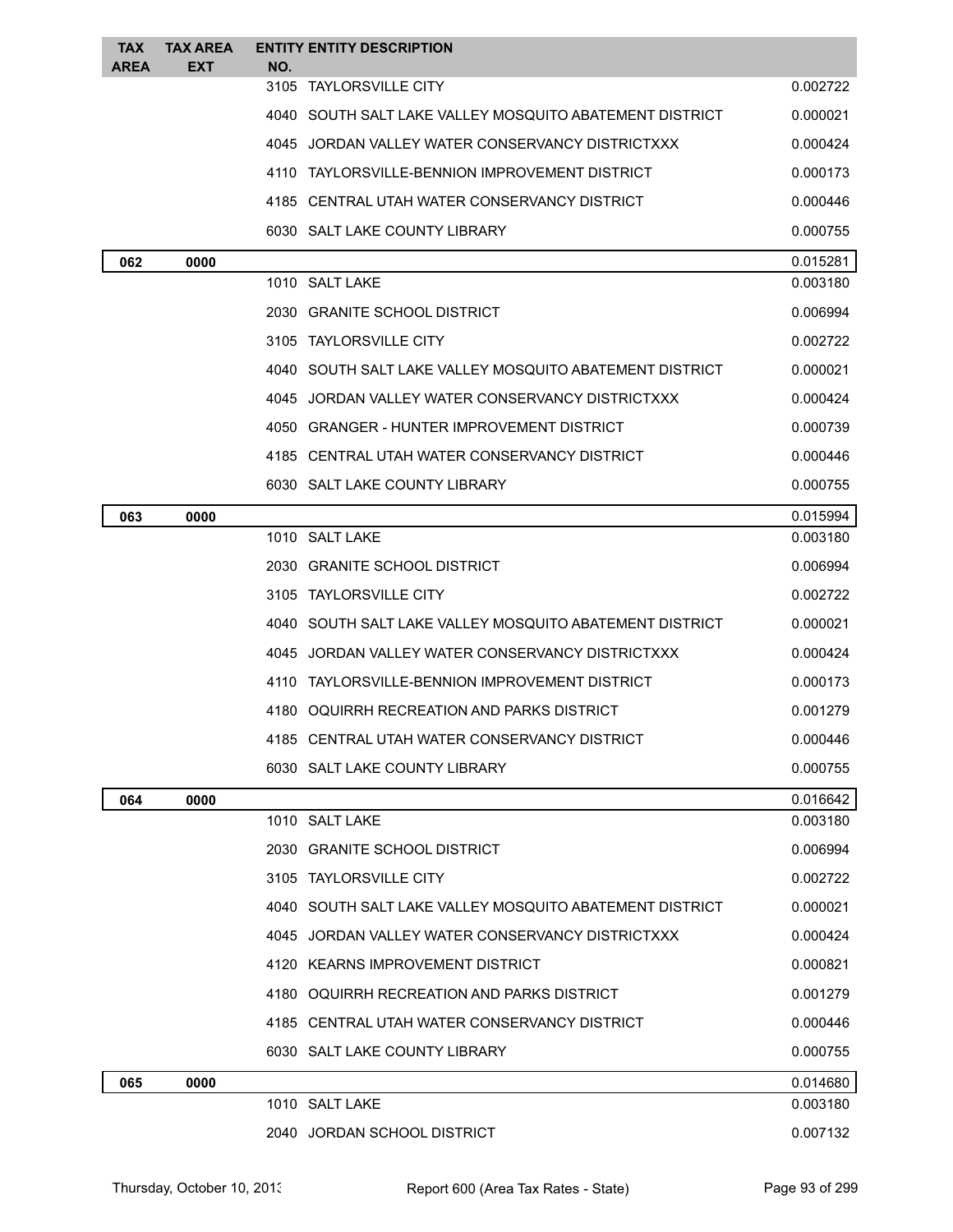| <b>TAX</b><br><b>AREA</b> | <b>TAX AREA</b><br>EXT | <b>ENTITY ENTITY DESCRIPTION</b><br>NO.          |                                                           |          |
|---------------------------|------------------------|--------------------------------------------------|-----------------------------------------------------------|----------|
|                           |                        | 3105<br>TAYLORSVILLE CITY                        |                                                           | 0.002722 |
|                           |                        |                                                  | 4040 SOUTH SALT LAKE VALLEY MOSQUITO ABATEMENT DISTRICT   | 0.000021 |
|                           |                        | 4045 JORDAN VALLEY WATER CONSERVANCY DISTRICTXXX |                                                           | 0.000424 |
|                           |                        | 4110 TAYLORSVILLE-BENNION IMPROVEMENT DISTRICT   |                                                           | 0.000173 |
|                           |                        | 4185 CENTRAL UTAH WATER CONSERVANCY DISTRICT     |                                                           | 0.000446 |
|                           |                        | 6030 SALT LAKE COUNTY LIBRARY                    |                                                           | 0.000755 |
| 062                       | 0000                   |                                                  |                                                           | 0.015281 |
|                           |                        | 1010 SALT LAKE                                   |                                                           | 0.003180 |
|                           |                        | 2030 GRANITE SCHOOL DISTRICT                     |                                                           | 0.006994 |
|                           |                        | 3105 TAYLORSVILLE CITY                           |                                                           | 0.002722 |
|                           |                        |                                                  | 4040 SOUTH SALT LAKE VALLEY MOSQUITO ABATEMENT DISTRICT   | 0.000021 |
|                           |                        | 4045 JORDAN VALLEY WATER CONSERVANCY DISTRICTXXX |                                                           | 0.000424 |
|                           |                        | 4050 GRANGER - HUNTER IMPROVEMENT DISTRICT       |                                                           | 0.000739 |
|                           |                        | 4185 CENTRAL UTAH WATER CONSERVANCY DISTRICT     |                                                           | 0.000446 |
|                           |                        | 6030 SALT LAKE COUNTY LIBRARY                    |                                                           | 0.000755 |
| 063                       | 0000                   |                                                  |                                                           | 0.015994 |
|                           |                        | 1010 SALT LAKE                                   |                                                           | 0.003180 |
|                           |                        | 2030 GRANITE SCHOOL DISTRICT                     |                                                           | 0.006994 |
|                           |                        | 3105 TAYLORSVILLE CITY                           |                                                           | 0.002722 |
|                           |                        |                                                  | 4040   SOUTH SALT LAKE VALLEY MOSQUITO ABATEMENT DISTRICT | 0.000021 |
|                           |                        | 4045 JORDAN VALLEY WATER CONSERVANCY DISTRICTXXX |                                                           | 0.000424 |
|                           |                        | 4110 TAYLORSVILLE-BENNION IMPROVEMENT DISTRICT   |                                                           | 0.000173 |
|                           |                        | 4180 OQUIRRH RECREATION AND PARKS DISTRICT       |                                                           | 0.001279 |
|                           |                        | 4185 CENTRAL UTAH WATER CONSERVANCY DISTRICT     |                                                           | 0.000446 |
|                           |                        | 6030 SALT LAKE COUNTY LIBRARY                    |                                                           | 0.000755 |
| 064                       | 0000                   |                                                  |                                                           | 0.016642 |
|                           |                        | 1010 SALT LAKE                                   |                                                           | 0.003180 |
|                           |                        | 2030 GRANITE SCHOOL DISTRICT                     |                                                           | 0.006994 |
|                           |                        | 3105 TAYLORSVILLE CITY                           |                                                           | 0.002722 |
|                           |                        |                                                  | 4040 SOUTH SALT LAKE VALLEY MOSQUITO ABATEMENT DISTRICT   | 0.000021 |
|                           |                        | 4045 JORDAN VALLEY WATER CONSERVANCY DISTRICTXXX |                                                           | 0.000424 |
|                           |                        | 4120 KEARNS IMPROVEMENT DISTRICT                 |                                                           | 0.000821 |
|                           |                        | 4180 OQUIRRH RECREATION AND PARKS DISTRICT       |                                                           | 0.001279 |
|                           |                        | 4185 CENTRAL UTAH WATER CONSERVANCY DISTRICT     |                                                           | 0.000446 |
|                           |                        | 6030 SALT LAKE COUNTY LIBRARY                    |                                                           | 0.000755 |
| 065                       | 0000                   |                                                  |                                                           | 0.014680 |
|                           |                        | 1010 SALT LAKE                                   |                                                           | 0.003180 |
|                           |                        | 2040 JORDAN SCHOOL DISTRICT                      |                                                           | 0.007132 |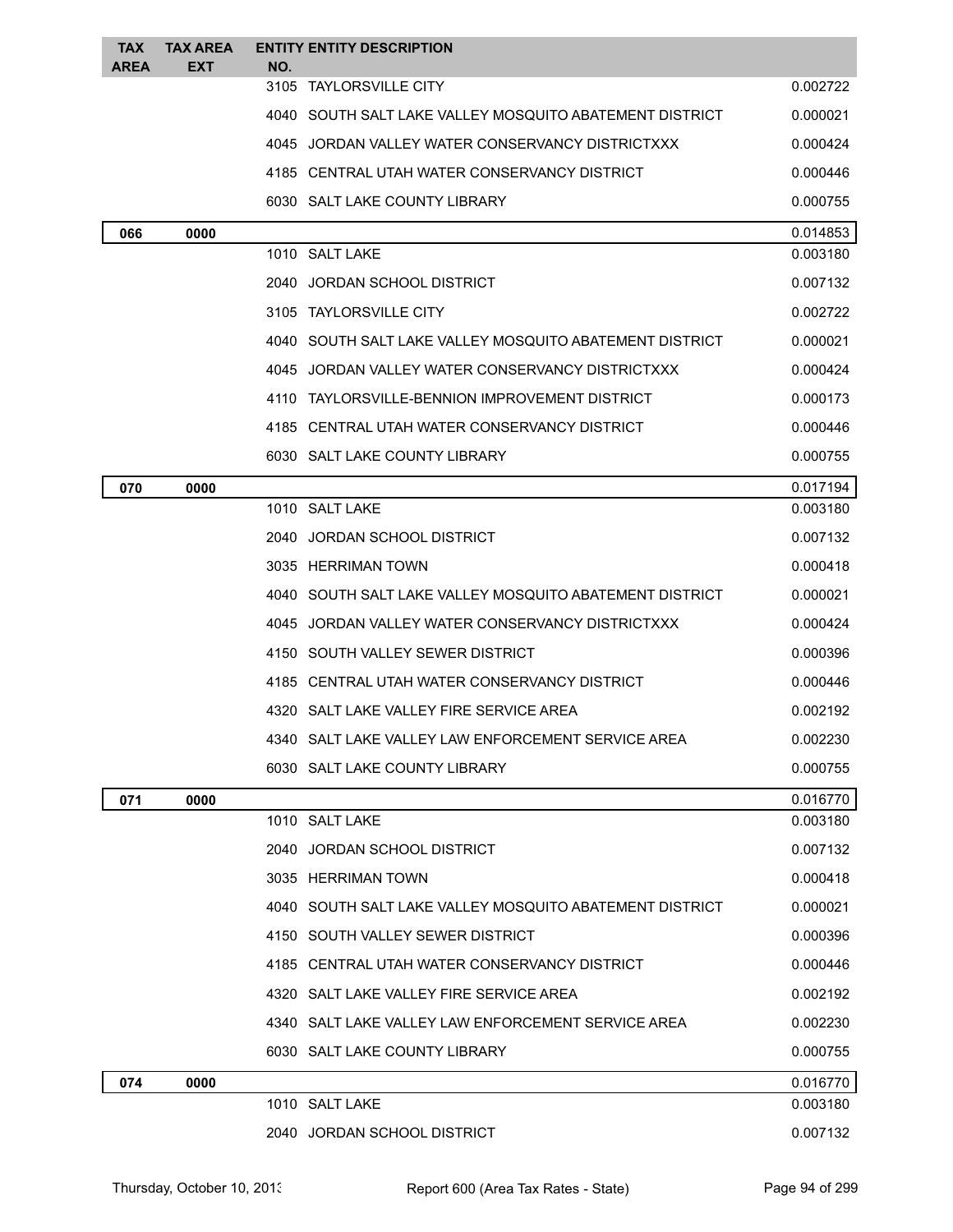| <b>TAX</b><br><b>AREA</b> | <b>TAX AREA</b><br>EXT | <b>ENTITY ENTITY DESCRIPTION</b><br>NO.                 |          |
|---------------------------|------------------------|---------------------------------------------------------|----------|
|                           |                        | 3105 TAYLORSVILLE CITY                                  | 0.002722 |
|                           |                        | 4040 SOUTH SALT LAKE VALLEY MOSQUITO ABATEMENT DISTRICT | 0.000021 |
|                           |                        | 4045 JORDAN VALLEY WATER CONSERVANCY DISTRICTXXX        | 0.000424 |
|                           |                        | 4185 CENTRAL UTAH WATER CONSERVANCY DISTRICT            | 0.000446 |
|                           |                        | 6030 SALT LAKE COUNTY LIBRARY                           | 0.000755 |
| 066                       | 0000                   |                                                         | 0.014853 |
|                           |                        | 1010 SALT LAKE                                          | 0.003180 |
|                           |                        | 2040 JORDAN SCHOOL DISTRICT                             | 0.007132 |
|                           |                        | 3105 TAYLORSVILLE CITY                                  | 0.002722 |
|                           |                        | 4040 SOUTH SALT LAKE VALLEY MOSQUITO ABATEMENT DISTRICT | 0.000021 |
|                           |                        | 4045 JORDAN VALLEY WATER CONSERVANCY DISTRICTXXX        | 0.000424 |
|                           |                        | 4110 TAYLORSVILLE-BENNION IMPROVEMENT DISTRICT          | 0.000173 |
|                           |                        | 4185   CENTRAL UTAH WATER CONSERVANCY DISTRICT          | 0.000446 |
|                           |                        | 6030 SALT LAKE COUNTY LIBRARY                           | 0.000755 |
| 070                       | 0000                   |                                                         | 0.017194 |
|                           |                        | 1010 SALT LAKE                                          | 0.003180 |
|                           |                        | 2040 JORDAN SCHOOL DISTRICT                             | 0.007132 |
|                           |                        | 3035 HERRIMAN TOWN                                      | 0.000418 |
|                           |                        | 4040 SOUTH SALT LAKE VALLEY MOSQUITO ABATEMENT DISTRICT | 0.000021 |
|                           |                        | 4045 JORDAN VALLEY WATER CONSERVANCY DISTRICTXXX        | 0.000424 |
|                           |                        | 4150 SOUTH VALLEY SEWER DISTRICT                        | 0.000396 |
|                           |                        | 4185 CENTRAL UTAH WATER CONSERVANCY DISTRICT            | 0.000446 |
|                           |                        | 4320 SALT LAKE VALLEY FIRE SERVICE AREA                 | 0.002192 |
|                           |                        | 4340 SALT LAKE VALLEY LAW ENFORCEMENT SERVICE AREA      | 0.002230 |
|                           |                        | 6030 SALT LAKE COUNTY LIBRARY                           | 0.000755 |
| 071                       | 0000                   |                                                         | 0.016770 |
|                           |                        | 1010 SALT LAKE                                          | 0.003180 |
|                           |                        | 2040 JORDAN SCHOOL DISTRICT                             | 0.007132 |
|                           |                        | 3035 HERRIMAN TOWN                                      | 0.000418 |
|                           |                        | 4040 SOUTH SALT LAKE VALLEY MOSQUITO ABATEMENT DISTRICT | 0.000021 |
|                           |                        | 4150 SOUTH VALLEY SEWER DISTRICT                        | 0.000396 |
|                           |                        | 4185 CENTRAL UTAH WATER CONSERVANCY DISTRICT            | 0.000446 |
|                           |                        | 4320 SALT LAKE VALLEY FIRE SERVICE AREA                 | 0.002192 |
|                           |                        | 4340 SALT LAKE VALLEY LAW ENFORCEMENT SERVICE AREA      | 0.002230 |
|                           |                        | 6030 SALT LAKE COUNTY LIBRARY                           | 0.000755 |
| 074                       | 0000                   |                                                         | 0.016770 |
|                           |                        | 1010 SALT LAKE                                          | 0.003180 |
|                           |                        | 2040 JORDAN SCHOOL DISTRICT                             | 0.007132 |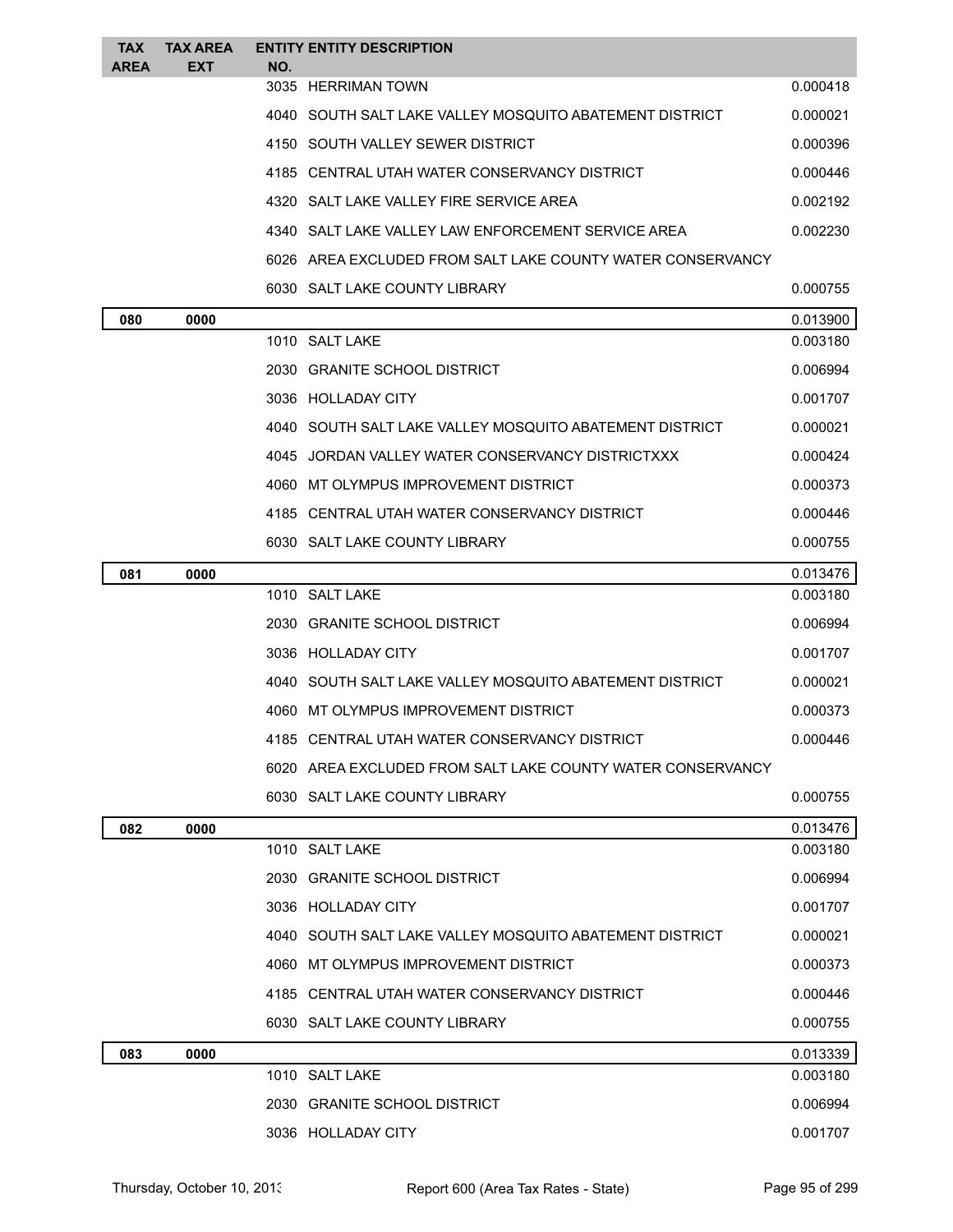| <b>TAX</b><br><b>AREA</b> | <b>TAX AREA</b><br><b>EXT</b> | NO. | <b>ENTITY ENTITY DESCRIPTION</b>                             |          |
|---------------------------|-------------------------------|-----|--------------------------------------------------------------|----------|
|                           |                               |     | 3035 HERRIMAN TOWN                                           | 0.000418 |
|                           |                               |     | 4040   SOUTH SALT LAKE VALLEY MOSQUITO ABATEMENT DISTRICT    | 0.000021 |
|                           |                               |     | 4150 SOUTH VALLEY SEWER DISTRICT                             | 0.000396 |
|                           |                               |     | 4185 CENTRAL UTAH WATER CONSERVANCY DISTRICT                 | 0.000446 |
|                           |                               |     | 4320 SALT LAKE VALLEY FIRE SERVICE AREA                      | 0.002192 |
|                           |                               |     | 4340   SALT LAKE VALLEY LAW ENFORCEMENT SERVICE AREA         | 0.002230 |
|                           |                               |     | 6026   AREA EXCLUDED FROM SALT LAKE COUNTY WATER CONSERVANCY |          |
|                           |                               |     | 6030 SALT LAKE COUNTY LIBRARY                                | 0.000755 |
| 080                       | 0000                          |     |                                                              | 0.013900 |
|                           |                               |     | 1010 SALT LAKE                                               | 0.003180 |
|                           |                               |     | 2030 GRANITE SCHOOL DISTRICT                                 | 0.006994 |
|                           |                               |     | 3036 HOLLADAY CITY                                           | 0.001707 |
|                           |                               |     | 4040 SOUTH SALT LAKE VALLEY MOSQUITO ABATEMENT DISTRICT      | 0.000021 |
|                           |                               |     | 4045 JORDAN VALLEY WATER CONSERVANCY DISTRICTXXX             | 0.000424 |
|                           |                               |     | 4060 MT OLYMPUS IMPROVEMENT DISTRICT                         | 0.000373 |
|                           |                               |     | 4185 CENTRAL UTAH WATER CONSERVANCY DISTRICT                 | 0.000446 |
|                           |                               |     | 6030 SALT LAKE COUNTY LIBRARY                                | 0.000755 |
| 081                       | 0000                          |     |                                                              | 0.013476 |
|                           |                               |     | 1010 SALT LAKE                                               | 0.003180 |
|                           |                               |     | 2030 GRANITE SCHOOL DISTRICT                                 | 0.006994 |
|                           |                               |     | 3036 HOLLADAY CITY                                           | 0.001707 |
|                           |                               |     | 4040   SOUTH SALT LAKE VALLEY MOSQUITO ABATEMENT DISTRICT    | 0.000021 |
|                           |                               |     | 4060 MT OLYMPUS IMPROVEMENT DISTRICT                         | 0.000373 |
|                           |                               |     | 4185 CENTRAL UTAH WATER CONSERVANCY DISTRICT                 | 0.000446 |
|                           |                               |     | 6020 AREA EXCLUDED FROM SALT LAKE COUNTY WATER CONSERVANCY   |          |
|                           |                               |     | 6030 SALT LAKE COUNTY LIBRARY                                | 0.000755 |
| 082                       | 0000                          |     |                                                              | 0.013476 |
|                           |                               |     | 1010 SALT LAKE                                               | 0.003180 |
|                           |                               |     | 2030 GRANITE SCHOOL DISTRICT                                 | 0.006994 |
|                           |                               |     | 3036 HOLLADAY CITY                                           | 0.001707 |
|                           |                               |     | 4040   SOUTH SALT LAKE VALLEY MOSQUITO ABATEMENT DISTRICT    | 0.000021 |
|                           |                               |     | 4060 MT OLYMPUS IMPROVEMENT DISTRICT                         | 0.000373 |
|                           |                               |     | 4185 CENTRAL UTAH WATER CONSERVANCY DISTRICT                 | 0.000446 |
|                           |                               |     | 6030 SALT LAKE COUNTY LIBRARY                                | 0.000755 |
| 083                       | 0000                          |     |                                                              | 0.013339 |
|                           |                               |     | 1010 SALT LAKE                                               | 0.003180 |
|                           |                               |     | 2030 GRANITE SCHOOL DISTRICT                                 | 0.006994 |
|                           |                               |     | 3036 HOLLADAY CITY                                           | 0.001707 |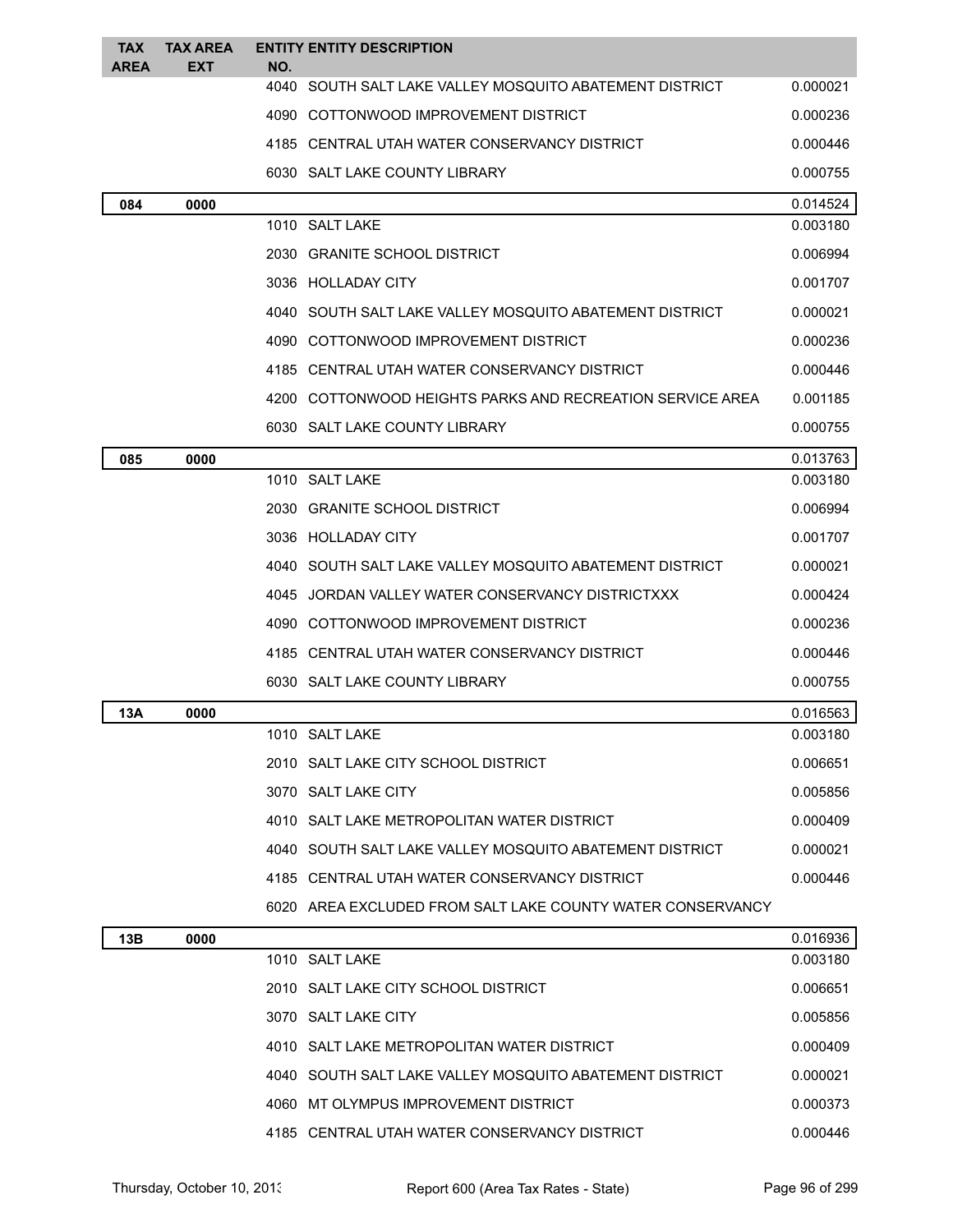| <b>TAX</b><br><b>AREA</b> | <b>TAX AREA</b><br>EXT | NO.  | <b>ENTITY ENTITY DESCRIPTION</b>                           |          |
|---------------------------|------------------------|------|------------------------------------------------------------|----------|
|                           |                        |      | 4040 SOUTH SALT LAKE VALLEY MOSQUITO ABATEMENT DISTRICT    | 0.000021 |
|                           |                        |      | 4090 COTTONWOOD IMPROVEMENT DISTRICT                       | 0.000236 |
|                           |                        |      | 4185 CENTRAL UTAH WATER CONSERVANCY DISTRICT               | 0.000446 |
|                           |                        |      | 6030 SALT LAKE COUNTY LIBRARY                              | 0.000755 |
| 084                       | 0000                   |      |                                                            | 0.014524 |
|                           |                        |      | 1010 SALT LAKE                                             | 0.003180 |
|                           |                        |      | 2030 GRANITE SCHOOL DISTRICT                               | 0.006994 |
|                           |                        |      | 3036 HOLLADAY CITY                                         | 0.001707 |
|                           |                        | 4040 | SOUTH SALT LAKE VALLEY MOSQUITO ABATEMENT DISTRICT         | 0.000021 |
|                           |                        |      | 4090 COTTONWOOD IMPROVEMENT DISTRICT                       | 0.000236 |
|                           |                        |      | 4185 CENTRAL UTAH WATER CONSERVANCY DISTRICT               | 0.000446 |
|                           |                        |      | 4200 COTTONWOOD HEIGHTS PARKS AND RECREATION SERVICE AREA  | 0.001185 |
|                           |                        |      | 6030 SALT LAKE COUNTY LIBRARY                              | 0.000755 |
| 085                       | 0000                   |      |                                                            | 0.013763 |
|                           |                        |      | 1010 SALT LAKE                                             | 0.003180 |
|                           |                        |      | 2030 GRANITE SCHOOL DISTRICT                               | 0.006994 |
|                           |                        |      | 3036 HOLLADAY CITY                                         | 0.001707 |
|                           |                        |      | 4040 SOUTH SALT LAKE VALLEY MOSQUITO ABATEMENT DISTRICT    | 0.000021 |
|                           |                        | 4045 | JORDAN VALLEY WATER CONSERVANCY DISTRICTXXX                | 0.000424 |
|                           |                        |      | 4090 COTTONWOOD IMPROVEMENT DISTRICT                       | 0.000236 |
|                           |                        |      | 4185 CENTRAL UTAH WATER CONSERVANCY DISTRICT               | 0.000446 |
|                           |                        |      | 6030 SALT LAKE COUNTY LIBRARY                              | 0.000755 |
| 13A                       | 0000                   |      |                                                            | 0.016563 |
|                           |                        |      | 1010 SALT LAKE                                             | 0.003180 |
|                           |                        |      | 2010 SALT LAKE CITY SCHOOL DISTRICT                        | 0.006651 |
|                           |                        |      | 3070 SALT LAKE CITY                                        | 0.005856 |
|                           |                        |      | 4010 SALT LAKE METROPOLITAN WATER DISTRICT                 | 0.000409 |
|                           |                        |      | 4040 SOUTH SALT LAKE VALLEY MOSQUITO ABATEMENT DISTRICT    | 0.000021 |
|                           |                        |      | 4185 CENTRAL UTAH WATER CONSERVANCY DISTRICT               | 0.000446 |
|                           |                        |      | 6020 AREA EXCLUDED FROM SALT LAKE COUNTY WATER CONSERVANCY |          |
| 13B                       | 0000                   |      |                                                            | 0.016936 |
|                           |                        |      | 1010 SALT LAKE                                             | 0.003180 |
|                           |                        |      | 2010 SALT LAKE CITY SCHOOL DISTRICT                        | 0.006651 |
|                           |                        |      | 3070 SALT LAKE CITY                                        | 0.005856 |
|                           |                        |      | 4010 SALT LAKE METROPOLITAN WATER DISTRICT                 | 0.000409 |
|                           |                        |      | 4040 SOUTH SALT LAKE VALLEY MOSQUITO ABATEMENT DISTRICT    | 0.000021 |
|                           |                        |      | 4060 MT OLYMPUS IMPROVEMENT DISTRICT                       | 0.000373 |
|                           |                        |      | 4185 CENTRAL UTAH WATER CONSERVANCY DISTRICT               | 0.000446 |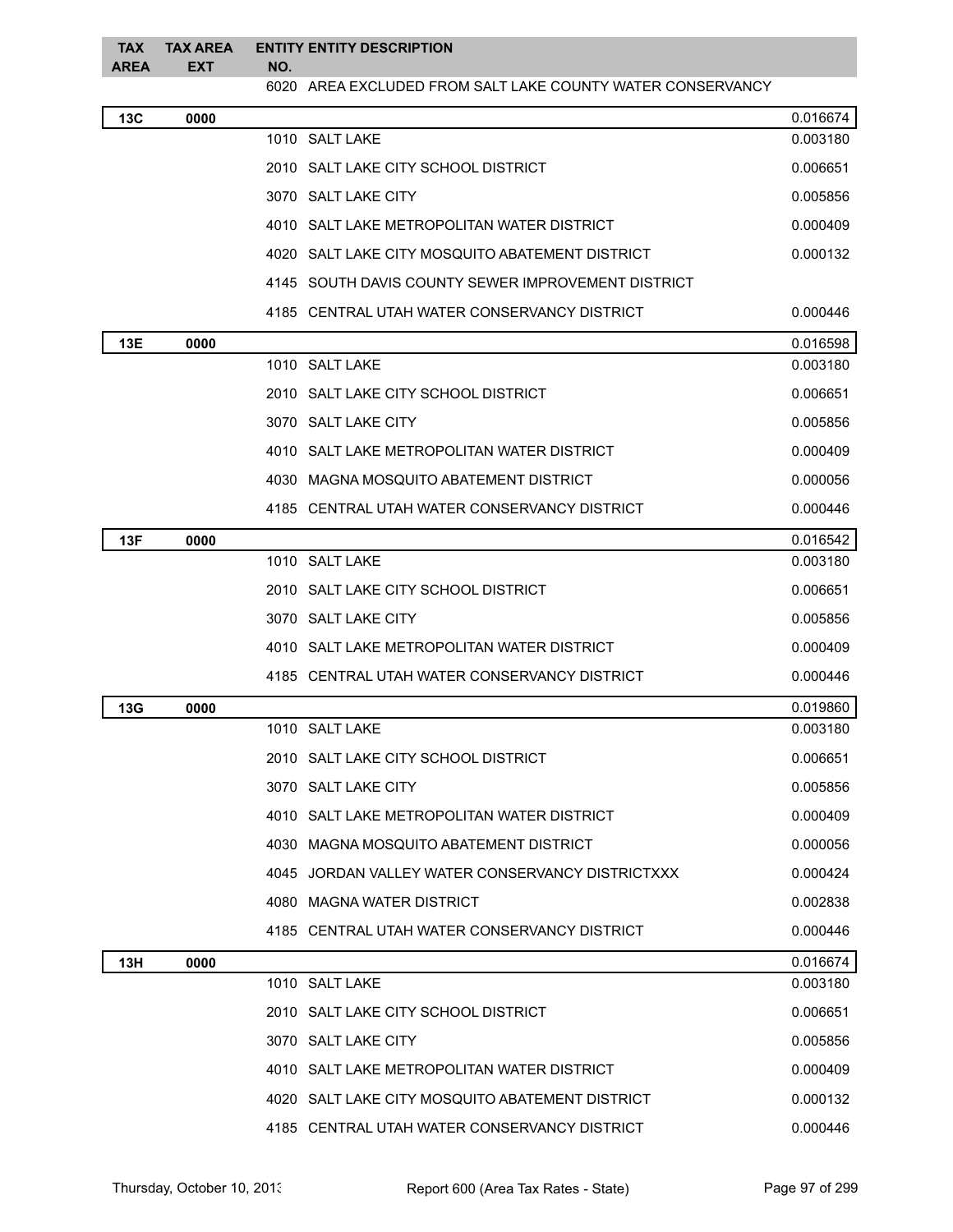| <b>TAX</b><br><b>AREA</b> | <b>TAX AREA</b><br>EXT | NO. | <b>ENTITY ENTITY DESCRIPTION</b>                           |          |
|---------------------------|------------------------|-----|------------------------------------------------------------|----------|
|                           |                        |     | 6020 AREA EXCLUDED FROM SALT LAKE COUNTY WATER CONSERVANCY |          |
| 13C                       | 0000                   |     |                                                            | 0.016674 |
|                           |                        |     | 1010 SALT LAKE                                             | 0.003180 |
|                           |                        |     | 2010 SALT LAKE CITY SCHOOL DISTRICT                        | 0.006651 |
|                           |                        |     | 3070 SALT LAKE CITY                                        | 0.005856 |
|                           |                        |     | 4010 SALT LAKE METROPOLITAN WATER DISTRICT                 | 0.000409 |
|                           |                        |     | 4020 SALT LAKE CITY MOSQUITO ABATEMENT DISTRICT            | 0.000132 |
|                           |                        |     | 4145 SOUTH DAVIS COUNTY SEWER IMPROVEMENT DISTRICT         |          |
|                           |                        |     | 4185   CENTRAL UTAH WATER CONSERVANCY DISTRICT             | 0.000446 |
| 13E                       | 0000                   |     |                                                            | 0.016598 |
|                           |                        |     | 1010 SALT LAKE                                             | 0.003180 |
|                           |                        |     | 2010 SALT LAKE CITY SCHOOL DISTRICT                        | 0.006651 |
|                           |                        |     | 3070 SALT LAKE CITY                                        | 0.005856 |
|                           |                        |     | 4010 SALT LAKE METROPOLITAN WATER DISTRICT                 | 0.000409 |
|                           |                        |     | 4030 MAGNA MOSQUITO ABATEMENT DISTRICT                     | 0.000056 |
|                           |                        |     | 4185   CENTRAL UTAH WATER CONSERVANCY DISTRICT             | 0.000446 |
| 13F                       | 0000                   |     |                                                            | 0.016542 |
|                           |                        |     | 1010 SALT LAKE                                             | 0.003180 |
|                           |                        |     | 2010 SALT LAKE CITY SCHOOL DISTRICT                        | 0.006651 |
|                           |                        |     | 3070 SALT LAKE CITY                                        | 0.005856 |
|                           |                        |     | 4010 SALT LAKE METROPOLITAN WATER DISTRICT                 | 0.000409 |
|                           |                        |     | 4185 CENTRAL UTAH WATER CONSERVANCY DISTRICT               | 0.000446 |
| 13G                       | 0000                   |     |                                                            | 0.019860 |
|                           |                        |     | 1010 SALT LAKE                                             | 0.003180 |
|                           |                        |     | 2010 SALT LAKE CITY SCHOOL DISTRICT                        | 0.006651 |
|                           |                        |     | 3070 SALT LAKE CITY                                        | 0.005856 |
|                           |                        |     | 4010 SALT LAKE METROPOLITAN WATER DISTRICT                 | 0.000409 |
|                           |                        |     | 4030 MAGNA MOSQUITO ABATEMENT DISTRICT                     | 0.000056 |
|                           |                        |     | 4045 JORDAN VALLEY WATER CONSERVANCY DISTRICTXXX           | 0.000424 |
|                           |                        |     | 4080 MAGNA WATER DISTRICT                                  | 0.002838 |
|                           |                        |     | 4185 CENTRAL UTAH WATER CONSERVANCY DISTRICT               | 0.000446 |
| 13H                       | 0000                   |     |                                                            | 0.016674 |
|                           |                        |     | 1010 SALT LAKE                                             | 0.003180 |
|                           |                        |     | 2010 SALT LAKE CITY SCHOOL DISTRICT                        | 0.006651 |
|                           |                        |     | 3070 SALT LAKE CITY                                        | 0.005856 |
|                           |                        |     | 4010 SALT LAKE METROPOLITAN WATER DISTRICT                 | 0.000409 |
|                           |                        |     | 4020 SALT LAKE CITY MOSQUITO ABATEMENT DISTRICT            | 0.000132 |
|                           |                        |     | 4185 CENTRAL UTAH WATER CONSERVANCY DISTRICT               | 0.000446 |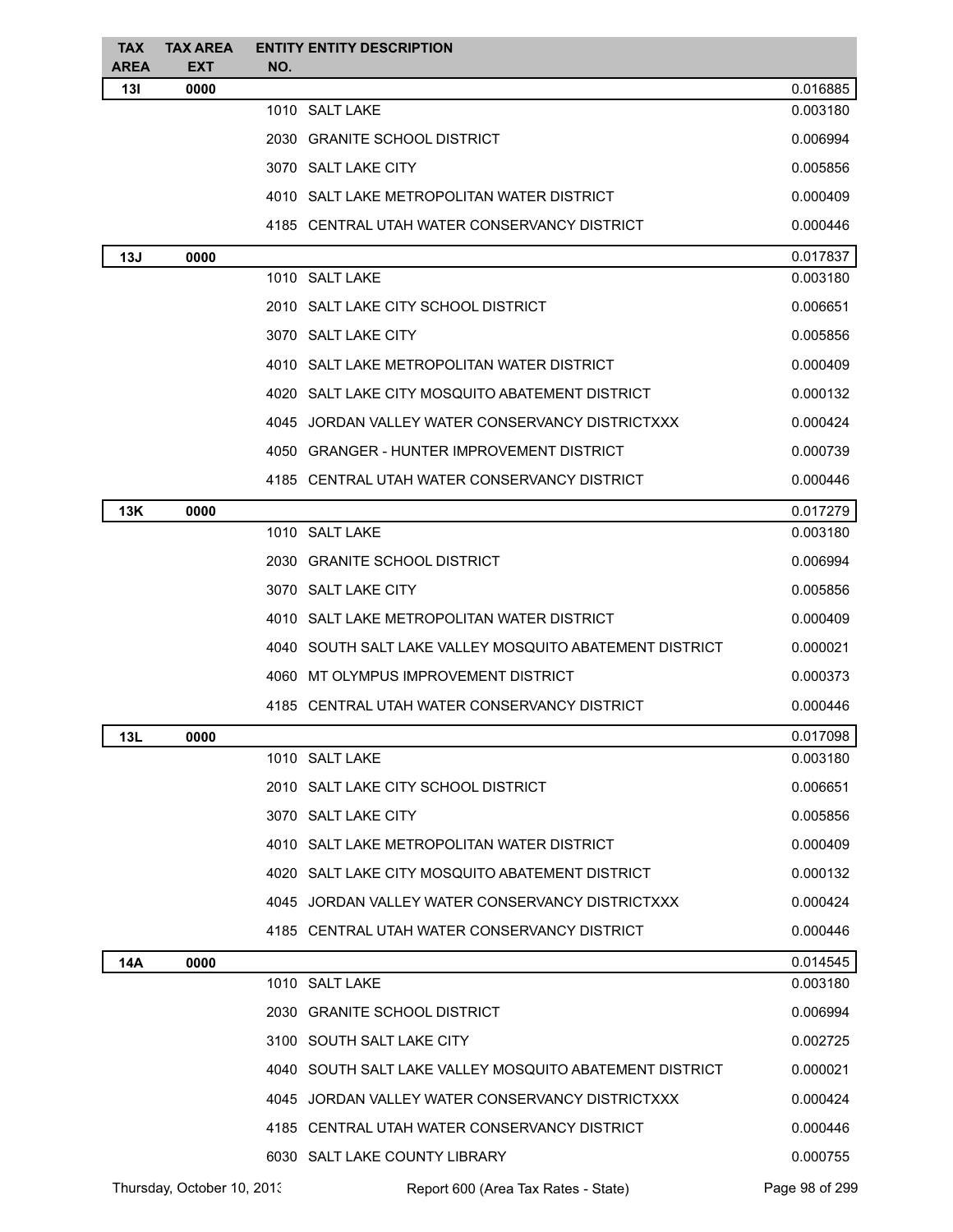| <b>TAX</b><br><b>AREA</b> | <b>TAX AREA</b><br><b>EXT</b> | NO. | <b>ENTITY ENTITY DESCRIPTION</b>                        |                |
|---------------------------|-------------------------------|-----|---------------------------------------------------------|----------------|
| 13I                       | 0000                          |     |                                                         | 0.016885       |
|                           |                               |     | 1010 SALT LAKE                                          | 0.003180       |
|                           |                               |     | 2030 GRANITE SCHOOL DISTRICT                            | 0.006994       |
|                           |                               |     | 3070 SALT LAKE CITY                                     | 0.005856       |
|                           |                               |     | 4010 SALT LAKE METROPOLITAN WATER DISTRICT              | 0.000409       |
|                           |                               |     | 4185 CENTRAL UTAH WATER CONSERVANCY DISTRICT            | 0.000446       |
| 13J                       | 0000                          |     |                                                         | 0.017837       |
|                           |                               |     | 1010 SALT LAKE                                          | 0.003180       |
|                           |                               |     | 2010 SALT LAKE CITY SCHOOL DISTRICT                     | 0.006651       |
|                           |                               |     | 3070 SALT LAKE CITY                                     | 0.005856       |
|                           |                               |     | 4010 SALT LAKE METROPOLITAN WATER DISTRICT              | 0.000409       |
|                           |                               |     | 4020 SALT LAKE CITY MOSQUITO ABATEMENT DISTRICT         | 0.000132       |
|                           |                               |     | 4045 JORDAN VALLEY WATER CONSERVANCY DISTRICTXXX        | 0.000424       |
|                           |                               |     | 4050 GRANGER - HUNTER IMPROVEMENT DISTRICT              | 0.000739       |
|                           |                               |     | 4185 CENTRAL UTAH WATER CONSERVANCY DISTRICT            | 0.000446       |
| 13K                       | 0000                          |     |                                                         | 0.017279       |
|                           |                               |     | 1010 SALT LAKE                                          | 0.003180       |
|                           |                               |     | 2030 GRANITE SCHOOL DISTRICT                            | 0.006994       |
|                           |                               |     | 3070 SALT LAKE CITY                                     | 0.005856       |
|                           |                               |     | 4010 SALT LAKE METROPOLITAN WATER DISTRICT              | 0.000409       |
|                           |                               |     | 4040 SOUTH SALT LAKE VALLEY MOSQUITO ABATEMENT DISTRICT | 0.000021       |
|                           |                               |     | 4060 MT OLYMPUS IMPROVEMENT DISTRICT                    | 0.000373       |
|                           |                               |     | 4185 CENTRAL UTAH WATER CONSERVANCY DISTRICT            | 0.000446       |
| 13L                       | 0000                          |     |                                                         | 0.017098       |
|                           |                               |     | 1010 SALT LAKE                                          | 0.003180       |
|                           |                               |     | 2010 SALT LAKE CITY SCHOOL DISTRICT                     | 0.006651       |
|                           |                               |     | 3070 SALT LAKE CITY                                     | 0.005856       |
|                           |                               |     | 4010 SALT LAKE METROPOLITAN WATER DISTRICT              | 0.000409       |
|                           |                               |     | 4020 SALT LAKE CITY MOSQUITO ABATEMENT DISTRICT         | 0.000132       |
|                           |                               |     | 4045 JORDAN VALLEY WATER CONSERVANCY DISTRICTXXX        | 0.000424       |
|                           |                               |     | 4185 CENTRAL UTAH WATER CONSERVANCY DISTRICT            | 0.000446       |
| 14A                       | 0000                          |     |                                                         | 0.014545       |
|                           |                               |     | 1010 SALT LAKE                                          | 0.003180       |
|                           |                               |     | 2030 GRANITE SCHOOL DISTRICT                            | 0.006994       |
|                           |                               |     | 3100 SOUTH SALT LAKE CITY                               | 0.002725       |
|                           |                               |     | 4040 SOUTH SALT LAKE VALLEY MOSQUITO ABATEMENT DISTRICT | 0.000021       |
|                           |                               |     | 4045 JORDAN VALLEY WATER CONSERVANCY DISTRICTXXX        | 0.000424       |
|                           |                               |     | 4185 CENTRAL UTAH WATER CONSERVANCY DISTRICT            | 0.000446       |
|                           |                               |     | 6030 SALT LAKE COUNTY LIBRARY                           | 0.000755       |
|                           | Thursday, October 10, 2013    |     | Report 600 (Area Tax Rates - State)                     | Page 98 of 299 |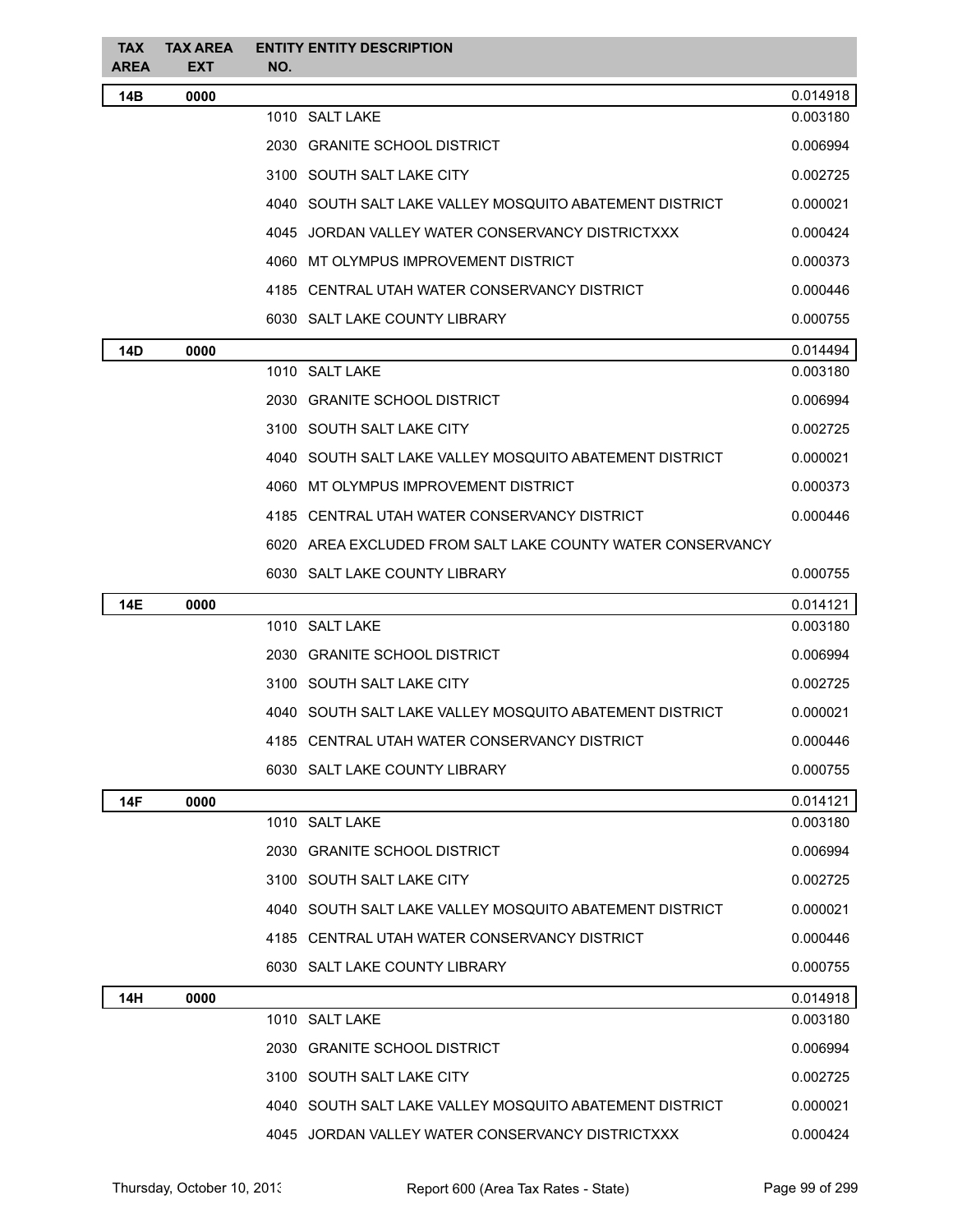| <b>TAX</b><br><b>AREA</b> | <b>TAX AREA</b><br>EXT | <b>ENTITY ENTITY DESCRIPTION</b><br>NO.                    |          |
|---------------------------|------------------------|------------------------------------------------------------|----------|
| 14B                       | 0000                   |                                                            | 0.014918 |
|                           |                        | 1010 SALT LAKE                                             | 0.003180 |
|                           |                        | 2030 GRANITE SCHOOL DISTRICT                               | 0.006994 |
|                           |                        | 3100 SOUTH SALT LAKE CITY                                  | 0.002725 |
|                           |                        | 4040 SOUTH SALT LAKE VALLEY MOSQUITO ABATEMENT DISTRICT    | 0.000021 |
|                           |                        | 4045 JORDAN VALLEY WATER CONSERVANCY DISTRICTXXX           | 0.000424 |
|                           |                        | 4060 MT OLYMPUS IMPROVEMENT DISTRICT                       | 0.000373 |
|                           |                        | 4185 CENTRAL UTAH WATER CONSERVANCY DISTRICT               | 0.000446 |
|                           |                        | 6030 SALT LAKE COUNTY LIBRARY                              | 0.000755 |
| <b>14D</b>                | 0000                   |                                                            | 0.014494 |
|                           |                        | 1010 SALT LAKE                                             | 0.003180 |
|                           |                        | 2030 GRANITE SCHOOL DISTRICT                               | 0.006994 |
|                           |                        | 3100 SOUTH SALT LAKE CITY                                  | 0.002725 |
|                           |                        | 4040 SOUTH SALT LAKE VALLEY MOSQUITO ABATEMENT DISTRICT    | 0.000021 |
|                           |                        | 4060 MT OLYMPUS IMPROVEMENT DISTRICT                       | 0.000373 |
|                           |                        | 4185 CENTRAL UTAH WATER CONSERVANCY DISTRICT               | 0.000446 |
|                           |                        | 6020 AREA EXCLUDED FROM SALT LAKE COUNTY WATER CONSERVANCY |          |
|                           |                        | 6030 SALT LAKE COUNTY LIBRARY                              | 0.000755 |
| <b>14E</b>                | 0000                   |                                                            | 0.014121 |
|                           |                        | 1010 SALT LAKE                                             | 0.003180 |
|                           |                        | 2030 GRANITE SCHOOL DISTRICT                               | 0.006994 |
|                           |                        | 3100 SOUTH SALT LAKE CITY                                  | 0.002725 |
|                           |                        | 4040 SOUTH SALT LAKE VALLEY MOSQUITO ABATEMENT DISTRICT    | 0.000021 |
|                           |                        | 4185 CENTRAL UTAH WATER CONSERVANCY DISTRICT               | 0.000446 |
|                           |                        | 6030 SALT LAKE COUNTY LIBRARY                              | 0.000755 |
| <b>14F</b>                | 0000                   |                                                            | 0.014121 |
|                           |                        | 1010 SALT LAKE                                             | 0.003180 |
|                           |                        | 2030 GRANITE SCHOOL DISTRICT                               | 0.006994 |
|                           |                        | 3100 SOUTH SALT LAKE CITY                                  | 0.002725 |
|                           |                        | 4040 SOUTH SALT LAKE VALLEY MOSQUITO ABATEMENT DISTRICT    | 0.000021 |
|                           |                        | 4185 CENTRAL UTAH WATER CONSERVANCY DISTRICT               | 0.000446 |
|                           |                        | 6030 SALT LAKE COUNTY LIBRARY                              | 0.000755 |
| 14H                       | 0000                   |                                                            | 0.014918 |
|                           |                        | 1010 SALT LAKE                                             | 0.003180 |
|                           |                        | 2030 GRANITE SCHOOL DISTRICT                               | 0.006994 |
|                           |                        | 3100 SOUTH SALT LAKE CITY                                  | 0.002725 |
|                           |                        | 4040 SOUTH SALT LAKE VALLEY MOSQUITO ABATEMENT DISTRICT    | 0.000021 |
|                           |                        | 4045 JORDAN VALLEY WATER CONSERVANCY DISTRICTXXX           | 0.000424 |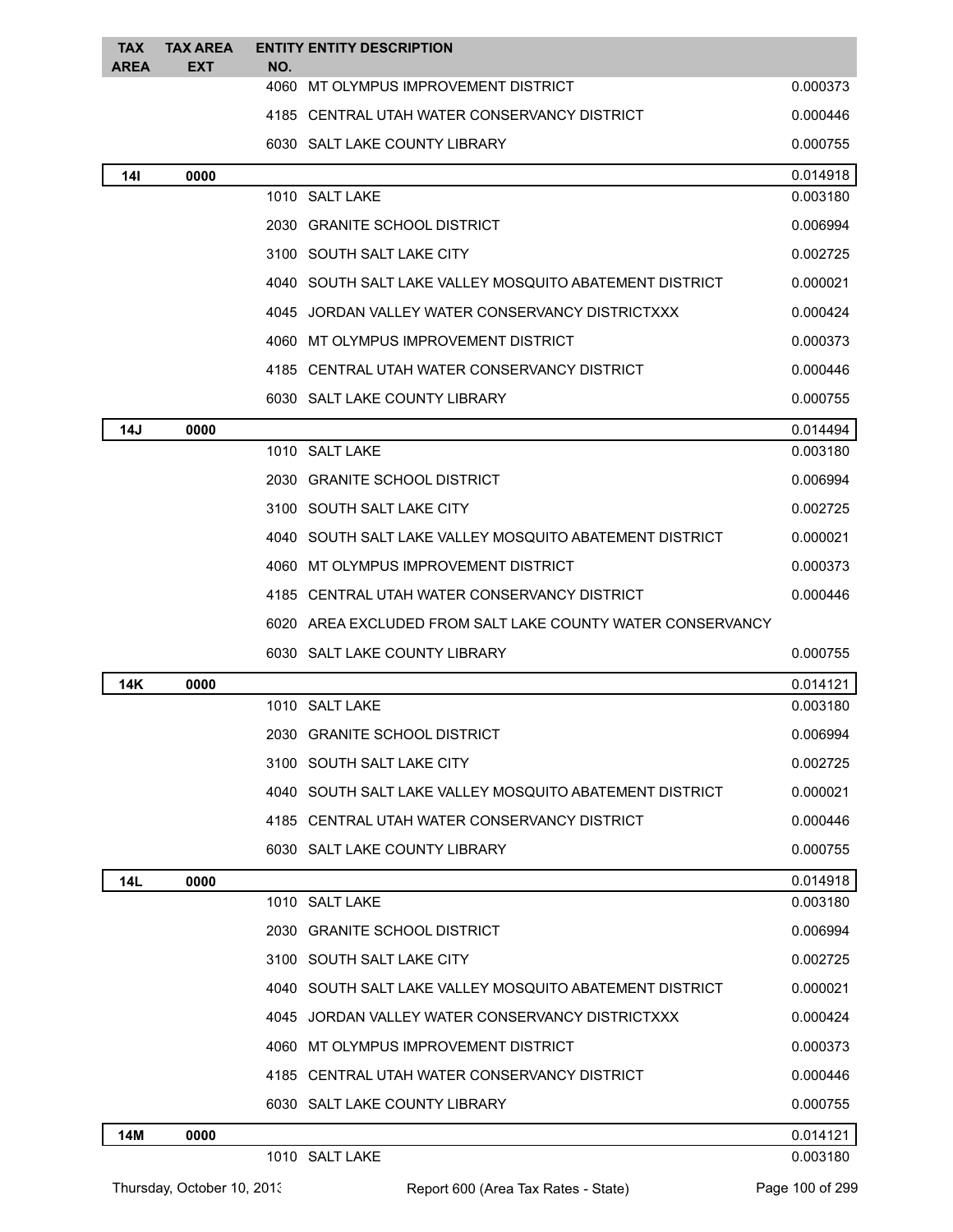| <b>TAX</b><br><b>AREA</b> | TAX AREA<br><b>EXT</b> | NO. | <b>ENTITY ENTITY DESCRIPTION</b>                             |          |
|---------------------------|------------------------|-----|--------------------------------------------------------------|----------|
|                           |                        |     | 4060 MT OLYMPUS IMPROVEMENT DISTRICT                         | 0.000373 |
|                           |                        |     | 4185 CENTRAL UTAH WATER CONSERVANCY DISTRICT                 | 0.000446 |
|                           |                        |     | 6030 SALT LAKE COUNTY LIBRARY                                | 0.000755 |
| 141                       | 0000                   |     |                                                              | 0.014918 |
|                           |                        |     | 1010 SALT LAKE                                               | 0.003180 |
|                           |                        |     | 2030 GRANITE SCHOOL DISTRICT                                 | 0.006994 |
|                           |                        |     | 3100 SOUTH SALT LAKE CITY                                    | 0.002725 |
|                           |                        |     | 4040   SOUTH SALT LAKE VALLEY MOSQUITO ABATEMENT DISTRICT    | 0.000021 |
|                           |                        |     | 4045 JORDAN VALLEY WATER CONSERVANCY DISTRICTXXX             | 0.000424 |
|                           |                        |     | 4060 MT OLYMPUS IMPROVEMENT DISTRICT                         | 0.000373 |
|                           |                        |     | 4185 CENTRAL UTAH WATER CONSERVANCY DISTRICT                 | 0.000446 |
|                           |                        |     | 6030 SALT LAKE COUNTY LIBRARY                                | 0.000755 |
| 14J                       | 0000                   |     |                                                              | 0.014494 |
|                           |                        |     | 1010 SALT LAKE                                               | 0.003180 |
|                           |                        |     | 2030 GRANITE SCHOOL DISTRICT                                 | 0.006994 |
|                           |                        |     | 3100 SOUTH SALT LAKE CITY                                    | 0.002725 |
|                           |                        |     | 4040 SOUTH SALT LAKE VALLEY MOSQUITO ABATEMENT DISTRICT      | 0.000021 |
|                           |                        |     | 4060 MT OLYMPUS IMPROVEMENT DISTRICT                         | 0.000373 |
|                           |                        |     | 4185 CENTRAL UTAH WATER CONSERVANCY DISTRICT                 | 0.000446 |
|                           |                        |     | 6020   AREA EXCLUDED FROM SALT LAKE COUNTY WATER CONSERVANCY |          |
|                           |                        |     | 6030 SALT LAKE COUNTY LIBRARY                                | 0.000755 |
| 14K                       | 0000                   |     |                                                              | 0.014121 |
|                           |                        |     | 1010 SALT LAKE                                               | 0.003180 |
|                           |                        |     | 2030 GRANITE SCHOOL DISTRICT                                 | 0.006994 |
|                           |                        |     | 3100 SOUTH SALT LAKE CITY                                    | 0.002725 |
|                           |                        |     | 4040 SOUTH SALT LAKE VALLEY MOSQUITO ABATEMENT DISTRICT      | 0.000021 |
|                           |                        |     | 4185 CENTRAL UTAH WATER CONSERVANCY DISTRICT                 | 0.000446 |
|                           |                        |     | 6030 SALT LAKE COUNTY LIBRARY                                | 0.000755 |
| 14L                       | 0000                   |     |                                                              | 0.014918 |
|                           |                        |     | 1010 SALT LAKE                                               | 0.003180 |
|                           |                        |     | 2030 GRANITE SCHOOL DISTRICT                                 | 0.006994 |
|                           |                        |     | 3100 SOUTH SALT LAKE CITY                                    | 0.002725 |
|                           |                        |     | 4040 SOUTH SALT LAKE VALLEY MOSQUITO ABATEMENT DISTRICT      | 0.000021 |
|                           |                        |     | 4045 JORDAN VALLEY WATER CONSERVANCY DISTRICTXXX             | 0.000424 |
|                           |                        |     | 4060 MT OLYMPUS IMPROVEMENT DISTRICT                         | 0.000373 |
|                           |                        |     | 4185 CENTRAL UTAH WATER CONSERVANCY DISTRICT                 | 0.000446 |
|                           |                        |     | 6030 SALT LAKE COUNTY LIBRARY                                | 0.000755 |
| 14M                       | 0000                   |     |                                                              | 0.014121 |
|                           |                        |     | 1010 SALT LAKE                                               | 0.003180 |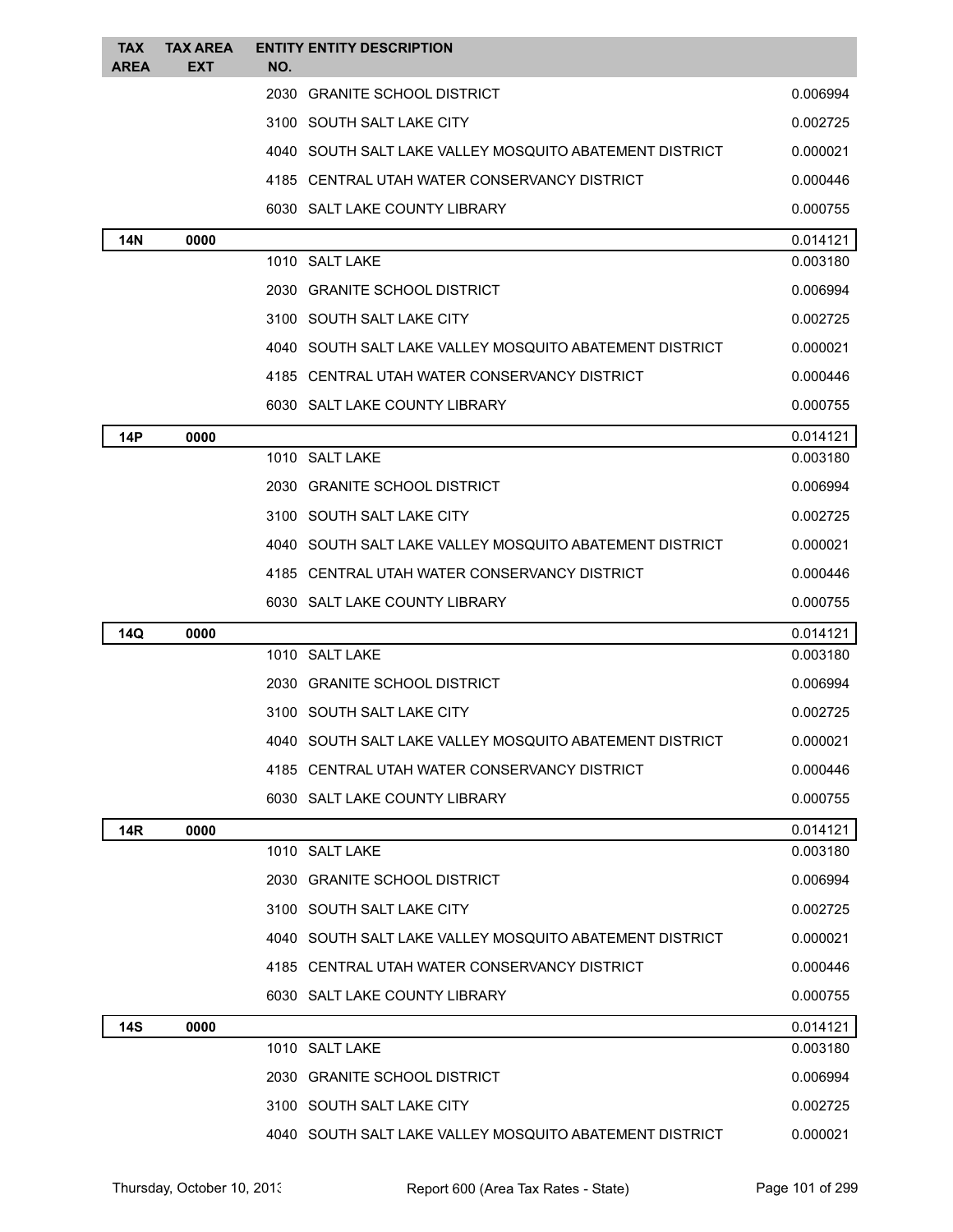| <b>TAX</b><br><b>AREA</b> | <b>TAX AREA</b><br><b>EXT</b> | <b>ENTITY ENTITY DESCRIPTION</b><br>NO.                 |          |
|---------------------------|-------------------------------|---------------------------------------------------------|----------|
|                           |                               | 2030 GRANITE SCHOOL DISTRICT                            | 0.006994 |
|                           |                               | 3100 SOUTH SALT LAKE CITY                               | 0.002725 |
|                           |                               | 4040 SOUTH SALT LAKE VALLEY MOSQUITO ABATEMENT DISTRICT | 0.000021 |
|                           |                               | 4185 CENTRAL UTAH WATER CONSERVANCY DISTRICT            | 0.000446 |
|                           |                               | 6030 SALT LAKE COUNTY LIBRARY                           | 0.000755 |
| 14N                       | 0000                          |                                                         | 0.014121 |
|                           |                               | 1010 SALT LAKE                                          | 0.003180 |
|                           |                               | 2030 GRANITE SCHOOL DISTRICT                            | 0.006994 |
|                           |                               | 3100 SOUTH SALT LAKE CITY                               | 0.002725 |
|                           |                               | 4040 SOUTH SALT LAKE VALLEY MOSQUITO ABATEMENT DISTRICT | 0.000021 |
|                           |                               | 4185 CENTRAL UTAH WATER CONSERVANCY DISTRICT            | 0.000446 |
|                           |                               | 6030 SALT LAKE COUNTY LIBRARY                           | 0.000755 |
| 14P                       | 0000                          |                                                         | 0.014121 |
|                           |                               | 1010 SALT LAKE                                          | 0.003180 |
|                           |                               | 2030 GRANITE SCHOOL DISTRICT                            | 0.006994 |
|                           |                               | 3100 SOUTH SALT LAKE CITY                               | 0.002725 |
|                           |                               | 4040 SOUTH SALT LAKE VALLEY MOSQUITO ABATEMENT DISTRICT | 0.000021 |
|                           |                               | 4185 CENTRAL UTAH WATER CONSERVANCY DISTRICT            | 0.000446 |
|                           |                               | 6030 SALT LAKE COUNTY LIBRARY                           | 0.000755 |
| 14Q                       | 0000                          |                                                         | 0.014121 |
|                           |                               | 1010 SALT LAKE                                          | 0.003180 |
|                           |                               | 2030 GRANITE SCHOOL DISTRICT                            | 0.006994 |
|                           |                               | 3100 SOUTH SALT LAKE CITY                               | 0.002725 |
|                           |                               | 4040 SOUTH SALT LAKE VALLEY MOSQUITO ABATEMENT DISTRICT | 0.000021 |
|                           |                               | 4185 CENTRAL UTAH WATER CONSERVANCY DISTRICT            | 0.000446 |
|                           |                               | 6030 SALT LAKE COUNTY LIBRARY                           | 0.000755 |
| <b>14R</b>                | 0000                          |                                                         | 0.014121 |
|                           |                               | 1010 SALT LAKE                                          | 0.003180 |
|                           |                               | 2030 GRANITE SCHOOL DISTRICT                            | 0.006994 |
|                           |                               | 3100 SOUTH SALT LAKE CITY                               | 0.002725 |
|                           |                               | 4040 SOUTH SALT LAKE VALLEY MOSQUITO ABATEMENT DISTRICT | 0.000021 |
|                           |                               | 4185 CENTRAL UTAH WATER CONSERVANCY DISTRICT            | 0.000446 |
|                           |                               | 6030 SALT LAKE COUNTY LIBRARY                           | 0.000755 |
| <b>14S</b>                | 0000                          |                                                         | 0.014121 |
|                           |                               | 1010 SALT LAKE                                          | 0.003180 |
|                           |                               | 2030 GRANITE SCHOOL DISTRICT                            | 0.006994 |
|                           |                               | 3100 SOUTH SALT LAKE CITY                               | 0.002725 |
|                           |                               | 4040 SOUTH SALT LAKE VALLEY MOSQUITO ABATEMENT DISTRICT | 0.000021 |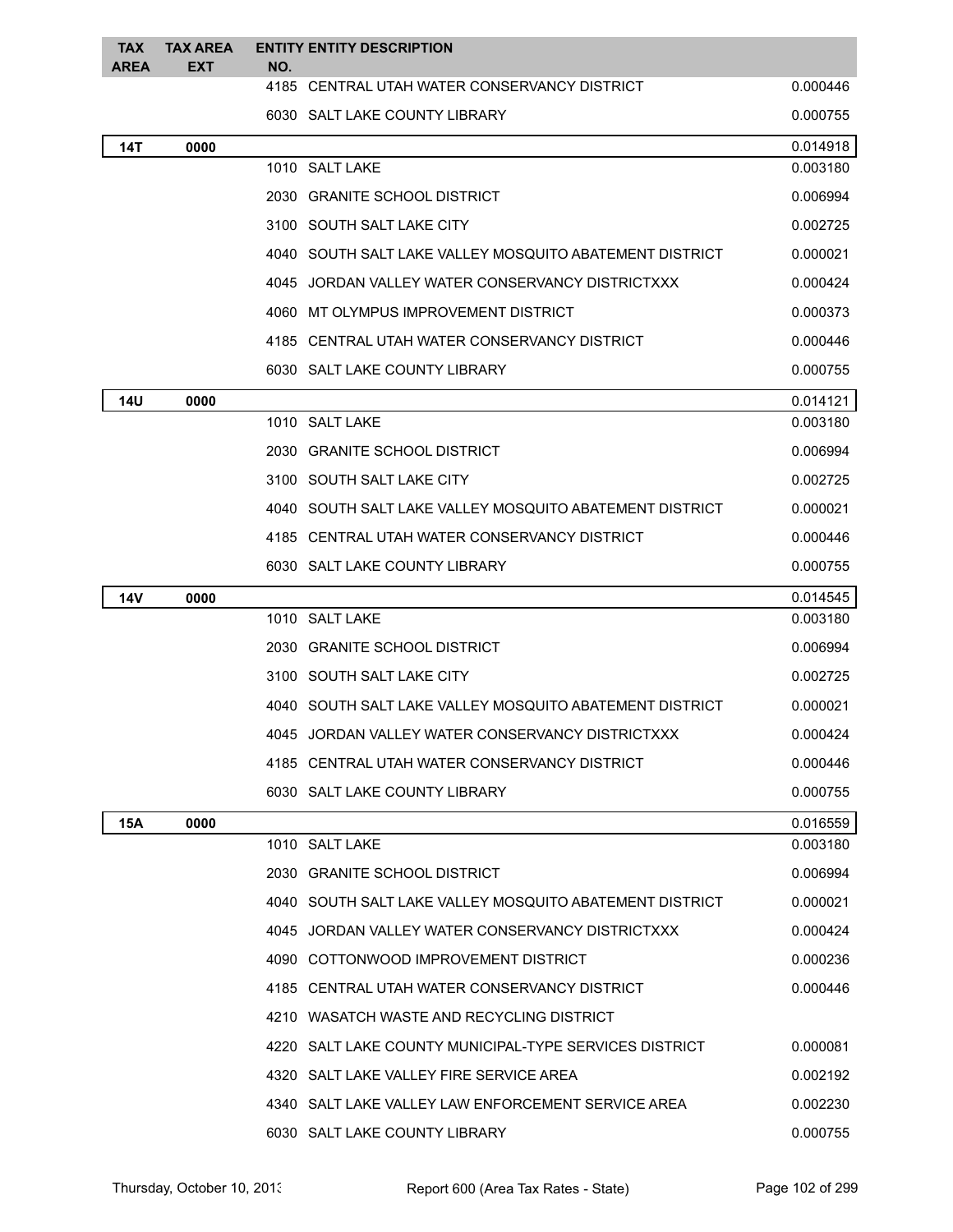| <b>TAX</b><br><b>AREA</b> | <b>TAX AREA</b><br><b>EXT</b> | NO. | <b>ENTITY ENTITY DESCRIPTION</b>                        |          |
|---------------------------|-------------------------------|-----|---------------------------------------------------------|----------|
|                           |                               |     | 4185 CENTRAL UTAH WATER CONSERVANCY DISTRICT            | 0.000446 |
|                           |                               |     | 6030 SALT LAKE COUNTY LIBRARY                           | 0.000755 |
| <b>14T</b>                | 0000                          |     |                                                         | 0.014918 |
|                           |                               |     | 1010 SALT LAKE                                          | 0.003180 |
|                           |                               |     | 2030 GRANITE SCHOOL DISTRICT                            | 0.006994 |
|                           |                               |     | 3100 SOUTH SALT LAKE CITY                               | 0.002725 |
|                           |                               |     | 4040 SOUTH SALT LAKE VALLEY MOSQUITO ABATEMENT DISTRICT | 0.000021 |
|                           |                               |     | 4045 JORDAN VALLEY WATER CONSERVANCY DISTRICTXXX        | 0.000424 |
|                           |                               |     | 4060 MT OLYMPUS IMPROVEMENT DISTRICT                    | 0.000373 |
|                           |                               |     | 4185 CENTRAL UTAH WATER CONSERVANCY DISTRICT            | 0.000446 |
|                           |                               |     | 6030 SALT LAKE COUNTY LIBRARY                           | 0.000755 |
| 14U                       | 0000                          |     |                                                         | 0.014121 |
|                           |                               |     | 1010 SALT LAKE                                          | 0.003180 |
|                           |                               |     | 2030 GRANITE SCHOOL DISTRICT                            | 0.006994 |
|                           |                               |     | 3100 SOUTH SALT LAKE CITY                               | 0.002725 |
|                           |                               |     | 4040 SOUTH SALT LAKE VALLEY MOSQUITO ABATEMENT DISTRICT | 0.000021 |
|                           |                               |     | 4185 CENTRAL UTAH WATER CONSERVANCY DISTRICT            | 0.000446 |
|                           |                               |     | 6030 SALT LAKE COUNTY LIBRARY                           | 0.000755 |
| 14V                       | 0000                          |     |                                                         | 0.014545 |
|                           |                               |     | 1010 SALT LAKE                                          | 0.003180 |
|                           |                               |     | 2030 GRANITE SCHOOL DISTRICT                            | 0.006994 |
|                           |                               |     | 3100 SOUTH SALT LAKE CITY                               | 0.002725 |
|                           |                               |     | 4040 SOUTH SALT LAKE VALLEY MOSQUITO ABATEMENT DISTRICT | 0.000021 |
|                           |                               |     | 4045 JORDAN VALLEY WATER CONSERVANCY DISTRICTXXX        | 0.000424 |
|                           |                               |     | 4185 CENTRAL UTAH WATER CONSERVANCY DISTRICT            | 0.000446 |
|                           |                               |     | 6030 SALT LAKE COUNTY LIBRARY                           | 0.000755 |
| 15A                       | 0000                          |     |                                                         | 0.016559 |
|                           |                               |     | 1010 SALT LAKE                                          | 0.003180 |
|                           |                               |     | 2030 GRANITE SCHOOL DISTRICT                            | 0.006994 |
|                           |                               |     | 4040 SOUTH SALT LAKE VALLEY MOSQUITO ABATEMENT DISTRICT | 0.000021 |
|                           |                               |     | 4045 JORDAN VALLEY WATER CONSERVANCY DISTRICTXXX        | 0.000424 |
|                           |                               |     | 4090 COTTONWOOD IMPROVEMENT DISTRICT                    | 0.000236 |
|                           |                               |     | 4185 CENTRAL UTAH WATER CONSERVANCY DISTRICT            | 0.000446 |
|                           |                               |     | 4210 WASATCH WASTE AND RECYCLING DISTRICT               |          |
|                           |                               |     | 4220 SALT LAKE COUNTY MUNICIPAL-TYPE SERVICES DISTRICT  | 0.000081 |
|                           |                               |     | 4320 SALT LAKE VALLEY FIRE SERVICE AREA                 | 0.002192 |
|                           |                               |     | 4340 SALT LAKE VALLEY LAW ENFORCEMENT SERVICE AREA      | 0.002230 |
|                           |                               |     | 6030 SALT LAKE COUNTY LIBRARY                           | 0.000755 |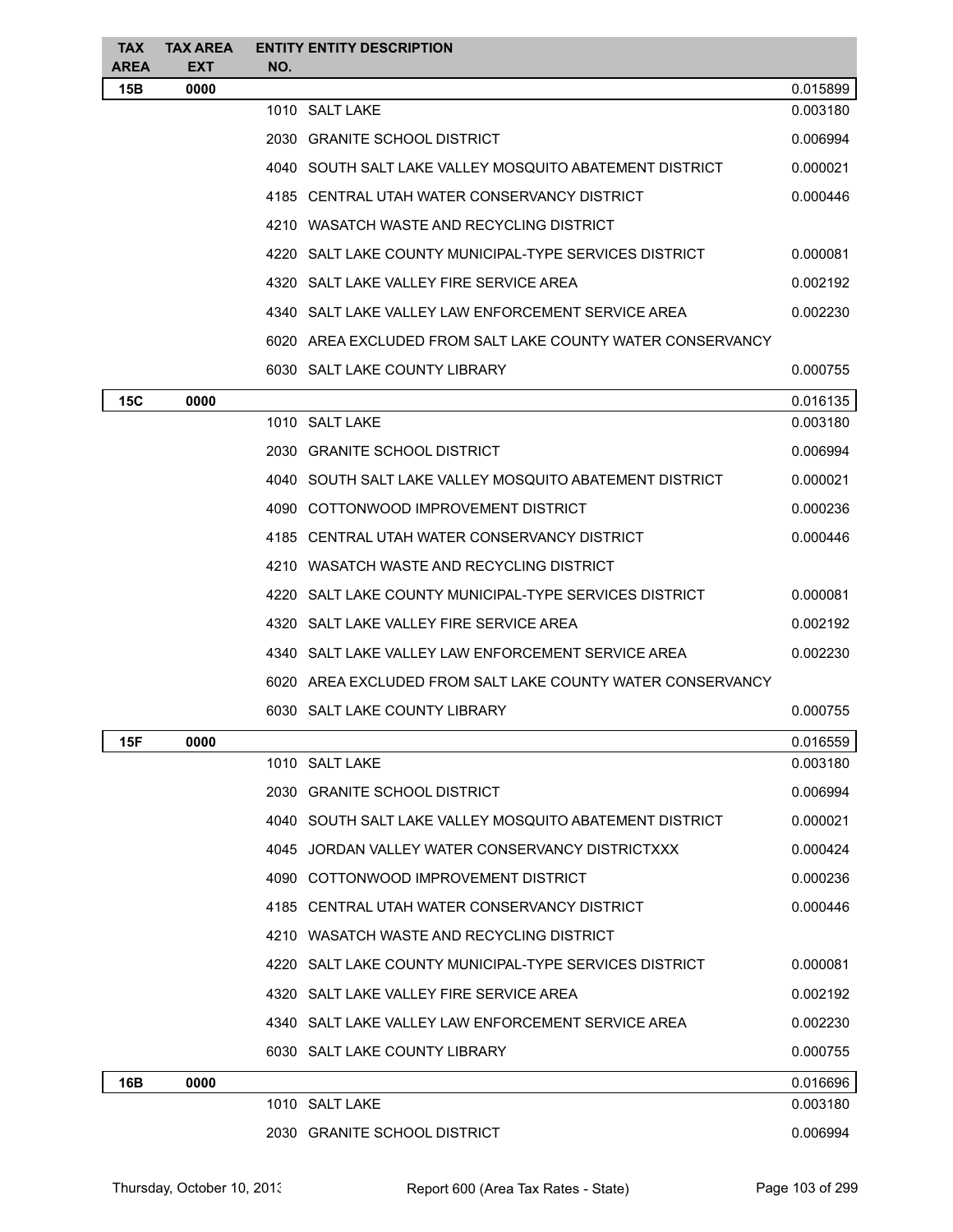| TAX.<br><b>AREA</b> | <b>TAX AREA</b><br><b>EXT</b> | NO. | <b>ENTITY ENTITY DESCRIPTION</b>                           |          |
|---------------------|-------------------------------|-----|------------------------------------------------------------|----------|
| 15B                 | 0000                          |     |                                                            | 0.015899 |
|                     |                               |     | 1010 SALT LAKE                                             | 0.003180 |
|                     |                               |     | 2030 GRANITE SCHOOL DISTRICT                               | 0.006994 |
|                     |                               |     | 4040 SOUTH SALT LAKE VALLEY MOSQUITO ABATEMENT DISTRICT    | 0.000021 |
|                     |                               |     | 4185 CENTRAL UTAH WATER CONSERVANCY DISTRICT               | 0.000446 |
|                     |                               |     | 4210 WASATCH WASTE AND RECYCLING DISTRICT                  |          |
|                     |                               |     | 4220 SALT LAKE COUNTY MUNICIPAL-TYPE SERVICES DISTRICT     | 0.000081 |
|                     |                               |     | 4320 SALT LAKE VALLEY FIRE SERVICE AREA                    | 0.002192 |
|                     |                               |     | 4340 SALT LAKE VALLEY LAW ENFORCEMENT SERVICE AREA         | 0.002230 |
|                     |                               |     | 6020 AREA EXCLUDED FROM SALT LAKE COUNTY WATER CONSERVANCY |          |
|                     |                               |     | 6030 SALT LAKE COUNTY LIBRARY                              | 0.000755 |
| 15C                 | 0000                          |     |                                                            | 0.016135 |
|                     |                               |     | 1010 SALT LAKE                                             | 0.003180 |
|                     |                               |     | 2030 GRANITE SCHOOL DISTRICT                               | 0.006994 |
|                     |                               |     | 4040   SOUTH SALT LAKE VALLEY MOSQUITO ABATEMENT DISTRICT  | 0.000021 |
|                     |                               |     | 4090 COTTONWOOD IMPROVEMENT DISTRICT                       | 0.000236 |
|                     |                               |     | 4185 CENTRAL UTAH WATER CONSERVANCY DISTRICT               | 0.000446 |
|                     |                               |     | 4210 WASATCH WASTE AND RECYCLING DISTRICT                  |          |
|                     |                               |     | 4220 SALT LAKE COUNTY MUNICIPAL-TYPE SERVICES DISTRICT     | 0.000081 |
|                     |                               |     | 4320 SALT LAKE VALLEY FIRE SERVICE AREA                    | 0.002192 |
|                     |                               |     | 4340 SALT LAKE VALLEY LAW ENFORCEMENT SERVICE AREA         | 0.002230 |
|                     |                               |     | 6020 AREA EXCLUDED FROM SALT LAKE COUNTY WATER CONSERVANCY |          |
|                     |                               |     | 6030 SALT LAKE COUNTY LIBRARY                              | 0.000755 |
| 15F                 | 0000                          |     |                                                            | 0.016559 |
|                     |                               |     | 1010 SALT LAKE                                             | 0.003180 |
|                     |                               |     | 2030 GRANITE SCHOOL DISTRICT                               | 0.006994 |
|                     |                               |     | 4040 SOUTH SALT LAKE VALLEY MOSQUITO ABATEMENT DISTRICT    | 0.000021 |
|                     |                               |     | 4045 JORDAN VALLEY WATER CONSERVANCY DISTRICTXXX           | 0.000424 |
|                     |                               |     | 4090 COTTONWOOD IMPROVEMENT DISTRICT                       | 0.000236 |
|                     |                               |     | 4185 CENTRAL UTAH WATER CONSERVANCY DISTRICT               | 0.000446 |
|                     |                               |     | 4210 WASATCH WASTE AND RECYCLING DISTRICT                  |          |
|                     |                               |     | 4220 SALT LAKE COUNTY MUNICIPAL-TYPE SERVICES DISTRICT     | 0.000081 |
|                     |                               |     | 4320 SALT LAKE VALLEY FIRE SERVICE AREA                    | 0.002192 |
|                     |                               |     | 4340 SALT LAKE VALLEY LAW ENFORCEMENT SERVICE AREA         | 0.002230 |
|                     |                               |     | 6030 SALT LAKE COUNTY LIBRARY                              | 0.000755 |
| 16B                 | 0000                          |     |                                                            | 0.016696 |
|                     |                               |     | 1010 SALT LAKE                                             | 0.003180 |
|                     |                               |     | 2030 GRANITE SCHOOL DISTRICT                               | 0.006994 |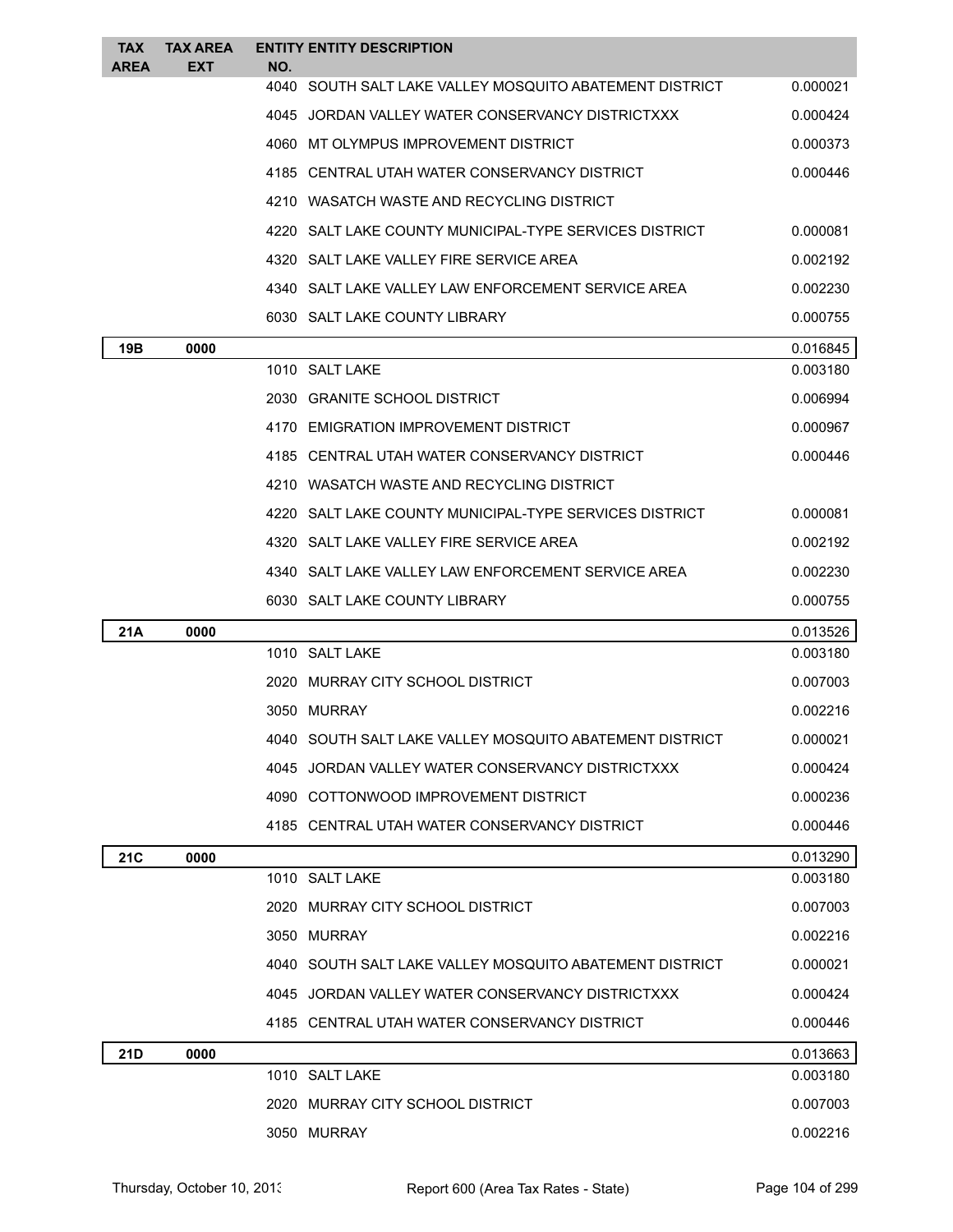| <b>TAX</b><br><b>AREA</b> | <b>TAX AREA</b><br><b>EXT</b> | <b>ENTITY ENTITY DESCRIPTION</b><br>NO.                   |          |
|---------------------------|-------------------------------|-----------------------------------------------------------|----------|
|                           |                               | 4040   SOUTH SALT LAKE VALLEY MOSQUITO ABATEMENT DISTRICT | 0.000021 |
|                           |                               | 4045 JORDAN VALLEY WATER CONSERVANCY DISTRICTXXX          | 0.000424 |
|                           |                               | 4060   MT OLYMPUS IMPROVEMENT DISTRICT                    | 0.000373 |
|                           |                               | 4185 CENTRAL UTAH WATER CONSERVANCY DISTRICT              | 0.000446 |
|                           |                               | 4210 WASATCH WASTE AND RECYCLING DISTRICT                 |          |
|                           |                               | 4220 SALT LAKE COUNTY MUNICIPAL-TYPE SERVICES DISTRICT    | 0.000081 |
|                           |                               | 4320 SALT LAKE VALLEY FIRE SERVICE AREA                   | 0.002192 |
|                           |                               | 4340 SALT LAKE VALLEY LAW ENFORCEMENT SERVICE AREA        | 0.002230 |
|                           |                               | 6030 SALT LAKE COUNTY LIBRARY                             | 0.000755 |
| 19B                       | 0000                          |                                                           | 0.016845 |
|                           |                               | 1010 SALT LAKE                                            | 0.003180 |
|                           |                               | 2030 GRANITE SCHOOL DISTRICT                              | 0.006994 |
|                           |                               | 4170 EMIGRATION IMPROVEMENT DISTRICT                      | 0.000967 |
|                           |                               | 4185 CENTRAL UTAH WATER CONSERVANCY DISTRICT              | 0.000446 |
|                           |                               | 4210 WASATCH WASTE AND RECYCLING DISTRICT                 |          |
|                           |                               | 4220 SALT LAKE COUNTY MUNICIPAL-TYPE SERVICES DISTRICT    | 0.000081 |
|                           |                               | 4320 SALT LAKE VALLEY FIRE SERVICE AREA                   | 0.002192 |
|                           |                               | 4340   SALT LAKE VALLEY LAW ENFORCEMENT SERVICE AREA      | 0.002230 |
|                           |                               | 6030 SALT LAKE COUNTY LIBRARY                             | 0.000755 |
| 21A                       | 0000                          |                                                           | 0.013526 |
|                           |                               | 1010 SALT LAKE                                            | 0.003180 |
|                           |                               | 2020 MURRAY CITY SCHOOL DISTRICT                          | 0.007003 |
|                           |                               | 3050 MURRAY                                               | 0.002216 |
|                           |                               | 4040 SOUTH SALT LAKE VALLEY MOSQUITO ABATEMENT DISTRICT   | 0.000021 |
|                           |                               | 4045 JORDAN VALLEY WATER CONSERVANCY DISTRICTXXX          | 0.000424 |
|                           |                               | 4090 COTTONWOOD IMPROVEMENT DISTRICT                      | 0.000236 |
|                           |                               | 4185 CENTRAL UTAH WATER CONSERVANCY DISTRICT              | 0.000446 |
| 21C                       | 0000                          |                                                           | 0.013290 |
|                           |                               | 1010 SALT LAKE                                            | 0.003180 |
|                           |                               | 2020 MURRAY CITY SCHOOL DISTRICT                          | 0.007003 |
|                           |                               | 3050 MURRAY                                               | 0.002216 |
|                           |                               | 4040   SOUTH SALT LAKE VALLEY MOSQUITO ABATEMENT DISTRICT | 0.000021 |
|                           |                               | 4045 JORDAN VALLEY WATER CONSERVANCY DISTRICTXXX          | 0.000424 |
|                           |                               | 4185   CENTRAL UTAH WATER CONSERVANCY DISTRICT            | 0.000446 |
| 21D                       | 0000                          |                                                           | 0.013663 |
|                           |                               | 1010 SALT LAKE                                            | 0.003180 |
|                           |                               | 2020 MURRAY CITY SCHOOL DISTRICT                          | 0.007003 |
|                           |                               | 3050 MURRAY                                               | 0.002216 |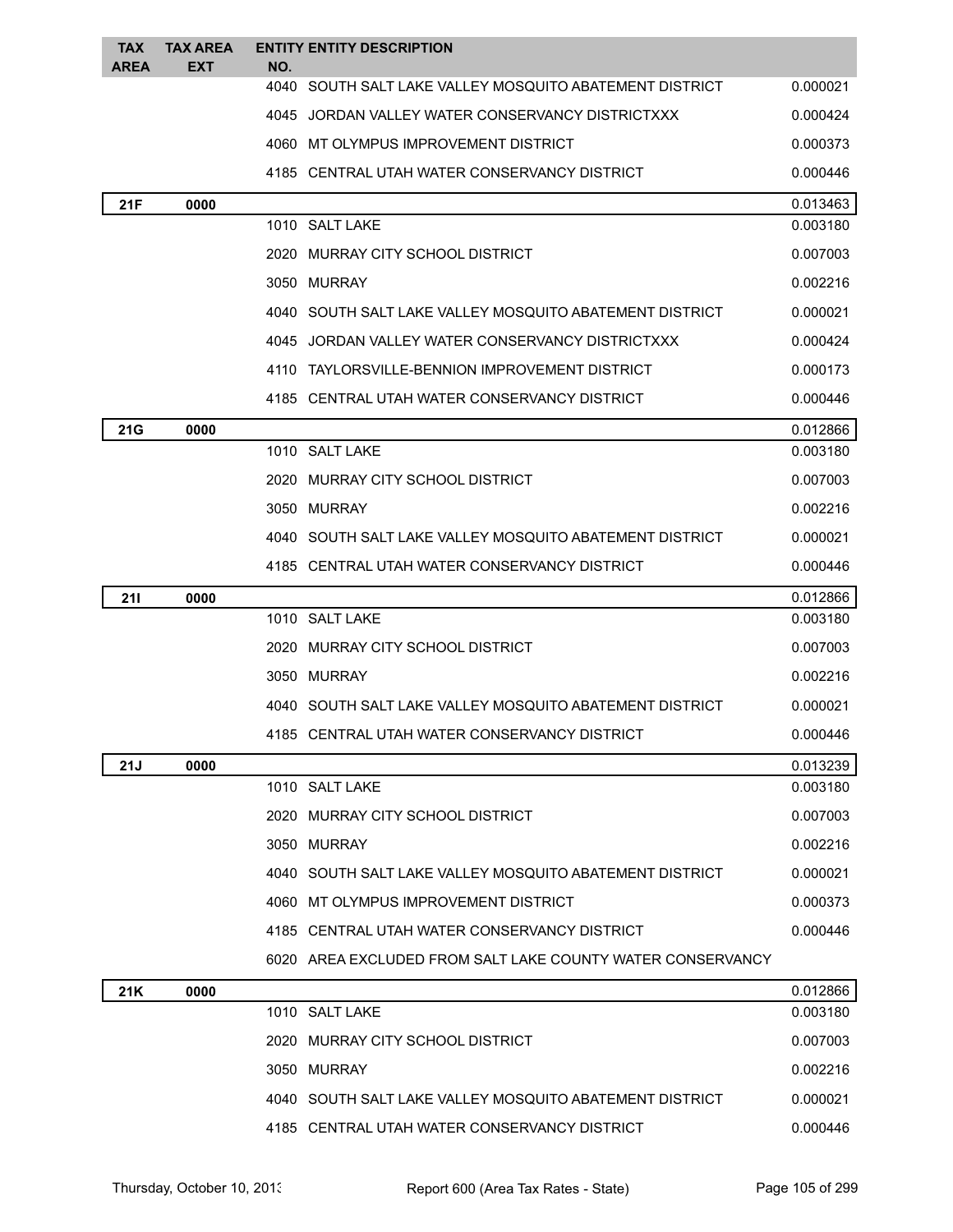| <b>TAX</b><br>AREA | <b>TAX AREA</b><br>EXT | NO. | <b>ENTITY ENTITY DESCRIPTION</b>                           |          |
|--------------------|------------------------|-----|------------------------------------------------------------|----------|
|                    |                        |     | 4040 SOUTH SALT LAKE VALLEY MOSQUITO ABATEMENT DISTRICT    | 0.000021 |
|                    |                        |     | 4045 JORDAN VALLEY WATER CONSERVANCY DISTRICTXXX           | 0.000424 |
|                    |                        |     | 4060 MT OLYMPUS IMPROVEMENT DISTRICT                       | 0.000373 |
|                    |                        |     | 4185 CENTRAL UTAH WATER CONSERVANCY DISTRICT               | 0.000446 |
| 21F                | 0000                   |     |                                                            | 0.013463 |
|                    |                        |     | 1010 SALT LAKE                                             | 0.003180 |
|                    |                        |     | 2020 MURRAY CITY SCHOOL DISTRICT                           | 0.007003 |
|                    |                        |     | 3050 MURRAY                                                | 0.002216 |
|                    |                        |     | 4040   SOUTH SALT LAKE VALLEY MOSQUITO ABATEMENT DISTRICT  | 0.000021 |
|                    |                        |     | 4045 JORDAN VALLEY WATER CONSERVANCY DISTRICTXXX           | 0.000424 |
|                    |                        |     | 4110 TAYLORSVILLE-BENNION IMPROVEMENT DISTRICT             | 0.000173 |
|                    |                        |     | 4185 CENTRAL UTAH WATER CONSERVANCY DISTRICT               | 0.000446 |
| 21G                | 0000                   |     |                                                            | 0.012866 |
|                    |                        |     | 1010 SALT LAKE                                             | 0.003180 |
|                    |                        |     | 2020 MURRAY CITY SCHOOL DISTRICT                           | 0.007003 |
|                    |                        |     | 3050 MURRAY                                                | 0.002216 |
|                    |                        |     | 4040 SOUTH SALT LAKE VALLEY MOSQUITO ABATEMENT DISTRICT    | 0.000021 |
|                    |                        |     | 4185 CENTRAL UTAH WATER CONSERVANCY DISTRICT               | 0.000446 |
| <b>211</b>         | 0000                   |     |                                                            | 0.012866 |
|                    |                        |     | 1010 SALT LAKE                                             | 0.003180 |
|                    |                        |     | 2020 MURRAY CITY SCHOOL DISTRICT                           | 0.007003 |
|                    |                        |     | 3050 MURRAY                                                | 0.002216 |
|                    |                        |     | 4040 SOUTH SALT LAKE VALLEY MOSQUITO ABATEMENT DISTRICT    | 0.000021 |
|                    |                        |     | 4185 CENTRAL UTAH WATER CONSERVANCY DISTRICT               | 0.000446 |
| 21J                | 0000                   |     |                                                            | 0.013239 |
|                    |                        |     | 1010 SALT LAKE                                             | 0.003180 |
|                    |                        |     | 2020 MURRAY CITY SCHOOL DISTRICT                           | 0.007003 |
|                    |                        |     | 3050 MURRAY                                                | 0.002216 |
|                    |                        |     | 4040 SOUTH SALT LAKE VALLEY MOSQUITO ABATEMENT DISTRICT    | 0.000021 |
|                    |                        |     | 4060 MT OLYMPUS IMPROVEMENT DISTRICT                       | 0.000373 |
|                    |                        |     | 4185 CENTRAL UTAH WATER CONSERVANCY DISTRICT               | 0.000446 |
|                    |                        |     | 6020 AREA EXCLUDED FROM SALT LAKE COUNTY WATER CONSERVANCY |          |
| 21K                | 0000                   |     |                                                            | 0.012866 |
|                    |                        |     | 1010 SALT LAKE                                             | 0.003180 |
|                    |                        |     | 2020 MURRAY CITY SCHOOL DISTRICT                           | 0.007003 |
|                    |                        |     | 3050 MURRAY                                                | 0.002216 |
|                    |                        |     | 4040 SOUTH SALT LAKE VALLEY MOSQUITO ABATEMENT DISTRICT    | 0.000021 |

4185 CENTRAL UTAH WATER CONSERVANCY DISTRICT 0.000446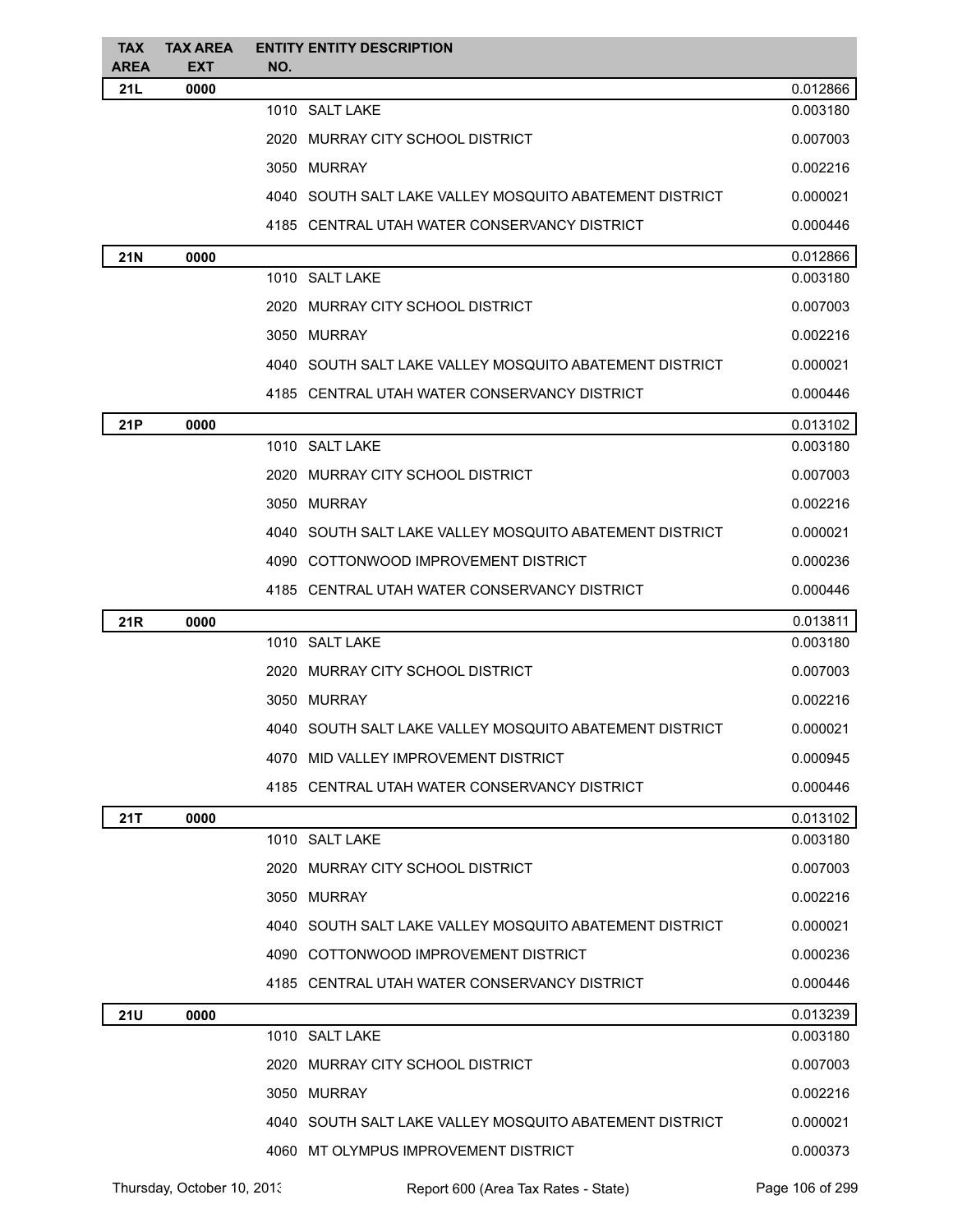| <b>TAX</b><br><b>AREA</b> | <b>TAX AREA</b><br><b>EXT</b> | <b>ENTITY ENTITY DESCRIPTION</b><br>NO.                 |          |
|---------------------------|-------------------------------|---------------------------------------------------------|----------|
| 21L                       | 0000                          |                                                         | 0.012866 |
|                           |                               | 1010 SALT LAKE                                          | 0.003180 |
|                           |                               | 2020 MURRAY CITY SCHOOL DISTRICT                        | 0.007003 |
|                           |                               | 3050 MURRAY                                             | 0.002216 |
|                           |                               | 4040 SOUTH SALT LAKE VALLEY MOSQUITO ABATEMENT DISTRICT | 0.000021 |
|                           |                               | 4185 CENTRAL UTAH WATER CONSERVANCY DISTRICT            | 0.000446 |
| <b>21N</b>                | 0000                          |                                                         | 0.012866 |
|                           |                               | 1010 SALT LAKE                                          | 0.003180 |
|                           |                               | 2020 MURRAY CITY SCHOOL DISTRICT                        | 0.007003 |
|                           |                               | 3050 MURRAY                                             | 0.002216 |
|                           |                               | 4040 SOUTH SALT LAKE VALLEY MOSQUITO ABATEMENT DISTRICT | 0.000021 |
|                           |                               | 4185 CENTRAL UTAH WATER CONSERVANCY DISTRICT            | 0.000446 |
| 21P                       | 0000                          |                                                         | 0.013102 |
|                           |                               | 1010 SALT LAKE                                          | 0.003180 |
|                           |                               | 2020 MURRAY CITY SCHOOL DISTRICT                        | 0.007003 |
|                           |                               | 3050 MURRAY                                             | 0.002216 |
|                           |                               | 4040 SOUTH SALT LAKE VALLEY MOSQUITO ABATEMENT DISTRICT | 0.000021 |
|                           |                               | 4090 COTTONWOOD IMPROVEMENT DISTRICT                    | 0.000236 |
|                           |                               | 4185 CENTRAL UTAH WATER CONSERVANCY DISTRICT            | 0.000446 |
| 21R                       | 0000                          |                                                         | 0.013811 |
|                           |                               | 1010 SALT LAKE                                          | 0.003180 |
|                           |                               | 2020 MURRAY CITY SCHOOL DISTRICT                        | 0.007003 |
|                           |                               | 3050 MURRAY                                             | 0.002216 |
|                           |                               | 4040 SOUTH SALT LAKE VALLEY MOSQUITO ABATEMENT DISTRICT | 0.000021 |
|                           |                               | 4070 MID VALLEY IMPROVEMENT DISTRICT                    | 0.000945 |
|                           |                               | 4185 CENTRAL UTAH WATER CONSERVANCY DISTRICT            | 0.000446 |
| 21T                       | 0000                          |                                                         | 0.013102 |
|                           |                               | 1010 SALT LAKE                                          | 0.003180 |
|                           |                               | 2020 MURRAY CITY SCHOOL DISTRICT                        | 0.007003 |
|                           |                               | 3050 MURRAY                                             | 0.002216 |
|                           |                               | 4040 SOUTH SALT LAKE VALLEY MOSQUITO ABATEMENT DISTRICT | 0.000021 |
|                           |                               | 4090 COTTONWOOD IMPROVEMENT DISTRICT                    | 0.000236 |
|                           |                               | 4185 CENTRAL UTAH WATER CONSERVANCY DISTRICT            | 0.000446 |
| <b>21U</b>                | 0000                          |                                                         | 0.013239 |
|                           |                               | 1010 SALT LAKE                                          | 0.003180 |
|                           |                               | 2020 MURRAY CITY SCHOOL DISTRICT                        | 0.007003 |
|                           |                               | 3050 MURRAY                                             | 0.002216 |
|                           |                               | 4040 SOUTH SALT LAKE VALLEY MOSQUITO ABATEMENT DISTRICT | 0.000021 |
|                           |                               | 4060 MT OLYMPUS IMPROVEMENT DISTRICT                    | 0.000373 |
|                           |                               |                                                         |          |

Thursday, October 10, 2013 Report 600 (Area Tax Rates - State) Page 106 of 299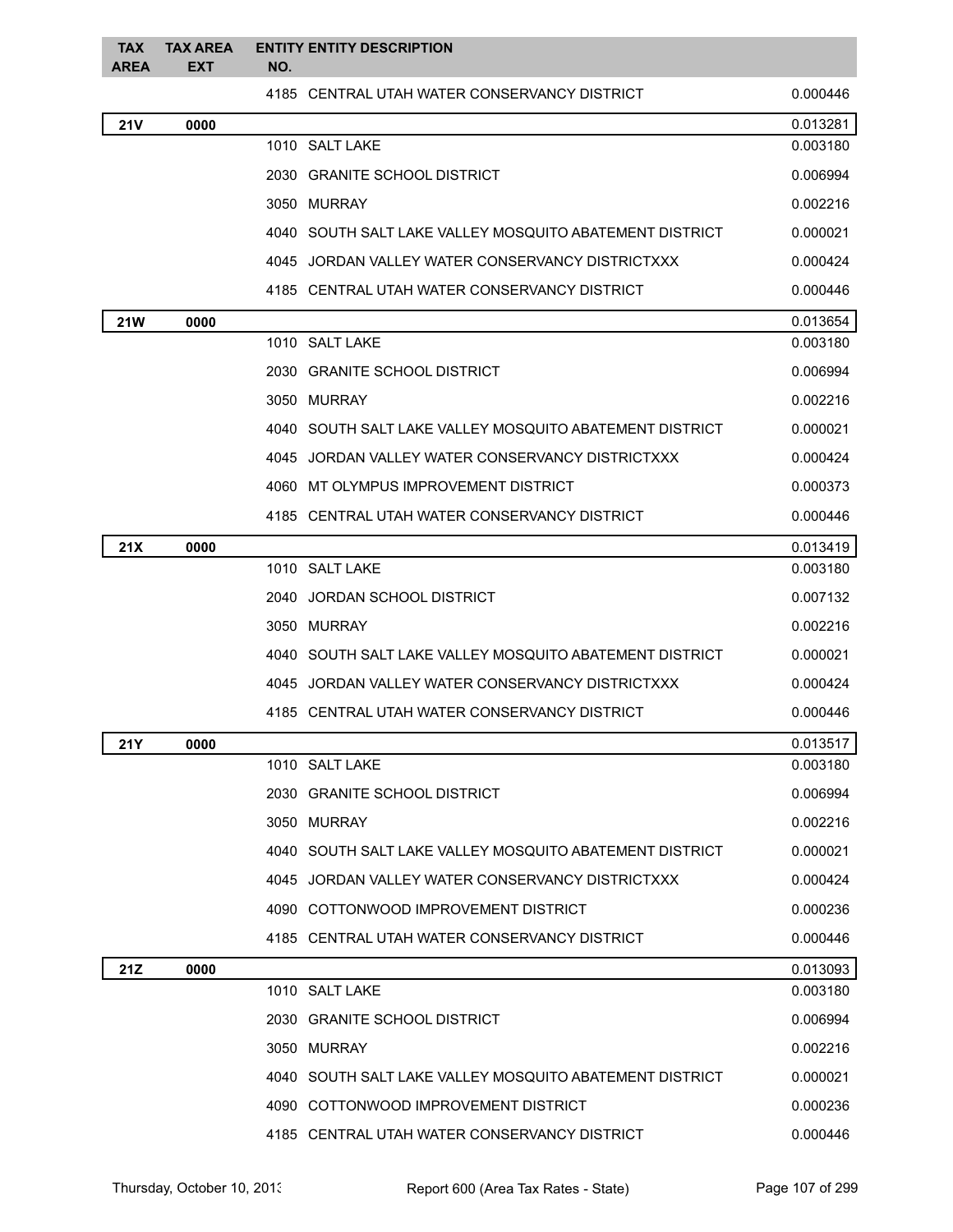| <b>TAX</b><br><b>AREA</b> | <b>TAX AREA</b><br><b>EXT</b> | <b>ENTITY ENTITY DESCRIPTION</b><br>NO.                 |          |
|---------------------------|-------------------------------|---------------------------------------------------------|----------|
|                           |                               | 4185 CENTRAL UTAH WATER CONSERVANCY DISTRICT            | 0.000446 |
| <b>21V</b>                | 0000                          |                                                         | 0.013281 |
|                           |                               | 1010 SALT LAKE                                          | 0.003180 |
|                           |                               | 2030 GRANITE SCHOOL DISTRICT                            | 0.006994 |
|                           |                               | 3050 MURRAY                                             | 0.002216 |
|                           |                               | 4040 SOUTH SALT LAKE VALLEY MOSQUITO ABATEMENT DISTRICT | 0.000021 |
|                           |                               | 4045 JORDAN VALLEY WATER CONSERVANCY DISTRICTXXX        | 0.000424 |
|                           |                               | 4185 CENTRAL UTAH WATER CONSERVANCY DISTRICT            | 0.000446 |
| <b>21W</b>                | 0000                          |                                                         | 0.013654 |
|                           |                               | 1010 SALT LAKE                                          | 0.003180 |
|                           |                               | 2030 GRANITE SCHOOL DISTRICT                            | 0.006994 |
|                           |                               | 3050 MURRAY                                             | 0.002216 |
|                           |                               | 4040 SOUTH SALT LAKE VALLEY MOSQUITO ABATEMENT DISTRICT | 0.000021 |
|                           |                               | 4045 JORDAN VALLEY WATER CONSERVANCY DISTRICTXXX        | 0.000424 |
|                           |                               | 4060 MT OLYMPUS IMPROVEMENT DISTRICT                    | 0.000373 |
|                           |                               | 4185   CENTRAL UTAH WATER CONSERVANCY DISTRICT          | 0.000446 |
| 21X                       | 0000                          |                                                         | 0.013419 |
|                           |                               | 1010 SALT LAKE                                          | 0.003180 |
|                           |                               | JORDAN SCHOOL DISTRICT<br>2040                          | 0.007132 |
|                           |                               | 3050 MURRAY                                             | 0.002216 |
|                           |                               | 4040 SOUTH SALT LAKE VALLEY MOSQUITO ABATEMENT DISTRICT | 0.000021 |
|                           |                               | 4045 JORDAN VALLEY WATER CONSERVANCY DISTRICTXXX        | 0.000424 |
|                           |                               | 4185 CENTRAL UTAH WATER CONSERVANCY DISTRICT            | 0.000446 |
| <b>21Y</b>                | 0000                          |                                                         | 0.013517 |
|                           |                               | 1010 SALT LAKE                                          | 0.003180 |
|                           |                               | 2030 GRANITE SCHOOL DISTRICT                            | 0.006994 |
|                           |                               | 3050 MURRAY                                             | 0.002216 |
|                           |                               | 4040 SOUTH SALT LAKE VALLEY MOSQUITO ABATEMENT DISTRICT | 0.000021 |
|                           |                               | 4045 JORDAN VALLEY WATER CONSERVANCY DISTRICTXXX        | 0.000424 |
|                           |                               | 4090 COTTONWOOD IMPROVEMENT DISTRICT                    | 0.000236 |
|                           |                               | 4185 CENTRAL UTAH WATER CONSERVANCY DISTRICT            | 0.000446 |
| 21Z                       | 0000                          |                                                         | 0.013093 |
|                           |                               | 1010 SALT LAKE                                          | 0.003180 |
|                           |                               | 2030 GRANITE SCHOOL DISTRICT                            | 0.006994 |
|                           |                               | 3050 MURRAY                                             | 0.002216 |
|                           |                               | 4040 SOUTH SALT LAKE VALLEY MOSQUITO ABATEMENT DISTRICT | 0.000021 |
|                           |                               | 4090 COTTONWOOD IMPROVEMENT DISTRICT                    | 0.000236 |
|                           |                               | 4185 CENTRAL UTAH WATER CONSERVANCY DISTRICT            | 0.000446 |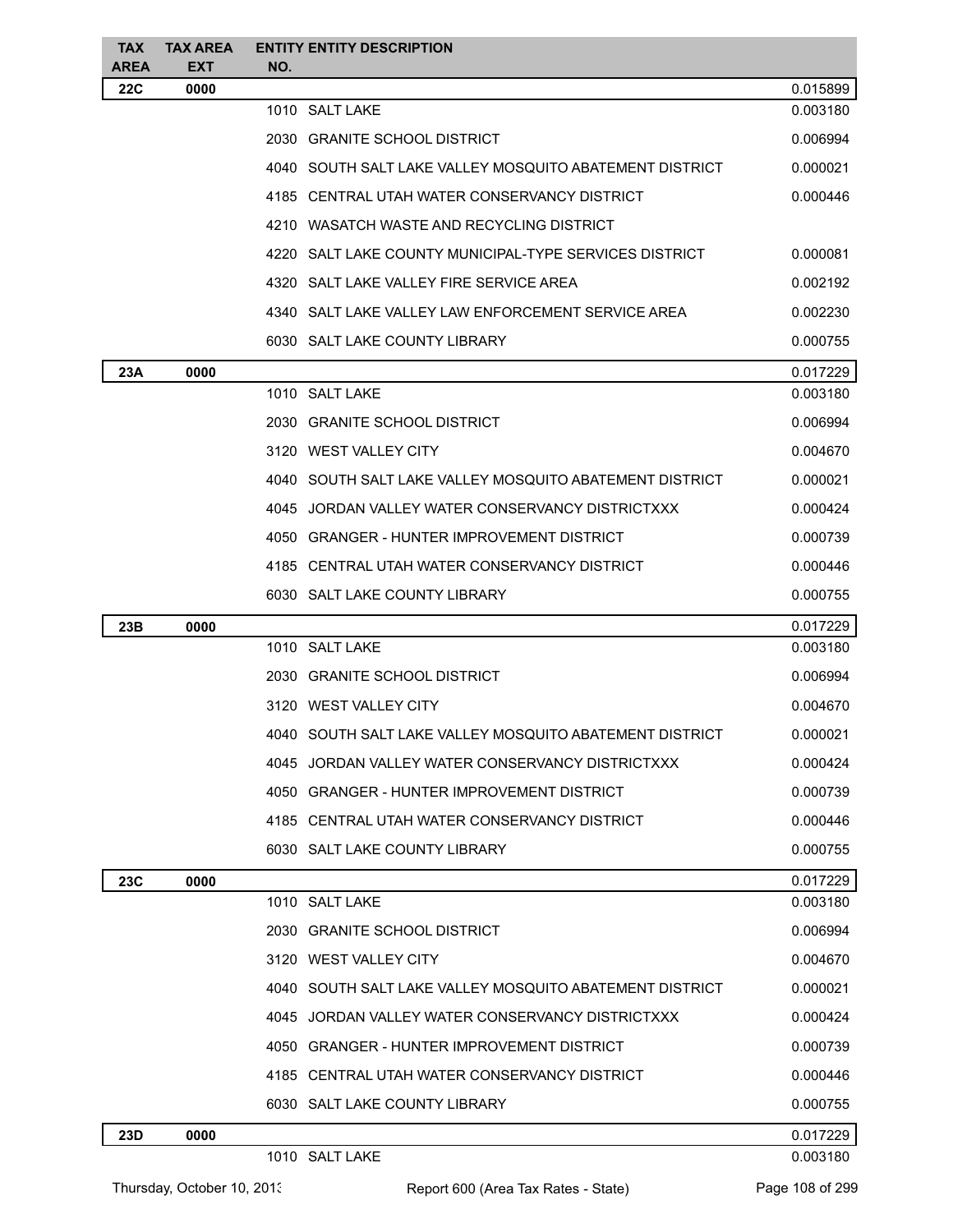| <b>TAX</b><br><b>AREA</b> | <b>TAX AREA</b><br><b>EXT</b> | <b>ENTITY ENTITY DESCRIPTION</b><br>NO.                 |          |
|---------------------------|-------------------------------|---------------------------------------------------------|----------|
| <b>22C</b>                | 0000                          |                                                         | 0.015899 |
|                           |                               | 1010 SALT LAKE                                          | 0.003180 |
|                           |                               | 2030 GRANITE SCHOOL DISTRICT                            | 0.006994 |
|                           |                               | 4040 SOUTH SALT LAKE VALLEY MOSQUITO ABATEMENT DISTRICT | 0.000021 |
|                           |                               | 4185 CENTRAL UTAH WATER CONSERVANCY DISTRICT            | 0.000446 |
|                           |                               | 4210 WASATCH WASTE AND RECYCLING DISTRICT               |          |
|                           |                               | 4220 SALT LAKE COUNTY MUNICIPAL-TYPE SERVICES DISTRICT  | 0.000081 |
|                           |                               | 4320 SALT LAKE VALLEY FIRE SERVICE AREA                 | 0.002192 |
|                           |                               | 4340 SALT LAKE VALLEY LAW ENFORCEMENT SERVICE AREA      | 0.002230 |
|                           |                               | 6030 SALT LAKE COUNTY LIBRARY                           | 0.000755 |
| 23A                       | 0000                          |                                                         | 0.017229 |
|                           |                               | 1010 SALT LAKE                                          | 0.003180 |
|                           |                               | 2030 GRANITE SCHOOL DISTRICT                            | 0.006994 |
|                           |                               | 3120 WEST VALLEY CITY                                   | 0.004670 |
|                           |                               | 4040 SOUTH SALT LAKE VALLEY MOSQUITO ABATEMENT DISTRICT | 0.000021 |
|                           |                               | 4045 JORDAN VALLEY WATER CONSERVANCY DISTRICTXXX        | 0.000424 |
|                           |                               | 4050 GRANGER - HUNTER IMPROVEMENT DISTRICT              | 0.000739 |
|                           |                               | 4185 CENTRAL UTAH WATER CONSERVANCY DISTRICT            | 0.000446 |
|                           |                               | 6030 SALT LAKE COUNTY LIBRARY                           | 0.000755 |
| 23B                       | 0000                          |                                                         | 0.017229 |
|                           |                               | 1010 SALT LAKE                                          | 0.003180 |
|                           |                               | 2030 GRANITE SCHOOL DISTRICT                            | 0.006994 |
|                           |                               | 3120 WEST VALLEY CITY                                   | 0.004670 |
|                           |                               | 4040 SOUTH SALT LAKE VALLEY MOSQUITO ABATEMENT DISTRICT | 0.000021 |
|                           |                               | 4045 JORDAN VALLEY WATER CONSERVANCY DISTRICTXXX        | 0.000424 |
|                           |                               | 4050 GRANGER - HUNTER IMPROVEMENT DISTRICT              | 0.000739 |
|                           |                               | 4185 CENTRAL UTAH WATER CONSERVANCY DISTRICT            | 0.000446 |
|                           |                               | 6030 SALT LAKE COUNTY LIBRARY                           | 0.000755 |
| 23C                       | 0000                          |                                                         | 0.017229 |
|                           |                               | 1010 SALT LAKE                                          | 0.003180 |
|                           |                               | 2030 GRANITE SCHOOL DISTRICT                            | 0.006994 |
|                           |                               | 3120 WEST VALLEY CITY                                   | 0.004670 |
|                           |                               | 4040 SOUTH SALT LAKE VALLEY MOSQUITO ABATEMENT DISTRICT | 0.000021 |
|                           |                               | 4045 JORDAN VALLEY WATER CONSERVANCY DISTRICTXXX        | 0.000424 |
|                           |                               | 4050 GRANGER - HUNTER IMPROVEMENT DISTRICT              | 0.000739 |
|                           |                               | 4185 CENTRAL UTAH WATER CONSERVANCY DISTRICT            | 0.000446 |
|                           |                               | 6030 SALT LAKE COUNTY LIBRARY                           | 0.000755 |
| 23D                       | 0000                          |                                                         | 0.017229 |
|                           |                               | 1010 SALT LAKE                                          | 0.003180 |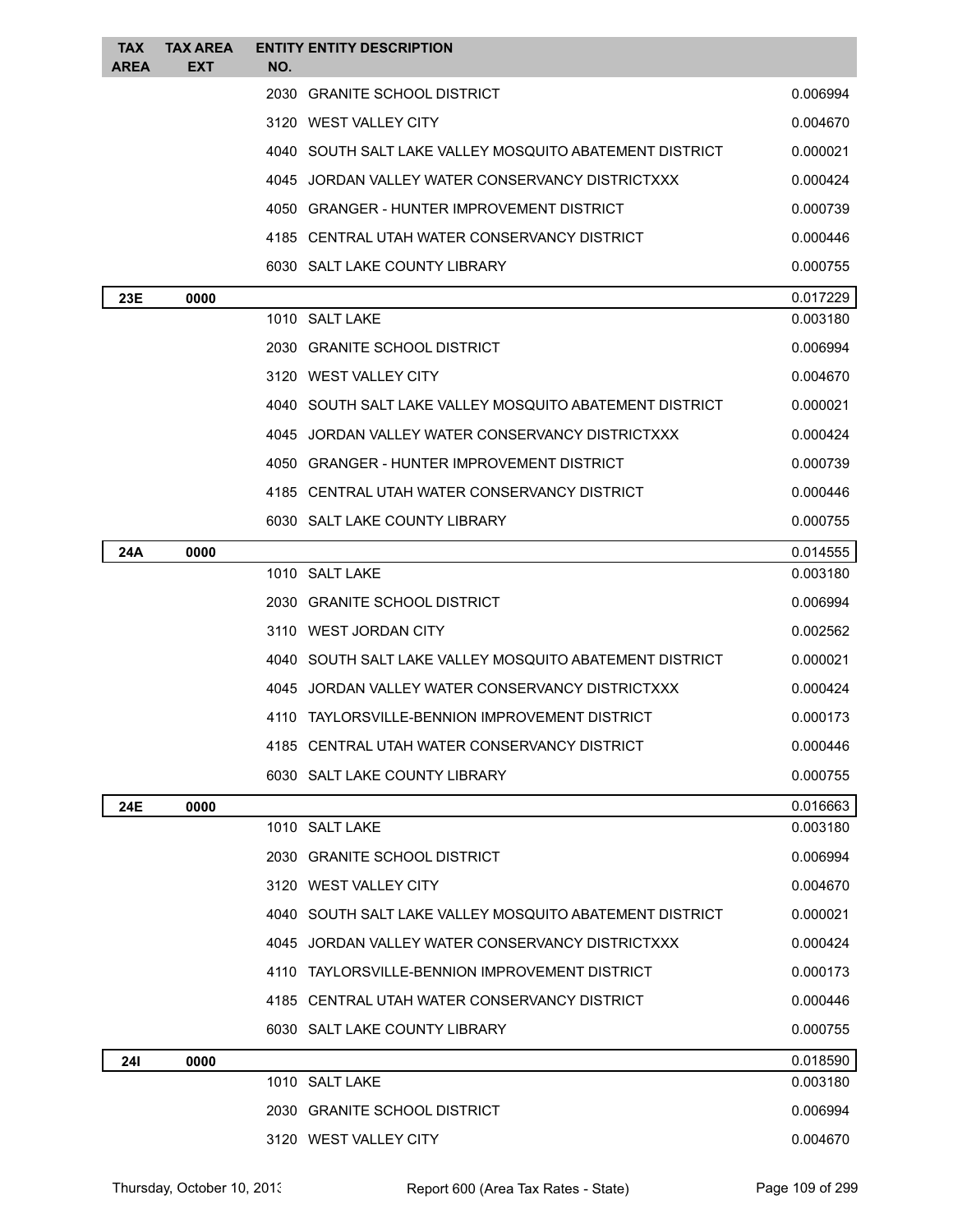| TAX<br><b>AREA</b>                                  | TAX AREA<br><b>EXT</b>                         | <b>ENTITY ENTITY DESCRIPTION</b><br>NO.                 |                      |
|-----------------------------------------------------|------------------------------------------------|---------------------------------------------------------|----------------------|
|                                                     |                                                | 2030 GRANITE SCHOOL DISTRICT                            | 0.006994             |
|                                                     |                                                | 3120 WEST VALLEY CITY                                   | 0.004670             |
|                                                     |                                                | 4040 SOUTH SALT LAKE VALLEY MOSQUITO ABATEMENT DISTRICT | 0.000021             |
|                                                     |                                                | 4045 JORDAN VALLEY WATER CONSERVANCY DISTRICTXXX        | 0.000424             |
|                                                     |                                                | <b>GRANGER - HUNTER IMPROVEMENT DISTRICT</b><br>4050    | 0.000739             |
|                                                     |                                                | 4185 CENTRAL UTAH WATER CONSERVANCY DISTRICT            | 0.000446             |
|                                                     |                                                | 6030 SALT LAKE COUNTY LIBRARY                           | 0.000755             |
| 23E                                                 | 0000                                           |                                                         | 0.017229             |
|                                                     |                                                | 1010 SALT LAKE                                          | 0.003180             |
|                                                     |                                                | 2030 GRANITE SCHOOL DISTRICT                            | 0.006994             |
|                                                     |                                                | 3120 WEST VALLEY CITY                                   | 0.004670             |
|                                                     |                                                | 4040 SOUTH SALT LAKE VALLEY MOSQUITO ABATEMENT DISTRICT | 0.000021             |
|                                                     |                                                | 4045 JORDAN VALLEY WATER CONSERVANCY DISTRICTXXX        | 0.000424             |
|                                                     |                                                | <b>GRANGER - HUNTER IMPROVEMENT DISTRICT</b><br>4050    | 0.000739             |
|                                                     |                                                | 4185 CENTRAL UTAH WATER CONSERVANCY DISTRICT            | 0.000446             |
|                                                     | 6030 SALT LAKE COUNTY LIBRARY                  |                                                         | 0.000755             |
| 24A                                                 | 0000                                           | 1010 SALT LAKE                                          | 0.014555<br>0.003180 |
|                                                     |                                                | 2030 GRANITE SCHOOL DISTRICT                            | 0.006994             |
|                                                     |                                                | 3110 WEST JORDAN CITY                                   | 0.002562             |
|                                                     |                                                | 4040 SOUTH SALT LAKE VALLEY MOSQUITO ABATEMENT DISTRICT | 0.000021             |
| JORDAN VALLEY WATER CONSERVANCY DISTRICTXXX<br>4045 |                                                |                                                         | 0.000424             |
|                                                     | 4110 TAYLORSVILLE-BENNION IMPROVEMENT DISTRICT |                                                         | 0.000173             |
|                                                     |                                                | 4185 CENTRAL UTAH WATER CONSERVANCY DISTRICT            | 0.000446             |
|                                                     |                                                | 6030 SALT LAKE COUNTY LIBRARY                           | 0.000755             |
| <b>24E</b>                                          | 0000                                           |                                                         | 0.016663             |
|                                                     |                                                | 1010 SALT LAKE                                          | 0.003180             |
|                                                     |                                                | 2030 GRANITE SCHOOL DISTRICT                            | 0.006994             |
|                                                     |                                                | 3120 WEST VALLEY CITY                                   | 0.004670             |
|                                                     |                                                | 4040 SOUTH SALT LAKE VALLEY MOSQUITO ABATEMENT DISTRICT | 0.000021             |
|                                                     |                                                | 4045 JORDAN VALLEY WATER CONSERVANCY DISTRICTXXX        | 0.000424             |
|                                                     |                                                | 4110 TAYLORSVILLE-BENNION IMPROVEMENT DISTRICT          | 0.000173             |
|                                                     |                                                | 4185 CENTRAL UTAH WATER CONSERVANCY DISTRICT            | 0.000446             |
|                                                     |                                                | 6030 SALT LAKE COUNTY LIBRARY                           | 0.000755             |
| <b>241</b>                                          | 0000                                           |                                                         | 0.018590             |
|                                                     |                                                | 1010 SALT LAKE                                          | 0.003180             |
|                                                     |                                                | 2030 GRANITE SCHOOL DISTRICT                            | 0.006994             |
|                                                     |                                                | 3120 WEST VALLEY CITY                                   | 0.004670             |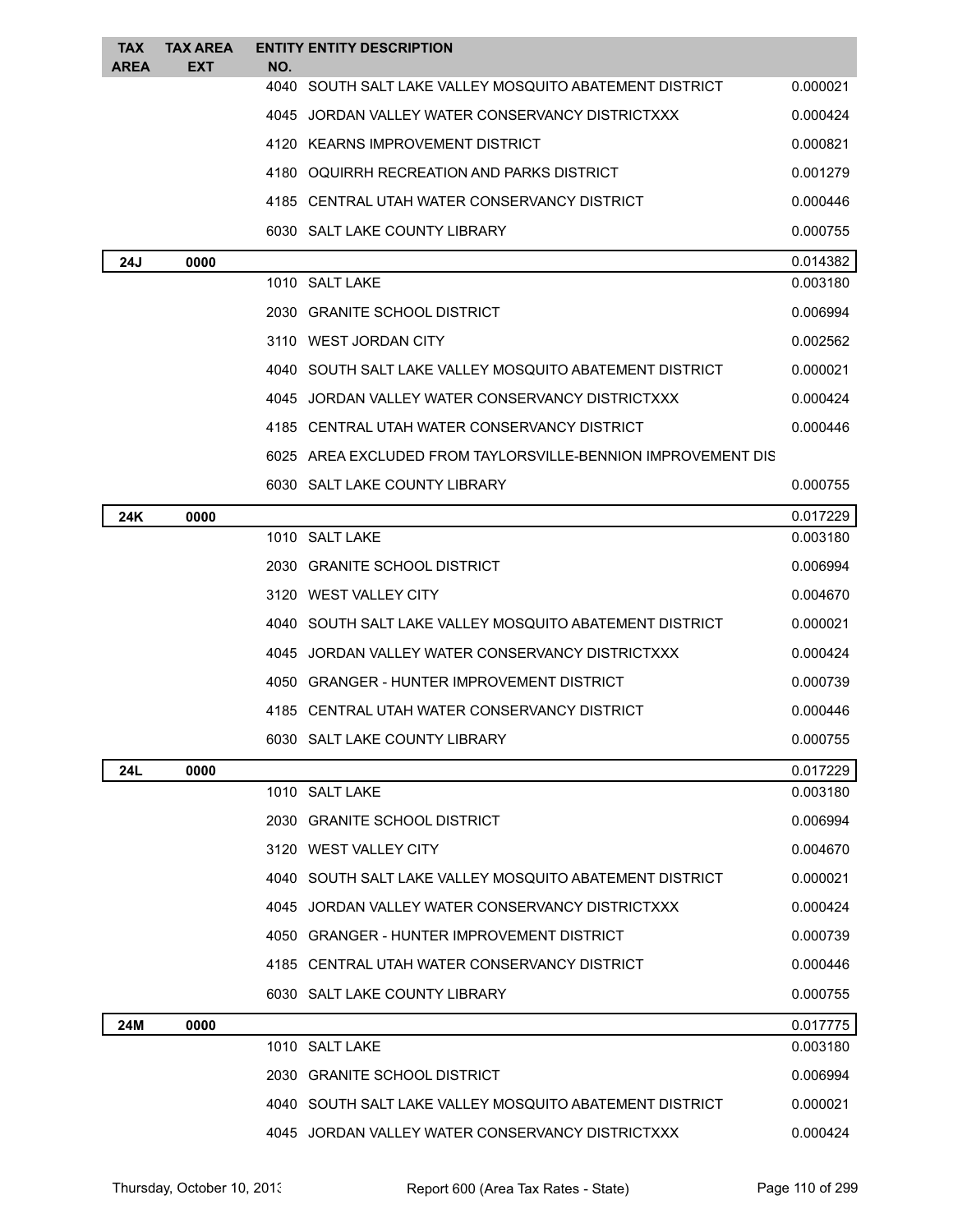| TAX<br><b>AREA</b> | <b>TAX AREA</b><br>EXT                                    | NO. | <b>ENTITY ENTITY DESCRIPTION</b>                             |          |
|--------------------|-----------------------------------------------------------|-----|--------------------------------------------------------------|----------|
|                    |                                                           |     | 4040 SOUTH SALT LAKE VALLEY MOSQUITO ABATEMENT DISTRICT      | 0.000021 |
|                    |                                                           |     | 4045 JORDAN VALLEY WATER CONSERVANCY DISTRICTXXX             | 0.000424 |
|                    |                                                           |     | 4120 KEARNS IMPROVEMENT DISTRICT                             | 0.000821 |
|                    |                                                           |     | 4180 OQUIRRH RECREATION AND PARKS DISTRICT                   | 0.001279 |
|                    |                                                           |     | 4185 CENTRAL UTAH WATER CONSERVANCY DISTRICT                 | 0.000446 |
|                    |                                                           |     | 6030 SALT LAKE COUNTY LIBRARY                                | 0.000755 |
| 24J                | 0000                                                      |     |                                                              | 0.014382 |
|                    |                                                           |     | 1010 SALT LAKE                                               | 0.003180 |
|                    |                                                           |     | 2030 GRANITE SCHOOL DISTRICT                                 | 0.006994 |
|                    |                                                           |     | 3110 WEST JORDAN CITY                                        | 0.002562 |
|                    | 4040   SOUTH SALT LAKE VALLEY MOSQUITO ABATEMENT DISTRICT |     | 0.000021                                                     |          |
|                    | 4045 JORDAN VALLEY WATER CONSERVANCY DISTRICTXXX          |     | 0.000424                                                     |          |
|                    | 4185 CENTRAL UTAH WATER CONSERVANCY DISTRICT              |     |                                                              | 0.000446 |
|                    |                                                           |     | 6025 AREA EXCLUDED FROM TAYLORSVILLE-BENNION IMPROVEMENT DIS |          |
|                    |                                                           |     | 6030 SALT LAKE COUNTY LIBRARY                                | 0.000755 |
| 24K                | 0000                                                      |     |                                                              | 0.017229 |
|                    |                                                           |     | 1010 SALT LAKE                                               | 0.003180 |
|                    |                                                           |     | 2030 GRANITE SCHOOL DISTRICT                                 | 0.006994 |
|                    |                                                           |     | 3120 WEST VALLEY CITY                                        | 0.004670 |
|                    |                                                           |     | 4040 SOUTH SALT LAKE VALLEY MOSQUITO ABATEMENT DISTRICT      | 0.000021 |
|                    |                                                           |     | 4045 JORDAN VALLEY WATER CONSERVANCY DISTRICTXXX             | 0.000424 |
|                    |                                                           |     | 4050 GRANGER - HUNTER IMPROVEMENT DISTRICT                   | 0.000739 |
|                    |                                                           |     | 4185 CENTRAL UTAH WATER CONSERVANCY DISTRICT                 | 0.000446 |
|                    |                                                           |     | 6030 SALT LAKE COUNTY LIBRARY                                | 0.000755 |
| 24L                | 0000                                                      |     |                                                              | 0.017229 |
|                    |                                                           |     | 1010 SALT LAKE                                               | 0.003180 |
|                    |                                                           |     | 2030 GRANITE SCHOOL DISTRICT                                 | 0.006994 |
|                    |                                                           |     | 3120 WEST VALLEY CITY                                        | 0.004670 |
|                    |                                                           |     | 4040 SOUTH SALT LAKE VALLEY MOSQUITO ABATEMENT DISTRICT      | 0.000021 |
|                    |                                                           |     | 4045 JORDAN VALLEY WATER CONSERVANCY DISTRICTXXX             | 0.000424 |
|                    |                                                           |     | 4050 GRANGER - HUNTER IMPROVEMENT DISTRICT                   | 0.000739 |
|                    |                                                           |     | 4185 CENTRAL UTAH WATER CONSERVANCY DISTRICT                 | 0.000446 |
|                    |                                                           |     | 6030 SALT LAKE COUNTY LIBRARY                                | 0.000755 |
| <b>24M</b>         | 0000                                                      |     |                                                              | 0.017775 |
|                    |                                                           |     | 1010 SALT LAKE                                               | 0.003180 |
|                    |                                                           |     | 2030 GRANITE SCHOOL DISTRICT                                 | 0.006994 |
|                    |                                                           |     | 4040 SOUTH SALT LAKE VALLEY MOSQUITO ABATEMENT DISTRICT      | 0.000021 |
|                    |                                                           |     | 4045 JORDAN VALLEY WATER CONSERVANCY DISTRICTXXX             | 0.000424 |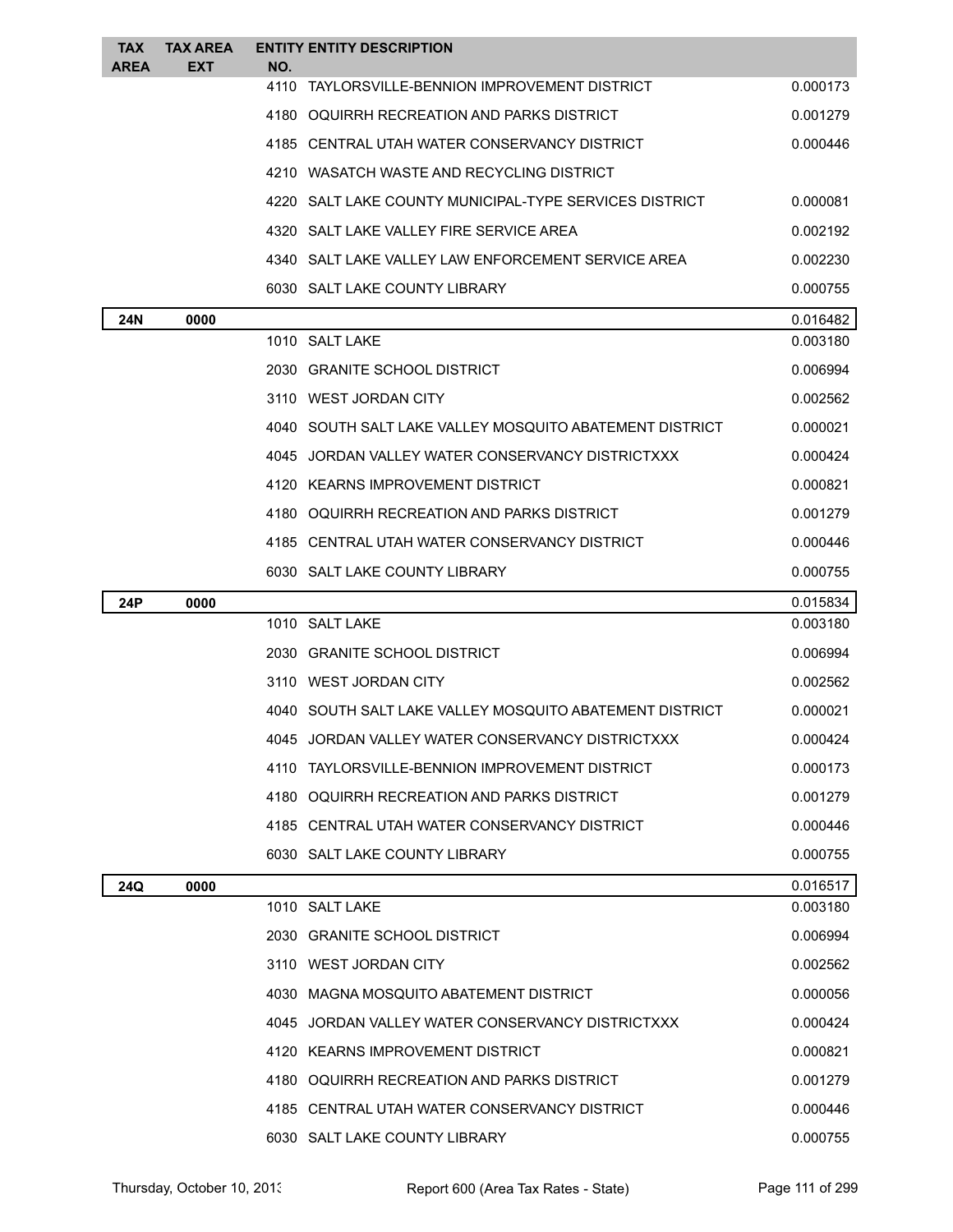| TAX<br><b>AREA</b> | <b>TAX AREA</b><br><b>EXT</b> | NO.  | <b>ENTITY ENTITY DESCRIPTION</b>                          |          |
|--------------------|-------------------------------|------|-----------------------------------------------------------|----------|
|                    |                               | 4110 | TAYLORSVILLE-BENNION IMPROVEMENT DISTRICT                 | 0.000173 |
|                    |                               |      | 4180 OQUIRRH RECREATION AND PARKS DISTRICT                | 0.001279 |
|                    |                               |      | 4185 CENTRAL UTAH WATER CONSERVANCY DISTRICT              | 0.000446 |
|                    |                               |      | 4210 WASATCH WASTE AND RECYCLING DISTRICT                 |          |
|                    |                               |      | 4220 SALT LAKE COUNTY MUNICIPAL-TYPE SERVICES DISTRICT    | 0.000081 |
|                    |                               |      | 4320 SALT LAKE VALLEY FIRE SERVICE AREA                   | 0.002192 |
|                    |                               |      | 4340 SALT LAKE VALLEY LAW ENFORCEMENT SERVICE AREA        | 0.002230 |
|                    |                               |      | 6030 SALT LAKE COUNTY LIBRARY                             | 0.000755 |
| 24N                | 0000                          |      |                                                           | 0.016482 |
|                    |                               |      | 1010 SALT LAKE                                            | 0.003180 |
|                    |                               |      | 2030 GRANITE SCHOOL DISTRICT                              | 0.006994 |
|                    |                               |      | 3110 WEST JORDAN CITY                                     | 0.002562 |
|                    |                               |      | 4040 SOUTH SALT LAKE VALLEY MOSQUITO ABATEMENT DISTRICT   | 0.000021 |
|                    |                               |      | 4045 JORDAN VALLEY WATER CONSERVANCY DISTRICTXXX          | 0.000424 |
|                    |                               |      | 4120 KEARNS IMPROVEMENT DISTRICT                          | 0.000821 |
|                    |                               |      | 4180 OQUIRRH RECREATION AND PARKS DISTRICT                | 0.001279 |
|                    |                               |      | 4185   CENTRAL UTAH WATER CONSERVANCY DISTRICT            | 0.000446 |
|                    |                               |      | 6030 SALT LAKE COUNTY LIBRARY                             | 0.000755 |
| <b>24P</b>         | 0000                          |      |                                                           | 0.015834 |
|                    |                               |      | 1010 SALT LAKE                                            | 0.003180 |
|                    |                               |      | 2030 GRANITE SCHOOL DISTRICT                              | 0.006994 |
|                    |                               |      | 3110 WEST JORDAN CITY                                     | 0.002562 |
|                    |                               |      | 4040   SOUTH SALT LAKE VALLEY MOSQUITO ABATEMENT DISTRICT | 0.000021 |
|                    |                               |      | 4045 JORDAN VALLEY WATER CONSERVANCY DISTRICTXXX          | 0.000424 |
|                    |                               |      | 4110 TAYLORSVILLE-BENNION IMPROVEMENT DISTRICT            | 0.000173 |
|                    |                               |      | 4180 OQUIRRH RECREATION AND PARKS DISTRICT                | 0.001279 |
|                    |                               |      | 4185   CENTRAL UTAH WATER CONSERVANCY DISTRICT            | 0.000446 |
|                    |                               |      | 6030 SALT LAKE COUNTY LIBRARY                             | 0.000755 |
| 24Q                | 0000                          |      |                                                           | 0.016517 |
|                    |                               |      | 1010 SALT LAKE                                            | 0.003180 |
|                    |                               |      | 2030 GRANITE SCHOOL DISTRICT                              | 0.006994 |
|                    |                               |      | 3110 WEST JORDAN CITY                                     | 0.002562 |
|                    |                               |      | 4030 MAGNA MOSQUITO ABATEMENT DISTRICT                    | 0.000056 |
|                    |                               |      | 4045 JORDAN VALLEY WATER CONSERVANCY DISTRICTXXX          | 0.000424 |
|                    |                               |      | 4120 KEARNS IMPROVEMENT DISTRICT                          | 0.000821 |
|                    |                               |      | 4180 OQUIRRH RECREATION AND PARKS DISTRICT                | 0.001279 |
|                    |                               |      | 4185 CENTRAL UTAH WATER CONSERVANCY DISTRICT              | 0.000446 |
|                    |                               |      | 6030 SALT LAKE COUNTY LIBRARY                             | 0.000755 |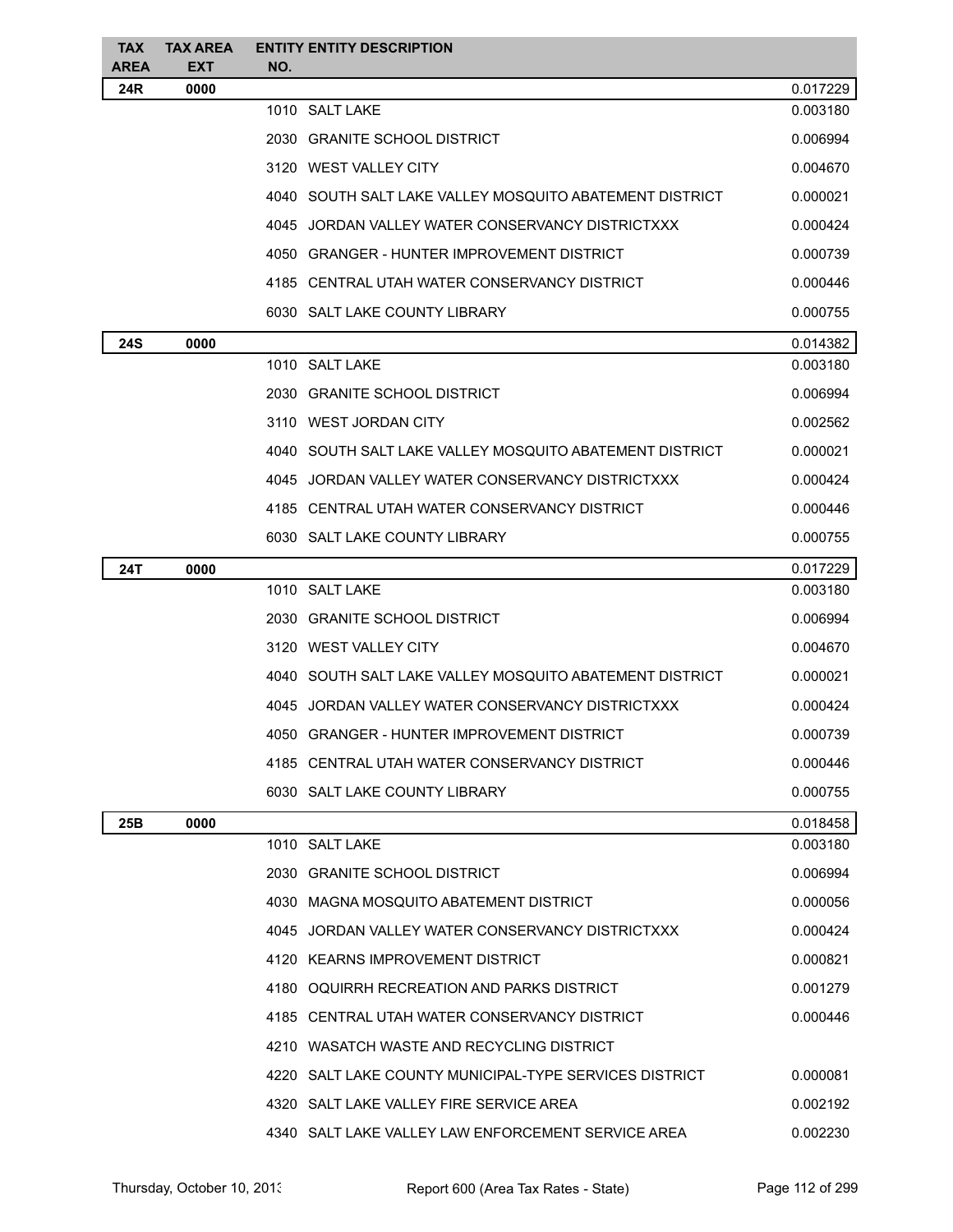| <b>TAX</b><br>AREA | <b>TAX AREA</b><br>EXT | <b>ENTITY ENTITY DESCRIPTION</b><br>NO.                 |          |
|--------------------|------------------------|---------------------------------------------------------|----------|
| 24R                | 0000                   |                                                         | 0.017229 |
|                    |                        | 1010 SALT LAKE                                          | 0.003180 |
|                    |                        | 2030 GRANITE SCHOOL DISTRICT                            | 0.006994 |
|                    |                        | 3120 WEST VALLEY CITY                                   | 0.004670 |
|                    |                        | 4040 SOUTH SALT LAKE VALLEY MOSQUITO ABATEMENT DISTRICT | 0.000021 |
|                    |                        | 4045 JORDAN VALLEY WATER CONSERVANCY DISTRICTXXX        | 0.000424 |
|                    |                        | 4050 GRANGER - HUNTER IMPROVEMENT DISTRICT              | 0.000739 |
|                    |                        | 4185 CENTRAL UTAH WATER CONSERVANCY DISTRICT            | 0.000446 |
|                    |                        | 6030 SALT LAKE COUNTY LIBRARY                           | 0.000755 |
| 24S                | 0000                   |                                                         | 0.014382 |
|                    |                        | 1010 SALT LAKE                                          | 0.003180 |
|                    |                        | 2030 GRANITE SCHOOL DISTRICT                            | 0.006994 |
|                    |                        | 3110 WEST JORDAN CITY                                   | 0.002562 |
|                    |                        | 4040 SOUTH SALT LAKE VALLEY MOSQUITO ABATEMENT DISTRICT | 0.000021 |
|                    |                        | 4045 JORDAN VALLEY WATER CONSERVANCY DISTRICTXXX        | 0.000424 |
|                    |                        | 4185 CENTRAL UTAH WATER CONSERVANCY DISTRICT            | 0.000446 |
|                    |                        | 6030 SALT LAKE COUNTY LIBRARY                           | 0.000755 |
| 24T                | 0000                   |                                                         | 0.017229 |
|                    |                        | 1010 SALT LAKE                                          | 0.003180 |
|                    |                        | 2030 GRANITE SCHOOL DISTRICT                            | 0.006994 |
|                    |                        | 3120 WEST VALLEY CITY                                   | 0.004670 |
|                    |                        | 4040 SOUTH SALT LAKE VALLEY MOSQUITO ABATEMENT DISTRICT | 0.000021 |
|                    |                        | 4045 JORDAN VALLEY WATER CONSERVANCY DISTRICTXXX        | 0.000424 |
|                    |                        | 4050 GRANGER - HUNTER IMPROVEMENT DISTRICT              | 0.000739 |
|                    |                        | 4185 CENTRAL UTAH WATER CONSERVANCY DISTRICT            | 0.000446 |
|                    |                        | 6030 SALT LAKE COUNTY LIBRARY                           | 0.000755 |
| 25B                | 0000                   |                                                         | 0.018458 |
|                    |                        | 1010 SALT LAKE                                          | 0.003180 |
|                    |                        | 2030 GRANITE SCHOOL DISTRICT                            | 0.006994 |
|                    |                        | 4030 MAGNA MOSQUITO ABATEMENT DISTRICT                  | 0.000056 |
|                    |                        | 4045 JORDAN VALLEY WATER CONSERVANCY DISTRICTXXX        | 0.000424 |
|                    |                        | 4120 KEARNS IMPROVEMENT DISTRICT                        | 0.000821 |
|                    |                        | 4180 OQUIRRH RECREATION AND PARKS DISTRICT              | 0.001279 |
|                    |                        | 4185 CENTRAL UTAH WATER CONSERVANCY DISTRICT            | 0.000446 |
|                    |                        | 4210 WASATCH WASTE AND RECYCLING DISTRICT               |          |
|                    |                        | 4220 SALT LAKE COUNTY MUNICIPAL-TYPE SERVICES DISTRICT  | 0.000081 |
|                    |                        | 4320 SALT LAKE VALLEY FIRE SERVICE AREA                 | 0.002192 |
|                    |                        | 4340 SALT LAKE VALLEY LAW ENFORCEMENT SERVICE AREA      | 0.002230 |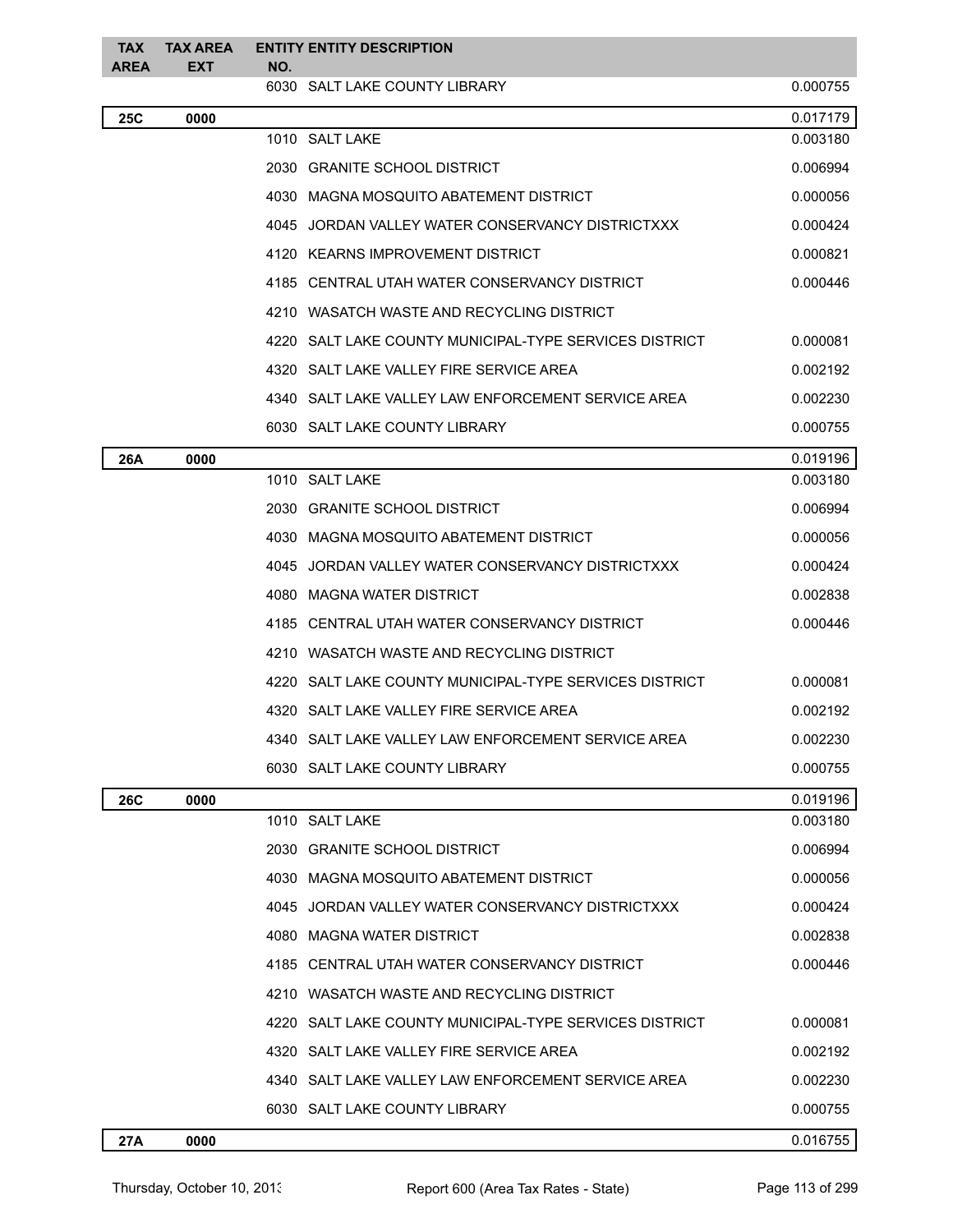| <b>TAX</b><br><b>AREA</b>                      | <b>TAX AREA</b><br><b>EXT</b>                          | <b>ENTITY ENTITY DESCRIPTION</b><br>NO.                |          |  |  |
|------------------------------------------------|--------------------------------------------------------|--------------------------------------------------------|----------|--|--|
|                                                |                                                        | 6030 SALT LAKE COUNTY LIBRARY                          | 0.000755 |  |  |
| <b>25C</b>                                     | 0000                                                   |                                                        | 0.017179 |  |  |
|                                                |                                                        | 1010 SALT LAKE                                         | 0.003180 |  |  |
|                                                |                                                        | 2030 GRANITE SCHOOL DISTRICT                           | 0.006994 |  |  |
|                                                |                                                        | 4030 MAGNA MOSQUITO ABATEMENT DISTRICT                 | 0.000056 |  |  |
|                                                |                                                        | 4045 JORDAN VALLEY WATER CONSERVANCY DISTRICTXXX       | 0.000424 |  |  |
|                                                |                                                        | 4120 KEARNS IMPROVEMENT DISTRICT                       | 0.000821 |  |  |
|                                                |                                                        | 4185 CENTRAL UTAH WATER CONSERVANCY DISTRICT           | 0.000446 |  |  |
|                                                |                                                        | 4210 WASATCH WASTE AND RECYCLING DISTRICT              |          |  |  |
|                                                |                                                        | 4220 SALT LAKE COUNTY MUNICIPAL-TYPE SERVICES DISTRICT | 0.000081 |  |  |
|                                                |                                                        | 4320 SALT LAKE VALLEY FIRE SERVICE AREA                | 0.002192 |  |  |
|                                                |                                                        | 4340 SALT LAKE VALLEY LAW ENFORCEMENT SERVICE AREA     | 0.002230 |  |  |
|                                                |                                                        | 6030 SALT LAKE COUNTY LIBRARY                          | 0.000755 |  |  |
| 26A                                            | 0000                                                   |                                                        | 0.019196 |  |  |
|                                                |                                                        | 1010 SALT LAKE                                         | 0.003180 |  |  |
|                                                |                                                        | 2030 GRANITE SCHOOL DISTRICT                           | 0.006994 |  |  |
|                                                |                                                        | 4030 MAGNA MOSQUITO ABATEMENT DISTRICT                 | 0.000056 |  |  |
|                                                |                                                        | 4045 JORDAN VALLEY WATER CONSERVANCY DISTRICTXXX       | 0.000424 |  |  |
|                                                |                                                        | 4080 MAGNA WATER DISTRICT                              | 0.002838 |  |  |
| 4185   CENTRAL UTAH WATER CONSERVANCY DISTRICT |                                                        |                                                        | 0.000446 |  |  |
|                                                | 4210 WASATCH WASTE AND RECYCLING DISTRICT              |                                                        |          |  |  |
|                                                | 4220 SALT LAKE COUNTY MUNICIPAL-TYPE SERVICES DISTRICT |                                                        | 0.000081 |  |  |
|                                                | 4320 SALT LAKE VALLEY FIRE SERVICE AREA                |                                                        | 0.002192 |  |  |
|                                                | 4340 SALT LAKE VALLEY LAW ENFORCEMENT SERVICE AREA     |                                                        | 0.002230 |  |  |
|                                                |                                                        | 6030 SALT LAKE COUNTY LIBRARY                          | 0.000755 |  |  |
| 26C                                            | 0000                                                   |                                                        | 0.019196 |  |  |
|                                                |                                                        | 1010 SALT LAKE                                         | 0.003180 |  |  |
|                                                |                                                        | 2030 GRANITE SCHOOL DISTRICT                           | 0.006994 |  |  |
|                                                |                                                        | 4030 MAGNA MOSQUITO ABATEMENT DISTRICT                 | 0.000056 |  |  |
|                                                |                                                        | 4045 JORDAN VALLEY WATER CONSERVANCY DISTRICTXXX       | 0.000424 |  |  |
|                                                |                                                        | 4080 MAGNA WATER DISTRICT                              | 0.002838 |  |  |
|                                                |                                                        | 4185 CENTRAL UTAH WATER CONSERVANCY DISTRICT           | 0.000446 |  |  |
|                                                |                                                        | 4210 WASATCH WASTE AND RECYCLING DISTRICT              |          |  |  |
|                                                |                                                        | 4220 SALT LAKE COUNTY MUNICIPAL-TYPE SERVICES DISTRICT | 0.000081 |  |  |
|                                                |                                                        | 4320 SALT LAKE VALLEY FIRE SERVICE AREA                | 0.002192 |  |  |
|                                                |                                                        | 4340 SALT LAKE VALLEY LAW ENFORCEMENT SERVICE AREA     | 0.002230 |  |  |
|                                                |                                                        | 6030 SALT LAKE COUNTY LIBRARY                          | 0.000755 |  |  |
| 27A                                            | 0000                                                   |                                                        | 0.016755 |  |  |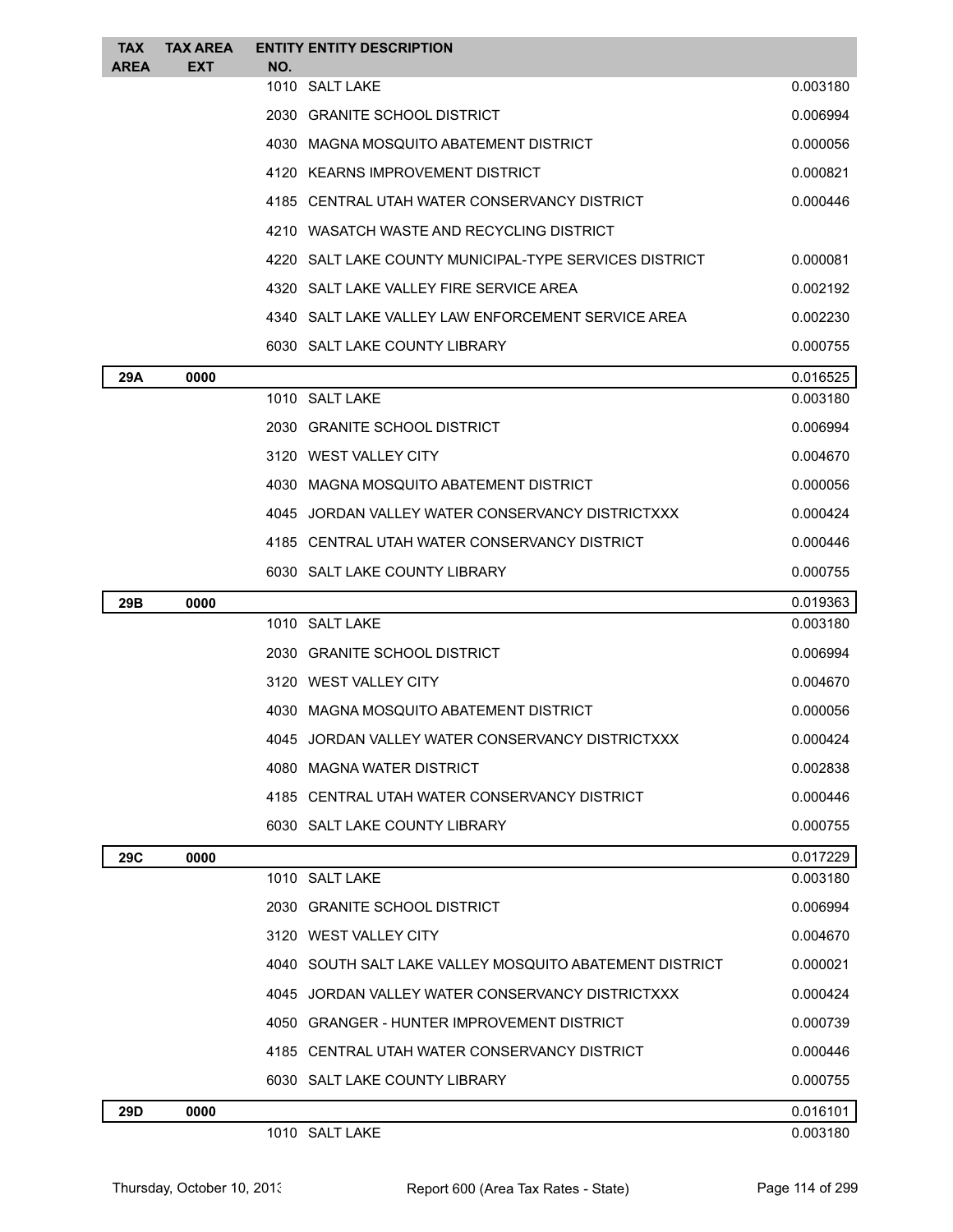| <b>TAX</b><br><b>AREA</b> | <b>TAX AREA</b><br>EXT | <b>ENTITY ENTITY DESCRIPTION</b><br>NO.            |                                                         |          |
|---------------------------|------------------------|----------------------------------------------------|---------------------------------------------------------|----------|
|                           |                        | 1010 SALT LAKE                                     |                                                         | 0.003180 |
|                           |                        | 2030 GRANITE SCHOOL DISTRICT                       |                                                         | 0.006994 |
|                           |                        | 4030 MAGNA MOSQUITO ABATEMENT DISTRICT             |                                                         | 0.000056 |
|                           |                        | 4120 KEARNS IMPROVEMENT DISTRICT                   |                                                         | 0.000821 |
|                           |                        | 4185 CENTRAL UTAH WATER CONSERVANCY DISTRICT       |                                                         | 0.000446 |
|                           |                        | 4210 WASATCH WASTE AND RECYCLING DISTRICT          |                                                         |          |
|                           |                        |                                                    | 4220 SALT LAKE COUNTY MUNICIPAL-TYPE SERVICES DISTRICT  | 0.000081 |
|                           |                        | 4320 SALT LAKE VALLEY FIRE SERVICE AREA            |                                                         | 0.002192 |
|                           |                        | 4340 SALT LAKE VALLEY LAW ENFORCEMENT SERVICE AREA |                                                         | 0.002230 |
|                           |                        | 6030 SALT LAKE COUNTY LIBRARY                      |                                                         | 0.000755 |
| 29A                       | 0000                   |                                                    |                                                         | 0.016525 |
|                           |                        | 1010 SALT LAKE                                     |                                                         | 0.003180 |
|                           |                        | 2030 GRANITE SCHOOL DISTRICT                       |                                                         | 0.006994 |
|                           |                        | 3120 WEST VALLEY CITY                              |                                                         | 0.004670 |
|                           |                        | 4030 MAGNA MOSQUITO ABATEMENT DISTRICT             |                                                         | 0.000056 |
|                           |                        | 4045 JORDAN VALLEY WATER CONSERVANCY DISTRICTXXX   |                                                         | 0.000424 |
|                           |                        | 4185 CENTRAL UTAH WATER CONSERVANCY DISTRICT       |                                                         | 0.000446 |
|                           |                        | 6030 SALT LAKE COUNTY LIBRARY                      |                                                         | 0.000755 |
| 29B                       | 0000                   |                                                    |                                                         | 0.019363 |
|                           |                        | 1010 SALT LAKE                                     |                                                         | 0.003180 |
|                           |                        | 2030 GRANITE SCHOOL DISTRICT                       |                                                         | 0.006994 |
| 3120 WEST VALLEY CITY     |                        |                                                    |                                                         |          |
|                           |                        |                                                    |                                                         | 0.004670 |
|                           |                        | 4030 MAGNA MOSQUITO ABATEMENT DISTRICT             |                                                         | 0.000056 |
|                           |                        | 4045 JORDAN VALLEY WATER CONSERVANCY DISTRICTXXX   |                                                         | 0.000424 |
|                           |                        | 4080 MAGNA WATER DISTRICT                          |                                                         | 0.002838 |
|                           |                        | 4185 CENTRAL UTAH WATER CONSERVANCY DISTRICT       |                                                         | 0.000446 |
|                           |                        | 6030 SALT LAKE COUNTY LIBRARY                      |                                                         | 0.000755 |
| 29C                       | 0000                   |                                                    |                                                         | 0.017229 |
|                           |                        | 1010 SALT LAKE                                     |                                                         | 0.003180 |
|                           |                        | 2030 GRANITE SCHOOL DISTRICT                       |                                                         | 0.006994 |
|                           |                        | 3120 WEST VALLEY CITY                              |                                                         | 0.004670 |
|                           |                        |                                                    | 4040 SOUTH SALT LAKE VALLEY MOSQUITO ABATEMENT DISTRICT | 0.000021 |
|                           |                        | 4045 JORDAN VALLEY WATER CONSERVANCY DISTRICTXXX   |                                                         | 0.000424 |
|                           |                        | 4050 GRANGER - HUNTER IMPROVEMENT DISTRICT         |                                                         | 0.000739 |
|                           |                        | 4185 CENTRAL UTAH WATER CONSERVANCY DISTRICT       |                                                         | 0.000446 |
|                           |                        | 6030 SALT LAKE COUNTY LIBRARY                      |                                                         | 0.000755 |
| 29D                       | 0000                   |                                                    |                                                         | 0.016101 |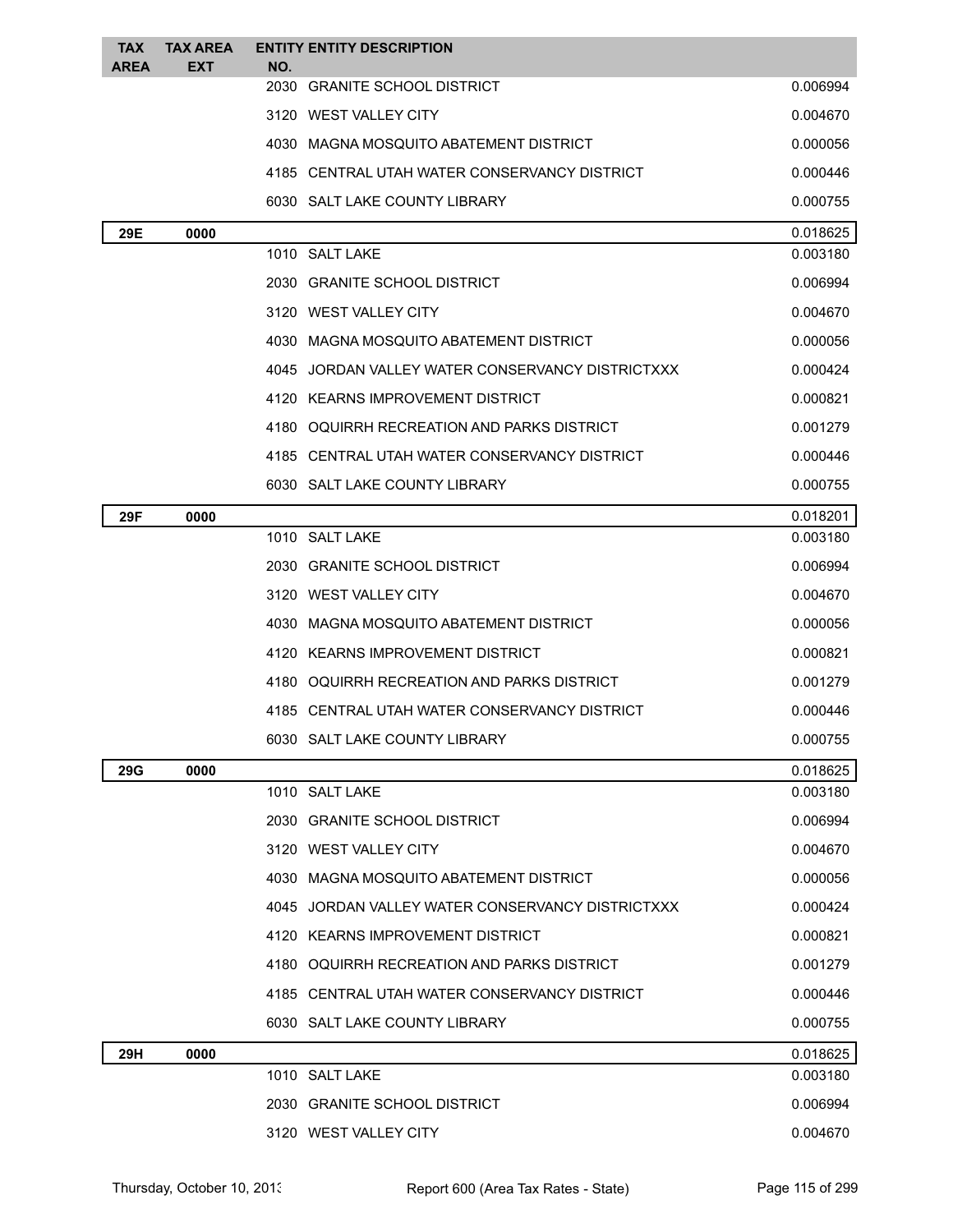| <b>TAX</b><br><b>AREA</b>        | <b>TAX AREA</b><br><b>EXT</b> | <b>ENTITY ENTITY DESCRIPTION</b><br>NO.          |          |
|----------------------------------|-------------------------------|--------------------------------------------------|----------|
|                                  |                               | 2030 GRANITE SCHOOL DISTRICT                     | 0.006994 |
|                                  |                               | 3120 WEST VALLEY CITY                            | 0.004670 |
|                                  |                               | 4030 MAGNA MOSQUITO ABATEMENT DISTRICT           | 0.000056 |
|                                  |                               | 4185 CENTRAL UTAH WATER CONSERVANCY DISTRICT     | 0.000446 |
|                                  |                               | 6030 SALT LAKE COUNTY LIBRARY                    | 0.000755 |
| 29E                              | 0000                          |                                                  | 0.018625 |
|                                  |                               | 1010 SALT LAKE                                   | 0.003180 |
|                                  |                               | 2030 GRANITE SCHOOL DISTRICT                     | 0.006994 |
|                                  |                               | 3120 WEST VALLEY CITY                            | 0.004670 |
|                                  |                               | 4030 MAGNA MOSQUITO ABATEMENT DISTRICT           | 0.000056 |
|                                  |                               | 4045 JORDAN VALLEY WATER CONSERVANCY DISTRICTXXX | 0.000424 |
|                                  |                               | 4120 KEARNS IMPROVEMENT DISTRICT                 | 0.000821 |
|                                  |                               | 4180 OQUIRRH RECREATION AND PARKS DISTRICT       | 0.001279 |
|                                  |                               | 4185 CENTRAL UTAH WATER CONSERVANCY DISTRICT     | 0.000446 |
|                                  |                               | 6030 SALT LAKE COUNTY LIBRARY                    | 0.000755 |
| 29F<br>0000                      |                               |                                                  | 0.018201 |
|                                  |                               | 1010 SALT LAKE                                   | 0.003180 |
|                                  |                               | 2030 GRANITE SCHOOL DISTRICT                     | 0.006994 |
|                                  |                               | 3120 WEST VALLEY CITY                            | 0.004670 |
|                                  |                               | 4030 MAGNA MOSQUITO ABATEMENT DISTRICT           | 0.000056 |
| 4120 KEARNS IMPROVEMENT DISTRICT |                               |                                                  | 0.000821 |
|                                  |                               | 4180 OQUIRRH RECREATION AND PARKS DISTRICT       | 0.001279 |
|                                  |                               | 4185 CENTRAL UTAH WATER CONSERVANCY DISTRICT     | 0.000446 |
|                                  |                               | 6030 SALT LAKE COUNTY LIBRARY                    | 0.000755 |
| 29G                              | 0000                          |                                                  | 0.018625 |
|                                  |                               | 1010 SALT LAKE                                   | 0.003180 |
|                                  |                               | 2030 GRANITE SCHOOL DISTRICT                     | 0.006994 |
|                                  |                               | 3120 WEST VALLEY CITY                            | 0.004670 |
|                                  |                               | 4030 MAGNA MOSQUITO ABATEMENT DISTRICT           | 0.000056 |
|                                  |                               | 4045 JORDAN VALLEY WATER CONSERVANCY DISTRICTXXX | 0.000424 |
|                                  |                               | 4120 KEARNS IMPROVEMENT DISTRICT                 | 0.000821 |
|                                  |                               | 4180 OQUIRRH RECREATION AND PARKS DISTRICT       | 0.001279 |
|                                  |                               | 4185   CENTRAL UTAH WATER CONSERVANCY DISTRICT   | 0.000446 |
|                                  |                               | 6030 SALT LAKE COUNTY LIBRARY                    | 0.000755 |
| 29H                              | 0000                          |                                                  | 0.018625 |
|                                  |                               | 1010 SALT LAKE                                   | 0.003180 |
|                                  |                               | 2030 GRANITE SCHOOL DISTRICT                     | 0.006994 |
|                                  |                               | 3120 WEST VALLEY CITY                            | 0.004670 |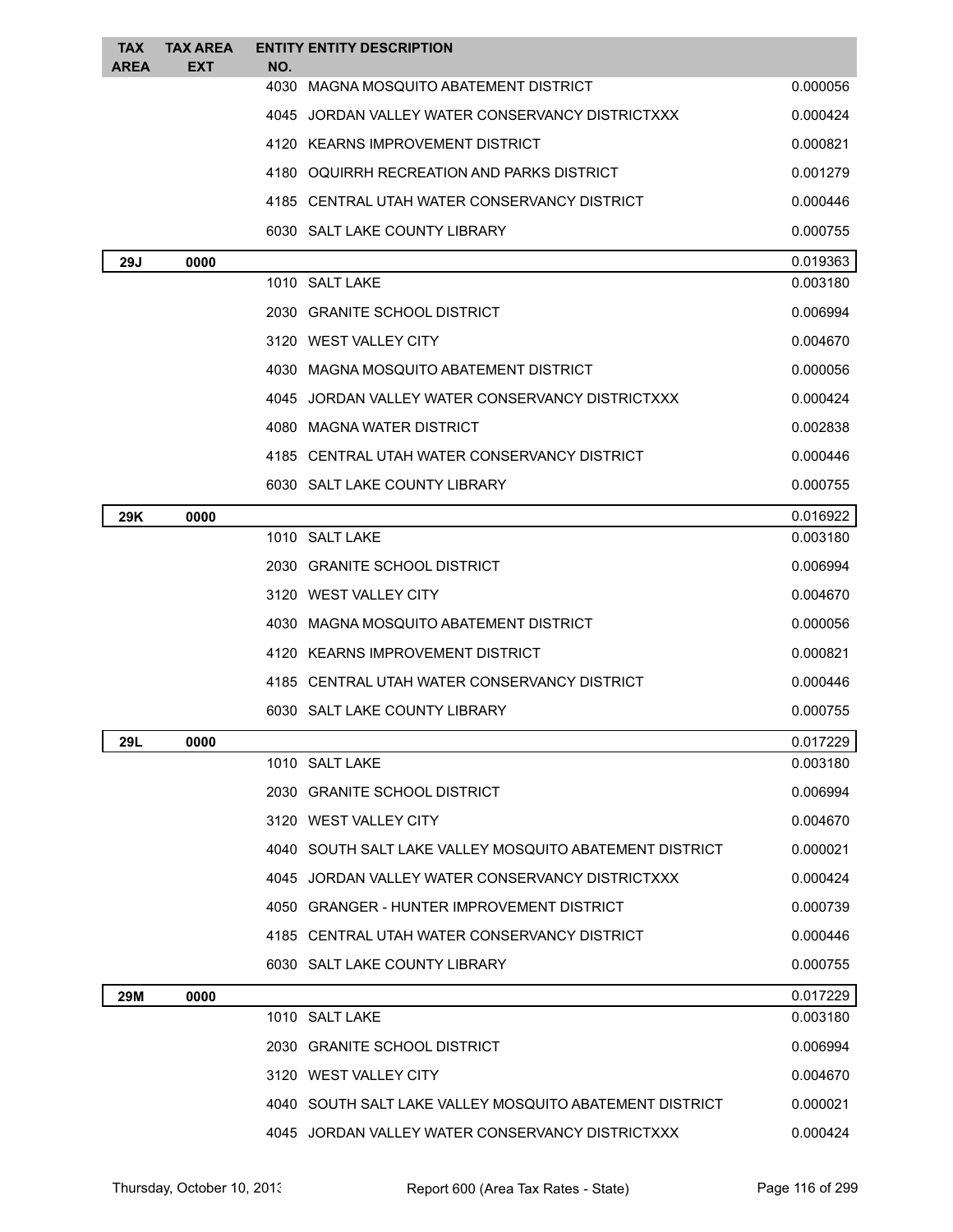| <b>TAX</b><br>AREA | <b>TAX AREA</b><br>EXT                       | <b>ENTITY ENTITY DESCRIPTION</b><br>NO.                 |          |
|--------------------|----------------------------------------------|---------------------------------------------------------|----------|
|                    | 4030 MAGNA MOSQUITO ABATEMENT DISTRICT       |                                                         | 0.000056 |
|                    |                                              | 4045 JORDAN VALLEY WATER CONSERVANCY DISTRICTXXX        | 0.000424 |
|                    |                                              | 4120 KEARNS IMPROVEMENT DISTRICT                        | 0.000821 |
|                    | 4180 OQUIRRH RECREATION AND PARKS DISTRICT   |                                                         | 0.001279 |
|                    | 4185 CENTRAL UTAH WATER CONSERVANCY DISTRICT |                                                         | 0.000446 |
|                    |                                              | 6030 SALT LAKE COUNTY LIBRARY                           | 0.000755 |
| 29J                | 0000                                         |                                                         | 0.019363 |
|                    |                                              | 1010 SALT LAKE                                          | 0.003180 |
|                    |                                              | 2030 GRANITE SCHOOL DISTRICT                            | 0.006994 |
|                    |                                              | 3120 WEST VALLEY CITY                                   | 0.004670 |
|                    |                                              | 4030 MAGNA MOSQUITO ABATEMENT DISTRICT                  | 0.000056 |
|                    |                                              | 4045 JORDAN VALLEY WATER CONSERVANCY DISTRICTXXX        | 0.000424 |
|                    |                                              | 4080 MAGNA WATER DISTRICT                               | 0.002838 |
|                    |                                              | 4185 CENTRAL UTAH WATER CONSERVANCY DISTRICT            | 0.000446 |
|                    |                                              | 6030 SALT LAKE COUNTY LIBRARY                           | 0.000755 |
| 29K                | 0000                                         |                                                         | 0.016922 |
|                    |                                              | 1010 SALT LAKE                                          | 0.003180 |
|                    |                                              | 2030 GRANITE SCHOOL DISTRICT                            | 0.006994 |
|                    |                                              | 3120 WEST VALLEY CITY                                   | 0.004670 |
|                    |                                              | 4030 MAGNA MOSQUITO ABATEMENT DISTRICT                  | 0.000056 |
|                    |                                              | 4120 KEARNS IMPROVEMENT DISTRICT                        | 0.000821 |
|                    |                                              | 4185 CENTRAL UTAH WATER CONSERVANCY DISTRICT            | 0.000446 |
|                    |                                              | 6030 SALT LAKE COUNTY LIBRARY                           | 0.000755 |
| 29L                | 0000                                         |                                                         | 0.017229 |
|                    |                                              | 1010 SALT LAKE                                          | 0.003180 |
|                    |                                              | 2030 GRANITE SCHOOL DISTRICT                            | 0.006994 |
|                    |                                              | 3120 WEST VALLEY CITY                                   | 0.004670 |
|                    |                                              | 4040 SOUTH SALT LAKE VALLEY MOSQUITO ABATEMENT DISTRICT | 0.000021 |
|                    |                                              | 4045 JORDAN VALLEY WATER CONSERVANCY DISTRICTXXX        | 0.000424 |
|                    |                                              | 4050 GRANGER - HUNTER IMPROVEMENT DISTRICT              | 0.000739 |
|                    |                                              | 4185 CENTRAL UTAH WATER CONSERVANCY DISTRICT            | 0.000446 |
|                    |                                              | 6030 SALT LAKE COUNTY LIBRARY                           | 0.000755 |
| 29M                | 0000                                         |                                                         | 0.017229 |
|                    |                                              | 1010 SALT LAKE                                          | 0.003180 |
|                    |                                              | 2030 GRANITE SCHOOL DISTRICT                            | 0.006994 |
|                    |                                              | 3120 WEST VALLEY CITY                                   | 0.004670 |
|                    |                                              | 4040 SOUTH SALT LAKE VALLEY MOSQUITO ABATEMENT DISTRICT | 0.000021 |
|                    |                                              | 4045 JORDAN VALLEY WATER CONSERVANCY DISTRICTXXX        | 0.000424 |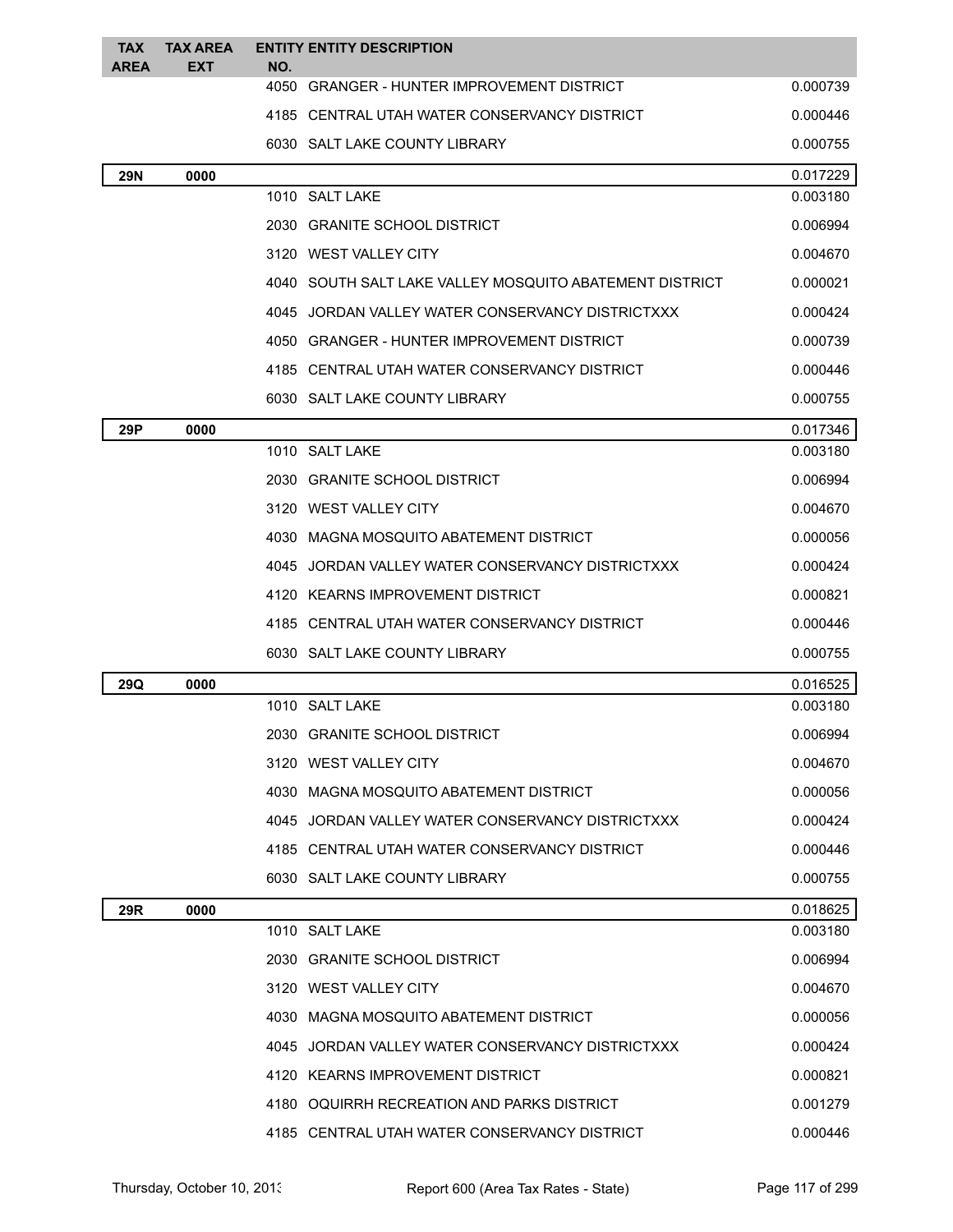| <b>TAX</b><br><b>AREA</b>                    | <b>TAX AREA</b><br><b>EXT</b>                    | NO. | <b>ENTITY ENTITY DESCRIPTION</b>                        |          |
|----------------------------------------------|--------------------------------------------------|-----|---------------------------------------------------------|----------|
|                                              |                                                  |     | 4050 GRANGER - HUNTER IMPROVEMENT DISTRICT              | 0.000739 |
|                                              |                                                  |     | 4185 CENTRAL UTAH WATER CONSERVANCY DISTRICT            | 0.000446 |
|                                              |                                                  |     | 6030 SALT LAKE COUNTY LIBRARY                           | 0.000755 |
| <b>29N</b>                                   | 0000                                             |     |                                                         | 0.017229 |
|                                              |                                                  |     | 1010 SALT LAKE                                          | 0.003180 |
|                                              |                                                  |     | 2030 GRANITE SCHOOL DISTRICT                            | 0.006994 |
|                                              |                                                  |     | 3120 WEST VALLEY CITY                                   | 0.004670 |
|                                              |                                                  |     | 4040 SOUTH SALT LAKE VALLEY MOSQUITO ABATEMENT DISTRICT | 0.000021 |
|                                              |                                                  |     | 4045 JORDAN VALLEY WATER CONSERVANCY DISTRICTXXX        | 0.000424 |
|                                              |                                                  |     | 4050 GRANGER - HUNTER IMPROVEMENT DISTRICT              | 0.000739 |
|                                              |                                                  |     | 4185 CENTRAL UTAH WATER CONSERVANCY DISTRICT            | 0.000446 |
|                                              |                                                  |     | 6030 SALT LAKE COUNTY LIBRARY                           | 0.000755 |
| 29P                                          | 0000                                             |     |                                                         | 0.017346 |
|                                              |                                                  |     | 1010 SALT LAKE                                          | 0.003180 |
|                                              |                                                  |     | 2030 GRANITE SCHOOL DISTRICT                            | 0.006994 |
|                                              |                                                  |     | 3120 WEST VALLEY CITY                                   | 0.004670 |
|                                              | 4030 MAGNA MOSQUITO ABATEMENT DISTRICT           |     | 0.000056                                                |          |
|                                              | 4045 JORDAN VALLEY WATER CONSERVANCY DISTRICTXXX |     | 0.000424                                                |          |
|                                              | 4120 KEARNS IMPROVEMENT DISTRICT                 |     |                                                         | 0.000821 |
| 4185 CENTRAL UTAH WATER CONSERVANCY DISTRICT |                                                  |     | 0.000446                                                |          |
|                                              | 6030 SALT LAKE COUNTY LIBRARY                    |     | 0.000755                                                |          |
| 29Q                                          | 0000                                             |     |                                                         | 0.016525 |
|                                              |                                                  |     | 1010 SALT LAKE                                          | 0.003180 |
|                                              |                                                  |     | 2030 GRANITE SCHOOL DISTRICT                            | 0.006994 |
|                                              |                                                  |     | 3120 WEST VALLEY CITY                                   | 0.004670 |
|                                              |                                                  |     | 4030 MAGNA MOSQUITO ABATEMENT DISTRICT                  | 0.000056 |
|                                              |                                                  |     | 4045 JORDAN VALLEY WATER CONSERVANCY DISTRICTXXX        | 0.000424 |
|                                              |                                                  |     | 4185 CENTRAL UTAH WATER CONSERVANCY DISTRICT            | 0.000446 |
|                                              |                                                  |     | 6030 SALT LAKE COUNTY LIBRARY                           | 0.000755 |
| 29R                                          | 0000                                             |     |                                                         | 0.018625 |
|                                              |                                                  |     | 1010 SALT LAKE                                          | 0.003180 |
|                                              |                                                  |     | 2030 GRANITE SCHOOL DISTRICT                            | 0.006994 |
|                                              |                                                  |     | 3120 WEST VALLEY CITY                                   | 0.004670 |
|                                              |                                                  |     | 4030 MAGNA MOSQUITO ABATEMENT DISTRICT                  | 0.000056 |
|                                              |                                                  |     | 4045 JORDAN VALLEY WATER CONSERVANCY DISTRICTXXX        | 0.000424 |
|                                              |                                                  |     | 4120 KEARNS IMPROVEMENT DISTRICT                        | 0.000821 |
|                                              |                                                  |     | 4180 OQUIRRH RECREATION AND PARKS DISTRICT              | 0.001279 |
|                                              |                                                  |     | 4185 CENTRAL UTAH WATER CONSERVANCY DISTRICT            | 0.000446 |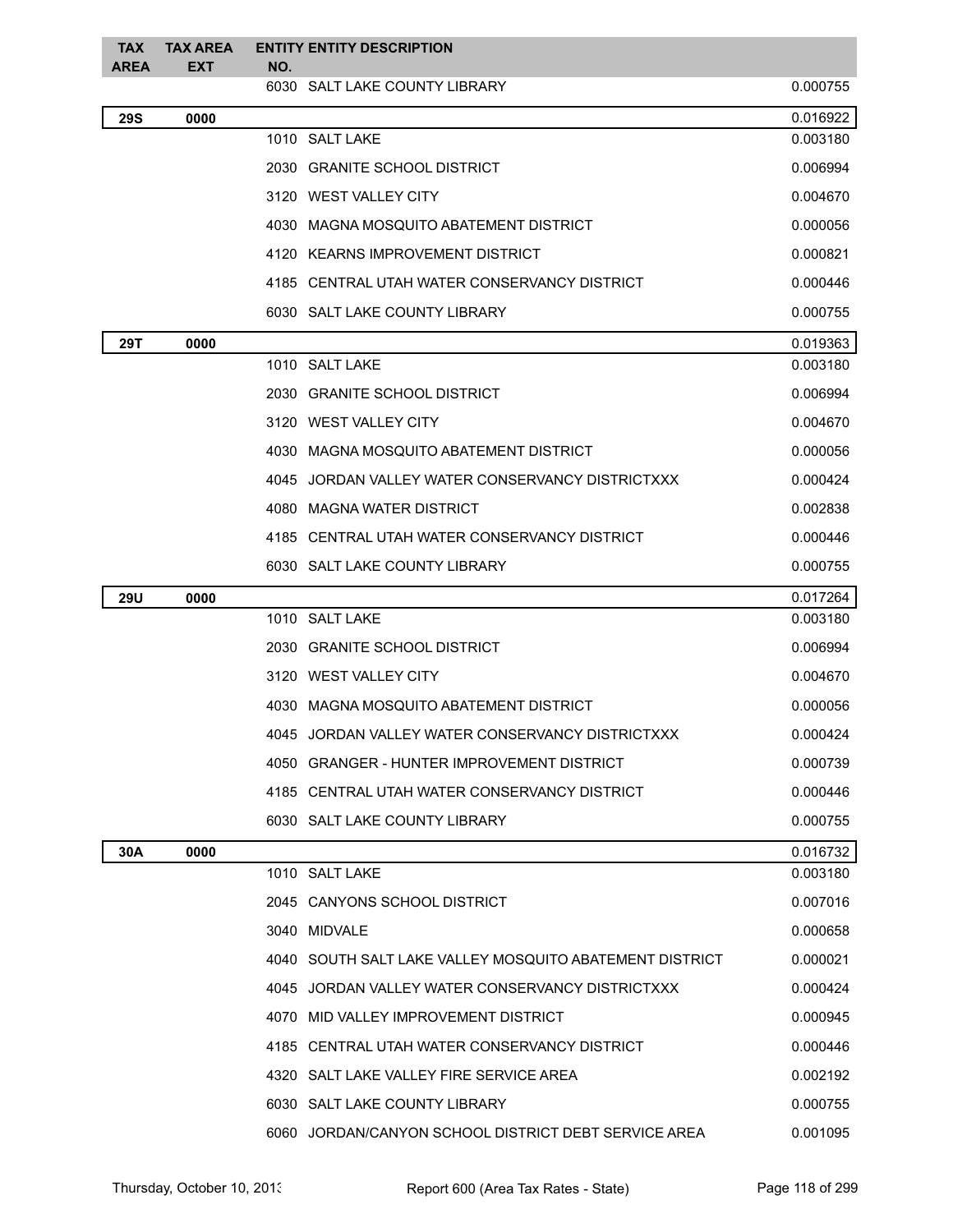| <b>TAX</b><br><b>AREA</b> | <b>TAX AREA</b><br><b>EXT</b> | <b>ENTITY ENTITY DESCRIPTION</b><br>NO.                 |          |  |
|---------------------------|-------------------------------|---------------------------------------------------------|----------|--|
|                           |                               | 6030 SALT LAKE COUNTY LIBRARY                           | 0.000755 |  |
| <b>29S</b>                | 0000                          |                                                         | 0.016922 |  |
|                           |                               | 1010 SALT LAKE                                          | 0.003180 |  |
|                           |                               | 2030 GRANITE SCHOOL DISTRICT                            | 0.006994 |  |
|                           |                               | 3120 WEST VALLEY CITY                                   | 0.004670 |  |
|                           |                               | 4030 MAGNA MOSQUITO ABATEMENT DISTRICT                  | 0.000056 |  |
|                           |                               | 4120 KEARNS IMPROVEMENT DISTRICT                        | 0.000821 |  |
|                           |                               | 4185 CENTRAL UTAH WATER CONSERVANCY DISTRICT            | 0.000446 |  |
|                           |                               | 6030 SALT LAKE COUNTY LIBRARY                           | 0.000755 |  |
| 29T                       | 0000                          |                                                         | 0.019363 |  |
|                           |                               | 1010 SALT LAKE                                          | 0.003180 |  |
|                           |                               | 2030 GRANITE SCHOOL DISTRICT                            | 0.006994 |  |
|                           |                               | 3120 WEST VALLEY CITY                                   | 0.004670 |  |
|                           |                               | 4030 MAGNA MOSQUITO ABATEMENT DISTRICT                  | 0.000056 |  |
|                           |                               | 4045 JORDAN VALLEY WATER CONSERVANCY DISTRICTXXX        | 0.000424 |  |
|                           |                               | 4080 MAGNA WATER DISTRICT                               | 0.002838 |  |
|                           |                               | 4185 CENTRAL UTAH WATER CONSERVANCY DISTRICT            | 0.000446 |  |
|                           |                               | 6030 SALT LAKE COUNTY LIBRARY                           | 0.000755 |  |
| 29U                       | 0000                          |                                                         | 0.017264 |  |
|                           |                               | 1010 SALT LAKE                                          | 0.003180 |  |
|                           |                               | 2030 GRANITE SCHOOL DISTRICT                            | 0.006994 |  |
|                           |                               | 3120 WEST VALLEY CITY                                   | 0.004670 |  |
|                           |                               | 4030 MAGNA MOSQUITO ABATEMENT DISTRICT                  | 0.000056 |  |
|                           |                               | 4045 JORDAN VALLEY WATER CONSERVANCY DISTRICTXXX        | 0.000424 |  |
|                           |                               | 4050 GRANGER - HUNTER IMPROVEMENT DISTRICT              | 0.000739 |  |
|                           |                               | 4185 CENTRAL UTAH WATER CONSERVANCY DISTRICT            | 0.000446 |  |
|                           |                               | 6030 SALT LAKE COUNTY LIBRARY                           | 0.000755 |  |
| 30A                       | 0000                          |                                                         | 0.016732 |  |
|                           |                               | 1010 SALT LAKE                                          | 0.003180 |  |
|                           |                               | 2045 CANYONS SCHOOL DISTRICT                            | 0.007016 |  |
|                           |                               | 3040 MIDVALE                                            | 0.000658 |  |
|                           |                               | 4040 SOUTH SALT LAKE VALLEY MOSQUITO ABATEMENT DISTRICT | 0.000021 |  |
|                           |                               | 4045 JORDAN VALLEY WATER CONSERVANCY DISTRICTXXX        | 0.000424 |  |
|                           |                               | 4070 MID VALLEY IMPROVEMENT DISTRICT                    | 0.000945 |  |
|                           |                               | 4185 CENTRAL UTAH WATER CONSERVANCY DISTRICT            | 0.000446 |  |
|                           |                               | 4320 SALT LAKE VALLEY FIRE SERVICE AREA                 | 0.002192 |  |
|                           |                               | 6030 SALT LAKE COUNTY LIBRARY                           | 0.000755 |  |
|                           |                               | 6060 JORDAN/CANYON SCHOOL DISTRICT DEBT SERVICE AREA    | 0.001095 |  |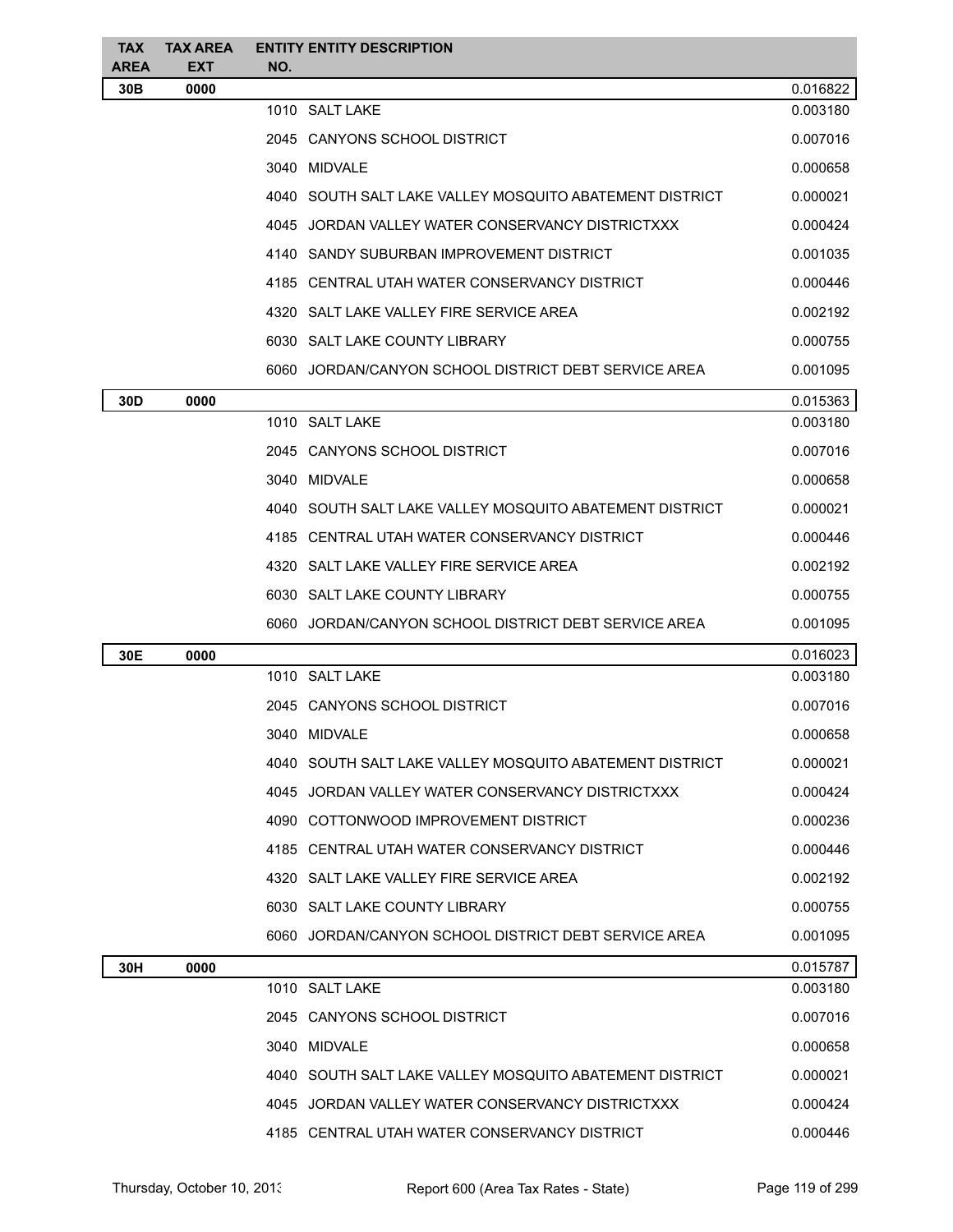| <b>TAX</b><br>AREA | <b>TAX AREA</b><br><b>EXT</b> | <b>ENTITY ENTITY DESCRIPTION</b><br>NO.                 |          |  |  |
|--------------------|-------------------------------|---------------------------------------------------------|----------|--|--|
| 30 <sub>B</sub>    | 0000                          |                                                         | 0.016822 |  |  |
|                    |                               | 1010 SALT LAKE                                          | 0.003180 |  |  |
|                    |                               | 2045 CANYONS SCHOOL DISTRICT                            | 0.007016 |  |  |
|                    |                               | 3040 MIDVALE                                            | 0.000658 |  |  |
|                    |                               | 4040 SOUTH SALT LAKE VALLEY MOSQUITO ABATEMENT DISTRICT | 0.000021 |  |  |
|                    |                               | 4045 JORDAN VALLEY WATER CONSERVANCY DISTRICTXXX        | 0.000424 |  |  |
|                    |                               | 4140 SANDY SUBURBAN IMPROVEMENT DISTRICT                | 0.001035 |  |  |
|                    |                               | 4185 CENTRAL UTAH WATER CONSERVANCY DISTRICT            | 0.000446 |  |  |
|                    |                               | 4320 SALT LAKE VALLEY FIRE SERVICE AREA                 | 0.002192 |  |  |
|                    |                               | 6030 SALT LAKE COUNTY LIBRARY                           | 0.000755 |  |  |
|                    |                               | 6060 JORDAN/CANYON SCHOOL DISTRICT DEBT SERVICE AREA    | 0.001095 |  |  |
| 30D                | 0000                          |                                                         | 0.015363 |  |  |
|                    |                               | 1010 SALT LAKE                                          | 0.003180 |  |  |
|                    |                               | 2045 CANYONS SCHOOL DISTRICT                            | 0.007016 |  |  |
|                    |                               | 3040 MIDVALE                                            | 0.000658 |  |  |
|                    |                               | 4040 SOUTH SALT LAKE VALLEY MOSQUITO ABATEMENT DISTRICT | 0.000021 |  |  |
|                    |                               | 4185 CENTRAL UTAH WATER CONSERVANCY DISTRICT            | 0.000446 |  |  |
|                    |                               | 4320 SALT LAKE VALLEY FIRE SERVICE AREA                 | 0.002192 |  |  |
|                    |                               | 6030 SALT LAKE COUNTY LIBRARY                           | 0.000755 |  |  |
|                    |                               | 6060 JORDAN/CANYON SCHOOL DISTRICT DEBT SERVICE AREA    | 0.001095 |  |  |
| 30E                | 0000                          |                                                         | 0.016023 |  |  |
|                    |                               | 1010 SALT LAKE                                          | 0.003180 |  |  |
|                    |                               | 2045 CANYONS SCHOOL DISTRICT                            | 0.007016 |  |  |
|                    |                               | 3040 MIDVALE                                            | 0.000658 |  |  |
|                    |                               | 4040 SOUTH SALT LAKE VALLEY MOSQUITO ABATEMENT DISTRICT | 0.000021 |  |  |
|                    |                               | 4045 JORDAN VALLEY WATER CONSERVANCY DISTRICTXXX        | 0.000424 |  |  |
|                    |                               | 4090 COTTONWOOD IMPROVEMENT DISTRICT                    | 0.000236 |  |  |
|                    |                               | 4185 CENTRAL UTAH WATER CONSERVANCY DISTRICT            | 0.000446 |  |  |
|                    |                               | 4320 SALT LAKE VALLEY FIRE SERVICE AREA                 | 0.002192 |  |  |
|                    |                               | 6030 SALT LAKE COUNTY LIBRARY                           | 0.000755 |  |  |
|                    |                               | 6060 JORDAN/CANYON SCHOOL DISTRICT DEBT SERVICE AREA    | 0.001095 |  |  |
| 30H                | 0000                          |                                                         | 0.015787 |  |  |
|                    |                               | 1010 SALT LAKE                                          | 0.003180 |  |  |
|                    |                               | 2045 CANYONS SCHOOL DISTRICT                            | 0.007016 |  |  |
|                    |                               | 3040 MIDVALE                                            | 0.000658 |  |  |
|                    |                               | 4040 SOUTH SALT LAKE VALLEY MOSQUITO ABATEMENT DISTRICT | 0.000021 |  |  |
|                    |                               | 4045 JORDAN VALLEY WATER CONSERVANCY DISTRICTXXX        | 0.000424 |  |  |
|                    |                               | 4185 CENTRAL UTAH WATER CONSERVANCY DISTRICT            | 0.000446 |  |  |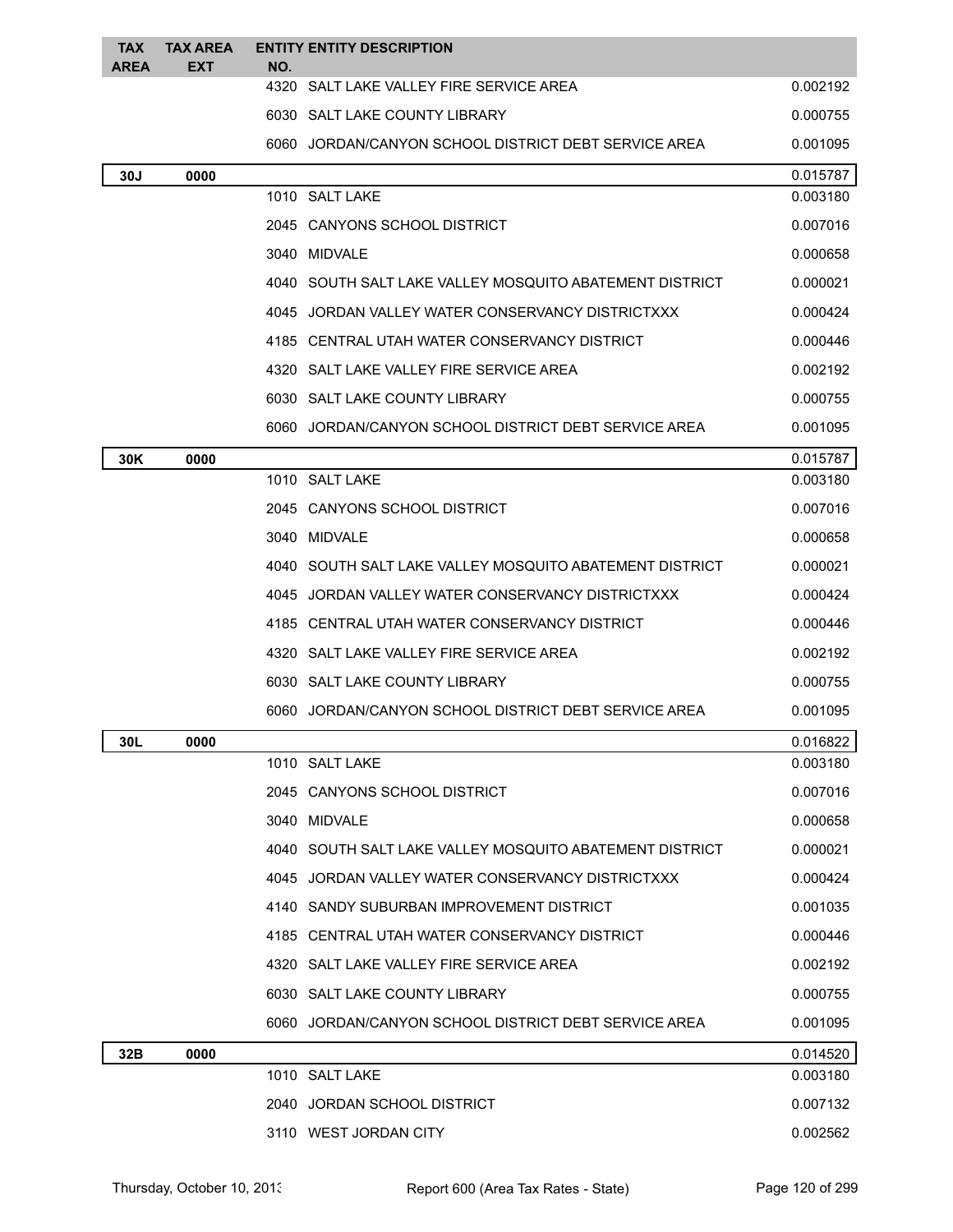| <b>TAX</b><br><b>AREA</b>                        | <b>TAX AREA</b><br><b>EXT</b>           | <b>ENTITY ENTITY DESCRIPTION</b><br>NO. |                                                         |          |  |  |
|--------------------------------------------------|-----------------------------------------|-----------------------------------------|---------------------------------------------------------|----------|--|--|
|                                                  |                                         |                                         | 4320 SALT LAKE VALLEY FIRE SERVICE AREA                 | 0.002192 |  |  |
|                                                  | 6030 SALT LAKE COUNTY LIBRARY           |                                         |                                                         | 0.000755 |  |  |
|                                                  |                                         |                                         | 6060 JORDAN/CANYON SCHOOL DISTRICT DEBT SERVICE AREA    |          |  |  |
| 30J                                              | 0000                                    |                                         |                                                         |          |  |  |
|                                                  |                                         | 1010 SALT LAKE                          |                                                         | 0.003180 |  |  |
|                                                  |                                         | 2045 CANYONS SCHOOL DISTRICT            |                                                         | 0.007016 |  |  |
|                                                  |                                         | 3040 MIDVALE                            |                                                         | 0.000658 |  |  |
|                                                  |                                         |                                         | 4040 SOUTH SALT LAKE VALLEY MOSQUITO ABATEMENT DISTRICT | 0.000021 |  |  |
|                                                  |                                         |                                         | 4045 JORDAN VALLEY WATER CONSERVANCY DISTRICTXXX        | 0.000424 |  |  |
|                                                  |                                         |                                         | 4185 CENTRAL UTAH WATER CONSERVANCY DISTRICT            | 0.000446 |  |  |
|                                                  |                                         |                                         | 4320 SALT LAKE VALLEY FIRE SERVICE AREA                 | 0.002192 |  |  |
|                                                  |                                         | 6030 SALT LAKE COUNTY LIBRARY           |                                                         | 0.000755 |  |  |
|                                                  |                                         |                                         | 6060 JORDAN/CANYON SCHOOL DISTRICT DEBT SERVICE AREA    | 0.001095 |  |  |
| 30K                                              | 0000                                    |                                         |                                                         | 0.015787 |  |  |
|                                                  |                                         | 1010 SALT LAKE                          |                                                         | 0.003180 |  |  |
|                                                  |                                         | 2045 CANYONS SCHOOL DISTRICT            |                                                         | 0.007016 |  |  |
|                                                  |                                         | 3040 MIDVALE                            |                                                         | 0.000658 |  |  |
|                                                  |                                         |                                         | 4040 SOUTH SALT LAKE VALLEY MOSQUITO ABATEMENT DISTRICT | 0.000021 |  |  |
| 4045 JORDAN VALLEY WATER CONSERVANCY DISTRICTXXX |                                         |                                         | 0.000424                                                |          |  |  |
| 4185 CENTRAL UTAH WATER CONSERVANCY DISTRICT     |                                         |                                         | 0.000446                                                |          |  |  |
|                                                  | 4320 SALT LAKE VALLEY FIRE SERVICE AREA |                                         |                                                         | 0.002192 |  |  |
|                                                  | 6030 SALT LAKE COUNTY LIBRARY           |                                         | 0.000755                                                |          |  |  |
|                                                  |                                         |                                         | 6060 JORDAN/CANYON SCHOOL DISTRICT DEBT SERVICE AREA    | 0.001095 |  |  |
| 30L                                              | 0000                                    |                                         |                                                         | 0.016822 |  |  |
|                                                  |                                         | 1010 SALT LAKE                          |                                                         | 0.003180 |  |  |
|                                                  |                                         | 2045 CANYONS SCHOOL DISTRICT            |                                                         | 0.007016 |  |  |
|                                                  |                                         | 3040 MIDVALE                            |                                                         | 0.000658 |  |  |
|                                                  |                                         |                                         | 4040 SOUTH SALT LAKE VALLEY MOSQUITO ABATEMENT DISTRICT | 0.000021 |  |  |
|                                                  |                                         |                                         | 4045 JORDAN VALLEY WATER CONSERVANCY DISTRICTXXX        | 0.000424 |  |  |
|                                                  |                                         |                                         | 4140 SANDY SUBURBAN IMPROVEMENT DISTRICT                | 0.001035 |  |  |
|                                                  |                                         |                                         | 4185 CENTRAL UTAH WATER CONSERVANCY DISTRICT            | 0.000446 |  |  |
|                                                  |                                         |                                         | 4320 SALT LAKE VALLEY FIRE SERVICE AREA                 | 0.002192 |  |  |
|                                                  |                                         | 6030 SALT LAKE COUNTY LIBRARY           |                                                         | 0.000755 |  |  |
|                                                  |                                         |                                         | 6060 JORDAN/CANYON SCHOOL DISTRICT DEBT SERVICE AREA    | 0.001095 |  |  |
| 32B                                              | 0000                                    |                                         |                                                         | 0.014520 |  |  |
|                                                  |                                         | 1010 SALT LAKE                          |                                                         | 0.003180 |  |  |
|                                                  |                                         | 2040 JORDAN SCHOOL DISTRICT             |                                                         | 0.007132 |  |  |
|                                                  |                                         | 3110 WEST JORDAN CITY                   |                                                         | 0.002562 |  |  |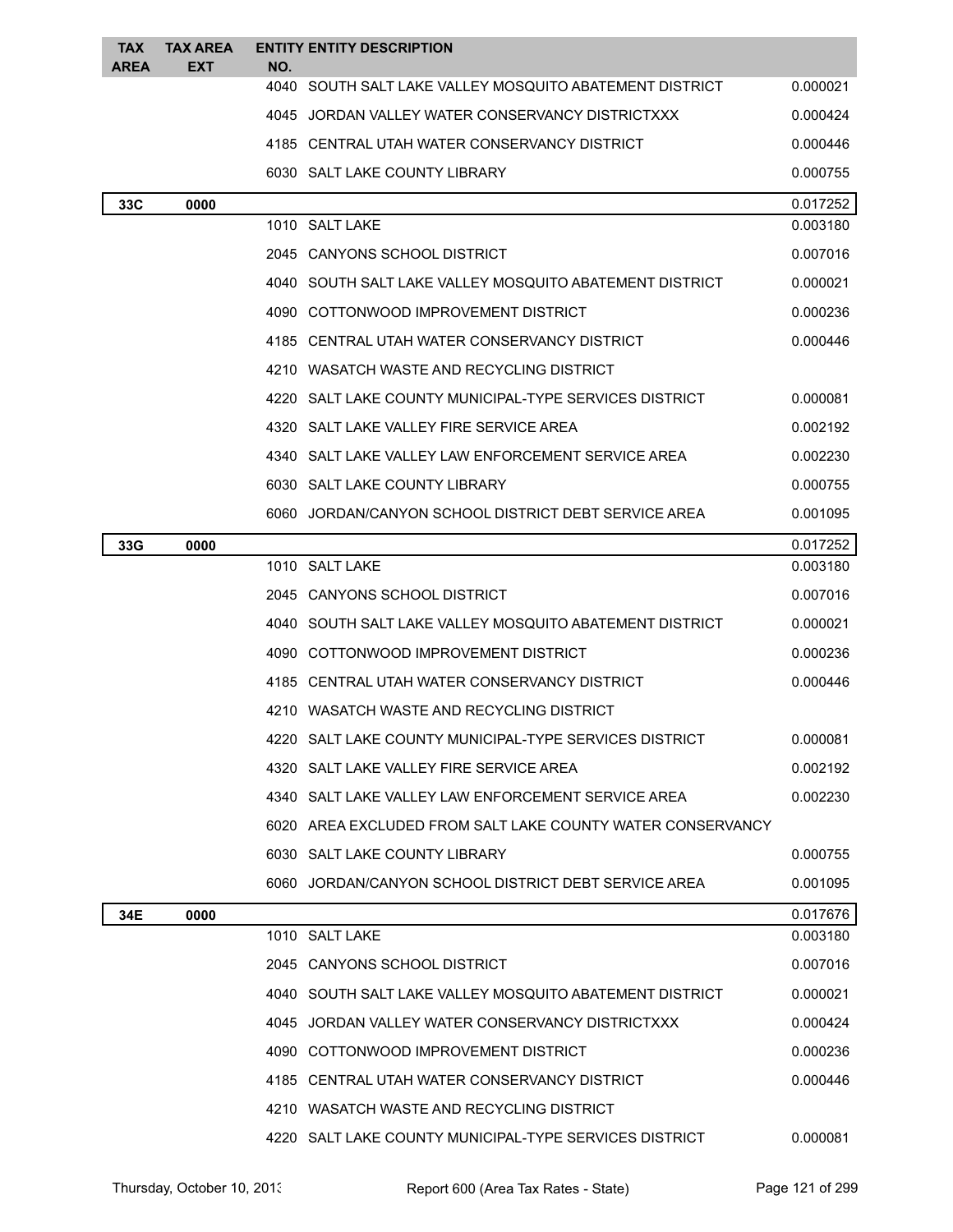| TAX<br><b>AREA</b> | <b>TAX AREA</b><br>EXT | NO.  | <b>ENTITY ENTITY DESCRIPTION</b>                           |          |
|--------------------|------------------------|------|------------------------------------------------------------|----------|
|                    |                        |      | 4040 SOUTH SALT LAKE VALLEY MOSQUITO ABATEMENT DISTRICT    | 0.000021 |
|                    |                        |      | 4045 JORDAN VALLEY WATER CONSERVANCY DISTRICTXXX           | 0.000424 |
|                    |                        |      | 4185 CENTRAL UTAH WATER CONSERVANCY DISTRICT               | 0.000446 |
|                    |                        |      | 6030 SALT LAKE COUNTY LIBRARY                              | 0.000755 |
| 33C                | 0000                   |      |                                                            | 0.017252 |
|                    |                        |      | 1010 SALT LAKE                                             | 0.003180 |
|                    |                        |      | 2045 CANYONS SCHOOL DISTRICT                               | 0.007016 |
|                    |                        |      | 4040 SOUTH SALT LAKE VALLEY MOSQUITO ABATEMENT DISTRICT    | 0.000021 |
|                    |                        |      | 4090 COTTONWOOD IMPROVEMENT DISTRICT                       | 0.000236 |
|                    |                        |      | 4185 CENTRAL UTAH WATER CONSERVANCY DISTRICT               | 0.000446 |
|                    |                        |      | 4210 WASATCH WASTE AND RECYCLING DISTRICT                  |          |
|                    |                        |      | 4220 SALT LAKE COUNTY MUNICIPAL-TYPE SERVICES DISTRICT     | 0.000081 |
|                    |                        |      | 4320 SALT LAKE VALLEY FIRE SERVICE AREA                    | 0.002192 |
|                    |                        |      | 4340 SALT LAKE VALLEY LAW ENFORCEMENT SERVICE AREA         | 0.002230 |
|                    |                        |      | 6030 SALT LAKE COUNTY LIBRARY                              | 0.000755 |
|                    |                        |      | 6060 JORDAN/CANYON SCHOOL DISTRICT DEBT SERVICE AREA       | 0.001095 |
| 33G                | 0000                   |      |                                                            | 0.017252 |
|                    |                        |      | 1010 SALT LAKE                                             | 0.003180 |
|                    |                        |      | 2045 CANYONS SCHOOL DISTRICT                               | 0.007016 |
|                    |                        |      | 4040 SOUTH SALT LAKE VALLEY MOSQUITO ABATEMENT DISTRICT    | 0.000021 |
|                    |                        | 4090 | COTTONWOOD IMPROVEMENT DISTRICT                            | 0.000236 |
|                    |                        |      | 4185 CENTRAL UTAH WATER CONSERVANCY DISTRICT               | 0.000446 |
|                    |                        |      | 4210 WASATCH WASTE AND RECYCLING DISTRICT                  |          |
|                    |                        |      | 4220 SALT LAKE COUNTY MUNICIPAL-TYPE SERVICES DISTRICT     | 0.000081 |
|                    |                        |      | 4320 SALT LAKE VALLEY FIRE SERVICE AREA                    | 0.002192 |
|                    |                        |      | 4340 SALT LAKE VALLEY LAW ENFORCEMENT SERVICE AREA         | 0.002230 |
|                    |                        |      | 6020 AREA EXCLUDED FROM SALT LAKE COUNTY WATER CONSERVANCY |          |
|                    |                        |      | 6030 SALT LAKE COUNTY LIBRARY                              | 0.000755 |
|                    |                        |      | 6060 JORDAN/CANYON SCHOOL DISTRICT DEBT SERVICE AREA       | 0.001095 |
| 34E                | 0000                   |      |                                                            | 0.017676 |
|                    |                        |      | 1010 SALT LAKE                                             | 0.003180 |
|                    |                        |      | 2045 CANYONS SCHOOL DISTRICT                               | 0.007016 |
|                    |                        |      | 4040 SOUTH SALT LAKE VALLEY MOSQUITO ABATEMENT DISTRICT    | 0.000021 |
|                    |                        |      | 4045 JORDAN VALLEY WATER CONSERVANCY DISTRICTXXX           | 0.000424 |
|                    |                        |      | 4090 COTTONWOOD IMPROVEMENT DISTRICT                       | 0.000236 |
|                    |                        |      | 4185 CENTRAL UTAH WATER CONSERVANCY DISTRICT               | 0.000446 |
|                    |                        |      | 4210 WASATCH WASTE AND RECYCLING DISTRICT                  |          |
|                    |                        |      | 4220 SALT LAKE COUNTY MUNICIPAL-TYPE SERVICES DISTRICT     | 0.000081 |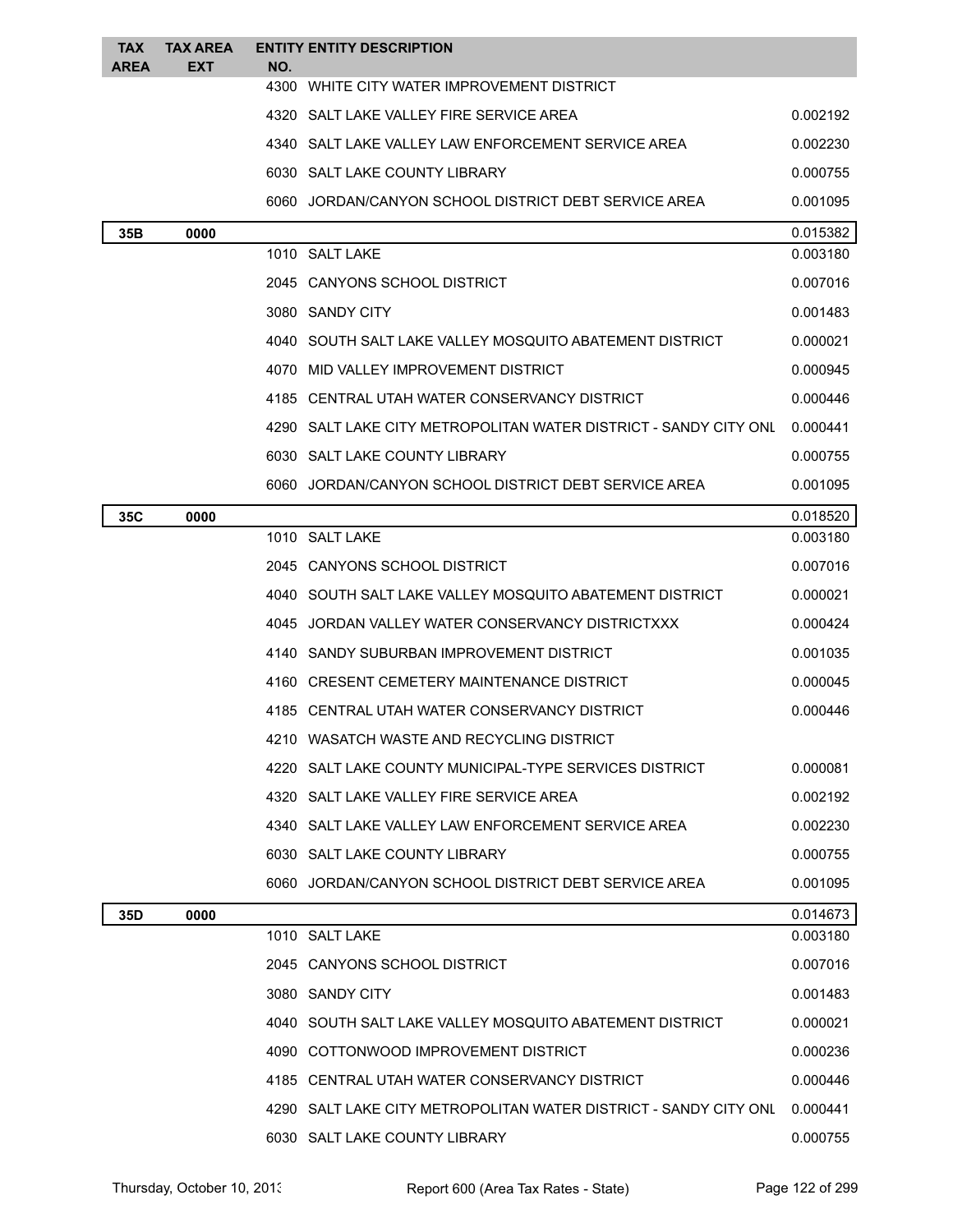| <b>TAX</b><br><b>AREA</b> | <b>TAX AREA</b><br>EXT | NO.  | <b>ENTITY ENTITY DESCRIPTION</b>                                   |          |
|---------------------------|------------------------|------|--------------------------------------------------------------------|----------|
|                           |                        | 4300 | WHITE CITY WATER IMPROVEMENT DISTRICT                              |          |
|                           |                        |      | 4320 SALT LAKE VALLEY FIRE SERVICE AREA                            | 0.002192 |
|                           |                        |      | 4340 SALT LAKE VALLEY LAW ENFORCEMENT SERVICE AREA                 | 0.002230 |
|                           |                        |      | 6030 SALT LAKE COUNTY LIBRARY                                      | 0.000755 |
|                           |                        |      | 6060 JORDAN/CANYON SCHOOL DISTRICT DEBT SERVICE AREA               | 0.001095 |
| 35B                       | 0000                   |      |                                                                    | 0.015382 |
|                           |                        |      | 1010 SALT LAKE                                                     | 0.003180 |
|                           |                        |      | 2045 CANYONS SCHOOL DISTRICT                                       | 0.007016 |
|                           |                        |      | 3080 SANDY CITY                                                    | 0.001483 |
|                           |                        |      | 4040 SOUTH SALT LAKE VALLEY MOSQUITO ABATEMENT DISTRICT            | 0.000021 |
|                           |                        |      | 4070 MID VALLEY IMPROVEMENT DISTRICT                               | 0.000945 |
|                           |                        |      | 4185 CENTRAL UTAH WATER CONSERVANCY DISTRICT                       | 0.000446 |
|                           |                        |      | 4290 SALT LAKE CITY METROPOLITAN WATER DISTRICT - SANDY CITY ONL   | 0.000441 |
|                           |                        |      | 6030 SALT LAKE COUNTY LIBRARY                                      | 0.000755 |
|                           |                        |      | 6060 JORDAN/CANYON SCHOOL DISTRICT DEBT SERVICE AREA               | 0.001095 |
| 35C                       | 0000                   |      |                                                                    | 0.018520 |
|                           |                        |      | 1010 SALT LAKE                                                     | 0.003180 |
|                           |                        |      | 2045 CANYONS SCHOOL DISTRICT                                       | 0.007016 |
|                           |                        |      | 4040 SOUTH SALT LAKE VALLEY MOSQUITO ABATEMENT DISTRICT            | 0.000021 |
|                           |                        |      | 4045 JORDAN VALLEY WATER CONSERVANCY DISTRICTXXX                   | 0.000424 |
|                           |                        |      | 4140 SANDY SUBURBAN IMPROVEMENT DISTRICT                           | 0.001035 |
|                           |                        |      | 4160 CRESENT CEMETERY MAINTENANCE DISTRICT                         | 0.000045 |
|                           |                        |      | 4185 CENTRAL UTAH WATER CONSERVANCY DISTRICT                       | 0.000446 |
|                           |                        |      | WASATCH WASTE AND RECYCLING DISTRICT                               |          |
|                           |                        |      | 4220 SALT LAKE COUNTY MUNICIPAL-TYPE SERVICES DISTRICT             | 0.000081 |
|                           |                        |      | 4320 SALT LAKE VALLEY FIRE SERVICE AREA                            | 0.002192 |
|                           |                        |      | 4340 SALT LAKE VALLEY LAW ENFORCEMENT SERVICE AREA                 | 0.002230 |
|                           |                        |      | 6030 SALT LAKE COUNTY LIBRARY                                      | 0.000755 |
|                           |                        |      | 6060 JORDAN/CANYON SCHOOL DISTRICT DEBT SERVICE AREA               | 0.001095 |
| 35D                       | 0000                   |      |                                                                    | 0.014673 |
|                           |                        |      | 1010 SALT LAKE                                                     | 0.003180 |
|                           |                        |      | 2045 CANYONS SCHOOL DISTRICT                                       | 0.007016 |
|                           |                        |      | 3080 SANDY CITY                                                    | 0.001483 |
|                           |                        |      | 4040 SOUTH SALT LAKE VALLEY MOSQUITO ABATEMENT DISTRICT            | 0.000021 |
|                           |                        |      | 4090 COTTONWOOD IMPROVEMENT DISTRICT                               | 0.000236 |
|                           |                        |      | 4185 CENTRAL UTAH WATER CONSERVANCY DISTRICT                       | 0.000446 |
|                           |                        |      | 4290   SALT LAKE CITY METROPOLITAN WATER DISTRICT - SANDY CITY ONL | 0.000441 |
|                           |                        |      | 6030 SALT LAKE COUNTY LIBRARY                                      | 0.000755 |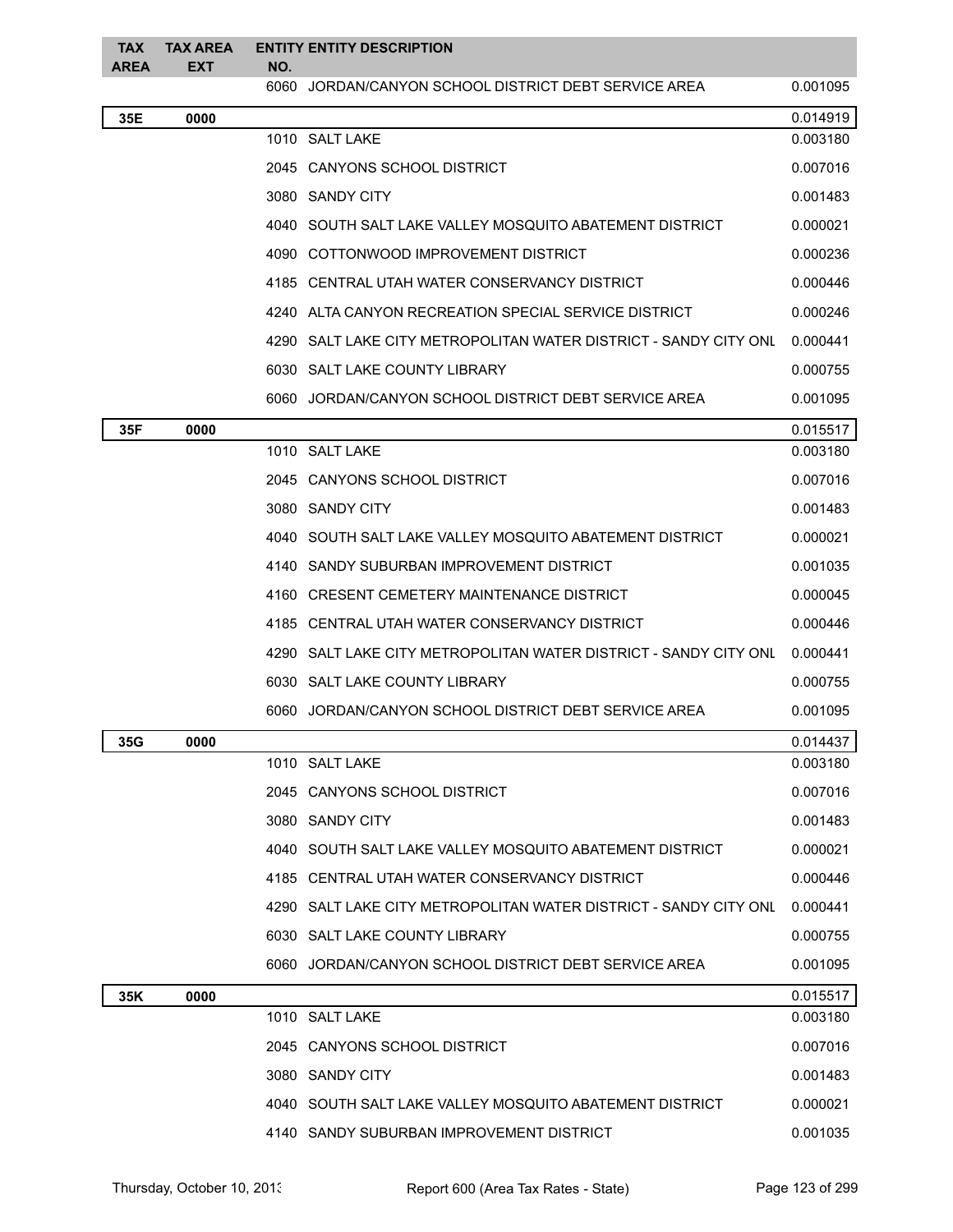| <b>TAX</b><br>AREA | <b>TAX AREA</b><br>EXT | NO. | <b>ENTITY ENTITY DESCRIPTION</b>                                 |          |
|--------------------|------------------------|-----|------------------------------------------------------------------|----------|
|                    |                        |     | 6060 JORDAN/CANYON SCHOOL DISTRICT DEBT SERVICE AREA             | 0.001095 |
| 35E                | 0000                   |     |                                                                  | 0.014919 |
|                    |                        |     | 1010 SALT LAKE                                                   | 0.003180 |
|                    |                        |     | 2045 CANYONS SCHOOL DISTRICT                                     | 0.007016 |
|                    |                        |     | 3080 SANDY CITY                                                  | 0.001483 |
|                    |                        |     | 4040 SOUTH SALT LAKE VALLEY MOSQUITO ABATEMENT DISTRICT          | 0.000021 |
|                    |                        |     | 4090 COTTONWOOD IMPROVEMENT DISTRICT                             | 0.000236 |
|                    |                        |     | 4185 CENTRAL UTAH WATER CONSERVANCY DISTRICT                     | 0.000446 |
|                    |                        |     | 4240 ALTA CANYON RECREATION SPECIAL SERVICE DISTRICT             | 0.000246 |
|                    |                        |     | 4290 SALT LAKE CITY METROPOLITAN WATER DISTRICT - SANDY CITY ONL | 0.000441 |
|                    |                        |     | 6030 SALT LAKE COUNTY LIBRARY                                    | 0.000755 |
|                    |                        |     | 6060 JORDAN/CANYON SCHOOL DISTRICT DEBT SERVICE AREA             | 0.001095 |
| 35F                | 0000                   |     |                                                                  | 0.015517 |
|                    |                        |     | 1010 SALT LAKE                                                   | 0.003180 |
|                    |                        |     | 2045 CANYONS SCHOOL DISTRICT                                     | 0.007016 |
|                    |                        |     | 3080 SANDY CITY                                                  | 0.001483 |
|                    |                        |     | 4040 SOUTH SALT LAKE VALLEY MOSQUITO ABATEMENT DISTRICT          | 0.000021 |
|                    |                        |     | 4140 SANDY SUBURBAN IMPROVEMENT DISTRICT                         | 0.001035 |
|                    |                        |     | 4160 CRESENT CEMETERY MAINTENANCE DISTRICT                       | 0.000045 |
|                    |                        |     | 4185 CENTRAL UTAH WATER CONSERVANCY DISTRICT                     | 0.000446 |
|                    |                        |     | 4290 SALT LAKE CITY METROPOLITAN WATER DISTRICT - SANDY CITY ONL | 0.000441 |
|                    |                        |     | 6030 SALT LAKE COUNTY LIBRARY                                    | 0.000755 |
|                    |                        |     | 6060 JORDAN/CANYON SCHOOL DISTRICT DEBT SERVICE AREA             | 0.001095 |
| 35G                | 0000                   |     |                                                                  | 0.014437 |
|                    |                        |     | 1010 SALT LAKE                                                   | 0.003180 |
|                    |                        |     | 2045 CANYONS SCHOOL DISTRICT                                     | 0.007016 |
|                    |                        |     | 3080 SANDY CITY                                                  | 0.001483 |
|                    |                        |     | 4040 SOUTH SALT LAKE VALLEY MOSQUITO ABATEMENT DISTRICT          | 0.000021 |
|                    |                        |     | 4185 CENTRAL UTAH WATER CONSERVANCY DISTRICT                     | 0.000446 |
|                    |                        |     | 4290 SALT LAKE CITY METROPOLITAN WATER DISTRICT - SANDY CITY ONL | 0.000441 |
|                    |                        |     | 6030 SALT LAKE COUNTY LIBRARY                                    | 0.000755 |
|                    |                        |     | 6060 JORDAN/CANYON SCHOOL DISTRICT DEBT SERVICE AREA             | 0.001095 |
| 35K                | 0000                   |     |                                                                  | 0.015517 |
|                    |                        |     | 1010 SALT LAKE                                                   | 0.003180 |
|                    |                        |     | 2045 CANYONS SCHOOL DISTRICT                                     | 0.007016 |
|                    |                        |     | 3080 SANDY CITY                                                  | 0.001483 |
|                    |                        |     | 4040 SOUTH SALT LAKE VALLEY MOSQUITO ABATEMENT DISTRICT          | 0.000021 |
|                    |                        |     | 4140 SANDY SUBURBAN IMPROVEMENT DISTRICT                         | 0.001035 |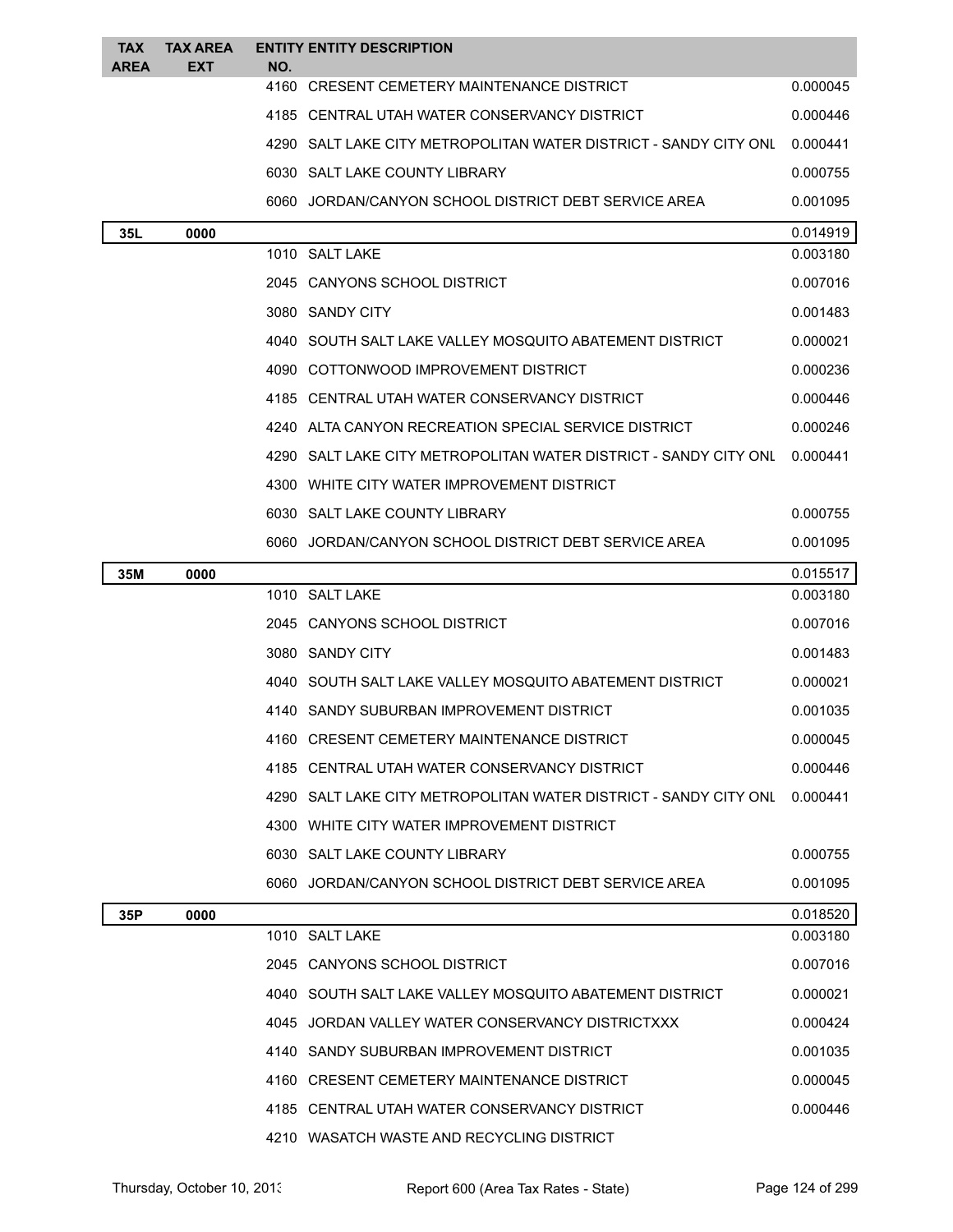| <b>TAX</b><br><b>AREA</b> | <b>TAX AREA</b><br><b>EXT</b> | NO. | <b>ENTITY ENTITY DESCRIPTION</b>                                 |          |
|---------------------------|-------------------------------|-----|------------------------------------------------------------------|----------|
|                           |                               |     | 4160 CRESENT CEMETERY MAINTENANCE DISTRICT                       | 0.000045 |
|                           |                               |     | 4185 CENTRAL UTAH WATER CONSERVANCY DISTRICT                     | 0.000446 |
|                           |                               |     | 4290 SALT LAKE CITY METROPOLITAN WATER DISTRICT - SANDY CITY ONL | 0.000441 |
|                           |                               |     | 6030 SALT LAKE COUNTY LIBRARY                                    | 0.000755 |
|                           |                               |     | 6060 JORDAN/CANYON SCHOOL DISTRICT DEBT SERVICE AREA             | 0.001095 |
| 35L                       | 0000                          |     |                                                                  | 0.014919 |
|                           |                               |     | 1010 SALT LAKE                                                   | 0.003180 |
|                           |                               |     | 2045 CANYONS SCHOOL DISTRICT                                     | 0.007016 |
|                           |                               |     | 3080 SANDY CITY                                                  | 0.001483 |
|                           |                               |     | 4040 SOUTH SALT LAKE VALLEY MOSQUITO ABATEMENT DISTRICT          | 0.000021 |
|                           |                               |     | 4090 COTTONWOOD IMPROVEMENT DISTRICT                             | 0.000236 |
|                           |                               |     | 4185 CENTRAL UTAH WATER CONSERVANCY DISTRICT                     | 0.000446 |
|                           |                               |     | 4240 ALTA CANYON RECREATION SPECIAL SERVICE DISTRICT             | 0.000246 |
|                           |                               |     | 4290 SALT LAKE CITY METROPOLITAN WATER DISTRICT - SANDY CITY ONL | 0.000441 |
|                           |                               |     | 4300 WHITE CITY WATER IMPROVEMENT DISTRICT                       |          |
|                           |                               |     | 6030 SALT LAKE COUNTY LIBRARY                                    | 0.000755 |
|                           |                               |     | 6060 JORDAN/CANYON SCHOOL DISTRICT DEBT SERVICE AREA             | 0.001095 |
| 35M                       | 0000                          |     |                                                                  | 0.015517 |
|                           |                               |     | 1010 SALT LAKE                                                   | 0.003180 |
|                           |                               |     | 2045 CANYONS SCHOOL DISTRICT                                     | 0.007016 |
|                           |                               |     | 3080 SANDY CITY                                                  | 0.001483 |
|                           |                               |     | 4040 SOUTH SALT LAKE VALLEY MOSQUITO ABATEMENT DISTRICT          | 0.000021 |
|                           |                               |     | 4140 SANDY SUBURBAN IMPROVEMENT DISTRICT                         | 0.001035 |
|                           |                               |     | 4160 CRESENT CEMETERY MAINTENANCE DISTRICT                       | 0.000045 |
|                           |                               |     | 4185 CENTRAL UTAH WATER CONSERVANCY DISTRICT                     | 0.000446 |
|                           |                               |     | 4290 SALT LAKE CITY METROPOLITAN WATER DISTRICT - SANDY CITY ONL | 0.000441 |
|                           |                               |     | 4300 WHITE CITY WATER IMPROVEMENT DISTRICT                       |          |
|                           |                               |     | 6030 SALT LAKE COUNTY LIBRARY                                    | 0.000755 |
|                           |                               |     | 6060 JORDAN/CANYON SCHOOL DISTRICT DEBT SERVICE AREA             | 0.001095 |
| 35P                       | 0000                          |     |                                                                  | 0.018520 |
|                           |                               |     | 1010 SALT LAKE                                                   | 0.003180 |
|                           |                               |     | 2045 CANYONS SCHOOL DISTRICT                                     | 0.007016 |
|                           |                               |     | 4040 SOUTH SALT LAKE VALLEY MOSQUITO ABATEMENT DISTRICT          | 0.000021 |
|                           |                               |     | 4045 JORDAN VALLEY WATER CONSERVANCY DISTRICTXXX                 | 0.000424 |
|                           |                               |     | 4140 SANDY SUBURBAN IMPROVEMENT DISTRICT                         | 0.001035 |
|                           |                               |     | 4160 CRESENT CEMETERY MAINTENANCE DISTRICT                       | 0.000045 |
|                           |                               |     | 4185 CENTRAL UTAH WATER CONSERVANCY DISTRICT                     | 0.000446 |
|                           |                               |     | 4210 WASATCH WASTE AND RECYCLING DISTRICT                        |          |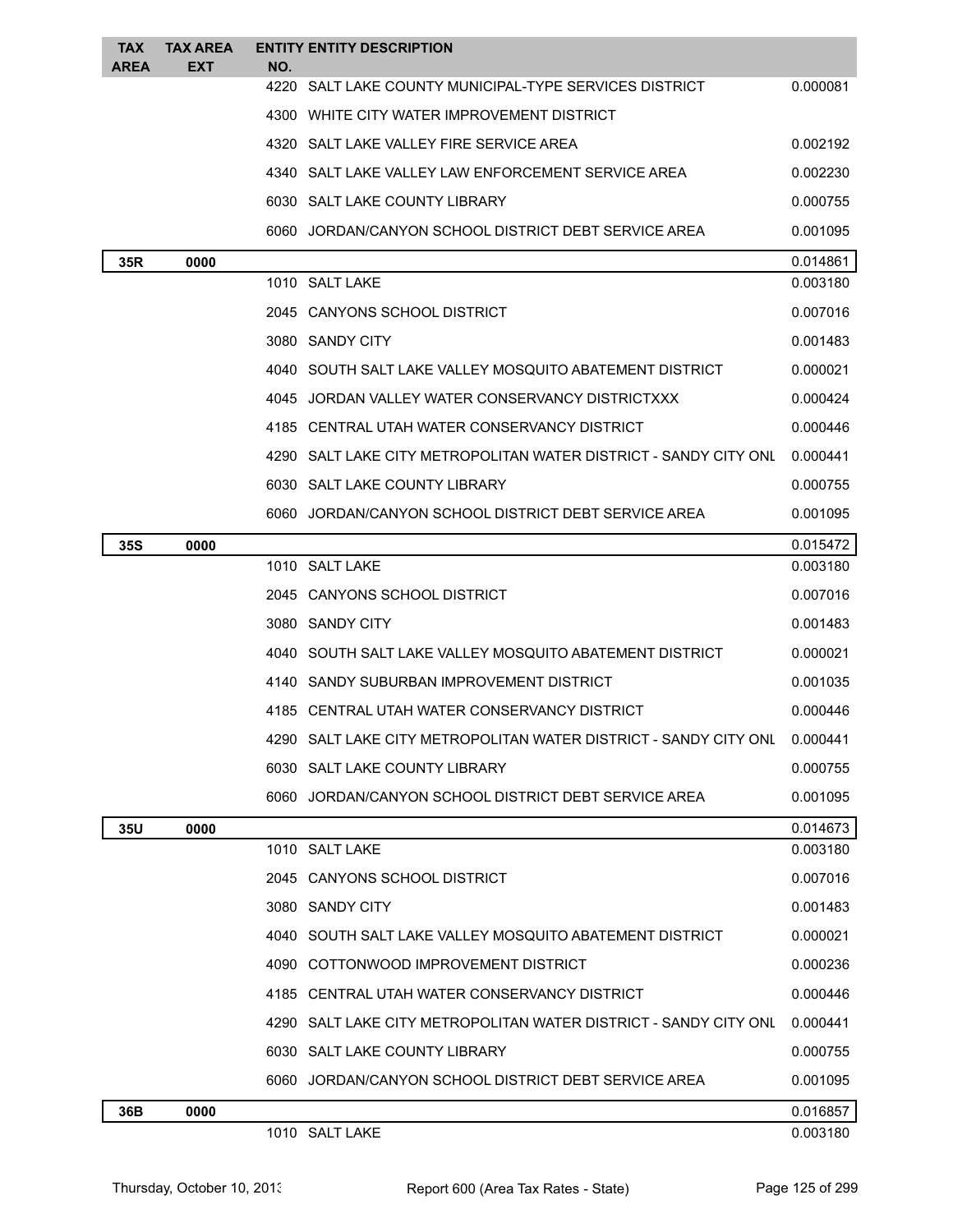| TAX<br><b>AREA</b> | <b>TAX AREA</b><br>EXT | NO. | <b>ENTITY ENTITY DESCRIPTION</b>                                   |          |
|--------------------|------------------------|-----|--------------------------------------------------------------------|----------|
|                    |                        |     | 4220 SALT LAKE COUNTY MUNICIPAL-TYPE SERVICES DISTRICT             | 0.000081 |
|                    |                        |     | 4300 WHITE CITY WATER IMPROVEMENT DISTRICT                         |          |
|                    |                        |     | 4320 SALT LAKE VALLEY FIRE SERVICE AREA                            | 0.002192 |
|                    |                        |     | 4340   SALT LAKE VALLEY LAW ENFORCEMENT SERVICE AREA               | 0.002230 |
|                    |                        |     | 6030 SALT LAKE COUNTY LIBRARY                                      | 0.000755 |
|                    |                        |     | 6060 JORDAN/CANYON SCHOOL DISTRICT DEBT SERVICE AREA               | 0.001095 |
| 35R                | 0000                   |     |                                                                    | 0.014861 |
|                    |                        |     | 1010 SALT LAKE                                                     | 0.003180 |
|                    |                        |     | 2045 CANYONS SCHOOL DISTRICT                                       | 0.007016 |
|                    |                        |     | 3080 SANDY CITY                                                    | 0.001483 |
|                    |                        |     | 4040   SOUTH SALT LAKE VALLEY MOSQUITO ABATEMENT DISTRICT          | 0.000021 |
|                    |                        |     | 4045 JORDAN VALLEY WATER CONSERVANCY DISTRICTXXX                   | 0.000424 |
|                    |                        |     | 4185 CENTRAL UTAH WATER CONSERVANCY DISTRICT                       | 0.000446 |
|                    |                        |     | 4290   SALT LAKE CITY METROPOLITAN WATER DISTRICT - SANDY CITY ONL | 0.000441 |
|                    |                        |     | 6030 SALT LAKE COUNTY LIBRARY                                      | 0.000755 |
|                    |                        |     | 6060 JORDAN/CANYON SCHOOL DISTRICT DEBT SERVICE AREA               | 0.001095 |
| 35S                | 0000                   |     |                                                                    | 0.015472 |
|                    |                        |     | 1010 SALT LAKE                                                     | 0.003180 |
|                    |                        |     | 2045 CANYONS SCHOOL DISTRICT                                       | 0.007016 |
|                    |                        |     | 3080 SANDY CITY                                                    | 0.001483 |
|                    |                        |     | 4040 SOUTH SALT LAKE VALLEY MOSQUITO ABATEMENT DISTRICT            | 0.000021 |
|                    |                        |     | 4140   SANDY SUBURBAN IMPROVEMENT DISTRICT                         | 0.001035 |
|                    |                        |     | 4185 CENTRAL UTAH WATER CONSERVANCY DISTRICT                       | 0.000446 |
|                    |                        |     | 4290   SALT LAKE CITY METROPOLITAN WATER DISTRICT - SANDY CITY ONL | 0.000441 |
|                    |                        |     | 6030 SALT LAKE COUNTY LIBRARY                                      | 0.000755 |
|                    |                        |     | 6060 JORDAN/CANYON SCHOOL DISTRICT DEBT SERVICE AREA               | 0.001095 |
| 35U                | 0000                   |     |                                                                    | 0.014673 |
|                    |                        |     | 1010 SALT LAKE                                                     | 0.003180 |
|                    |                        |     | 2045 CANYONS SCHOOL DISTRICT                                       | 0.007016 |
|                    |                        |     | 3080 SANDY CITY                                                    | 0.001483 |
|                    |                        |     | 4040 SOUTH SALT LAKE VALLEY MOSQUITO ABATEMENT DISTRICT            | 0.000021 |
|                    |                        |     | 4090 COTTONWOOD IMPROVEMENT DISTRICT                               | 0.000236 |
|                    |                        |     | 4185 CENTRAL UTAH WATER CONSERVANCY DISTRICT                       | 0.000446 |
|                    |                        |     | 4290   SALT LAKE CITY METROPOLITAN WATER DISTRICT - SANDY CITY ONL | 0.000441 |
|                    |                        |     | 6030 SALT LAKE COUNTY LIBRARY                                      | 0.000755 |
|                    |                        |     | 6060 JORDAN/CANYON SCHOOL DISTRICT DEBT SERVICE AREA               | 0.001095 |
| 36B                | 0000                   |     |                                                                    | 0.016857 |
|                    |                        |     | 1010 SALT LAKE                                                     | 0.003180 |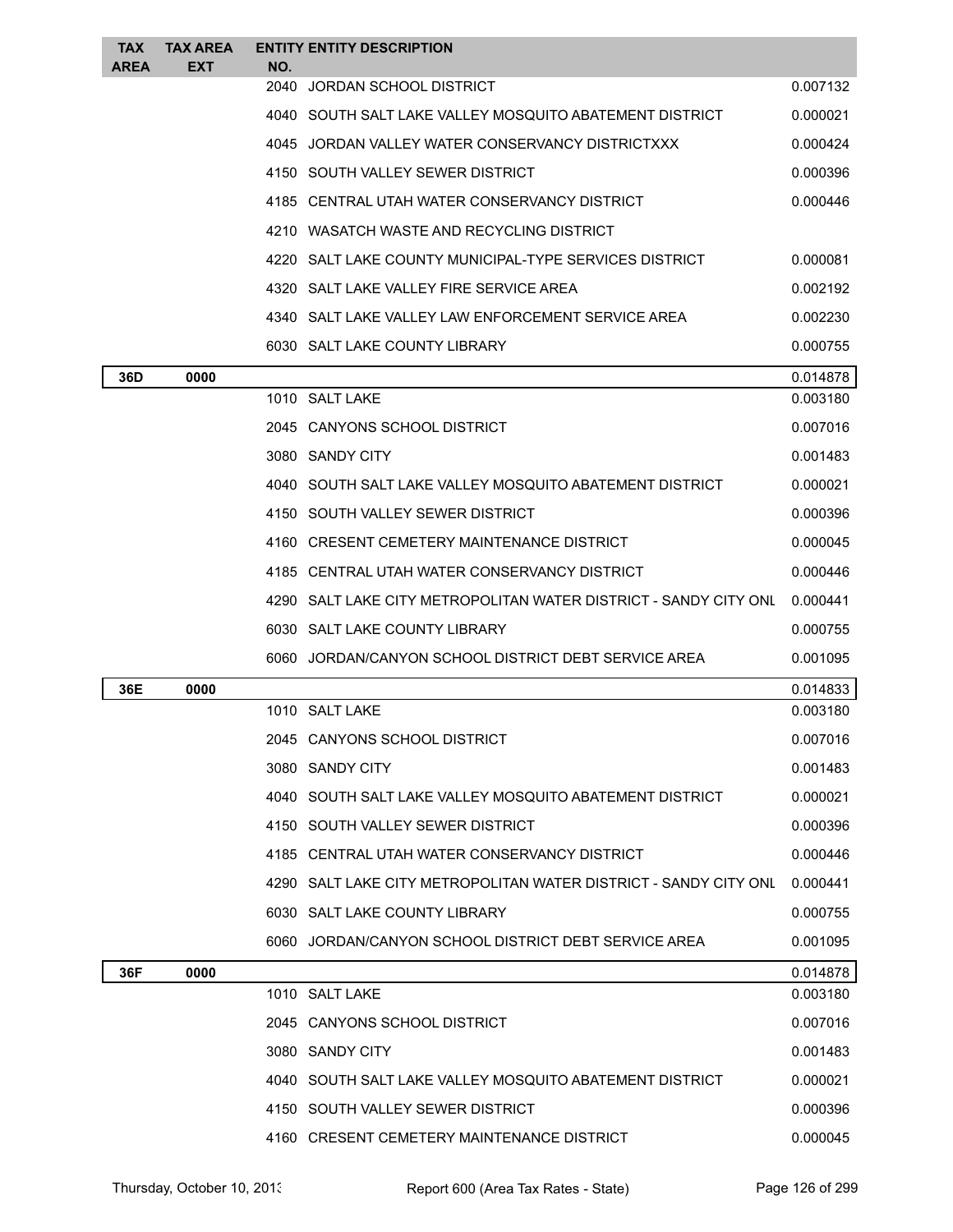| <b>TAX</b><br><b>AREA</b> | TAX AREA<br>EXT | NO.  | <b>ENTITY ENTITY DESCRIPTION</b>                                   |          |
|---------------------------|-----------------|------|--------------------------------------------------------------------|----------|
|                           |                 | 2040 | JORDAN SCHOOL DISTRICT                                             | 0.007132 |
|                           |                 |      | 4040   SOUTH SALT LAKE VALLEY MOSQUITO ABATEMENT DISTRICT          | 0.000021 |
|                           |                 |      | 4045 JORDAN VALLEY WATER CONSERVANCY DISTRICTXXX                   | 0.000424 |
|                           |                 |      | 4150 SOUTH VALLEY SEWER DISTRICT                                   | 0.000396 |
|                           |                 |      | 4185 CENTRAL UTAH WATER CONSERVANCY DISTRICT                       | 0.000446 |
|                           |                 |      | 4210 WASATCH WASTE AND RECYCLING DISTRICT                          |          |
|                           |                 |      | 4220   SALT LAKE COUNTY MUNICIPAL-TYPE SERVICES DISTRICT           | 0.000081 |
|                           |                 |      | 4320 SALT LAKE VALLEY FIRE SERVICE AREA                            | 0.002192 |
|                           |                 |      | 4340 SALT LAKE VALLEY LAW ENFORCEMENT SERVICE AREA                 | 0.002230 |
|                           |                 |      | 6030 SALT LAKE COUNTY LIBRARY                                      | 0.000755 |
| 36D                       | 0000            |      |                                                                    | 0.014878 |
|                           |                 |      | 1010 SALT LAKE                                                     | 0.003180 |
|                           |                 |      | 2045 CANYONS SCHOOL DISTRICT                                       | 0.007016 |
|                           |                 |      | 3080 SANDY CITY                                                    | 0.001483 |
|                           |                 |      | 4040   SOUTH SALT LAKE VALLEY MOSQUITO ABATEMENT DISTRICT          | 0.000021 |
|                           |                 |      | 4150 SOUTH VALLEY SEWER DISTRICT                                   | 0.000396 |
|                           |                 |      | 4160 CRESENT CEMETERY MAINTENANCE DISTRICT                         | 0.000045 |
|                           |                 |      | 4185 CENTRAL UTAH WATER CONSERVANCY DISTRICT                       | 0.000446 |
|                           |                 |      | 4290   SALT LAKE CITY METROPOLITAN WATER DISTRICT - SANDY CITY ONL | 0.000441 |
|                           |                 |      | 6030 SALT LAKE COUNTY LIBRARY                                      | 0.000755 |
|                           |                 |      | 6060 JORDAN/CANYON SCHOOL DISTRICT DEBT SERVICE AREA               | 0.001095 |
| 36E                       | 0000            |      |                                                                    | 0.014833 |
|                           |                 |      | 1010 SALT LAKE                                                     | 0.003180 |
|                           |                 |      | 2045 CANYONS SCHOOL DISTRICT                                       | 0.007016 |
|                           |                 |      | 3080 SANDY CITY                                                    | 0.001483 |
|                           |                 |      | 4040   SOUTH SALT LAKE VALLEY MOSQUITO ABATEMENT DISTRICT          | 0.000021 |
|                           |                 |      | 4150 SOUTH VALLEY SEWER DISTRICT                                   | 0.000396 |
|                           |                 |      | 4185 CENTRAL UTAH WATER CONSERVANCY DISTRICT                       | 0.000446 |
|                           |                 |      | 4290   SALT LAKE CITY METROPOLITAN WATER DISTRICT - SANDY CITY ONL | 0.000441 |
|                           |                 |      | 6030 SALT LAKE COUNTY LIBRARY                                      | 0.000755 |
|                           |                 |      | 6060 JORDAN/CANYON SCHOOL DISTRICT DEBT SERVICE AREA               | 0.001095 |
| 36F                       | 0000            |      |                                                                    | 0.014878 |
|                           |                 |      | 1010 SALT LAKE                                                     | 0.003180 |
|                           |                 |      | 2045 CANYONS SCHOOL DISTRICT                                       | 0.007016 |
|                           |                 |      | 3080 SANDY CITY                                                    | 0.001483 |
|                           |                 |      | 4040   SOUTH SALT LAKE VALLEY MOSQUITO ABATEMENT DISTRICT          | 0.000021 |
|                           |                 |      | 4150   SOUTH VALLEY SEWER DISTRICT                                 | 0.000396 |
|                           |                 |      | 4160 CRESENT CEMETERY MAINTENANCE DISTRICT                         | 0.000045 |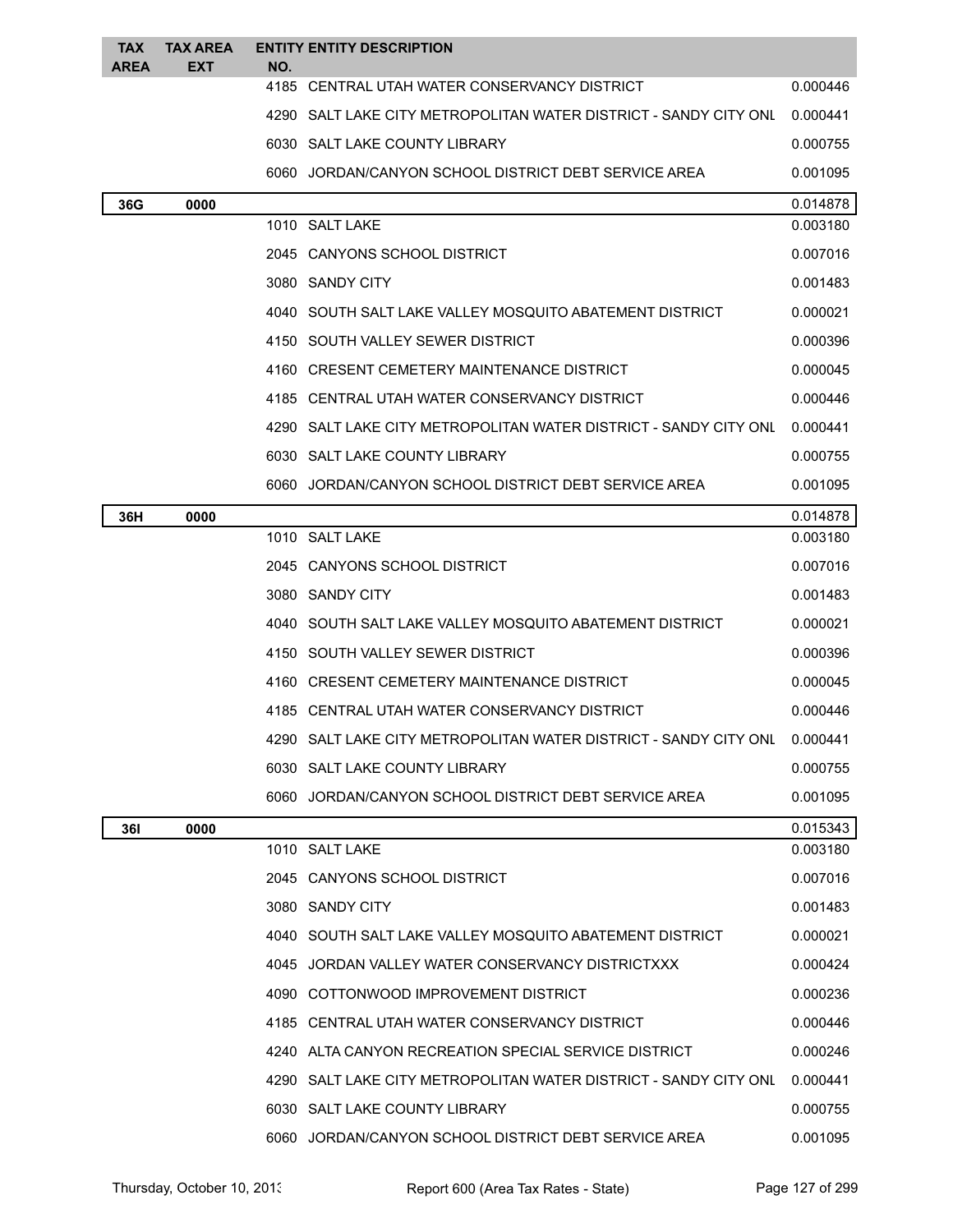| TAX<br><b>AREA</b> | <b>TAX AREA</b><br>EXT | NO.  | <b>ENTITY ENTITY DESCRIPTION</b>                                   |          |
|--------------------|------------------------|------|--------------------------------------------------------------------|----------|
|                    |                        |      | 4185 CENTRAL UTAH WATER CONSERVANCY DISTRICT                       | 0.000446 |
|                    |                        |      | 4290   SALT LAKE CITY METROPOLITAN WATER DISTRICT - SANDY CITY ONL | 0.000441 |
|                    |                        |      | 6030 SALT LAKE COUNTY LIBRARY                                      | 0.000755 |
|                    |                        |      | 6060 JORDAN/CANYON SCHOOL DISTRICT DEBT SERVICE AREA               | 0.001095 |
| 36G                | 0000                   |      |                                                                    | 0.014878 |
|                    |                        |      | 1010 SALT LAKE                                                     | 0.003180 |
|                    |                        |      | 2045 CANYONS SCHOOL DISTRICT                                       | 0.007016 |
|                    |                        |      | 3080 SANDY CITY                                                    | 0.001483 |
|                    |                        |      | 4040   SOUTH SALT LAKE VALLEY MOSQUITO ABATEMENT DISTRICT          | 0.000021 |
|                    |                        |      | 4150 SOUTH VALLEY SEWER DISTRICT                                   | 0.000396 |
|                    |                        |      | 4160 CRESENT CEMETERY MAINTENANCE DISTRICT                         | 0.000045 |
|                    |                        |      | 4185 CENTRAL UTAH WATER CONSERVANCY DISTRICT                       | 0.000446 |
|                    |                        |      | 4290   SALT LAKE CITY METROPOLITAN WATER DISTRICT - SANDY CITY ONL | 0.000441 |
|                    |                        |      | 6030 SALT LAKE COUNTY LIBRARY                                      | 0.000755 |
|                    |                        |      | 6060 JORDAN/CANYON SCHOOL DISTRICT DEBT SERVICE AREA               | 0.001095 |
| 36H                | 0000                   |      |                                                                    | 0.014878 |
|                    |                        |      | 1010 SALT LAKE                                                     | 0.003180 |
|                    |                        |      | 2045 CANYONS SCHOOL DISTRICT                                       | 0.007016 |
|                    |                        |      | 3080 SANDY CITY                                                    | 0.001483 |
|                    |                        |      | 4040 SOUTH SALT LAKE VALLEY MOSQUITO ABATEMENT DISTRICT            | 0.000021 |
|                    |                        | 4150 | SOUTH VALLEY SEWER DISTRICT                                        | 0.000396 |
|                    |                        |      | 4160 CRESENT CEMETERY MAINTENANCE DISTRICT                         | 0.000045 |
|                    |                        |      | 4185 CENTRAL UTAH WATER CONSERVANCY DISTRICT                       | 0.000446 |
|                    |                        |      | 4290 SALT LAKE CITY METROPOLITAN WATER DISTRICT - SANDY CITY ONL   | 0.000441 |
|                    |                        |      | 6030 SALT LAKE COUNTY LIBRARY                                      | 0.000755 |
|                    |                        |      | 6060 JORDAN/CANYON SCHOOL DISTRICT DEBT SERVICE AREA               | 0.001095 |
| <b>361</b>         | 0000                   |      |                                                                    | 0.015343 |
|                    |                        |      | 1010 SALT LAKE                                                     | 0.003180 |
|                    |                        |      | 2045 CANYONS SCHOOL DISTRICT                                       | 0.007016 |
|                    |                        |      | 3080 SANDY CITY                                                    | 0.001483 |
|                    |                        |      | 4040 SOUTH SALT LAKE VALLEY MOSQUITO ABATEMENT DISTRICT            | 0.000021 |
|                    |                        |      | 4045 JORDAN VALLEY WATER CONSERVANCY DISTRICTXXX                   | 0.000424 |
|                    |                        |      | 4090 COTTONWOOD IMPROVEMENT DISTRICT                               | 0.000236 |
|                    |                        |      | 4185 CENTRAL UTAH WATER CONSERVANCY DISTRICT                       | 0.000446 |
|                    |                        |      | 4240 ALTA CANYON RECREATION SPECIAL SERVICE DISTRICT               | 0.000246 |
|                    |                        |      | 4290   SALT LAKE CITY METROPOLITAN WATER DISTRICT - SANDY CITY ONL | 0.000441 |
|                    |                        |      | 6030 SALT LAKE COUNTY LIBRARY                                      | 0.000755 |
|                    |                        |      | 6060 JORDAN/CANYON SCHOOL DISTRICT DEBT SERVICE AREA               | 0.001095 |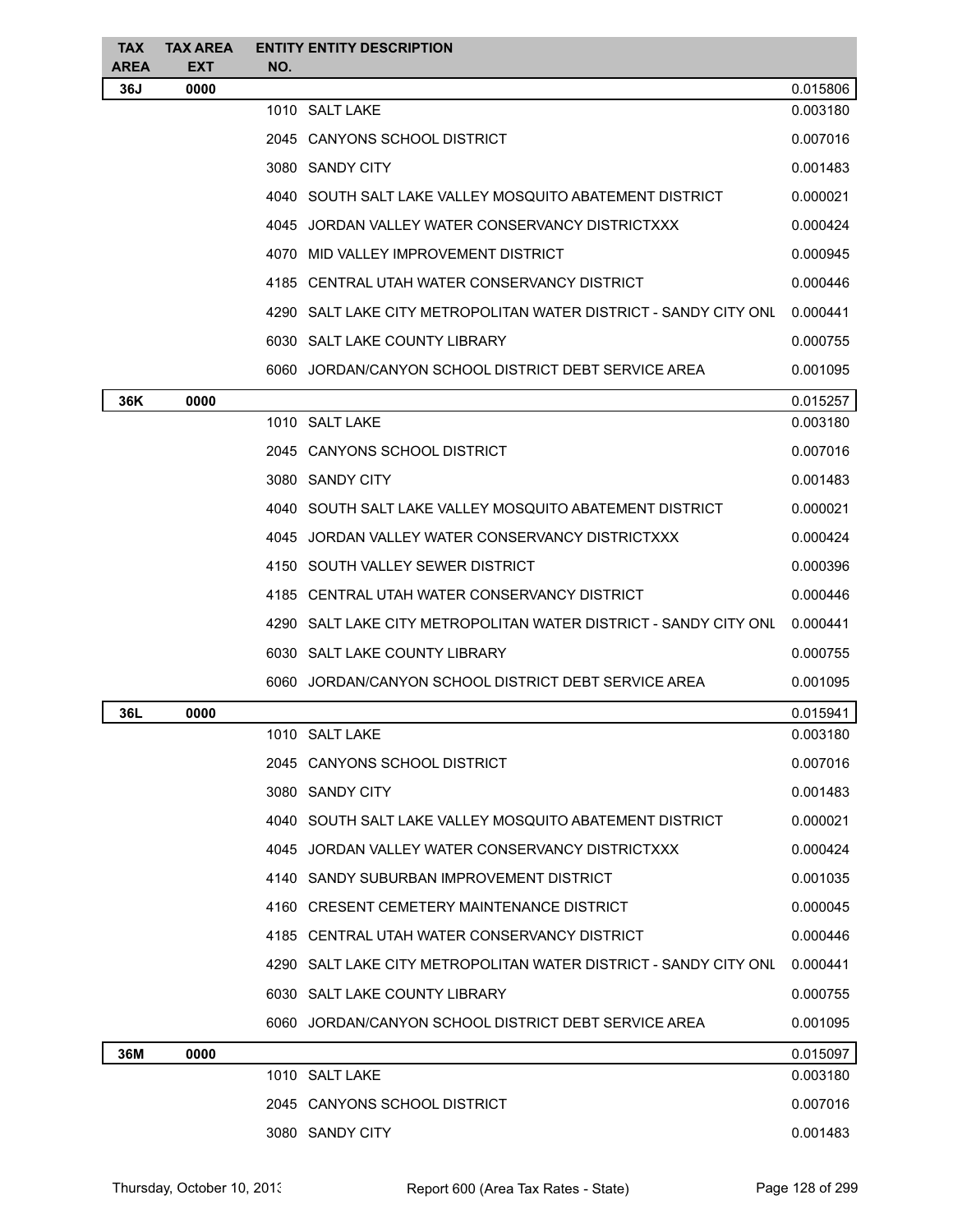| <b>TAX</b><br><b>AREA</b> | <b>TAX AREA</b><br><b>EXT</b> | <b>ENTITY ENTITY DESCRIPTION</b><br>NO.                          |          |
|---------------------------|-------------------------------|------------------------------------------------------------------|----------|
| 36J                       | 0000                          |                                                                  | 0.015806 |
|                           |                               | 1010 SALT LAKE                                                   | 0.003180 |
|                           |                               | 2045 CANYONS SCHOOL DISTRICT                                     | 0.007016 |
|                           |                               | 3080 SANDY CITY                                                  | 0.001483 |
|                           |                               | 4040 SOUTH SALT LAKE VALLEY MOSQUITO ABATEMENT DISTRICT          | 0.000021 |
|                           |                               | 4045 JORDAN VALLEY WATER CONSERVANCY DISTRICTXXX                 | 0.000424 |
|                           |                               | 4070 MID VALLEY IMPROVEMENT DISTRICT                             | 0.000945 |
|                           |                               | 4185 CENTRAL UTAH WATER CONSERVANCY DISTRICT                     | 0.000446 |
|                           |                               | 4290 SALT LAKE CITY METROPOLITAN WATER DISTRICT - SANDY CITY ONL | 0.000441 |
|                           |                               | 6030 SALT LAKE COUNTY LIBRARY                                    | 0.000755 |
|                           |                               | 6060 JORDAN/CANYON SCHOOL DISTRICT DEBT SERVICE AREA             | 0.001095 |
| 36K                       | 0000                          |                                                                  | 0.015257 |
|                           |                               | 1010 SALT LAKE                                                   | 0.003180 |
|                           |                               | 2045 CANYONS SCHOOL DISTRICT                                     | 0.007016 |
|                           |                               | 3080 SANDY CITY                                                  | 0.001483 |
|                           |                               | 4040 SOUTH SALT LAKE VALLEY MOSQUITO ABATEMENT DISTRICT          | 0.000021 |
|                           |                               | 4045 JORDAN VALLEY WATER CONSERVANCY DISTRICTXXX                 | 0.000424 |
|                           |                               | 4150 SOUTH VALLEY SEWER DISTRICT                                 | 0.000396 |
|                           |                               | 4185 CENTRAL UTAH WATER CONSERVANCY DISTRICT                     | 0.000446 |
|                           |                               | 4290 SALT LAKE CITY METROPOLITAN WATER DISTRICT - SANDY CITY ONL | 0.000441 |
|                           |                               | 6030 SALT LAKE COUNTY LIBRARY                                    | 0.000755 |
|                           |                               | 6060 JORDAN/CANYON SCHOOL DISTRICT DEBT SERVICE AREA             | 0.001095 |
| 36L                       | 0000                          |                                                                  | 0.015941 |
|                           |                               | 1010 SALT LAKE                                                   | 0.003180 |
|                           |                               | 2045 CANYONS SCHOOL DISTRICT                                     | 0.007016 |
|                           |                               | 3080 SANDY CITY                                                  | 0.001483 |
|                           |                               | 4040 SOUTH SALT LAKE VALLEY MOSQUITO ABATEMENT DISTRICT          | 0.000021 |
|                           |                               | 4045 JORDAN VALLEY WATER CONSERVANCY DISTRICTXXX                 | 0.000424 |
|                           |                               | 4140 SANDY SUBURBAN IMPROVEMENT DISTRICT                         | 0.001035 |
|                           |                               | 4160 CRESENT CEMETERY MAINTENANCE DISTRICT                       | 0.000045 |
|                           |                               | 4185 CENTRAL UTAH WATER CONSERVANCY DISTRICT                     | 0.000446 |
|                           |                               | 4290 SALT LAKE CITY METROPOLITAN WATER DISTRICT - SANDY CITY ONL | 0.000441 |
|                           |                               | 6030 SALT LAKE COUNTY LIBRARY                                    | 0.000755 |
|                           |                               | 6060 JORDAN/CANYON SCHOOL DISTRICT DEBT SERVICE AREA             | 0.001095 |
| 36M                       | 0000                          |                                                                  | 0.015097 |
|                           |                               | 1010 SALT LAKE                                                   | 0.003180 |
|                           |                               | 2045 CANYONS SCHOOL DISTRICT                                     | 0.007016 |
|                           |                               | 3080 SANDY CITY                                                  | 0.001483 |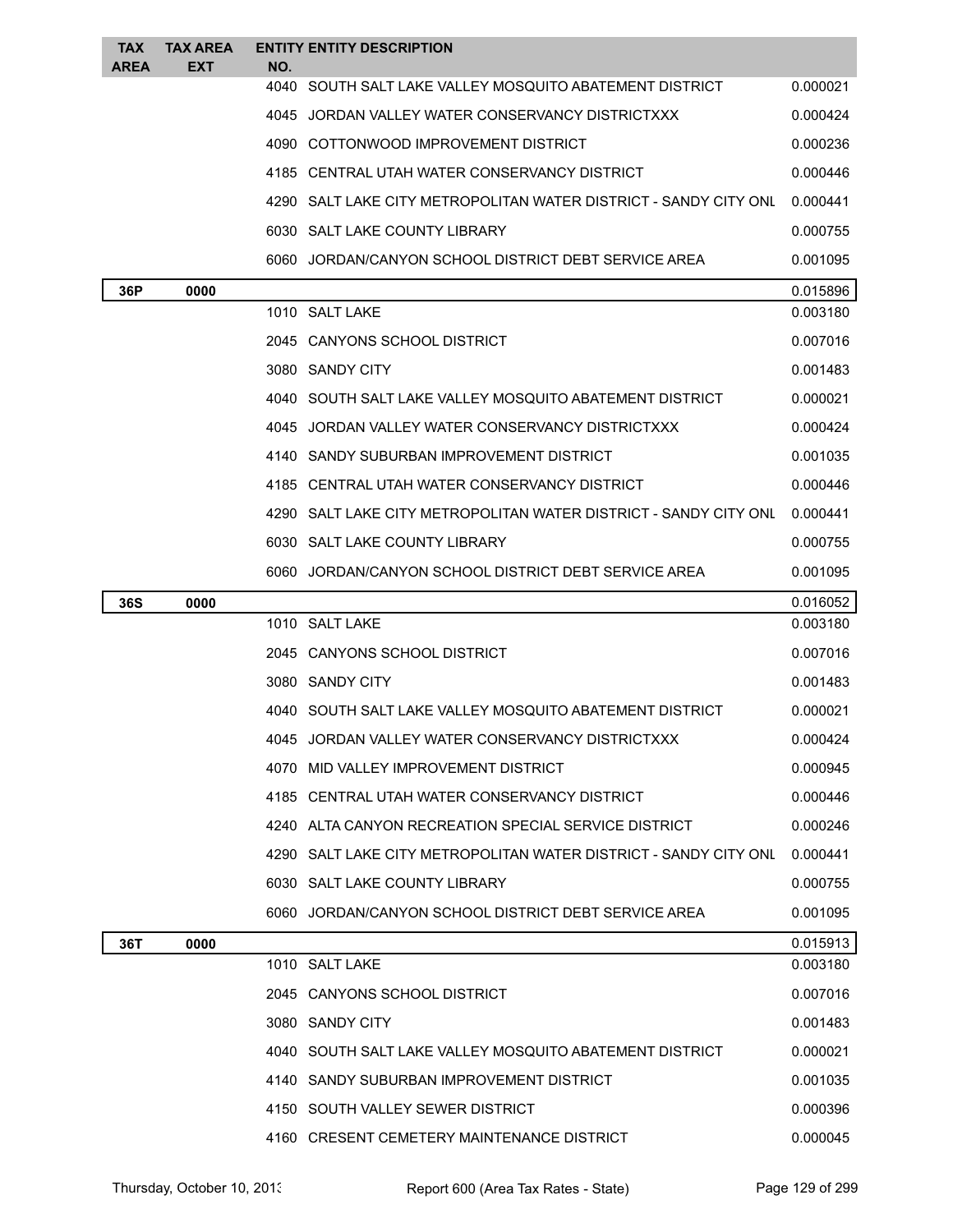| <b>TAX</b><br><b>AREA</b> | <b>TAX AREA</b><br><b>EXT</b> | NO.  | <b>ENTITY ENTITY DESCRIPTION</b>                                   |          |
|---------------------------|-------------------------------|------|--------------------------------------------------------------------|----------|
|                           |                               | 4040 | SOUTH SALT LAKE VALLEY MOSQUITO ABATEMENT DISTRICT                 | 0.000021 |
|                           |                               |      | 4045 JORDAN VALLEY WATER CONSERVANCY DISTRICTXXX                   | 0.000424 |
|                           |                               |      | 4090 COTTONWOOD IMPROVEMENT DISTRICT                               | 0.000236 |
|                           |                               |      | 4185 CENTRAL UTAH WATER CONSERVANCY DISTRICT                       | 0.000446 |
|                           |                               |      | 4290 SALT LAKE CITY METROPOLITAN WATER DISTRICT - SANDY CITY ONL   | 0.000441 |
|                           |                               |      | 6030 SALT LAKE COUNTY LIBRARY                                      | 0.000755 |
|                           |                               |      | 6060 JORDAN/CANYON SCHOOL DISTRICT DEBT SERVICE AREA               | 0.001095 |
| 36P                       | 0000                          |      |                                                                    | 0.015896 |
|                           |                               |      | 1010 SALT LAKE                                                     | 0.003180 |
|                           |                               |      | 2045 CANYONS SCHOOL DISTRICT                                       | 0.007016 |
|                           |                               |      | 3080 SANDY CITY                                                    | 0.001483 |
|                           |                               |      | 4040 SOUTH SALT LAKE VALLEY MOSQUITO ABATEMENT DISTRICT            | 0.000021 |
|                           |                               |      | 4045 JORDAN VALLEY WATER CONSERVANCY DISTRICTXXX                   | 0.000424 |
|                           |                               |      | 4140 SANDY SUBURBAN IMPROVEMENT DISTRICT                           | 0.001035 |
|                           |                               |      | 4185 CENTRAL UTAH WATER CONSERVANCY DISTRICT                       | 0.000446 |
|                           |                               |      | 4290   SALT LAKE CITY METROPOLITAN WATER DISTRICT - SANDY CITY ONL | 0.000441 |
|                           |                               |      | 6030 SALT LAKE COUNTY LIBRARY                                      | 0.000755 |
|                           |                               |      | 6060 JORDAN/CANYON SCHOOL DISTRICT DEBT SERVICE AREA               | 0.001095 |
| <b>36S</b>                | 0000                          |      |                                                                    | 0.016052 |
|                           |                               |      | 1010 SALT LAKE                                                     | 0.003180 |
|                           |                               |      | 2045 CANYONS SCHOOL DISTRICT                                       | 0.007016 |
|                           |                               |      | 3080 SANDY CITY                                                    | 0.001483 |
|                           |                               |      | 4040   SOUTH SALT LAKE VALLEY MOSQUITO ABATEMENT DISTRICT          | 0.000021 |
|                           |                               | 4045 | JORDAN VALLEY WATER CONSERVANCY DISTRICTXXX                        | 0.000424 |
|                           |                               |      | 4070 MID VALLEY IMPROVEMENT DISTRICT                               | 0.000945 |
|                           |                               |      | 4185 CENTRAL UTAH WATER CONSERVANCY DISTRICT                       | 0.000446 |
|                           |                               |      | 4240 ALTA CANYON RECREATION SPECIAL SERVICE DISTRICT               | 0.000246 |
|                           |                               |      | 4290   SALT LAKE CITY METROPOLITAN WATER DISTRICT - SANDY CITY ONL | 0.000441 |
|                           |                               |      | 6030 SALT LAKE COUNTY LIBRARY                                      | 0.000755 |
|                           |                               |      | 6060 JORDAN/CANYON SCHOOL DISTRICT DEBT SERVICE AREA               | 0.001095 |
| 36T                       | 0000                          |      |                                                                    | 0.015913 |
|                           |                               |      | 1010 SALT LAKE                                                     | 0.003180 |
|                           |                               |      | 2045 CANYONS SCHOOL DISTRICT                                       | 0.007016 |
|                           |                               |      | 3080 SANDY CITY                                                    | 0.001483 |
|                           |                               |      | 4040 SOUTH SALT LAKE VALLEY MOSQUITO ABATEMENT DISTRICT            | 0.000021 |
|                           |                               |      | 4140 SANDY SUBURBAN IMPROVEMENT DISTRICT                           | 0.001035 |
|                           |                               |      | 4150 SOUTH VALLEY SEWER DISTRICT                                   | 0.000396 |
|                           |                               |      | 4160 CRESENT CEMETERY MAINTENANCE DISTRICT                         | 0.000045 |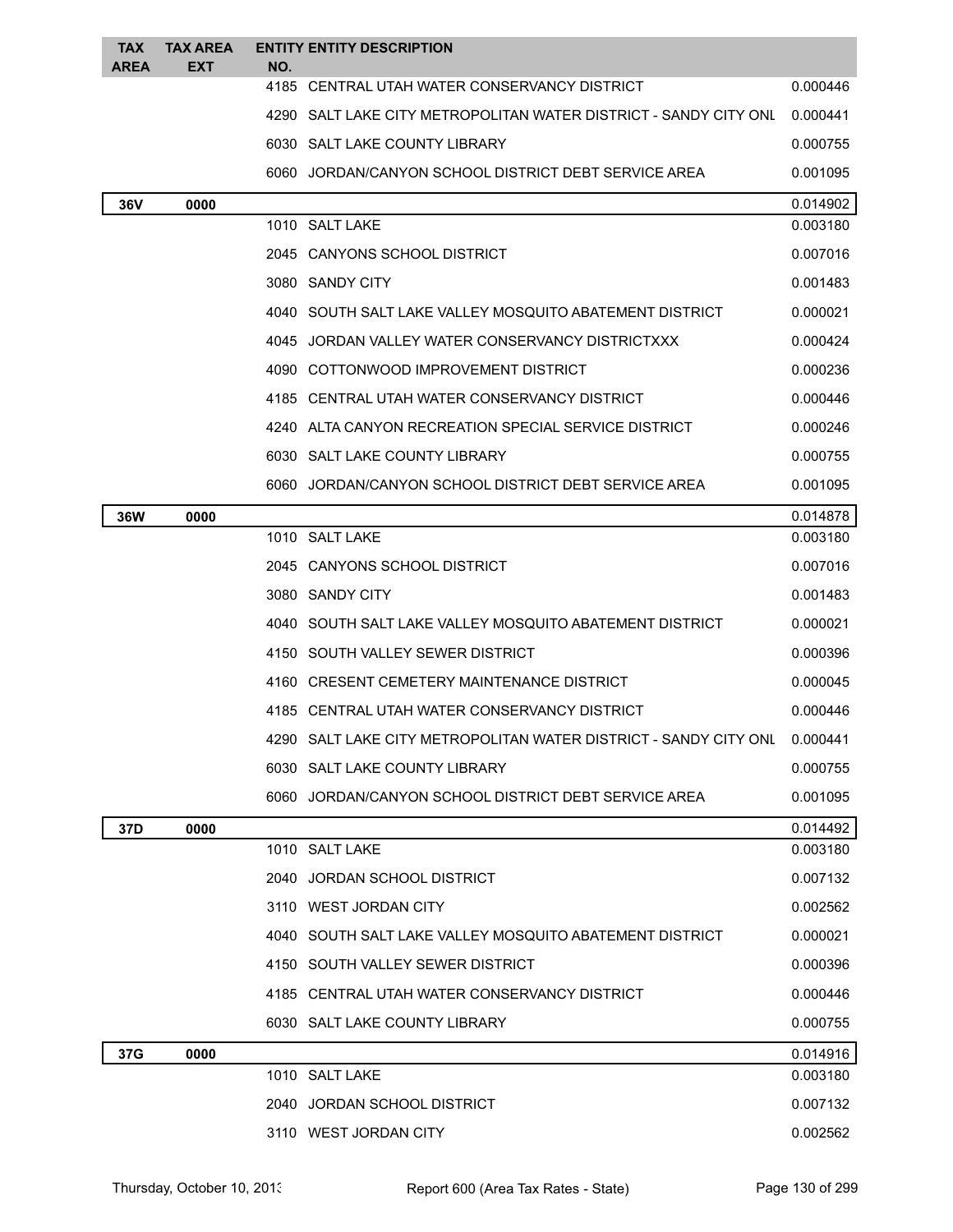| <b>TAX</b><br>AREA | <b>TAX AREA</b><br>EXT | NO.  | <b>ENTITY ENTITY DESCRIPTION</b>                                   |          |
|--------------------|------------------------|------|--------------------------------------------------------------------|----------|
|                    |                        |      | 4185 CENTRAL UTAH WATER CONSERVANCY DISTRICT                       | 0.000446 |
|                    |                        |      | 4290   SALT LAKE CITY METROPOLITAN WATER DISTRICT - SANDY CITY ONL | 0.000441 |
|                    |                        |      | 6030 SALT LAKE COUNTY LIBRARY                                      | 0.000755 |
|                    |                        |      | 6060 JORDAN/CANYON SCHOOL DISTRICT DEBT SERVICE AREA               | 0.001095 |
| 36V                | 0000                   |      |                                                                    | 0.014902 |
|                    |                        |      | 1010 SALT LAKE                                                     | 0.003180 |
|                    |                        |      | 2045 CANYONS SCHOOL DISTRICT                                       | 0.007016 |
|                    |                        |      | 3080 SANDY CITY                                                    | 0.001483 |
|                    |                        |      | 4040 SOUTH SALT LAKE VALLEY MOSQUITO ABATEMENT DISTRICT            | 0.000021 |
|                    |                        |      | 4045 JORDAN VALLEY WATER CONSERVANCY DISTRICTXXX                   | 0.000424 |
|                    |                        |      | 4090 COTTONWOOD IMPROVEMENT DISTRICT                               | 0.000236 |
|                    |                        |      | 4185 CENTRAL UTAH WATER CONSERVANCY DISTRICT                       | 0.000446 |
|                    |                        |      | 4240 ALTA CANYON RECREATION SPECIAL SERVICE DISTRICT               | 0.000246 |
|                    |                        |      | 6030 SALT LAKE COUNTY LIBRARY                                      | 0.000755 |
|                    |                        |      | 6060 JORDAN/CANYON SCHOOL DISTRICT DEBT SERVICE AREA               | 0.001095 |
| <b>36W</b>         | 0000                   |      |                                                                    | 0.014878 |
|                    |                        |      | 1010 SALT LAKE                                                     | 0.003180 |
|                    |                        |      | 2045 CANYONS SCHOOL DISTRICT                                       | 0.007016 |
|                    |                        |      | 3080 SANDY CITY                                                    | 0.001483 |
|                    |                        |      | 4040   SOUTH SALT LAKE VALLEY MOSQUITO ABATEMENT DISTRICT          | 0.000021 |
|                    |                        | 4150 | SOUTH VALLEY SEWER DISTRICT                                        | 0.000396 |
|                    |                        |      | 4160 CRESENT CEMETERY MAINTENANCE DISTRICT                         | 0.000045 |
|                    |                        |      | 4185 CENTRAL UTAH WATER CONSERVANCY DISTRICT                       | 0.000446 |
|                    |                        |      | 4290 SALT LAKE CITY METROPOLITAN WATER DISTRICT - SANDY CITY ONL   | 0.000441 |
|                    |                        |      | 6030 SALT LAKE COUNTY LIBRARY                                      | 0.000755 |
|                    |                        |      | 6060 JORDAN/CANYON SCHOOL DISTRICT DEBT SERVICE AREA               | 0.001095 |
| 37D                | 0000                   |      |                                                                    | 0.014492 |
|                    |                        |      | 1010 SALT LAKE                                                     | 0.003180 |
|                    |                        |      | 2040 JORDAN SCHOOL DISTRICT                                        | 0.007132 |
|                    |                        |      | 3110 WEST JORDAN CITY                                              | 0.002562 |
|                    |                        |      | 4040 SOUTH SALT LAKE VALLEY MOSQUITO ABATEMENT DISTRICT            | 0.000021 |
|                    |                        |      | 4150 SOUTH VALLEY SEWER DISTRICT                                   | 0.000396 |
|                    |                        |      | 4185 CENTRAL UTAH WATER CONSERVANCY DISTRICT                       | 0.000446 |
|                    |                        |      | 6030 SALT LAKE COUNTY LIBRARY                                      | 0.000755 |
| 37G                | 0000                   |      |                                                                    | 0.014916 |
|                    |                        |      | 1010 SALT LAKE                                                     | 0.003180 |
|                    |                        |      | 2040 JORDAN SCHOOL DISTRICT                                        | 0.007132 |
|                    |                        |      | 3110 WEST JORDAN CITY                                              | 0.002562 |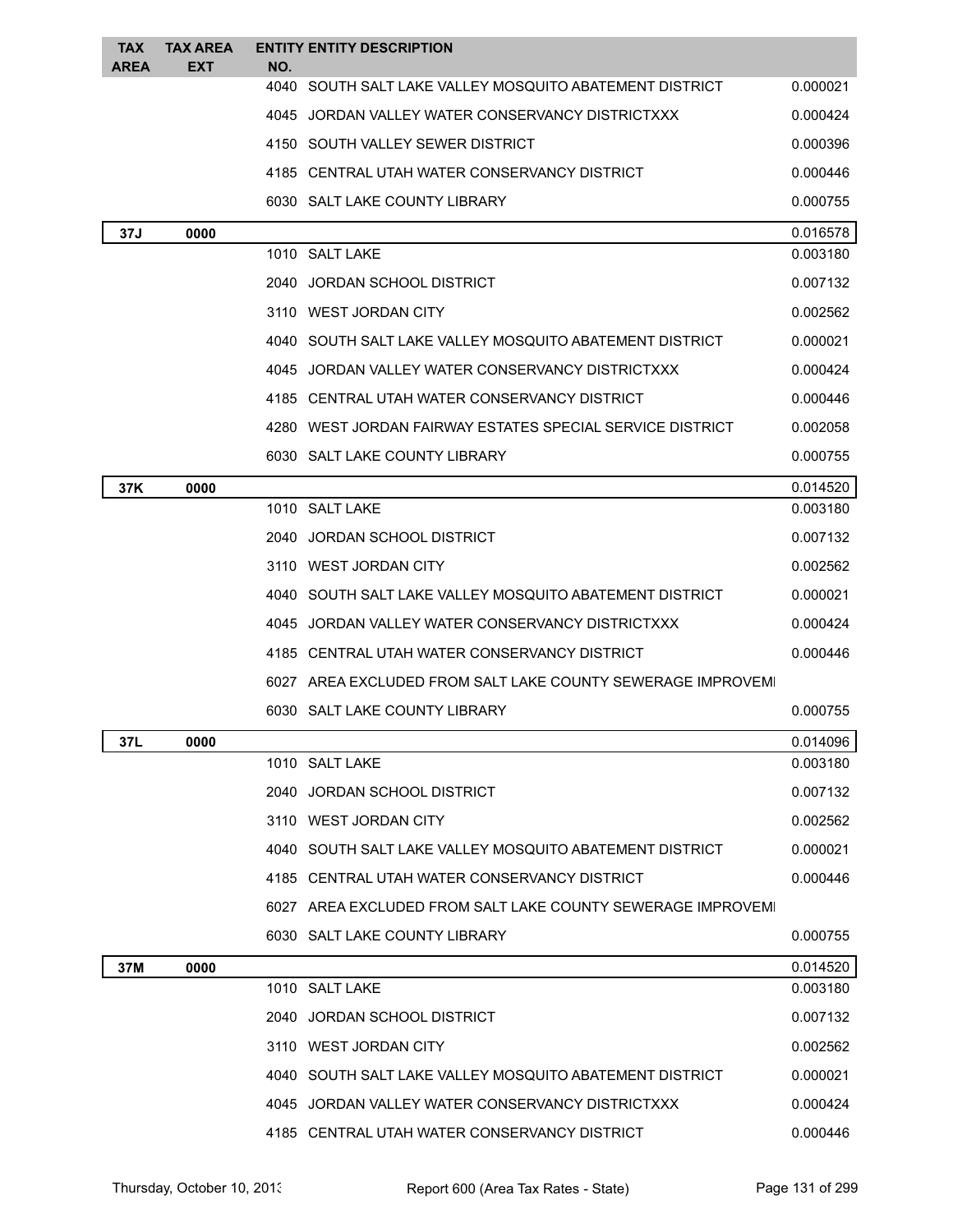| TAX<br><b>AREA</b> | <b>TAX AREA</b><br>EXT | NO.  | <b>ENTITY ENTITY DESCRIPTION</b>                            |          |
|--------------------|------------------------|------|-------------------------------------------------------------|----------|
|                    |                        |      | 4040 SOUTH SALT LAKE VALLEY MOSQUITO ABATEMENT DISTRICT     | 0.000021 |
|                    |                        |      | 4045 JORDAN VALLEY WATER CONSERVANCY DISTRICTXXX            | 0.000424 |
|                    |                        |      | 4150 SOUTH VALLEY SEWER DISTRICT                            | 0.000396 |
|                    |                        |      | 4185 CENTRAL UTAH WATER CONSERVANCY DISTRICT                | 0.000446 |
|                    |                        |      | 6030 SALT LAKE COUNTY LIBRARY                               | 0.000755 |
| 37J                | 0000                   |      |                                                             | 0.016578 |
|                    |                        |      | 1010 SALT LAKE                                              | 0.003180 |
|                    |                        |      | 2040 JORDAN SCHOOL DISTRICT                                 | 0.007132 |
|                    |                        |      | 3110 WEST JORDAN CITY                                       | 0.002562 |
|                    |                        |      | 4040 SOUTH SALT LAKE VALLEY MOSQUITO ABATEMENT DISTRICT     | 0.000021 |
|                    |                        | 4045 | JORDAN VALLEY WATER CONSERVANCY DISTRICTXXX                 | 0.000424 |
|                    |                        |      | 4185 CENTRAL UTAH WATER CONSERVANCY DISTRICT                | 0.000446 |
|                    |                        |      | 4280 WEST JORDAN FAIRWAY ESTATES SPECIAL SERVICE DISTRICT   | 0.002058 |
|                    |                        |      | 6030 SALT LAKE COUNTY LIBRARY                               | 0.000755 |
| 37K                | 0000                   |      |                                                             | 0.014520 |
|                    |                        |      | 1010 SALT LAKE                                              | 0.003180 |
|                    |                        |      | 2040 JORDAN SCHOOL DISTRICT                                 | 0.007132 |
|                    |                        |      | 3110 WEST JORDAN CITY                                       | 0.002562 |
|                    |                        |      | 4040 SOUTH SALT LAKE VALLEY MOSQUITO ABATEMENT DISTRICT     | 0.000021 |
|                    |                        |      | 4045 JORDAN VALLEY WATER CONSERVANCY DISTRICTXXX            | 0.000424 |
|                    |                        |      | 4185 CENTRAL UTAH WATER CONSERVANCY DISTRICT                | 0.000446 |
|                    |                        |      | 6027 AREA EXCLUDED FROM SALT LAKE COUNTY SEWERAGE IMPROVEMI |          |
|                    |                        |      | 6030 SALT LAKE COUNTY LIBRARY                               | 0.000755 |
| 37L                | 0000                   |      |                                                             | 0.014096 |
|                    |                        |      | 1010 SALT LAKE                                              | 0.003180 |
|                    |                        |      | 2040 JORDAN SCHOOL DISTRICT                                 | 0.007132 |
|                    |                        |      | 3110 WEST JORDAN CITY                                       | 0.002562 |
|                    |                        |      | 4040 SOUTH SALT LAKE VALLEY MOSQUITO ABATEMENT DISTRICT     | 0.000021 |
|                    |                        |      | 4185 CENTRAL UTAH WATER CONSERVANCY DISTRICT                | 0.000446 |
|                    |                        |      | 6027 AREA EXCLUDED FROM SALT LAKE COUNTY SEWERAGE IMPROVEMI |          |
|                    |                        |      | 6030 SALT LAKE COUNTY LIBRARY                               | 0.000755 |
| 37M                | 0000                   |      |                                                             | 0.014520 |
|                    |                        |      | 1010 SALT LAKE                                              | 0.003180 |
|                    |                        |      | 2040 JORDAN SCHOOL DISTRICT                                 | 0.007132 |
|                    |                        |      | 3110 WEST JORDAN CITY                                       | 0.002562 |
|                    |                        |      | 4040 SOUTH SALT LAKE VALLEY MOSQUITO ABATEMENT DISTRICT     | 0.000021 |
|                    |                        |      | 4045 JORDAN VALLEY WATER CONSERVANCY DISTRICTXXX            | 0.000424 |
|                    |                        |      | 4185 CENTRAL UTAH WATER CONSERVANCY DISTRICT                | 0.000446 |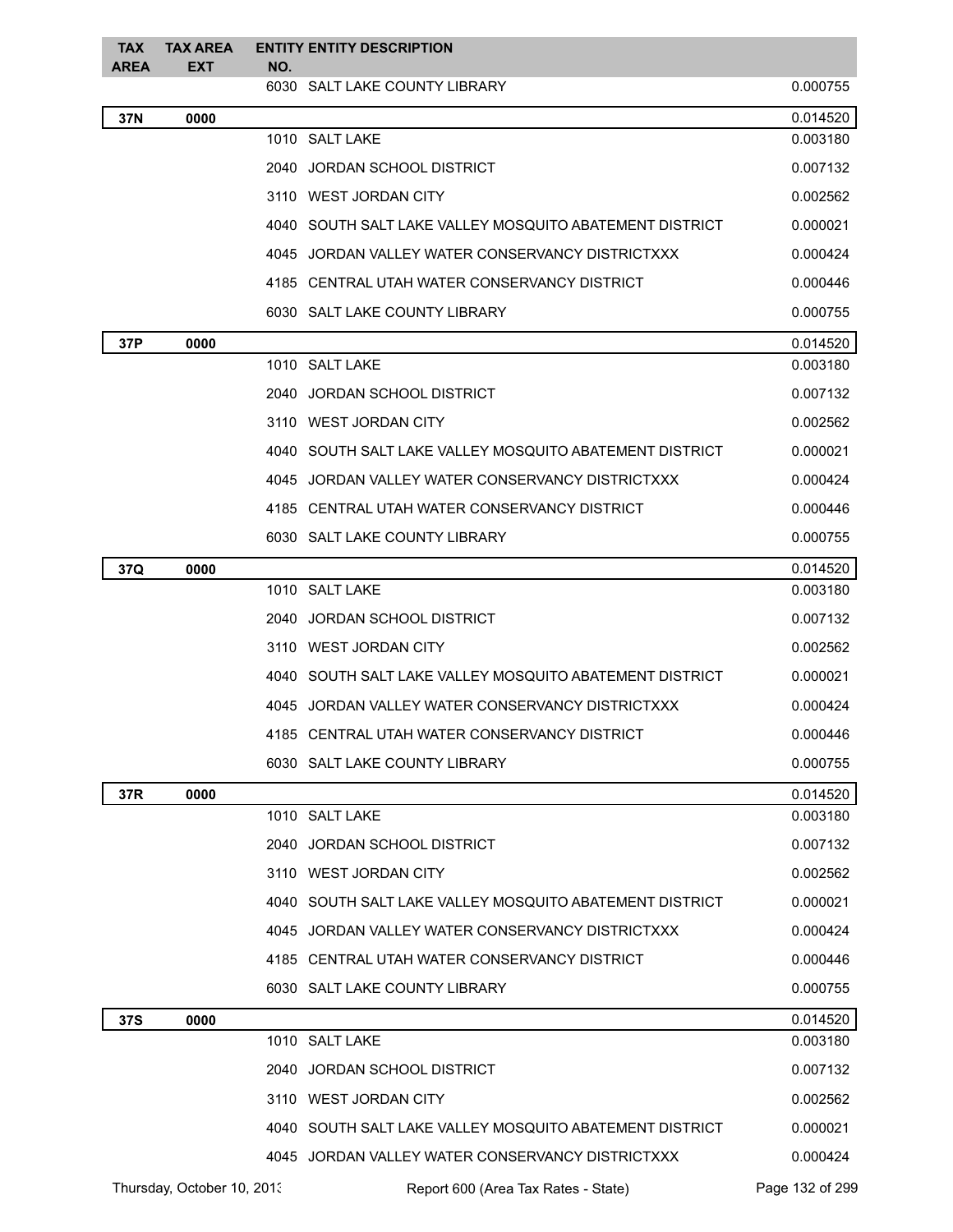| <b>TAX</b><br><b>AREA</b> | <b>TAX AREA</b><br><b>EXT</b> | NO. | <b>ENTITY ENTITY DESCRIPTION</b>                        |                 |
|---------------------------|-------------------------------|-----|---------------------------------------------------------|-----------------|
|                           |                               |     | 6030 SALT LAKE COUNTY LIBRARY                           | 0.000755        |
| 37N                       | 0000                          |     |                                                         | 0.014520        |
|                           |                               |     | 1010 SALT LAKE                                          | 0.003180        |
|                           |                               |     | 2040 JORDAN SCHOOL DISTRICT                             | 0.007132        |
|                           |                               |     | 3110 WEST JORDAN CITY                                   | 0.002562        |
|                           |                               |     | 4040 SOUTH SALT LAKE VALLEY MOSQUITO ABATEMENT DISTRICT | 0.000021        |
|                           |                               |     | 4045 JORDAN VALLEY WATER CONSERVANCY DISTRICTXXX        | 0.000424        |
|                           |                               |     | 4185 CENTRAL UTAH WATER CONSERVANCY DISTRICT            | 0.000446        |
|                           |                               |     | 6030 SALT LAKE COUNTY LIBRARY                           | 0.000755        |
| 37P                       | 0000                          |     |                                                         | 0.014520        |
|                           |                               |     | 1010 SALT LAKE                                          | 0.003180        |
|                           |                               |     | 2040 JORDAN SCHOOL DISTRICT                             | 0.007132        |
|                           |                               |     | 3110 WEST JORDAN CITY                                   | 0.002562        |
|                           |                               |     | 4040 SOUTH SALT LAKE VALLEY MOSQUITO ABATEMENT DISTRICT | 0.000021        |
|                           |                               |     | 4045 JORDAN VALLEY WATER CONSERVANCY DISTRICTXXX        | 0.000424        |
|                           |                               |     | 4185 CENTRAL UTAH WATER CONSERVANCY DISTRICT            | 0.000446        |
|                           |                               |     | 6030 SALT LAKE COUNTY LIBRARY                           | 0.000755        |
| 37Q                       | 0000                          |     |                                                         | 0.014520        |
|                           |                               |     | 1010 SALT LAKE                                          | 0.003180        |
|                           |                               |     | 2040 JORDAN SCHOOL DISTRICT                             | 0.007132        |
|                           |                               |     | 3110 WEST JORDAN CITY                                   | 0.002562        |
|                           |                               |     | 4040 SOUTH SALT LAKE VALLEY MOSQUITO ABATEMENT DISTRICT | 0.000021        |
|                           |                               |     | 4045 JORDAN VALLEY WATER CONSERVANCY DISTRICTXXX        | 0.000424        |
|                           |                               |     | 4185 CENTRAL UTAH WATER CONSERVANCY DISTRICT            | 0.000446        |
|                           |                               |     | 6030 SALT LAKE COUNTY LIBRARY                           | 0.000755        |
| 37R                       | 0000                          |     |                                                         | 0.014520        |
|                           |                               |     | 1010 SALT LAKE                                          | 0.003180        |
|                           |                               |     | 2040 JORDAN SCHOOL DISTRICT                             | 0.007132        |
|                           |                               |     | 3110 WEST JORDAN CITY                                   | 0.002562        |
|                           |                               |     | 4040 SOUTH SALT LAKE VALLEY MOSQUITO ABATEMENT DISTRICT | 0.000021        |
|                           |                               |     | 4045 JORDAN VALLEY WATER CONSERVANCY DISTRICTXXX        | 0.000424        |
|                           |                               |     | 4185 CENTRAL UTAH WATER CONSERVANCY DISTRICT            | 0.000446        |
|                           |                               |     | 6030 SALT LAKE COUNTY LIBRARY                           | 0.000755        |
| 37S                       | 0000                          |     |                                                         | 0.014520        |
|                           |                               |     | 1010 SALT LAKE                                          | 0.003180        |
|                           |                               |     | 2040 JORDAN SCHOOL DISTRICT                             | 0.007132        |
|                           |                               |     | 3110 WEST JORDAN CITY                                   | 0.002562        |
|                           |                               |     | 4040 SOUTH SALT LAKE VALLEY MOSQUITO ABATEMENT DISTRICT | 0.000021        |
|                           |                               |     | 4045 JORDAN VALLEY WATER CONSERVANCY DISTRICTXXX        | 0.000424        |
|                           | Thursday, October 10, 2013    |     | Report 600 (Area Tax Rates - State)                     | Page 132 of 299 |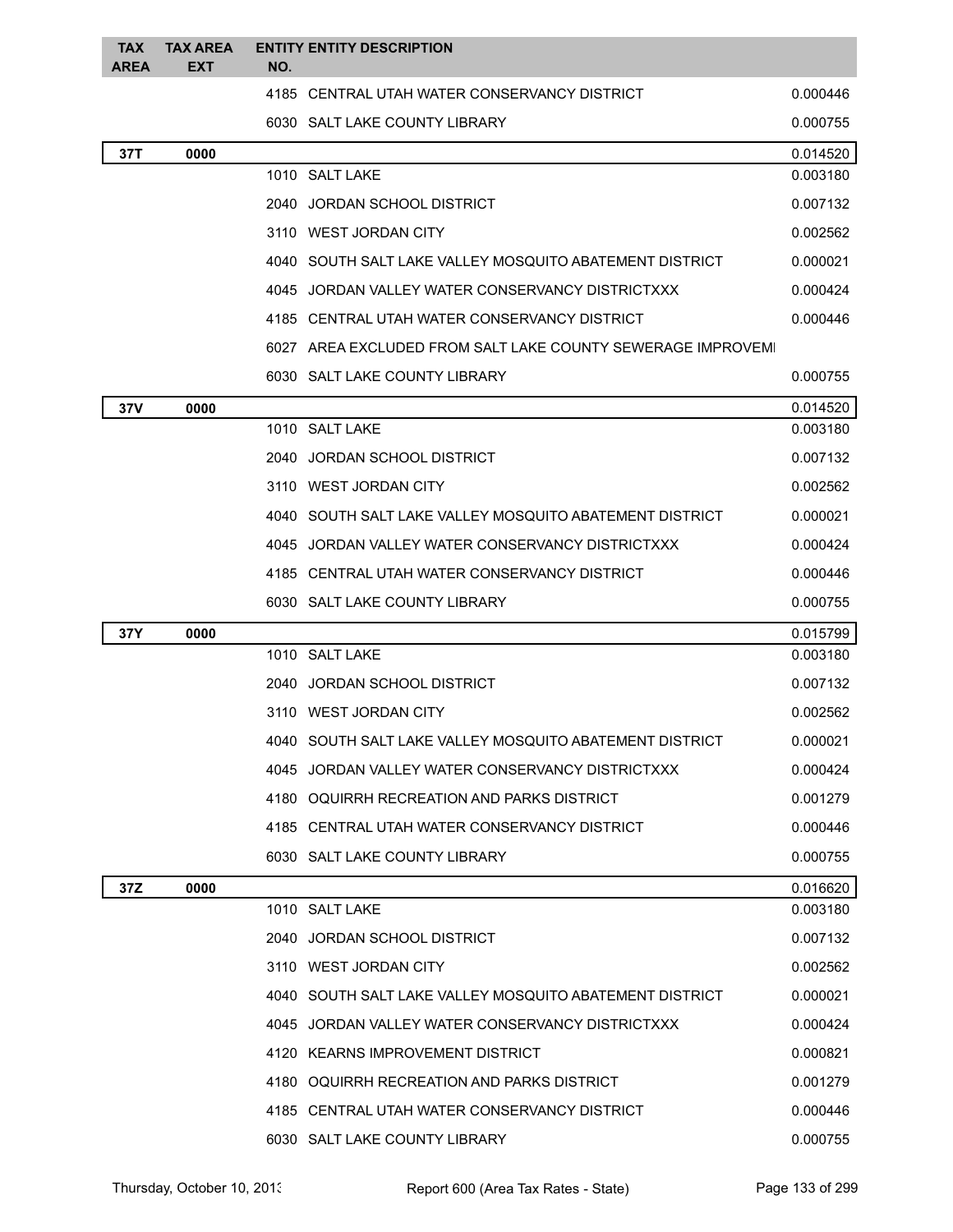| TAX<br><b>AREA</b> | <b>TAX AREA</b><br><b>EXT</b> | NO. | <b>ENTITY ENTITY DESCRIPTION</b>                            |          |
|--------------------|-------------------------------|-----|-------------------------------------------------------------|----------|
|                    |                               |     | 4185 CENTRAL UTAH WATER CONSERVANCY DISTRICT                | 0.000446 |
|                    |                               |     | 6030 SALT LAKE COUNTY LIBRARY                               | 0.000755 |
| 37T                | 0000                          |     |                                                             | 0.014520 |
|                    |                               |     | 1010 SALT LAKE                                              | 0.003180 |
|                    |                               |     | 2040 JORDAN SCHOOL DISTRICT                                 | 0.007132 |
|                    |                               |     | 3110 WEST JORDAN CITY                                       | 0.002562 |
|                    |                               |     | 4040 SOUTH SALT LAKE VALLEY MOSQUITO ABATEMENT DISTRICT     | 0.000021 |
|                    |                               |     | 4045 JORDAN VALLEY WATER CONSERVANCY DISTRICTXXX            | 0.000424 |
|                    |                               |     | 4185 CENTRAL UTAH WATER CONSERVANCY DISTRICT                | 0.000446 |
|                    |                               |     | 6027 AREA EXCLUDED FROM SALT LAKE COUNTY SEWERAGE IMPROVEMI |          |
|                    |                               |     | 6030 SALT LAKE COUNTY LIBRARY                               | 0.000755 |
| 37V                | 0000                          |     |                                                             | 0.014520 |
|                    |                               |     | 1010 SALT LAKE                                              | 0.003180 |
|                    |                               |     | 2040 JORDAN SCHOOL DISTRICT                                 | 0.007132 |
|                    |                               |     | 3110 WEST JORDAN CITY                                       | 0.002562 |
|                    |                               |     | 4040 SOUTH SALT LAKE VALLEY MOSQUITO ABATEMENT DISTRICT     | 0.000021 |
|                    |                               |     | 4045 JORDAN VALLEY WATER CONSERVANCY DISTRICTXXX            | 0.000424 |
|                    |                               |     | 4185 CENTRAL UTAH WATER CONSERVANCY DISTRICT                | 0.000446 |
|                    |                               |     | 6030 SALT LAKE COUNTY LIBRARY                               | 0.000755 |
| 37Y                | 0000                          |     |                                                             | 0.015799 |
|                    |                               |     | 1010 SALT LAKE                                              | 0.003180 |
|                    |                               |     | 2040 JORDAN SCHOOL DISTRICT                                 | 0.007132 |
|                    |                               |     | 3110 WEST JORDAN CITY                                       | 0.002562 |
|                    |                               |     | 4040 SOUTH SALT LAKE VALLEY MOSQUITO ABATEMENT DISTRICT     | 0.000021 |
|                    |                               |     | 4045 JORDAN VALLEY WATER CONSERVANCY DISTRICTXXX            | 0.000424 |
|                    |                               |     | 4180 OQUIRRH RECREATION AND PARKS DISTRICT                  | 0.001279 |
|                    |                               |     | 4185 CENTRAL UTAH WATER CONSERVANCY DISTRICT                | 0.000446 |
|                    |                               |     | 6030 SALT LAKE COUNTY LIBRARY                               | 0.000755 |
| 37Z                | 0000                          |     |                                                             | 0.016620 |
|                    |                               |     | 1010 SALT LAKE                                              | 0.003180 |
|                    |                               |     | 2040 JORDAN SCHOOL DISTRICT                                 | 0.007132 |
|                    |                               |     | 3110 WEST JORDAN CITY                                       | 0.002562 |
|                    |                               |     | 4040 SOUTH SALT LAKE VALLEY MOSQUITO ABATEMENT DISTRICT     | 0.000021 |
|                    |                               |     | 4045 JORDAN VALLEY WATER CONSERVANCY DISTRICTXXX            | 0.000424 |
|                    |                               |     | 4120 KEARNS IMPROVEMENT DISTRICT                            | 0.000821 |
|                    |                               |     | 4180 OQUIRRH RECREATION AND PARKS DISTRICT                  | 0.001279 |
|                    |                               |     | 4185 CENTRAL UTAH WATER CONSERVANCY DISTRICT                | 0.000446 |
|                    |                               |     | 6030 SALT LAKE COUNTY LIBRARY                               | 0.000755 |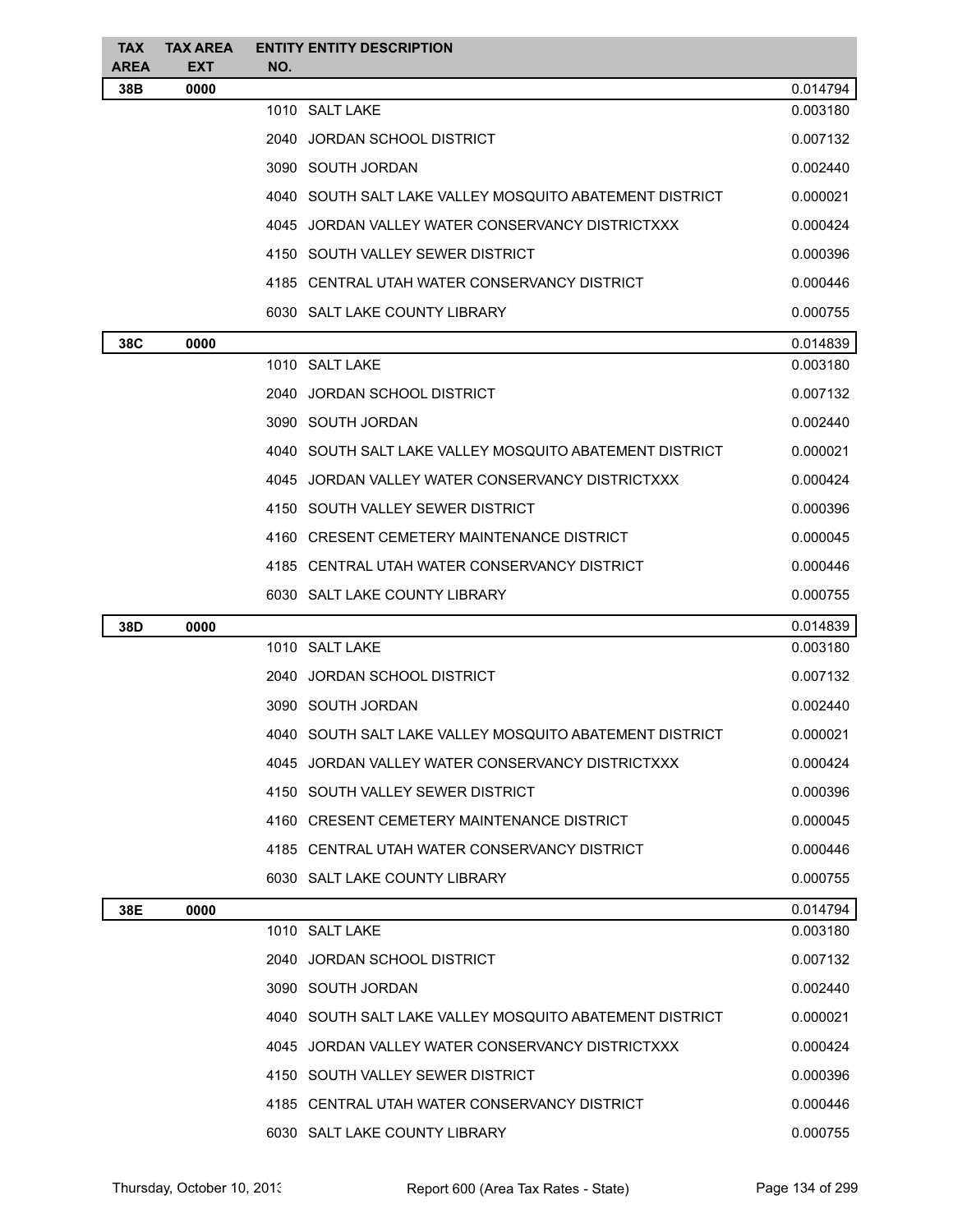| <b>TAX</b><br><b>AREA</b> | <b>TAX AREA</b><br><b>EXT</b> | <b>ENTITY ENTITY DESCRIPTION</b><br>NO.                 |          |
|---------------------------|-------------------------------|---------------------------------------------------------|----------|
| 38B                       | 0000                          |                                                         | 0.014794 |
|                           |                               | 1010 SALT LAKE                                          | 0.003180 |
|                           |                               | 2040 JORDAN SCHOOL DISTRICT                             | 0.007132 |
|                           |                               | 3090 SOUTH JORDAN                                       | 0.002440 |
|                           |                               | 4040 SOUTH SALT LAKE VALLEY MOSQUITO ABATEMENT DISTRICT | 0.000021 |
|                           |                               | 4045 JORDAN VALLEY WATER CONSERVANCY DISTRICTXXX        | 0.000424 |
|                           |                               | 4150 SOUTH VALLEY SEWER DISTRICT                        | 0.000396 |
|                           |                               | 4185 CENTRAL UTAH WATER CONSERVANCY DISTRICT            | 0.000446 |
|                           |                               | 6030 SALT LAKE COUNTY LIBRARY                           | 0.000755 |
| 38C                       | 0000                          |                                                         | 0.014839 |
|                           |                               | 1010 SALT LAKE                                          | 0.003180 |
|                           |                               | 2040 JORDAN SCHOOL DISTRICT                             | 0.007132 |
|                           |                               | 3090 SOUTH JORDAN                                       | 0.002440 |
|                           |                               | 4040 SOUTH SALT LAKE VALLEY MOSQUITO ABATEMENT DISTRICT | 0.000021 |
|                           |                               | 4045 JORDAN VALLEY WATER CONSERVANCY DISTRICTXXX        | 0.000424 |
|                           |                               | 4150 SOUTH VALLEY SEWER DISTRICT                        | 0.000396 |
|                           |                               | 4160 CRESENT CEMETERY MAINTENANCE DISTRICT              | 0.000045 |
|                           |                               | 4185 CENTRAL UTAH WATER CONSERVANCY DISTRICT            | 0.000446 |
|                           |                               | 6030 SALT LAKE COUNTY LIBRARY                           | 0.000755 |
| 38D                       | 0000                          |                                                         | 0.014839 |
|                           |                               | 1010 SALT LAKE                                          | 0.003180 |
|                           |                               | 2040 JORDAN SCHOOL DISTRICT                             | 0.007132 |
|                           |                               | 3090 SOUTH JORDAN                                       | 0.002440 |
|                           |                               | 4040 SOUTH SALT LAKE VALLEY MOSQUITO ABATEMENT DISTRICT | 0.000021 |
|                           |                               | 4045 JORDAN VALLEY WATER CONSERVANCY DISTRICTXXX        | 0.000424 |
|                           |                               | 4150 SOUTH VALLEY SEWER DISTRICT                        | 0.000396 |
|                           |                               | 4160 CRESENT CEMETERY MAINTENANCE DISTRICT              | 0.000045 |
|                           |                               | 4185 CENTRAL UTAH WATER CONSERVANCY DISTRICT            | 0.000446 |
|                           |                               | 6030 SALT LAKE COUNTY LIBRARY                           | 0.000755 |
| 38E                       | 0000                          |                                                         | 0.014794 |
|                           |                               | 1010 SALT LAKE                                          | 0.003180 |
|                           |                               | 2040 JORDAN SCHOOL DISTRICT                             | 0.007132 |
|                           |                               | 3090 SOUTH JORDAN                                       | 0.002440 |
|                           |                               | 4040 SOUTH SALT LAKE VALLEY MOSQUITO ABATEMENT DISTRICT | 0.000021 |
|                           |                               | 4045 JORDAN VALLEY WATER CONSERVANCY DISTRICTXXX        | 0.000424 |
|                           |                               | 4150 SOUTH VALLEY SEWER DISTRICT                        | 0.000396 |
|                           |                               | 4185 CENTRAL UTAH WATER CONSERVANCY DISTRICT            | 0.000446 |
|                           |                               | 6030 SALT LAKE COUNTY LIBRARY                           | 0.000755 |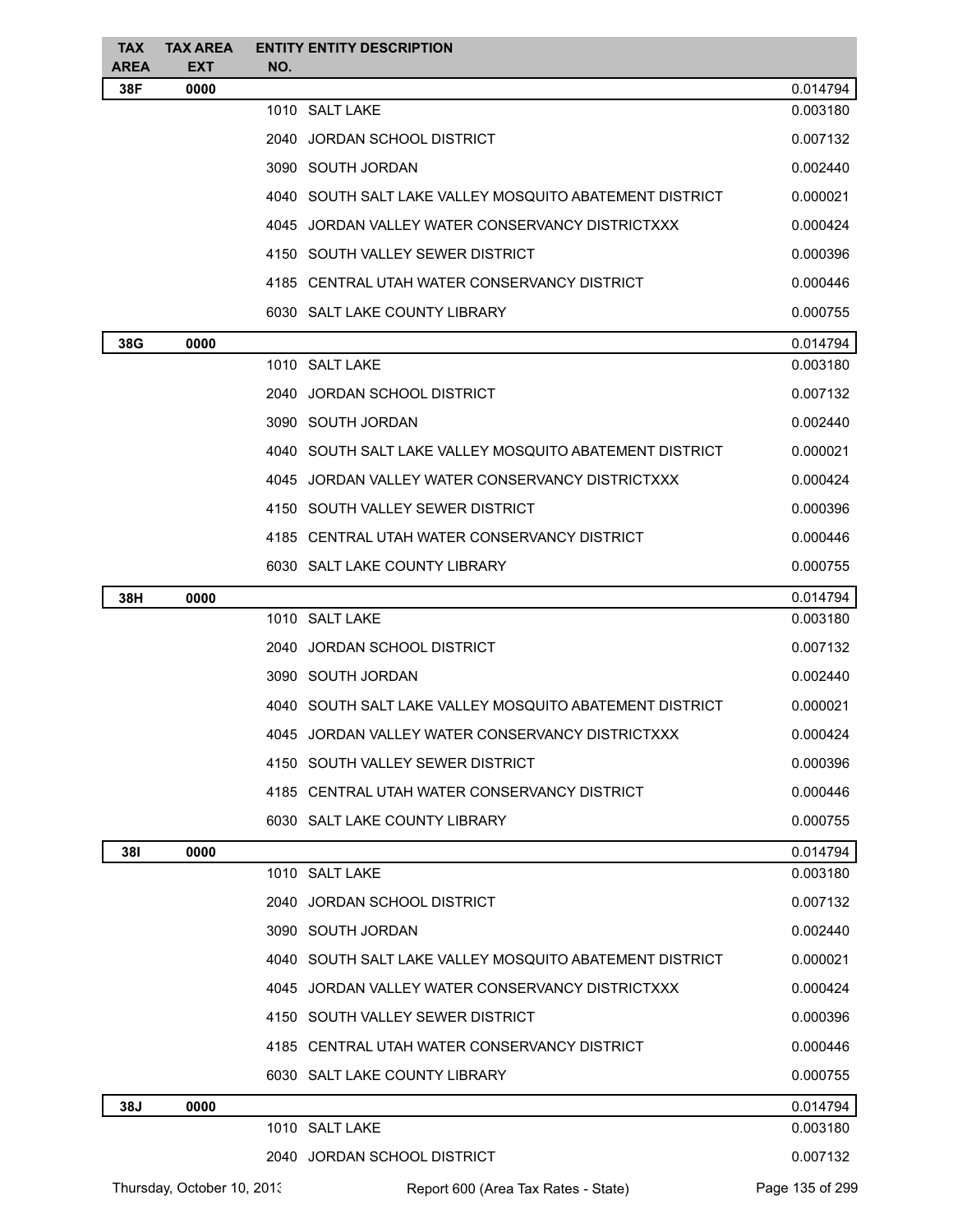| TAX.<br><b>AREA</b> | <b>TAX AREA</b><br><b>EXT</b> | NO. | <b>ENTITY ENTITY DESCRIPTION</b>                          |                 |
|---------------------|-------------------------------|-----|-----------------------------------------------------------|-----------------|
| 38F                 | 0000                          |     |                                                           | 0.014794        |
|                     |                               |     | 1010 SALT LAKE                                            | 0.003180        |
|                     |                               |     | 2040 JORDAN SCHOOL DISTRICT                               | 0.007132        |
|                     |                               |     | 3090 SOUTH JORDAN                                         | 0.002440        |
|                     |                               |     | 4040   SOUTH SALT LAKE VALLEY MOSQUITO ABATEMENT DISTRICT | 0.000021        |
|                     |                               |     | 4045 JORDAN VALLEY WATER CONSERVANCY DISTRICTXXX          | 0.000424        |
|                     |                               |     | 4150 SOUTH VALLEY SEWER DISTRICT                          | 0.000396        |
|                     |                               |     | 4185 CENTRAL UTAH WATER CONSERVANCY DISTRICT              | 0.000446        |
|                     |                               |     | 6030 SALT LAKE COUNTY LIBRARY                             | 0.000755        |
| 38G                 | 0000                          |     |                                                           | 0.014794        |
|                     |                               |     | 1010 SALT LAKE                                            | 0.003180        |
|                     |                               |     | 2040 JORDAN SCHOOL DISTRICT                               | 0.007132        |
|                     |                               |     | 3090 SOUTH JORDAN                                         | 0.002440        |
|                     |                               |     | 4040   SOUTH SALT LAKE VALLEY MOSQUITO ABATEMENT DISTRICT | 0.000021        |
|                     |                               |     | 4045 JORDAN VALLEY WATER CONSERVANCY DISTRICTXXX          | 0.000424        |
|                     |                               |     | 4150   SOUTH VALLEY SEWER DISTRICT                        | 0.000396        |
|                     |                               |     | 4185   CENTRAL UTAH WATER CONSERVANCY DISTRICT            | 0.000446        |
|                     |                               |     | 6030 SALT LAKE COUNTY LIBRARY                             | 0.000755        |
| 38H                 | 0000                          |     |                                                           | 0.014794        |
|                     |                               |     | 1010 SALT LAKE                                            | 0.003180        |
|                     |                               |     | 2040 JORDAN SCHOOL DISTRICT                               | 0.007132        |
|                     |                               |     | 3090 SOUTH JORDAN                                         | 0.002440        |
|                     |                               |     | 4040   SOUTH SALT LAKE VALLEY MOSQUITO ABATEMENT DISTRICT | 0.000021        |
|                     |                               |     | 4045 JORDAN VALLEY WATER CONSERVANCY DISTRICTXXX          | 0.000424        |
|                     |                               |     | 4150   SOUTH VALLEY SEWER DISTRICT                        | 0.000396        |
|                     |                               |     | 4185 CENTRAL UTAH WATER CONSERVANCY DISTRICT              | 0.000446        |
|                     |                               |     | 6030 SALT LAKE COUNTY LIBRARY                             | 0.000755        |
| 381                 | 0000                          |     |                                                           | 0.014794        |
|                     |                               |     | 1010 SALT LAKE                                            | 0.003180        |
|                     |                               |     | 2040 JORDAN SCHOOL DISTRICT                               | 0.007132        |
|                     |                               |     | 3090 SOUTH JORDAN                                         | 0.002440        |
|                     |                               |     | 4040 SOUTH SALT LAKE VALLEY MOSQUITO ABATEMENT DISTRICT   | 0.000021        |
|                     |                               |     | 4045 JORDAN VALLEY WATER CONSERVANCY DISTRICTXXX          | 0.000424        |
|                     |                               |     | 4150 SOUTH VALLEY SEWER DISTRICT                          | 0.000396        |
|                     |                               |     | 4185 CENTRAL UTAH WATER CONSERVANCY DISTRICT              | 0.000446        |
|                     |                               |     | 6030 SALT LAKE COUNTY LIBRARY                             | 0.000755        |
| 38J                 | 0000                          |     |                                                           | 0.014794        |
|                     |                               |     | 1010 SALT LAKE                                            | 0.003180        |
|                     |                               |     | 2040 JORDAN SCHOOL DISTRICT                               | 0.007132        |
|                     | Thursday, October 10, 2013    |     | Report 600 (Area Tax Rates - State)                       | Page 135 of 299 |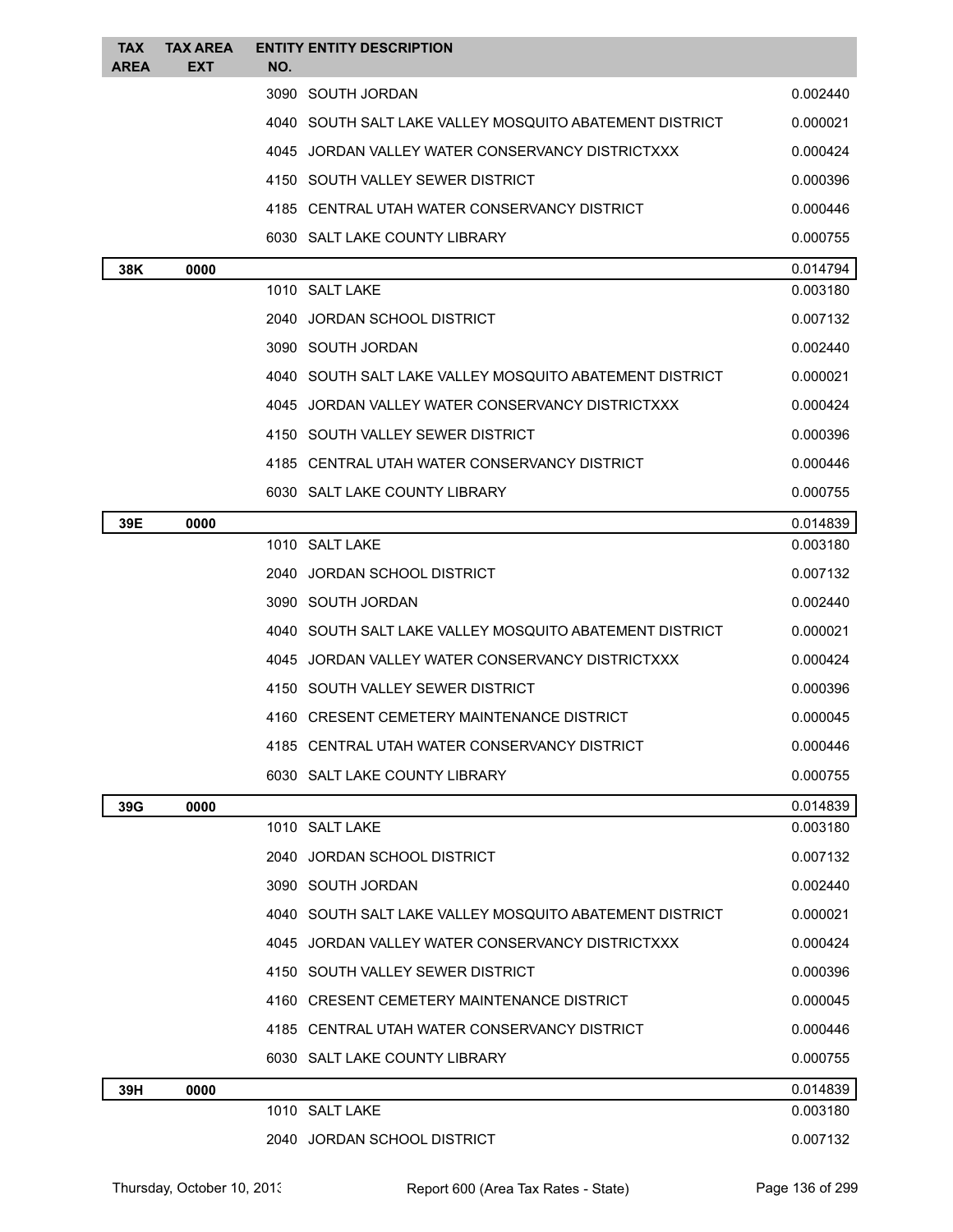| <b>TAX</b><br><b>AREA</b> | <b>TAX AREA</b><br><b>EXT</b> | <b>ENTITY ENTITY DESCRIPTION</b><br>NO.                 |          |
|---------------------------|-------------------------------|---------------------------------------------------------|----------|
|                           |                               | 3090 SOUTH JORDAN                                       | 0.002440 |
|                           |                               | 4040 SOUTH SALT LAKE VALLEY MOSQUITO ABATEMENT DISTRICT | 0.000021 |
|                           |                               | 4045 JORDAN VALLEY WATER CONSERVANCY DISTRICTXXX        | 0.000424 |
|                           |                               | 4150 SOUTH VALLEY SEWER DISTRICT                        | 0.000396 |
|                           |                               | 4185 CENTRAL UTAH WATER CONSERVANCY DISTRICT            | 0.000446 |
|                           |                               | 6030 SALT LAKE COUNTY LIBRARY                           | 0.000755 |
| 38K                       | 0000                          |                                                         | 0.014794 |
|                           |                               | 1010 SALT LAKE                                          | 0.003180 |
|                           |                               | 2040 JORDAN SCHOOL DISTRICT                             | 0.007132 |
|                           |                               | 3090 SOUTH JORDAN                                       | 0.002440 |
|                           |                               | 4040 SOUTH SALT LAKE VALLEY MOSQUITO ABATEMENT DISTRICT | 0.000021 |
|                           |                               | 4045 JORDAN VALLEY WATER CONSERVANCY DISTRICTXXX        | 0.000424 |
|                           |                               | 4150 SOUTH VALLEY SEWER DISTRICT                        | 0.000396 |
|                           |                               | 4185 CENTRAL UTAH WATER CONSERVANCY DISTRICT            | 0.000446 |
|                           |                               | 6030 SALT LAKE COUNTY LIBRARY                           | 0.000755 |
| 39E                       | 0000                          |                                                         | 0.014839 |
|                           |                               | 1010 SALT LAKE                                          | 0.003180 |
|                           |                               | 2040 JORDAN SCHOOL DISTRICT                             | 0.007132 |
|                           |                               | 3090 SOUTH JORDAN                                       | 0.002440 |
|                           |                               | 4040 SOUTH SALT LAKE VALLEY MOSQUITO ABATEMENT DISTRICT | 0.000021 |
|                           |                               | 4045 JORDAN VALLEY WATER CONSERVANCY DISTRICTXXX        | 0.000424 |
|                           |                               | 4150 SOUTH VALLEY SEWER DISTRICT                        | 0.000396 |
|                           |                               | 4160 CRESENT CEMETERY MAINTENANCE DISTRICT              | 0.000045 |
|                           |                               | 4185 CENTRAL UTAH WATER CONSERVANCY DISTRICT            | 0.000446 |
|                           |                               | 6030 SALT LAKE COUNTY LIBRARY                           | 0.000755 |
| 39G                       | 0000                          |                                                         | 0.014839 |
|                           |                               | 1010 SALT LAKE                                          | 0.003180 |
|                           |                               | 2040 JORDAN SCHOOL DISTRICT                             | 0.007132 |
|                           |                               | 3090 SOUTH JORDAN                                       | 0.002440 |
|                           |                               | 4040 SOUTH SALT LAKE VALLEY MOSQUITO ABATEMENT DISTRICT | 0.000021 |
|                           |                               | 4045 JORDAN VALLEY WATER CONSERVANCY DISTRICTXXX        | 0.000424 |
|                           |                               | 4150 SOUTH VALLEY SEWER DISTRICT                        | 0.000396 |
|                           |                               | 4160 CRESENT CEMETERY MAINTENANCE DISTRICT              | 0.000045 |
|                           |                               | 4185 CENTRAL UTAH WATER CONSERVANCY DISTRICT            | 0.000446 |
|                           |                               | 6030 SALT LAKE COUNTY LIBRARY                           | 0.000755 |
| 39H                       | 0000                          |                                                         | 0.014839 |
|                           |                               | 1010 SALT LAKE                                          | 0.003180 |
|                           |                               | 2040 JORDAN SCHOOL DISTRICT                             | 0.007132 |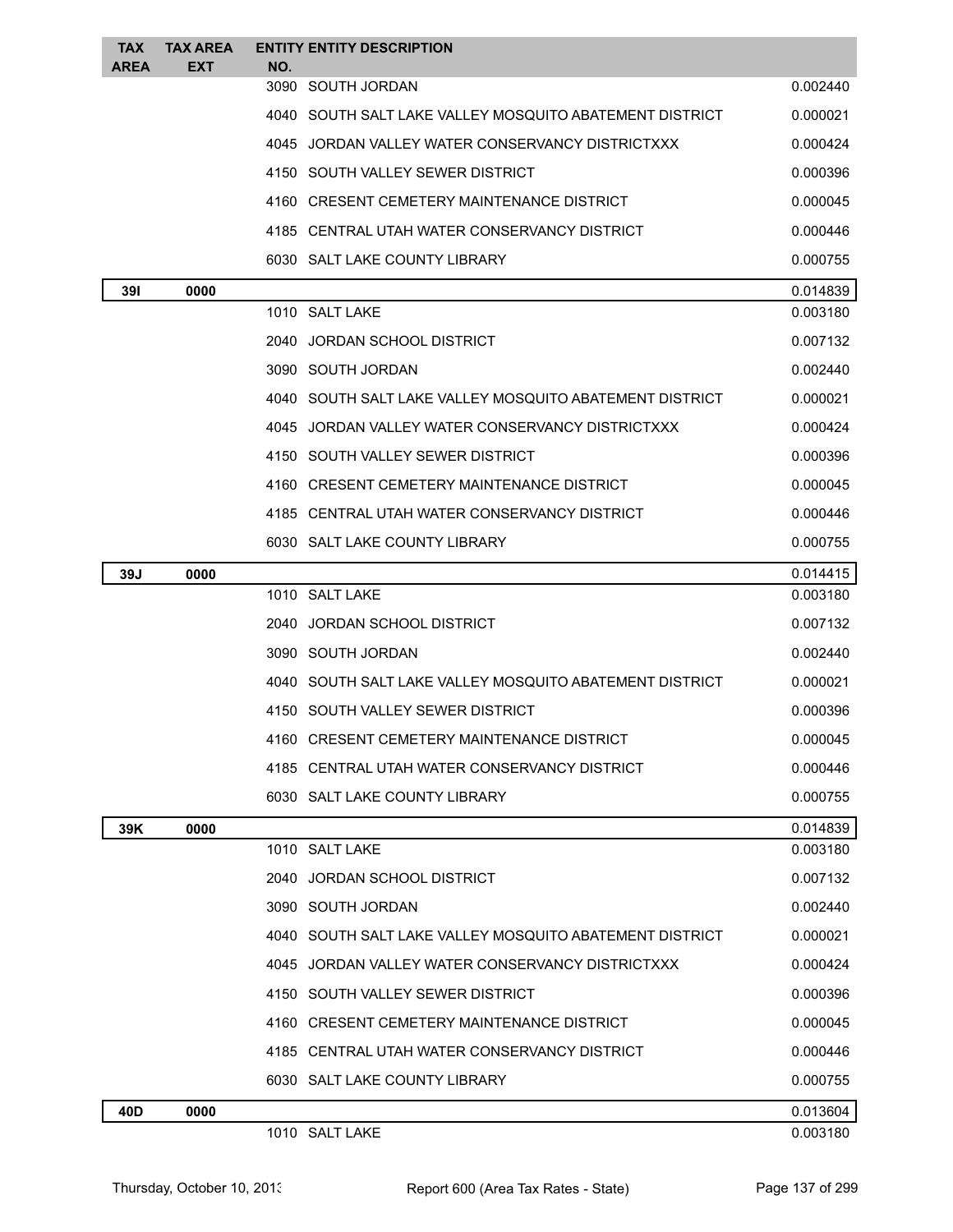| <b>TAX</b><br><b>AREA</b> | <b>TAX AREA</b><br>EXT | <b>ENTITY ENTITY DESCRIPTION</b><br>NO.                 |          |
|---------------------------|------------------------|---------------------------------------------------------|----------|
|                           |                        | 3090 SOUTH JORDAN                                       | 0.002440 |
|                           |                        | 4040 SOUTH SALT LAKE VALLEY MOSQUITO ABATEMENT DISTRICT | 0.000021 |
|                           |                        | 4045 JORDAN VALLEY WATER CONSERVANCY DISTRICTXXX        | 0.000424 |
|                           |                        | 4150 SOUTH VALLEY SEWER DISTRICT                        | 0.000396 |
|                           |                        | 4160 CRESENT CEMETERY MAINTENANCE DISTRICT              | 0.000045 |
|                           |                        | 4185 CENTRAL UTAH WATER CONSERVANCY DISTRICT            | 0.000446 |
|                           |                        | 6030 SALT LAKE COUNTY LIBRARY                           | 0.000755 |
| 391                       | 0000                   |                                                         | 0.014839 |
|                           |                        | 1010 SALT LAKE                                          | 0.003180 |
|                           |                        | 2040 JORDAN SCHOOL DISTRICT                             | 0.007132 |
|                           |                        | 3090 SOUTH JORDAN                                       | 0.002440 |
|                           |                        | 4040 SOUTH SALT LAKE VALLEY MOSQUITO ABATEMENT DISTRICT | 0.000021 |
|                           |                        | 4045 JORDAN VALLEY WATER CONSERVANCY DISTRICTXXX        | 0.000424 |
|                           |                        | 4150 SOUTH VALLEY SEWER DISTRICT                        | 0.000396 |
|                           |                        | 4160 CRESENT CEMETERY MAINTENANCE DISTRICT              | 0.000045 |
|                           |                        | 4185 CENTRAL UTAH WATER CONSERVANCY DISTRICT            | 0.000446 |
|                           |                        | 6030 SALT LAKE COUNTY LIBRARY                           | 0.000755 |
| 39J                       | 0000                   |                                                         | 0.014415 |
|                           |                        | 1010 SALT LAKE                                          | 0.003180 |
|                           |                        | 2040 JORDAN SCHOOL DISTRICT                             | 0.007132 |
|                           |                        | 3090 SOUTH JORDAN                                       | 0.002440 |
|                           |                        | 4040 SOUTH SALT LAKE VALLEY MOSQUITO ABATEMENT DISTRICT | 0.000021 |
|                           |                        | 4150 SOUTH VALLEY SEWER DISTRICT                        | 0.000396 |
|                           |                        | 4160 CRESENT CEMETERY MAINTENANCE DISTRICT              | 0.000045 |
|                           |                        | 4185 CENTRAL UTAH WATER CONSERVANCY DISTRICT            | 0.000446 |
|                           |                        | 6030 SALT LAKE COUNTY LIBRARY                           | 0.000755 |
| 39K                       | 0000                   |                                                         | 0.014839 |
|                           |                        | 1010 SALT LAKE                                          | 0.003180 |
|                           |                        | 2040 JORDAN SCHOOL DISTRICT                             | 0.007132 |
|                           |                        | 3090 SOUTH JORDAN                                       | 0.002440 |
|                           |                        | 4040 SOUTH SALT LAKE VALLEY MOSQUITO ABATEMENT DISTRICT | 0.000021 |
|                           |                        | 4045 JORDAN VALLEY WATER CONSERVANCY DISTRICTXXX        | 0.000424 |
|                           |                        | 4150 SOUTH VALLEY SEWER DISTRICT                        | 0.000396 |
|                           |                        | 4160 CRESENT CEMETERY MAINTENANCE DISTRICT              | 0.000045 |
|                           |                        | 4185   CENTRAL UTAH WATER CONSERVANCY DISTRICT          | 0.000446 |
|                           |                        | 6030 SALT LAKE COUNTY LIBRARY                           | 0.000755 |
| 40D                       | 0000                   |                                                         | 0.013604 |
|                           |                        | 1010 SALT LAKE                                          | 0.003180 |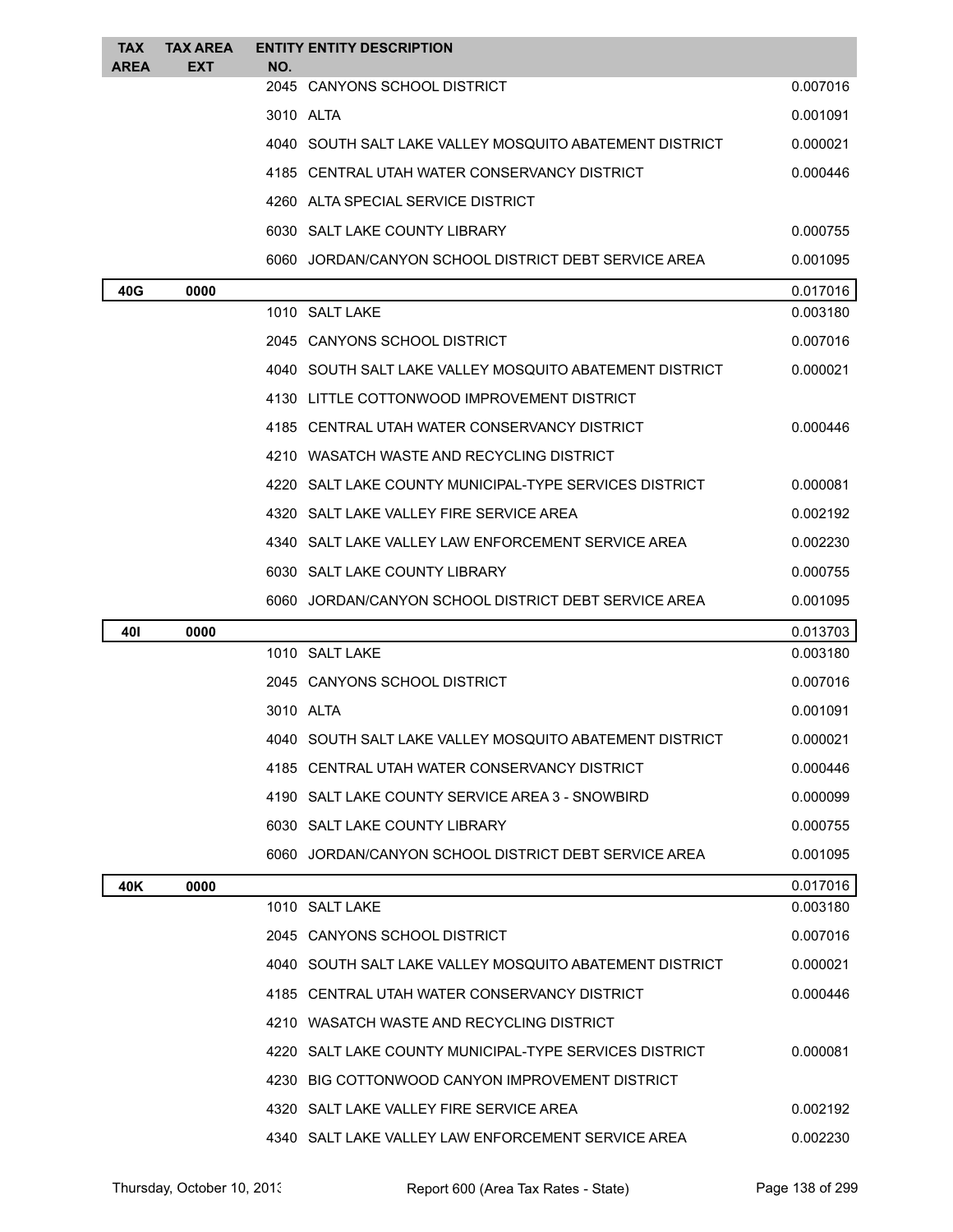| <b>TAX</b><br><b>AREA</b> | <b>TAX AREA</b><br><b>EXT</b> | <b>ENTITY ENTITY DESCRIPTION</b><br>NO. |                                                         |          |
|---------------------------|-------------------------------|-----------------------------------------|---------------------------------------------------------|----------|
|                           |                               | 2045 CANYONS SCHOOL DISTRICT            |                                                         | 0.007016 |
|                           |                               | 3010 ALTA                               |                                                         | 0.001091 |
|                           |                               |                                         | 4040 SOUTH SALT LAKE VALLEY MOSOUITO ABATEMENT DISTRICT | 0.000021 |
|                           |                               |                                         | 4185 CENTRAL UTAH WATER CONSERVANCY DISTRICT            | 0.000446 |
|                           |                               |                                         | 4260 ALTA SPECIAL SERVICE DISTRICT                      |          |
|                           |                               | 6030 SALT LAKE COUNTY LIBRARY           |                                                         | 0.000755 |
|                           |                               |                                         | 6060 JORDAN/CANYON SCHOOL DISTRICT DEBT SERVICE AREA    | 0.001095 |
| 40G                       | 0000                          |                                         |                                                         | 0.017016 |
|                           |                               | 1010 SALT LAKE                          |                                                         | 0.003180 |
|                           |                               | 2045 CANYONS SCHOOL DISTRICT            |                                                         | 0.007016 |
|                           |                               |                                         | 4040 SOUTH SALT LAKE VALLEY MOSQUITO ABATEMENT DISTRICT | 0.000021 |
|                           |                               |                                         | 4130 LITTLE COTTONWOOD IMPROVEMENT DISTRICT             |          |
|                           |                               |                                         | 4185   CENTRAL UTAH WATER CONSERVANCY DISTRICT          | 0.000446 |
|                           |                               |                                         | 4210 WASATCH WASTE AND RECYCLING DISTRICT               |          |
|                           |                               |                                         | 4220 SALT LAKE COUNTY MUNICIPAL-TYPE SERVICES DISTRICT  | 0.000081 |
|                           |                               |                                         | 4320 SALT LAKE VALLEY FIRE SERVICE AREA                 | 0.002192 |
|                           |                               |                                         | 4340 SALT LAKE VALLEY LAW ENFORCEMENT SERVICE AREA      | 0.002230 |
|                           |                               | 6030 SALT LAKE COUNTY LIBRARY           |                                                         | 0.000755 |
|                           |                               |                                         | 6060 JORDAN/CANYON SCHOOL DISTRICT DEBT SERVICE AREA    | 0.001095 |
| 401                       | 0000                          |                                         |                                                         | 0.013703 |
|                           |                               | 1010 SALT LAKE                          |                                                         | 0.003180 |
|                           |                               | 2045 CANYONS SCHOOL DISTRICT            |                                                         | 0.007016 |
|                           |                               | 3010 ALTA                               |                                                         | 0.001091 |
|                           |                               |                                         | SOUTH SALT LAKE VALLEY MOSQUITO ABATEMENT DISTRICT      | 0.000021 |
|                           |                               |                                         | 4185 CENTRAL UTAH WATER CONSERVANCY DISTRICT            | 0.000446 |
|                           |                               |                                         | 4190 SALT LAKE COUNTY SERVICE AREA 3 - SNOWBIRD         | 0.000099 |
|                           |                               | 6030 SALT LAKE COUNTY LIBRARY           |                                                         | 0.000755 |
|                           |                               |                                         | 6060 JORDAN/CANYON SCHOOL DISTRICT DEBT SERVICE AREA    | 0.001095 |
| 40K                       | 0000                          |                                         |                                                         | 0.017016 |
|                           |                               | 1010 SALT LAKE                          |                                                         | 0.003180 |
|                           |                               | 2045 CANYONS SCHOOL DISTRICT            |                                                         | 0.007016 |
|                           |                               |                                         | 4040 SOUTH SALT LAKE VALLEY MOSQUITO ABATEMENT DISTRICT | 0.000021 |
|                           |                               |                                         | 4185 CENTRAL UTAH WATER CONSERVANCY DISTRICT            | 0.000446 |
|                           |                               |                                         | 4210 WASATCH WASTE AND RECYCLING DISTRICT               |          |
|                           |                               |                                         | 4220 SALT LAKE COUNTY MUNICIPAL-TYPE SERVICES DISTRICT  | 0.000081 |
|                           |                               |                                         | 4230 BIG COTTONWOOD CANYON IMPROVEMENT DISTRICT         |          |
|                           |                               |                                         | 4320 SALT LAKE VALLEY FIRE SERVICE AREA                 | 0.002192 |
|                           |                               |                                         | 4340 SALT LAKE VALLEY LAW ENFORCEMENT SERVICE AREA      | 0.002230 |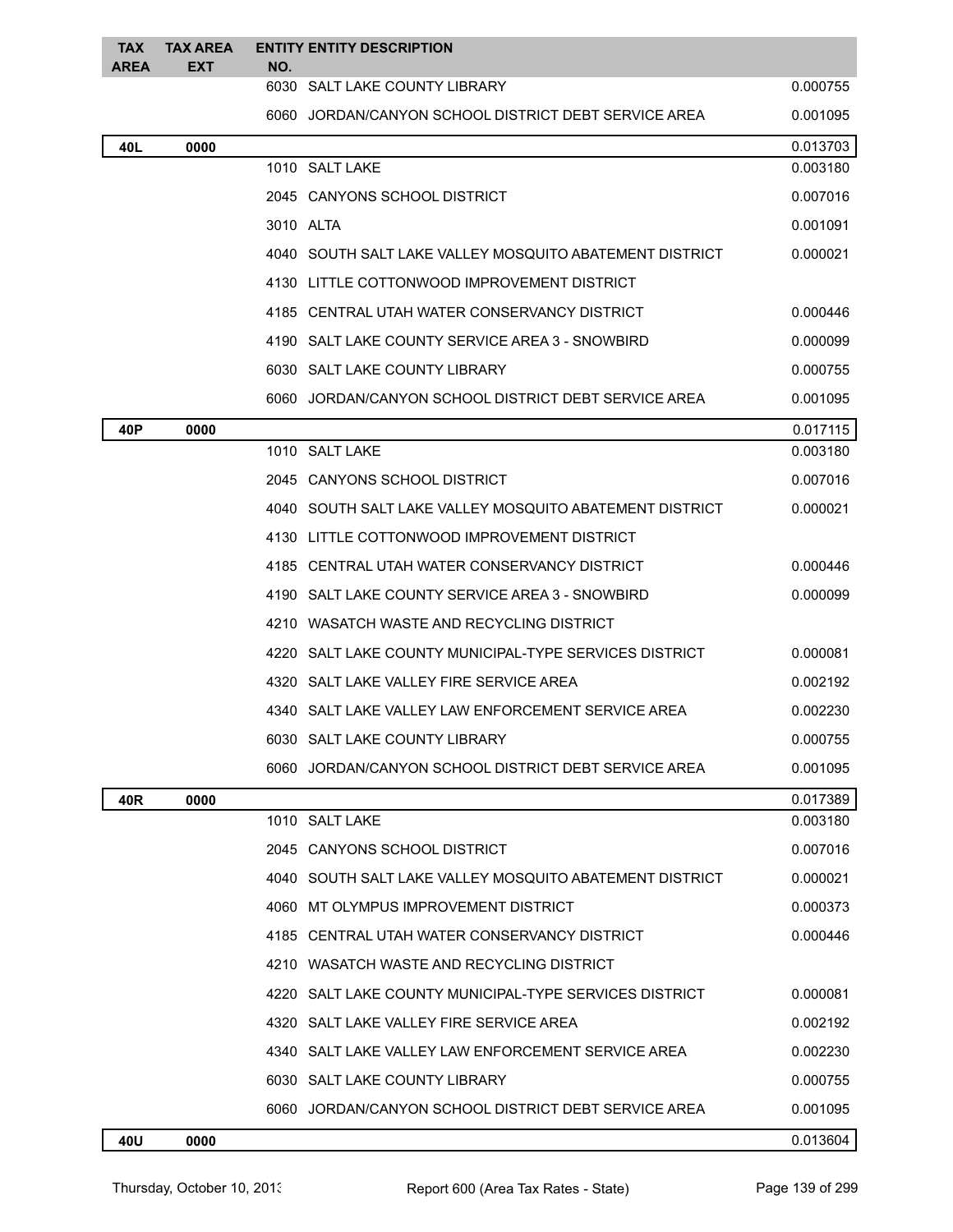| <b>TAX</b><br><b>AREA</b> | <b>TAX AREA</b><br><b>EXT</b> | NO. | <b>ENTITY ENTITY DESCRIPTION</b>                        |          |
|---------------------------|-------------------------------|-----|---------------------------------------------------------|----------|
|                           |                               |     | 6030 SALT LAKE COUNTY LIBRARY                           | 0.000755 |
|                           |                               |     | 6060 JORDAN/CANYON SCHOOL DISTRICT DEBT SERVICE AREA    | 0.001095 |
| 40L                       | 0000                          |     |                                                         | 0.013703 |
|                           |                               |     | 1010 SALT LAKE                                          | 0.003180 |
|                           |                               |     | 2045 CANYONS SCHOOL DISTRICT                            | 0.007016 |
|                           |                               |     | 3010 ALTA                                               | 0.001091 |
|                           |                               |     | 4040 SOUTH SALT LAKE VALLEY MOSQUITO ABATEMENT DISTRICT | 0.000021 |
|                           |                               |     | 4130 LITTLE COTTONWOOD IMPROVEMENT DISTRICT             |          |
|                           |                               |     | 4185 CENTRAL UTAH WATER CONSERVANCY DISTRICT            | 0.000446 |
|                           |                               |     | 4190 SALT LAKE COUNTY SERVICE AREA 3 - SNOWBIRD         | 0.000099 |
|                           |                               |     | 6030 SALT LAKE COUNTY LIBRARY                           | 0.000755 |
|                           |                               |     | 6060 JORDAN/CANYON SCHOOL DISTRICT DEBT SERVICE AREA    | 0.001095 |
| 40P                       | 0000                          |     |                                                         | 0.017115 |
|                           |                               |     | 1010 SALT LAKE                                          | 0.003180 |
|                           |                               |     | 2045 CANYONS SCHOOL DISTRICT                            | 0.007016 |
|                           |                               |     | 4040 SOUTH SALT LAKE VALLEY MOSQUITO ABATEMENT DISTRICT | 0.000021 |
|                           |                               |     | 4130 LITTLE COTTONWOOD IMPROVEMENT DISTRICT             |          |
|                           |                               |     | 4185 CENTRAL UTAH WATER CONSERVANCY DISTRICT            | 0.000446 |
|                           |                               |     | 4190 SALT LAKE COUNTY SERVICE AREA 3 - SNOWBIRD         | 0.000099 |
|                           |                               |     | 4210   WASATCH WASTE AND RECYCLING DISTRICT             |          |
|                           |                               |     | 4220 SALT LAKE COUNTY MUNICIPAL-TYPE SERVICES DISTRICT  | 0.000081 |
|                           |                               |     | 4320 SALT LAKE VALLEY FIRE SERVICE AREA                 | 0.002192 |
|                           |                               |     | 4340 SALT LAKE VALLEY LAW ENFORCEMENT SERVICE AREA      | 0.002230 |
|                           |                               |     | 6030 SALT LAKE COUNTY LIBRARY                           | 0.000755 |
|                           |                               |     | 6060 JORDAN/CANYON SCHOOL DISTRICT DEBT SERVICE AREA    | 0.001095 |
| 40R                       | 0000                          |     |                                                         | 0.017389 |
|                           |                               |     | 1010 SALT LAKE                                          | 0.003180 |
|                           |                               |     | 2045 CANYONS SCHOOL DISTRICT                            | 0.007016 |
|                           |                               |     | 4040 SOUTH SALT LAKE VALLEY MOSQUITO ABATEMENT DISTRICT | 0.000021 |
|                           |                               |     | 4060 MT OLYMPUS IMPROVEMENT DISTRICT                    | 0.000373 |
|                           |                               |     | 4185 CENTRAL UTAH WATER CONSERVANCY DISTRICT            | 0.000446 |
|                           |                               |     | 4210 WASATCH WASTE AND RECYCLING DISTRICT               |          |
|                           |                               |     | 4220 SALT LAKE COUNTY MUNICIPAL-TYPE SERVICES DISTRICT  | 0.000081 |
|                           |                               |     | 4320 SALT LAKE VALLEY FIRE SERVICE AREA                 | 0.002192 |
|                           |                               |     | 4340 SALT LAKE VALLEY LAW ENFORCEMENT SERVICE AREA      | 0.002230 |
|                           |                               |     | 6030 SALT LAKE COUNTY LIBRARY                           | 0.000755 |
|                           |                               |     | 6060 JORDAN/CANYON SCHOOL DISTRICT DEBT SERVICE AREA    | 0.001095 |
| 40U                       | 0000                          |     |                                                         | 0.013604 |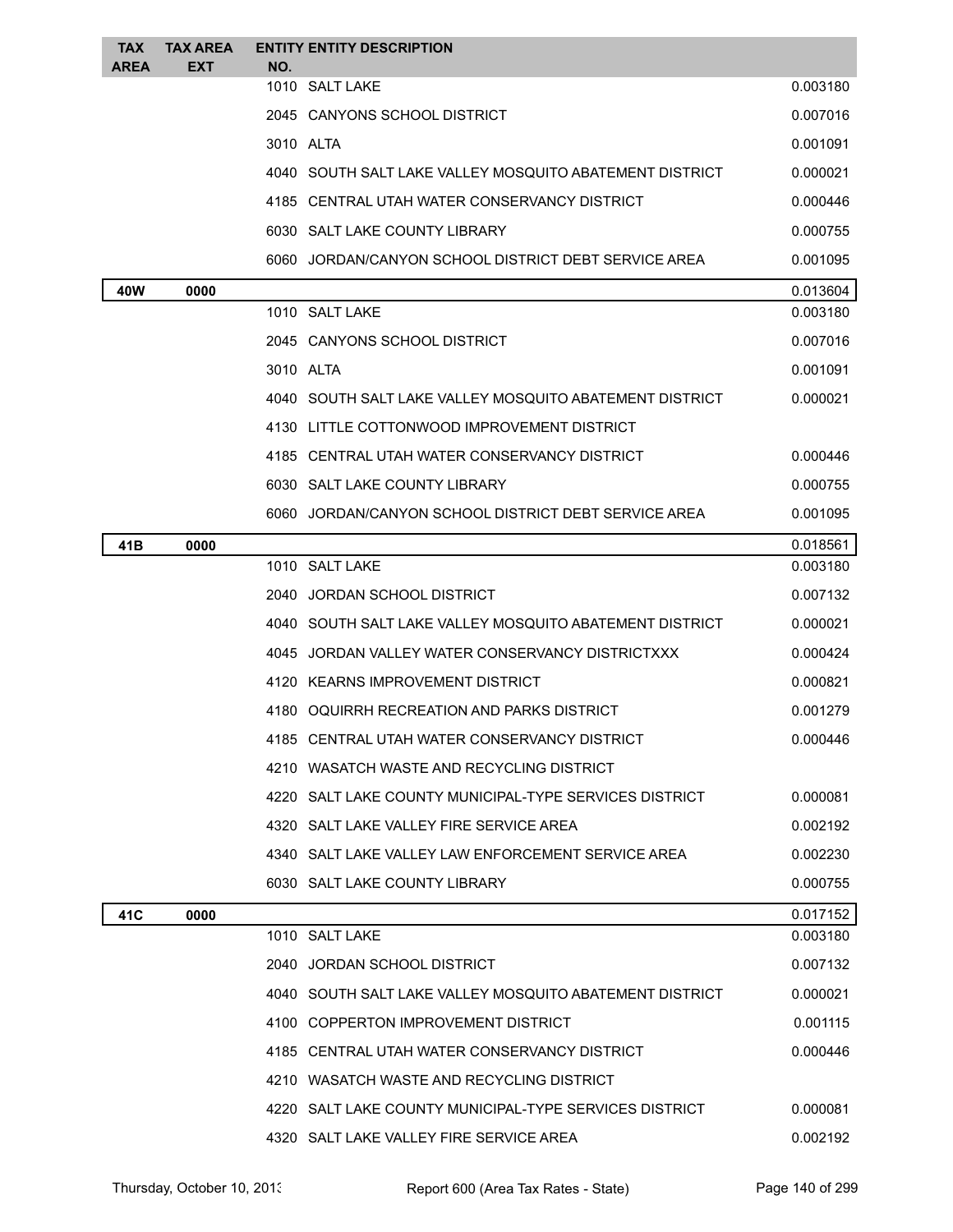| TAX<br><b>AREA</b> | <b>TAX AREA</b><br><b>EXT</b> | NO.            | <b>ENTITY ENTITY DESCRIPTION</b>                        |          |
|--------------------|-------------------------------|----------------|---------------------------------------------------------|----------|
|                    |                               | 1010 SALT LAKE |                                                         | 0.003180 |
|                    |                               |                | 2045 CANYONS SCHOOL DISTRICT                            | 0.007016 |
|                    |                               | 3010 ALTA      |                                                         | 0.001091 |
|                    |                               |                | 4040 SOUTH SALT LAKE VALLEY MOSQUITO ABATEMENT DISTRICT | 0.000021 |
|                    |                               |                | 4185 CENTRAL UTAH WATER CONSERVANCY DISTRICT            | 0.000446 |
|                    |                               |                | 6030 SALT LAKE COUNTY LIBRARY                           | 0.000755 |
|                    |                               |                | 6060 JORDAN/CANYON SCHOOL DISTRICT DEBT SERVICE AREA    | 0.001095 |
| 40W                | 0000                          |                |                                                         | 0.013604 |
|                    |                               |                | 1010 SALT LAKE                                          | 0.003180 |
|                    |                               |                | 2045 CANYONS SCHOOL DISTRICT                            | 0.007016 |
|                    |                               | 3010 ALTA      |                                                         | 0.001091 |
|                    |                               |                | 4040 SOUTH SALT LAKE VALLEY MOSQUITO ABATEMENT DISTRICT | 0.000021 |
|                    |                               |                | 4130 LITTLE COTTONWOOD IMPROVEMENT DISTRICT             |          |
|                    |                               |                | 4185 CENTRAL UTAH WATER CONSERVANCY DISTRICT            | 0.000446 |
|                    |                               |                | 6030 SALT LAKE COUNTY LIBRARY                           | 0.000755 |
|                    |                               |                | 6060 JORDAN/CANYON SCHOOL DISTRICT DEBT SERVICE AREA    | 0.001095 |
| 41B                | 0000                          |                |                                                         | 0.018561 |
|                    |                               | 1010 SALT LAKE |                                                         | 0.003180 |
|                    |                               |                | 2040 JORDAN SCHOOL DISTRICT                             | 0.007132 |
|                    |                               |                | 4040 SOUTH SALT LAKE VALLEY MOSQUITO ABATEMENT DISTRICT | 0.000021 |
|                    |                               |                | 4045 JORDAN VALLEY WATER CONSERVANCY DISTRICTXXX        | 0.000424 |
|                    |                               |                | 4120 KEARNS IMPROVEMENT DISTRICT                        | 0.000821 |
|                    |                               |                | 4180 OQUIRRH RECREATION AND PARKS DISTRICT              | 0.001279 |
|                    |                               |                | 4185 CENTRAL UTAH WATER CONSERVANCY DISTRICT            | 0.000446 |
|                    |                               |                | 4210 WASATCH WASTE AND RECYCLING DISTRICT               |          |
|                    |                               |                | 4220 SALT LAKE COUNTY MUNICIPAL-TYPE SERVICES DISTRICT  | 0.000081 |
|                    |                               |                | 4320 SALT LAKE VALLEY FIRE SERVICE AREA                 | 0.002192 |
|                    |                               |                | 4340 SALT LAKE VALLEY LAW ENFORCEMENT SERVICE AREA      | 0.002230 |
|                    |                               |                | 6030 SALT LAKE COUNTY LIBRARY                           | 0.000755 |
| 41C                | 0000                          |                |                                                         | 0.017152 |
|                    |                               |                | 1010 SALT LAKE                                          | 0.003180 |
|                    |                               |                | 2040 JORDAN SCHOOL DISTRICT                             | 0.007132 |
|                    |                               |                | 4040 SOUTH SALT LAKE VALLEY MOSQUITO ABATEMENT DISTRICT | 0.000021 |
|                    |                               |                | 4100 COPPERTON IMPROVEMENT DISTRICT                     | 0.001115 |
|                    |                               |                | 4185 CENTRAL UTAH WATER CONSERVANCY DISTRICT            | 0.000446 |
|                    |                               |                | 4210 WASATCH WASTE AND RECYCLING DISTRICT               |          |
|                    |                               |                | 4220 SALT LAKE COUNTY MUNICIPAL-TYPE SERVICES DISTRICT  | 0.000081 |
|                    |                               |                | 4320 SALT LAKE VALLEY FIRE SERVICE AREA                 | 0.002192 |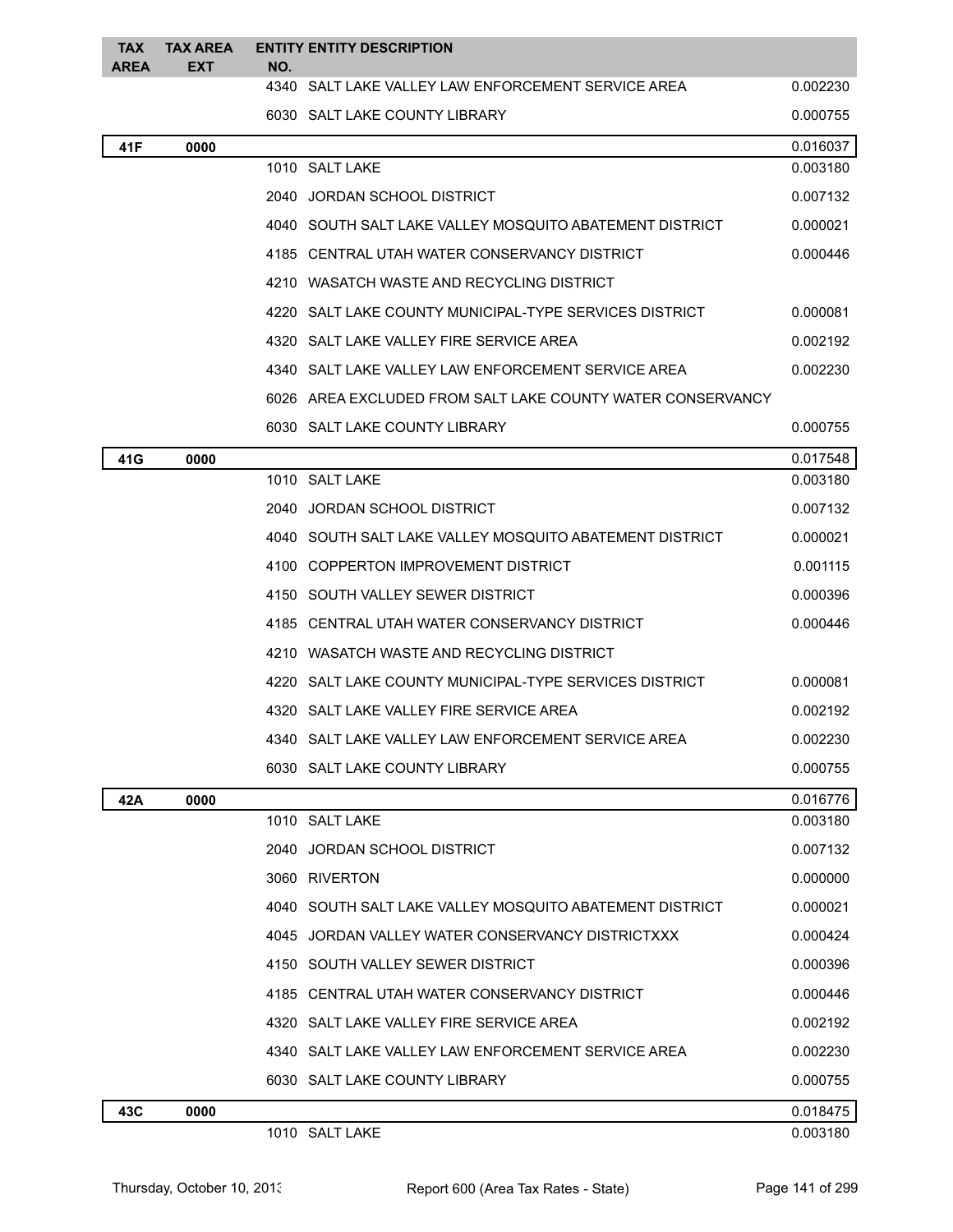| TAX<br><b>AREA</b> | TAX AREA<br><b>EXT</b> | NO.  | <b>ENTITY ENTITY DESCRIPTION</b>                           |          |
|--------------------|------------------------|------|------------------------------------------------------------|----------|
|                    |                        |      | 4340 SALT LAKE VALLEY LAW ENFORCEMENT SERVICE AREA         | 0.002230 |
|                    |                        |      | 6030 SALT LAKE COUNTY LIBRARY                              | 0.000755 |
| 41F                | 0000                   |      |                                                            | 0.016037 |
|                    |                        |      | 1010 SALT LAKE                                             | 0.003180 |
|                    |                        |      | 2040 JORDAN SCHOOL DISTRICT                                | 0.007132 |
|                    |                        |      | 4040   SOUTH SALT LAKE VALLEY MOSQUITO ABATEMENT DISTRICT  | 0.000021 |
|                    |                        |      | 4185 CENTRAL UTAH WATER CONSERVANCY DISTRICT               | 0.000446 |
|                    |                        |      | 4210 WASATCH WASTE AND RECYCLING DISTRICT                  |          |
|                    |                        | 4220 | SALT LAKE COUNTY MUNICIPAL-TYPE SERVICES DISTRICT          | 0.000081 |
|                    |                        |      | 4320 SALT LAKE VALLEY FIRE SERVICE AREA                    | 0.002192 |
|                    |                        |      | 4340 SALT LAKE VALLEY LAW ENFORCEMENT SERVICE AREA         | 0.002230 |
|                    |                        |      | 6026 AREA EXCLUDED FROM SALT LAKE COUNTY WATER CONSERVANCY |          |
|                    |                        |      | 6030 SALT LAKE COUNTY LIBRARY                              | 0.000755 |
| 41G                | 0000                   |      |                                                            | 0.017548 |
|                    |                        |      | 1010 SALT LAKE                                             | 0.003180 |
|                    |                        |      | 2040 JORDAN SCHOOL DISTRICT                                | 0.007132 |
|                    |                        |      | 4040 SOUTH SALT LAKE VALLEY MOSQUITO ABATEMENT DISTRICT    | 0.000021 |
|                    |                        |      | 4100 COPPERTON IMPROVEMENT DISTRICT                        | 0.001115 |
|                    |                        |      | 4150 SOUTH VALLEY SEWER DISTRICT                           | 0.000396 |
|                    |                        |      | 4185 CENTRAL UTAH WATER CONSERVANCY DISTRICT               | 0.000446 |
|                    |                        |      | 4210 WASATCH WASTE AND RECYCLING DISTRICT                  |          |
|                    |                        |      | 4220 SALT LAKE COUNTY MUNICIPAL-TYPE SERVICES DISTRICT     | 0.000081 |
|                    |                        |      | 4320 SALT LAKE VALLEY FIRE SERVICE AREA                    | 0.002192 |
|                    |                        |      | 4340 SALT LAKE VALLEY LAW ENFORCEMENT SERVICE AREA         | 0.002230 |
|                    |                        |      | 6030 SALT LAKE COUNTY LIBRARY                              | 0.000755 |
| 42A                | 0000                   |      |                                                            | 0.016776 |
|                    |                        |      | 1010 SALT LAKE                                             | 0.003180 |
|                    |                        |      | 2040 JORDAN SCHOOL DISTRICT                                | 0.007132 |
|                    |                        |      | 3060 RIVERTON                                              | 0.000000 |
|                    |                        |      | 4040   SOUTH SALT LAKE VALLEY MOSQUITO ABATEMENT DISTRICT  | 0.000021 |
|                    |                        |      | 4045 JORDAN VALLEY WATER CONSERVANCY DISTRICTXXX           | 0.000424 |
|                    |                        |      | 4150 SOUTH VALLEY SEWER DISTRICT                           | 0.000396 |
|                    |                        |      | 4185 CENTRAL UTAH WATER CONSERVANCY DISTRICT               | 0.000446 |
|                    |                        |      | 4320 SALT LAKE VALLEY FIRE SERVICE AREA                    | 0.002192 |
|                    |                        |      | 4340 SALT LAKE VALLEY LAW ENFORCEMENT SERVICE AREA         | 0.002230 |
|                    |                        |      | 6030 SALT LAKE COUNTY LIBRARY                              | 0.000755 |
| 43C                | 0000                   |      |                                                            | 0.018475 |
|                    |                        |      | 1010 SALT LAKE                                             | 0.003180 |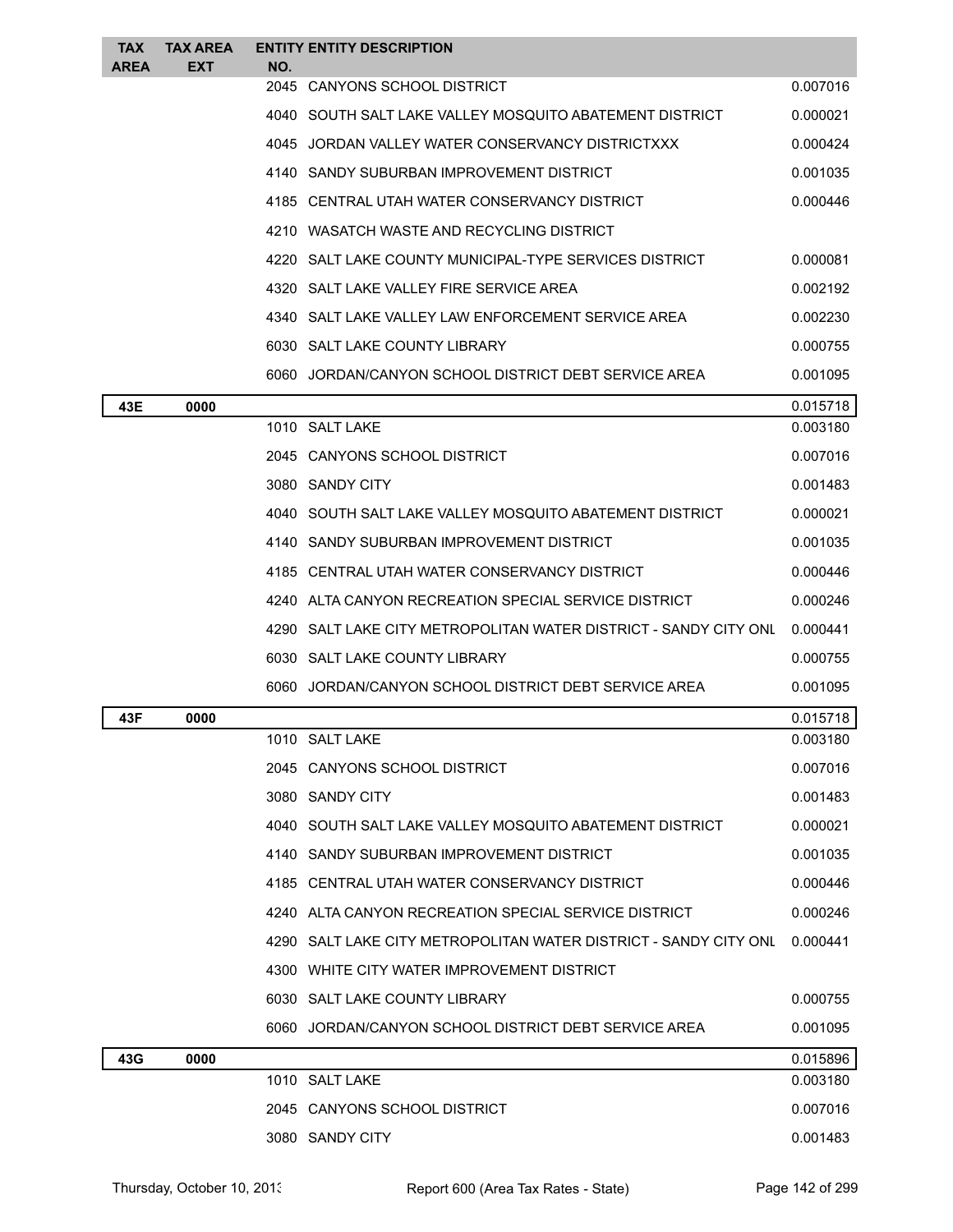| <b>TAX</b><br><b>AREA</b> | <b>TAX AREA</b><br>EXT | NO.  | <b>ENTITY ENTITY DESCRIPTION</b>                                   |          |
|---------------------------|------------------------|------|--------------------------------------------------------------------|----------|
|                           |                        | 2045 | CANYONS SCHOOL DISTRICT                                            | 0.007016 |
|                           |                        |      | 4040 SOUTH SALT LAKE VALLEY MOSQUITO ABATEMENT DISTRICT            | 0.000021 |
|                           |                        |      | 4045 JORDAN VALLEY WATER CONSERVANCY DISTRICTXXX                   | 0.000424 |
|                           |                        |      | 4140 SANDY SUBURBAN IMPROVEMENT DISTRICT                           | 0.001035 |
|                           |                        |      | 4185 CENTRAL UTAH WATER CONSERVANCY DISTRICT                       | 0.000446 |
|                           |                        |      | 4210 WASATCH WASTE AND RECYCLING DISTRICT                          |          |
|                           |                        |      | 4220 SALT LAKE COUNTY MUNICIPAL-TYPE SERVICES DISTRICT             | 0.000081 |
|                           |                        |      | 4320 SALT LAKE VALLEY FIRE SERVICE AREA                            | 0.002192 |
|                           |                        |      | 4340   SALT LAKE VALLEY LAW ENFORCEMENT SERVICE AREA               | 0.002230 |
|                           |                        |      | 6030 SALT LAKE COUNTY LIBRARY                                      | 0.000755 |
|                           |                        |      | 6060 JORDAN/CANYON SCHOOL DISTRICT DEBT SERVICE AREA               | 0.001095 |
| 43E                       | 0000                   |      |                                                                    | 0.015718 |
|                           |                        |      | 1010 SALT LAKE                                                     | 0.003180 |
|                           |                        |      | 2045 CANYONS SCHOOL DISTRICT                                       | 0.007016 |
|                           |                        |      | 3080 SANDY CITY                                                    | 0.001483 |
|                           |                        |      | 4040 SOUTH SALT LAKE VALLEY MOSQUITO ABATEMENT DISTRICT            | 0.000021 |
|                           |                        |      | 4140   SANDY SUBURBAN IMPROVEMENT DISTRICT                         | 0.001035 |
|                           |                        |      | 4185 CENTRAL UTAH WATER CONSERVANCY DISTRICT                       | 0.000446 |
|                           |                        |      | 4240 ALTA CANYON RECREATION SPECIAL SERVICE DISTRICT               | 0.000246 |
|                           |                        |      | 4290   SALT LAKE CITY METROPOLITAN WATER DISTRICT - SANDY CITY ONL | 0.000441 |
|                           |                        |      | 6030 SALT LAKE COUNTY LIBRARY                                      | 0.000755 |
|                           |                        |      | 6060 JORDAN/CANYON SCHOOL DISTRICT DEBT SERVICE AREA               | 0.001095 |
| 43F                       | 0000                   |      |                                                                    | 0.015718 |
|                           |                        |      | 1010 SALT LAKE                                                     | 0.003180 |
|                           |                        |      | 2045 CANYONS SCHOOL DISTRICT                                       | 0.007016 |
|                           |                        |      | 3080 SANDY CITY                                                    | 0.001483 |
|                           |                        |      | 4040 SOUTH SALT LAKE VALLEY MOSQUITO ABATEMENT DISTRICT            | 0.000021 |
|                           |                        |      | 4140 SANDY SUBURBAN IMPROVEMENT DISTRICT                           | 0.001035 |
|                           |                        |      | 4185 CENTRAL UTAH WATER CONSERVANCY DISTRICT                       | 0.000446 |
|                           |                        |      | 4240 ALTA CANYON RECREATION SPECIAL SERVICE DISTRICT               | 0.000246 |
|                           |                        |      | 4290   SALT LAKE CITY METROPOLITAN WATER DISTRICT - SANDY CITY ONL | 0.000441 |
|                           |                        |      | 4300 WHITE CITY WATER IMPROVEMENT DISTRICT                         |          |
|                           |                        |      | 6030 SALT LAKE COUNTY LIBRARY                                      | 0.000755 |
|                           |                        |      | 6060 JORDAN/CANYON SCHOOL DISTRICT DEBT SERVICE AREA               | 0.001095 |
| 43G                       | 0000                   |      |                                                                    | 0.015896 |
|                           |                        |      | 1010 SALT LAKE                                                     | 0.003180 |
|                           |                        |      | 2045 CANYONS SCHOOL DISTRICT                                       | 0.007016 |
|                           |                        |      | 3080 SANDY CITY                                                    | 0.001483 |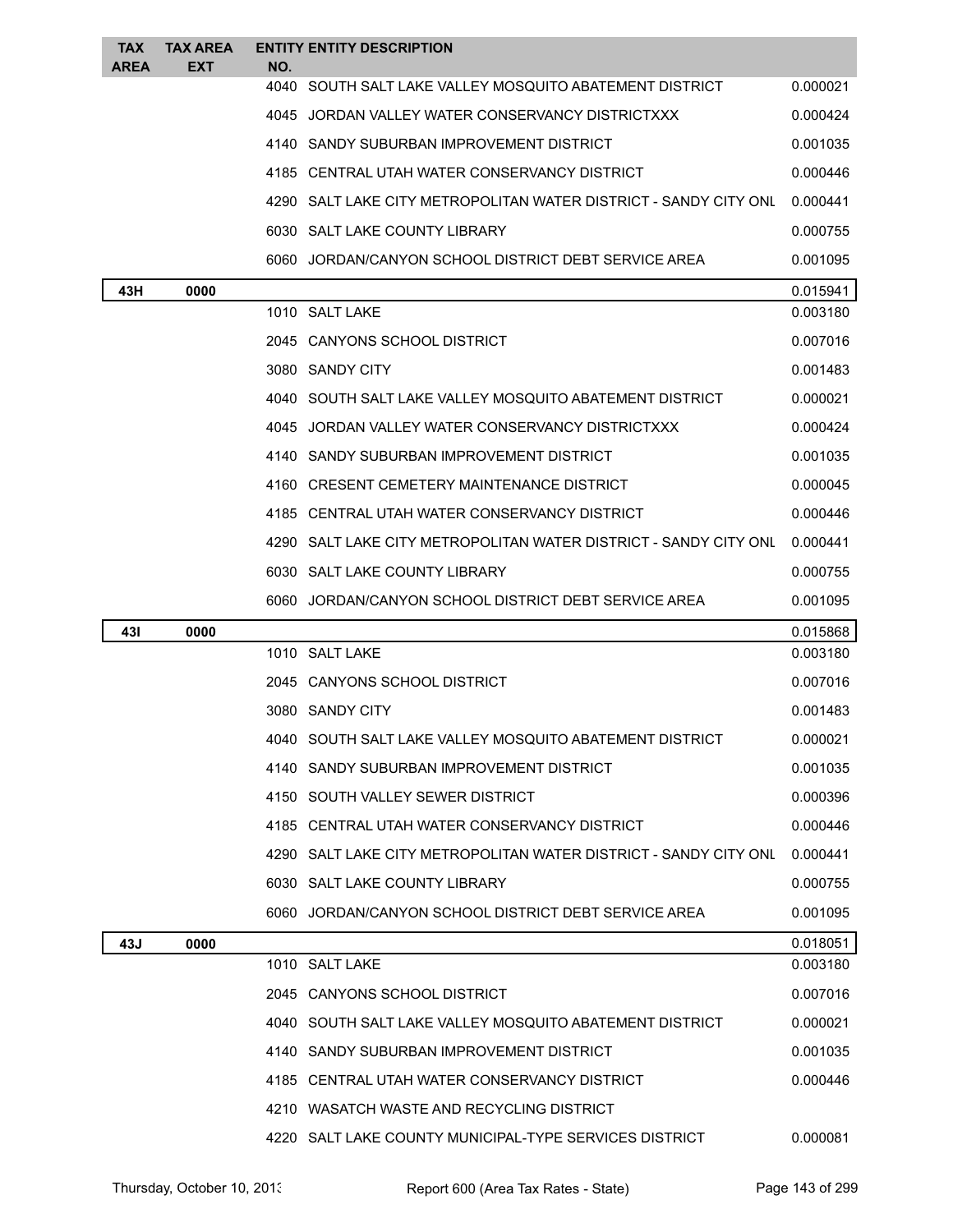| <b>TAX</b><br><b>AREA</b> | <b>TAX AREA</b><br>EXT | NO.  | <b>ENTITY ENTITY DESCRIPTION</b>                                 |          |
|---------------------------|------------------------|------|------------------------------------------------------------------|----------|
|                           |                        | 4040 | SOUTH SALT LAKE VALLEY MOSQUITO ABATEMENT DISTRICT               | 0.000021 |
|                           |                        |      | 4045 JORDAN VALLEY WATER CONSERVANCY DISTRICTXXX                 | 0.000424 |
|                           |                        |      | 4140 SANDY SUBURBAN IMPROVEMENT DISTRICT                         | 0.001035 |
|                           |                        |      | 4185 CENTRAL UTAH WATER CONSERVANCY DISTRICT                     | 0.000446 |
|                           |                        |      | 4290 SALT LAKE CITY METROPOLITAN WATER DISTRICT - SANDY CITY ONL | 0.000441 |
|                           |                        |      | 6030 SALT LAKE COUNTY LIBRARY                                    | 0.000755 |
|                           |                        |      | 6060 JORDAN/CANYON SCHOOL DISTRICT DEBT SERVICE AREA             | 0.001095 |
| 43H                       | 0000                   |      |                                                                  | 0.015941 |
|                           |                        |      | 1010 SALT LAKE                                                   | 0.003180 |
|                           |                        |      | 2045 CANYONS SCHOOL DISTRICT                                     | 0.007016 |
|                           |                        |      | 3080 SANDY CITY                                                  | 0.001483 |
|                           |                        |      | 4040 SOUTH SALT LAKE VALLEY MOSQUITO ABATEMENT DISTRICT          | 0.000021 |
|                           |                        |      | 4045 JORDAN VALLEY WATER CONSERVANCY DISTRICTXXX                 | 0.000424 |
|                           |                        |      | 4140 SANDY SUBURBAN IMPROVEMENT DISTRICT                         | 0.001035 |
|                           |                        |      | 4160 CRESENT CEMETERY MAINTENANCE DISTRICT                       | 0.000045 |
|                           |                        |      | 4185 CENTRAL UTAH WATER CONSERVANCY DISTRICT                     | 0.000446 |
|                           |                        |      | 4290 SALT LAKE CITY METROPOLITAN WATER DISTRICT - SANDY CITY ONL | 0.000441 |
|                           |                        |      | 6030 SALT LAKE COUNTY LIBRARY                                    | 0.000755 |
|                           |                        |      | 6060 JORDAN/CANYON SCHOOL DISTRICT DEBT SERVICE AREA             | 0.001095 |
| 431                       | 0000                   |      |                                                                  | 0.015868 |
|                           |                        |      | 1010 SALT LAKE                                                   | 0.003180 |
|                           |                        |      | 2045 CANYONS SCHOOL DISTRICT                                     | 0.007016 |
|                           |                        |      | 3080 SANDY CITY                                                  | 0.001483 |
|                           |                        |      | SOUTH SALT LAKE VALLEY MOSQUITO ABATEMENT DISTRICT               | 0.000021 |
|                           |                        |      | 4140 SANDY SUBURBAN IMPROVEMENT DISTRICT                         | 0.001035 |
|                           |                        |      | 4150 SOUTH VALLEY SEWER DISTRICT                                 | 0.000396 |
|                           |                        |      | 4185 CENTRAL UTAH WATER CONSERVANCY DISTRICT                     | 0.000446 |
|                           |                        |      | 4290 SALT LAKE CITY METROPOLITAN WATER DISTRICT - SANDY CITY ONL | 0.000441 |
|                           |                        |      | 6030 SALT LAKE COUNTY LIBRARY                                    | 0.000755 |
|                           |                        |      | 6060 JORDAN/CANYON SCHOOL DISTRICT DEBT SERVICE AREA             | 0.001095 |
| 43J                       | 0000                   |      |                                                                  | 0.018051 |
|                           |                        |      | 1010 SALT LAKE                                                   | 0.003180 |
|                           |                        |      | 2045 CANYONS SCHOOL DISTRICT                                     | 0.007016 |
|                           |                        |      | 4040 SOUTH SALT LAKE VALLEY MOSQUITO ABATEMENT DISTRICT          | 0.000021 |
|                           |                        |      | 4140 SANDY SUBURBAN IMPROVEMENT DISTRICT                         | 0.001035 |
|                           |                        |      | 4185 CENTRAL UTAH WATER CONSERVANCY DISTRICT                     | 0.000446 |
|                           |                        |      | 4210 WASATCH WASTE AND RECYCLING DISTRICT                        |          |
|                           |                        |      | 4220 SALT LAKE COUNTY MUNICIPAL-TYPE SERVICES DISTRICT           | 0.000081 |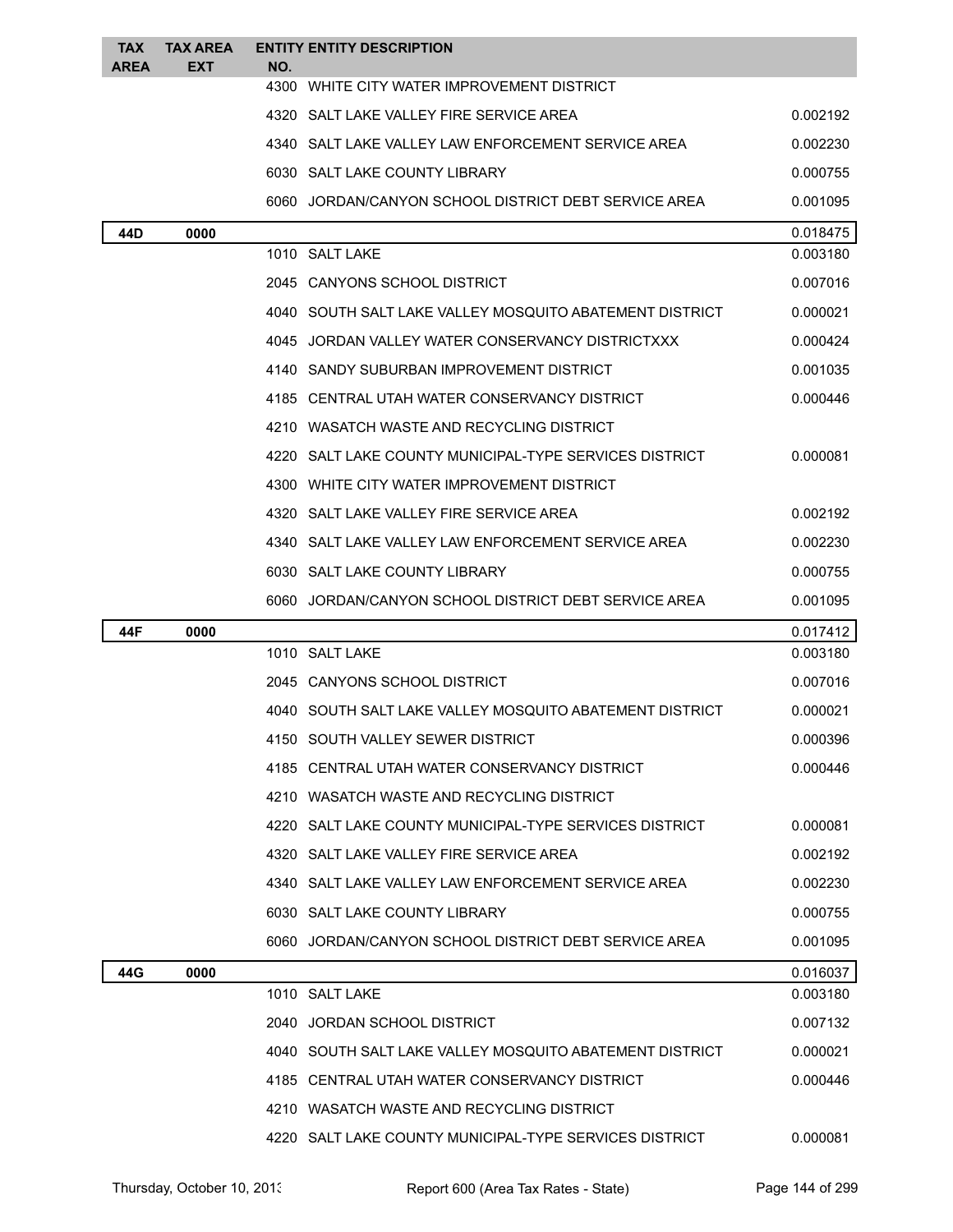| <b>TAX</b><br><b>AREA</b> | <b>TAX AREA</b><br>EXT | <b>ENTITY ENTITY DESCRIPTION</b><br>NO.                   |          |
|---------------------------|------------------------|-----------------------------------------------------------|----------|
|                           |                        | 4300<br>WHITE CITY WATER IMPROVEMENT DISTRICT             |          |
|                           |                        | 4320 SALT LAKE VALLEY FIRE SERVICE AREA                   | 0.002192 |
|                           |                        | 4340   SALT LAKE VALLEY LAW ENFORCEMENT SERVICE AREA      | 0.002230 |
|                           |                        | 6030 SALT LAKE COUNTY LIBRARY                             | 0.000755 |
|                           |                        | 6060 JORDAN/CANYON SCHOOL DISTRICT DEBT SERVICE AREA      | 0.001095 |
| 44D                       | 0000                   |                                                           | 0.018475 |
|                           |                        | 1010 SALT LAKE                                            | 0.003180 |
|                           |                        | 2045 CANYONS SCHOOL DISTRICT                              | 0.007016 |
|                           |                        | 4040   SOUTH SALT LAKE VALLEY MOSQUITO ABATEMENT DISTRICT | 0.000021 |
|                           |                        | 4045 JORDAN VALLEY WATER CONSERVANCY DISTRICTXXX          | 0.000424 |
|                           |                        | 4140 SANDY SUBURBAN IMPROVEMENT DISTRICT                  | 0.001035 |
|                           |                        | 4185 CENTRAL UTAH WATER CONSERVANCY DISTRICT              | 0.000446 |
|                           |                        | 4210 WASATCH WASTE AND RECYCLING DISTRICT                 |          |
|                           |                        | 4220 SALT LAKE COUNTY MUNICIPAL-TYPE SERVICES DISTRICT    | 0.000081 |
|                           |                        | 4300 WHITE CITY WATER IMPROVEMENT DISTRICT                |          |
|                           |                        | 4320 SALT LAKE VALLEY FIRE SERVICE AREA                   | 0.002192 |
|                           |                        | 4340   SALT LAKE VALLEY LAW ENFORCEMENT SERVICE AREA      | 0.002230 |
|                           |                        | 6030 SALT LAKE COUNTY LIBRARY                             | 0.000755 |
|                           |                        | 6060 JORDAN/CANYON SCHOOL DISTRICT DEBT SERVICE AREA      | 0.001095 |
| 44F                       | 0000                   |                                                           | 0.017412 |
|                           |                        | 1010 SALT LAKE                                            | 0.003180 |
|                           |                        | 2045 CANYONS SCHOOL DISTRICT                              | 0.007016 |
|                           |                        | 4040   SOUTH SALT LAKE VALLEY MOSQUITO ABATEMENT DISTRICT | 0.000021 |
|                           |                        | SOUTH VALLEY SEWER DISTRICT                               | 0.000396 |
|                           |                        | 4185   CENTRAL UTAH WATER CONSERVANCY DISTRICT            | 0.000446 |
|                           |                        | 4210 WASATCH WASTE AND RECYCLING DISTRICT                 |          |
|                           |                        | 4220 SALT LAKE COUNTY MUNICIPAL-TYPE SERVICES DISTRICT    | 0.000081 |
|                           |                        | 4320 SALT LAKE VALLEY FIRE SERVICE AREA                   | 0.002192 |
|                           |                        | 4340   SALT LAKE VALLEY LAW ENFORCEMENT SERVICE AREA      | 0.002230 |
|                           |                        | 6030 SALT LAKE COUNTY LIBRARY                             | 0.000755 |
|                           |                        | 6060 JORDAN/CANYON SCHOOL DISTRICT DEBT SERVICE AREA      | 0.001095 |
| 44G                       | 0000                   |                                                           | 0.016037 |
|                           |                        | 1010 SALT LAKE                                            | 0.003180 |
|                           |                        | 2040 JORDAN SCHOOL DISTRICT                               | 0.007132 |
|                           |                        | 4040   SOUTH SALT LAKE VALLEY MOSQUITO ABATEMENT DISTRICT | 0.000021 |
|                           |                        | 4185 CENTRAL UTAH WATER CONSERVANCY DISTRICT              | 0.000446 |
|                           |                        | 4210 WASATCH WASTE AND RECYCLING DISTRICT                 |          |
|                           |                        | 4220 SALT LAKE COUNTY MUNICIPAL-TYPE SERVICES DISTRICT    | 0.000081 |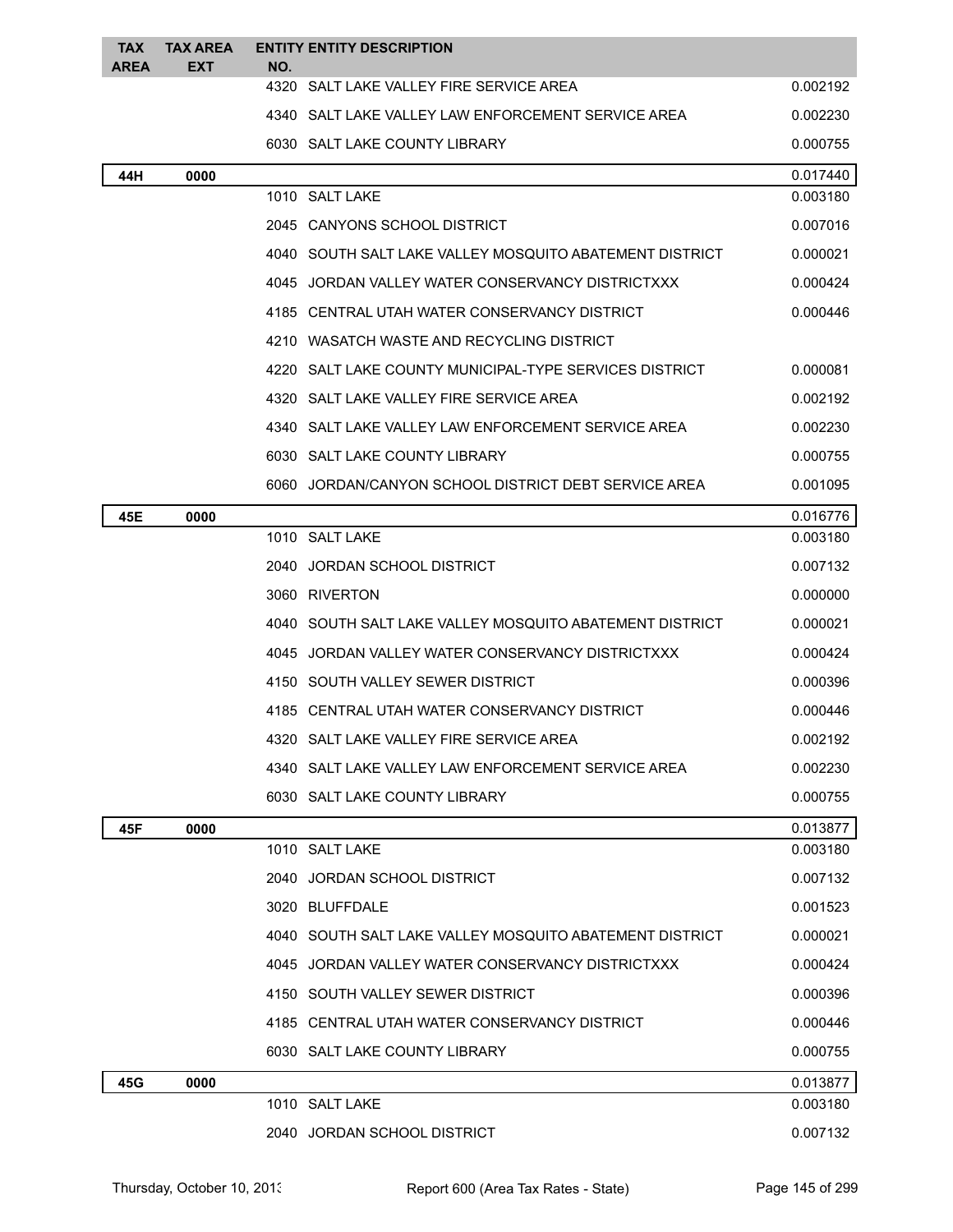| TAX<br><b>AREA</b> | <b>TAX AREA</b><br><b>EXT</b> | NO. | <b>ENTITY ENTITY DESCRIPTION</b>                        |          |
|--------------------|-------------------------------|-----|---------------------------------------------------------|----------|
|                    |                               |     | 4320 SALT LAKE VALLEY FIRE SERVICE AREA                 | 0.002192 |
|                    |                               |     | 4340 SALT LAKE VALLEY LAW ENFORCEMENT SERVICE AREA      | 0.002230 |
|                    |                               |     | 6030 SALT LAKE COUNTY LIBRARY                           | 0.000755 |
| 44H                | 0000                          |     |                                                         | 0.017440 |
|                    |                               |     | 1010 SALT LAKE                                          | 0.003180 |
|                    |                               |     | 2045 CANYONS SCHOOL DISTRICT                            | 0.007016 |
|                    |                               |     | 4040 SOUTH SALT LAKE VALLEY MOSQUITO ABATEMENT DISTRICT | 0.000021 |
|                    |                               |     | 4045 JORDAN VALLEY WATER CONSERVANCY DISTRICTXXX        | 0.000424 |
|                    |                               |     | 4185 CENTRAL UTAH WATER CONSERVANCY DISTRICT            | 0.000446 |
|                    |                               |     | 4210 WASATCH WASTE AND RECYCLING DISTRICT               |          |
|                    |                               |     | 4220 SALT LAKE COUNTY MUNICIPAL-TYPE SERVICES DISTRICT  | 0.000081 |
|                    |                               |     | 4320 SALT LAKE VALLEY FIRE SERVICE AREA                 | 0.002192 |
|                    |                               |     | 4340 SALT LAKE VALLEY LAW ENFORCEMENT SERVICE AREA      | 0.002230 |
|                    |                               |     | 6030 SALT LAKE COUNTY LIBRARY                           | 0.000755 |
|                    |                               |     | 6060 JORDAN/CANYON SCHOOL DISTRICT DEBT SERVICE AREA    | 0.001095 |
| 45E                | 0000                          |     |                                                         | 0.016776 |
|                    |                               |     | 1010 SALT LAKE                                          | 0.003180 |
|                    |                               |     | 2040 JORDAN SCHOOL DISTRICT                             | 0.007132 |
|                    |                               |     | 3060 RIVERTON                                           | 0.000000 |
|                    |                               |     | 4040 SOUTH SALT LAKE VALLEY MOSQUITO ABATEMENT DISTRICT | 0.000021 |
|                    |                               |     | 4045 JORDAN VALLEY WATER CONSERVANCY DISTRICTXXX        | 0.000424 |
|                    |                               |     | 4150 SOUTH VALLEY SEWER DISTRICT                        | 0.000396 |
|                    |                               |     | 4185 CENTRAL UTAH WATER CONSERVANCY DISTRICT            | 0.000446 |
|                    |                               |     | 4320 SALT LAKE VALLEY FIRE SERVICE AREA                 | 0.002192 |
|                    |                               |     | 4340 SALT LAKE VALLEY LAW ENFORCEMENT SERVICE AREA      | 0.002230 |
|                    |                               |     | 6030 SALT LAKE COUNTY LIBRARY                           | 0.000755 |
| 45F                | 0000                          |     |                                                         | 0.013877 |
|                    |                               |     | 1010 SALT LAKE                                          | 0.003180 |
|                    |                               |     | 2040 JORDAN SCHOOL DISTRICT                             | 0.007132 |
|                    |                               |     | 3020 BLUFFDALE                                          | 0.001523 |
|                    |                               |     | 4040 SOUTH SALT LAKE VALLEY MOSQUITO ABATEMENT DISTRICT | 0.000021 |
|                    |                               |     | 4045 JORDAN VALLEY WATER CONSERVANCY DISTRICTXXX        | 0.000424 |
|                    |                               |     | 4150 SOUTH VALLEY SEWER DISTRICT                        | 0.000396 |
|                    |                               |     | 4185 CENTRAL UTAH WATER CONSERVANCY DISTRICT            | 0.000446 |
|                    |                               |     | 6030 SALT LAKE COUNTY LIBRARY                           | 0.000755 |
| 45G                | 0000                          |     |                                                         | 0.013877 |
|                    |                               |     | 1010 SALT LAKE                                          | 0.003180 |
|                    |                               |     | 2040 JORDAN SCHOOL DISTRICT                             | 0.007132 |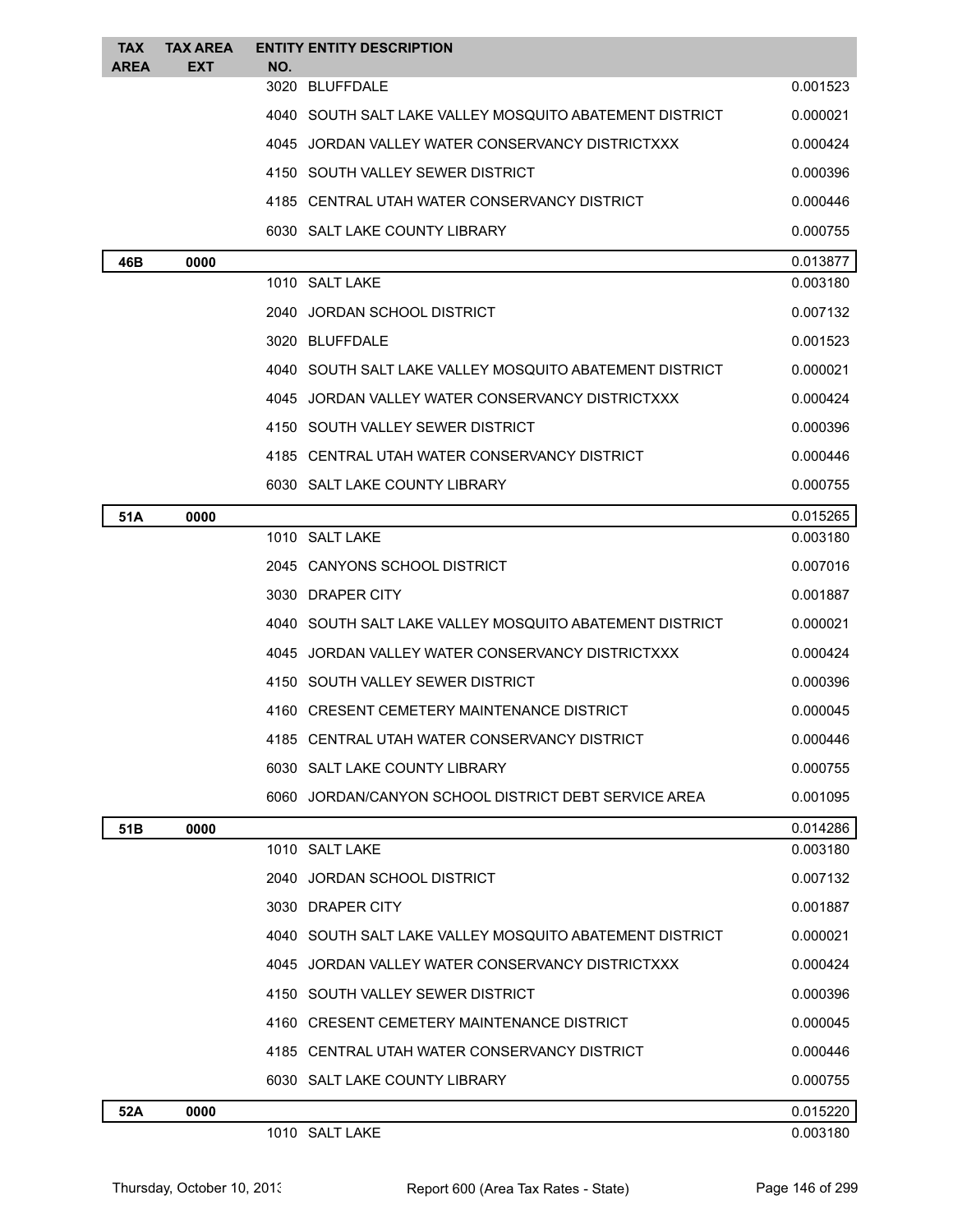| <b>TAX</b><br><b>AREA</b> | <b>TAX AREA</b><br>EXT | <b>ENTITY ENTITY DESCRIPTION</b><br>NO.                   |          |
|---------------------------|------------------------|-----------------------------------------------------------|----------|
|                           |                        | 3020 BLUFFDALE                                            | 0.001523 |
|                           |                        | 4040 SOUTH SALT LAKE VALLEY MOSQUITO ABATEMENT DISTRICT   | 0.000021 |
|                           |                        | 4045 JORDAN VALLEY WATER CONSERVANCY DISTRICTXXX          | 0.000424 |
|                           |                        | 4150 SOUTH VALLEY SEWER DISTRICT                          | 0.000396 |
|                           |                        | 4185 CENTRAL UTAH WATER CONSERVANCY DISTRICT              | 0.000446 |
|                           |                        | 6030 SALT LAKE COUNTY LIBRARY                             | 0.000755 |
| 46B                       | 0000                   |                                                           | 0.013877 |
|                           |                        | 1010 SALT LAKE                                            | 0.003180 |
|                           |                        | 2040 JORDAN SCHOOL DISTRICT                               | 0.007132 |
|                           |                        | 3020 BLUFFDALE                                            | 0.001523 |
|                           |                        | 4040   SOUTH SALT LAKE VALLEY MOSQUITO ABATEMENT DISTRICT | 0.000021 |
|                           |                        | 4045 JORDAN VALLEY WATER CONSERVANCY DISTRICTXXX          | 0.000424 |
|                           |                        | 4150 SOUTH VALLEY SEWER DISTRICT                          | 0.000396 |
|                           |                        | 4185 CENTRAL UTAH WATER CONSERVANCY DISTRICT              | 0.000446 |
|                           |                        | 6030 SALT LAKE COUNTY LIBRARY                             | 0.000755 |
| 51A                       | 0000                   |                                                           | 0.015265 |
|                           |                        | 1010 SALT LAKE                                            | 0.003180 |
|                           |                        | 2045 CANYONS SCHOOL DISTRICT                              | 0.007016 |
|                           |                        | 3030 DRAPER CITY                                          | 0.001887 |
|                           |                        | 4040 SOUTH SALT LAKE VALLEY MOSQUITO ABATEMENT DISTRICT   | 0.000021 |
|                           |                        | 4045 JORDAN VALLEY WATER CONSERVANCY DISTRICTXXX          | 0.000424 |
|                           |                        | 4150 SOUTH VALLEY SEWER DISTRICT                          | 0.000396 |
|                           |                        | 4160 CRESENT CEMETERY MAINTENANCE DISTRICT                | 0.000045 |
|                           |                        | 4185 CENTRAL UTAH WATER CONSERVANCY DISTRICT              | 0.000446 |
|                           |                        | 6030 SALT LAKE COUNTY LIBRARY                             | 0.000755 |
|                           |                        | 6060 JORDAN/CANYON SCHOOL DISTRICT DEBT SERVICE AREA      | 0.001095 |
| 51B                       | 0000                   |                                                           | 0.014286 |
|                           |                        | 1010 SALT LAKE                                            | 0.003180 |
|                           |                        | 2040 JORDAN SCHOOL DISTRICT                               | 0.007132 |
|                           |                        | 3030 DRAPER CITY                                          | 0.001887 |
|                           |                        | 4040 SOUTH SALT LAKE VALLEY MOSQUITO ABATEMENT DISTRICT   | 0.000021 |
|                           |                        | 4045 JORDAN VALLEY WATER CONSERVANCY DISTRICTXXX          | 0.000424 |
|                           |                        | 4150 SOUTH VALLEY SEWER DISTRICT                          | 0.000396 |
|                           |                        | 4160 CRESENT CEMETERY MAINTENANCE DISTRICT                | 0.000045 |
|                           |                        | 4185 CENTRAL UTAH WATER CONSERVANCY DISTRICT              | 0.000446 |
|                           |                        | 6030 SALT LAKE COUNTY LIBRARY                             | 0.000755 |
| 52A                       | 0000                   |                                                           | 0.015220 |
|                           |                        | 1010 SALT LAKE                                            | 0.003180 |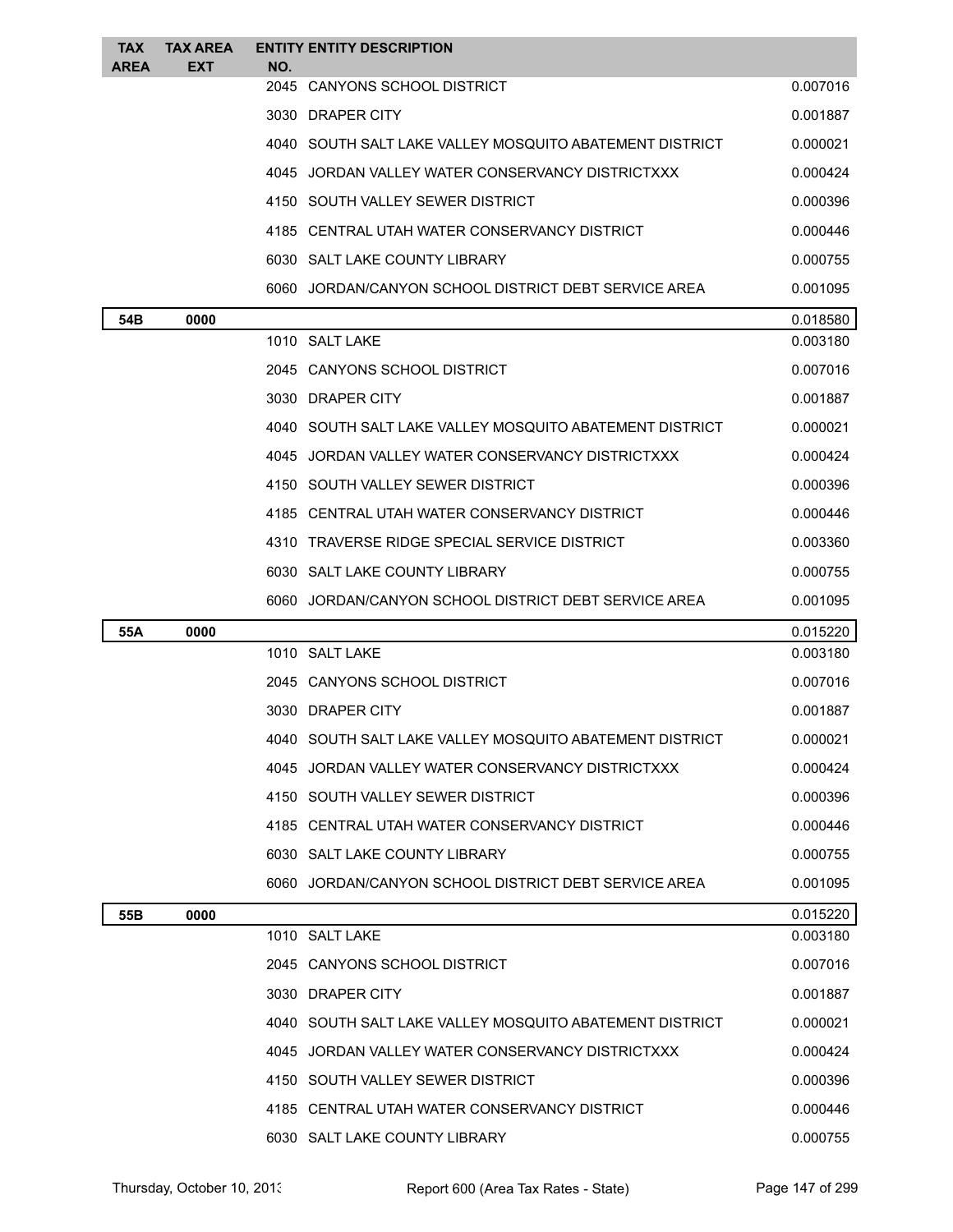| <b>TAX</b><br><b>AREA</b> | <b>TAX AREA</b><br>EXT | <b>ENTITY ENTITY DESCRIPTION</b><br>NO.                   |          |
|---------------------------|------------------------|-----------------------------------------------------------|----------|
|                           |                        | 2045 CANYONS SCHOOL DISTRICT                              | 0.007016 |
|                           |                        | 3030 DRAPER CITY                                          | 0.001887 |
|                           |                        | 4040 SOUTH SALT LAKE VALLEY MOSQUITO ABATEMENT DISTRICT   | 0.000021 |
|                           |                        | 4045 JORDAN VALLEY WATER CONSERVANCY DISTRICTXXX          | 0.000424 |
|                           |                        | 4150   SOUTH VALLEY SEWER DISTRICT                        | 0.000396 |
|                           |                        | 4185 CENTRAL UTAH WATER CONSERVANCY DISTRICT              | 0.000446 |
|                           |                        | 6030 SALT LAKE COUNTY LIBRARY                             | 0.000755 |
|                           |                        | 6060 JORDAN/CANYON SCHOOL DISTRICT DEBT SERVICE AREA      | 0.001095 |
| 54B                       | 0000                   |                                                           | 0.018580 |
|                           |                        | 1010 SALT LAKE                                            | 0.003180 |
|                           |                        | 2045 CANYONS SCHOOL DISTRICT                              | 0.007016 |
|                           |                        | 3030 DRAPER CITY                                          | 0.001887 |
|                           |                        | 4040   SOUTH SALT LAKE VALLEY MOSQUITO ABATEMENT DISTRICT | 0.000021 |
|                           |                        | 4045 JORDAN VALLEY WATER CONSERVANCY DISTRICTXXX          | 0.000424 |
|                           |                        | 4150 SOUTH VALLEY SEWER DISTRICT                          | 0.000396 |
|                           |                        | 4185 CENTRAL UTAH WATER CONSERVANCY DISTRICT              | 0.000446 |
|                           |                        | 4310 TRAVERSE RIDGE SPECIAL SERVICE DISTRICT              | 0.003360 |
|                           |                        | 6030 SALT LAKE COUNTY LIBRARY                             | 0.000755 |
|                           |                        | 6060 JORDAN/CANYON SCHOOL DISTRICT DEBT SERVICE AREA      | 0.001095 |
| 55A                       | 0000                   |                                                           | 0.015220 |
|                           |                        | 1010 SALT LAKE                                            | 0.003180 |
|                           |                        | 2045 CANYONS SCHOOL DISTRICT                              | 0.007016 |
|                           |                        | 3030 DRAPER CITY                                          | 0.001887 |
|                           |                        | SOUTH SALT LAKE VALLEY MOSQUITO ABATEMENT DISTRICT        | 0.000021 |
|                           |                        | 4045 JORDAN VALLEY WATER CONSERVANCY DISTRICTXXX          | 0.000424 |
|                           |                        | 4150 SOUTH VALLEY SEWER DISTRICT                          | 0.000396 |
|                           |                        | 4185 CENTRAL UTAH WATER CONSERVANCY DISTRICT              | 0.000446 |
|                           |                        | 6030 SALT LAKE COUNTY LIBRARY                             | 0.000755 |
|                           |                        | 6060 JORDAN/CANYON SCHOOL DISTRICT DEBT SERVICE AREA      | 0.001095 |
| 55B                       | 0000                   |                                                           | 0.015220 |
|                           |                        | 1010 SALT LAKE                                            | 0.003180 |
|                           |                        | 2045 CANYONS SCHOOL DISTRICT                              | 0.007016 |
|                           |                        | 3030 DRAPER CITY                                          | 0.001887 |
|                           |                        | 4040   SOUTH SALT LAKE VALLEY MOSQUITO ABATEMENT DISTRICT | 0.000021 |
|                           |                        | 4045 JORDAN VALLEY WATER CONSERVANCY DISTRICTXXX          | 0.000424 |
|                           |                        | 4150 SOUTH VALLEY SEWER DISTRICT                          | 0.000396 |
|                           |                        | 4185 CENTRAL UTAH WATER CONSERVANCY DISTRICT              | 0.000446 |
|                           |                        | 6030 SALT LAKE COUNTY LIBRARY                             | 0.000755 |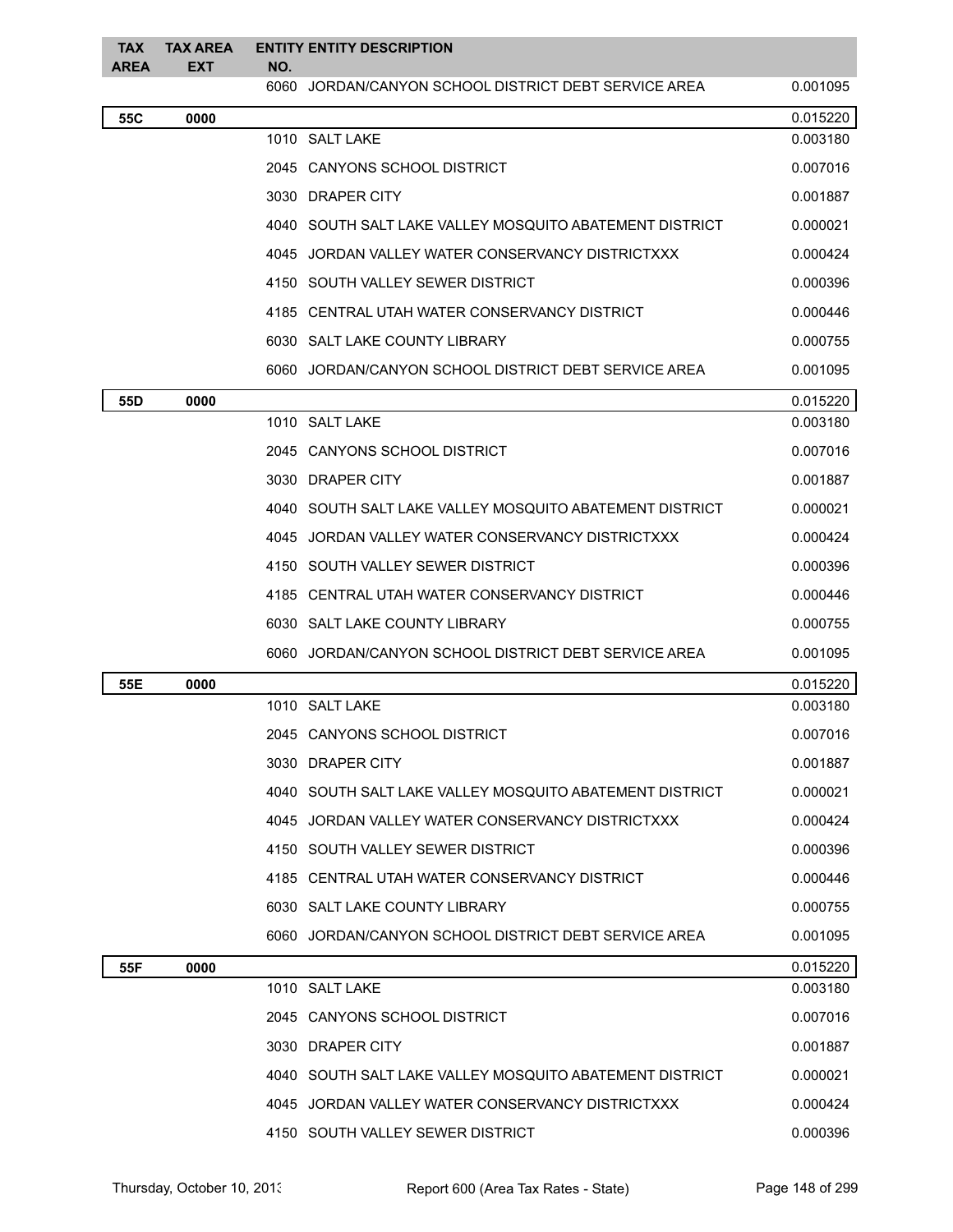| <b>TAX</b><br><b>AREA</b> | <b>TAX AREA</b><br>EXT | <b>ENTITY ENTITY DESCRIPTION</b><br>NO.                 |          |
|---------------------------|------------------------|---------------------------------------------------------|----------|
|                           |                        | 6060<br>JORDAN/CANYON SCHOOL DISTRICT DEBT SERVICE AREA | 0.001095 |
| 55C                       | 0000                   |                                                         | 0.015220 |
|                           |                        | 1010 SALT LAKE                                          | 0.003180 |
|                           |                        | 2045 CANYONS SCHOOL DISTRICT                            | 0.007016 |
|                           |                        | 3030 DRAPER CITY                                        | 0.001887 |
|                           |                        | 4040 SOUTH SALT LAKE VALLEY MOSQUITO ABATEMENT DISTRICT | 0.000021 |
|                           |                        | 4045 JORDAN VALLEY WATER CONSERVANCY DISTRICTXXX        | 0.000424 |
|                           |                        | 4150 SOUTH VALLEY SEWER DISTRICT                        | 0.000396 |
|                           |                        | 4185 CENTRAL UTAH WATER CONSERVANCY DISTRICT            | 0.000446 |
|                           |                        | 6030 SALT LAKE COUNTY LIBRARY                           | 0.000755 |
|                           |                        | 6060 JORDAN/CANYON SCHOOL DISTRICT DEBT SERVICE AREA    | 0.001095 |
| 55D                       | 0000                   |                                                         | 0.015220 |
|                           |                        | 1010 SALT LAKE                                          | 0.003180 |
|                           |                        | 2045 CANYONS SCHOOL DISTRICT                            | 0.007016 |
|                           |                        | 3030 DRAPER CITY                                        | 0.001887 |
|                           |                        | 4040 SOUTH SALT LAKE VALLEY MOSQUITO ABATEMENT DISTRICT | 0.000021 |
|                           |                        | 4045 JORDAN VALLEY WATER CONSERVANCY DISTRICTXXX        | 0.000424 |
|                           |                        | 4150 SOUTH VALLEY SEWER DISTRICT                        | 0.000396 |
|                           |                        | 4185 CENTRAL UTAH WATER CONSERVANCY DISTRICT            | 0.000446 |
|                           |                        | 6030 SALT LAKE COUNTY LIBRARY                           | 0.000755 |
|                           |                        | 6060 JORDAN/CANYON SCHOOL DISTRICT DEBT SERVICE AREA    | 0.001095 |
| 55E                       | 0000                   |                                                         | 0.015220 |
|                           |                        | 1010 SALT LAKE                                          | 0.003180 |
|                           |                        | 2045 CANYONS SCHOOL DISTRICT                            | 0.007016 |
|                           |                        | 3030 DRAPER CITY                                        | 0.001887 |
|                           |                        | 4040 SOUTH SALT LAKE VALLEY MOSQUITO ABATEMENT DISTRICT | 0.000021 |
|                           |                        | 4045 JORDAN VALLEY WATER CONSERVANCY DISTRICTXXX        | 0.000424 |
|                           |                        | 4150 SOUTH VALLEY SEWER DISTRICT                        | 0.000396 |
|                           |                        | 4185 CENTRAL UTAH WATER CONSERVANCY DISTRICT            | 0.000446 |
|                           |                        | 6030 SALT LAKE COUNTY LIBRARY                           | 0.000755 |
|                           |                        | 6060 JORDAN/CANYON SCHOOL DISTRICT DEBT SERVICE AREA    | 0.001095 |
| 55F                       | 0000                   |                                                         | 0.015220 |
|                           |                        | 1010 SALT LAKE                                          | 0.003180 |
|                           |                        | 2045 CANYONS SCHOOL DISTRICT                            | 0.007016 |
|                           |                        | 3030 DRAPER CITY                                        | 0.001887 |
|                           |                        | 4040 SOUTH SALT LAKE VALLEY MOSQUITO ABATEMENT DISTRICT | 0.000021 |
|                           |                        | 4045 JORDAN VALLEY WATER CONSERVANCY DISTRICTXXX        | 0.000424 |
|                           |                        | 4150 SOUTH VALLEY SEWER DISTRICT                        | 0.000396 |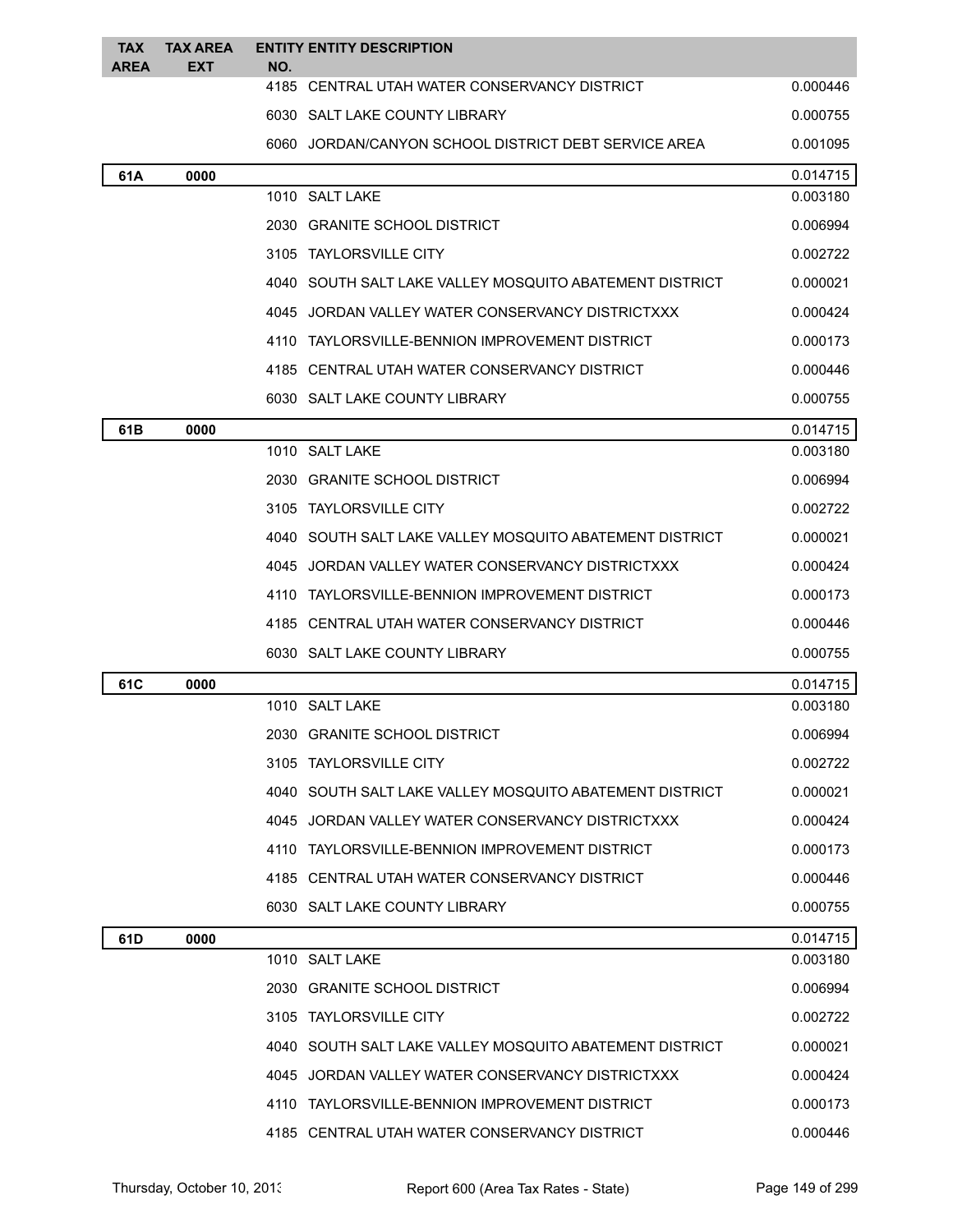| <b>TAX</b><br><b>AREA</b> | <b>TAX AREA</b><br><b>EXT</b> | NO. | <b>ENTITY ENTITY DESCRIPTION</b>                        |          |
|---------------------------|-------------------------------|-----|---------------------------------------------------------|----------|
|                           |                               |     | 4185 CENTRAL UTAH WATER CONSERVANCY DISTRICT            | 0.000446 |
|                           |                               |     | 6030 SALT LAKE COUNTY LIBRARY                           | 0.000755 |
|                           |                               |     | 6060 JORDAN/CANYON SCHOOL DISTRICT DEBT SERVICE AREA    | 0.001095 |
| 61A                       | 0000                          |     |                                                         | 0.014715 |
|                           |                               |     | 1010 SALT LAKE                                          | 0.003180 |
|                           |                               |     | 2030 GRANITE SCHOOL DISTRICT                            | 0.006994 |
|                           |                               |     | 3105 TAYLORSVILLE CITY                                  | 0.002722 |
|                           |                               |     | 4040 SOUTH SALT LAKE VALLEY MOSQUITO ABATEMENT DISTRICT | 0.000021 |
|                           |                               |     | 4045 JORDAN VALLEY WATER CONSERVANCY DISTRICTXXX        | 0.000424 |
|                           |                               |     | 4110 TAYLORSVILLE-BENNION IMPROVEMENT DISTRICT          | 0.000173 |
|                           |                               |     | 4185 CENTRAL UTAH WATER CONSERVANCY DISTRICT            | 0.000446 |
|                           |                               |     | 6030 SALT LAKE COUNTY LIBRARY                           | 0.000755 |
| 61B                       | 0000                          |     |                                                         | 0.014715 |
|                           |                               |     | 1010 SALT LAKE                                          | 0.003180 |
|                           |                               |     | 2030 GRANITE SCHOOL DISTRICT                            | 0.006994 |
|                           |                               |     | 3105 TAYLORSVILLE CITY                                  | 0.002722 |
|                           |                               |     | 4040 SOUTH SALT LAKE VALLEY MOSQUITO ABATEMENT DISTRICT | 0.000021 |
|                           |                               |     | 4045 JORDAN VALLEY WATER CONSERVANCY DISTRICTXXX        | 0.000424 |
|                           |                               |     | 4110 TAYLORSVILLE-BENNION IMPROVEMENT DISTRICT          | 0.000173 |
|                           |                               |     | 4185 CENTRAL UTAH WATER CONSERVANCY DISTRICT            | 0.000446 |
|                           |                               |     | 6030 SALT LAKE COUNTY LIBRARY                           | 0.000755 |
| 61C                       | 0000                          |     |                                                         | 0.014715 |
|                           |                               |     | 1010 SALT LAKE                                          | 0.003180 |
|                           |                               |     | 2030 GRANITE SCHOOL DISTRICT                            | 0.006994 |
|                           |                               |     | 3105 TAYLORSVILLE CITY                                  | 0.002722 |
|                           |                               |     | 4040 SOUTH SALT LAKE VALLEY MOSQUITO ABATEMENT DISTRICT | 0.000021 |
|                           |                               |     | 4045 JORDAN VALLEY WATER CONSERVANCY DISTRICTXXX        | 0.000424 |
|                           |                               |     | 4110 TAYLORSVILLE-BENNION IMPROVEMENT DISTRICT          | 0.000173 |
|                           |                               |     | 4185 CENTRAL UTAH WATER CONSERVANCY DISTRICT            | 0.000446 |
|                           |                               |     | 6030 SALT LAKE COUNTY LIBRARY                           | 0.000755 |
| 61D                       | 0000                          |     |                                                         | 0.014715 |
|                           |                               |     | 1010 SALT LAKE                                          | 0.003180 |
|                           |                               |     | 2030 GRANITE SCHOOL DISTRICT                            | 0.006994 |
|                           |                               |     | 3105 TAYLORSVILLE CITY                                  | 0.002722 |
|                           |                               |     | 4040 SOUTH SALT LAKE VALLEY MOSQUITO ABATEMENT DISTRICT | 0.000021 |
|                           |                               |     | 4045 JORDAN VALLEY WATER CONSERVANCY DISTRICTXXX        | 0.000424 |
|                           |                               |     | 4110 TAYLORSVILLE-BENNION IMPROVEMENT DISTRICT          | 0.000173 |
|                           |                               |     | 4185 CENTRAL UTAH WATER CONSERVANCY DISTRICT            | 0.000446 |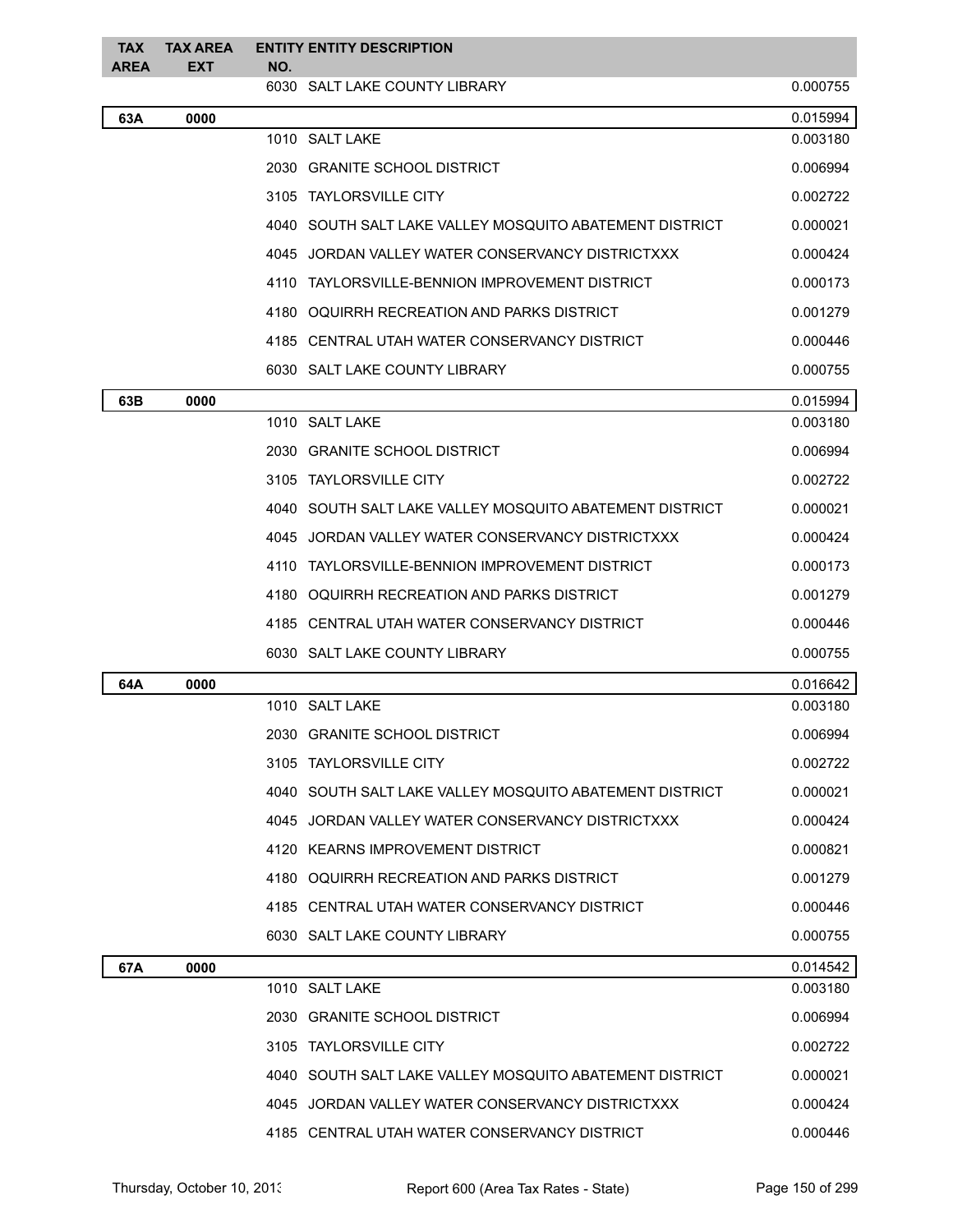| TAX<br><b>AREA</b> | <b>TAX AREA</b><br>EXT | <b>ENTITY ENTITY DESCRIPTION</b><br>NO.                 |          |
|--------------------|------------------------|---------------------------------------------------------|----------|
|                    |                        | 6030 SALT LAKE COUNTY LIBRARY                           | 0.000755 |
| 63A                | 0000                   |                                                         | 0.015994 |
|                    |                        | 1010 SALT LAKE                                          | 0.003180 |
|                    |                        | 2030 GRANITE SCHOOL DISTRICT                            | 0.006994 |
|                    |                        | 3105 TAYLORSVILLE CITY                                  | 0.002722 |
|                    |                        | 4040 SOUTH SALT LAKE VALLEY MOSQUITO ABATEMENT DISTRICT | 0.000021 |
|                    |                        | 4045 JORDAN VALLEY WATER CONSERVANCY DISTRICTXXX        | 0.000424 |
|                    |                        | 4110 TAYLORSVILLE-BENNION IMPROVEMENT DISTRICT          | 0.000173 |
|                    |                        | 4180 OQUIRRH RECREATION AND PARKS DISTRICT              | 0.001279 |
|                    |                        | 4185 CENTRAL UTAH WATER CONSERVANCY DISTRICT            | 0.000446 |
|                    |                        | 6030 SALT LAKE COUNTY LIBRARY                           | 0.000755 |
| 63B                | 0000                   |                                                         | 0.015994 |
|                    |                        | 1010 SALT LAKE                                          | 0.003180 |
|                    |                        | 2030 GRANITE SCHOOL DISTRICT                            | 0.006994 |
|                    |                        | 3105 TAYLORSVILLE CITY                                  | 0.002722 |
|                    |                        | 4040 SOUTH SALT LAKE VALLEY MOSQUITO ABATEMENT DISTRICT | 0.000021 |
|                    |                        | 4045 JORDAN VALLEY WATER CONSERVANCY DISTRICTXXX        | 0.000424 |
|                    |                        | 4110 TAYLORSVILLE-BENNION IMPROVEMENT DISTRICT          | 0.000173 |
|                    |                        | 4180 OQUIRRH RECREATION AND PARKS DISTRICT              | 0.001279 |
|                    |                        | 4185 CENTRAL UTAH WATER CONSERVANCY DISTRICT            | 0.000446 |
|                    |                        | 6030 SALT LAKE COUNTY LIBRARY                           | 0.000755 |
| 64A                | 0000                   |                                                         | 0.016642 |
|                    |                        | 1010 SALT LAKE                                          | 0.003180 |
|                    |                        | 2030 GRANITE SCHOOL DISTRICT                            | 0.006994 |
|                    |                        | 3105 TAYLORSVILLE CITY                                  | 0.002722 |
|                    |                        | 4040 SOUTH SALT LAKE VALLEY MOSQUITO ABATEMENT DISTRICT | 0.000021 |
|                    |                        | 4045 JORDAN VALLEY WATER CONSERVANCY DISTRICTXXX        | 0.000424 |
|                    |                        | 4120 KEARNS IMPROVEMENT DISTRICT                        | 0.000821 |
|                    |                        | 4180 OQUIRRH RECREATION AND PARKS DISTRICT              | 0.001279 |
|                    |                        | 4185 CENTRAL UTAH WATER CONSERVANCY DISTRICT            | 0.000446 |
|                    |                        | 6030 SALT LAKE COUNTY LIBRARY                           | 0.000755 |
| 67A                | 0000                   |                                                         | 0.014542 |
|                    |                        | 1010 SALT LAKE                                          | 0.003180 |
|                    |                        | 2030 GRANITE SCHOOL DISTRICT                            | 0.006994 |
|                    |                        | 3105 TAYLORSVILLE CITY                                  | 0.002722 |
|                    |                        | 4040 SOUTH SALT LAKE VALLEY MOSQUITO ABATEMENT DISTRICT | 0.000021 |
|                    |                        | 4045 JORDAN VALLEY WATER CONSERVANCY DISTRICTXXX        | 0.000424 |
|                    |                        | 4185 CENTRAL UTAH WATER CONSERVANCY DISTRICT            | 0.000446 |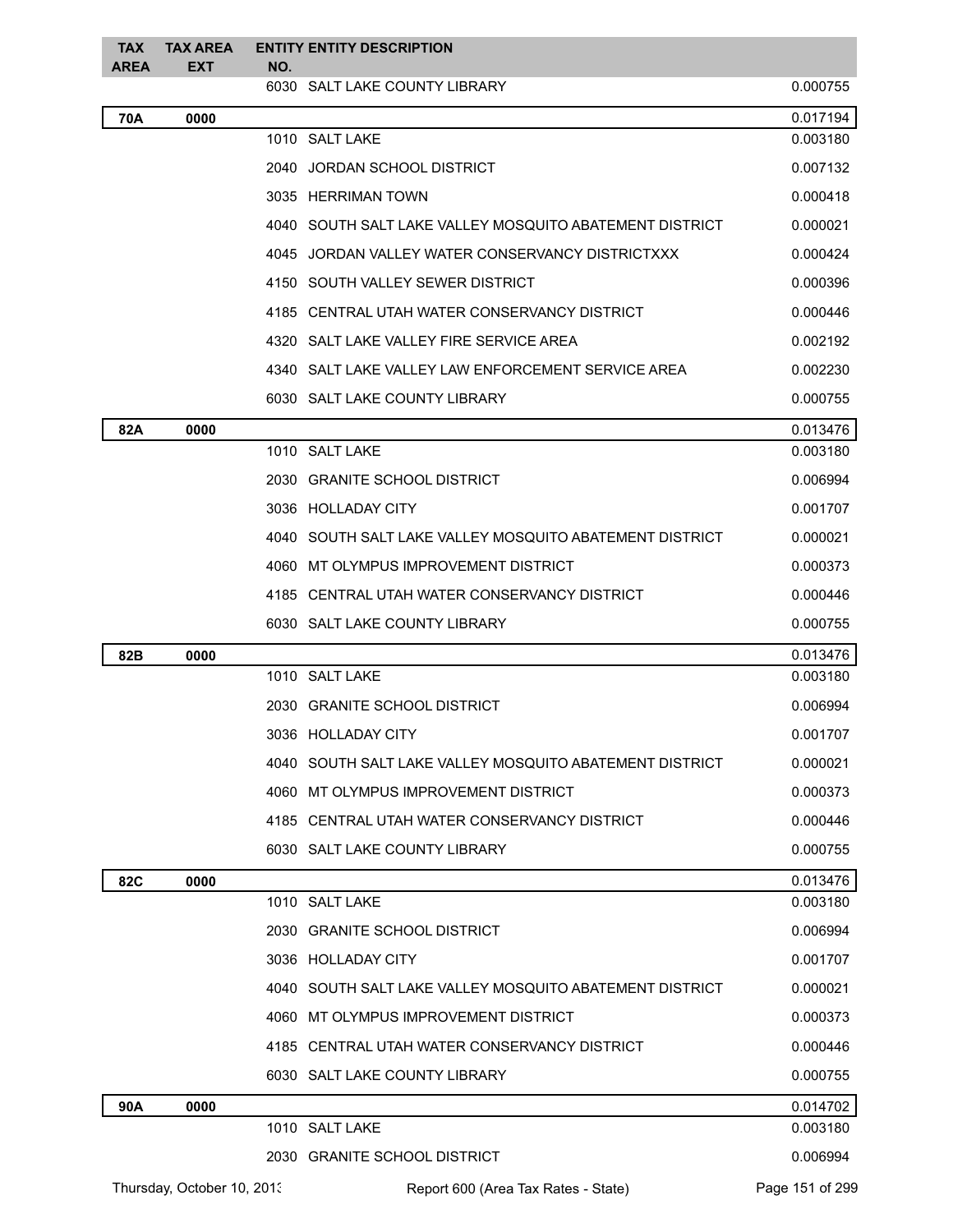| <b>TAX</b><br>AREA | <b>TAX AREA</b><br>EXT     | NO. | <b>ENTITY ENTITY DESCRIPTION</b>                        |                 |
|--------------------|----------------------------|-----|---------------------------------------------------------|-----------------|
|                    |                            |     | 6030 SALT LAKE COUNTY LIBRARY                           | 0.000755        |
| 70A                | 0000                       |     |                                                         | 0.017194        |
|                    |                            |     | 1010 SALT LAKE                                          | 0.003180        |
|                    |                            |     | 2040 JORDAN SCHOOL DISTRICT                             | 0.007132        |
|                    |                            |     | 3035 HERRIMAN TOWN                                      | 0.000418        |
|                    |                            |     | 4040 SOUTH SALT LAKE VALLEY MOSQUITO ABATEMENT DISTRICT | 0.000021        |
|                    |                            |     | 4045 JORDAN VALLEY WATER CONSERVANCY DISTRICTXXX        | 0.000424        |
|                    |                            |     | 4150 SOUTH VALLEY SEWER DISTRICT                        | 0.000396        |
|                    |                            |     | 4185 CENTRAL UTAH WATER CONSERVANCY DISTRICT            | 0.000446        |
|                    |                            |     | 4320 SALT LAKE VALLEY FIRE SERVICE AREA                 | 0.002192        |
|                    |                            |     | 4340 SALT LAKE VALLEY LAW ENFORCEMENT SERVICE AREA      | 0.002230        |
|                    |                            |     | 6030 SALT LAKE COUNTY LIBRARY                           | 0.000755        |
| 82A                | 0000                       |     |                                                         | 0.013476        |
|                    |                            |     | 1010 SALT LAKE                                          | 0.003180        |
|                    |                            |     | 2030 GRANITE SCHOOL DISTRICT                            | 0.006994        |
|                    |                            |     | 3036 HOLLADAY CITY                                      | 0.001707        |
|                    |                            |     | 4040 SOUTH SALT LAKE VALLEY MOSQUITO ABATEMENT DISTRICT | 0.000021        |
|                    |                            |     | 4060 MT OLYMPUS IMPROVEMENT DISTRICT                    | 0.000373        |
|                    |                            |     | 4185 CENTRAL UTAH WATER CONSERVANCY DISTRICT            | 0.000446        |
|                    |                            |     | 6030 SALT LAKE COUNTY LIBRARY                           | 0.000755        |
| 82B                | 0000                       |     |                                                         | 0.013476        |
|                    |                            |     | 1010 SALT LAKE                                          | 0.003180        |
|                    |                            |     | 2030 GRANITE SCHOOL DISTRICT                            | 0.006994        |
|                    |                            |     | 3036 HOLLADAY CITY                                      | 0.001707        |
|                    |                            |     | 4040 SOUTH SALT LAKE VALLEY MOSQUITO ABATEMENT DISTRICT | 0.000021        |
|                    |                            |     | 4060 MT OLYMPUS IMPROVEMENT DISTRICT                    | 0.000373        |
|                    |                            |     | 4185 CENTRAL UTAH WATER CONSERVANCY DISTRICT            | 0.000446        |
|                    |                            |     | 6030 SALT LAKE COUNTY LIBRARY                           | 0.000755        |
| <b>82C</b>         | 0000                       |     |                                                         | 0.013476        |
|                    |                            |     | 1010 SALT LAKE                                          | 0.003180        |
|                    |                            |     | 2030 GRANITE SCHOOL DISTRICT                            | 0.006994        |
|                    |                            |     | 3036 HOLLADAY CITY                                      | 0.001707        |
|                    |                            |     | 4040 SOUTH SALT LAKE VALLEY MOSQUITO ABATEMENT DISTRICT | 0.000021        |
|                    |                            |     | 4060 MT OLYMPUS IMPROVEMENT DISTRICT                    | 0.000373        |
|                    |                            |     | 4185 CENTRAL UTAH WATER CONSERVANCY DISTRICT            | 0.000446        |
|                    |                            |     | 6030 SALT LAKE COUNTY LIBRARY                           | 0.000755        |
| 90A                | 0000                       |     |                                                         | 0.014702        |
|                    |                            |     | 1010 SALT LAKE                                          | 0.003180        |
|                    |                            |     | 2030 GRANITE SCHOOL DISTRICT                            | 0.006994        |
|                    | Thursday, October 10, 2013 |     | Report 600 (Area Tax Rates - State)                     | Page 151 of 299 |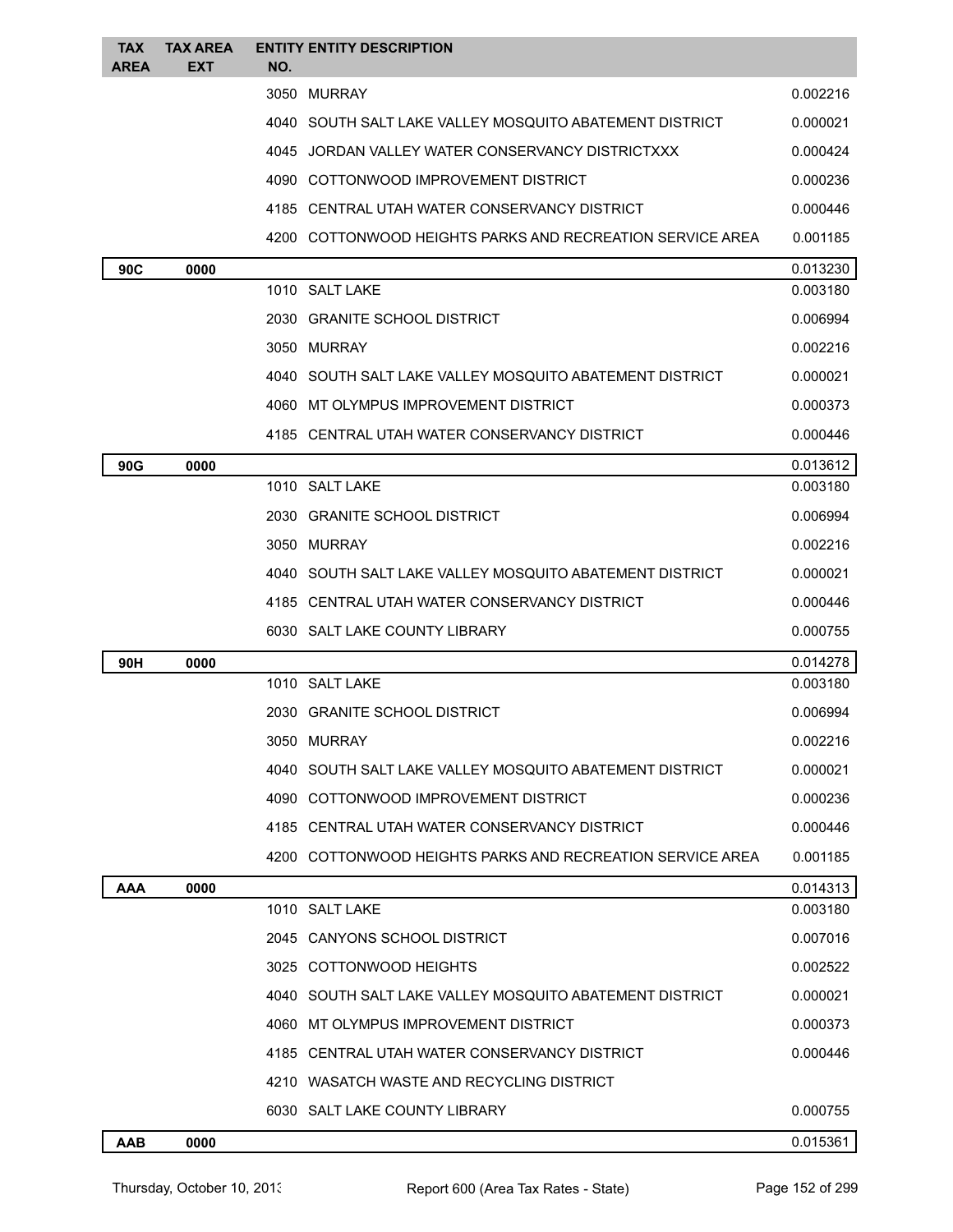| <b>TAX</b><br><b>AREA</b> | <b>TAX AREA</b><br><b>EXT</b> | NO. | <b>ENTITY ENTITY DESCRIPTION</b>                          |          |
|---------------------------|-------------------------------|-----|-----------------------------------------------------------|----------|
|                           |                               |     | 3050 MURRAY                                               | 0.002216 |
|                           |                               |     | 4040 SOUTH SALT LAKE VALLEY MOSQUITO ABATEMENT DISTRICT   | 0.000021 |
|                           |                               |     | 4045 JORDAN VALLEY WATER CONSERVANCY DISTRICTXXX          | 0.000424 |
|                           |                               |     | 4090 COTTONWOOD IMPROVEMENT DISTRICT                      | 0.000236 |
|                           |                               |     | 4185 CENTRAL UTAH WATER CONSERVANCY DISTRICT              | 0.000446 |
|                           |                               |     | 4200 COTTONWOOD HEIGHTS PARKS AND RECREATION SERVICE AREA | 0.001185 |
| 90C                       | 0000                          |     |                                                           | 0.013230 |
|                           |                               |     | 1010 SALT LAKE                                            | 0.003180 |
|                           |                               |     | 2030 GRANITE SCHOOL DISTRICT                              | 0.006994 |
|                           |                               |     | 3050 MURRAY                                               | 0.002216 |
|                           |                               |     | 4040 SOUTH SALT LAKE VALLEY MOSQUITO ABATEMENT DISTRICT   | 0.000021 |
|                           |                               |     | 4060 MT OLYMPUS IMPROVEMENT DISTRICT                      | 0.000373 |
|                           |                               |     | 4185 CENTRAL UTAH WATER CONSERVANCY DISTRICT              | 0.000446 |
| 90G                       | 0000                          |     |                                                           | 0.013612 |
|                           |                               |     | 1010 SALT LAKE                                            | 0.003180 |
|                           |                               |     | 2030 GRANITE SCHOOL DISTRICT                              | 0.006994 |
|                           |                               |     | 3050 MURRAY                                               | 0.002216 |
|                           |                               |     | 4040 SOUTH SALT LAKE VALLEY MOSQUITO ABATEMENT DISTRICT   | 0.000021 |
|                           |                               |     | 4185 CENTRAL UTAH WATER CONSERVANCY DISTRICT              | 0.000446 |
|                           |                               |     | 6030 SALT LAKE COUNTY LIBRARY                             | 0.000755 |
| 90H                       | 0000                          |     |                                                           | 0.014278 |
|                           |                               |     | 1010 SALT LAKE                                            | 0.003180 |
|                           |                               |     | 2030 GRANITE SCHOOL DISTRICT                              | 0.006994 |
|                           |                               |     | 3050 MURRAY                                               | 0.002216 |
|                           |                               |     | 4040 SOUTH SALT LAKE VALLEY MOSQUITO ABATEMENT DISTRICT   | 0.000021 |
|                           |                               |     | 4090 COTTONWOOD IMPROVEMENT DISTRICT                      | 0.000236 |
|                           |                               |     | 4185 CENTRAL UTAH WATER CONSERVANCY DISTRICT              | 0.000446 |
|                           |                               |     | 4200 COTTONWOOD HEIGHTS PARKS AND RECREATION SERVICE AREA | 0.001185 |
| AAA                       | 0000                          |     |                                                           | 0.014313 |
|                           |                               |     | 1010 SALT LAKE                                            | 0.003180 |
|                           |                               |     | 2045 CANYONS SCHOOL DISTRICT                              | 0.007016 |
|                           |                               |     | 3025 COTTONWOOD HEIGHTS                                   | 0.002522 |
|                           |                               |     | 4040 SOUTH SALT LAKE VALLEY MOSQUITO ABATEMENT DISTRICT   | 0.000021 |
|                           |                               |     | 4060 MT OLYMPUS IMPROVEMENT DISTRICT                      | 0.000373 |
|                           |                               |     | 4185 CENTRAL UTAH WATER CONSERVANCY DISTRICT              | 0.000446 |
|                           |                               |     | 4210 WASATCH WASTE AND RECYCLING DISTRICT                 |          |
|                           |                               |     | 6030 SALT LAKE COUNTY LIBRARY                             | 0.000755 |
| AAB                       | 0000                          |     |                                                           | 0.015361 |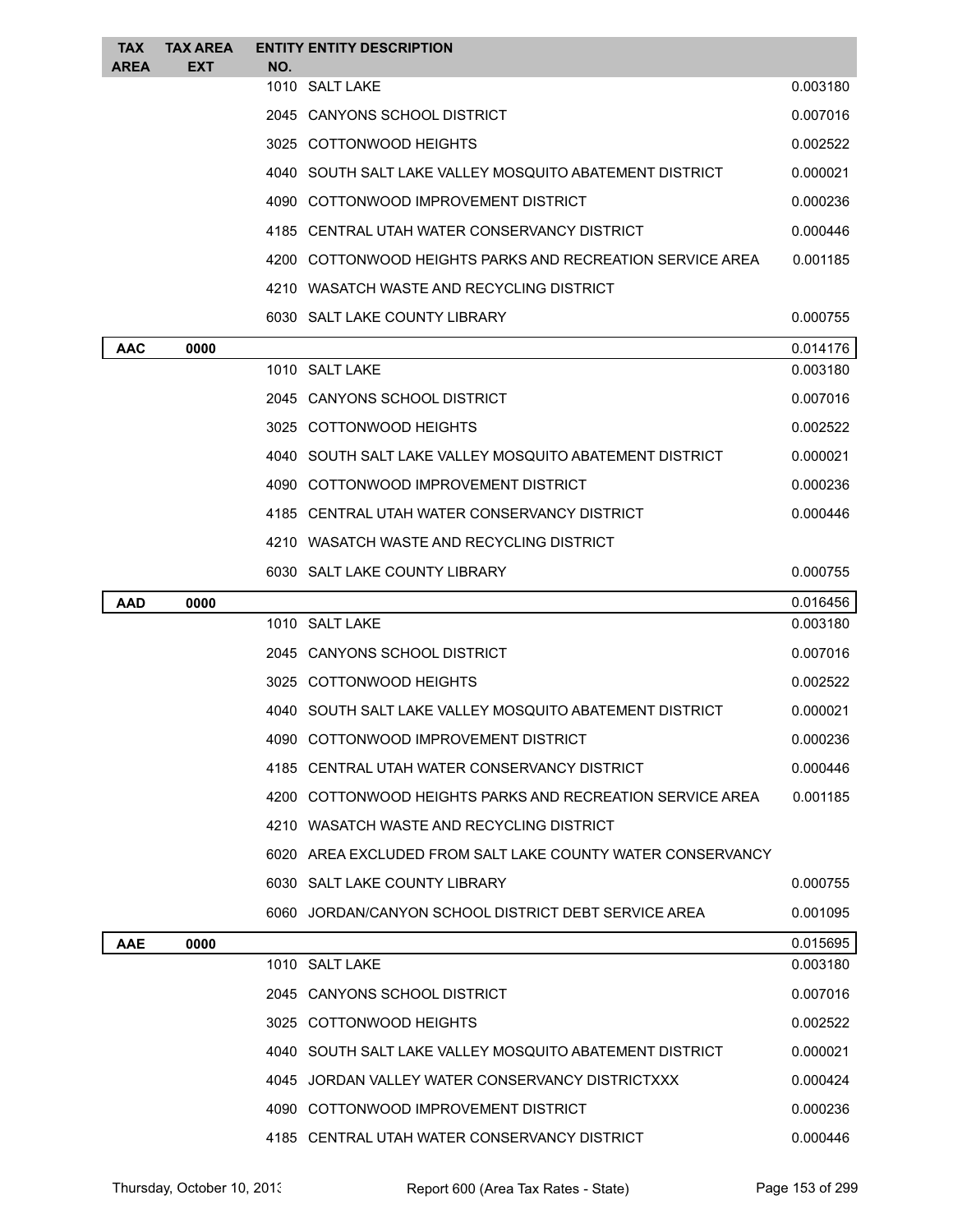| <b>TAX</b><br>AREA | <b>TAX AREA</b><br>EXT | NO. | <b>ENTITY ENTITY DESCRIPTION</b>                           |          |
|--------------------|------------------------|-----|------------------------------------------------------------|----------|
|                    |                        |     | 1010 SALT LAKE                                             | 0.003180 |
|                    |                        |     | 2045 CANYONS SCHOOL DISTRICT                               | 0.007016 |
|                    |                        |     | 3025 COTTONWOOD HEIGHTS                                    | 0.002522 |
|                    |                        |     | 4040 SOUTH SALT LAKE VALLEY MOSQUITO ABATEMENT DISTRICT    | 0.000021 |
|                    |                        |     | 4090 COTTONWOOD IMPROVEMENT DISTRICT                       | 0.000236 |
|                    |                        |     | 4185 CENTRAL UTAH WATER CONSERVANCY DISTRICT               | 0.000446 |
|                    |                        |     | 4200 COTTONWOOD HEIGHTS PARKS AND RECREATION SERVICE AREA  | 0.001185 |
|                    |                        |     | 4210 WASATCH WASTE AND RECYCLING DISTRICT                  |          |
|                    |                        |     | 6030 SALT LAKE COUNTY LIBRARY                              | 0.000755 |
| <b>AAC</b>         | 0000                   |     |                                                            | 0.014176 |
|                    |                        |     | 1010 SALT LAKE                                             | 0.003180 |
|                    |                        |     | 2045 CANYONS SCHOOL DISTRICT                               | 0.007016 |
|                    |                        |     | 3025 COTTONWOOD HEIGHTS                                    | 0.002522 |
|                    |                        |     | 4040 SOUTH SALT LAKE VALLEY MOSQUITO ABATEMENT DISTRICT    | 0.000021 |
|                    |                        |     | 4090 COTTONWOOD IMPROVEMENT DISTRICT                       | 0.000236 |
|                    |                        |     | 4185 CENTRAL UTAH WATER CONSERVANCY DISTRICT               | 0.000446 |
|                    |                        |     | 4210 WASATCH WASTE AND RECYCLING DISTRICT                  |          |
|                    |                        |     | 6030 SALT LAKE COUNTY LIBRARY                              | 0.000755 |
| AAD                | 0000                   |     |                                                            | 0.016456 |
|                    |                        |     | 1010 SALT LAKE                                             | 0.003180 |
|                    |                        |     | 2045 CANYONS SCHOOL DISTRICT                               | 0.007016 |
|                    |                        |     | 3025 COTTONWOOD HEIGHTS                                    | 0.002522 |
|                    |                        |     | 4040 SOUTH SALT LAKE VALLEY MOSQUITO ABATEMENT DISTRICT    | 0.000021 |
|                    |                        |     | 4090 COTTONWOOD IMPROVEMENT DISTRICT                       | 0.000236 |
|                    |                        |     | 4185 CENTRAL UTAH WATER CONSERVANCY DISTRICT               | 0.000446 |
|                    |                        |     | 4200 COTTONWOOD HEIGHTS PARKS AND RECREATION SERVICE AREA  | 0.001185 |
|                    |                        |     | 4210 WASATCH WASTE AND RECYCLING DISTRICT                  |          |
|                    |                        |     | 6020 AREA EXCLUDED FROM SALT LAKE COUNTY WATER CONSERVANCY |          |
|                    |                        |     | 6030 SALT LAKE COUNTY LIBRARY                              | 0.000755 |
|                    |                        |     | 6060 JORDAN/CANYON SCHOOL DISTRICT DEBT SERVICE AREA       | 0.001095 |
| <b>AAE</b>         | 0000                   |     |                                                            | 0.015695 |
|                    |                        |     | 1010 SALT LAKE                                             | 0.003180 |
|                    |                        |     | 2045 CANYONS SCHOOL DISTRICT                               | 0.007016 |
|                    |                        |     | 3025 COTTONWOOD HEIGHTS                                    | 0.002522 |
|                    |                        |     | 4040 SOUTH SALT LAKE VALLEY MOSQUITO ABATEMENT DISTRICT    | 0.000021 |
|                    |                        |     | 4045 JORDAN VALLEY WATER CONSERVANCY DISTRICTXXX           | 0.000424 |
|                    |                        |     | 4090 COTTONWOOD IMPROVEMENT DISTRICT                       | 0.000236 |
|                    |                        |     | 4185 CENTRAL UTAH WATER CONSERVANCY DISTRICT               | 0.000446 |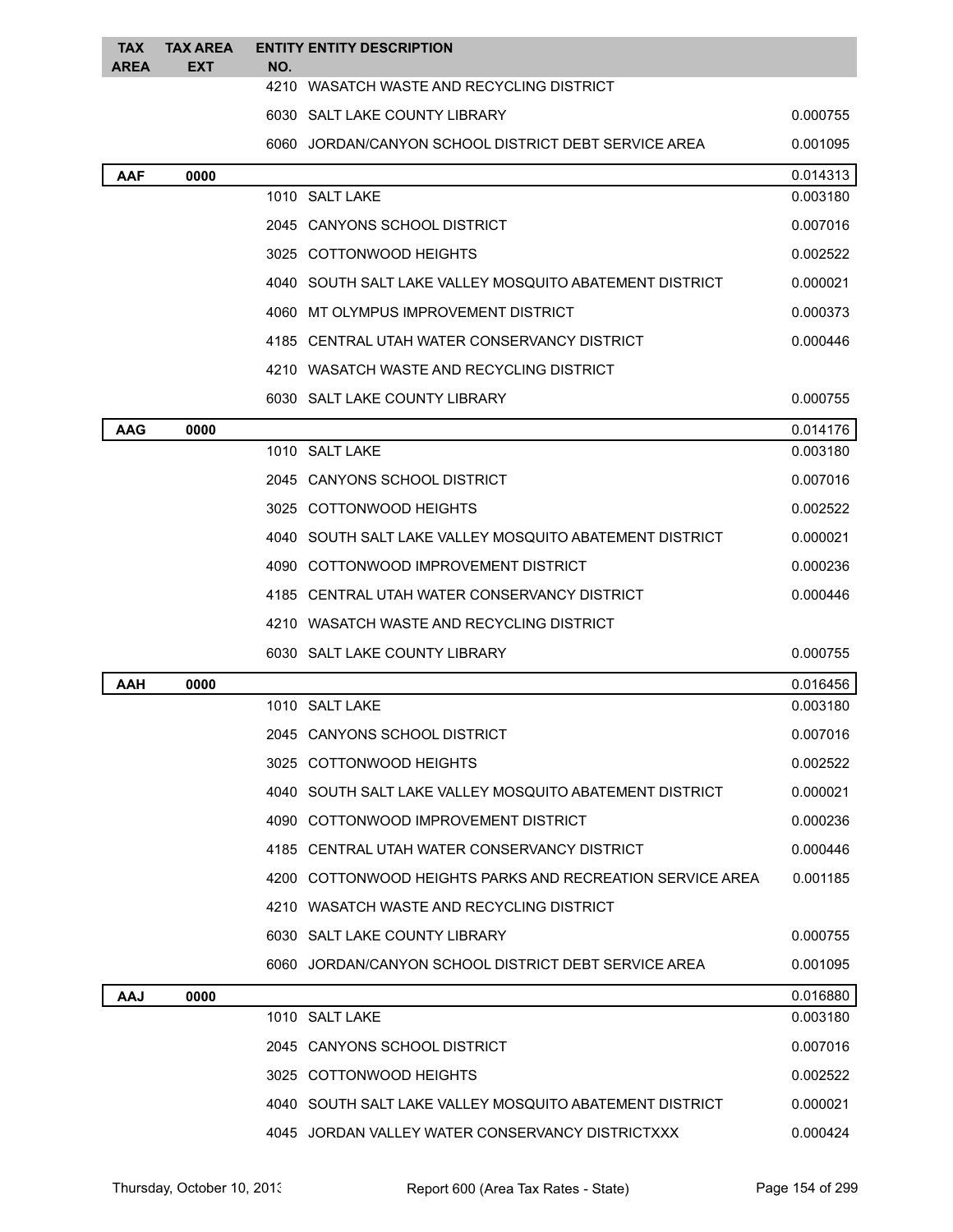| TAX<br><b>AREA</b> | <b>TAX AREA</b><br><b>EXT</b> | NO. | <b>ENTITY ENTITY DESCRIPTION</b>                          |          |
|--------------------|-------------------------------|-----|-----------------------------------------------------------|----------|
|                    |                               |     | 4210 WASATCH WASTE AND RECYCLING DISTRICT                 |          |
|                    |                               |     | 6030 SALT LAKE COUNTY LIBRARY                             | 0.000755 |
|                    |                               |     | 6060 JORDAN/CANYON SCHOOL DISTRICT DEBT SERVICE AREA      | 0.001095 |
| <b>AAF</b>         | 0000                          |     |                                                           | 0.014313 |
|                    |                               |     | 1010 SALT LAKE                                            | 0.003180 |
|                    |                               |     | 2045 CANYONS SCHOOL DISTRICT                              | 0.007016 |
|                    |                               |     | 3025 COTTONWOOD HEIGHTS                                   | 0.002522 |
|                    |                               |     | 4040 SOUTH SALT LAKE VALLEY MOSQUITO ABATEMENT DISTRICT   | 0.000021 |
|                    |                               |     | 4060 MT OLYMPUS IMPROVEMENT DISTRICT                      | 0.000373 |
|                    |                               |     | 4185 CENTRAL UTAH WATER CONSERVANCY DISTRICT              | 0.000446 |
|                    |                               |     | 4210 WASATCH WASTE AND RECYCLING DISTRICT                 |          |
|                    |                               |     | 6030 SALT LAKE COUNTY LIBRARY                             | 0.000755 |
| <b>AAG</b>         | 0000                          |     |                                                           | 0.014176 |
|                    |                               |     | 1010 SALT LAKE                                            | 0.003180 |
|                    |                               |     | 2045 CANYONS SCHOOL DISTRICT                              | 0.007016 |
|                    |                               |     | 3025 COTTONWOOD HEIGHTS                                   | 0.002522 |
|                    |                               |     | 4040 SOUTH SALT LAKE VALLEY MOSQUITO ABATEMENT DISTRICT   | 0.000021 |
|                    |                               |     | 4090 COTTONWOOD IMPROVEMENT DISTRICT                      | 0.000236 |
|                    |                               |     | 4185 CENTRAL UTAH WATER CONSERVANCY DISTRICT              | 0.000446 |
|                    |                               |     | 4210 WASATCH WASTE AND RECYCLING DISTRICT                 |          |
|                    |                               |     | 6030 SALT LAKE COUNTY LIBRARY                             | 0.000755 |
| AAH                | 0000                          |     |                                                           | 0.016456 |
|                    |                               |     | 1010 SALT LAKE                                            | 0.003180 |
|                    |                               |     | 2045 CANYONS SCHOOL DISTRICT                              | 0.007016 |
|                    |                               |     | 3025 COTTONWOOD HEIGHTS                                   | 0.002522 |
|                    |                               |     | 4040 SOUTH SALT LAKE VALLEY MOSQUITO ABATEMENT DISTRICT   | 0.000021 |
|                    |                               |     | 4090 COTTONWOOD IMPROVEMENT DISTRICT                      | 0.000236 |
|                    |                               |     | 4185 CENTRAL UTAH WATER CONSERVANCY DISTRICT              | 0.000446 |
|                    |                               |     | 4200 COTTONWOOD HEIGHTS PARKS AND RECREATION SERVICE AREA | 0.001185 |
|                    |                               |     | 4210 WASATCH WASTE AND RECYCLING DISTRICT                 |          |
|                    |                               |     | 6030 SALT LAKE COUNTY LIBRARY                             | 0.000755 |
|                    |                               |     | 6060 JORDAN/CANYON SCHOOL DISTRICT DEBT SERVICE AREA      | 0.001095 |
| AAJ                | 0000                          |     |                                                           | 0.016880 |
|                    |                               |     | 1010 SALT LAKE                                            | 0.003180 |
|                    |                               |     | 2045 CANYONS SCHOOL DISTRICT                              | 0.007016 |
|                    |                               |     | 3025 COTTONWOOD HEIGHTS                                   | 0.002522 |
|                    |                               |     | 4040 SOUTH SALT LAKE VALLEY MOSQUITO ABATEMENT DISTRICT   | 0.000021 |
|                    |                               |     | 4045 JORDAN VALLEY WATER CONSERVANCY DISTRICTXXX          | 0.000424 |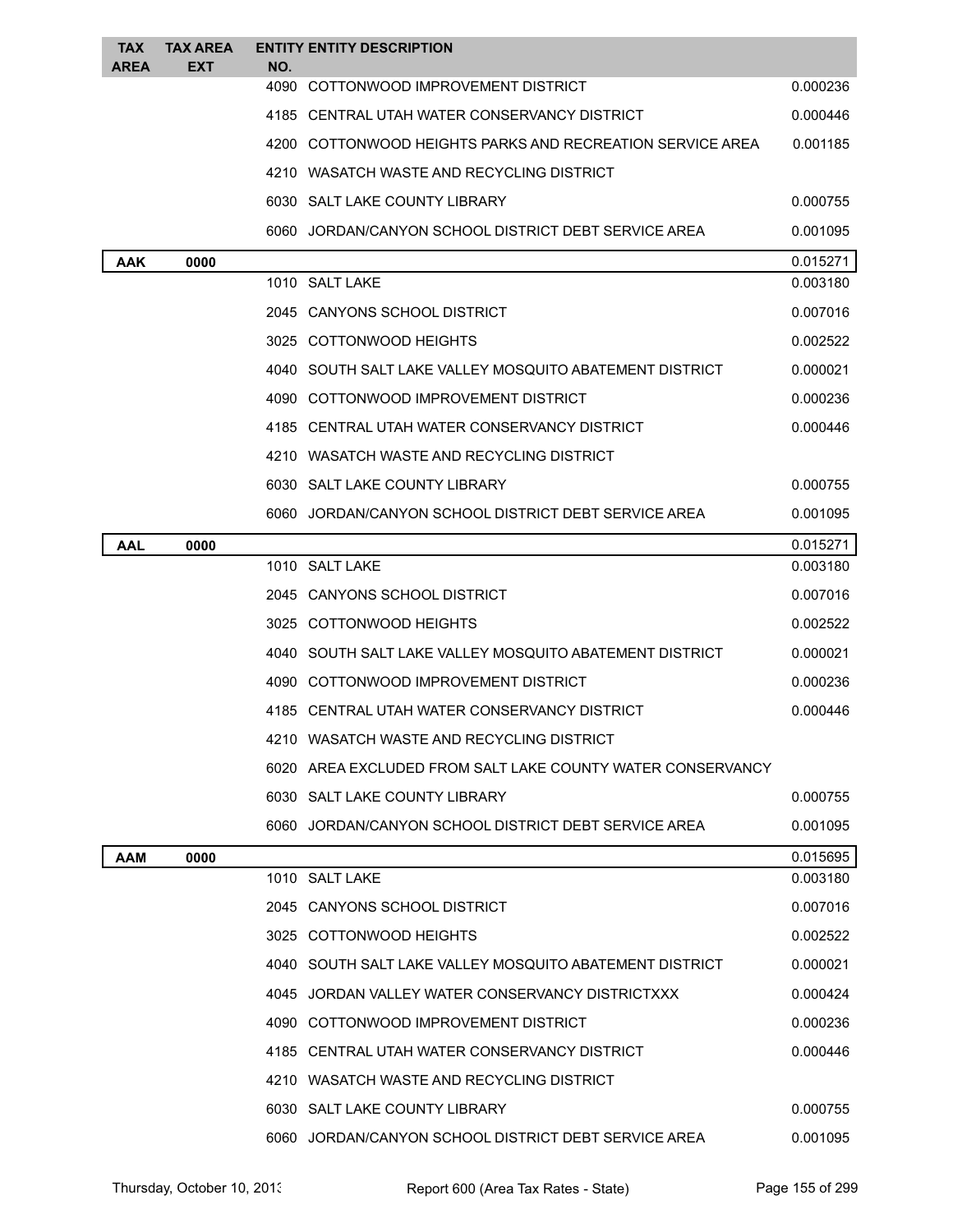| TAX<br><b>AREA</b> | <b>TAX AREA</b><br><b>EXT</b> | NO. | <b>ENTITY ENTITY DESCRIPTION</b>                           |          |
|--------------------|-------------------------------|-----|------------------------------------------------------------|----------|
|                    |                               |     | 4090 COTTONWOOD IMPROVEMENT DISTRICT                       | 0.000236 |
|                    |                               |     | 4185 CENTRAL UTAH WATER CONSERVANCY DISTRICT               | 0.000446 |
|                    |                               |     | 4200 COTTONWOOD HEIGHTS PARKS AND RECREATION SERVICE AREA  | 0.001185 |
|                    |                               |     | 4210 WASATCH WASTE AND RECYCLING DISTRICT                  |          |
|                    |                               |     | 6030 SALT LAKE COUNTY LIBRARY                              | 0.000755 |
|                    |                               |     | 6060 JORDAN/CANYON SCHOOL DISTRICT DEBT SERVICE AREA       | 0.001095 |
| AAK                | 0000                          |     |                                                            | 0.015271 |
|                    |                               |     | 1010 SALT LAKE                                             | 0.003180 |
|                    |                               |     | 2045 CANYONS SCHOOL DISTRICT                               | 0.007016 |
|                    |                               |     | 3025 COTTONWOOD HEIGHTS                                    | 0.002522 |
|                    |                               |     | 4040 SOUTH SALT LAKE VALLEY MOSQUITO ABATEMENT DISTRICT    | 0.000021 |
|                    |                               |     | 4090 COTTONWOOD IMPROVEMENT DISTRICT                       | 0.000236 |
|                    |                               |     | 4185 CENTRAL UTAH WATER CONSERVANCY DISTRICT               | 0.000446 |
|                    |                               |     | 4210 WASATCH WASTE AND RECYCLING DISTRICT                  |          |
|                    |                               |     | 6030 SALT LAKE COUNTY LIBRARY                              | 0.000755 |
|                    |                               |     | 6060 JORDAN/CANYON SCHOOL DISTRICT DEBT SERVICE AREA       | 0.001095 |
| <b>AAL</b>         | 0000                          |     |                                                            | 0.015271 |
|                    |                               |     | 1010 SALT LAKE                                             | 0.003180 |
|                    |                               |     | 2045 CANYONS SCHOOL DISTRICT                               | 0.007016 |
|                    |                               |     | 3025 COTTONWOOD HEIGHTS                                    | 0.002522 |
|                    |                               |     | 4040 SOUTH SALT LAKE VALLEY MOSQUITO ABATEMENT DISTRICT    | 0.000021 |
|                    |                               |     | 4090 COTTONWOOD IMPROVEMENT DISTRICT                       | 0.000236 |
|                    |                               |     | 4185 CENTRAL UTAH WATER CONSERVANCY DISTRICT               | 0.000446 |
|                    |                               |     | 4210 WASATCH WASTE AND RECYCLING DISTRICT                  |          |
|                    |                               |     | 6020 AREA EXCLUDED FROM SALT LAKE COUNTY WATER CONSERVANCY |          |
|                    |                               |     | 6030 SALT LAKE COUNTY LIBRARY                              | 0.000755 |
|                    |                               |     | 6060 JORDAN/CANYON SCHOOL DISTRICT DEBT SERVICE AREA       | 0.001095 |
| <b>AAM</b>         | 0000                          |     |                                                            | 0.015695 |
|                    |                               |     | 1010 SALT LAKE                                             | 0.003180 |
|                    |                               |     | 2045 CANYONS SCHOOL DISTRICT                               | 0.007016 |
|                    |                               |     | 3025 COTTONWOOD HEIGHTS                                    | 0.002522 |
|                    |                               |     | 4040 SOUTH SALT LAKE VALLEY MOSQUITO ABATEMENT DISTRICT    | 0.000021 |
|                    |                               |     | 4045 JORDAN VALLEY WATER CONSERVANCY DISTRICTXXX           | 0.000424 |
|                    |                               |     | 4090 COTTONWOOD IMPROVEMENT DISTRICT                       | 0.000236 |
|                    |                               |     | 4185 CENTRAL UTAH WATER CONSERVANCY DISTRICT               | 0.000446 |
|                    |                               |     | 4210 WASATCH WASTE AND RECYCLING DISTRICT                  |          |
|                    |                               |     | 6030 SALT LAKE COUNTY LIBRARY                              | 0.000755 |
|                    |                               |     | 6060 JORDAN/CANYON SCHOOL DISTRICT DEBT SERVICE AREA       | 0.001095 |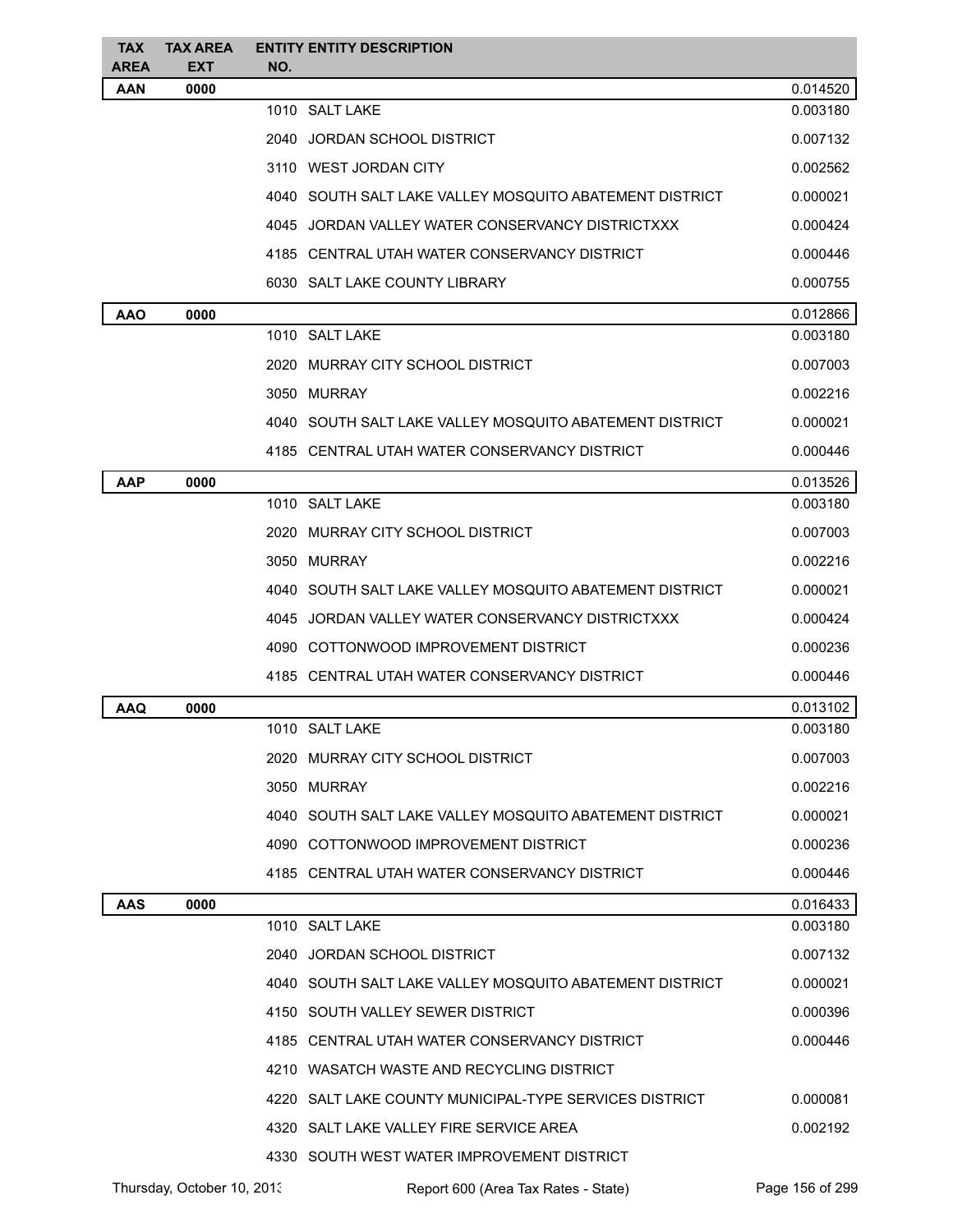| <b>TAX</b><br><b>AREA</b> | <b>TAX AREA</b><br><b>EXT</b> | NO.  | <b>ENTITY ENTITY DESCRIPTION</b>                        |                 |
|---------------------------|-------------------------------|------|---------------------------------------------------------|-----------------|
| AAN                       | 0000                          |      |                                                         | 0.014520        |
|                           |                               |      | 1010 SALT LAKE                                          | 0.003180        |
|                           |                               | 2040 | JORDAN SCHOOL DISTRICT                                  | 0.007132        |
|                           |                               |      | 3110 WEST JORDAN CITY                                   | 0.002562        |
|                           |                               |      | 4040 SOUTH SALT LAKE VALLEY MOSQUITO ABATEMENT DISTRICT | 0.000021        |
|                           |                               |      | 4045 JORDAN VALLEY WATER CONSERVANCY DISTRICTXXX        | 0.000424        |
|                           |                               |      | 4185 CENTRAL UTAH WATER CONSERVANCY DISTRICT            | 0.000446        |
|                           |                               |      | 6030 SALT LAKE COUNTY LIBRARY                           | 0.000755        |
| AAO                       | 0000                          |      |                                                         | 0.012866        |
|                           |                               |      | 1010 SALT LAKE                                          | 0.003180        |
|                           |                               |      | 2020 MURRAY CITY SCHOOL DISTRICT                        | 0.007003        |
|                           |                               |      | 3050 MURRAY                                             | 0.002216        |
|                           |                               |      | 4040 SOUTH SALT LAKE VALLEY MOSQUITO ABATEMENT DISTRICT | 0.000021        |
|                           |                               |      | 4185 CENTRAL UTAH WATER CONSERVANCY DISTRICT            | 0.000446        |
| <b>AAP</b>                | 0000                          |      |                                                         | 0.013526        |
|                           |                               |      | 1010 SALT LAKE                                          | 0.003180        |
|                           |                               |      | 2020 MURRAY CITY SCHOOL DISTRICT                        | 0.007003        |
|                           |                               |      | 3050 MURRAY                                             | 0.002216        |
|                           |                               |      | 4040 SOUTH SALT LAKE VALLEY MOSQUITO ABATEMENT DISTRICT | 0.000021        |
|                           |                               |      | 4045 JORDAN VALLEY WATER CONSERVANCY DISTRICTXXX        | 0.000424        |
|                           |                               |      | 4090 COTTONWOOD IMPROVEMENT DISTRICT                    | 0.000236        |
|                           |                               |      | 4185 CENTRAL UTAH WATER CONSERVANCY DISTRICT            | 0.000446        |
| AAQ                       | 0000                          |      |                                                         | 0.013102        |
|                           |                               |      | 1010 SALT LAKE                                          | 0.003180        |
|                           |                               |      | 2020 MURRAY CITY SCHOOL DISTRICT                        | 0.007003        |
|                           |                               |      | 3050 MURRAY                                             | 0.002216        |
|                           |                               |      | 4040 SOUTH SALT LAKE VALLEY MOSQUITO ABATEMENT DISTRICT | 0.000021        |
|                           |                               |      | 4090 COTTONWOOD IMPROVEMENT DISTRICT                    | 0.000236        |
|                           |                               |      | 4185 CENTRAL UTAH WATER CONSERVANCY DISTRICT            | 0.000446        |
| <b>AAS</b>                | 0000                          |      |                                                         | 0.016433        |
|                           |                               |      | 1010 SALT LAKE                                          | 0.003180        |
|                           |                               | 2040 | JORDAN SCHOOL DISTRICT                                  | 0.007132        |
|                           |                               |      | 4040 SOUTH SALT LAKE VALLEY MOSQUITO ABATEMENT DISTRICT | 0.000021        |
|                           |                               |      | 4150 SOUTH VALLEY SEWER DISTRICT                        | 0.000396        |
|                           |                               |      | 4185 CENTRAL UTAH WATER CONSERVANCY DISTRICT            | 0.000446        |
|                           |                               |      | 4210 WASATCH WASTE AND RECYCLING DISTRICT               |                 |
|                           |                               |      | 4220 SALT LAKE COUNTY MUNICIPAL-TYPE SERVICES DISTRICT  | 0.000081        |
|                           |                               |      | 4320 SALT LAKE VALLEY FIRE SERVICE AREA                 | 0.002192        |
|                           |                               |      | 4330 SOUTH WEST WATER IMPROVEMENT DISTRICT              |                 |
|                           | Thursday, October 10, 2013    |      | Report 600 (Area Tax Rates - State)                     | Page 156 of 299 |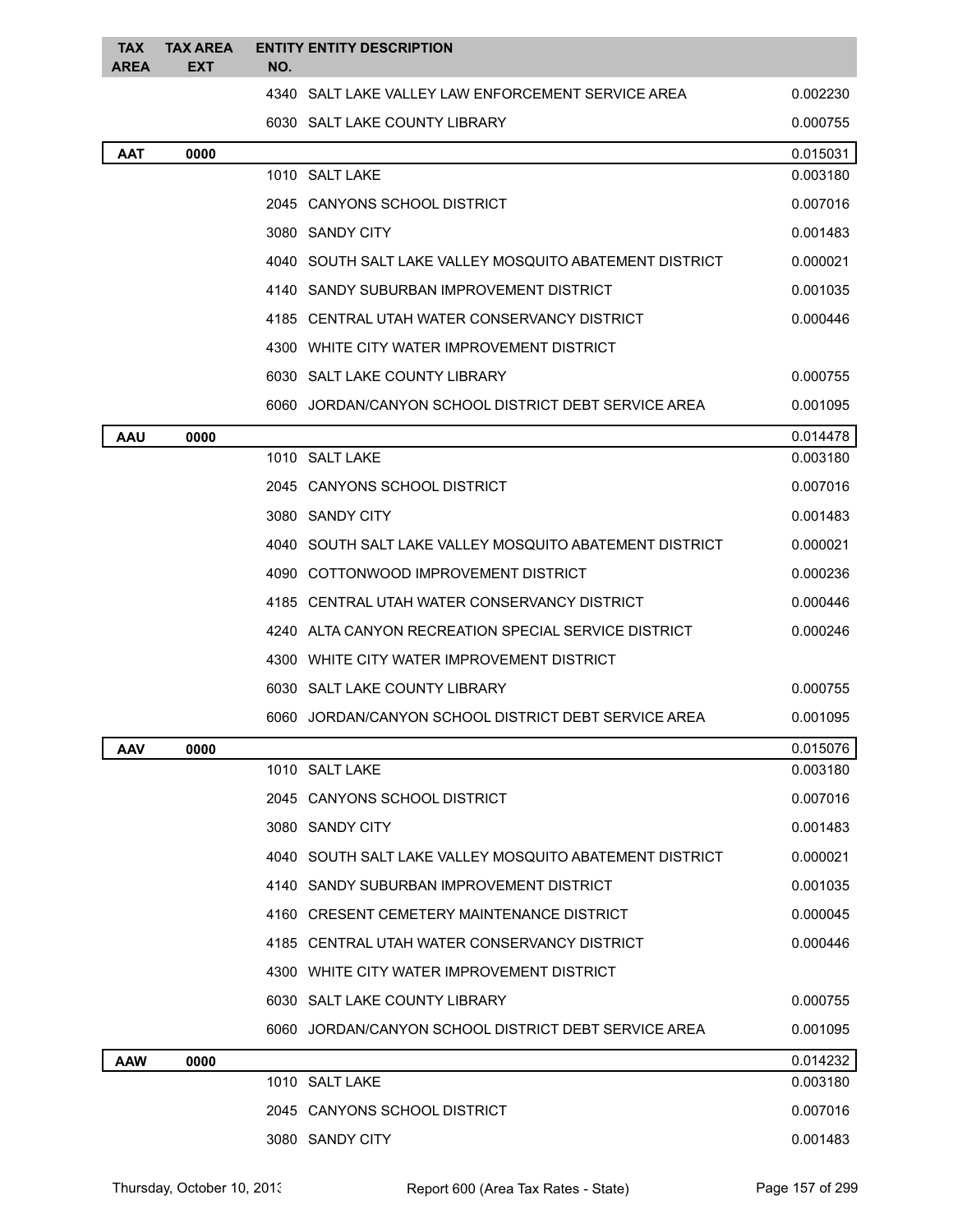| <b>TAX</b><br><b>AREA</b> | <b>TAX AREA</b><br>EXT | NO. | <b>ENTITY ENTITY DESCRIPTION</b>                          |          |
|---------------------------|------------------------|-----|-----------------------------------------------------------|----------|
|                           |                        |     | 4340 SALT LAKE VALLEY LAW ENFORCEMENT SERVICE AREA        | 0.002230 |
|                           |                        |     | 6030 SALT LAKE COUNTY LIBRARY                             | 0.000755 |
| AAT                       | 0000                   |     |                                                           | 0.015031 |
|                           |                        |     | 1010 SALT LAKE                                            | 0.003180 |
|                           |                        |     | 2045 CANYONS SCHOOL DISTRICT                              | 0.007016 |
|                           |                        |     | 3080 SANDY CITY                                           | 0.001483 |
|                           |                        |     | 4040 SOUTH SALT LAKE VALLEY MOSQUITO ABATEMENT DISTRICT   | 0.000021 |
|                           |                        |     | 4140 SANDY SUBURBAN IMPROVEMENT DISTRICT                  | 0.001035 |
|                           |                        |     | 4185 CENTRAL UTAH WATER CONSERVANCY DISTRICT              | 0.000446 |
|                           |                        |     | 4300 WHITE CITY WATER IMPROVEMENT DISTRICT                |          |
|                           |                        |     | 6030 SALT LAKE COUNTY LIBRARY                             | 0.000755 |
|                           |                        |     | 6060 JORDAN/CANYON SCHOOL DISTRICT DEBT SERVICE AREA      | 0.001095 |
| AAU                       | 0000                   |     |                                                           | 0.014478 |
|                           |                        |     | 1010 SALT LAKE                                            | 0.003180 |
|                           |                        |     | 2045 CANYONS SCHOOL DISTRICT                              | 0.007016 |
|                           |                        |     | 3080 SANDY CITY                                           | 0.001483 |
|                           |                        |     | 4040 SOUTH SALT LAKE VALLEY MOSQUITO ABATEMENT DISTRICT   | 0.000021 |
|                           |                        |     | 4090 COTTONWOOD IMPROVEMENT DISTRICT                      | 0.000236 |
|                           |                        |     | 4185 CENTRAL UTAH WATER CONSERVANCY DISTRICT              | 0.000446 |
|                           |                        |     | 4240 ALTA CANYON RECREATION SPECIAL SERVICE DISTRICT      | 0.000246 |
|                           |                        |     | 4300 WHITE CITY WATER IMPROVEMENT DISTRICT                |          |
|                           |                        |     | 6030 SALT LAKE COUNTY LIBRARY                             | 0.000755 |
|                           |                        |     | 6060 JORDAN/CANYON SCHOOL DISTRICT DEBT SERVICE AREA      | 0.001095 |
| <b>AAV</b>                | 0000                   |     |                                                           | 0.015076 |
|                           |                        |     | 1010 SALT LAKE                                            | 0.003180 |
|                           |                        |     | 2045 CANYONS SCHOOL DISTRICT                              | 0.007016 |
|                           |                        |     | 3080 SANDY CITY                                           | 0.001483 |
|                           |                        |     | 4040   SOUTH SALT LAKE VALLEY MOSQUITO ABATEMENT DISTRICT | 0.000021 |
|                           |                        |     | 4140 SANDY SUBURBAN IMPROVEMENT DISTRICT                  | 0.001035 |
|                           |                        |     | 4160 CRESENT CEMETERY MAINTENANCE DISTRICT                | 0.000045 |
|                           |                        |     | 4185 CENTRAL UTAH WATER CONSERVANCY DISTRICT              | 0.000446 |
|                           |                        |     | 4300 WHITE CITY WATER IMPROVEMENT DISTRICT                |          |
|                           |                        |     | 6030 SALT LAKE COUNTY LIBRARY                             | 0.000755 |
|                           |                        |     | 6060 JORDAN/CANYON SCHOOL DISTRICT DEBT SERVICE AREA      | 0.001095 |
| <b>AAW</b>                | 0000                   |     |                                                           | 0.014232 |
|                           |                        |     | 1010 SALT LAKE                                            | 0.003180 |
|                           |                        |     | 2045 CANYONS SCHOOL DISTRICT                              | 0.007016 |
|                           |                        |     | 3080 SANDY CITY                                           | 0.001483 |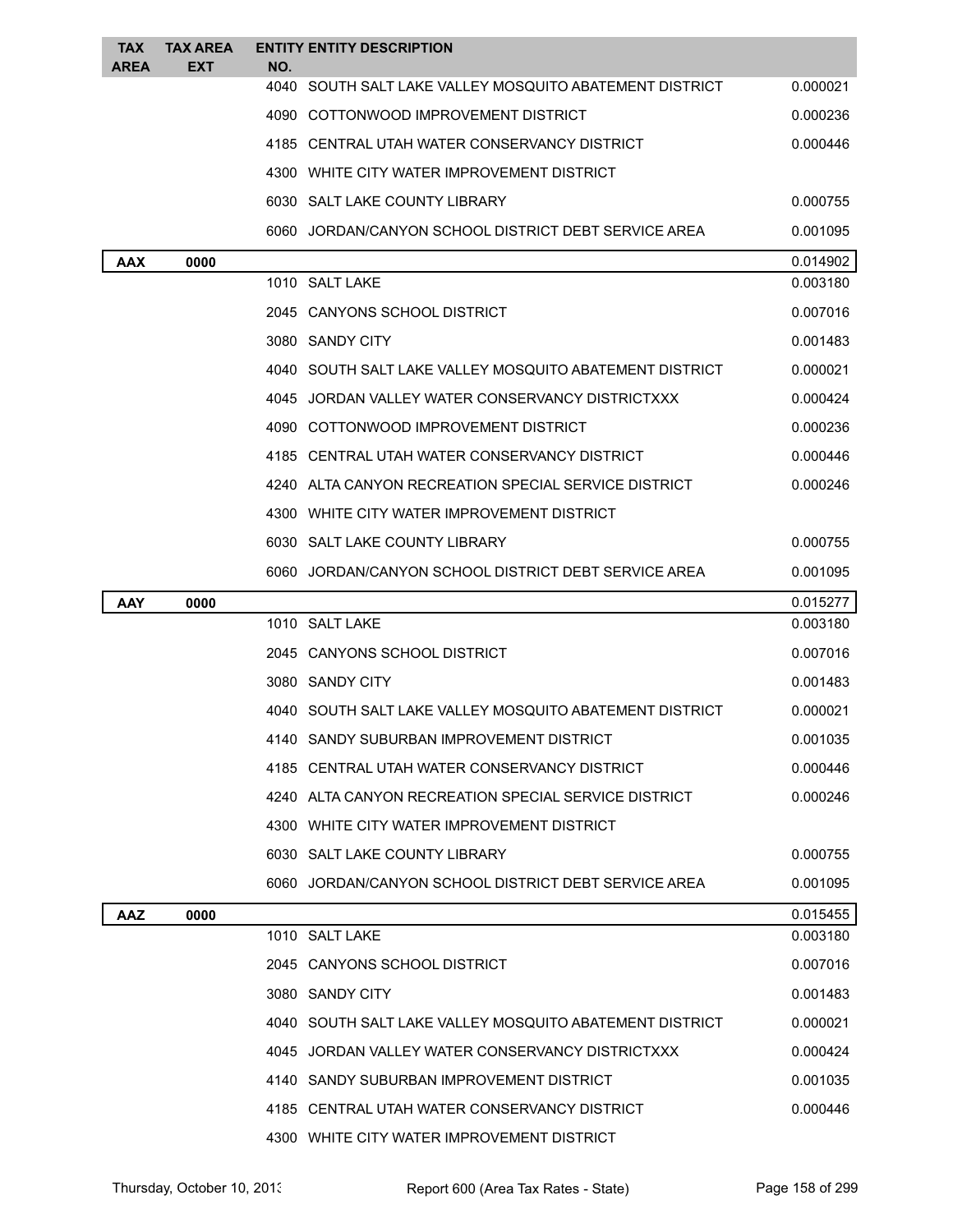| TAX<br><b>AREA</b> | <b>TAX AREA</b><br>EXT | NO.  | <b>ENTITY ENTITY DESCRIPTION</b>                        |          |
|--------------------|------------------------|------|---------------------------------------------------------|----------|
|                    |                        | 4040 | SOUTH SALT LAKE VALLEY MOSQUITO ABATEMENT DISTRICT      | 0.000021 |
|                    |                        |      | 4090 COTTONWOOD IMPROVEMENT DISTRICT                    | 0.000236 |
|                    |                        |      | 4185 CENTRAL UTAH WATER CONSERVANCY DISTRICT            | 0.000446 |
|                    |                        |      | 4300 WHITE CITY WATER IMPROVEMENT DISTRICT              |          |
|                    |                        |      | 6030 SALT LAKE COUNTY LIBRARY                           | 0.000755 |
|                    |                        |      | 6060 JORDAN/CANYON SCHOOL DISTRICT DEBT SERVICE AREA    | 0.001095 |
| <b>AAX</b>         | 0000                   |      |                                                         | 0.014902 |
|                    |                        |      | 1010 SALT LAKE                                          | 0.003180 |
|                    |                        |      | 2045 CANYONS SCHOOL DISTRICT                            | 0.007016 |
|                    |                        |      | 3080 SANDY CITY                                         | 0.001483 |
|                    |                        |      | 4040 SOUTH SALT LAKE VALLEY MOSQUITO ABATEMENT DISTRICT | 0.000021 |
|                    |                        |      | 4045 JORDAN VALLEY WATER CONSERVANCY DISTRICTXXX        | 0.000424 |
|                    |                        |      | 4090 COTTONWOOD IMPROVEMENT DISTRICT                    | 0.000236 |
|                    |                        |      | 4185 CENTRAL UTAH WATER CONSERVANCY DISTRICT            | 0.000446 |
|                    |                        |      | 4240 ALTA CANYON RECREATION SPECIAL SERVICE DISTRICT    | 0.000246 |
|                    |                        |      | 4300 WHITE CITY WATER IMPROVEMENT DISTRICT              |          |
|                    |                        |      | 6030 SALT LAKE COUNTY LIBRARY                           | 0.000755 |
|                    |                        |      | 6060 JORDAN/CANYON SCHOOL DISTRICT DEBT SERVICE AREA    | 0.001095 |
|                    |                        |      |                                                         |          |
| AAY                | 0000                   |      |                                                         | 0.015277 |
|                    |                        |      | 1010 SALT LAKE                                          | 0.003180 |
|                    |                        |      | 2045 CANYONS SCHOOL DISTRICT                            | 0.007016 |
|                    |                        |      | 3080 SANDY CITY                                         | 0.001483 |
|                    |                        |      | 4040 SOUTH SALT LAKE VALLEY MOSQUITO ABATEMENT DISTRICT | 0.000021 |
|                    |                        |      | 4140 SANDY SUBURBAN IMPROVEMENT DISTRICT                | 0.001035 |
|                    |                        |      | 4185 CENTRAL UTAH WATER CONSERVANCY DISTRICT            | 0.000446 |
|                    |                        |      | 4240 ALTA CANYON RECREATION SPECIAL SERVICE DISTRICT    | 0.000246 |
|                    |                        |      | 4300 WHITE CITY WATER IMPROVEMENT DISTRICT              |          |
|                    |                        |      | 6030 SALT LAKE COUNTY LIBRARY                           | 0.000755 |
|                    |                        |      | 6060 JORDAN/CANYON SCHOOL DISTRICT DEBT SERVICE AREA    | 0.001095 |
| AAZ                | 0000                   |      |                                                         | 0.015455 |
|                    |                        |      | 1010 SALT LAKE                                          | 0.003180 |
|                    |                        |      | 2045 CANYONS SCHOOL DISTRICT                            | 0.007016 |
|                    |                        |      | 3080 SANDY CITY                                         | 0.001483 |
|                    |                        |      | 4040 SOUTH SALT LAKE VALLEY MOSQUITO ABATEMENT DISTRICT | 0.000021 |
|                    |                        |      | 4045 JORDAN VALLEY WATER CONSERVANCY DISTRICTXXX        | 0.000424 |
|                    |                        |      | 4140 SANDY SUBURBAN IMPROVEMENT DISTRICT                | 0.001035 |
|                    |                        |      | 4185 CENTRAL UTAH WATER CONSERVANCY DISTRICT            | 0.000446 |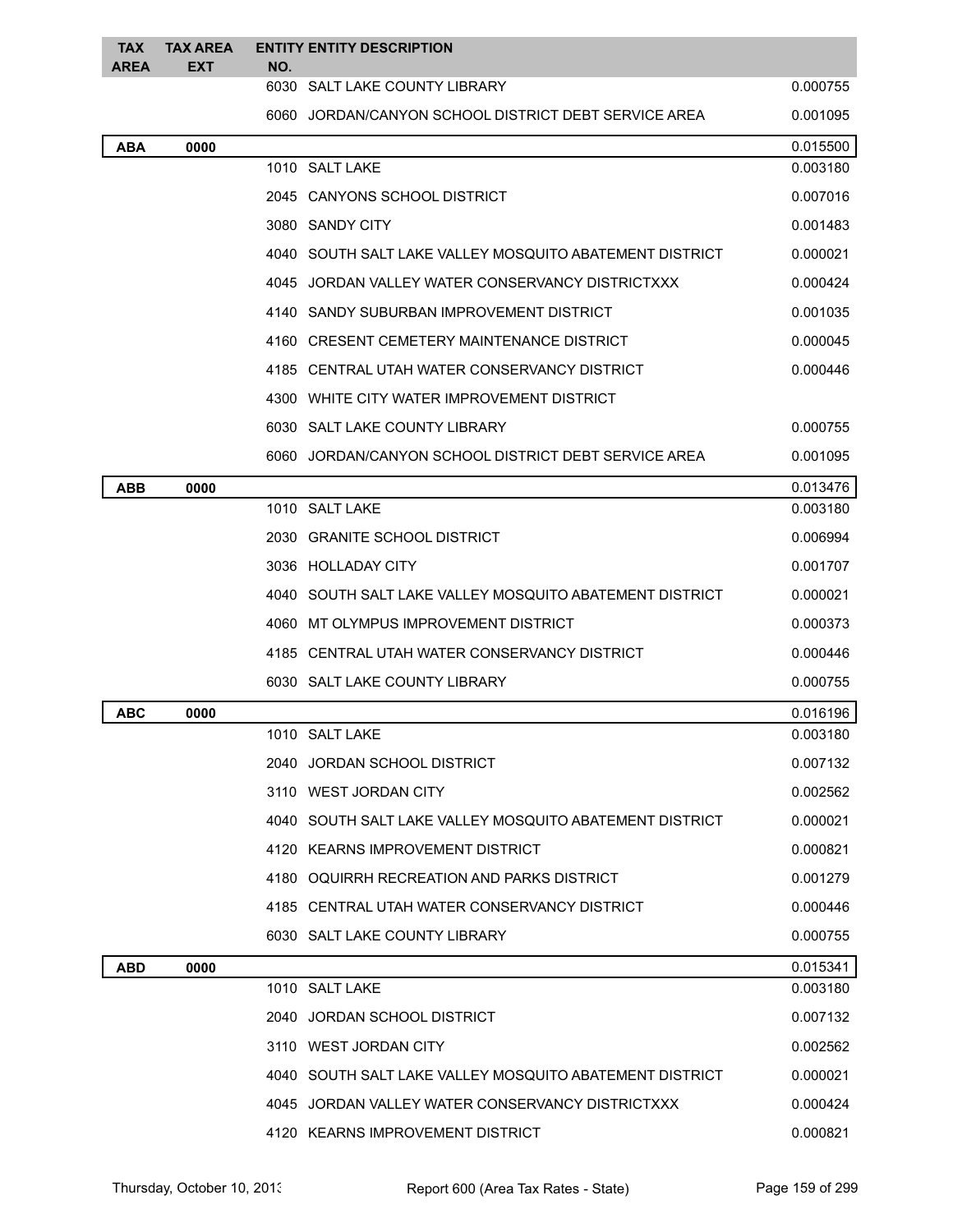| <b>TAX</b><br><b>AREA</b> | <b>TAX AREA</b><br><b>EXT</b> | NO. | <b>ENTITY ENTITY DESCRIPTION</b>                        |          |
|---------------------------|-------------------------------|-----|---------------------------------------------------------|----------|
|                           |                               |     | 6030 SALT LAKE COUNTY LIBRARY                           | 0.000755 |
|                           |                               |     | 6060 JORDAN/CANYON SCHOOL DISTRICT DEBT SERVICE AREA    | 0.001095 |
| ABA                       | 0000                          |     |                                                         | 0.015500 |
|                           |                               |     | 1010 SALT LAKE                                          | 0.003180 |
|                           |                               |     | 2045 CANYONS SCHOOL DISTRICT                            | 0.007016 |
|                           |                               |     | 3080 SANDY CITY                                         | 0.001483 |
|                           |                               |     | 4040 SOUTH SALT LAKE VALLEY MOSQUITO ABATEMENT DISTRICT | 0.000021 |
|                           |                               |     | 4045 JORDAN VALLEY WATER CONSERVANCY DISTRICTXXX        | 0.000424 |
|                           |                               |     | 4140 SANDY SUBURBAN IMPROVEMENT DISTRICT                | 0.001035 |
|                           |                               |     | 4160 CRESENT CEMETERY MAINTENANCE DISTRICT              | 0.000045 |
|                           |                               |     | 4185 CENTRAL UTAH WATER CONSERVANCY DISTRICT            | 0.000446 |
|                           |                               |     | 4300 WHITE CITY WATER IMPROVEMENT DISTRICT              |          |
|                           |                               |     | 6030 SALT LAKE COUNTY LIBRARY                           | 0.000755 |
|                           |                               |     | 6060 JORDAN/CANYON SCHOOL DISTRICT DEBT SERVICE AREA    | 0.001095 |
| <b>ABB</b>                | 0000                          |     |                                                         | 0.013476 |
|                           |                               |     | 1010 SALT LAKE                                          | 0.003180 |
|                           |                               |     | 2030 GRANITE SCHOOL DISTRICT                            | 0.006994 |
|                           |                               |     | 3036 HOLLADAY CITY                                      | 0.001707 |
|                           |                               |     | 4040 SOUTH SALT LAKE VALLEY MOSQUITO ABATEMENT DISTRICT | 0.000021 |
|                           |                               |     | 4060 MT OLYMPUS IMPROVEMENT DISTRICT                    | 0.000373 |
|                           |                               |     | 4185 CENTRAL UTAH WATER CONSERVANCY DISTRICT            | 0.000446 |
|                           |                               |     | 6030 SALT LAKE COUNTY LIBRARY                           | 0.000755 |
| ABC                       | 0000                          |     |                                                         | 0.016196 |
|                           |                               |     | 1010 SALT LAKE                                          | 0.003180 |
|                           |                               |     | 2040 JORDAN SCHOOL DISTRICT                             | 0.007132 |
|                           |                               |     | 3110 WEST JORDAN CITY                                   | 0.002562 |
|                           |                               |     | 4040 SOUTH SALT LAKE VALLEY MOSQUITO ABATEMENT DISTRICT | 0.000021 |
|                           |                               |     | 4120 KEARNS IMPROVEMENT DISTRICT                        | 0.000821 |
|                           |                               |     | 4180 OQUIRRH RECREATION AND PARKS DISTRICT              | 0.001279 |
|                           |                               |     | 4185 CENTRAL UTAH WATER CONSERVANCY DISTRICT            | 0.000446 |
|                           |                               |     | 6030 SALT LAKE COUNTY LIBRARY                           | 0.000755 |
| ABD                       | 0000                          |     |                                                         | 0.015341 |
|                           |                               |     | 1010 SALT LAKE                                          | 0.003180 |
|                           |                               |     | 2040 JORDAN SCHOOL DISTRICT                             | 0.007132 |
|                           |                               |     | 3110 WEST JORDAN CITY                                   | 0.002562 |
|                           |                               |     | 4040 SOUTH SALT LAKE VALLEY MOSQUITO ABATEMENT DISTRICT | 0.000021 |
|                           |                               |     | 4045 JORDAN VALLEY WATER CONSERVANCY DISTRICTXXX        | 0.000424 |
|                           |                               |     | 4120 KEARNS IMPROVEMENT DISTRICT                        | 0.000821 |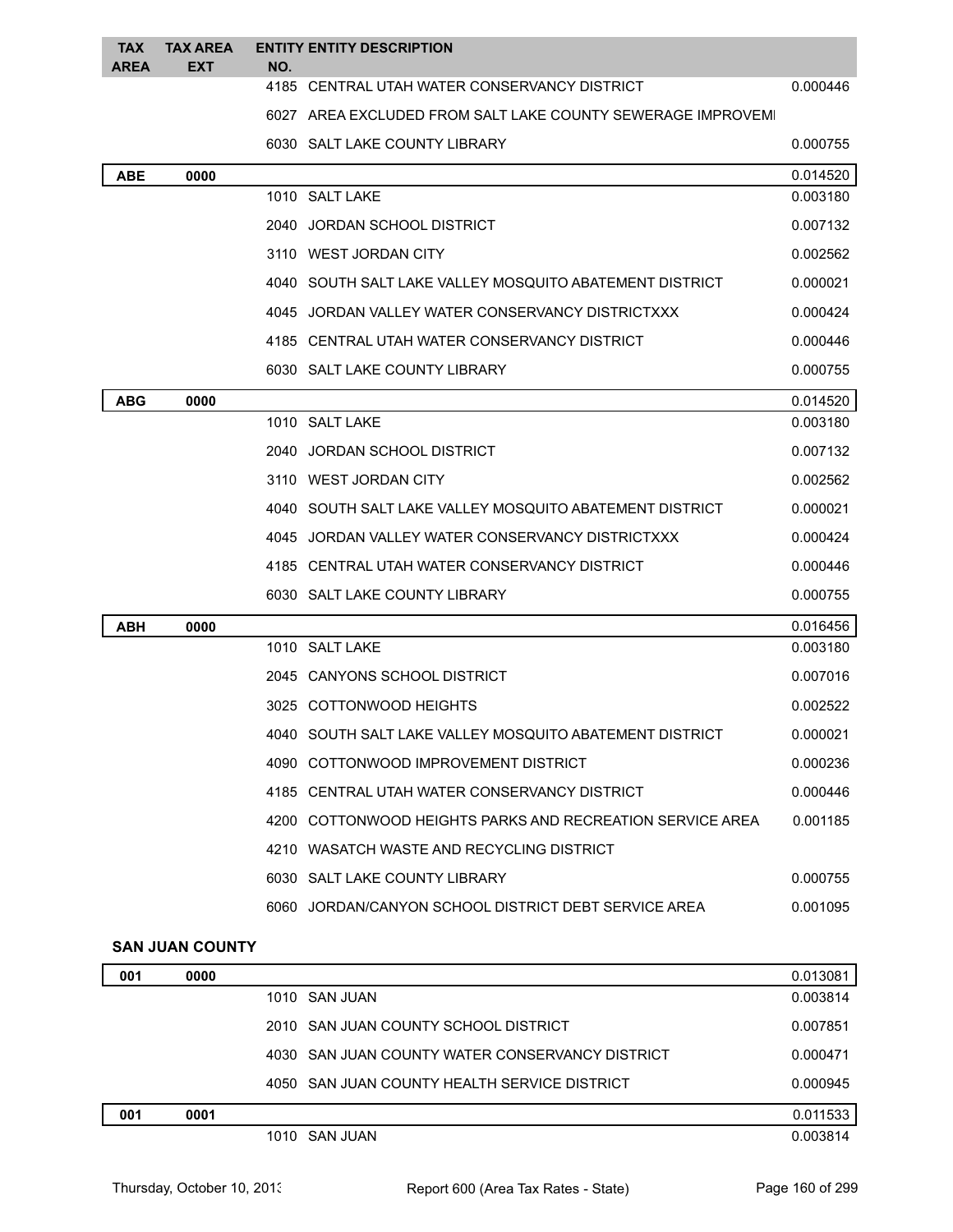| <b>TAX</b><br><b>AREA</b> | <b>TAX AREA</b><br><b>EXT</b> | NO. | <b>ENTITY ENTITY DESCRIPTION</b>                            |          |
|---------------------------|-------------------------------|-----|-------------------------------------------------------------|----------|
|                           |                               |     | 4185 CENTRAL UTAH WATER CONSERVANCY DISTRICT                | 0.000446 |
|                           |                               |     | 6027 AREA EXCLUDED FROM SALT LAKE COUNTY SEWERAGE IMPROVEMI |          |
|                           |                               |     | 6030 SALT LAKE COUNTY LIBRARY                               | 0.000755 |
| <b>ABE</b>                | 0000                          |     |                                                             | 0.014520 |
|                           |                               |     | 1010 SALT LAKE                                              | 0.003180 |
|                           |                               |     | 2040 JORDAN SCHOOL DISTRICT                                 | 0.007132 |
|                           |                               |     | 3110 WEST JORDAN CITY                                       | 0.002562 |
|                           |                               |     | 4040 SOUTH SALT LAKE VALLEY MOSQUITO ABATEMENT DISTRICT     | 0.000021 |
|                           |                               |     | 4045 JORDAN VALLEY WATER CONSERVANCY DISTRICTXXX            | 0.000424 |
|                           |                               |     | 4185 CENTRAL UTAH WATER CONSERVANCY DISTRICT                | 0.000446 |
|                           |                               |     | 6030 SALT LAKE COUNTY LIBRARY                               | 0.000755 |
| <b>ABG</b>                | 0000                          |     |                                                             | 0.014520 |
|                           |                               |     | 1010 SALT LAKE                                              | 0.003180 |
|                           |                               |     | 2040 JORDAN SCHOOL DISTRICT                                 | 0.007132 |
|                           |                               |     | 3110 WEST JORDAN CITY                                       | 0.002562 |
|                           |                               |     | 4040 SOUTH SALT LAKE VALLEY MOSQUITO ABATEMENT DISTRICT     | 0.000021 |
|                           |                               |     | 4045 JORDAN VALLEY WATER CONSERVANCY DISTRICTXXX            | 0.000424 |
|                           |                               |     | 4185 CENTRAL UTAH WATER CONSERVANCY DISTRICT                | 0.000446 |
|                           |                               |     | 6030 SALT LAKE COUNTY LIBRARY                               | 0.000755 |
| <b>ABH</b>                | 0000                          |     |                                                             | 0.016456 |
|                           |                               |     | 1010 SALT LAKE                                              | 0.003180 |
|                           |                               |     | 2045 CANYONS SCHOOL DISTRICT                                | 0.007016 |
|                           |                               |     | 3025 COTTONWOOD HEIGHTS                                     | 0.002522 |
|                           |                               |     | 4040 SOUTH SALT LAKE VALLEY MOSQUITO ABATEMENT DISTRICT     | 0.000021 |
|                           |                               |     | 4090 COTTONWOOD IMPROVEMENT DISTRICT                        | 0.000236 |
|                           |                               |     | 4185 CENTRAL UTAH WATER CONSERVANCY DISTRICT                | 0.000446 |
|                           |                               |     | 4200 COTTONWOOD HEIGHTS PARKS AND RECREATION SERVICE AREA   | 0.001185 |
|                           |                               |     | 4210 WASATCH WASTE AND RECYCLING DISTRICT                   |          |
|                           |                               |     | 6030 SALT LAKE COUNTY LIBRARY                               | 0.000755 |
|                           |                               |     | 6060 JORDAN/CANYON SCHOOL DISTRICT DEBT SERVICE AREA        | 0.001095 |
|                           | <b>SAN JUAN COUNTY</b>        |     |                                                             |          |

| 001 | 0000 |                                                 | 0.013081 |
|-----|------|-------------------------------------------------|----------|
|     |      | 1010 SAN JUAN                                   | 0.003814 |
|     |      | 2010 SAN JUAN COUNTY SCHOOL DISTRICT            | 0.007851 |
|     |      | 4030 SAN JUAN COUNTY WATER CONSERVANCY DISTRICT | 0.000471 |
|     |      | 4050 SAN JUAN COUNTY HEALTH SERVICE DISTRICT    | 0.000945 |
| 001 | 0001 |                                                 | 0.011533 |
|     |      | 1010 SAN JUAN                                   | 0.003814 |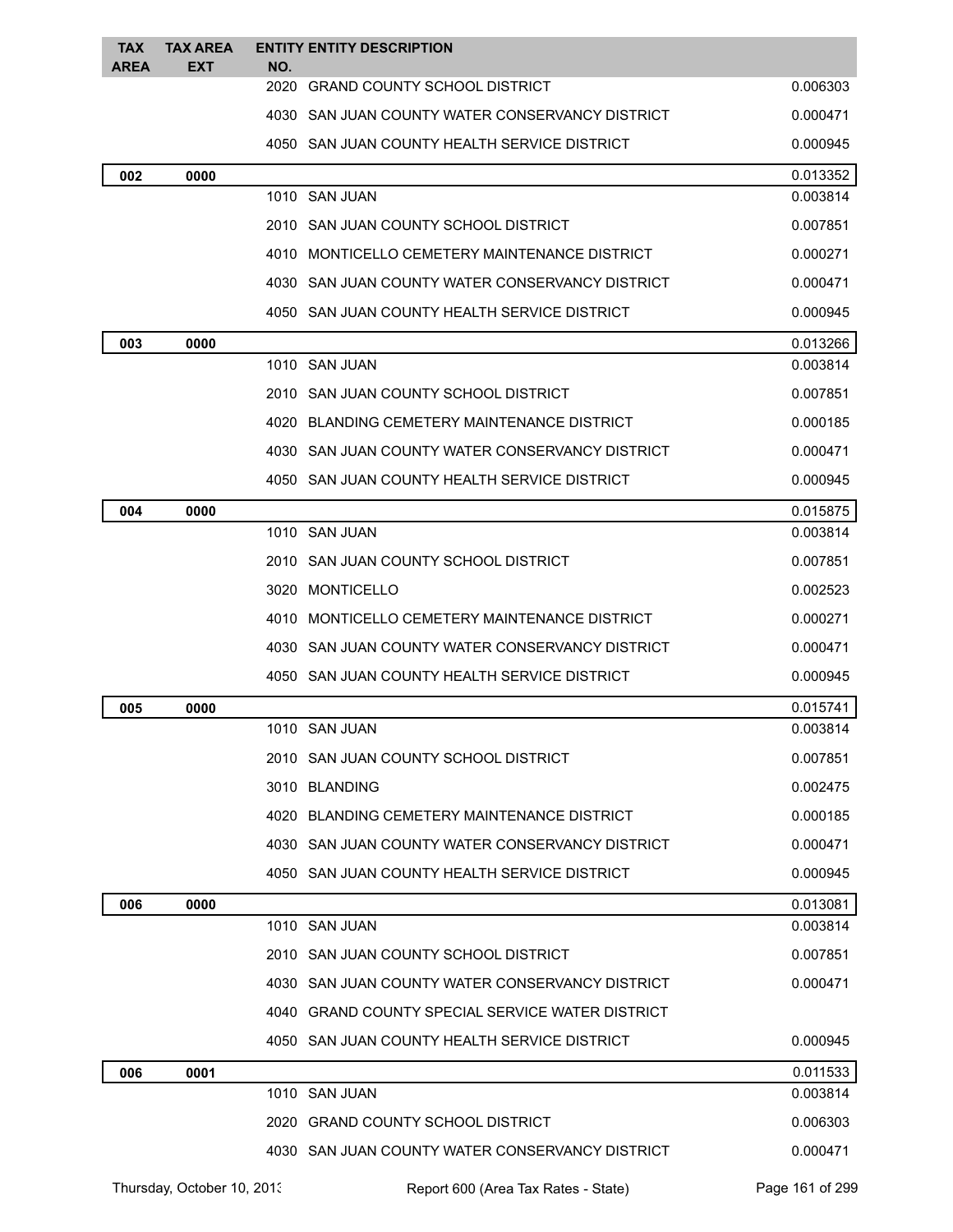| <b>TAX</b><br><b>AREA</b> | <b>TAX AREA</b><br><b>EXT</b> | <b>ENTITY ENTITY DESCRIPTION</b><br>NO.          |          |
|---------------------------|-------------------------------|--------------------------------------------------|----------|
|                           |                               | 2020 GRAND COUNTY SCHOOL DISTRICT                | 0.006303 |
|                           |                               | 4030 SAN JUAN COUNTY WATER CONSERVANCY DISTRICT  | 0.000471 |
|                           |                               | 4050 SAN JUAN COUNTY HEALTH SERVICE DISTRICT     | 0.000945 |
| 002                       | 0000                          |                                                  | 0.013352 |
|                           |                               | 1010 SAN JUAN                                    | 0.003814 |
|                           |                               | 2010 SAN JUAN COUNTY SCHOOL DISTRICT             | 0.007851 |
|                           |                               | 4010 MONTICELLO CEMETERY MAINTENANCE DISTRICT    | 0.000271 |
|                           |                               | 4030 SAN JUAN COUNTY WATER CONSERVANCY DISTRICT  | 0.000471 |
|                           |                               | 4050 SAN JUAN COUNTY HEALTH SERVICE DISTRICT     | 0.000945 |
| 003                       | 0000                          |                                                  | 0.013266 |
|                           |                               | 1010 SAN JUAN                                    | 0.003814 |
|                           |                               | 2010 SAN JUAN COUNTY SCHOOL DISTRICT             | 0.007851 |
|                           |                               | 4020 BLANDING CEMETERY MAINTENANCE DISTRICT      | 0.000185 |
|                           |                               | 4030 SAN JUAN COUNTY WATER CONSERVANCY DISTRICT  | 0.000471 |
|                           |                               | 4050 SAN JUAN COUNTY HEALTH SERVICE DISTRICT     | 0.000945 |
| 004                       | 0000                          |                                                  | 0.015875 |
|                           |                               | 1010 SAN JUAN                                    | 0.003814 |
|                           |                               | 2010 SAN JUAN COUNTY SCHOOL DISTRICT             | 0.007851 |
|                           |                               | 3020 MONTICELLO                                  | 0.002523 |
|                           |                               | 4010 MONTICELLO CEMETERY MAINTENANCE DISTRICT    | 0.000271 |
|                           |                               | 4030 SAN JUAN COUNTY WATER CONSERVANCY DISTRICT  | 0.000471 |
|                           |                               | 4050 SAN JUAN COUNTY HEALTH SERVICE DISTRICT     | 0.000945 |
| 005                       | 0000                          |                                                  | 0.015741 |
|                           |                               | 1010 SAN JUAN                                    | 0.003814 |
|                           |                               | 2010 SAN JUAN COUNTY SCHOOL DISTRICT             | 0.007851 |
|                           |                               | 3010 BLANDING                                    | 0.002475 |
|                           |                               | 4020 BLANDING CEMETERY MAINTENANCE DISTRICT      | 0.000185 |
|                           |                               | 4030 SAN JUAN COUNTY WATER CONSERVANCY DISTRICT  | 0.000471 |
|                           |                               | 4050 SAN JUAN COUNTY HEALTH SERVICE DISTRICT     | 0.000945 |
| 006                       | 0000                          |                                                  | 0.013081 |
|                           |                               | 1010 SAN JUAN                                    | 0.003814 |
|                           |                               | 2010 SAN JUAN COUNTY SCHOOL DISTRICT             | 0.007851 |
|                           |                               | 4030 SAN JUAN COUNTY WATER CONSERVANCY DISTRICT  | 0.000471 |
|                           |                               | 4040 GRAND COUNTY SPECIAL SERVICE WATER DISTRICT |          |
|                           |                               | 4050 SAN JUAN COUNTY HEALTH SERVICE DISTRICT     | 0.000945 |
| 006                       | 0001                          |                                                  | 0.011533 |
|                           |                               | 1010 SAN JUAN                                    | 0.003814 |
|                           |                               | 2020 GRAND COUNTY SCHOOL DISTRICT                | 0.006303 |
|                           |                               | 4030 SAN JUAN COUNTY WATER CONSERVANCY DISTRICT  | 0.000471 |

Thursday, October 10, 2013 Report 600 (Area Tax Rates - State) Page 161 of 299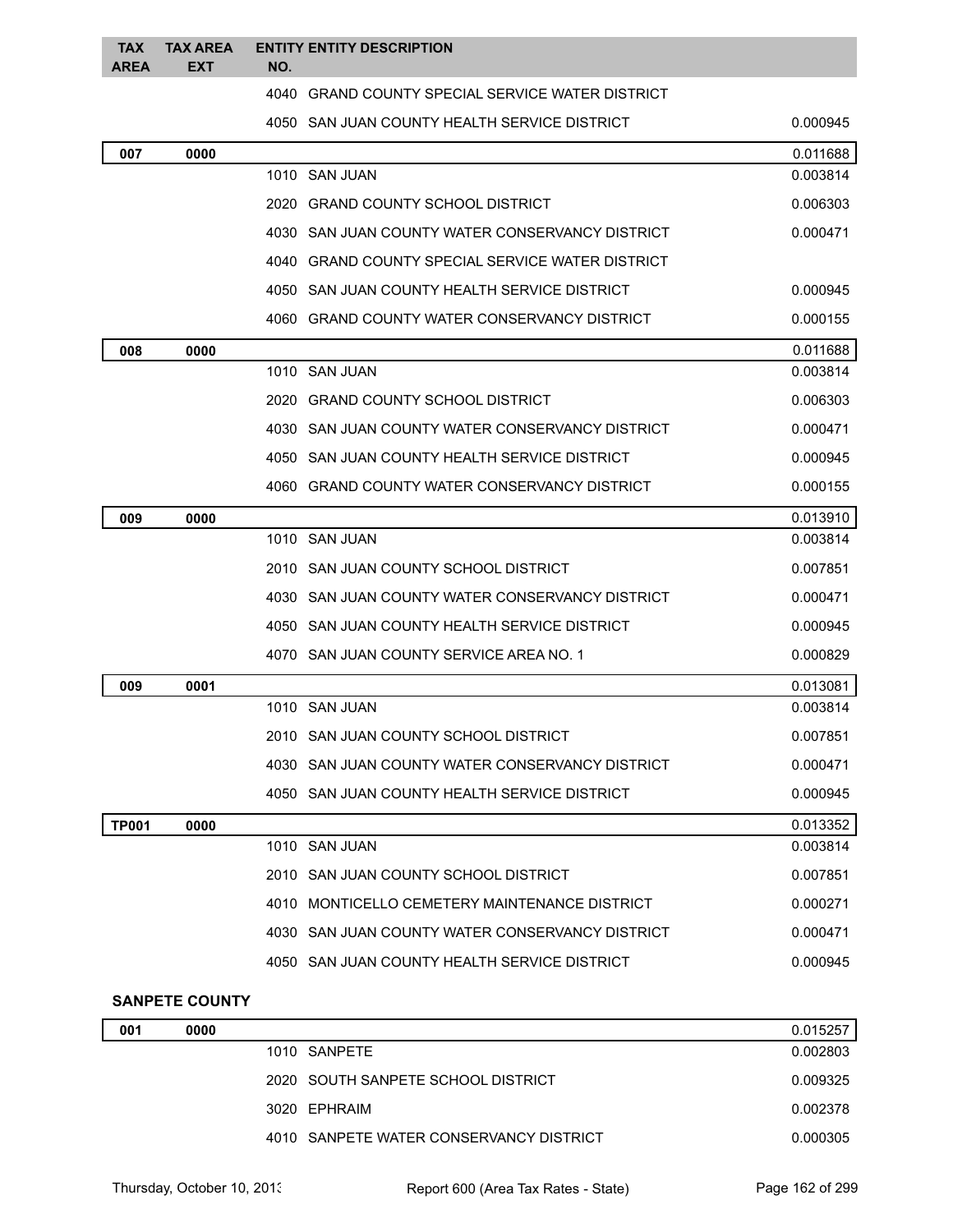| <b>TAX</b><br><b>AREA</b> | <b>TAX AREA</b><br><b>EXT</b> | <b>ENTITY ENTITY DESCRIPTION</b><br>NO.          |          |
|---------------------------|-------------------------------|--------------------------------------------------|----------|
|                           |                               | 4040 GRAND COUNTY SPECIAL SERVICE WATER DISTRICT |          |
|                           |                               | 4050 SAN JUAN COUNTY HEALTH SERVICE DISTRICT     | 0.000945 |
| 007                       | 0000                          |                                                  | 0.011688 |
|                           |                               | 1010 SAN JUAN                                    | 0.003814 |
|                           |                               | 2020 GRAND COUNTY SCHOOL DISTRICT                | 0.006303 |
|                           |                               | 4030 SAN JUAN COUNTY WATER CONSERVANCY DISTRICT  | 0.000471 |
|                           |                               | 4040 GRAND COUNTY SPECIAL SERVICE WATER DISTRICT |          |
|                           |                               | 4050 SAN JUAN COUNTY HEALTH SERVICE DISTRICT     | 0.000945 |
|                           |                               | 4060 GRAND COUNTY WATER CONSERVANCY DISTRICT     | 0.000155 |
| 008                       | 0000                          |                                                  | 0.011688 |
|                           |                               | 1010 SAN JUAN                                    | 0.003814 |
|                           |                               | 2020 GRAND COUNTY SCHOOL DISTRICT                | 0.006303 |
|                           |                               | 4030 SAN JUAN COUNTY WATER CONSERVANCY DISTRICT  | 0.000471 |
|                           |                               | 4050 SAN JUAN COUNTY HEALTH SERVICE DISTRICT     | 0.000945 |
|                           |                               | 4060 GRAND COUNTY WATER CONSERVANCY DISTRICT     | 0.000155 |
| 009                       | 0000                          |                                                  | 0.013910 |
|                           |                               | 1010 SAN JUAN                                    | 0.003814 |
|                           |                               | 2010 SAN JUAN COUNTY SCHOOL DISTRICT             | 0.007851 |
|                           |                               | 4030 SAN JUAN COUNTY WATER CONSERVANCY DISTRICT  | 0.000471 |
|                           |                               | 4050 SAN JUAN COUNTY HEALTH SERVICE DISTRICT     | 0.000945 |
|                           |                               | 4070 SAN JUAN COUNTY SERVICE AREA NO. 1          | 0.000829 |
| 009                       | 0001                          |                                                  | 0.013081 |
|                           |                               | 1010 SAN JUAN                                    | 0.003814 |
|                           |                               | 2010 SAN JUAN COUNTY SCHOOL DISTRICT             | 0.007851 |
|                           |                               | 4030 SAN JUAN COUNTY WATER CONSERVANCY DISTRICT  | 0.000471 |
|                           |                               | 4050 SAN JUAN COUNTY HEALTH SERVICE DISTRICT     | 0.000945 |
| <b>TP001</b>              | 0000                          |                                                  | 0.013352 |
|                           |                               | 1010 SAN JUAN                                    | 0.003814 |
|                           |                               | 2010 SAN JUAN COUNTY SCHOOL DISTRICT             | 0.007851 |
|                           |                               | 4010 MONTICELLO CEMETERY MAINTENANCE DISTRICT    | 0.000271 |
|                           |                               | 4030 SAN JUAN COUNTY WATER CONSERVANCY DISTRICT  | 0.000471 |
|                           |                               | 4050 SAN JUAN COUNTY HEALTH SERVICE DISTRICT     | 0.000945 |

## **SANPETE COUNTY**

| 001 | 0000 |                                         | 0.015257 |
|-----|------|-----------------------------------------|----------|
|     |      | 1010 SANPETE                            | 0.002803 |
|     |      | 2020 SOUTH SANPETE SCHOOL DISTRICT      | 0.009325 |
|     |      | 3020 EPHRAIM                            | 0.002378 |
|     |      | 4010 SANPETE WATER CONSERVANCY DISTRICT | 0.000305 |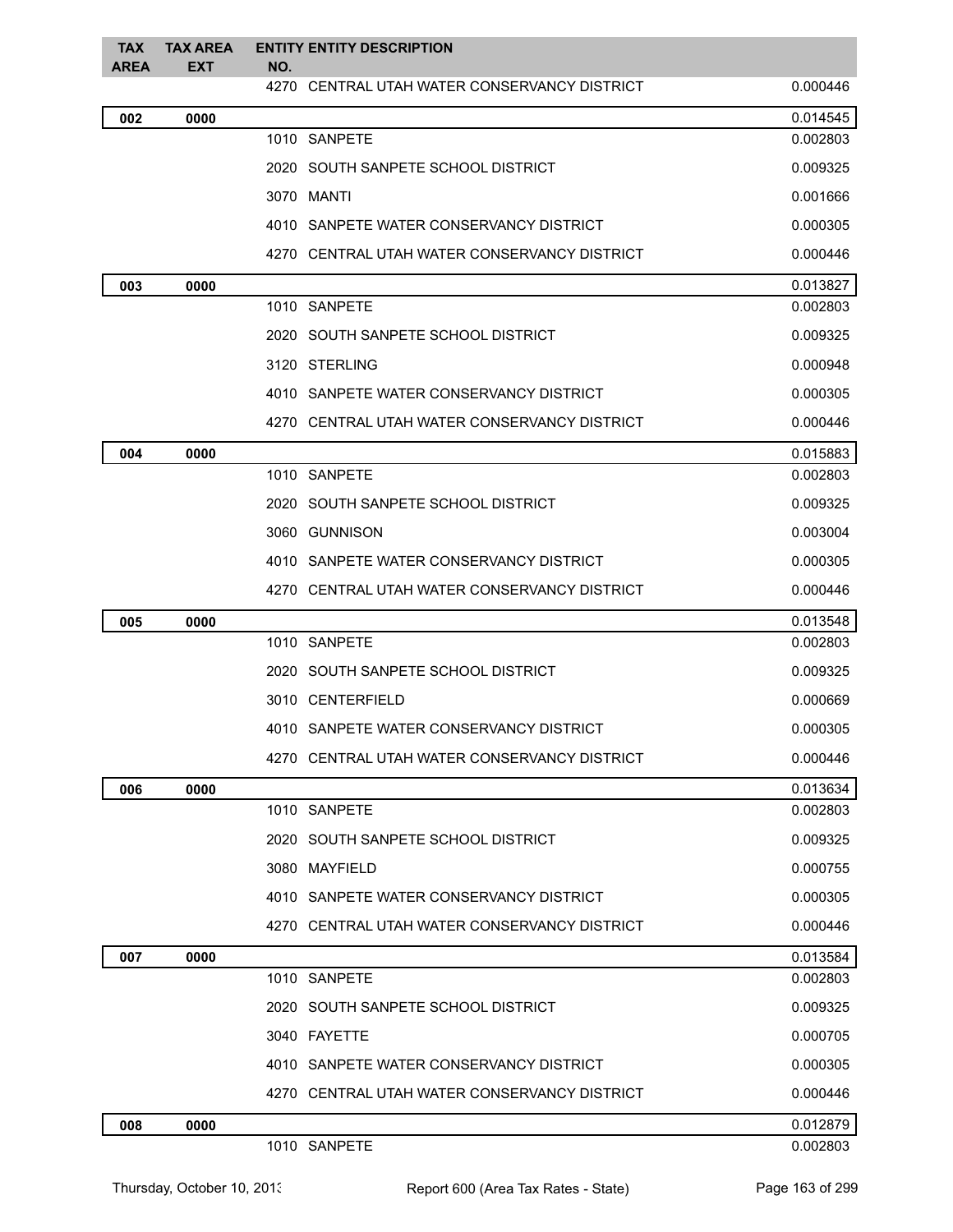| <b>TAX</b><br><b>AREA</b> | <b>TAX AREA</b><br><b>EXT</b> | <b>ENTITY ENTITY DESCRIPTION</b><br>NO.      |          |
|---------------------------|-------------------------------|----------------------------------------------|----------|
|                           |                               | 4270 CENTRAL UTAH WATER CONSERVANCY DISTRICT | 0.000446 |
| 002                       | 0000                          |                                              | 0.014545 |
|                           |                               | 1010 SANPETE                                 | 0.002803 |
|                           |                               | 2020 SOUTH SANPETE SCHOOL DISTRICT           | 0.009325 |
|                           |                               | 3070 MANTI                                   | 0.001666 |
|                           |                               | 4010 SANPETE WATER CONSERVANCY DISTRICT      | 0.000305 |
|                           |                               | 4270 CENTRAL UTAH WATER CONSERVANCY DISTRICT | 0.000446 |
| 003                       | 0000                          |                                              | 0.013827 |
|                           |                               | 1010 SANPETE                                 | 0.002803 |
|                           |                               | 2020 SOUTH SANPETE SCHOOL DISTRICT           | 0.009325 |
|                           |                               | 3120 STERLING                                | 0.000948 |
|                           |                               | 4010 SANPETE WATER CONSERVANCY DISTRICT      | 0.000305 |
|                           |                               | 4270 CENTRAL UTAH WATER CONSERVANCY DISTRICT | 0.000446 |
| 004                       | 0000                          |                                              | 0.015883 |
|                           |                               | 1010 SANPETE                                 | 0.002803 |
|                           |                               | 2020 SOUTH SANPETE SCHOOL DISTRICT           | 0.009325 |
|                           |                               | 3060 GUNNISON                                | 0.003004 |
|                           |                               | 4010 SANPETE WATER CONSERVANCY DISTRICT      | 0.000305 |
|                           |                               | 4270 CENTRAL UTAH WATER CONSERVANCY DISTRICT | 0.000446 |
| 005                       | 0000                          |                                              | 0.013548 |
|                           |                               | 1010 SANPETE                                 | 0.002803 |
|                           |                               | 2020 SOUTH SANPETE SCHOOL DISTRICT           | 0.009325 |
|                           |                               | 3010 CENTERFIELD                             | 0.000669 |
|                           |                               | 4010 SANPETE WATER CONSERVANCY DISTRICT      | 0.000305 |
|                           |                               | 4270 CENTRAL UTAH WATER CONSERVANCY DISTRICT | 0.000446 |
| 006                       | 0000                          |                                              | 0.013634 |
|                           |                               | 1010 SANPETE                                 | 0.002803 |
|                           |                               | 2020 SOUTH SANPETE SCHOOL DISTRICT           | 0.009325 |
|                           |                               | 3080 MAYFIELD                                | 0.000755 |
|                           |                               | 4010 SANPETE WATER CONSERVANCY DISTRICT      | 0.000305 |
|                           |                               | 4270 CENTRAL UTAH WATER CONSERVANCY DISTRICT | 0.000446 |
| 007                       | 0000                          |                                              | 0.013584 |
|                           |                               | 1010 SANPETE                                 | 0.002803 |
|                           |                               | 2020 SOUTH SANPETE SCHOOL DISTRICT           | 0.009325 |
|                           |                               | 3040 FAYETTE                                 | 0.000705 |
|                           |                               | 4010 SANPETE WATER CONSERVANCY DISTRICT      | 0.000305 |
|                           |                               | 4270 CENTRAL UTAH WATER CONSERVANCY DISTRICT | 0.000446 |
| 008                       | 0000                          |                                              | 0.012879 |
|                           |                               | 1010 SANPETE                                 | 0.002803 |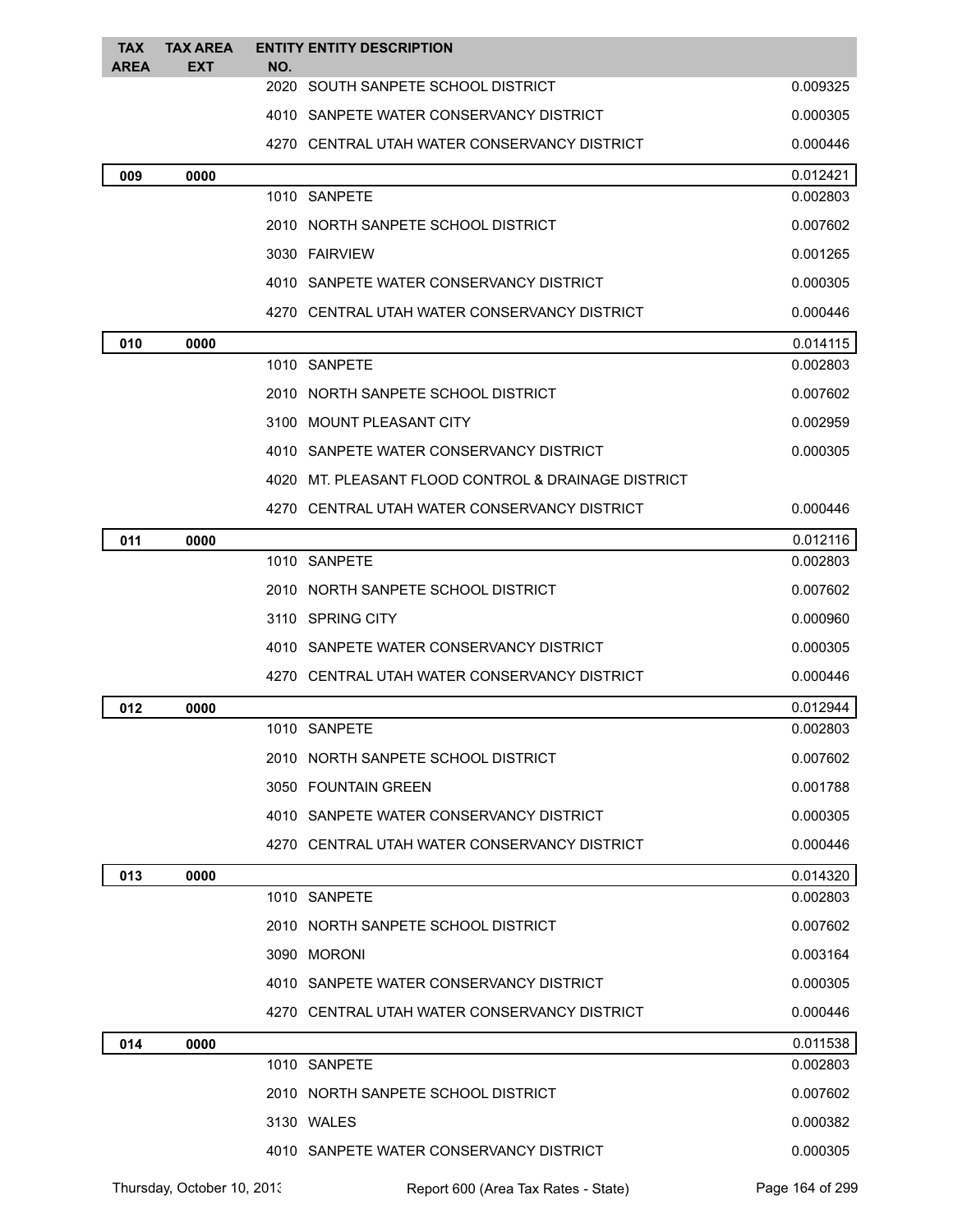| <b>TAX</b><br><b>AREA</b> | <b>TAX AREA</b><br><b>EXT</b> | <b>ENTITY ENTITY DESCRIPTION</b><br>NO.             |          |
|---------------------------|-------------------------------|-----------------------------------------------------|----------|
|                           |                               | 2020 SOUTH SANPETE SCHOOL DISTRICT                  | 0.009325 |
|                           |                               | 4010 SANPETE WATER CONSERVANCY DISTRICT             | 0.000305 |
|                           |                               | 4270 CENTRAL UTAH WATER CONSERVANCY DISTRICT        | 0.000446 |
| 009                       | 0000                          |                                                     | 0.012421 |
|                           |                               | 1010 SANPETE                                        | 0.002803 |
|                           |                               | 2010 NORTH SANPETE SCHOOL DISTRICT                  | 0.007602 |
|                           |                               | 3030 FAIRVIEW                                       | 0.001265 |
|                           |                               | 4010 SANPETE WATER CONSERVANCY DISTRICT             | 0.000305 |
|                           |                               | 4270 CENTRAL UTAH WATER CONSERVANCY DISTRICT        | 0.000446 |
| 010                       | 0000                          |                                                     | 0.014115 |
|                           |                               | 1010 SANPETE                                        | 0.002803 |
|                           |                               | 2010 NORTH SANPETE SCHOOL DISTRICT                  | 0.007602 |
|                           |                               | 3100 MOUNT PLEASANT CITY                            | 0.002959 |
|                           |                               | 4010 SANPETE WATER CONSERVANCY DISTRICT             | 0.000305 |
|                           |                               | 4020 MT, PLEASANT FLOOD CONTROL & DRAINAGE DISTRICT |          |
|                           |                               | 4270 CENTRAL UTAH WATER CONSERVANCY DISTRICT        | 0.000446 |
| 011                       | 0000                          |                                                     | 0.012116 |
|                           |                               | 1010 SANPETE                                        | 0.002803 |
|                           |                               | 2010 NORTH SANPETE SCHOOL DISTRICT                  | 0.007602 |
|                           |                               | 3110 SPRING CITY                                    | 0.000960 |
|                           |                               | 4010 SANPETE WATER CONSERVANCY DISTRICT             | 0.000305 |
|                           |                               | 4270 CENTRAL UTAH WATER CONSERVANCY DISTRICT        | 0.000446 |
| 012                       | 0000                          |                                                     | 0.012944 |
|                           |                               | 1010 SANPETE                                        | 0.002803 |
|                           |                               | 2010 NORTH SANPETE SCHOOL DISTRICT                  | 0.007602 |
|                           |                               | 3050 FOUNTAIN GREEN                                 | 0.001788 |
|                           |                               | 4010 SANPETE WATER CONSERVANCY DISTRICT             | 0.000305 |
|                           |                               | 4270 CENTRAL UTAH WATER CONSERVANCY DISTRICT        | 0.000446 |
| 013                       | 0000                          |                                                     | 0.014320 |
|                           |                               | 1010 SANPETE                                        | 0.002803 |
|                           |                               | 2010 NORTH SANPETE SCHOOL DISTRICT                  | 0.007602 |
|                           |                               | 3090 MORONI                                         | 0.003164 |
|                           |                               | 4010 SANPETE WATER CONSERVANCY DISTRICT             | 0.000305 |
|                           |                               | 4270 CENTRAL UTAH WATER CONSERVANCY DISTRICT        | 0.000446 |
| 014                       | 0000                          |                                                     | 0.011538 |
|                           |                               | 1010 SANPETE                                        | 0.002803 |
|                           |                               | 2010 NORTH SANPETE SCHOOL DISTRICT                  | 0.007602 |
|                           |                               | 3130 WALES                                          | 0.000382 |
|                           |                               | 4010 SANPETE WATER CONSERVANCY DISTRICT             | 0.000305 |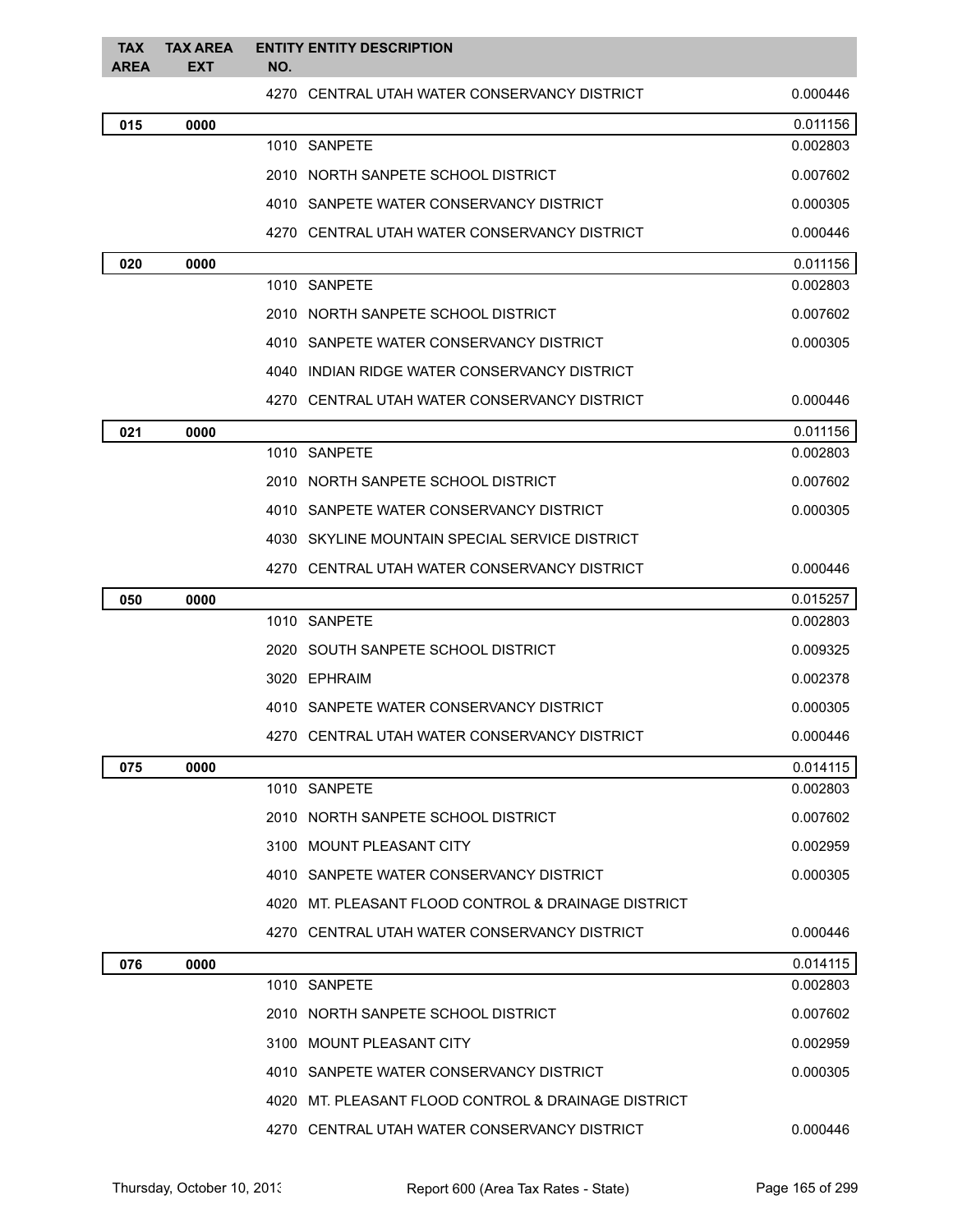| <b>TAX</b><br><b>AREA</b> | <b>TAX AREA</b><br><b>EXT</b> | <b>ENTITY ENTITY DESCRIPTION</b><br>NO.             |          |
|---------------------------|-------------------------------|-----------------------------------------------------|----------|
|                           |                               | 4270 CENTRAL UTAH WATER CONSERVANCY DISTRICT        | 0.000446 |
| 015                       | 0000                          |                                                     | 0.011156 |
|                           |                               | 1010 SANPETE                                        | 0.002803 |
|                           |                               | 2010 NORTH SANPETE SCHOOL DISTRICT                  | 0.007602 |
|                           |                               | 4010 SANPETE WATER CONSERVANCY DISTRICT             | 0.000305 |
|                           |                               | 4270 CENTRAL UTAH WATER CONSERVANCY DISTRICT        | 0.000446 |
| 020                       | 0000                          |                                                     | 0.011156 |
|                           |                               | 1010 SANPETE                                        | 0.002803 |
|                           |                               | 2010 NORTH SANPETE SCHOOL DISTRICT                  | 0.007602 |
|                           |                               | 4010 SANPETE WATER CONSERVANCY DISTRICT             | 0.000305 |
|                           |                               | 4040 INDIAN RIDGE WATER CONSERVANCY DISTRICT        |          |
|                           |                               | 4270 CENTRAL UTAH WATER CONSERVANCY DISTRICT        | 0.000446 |
| 021                       | 0000                          |                                                     | 0.011156 |
|                           |                               | 1010 SANPETE                                        | 0.002803 |
|                           |                               | 2010 NORTH SANPETE SCHOOL DISTRICT                  | 0.007602 |
|                           |                               | 4010 SANPETE WATER CONSERVANCY DISTRICT             | 0.000305 |
|                           |                               | 4030 SKYLINE MOUNTAIN SPECIAL SERVICE DISTRICT      |          |
|                           |                               | 4270 CENTRAL UTAH WATER CONSERVANCY DISTRICT        | 0.000446 |
| 050                       | 0000                          |                                                     | 0.015257 |
|                           |                               | 1010 SANPETE                                        | 0.002803 |
|                           |                               | 2020 SOUTH SANPETE SCHOOL DISTRICT                  | 0.009325 |
|                           |                               | 3020 EPHRAIM                                        | 0.002378 |
|                           |                               | 4010 SANPETE WATER CONSERVANCY DISTRICT             | 0.000305 |
|                           |                               | 4270 CENTRAL UTAH WATER CONSERVANCY DISTRICT        | 0.000446 |
| 075                       | 0000                          |                                                     | 0.014115 |
|                           |                               | 1010 SANPETE                                        | 0.002803 |
|                           |                               | 2010 NORTH SANPETE SCHOOL DISTRICT                  | 0.007602 |
|                           |                               | 3100 MOUNT PLEASANT CITY                            | 0.002959 |
|                           |                               | 4010 SANPETE WATER CONSERVANCY DISTRICT             | 0.000305 |
|                           |                               | 4020 MT, PLEASANT FLOOD CONTROL & DRAINAGE DISTRICT |          |
|                           |                               | 4270 CENTRAL UTAH WATER CONSERVANCY DISTRICT        | 0.000446 |
| 076                       | 0000                          |                                                     | 0.014115 |
|                           |                               | 1010 SANPETE                                        | 0.002803 |
|                           |                               | 2010 NORTH SANPETE SCHOOL DISTRICT                  | 0.007602 |
|                           |                               | 3100 MOUNT PLEASANT CITY                            | 0.002959 |
|                           |                               | 4010 SANPETE WATER CONSERVANCY DISTRICT             | 0.000305 |
|                           |                               | 4020 MT. PLEASANT FLOOD CONTROL & DRAINAGE DISTRICT |          |
|                           |                               | 4270 CENTRAL UTAH WATER CONSERVANCY DISTRICT        | 0.000446 |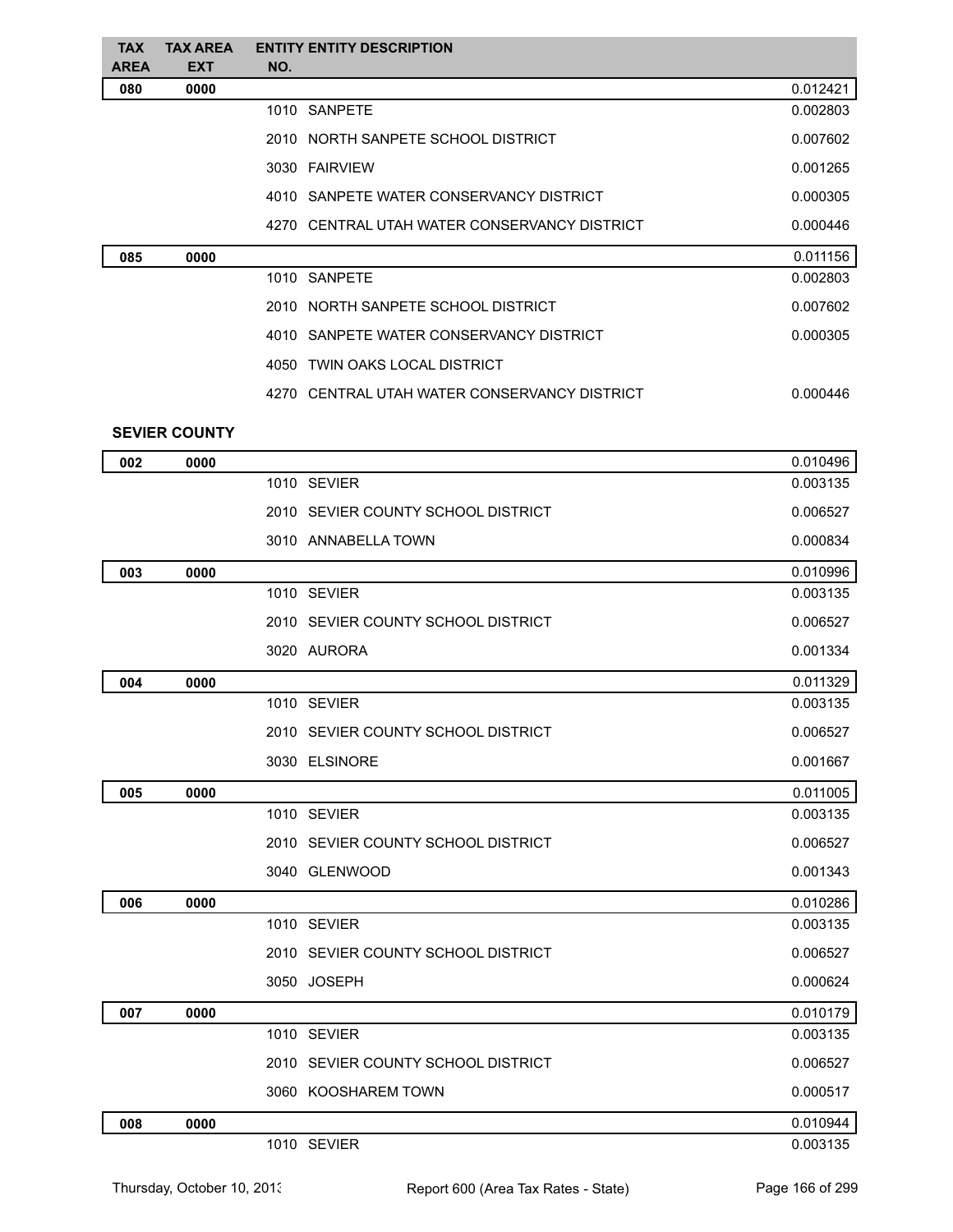| <b>TAX</b><br><b>AREA</b> | <b>TAX AREA</b><br><b>EXT</b> | <b>ENTITY ENTITY DESCRIPTION</b><br>NO.      |          |
|---------------------------|-------------------------------|----------------------------------------------|----------|
| 080                       | 0000                          |                                              | 0.012421 |
|                           |                               | 1010 SANPETE                                 | 0.002803 |
|                           |                               | 2010 NORTH SANPETE SCHOOL DISTRICT           | 0.007602 |
|                           |                               | 3030 FAIRVIEW                                | 0.001265 |
|                           |                               | 4010 SANPETE WATER CONSERVANCY DISTRICT      | 0.000305 |
|                           |                               | 4270 CENTRAL UTAH WATER CONSERVANCY DISTRICT | 0.000446 |
| 085                       | 0000                          |                                              | 0.011156 |
|                           |                               | 1010 SANPETE                                 | 0.002803 |
|                           |                               | 2010 NORTH SANPETE SCHOOL DISTRICT           | 0.007602 |
|                           |                               | 4010 SANPETE WATER CONSERVANCY DISTRICT      | 0.000305 |
|                           |                               | 4050 TWIN OAKS LOCAL DISTRICT                |          |
|                           |                               | 4270 CENTRAL UTAH WATER CONSERVANCY DISTRICT | 0.000446 |
|                           | <b>SEVIER COUNTY</b>          |                                              |          |
| 002                       | 0000                          |                                              | 0.010496 |
|                           |                               | 1010 SEVIER                                  | 0.003135 |
|                           |                               | 2010 SEVIER COUNTY SCHOOL DISTRICT           | 0.006527 |
|                           |                               | 3010 ANNABELLA TOWN                          | 0.000834 |
| 003                       | 0000                          |                                              | 0.010996 |
|                           |                               | 1010 SEVIER                                  | 0.003135 |
|                           |                               | 2010 SEVIER COUNTY SCHOOL DISTRICT           | 0.006527 |
|                           |                               | 3020 AURORA                                  | 0.001334 |
| 004                       | 0000                          |                                              | 0.011329 |
|                           |                               | 1010 SEVIER                                  | 0.003135 |
|                           |                               | 2010 SEVIER COUNTY SCHOOL DISTRICT           | 0.006527 |
|                           |                               | 3030 ELSINORE                                | 0.001667 |
| 005                       | 0000                          |                                              | 0.011005 |
|                           |                               | 1010 SEVIER                                  | 0.003135 |
|                           |                               | 2010 SEVIER COUNTY SCHOOL DISTRICT           | 0.006527 |
|                           |                               | 3040 GLENWOOD                                | 0.001343 |
| 006                       | 0000                          |                                              | 0.010286 |
|                           |                               | 1010 SEVIER                                  | 0.003135 |
|                           |                               | 2010 SEVIER COUNTY SCHOOL DISTRICT           | 0.006527 |
|                           |                               | 3050 JOSEPH                                  | 0.000624 |
| 007                       | 0000                          |                                              | 0.010179 |
|                           |                               | 1010 SEVIER                                  | 0.003135 |
|                           |                               | 2010 SEVIER COUNTY SCHOOL DISTRICT           | 0.006527 |
|                           |                               | 3060 KOOSHAREM TOWN                          | 0.000517 |
| 008                       | 0000                          |                                              | 0.010944 |
|                           |                               | 1010 SEVIER                                  | 0.003135 |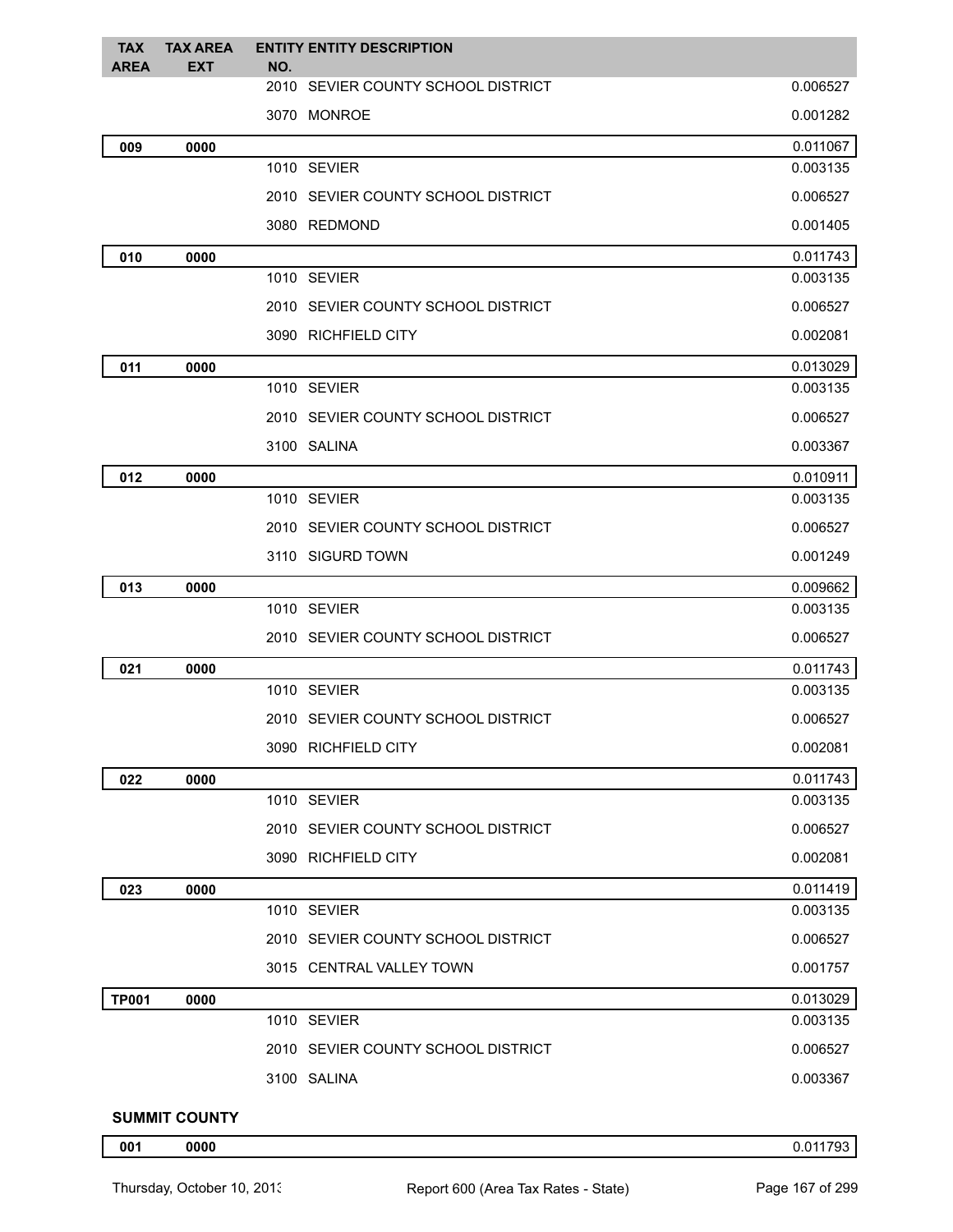| <b>TAX</b><br><b>AREA</b> | <b>TAX AREA</b><br><b>EXT</b> | <b>ENTITY ENTITY DESCRIPTION</b><br>NO. |          |
|---------------------------|-------------------------------|-----------------------------------------|----------|
|                           |                               | 2010 SEVIER COUNTY SCHOOL DISTRICT      | 0.006527 |
|                           |                               | 3070 MONROE                             | 0.001282 |
| 009                       | 0000                          |                                         | 0.011067 |
|                           |                               | 1010 SEVIER                             | 0.003135 |
|                           |                               | 2010 SEVIER COUNTY SCHOOL DISTRICT      | 0.006527 |
|                           |                               | 3080 REDMOND                            | 0.001405 |
| 010                       | 0000                          |                                         | 0.011743 |
|                           |                               | 1010 SEVIER                             | 0.003135 |
|                           |                               | 2010 SEVIER COUNTY SCHOOL DISTRICT      | 0.006527 |
|                           |                               | 3090 RICHFIELD CITY                     | 0.002081 |
| 011                       | 0000                          |                                         | 0.013029 |
|                           |                               | 1010 SEVIER                             | 0.003135 |
|                           |                               | 2010 SEVIER COUNTY SCHOOL DISTRICT      | 0.006527 |
|                           |                               | 3100 SALINA                             | 0.003367 |
| 012                       | 0000                          |                                         | 0.010911 |
|                           |                               | 1010 SEVIER                             | 0.003135 |
|                           |                               | 2010 SEVIER COUNTY SCHOOL DISTRICT      | 0.006527 |
|                           |                               | 3110 SIGURD TOWN                        | 0.001249 |
| 013                       | 0000                          |                                         | 0.009662 |
|                           |                               | 1010 SEVIER                             | 0.003135 |
|                           |                               | 2010 SEVIER COUNTY SCHOOL DISTRICT      | 0.006527 |
| 021                       | 0000                          |                                         | 0.011743 |
|                           |                               | 1010 SEVIER                             | 0.003135 |
|                           |                               | 2010 SEVIER COUNTY SCHOOL DISTRICT      | 0.006527 |
|                           |                               | 3090 RICHFIELD CITY                     | 0.002081 |
| 022                       | 0000                          |                                         | 0.011743 |
|                           |                               | 1010 SEVIER                             | 0.003135 |
|                           |                               | 2010 SEVIER COUNTY SCHOOL DISTRICT      | 0.006527 |
|                           |                               | 3090 RICHFIELD CITY                     | 0.002081 |
| 023                       | 0000                          |                                         | 0.011419 |
|                           |                               | 1010 SEVIER                             | 0.003135 |
|                           |                               | 2010 SEVIER COUNTY SCHOOL DISTRICT      | 0.006527 |
|                           |                               | 3015 CENTRAL VALLEY TOWN                | 0.001757 |
| <b>TP001</b>              | 0000                          |                                         | 0.013029 |
|                           |                               | 1010 SEVIER                             | 0.003135 |
|                           |                               | 2010 SEVIER COUNTY SCHOOL DISTRICT      | 0.006527 |
|                           |                               | 3100 SALINA                             | 0.003367 |
|                           |                               |                                         |          |

## **SUMMIT COUNTY**

**0000** 0.011793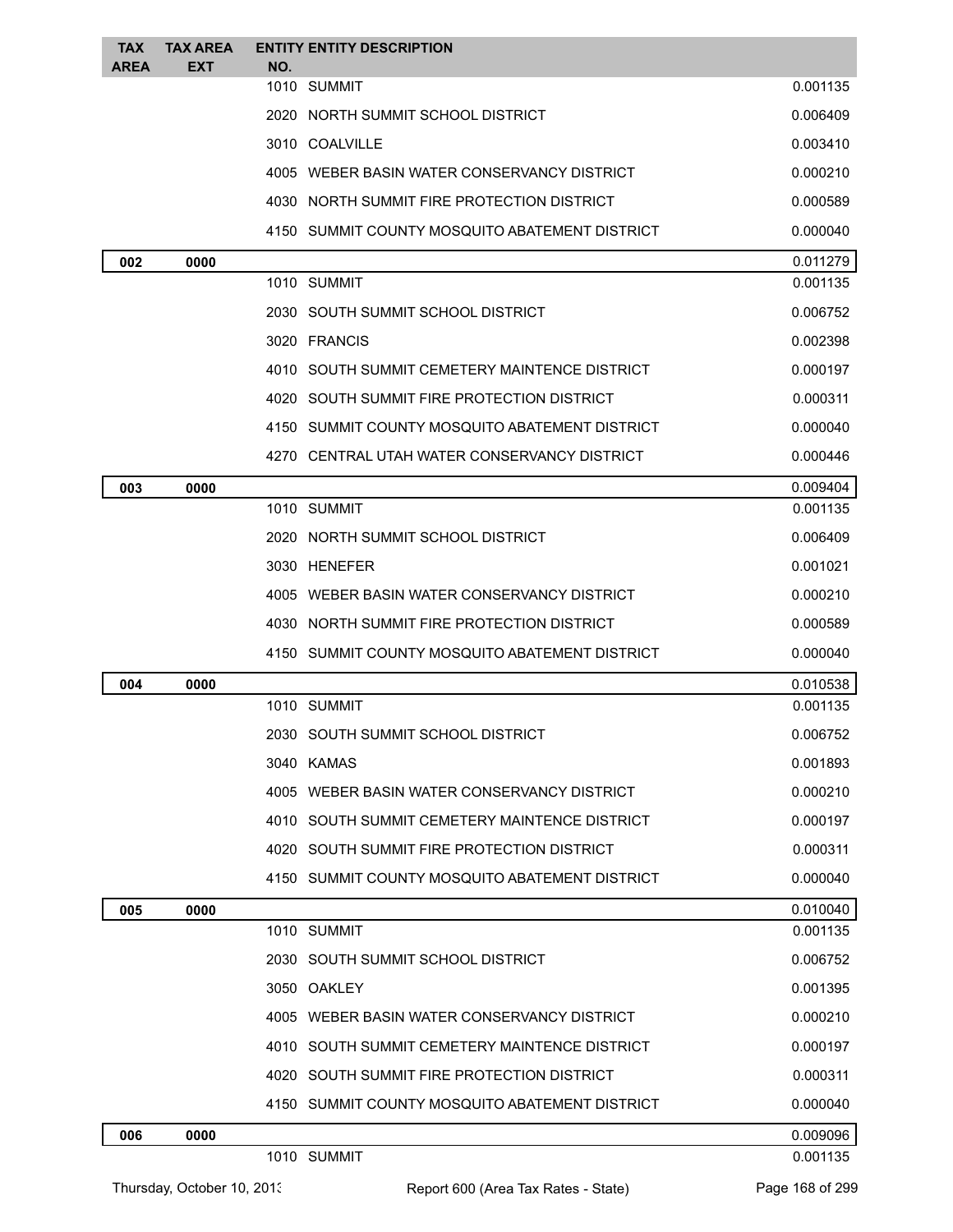| <b>TAX</b><br>AREA | <b>TAX AREA</b><br><b>EXT</b> | <b>ENTITY ENTITY DESCRIPTION</b><br>NO.        |          |
|--------------------|-------------------------------|------------------------------------------------|----------|
|                    |                               | 1010 SUMMIT                                    | 0.001135 |
|                    |                               | 2020 NORTH SUMMIT SCHOOL DISTRICT              | 0.006409 |
|                    |                               | 3010 COALVILLE                                 | 0.003410 |
|                    |                               | 4005 WEBER BASIN WATER CONSERVANCY DISTRICT    | 0.000210 |
|                    |                               | 4030 NORTH SUMMIT FIRE PROTECTION DISTRICT     | 0.000589 |
|                    |                               | 4150 SUMMIT COUNTY MOSQUITO ABATEMENT DISTRICT | 0.000040 |
| 002                | 0000                          |                                                | 0.011279 |
|                    |                               | 1010 SUMMIT                                    | 0.001135 |
|                    |                               | 2030 SOUTH SUMMIT SCHOOL DISTRICT              | 0.006752 |
|                    |                               | 3020 FRANCIS                                   | 0.002398 |
|                    |                               | 4010 SOUTH SUMMIT CEMETERY MAINTENCE DISTRICT  | 0.000197 |
|                    |                               | 4020 SOUTH SUMMIT FIRE PROTECTION DISTRICT     | 0.000311 |
|                    |                               | 4150 SUMMIT COUNTY MOSQUITO ABATEMENT DISTRICT | 0.000040 |
|                    |                               | 4270 CENTRAL UTAH WATER CONSERVANCY DISTRICT   | 0.000446 |
| 003                | 0000                          |                                                | 0.009404 |
|                    |                               | 1010 SUMMIT                                    | 0.001135 |
|                    |                               | 2020 NORTH SUMMIT SCHOOL DISTRICT              | 0.006409 |
|                    |                               | 3030 HENEFER                                   | 0.001021 |
|                    |                               | 4005 WEBER BASIN WATER CONSERVANCY DISTRICT    | 0.000210 |
|                    |                               | 4030 NORTH SUMMIT FIRE PROTECTION DISTRICT     | 0.000589 |
|                    |                               | 4150 SUMMIT COUNTY MOSQUITO ABATEMENT DISTRICT | 0.000040 |
| 004                | 0000                          |                                                | 0.010538 |
|                    |                               | 1010 SUMMIT                                    | 0.001135 |
|                    |                               | 2030   SOUTH SUMMIT SCHOOL DISTRICT            | 0.006752 |
|                    |                               | 3040 KAMAS                                     | 0.001893 |
|                    |                               | 4005 WEBER BASIN WATER CONSERVANCY DISTRICT    | 0.000210 |
|                    |                               | 4010 SOUTH SUMMIT CEMETERY MAINTENCE DISTRICT  | 0.000197 |
|                    |                               | 4020 SOUTH SUMMIT FIRE PROTECTION DISTRICT     | 0.000311 |
|                    |                               | 4150 SUMMIT COUNTY MOSQUITO ABATEMENT DISTRICT | 0.000040 |
| 005                | 0000                          |                                                | 0.010040 |
|                    |                               | 1010 SUMMIT                                    | 0.001135 |
|                    |                               | 2030 SOUTH SUMMIT SCHOOL DISTRICT              | 0.006752 |
|                    |                               | 3050 OAKLEY                                    | 0.001395 |
|                    |                               | 4005 WEBER BASIN WATER CONSERVANCY DISTRICT    | 0.000210 |
|                    |                               | 4010 SOUTH SUMMIT CEMETERY MAINTENCE DISTRICT  | 0.000197 |
|                    |                               | 4020 SOUTH SUMMIT FIRE PROTECTION DISTRICT     | 0.000311 |
|                    |                               | 4150 SUMMIT COUNTY MOSQUITO ABATEMENT DISTRICT | 0.000040 |
| 006                | 0000                          |                                                | 0.009096 |
|                    |                               | 1010 SUMMIT                                    | 0.001135 |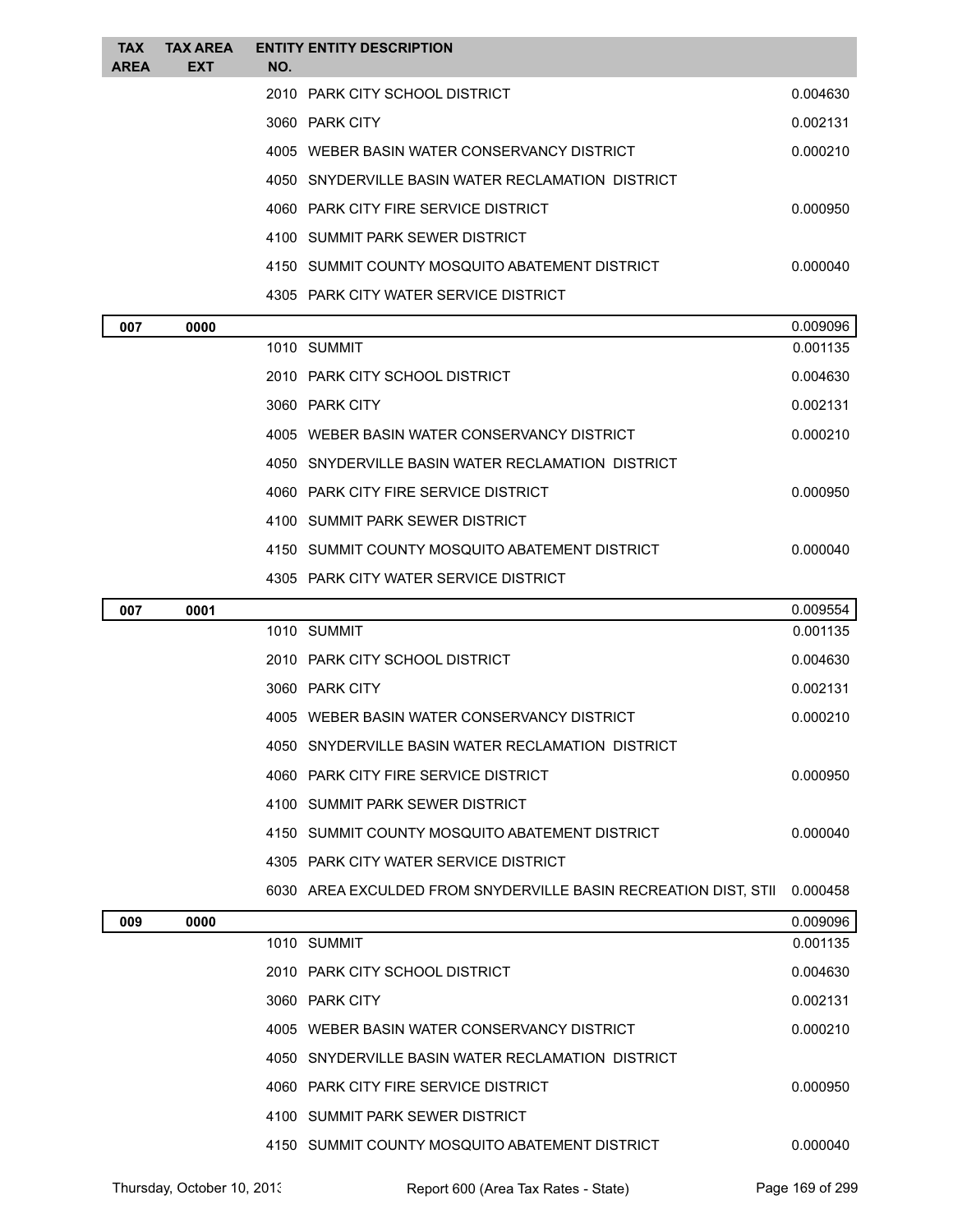| <b>TAX</b><br><b>AREA</b> | <b>TAX AREA</b><br><b>EXT</b> | NO. | <b>ENTITY ENTITY DESCRIPTION</b>                                         |          |
|---------------------------|-------------------------------|-----|--------------------------------------------------------------------------|----------|
|                           |                               |     | 2010 PARK CITY SCHOOL DISTRICT                                           | 0.004630 |
|                           |                               |     | 3060 PARK CITY                                                           | 0.002131 |
|                           |                               |     | 4005 WEBER BASIN WATER CONSERVANCY DISTRICT                              | 0.000210 |
|                           |                               |     | 4050 SNYDERVILLE BASIN WATER RECLAMATION DISTRICT                        |          |
|                           |                               |     | 4060 PARK CITY FIRE SERVICE DISTRICT                                     | 0.000950 |
|                           |                               |     | 4100 SUMMIT PARK SEWER DISTRICT                                          |          |
|                           |                               |     | 4150 SUMMIT COUNTY MOSQUITO ABATEMENT DISTRICT                           | 0.000040 |
|                           |                               |     | 4305 PARK CITY WATER SERVICE DISTRICT                                    |          |
| 007                       | 0000                          |     |                                                                          | 0.009096 |
|                           |                               |     | 1010 SUMMIT                                                              | 0.001135 |
|                           |                               |     | 2010 PARK CITY SCHOOL DISTRICT                                           | 0.004630 |
|                           |                               |     | 3060 PARK CITY                                                           | 0.002131 |
|                           |                               |     | 4005 WEBER BASIN WATER CONSERVANCY DISTRICT                              | 0.000210 |
|                           |                               |     | 4050 SNYDERVILLE BASIN WATER RECLAMATION DISTRICT                        |          |
|                           |                               |     | 4060 PARK CITY FIRE SERVICE DISTRICT                                     | 0.000950 |
|                           |                               |     | 4100 SUMMIT PARK SEWER DISTRICT                                          |          |
|                           |                               |     | 4150 SUMMIT COUNTY MOSQUITO ABATEMENT DISTRICT                           | 0.000040 |
|                           |                               |     | 4305 PARK CITY WATER SERVICE DISTRICT                                    |          |
| 007                       | 0001                          |     |                                                                          | 0.009554 |
|                           |                               |     | 1010 SUMMIT                                                              | 0.001135 |
|                           |                               |     | 2010 PARK CITY SCHOOL DISTRICT                                           | 0.004630 |
|                           |                               |     | 3060 PARK CITY                                                           | 0.002131 |
|                           |                               |     | 4005 WEBER BASIN WATER CONSERVANCY DISTRICT                              | 0.000210 |
|                           |                               |     | 4050 SNYDERVILLE BASIN WATER RECLAMATION DISTRICT                        |          |
|                           |                               |     | 4060 PARK CITY FIRE SERVICE DISTRICT                                     | 0.000950 |
|                           |                               |     | 4100 SUMMIT PARK SEWER DISTRICT                                          |          |
|                           |                               |     | 4150 SUMMIT COUNTY MOSQUITO ABATEMENT DISTRICT                           | 0.000040 |
|                           |                               |     | 4305 PARK CITY WATER SERVICE DISTRICT                                    |          |
|                           |                               |     | 6030 AREA EXCULDED FROM SNYDERVILLE BASIN RECREATION DIST, STII 0.000458 |          |
| 009                       | 0000                          |     |                                                                          | 0.009096 |
|                           |                               |     | 1010 SUMMIT                                                              | 0.001135 |
|                           |                               |     | 2010 PARK CITY SCHOOL DISTRICT                                           | 0.004630 |
|                           |                               |     | 3060 PARK CITY                                                           | 0.002131 |
|                           |                               |     | 4005 WEBER BASIN WATER CONSERVANCY DISTRICT                              | 0.000210 |
|                           |                               |     | 4050 SNYDERVILLE BASIN WATER RECLAMATION DISTRICT                        |          |
|                           |                               |     | 4060 PARK CITY FIRE SERVICE DISTRICT                                     | 0.000950 |
|                           |                               |     | 4100 SUMMIT PARK SEWER DISTRICT                                          |          |
|                           |                               |     | 4150 SUMMIT COUNTY MOSQUITO ABATEMENT DISTRICT                           | 0.000040 |

Thursday, October 10, 2013 Report 600 (Area Tax Rates - State) Page 169 of 299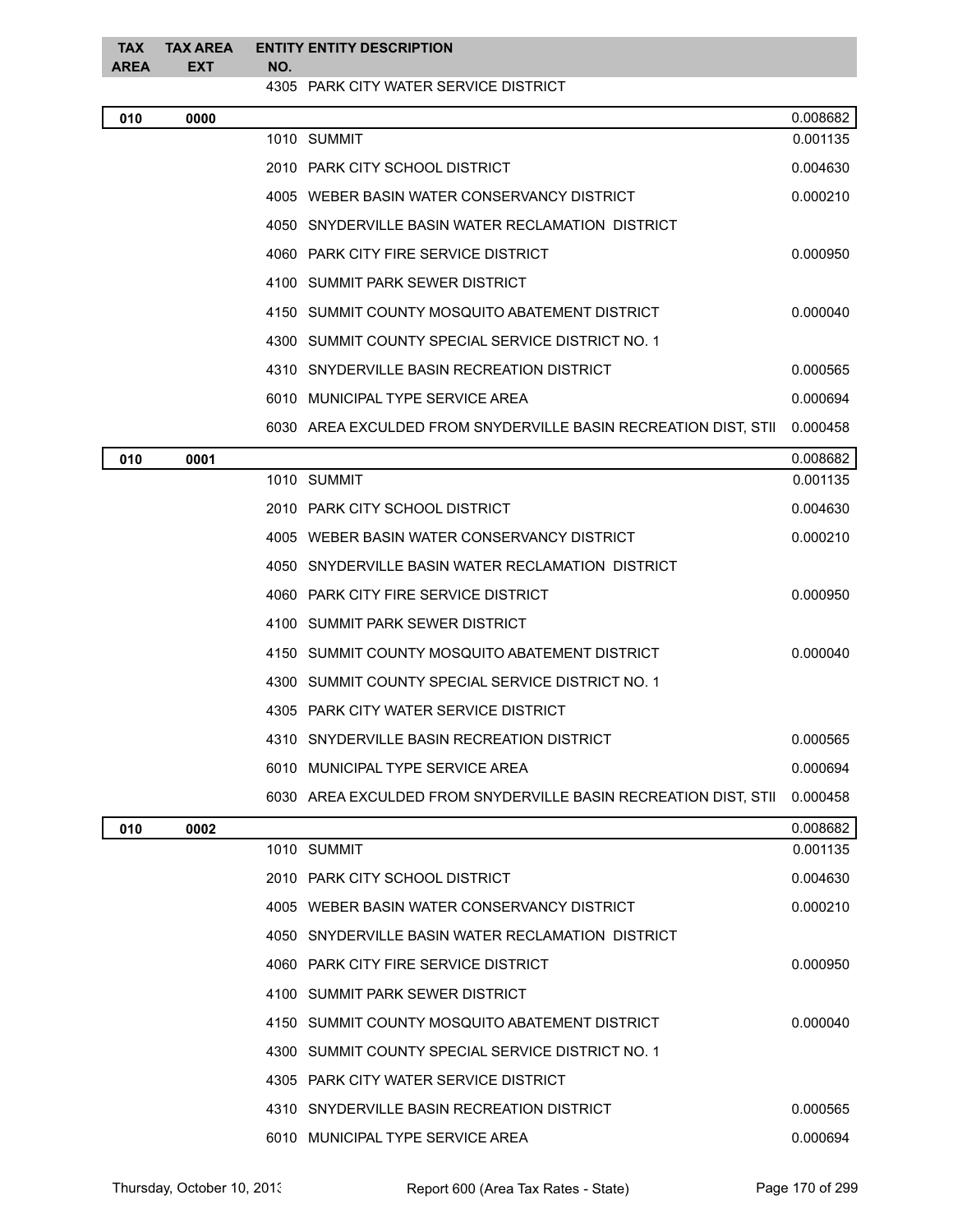| <b>TAX</b><br>AREA | <b>TAX AREA</b><br>EXT | NO. | <b>ENTITY ENTITY DESCRIPTION</b>                                |          |
|--------------------|------------------------|-----|-----------------------------------------------------------------|----------|
|                    |                        |     | 4305 PARK CITY WATER SERVICE DISTRICT                           |          |
| 010                | 0000                   |     |                                                                 | 0.008682 |
|                    |                        |     | 1010 SUMMIT                                                     | 0.001135 |
|                    |                        |     | 2010 PARK CITY SCHOOL DISTRICT                                  | 0.004630 |
|                    |                        |     | 4005 WEBER BASIN WATER CONSERVANCY DISTRICT                     | 0.000210 |
|                    |                        |     | 4050 SNYDERVILLE BASIN WATER RECLAMATION DISTRICT               |          |
|                    |                        |     | 4060 PARK CITY FIRE SERVICE DISTRICT                            | 0.000950 |
|                    |                        |     | 4100 SUMMIT PARK SEWER DISTRICT                                 |          |
|                    |                        |     | 4150 SUMMIT COUNTY MOSQUITO ABATEMENT DISTRICT                  | 0.000040 |
|                    |                        |     | 4300 SUMMIT COUNTY SPECIAL SERVICE DISTRICT NO. 1               |          |
|                    |                        |     | 4310 SNYDERVILLE BASIN RECREATION DISTRICT                      | 0.000565 |
|                    |                        |     | 6010 MUNICIPAL TYPE SERVICE AREA                                | 0.000694 |
|                    |                        |     | 6030 AREA EXCULDED FROM SNYDERVILLE BASIN RECREATION DIST, STII | 0.000458 |
| 010                | 0001                   |     |                                                                 | 0.008682 |
|                    |                        |     | 1010 SUMMIT                                                     | 0.001135 |
|                    |                        |     | 2010 PARK CITY SCHOOL DISTRICT                                  | 0.004630 |
|                    |                        |     | 4005 WEBER BASIN WATER CONSERVANCY DISTRICT                     | 0.000210 |
|                    |                        |     | 4050 SNYDERVILLE BASIN WATER RECLAMATION DISTRICT               |          |
|                    |                        |     | 4060 PARK CITY FIRE SERVICE DISTRICT                            | 0.000950 |
|                    |                        |     | 4100 SUMMIT PARK SEWER DISTRICT                                 |          |
|                    |                        |     | 4150 SUMMIT COUNTY MOSQUITO ABATEMENT DISTRICT                  | 0.000040 |
|                    |                        |     | 4300 SUMMIT COUNTY SPECIAL SERVICE DISTRICT NO. 1               |          |
|                    |                        |     | 4305 PARK CITY WATER SERVICE DISTRICT                           |          |
|                    |                        |     | 4310 SNYDERVILLE BASIN RECREATION DISTRICT                      | 0.000565 |
|                    |                        |     | 6010 MUNICIPAL TYPE SERVICE AREA                                | 0.000694 |
|                    |                        |     | 6030 AREA EXCULDED FROM SNYDERVILLE BASIN RECREATION DIST, STII | 0.000458 |
| 010                | 0002                   |     |                                                                 | 0.008682 |
|                    |                        |     | 1010 SUMMIT                                                     | 0.001135 |
|                    |                        |     | 2010 PARK CITY SCHOOL DISTRICT                                  | 0.004630 |
|                    |                        |     | 4005 WEBER BASIN WATER CONSERVANCY DISTRICT                     | 0.000210 |
|                    |                        |     | 4050 SNYDERVILLE BASIN WATER RECLAMATION DISTRICT               |          |
|                    |                        |     | 4060 PARK CITY FIRE SERVICE DISTRICT                            | 0.000950 |
|                    |                        |     | 4100 SUMMIT PARK SEWER DISTRICT                                 |          |
|                    |                        |     | 4150 SUMMIT COUNTY MOSQUITO ABATEMENT DISTRICT                  | 0.000040 |
|                    |                        |     | 4300 SUMMIT COUNTY SPECIAL SERVICE DISTRICT NO. 1               |          |
|                    |                        |     | 4305 PARK CITY WATER SERVICE DISTRICT                           |          |
|                    |                        |     | 4310 SNYDERVILLE BASIN RECREATION DISTRICT                      | 0.000565 |
|                    |                        |     | 6010 MUNICIPAL TYPE SERVICE AREA                                | 0.000694 |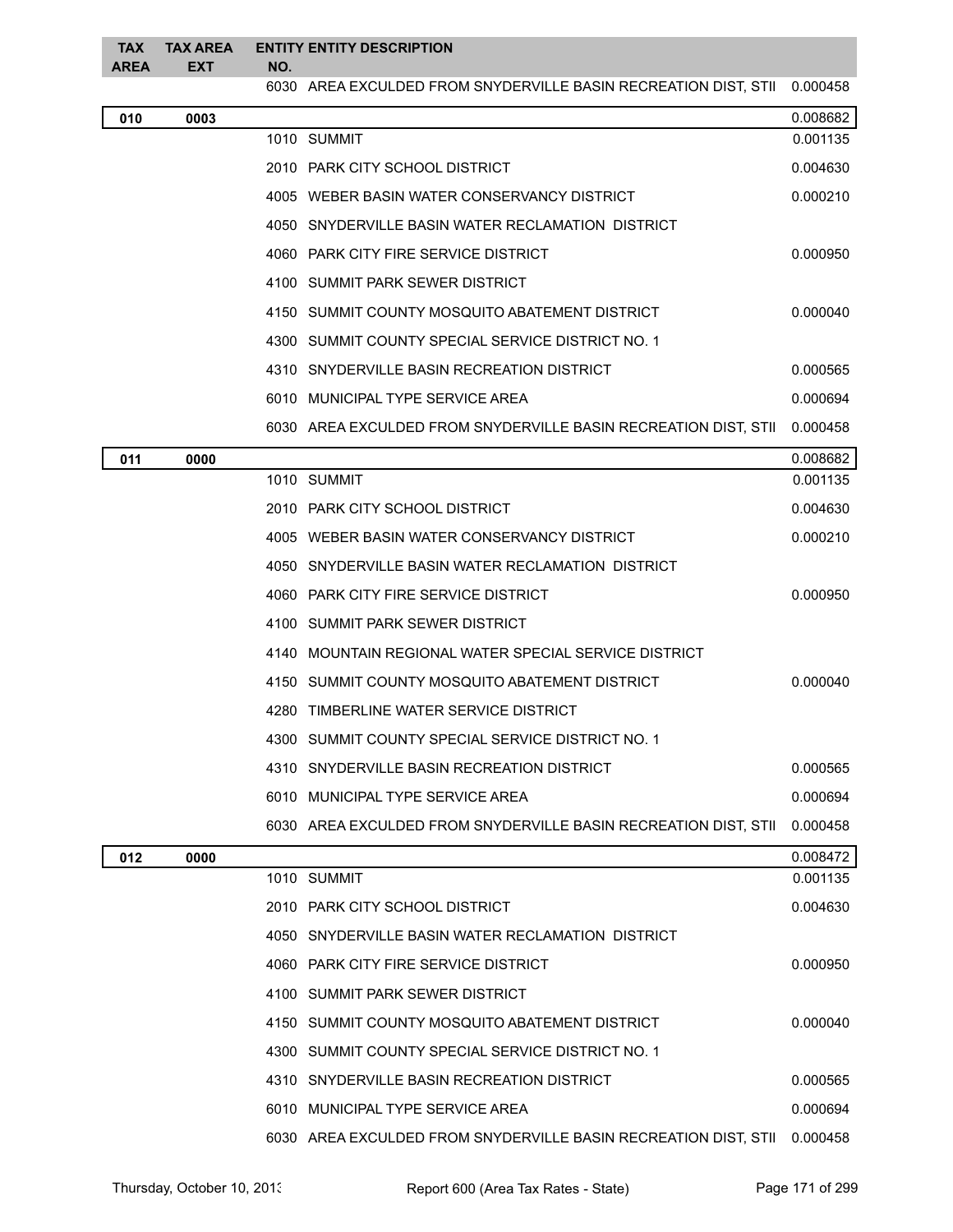## **TAX AREA TAX AREA ENTITY ENTITY DESCRIPTION EXT NO.**

6030 AREA EXCULDED FROM SNYDERVILLE BASIN RECREATION DIST, STII 0.000458

| 010 | 0003 |                                                                          | 0.008682 |
|-----|------|--------------------------------------------------------------------------|----------|
|     |      | 1010 SUMMIT                                                              | 0.001135 |
|     |      | 2010 PARK CITY SCHOOL DISTRICT                                           | 0.004630 |
|     |      | 4005 WEBER BASIN WATER CONSERVANCY DISTRICT                              | 0.000210 |
|     |      | 4050 SNYDERVILLE BASIN WATER RECLAMATION DISTRICT                        |          |
|     |      | 4060 PARK CITY FIRE SERVICE DISTRICT                                     | 0.000950 |
|     |      | 4100 SUMMIT PARK SEWER DISTRICT                                          |          |
|     |      | 4150 SUMMIT COUNTY MOSQUITO ABATEMENT DISTRICT                           | 0.000040 |
|     |      | 4300 SUMMIT COUNTY SPECIAL SERVICE DISTRICT NO. 1                        |          |
|     |      | 4310 SNYDERVILLE BASIN RECREATION DISTRICT                               | 0.000565 |
|     |      | 6010 MUNICIPAL TYPE SERVICE AREA                                         | 0.000694 |
|     |      | 6030 AREA EXCULDED FROM SNYDERVILLE BASIN RECREATION DIST, STII 0.000458 |          |
| 011 | 0000 |                                                                          | 0.008682 |
|     |      | 1010 SUMMIT                                                              | 0.001135 |
|     |      | 2010 PARK CITY SCHOOL DISTRICT                                           | 0.004630 |
|     |      | 4005 WEBER BASIN WATER CONSERVANCY DISTRICT                              | 0.000210 |
|     |      | 4050 SNYDERVILLE BASIN WATER RECLAMATION DISTRICT                        |          |
|     |      | 4060 PARK CITY FIRE SERVICE DISTRICT                                     | 0.000950 |
|     |      | 4100 SUMMIT PARK SEWER DISTRICT                                          |          |
|     |      | 4140 MOUNTAIN REGIONAL WATER SPECIAL SERVICE DISTRICT                    |          |
|     |      | 4150 SUMMIT COUNTY MOSQUITO ABATEMENT DISTRICT                           | 0.000040 |
|     |      | 4280 TIMBERLINE WATER SERVICE DISTRICT                                   |          |
|     |      | 4300 SUMMIT COUNTY SPECIAL SERVICE DISTRICT NO. 1                        |          |
|     |      | 4310 SNYDERVILLE BASIN RECREATION DISTRICT                               | 0.000565 |
|     |      | 6010 MUNICIPAL TYPE SERVICE AREA                                         | 0.000694 |
|     |      | 6030 AREA EXCULDED FROM SNYDERVILLE BASIN RECREATION DIST, STII          | 0.000458 |
| 012 | 0000 |                                                                          | 0.008472 |
|     |      | 1010 SUMMIT                                                              | 0.001135 |
|     |      | 2010 PARK CITY SCHOOL DISTRICT                                           | 0.004630 |
|     |      | 4050 SNYDERVILLE BASIN WATER RECLAMATION DISTRICT                        |          |
|     |      | 4060 PARK CITY FIRE SERVICE DISTRICT                                     | 0.000950 |
|     |      | 4100 SUMMIT PARK SEWER DISTRICT                                          |          |
|     |      | 4150 SUMMIT COUNTY MOSQUITO ABATEMENT DISTRICT                           | 0.000040 |
|     |      | 4300 SUMMIT COUNTY SPECIAL SERVICE DISTRICT NO. 1                        |          |
|     |      | 4310 SNYDERVILLE BASIN RECREATION DISTRICT                               | 0.000565 |
|     |      | 6010 MUNICIPAL TYPE SERVICE AREA                                         | 0.000694 |
|     |      | 6030 AREA EXCULDED FROM SNYDERVILLE BASIN RECREATION DIST, STII          | 0.000458 |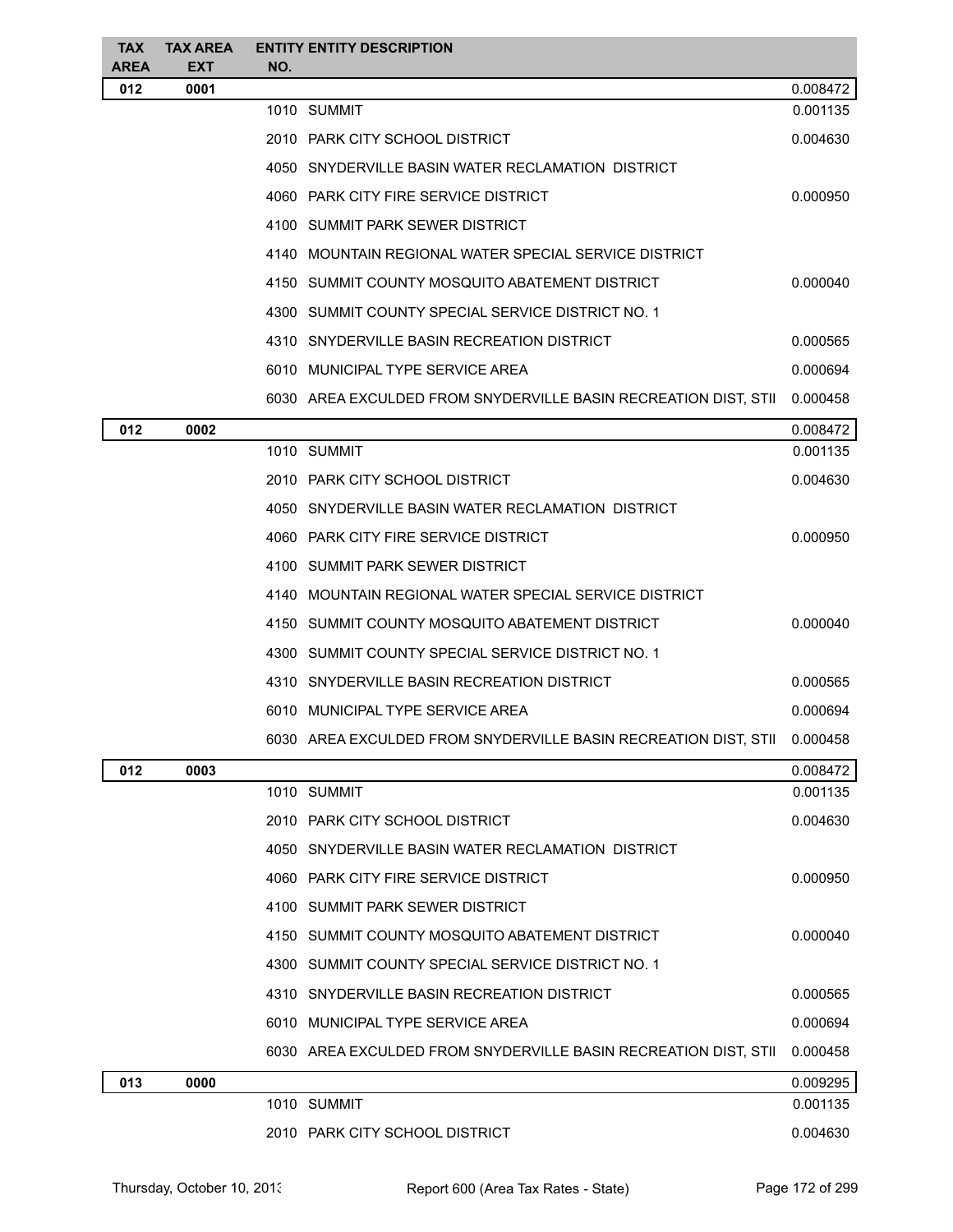| <b>TAX</b><br><b>AREA</b> | <b>TAX AREA</b><br><b>EXT</b> | <b>ENTITY ENTITY DESCRIPTION</b><br>NO.                         |          |
|---------------------------|-------------------------------|-----------------------------------------------------------------|----------|
| 012                       | 0001                          |                                                                 | 0.008472 |
|                           |                               | 1010 SUMMIT                                                     | 0.001135 |
|                           |                               | 2010 PARK CITY SCHOOL DISTRICT                                  | 0.004630 |
|                           |                               | 4050 SNYDERVILLE BASIN WATER RECLAMATION DISTRICT               |          |
|                           |                               | 4060 PARK CITY FIRE SERVICE DISTRICT                            | 0.000950 |
|                           |                               | 4100 SUMMIT PARK SEWER DISTRICT                                 |          |
|                           |                               | 4140 MOUNTAIN REGIONAL WATER SPECIAL SERVICE DISTRICT           |          |
|                           |                               | 4150 SUMMIT COUNTY MOSQUITO ABATEMENT DISTRICT                  | 0.000040 |
|                           |                               | 4300 SUMMIT COUNTY SPECIAL SERVICE DISTRICT NO. 1               |          |
|                           |                               | 4310 SNYDERVILLE BASIN RECREATION DISTRICT                      | 0.000565 |
|                           |                               | 6010 MUNICIPAL TYPE SERVICE AREA                                | 0.000694 |
|                           |                               | 6030 AREA EXCULDED FROM SNYDERVILLE BASIN RECREATION DIST, STII | 0.000458 |
| 012                       | 0002                          |                                                                 | 0.008472 |
|                           |                               | 1010 SUMMIT                                                     | 0.001135 |
|                           |                               | 2010 PARK CITY SCHOOL DISTRICT                                  | 0.004630 |
|                           |                               | 4050 SNYDERVILLE BASIN WATER RECLAMATION DISTRICT               |          |
|                           |                               | 4060 PARK CITY FIRE SERVICE DISTRICT                            | 0.000950 |
|                           |                               | 4100 SUMMIT PARK SEWER DISTRICT                                 |          |
|                           |                               | 4140 MOUNTAIN REGIONAL WATER SPECIAL SERVICE DISTRICT           |          |
|                           |                               | 4150 SUMMIT COUNTY MOSQUITO ABATEMENT DISTRICT                  | 0.000040 |
|                           |                               | 4300 SUMMIT COUNTY SPECIAL SERVICE DISTRICT NO. 1               |          |
|                           |                               | 4310 SNYDERVILLE BASIN RECREATION DISTRICT                      | 0.000565 |
|                           |                               | 6010 MUNICIPAL TYPE SERVICE AREA                                | 0.000694 |
|                           |                               | 6030 AREA EXCULDED FROM SNYDERVILLE BASIN RECREATION DIST, STII | 0.000458 |
| 012                       | 0003                          |                                                                 | 0.008472 |
|                           |                               | 1010 SUMMIT                                                     | 0.001135 |
|                           |                               | 2010 PARK CITY SCHOOL DISTRICT                                  | 0.004630 |
|                           |                               | 4050 SNYDERVILLE BASIN WATER RECLAMATION DISTRICT               |          |
|                           |                               | 4060 PARK CITY FIRE SERVICE DISTRICT                            | 0.000950 |
|                           |                               | 4100 SUMMIT PARK SEWER DISTRICT                                 |          |
|                           |                               | 4150 SUMMIT COUNTY MOSQUITO ABATEMENT DISTRICT                  | 0.000040 |
|                           |                               | 4300 SUMMIT COUNTY SPECIAL SERVICE DISTRICT NO. 1               |          |
|                           |                               | 4310 SNYDERVILLE BASIN RECREATION DISTRICT                      | 0.000565 |
|                           |                               | 6010 MUNICIPAL TYPE SERVICE AREA                                | 0.000694 |
|                           |                               | 6030 AREA EXCULDED FROM SNYDERVILLE BASIN RECREATION DIST, STII | 0.000458 |
| 013                       | 0000                          |                                                                 | 0.009295 |
|                           |                               | 1010 SUMMIT                                                     | 0.001135 |
|                           |                               | 2010 PARK CITY SCHOOL DISTRICT                                  | 0.004630 |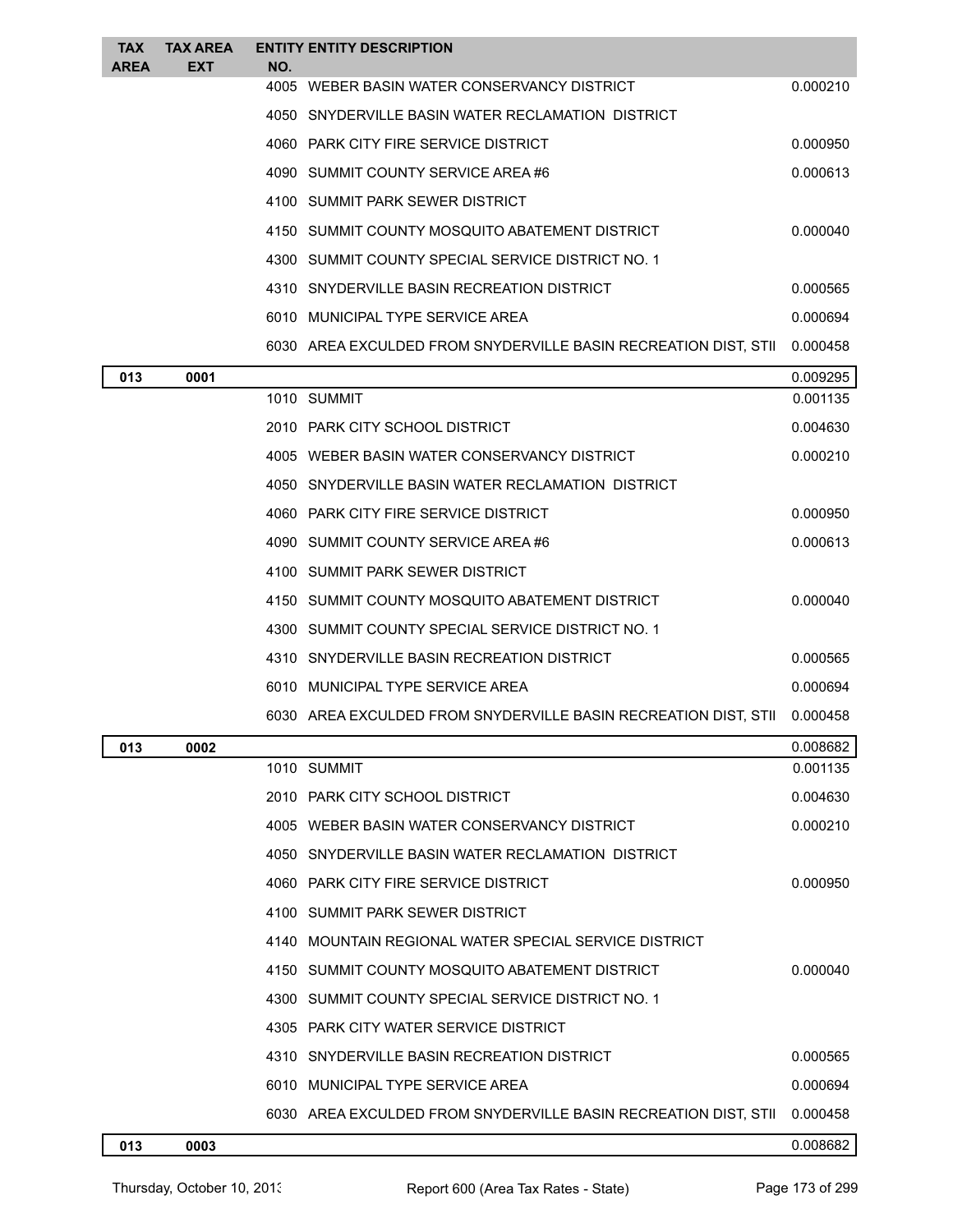| <b>TAX</b> | <b>TAX AREA</b> |      | <b>ENTITY ENTITY DESCRIPTION</b>                                         |          |
|------------|-----------------|------|--------------------------------------------------------------------------|----------|
| AREA       | EXT             | NO.  | 4005 WEBER BASIN WATER CONSERVANCY DISTRICT                              | 0.000210 |
|            |                 |      | 4050 SNYDERVILLE BASIN WATER RECLAMATION DISTRICT                        |          |
|            |                 |      | 4060 PARK CITY FIRE SERVICE DISTRICT                                     | 0.000950 |
|            |                 |      | 4090 SUMMIT COUNTY SERVICE AREA#6                                        | 0.000613 |
|            |                 |      | 4100 SUMMIT PARK SEWER DISTRICT                                          |          |
|            |                 |      | 4150 SUMMIT COUNTY MOSQUITO ABATEMENT DISTRICT                           | 0.000040 |
|            |                 |      | 4300 SUMMIT COUNTY SPECIAL SERVICE DISTRICT NO. 1                        |          |
|            |                 |      | 4310 SNYDERVILLE BASIN RECREATION DISTRICT                               | 0.000565 |
|            |                 |      | 6010 MUNICIPAL TYPE SERVICE AREA                                         | 0.000694 |
|            |                 |      | 6030 AREA EXCULDED FROM SNYDERVILLE BASIN RECREATION DIST, STII          | 0.000458 |
| 013        | 0001            |      |                                                                          | 0.009295 |
|            |                 |      | 1010 SUMMIT                                                              | 0.001135 |
|            |                 |      | 2010 PARK CITY SCHOOL DISTRICT                                           | 0.004630 |
|            |                 |      | 4005 WEBER BASIN WATER CONSERVANCY DISTRICT                              | 0.000210 |
|            |                 |      | 4050 SNYDERVILLE BASIN WATER RECLAMATION DISTRICT                        |          |
|            |                 |      | 4060 PARK CITY FIRE SERVICE DISTRICT                                     | 0.000950 |
|            |                 |      | 4090 SUMMIT COUNTY SERVICE AREA#6                                        | 0.000613 |
|            |                 |      | 4100 SUMMIT PARK SEWER DISTRICT                                          |          |
|            |                 |      | 4150 SUMMIT COUNTY MOSQUITO ABATEMENT DISTRICT                           | 0.000040 |
|            |                 |      | 4300 SUMMIT COUNTY SPECIAL SERVICE DISTRICT NO. 1                        |          |
|            |                 |      | 4310 SNYDERVILLE BASIN RECREATION DISTRICT                               | 0.000565 |
|            |                 |      | 6010 MUNICIPAL TYPE SERVICE AREA                                         | 0.000694 |
|            |                 |      | 6030 AREA EXCULDED FROM SNYDERVILLE BASIN RECREATION DIST, STII 0.000458 |          |
| 013        | 0002            |      |                                                                          | 0.008682 |
|            |                 |      | 1010 SUMMIT                                                              | 0.001135 |
|            |                 |      | 2010 PARK CITY SCHOOL DISTRICT                                           | 0.004630 |
|            |                 |      | 4005 WEBER BASIN WATER CONSERVANCY DISTRICT                              | 0.000210 |
|            |                 |      | 4050 SNYDERVILLE BASIN WATER RECLAMATION DISTRICT                        |          |
|            |                 |      | 4060 PARK CITY FIRE SERVICE DISTRICT                                     | 0.000950 |
|            |                 |      | 4100 SUMMIT PARK SEWER DISTRICT                                          |          |
|            |                 |      | 4140 MOUNTAIN REGIONAL WATER SPECIAL SERVICE DISTRICT                    |          |
|            |                 | 4150 | SUMMIT COUNTY MOSQUITO ABATEMENT DISTRICT                                | 0.000040 |
|            |                 | 4300 | SUMMIT COUNTY SPECIAL SERVICE DISTRICT NO. 1                             |          |
|            |                 |      | 4305 PARK CITY WATER SERVICE DISTRICT                                    |          |
|            |                 | 4310 | SNYDERVILLE BASIN RECREATION DISTRICT                                    | 0.000565 |
|            |                 |      | 6010 MUNICIPAL TYPE SERVICE AREA                                         | 0.000694 |
|            |                 |      | 6030 AREA EXCULDED FROM SNYDERVILLE BASIN RECREATION DIST, STII          | 0.000458 |
| 013        | 0003            |      |                                                                          | 0.008682 |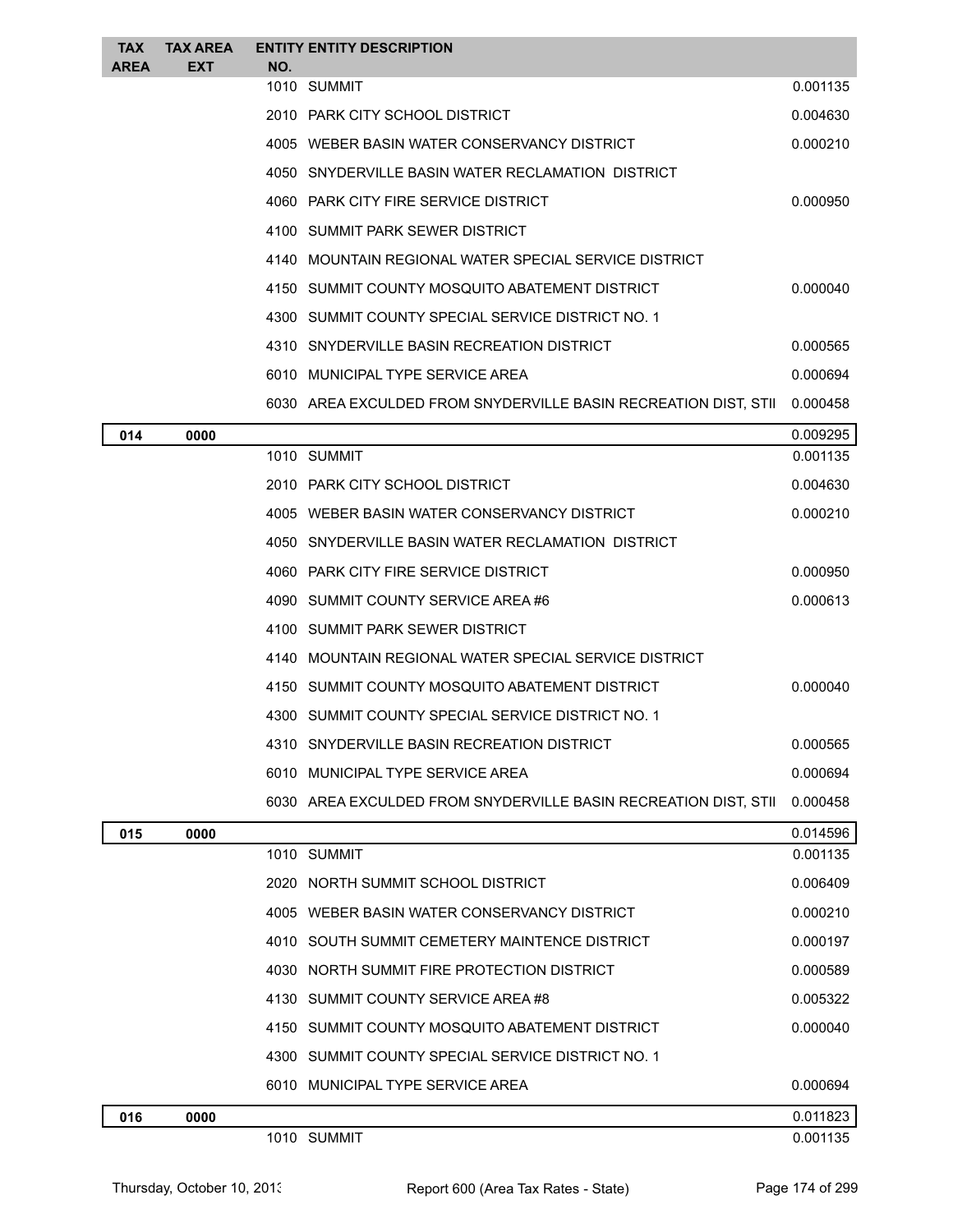| <b>TAX</b> | <b>TAX AREA</b> |     | <b>ENTITY ENTITY DESCRIPTION</b>                                |          |
|------------|-----------------|-----|-----------------------------------------------------------------|----------|
| AREA       | EXT             | NO. | 1010 SUMMIT                                                     | 0.001135 |
|            |                 |     | 2010 PARK CITY SCHOOL DISTRICT                                  | 0.004630 |
|            |                 |     | 4005 WEBER BASIN WATER CONSERVANCY DISTRICT                     | 0.000210 |
|            |                 |     | 4050 SNYDERVILLE BASIN WATER RECLAMATION DISTRICT               |          |
|            |                 |     | 4060 PARK CITY FIRE SERVICE DISTRICT                            | 0.000950 |
|            |                 |     | 4100 SUMMIT PARK SEWER DISTRICT                                 |          |
|            |                 |     | 4140 MOUNTAIN REGIONAL WATER SPECIAL SERVICE DISTRICT           |          |
|            |                 |     | 4150 SUMMIT COUNTY MOSQUITO ABATEMENT DISTRICT                  | 0.000040 |
|            |                 |     | 4300 SUMMIT COUNTY SPECIAL SERVICE DISTRICT NO. 1               |          |
|            |                 |     | 4310 SNYDERVILLE BASIN RECREATION DISTRICT                      | 0.000565 |
|            |                 |     | 6010 MUNICIPAL TYPE SERVICE AREA                                | 0.000694 |
|            |                 |     | 6030 AREA EXCULDED FROM SNYDERVILLE BASIN RECREATION DIST, STII | 0.000458 |
| 014        | 0000            |     |                                                                 | 0.009295 |
|            |                 |     | 1010 SUMMIT                                                     | 0.001135 |
|            |                 |     | 2010 PARK CITY SCHOOL DISTRICT                                  | 0.004630 |
|            |                 |     | 4005 WEBER BASIN WATER CONSERVANCY DISTRICT                     | 0.000210 |
|            |                 |     | 4050 SNYDERVILLE BASIN WATER RECLAMATION DISTRICT               |          |
|            |                 |     | 4060 PARK CITY FIRE SERVICE DISTRICT                            | 0.000950 |
|            |                 |     | 4090 SUMMIT COUNTY SERVICE AREA#6                               | 0.000613 |
|            |                 |     | 4100 SUMMIT PARK SEWER DISTRICT                                 |          |
|            |                 |     | 4140 MOUNTAIN REGIONAL WATER SPECIAL SERVICE DISTRICT           |          |
|            |                 |     | 4150 SUMMIT COUNTY MOSQUITO ABATEMENT DISTRICT                  | 0.000040 |
|            |                 |     | 4300 SUMMIT COUNTY SPECIAL SERVICE DISTRICT NO. 1               |          |
|            |                 |     | 4310 SNYDERVILLE BASIN RECREATION DISTRICT                      | 0.000565 |
|            |                 |     | 6010 MUNICIPAL TYPE SERVICE AREA                                | 0.000694 |
|            |                 |     | 6030 AREA EXCULDED FROM SNYDERVILLE BASIN RECREATION DIST, STII | 0.000458 |
| 015        | 0000            |     |                                                                 | 0.014596 |
|            |                 |     | 1010 SUMMIT                                                     | 0.001135 |
|            |                 |     | 2020 NORTH SUMMIT SCHOOL DISTRICT                               | 0.006409 |
|            |                 |     | 4005 WEBER BASIN WATER CONSERVANCY DISTRICT                     | 0.000210 |
|            |                 |     | 4010 SOUTH SUMMIT CEMETERY MAINTENCE DISTRICT                   | 0.000197 |
|            |                 |     | 4030 NORTH SUMMIT FIRE PROTECTION DISTRICT                      | 0.000589 |
|            |                 |     | 4130 SUMMIT COUNTY SERVICE AREA #8                              | 0.005322 |
|            |                 |     | 4150 SUMMIT COUNTY MOSQUITO ABATEMENT DISTRICT                  | 0.000040 |
|            |                 |     | 4300 SUMMIT COUNTY SPECIAL SERVICE DISTRICT NO. 1               |          |
|            |                 |     | 6010 MUNICIPAL TYPE SERVICE AREA                                | 0.000694 |
| 016        | 0000            |     |                                                                 | 0.011823 |
|            |                 |     | 1010 SUMMIT                                                     | 0.001135 |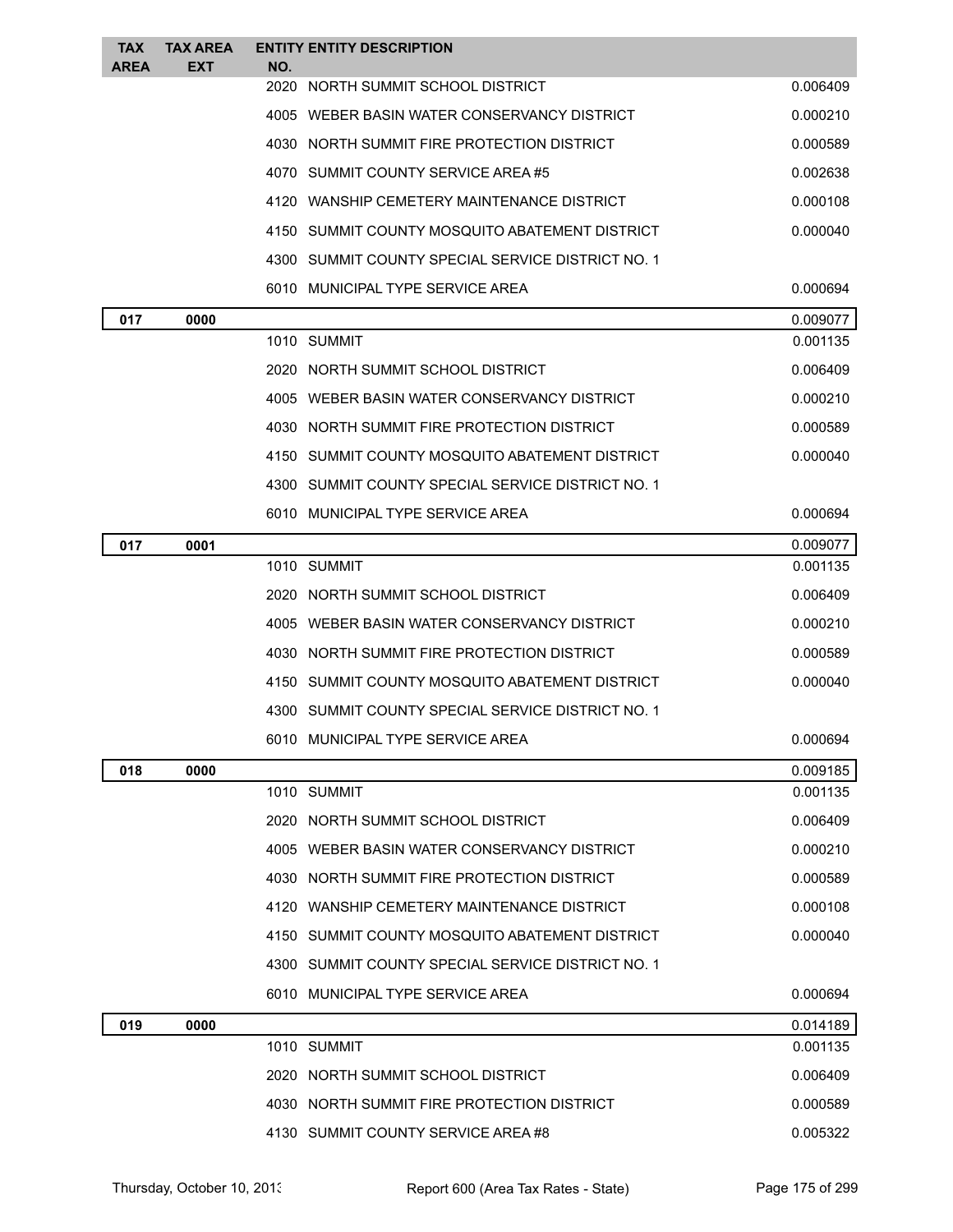| TAX<br><b>AREA</b> | <b>TAX AREA</b><br><b>EXT</b> | <b>ENTITY ENTITY DESCRIPTION</b><br>NO.           |          |
|--------------------|-------------------------------|---------------------------------------------------|----------|
|                    |                               | 2020 NORTH SUMMIT SCHOOL DISTRICT                 | 0.006409 |
|                    |                               | 4005 WEBER BASIN WATER CONSERVANCY DISTRICT       | 0.000210 |
|                    |                               | 4030 NORTH SUMMIT FIRE PROTECTION DISTRICT        | 0.000589 |
|                    |                               | 4070 SUMMIT COUNTY SERVICE AREA#5                 | 0.002638 |
|                    |                               | 4120 WANSHIP CEMETERY MAINTENANCE DISTRICT        | 0.000108 |
|                    |                               | 4150 SUMMIT COUNTY MOSQUITO ABATEMENT DISTRICT    | 0.000040 |
|                    |                               | 4300 SUMMIT COUNTY SPECIAL SERVICE DISTRICT NO. 1 |          |
|                    |                               | 6010 MUNICIPAL TYPE SERVICE AREA                  | 0.000694 |
| 017                | 0000                          |                                                   | 0.009077 |
|                    |                               | 1010 SUMMIT                                       | 0.001135 |
|                    |                               | 2020 NORTH SUMMIT SCHOOL DISTRICT                 | 0.006409 |
|                    |                               | 4005 WEBER BASIN WATER CONSERVANCY DISTRICT       | 0.000210 |
|                    |                               | 4030 NORTH SUMMIT FIRE PROTECTION DISTRICT        | 0.000589 |
|                    |                               | 4150 SUMMIT COUNTY MOSQUITO ABATEMENT DISTRICT    | 0.000040 |
|                    |                               | 4300 SUMMIT COUNTY SPECIAL SERVICE DISTRICT NO. 1 |          |
|                    |                               | 6010 MUNICIPAL TYPE SERVICE AREA                  | 0.000694 |
| 017                | 0001                          |                                                   | 0.009077 |
|                    |                               | 1010 SUMMIT                                       | 0.001135 |
|                    |                               | 2020 NORTH SUMMIT SCHOOL DISTRICT                 | 0.006409 |
|                    |                               | 4005 WEBER BASIN WATER CONSERVANCY DISTRICT       | 0.000210 |
|                    |                               | 4030 NORTH SUMMIT FIRE PROTECTION DISTRICT        | 0.000589 |
|                    |                               | 4150 SUMMIT COUNTY MOSQUITO ABATEMENT DISTRICT    | 0.000040 |
|                    |                               | 4300 SUMMIT COUNTY SPECIAL SERVICE DISTRICT NO. 1 |          |
|                    |                               | 6010 MUNICIPAL TYPE SERVICE AREA                  | 0.000694 |
| 018                | 0000                          |                                                   | 0.009185 |
|                    |                               | 1010 SUMMIT                                       | 0.001135 |
|                    |                               | 2020 NORTH SUMMIT SCHOOL DISTRICT                 | 0.006409 |
|                    |                               | 4005 WEBER BASIN WATER CONSERVANCY DISTRICT       | 0.000210 |
|                    |                               | 4030 NORTH SUMMIT FIRE PROTECTION DISTRICT        | 0.000589 |
|                    |                               | 4120 WANSHIP CEMETERY MAINTENANCE DISTRICT        | 0.000108 |
|                    |                               | 4150 SUMMIT COUNTY MOSQUITO ABATEMENT DISTRICT    | 0.000040 |
|                    |                               | 4300 SUMMIT COUNTY SPECIAL SERVICE DISTRICT NO. 1 |          |
|                    |                               | 6010 MUNICIPAL TYPE SERVICE AREA                  | 0.000694 |
| 019                | 0000                          |                                                   | 0.014189 |
|                    |                               | 1010 SUMMIT                                       | 0.001135 |
|                    |                               | 2020 NORTH SUMMIT SCHOOL DISTRICT                 | 0.006409 |
|                    |                               | 4030 NORTH SUMMIT FIRE PROTECTION DISTRICT        | 0.000589 |
|                    |                               | 4130 SUMMIT COUNTY SERVICE AREA#8                 | 0.005322 |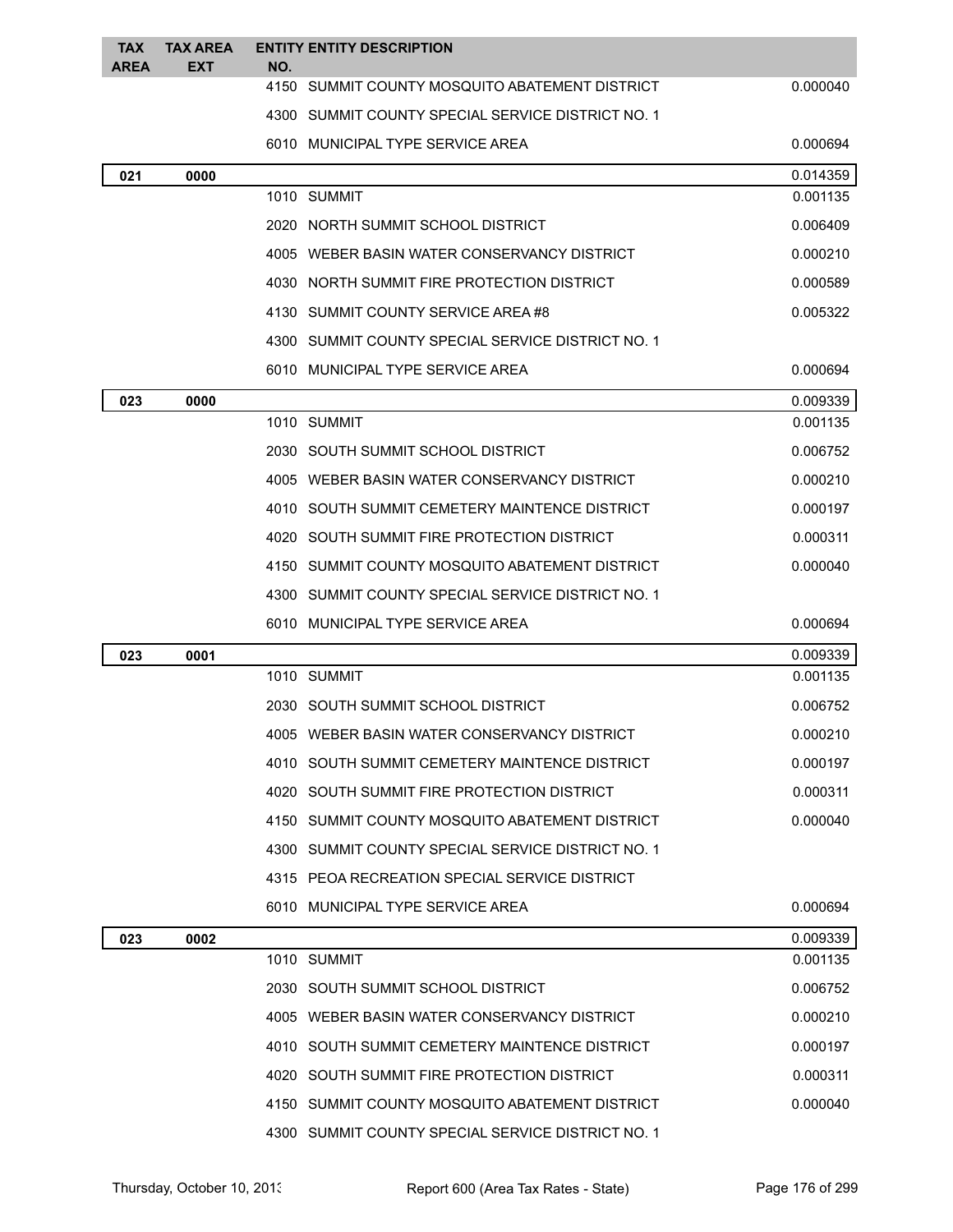| TAX<br><b>AREA</b> | <b>TAX AREA</b><br><b>EXT</b> | <b>ENTITY ENTITY DESCRIPTION</b><br>NO.           |          |
|--------------------|-------------------------------|---------------------------------------------------|----------|
|                    |                               | 4150 SUMMIT COUNTY MOSQUITO ABATEMENT DISTRICT    | 0.000040 |
|                    |                               | 4300 SUMMIT COUNTY SPECIAL SERVICE DISTRICT NO. 1 |          |
|                    |                               | 6010 MUNICIPAL TYPE SERVICE AREA                  | 0.000694 |
| 021                | 0000                          |                                                   | 0.014359 |
|                    |                               | 1010 SUMMIT                                       | 0.001135 |
|                    |                               | 2020 NORTH SUMMIT SCHOOL DISTRICT                 | 0.006409 |
|                    |                               | 4005 WEBER BASIN WATER CONSERVANCY DISTRICT       | 0.000210 |
|                    |                               | 4030 NORTH SUMMIT FIRE PROTECTION DISTRICT        | 0.000589 |
|                    |                               | 4130 SUMMIT COUNTY SERVICE AREA#8                 | 0.005322 |
|                    |                               | 4300 SUMMIT COUNTY SPECIAL SERVICE DISTRICT NO. 1 |          |
|                    |                               | 6010 MUNICIPAL TYPE SERVICE AREA                  | 0.000694 |
| 023                | 0000                          |                                                   | 0.009339 |
|                    |                               | 1010 SUMMIT                                       | 0.001135 |
|                    |                               | 2030 SOUTH SUMMIT SCHOOL DISTRICT                 | 0.006752 |
|                    |                               | 4005 WEBER BASIN WATER CONSERVANCY DISTRICT       | 0.000210 |
|                    |                               | 4010 SOUTH SUMMIT CEMETERY MAINTENCE DISTRICT     | 0.000197 |
|                    |                               | 4020 SOUTH SUMMIT FIRE PROTECTION DISTRICT        | 0.000311 |
|                    |                               | 4150 SUMMIT COUNTY MOSQUITO ABATEMENT DISTRICT    | 0.000040 |
|                    |                               | 4300 SUMMIT COUNTY SPECIAL SERVICE DISTRICT NO. 1 |          |
|                    |                               | 6010 MUNICIPAL TYPE SERVICE AREA                  | 0.000694 |
| 023                | 0001                          |                                                   | 0.009339 |
|                    |                               | 1010 SUMMIT                                       | 0.001135 |
|                    |                               | 2030 SOUTH SUMMIT SCHOOL DISTRICT                 | 0.006752 |
|                    |                               | 4005 WEBER BASIN WATER CONSERVANCY DISTRICT       | 0.000210 |
|                    |                               | 4010 SOUTH SUMMIT CEMETERY MAINTENCE DISTRICT     | 0.000197 |
|                    |                               | 4020 SOUTH SUMMIT FIRE PROTECTION DISTRICT        | 0.000311 |
|                    |                               | 4150 SUMMIT COUNTY MOSQUITO ABATEMENT DISTRICT    | 0.000040 |
|                    |                               | 4300 SUMMIT COUNTY SPECIAL SERVICE DISTRICT NO. 1 |          |
|                    |                               | 4315 PEOA RECREATION SPECIAL SERVICE DISTRICT     |          |
|                    |                               | 6010 MUNICIPAL TYPE SERVICE AREA                  | 0.000694 |
| 023                | 0002                          |                                                   | 0.009339 |
|                    |                               | 1010 SUMMIT                                       | 0.001135 |
|                    |                               | 2030 SOUTH SUMMIT SCHOOL DISTRICT                 | 0.006752 |
|                    |                               | 4005 WEBER BASIN WATER CONSERVANCY DISTRICT       | 0.000210 |
|                    |                               | 4010 SOUTH SUMMIT CEMETERY MAINTENCE DISTRICT     | 0.000197 |
|                    |                               | 4020 SOUTH SUMMIT FIRE PROTECTION DISTRICT        | 0.000311 |
|                    |                               | 4150 SUMMIT COUNTY MOSQUITO ABATEMENT DISTRICT    | 0.000040 |
|                    |                               | 4300 SUMMIT COUNTY SPECIAL SERVICE DISTRICT NO. 1 |          |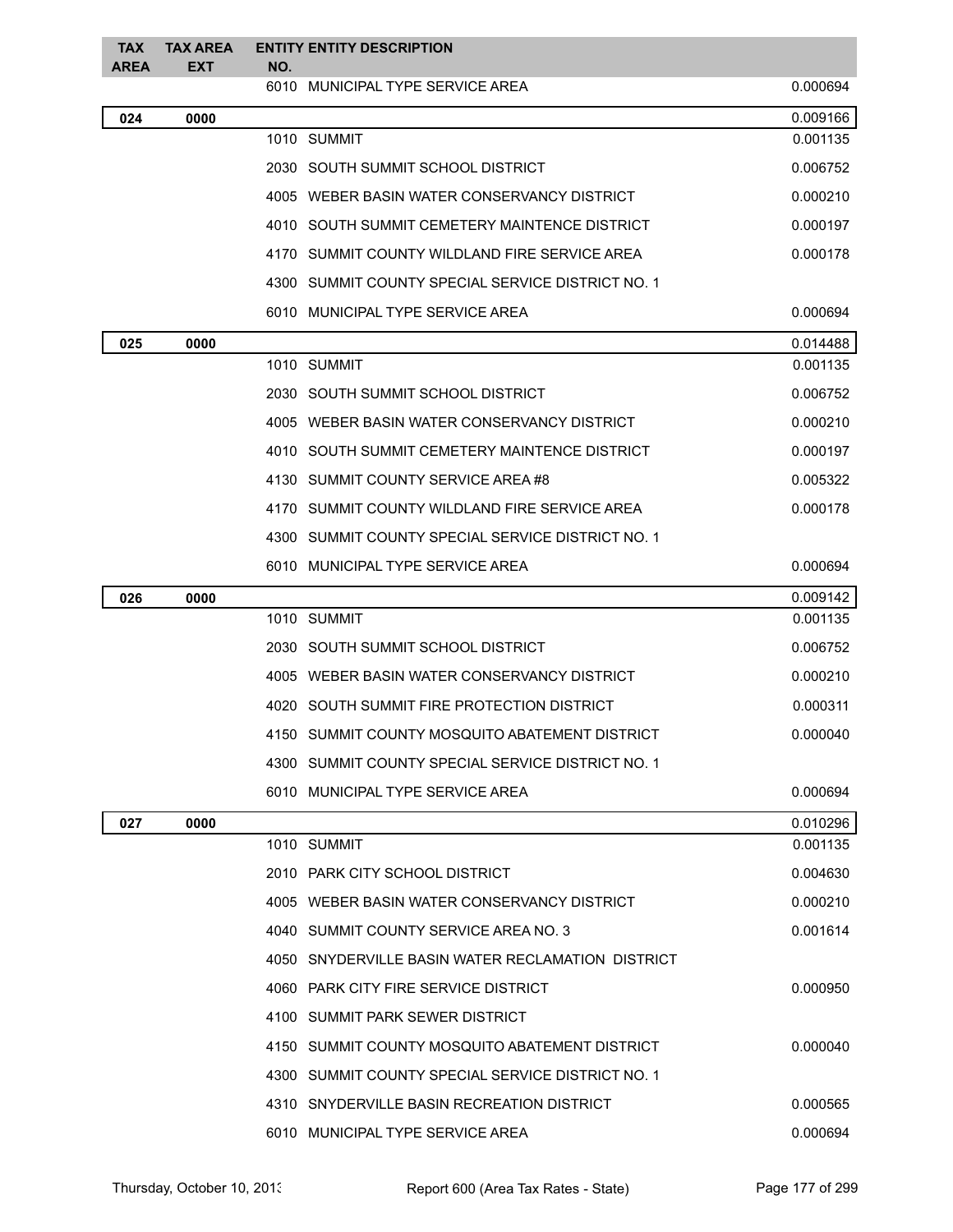| <b>TAX</b><br><b>AREA</b> | <b>TAX AREA</b><br>EXT | <b>ENTITY ENTITY DESCRIPTION</b><br>NO.           |          |
|---------------------------|------------------------|---------------------------------------------------|----------|
|                           |                        | 6010 MUNICIPAL TYPE SERVICE AREA                  | 0.000694 |
| 024                       | 0000                   |                                                   | 0.009166 |
|                           |                        | 1010 SUMMIT                                       | 0.001135 |
|                           |                        | 2030 SOUTH SUMMIT SCHOOL DISTRICT                 | 0.006752 |
|                           |                        | 4005 WEBER BASIN WATER CONSERVANCY DISTRICT       | 0.000210 |
|                           |                        | 4010 SOUTH SUMMIT CEMETERY MAINTENCE DISTRICT     | 0.000197 |
|                           |                        | 4170 SUMMIT COUNTY WILDLAND FIRE SERVICE AREA     | 0.000178 |
|                           |                        | 4300 SUMMIT COUNTY SPECIAL SERVICE DISTRICT NO. 1 |          |
|                           |                        | 6010 MUNICIPAL TYPE SERVICE AREA                  | 0.000694 |
| 025                       | 0000                   |                                                   | 0.014488 |
|                           |                        | 1010 SUMMIT                                       | 0.001135 |
|                           |                        | 2030 SOUTH SUMMIT SCHOOL DISTRICT                 | 0.006752 |
|                           |                        | 4005 WEBER BASIN WATER CONSERVANCY DISTRICT       | 0.000210 |
|                           |                        | 4010 SOUTH SUMMIT CEMETERY MAINTENCE DISTRICT     | 0.000197 |
|                           |                        | 4130 SUMMIT COUNTY SERVICE AREA#8                 | 0.005322 |
|                           |                        | 4170 SUMMIT COUNTY WILDLAND FIRE SERVICE AREA     | 0.000178 |
|                           |                        | 4300 SUMMIT COUNTY SPECIAL SERVICE DISTRICT NO. 1 |          |
|                           |                        | 6010 MUNICIPAL TYPE SERVICE AREA                  | 0.000694 |
| 026                       | 0000                   |                                                   | 0.009142 |
|                           |                        | 1010 SUMMIT                                       | 0.001135 |
|                           |                        | 2030 SOUTH SUMMIT SCHOOL DISTRICT                 | 0.006752 |
|                           |                        | 4005 WEBER BASIN WATER CONSERVANCY DISTRICT       | 0.000210 |
|                           |                        | 4020 SOUTH SUMMIT FIRE PROTECTION DISTRICT        | 0.000311 |
|                           |                        | 4150 SUMMIT COUNTY MOSQUITO ABATEMENT DISTRICT    | 0.000040 |
|                           |                        | 4300 SUMMIT COUNTY SPECIAL SERVICE DISTRICT NO. 1 |          |
|                           |                        | 6010 MUNICIPAL TYPE SERVICE AREA                  | 0.000694 |
| 027                       | 0000                   |                                                   | 0.010296 |
|                           |                        | 1010 SUMMIT                                       | 0.001135 |
|                           |                        | 2010 PARK CITY SCHOOL DISTRICT                    | 0.004630 |
|                           |                        | 4005 WEBER BASIN WATER CONSERVANCY DISTRICT       | 0.000210 |
|                           |                        | 4040 SUMMIT COUNTY SERVICE AREA NO. 3             | 0.001614 |
|                           |                        | 4050 SNYDERVILLE BASIN WATER RECLAMATION DISTRICT |          |
|                           |                        | 4060 PARK CITY FIRE SERVICE DISTRICT              | 0.000950 |
|                           |                        | 4100 SUMMIT PARK SEWER DISTRICT                   |          |
|                           |                        | 4150 SUMMIT COUNTY MOSQUITO ABATEMENT DISTRICT    | 0.000040 |
|                           |                        | 4300 SUMMIT COUNTY SPECIAL SERVICE DISTRICT NO. 1 |          |
|                           |                        | 4310 SNYDERVILLE BASIN RECREATION DISTRICT        | 0.000565 |
|                           |                        | 6010 MUNICIPAL TYPE SERVICE AREA                  | 0.000694 |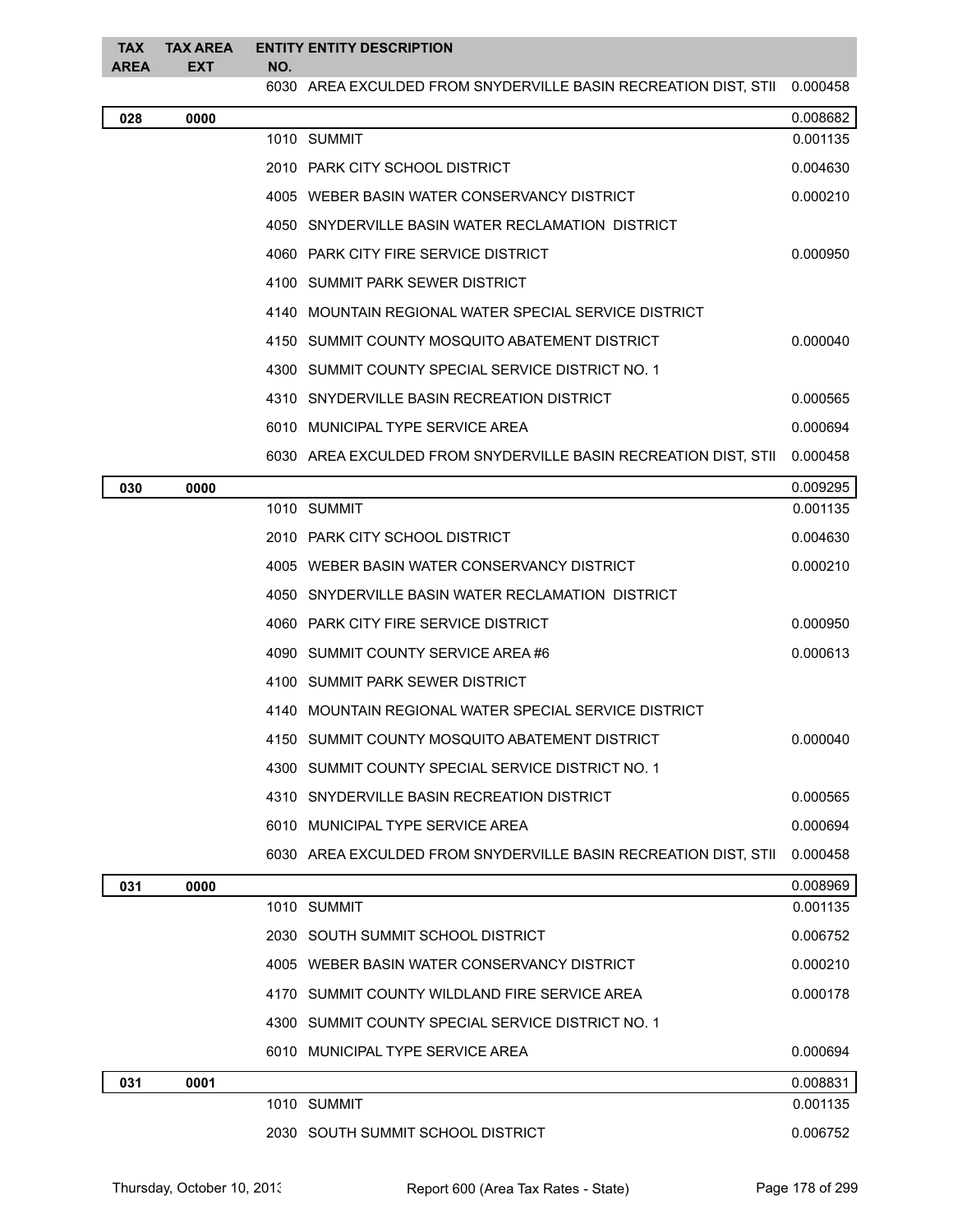## **TAX AREA TAX AREA EXT ENTITY ENTITY DESCRIPTION NO.**

|     |      | 6030 AREA EXCULDED FROM SNYDERVILLE BASIN RECREATION DIST, STII 0.000458 |          |
|-----|------|--------------------------------------------------------------------------|----------|
| 028 | 0000 |                                                                          | 0.008682 |
|     |      | 1010 SUMMIT                                                              | 0.001135 |
|     |      | 2010 PARK CITY SCHOOL DISTRICT                                           | 0.004630 |
|     |      | 4005 WEBER BASIN WATER CONSERVANCY DISTRICT                              | 0.000210 |
|     |      | 4050 SNYDERVILLE BASIN WATER RECLAMATION DISTRICT                        |          |
|     |      | 4060 PARK CITY FIRE SERVICE DISTRICT                                     | 0.000950 |
|     |      | 4100 SUMMIT PARK SEWER DISTRICT                                          |          |
|     |      | 4140 MOUNTAIN REGIONAL WATER SPECIAL SERVICE DISTRICT                    |          |
|     |      | 4150 SUMMIT COUNTY MOSQUITO ABATEMENT DISTRICT                           | 0.000040 |
|     |      | 4300 SUMMIT COUNTY SPECIAL SERVICE DISTRICT NO. 1                        |          |
|     |      | 4310 SNYDERVILLE BASIN RECREATION DISTRICT                               | 0.000565 |
|     |      | 6010 MUNICIPAL TYPE SERVICE AREA                                         | 0.000694 |
|     |      | 6030 AREA EXCULDED FROM SNYDERVILLE BASIN RECREATION DIST, STII          | 0.000458 |
| 030 | 0000 |                                                                          | 0.009295 |
|     |      | 1010 SUMMIT                                                              | 0.001135 |
|     |      | 2010 PARK CITY SCHOOL DISTRICT                                           | 0.004630 |
|     |      | 4005 WEBER BASIN WATER CONSERVANCY DISTRICT                              | 0.000210 |
|     |      | 4050 SNYDERVILLE BASIN WATER RECLAMATION DISTRICT                        |          |
|     |      | 4060 PARK CITY FIRE SERVICE DISTRICT                                     | 0.000950 |
|     |      | 4090 SUMMIT COUNTY SERVICE AREA#6                                        | 0.000613 |
|     |      | 4100 SUMMIT PARK SEWER DISTRICT                                          |          |
|     |      | 4140 MOUNTAIN REGIONAL WATER SPECIAL SERVICE DISTRICT                    |          |
|     |      | 4150 SUMMIT COUNTY MOSQUITO ABATEMENT DISTRICT                           | 0.000040 |
|     |      | 4300 SUMMIT COUNTY SPECIAL SERVICE DISTRICT NO. 1                        |          |
|     |      | 4310 SNYDERVILLE BASIN RECREATION DISTRICT                               | 0.000565 |
|     |      | 6010 MUNICIPAL TYPE SERVICE AREA                                         | 0.000694 |
|     |      | 6030 AREA EXCULDED FROM SNYDERVILLE BASIN RECREATION DIST, STII          | 0.000458 |
| 031 | 0000 |                                                                          | 0.008969 |
|     |      | 1010 SUMMIT                                                              | 0.001135 |
|     |      | 2030 SOUTH SUMMIT SCHOOL DISTRICT                                        | 0.006752 |
|     |      | 4005 WEBER BASIN WATER CONSERVANCY DISTRICT                              | 0.000210 |
|     |      | 4170 SUMMIT COUNTY WILDLAND FIRE SERVICE AREA                            | 0.000178 |
|     |      | 4300 SUMMIT COUNTY SPECIAL SERVICE DISTRICT NO. 1                        |          |
|     |      | 6010 MUNICIPAL TYPE SERVICE AREA                                         | 0.000694 |
| 031 | 0001 |                                                                          | 0.008831 |
|     |      | 1010 SUMMIT                                                              | 0.001135 |
|     |      | 2030 SOUTH SUMMIT SCHOOL DISTRICT                                        | 0.006752 |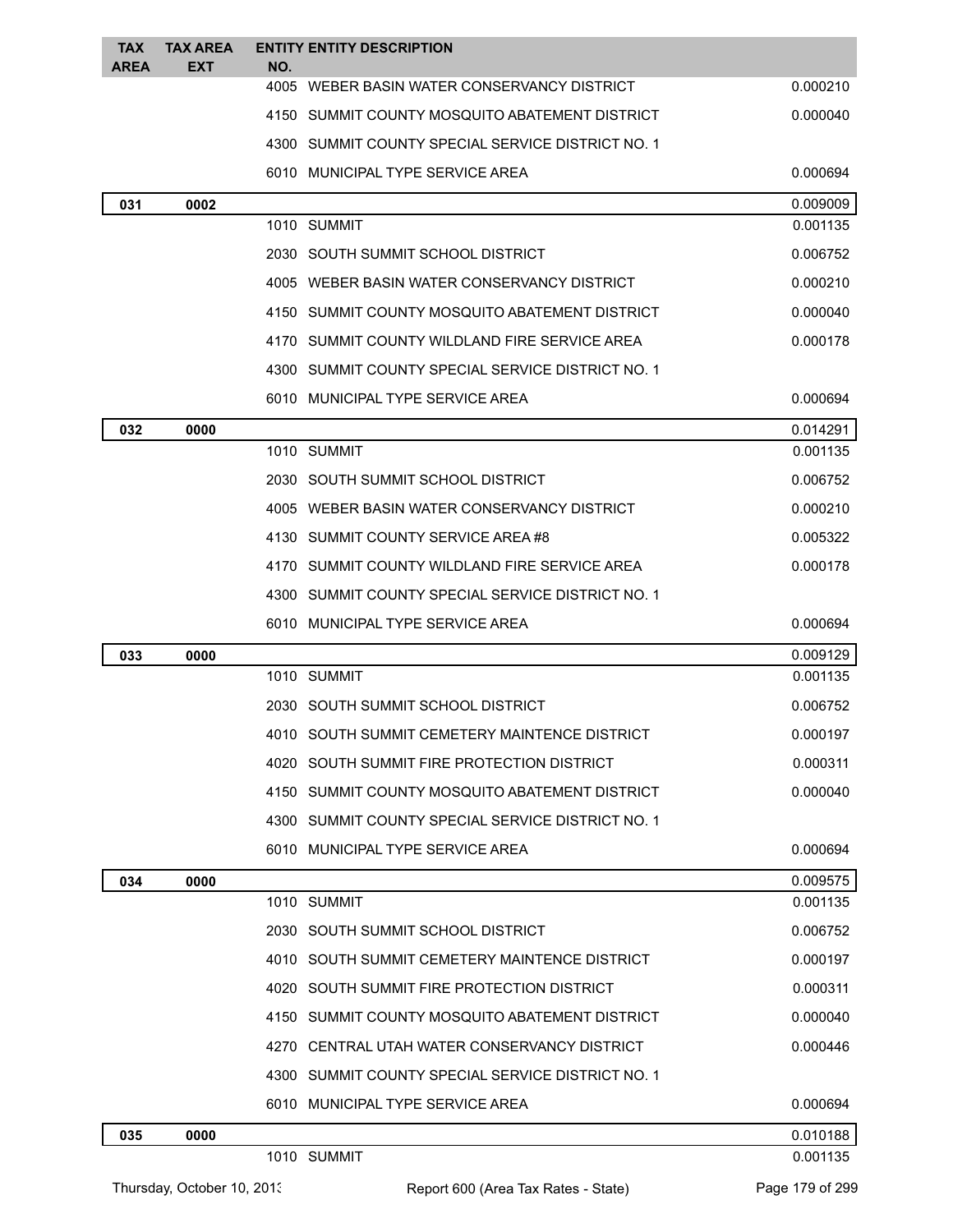| <b>TAX</b><br><b>AREA</b> | <b>TAX AREA</b><br>EXT     | NO. | <b>ENTITY ENTITY DESCRIPTION</b>                  |                      |
|---------------------------|----------------------------|-----|---------------------------------------------------|----------------------|
|                           |                            |     | 4005 WEBER BASIN WATER CONSERVANCY DISTRICT       | 0.000210             |
|                           |                            |     | 4150 SUMMIT COUNTY MOSQUITO ABATEMENT DISTRICT    | 0.000040             |
|                           |                            |     | 4300 SUMMIT COUNTY SPECIAL SERVICE DISTRICT NO. 1 |                      |
|                           |                            |     | 6010 MUNICIPAL TYPE SERVICE AREA                  | 0.000694             |
| 031                       | 0002                       |     |                                                   | 0.009009             |
|                           |                            |     | 1010 SUMMIT                                       | 0.001135             |
|                           |                            |     | 2030 SOUTH SUMMIT SCHOOL DISTRICT                 | 0.006752             |
|                           |                            |     | 4005 WEBER BASIN WATER CONSERVANCY DISTRICT       | 0.000210             |
|                           |                            |     | 4150 SUMMIT COUNTY MOSQUITO ABATEMENT DISTRICT    | 0.000040             |
|                           |                            |     | 4170 SUMMIT COUNTY WILDLAND FIRE SERVICE AREA     | 0.000178             |
|                           |                            |     | 4300 SUMMIT COUNTY SPECIAL SERVICE DISTRICT NO. 1 |                      |
|                           |                            |     | 6010 MUNICIPAL TYPE SERVICE AREA                  | 0.000694             |
| 032                       | 0000                       |     |                                                   | 0.014291             |
|                           |                            |     | 1010 SUMMIT                                       | 0.001135             |
|                           |                            |     | 2030 SOUTH SUMMIT SCHOOL DISTRICT                 | 0.006752             |
|                           |                            |     | 4005 WEBER BASIN WATER CONSERVANCY DISTRICT       | 0.000210             |
|                           |                            |     | 4130 SUMMIT COUNTY SERVICE AREA #8                | 0.005322             |
|                           |                            |     | 4170 SUMMIT COUNTY WILDLAND FIRE SERVICE AREA     | 0.000178             |
|                           |                            |     | 4300 SUMMIT COUNTY SPECIAL SERVICE DISTRICT NO. 1 |                      |
|                           |                            |     | 6010 MUNICIPAL TYPE SERVICE AREA                  | 0.000694             |
| 033                       | 0000                       |     |                                                   | 0.009129             |
|                           |                            |     | 1010 SUMMIT                                       | 0.001135             |
|                           |                            |     | 2030 SOUTH SUMMIT SCHOOL DISTRICT                 | 0.006752             |
|                           |                            |     | 4010 SOUTH SUMMIT CEMETERY MAINTENCE DISTRICT     | 0.000197             |
|                           |                            |     | 4020 SOUTH SUMMIT FIRE PROTECTION DISTRICT        | 0.000311             |
|                           |                            |     | 4150 SUMMIT COUNTY MOSQUITO ABATEMENT DISTRICT    | 0.000040             |
|                           |                            |     | 4300 SUMMIT COUNTY SPECIAL SERVICE DISTRICT NO. 1 |                      |
|                           |                            |     | 6010 MUNICIPAL TYPE SERVICE AREA                  | 0.000694             |
| 034                       | 0000                       |     | 1010 SUMMIT                                       | 0.009575<br>0.001135 |
|                           |                            |     | 2030 SOUTH SUMMIT SCHOOL DISTRICT                 | 0.006752             |
|                           |                            |     | 4010 SOUTH SUMMIT CEMETERY MAINTENCE DISTRICT     | 0.000197             |
|                           |                            |     | 4020 SOUTH SUMMIT FIRE PROTECTION DISTRICT        | 0.000311             |
|                           |                            |     | 4150 SUMMIT COUNTY MOSQUITO ABATEMENT DISTRICT    | 0.000040             |
|                           |                            |     | 4270 CENTRAL UTAH WATER CONSERVANCY DISTRICT      | 0.000446             |
|                           |                            |     | 4300 SUMMIT COUNTY SPECIAL SERVICE DISTRICT NO. 1 |                      |
|                           |                            |     | 6010 MUNICIPAL TYPE SERVICE AREA                  | 0.000694             |
|                           |                            |     |                                                   |                      |
| 035                       | 0000                       |     | 1010 SUMMIT                                       | 0.010188<br>0.001135 |
|                           | Thursday, October 10, 2013 |     | Report 600 (Area Tax Rates - State)               | Page 179 of 299      |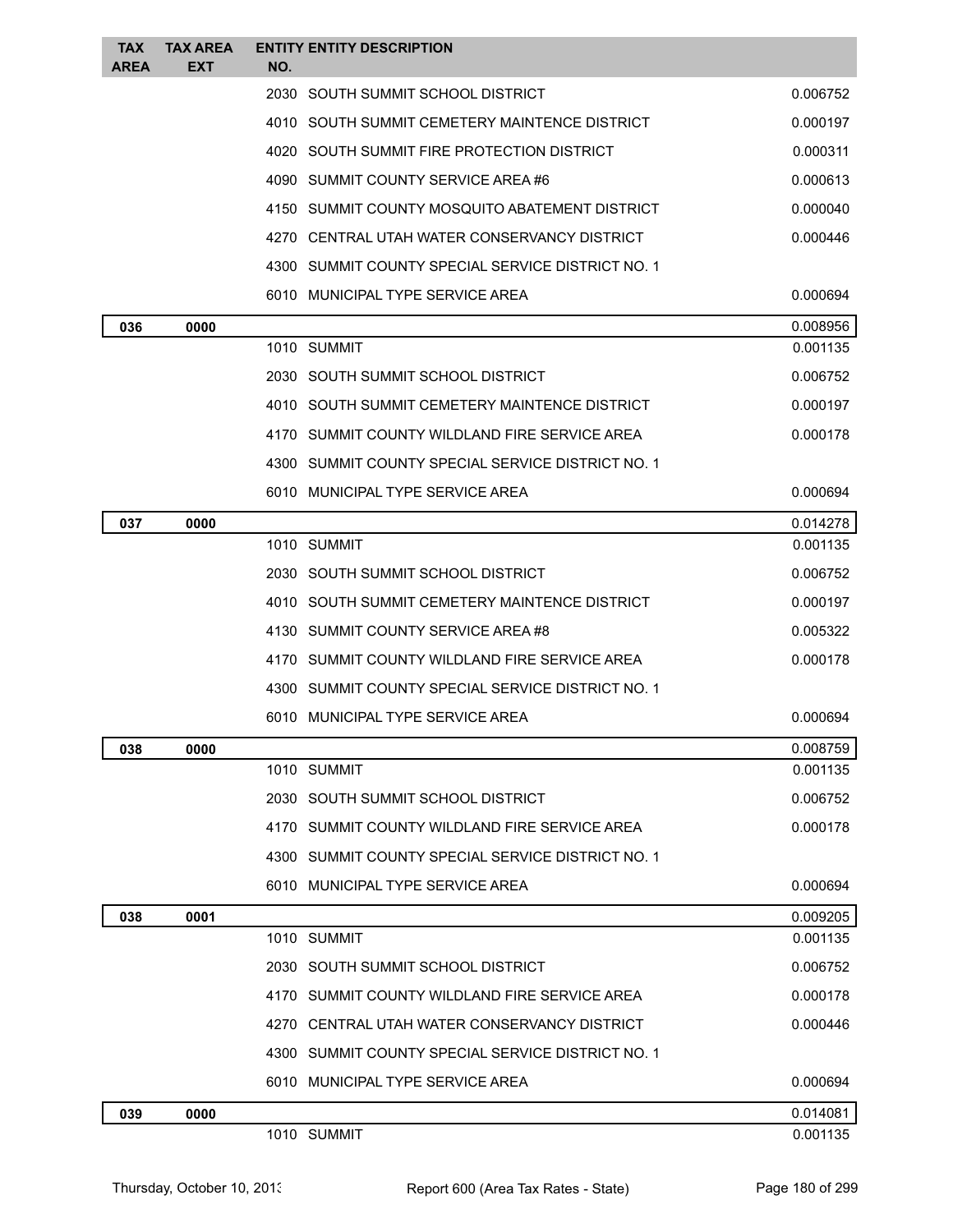| TAX<br><b>AREA</b> | <b>TAX AREA</b><br>EXT | <b>ENTITY ENTITY DESCRIPTION</b><br>NO.           |          |
|--------------------|------------------------|---------------------------------------------------|----------|
|                    |                        | 2030 SOUTH SUMMIT SCHOOL DISTRICT                 | 0.006752 |
|                    |                        | 4010 SOUTH SUMMIT CEMETERY MAINTENCE DISTRICT     | 0.000197 |
|                    |                        | 4020 SOUTH SUMMIT FIRE PROTECTION DISTRICT        | 0.000311 |
|                    |                        | 4090 SUMMIT COUNTY SERVICE AREA #6                | 0.000613 |
|                    |                        | 4150 SUMMIT COUNTY MOSQUITO ABATEMENT DISTRICT    | 0.000040 |
|                    |                        | 4270 CENTRAL UTAH WATER CONSERVANCY DISTRICT      | 0.000446 |
|                    |                        | 4300 SUMMIT COUNTY SPECIAL SERVICE DISTRICT NO. 1 |          |
|                    |                        | 6010 MUNICIPAL TYPE SERVICE AREA                  | 0.000694 |
| 036                | 0000                   |                                                   | 0.008956 |
|                    |                        | 1010 SUMMIT                                       | 0.001135 |
|                    |                        | 2030 SOUTH SUMMIT SCHOOL DISTRICT                 | 0.006752 |
|                    |                        | 4010 SOUTH SUMMIT CEMETERY MAINTENCE DISTRICT     | 0.000197 |
|                    |                        | 4170 SUMMIT COUNTY WILDLAND FIRE SERVICE AREA     | 0.000178 |
|                    |                        | 4300 SUMMIT COUNTY SPECIAL SERVICE DISTRICT NO. 1 |          |
|                    |                        | 6010 MUNICIPAL TYPE SERVICE AREA                  | 0.000694 |
| 037                | 0000                   |                                                   | 0.014278 |
|                    |                        | 1010 SUMMIT                                       | 0.001135 |
|                    |                        | 2030 SOUTH SUMMIT SCHOOL DISTRICT                 | 0.006752 |
|                    |                        | 4010 SOUTH SUMMIT CEMETERY MAINTENCE DISTRICT     | 0.000197 |
|                    |                        | 4130 SUMMIT COUNTY SERVICE AREA #8                | 0.005322 |
|                    |                        | 4170 SUMMIT COUNTY WILDLAND FIRE SERVICE AREA     | 0.000178 |
|                    |                        | 4300 SUMMIT COUNTY SPECIAL SERVICE DISTRICT NO. 1 |          |
|                    |                        | 6010 MUNICIPAL TYPE SERVICE AREA                  | 0.000694 |
| 038                | 0000                   |                                                   | 0.008759 |
|                    |                        | 1010 SUMMIT                                       | 0.001135 |
|                    |                        | 2030 SOUTH SUMMIT SCHOOL DISTRICT                 | 0.006752 |
|                    |                        | 4170 SUMMIT COUNTY WILDLAND FIRE SERVICE AREA     | 0.000178 |
|                    |                        | 4300 SUMMIT COUNTY SPECIAL SERVICE DISTRICT NO. 1 |          |
|                    |                        | 6010 MUNICIPAL TYPE SERVICE AREA                  | 0.000694 |
| 038                | 0001                   |                                                   | 0.009205 |
|                    |                        | 1010 SUMMIT                                       | 0.001135 |
|                    |                        | 2030 SOUTH SUMMIT SCHOOL DISTRICT                 | 0.006752 |
|                    |                        | 4170 SUMMIT COUNTY WILDLAND FIRE SERVICE AREA     | 0.000178 |
|                    |                        | 4270 CENTRAL UTAH WATER CONSERVANCY DISTRICT      | 0.000446 |
|                    |                        | 4300 SUMMIT COUNTY SPECIAL SERVICE DISTRICT NO. 1 |          |
|                    |                        | 6010 MUNICIPAL TYPE SERVICE AREA                  | 0.000694 |
| 039                | 0000                   |                                                   | 0.014081 |
|                    |                        | 1010 SUMMIT                                       | 0.001135 |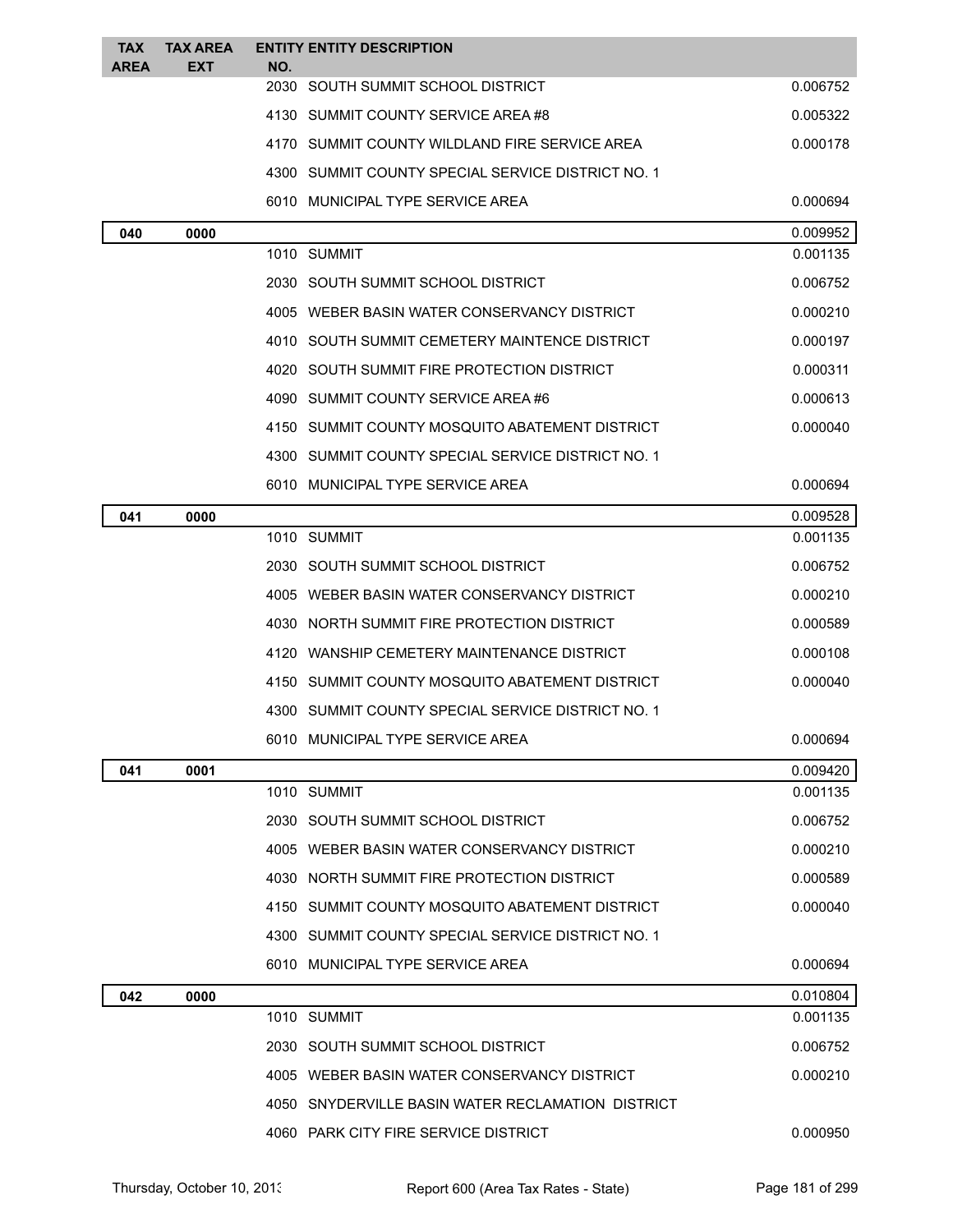| <b>TAX</b><br>AREA | <b>TAX AREA</b><br>EXT | <b>ENTITY ENTITY DESCRIPTION</b><br>NO.           |          |
|--------------------|------------------------|---------------------------------------------------|----------|
|                    |                        | 2030 SOUTH SUMMIT SCHOOL DISTRICT                 | 0.006752 |
|                    |                        | 4130 SUMMIT COUNTY SERVICE AREA#8                 | 0.005322 |
|                    |                        | 4170 SUMMIT COUNTY WILDLAND FIRE SERVICE AREA     | 0.000178 |
|                    |                        | 4300 SUMMIT COUNTY SPECIAL SERVICE DISTRICT NO. 1 |          |
|                    |                        | 6010 MUNICIPAL TYPE SERVICE AREA                  | 0.000694 |
| 040                | 0000                   |                                                   | 0.009952 |
|                    |                        | 1010 SUMMIT                                       | 0.001135 |
|                    |                        | 2030 SOUTH SUMMIT SCHOOL DISTRICT                 | 0.006752 |
|                    |                        | 4005 WEBER BASIN WATER CONSERVANCY DISTRICT       | 0.000210 |
|                    |                        | 4010 SOUTH SUMMIT CEMETERY MAINTENCE DISTRICT     | 0.000197 |
|                    |                        | 4020 SOUTH SUMMIT FIRE PROTECTION DISTRICT        | 0.000311 |
|                    |                        | 4090 SUMMIT COUNTY SERVICE AREA #6                | 0.000613 |
|                    |                        | SUMMIT COUNTY MOSQUITO ABATEMENT DISTRICT<br>4150 | 0.000040 |
|                    |                        | 4300 SUMMIT COUNTY SPECIAL SERVICE DISTRICT NO. 1 |          |
|                    |                        | 6010 MUNICIPAL TYPE SERVICE AREA                  | 0.000694 |
| 041                | 0000                   |                                                   | 0.009528 |
|                    |                        | 1010 SUMMIT                                       | 0.001135 |
|                    |                        | 2030 SOUTH SUMMIT SCHOOL DISTRICT                 | 0.006752 |
|                    |                        | 4005 WEBER BASIN WATER CONSERVANCY DISTRICT       | 0.000210 |
|                    |                        | 4030 NORTH SUMMIT FIRE PROTECTION DISTRICT        | 0.000589 |
|                    |                        | 4120 WANSHIP CEMETERY MAINTENANCE DISTRICT        | 0.000108 |
|                    |                        | 4150 SUMMIT COUNTY MOSQUITO ABATEMENT DISTRICT    | 0.000040 |
|                    |                        | 4300 SUMMIT COUNTY SPECIAL SERVICE DISTRICT NO. 1 |          |
|                    |                        | 6010 MUNICIPAL TYPE SERVICE AREA                  | 0.000694 |
| 041                | 0001                   |                                                   | 0.009420 |
|                    |                        | 1010 SUMMIT                                       | 0.001135 |
|                    |                        | 2030 SOUTH SUMMIT SCHOOL DISTRICT                 | 0.006752 |
|                    |                        | 4005 WEBER BASIN WATER CONSERVANCY DISTRICT       | 0.000210 |
|                    |                        | 4030 NORTH SUMMIT FIRE PROTECTION DISTRICT        | 0.000589 |
|                    |                        | 4150 SUMMIT COUNTY MOSQUITO ABATEMENT DISTRICT    | 0.000040 |
|                    |                        | 4300 SUMMIT COUNTY SPECIAL SERVICE DISTRICT NO. 1 |          |
|                    |                        | 6010 MUNICIPAL TYPE SERVICE AREA                  | 0.000694 |
| 042                | 0000                   |                                                   | 0.010804 |
|                    |                        | 1010 SUMMIT                                       | 0.001135 |
|                    |                        | 2030 SOUTH SUMMIT SCHOOL DISTRICT                 | 0.006752 |
|                    |                        | 4005 WEBER BASIN WATER CONSERVANCY DISTRICT       | 0.000210 |
|                    |                        | 4050 SNYDERVILLE BASIN WATER RECLAMATION DISTRICT |          |
|                    |                        | 4060 PARK CITY FIRE SERVICE DISTRICT              | 0.000950 |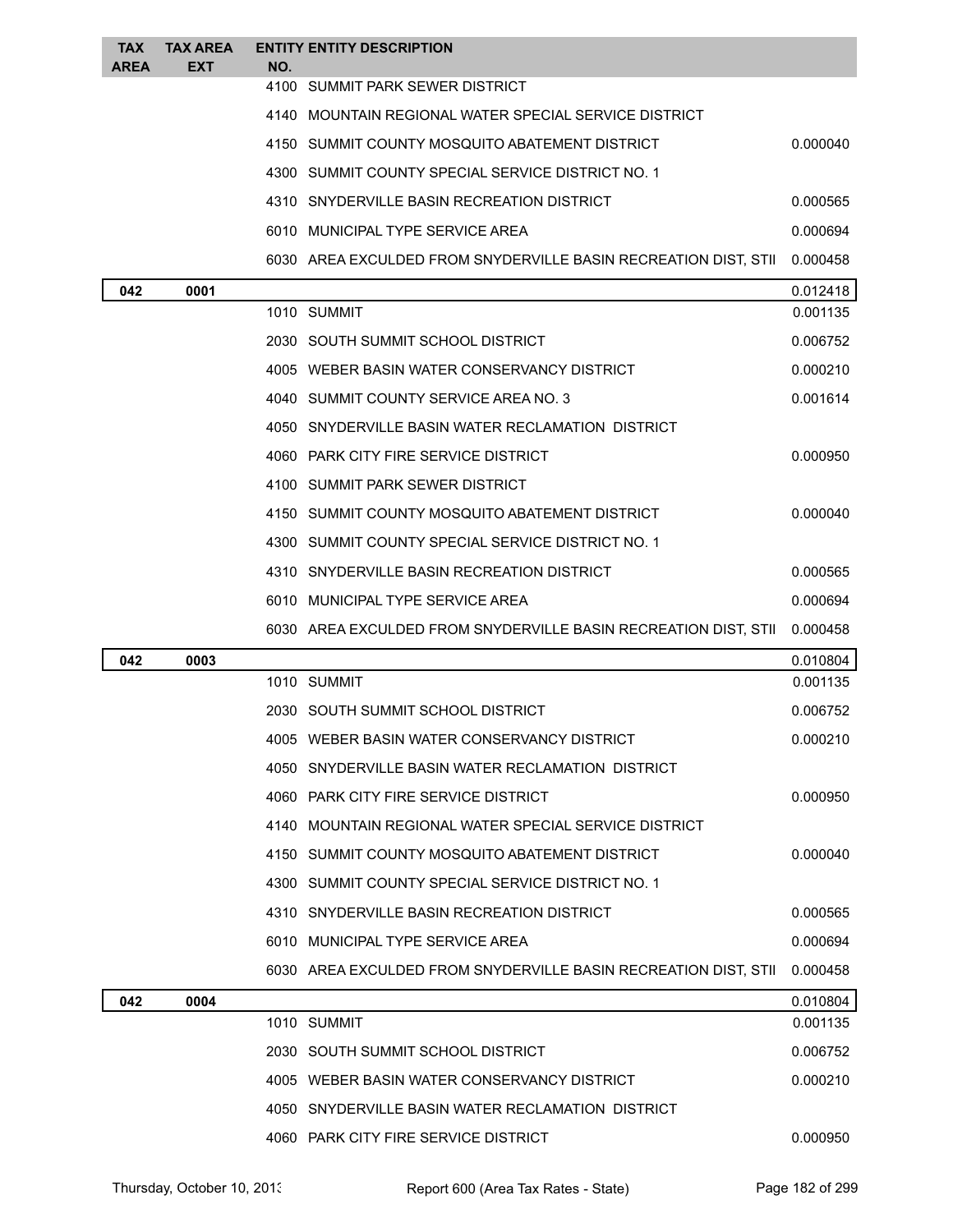| <b>TAX</b><br><b>AREA</b> | <b>TAX AREA</b><br>EXT | NO. | <b>ENTITY ENTITY DESCRIPTION</b>                                |          |
|---------------------------|------------------------|-----|-----------------------------------------------------------------|----------|
|                           |                        |     | 4100 SUMMIT PARK SEWER DISTRICT                                 |          |
|                           |                        |     | 4140 MOUNTAIN REGIONAL WATER SPECIAL SERVICE DISTRICT           |          |
|                           |                        |     | 4150 SUMMIT COUNTY MOSQUITO ABATEMENT DISTRICT                  | 0.000040 |
|                           |                        |     | 4300 SUMMIT COUNTY SPECIAL SERVICE DISTRICT NO. 1               |          |
|                           |                        |     | 4310 SNYDERVILLE BASIN RECREATION DISTRICT                      | 0.000565 |
|                           |                        |     | 6010 MUNICIPAL TYPE SERVICE AREA                                | 0.000694 |
|                           |                        |     | 6030 AREA EXCULDED FROM SNYDERVILLE BASIN RECREATION DIST, STII | 0.000458 |
| 042                       | 0001                   |     |                                                                 | 0.012418 |
|                           |                        |     | 1010 SUMMIT                                                     | 0.001135 |
|                           |                        |     | 2030 SOUTH SUMMIT SCHOOL DISTRICT                               | 0.006752 |
|                           |                        |     | 4005 WEBER BASIN WATER CONSERVANCY DISTRICT                     | 0.000210 |
|                           |                        |     | 4040 SUMMIT COUNTY SERVICE AREA NO. 3                           | 0.001614 |
|                           |                        |     | 4050 SNYDERVILLE BASIN WATER RECLAMATION DISTRICT               |          |
|                           |                        |     | 4060 PARK CITY FIRE SERVICE DISTRICT                            | 0.000950 |
|                           |                        |     | 4100 SUMMIT PARK SEWER DISTRICT                                 |          |
|                           |                        |     | 4150 SUMMIT COUNTY MOSQUITO ABATEMENT DISTRICT                  | 0.000040 |
|                           |                        |     | 4300 SUMMIT COUNTY SPECIAL SERVICE DISTRICT NO. 1               |          |
|                           |                        |     | 4310 SNYDERVILLE BASIN RECREATION DISTRICT                      | 0.000565 |
|                           |                        |     | 6010 MUNICIPAL TYPE SERVICE AREA                                | 0.000694 |
|                           |                        |     | 6030 AREA EXCULDED FROM SNYDERVILLE BASIN RECREATION DIST, STII | 0.000458 |
| 042                       | 0003                   |     |                                                                 | 0.010804 |
|                           |                        |     | 1010 SUMMIT                                                     | 0.001135 |
|                           |                        |     | 2030 SOUTH SUMMIT SCHOOL DISTRICT                               | 0.006752 |
|                           |                        |     | 4005 WEBER BASIN WATER CONSERVANCY DISTRICT                     | 0.000210 |
|                           |                        |     | 4050 SNYDERVILLE BASIN WATER RECLAMATION DISTRICT               |          |
|                           |                        |     | 4060 PARK CITY FIRE SERVICE DISTRICT                            | 0.000950 |
|                           |                        |     | 4140 MOUNTAIN REGIONAL WATER SPECIAL SERVICE DISTRICT           |          |
|                           |                        |     | 4150 SUMMIT COUNTY MOSQUITO ABATEMENT DISTRICT                  | 0.000040 |
|                           |                        |     | 4300 SUMMIT COUNTY SPECIAL SERVICE DISTRICT NO. 1               |          |
|                           |                        |     | 4310 SNYDERVILLE BASIN RECREATION DISTRICT                      | 0.000565 |
|                           |                        |     | 6010 MUNICIPAL TYPE SERVICE AREA                                | 0.000694 |
|                           |                        |     | 6030 AREA EXCULDED FROM SNYDERVILLE BASIN RECREATION DIST, STII | 0.000458 |
| 042                       | 0004                   |     |                                                                 | 0.010804 |
|                           |                        |     | 1010 SUMMIT                                                     | 0.001135 |
|                           |                        |     | 2030 SOUTH SUMMIT SCHOOL DISTRICT                               | 0.006752 |
|                           |                        |     | 4005 WEBER BASIN WATER CONSERVANCY DISTRICT                     | 0.000210 |
|                           |                        |     | 4050 SNYDERVILLE BASIN WATER RECLAMATION DISTRICT               |          |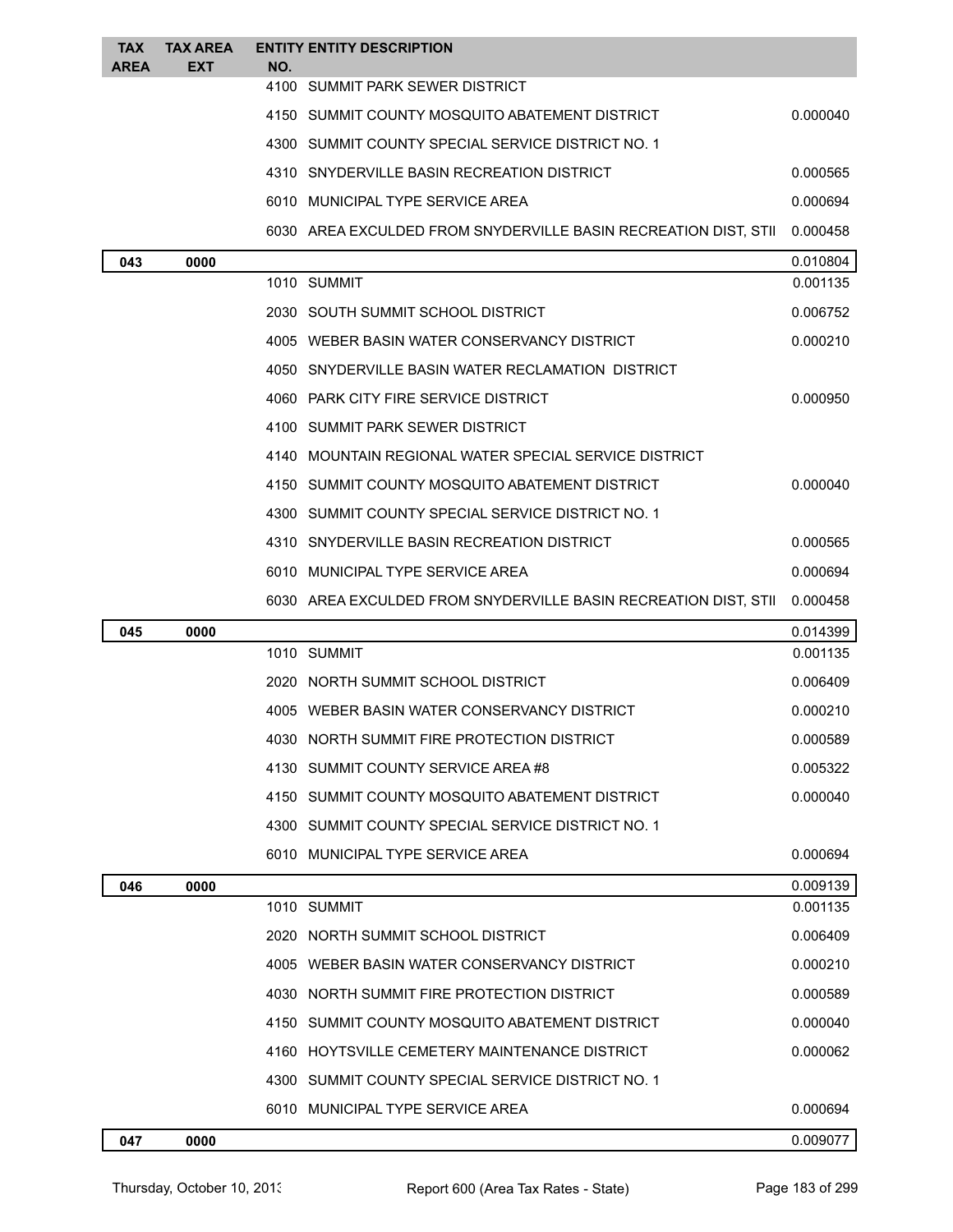| <b>TAX</b><br><b>AREA</b> | <b>TAX AREA</b><br><b>EXT</b> | NO. | <b>ENTITY ENTITY DESCRIPTION</b>                                |          |
|---------------------------|-------------------------------|-----|-----------------------------------------------------------------|----------|
|                           |                               |     | 4100 SUMMIT PARK SEWER DISTRICT                                 |          |
|                           |                               |     | 4150 SUMMIT COUNTY MOSQUITO ABATEMENT DISTRICT                  | 0.000040 |
|                           |                               |     | 4300 SUMMIT COUNTY SPECIAL SERVICE DISTRICT NO. 1               |          |
|                           |                               |     | 4310 SNYDERVILLE BASIN RECREATION DISTRICT                      | 0.000565 |
|                           |                               |     | 6010 MUNICIPAL TYPE SERVICE AREA                                | 0.000694 |
|                           |                               |     | 6030 AREA EXCULDED FROM SNYDERVILLE BASIN RECREATION DIST, STII | 0.000458 |
| 043                       | 0000                          |     |                                                                 | 0.010804 |
|                           |                               |     | 1010 SUMMIT                                                     | 0.001135 |
|                           |                               |     | 2030 SOUTH SUMMIT SCHOOL DISTRICT                               | 0.006752 |
|                           |                               |     | 4005 WEBER BASIN WATER CONSERVANCY DISTRICT                     | 0.000210 |
|                           |                               |     | 4050 SNYDERVILLE BASIN WATER RECLAMATION DISTRICT               |          |
|                           |                               |     | 4060 PARK CITY FIRE SERVICE DISTRICT                            | 0.000950 |
|                           |                               |     | 4100 SUMMIT PARK SEWER DISTRICT                                 |          |
|                           |                               |     | 4140 MOUNTAIN REGIONAL WATER SPECIAL SERVICE DISTRICT           |          |
|                           |                               |     | 4150 SUMMIT COUNTY MOSQUITO ABATEMENT DISTRICT                  | 0.000040 |
|                           |                               |     | 4300 SUMMIT COUNTY SPECIAL SERVICE DISTRICT NO. 1               |          |
|                           |                               |     | 4310 SNYDERVILLE BASIN RECREATION DISTRICT                      | 0.000565 |
|                           |                               |     | 6010 MUNICIPAL TYPE SERVICE AREA                                | 0.000694 |
|                           |                               |     | 6030 AREA EXCULDED FROM SNYDERVILLE BASIN RECREATION DIST, STII | 0.000458 |
| 045                       | 0000                          |     |                                                                 | 0.014399 |
|                           |                               |     | 1010 SUMMIT                                                     | 0.001135 |
|                           |                               |     | 2020 NORTH SUMMIT SCHOOL DISTRICT                               | 0.006409 |
|                           |                               |     | 4005 WEBER BASIN WATER CONSERVANCY DISTRICT                     | 0.000210 |
|                           |                               |     | 4030 NORTH SUMMIT FIRE PROTECTION DISTRICT                      | 0.000589 |
|                           |                               |     | 4130 SUMMIT COUNTY SERVICE AREA#8                               | 0.005322 |
|                           |                               |     | 4150 SUMMIT COUNTY MOSQUITO ABATEMENT DISTRICT                  | 0.000040 |
|                           |                               |     | 4300 SUMMIT COUNTY SPECIAL SERVICE DISTRICT NO. 1               |          |
|                           |                               |     | 6010 MUNICIPAL TYPE SERVICE AREA                                | 0.000694 |
| 046                       | 0000                          |     |                                                                 | 0.009139 |
|                           |                               |     | 1010 SUMMIT                                                     | 0.001135 |
|                           |                               |     | 2020 NORTH SUMMIT SCHOOL DISTRICT                               | 0.006409 |
|                           |                               |     | 4005 WEBER BASIN WATER CONSERVANCY DISTRICT                     | 0.000210 |
|                           |                               |     | 4030 NORTH SUMMIT FIRE PROTECTION DISTRICT                      | 0.000589 |
|                           |                               |     | 4150 SUMMIT COUNTY MOSQUITO ABATEMENT DISTRICT                  | 0.000040 |
|                           |                               |     | 4160 HOYTSVILLE CEMETERY MAINTENANCE DISTRICT                   | 0.000062 |
|                           |                               |     | 4300 SUMMIT COUNTY SPECIAL SERVICE DISTRICT NO. 1               |          |
|                           |                               |     | 6010 MUNICIPAL TYPE SERVICE AREA                                | 0.000694 |
| 047                       | 0000                          |     |                                                                 | 0.009077 |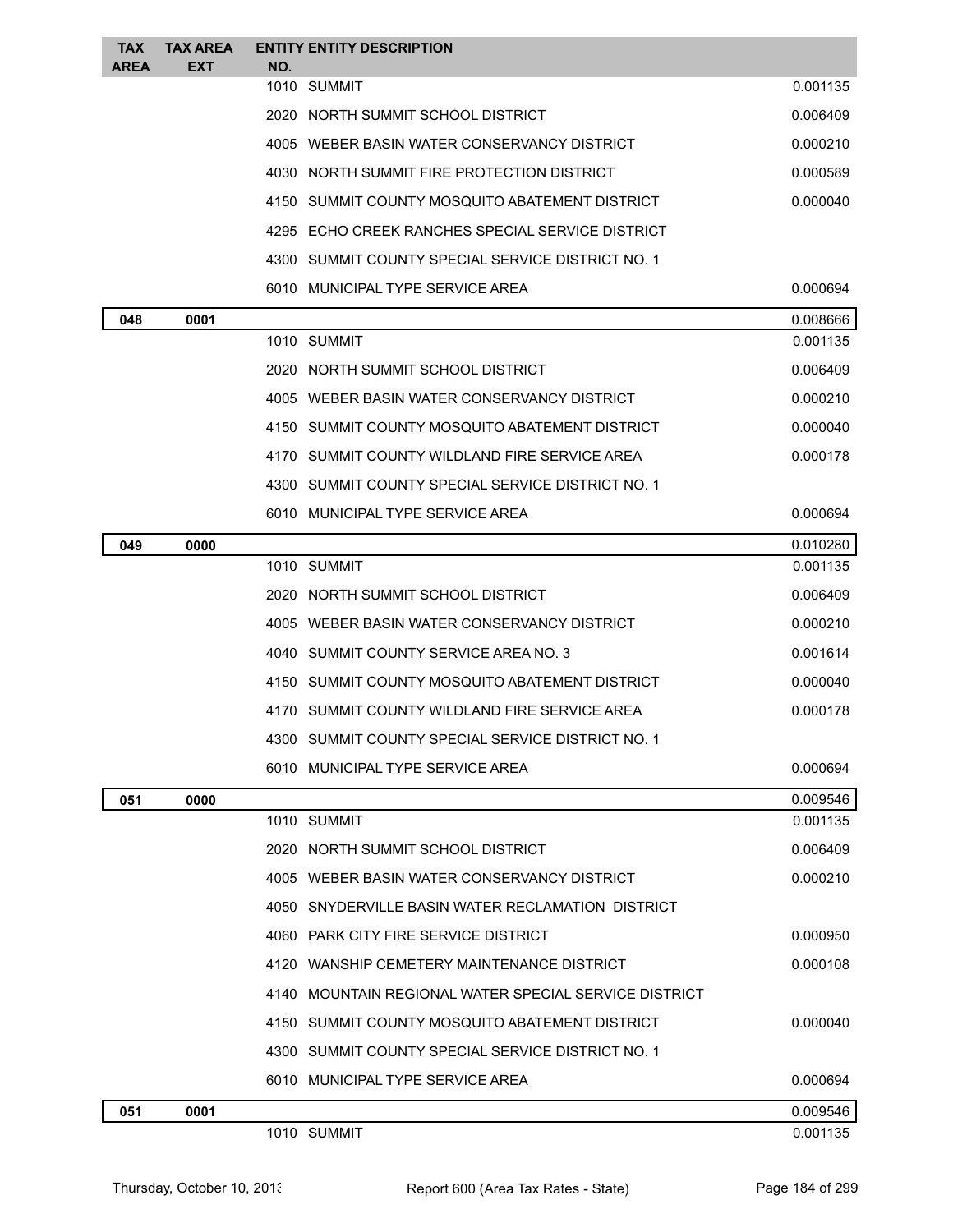| <b>TAX</b><br><b>AREA</b> | <b>TAX AREA</b><br><b>EXT</b> | <b>ENTITY ENTITY DESCRIPTION</b><br>NO.               |          |
|---------------------------|-------------------------------|-------------------------------------------------------|----------|
|                           |                               | 1010 SUMMIT                                           | 0.001135 |
|                           |                               | 2020 NORTH SUMMIT SCHOOL DISTRICT                     | 0.006409 |
|                           |                               | 4005 WEBER BASIN WATER CONSERVANCY DISTRICT           | 0.000210 |
|                           |                               | 4030 NORTH SUMMIT FIRE PROTECTION DISTRICT            | 0.000589 |
|                           |                               | 4150 SUMMIT COUNTY MOSQUITO ABATEMENT DISTRICT        | 0.000040 |
|                           |                               | 4295 ECHO CREEK RANCHES SPECIAL SERVICE DISTRICT      |          |
|                           |                               | 4300 SUMMIT COUNTY SPECIAL SERVICE DISTRICT NO. 1     |          |
|                           |                               | 6010 MUNICIPAL TYPE SERVICE AREA                      | 0.000694 |
| 048                       | 0001                          |                                                       | 0.008666 |
|                           |                               | 1010 SUMMIT                                           | 0.001135 |
|                           |                               | 2020 NORTH SUMMIT SCHOOL DISTRICT                     | 0.006409 |
|                           |                               | 4005 WEBER BASIN WATER CONSERVANCY DISTRICT           | 0.000210 |
|                           |                               | 4150 SUMMIT COUNTY MOSQUITO ABATEMENT DISTRICT        | 0.000040 |
|                           |                               | 4170 SUMMIT COUNTY WILDLAND FIRE SERVICE AREA         | 0.000178 |
|                           |                               | 4300 SUMMIT COUNTY SPECIAL SERVICE DISTRICT NO. 1     |          |
|                           |                               | 6010 MUNICIPAL TYPE SERVICE AREA                      | 0.000694 |
| 049                       | 0000                          |                                                       | 0.010280 |
|                           |                               | 1010 SUMMIT                                           | 0.001135 |
|                           |                               | 2020 NORTH SUMMIT SCHOOL DISTRICT                     | 0.006409 |
|                           |                               | 4005 WEBER BASIN WATER CONSERVANCY DISTRICT           | 0.000210 |
|                           |                               | 4040 SUMMIT COUNTY SERVICE AREA NO. 3                 | 0.001614 |
|                           |                               | 4150 SUMMIT COUNTY MOSQUITO ABATEMENT DISTRICT        | 0.000040 |
|                           |                               | 4170 SUMMIT COUNTY WILDLAND FIRE SERVICE AREA         | 0.000178 |
|                           |                               | 4300 SUMMIT COUNTY SPECIAL SERVICE DISTRICT NO. 1     |          |
|                           |                               | 6010 MUNICIPAL TYPE SERVICE AREA                      | 0.000694 |
| 051                       | 0000                          |                                                       | 0.009546 |
|                           |                               | 1010 SUMMIT                                           | 0.001135 |
|                           |                               | 2020 NORTH SUMMIT SCHOOL DISTRICT                     | 0.006409 |
|                           |                               | 4005 WEBER BASIN WATER CONSERVANCY DISTRICT           | 0.000210 |
|                           |                               | 4050 SNYDERVILLE BASIN WATER RECLAMATION DISTRICT     |          |
|                           |                               | 4060 PARK CITY FIRE SERVICE DISTRICT                  | 0.000950 |
|                           |                               | 4120 WANSHIP CEMETERY MAINTENANCE DISTRICT            | 0.000108 |
|                           |                               | 4140 MOUNTAIN REGIONAL WATER SPECIAL SERVICE DISTRICT |          |
|                           |                               | 4150 SUMMIT COUNTY MOSQUITO ABATEMENT DISTRICT        | 0.000040 |
|                           |                               | 4300   SUMMIT COUNTY SPECIAL SERVICE DISTRICT NO. 1   |          |
|                           |                               | 6010 MUNICIPAL TYPE SERVICE AREA                      | 0.000694 |
| 051                       | 0001                          |                                                       | 0.009546 |
|                           |                               | 1010 SUMMIT                                           | 0.001135 |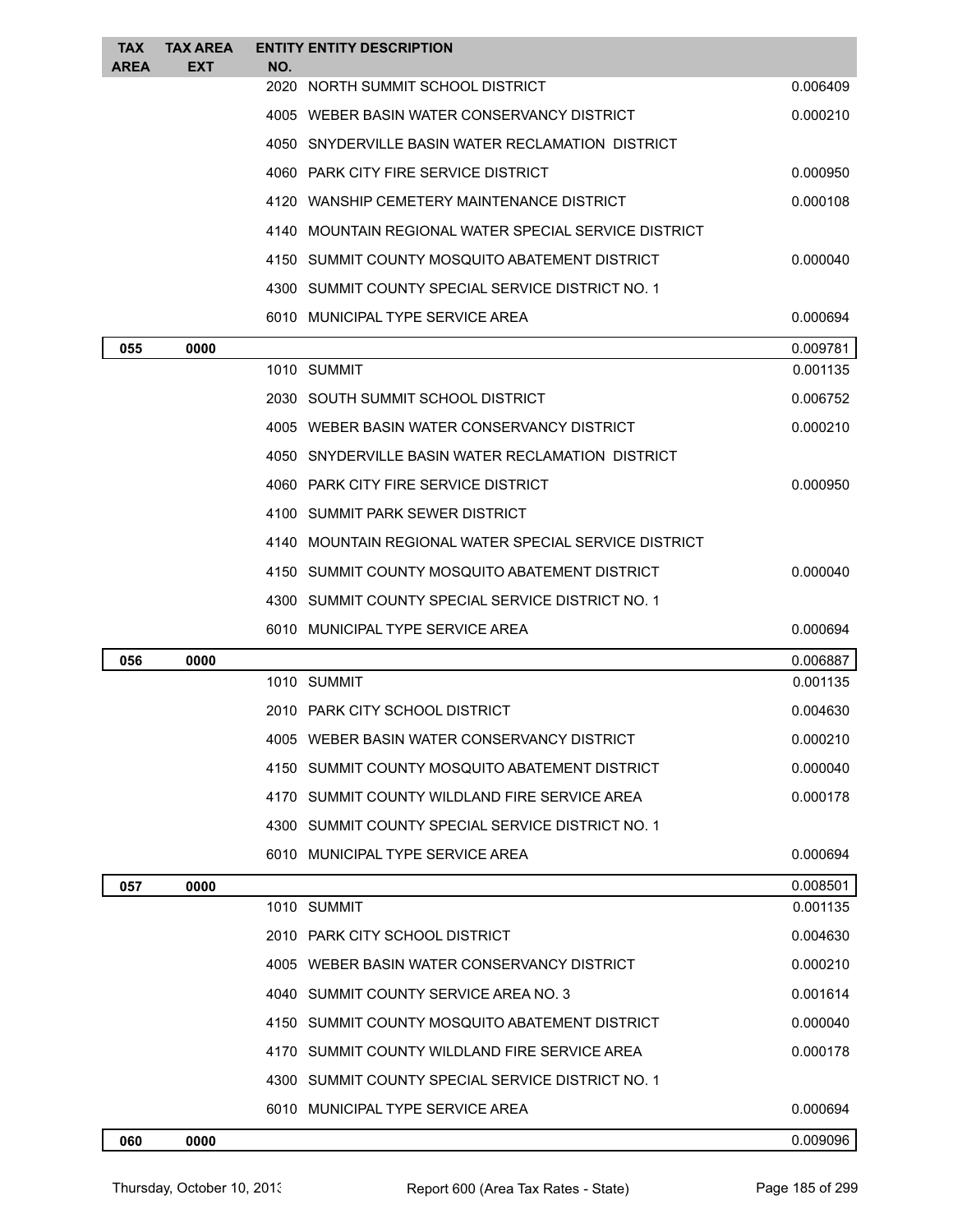| <b>TAX</b><br><b>AREA</b> | <b>TAX AREA</b><br>EXT | <b>ENTITY ENTITY DESCRIPTION</b><br>NO.               |          |
|---------------------------|------------------------|-------------------------------------------------------|----------|
|                           |                        | 2020 NORTH SUMMIT SCHOOL DISTRICT                     | 0.006409 |
|                           |                        | 4005 WEBER BASIN WATER CONSERVANCY DISTRICT           | 0.000210 |
|                           |                        | 4050 SNYDERVILLE BASIN WATER RECLAMATION DISTRICT     |          |
|                           |                        | 4060 PARK CITY FIRE SERVICE DISTRICT                  | 0.000950 |
|                           |                        | 4120 WANSHIP CEMETERY MAINTENANCE DISTRICT            | 0.000108 |
|                           |                        | 4140 MOUNTAIN REGIONAL WATER SPECIAL SERVICE DISTRICT |          |
|                           |                        | 4150 SUMMIT COUNTY MOSQUITO ABATEMENT DISTRICT        | 0.000040 |
|                           |                        | 4300 SUMMIT COUNTY SPECIAL SERVICE DISTRICT NO. 1     |          |
|                           |                        | 6010 MUNICIPAL TYPE SERVICE AREA                      | 0.000694 |
| 055                       | 0000                   |                                                       | 0.009781 |
|                           |                        | 1010 SUMMIT                                           | 0.001135 |
|                           |                        | 2030 SOUTH SUMMIT SCHOOL DISTRICT                     | 0.006752 |
|                           |                        | 4005 WEBER BASIN WATER CONSERVANCY DISTRICT           | 0.000210 |
|                           |                        | 4050 SNYDERVILLE BASIN WATER RECLAMATION DISTRICT     |          |
|                           |                        | 4060 PARK CITY FIRE SERVICE DISTRICT                  | 0.000950 |
|                           |                        | 4100 SUMMIT PARK SEWER DISTRICT                       |          |
|                           |                        | 4140 MOUNTAIN REGIONAL WATER SPECIAL SERVICE DISTRICT |          |
|                           |                        | 4150 SUMMIT COUNTY MOSQUITO ABATEMENT DISTRICT        | 0.000040 |
|                           |                        | 4300 SUMMIT COUNTY SPECIAL SERVICE DISTRICT NO. 1     |          |
|                           |                        | 6010 MUNICIPAL TYPE SERVICE AREA                      | 0.000694 |
| 056                       | 0000                   |                                                       | 0.006887 |
|                           |                        | 1010 SUMMIT                                           | 0.001135 |
|                           |                        | 2010 PARK CITY SCHOOL DISTRICT                        | 0.004630 |
|                           |                        | 4005<br>WEBER BASIN WATER CONSERVANCY DISTRICT        | 0.000210 |
|                           |                        | 4150 SUMMIT COUNTY MOSQUITO ABATEMENT DISTRICT        | 0.000040 |
|                           |                        | 4170 SUMMIT COUNTY WILDLAND FIRE SERVICE AREA         | 0.000178 |
|                           |                        | 4300 SUMMIT COUNTY SPECIAL SERVICE DISTRICT NO. 1     |          |
|                           |                        | 6010 MUNICIPAL TYPE SERVICE AREA                      | 0.000694 |
| 057                       | 0000                   |                                                       | 0.008501 |
|                           |                        | 1010 SUMMIT                                           | 0.001135 |
|                           |                        | 2010 PARK CITY SCHOOL DISTRICT                        | 0.004630 |
|                           |                        | 4005 WEBER BASIN WATER CONSERVANCY DISTRICT           | 0.000210 |
|                           |                        | 4040 SUMMIT COUNTY SERVICE AREA NO. 3                 | 0.001614 |
|                           |                        | 4150 SUMMIT COUNTY MOSQUITO ABATEMENT DISTRICT        | 0.000040 |
|                           |                        | 4170 SUMMIT COUNTY WILDLAND FIRE SERVICE AREA         | 0.000178 |
|                           |                        | 4300 SUMMIT COUNTY SPECIAL SERVICE DISTRICT NO. 1     |          |
|                           |                        | 6010 MUNICIPAL TYPE SERVICE AREA                      | 0.000694 |
| 060                       | 0000                   |                                                       | 0.009096 |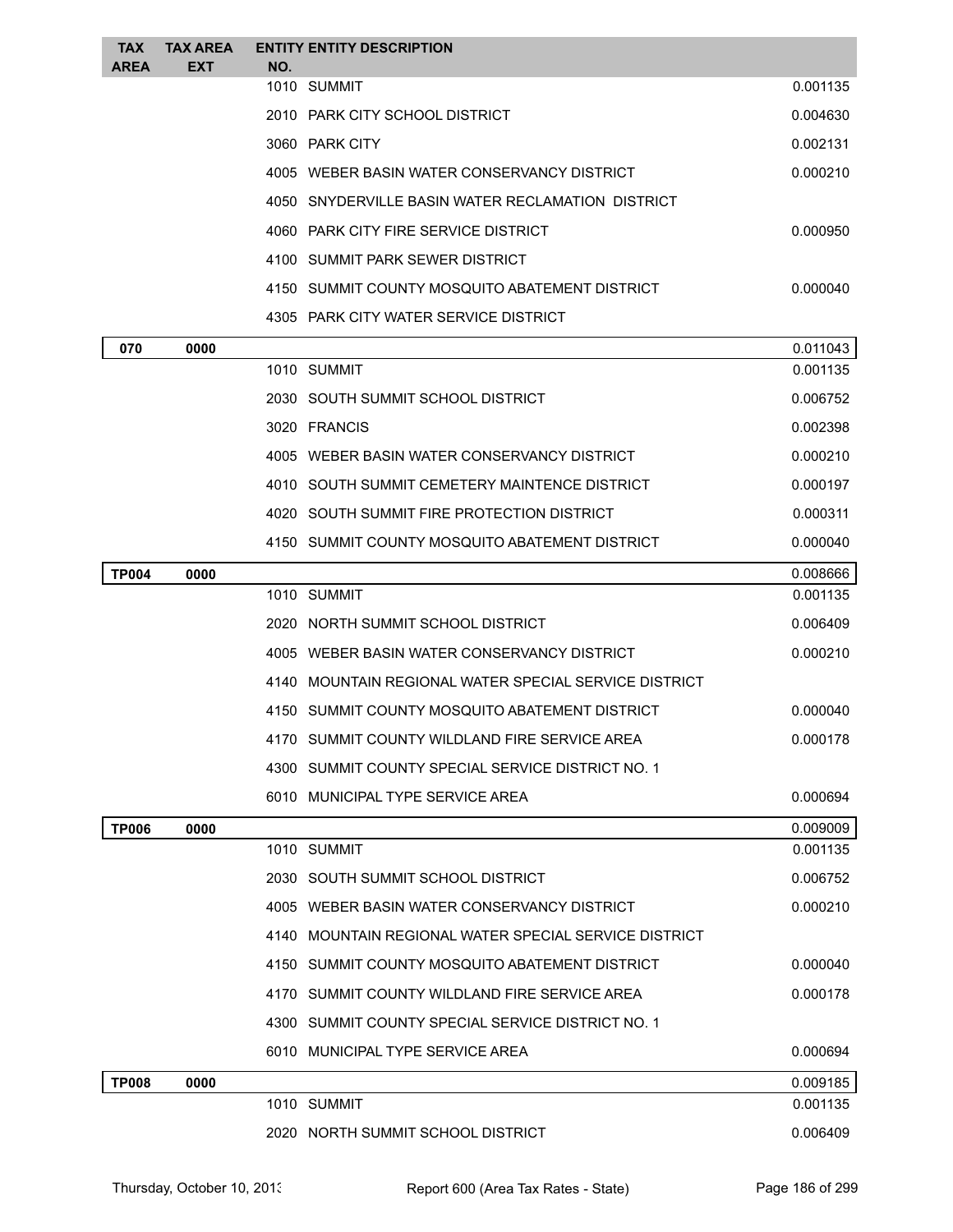| TAX<br><b>AREA</b> | <b>TAX AREA</b><br><b>EXT</b> | NO. | <b>ENTITY ENTITY DESCRIPTION</b>                      |          |
|--------------------|-------------------------------|-----|-------------------------------------------------------|----------|
|                    |                               |     | 1010 SUMMIT                                           | 0.001135 |
|                    |                               |     | 2010 PARK CITY SCHOOL DISTRICT                        | 0.004630 |
|                    |                               |     | 3060 PARK CITY                                        | 0.002131 |
|                    |                               |     | 4005 WEBER BASIN WATER CONSERVANCY DISTRICT           | 0.000210 |
|                    |                               |     | 4050 SNYDERVILLE BASIN WATER RECLAMATION DISTRICT     |          |
|                    |                               |     | 4060 PARK CITY FIRE SERVICE DISTRICT                  | 0.000950 |
|                    |                               |     | 4100 SUMMIT PARK SEWER DISTRICT                       |          |
|                    |                               |     | 4150 SUMMIT COUNTY MOSQUITO ABATEMENT DISTRICT        | 0.000040 |
|                    |                               |     | 4305 PARK CITY WATER SERVICE DISTRICT                 |          |
| 070                | 0000                          |     |                                                       | 0.011043 |
|                    |                               |     | 1010 SUMMIT                                           | 0.001135 |
|                    |                               |     | 2030 SOUTH SUMMIT SCHOOL DISTRICT                     | 0.006752 |
|                    |                               |     | 3020 FRANCIS                                          | 0.002398 |
|                    |                               |     | 4005 WEBER BASIN WATER CONSERVANCY DISTRICT           | 0.000210 |
|                    |                               |     | 4010 SOUTH SUMMIT CEMETERY MAINTENCE DISTRICT         | 0.000197 |
|                    |                               |     | 4020 SOUTH SUMMIT FIRE PROTECTION DISTRICT            | 0.000311 |
|                    |                               |     | 4150 SUMMIT COUNTY MOSQUITO ABATEMENT DISTRICT        | 0.000040 |
| <b>TP004</b>       | 0000                          |     |                                                       | 0.008666 |
|                    |                               |     | 1010 SUMMIT                                           | 0.001135 |
|                    |                               |     | 2020 NORTH SUMMIT SCHOOL DISTRICT                     | 0.006409 |
|                    |                               |     | 4005 WEBER BASIN WATER CONSERVANCY DISTRICT           | 0.000210 |
|                    |                               |     | 4140 MOUNTAIN REGIONAL WATER SPECIAL SERVICE DISTRICT |          |
|                    |                               |     | 4150 SUMMIT COUNTY MOSQUITO ABATEMENT DISTRICT        | 0.000040 |
|                    |                               |     | 4170 SUMMIT COUNTY WILDLAND FIRE SERVICE AREA         | 0.000178 |
|                    |                               |     | 4300 SUMMIT COUNTY SPECIAL SERVICE DISTRICT NO. 1     |          |
|                    |                               |     | 6010 MUNICIPAL TYPE SERVICE AREA                      | 0.000694 |
| <b>TP006</b>       | 0000                          |     |                                                       | 0.009009 |
|                    |                               |     | 1010 SUMMIT                                           | 0.001135 |
|                    |                               |     | 2030 SOUTH SUMMIT SCHOOL DISTRICT                     | 0.006752 |
|                    |                               |     | 4005 WEBER BASIN WATER CONSERVANCY DISTRICT           | 0.000210 |
|                    |                               |     | 4140 MOUNTAIN REGIONAL WATER SPECIAL SERVICE DISTRICT |          |
|                    |                               |     | 4150 SUMMIT COUNTY MOSQUITO ABATEMENT DISTRICT        | 0.000040 |
|                    |                               |     | 4170 SUMMIT COUNTY WILDLAND FIRE SERVICE AREA         | 0.000178 |
|                    |                               |     | 4300 SUMMIT COUNTY SPECIAL SERVICE DISTRICT NO. 1     |          |
|                    |                               |     | 6010 MUNICIPAL TYPE SERVICE AREA                      | 0.000694 |
| <b>TP008</b>       | 0000                          |     |                                                       | 0.009185 |
|                    |                               |     | 1010 SUMMIT                                           | 0.001135 |
|                    |                               |     | 2020 NORTH SUMMIT SCHOOL DISTRICT                     | 0.006409 |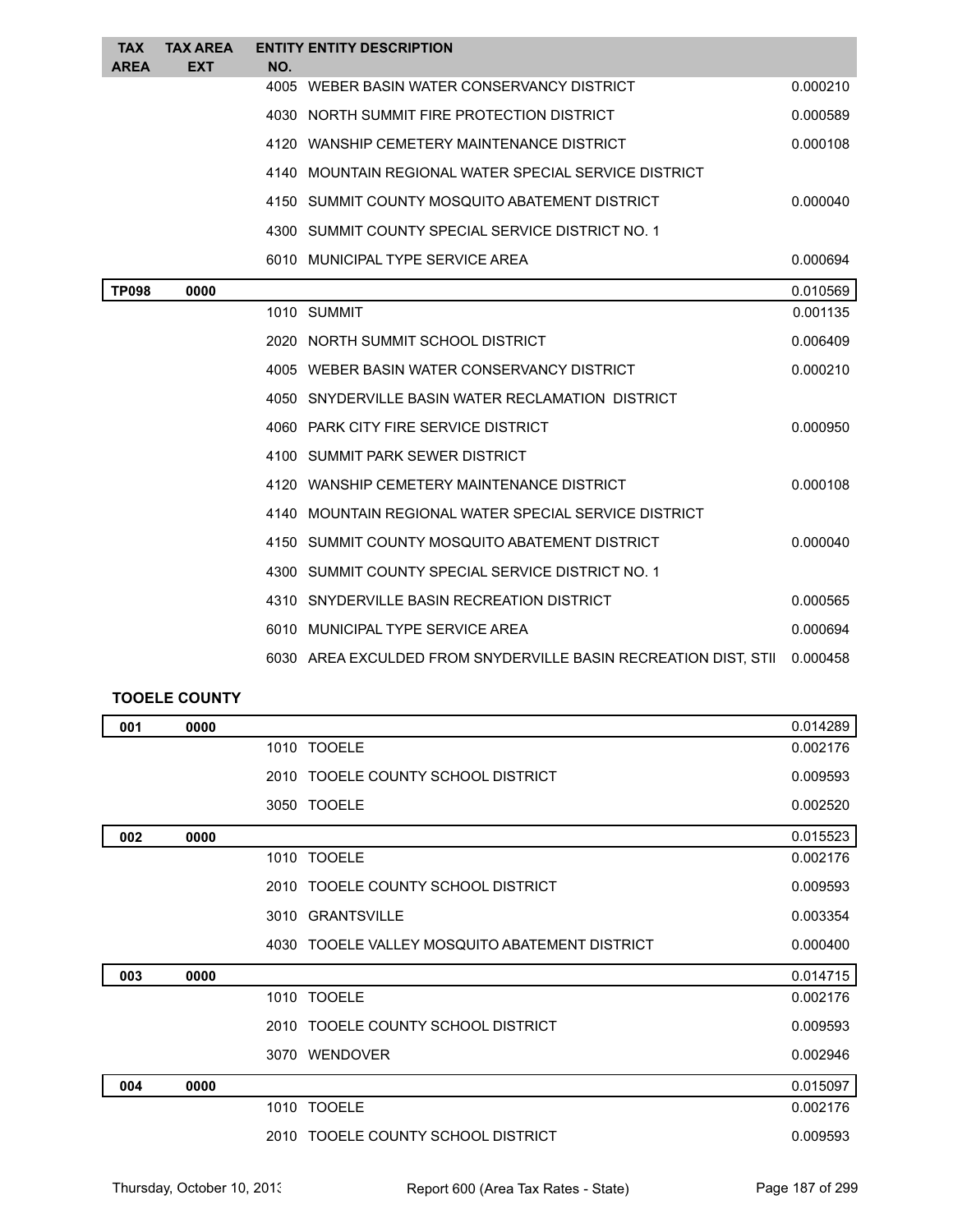| <b>TAX</b>   | <b>TAX AREA</b> | <b>ENTITY ENTITY DESCRIPTION</b>                                |          |
|--------------|-----------------|-----------------------------------------------------------------|----------|
| <b>AREA</b>  | <b>EXT</b>      | NO.<br>4005 WEBER BASIN WATER CONSERVANCY DISTRICT              | 0.000210 |
|              |                 | 4030 NORTH SUMMIT FIRE PROTECTION DISTRICT                      | 0.000589 |
|              |                 | 4120 WANSHIP CEMETERY MAINTENANCE DISTRICT                      | 0.000108 |
|              |                 |                                                                 |          |
|              |                 | 4140 MOUNTAIN REGIONAL WATER SPECIAL SERVICE DISTRICT           |          |
|              |                 | 4150 SUMMIT COUNTY MOSQUITO ABATEMENT DISTRICT                  | 0.000040 |
|              |                 | 4300 SUMMIT COUNTY SPECIAL SERVICE DISTRICT NO. 1               |          |
|              |                 | 6010 MUNICIPAL TYPE SERVICE AREA                                | 0.000694 |
| <b>TP098</b> | 0000            |                                                                 | 0.010569 |
|              |                 | 1010 SUMMIT                                                     | 0.001135 |
|              |                 | 2020 NORTH SUMMIT SCHOOL DISTRICT                               | 0.006409 |
|              |                 | 4005 WEBER BASIN WATER CONSERVANCY DISTRICT                     | 0.000210 |
|              |                 | 4050 SNYDERVILLE BASIN WATER RECLAMATION DISTRICT               |          |
|              |                 | 4060 PARK CITY FIRE SERVICE DISTRICT                            | 0.000950 |
|              |                 | 4100 SUMMIT PARK SEWER DISTRICT                                 |          |
|              |                 | 4120 WANSHIP CEMETERY MAINTENANCE DISTRICT                      | 0.000108 |
|              |                 | 4140 MOUNTAIN REGIONAL WATER SPECIAL SERVICE DISTRICT           |          |
|              |                 | 4150 SUMMIT COUNTY MOSQUITO ABATEMENT DISTRICT                  | 0.000040 |
|              |                 | 4300 SUMMIT COUNTY SPECIAL SERVICE DISTRICT NO. 1               |          |
|              |                 | 4310 SNYDERVILLE BASIN RECREATION DISTRICT                      | 0.000565 |
|              |                 | 6010 MUNICIPAL TYPE SERVICE AREA                                | 0.000694 |
|              |                 | 6030 AREA EXCULDED FROM SNYDERVILLE BASIN RECREATION DIST, STII | 0.000458 |

## **TOOELE COUNTY**

| 001 | 0000 |                                                | 0.014289 |
|-----|------|------------------------------------------------|----------|
|     |      | 1010 TOOELE                                    | 0.002176 |
|     |      | 2010 TOOELE COUNTY SCHOOL DISTRICT             | 0.009593 |
|     |      | 3050 TOOELE                                    | 0.002520 |
| 002 | 0000 |                                                | 0.015523 |
|     |      | 1010 TOOELE                                    | 0.002176 |
|     |      | 2010 TOOELE COUNTY SCHOOL DISTRICT             | 0.009593 |
|     |      | 3010 GRANTSVILLE                               | 0.003354 |
|     |      |                                                |          |
|     |      | 4030 TOOELE VALLEY MOSQUITO ABATEMENT DISTRICT | 0.000400 |
| 003 | 0000 |                                                | 0.014715 |
|     |      | 1010 TOOELE                                    | 0.002176 |
|     |      | 2010 TOOELE COUNTY SCHOOL DISTRICT             | 0.009593 |
|     |      | 3070 WENDOVER                                  | 0.002946 |
| 004 | 0000 |                                                | 0.015097 |
|     |      | 1010 TOOELE                                    | 0.002176 |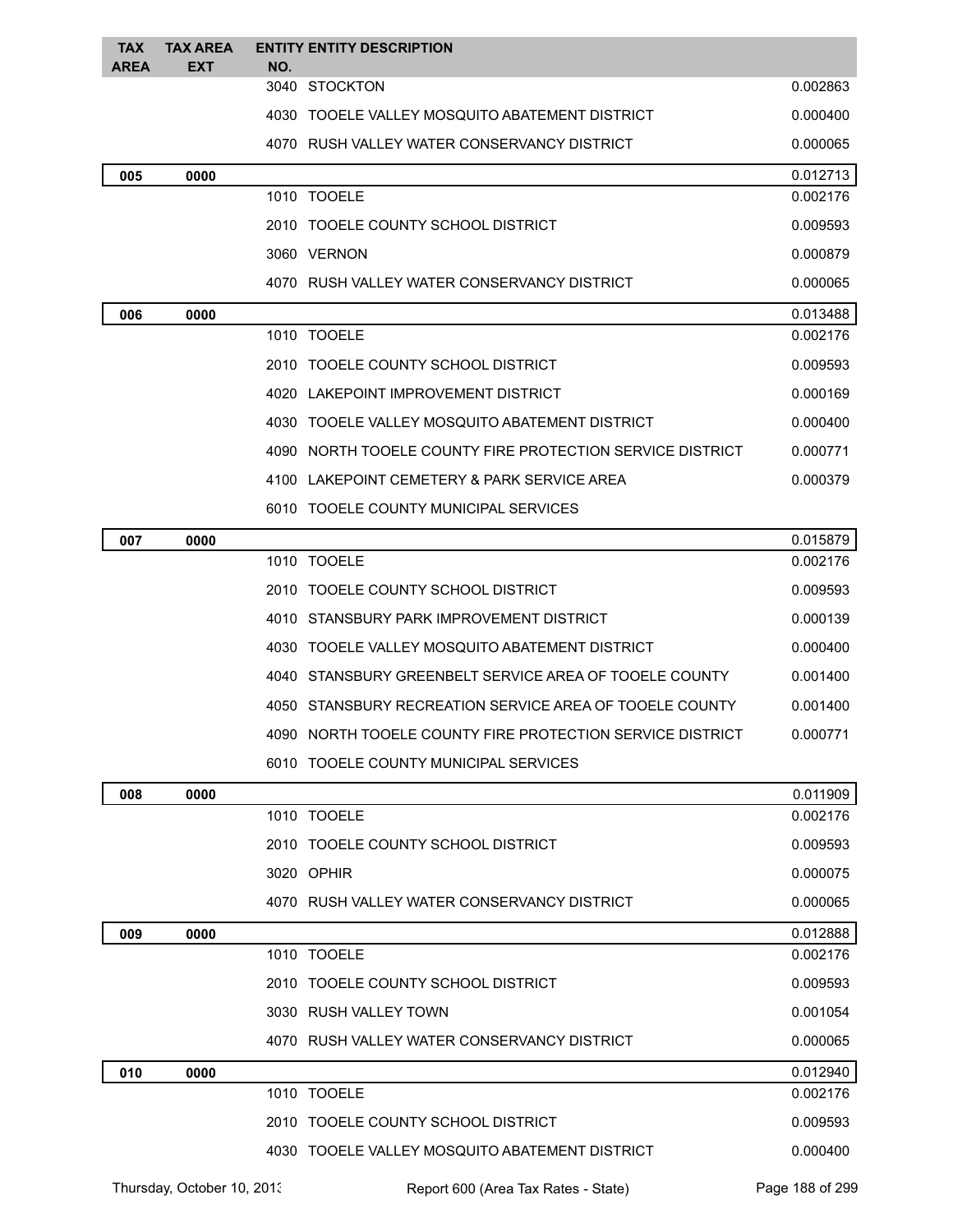| <b>TAX</b>  | <b>TAX AREA</b> | <b>ENTITY ENTITY DESCRIPTION</b>                          |          |
|-------------|-----------------|-----------------------------------------------------------|----------|
| <b>AREA</b> | EXT             | NO.<br>3040 STOCKTON                                      | 0.002863 |
|             |                 | 4030 TOOELE VALLEY MOSQUITO ABATEMENT DISTRICT            | 0.000400 |
|             |                 | 4070 RUSH VALLEY WATER CONSERVANCY DISTRICT               | 0.000065 |
| 005         | 0000            |                                                           | 0.012713 |
|             |                 | 1010 TOOELE                                               | 0.002176 |
|             |                 | 2010 TOOELE COUNTY SCHOOL DISTRICT                        | 0.009593 |
|             |                 | 3060 VERNON                                               | 0.000879 |
|             |                 | 4070 RUSH VALLEY WATER CONSERVANCY DISTRICT               | 0.000065 |
| 006         | 0000            |                                                           | 0.013488 |
|             |                 | 1010 TOOELE                                               | 0.002176 |
|             |                 | 2010 TOOELE COUNTY SCHOOL DISTRICT                        | 0.009593 |
|             |                 | 4020 LAKEPOINT IMPROVEMENT DISTRICT                       | 0.000169 |
|             |                 | 4030 TOOELE VALLEY MOSQUITO ABATEMENT DISTRICT            | 0.000400 |
|             |                 | 4090 NORTH TOOELE COUNTY FIRE PROTECTION SERVICE DISTRICT | 0.000771 |
|             |                 | 4100 LAKEPOINT CEMETERY & PARK SERVICE AREA               | 0.000379 |
|             |                 | 6010 TOOELE COUNTY MUNICIPAL SERVICES                     |          |
| 007         | 0000            |                                                           | 0.015879 |
|             |                 | 1010 TOOELE                                               | 0.002176 |
|             |                 | 2010 TOOELE COUNTY SCHOOL DISTRICT                        | 0.009593 |
|             |                 | 4010 STANSBURY PARK IMPROVEMENT DISTRICT                  | 0.000139 |
|             |                 | 4030 TOOELE VALLEY MOSQUITO ABATEMENT DISTRICT            | 0.000400 |
|             |                 | 4040 STANSBURY GREENBELT SERVICE AREA OF TOOELE COUNTY    | 0.001400 |
|             |                 | 4050 STANSBURY RECREATION SERVICE AREA OF TOOELE COUNTY   | 0.001400 |
|             |                 | 4090 NORTH TOOELE COUNTY FIRE PROTECTION SERVICE DISTRICT | 0.000771 |
|             |                 | 6010 TOOELE COUNTY MUNICIPAL SERVICES                     |          |
| 008         | 0000            |                                                           | 0.011909 |
|             |                 | 1010 TOOELE                                               | 0.002176 |
|             |                 | 2010 TOOELE COUNTY SCHOOL DISTRICT                        | 0.009593 |
|             |                 | 3020 OPHIR                                                | 0.000075 |
|             |                 | 4070   RUSH VALLEY WATER CONSERVANCY DISTRICT             | 0.000065 |
| 009         | 0000            |                                                           | 0.012888 |
|             |                 | 1010 TOOELE                                               | 0.002176 |
|             |                 | 2010 TOOELE COUNTY SCHOOL DISTRICT                        | 0.009593 |
|             |                 | 3030 RUSH VALLEY TOWN                                     | 0.001054 |
|             |                 | 4070 RUSH VALLEY WATER CONSERVANCY DISTRICT               | 0.000065 |
| 010         | 0000            |                                                           | 0.012940 |
|             |                 | 1010 TOOELE                                               | 0.002176 |
|             |                 | 2010 TOOELE COUNTY SCHOOL DISTRICT                        | 0.009593 |
|             |                 | 4030 TOOELE VALLEY MOSQUITO ABATEMENT DISTRICT            | 0.000400 |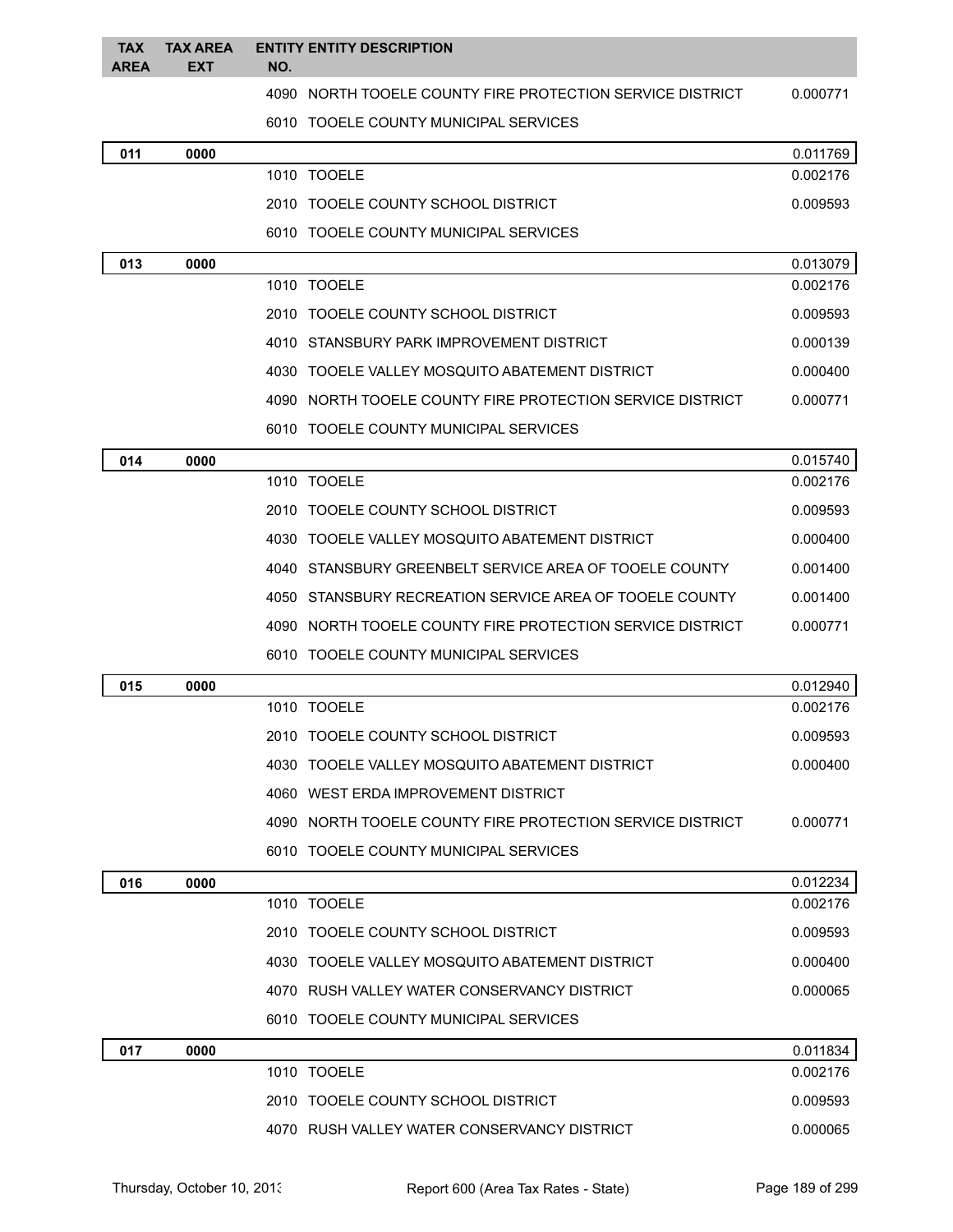| <b>TAX</b><br><b>AREA</b> | <b>TAX AREA</b><br><b>EXT</b> | NO. | <b>ENTITY ENTITY DESCRIPTION</b>                          |          |
|---------------------------|-------------------------------|-----|-----------------------------------------------------------|----------|
|                           |                               |     | 4090 NORTH TOOELE COUNTY FIRE PROTECTION SERVICE DISTRICT | 0.000771 |
|                           |                               |     | 6010 TOOELE COUNTY MUNICIPAL SERVICES                     |          |
| 011                       | 0000                          |     |                                                           | 0.011769 |
|                           |                               |     | 1010 TOOELE                                               | 0.002176 |
|                           |                               |     | 2010 TOOELE COUNTY SCHOOL DISTRICT                        | 0.009593 |
|                           |                               |     | 6010 TOOELE COUNTY MUNICIPAL SERVICES                     |          |
| 013                       | 0000                          |     |                                                           | 0.013079 |
|                           |                               |     | 1010 TOOELE                                               | 0.002176 |
|                           |                               |     | 2010 TOOELE COUNTY SCHOOL DISTRICT                        | 0.009593 |
|                           |                               |     | 4010 STANSBURY PARK IMPROVEMENT DISTRICT                  | 0.000139 |
|                           |                               |     | 4030 TOOELE VALLEY MOSQUITO ABATEMENT DISTRICT            | 0.000400 |
|                           |                               |     | 4090 NORTH TOOELE COUNTY FIRE PROTECTION SERVICE DISTRICT | 0.000771 |
|                           |                               |     | 6010 TOOELE COUNTY MUNICIPAL SERVICES                     |          |
| 014                       | 0000                          |     |                                                           | 0.015740 |
|                           |                               |     | 1010 TOOELE                                               | 0.002176 |
|                           |                               |     | 2010 TOOELE COUNTY SCHOOL DISTRICT                        | 0.009593 |
|                           |                               |     | 4030 TOOELE VALLEY MOSQUITO ABATEMENT DISTRICT            | 0.000400 |
|                           |                               |     | 4040 STANSBURY GREENBELT SERVICE AREA OF TOOELE COUNTY    | 0.001400 |
|                           |                               |     | 4050 STANSBURY RECREATION SERVICE AREA OF TOOELE COUNTY   | 0.001400 |
|                           |                               |     | 4090 NORTH TOOELE COUNTY FIRE PROTECTION SERVICE DISTRICT | 0.000771 |
|                           |                               |     | 6010 TOOELE COUNTY MUNICIPAL SERVICES                     |          |
| 015                       | 0000                          |     |                                                           | 0.012940 |
|                           |                               |     | 1010 TOOELE                                               | 0.002176 |
|                           |                               |     | 2010 TOOELE COUNTY SCHOOL DISTRICT                        | 0.009593 |
|                           |                               |     | 4030 TOOELE VALLEY MOSQUITO ABATEMENT DISTRICT            | 0.000400 |
|                           |                               |     | 4060 WEST ERDA IMPROVEMENT DISTRICT                       |          |
|                           |                               |     | 4090 NORTH TOOELE COUNTY FIRE PROTECTION SERVICE DISTRICT | 0.000771 |
|                           |                               |     | 6010 TOOELE COUNTY MUNICIPAL SERVICES                     |          |
| 016                       | 0000                          |     |                                                           | 0.012234 |
|                           |                               |     | 1010 TOOELE                                               | 0.002176 |
|                           |                               |     | 2010 TOOELE COUNTY SCHOOL DISTRICT                        | 0.009593 |
|                           |                               |     | 4030 TOOELE VALLEY MOSQUITO ABATEMENT DISTRICT            | 0.000400 |
|                           |                               |     | 4070 RUSH VALLEY WATER CONSERVANCY DISTRICT               | 0.000065 |
|                           |                               |     | 6010 TOOELE COUNTY MUNICIPAL SERVICES                     |          |
| 017                       | 0000                          |     |                                                           | 0.011834 |
|                           |                               |     | 1010 TOOELE                                               | 0.002176 |
|                           |                               |     | 2010 TOOELE COUNTY SCHOOL DISTRICT                        | 0.009593 |
|                           |                               |     | 4070 RUSH VALLEY WATER CONSERVANCY DISTRICT               | 0.000065 |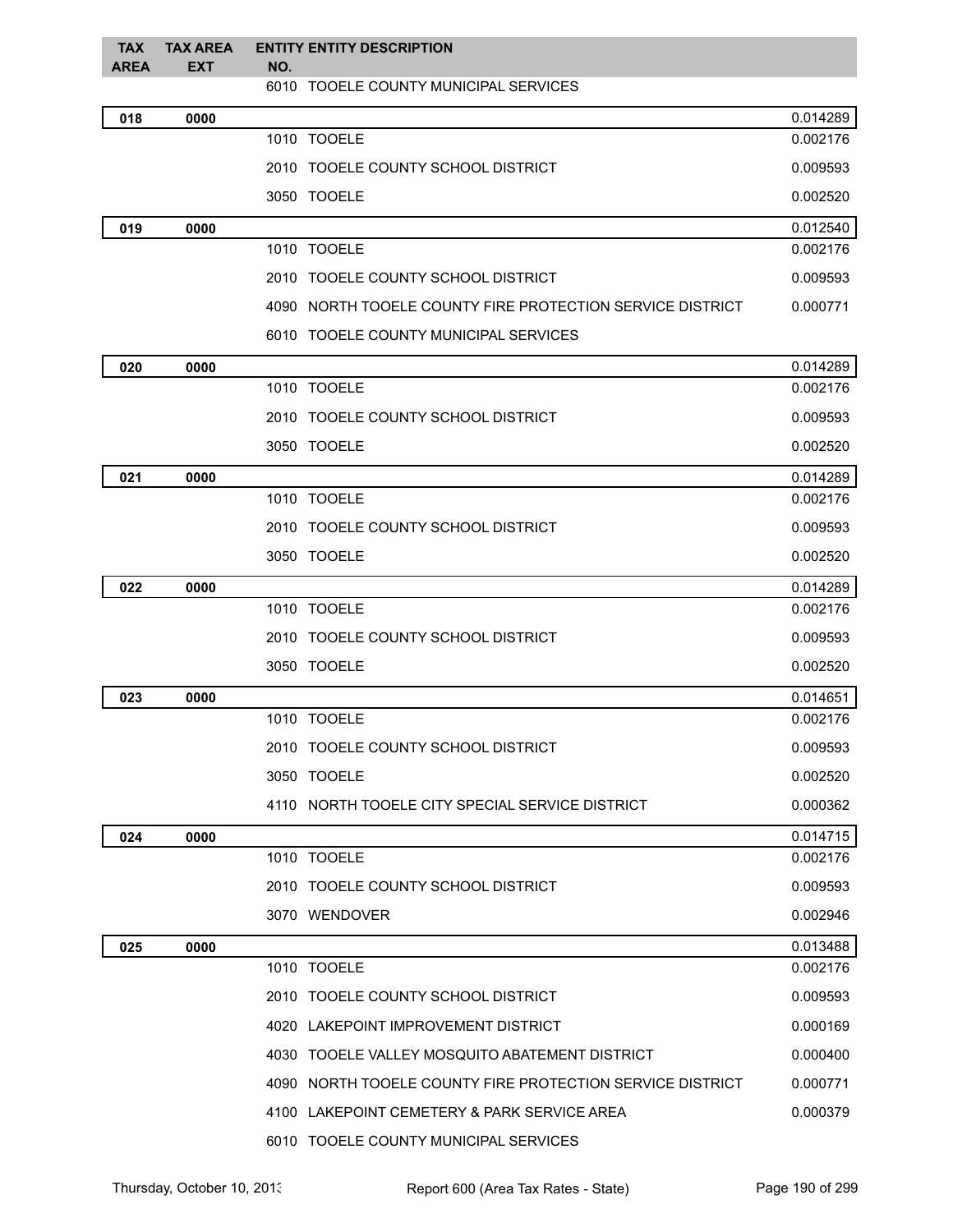| <b>TAX</b><br><b>AREA</b> | <b>TAX AREA</b><br><b>EXT</b> | <b>ENTITY ENTITY DESCRIPTION</b><br>NO.                   |          |
|---------------------------|-------------------------------|-----------------------------------------------------------|----------|
|                           |                               | 6010 TOOELE COUNTY MUNICIPAL SERVICES                     |          |
| 018                       | 0000                          |                                                           | 0.014289 |
|                           |                               | 1010 TOOELE                                               | 0.002176 |
|                           |                               | 2010 TOOELE COUNTY SCHOOL DISTRICT                        | 0.009593 |
|                           |                               | 3050 TOOELE                                               | 0.002520 |
| 019                       | 0000                          |                                                           | 0.012540 |
|                           |                               | 1010 TOOELE                                               | 0.002176 |
|                           |                               | 2010 TOOELE COUNTY SCHOOL DISTRICT                        | 0.009593 |
|                           |                               | 4090 NORTH TOOELE COUNTY FIRE PROTECTION SERVICE DISTRICT | 0.000771 |
|                           |                               | 6010 TOOELE COUNTY MUNICIPAL SERVICES                     |          |
| 020                       | 0000                          |                                                           | 0.014289 |
|                           |                               | 1010 TOOELE                                               | 0.002176 |
|                           |                               | 2010 TOOELE COUNTY SCHOOL DISTRICT                        | 0.009593 |
|                           |                               | 3050 TOOELE                                               | 0.002520 |
| 021                       | 0000                          |                                                           | 0.014289 |
|                           |                               | 1010 TOOELE                                               | 0.002176 |
|                           |                               | 2010 TOOELE COUNTY SCHOOL DISTRICT                        | 0.009593 |
|                           |                               | 3050 TOOELE                                               | 0.002520 |
| 022                       | 0000                          |                                                           | 0.014289 |
|                           |                               | 1010 TOOELE                                               | 0.002176 |
|                           |                               | 2010 TOOELE COUNTY SCHOOL DISTRICT                        | 0.009593 |
|                           |                               | 3050 TOOELE                                               | 0.002520 |
| 023                       | 0000                          |                                                           | 0.014651 |
|                           |                               | 1010 TOOELE                                               | 0.002176 |
|                           |                               | 2010 TOOELE COUNTY SCHOOL DISTRICT                        | 0.009593 |
|                           |                               | 3050 TOOELE                                               | 0.002520 |
|                           |                               | 4110 NORTH TOOELE CITY SPECIAL SERVICE DISTRICT           | 0.000362 |
| 024                       | 0000                          |                                                           | 0.014715 |
|                           |                               | 1010 TOOELE                                               | 0.002176 |
|                           |                               | 2010 TOOELE COUNTY SCHOOL DISTRICT                        | 0.009593 |
|                           |                               | 3070 WENDOVER                                             | 0.002946 |
| 025                       | 0000                          |                                                           | 0.013488 |
|                           |                               | 1010 TOOELE                                               | 0.002176 |
|                           |                               | 2010 TOOELE COUNTY SCHOOL DISTRICT                        | 0.009593 |
|                           |                               | 4020 LAKEPOINT IMPROVEMENT DISTRICT                       | 0.000169 |
|                           |                               | 4030 TOOELE VALLEY MOSQUITO ABATEMENT DISTRICT            | 0.000400 |
|                           |                               | 4090 NORTH TOOELE COUNTY FIRE PROTECTION SERVICE DISTRICT | 0.000771 |
|                           |                               | 4100 LAKEPOINT CEMETERY & PARK SERVICE AREA               | 0.000379 |
|                           |                               | 6010 TOOELE COUNTY MUNICIPAL SERVICES                     |          |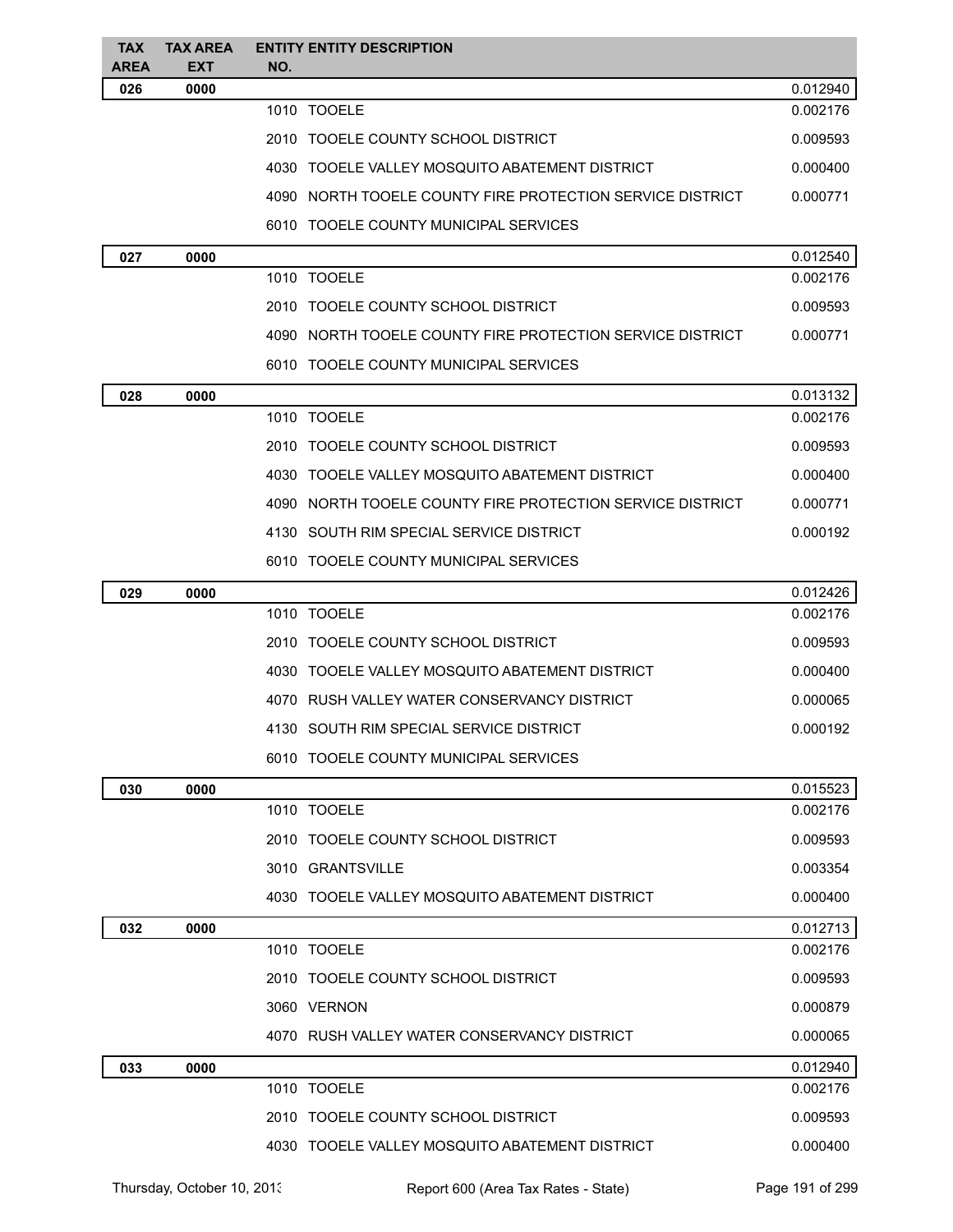| <b>TAX</b><br><b>AREA</b> | <b>TAX AREA</b><br><b>EXT</b> | <b>ENTITY ENTITY DESCRIPTION</b><br>NO.                   |          |
|---------------------------|-------------------------------|-----------------------------------------------------------|----------|
| 026                       | 0000                          |                                                           | 0.012940 |
|                           |                               | 1010 TOOELE                                               | 0.002176 |
|                           |                               | 2010 TOOELE COUNTY SCHOOL DISTRICT                        | 0.009593 |
|                           |                               | 4030 TOOELE VALLEY MOSQUITO ABATEMENT DISTRICT            | 0.000400 |
|                           |                               | 4090 NORTH TOOELE COUNTY FIRE PROTECTION SERVICE DISTRICT | 0.000771 |
|                           |                               | 6010 TOOELE COUNTY MUNICIPAL SERVICES                     |          |
| 027                       | 0000                          |                                                           | 0.012540 |
|                           |                               | 1010 TOOELE                                               | 0.002176 |
|                           |                               | 2010 TOOELE COUNTY SCHOOL DISTRICT                        | 0.009593 |
|                           |                               | 4090 NORTH TOOELE COUNTY FIRE PROTECTION SERVICE DISTRICT | 0.000771 |
|                           |                               | 6010 TOOELE COUNTY MUNICIPAL SERVICES                     |          |
| 028                       | 0000                          |                                                           | 0.013132 |
|                           |                               | 1010 TOOELE                                               | 0.002176 |
|                           |                               | 2010 TOOELE COUNTY SCHOOL DISTRICT                        | 0.009593 |
|                           |                               | 4030 TOOELE VALLEY MOSQUITO ABATEMENT DISTRICT            | 0.000400 |
|                           |                               | 4090 NORTH TOOELE COUNTY FIRE PROTECTION SERVICE DISTRICT | 0.000771 |
|                           |                               | 4130 SOUTH RIM SPECIAL SERVICE DISTRICT                   | 0.000192 |
|                           |                               | 6010 TOOELE COUNTY MUNICIPAL SERVICES                     |          |
| 029                       | 0000                          |                                                           | 0.012426 |
|                           |                               | 1010 TOOELE                                               | 0.002176 |
|                           |                               | 2010 TOOELE COUNTY SCHOOL DISTRICT                        | 0.009593 |
|                           |                               | 4030<br>TOOELE VALLEY MOSQUITO ABATEMENT DISTRICT         | 0.000400 |
|                           |                               | 4070   RUSH VALLEY WATER CONSERVANCY DISTRICT             | 0.000065 |
|                           |                               | 4130 SOUTH RIM SPECIAL SERVICE DISTRICT                   | 0.000192 |
|                           |                               | 6010 TOOELE COUNTY MUNICIPAL SERVICES                     |          |
| 030                       | 0000                          |                                                           | 0.015523 |
|                           |                               | 1010 TOOELE                                               | 0.002176 |
|                           |                               | 2010 TOOELE COUNTY SCHOOL DISTRICT                        | 0.009593 |
|                           |                               | 3010 GRANTSVILLE                                          | 0.003354 |
|                           |                               | 4030 TOOELE VALLEY MOSQUITO ABATEMENT DISTRICT            | 0.000400 |
| 032                       | 0000                          |                                                           | 0.012713 |
|                           |                               | 1010 TOOELE                                               | 0.002176 |
|                           |                               | 2010 TOOELE COUNTY SCHOOL DISTRICT                        | 0.009593 |
|                           |                               | 3060 VERNON                                               | 0.000879 |
|                           |                               | 4070 RUSH VALLEY WATER CONSERVANCY DISTRICT               | 0.000065 |
| 033                       | 0000                          |                                                           | 0.012940 |
|                           |                               | 1010 TOOELE                                               | 0.002176 |
|                           |                               | 2010 TOOELE COUNTY SCHOOL DISTRICT                        | 0.009593 |
|                           |                               | 4030 TOOELE VALLEY MOSQUITO ABATEMENT DISTRICT            | 0.000400 |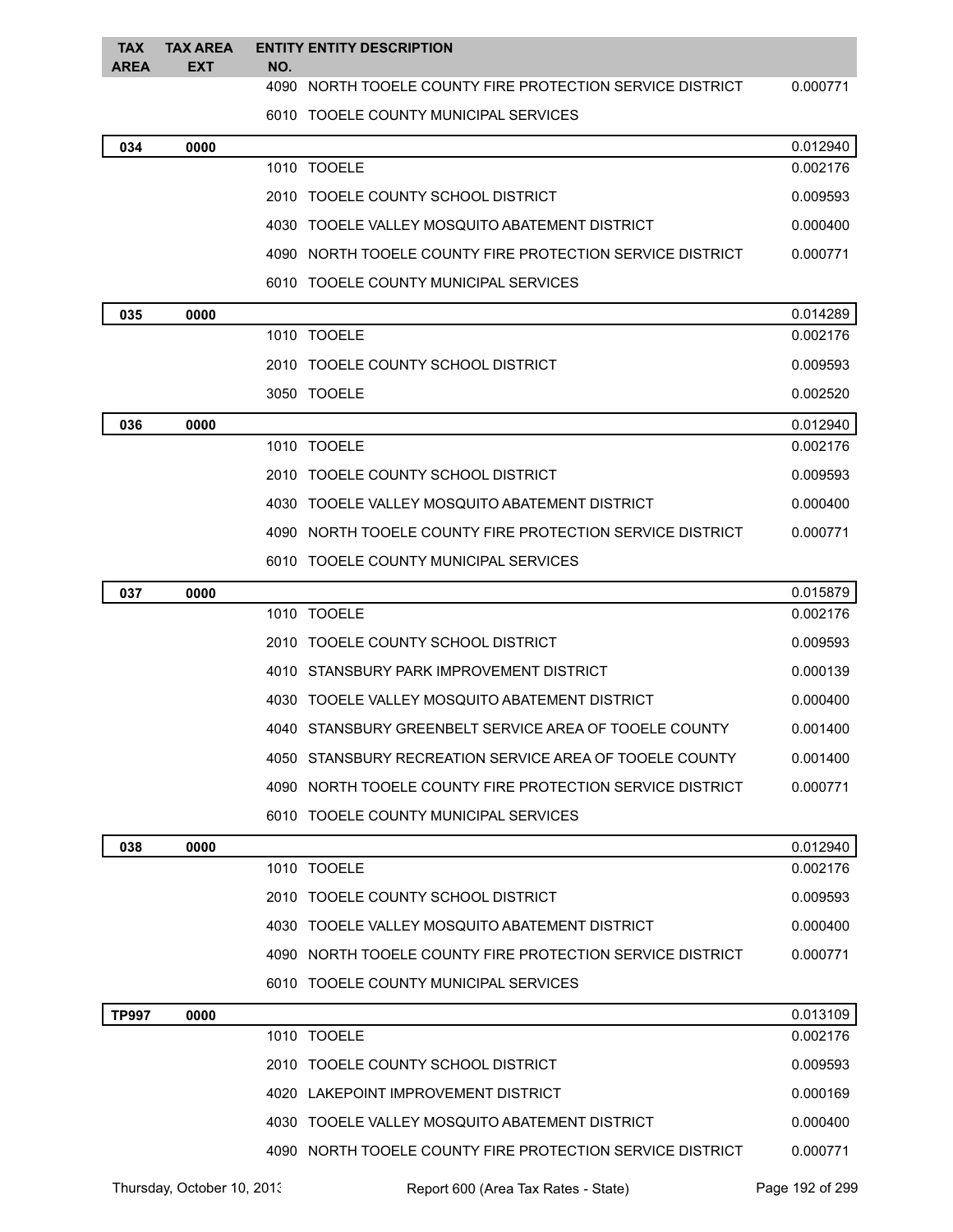| <b>TAX</b>   | <b>TAX AREA</b> |     | <b>ENTITY ENTITY DESCRIPTION</b>                          |          |
|--------------|-----------------|-----|-----------------------------------------------------------|----------|
| <b>AREA</b>  | <b>EXT</b>      | NO. |                                                           |          |
|              |                 |     | 4090 NORTH TOOELE COUNTY FIRE PROTECTION SERVICE DISTRICT | 0.000771 |
|              |                 |     | 6010 TOOELE COUNTY MUNICIPAL SERVICES                     |          |
| 034          | 0000            |     |                                                           | 0.012940 |
|              |                 |     | 1010 TOOELE                                               | 0.002176 |
|              |                 |     | 2010 TOOELE COUNTY SCHOOL DISTRICT                        | 0.009593 |
|              |                 |     | 4030 TOOELE VALLEY MOSQUITO ABATEMENT DISTRICT            | 0.000400 |
|              |                 |     | 4090 NORTH TOOELE COUNTY FIRE PROTECTION SERVICE DISTRICT | 0.000771 |
|              |                 |     | 6010 TOOELE COUNTY MUNICIPAL SERVICES                     |          |
| 035          | 0000            |     |                                                           | 0.014289 |
|              |                 |     | 1010 TOOELE                                               | 0.002176 |
|              |                 |     | 2010 TOOELE COUNTY SCHOOL DISTRICT                        | 0.009593 |
|              |                 |     | 3050 TOOELE                                               | 0.002520 |
| 036          | 0000            |     |                                                           | 0.012940 |
|              |                 |     | 1010 TOOELE                                               | 0.002176 |
|              |                 |     | 2010 TOOELE COUNTY SCHOOL DISTRICT                        | 0.009593 |
|              |                 |     | 4030 TOOELE VALLEY MOSQUITO ABATEMENT DISTRICT            | 0.000400 |
|              |                 |     | 4090 NORTH TOOELE COUNTY FIRE PROTECTION SERVICE DISTRICT | 0.000771 |
|              |                 |     | 6010 TOOELE COUNTY MUNICIPAL SERVICES                     |          |
| 037          | 0000            |     |                                                           | 0.015879 |
|              |                 |     | 1010 TOOELE                                               | 0.002176 |
|              |                 |     | 2010 TOOELE COUNTY SCHOOL DISTRICT                        | 0.009593 |
|              |                 |     | 4010 STANSBURY PARK IMPROVEMENT DISTRICT                  | 0.000139 |
|              |                 |     | 4030 TOOELE VALLEY MOSQUITO ABATEMENT DISTRICT            | 0.000400 |
|              |                 |     | 4040 STANSBURY GREENBELT SERVICE AREA OF TOOELE COUNTY    | 0.001400 |
|              |                 |     | 4050 STANSBURY RECREATION SERVICE AREA OF TOOFLE COUNTY   | 0.001400 |
|              |                 |     | 4090 NORTH TOOELE COUNTY FIRE PROTECTION SERVICE DISTRICT | 0.000771 |
|              |                 |     | 6010 TOOELE COUNTY MUNICIPAL SERVICES                     |          |
| 038          | 0000            |     |                                                           | 0.012940 |
|              |                 |     | 1010 TOOELE                                               | 0.002176 |
|              |                 |     | 2010 TOOELE COUNTY SCHOOL DISTRICT                        | 0.009593 |
|              |                 |     | 4030 TOOELE VALLEY MOSQUITO ABATEMENT DISTRICT            | 0.000400 |
|              |                 |     | 4090 NORTH TOOELE COUNTY FIRE PROTECTION SERVICE DISTRICT | 0.000771 |
|              |                 |     | 6010 TOOELE COUNTY MUNICIPAL SERVICES                     |          |
| <b>TP997</b> | 0000            |     |                                                           | 0.013109 |
|              |                 |     | 1010 TOOELE                                               | 0.002176 |
|              |                 |     | 2010 TOOELE COUNTY SCHOOL DISTRICT                        | 0.009593 |
|              |                 |     | 4020 LAKEPOINT IMPROVEMENT DISTRICT                       | 0.000169 |
|              |                 |     | 4030 TOOELE VALLEY MOSQUITO ABATEMENT DISTRICT            | 0.000400 |

Thursday, October 10, 2013 Report 600 (Area Tax Rates - State) Page 192 of 299

NORTH TOOELE COUNTY FIRE PROTECTION SERVICE DISTRICT 0.000771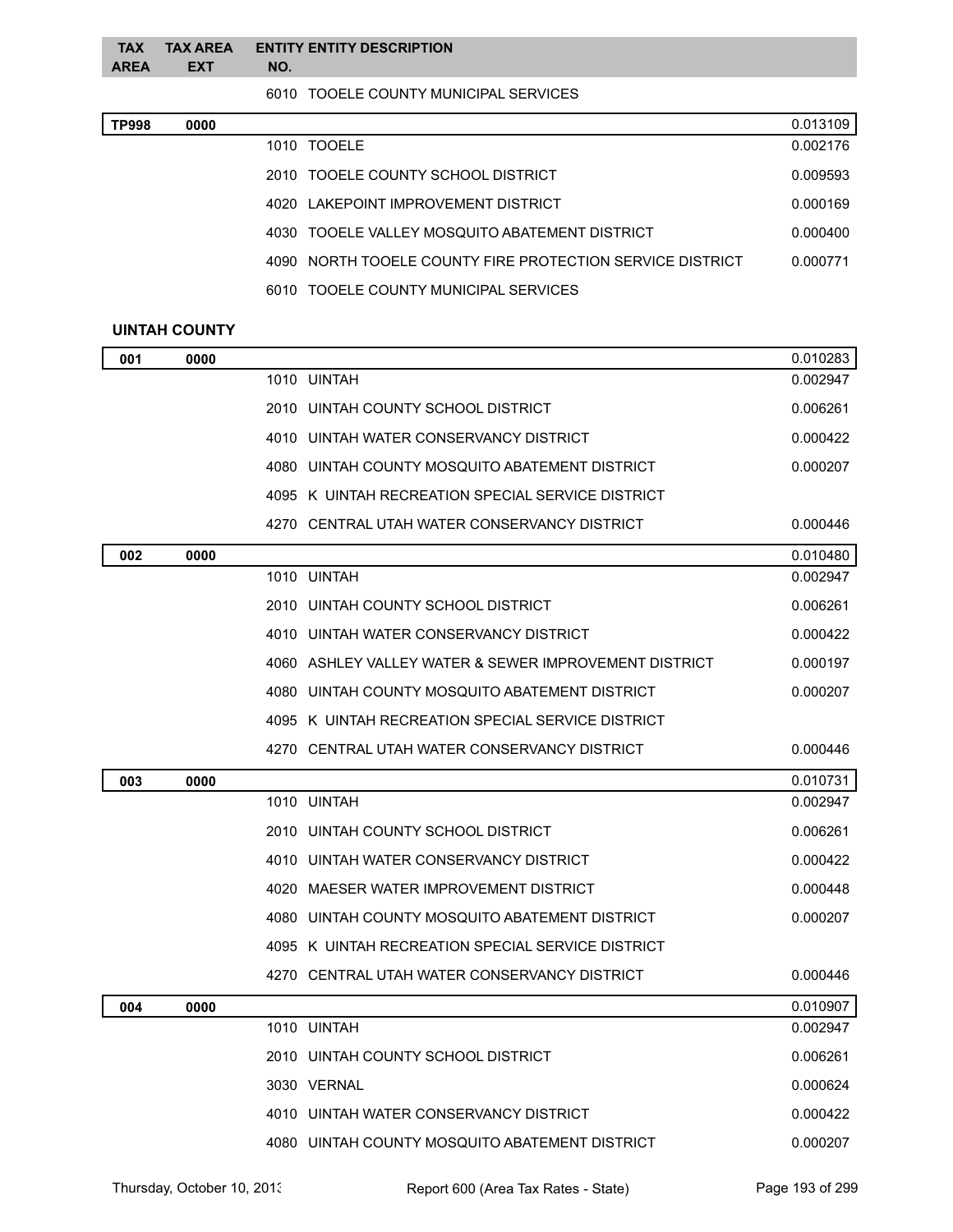| <b>AREA</b> | <b>EXT</b> | NO. | TAX TAX AREA ENTITY ENTITY DESCRIPTION |  |
|-------------|------------|-----|----------------------------------------|--|
|             |            |     | 6010 TOOELE COUNTY MUNICIPAL SERVICES  |  |

| TP998 | 0000 |                                                           | 0.013109 |
|-------|------|-----------------------------------------------------------|----------|
|       |      | 1010 TOOELE                                               | 0.002176 |
|       |      | 2010 TOOELE COUNTY SCHOOL DISTRICT                        | 0.009593 |
|       |      | 4020 LAKEPOINT IMPROVEMENT DISTRICT                       | 0.000169 |
|       |      | 4030 TOOELE VALLEY MOSQUITO ABATEMENT DISTRICT            | 0.000400 |
|       |      | 4090 NORTH TOOELE COUNTY FIRE PROTECTION SERVICE DISTRICT | 0.000771 |
|       |      | 6010 TOOELE COUNTY MUNICIPAL SERVICES                     |          |

## **UINTAH COUNTY**

| 001 | 0000 |                                    |                                                       | 0.010283 |
|-----|------|------------------------------------|-------------------------------------------------------|----------|
|     |      | 1010 UINTAH                        |                                                       | 0.002947 |
|     |      | 2010 UINTAH COUNTY SCHOOL DISTRICT |                                                       | 0.006261 |
|     |      |                                    | 4010 UINTAH WATER CONSERVANCY DISTRICT                | 0.000422 |
|     |      |                                    | 4080 UINTAH COUNTY MOSQUITO ABATEMENT DISTRICT        | 0.000207 |
|     |      |                                    | 4095 K UINTAH RECREATION SPECIAL SERVICE DISTRICT     |          |
|     |      |                                    | 4270 CENTRAL UTAH WATER CONSERVANCY DISTRICT          | 0.000446 |
| 002 | 0000 |                                    |                                                       | 0.010480 |
|     |      | 1010 UINTAH                        |                                                       | 0.002947 |
|     |      | 2010 UINTAH COUNTY SCHOOL DISTRICT |                                                       | 0.006261 |
|     |      |                                    | 4010 UINTAH WATER CONSERVANCY DISTRICT                | 0.000422 |
|     |      |                                    | 4060 ASHLEY VALLEY WATER & SEWER IMPROVEMENT DISTRICT | 0.000197 |
|     |      |                                    | 4080 UINTAH COUNTY MOSQUITO ABATEMENT DISTRICT        | 0.000207 |
|     |      |                                    | 4095 K UINTAH RECREATION SPECIAL SERVICE DISTRICT     |          |
|     |      |                                    | 4270 CENTRAL UTAH WATER CONSERVANCY DISTRICT          | 0.000446 |
| 003 | 0000 |                                    |                                                       | 0.010731 |
|     |      | 1010 UINTAH                        |                                                       | 0.002947 |
|     |      | 2010 UINTAH COUNTY SCHOOL DISTRICT |                                                       | 0.006261 |
|     |      |                                    | 4010 UINTAH WATER CONSERVANCY DISTRICT                | 0.000422 |
|     |      |                                    | 4020 MAESER WATER IMPROVEMENT DISTRICT                | 0.000448 |
|     |      |                                    | 4080 UINTAH COUNTY MOSQUITO ABATEMENT DISTRICT        | 0.000207 |
|     |      |                                    | 4095 K UINTAH RECREATION SPECIAL SERVICE DISTRICT     |          |
|     |      |                                    | 4270 CENTRAL UTAH WATER CONSERVANCY DISTRICT          | 0.000446 |
| 004 | 0000 |                                    |                                                       | 0.010907 |
|     |      | 1010 UINTAH                        |                                                       | 0.002947 |
|     |      | 2010 UINTAH COUNTY SCHOOL DISTRICT |                                                       | 0.006261 |
|     |      | 3030 VERNAL                        |                                                       | 0.000624 |
|     |      |                                    |                                                       |          |
|     |      |                                    | 4010 UINTAH WATER CONSERVANCY DISTRICT                | 0.000422 |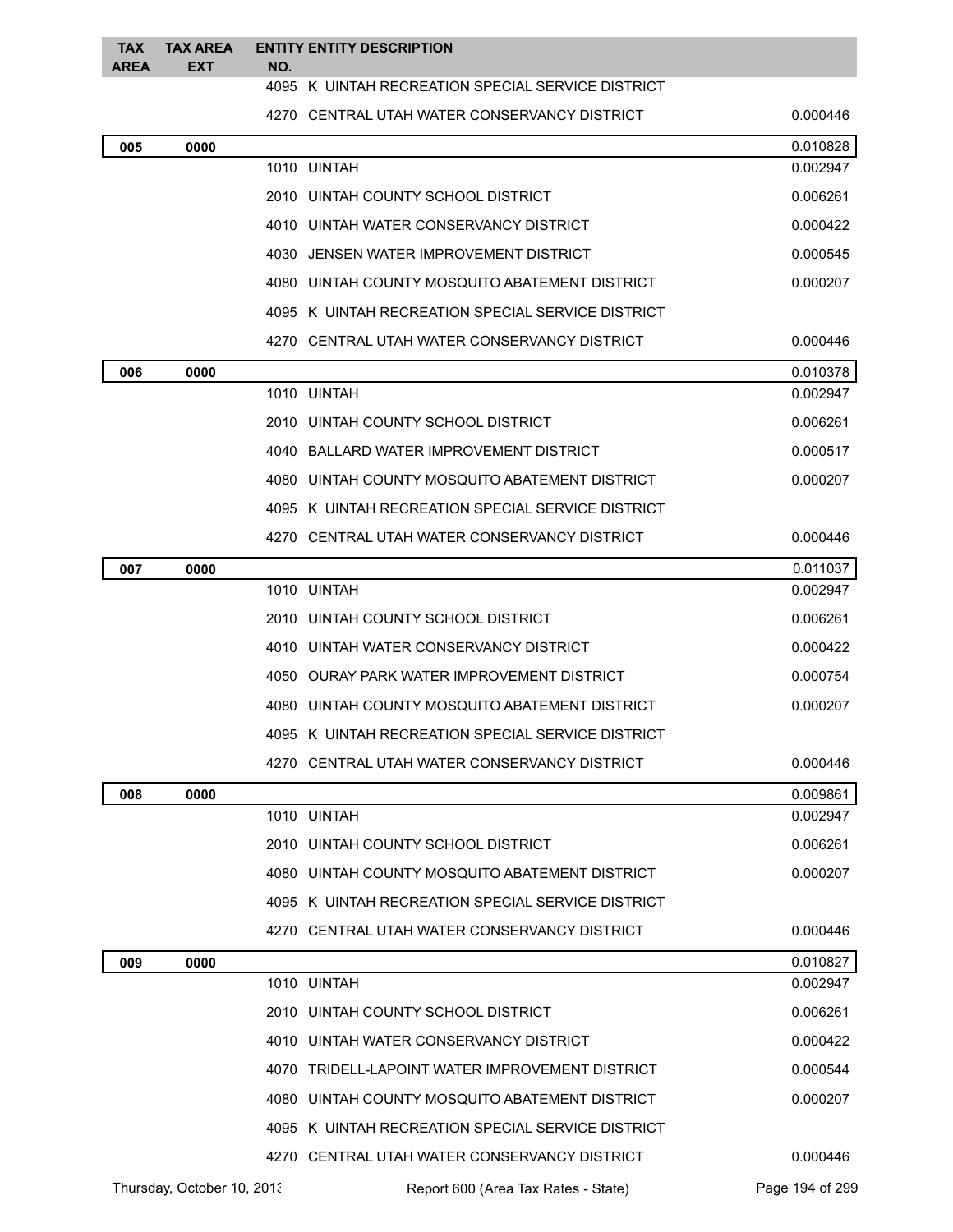| <b>TAX</b><br><b>AREA</b> | <b>TAX AREA</b><br><b>EXT</b> | <b>ENTITY ENTITY DESCRIPTION</b><br>NO.           |          |
|---------------------------|-------------------------------|---------------------------------------------------|----------|
|                           |                               | 4095 K UINTAH RECREATION SPECIAL SERVICE DISTRICT |          |
|                           |                               | 4270 CENTRAL UTAH WATER CONSERVANCY DISTRICT      | 0.000446 |
| 005                       | 0000                          |                                                   | 0.010828 |
|                           |                               | 1010 UINTAH                                       | 0.002947 |
|                           |                               | 2010 UINTAH COUNTY SCHOOL DISTRICT                | 0.006261 |
|                           |                               | 4010 UINTAH WATER CONSERVANCY DISTRICT            | 0.000422 |
|                           |                               | 4030 JENSEN WATER IMPROVEMENT DISTRICT            | 0.000545 |
|                           |                               | 4080 UINTAH COUNTY MOSQUITO ABATEMENT DISTRICT    | 0.000207 |
|                           |                               | 4095 K UINTAH RECREATION SPECIAL SERVICE DISTRICT |          |
|                           |                               | 4270 CENTRAL UTAH WATER CONSERVANCY DISTRICT      | 0.000446 |
| 006                       | 0000                          |                                                   | 0.010378 |
|                           |                               | 1010 UINTAH                                       | 0.002947 |
|                           |                               | 2010 UINTAH COUNTY SCHOOL DISTRICT                | 0.006261 |
|                           |                               | 4040 BALLARD WATER IMPROVEMENT DISTRICT           | 0.000517 |
|                           |                               | 4080 UINTAH COUNTY MOSQUITO ABATEMENT DISTRICT    | 0.000207 |
|                           |                               | 4095 K UINTAH RECREATION SPECIAL SERVICE DISTRICT |          |
|                           |                               | 4270 CENTRAL UTAH WATER CONSERVANCY DISTRICT      | 0.000446 |
| 007                       | 0000                          |                                                   | 0.011037 |
|                           |                               | 1010 UINTAH                                       | 0.002947 |
|                           |                               | 2010 UINTAH COUNTY SCHOOL DISTRICT                | 0.006261 |
|                           |                               | 4010 UINTAH WATER CONSERVANCY DISTRICT            | 0.000422 |
|                           |                               | 4050 OURAY PARK WATER IMPROVEMENT DISTRICT        | 0.000754 |
|                           |                               | 4080 UINTAH COUNTY MOSQUITO ABATEMENT DISTRICT    | 0.000207 |
|                           |                               | 4095 K UINTAH RECREATION SPECIAL SERVICE DISTRICT |          |
|                           |                               | 4270 CENTRAL UTAH WATER CONSERVANCY DISTRICT      | 0.000446 |
| 008                       | 0000                          |                                                   | 0.009861 |
|                           |                               | 1010 UINTAH                                       | 0.002947 |
|                           |                               | 2010 UINTAH COUNTY SCHOOL DISTRICT                | 0.006261 |
|                           |                               | 4080 UINTAH COUNTY MOSQUITO ABATEMENT DISTRICT    | 0.000207 |
|                           |                               | 4095 K UINTAH RECREATION SPECIAL SERVICE DISTRICT |          |
|                           |                               | 4270 CENTRAL UTAH WATER CONSERVANCY DISTRICT      | 0.000446 |
| 009                       | 0000                          |                                                   | 0.010827 |
|                           |                               | 1010 UINTAH                                       | 0.002947 |
|                           |                               | 2010 UINTAH COUNTY SCHOOL DISTRICT                | 0.006261 |
|                           |                               | 4010 UINTAH WATER CONSERVANCY DISTRICT            | 0.000422 |
|                           |                               | 4070 TRIDELL-LAPOINT WATER IMPROVEMENT DISTRICT   | 0.000544 |
|                           |                               | 4080 UINTAH COUNTY MOSQUITO ABATEMENT DISTRICT    | 0.000207 |
|                           |                               | 4095 K UINTAH RECREATION SPECIAL SERVICE DISTRICT |          |
|                           |                               | 4270 CENTRAL UTAH WATER CONSERVANCY DISTRICT      | 0.000446 |

Thursday, October 10, 2013 Report 600 (Area Tax Rates - State) Page 194 of 299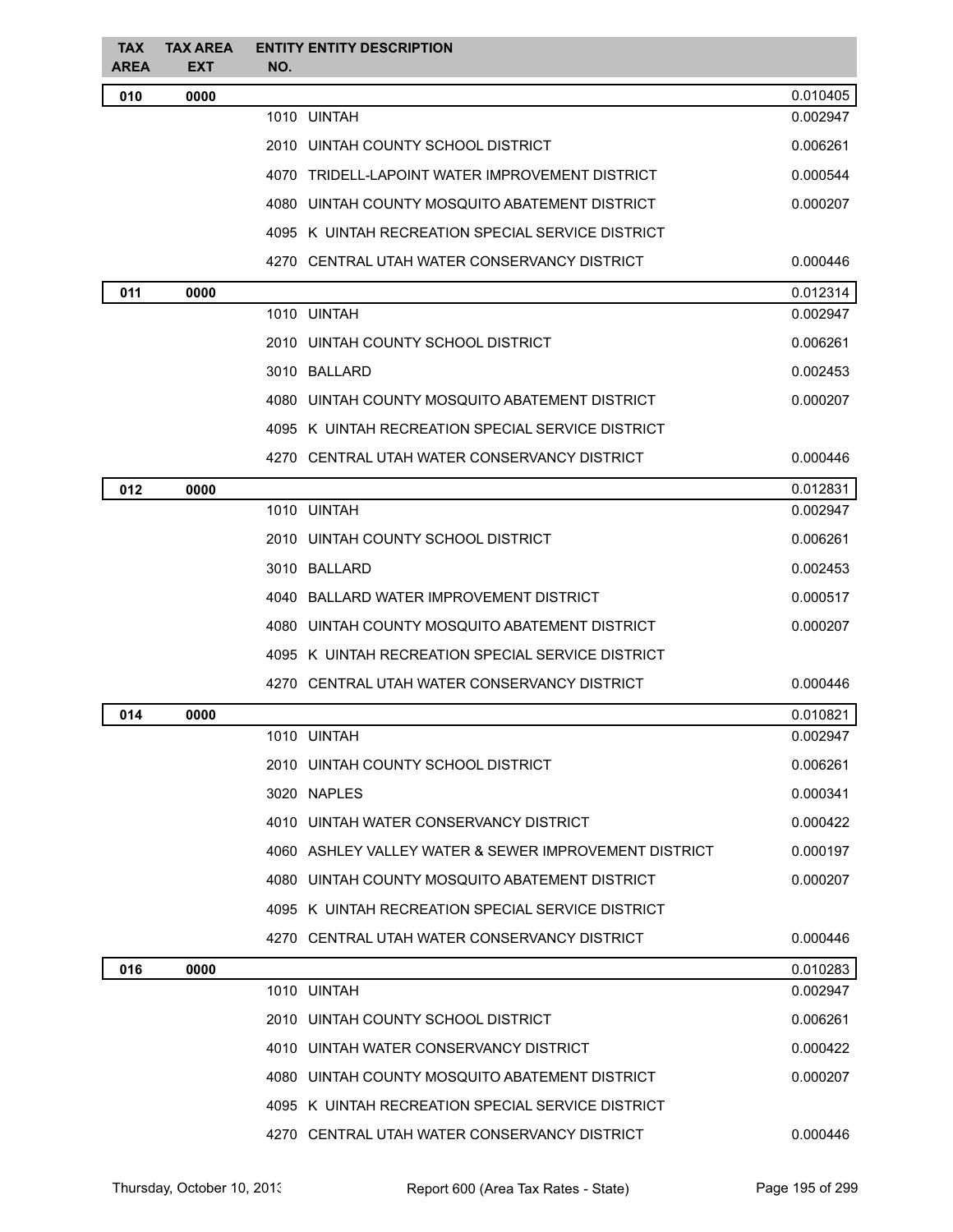| <b>TAX</b><br><b>AREA</b> | <b>TAX AREA</b><br>EXT | <b>ENTITY ENTITY DESCRIPTION</b><br>NO.               |          |
|---------------------------|------------------------|-------------------------------------------------------|----------|
| 010                       | 0000                   |                                                       | 0.010405 |
|                           |                        | 1010 UINTAH                                           | 0.002947 |
|                           |                        | 2010 UINTAH COUNTY SCHOOL DISTRICT                    | 0.006261 |
|                           |                        | 4070 TRIDELL-LAPOINT WATER IMPROVEMENT DISTRICT       | 0.000544 |
|                           |                        | 4080 UINTAH COUNTY MOSQUITO ABATEMENT DISTRICT        | 0.000207 |
|                           |                        | 4095 K UINTAH RECREATION SPECIAL SERVICE DISTRICT     |          |
|                           |                        | 4270 CENTRAL UTAH WATER CONSERVANCY DISTRICT          | 0.000446 |
| 011                       | 0000                   |                                                       | 0.012314 |
|                           |                        | 1010 UINTAH                                           | 0.002947 |
|                           |                        | 2010 UINTAH COUNTY SCHOOL DISTRICT                    | 0.006261 |
|                           |                        | 3010 BALLARD                                          | 0.002453 |
|                           |                        | 4080 UINTAH COUNTY MOSQUITO ABATEMENT DISTRICT        | 0.000207 |
|                           |                        | 4095 K UINTAH RECREATION SPECIAL SERVICE DISTRICT     |          |
|                           |                        | 4270 CENTRAL UTAH WATER CONSERVANCY DISTRICT          | 0.000446 |
| 012                       | 0000                   |                                                       | 0.012831 |
|                           |                        | 1010 UINTAH                                           | 0.002947 |
|                           |                        | 2010 UINTAH COUNTY SCHOOL DISTRICT                    | 0.006261 |
|                           |                        | 3010 BALLARD                                          | 0.002453 |
|                           |                        | 4040 BALLARD WATER IMPROVEMENT DISTRICT               | 0.000517 |
|                           |                        | 4080 UINTAH COUNTY MOSQUITO ABATEMENT DISTRICT        | 0.000207 |
|                           |                        | 4095 K UINTAH RECREATION SPECIAL SERVICE DISTRICT     |          |
|                           |                        | 4270 CENTRAL UTAH WATER CONSERVANCY DISTRICT          | 0.000446 |
| 014                       | 0000                   |                                                       | 0.010821 |
|                           |                        | 1010 UINTAH                                           | 0.002947 |
|                           |                        | 2010 UINTAH COUNTY SCHOOL DISTRICT                    | 0.006261 |
|                           |                        | 3020 NAPLES                                           | 0.000341 |
|                           |                        | 4010 UINTAH WATER CONSERVANCY DISTRICT                | 0.000422 |
|                           |                        | 4060 ASHLEY VALLEY WATER & SEWER IMPROVEMENT DISTRICT | 0.000197 |
|                           |                        | 4080 UINTAH COUNTY MOSQUITO ABATEMENT DISTRICT        | 0.000207 |
|                           |                        | 4095 K UINTAH RECREATION SPECIAL SERVICE DISTRICT     |          |
|                           |                        | 4270 CENTRAL UTAH WATER CONSERVANCY DISTRICT          | 0.000446 |
| 016                       | 0000                   |                                                       | 0.010283 |
|                           |                        | 1010 UINTAH                                           | 0.002947 |
|                           |                        | 2010 UINTAH COUNTY SCHOOL DISTRICT                    | 0.006261 |
|                           |                        | 4010 UINTAH WATER CONSERVANCY DISTRICT                | 0.000422 |
|                           |                        | 4080 UINTAH COUNTY MOSQUITO ABATEMENT DISTRICT        | 0.000207 |
|                           |                        | 4095 K UINTAH RECREATION SPECIAL SERVICE DISTRICT     |          |
|                           |                        | 4270 CENTRAL UTAH WATER CONSERVANCY DISTRICT          | 0.000446 |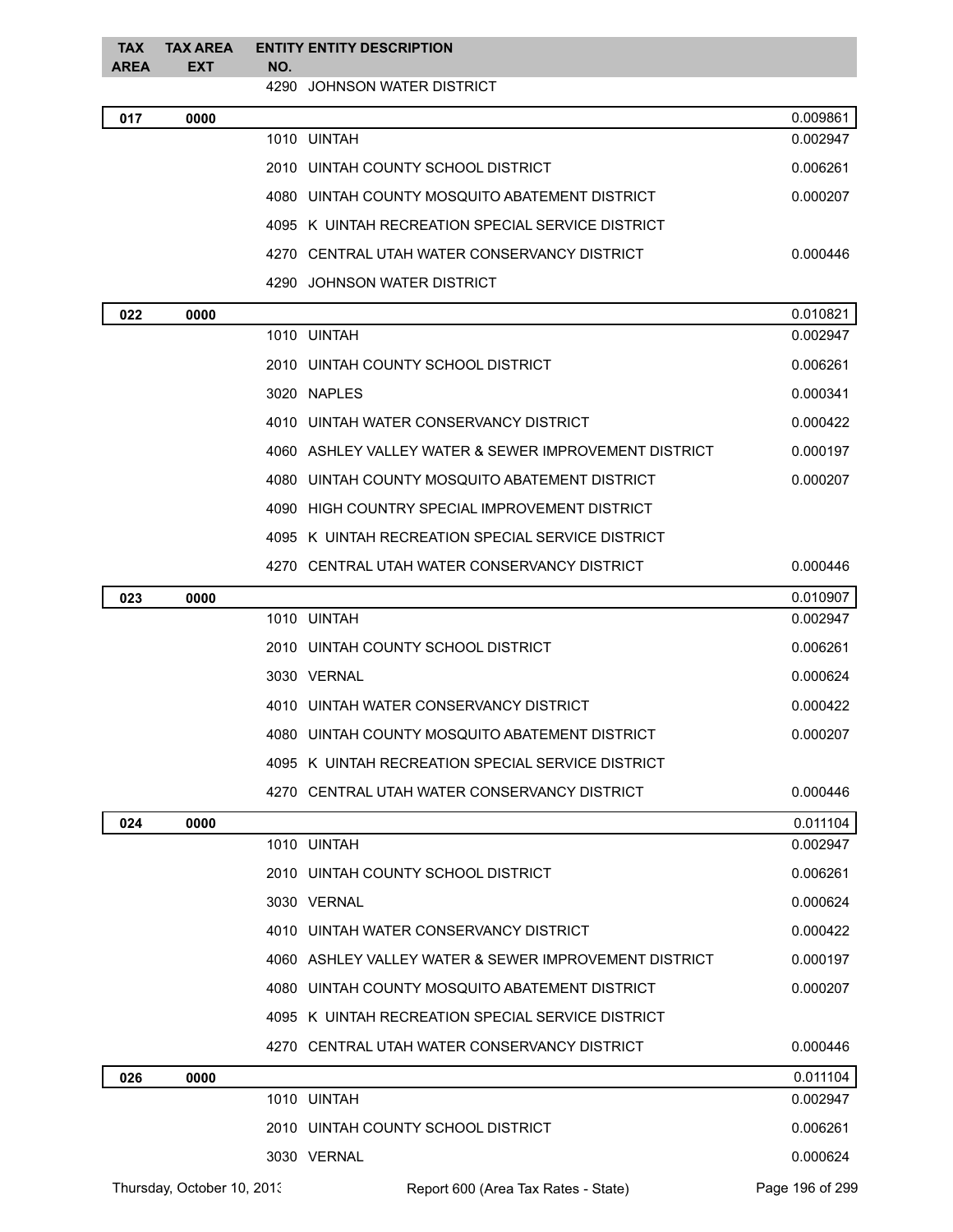| <b>TAX</b>  | <b>TAX AREA</b>            |     | <b>ENTITY ENTITY DESCRIPTION</b>                        |                 |
|-------------|----------------------------|-----|---------------------------------------------------------|-----------------|
| <b>AREA</b> | <b>EXT</b>                 | NO. | 4290 JOHNSON WATER DISTRICT                             |                 |
| 017         | 0000                       |     |                                                         | 0.009861        |
|             |                            |     | 1010 UINTAH                                             | 0.002947        |
|             |                            |     | 2010   UINTAH COUNTY SCHOOL DISTRICT                    | 0.006261        |
|             |                            |     | 4080 UINTAH COUNTY MOSQUITO ABATEMENT DISTRICT          | 0.000207        |
|             |                            |     | 4095 K UINTAH RECREATION SPECIAL SERVICE DISTRICT       |                 |
|             |                            |     | 4270   CENTRAL UTAH WATER CONSERVANCY DISTRICT          | 0.000446        |
|             |                            |     | 4290   JOHNSON WATER DISTRICT                           |                 |
| 022         | 0000                       |     |                                                         | 0.010821        |
|             |                            |     | 1010 UINTAH                                             | 0.002947        |
|             |                            |     | 2010 UINTAH COUNTY SCHOOL DISTRICT                      | 0.006261        |
|             |                            |     | 3020 NAPLES                                             | 0.000341        |
|             |                            |     | 4010 UINTAH WATER CONSERVANCY DISTRICT                  | 0.000422        |
|             |                            |     | 4060 ASHLEY VALLEY WATER & SEWER IMPROVEMENT DISTRICT   | 0.000197        |
|             |                            |     | 4080   UINTAH COUNTY MOSQUITO ABATEMENT DISTRICT        | 0.000207        |
|             |                            |     | 4090   HIGH COUNTRY SPECIAL IMPROVEMENT DISTRICT        |                 |
|             |                            |     | 4095 K UINTAH RECREATION SPECIAL SERVICE DISTRICT       |                 |
|             |                            |     | 4270   CENTRAL UTAH WATER CONSERVANCY DISTRICT          | 0.000446        |
| 023         | 0000                       |     |                                                         | 0.010907        |
|             |                            |     | 1010 UINTAH                                             | 0.002947        |
|             |                            |     | 2010 UINTAH COUNTY SCHOOL DISTRICT                      | 0.006261        |
|             |                            |     | 3030 VERNAL                                             | 0.000624        |
|             |                            |     | 4010 UINTAH WATER CONSERVANCY DISTRICT                  | 0.000422        |
|             |                            |     | 4080 UINTAH COUNTY MOSQUITO ABATEMENT DISTRICT          | 0.000207        |
|             |                            |     | 4095 K UINTAH RECREATION SPECIAL SERVICE DISTRICT       |                 |
|             |                            |     | 4270   CENTRAL UTAH WATER CONSERVANCY DISTRICT          | 0.000446        |
| 024         | 0000                       |     |                                                         | 0.011104        |
|             |                            |     | 1010 UINTAH                                             | 0.002947        |
|             |                            |     | 2010 UINTAH COUNTY SCHOOL DISTRICT                      | 0.006261        |
|             |                            |     | 3030 VERNAL                                             | 0.000624        |
|             |                            |     | 4010 UINTAH WATER CONSERVANCY DISTRICT                  | 0.000422        |
|             |                            |     | 4060   ASHLEY VALLEY WATER & SEWER IMPROVEMENT DISTRICT | 0.000197        |
|             |                            |     | 4080   UINTAH COUNTY MOSQUITO ABATEMENT DISTRICT        | 0.000207        |
|             |                            |     | 4095 K UINTAH RECREATION SPECIAL SERVICE DISTRICT       |                 |
|             |                            |     | 4270   CENTRAL UTAH WATER CONSERVANCY DISTRICT          | 0.000446        |
| 026         | 0000                       |     |                                                         | 0.011104        |
|             |                            |     | 1010 UINTAH                                             | 0.002947        |
|             |                            |     | 2010 UINTAH COUNTY SCHOOL DISTRICT                      | 0.006261        |
|             |                            |     | 3030 VERNAL                                             | 0.000624        |
|             | Thursday, October 10, 2013 |     | Report 600 (Area Tax Rates - State)                     | Page 196 of 299 |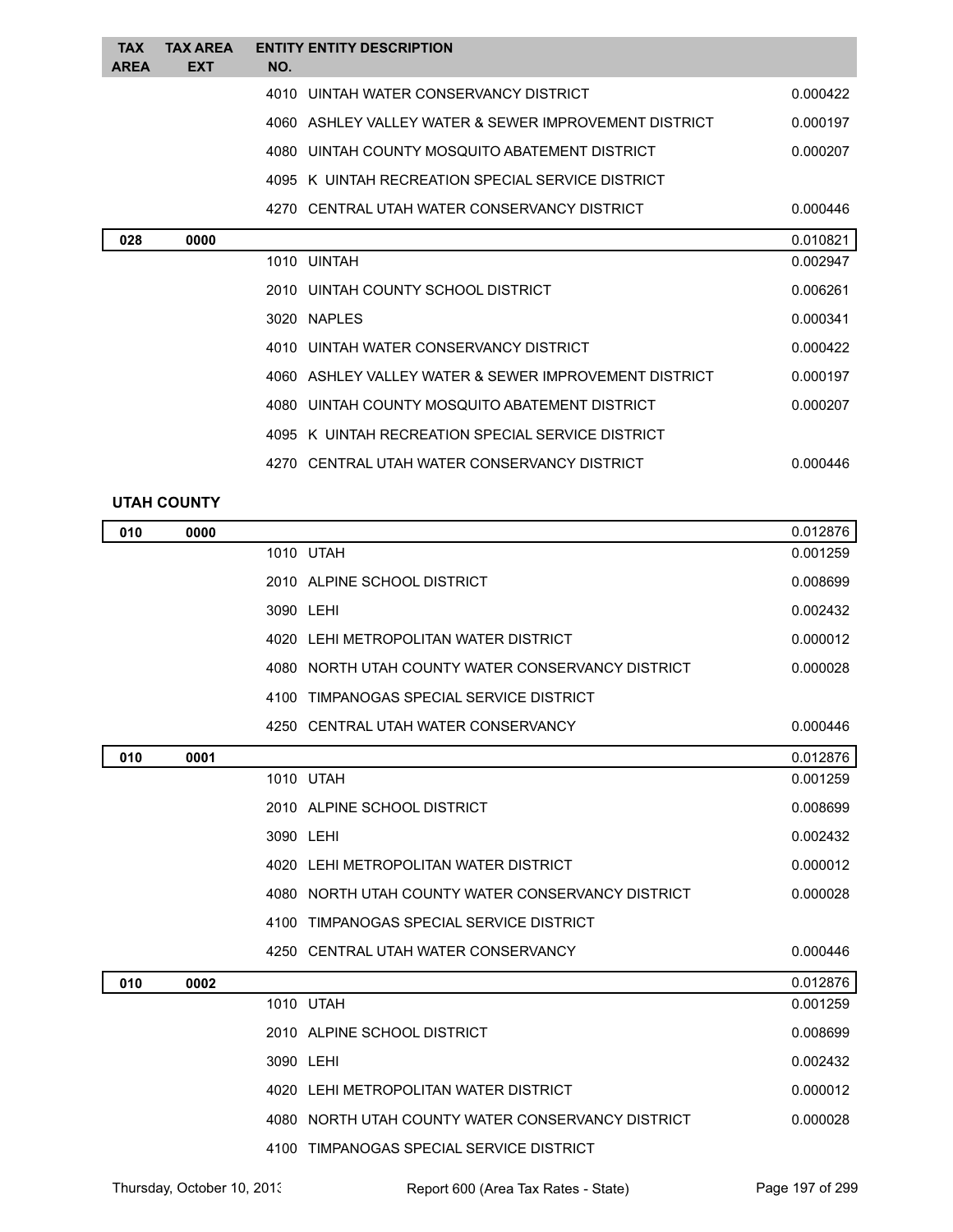| <b>TAX</b><br><b>AREA</b> | <b>TAX AREA</b><br><b>EXT</b> | NO. | <b>ENTITY ENTITY DESCRIPTION</b>                       |          |
|---------------------------|-------------------------------|-----|--------------------------------------------------------|----------|
|                           |                               |     | 4010 UINTAH WATER CONSERVANCY DISTRICT                 | 0.000422 |
|                           |                               |     | 4060 ASHI FY VALLEY WATER & SEWER IMPROVEMENT DISTRICT | 0.000197 |
|                           |                               |     | 4080 UINTAH COUNTY MOSQUITO ABATEMENT DISTRICT         | 0.000207 |
|                           |                               |     | 4095 K UINTAH RECREATION SPECIAL SERVICE DISTRICT      |          |
|                           |                               |     | 4270 CENTRAL UTAH WATER CONSERVANCY DISTRICT           | 0.000446 |
| 028                       | 0000                          |     |                                                        | 0.010821 |
|                           |                               |     | 1010 UINTAH                                            | 0.002947 |
|                           |                               |     | 2010 UINTAH COUNTY SCHOOL DISTRICT                     | 0.006261 |
|                           |                               |     | 3020 NAPLES                                            | 0.000341 |
|                           |                               |     | 4010 UINTAH WATER CONSERVANCY DISTRICT                 | 0.000422 |
|                           |                               |     | 4060 ASHI FY VALLEY WATER & SEWER IMPROVEMENT DISTRICT | 0.000197 |
|                           |                               |     | 4080 UINTAH COUNTY MOSQUITO ABATEMENT DISTRICT         | 0.000207 |
|                           |                               |     | 4095 K UINTAH RECREATION SPECIAL SERVICE DISTRICT      |          |
|                           |                               |     | 4270 CENTRAL UTAH WATER CONSERVANCY DISTRICT           | 0.000446 |

## **UTAH COUNTY**

| 010 | 0000 |                                                   | 0.012876 |
|-----|------|---------------------------------------------------|----------|
|     |      | 1010 UTAH                                         | 0.001259 |
|     |      | 2010 ALPINE SCHOOL DISTRICT                       | 0.008699 |
|     |      | 3090 LEHI                                         | 0.002432 |
|     |      | 4020 LEHI METROPOLITAN WATER DISTRICT             | 0.000012 |
|     |      | 4080 NORTH UTAH COUNTY WATER CONSERVANCY DISTRICT | 0.000028 |
|     |      | 4100 TIMPANOGAS SPECIAL SERVICE DISTRICT          |          |
|     |      | 4250 CENTRAL UTAH WATER CONSERVANCY               | 0.000446 |
| 010 | 0001 |                                                   | 0.012876 |
|     |      | 1010 UTAH                                         | 0.001259 |
|     |      | 2010 ALPINE SCHOOL DISTRICT                       | 0.008699 |
|     |      | 3090 LEHI                                         | 0.002432 |
|     |      | 4020 LEHI METROPOLITAN WATER DISTRICT             | 0.000012 |
|     |      | 4080 NORTH UTAH COUNTY WATER CONSERVANCY DISTRICT | 0.000028 |
|     |      | 4100 TIMPANOGAS SPECIAL SERVICE DISTRICT          |          |
|     |      | 4250 CENTRAL UTAH WATER CONSERVANCY               | 0.000446 |
| 010 | 0002 |                                                   | 0.012876 |
|     |      | 1010 UTAH                                         | 0.001259 |
|     |      | 2010 ALPINE SCHOOL DISTRICT                       | 0.008699 |
|     |      | 3090 LEHI                                         | 0.002432 |
|     |      | 4020 LEHI METROPOLITAN WATER DISTRICT             | 0.000012 |
|     |      | 4080 NORTH UTAH COUNTY WATER CONSERVANCY DISTRICT | 0.000028 |
|     |      | 4100 TIMPANOGAS SPECIAL SERVICE DISTRICT          |          |

Thursday, October 10, 2013 Report 600 (Area Tax Rates - State) Page 197 of 299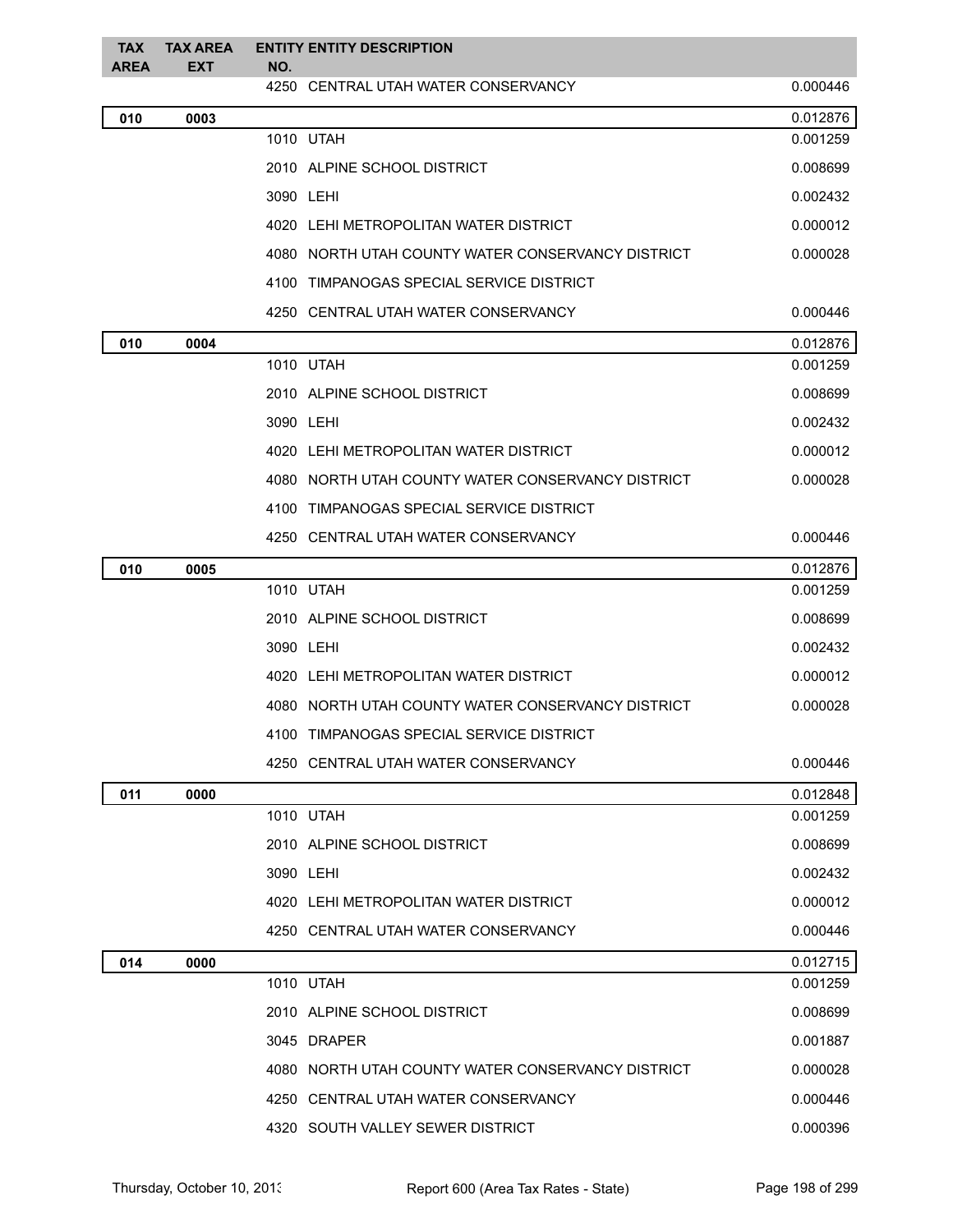| TAX<br><b>AREA</b> | TAX AREA<br><b>EXT</b> | <b>ENTITY ENTITY DESCRIPTION</b><br>NO.           |          |
|--------------------|------------------------|---------------------------------------------------|----------|
|                    |                        | 4250 CENTRAL UTAH WATER CONSERVANCY               | 0.000446 |
| 010                | 0003                   |                                                   | 0.012876 |
|                    |                        | 1010 UTAH                                         | 0.001259 |
|                    |                        | 2010 ALPINE SCHOOL DISTRICT                       | 0.008699 |
|                    |                        | 3090 LEHI                                         | 0.002432 |
|                    |                        | 4020 LEHI METROPOLITAN WATER DISTRICT             | 0.000012 |
|                    |                        | 4080 NORTH UTAH COUNTY WATER CONSERVANCY DISTRICT | 0.000028 |
|                    |                        | 4100 TIMPANOGAS SPECIAL SERVICE DISTRICT          |          |
|                    |                        | 4250 CENTRAL UTAH WATER CONSERVANCY               | 0.000446 |
| 010                | 0004                   |                                                   | 0.012876 |
|                    |                        | 1010 UTAH                                         | 0.001259 |
|                    |                        | 2010 ALPINE SCHOOL DISTRICT                       | 0.008699 |
|                    |                        | 3090 LEHI                                         | 0.002432 |
|                    |                        | 4020 LEHI METROPOLITAN WATER DISTRICT             | 0.000012 |
|                    |                        | 4080 NORTH UTAH COUNTY WATER CONSERVANCY DISTRICT | 0.000028 |
|                    |                        | 4100 TIMPANOGAS SPECIAL SERVICE DISTRICT          |          |
|                    |                        | 4250 CENTRAL UTAH WATER CONSERVANCY               | 0.000446 |
| 010                | 0005                   |                                                   | 0.012876 |
|                    |                        | 1010 UTAH                                         | 0.001259 |
|                    |                        | 2010 ALPINE SCHOOL DISTRICT                       | 0.008699 |
|                    |                        | 3090 LEHI                                         | 0.002432 |
|                    |                        | 4020 LEHI METROPOLITAN WATER DISTRICT             | 0.000012 |
|                    |                        | 4080 NORTH UTAH COUNTY WATER CONSERVANCY DISTRICT | 0.000028 |
|                    |                        | 4100 TIMPANOGAS SPECIAL SERVICE DISTRICT          |          |
|                    |                        | 4250 CENTRAL UTAH WATER CONSERVANCY               | 0.000446 |
| 011                | 0000                   |                                                   | 0.012848 |
|                    |                        | 1010 UTAH                                         | 0.001259 |
|                    |                        | 2010 ALPINE SCHOOL DISTRICT                       | 0.008699 |
|                    |                        | 3090 LEHI                                         | 0.002432 |
|                    |                        | 4020 LEHI METROPOLITAN WATER DISTRICT             | 0.000012 |
|                    |                        | 4250 CENTRAL UTAH WATER CONSERVANCY               | 0.000446 |
| 014                | 0000                   |                                                   | 0.012715 |
|                    |                        | 1010 UTAH                                         | 0.001259 |
|                    |                        | 2010 ALPINE SCHOOL DISTRICT                       | 0.008699 |
|                    |                        | 3045 DRAPER                                       | 0.001887 |
|                    |                        | 4080 NORTH UTAH COUNTY WATER CONSERVANCY DISTRICT | 0.000028 |
|                    |                        | 4250 CENTRAL UTAH WATER CONSERVANCY               | 0.000446 |
|                    |                        | 4320 SOUTH VALLEY SEWER DISTRICT                  | 0.000396 |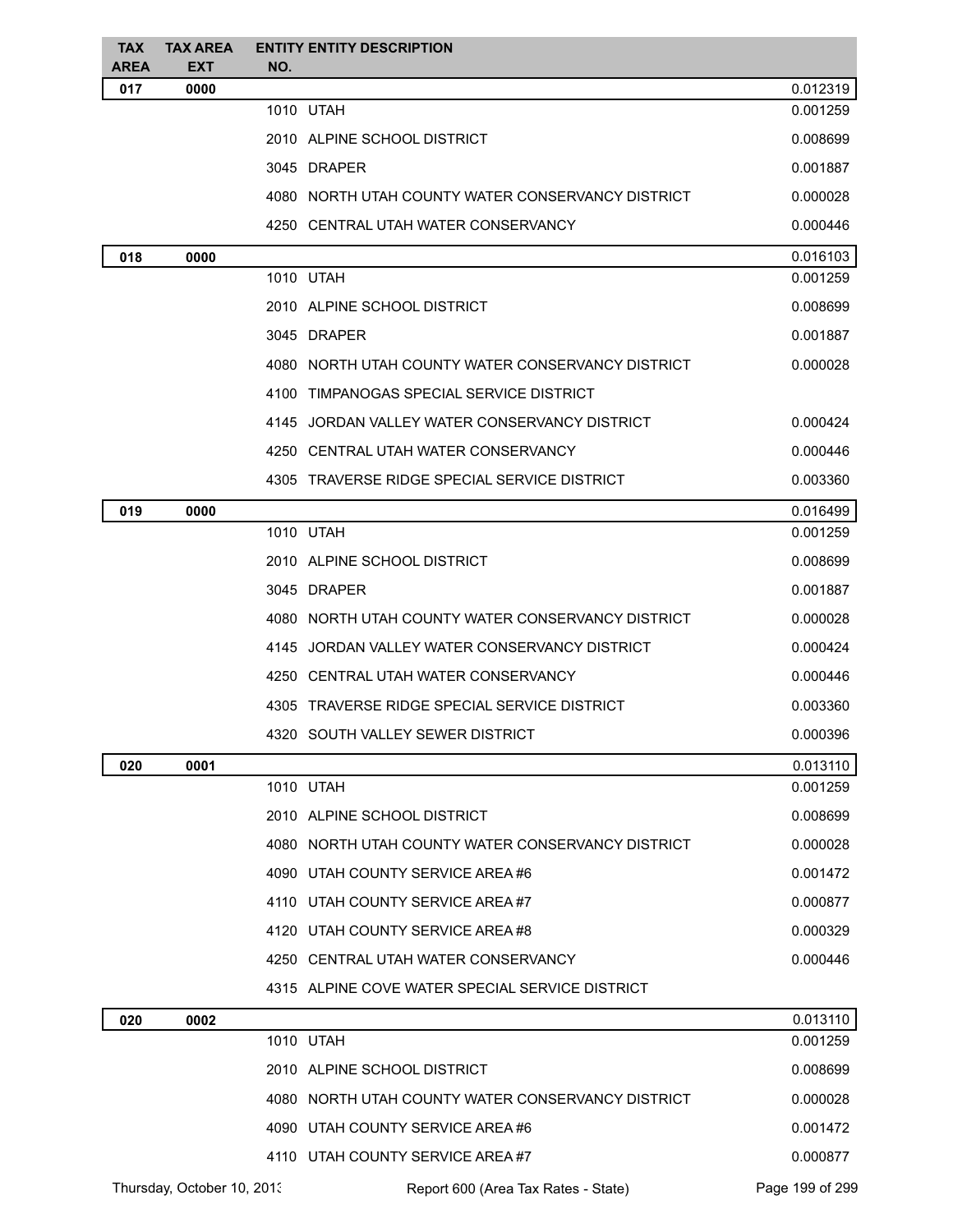| <b>TAX</b><br><b>AREA</b> | <b>TAX AREA</b><br><b>EXT</b> | <b>ENTITY ENTITY DESCRIPTION</b><br>NO.           |          |
|---------------------------|-------------------------------|---------------------------------------------------|----------|
| 017                       | 0000                          |                                                   | 0.012319 |
|                           |                               | 1010 UTAH                                         | 0.001259 |
|                           |                               | 2010 ALPINE SCHOOL DISTRICT                       | 0.008699 |
|                           |                               | 3045 DRAPER                                       | 0.001887 |
|                           |                               | 4080 NORTH UTAH COUNTY WATER CONSERVANCY DISTRICT | 0.000028 |
|                           |                               | 4250 CENTRAL UTAH WATER CONSERVANCY               | 0.000446 |
| 018                       | 0000                          |                                                   | 0.016103 |
|                           |                               | 1010 UTAH                                         | 0.001259 |
|                           |                               | 2010 ALPINE SCHOOL DISTRICT                       | 0.008699 |
|                           |                               | 3045 DRAPER                                       | 0.001887 |
|                           |                               | 4080 NORTH UTAH COUNTY WATER CONSERVANCY DISTRICT | 0.000028 |
|                           |                               | 4100 TIMPANOGAS SPECIAL SERVICE DISTRICT          |          |
|                           |                               | 4145 JORDAN VALLEY WATER CONSERVANCY DISTRICT     | 0.000424 |
|                           |                               | 4250 CENTRAL UTAH WATER CONSERVANCY               | 0.000446 |
|                           |                               | 4305 TRAVERSE RIDGE SPECIAL SERVICE DISTRICT      | 0.003360 |
| 019                       | 0000                          |                                                   | 0.016499 |
|                           |                               | 1010 UTAH                                         | 0.001259 |
|                           |                               | 2010 ALPINE SCHOOL DISTRICT                       | 0.008699 |
|                           |                               | 3045 DRAPER                                       | 0.001887 |
|                           |                               | 4080 NORTH UTAH COUNTY WATER CONSERVANCY DISTRICT | 0.000028 |
|                           |                               | 4145 JORDAN VALLEY WATER CONSERVANCY DISTRICT     | 0.000424 |
|                           |                               | 4250 CENTRAL UTAH WATER CONSERVANCY               | 0.000446 |
|                           |                               | 4305 TRAVERSE RIDGE SPECIAL SERVICE DISTRICT      | 0.003360 |
|                           |                               | 4320 SOUTH VALLEY SEWER DISTRICT                  | 0.000396 |
| 020                       | 0001                          |                                                   | 0.013110 |
|                           |                               | 1010 UTAH                                         | 0.001259 |
|                           |                               | 2010 ALPINE SCHOOL DISTRICT                       | 0.008699 |
|                           |                               | 4080 NORTH UTAH COUNTY WATER CONSERVANCY DISTRICT | 0.000028 |
|                           |                               | 4090 UTAH COUNTY SERVICE AREA #6                  | 0.001472 |
|                           |                               | 4110 UTAH COUNTY SERVICE AREA#7                   | 0.000877 |
|                           |                               | 4120 UTAH COUNTY SERVICE AREA #8                  | 0.000329 |
|                           |                               | 4250 CENTRAL UTAH WATER CONSERVANCY               | 0.000446 |
|                           |                               | 4315 ALPINE COVE WATER SPECIAL SERVICE DISTRICT   |          |
| 020                       | 0002                          |                                                   | 0.013110 |
|                           |                               | 1010 UTAH                                         | 0.001259 |
|                           |                               | 2010 ALPINE SCHOOL DISTRICT                       | 0.008699 |
|                           |                               | 4080 NORTH UTAH COUNTY WATER CONSERVANCY DISTRICT | 0.000028 |
|                           |                               | 4090 UTAH COUNTY SERVICE AREA #6                  | 0.001472 |
|                           |                               | 4110 UTAH COUNTY SERVICE AREA#7                   | 0.000877 |
|                           |                               |                                                   |          |

Thursday, October 10, 2013 Report 600 (Area Tax Rates - State) Page 199 of 299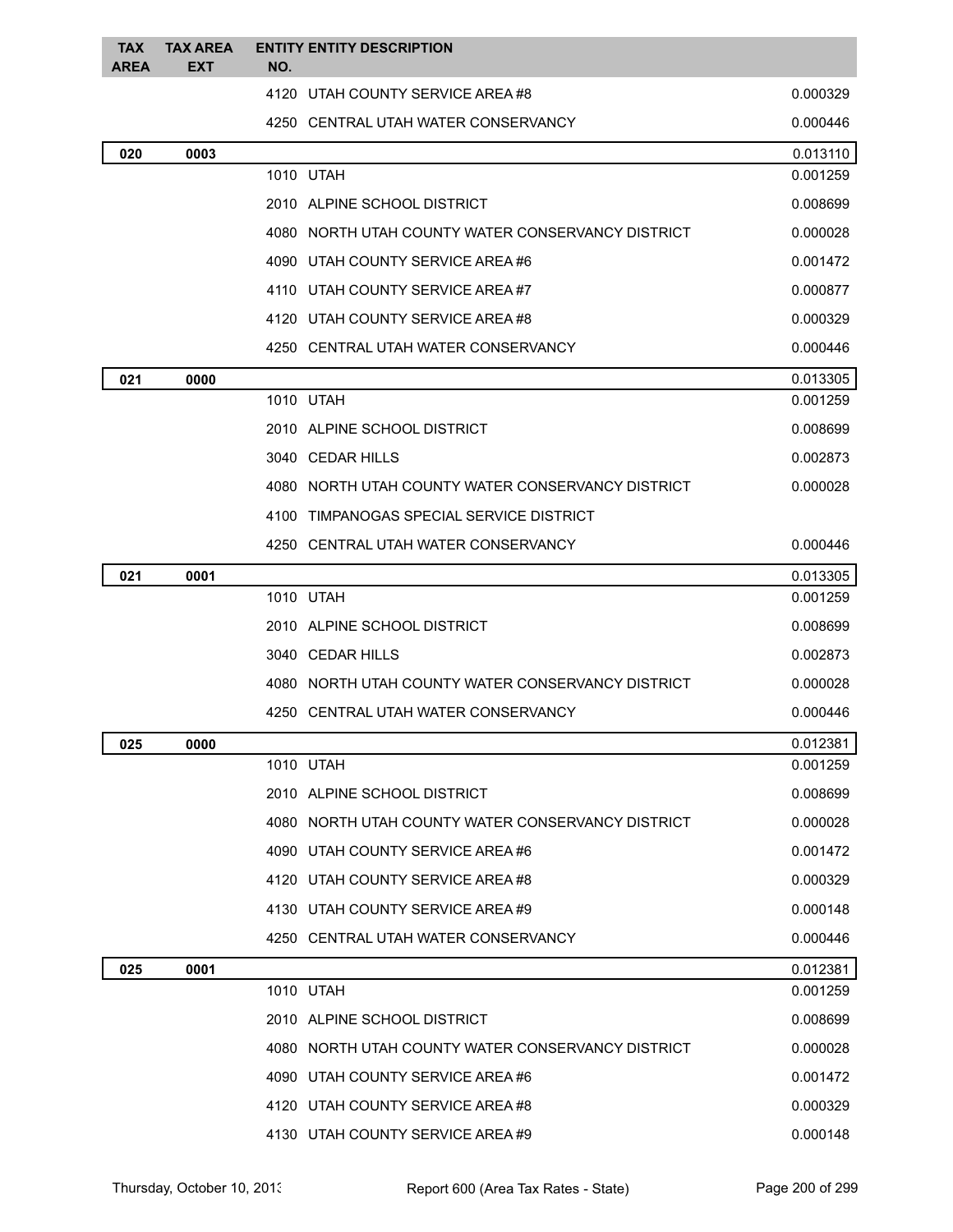| TAX<br><b>AREA</b> | TAX AREA<br><b>EXT</b> | <b>ENTITY ENTITY DESCRIPTION</b><br>NO.           |          |
|--------------------|------------------------|---------------------------------------------------|----------|
|                    |                        | 4120 UTAH COUNTY SERVICE AREA #8                  | 0.000329 |
|                    |                        | 4250 CENTRAL UTAH WATER CONSERVANCY               | 0.000446 |
| 020                | 0003                   |                                                   | 0.013110 |
|                    |                        | 1010 UTAH                                         | 0.001259 |
|                    |                        | 2010 ALPINE SCHOOL DISTRICT                       | 0.008699 |
|                    |                        | 4080 NORTH UTAH COUNTY WATER CONSERVANCY DISTRICT | 0.000028 |
|                    |                        | 4090 UTAH COUNTY SERVICE AREA#6                   | 0.001472 |
|                    |                        | 4110 UTAH COUNTY SERVICE AREA#7                   | 0.000877 |
|                    |                        | 4120 UTAH COUNTY SERVICE AREA#8                   | 0.000329 |
|                    |                        | 4250 CENTRAL UTAH WATER CONSERVANCY               | 0.000446 |
| 021                | 0000                   |                                                   | 0.013305 |
|                    |                        | 1010 UTAH                                         | 0.001259 |
|                    |                        | 2010 ALPINE SCHOOL DISTRICT                       | 0.008699 |
|                    |                        | 3040 CEDAR HILLS                                  | 0.002873 |
|                    |                        | 4080 NORTH UTAH COUNTY WATER CONSERVANCY DISTRICT | 0.000028 |
|                    |                        | TIMPANOGAS SPECIAL SERVICE DISTRICT<br>4100       |          |
|                    |                        | 4250 CENTRAL UTAH WATER CONSERVANCY               | 0.000446 |
| 021                | 0001                   |                                                   | 0.013305 |
|                    |                        | 1010 UTAH                                         | 0.001259 |
|                    |                        | 2010 ALPINE SCHOOL DISTRICT                       | 0.008699 |
|                    |                        | 3040 CEDAR HILLS                                  | 0.002873 |
|                    |                        | 4080 NORTH UTAH COUNTY WATER CONSERVANCY DISTRICT | 0.000028 |
|                    |                        | 4250 CENTRAL UTAH WATER CONSERVANCY               | 0.000446 |
| 025                | 0000                   |                                                   | 0.012381 |
|                    |                        | 1010 UTAH                                         | 0.001259 |
|                    |                        | 2010 ALPINE SCHOOL DISTRICT                       | 0.008699 |
|                    |                        | 4080 NORTH UTAH COUNTY WATER CONSERVANCY DISTRICT | 0.000028 |
|                    |                        | 4090 UTAH COUNTY SERVICE AREA#6                   | 0.001472 |
|                    |                        | 4120 UTAH COUNTY SERVICE AREA #8                  | 0.000329 |
|                    |                        | 4130 UTAH COUNTY SERVICE AREA#9                   | 0.000148 |
|                    |                        | 4250 CENTRAL UTAH WATER CONSERVANCY               | 0.000446 |
| 025                | 0001                   |                                                   | 0.012381 |
|                    |                        | 1010 UTAH                                         | 0.001259 |
|                    |                        | 2010 ALPINE SCHOOL DISTRICT                       | 0.008699 |
|                    |                        | 4080 NORTH UTAH COUNTY WATER CONSERVANCY DISTRICT | 0.000028 |
|                    |                        | 4090 UTAH COUNTY SERVICE AREA #6                  | 0.001472 |
|                    |                        | 4120 UTAH COUNTY SERVICE AREA#8                   | 0.000329 |
|                    |                        | 4130 UTAH COUNTY SERVICE AREA #9                  | 0.000148 |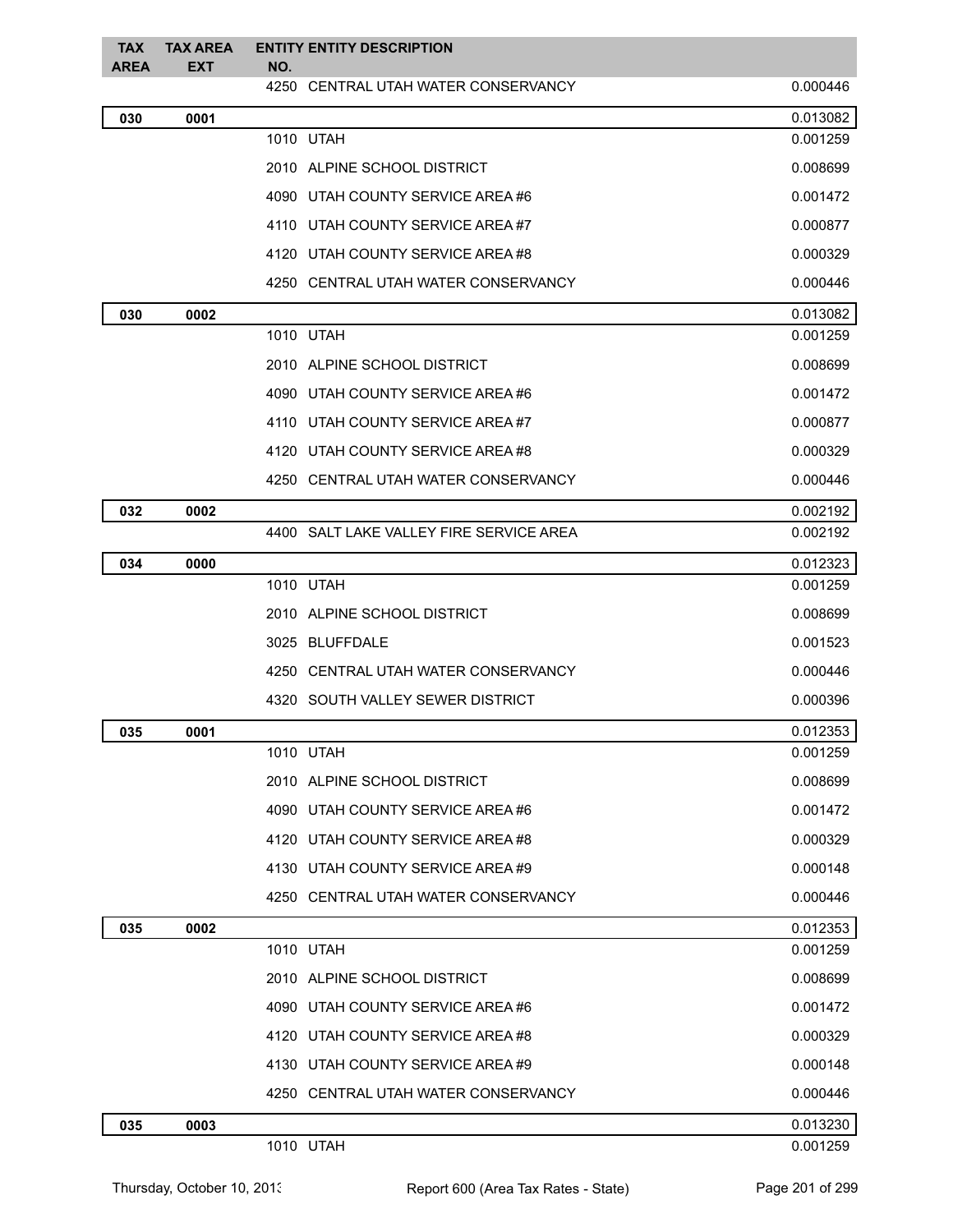| <b>TAX</b><br><b>AREA</b> | <b>TAX AREA</b><br>EXT | <b>ENTITY ENTITY DESCRIPTION</b><br>NO. |          |
|---------------------------|------------------------|-----------------------------------------|----------|
|                           |                        | 4250 CENTRAL UTAH WATER CONSERVANCY     | 0.000446 |
| 030                       | 0001                   |                                         | 0.013082 |
|                           |                        | 1010 UTAH                               | 0.001259 |
|                           |                        | 2010 ALPINE SCHOOL DISTRICT             | 0.008699 |
|                           |                        | 4090 UTAH COUNTY SERVICE AREA#6         | 0.001472 |
|                           |                        | 4110 UTAH COUNTY SERVICE AREA#7         | 0.000877 |
|                           |                        | 4120 UTAH COUNTY SERVICE AREA #8        | 0.000329 |
|                           |                        | 4250 CENTRAL UTAH WATER CONSERVANCY     | 0.000446 |
| 030                       | 0002                   |                                         | 0.013082 |
|                           |                        | 1010 UTAH                               | 0.001259 |
|                           |                        | 2010 ALPINE SCHOOL DISTRICT             | 0.008699 |
|                           |                        | 4090 UTAH COUNTY SERVICE AREA #6        | 0.001472 |
|                           |                        | 4110 UTAH COUNTY SERVICE AREA#7         | 0.000877 |
|                           |                        | 4120 UTAH COUNTY SERVICE AREA#8         | 0.000329 |
|                           |                        | 4250 CENTRAL UTAH WATER CONSERVANCY     | 0.000446 |
| 032                       | 0002                   |                                         | 0.002192 |
|                           |                        | 4400 SALT LAKE VALLEY FIRE SERVICE AREA | 0.002192 |
| 034                       | 0000                   |                                         | 0.012323 |
|                           |                        | 1010 UTAH                               | 0.001259 |
|                           |                        | 2010 ALPINE SCHOOL DISTRICT             | 0.008699 |
|                           |                        | 3025 BLUFFDALE                          | 0.001523 |
|                           |                        | 4250 CENTRAL UTAH WATER CONSERVANCY     | 0.000446 |
|                           |                        | 4320 SOUTH VALLEY SEWER DISTRICT        | 0.000396 |
| 035                       | 0001                   |                                         | 0.012353 |
|                           |                        | 1010 UTAH                               | 0.001259 |
|                           |                        | 2010 ALPINE SCHOOL DISTRICT             | 0.008699 |
|                           |                        | 4090 UTAH COUNTY SERVICE AREA #6        | 0.001472 |
|                           |                        | 4120 UTAH COUNTY SERVICE AREA#8         | 0.000329 |
|                           |                        | 4130 UTAH COUNTY SERVICE AREA #9        | 0.000148 |
|                           |                        | 4250 CENTRAL UTAH WATER CONSERVANCY     | 0.000446 |
| 035                       | 0002                   |                                         | 0.012353 |
|                           |                        | 1010 UTAH                               | 0.001259 |
|                           |                        | 2010 ALPINE SCHOOL DISTRICT             | 0.008699 |
|                           |                        | 4090 UTAH COUNTY SERVICE AREA #6        | 0.001472 |
|                           |                        | 4120 UTAH COUNTY SERVICE AREA #8        | 0.000329 |
|                           |                        | 4130 UTAH COUNTY SERVICE AREA #9        | 0.000148 |
|                           |                        | 4250 CENTRAL UTAH WATER CONSERVANCY     | 0.000446 |
| 035                       | 0003                   |                                         | 0.013230 |
|                           |                        | 1010 UTAH                               | 0.001259 |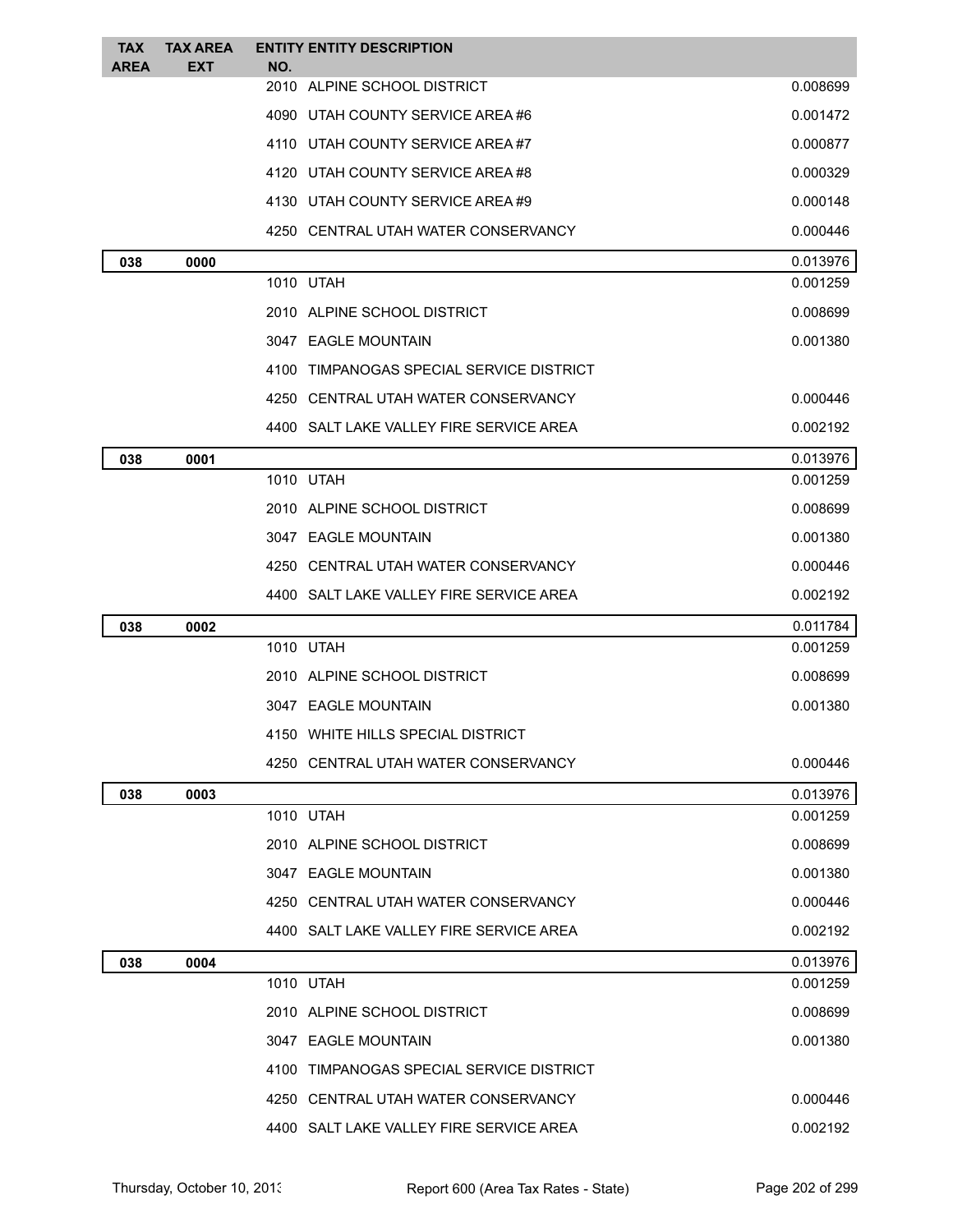| <b>TAX</b><br>AREA | <b>TAX AREA</b><br><b>EXT</b> | <b>ENTITY ENTITY DESCRIPTION</b><br>NO.  |          |
|--------------------|-------------------------------|------------------------------------------|----------|
|                    |                               | 2010 ALPINE SCHOOL DISTRICT              | 0.008699 |
|                    |                               | 4090 UTAH COUNTY SERVICE AREA#6          | 0.001472 |
|                    |                               | 4110 UTAH COUNTY SERVICE AREA#7          | 0.000877 |
|                    |                               | 4120 UTAH COUNTY SERVICE AREA#8          | 0.000329 |
|                    |                               | 4130 UTAH COUNTY SERVICE AREA #9         | 0.000148 |
|                    |                               | 4250 CENTRAL UTAH WATER CONSERVANCY      | 0.000446 |
| 038                | 0000                          |                                          | 0.013976 |
|                    |                               | 1010 UTAH                                | 0.001259 |
|                    |                               | 2010 ALPINE SCHOOL DISTRICT              | 0.008699 |
|                    |                               | 3047 EAGLE MOUNTAIN                      | 0.001380 |
|                    |                               | 4100 TIMPANOGAS SPECIAL SERVICE DISTRICT |          |
|                    |                               | 4250 CENTRAL UTAH WATER CONSERVANCY      | 0.000446 |
|                    |                               | 4400 SALT LAKE VALLEY FIRE SERVICE AREA  | 0.002192 |
| 038                | 0001                          |                                          | 0.013976 |
|                    |                               | 1010 UTAH                                | 0.001259 |
|                    |                               | 2010 ALPINE SCHOOL DISTRICT              | 0.008699 |
|                    |                               | 3047 EAGLE MOUNTAIN                      | 0.001380 |
|                    |                               | 4250 CENTRAL UTAH WATER CONSERVANCY      | 0.000446 |
|                    |                               | 4400 SALT LAKE VALLEY FIRE SERVICE AREA  | 0.002192 |
| 038                | 0002                          |                                          | 0.011784 |
|                    |                               | 1010 UTAH                                | 0.001259 |
|                    |                               | 2010 ALPINE SCHOOL DISTRICT              | 0.008699 |
|                    |                               | 3047 EAGLE MOUNTAIN                      | 0.001380 |
|                    |                               | 4150 WHITE HILLS SPECIAL DISTRICT        |          |
|                    |                               | 4250   CENTRAL UTAH WATER CONSERVANCY    | 0.000446 |
| 038                | 0003                          |                                          | 0.013976 |
|                    |                               | 1010 UTAH                                | 0.001259 |
|                    |                               | 2010 ALPINE SCHOOL DISTRICT              | 0.008699 |
|                    |                               | 3047 EAGLE MOUNTAIN                      | 0.001380 |
|                    |                               | 4250 CENTRAL UTAH WATER CONSERVANCY      | 0.000446 |
|                    |                               | 4400 SALT LAKE VALLEY FIRE SERVICE AREA  | 0.002192 |
| 038                | 0004                          |                                          | 0.013976 |
|                    |                               | 1010 UTAH                                | 0.001259 |
|                    |                               | 2010 ALPINE SCHOOL DISTRICT              | 0.008699 |
|                    |                               | 3047 EAGLE MOUNTAIN                      | 0.001380 |
|                    |                               | 4100 TIMPANOGAS SPECIAL SERVICE DISTRICT |          |
|                    |                               | 4250 CENTRAL UTAH WATER CONSERVANCY      | 0.000446 |
|                    |                               | 4400 SALT LAKE VALLEY FIRE SERVICE AREA  | 0.002192 |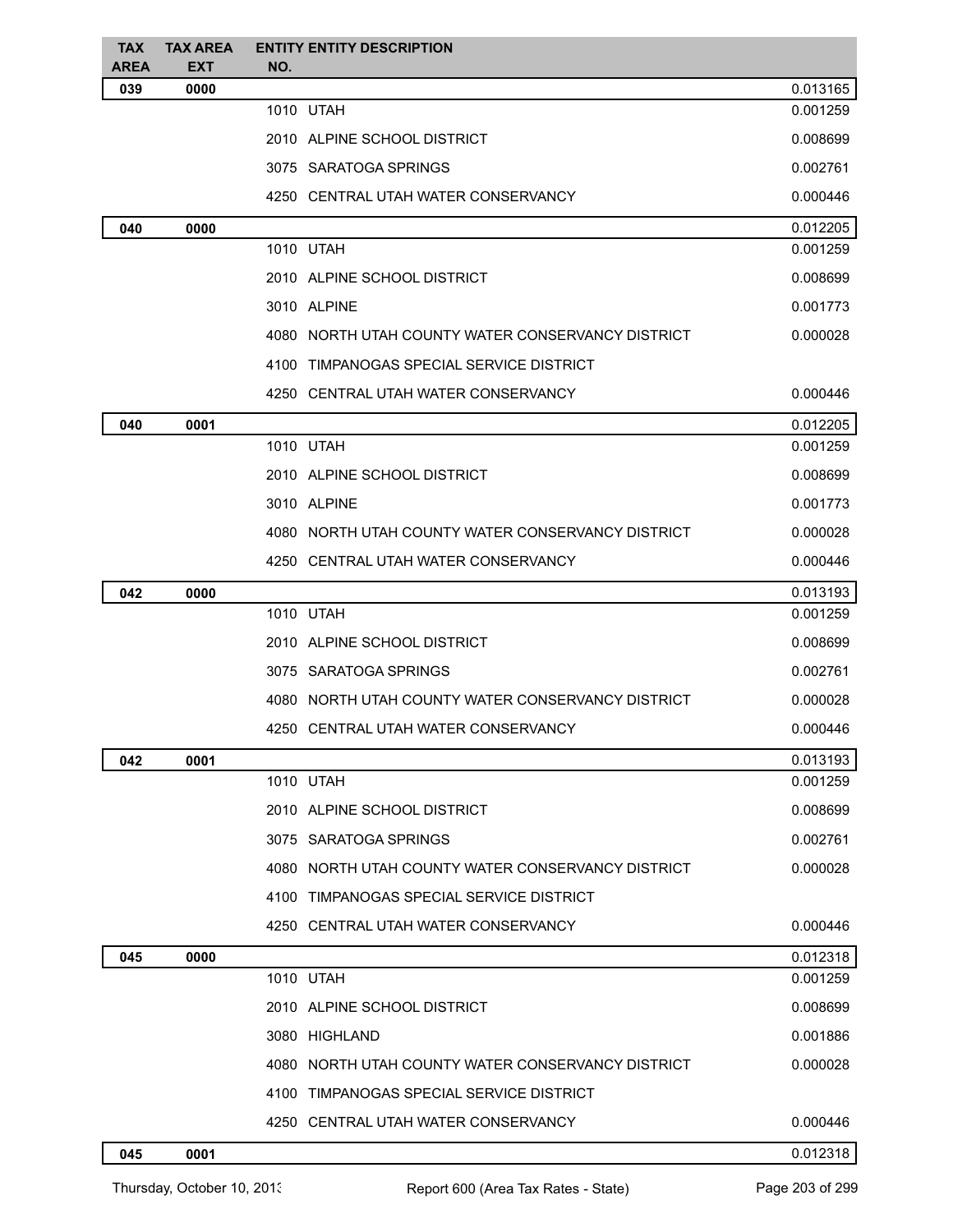| <b>TAX</b><br><b>AREA</b> | <b>TAX AREA</b><br><b>EXT</b> | <b>ENTITY ENTITY DESCRIPTION</b><br>NO.           |          |
|---------------------------|-------------------------------|---------------------------------------------------|----------|
| 039                       | 0000                          |                                                   | 0.013165 |
|                           |                               | 1010 UTAH                                         | 0.001259 |
|                           |                               | 2010 ALPINE SCHOOL DISTRICT                       | 0.008699 |
|                           |                               | 3075 SARATOGA SPRINGS                             | 0.002761 |
|                           |                               | 4250 CENTRAL UTAH WATER CONSERVANCY               | 0.000446 |
| 040                       | 0000                          |                                                   | 0.012205 |
|                           |                               | 1010 UTAH                                         | 0.001259 |
|                           |                               | 2010 ALPINE SCHOOL DISTRICT                       | 0.008699 |
|                           |                               | 3010 ALPINE                                       | 0.001773 |
|                           |                               | 4080 NORTH UTAH COUNTY WATER CONSERVANCY DISTRICT | 0.000028 |
|                           |                               | 4100 TIMPANOGAS SPECIAL SERVICE DISTRICT          |          |
|                           |                               | 4250 CENTRAL UTAH WATER CONSERVANCY               | 0.000446 |
| 040                       | 0001                          |                                                   | 0.012205 |
|                           |                               | 1010 UTAH                                         | 0.001259 |
|                           |                               | 2010 ALPINE SCHOOL DISTRICT                       | 0.008699 |
|                           |                               | 3010 ALPINE                                       | 0.001773 |
|                           |                               | 4080 NORTH UTAH COUNTY WATER CONSERVANCY DISTRICT | 0.000028 |
|                           |                               | 4250 CENTRAL UTAH WATER CONSERVANCY               | 0.000446 |
| 042                       | 0000                          |                                                   | 0.013193 |
|                           |                               | 1010 UTAH                                         | 0.001259 |
|                           |                               | 2010 ALPINE SCHOOL DISTRICT                       | 0.008699 |
|                           |                               | 3075 SARATOGA SPRINGS                             | 0.002761 |
|                           |                               | 4080 NORTH UTAH COUNTY WATER CONSERVANCY DISTRICT | 0.000028 |
|                           |                               | 4250 CENTRAL UTAH WATER CONSERVANCY               | 0.000446 |
| 042                       | 0001                          |                                                   | 0.013193 |
|                           |                               | 1010 UTAH                                         | 0.001259 |
|                           |                               | 2010 ALPINE SCHOOL DISTRICT                       | 0.008699 |
|                           |                               | 3075 SARATOGA SPRINGS                             | 0.002761 |
|                           |                               | 4080 NORTH UTAH COUNTY WATER CONSERVANCY DISTRICT | 0.000028 |
|                           |                               | 4100 TIMPANOGAS SPECIAL SERVICE DISTRICT          |          |
|                           |                               | 4250 CENTRAL UTAH WATER CONSERVANCY               | 0.000446 |
| 045                       | 0000                          |                                                   | 0.012318 |
|                           |                               | 1010 UTAH                                         | 0.001259 |
|                           |                               | 2010 ALPINE SCHOOL DISTRICT                       | 0.008699 |
|                           |                               | 3080 HIGHLAND                                     | 0.001886 |
|                           |                               | 4080 NORTH UTAH COUNTY WATER CONSERVANCY DISTRICT | 0.000028 |
|                           |                               | 4100 TIMPANOGAS SPECIAL SERVICE DISTRICT          |          |
|                           |                               | 4250 CENTRAL UTAH WATER CONSERVANCY               | 0.000446 |
| 045                       | 0001                          |                                                   | 0.012318 |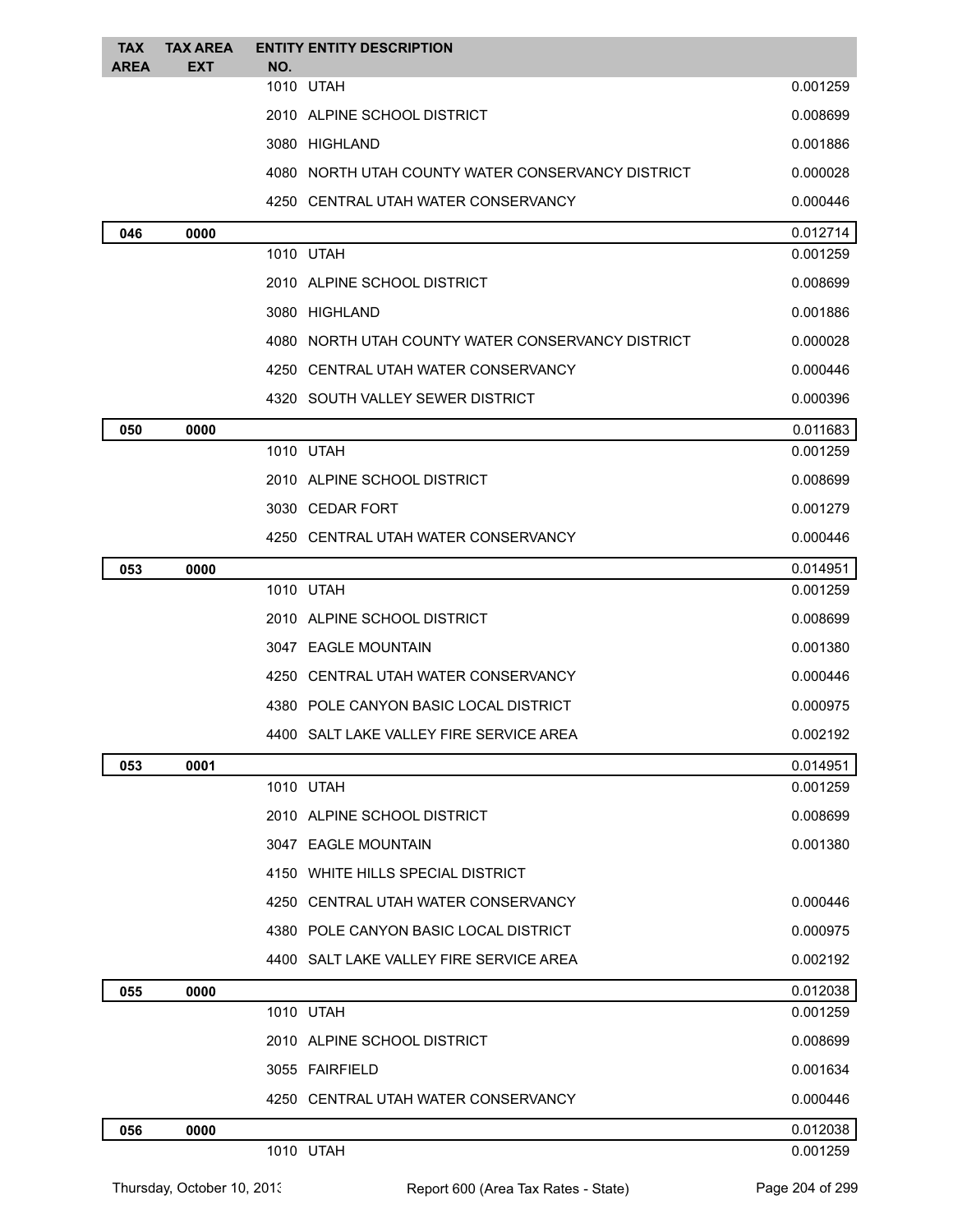| <b>TAX</b><br><b>AREA</b> | <b>TAX AREA</b><br><b>EXT</b> | <b>ENTITY ENTITY DESCRIPTION</b><br>NO.           |          |
|---------------------------|-------------------------------|---------------------------------------------------|----------|
|                           |                               | 1010 UTAH                                         | 0.001259 |
|                           |                               | 2010 ALPINE SCHOOL DISTRICT                       | 0.008699 |
|                           |                               | 3080 HIGHLAND                                     | 0.001886 |
|                           |                               | 4080 NORTH UTAH COUNTY WATER CONSERVANCY DISTRICT | 0.000028 |
|                           |                               | 4250 CENTRAL UTAH WATER CONSERVANCY               | 0.000446 |
| 046                       | 0000                          |                                                   | 0.012714 |
|                           |                               | 1010 UTAH                                         | 0.001259 |
|                           |                               | 2010 ALPINE SCHOOL DISTRICT                       | 0.008699 |
|                           |                               | 3080 HIGHLAND                                     | 0.001886 |
|                           |                               | 4080 NORTH UTAH COUNTY WATER CONSERVANCY DISTRICT | 0.000028 |
|                           |                               | 4250 CENTRAL UTAH WATER CONSERVANCY               | 0.000446 |
|                           |                               | 4320 SOUTH VALLEY SEWER DISTRICT                  | 0.000396 |
| 050                       | 0000                          |                                                   | 0.011683 |
|                           |                               | 1010 UTAH                                         | 0.001259 |
|                           |                               | 2010 ALPINE SCHOOL DISTRICT                       | 0.008699 |
|                           |                               | 3030 CEDAR FORT                                   | 0.001279 |
|                           |                               | 4250 CENTRAL UTAH WATER CONSERVANCY               | 0.000446 |
| 053                       | 0000                          |                                                   | 0.014951 |
|                           |                               | 1010 UTAH                                         | 0.001259 |
|                           |                               | 2010 ALPINE SCHOOL DISTRICT                       | 0.008699 |
|                           |                               | 3047 EAGLE MOUNTAIN                               | 0.001380 |
|                           |                               | 4250 CENTRAL UTAH WATER CONSERVANCY               | 0.000446 |
|                           |                               | 4380 POLE CANYON BASIC LOCAL DISTRICT             | 0.000975 |
|                           |                               | 4400 SALT LAKE VALLEY FIRE SERVICE AREA           | 0.002192 |
| 053                       | 0001                          |                                                   | 0.014951 |
|                           |                               | 1010 UTAH                                         | 0.001259 |
|                           |                               | 2010 ALPINE SCHOOL DISTRICT                       | 0.008699 |
|                           |                               | 3047 EAGLE MOUNTAIN                               | 0.001380 |
|                           |                               | 4150 WHITE HILLS SPECIAL DISTRICT                 |          |
|                           |                               | 4250 CENTRAL UTAH WATER CONSERVANCY               | 0.000446 |
|                           |                               | 4380 POLE CANYON BASIC LOCAL DISTRICT             | 0.000975 |
|                           |                               | 4400 SALT LAKE VALLEY FIRE SERVICE AREA           | 0.002192 |
| 055                       | 0000                          |                                                   | 0.012038 |
|                           |                               | 1010 UTAH                                         | 0.001259 |
|                           |                               | 2010 ALPINE SCHOOL DISTRICT                       | 0.008699 |
|                           |                               | 3055 FAIRFIELD                                    | 0.001634 |
|                           |                               | 4250 CENTRAL UTAH WATER CONSERVANCY               | 0.000446 |
| 056                       | 0000                          |                                                   | 0.012038 |
|                           |                               | 1010 UTAH                                         | 0.001259 |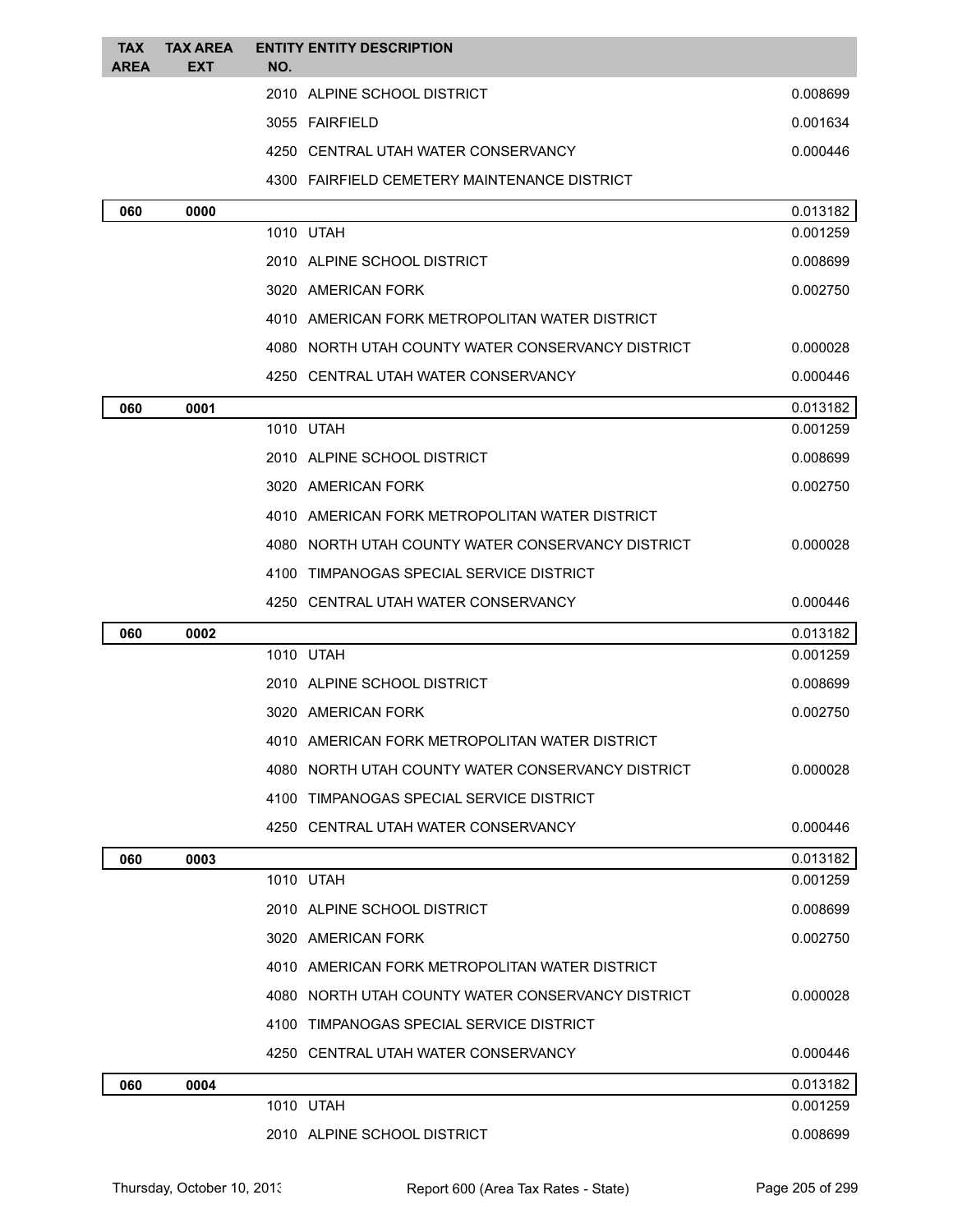| <b>TAX</b><br><b>AREA</b> | <b>TAX AREA</b><br><b>EXT</b> | <b>ENTITY ENTITY DESCRIPTION</b><br>NO.      |                                                   |          |
|---------------------------|-------------------------------|----------------------------------------------|---------------------------------------------------|----------|
|                           |                               | 2010 ALPINE SCHOOL DISTRICT                  |                                                   | 0.008699 |
|                           |                               | 3055 FAIRFIELD                               |                                                   | 0.001634 |
|                           |                               | 4250 CENTRAL UTAH WATER CONSERVANCY          |                                                   | 0.000446 |
|                           |                               | 4300 FAIRFIELD CEMETERY MAINTENANCE DISTRICT |                                                   |          |
| 060                       | 0000                          |                                              |                                                   | 0.013182 |
|                           |                               | 1010 UTAH                                    |                                                   | 0.001259 |
|                           |                               | 2010 ALPINE SCHOOL DISTRICT                  |                                                   | 0.008699 |
|                           |                               | 3020 AMERICAN FORK                           |                                                   | 0.002750 |
|                           |                               |                                              | 4010 AMERICAN FORK METROPOLITAN WATER DISTRICT    |          |
|                           |                               |                                              | 4080 NORTH UTAH COUNTY WATER CONSERVANCY DISTRICT | 0.000028 |
|                           |                               | 4250 CENTRAL UTAH WATER CONSERVANCY          |                                                   | 0.000446 |
| 060                       | 0001                          |                                              |                                                   | 0.013182 |
|                           |                               | 1010 UTAH                                    |                                                   | 0.001259 |
|                           |                               | 2010 ALPINE SCHOOL DISTRICT                  |                                                   | 0.008699 |
|                           |                               | 3020 AMERICAN FORK                           |                                                   | 0.002750 |
|                           |                               |                                              | 4010 AMERICAN FORK METROPOLITAN WATER DISTRICT    |          |
|                           |                               |                                              | 4080 NORTH UTAH COUNTY WATER CONSERVANCY DISTRICT | 0.000028 |
|                           |                               | 4100 TIMPANOGAS SPECIAL SERVICE DISTRICT     |                                                   |          |
|                           |                               | 4250 CENTRAL UTAH WATER CONSERVANCY          |                                                   | 0.000446 |
|                           |                               |                                              |                                                   |          |
| 060                       | 0002                          |                                              |                                                   | 0.013182 |
|                           |                               | 1010 UTAH                                    |                                                   | 0.001259 |
|                           |                               | 2010 ALPINE SCHOOL DISTRICT                  |                                                   | 0.008699 |
|                           |                               | 3020 AMERICAN FORK                           |                                                   | 0.002750 |
|                           |                               |                                              | 4010 AMERICAN FORK METROPOLITAN WATER DISTRICT    |          |
|                           |                               |                                              | 4080 NORTH UTAH COUNTY WATER CONSERVANCY DISTRICT | 0.000028 |
|                           |                               | 4100 TIMPANOGAS SPECIAL SERVICE DISTRICT     |                                                   |          |
|                           |                               | 4250 CENTRAL UTAH WATER CONSERVANCY          |                                                   | 0.000446 |
| 060                       | 0003                          |                                              |                                                   | 0.013182 |
|                           |                               | 1010 UTAH                                    |                                                   | 0.001259 |
|                           |                               | 2010 ALPINE SCHOOL DISTRICT                  |                                                   | 0.008699 |
|                           |                               | 3020 AMERICAN FORK                           |                                                   | 0.002750 |
|                           |                               |                                              | 4010 AMERICAN FORK METROPOLITAN WATER DISTRICT    |          |
|                           |                               |                                              | 4080 NORTH UTAH COUNTY WATER CONSERVANCY DISTRICT | 0.000028 |
|                           |                               | 4100 TIMPANOGAS SPECIAL SERVICE DISTRICT     |                                                   |          |
|                           |                               | 4250 CENTRAL UTAH WATER CONSERVANCY          |                                                   | 0.000446 |
| 060                       | 0004                          |                                              |                                                   | 0.013182 |
|                           |                               | 1010 UTAH                                    |                                                   | 0.001259 |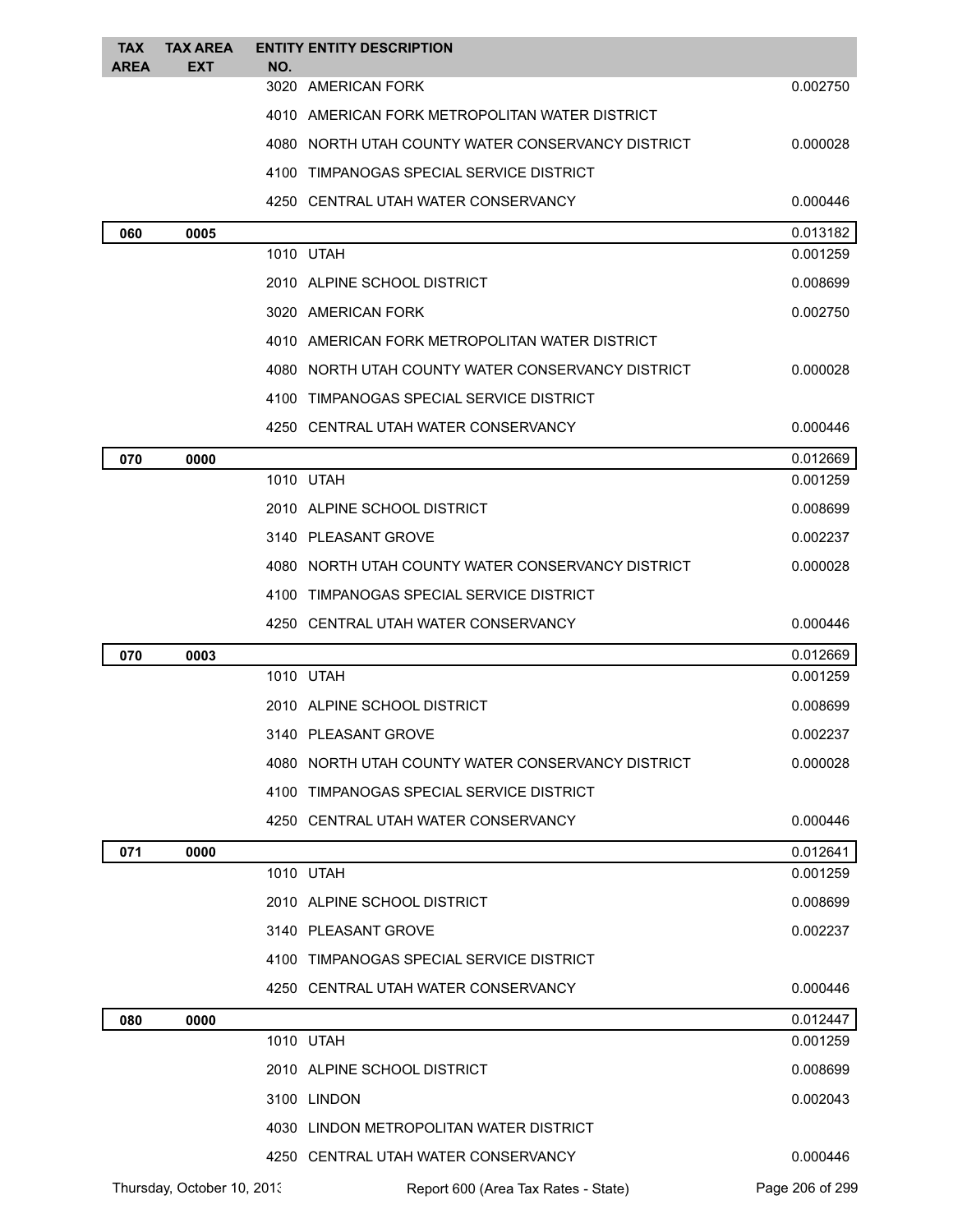| <b>TAX</b><br><b>AREA</b> | <b>TAX AREA</b><br>EXT     | NO.  | <b>ENTITY ENTITY DESCRIPTION</b>                    |                 |
|---------------------------|----------------------------|------|-----------------------------------------------------|-----------------|
|                           |                            | 3020 | AMERICAN FORK                                       | 0.002750        |
|                           |                            |      | 4010 AMERICAN FORK METROPOLITAN WATER DISTRICT      |                 |
|                           |                            |      | 4080   NORTH UTAH COUNTY WATER CONSERVANCY DISTRICT | 0.000028        |
|                           |                            |      | 4100   TIMPANOGAS SPECIAL SERVICE DISTRICT          |                 |
|                           |                            |      | 4250   CENTRAL UTAH WATER CONSERVANCY               | 0.000446        |
| 060                       | 0005                       |      |                                                     | 0.013182        |
|                           |                            |      | 1010 UTAH                                           | 0.001259        |
|                           |                            |      | 2010 ALPINE SCHOOL DISTRICT                         | 0.008699        |
|                           |                            |      | 3020 AMERICAN FORK                                  | 0.002750        |
|                           |                            |      | 4010 AMERICAN FORK METROPOLITAN WATER DISTRICT      |                 |
|                           |                            |      | 4080   NORTH UTAH COUNTY WATER CONSERVANCY DISTRICT | 0.000028        |
|                           |                            |      | 4100 TIMPANOGAS SPECIAL SERVICE DISTRICT            |                 |
|                           |                            |      | 4250   CENTRAL UTAH WATER CONSERVANCY               | 0.000446        |
| 070                       | 0000                       |      |                                                     | 0.012669        |
|                           |                            |      | 1010 UTAH                                           | 0.001259        |
|                           |                            |      | 2010 ALPINE SCHOOL DISTRICT                         | 0.008699        |
|                           |                            |      | 3140 PLEASANT GROVE                                 | 0.002237        |
|                           |                            |      | 4080   NORTH UTAH COUNTY WATER CONSERVANCY DISTRICT | 0.000028        |
|                           |                            | 4100 | TIMPANOGAS SPECIAL SERVICE DISTRICT                 |                 |
|                           |                            |      | 4250   CENTRAL UTAH WATER CONSERVANCY               | 0.000446        |
| 070                       | 0003                       |      |                                                     | 0.012669        |
|                           |                            |      | 1010 UTAH                                           | 0.001259        |
|                           |                            |      | 2010 ALPINE SCHOOL DISTRICT                         | 0.008699        |
|                           |                            |      | 3140 PLEASANT GROVE                                 | 0.002237        |
|                           |                            |      | 4080 NORTH UTAH COUNTY WATER CONSERVANCY DISTRICT   | 0.000028        |
|                           |                            |      | 4100 TIMPANOGAS SPECIAL SERVICE DISTRICT            |                 |
|                           |                            |      | 4250 CENTRAL UTAH WATER CONSERVANCY                 | 0.000446        |
| 071                       | 0000                       |      |                                                     | 0.012641        |
|                           |                            |      | 1010 UTAH                                           | 0.001259        |
|                           |                            |      | 2010 ALPINE SCHOOL DISTRICT                         | 0.008699        |
|                           |                            |      | 3140 PLEASANT GROVE                                 | 0.002237        |
|                           |                            |      | 4100 TIMPANOGAS SPECIAL SERVICE DISTRICT            |                 |
|                           |                            |      | 4250 CENTRAL UTAH WATER CONSERVANCY                 | 0.000446        |
| 080                       | 0000                       |      |                                                     | 0.012447        |
|                           |                            |      | 1010 UTAH                                           | 0.001259        |
|                           |                            |      | 2010 ALPINE SCHOOL DISTRICT                         | 0.008699        |
|                           |                            |      | 3100 LINDON                                         | 0.002043        |
|                           |                            |      | 4030 LINDON METROPOLITAN WATER DISTRICT             |                 |
|                           |                            |      | 4250 CENTRAL UTAH WATER CONSERVANCY                 | 0.000446        |
|                           | Thursday, October 10, 2013 |      | Report 600 (Area Tax Rates - State)                 | Page 206 of 299 |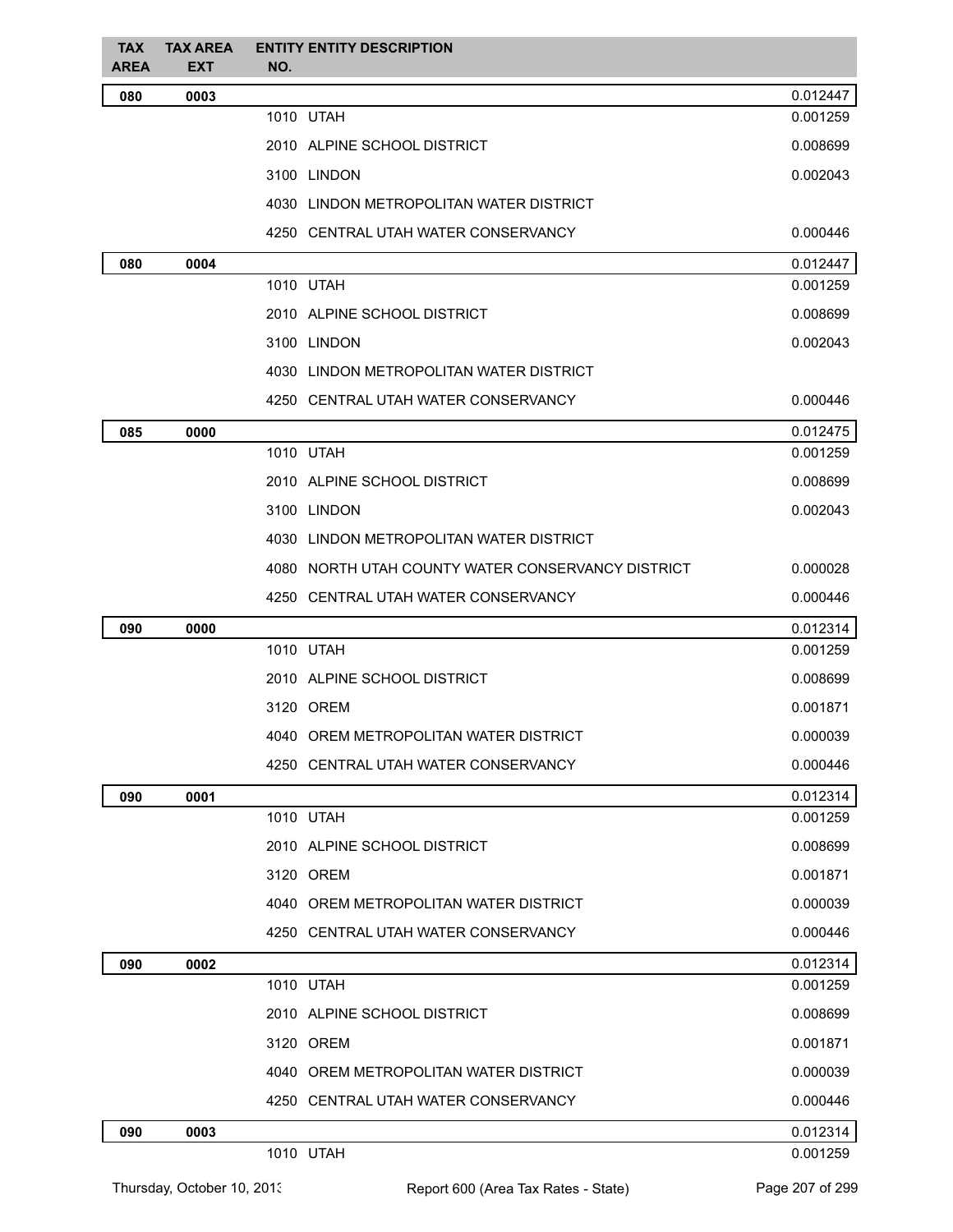| <b>TAX</b><br><b>AREA</b> | <b>TAX AREA</b><br><b>EXT</b> | <b>ENTITY ENTITY DESCRIPTION</b><br>NO.           |          |
|---------------------------|-------------------------------|---------------------------------------------------|----------|
| 080                       | 0003                          |                                                   | 0.012447 |
|                           |                               | 1010 UTAH                                         | 0.001259 |
|                           |                               | 2010 ALPINE SCHOOL DISTRICT                       | 0.008699 |
|                           |                               | 3100 LINDON                                       | 0.002043 |
|                           |                               | 4030 LINDON METROPOLITAN WATER DISTRICT           |          |
|                           |                               | 4250 CENTRAL UTAH WATER CONSERVANCY               | 0.000446 |
| 080                       | 0004                          |                                                   | 0.012447 |
|                           |                               | 1010 UTAH                                         | 0.001259 |
|                           |                               | 2010 ALPINE SCHOOL DISTRICT                       | 0.008699 |
|                           |                               | 3100 LINDON                                       | 0.002043 |
|                           |                               | 4030 LINDON METROPOLITAN WATER DISTRICT           |          |
|                           |                               | 4250 CENTRAL UTAH WATER CONSERVANCY               | 0.000446 |
| 085                       | 0000                          |                                                   | 0.012475 |
|                           |                               | 1010 UTAH                                         | 0.001259 |
|                           |                               | 2010 ALPINE SCHOOL DISTRICT                       | 0.008699 |
|                           |                               | 3100 LINDON                                       | 0.002043 |
|                           |                               | 4030 LINDON METROPOLITAN WATER DISTRICT           |          |
|                           |                               | 4080 NORTH UTAH COUNTY WATER CONSERVANCY DISTRICT | 0.000028 |
|                           |                               | 4250 CENTRAL UTAH WATER CONSERVANCY               | 0.000446 |
| 090                       | 0000                          |                                                   | 0.012314 |
|                           |                               | 1010 UTAH                                         | 0.001259 |
|                           |                               | 2010 ALPINE SCHOOL DISTRICT                       | 0.008699 |
|                           |                               | 3120 OREM                                         | 0.001871 |
|                           |                               | 4040 OREM METROPOLITAN WATER DISTRICT             | 0.000039 |
|                           |                               | 4250 CENTRAL UTAH WATER CONSERVANCY               | 0.000446 |
| 090                       | 0001                          |                                                   | 0.012314 |
|                           |                               | 1010 UTAH                                         | 0.001259 |
|                           |                               | 2010 ALPINE SCHOOL DISTRICT                       | 0.008699 |
|                           |                               | 3120 OREM                                         | 0.001871 |
|                           |                               | 4040 OREM METROPOLITAN WATER DISTRICT             | 0.000039 |
|                           |                               | 4250 CENTRAL UTAH WATER CONSERVANCY               | 0.000446 |
| 090                       | 0002                          |                                                   | 0.012314 |
|                           |                               | 1010 UTAH                                         | 0.001259 |
|                           |                               | 2010 ALPINE SCHOOL DISTRICT                       | 0.008699 |
|                           |                               | 3120 OREM                                         | 0.001871 |
|                           |                               | 4040 OREM METROPOLITAN WATER DISTRICT             | 0.000039 |
|                           |                               | 4250 CENTRAL UTAH WATER CONSERVANCY               | 0.000446 |
| 090                       | 0003                          |                                                   | 0.012314 |
|                           |                               | 1010 UTAH                                         | 0.001259 |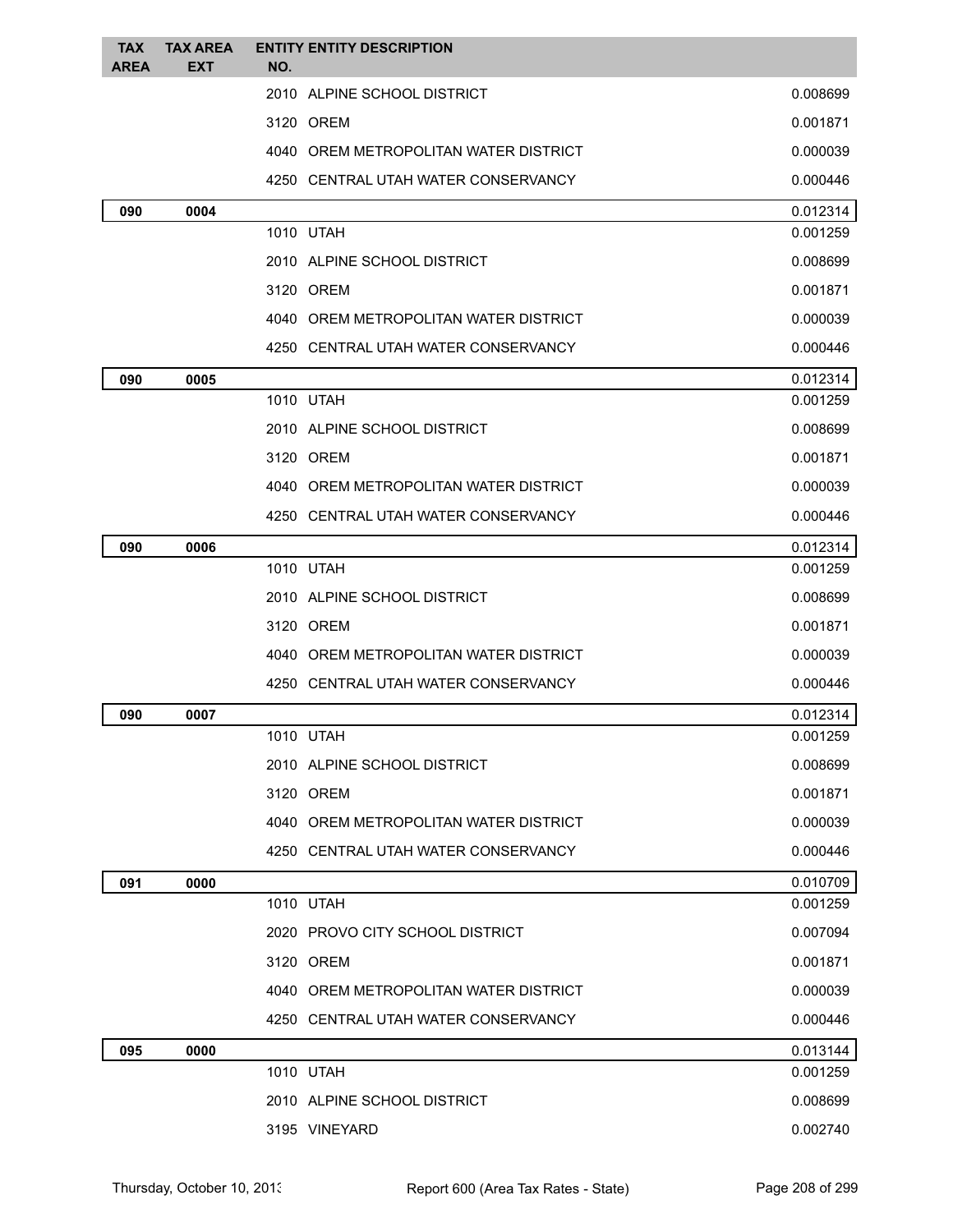| <b>TAX</b><br><b>AREA</b> | <b>TAX AREA</b><br><b>EXT</b> | <b>ENTITY ENTITY DESCRIPTION</b><br>NO. |                                         |                      |
|---------------------------|-------------------------------|-----------------------------------------|-----------------------------------------|----------------------|
|                           |                               |                                         | 2010 ALPINE SCHOOL DISTRICT             | 0.008699             |
|                           |                               | 3120 OREM                               |                                         | 0.001871             |
|                           |                               |                                         | 4040 OREM METROPOLITAN WATER DISTRICT   | 0.000039             |
|                           |                               |                                         | 4250 CENTRAL UTAH WATER CONSERVANCY     | 0.000446             |
| 090                       | 0004                          |                                         |                                         | 0.012314             |
|                           |                               | 1010 UTAH                               |                                         | 0.001259             |
|                           |                               |                                         | 2010 ALPINE SCHOOL DISTRICT             | 0.008699             |
|                           |                               | 3120 OREM                               |                                         | 0.001871             |
|                           |                               |                                         | 4040   OREM METROPOLITAN WATER DISTRICT | 0.000039             |
|                           |                               |                                         | 4250 CENTRAL UTAH WATER CONSERVANCY     | 0.000446             |
| 090                       | 0005                          |                                         |                                         | 0.012314             |
|                           |                               | 1010 UTAH                               |                                         | 0.001259             |
|                           |                               |                                         | 2010 ALPINE SCHOOL DISTRICT             | 0.008699             |
|                           |                               | 3120 OREM                               |                                         | 0.001871             |
|                           |                               |                                         | 4040 OREM METROPOLITAN WATER DISTRICT   | 0.000039             |
|                           |                               |                                         | 4250 CENTRAL UTAH WATER CONSERVANCY     | 0.000446             |
| 090                       | 0006                          | 1010 UTAH                               |                                         | 0.012314<br>0.001259 |
|                           |                               |                                         | 2010 ALPINE SCHOOL DISTRICT             | 0.008699             |
|                           |                               | 3120 OREM                               |                                         | 0.001871             |
|                           |                               |                                         | 4040 OREM METROPOLITAN WATER DISTRICT   | 0.000039             |
|                           |                               |                                         | 4250 CENTRAL UTAH WATER CONSERVANCY     | 0.000446             |
| 090                       | 0007                          |                                         |                                         | 0.012314             |
|                           |                               | 1010 UTAH                               |                                         | 0.001259             |
|                           |                               |                                         | 2010 ALPINE SCHOOL DISTRICT             | 0.008699             |
|                           |                               | 3120 OREM                               |                                         | 0.001871             |
|                           |                               |                                         | 4040 OREM METROPOLITAN WATER DISTRICT   | 0.000039             |
|                           |                               |                                         | 4250 CENTRAL UTAH WATER CONSERVANCY     | 0.000446             |
| 091                       | 0000                          |                                         |                                         | 0.010709             |
|                           |                               | 1010 UTAH                               |                                         | 0.001259             |
|                           |                               |                                         | 2020 PROVO CITY SCHOOL DISTRICT         | 0.007094             |
|                           |                               | 3120 OREM                               |                                         | 0.001871             |
|                           |                               |                                         | 4040 OREM METROPOLITAN WATER DISTRICT   | 0.000039             |
|                           |                               |                                         | 4250 CENTRAL UTAH WATER CONSERVANCY     | 0.000446             |
| 095                       | 0000                          |                                         |                                         | 0.013144             |
|                           |                               | 1010 UTAH                               |                                         | 0.001259             |
|                           |                               |                                         | 2010 ALPINE SCHOOL DISTRICT             | 0.008699             |
|                           |                               | 3195 VINEYARD                           |                                         | 0.002740             |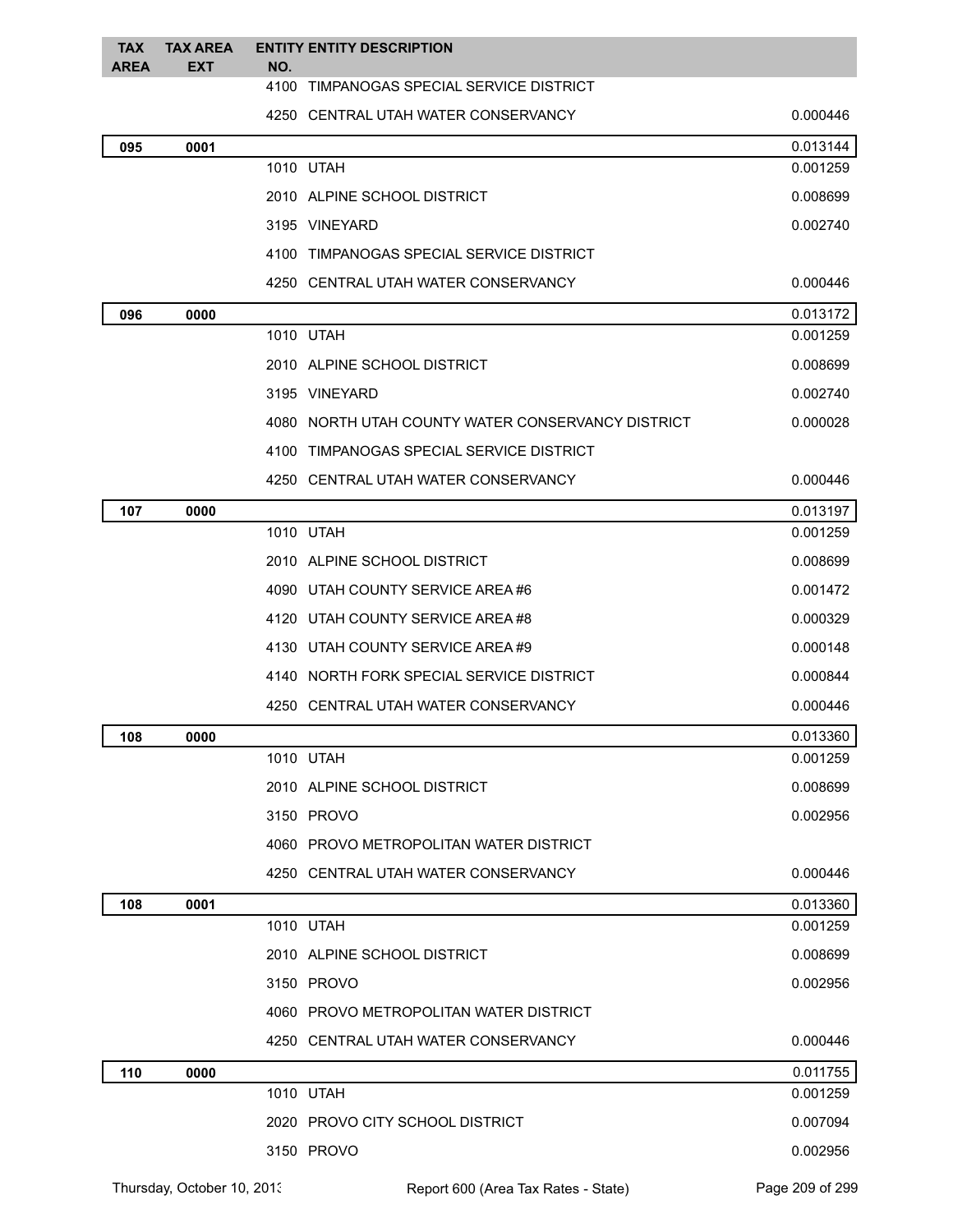| <b>TAX</b><br><b>AREA</b> | <b>TAX AREA</b><br><b>EXT</b> | <b>ENTITY ENTITY DESCRIPTION</b><br>NO.           |          |
|---------------------------|-------------------------------|---------------------------------------------------|----------|
|                           |                               | 4100<br>TIMPANOGAS SPECIAL SERVICE DISTRICT       |          |
|                           |                               | 4250 CENTRAL UTAH WATER CONSERVANCY               | 0.000446 |
| 095                       | 0001                          |                                                   | 0.013144 |
|                           |                               | 1010 UTAH                                         | 0.001259 |
|                           |                               | 2010 ALPINE SCHOOL DISTRICT                       | 0.008699 |
|                           |                               | 3195 VINEYARD                                     | 0.002740 |
|                           |                               | 4100 TIMPANOGAS SPECIAL SERVICE DISTRICT          |          |
|                           |                               | 4250 CENTRAL UTAH WATER CONSERVANCY               | 0.000446 |
| 096                       | 0000                          |                                                   | 0.013172 |
|                           |                               | 1010 UTAH                                         | 0.001259 |
|                           |                               | 2010 ALPINE SCHOOL DISTRICT                       | 0.008699 |
|                           |                               | 3195 VINEYARD                                     | 0.002740 |
|                           |                               | 4080 NORTH UTAH COUNTY WATER CONSERVANCY DISTRICT | 0.000028 |
|                           |                               | 4100 TIMPANOGAS SPECIAL SERVICE DISTRICT          |          |
|                           |                               | 4250 CENTRAL UTAH WATER CONSERVANCY               | 0.000446 |
| 107                       | 0000                          |                                                   | 0.013197 |
|                           |                               | 1010 UTAH                                         | 0.001259 |
|                           |                               | 2010 ALPINE SCHOOL DISTRICT                       | 0.008699 |
|                           |                               | 4090 UTAH COUNTY SERVICE AREA #6                  | 0.001472 |
|                           |                               | 4120 UTAH COUNTY SERVICE AREA#8                   | 0.000329 |
|                           |                               | 4130 UTAH COUNTY SERVICE AREA #9                  | 0.000148 |
|                           |                               | 4140 NORTH FORK SPECIAL SERVICE DISTRICT          | 0.000844 |
|                           |                               | 4250 CENTRAL UTAH WATER CONSERVANCY               | 0.000446 |
| 108                       | 0000                          |                                                   | 0.013360 |
|                           |                               | 1010 UTAH                                         | 0.001259 |
|                           |                               | 2010 ALPINE SCHOOL DISTRICT                       | 0.008699 |
|                           |                               | 3150 PROVO                                        | 0.002956 |
|                           |                               | 4060 PROVO METROPOLITAN WATER DISTRICT            |          |
|                           |                               | 4250 CENTRAL UTAH WATER CONSERVANCY               | 0.000446 |
| 108                       | 0001                          |                                                   | 0.013360 |
|                           |                               | 1010 UTAH                                         | 0.001259 |
|                           |                               | 2010 ALPINE SCHOOL DISTRICT                       | 0.008699 |
|                           |                               | 3150 PROVO                                        | 0.002956 |
|                           |                               | 4060 PROVO METROPOLITAN WATER DISTRICT            |          |
|                           |                               | 4250 CENTRAL UTAH WATER CONSERVANCY               | 0.000446 |
| 110                       | 0000                          |                                                   | 0.011755 |
|                           |                               | 1010 UTAH                                         | 0.001259 |
|                           |                               | 2020 PROVO CITY SCHOOL DISTRICT                   | 0.007094 |
|                           |                               | 3150 PROVO                                        | 0.002956 |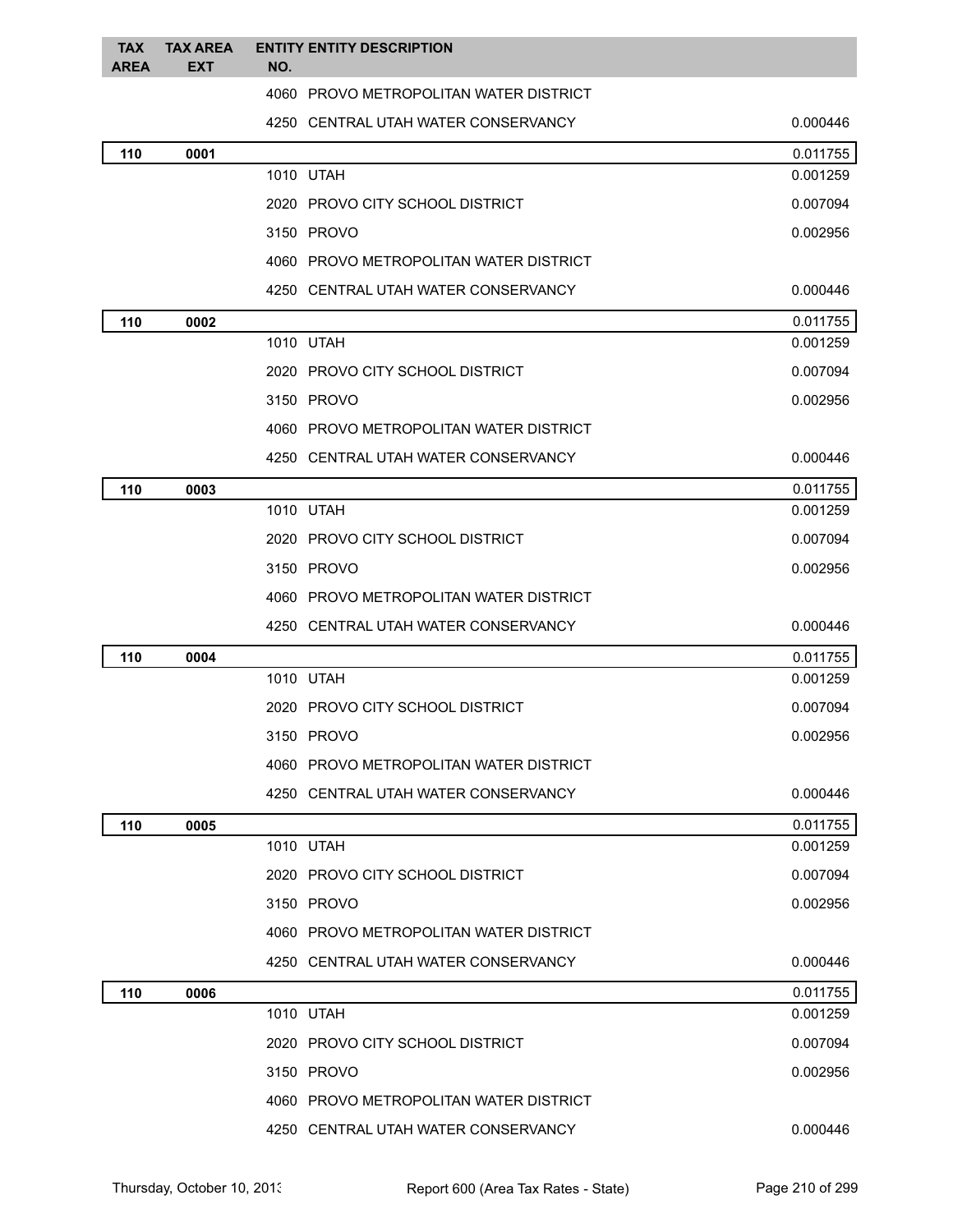| <b>TAX</b><br><b>AREA</b> | <b>TAX AREA</b><br><b>EXT</b> | NO.        | <b>ENTITY ENTITY DESCRIPTION</b>       |          |
|---------------------------|-------------------------------|------------|----------------------------------------|----------|
|                           |                               |            | 4060 PROVO METROPOLITAN WATER DISTRICT |          |
|                           |                               |            | 4250 CENTRAL UTAH WATER CONSERVANCY    | 0.000446 |
| 110                       | 0001                          |            |                                        | 0.011755 |
|                           |                               | 1010 UTAH  |                                        | 0.001259 |
|                           |                               |            | 2020 PROVO CITY SCHOOL DISTRICT        | 0.007094 |
|                           |                               | 3150 PROVO |                                        | 0.002956 |
|                           |                               |            | 4060 PROVO METROPOLITAN WATER DISTRICT |          |
|                           |                               |            | 4250 CENTRAL UTAH WATER CONSERVANCY    | 0.000446 |
| 110                       | 0002                          |            |                                        | 0.011755 |
|                           |                               | 1010 UTAH  |                                        | 0.001259 |
|                           |                               |            | 2020 PROVO CITY SCHOOL DISTRICT        | 0.007094 |
|                           |                               | 3150 PROVO |                                        | 0.002956 |
|                           |                               |            | 4060 PROVO METROPOLITAN WATER DISTRICT |          |
|                           |                               |            | 4250 CENTRAL UTAH WATER CONSERVANCY    | 0.000446 |
| 110                       | 0003                          |            |                                        | 0.011755 |
|                           |                               | 1010 UTAH  |                                        | 0.001259 |
|                           |                               |            | 2020 PROVO CITY SCHOOL DISTRICT        | 0.007094 |
|                           |                               | 3150 PROVO |                                        | 0.002956 |
|                           |                               |            | 4060 PROVO METROPOLITAN WATER DISTRICT |          |
|                           |                               |            | 4250 CENTRAL UTAH WATER CONSERVANCY    | 0.000446 |
| 110                       | 0004                          |            |                                        | 0.011755 |
|                           |                               | 1010 UTAH  |                                        | 0.001259 |
|                           |                               |            | 2020 PROVO CITY SCHOOL DISTRICT        | 0.007094 |
|                           |                               | 3150 PROVO |                                        | 0.002956 |
|                           |                               |            | 4060 PROVO METROPOLITAN WATER DISTRICT |          |
|                           |                               |            | 4250 CENTRAL UTAH WATER CONSERVANCY    | 0.000446 |
| 110                       | 0005                          |            |                                        | 0.011755 |
|                           |                               | 1010 UTAH  |                                        | 0.001259 |
|                           |                               |            | 2020 PROVO CITY SCHOOL DISTRICT        | 0.007094 |
|                           |                               | 3150 PROVO |                                        | 0.002956 |
|                           |                               |            | 4060 PROVO METROPOLITAN WATER DISTRICT |          |
|                           |                               |            | 4250 CENTRAL UTAH WATER CONSERVANCY    | 0.000446 |
| 110                       | 0006                          |            |                                        | 0.011755 |
|                           |                               | 1010 UTAH  |                                        | 0.001259 |
|                           |                               |            | 2020 PROVO CITY SCHOOL DISTRICT        | 0.007094 |
|                           |                               | 3150 PROVO |                                        | 0.002956 |
|                           |                               |            | 4060 PROVO METROPOLITAN WATER DISTRICT |          |
|                           |                               |            | 4250 CENTRAL UTAH WATER CONSERVANCY    | 0.000446 |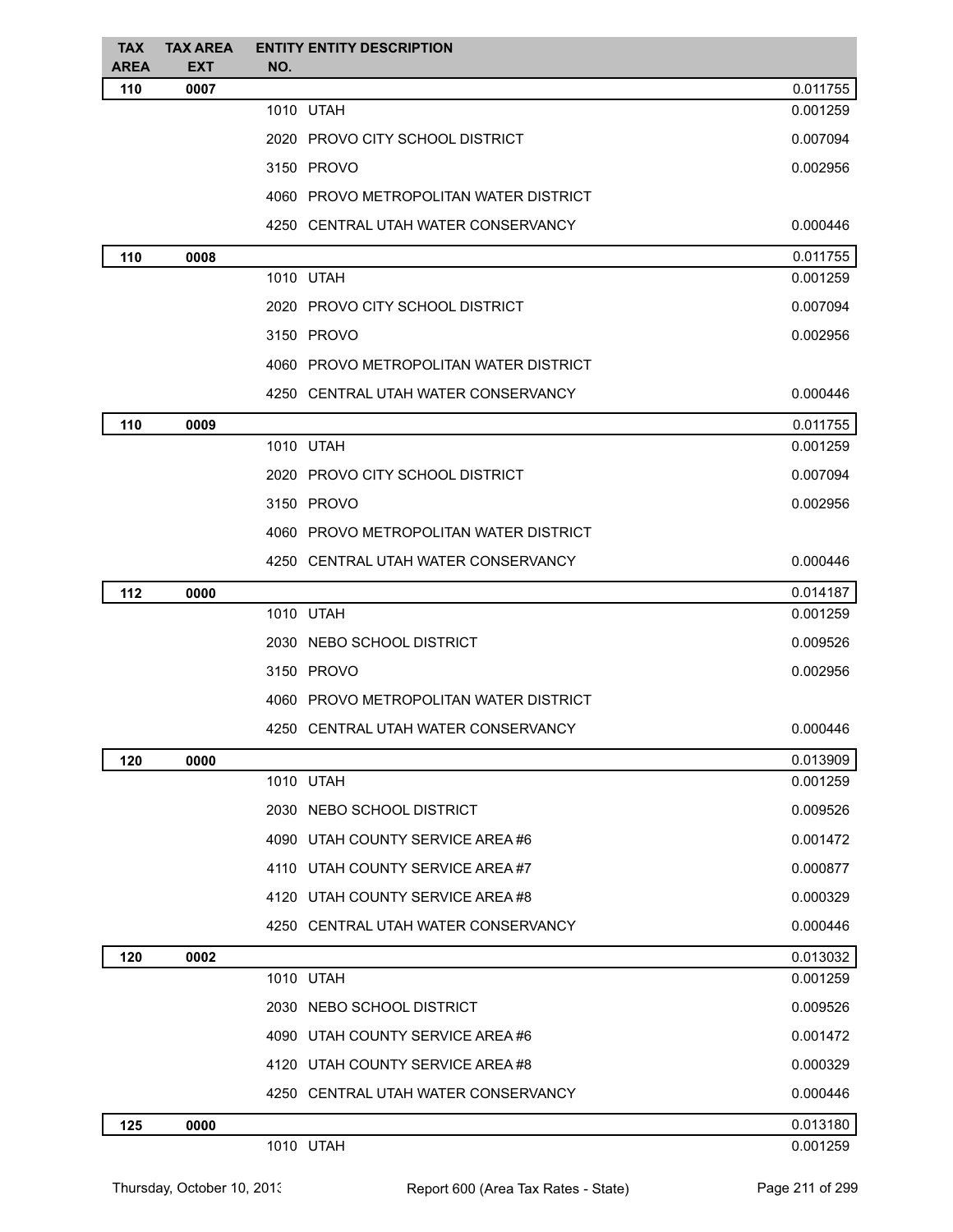| <b>TAX</b><br><b>AREA</b> | <b>TAX AREA</b><br><b>EXT</b> | <b>ENTITY ENTITY DESCRIPTION</b><br>NO. |          |
|---------------------------|-------------------------------|-----------------------------------------|----------|
| 110                       | 0007                          |                                         | 0.011755 |
|                           |                               | 1010 UTAH                               | 0.001259 |
|                           |                               | 2020 PROVO CITY SCHOOL DISTRICT         | 0.007094 |
|                           |                               | 3150 PROVO                              | 0.002956 |
|                           |                               | 4060 PROVO METROPOLITAN WATER DISTRICT  |          |
|                           |                               | 4250 CENTRAL UTAH WATER CONSERVANCY     | 0.000446 |
| 110                       | 0008                          |                                         | 0.011755 |
|                           |                               | 1010 UTAH                               | 0.001259 |
|                           |                               | 2020 PROVO CITY SCHOOL DISTRICT         | 0.007094 |
|                           |                               | 3150 PROVO                              | 0.002956 |
|                           |                               | 4060 PROVO METROPOLITAN WATER DISTRICT  |          |
|                           |                               | 4250 CENTRAL UTAH WATER CONSERVANCY     | 0.000446 |
| 110                       | 0009                          |                                         | 0.011755 |
|                           |                               | 1010 UTAH                               | 0.001259 |
|                           |                               | 2020 PROVO CITY SCHOOL DISTRICT         | 0.007094 |
|                           |                               | 3150 PROVO                              | 0.002956 |
|                           |                               | 4060 PROVO METROPOLITAN WATER DISTRICT  |          |
|                           |                               | 4250 CENTRAL UTAH WATER CONSERVANCY     | 0.000446 |
| 112                       | 0000                          |                                         | 0.014187 |
|                           |                               | 1010 UTAH                               | 0.001259 |
|                           |                               | 2030 NEBO SCHOOL DISTRICT               | 0.009526 |
|                           |                               | 3150 PROVO                              | 0.002956 |
|                           |                               | 4060 PROVO METROPOLITAN WATER DISTRICT  |          |
|                           |                               | 4250 CENTRAL UTAH WATER CONSERVANCY     | 0.000446 |
| 120                       | 0000                          |                                         | 0.013909 |
|                           |                               | 1010 UTAH                               | 0.001259 |
|                           |                               | 2030 NEBO SCHOOL DISTRICT               | 0.009526 |
|                           |                               | 4090 UTAH COUNTY SERVICE AREA #6        | 0.001472 |
|                           |                               | 4110 UTAH COUNTY SERVICE AREA#7         | 0.000877 |
|                           |                               | 4120 UTAH COUNTY SERVICE AREA#8         | 0.000329 |
|                           |                               | 4250 CENTRAL UTAH WATER CONSERVANCY     | 0.000446 |
| 120                       | 0002                          |                                         | 0.013032 |
|                           |                               | 1010 UTAH                               | 0.001259 |
|                           |                               | 2030 NEBO SCHOOL DISTRICT               | 0.009526 |
|                           |                               | 4090 UTAH COUNTY SERVICE AREA #6        | 0.001472 |
|                           |                               | 4120 UTAH COUNTY SERVICE AREA #8        | 0.000329 |
|                           |                               | 4250 CENTRAL UTAH WATER CONSERVANCY     | 0.000446 |
| 125                       | 0000                          |                                         | 0.013180 |
|                           |                               | 1010 UTAH                               | 0.001259 |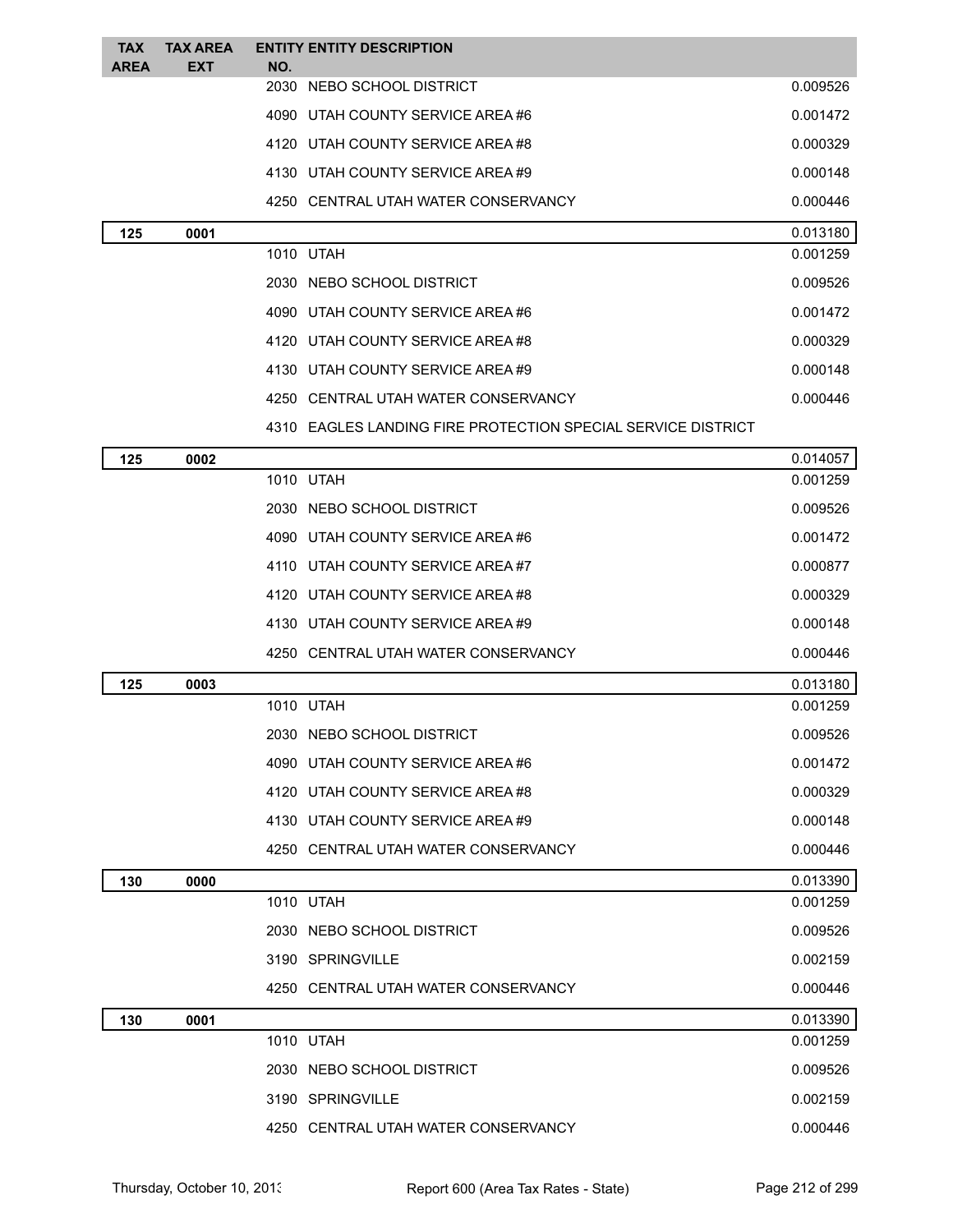| <b>TAX</b><br><b>AREA</b> | <b>TAX AREA</b><br><b>EXT</b> | <b>ENTITY ENTITY DESCRIPTION</b><br>NO.                      |          |
|---------------------------|-------------------------------|--------------------------------------------------------------|----------|
|                           |                               | 2030 NEBO SCHOOL DISTRICT                                    | 0.009526 |
|                           |                               | 4090 UTAH COUNTY SERVICE AREA#6                              | 0.001472 |
|                           |                               | 4120 UTAH COUNTY SERVICE AREA#8                              | 0.000329 |
|                           |                               | 4130 UTAH COUNTY SERVICE AREA #9                             | 0.000148 |
|                           |                               | 4250 CENTRAL UTAH WATER CONSERVANCY                          | 0.000446 |
| 125                       | 0001                          |                                                              | 0.013180 |
|                           |                               | 1010 UTAH                                                    | 0.001259 |
|                           |                               | 2030 NEBO SCHOOL DISTRICT                                    | 0.009526 |
|                           |                               | 4090 UTAH COUNTY SERVICE AREA#6                              | 0.001472 |
|                           |                               | 4120 UTAH COUNTY SERVICE AREA#8                              | 0.000329 |
|                           |                               | 4130 UTAH COUNTY SERVICE AREA #9                             | 0.000148 |
|                           |                               | 4250 CENTRAL UTAH WATER CONSERVANCY                          | 0.000446 |
|                           |                               | 4310 EAGLES LANDING FIRE PROTECTION SPECIAL SERVICE DISTRICT |          |
| 125                       | 0002                          |                                                              | 0.014057 |
|                           |                               | 1010 UTAH                                                    | 0.001259 |
|                           |                               | 2030 NEBO SCHOOL DISTRICT                                    | 0.009526 |
|                           |                               | 4090 UTAH COUNTY SERVICE AREA#6                              | 0.001472 |
|                           |                               | 4110 UTAH COUNTY SERVICE AREA#7                              | 0.000877 |
|                           |                               | 4120 UTAH COUNTY SERVICE AREA#8                              | 0.000329 |
|                           |                               | 4130 UTAH COUNTY SERVICE AREA #9                             | 0.000148 |
|                           |                               | 4250 CENTRAL UTAH WATER CONSERVANCY                          | 0.000446 |
| 125                       | 0003                          |                                                              | 0.013180 |
|                           |                               | 1010 UTAH                                                    | 0.001259 |
|                           |                               | 2030 NEBO SCHOOL DISTRICT                                    | 0.009526 |
|                           |                               | 4090 UTAH COUNTY SERVICE AREA #6                             | 0.001472 |
|                           |                               | 4120 UTAH COUNTY SERVICE AREA #8                             | 0.000329 |
|                           |                               | 4130 UTAH COUNTY SERVICE AREA #9                             | 0.000148 |
|                           |                               | 4250 CENTRAL UTAH WATER CONSERVANCY                          | 0.000446 |
| 130                       | 0000                          |                                                              | 0.013390 |
|                           |                               | 1010 UTAH                                                    | 0.001259 |
|                           |                               | 2030 NEBO SCHOOL DISTRICT                                    | 0.009526 |
|                           |                               | 3190 SPRINGVILLE                                             | 0.002159 |
|                           |                               | 4250 CENTRAL UTAH WATER CONSERVANCY                          | 0.000446 |
| 130                       | 0001                          |                                                              | 0.013390 |
|                           |                               | 1010 UTAH                                                    | 0.001259 |
|                           |                               | 2030 NEBO SCHOOL DISTRICT                                    | 0.009526 |
|                           |                               | 3190 SPRINGVILLE                                             | 0.002159 |
|                           |                               | 4250 CENTRAL UTAH WATER CONSERVANCY                          | 0.000446 |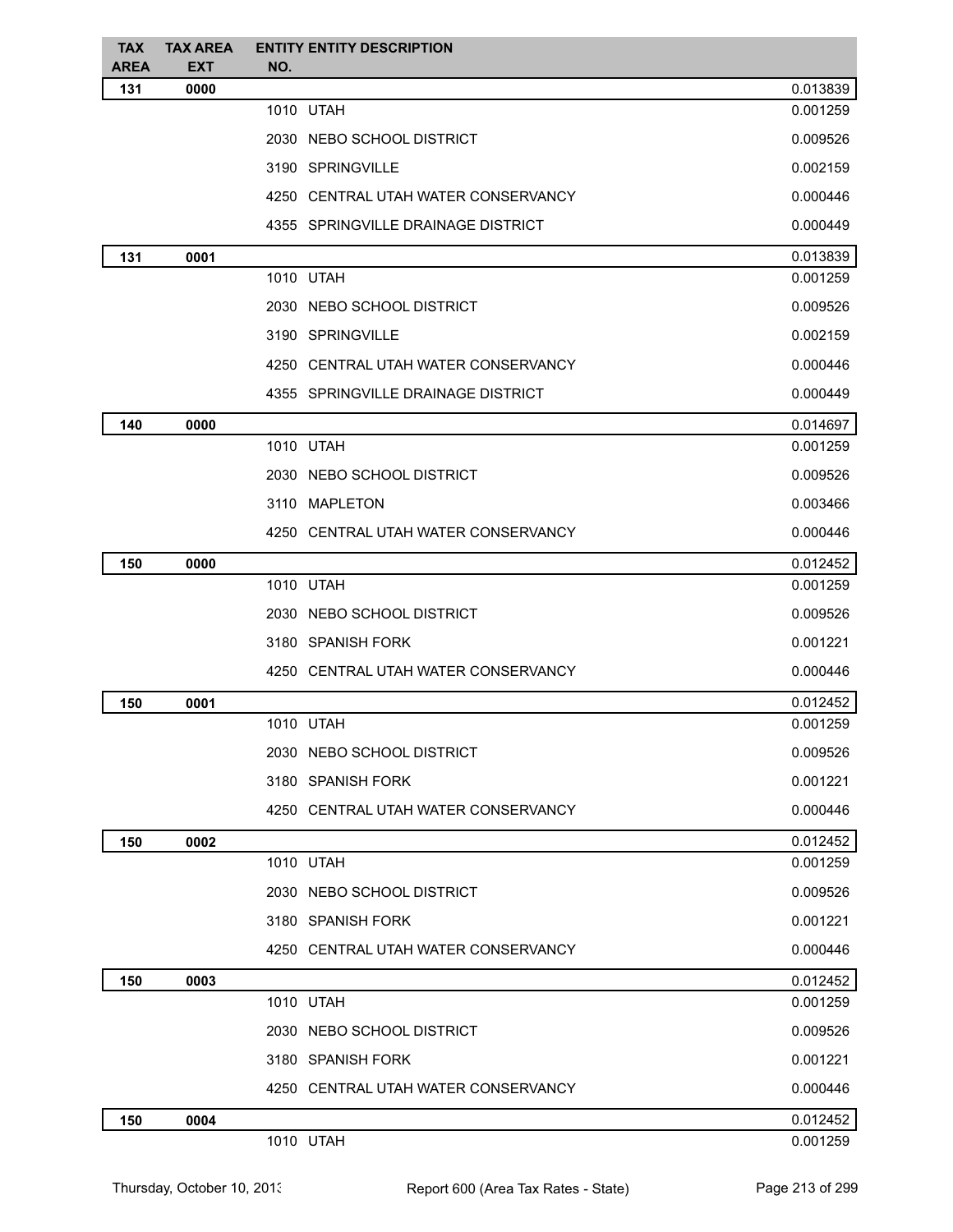| <b>TAX</b><br><b>AREA</b> | <b>TAX AREA</b><br><b>EXT</b> | <b>ENTITY ENTITY DESCRIPTION</b><br>NO. |          |
|---------------------------|-------------------------------|-----------------------------------------|----------|
| 131                       | 0000                          |                                         | 0.013839 |
|                           |                               | 1010 UTAH                               | 0.001259 |
|                           |                               | 2030 NEBO SCHOOL DISTRICT               | 0.009526 |
|                           |                               | 3190 SPRINGVILLE                        | 0.002159 |
|                           |                               | 4250 CENTRAL UTAH WATER CONSERVANCY     | 0.000446 |
|                           |                               | 4355 SPRINGVILLE DRAINAGE DISTRICT      | 0.000449 |
| 131                       | 0001                          |                                         | 0.013839 |
|                           |                               | 1010 UTAH                               | 0.001259 |
|                           |                               | 2030 NEBO SCHOOL DISTRICT               | 0.009526 |
|                           |                               | 3190 SPRINGVILLE                        | 0.002159 |
|                           |                               | 4250 CENTRAL UTAH WATER CONSERVANCY     | 0.000446 |
|                           |                               | 4355 SPRINGVILLE DRAINAGE DISTRICT      | 0.000449 |
| 140                       | 0000                          |                                         | 0.014697 |
|                           |                               | 1010 UTAH                               | 0.001259 |
|                           |                               | 2030 NEBO SCHOOL DISTRICT               | 0.009526 |
|                           |                               | 3110 MAPLETON                           | 0.003466 |
|                           |                               | 4250 CENTRAL UTAH WATER CONSERVANCY     | 0.000446 |
| 150                       | 0000                          |                                         | 0.012452 |
|                           |                               | 1010 UTAH                               | 0.001259 |
|                           |                               | 2030 NEBO SCHOOL DISTRICT               | 0.009526 |
|                           |                               | 3180 SPANISH FORK                       | 0.001221 |
|                           |                               | 4250 CENTRAL UTAH WATER CONSERVANCY     | 0.000446 |
| 150                       | 0001                          |                                         | 0.012452 |
|                           |                               | 1010 UTAH                               | 0.001259 |
|                           |                               | 2030 NEBO SCHOOL DISTRICT               | 0.009526 |
|                           |                               | 3180 SPANISH FORK                       | 0.001221 |
|                           |                               | 4250 CENTRAL UTAH WATER CONSERVANCY     | 0.000446 |
| 150                       | 0002                          |                                         | 0.012452 |
|                           |                               | 1010 UTAH                               | 0.001259 |
|                           |                               | 2030 NEBO SCHOOL DISTRICT               | 0.009526 |
|                           |                               | 3180 SPANISH FORK                       | 0.001221 |
|                           |                               | 4250 CENTRAL UTAH WATER CONSERVANCY     | 0.000446 |
| 150                       | 0003                          |                                         | 0.012452 |
|                           |                               | 1010 UTAH                               | 0.001259 |
|                           |                               | 2030 NEBO SCHOOL DISTRICT               | 0.009526 |
|                           |                               | 3180 SPANISH FORK                       | 0.001221 |
|                           |                               | 4250 CENTRAL UTAH WATER CONSERVANCY     | 0.000446 |
| 150                       | 0004                          |                                         | 0.012452 |
|                           |                               | 1010 UTAH                               | 0.001259 |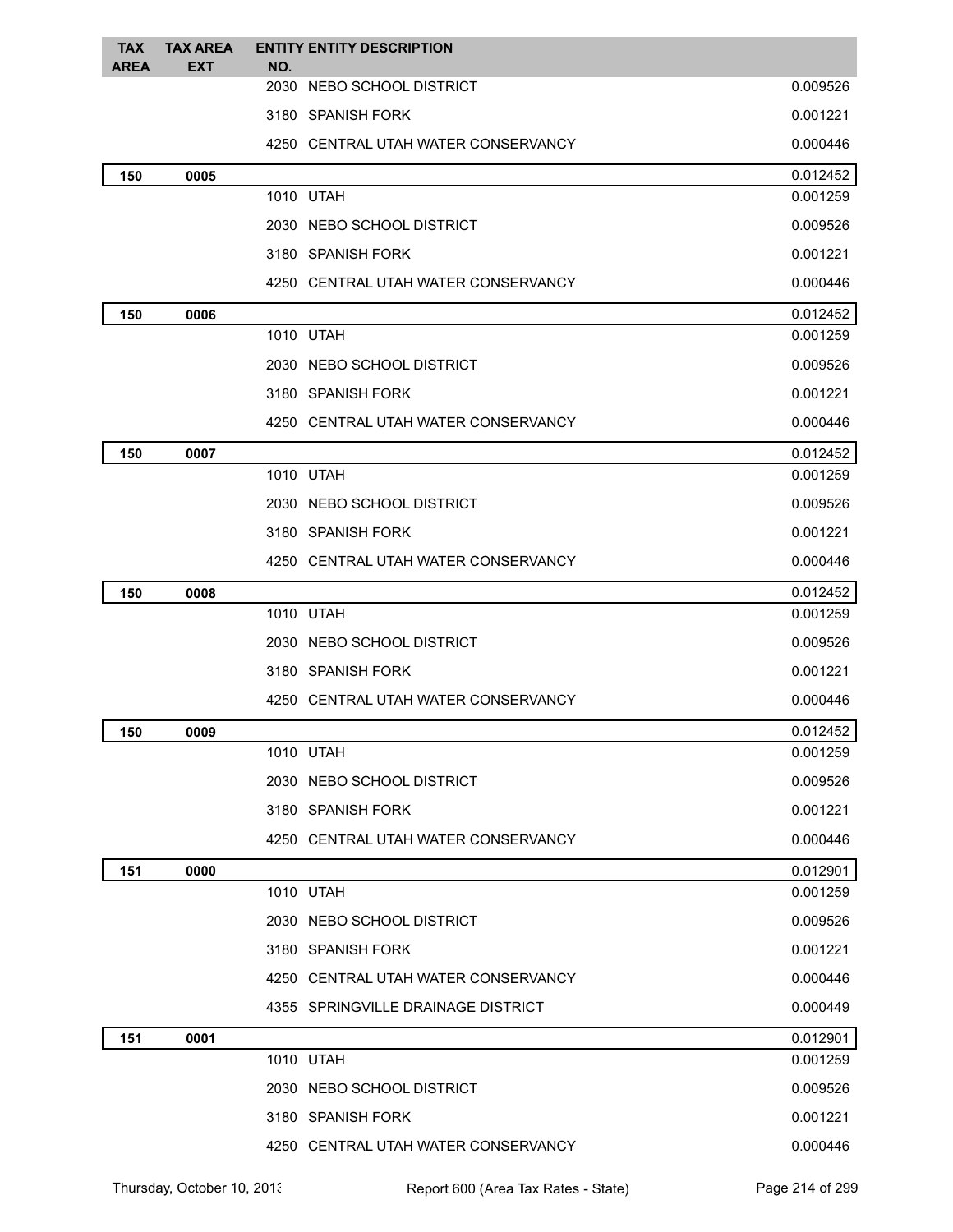| <b>TAX</b><br><b>AREA</b> | <b>TAX AREA</b><br><b>EXT</b> | <b>ENTITY ENTITY DESCRIPTION</b><br>NO. |          |
|---------------------------|-------------------------------|-----------------------------------------|----------|
|                           |                               | 2030<br>NEBO SCHOOL DISTRICT            | 0.009526 |
|                           |                               | 3180 SPANISH FORK                       | 0.001221 |
|                           |                               | 4250 CENTRAL UTAH WATER CONSERVANCY     | 0.000446 |
| 150                       | 0005                          |                                         | 0.012452 |
|                           |                               | 1010 UTAH                               | 0.001259 |
|                           |                               | 2030 NEBO SCHOOL DISTRICT               | 0.009526 |
|                           |                               | 3180 SPANISH FORK                       | 0.001221 |
|                           |                               | 4250 CENTRAL UTAH WATER CONSERVANCY     | 0.000446 |
| 150                       | 0006                          |                                         | 0.012452 |
|                           |                               | 1010 UTAH                               | 0.001259 |
|                           |                               | 2030 NEBO SCHOOL DISTRICT               | 0.009526 |
|                           |                               | 3180 SPANISH FORK                       | 0.001221 |
|                           |                               | 4250 CENTRAL UTAH WATER CONSERVANCY     | 0.000446 |
| 150                       | 0007                          |                                         | 0.012452 |
|                           |                               | 1010 UTAH                               | 0.001259 |
|                           |                               | 2030 NEBO SCHOOL DISTRICT               | 0.009526 |
|                           |                               | 3180 SPANISH FORK                       | 0.001221 |
|                           |                               | 4250 CENTRAL UTAH WATER CONSERVANCY     | 0.000446 |
| 150                       | 0008                          |                                         | 0.012452 |
|                           |                               | 1010 UTAH                               | 0.001259 |
|                           |                               | 2030 NEBO SCHOOL DISTRICT               | 0.009526 |
|                           |                               | 3180 SPANISH FORK                       | 0.001221 |
|                           |                               | 4250 CENTRAL UTAH WATER CONSERVANCY     | 0.000446 |
| 150                       | 0009                          |                                         | 0.012452 |
|                           |                               | 1010 UTAH                               | 0.001259 |
|                           |                               | 2030 NEBO SCHOOL DISTRICT               | 0.009526 |
|                           |                               | 3180 SPANISH FORK                       | 0.001221 |
|                           |                               | 4250 CENTRAL UTAH WATER CONSERVANCY     | 0.000446 |
| 151                       | 0000                          |                                         | 0.012901 |
|                           |                               | 1010 UTAH                               | 0.001259 |
|                           |                               | 2030 NEBO SCHOOL DISTRICT               | 0.009526 |
|                           |                               | 3180 SPANISH FORK                       | 0.001221 |
|                           |                               | 4250 CENTRAL UTAH WATER CONSERVANCY     | 0.000446 |
|                           |                               | 4355 SPRINGVILLE DRAINAGE DISTRICT      | 0.000449 |
| 151                       | 0001                          |                                         | 0.012901 |
|                           |                               | 1010 UTAH                               | 0.001259 |
|                           |                               | 2030 NEBO SCHOOL DISTRICT               | 0.009526 |
|                           |                               | 3180 SPANISH FORK                       | 0.001221 |
|                           |                               | 4250 CENTRAL UTAH WATER CONSERVANCY     | 0.000446 |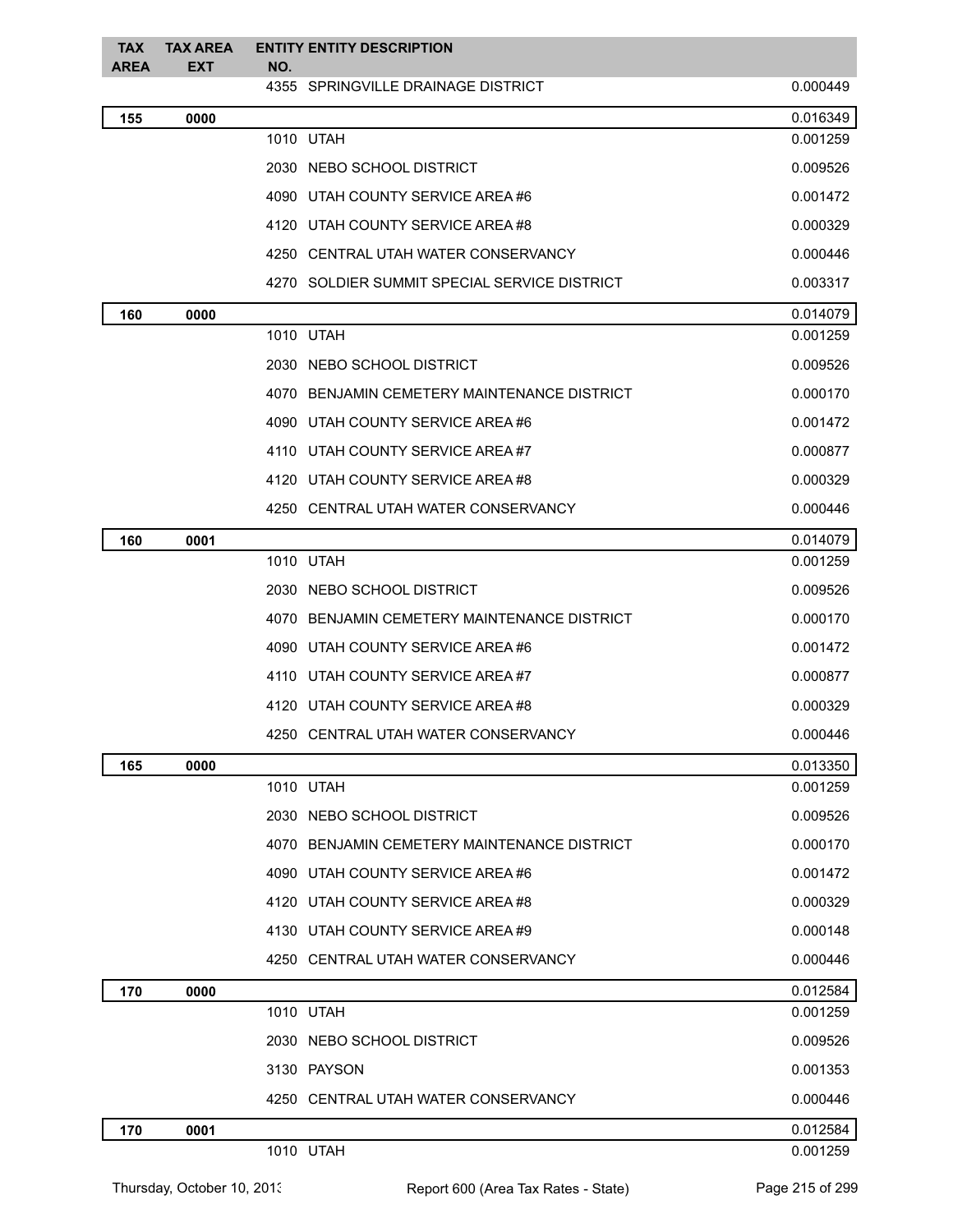| <b>TAX</b><br><b>AREA</b> | <b>TAX AREA</b><br>EXT | <b>ENTITY ENTITY DESCRIPTION</b><br>NO.      |          |
|---------------------------|------------------------|----------------------------------------------|----------|
|                           |                        | 4355 SPRINGVILLE DRAINAGE DISTRICT           | 0.000449 |
| 155                       | 0000                   |                                              | 0.016349 |
|                           |                        | 1010 UTAH                                    | 0.001259 |
|                           |                        | 2030 NEBO SCHOOL DISTRICT                    | 0.009526 |
|                           |                        | 4090 UTAH COUNTY SERVICE AREA#6              | 0.001472 |
|                           |                        | 4120 UTAH COUNTY SERVICE AREA #8             | 0.000329 |
|                           |                        | 4250 CENTRAL UTAH WATER CONSERVANCY          | 0.000446 |
|                           |                        | 4270 SOLDIER SUMMIT SPECIAL SERVICE DISTRICT | 0.003317 |
| 160                       | 0000                   |                                              | 0.014079 |
|                           |                        | 1010 UTAH                                    | 0.001259 |
|                           |                        | 2030 NEBO SCHOOL DISTRICT                    | 0.009526 |
|                           |                        | 4070 BENJAMIN CEMETERY MAINTENANCE DISTRICT  | 0.000170 |
|                           |                        | 4090 UTAH COUNTY SERVICE AREA #6             | 0.001472 |
|                           |                        | 4110 UTAH COUNTY SERVICE AREA#7              | 0.000877 |
|                           |                        | 4120 UTAH COUNTY SERVICE AREA #8             | 0.000329 |
|                           |                        | 4250 CENTRAL UTAH WATER CONSERVANCY          | 0.000446 |
| 160                       | 0001                   |                                              | 0.014079 |
|                           |                        | 1010 UTAH                                    | 0.001259 |
|                           |                        | 2030 NEBO SCHOOL DISTRICT                    | 0.009526 |
|                           |                        | 4070 BENJAMIN CEMETERY MAINTENANCE DISTRICT  | 0.000170 |
|                           |                        | 4090 UTAH COUNTY SERVICE AREA#6              | 0.001472 |
|                           |                        | 4110 UTAH COUNTY SERVICE AREA#7              | 0.000877 |
|                           |                        | 4120 UTAH COUNTY SERVICE AREA #8             | 0.000329 |
|                           |                        | 4250 CENTRAL UTAH WATER CONSERVANCY          | 0.000446 |
| 165                       | 0000                   |                                              | 0.013350 |
|                           |                        | 1010 UTAH                                    | 0.001259 |
|                           |                        | 2030 NEBO SCHOOL DISTRICT                    | 0.009526 |
|                           |                        | 4070 BENJAMIN CEMETERY MAINTENANCE DISTRICT  | 0.000170 |
|                           |                        | 4090 UTAH COUNTY SERVICE AREA#6              | 0.001472 |
|                           |                        | 4120 UTAH COUNTY SERVICE AREA#8              | 0.000329 |
|                           |                        | 4130 UTAH COUNTY SERVICE AREA#9              | 0.000148 |
|                           |                        | 4250 CENTRAL UTAH WATER CONSERVANCY          | 0.000446 |
| 170                       | 0000                   |                                              | 0.012584 |
|                           |                        | 1010 UTAH                                    | 0.001259 |
|                           |                        | 2030 NEBO SCHOOL DISTRICT                    | 0.009526 |
|                           |                        | 3130 PAYSON                                  | 0.001353 |
|                           |                        | 4250 CENTRAL UTAH WATER CONSERVANCY          | 0.000446 |
| 170                       | 0001                   |                                              | 0.012584 |
|                           |                        | 1010 UTAH                                    | 0.001259 |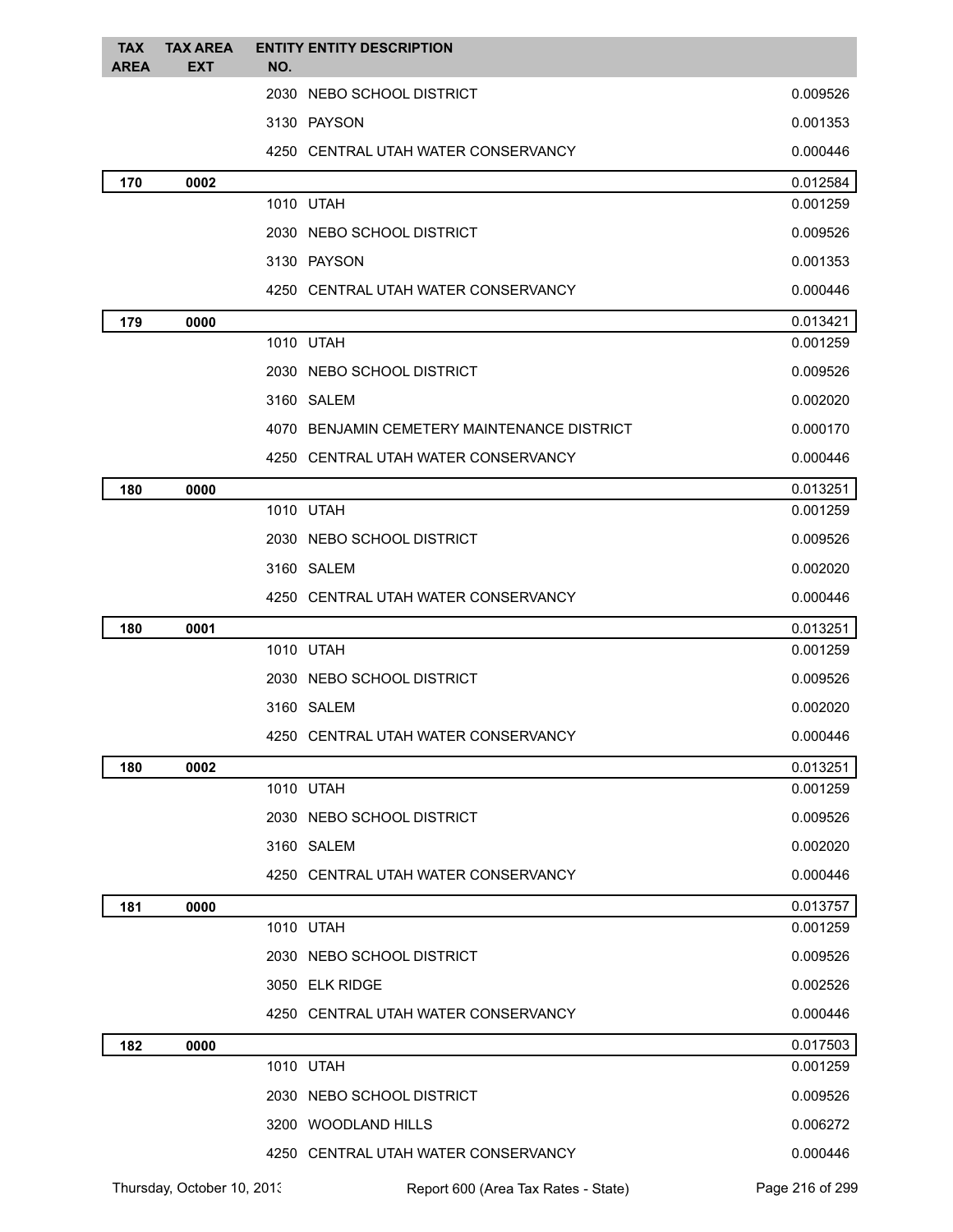| <b>TAX</b><br><b>AREA</b> | <b>TAX AREA</b><br>EXT | <b>ENTITY ENTITY DESCRIPTION</b><br>NO.     |          |
|---------------------------|------------------------|---------------------------------------------|----------|
|                           |                        | 2030 NEBO SCHOOL DISTRICT                   | 0.009526 |
|                           |                        | 3130 PAYSON                                 | 0.001353 |
|                           |                        | 4250 CENTRAL UTAH WATER CONSERVANCY         | 0.000446 |
| 170                       | 0002                   |                                             | 0.012584 |
|                           |                        | 1010 UTAH                                   | 0.001259 |
|                           |                        | 2030 NEBO SCHOOL DISTRICT                   | 0.009526 |
|                           |                        | 3130 PAYSON                                 | 0.001353 |
|                           |                        | 4250 CENTRAL UTAH WATER CONSERVANCY         | 0.000446 |
| 179                       | 0000                   |                                             | 0.013421 |
|                           |                        | 1010 UTAH                                   | 0.001259 |
|                           |                        | 2030 NEBO SCHOOL DISTRICT                   | 0.009526 |
|                           |                        | 3160 SALEM                                  | 0.002020 |
|                           |                        | 4070 BENJAMIN CEMETERY MAINTENANCE DISTRICT | 0.000170 |
|                           |                        | 4250 CENTRAL UTAH WATER CONSERVANCY         | 0.000446 |
| 180                       | 0000                   |                                             | 0.013251 |
|                           |                        | 1010 UTAH                                   | 0.001259 |
|                           |                        | 2030 NEBO SCHOOL DISTRICT                   | 0.009526 |
|                           |                        | 3160 SALEM                                  | 0.002020 |
|                           |                        | 4250 CENTRAL UTAH WATER CONSERVANCY         | 0.000446 |
| 180                       | 0001                   |                                             | 0.013251 |
|                           |                        | 1010 UTAH                                   | 0.001259 |
|                           |                        | 2030 NEBO SCHOOL DISTRICT                   | 0.009526 |
|                           |                        | 3160 SALEM                                  | 0.002020 |
|                           |                        | 4250 CENTRAL UTAH WATER CONSERVANCY         | 0.000446 |
| 180                       | 0002                   |                                             | 0.013251 |
|                           |                        | 1010 UTAH                                   | 0.001259 |
|                           |                        | 2030 NEBO SCHOOL DISTRICT                   | 0.009526 |
|                           |                        | 3160 SALEM                                  | 0.002020 |
|                           |                        | 4250 CENTRAL UTAH WATER CONSERVANCY         | 0.000446 |
| 181                       | 0000                   |                                             | 0.013757 |
|                           |                        | 1010 UTAH                                   | 0.001259 |
|                           |                        | 2030 NEBO SCHOOL DISTRICT                   | 0.009526 |
|                           |                        | 3050 ELK RIDGE                              | 0.002526 |
|                           |                        | 4250 CENTRAL UTAH WATER CONSERVANCY         | 0.000446 |
| 182                       | 0000                   |                                             | 0.017503 |
|                           |                        | 1010 UTAH                                   | 0.001259 |
|                           |                        | 2030 NEBO SCHOOL DISTRICT                   | 0.009526 |
|                           |                        | 3200 WOODLAND HILLS                         | 0.006272 |
|                           |                        | 4250 CENTRAL UTAH WATER CONSERVANCY         | 0.000446 |

Thursday, October 10, 2013 Report 600 (Area Tax Rates - State) Page 216 of 299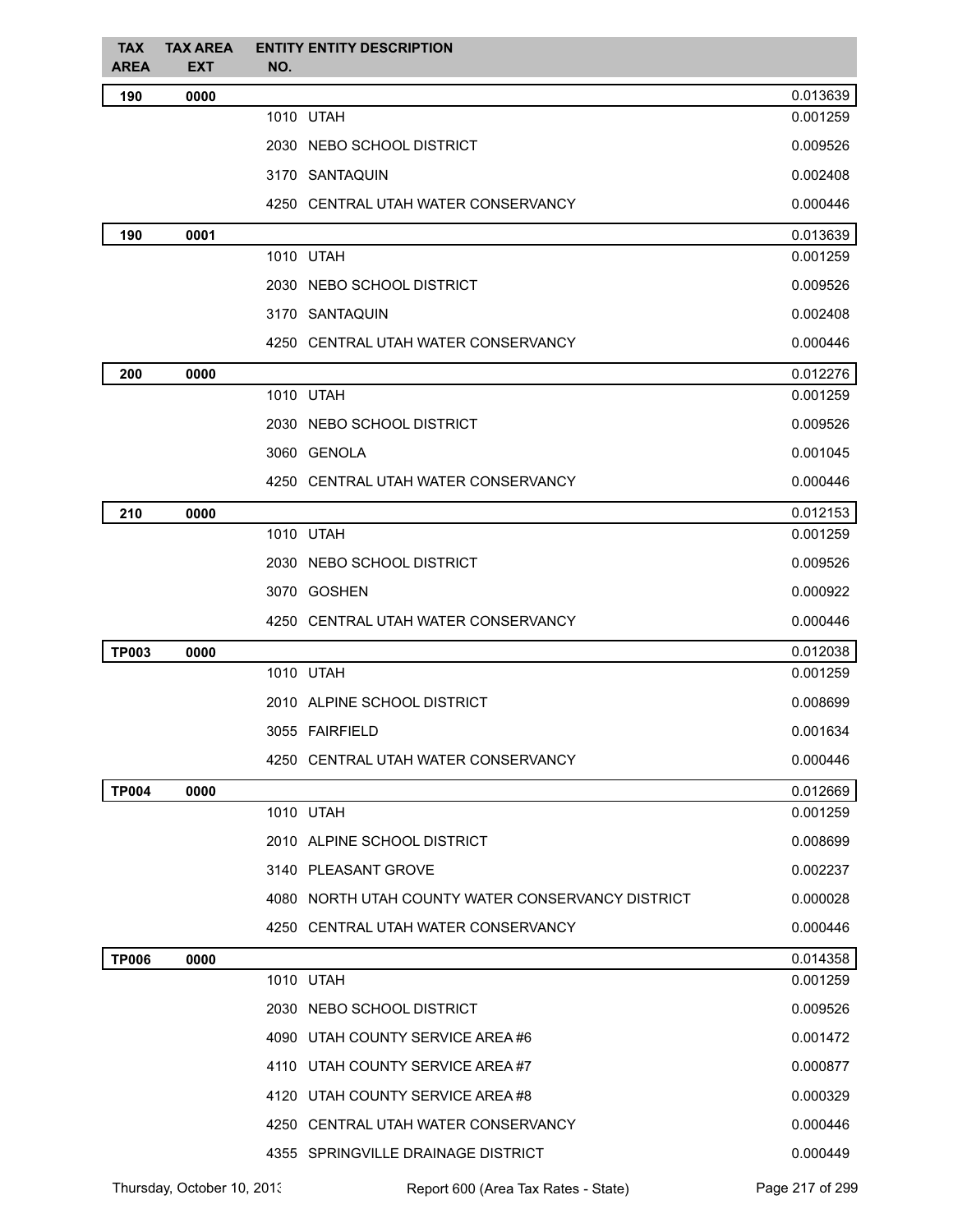| <b>TAX</b><br>AREA | <b>TAX AREA</b><br><b>EXT</b> | <b>ENTITY ENTITY DESCRIPTION</b><br>NO.           |          |
|--------------------|-------------------------------|---------------------------------------------------|----------|
| 190                | 0000                          |                                                   | 0.013639 |
|                    |                               | 1010 UTAH                                         | 0.001259 |
|                    |                               | 2030 NEBO SCHOOL DISTRICT                         | 0.009526 |
|                    |                               | 3170 SANTAQUIN                                    | 0.002408 |
|                    |                               | 4250 CENTRAL UTAH WATER CONSERVANCY               | 0.000446 |
| 190                | 0001                          |                                                   | 0.013639 |
|                    |                               | 1010 UTAH                                         | 0.001259 |
|                    |                               | 2030 NEBO SCHOOL DISTRICT                         | 0.009526 |
|                    |                               | 3170 SANTAQUIN                                    | 0.002408 |
|                    |                               | 4250 CENTRAL UTAH WATER CONSERVANCY               | 0.000446 |
| 200                | 0000                          |                                                   | 0.012276 |
|                    |                               | 1010 UTAH                                         | 0.001259 |
|                    |                               | 2030 NEBO SCHOOL DISTRICT                         | 0.009526 |
|                    |                               | 3060 GENOLA                                       | 0.001045 |
|                    |                               | 4250 CENTRAL UTAH WATER CONSERVANCY               | 0.000446 |
| 210                | 0000                          |                                                   | 0.012153 |
|                    |                               | 1010 UTAH                                         | 0.001259 |
|                    |                               | 2030 NEBO SCHOOL DISTRICT                         | 0.009526 |
|                    |                               | 3070 GOSHEN                                       | 0.000922 |
|                    |                               | 4250 CENTRAL UTAH WATER CONSERVANCY               | 0.000446 |
| <b>TP003</b>       | 0000                          |                                                   | 0.012038 |
|                    |                               | 1010 UTAH                                         | 0.001259 |
|                    |                               | 2010 ALPINE SCHOOL DISTRICT                       | 0.008699 |
|                    |                               | 3055 FAIRFIELD                                    | 0.001634 |
|                    |                               | 4250 CENTRAL UTAH WATER CONSERVANCY               | 0.000446 |
| <b>TP004</b>       | 0000                          |                                                   | 0.012669 |
|                    |                               | 1010 UTAH                                         | 0.001259 |
|                    |                               | 2010 ALPINE SCHOOL DISTRICT                       | 0.008699 |
|                    |                               | 3140 PLEASANT GROVE                               | 0.002237 |
|                    |                               | 4080 NORTH UTAH COUNTY WATER CONSERVANCY DISTRICT | 0.000028 |
|                    |                               | 4250 CENTRAL UTAH WATER CONSERVANCY               | 0.000446 |
| <b>TP006</b>       | 0000                          |                                                   | 0.014358 |
|                    |                               | 1010 UTAH                                         | 0.001259 |
|                    |                               | 2030 NEBO SCHOOL DISTRICT                         | 0.009526 |
|                    |                               | 4090 UTAH COUNTY SERVICE AREA #6                  | 0.001472 |
|                    |                               | 4110 UTAH COUNTY SERVICE AREA#7                   | 0.000877 |
|                    |                               | 4120 UTAH COUNTY SERVICE AREA#8                   | 0.000329 |
|                    |                               | 4250 CENTRAL UTAH WATER CONSERVANCY               | 0.000446 |
|                    |                               | 4355 SPRINGVILLE DRAINAGE DISTRICT                | 0.000449 |
|                    |                               |                                                   |          |

Thursday, October 10, 2013 Report 600 (Area Tax Rates - State) Page 217 of 299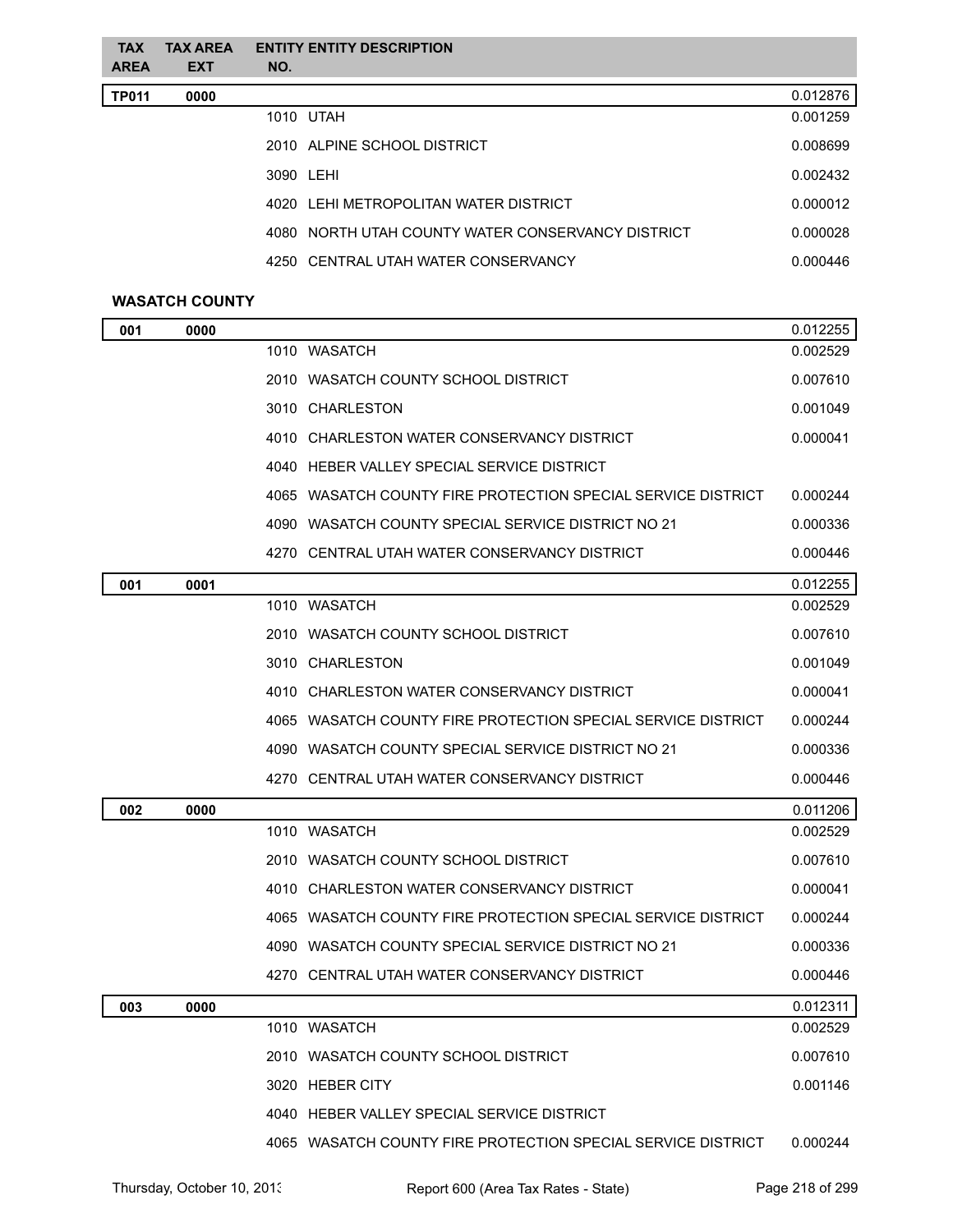| <b>TAX</b><br><b>AREA</b> | <b>TAX AREA</b><br><b>EXT</b> | <b>ENTITY ENTITY DESCRIPTION</b><br>NO.           |          |
|---------------------------|-------------------------------|---------------------------------------------------|----------|
| <b>TP011</b>              | 0000                          |                                                   | 0.012876 |
|                           |                               | 1010 UTAH                                         | 0.001259 |
|                           |                               | 2010 ALPINE SCHOOL DISTRICT                       | 0.008699 |
|                           |                               | 3090 LEHI                                         | 0.002432 |
|                           |                               | 4020 LEHLMETROPOLITAN WATER DISTRICT              | 0.000012 |
|                           |                               | 4080 NORTH UTAH COUNTY WATER CONSERVANCY DISTRICT | 0.000028 |
|                           |                               | 4250 CENTRAL UTAH WATER CONSERVANCY               | 0.000446 |

# **WASATCH COUNTY**

| 001 | 0000 |                                                              | 0.012255 |
|-----|------|--------------------------------------------------------------|----------|
|     |      | 1010 WASATCH                                                 | 0.002529 |
|     |      | 2010 WASATCH COUNTY SCHOOL DISTRICT                          | 0.007610 |
|     |      | 3010 CHARLESTON                                              | 0.001049 |
|     |      | 4010 CHARLESTON WATER CONSERVANCY DISTRICT                   | 0.000041 |
|     |      | 4040 HEBER VALLEY SPECIAL SERVICE DISTRICT                   |          |
|     |      | 4065 WASATCH COUNTY FIRE PROTECTION SPECIAL SERVICE DISTRICT | 0.000244 |
|     |      | 4090 WASATCH COUNTY SPECIAL SERVICE DISTRICT NO 21           | 0.000336 |
|     |      | 4270 CENTRAL UTAH WATER CONSERVANCY DISTRICT                 | 0.000446 |
| 001 | 0001 |                                                              | 0.012255 |
|     |      | 1010 WASATCH                                                 | 0.002529 |
|     |      | 2010 WASATCH COUNTY SCHOOL DISTRICT                          | 0.007610 |
|     |      | 3010 CHARLESTON                                              | 0.001049 |
|     |      | 4010 CHARLESTON WATER CONSERVANCY DISTRICT                   | 0.000041 |
|     |      | 4065 WASATCH COUNTY FIRE PROTECTION SPECIAL SERVICE DISTRICT | 0.000244 |
|     |      | WASATCH COUNTY SPECIAL SERVICE DISTRICT NO 21<br>4090        | 0.000336 |
|     |      | 4270 CENTRAL UTAH WATER CONSERVANCY DISTRICT                 | 0.000446 |
| 002 | 0000 |                                                              | 0.011206 |
|     |      | 1010 WASATCH                                                 | 0.002529 |
|     |      | 2010 WASATCH COUNTY SCHOOL DISTRICT                          | 0.007610 |
|     |      | 4010 CHARLESTON WATER CONSERVANCY DISTRICT                   | 0.000041 |
|     |      | 4065 WASATCH COUNTY FIRE PROTECTION SPECIAL SERVICE DISTRICT | 0.000244 |
|     |      | 4090 WASATCH COUNTY SPECIAL SERVICE DISTRICT NO 21           | 0.000336 |
|     |      | CENTRAL UTAH WATER CONSERVANCY DISTRICT<br>4270              | 0.000446 |
| 003 | 0000 |                                                              | 0.012311 |
|     |      | 1010 WASATCH                                                 | 0.002529 |
|     |      | 2010 WASATCH COUNTY SCHOOL DISTRICT                          | 0.007610 |
|     |      | 3020 HEBER CITY                                              | 0.001146 |
|     |      | 4040 HEBER VALLEY SPECIAL SERVICE DISTRICT                   |          |
|     |      | 4065 WASATCH COUNTY FIRE PROTECTION SPECIAL SERVICE DISTRICT | 0.000244 |
|     |      |                                                              |          |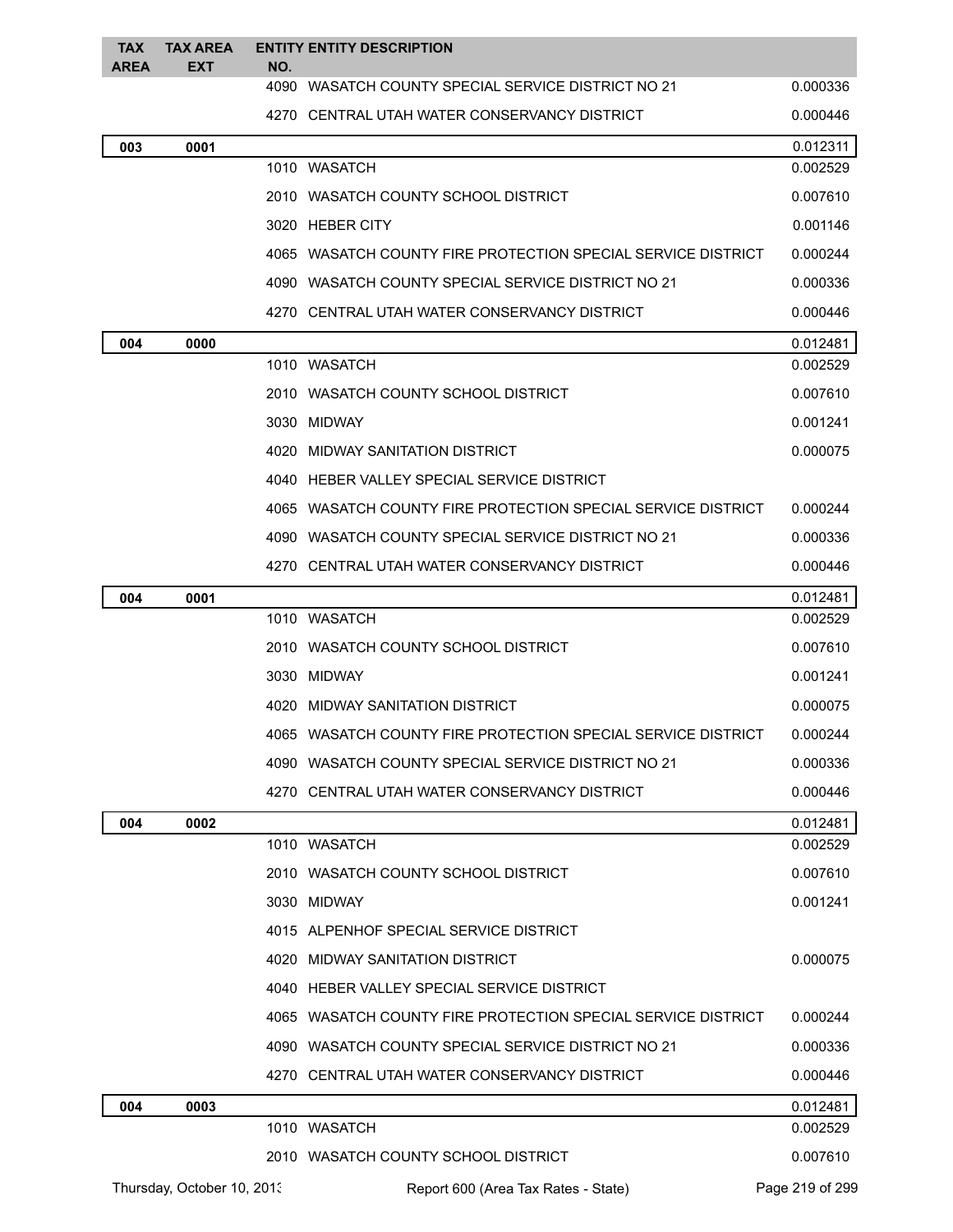| <b>TAX</b><br><b>AREA</b> | <b>TAX AREA</b><br><b>EXT</b> | NO. | <b>ENTITY ENTITY DESCRIPTION</b>                               |                 |
|---------------------------|-------------------------------|-----|----------------------------------------------------------------|-----------------|
|                           |                               |     | 4090 WASATCH COUNTY SPECIAL SERVICE DISTRICT NO 21             | 0.000336        |
|                           |                               |     | 4270 CENTRAL UTAH WATER CONSERVANCY DISTRICT                   | 0.000446        |
| 003                       | 0001                          |     |                                                                | 0.012311        |
|                           |                               |     | 1010 WASATCH                                                   | 0.002529        |
|                           |                               |     | 2010   WASATCH COUNTY SCHOOL DISTRICT                          | 0.007610        |
|                           |                               |     | 3020 HEBER CITY                                                | 0.001146        |
|                           |                               |     | 4065 WASATCH COUNTY FIRE PROTECTION SPECIAL SERVICE DISTRICT   | 0.000244        |
|                           |                               |     | 4090   WASATCH COUNTY SPECIAL SERVICE DISTRICT NO 21           | 0.000336        |
|                           |                               |     | 4270   CENTRAL UTAH WATER CONSERVANCY DISTRICT                 | 0.000446        |
| 004                       | 0000                          |     |                                                                | 0.012481        |
|                           |                               |     | 1010 WASATCH                                                   | 0.002529        |
|                           |                               |     | 2010   WASATCH COUNTY SCHOOL DISTRICT                          | 0.007610        |
|                           |                               |     | 3030 MIDWAY                                                    | 0.001241        |
|                           |                               |     | 4020 MIDWAY SANITATION DISTRICT                                | 0.000075        |
|                           |                               |     | 4040 HEBER VALLEY SPECIAL SERVICE DISTRICT                     |                 |
|                           |                               |     | 4065   WASATCH COUNTY FIRE PROTECTION SPECIAL SERVICE DISTRICT | 0.000244        |
|                           |                               |     | 4090   WASATCH COUNTY SPECIAL SERVICE DISTRICT NO 21           | 0.000336        |
|                           |                               |     | 4270   CENTRAL UTAH WATER CONSERVANCY DISTRICT                 | 0.000446        |
| 004                       | 0001                          |     |                                                                | 0.012481        |
|                           |                               |     | 1010 WASATCH                                                   | 0.002529        |
|                           |                               |     | 2010   WASATCH COUNTY SCHOOL DISTRICT                          | 0.007610        |
|                           |                               |     | 3030 MIDWAY                                                    | 0.001241        |
|                           |                               |     | 4020 MIDWAY SANITATION DISTRICT                                | 0.000075        |
|                           |                               |     | 4065 WASATCH COUNTY FIRE PROTECTION SPECIAL SERVICE DISTRICT   | 0.000244        |
|                           |                               |     | 4090 WASATCH COUNTY SPECIAL SERVICE DISTRICT NO 21             | 0.000336        |
|                           |                               |     | 4270 CENTRAL UTAH WATER CONSERVANCY DISTRICT                   | 0.000446        |
| 004                       | 0002                          |     |                                                                | 0.012481        |
|                           |                               |     | 1010 WASATCH                                                   | 0.002529        |
|                           |                               |     | 2010 WASATCH COUNTY SCHOOL DISTRICT                            | 0.007610        |
|                           |                               |     | 3030 MIDWAY                                                    | 0.001241        |
|                           |                               |     | 4015 ALPENHOF SPECIAL SERVICE DISTRICT                         |                 |
|                           |                               |     | 4020 MIDWAY SANITATION DISTRICT                                | 0.000075        |
|                           |                               |     | 4040 HEBER VALLEY SPECIAL SERVICE DISTRICT                     |                 |
|                           |                               |     | 4065 WASATCH COUNTY FIRE PROTECTION SPECIAL SERVICE DISTRICT   | 0.000244        |
|                           |                               |     | 4090 WASATCH COUNTY SPECIAL SERVICE DISTRICT NO 21             | 0.000336        |
|                           |                               |     | 4270 CENTRAL UTAH WATER CONSERVANCY DISTRICT                   | 0.000446        |
| 004                       | 0003                          |     |                                                                | 0.012481        |
|                           |                               |     | 1010 WASATCH                                                   | 0.002529        |
|                           |                               |     | 2010 WASATCH COUNTY SCHOOL DISTRICT                            | 0.007610        |
|                           | Thursday, October 10, 2013    |     | Report 600 (Area Tax Rates - State)                            | Page 219 of 299 |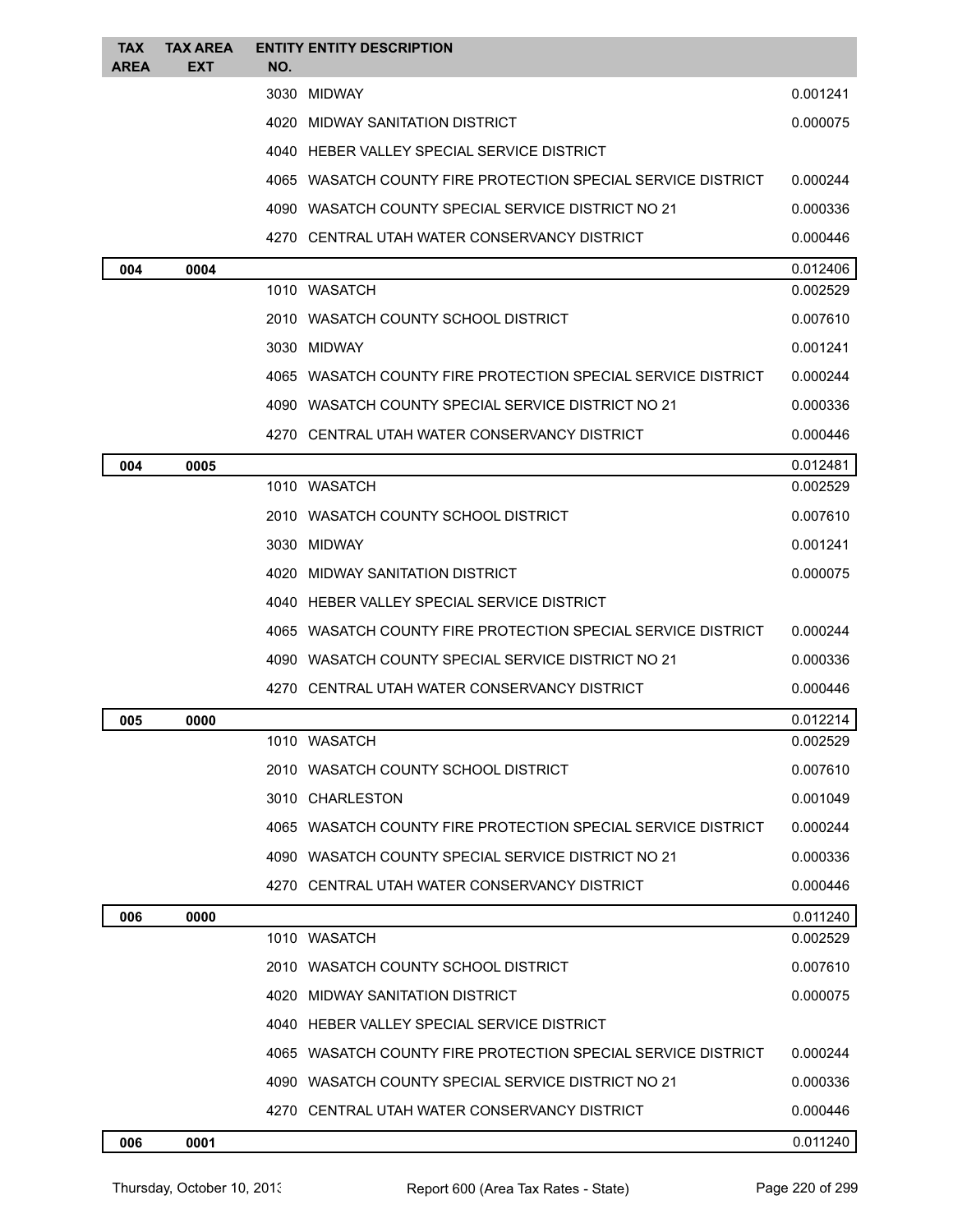| <b>TAX</b><br>AREA | <b>TAX AREA</b><br>EXT | NO. | <b>ENTITY ENTITY DESCRIPTION</b>                             |          |
|--------------------|------------------------|-----|--------------------------------------------------------------|----------|
|                    |                        |     | 3030 MIDWAY                                                  | 0.001241 |
|                    |                        |     | 4020 MIDWAY SANITATION DISTRICT                              | 0.000075 |
|                    |                        |     | 4040 HEBER VALLEY SPECIAL SERVICE DISTRICT                   |          |
|                    |                        |     | 4065 WASATCH COUNTY FIRE PROTECTION SPECIAL SERVICE DISTRICT | 0.000244 |
|                    |                        |     | 4090 WASATCH COUNTY SPECIAL SERVICE DISTRICT NO 21           | 0.000336 |
|                    |                        |     | 4270 CENTRAL UTAH WATER CONSERVANCY DISTRICT                 | 0.000446 |
| 004                | 0004                   |     |                                                              | 0.012406 |
|                    |                        |     | 1010 WASATCH                                                 | 0.002529 |
|                    |                        |     | 2010 WASATCH COUNTY SCHOOL DISTRICT                          | 0.007610 |
|                    |                        |     | 3030 MIDWAY                                                  | 0.001241 |
|                    |                        |     | 4065 WASATCH COUNTY FIRE PROTECTION SPECIAL SERVICE DISTRICT | 0.000244 |
|                    |                        |     | 4090 WASATCH COUNTY SPECIAL SERVICE DISTRICT NO 21           | 0.000336 |
|                    |                        |     | 4270 CENTRAL UTAH WATER CONSERVANCY DISTRICT                 | 0.000446 |
| 004                | 0005                   |     |                                                              | 0.012481 |
|                    |                        |     | 1010 WASATCH                                                 | 0.002529 |
|                    |                        |     | 2010 WASATCH COUNTY SCHOOL DISTRICT                          | 0.007610 |
|                    |                        |     | 3030 MIDWAY                                                  | 0.001241 |
|                    |                        |     | 4020 MIDWAY SANITATION DISTRICT                              | 0.000075 |
|                    |                        |     | 4040 HEBER VALLEY SPECIAL SERVICE DISTRICT                   |          |
|                    |                        |     | 4065 WASATCH COUNTY FIRE PROTECTION SPECIAL SERVICE DISTRICT | 0.000244 |
|                    |                        |     | 4090 WASATCH COUNTY SPECIAL SERVICE DISTRICT NO 21           | 0.000336 |
|                    |                        |     | 4270 CENTRAL UTAH WATER CONSERVANCY DISTRICT                 | 0.000446 |
| 005                | 0000                   |     |                                                              | 0.012214 |
|                    |                        |     | 1010 WASATCH                                                 | 0.002529 |
|                    |                        |     | 2010 WASATCH COUNTY SCHOOL DISTRICT                          | 0.007610 |
|                    |                        |     | 3010 CHARLESTON                                              | 0.001049 |
|                    |                        |     | 4065 WASATCH COUNTY FIRE PROTECTION SPECIAL SERVICE DISTRICT | 0.000244 |
|                    |                        |     | 4090 WASATCH COUNTY SPECIAL SERVICE DISTRICT NO 21           | 0.000336 |
|                    |                        |     | 4270 CENTRAL UTAH WATER CONSERVANCY DISTRICT                 | 0.000446 |
| 006                | 0000                   |     |                                                              | 0.011240 |
|                    |                        |     | 1010 WASATCH                                                 | 0.002529 |
|                    |                        |     | 2010 WASATCH COUNTY SCHOOL DISTRICT                          | 0.007610 |
|                    |                        |     | 4020 MIDWAY SANITATION DISTRICT                              | 0.000075 |
|                    |                        |     | 4040 HEBER VALLEY SPECIAL SERVICE DISTRICT                   |          |
|                    |                        |     | 4065 WASATCH COUNTY FIRE PROTECTION SPECIAL SERVICE DISTRICT | 0.000244 |
|                    |                        |     | 4090 WASATCH COUNTY SPECIAL SERVICE DISTRICT NO 21           | 0.000336 |
|                    |                        |     | 4270 CENTRAL UTAH WATER CONSERVANCY DISTRICT                 | 0.000446 |
| 006                | 0001                   |     |                                                              | 0.011240 |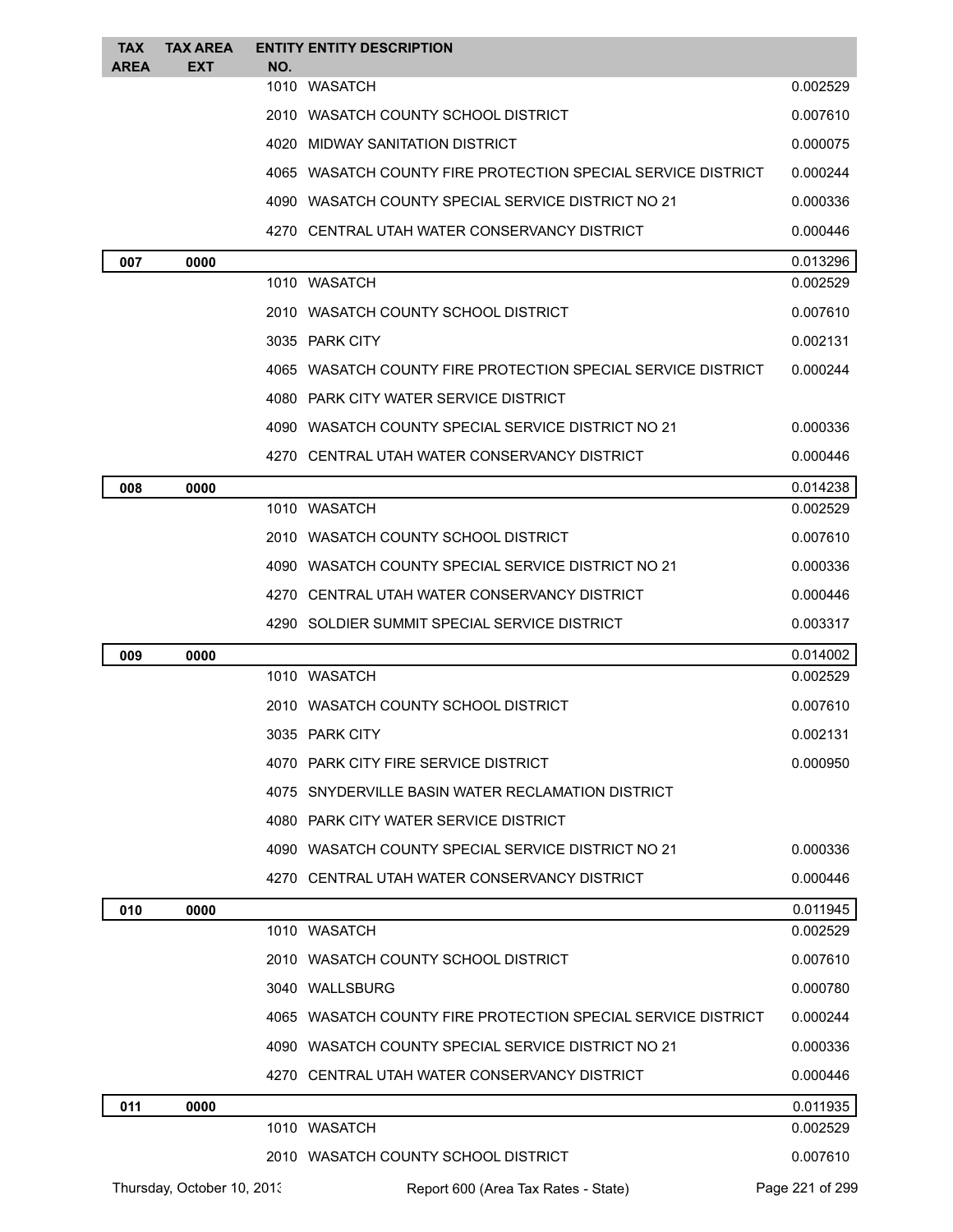| <b>TAX</b><br><b>AREA</b> | <b>TAX AREA</b><br><b>EXT</b> | NO. | <b>ENTITY ENTITY DESCRIPTION</b>                             |                 |
|---------------------------|-------------------------------|-----|--------------------------------------------------------------|-----------------|
|                           |                               |     | 1010 WASATCH                                                 | 0.002529        |
|                           |                               |     | 2010 WASATCH COUNTY SCHOOL DISTRICT                          | 0.007610        |
|                           |                               |     | 4020 MIDWAY SANITATION DISTRICT                              | 0.000075        |
|                           |                               |     | 4065 WASATCH COUNTY FIRE PROTECTION SPECIAL SERVICE DISTRICT | 0.000244        |
|                           |                               |     | 4090 WASATCH COUNTY SPECIAL SERVICE DISTRICT NO 21           | 0.000336        |
|                           |                               |     | 4270 CENTRAL UTAH WATER CONSERVANCY DISTRICT                 | 0.000446        |
| 007                       | 0000                          |     |                                                              | 0.013296        |
|                           |                               |     | 1010 WASATCH                                                 | 0.002529        |
|                           |                               |     | 2010 WASATCH COUNTY SCHOOL DISTRICT                          | 0.007610        |
|                           |                               |     | 3035 PARK CITY                                               | 0.002131        |
|                           |                               |     | 4065 WASATCH COUNTY FIRE PROTECTION SPECIAL SERVICE DISTRICT | 0.000244        |
|                           |                               |     | 4080 PARK CITY WATER SERVICE DISTRICT                        |                 |
|                           |                               |     | 4090 WASATCH COUNTY SPECIAL SERVICE DISTRICT NO 21           | 0.000336        |
|                           |                               |     | 4270 CENTRAL UTAH WATER CONSERVANCY DISTRICT                 | 0.000446        |
| 008                       | 0000                          |     |                                                              | 0.014238        |
|                           |                               |     | 1010 WASATCH                                                 | 0.002529        |
|                           |                               |     | 2010 WASATCH COUNTY SCHOOL DISTRICT                          | 0.007610        |
|                           |                               |     | 4090 WASATCH COUNTY SPECIAL SERVICE DISTRICT NO 21           | 0.000336        |
|                           |                               |     | 4270 CENTRAL UTAH WATER CONSERVANCY DISTRICT                 | 0.000446        |
|                           |                               |     | 4290 SOLDIER SUMMIT SPECIAL SERVICE DISTRICT                 | 0.003317        |
| 009                       | 0000                          |     |                                                              | 0.014002        |
|                           |                               |     | 1010 WASATCH                                                 | 0.002529        |
|                           |                               |     | 2010 WASATCH COUNTY SCHOOL DISTRICT                          | 0.007610        |
|                           |                               |     | 3035 PARK CITY                                               | 0.002131        |
|                           |                               |     | 4070 PARK CITY FIRE SERVICE DISTRICT                         | 0.000950        |
|                           |                               |     | 4075 SNYDERVILLE BASIN WATER RECLAMATION DISTRICT            |                 |
|                           |                               |     | 4080 PARK CITY WATER SERVICE DISTRICT                        |                 |
|                           |                               |     | 4090 WASATCH COUNTY SPECIAL SERVICE DISTRICT NO 21           | 0.000336        |
|                           |                               |     | 4270 CENTRAL UTAH WATER CONSERVANCY DISTRICT                 | 0.000446        |
| 010                       | 0000                          |     |                                                              | 0.011945        |
|                           |                               |     | 1010 WASATCH                                                 | 0.002529        |
|                           |                               |     | 2010 WASATCH COUNTY SCHOOL DISTRICT                          | 0.007610        |
|                           |                               |     | 3040 WALLSBURG                                               | 0.000780        |
|                           |                               |     | 4065 WASATCH COUNTY FIRE PROTECTION SPECIAL SERVICE DISTRICT | 0.000244        |
|                           |                               |     | 4090 WASATCH COUNTY SPECIAL SERVICE DISTRICT NO 21           | 0.000336        |
|                           |                               |     | 4270 CENTRAL UTAH WATER CONSERVANCY DISTRICT                 | 0.000446        |
| 011                       | 0000                          |     |                                                              | 0.011935        |
|                           |                               |     | 1010 WASATCH                                                 | 0.002529        |
|                           |                               |     | 2010 WASATCH COUNTY SCHOOL DISTRICT                          | 0.007610        |
|                           | Thursday, October 10, 2013    |     | Report 600 (Area Tax Rates - State)                          | Page 221 of 299 |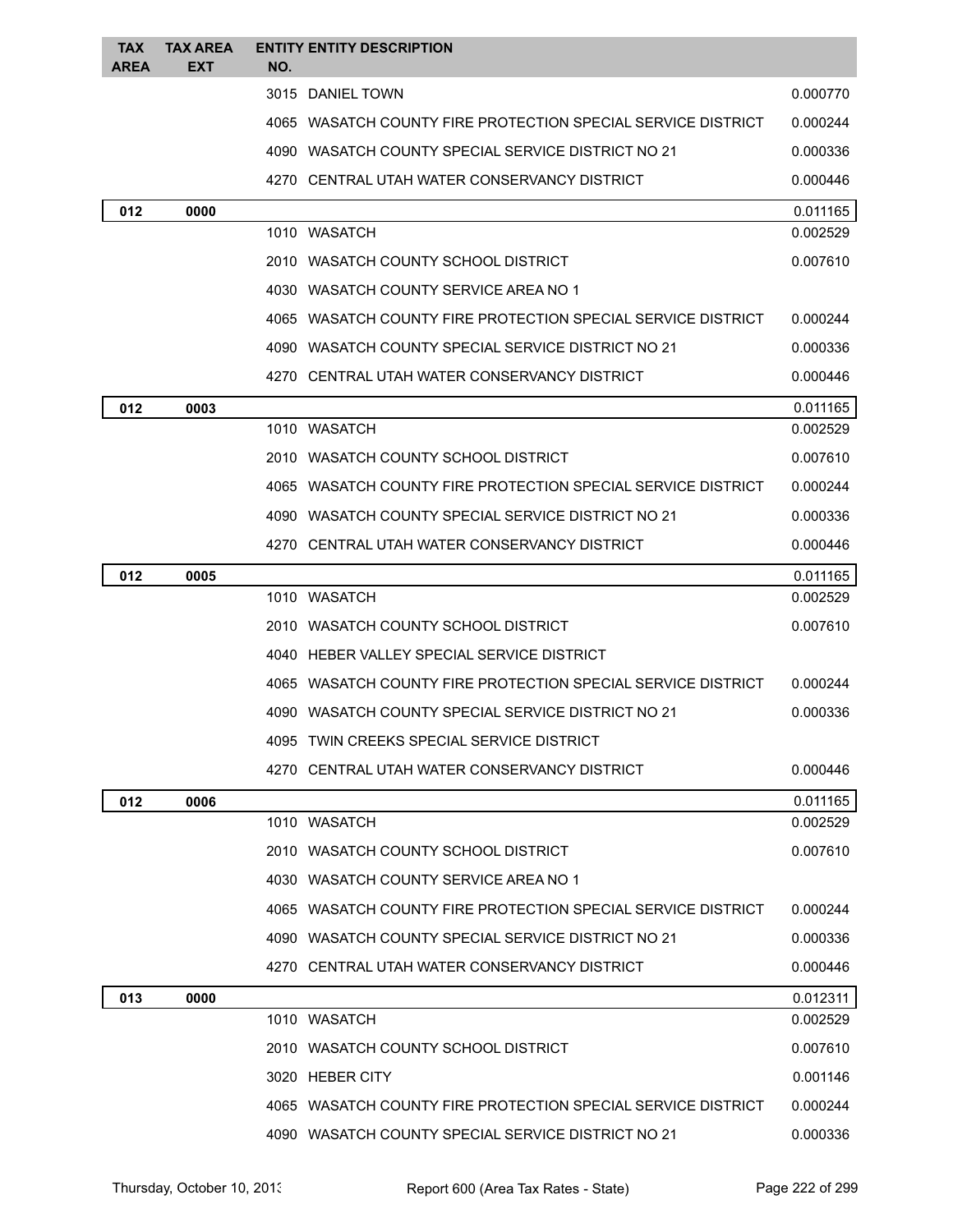| <b>TAX</b><br><b>AREA</b> | <b>TAX AREA</b><br><b>EXT</b> | NO.  | <b>ENTITY ENTITY DESCRIPTION</b>                             |                      |
|---------------------------|-------------------------------|------|--------------------------------------------------------------|----------------------|
|                           |                               |      | 3015 DANIEL TOWN                                             | 0.000770             |
|                           |                               |      | 4065 WASATCH COUNTY FIRE PROTECTION SPECIAL SERVICE DISTRICT | 0.000244             |
|                           |                               |      | 4090 WASATCH COUNTY SPECIAL SERVICE DISTRICT NO 21           | 0.000336             |
|                           |                               |      | 4270 CENTRAL UTAH WATER CONSERVANCY DISTRICT                 | 0.000446             |
| 012                       | 0000                          |      |                                                              | 0.011165             |
|                           |                               |      | 1010 WASATCH                                                 | 0.002529             |
|                           |                               |      | 2010 WASATCH COUNTY SCHOOL DISTRICT                          | 0.007610             |
|                           |                               |      | 4030 WASATCH COUNTY SERVICE AREA NO 1                        |                      |
|                           |                               |      | 4065 WASATCH COUNTY FIRE PROTECTION SPECIAL SERVICE DISTRICT | 0.000244             |
|                           |                               |      | 4090 WASATCH COUNTY SPECIAL SERVICE DISTRICT NO 21           | 0.000336             |
|                           |                               |      | 4270 CENTRAL UTAH WATER CONSERVANCY DISTRICT                 | 0.000446             |
| 012                       | 0003                          |      |                                                              | 0.011165             |
|                           |                               |      | 1010 WASATCH                                                 | 0.002529             |
|                           |                               |      | 2010   WASATCH COUNTY SCHOOL DISTRICT                        | 0.007610             |
|                           |                               |      | 4065 WASATCH COUNTY FIRE PROTECTION SPECIAL SERVICE DISTRICT | 0.000244             |
|                           |                               |      | 4090 WASATCH COUNTY SPECIAL SERVICE DISTRICT NO 21           | 0.000336             |
|                           |                               |      | 4270 CENTRAL UTAH WATER CONSERVANCY DISTRICT                 | 0.000446             |
| 012                       | 0005                          |      |                                                              | 0.011165             |
|                           |                               |      | 1010 WASATCH                                                 | 0.002529             |
|                           |                               |      | 2010 WASATCH COUNTY SCHOOL DISTRICT                          | 0.007610             |
|                           |                               |      | 4040 HEBER VALLEY SPECIAL SERVICE DISTRICT                   |                      |
|                           |                               |      | 4065 WASATCH COUNTY FIRE PROTECTION SPECIAL SERVICE DISTRICT | 0.000244             |
|                           |                               |      | 4090 WASATCH COUNTY SPECIAL SERVICE DISTRICT NO 21           | 0.000336             |
|                           |                               | 4095 | TWIN CREEKS SPECIAL SERVICE DISTRICT                         |                      |
|                           |                               |      | 4270 CENTRAL UTAH WATER CONSERVANCY DISTRICT                 | 0.000446             |
| 012                       | 0006                          |      |                                                              | 0.011165             |
|                           |                               |      | 1010 WASATCH                                                 | 0.002529             |
|                           |                               |      | 2010 WASATCH COUNTY SCHOOL DISTRICT                          | 0.007610             |
|                           |                               |      | 4030 WASATCH COUNTY SERVICE AREA NO 1                        |                      |
|                           |                               |      | 4065 WASATCH COUNTY FIRE PROTECTION SPECIAL SERVICE DISTRICT | 0.000244             |
|                           |                               |      | 4090 WASATCH COUNTY SPECIAL SERVICE DISTRICT NO 21           | 0.000336             |
|                           |                               |      | 4270 CENTRAL UTAH WATER CONSERVANCY DISTRICT                 | 0.000446             |
| 013                       | 0000                          |      | 1010 WASATCH                                                 | 0.012311<br>0.002529 |
|                           |                               |      | 2010 WASATCH COUNTY SCHOOL DISTRICT                          | 0.007610             |
|                           |                               |      | 3020 HEBER CITY                                              | 0.001146             |
|                           |                               |      |                                                              |                      |
|                           |                               |      | 4065 WASATCH COUNTY FIRE PROTECTION SPECIAL SERVICE DISTRICT | 0.000244             |
|                           |                               |      | 4090 WASATCH COUNTY SPECIAL SERVICE DISTRICT NO 21           | 0.000336             |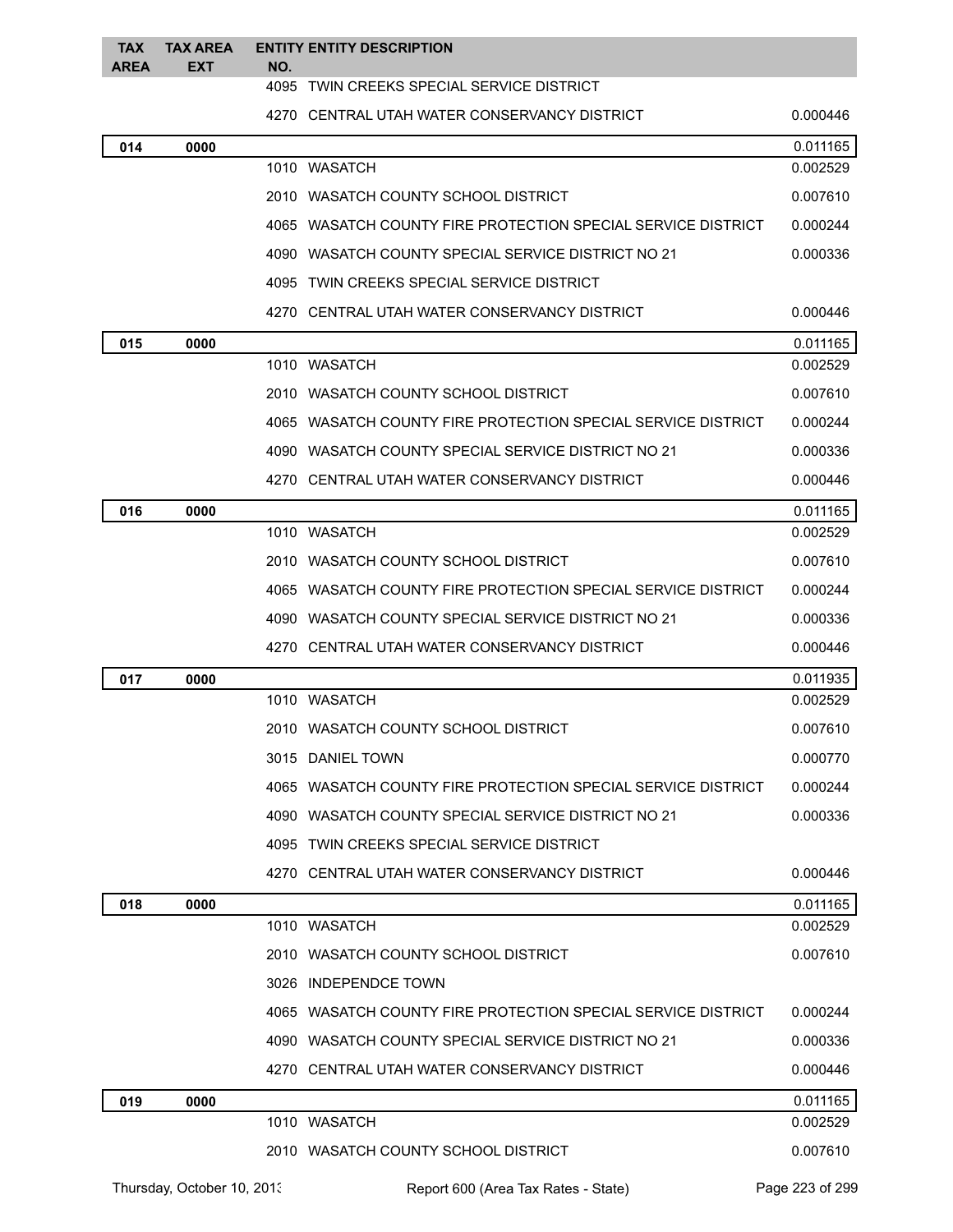| <b>TAX</b><br><b>AREA</b> | <b>TAX AREA</b><br><b>EXT</b> | NO.  | <b>ENTITY ENTITY DESCRIPTION</b>                             |          |
|---------------------------|-------------------------------|------|--------------------------------------------------------------|----------|
|                           |                               | 4095 | TWIN CREEKS SPECIAL SERVICE DISTRICT                         |          |
|                           |                               |      | 4270 CENTRAL UTAH WATER CONSERVANCY DISTRICT                 | 0.000446 |
| 014                       | 0000                          |      |                                                              | 0.011165 |
|                           |                               |      | 1010 WASATCH                                                 | 0.002529 |
|                           |                               |      | 2010 WASATCH COUNTY SCHOOL DISTRICT                          | 0.007610 |
|                           |                               |      | 4065 WASATCH COUNTY FIRE PROTECTION SPECIAL SERVICE DISTRICT | 0.000244 |
|                           |                               |      | 4090 WASATCH COUNTY SPECIAL SERVICE DISTRICT NO 21           | 0.000336 |
|                           |                               |      | 4095 TWIN CREEKS SPECIAL SERVICE DISTRICT                    |          |
|                           |                               |      | 4270 CENTRAL UTAH WATER CONSERVANCY DISTRICT                 | 0.000446 |
| 015                       | 0000                          |      |                                                              | 0.011165 |
|                           |                               |      | 1010 WASATCH                                                 | 0.002529 |
|                           |                               |      | 2010 WASATCH COUNTY SCHOOL DISTRICT                          | 0.007610 |
|                           |                               |      | 4065 WASATCH COUNTY FIRE PROTECTION SPECIAL SERVICE DISTRICT | 0.000244 |
|                           |                               |      | 4090 WASATCH COUNTY SPECIAL SERVICE DISTRICT NO 21           | 0.000336 |
|                           |                               |      | 4270 CENTRAL UTAH WATER CONSERVANCY DISTRICT                 | 0.000446 |
| 016                       | 0000                          |      |                                                              | 0.011165 |
|                           |                               |      | 1010 WASATCH                                                 | 0.002529 |
|                           |                               |      | 2010 WASATCH COUNTY SCHOOL DISTRICT                          | 0.007610 |
|                           |                               |      | 4065 WASATCH COUNTY FIRE PROTECTION SPECIAL SERVICE DISTRICT | 0.000244 |
|                           |                               |      | 4090 WASATCH COUNTY SPECIAL SERVICE DISTRICT NO 21           | 0.000336 |
|                           |                               |      | 4270 CENTRAL UTAH WATER CONSERVANCY DISTRICT                 | 0.000446 |
| 017                       | 0000                          |      |                                                              | 0.011935 |
|                           |                               |      | 1010 WASATCH                                                 | 0.002529 |
|                           |                               |      | 2010 WASATCH COUNTY SCHOOL DISTRICT                          | 0.007610 |
|                           |                               |      | 3015 DANIEL TOWN                                             | 0.000770 |
|                           |                               |      | 4065 WASATCH COUNTY FIRE PROTECTION SPECIAL SERVICE DISTRICT | 0.000244 |
|                           |                               |      | 4090 WASATCH COUNTY SPECIAL SERVICE DISTRICT NO 21           | 0.000336 |
|                           |                               |      | 4095 TWIN CREEKS SPECIAL SERVICE DISTRICT                    |          |
|                           |                               |      | 4270 CENTRAL UTAH WATER CONSERVANCY DISTRICT                 | 0.000446 |
| 018                       | 0000                          |      |                                                              | 0.011165 |
|                           |                               |      | 1010 WASATCH                                                 | 0.002529 |
|                           |                               |      | 2010 WASATCH COUNTY SCHOOL DISTRICT                          | 0.007610 |
|                           |                               |      | 3026 INDEPENDCE TOWN                                         |          |
|                           |                               |      | 4065 WASATCH COUNTY FIRE PROTECTION SPECIAL SERVICE DISTRICT | 0.000244 |
|                           |                               |      | 4090 WASATCH COUNTY SPECIAL SERVICE DISTRICT NO 21           | 0.000336 |
|                           |                               |      | 4270 CENTRAL UTAH WATER CONSERVANCY DISTRICT                 | 0.000446 |
| 019                       | 0000                          |      |                                                              | 0.011165 |
|                           |                               |      | 1010 WASATCH                                                 | 0.002529 |
|                           |                               |      | 2010 WASATCH COUNTY SCHOOL DISTRICT                          | 0.007610 |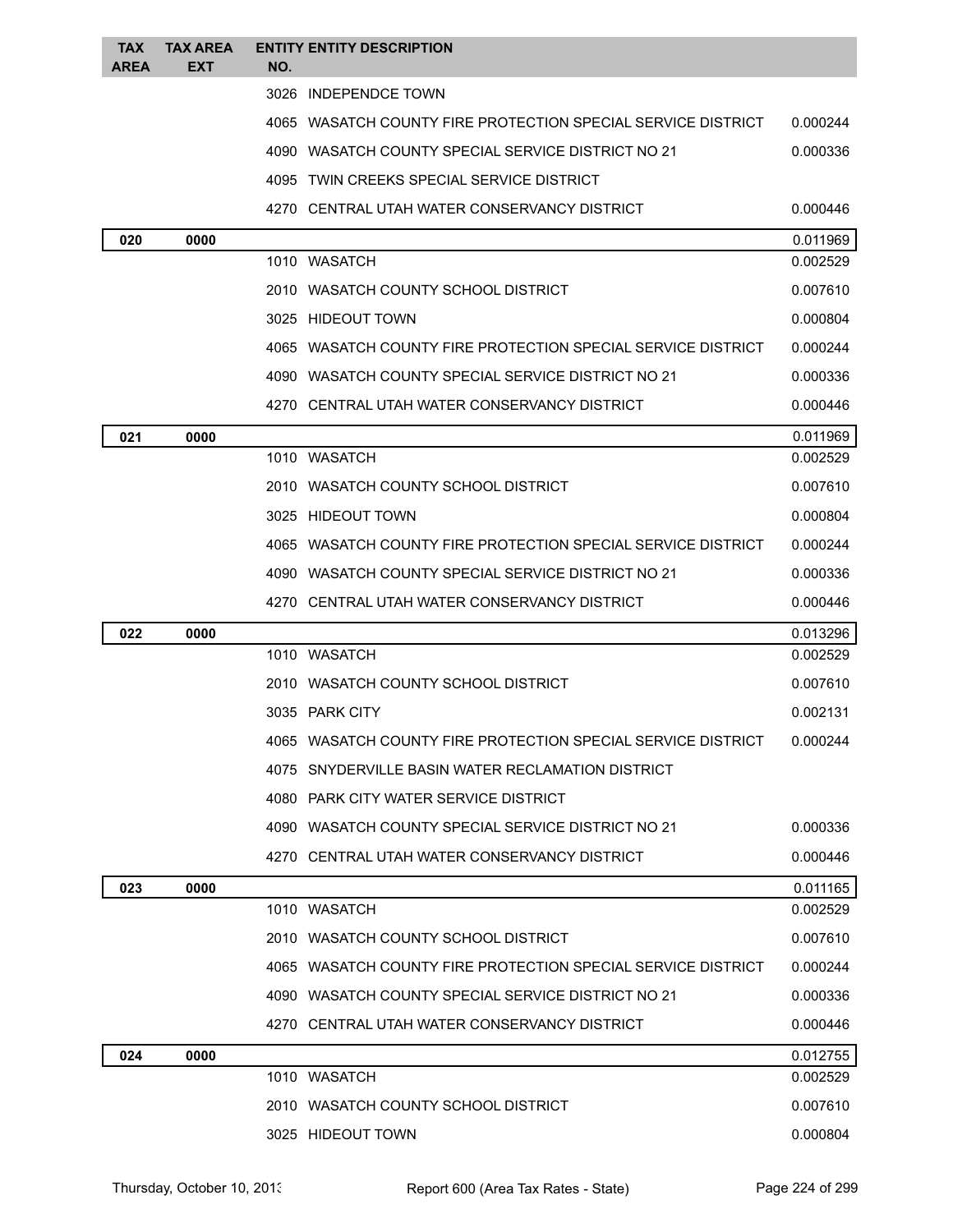| <b>TAX</b><br><b>AREA</b> | <b>TAX AREA</b><br>EXT | <b>ENTITY ENTITY DESCRIPTION</b><br>NO.                      |          |
|---------------------------|------------------------|--------------------------------------------------------------|----------|
|                           |                        | 3026 INDEPENDCE TOWN                                         |          |
|                           |                        | 4065 WASATCH COUNTY FIRE PROTECTION SPECIAL SERVICE DISTRICT | 0.000244 |
|                           |                        | 4090 WASATCH COUNTY SPECIAL SERVICE DISTRICT NO 21           | 0.000336 |
|                           |                        | 4095 TWIN CREEKS SPECIAL SERVICE DISTRICT                    |          |
|                           |                        | 4270 CENTRAL UTAH WATER CONSERVANCY DISTRICT                 | 0.000446 |
| 020                       | 0000                   |                                                              | 0.011969 |
|                           |                        | 1010 WASATCH                                                 | 0.002529 |
|                           |                        | 2010 WASATCH COUNTY SCHOOL DISTRICT                          | 0.007610 |
|                           |                        | 3025 HIDEOUT TOWN                                            | 0.000804 |
|                           |                        | 4065 WASATCH COUNTY FIRE PROTECTION SPECIAL SERVICE DISTRICT | 0.000244 |
|                           |                        | 4090 WASATCH COUNTY SPECIAL SERVICE DISTRICT NO 21           | 0.000336 |
|                           |                        | 4270 CENTRAL UTAH WATER CONSERVANCY DISTRICT                 | 0.000446 |
| 021                       | 0000                   |                                                              | 0.011969 |
|                           |                        | 1010 WASATCH                                                 | 0.002529 |
|                           |                        | 2010 WASATCH COUNTY SCHOOL DISTRICT                          | 0.007610 |
|                           |                        | 3025 HIDEOUT TOWN                                            | 0.000804 |
|                           |                        | 4065 WASATCH COUNTY FIRE PROTECTION SPECIAL SERVICE DISTRICT | 0.000244 |
|                           |                        | 4090 WASATCH COUNTY SPECIAL SERVICE DISTRICT NO 21           | 0.000336 |
|                           |                        | 4270 CENTRAL UTAH WATER CONSERVANCY DISTRICT                 | 0.000446 |
| 022                       | 0000                   |                                                              | 0.013296 |
|                           |                        | 1010 WASATCH                                                 | 0.002529 |
|                           |                        | 2010 WASATCH COUNTY SCHOOL DISTRICT                          | 0.007610 |
|                           |                        | 3035 PARK CITY                                               | 0.002131 |
|                           |                        | 4065 WASATCH COUNTY FIRE PROTECTION SPECIAL SERVICE DISTRICT | 0.000244 |
|                           |                        | 4075 SNYDERVILLE BASIN WATER RECLAMATION DISTRICT            |          |
|                           |                        | 4080 PARK CITY WATER SERVICE DISTRICT                        |          |
|                           |                        | 4090 WASATCH COUNTY SPECIAL SERVICE DISTRICT NO 21           | 0.000336 |
|                           |                        | 4270 CENTRAL UTAH WATER CONSERVANCY DISTRICT                 | 0.000446 |
| 023                       | 0000                   |                                                              | 0.011165 |
|                           |                        | 1010 WASATCH                                                 | 0.002529 |
|                           |                        | 2010 WASATCH COUNTY SCHOOL DISTRICT                          | 0.007610 |
|                           |                        | 4065 WASATCH COUNTY FIRE PROTECTION SPECIAL SERVICE DISTRICT | 0.000244 |
|                           |                        | 4090 WASATCH COUNTY SPECIAL SERVICE DISTRICT NO 21           | 0.000336 |
|                           |                        | 4270 CENTRAL UTAH WATER CONSERVANCY DISTRICT                 | 0.000446 |
| 024                       | 0000                   |                                                              | 0.012755 |
|                           |                        | 1010 WASATCH                                                 | 0.002529 |
|                           |                        | 2010 WASATCH COUNTY SCHOOL DISTRICT                          | 0.007610 |
|                           |                        | 3025 HIDEOUT TOWN                                            | 0.000804 |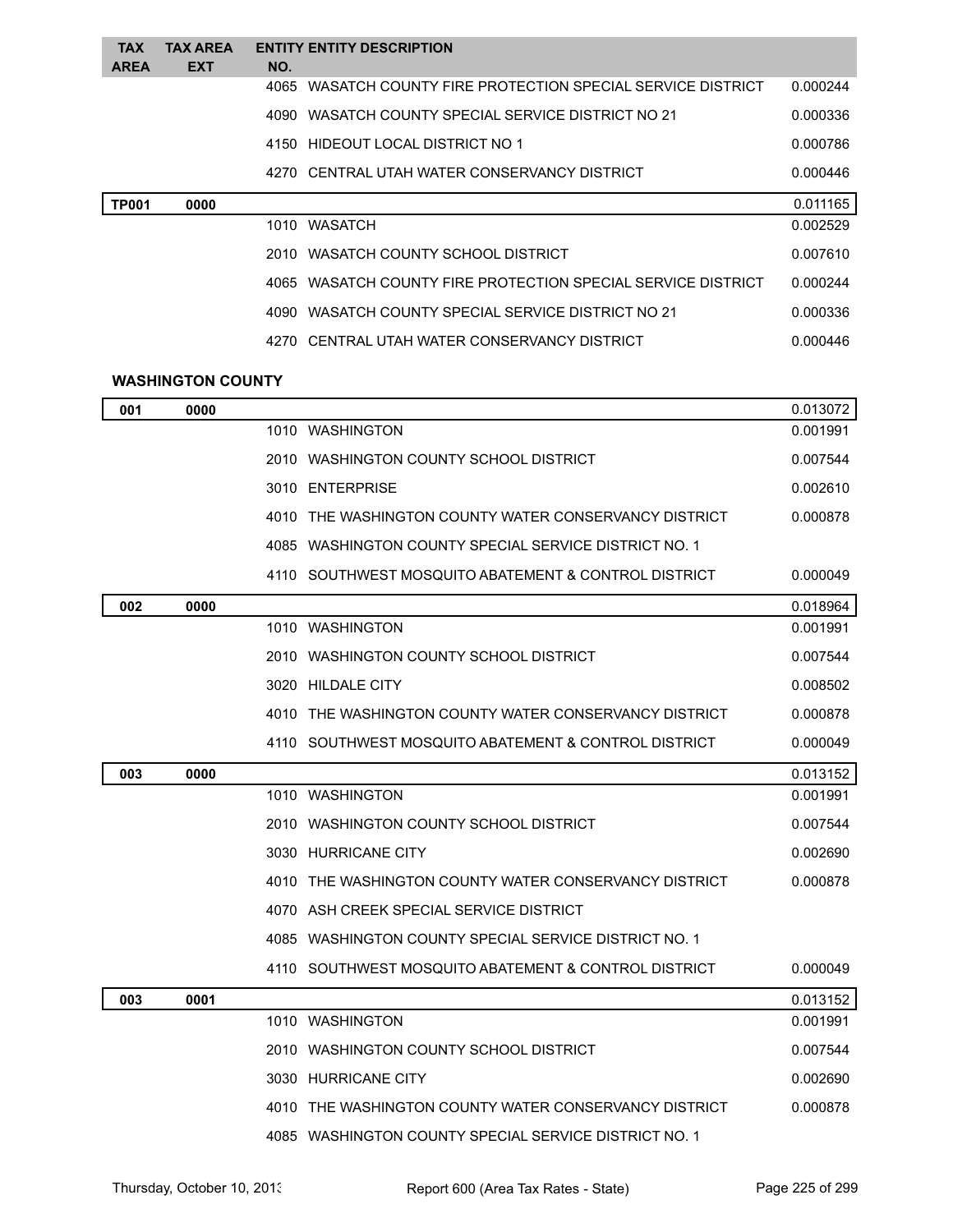| <b>TAX</b>   | <b>TAX AREA</b> | <b>ENTITY ENTITY DESCRIPTION</b>                                |          |
|--------------|-----------------|-----------------------------------------------------------------|----------|
| <b>AREA</b>  | <b>EXT</b>      | NO.                                                             |          |
|              |                 | WASATCH COUNTY FIRE PROTECTION SPECIAL SERVICE DISTRICT<br>4065 | 0.000244 |
|              |                 | WASATCH COUNTY SPECIAL SERVICE DISTRICT NO 21<br>4090           | 0.000336 |
|              |                 | 4150 HIDEOUT LOCAL DISTRICT NO 1                                | 0.000786 |
|              |                 | 4270 CENTRAL UTAH WATER CONSERVANCY DISTRICT                    | 0.000446 |
| <b>TP001</b> | 0000            |                                                                 | 0.011165 |
|              |                 | 1010 WASATCH                                                    | 0.002529 |
|              |                 | 2010 WASATCH COUNTY SCHOOL DISTRICT                             | 0.007610 |
|              |                 | WASATCH COUNTY FIRE PROTECTION SPECIAL SERVICE DISTRICT<br>4065 | 0.000244 |
|              |                 | WASATCH COUNTY SPECIAL SERVICE DISTRICT NO 21<br>4090-          | 0.000336 |
|              |                 | 4270 CENTRAL UTAH WATER CONSERVANCY DISTRICT                    | 0.000446 |
|              |                 |                                                                 |          |

## **WASHINGTON COUNTY**

| 001 | 0000 |                                                         | 0.013072 |
|-----|------|---------------------------------------------------------|----------|
|     |      | 1010 WASHINGTON                                         | 0.001991 |
|     |      | 2010   WASHINGTON COUNTY SCHOOL DISTRICT                | 0.007544 |
|     |      | 3010 ENTERPRISE                                         | 0.002610 |
|     |      | 4010 THE WASHINGTON COUNTY WATER CONSERVANCY DISTRICT   | 0.000878 |
|     |      | 4085   WASHINGTON COUNTY SPECIAL SERVICE DISTRICT NO. 1 |          |
|     |      | 4110 SOUTHWEST MOSQUITO ABATEMENT & CONTROL DISTRICT    | 0.000049 |
| 002 | 0000 |                                                         | 0.018964 |
|     |      | 1010 WASHINGTON                                         | 0.001991 |
|     |      | 2010   WASHINGTON COUNTY SCHOOL DISTRICT                | 0.007544 |
|     |      | 3020 HILDALE CITY                                       | 0.008502 |
|     |      | 4010   THE WASHINGTON COUNTY WATER CONSERVANCY DISTRICT | 0.000878 |
|     |      | 4110 SOUTHWEST MOSQUITO ABATEMENT & CONTROL DISTRICT    | 0.000049 |
| 003 | 0000 |                                                         | 0.013152 |
|     |      | 1010 WASHINGTON                                         | 0.001991 |
|     |      | 2010 WASHINGTON COUNTY SCHOOL DISTRICT                  | 0.007544 |
|     |      | 3030 HURRICANE CITY                                     | 0.002690 |
|     |      | 4010   THE WASHINGTON COUNTY WATER CONSERVANCY DISTRICT | 0.000878 |
|     |      | 4070 ASH CREEK SPECIAL SERVICE DISTRICT                 |          |
|     |      | 4085   WASHINGTON COUNTY SPECIAL SERVICE DISTRICT NO. 1 |          |
|     |      | 4110 SOUTHWEST MOSQUITO ABATEMENT & CONTROL DISTRICT    | 0.000049 |
| 003 | 0001 |                                                         | 0.013152 |
|     |      | 1010 WASHINGTON                                         | 0.001991 |
|     |      | 2010   WASHINGTON COUNTY SCHOOL DISTRICT                | 0.007544 |
|     |      | 3030 HURRICANE CITY                                     | 0.002690 |
|     |      | 4010 THE WASHINGTON COUNTY WATER CONSERVANCY DISTRICT   | 0.000878 |
|     |      | 4085 WASHINGTON COUNTY SPECIAL SERVICE DISTRICT NO. 1   |          |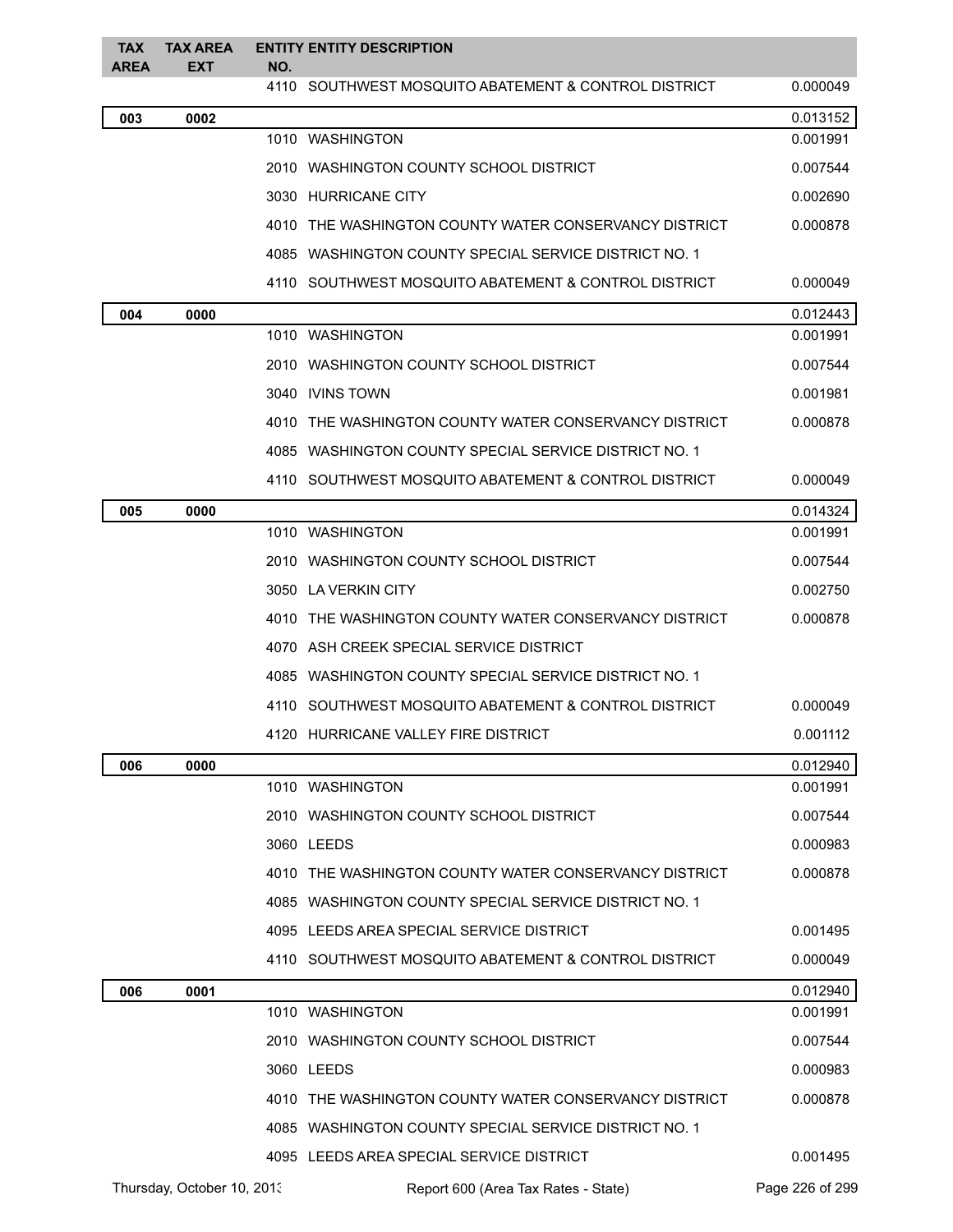| <b>TAX</b><br><b>AREA</b> | <b>TAX AREA</b><br>EXT     | NO. | <b>ENTITY ENTITY DESCRIPTION</b>                      |                 |
|---------------------------|----------------------------|-----|-------------------------------------------------------|-----------------|
|                           |                            |     | 4110 SOUTHWEST MOSQUITO ABATEMENT & CONTROL DISTRICT  | 0.000049        |
| 003                       | 0002                       |     |                                                       | 0.013152        |
|                           |                            |     | 1010 WASHINGTON                                       | 0.001991        |
|                           |                            |     | 2010 WASHINGTON COUNTY SCHOOL DISTRICT                | 0.007544        |
|                           |                            |     | 3030 HURRICANE CITY                                   | 0.002690        |
|                           |                            |     | 4010 THE WASHINGTON COUNTY WATER CONSERVANCY DISTRICT | 0.000878        |
|                           |                            |     | 4085 WASHINGTON COUNTY SPECIAL SERVICE DISTRICT NO. 1 |                 |
|                           |                            |     | 4110 SOUTHWEST MOSQUITO ABATEMENT & CONTROL DISTRICT  | 0.000049        |
| 004                       | 0000                       |     |                                                       | 0.012443        |
|                           |                            |     | 1010 WASHINGTON                                       | 0.001991        |
|                           |                            |     | 2010 WASHINGTON COUNTY SCHOOL DISTRICT                | 0.007544        |
|                           |                            |     | 3040 IVINS TOWN                                       | 0.001981        |
|                           |                            |     | 4010 THE WASHINGTON COUNTY WATER CONSERVANCY DISTRICT | 0.000878        |
|                           |                            |     | 4085 WASHINGTON COUNTY SPECIAL SERVICE DISTRICT NO. 1 |                 |
|                           |                            |     | 4110 SOUTHWEST MOSQUITO ABATEMENT & CONTROL DISTRICT  | 0.000049        |
| 005                       | 0000                       |     |                                                       | 0.014324        |
|                           |                            |     | 1010 WASHINGTON                                       | 0.001991        |
|                           |                            |     | 2010 WASHINGTON COUNTY SCHOOL DISTRICT                | 0.007544        |
|                           |                            |     | 3050 LA VERKIN CITY                                   | 0.002750        |
|                           |                            |     | 4010 THE WASHINGTON COUNTY WATER CONSERVANCY DISTRICT | 0.000878        |
|                           |                            |     | 4070 ASH CREEK SPECIAL SERVICE DISTRICT               |                 |
|                           |                            |     | 4085 WASHINGTON COUNTY SPECIAL SERVICE DISTRICT NO. 1 |                 |
|                           |                            |     | 4110 SOUTHWEST MOSQUITO ABATEMENT & CONTROL DISTRICT  | 0.000049        |
|                           |                            |     | 4120 HURRICANE VALLEY FIRE DISTRICT                   | 0.001112        |
| 006                       | 0000                       |     |                                                       | 0.012940        |
|                           |                            |     | 1010 WASHINGTON                                       | 0.001991        |
|                           |                            |     | 2010 WASHINGTON COUNTY SCHOOL DISTRICT                | 0.007544        |
|                           |                            |     | 3060 LEEDS                                            | 0.000983        |
|                           |                            |     | 4010 THE WASHINGTON COUNTY WATER CONSERVANCY DISTRICT | 0.000878        |
|                           |                            |     | 4085 WASHINGTON COUNTY SPECIAL SERVICE DISTRICT NO. 1 |                 |
|                           |                            |     | 4095 LEEDS AREA SPECIAL SERVICE DISTRICT              | 0.001495        |
|                           |                            |     | 4110 SOUTHWEST MOSQUITO ABATEMENT & CONTROL DISTRICT  | 0.000049        |
| 006                       | 0001                       |     |                                                       | 0.012940        |
|                           |                            |     | 1010 WASHINGTON                                       | 0.001991        |
|                           |                            |     | 2010 WASHINGTON COUNTY SCHOOL DISTRICT                | 0.007544        |
|                           |                            |     | 3060 LEEDS                                            | 0.000983        |
|                           |                            |     | 4010 THE WASHINGTON COUNTY WATER CONSERVANCY DISTRICT | 0.000878        |
|                           |                            |     | 4085 WASHINGTON COUNTY SPECIAL SERVICE DISTRICT NO. 1 |                 |
|                           |                            |     | 4095 LEEDS AREA SPECIAL SERVICE DISTRICT              | 0.001495        |
|                           | Thursday, October 10, 2013 |     | Report 600 (Area Tax Rates - State)                   | Page 226 of 299 |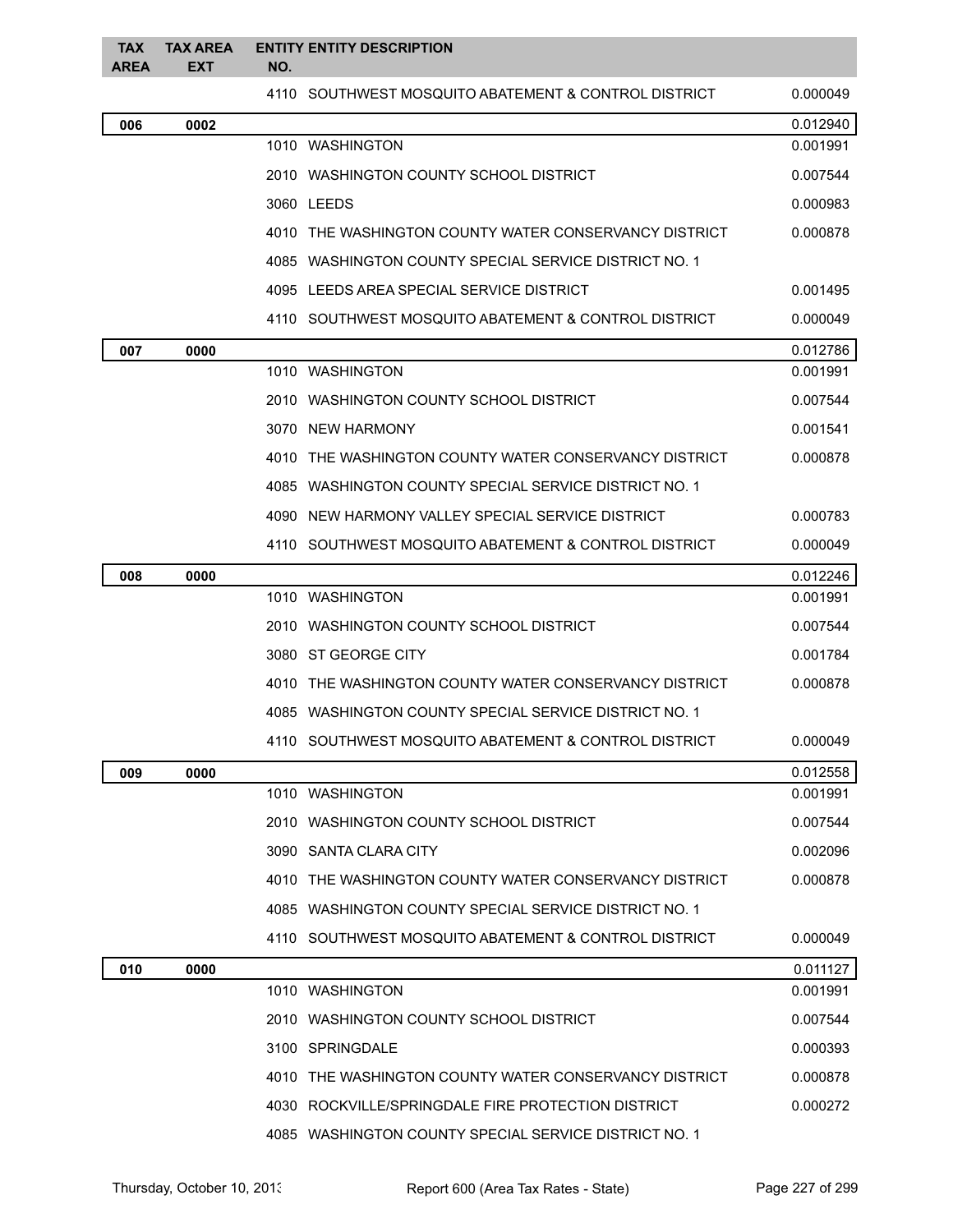| <b>TAX</b><br><b>AREA</b> | <b>TAX AREA</b><br><b>EXT</b> | NO.        | <b>ENTITY ENTITY DESCRIPTION</b>                       |          |
|---------------------------|-------------------------------|------------|--------------------------------------------------------|----------|
|                           |                               |            | 4110 SOUTHWEST MOSQUITO ABATEMENT & CONTROL DISTRICT   | 0.000049 |
| 006                       | 0002                          |            |                                                        | 0.012940 |
|                           |                               |            | 1010 WASHINGTON                                        | 0.001991 |
|                           |                               |            | 2010 WASHINGTON COUNTY SCHOOL DISTRICT                 | 0.007544 |
|                           |                               | 3060 LEEDS |                                                        | 0.000983 |
|                           |                               |            | 4010 THE WASHINGTON COUNTY WATER CONSERVANCY DISTRICT  | 0.000878 |
|                           |                               |            | 4085 WASHINGTON COUNTY SPECIAL SERVICE DISTRICT NO. 1  |          |
|                           |                               |            | 4095 LEEDS AREA SPECIAL SERVICE DISTRICT               | 0.001495 |
|                           |                               |            | 4110   SOUTHWEST MOSQUITO ABATEMENT & CONTROL DISTRICT | 0.000049 |
| 007                       | 0000                          |            |                                                        | 0.012786 |
|                           |                               |            | 1010 WASHINGTON                                        | 0.001991 |
|                           |                               |            | 2010   WASHINGTON COUNTY SCHOOL DISTRICT               | 0.007544 |
|                           |                               |            | 3070 NEW HARMONY                                       | 0.001541 |
|                           |                               |            | 4010 THE WASHINGTON COUNTY WATER CONSERVANCY DISTRICT  | 0.000878 |
|                           |                               |            | 4085 WASHINGTON COUNTY SPECIAL SERVICE DISTRICT NO. 1  |          |
|                           |                               |            | 4090 NEW HARMONY VALLEY SPECIAL SERVICE DISTRICT       | 0.000783 |
|                           |                               |            | 4110 SOUTHWEST MOSQUITO ABATEMENT & CONTROL DISTRICT   | 0.000049 |
| 008                       | 0000                          |            |                                                        | 0.012246 |
|                           |                               |            | 1010 WASHINGTON                                        | 0.001991 |
|                           |                               |            | 2010 WASHINGTON COUNTY SCHOOL DISTRICT                 | 0.007544 |
|                           |                               |            | 3080 ST GEORGE CITY                                    | 0.001784 |
|                           |                               |            | 4010 THE WASHINGTON COUNTY WATER CONSERVANCY DISTRICT  | 0.000878 |
|                           |                               |            | 4085 WASHINGTON COUNTY SPECIAL SERVICE DISTRICT NO. 1  |          |
|                           |                               |            | 4110 SOUTHWEST MOSQUITO ABATEMENT & CONTROL DISTRICT   | 0.000049 |
| 009                       | 0000                          |            |                                                        | 0.012558 |
|                           |                               |            | 1010 WASHINGTON                                        | 0.001991 |
|                           |                               |            | 2010 WASHINGTON COUNTY SCHOOL DISTRICT                 | 0.007544 |
|                           |                               |            | 3090 SANTA CLARA CITY                                  | 0.002096 |
|                           |                               |            | 4010 THE WASHINGTON COUNTY WATER CONSERVANCY DISTRICT  | 0.000878 |
|                           |                               |            | 4085 WASHINGTON COUNTY SPECIAL SERVICE DISTRICT NO. 1  |          |
|                           |                               |            | 4110 SOUTHWEST MOSQUITO ABATEMENT & CONTROL DISTRICT   | 0.000049 |
| 010                       | 0000                          |            |                                                        | 0.011127 |
|                           |                               |            | 1010 WASHINGTON                                        | 0.001991 |
|                           |                               |            | 2010 WASHINGTON COUNTY SCHOOL DISTRICT                 | 0.007544 |
|                           |                               |            | 3100 SPRINGDALE                                        | 0.000393 |
|                           |                               |            | 4010 THE WASHINGTON COUNTY WATER CONSERVANCY DISTRICT  | 0.000878 |
|                           |                               |            | 4030 ROCKVILLE/SPRINGDALE FIRE PROTECTION DISTRICT     | 0.000272 |
|                           |                               |            | 4085 WASHINGTON COUNTY SPECIAL SERVICE DISTRICT NO. 1  |          |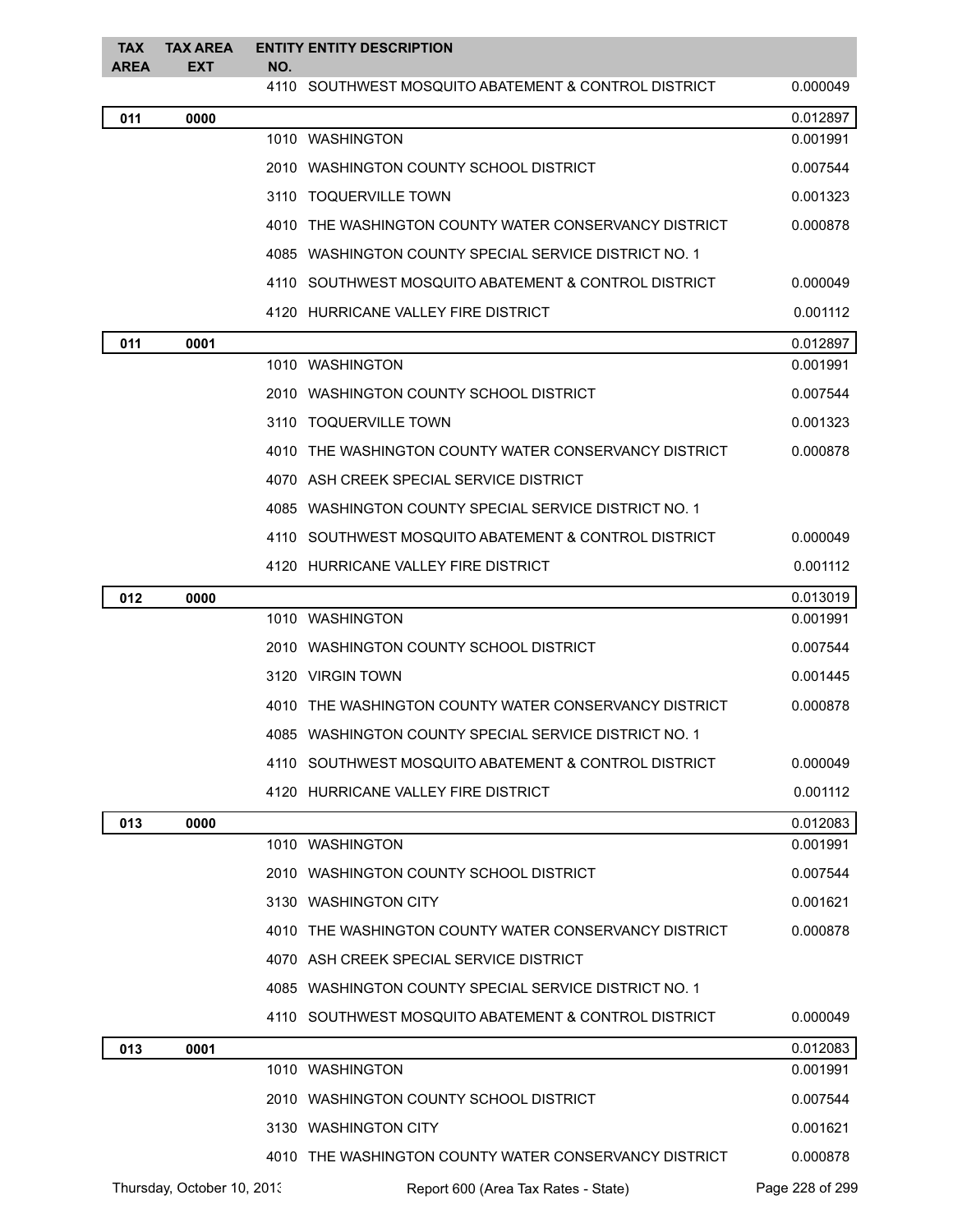| <b>TAX</b><br><b>AREA</b> | <b>TAX AREA</b><br><b>EXT</b> | NO. | <b>ENTITY ENTITY DESCRIPTION</b>                      |                 |
|---------------------------|-------------------------------|-----|-------------------------------------------------------|-----------------|
|                           |                               |     | 4110 SOUTHWEST MOSQUITO ABATEMENT & CONTROL DISTRICT  | 0.000049        |
| 011                       | 0000                          |     |                                                       | 0.012897        |
|                           |                               |     | 1010 WASHINGTON                                       | 0.001991        |
|                           |                               |     | 2010 WASHINGTON COUNTY SCHOOL DISTRICT                | 0.007544        |
|                           |                               |     | 3110 TOQUERVILLE TOWN                                 | 0.001323        |
|                           |                               |     | 4010 THE WASHINGTON COUNTY WATER CONSERVANCY DISTRICT | 0.000878        |
|                           |                               |     | 4085 WASHINGTON COUNTY SPECIAL SERVICE DISTRICT NO. 1 |                 |
|                           |                               |     | 4110 SOUTHWEST MOSQUITO ABATEMENT & CONTROL DISTRICT  | 0.000049        |
|                           |                               |     | 4120 HURRICANE VALLEY FIRE DISTRICT                   | 0.001112        |
| 011                       | 0001                          |     |                                                       | 0.012897        |
|                           |                               |     | 1010 WASHINGTON                                       | 0.001991        |
|                           |                               |     | 2010 WASHINGTON COUNTY SCHOOL DISTRICT                | 0.007544        |
|                           |                               |     | 3110 TOQUERVILLE TOWN                                 | 0.001323        |
|                           |                               |     | 4010 THE WASHINGTON COUNTY WATER CONSERVANCY DISTRICT | 0.000878        |
|                           |                               |     | 4070 ASH CREEK SPECIAL SERVICE DISTRICT               |                 |
|                           |                               |     | 4085 WASHINGTON COUNTY SPECIAL SERVICE DISTRICT NO. 1 |                 |
|                           |                               |     | 4110 SOUTHWEST MOSQUITO ABATEMENT & CONTROL DISTRICT  | 0.000049        |
|                           |                               |     | 4120 HURRICANE VALLEY FIRE DISTRICT                   | 0.001112        |
| 012                       | 0000                          |     |                                                       | 0.013019        |
|                           |                               |     | 1010 WASHINGTON                                       | 0.001991        |
|                           |                               |     | 2010 WASHINGTON COUNTY SCHOOL DISTRICT                | 0.007544        |
|                           |                               |     | 3120 VIRGIN TOWN                                      | 0.001445        |
|                           |                               |     | 4010 THE WASHINGTON COUNTY WATER CONSERVANCY DISTRICT | 0.000878        |
|                           |                               |     | 4085 WASHINGTON COUNTY SPECIAL SERVICE DISTRICT NO. 1 |                 |
|                           |                               |     | 4110 SOUTHWEST MOSQUITO ABATEMENT & CONTROL DISTRICT  | 0.000049        |
|                           |                               |     | 4120 HURRICANE VALLEY FIRE DISTRICT                   | 0.001112        |
| 013                       | 0000                          |     |                                                       | 0.012083        |
|                           |                               |     | 1010 WASHINGTON                                       | 0.001991        |
|                           |                               |     | 2010 WASHINGTON COUNTY SCHOOL DISTRICT                | 0.007544        |
|                           |                               |     | 3130 WASHINGTON CITY                                  | 0.001621        |
|                           |                               |     | 4010 THE WASHINGTON COUNTY WATER CONSERVANCY DISTRICT | 0.000878        |
|                           |                               |     | 4070 ASH CREEK SPECIAL SERVICE DISTRICT               |                 |
|                           |                               |     | 4085 WASHINGTON COUNTY SPECIAL SERVICE DISTRICT NO. 1 |                 |
|                           |                               |     | 4110 SOUTHWEST MOSQUITO ABATEMENT & CONTROL DISTRICT  | 0.000049        |
| 013                       | 0001                          |     |                                                       | 0.012083        |
|                           |                               |     | 1010 WASHINGTON                                       | 0.001991        |
|                           |                               |     | 2010 WASHINGTON COUNTY SCHOOL DISTRICT                | 0.007544        |
|                           |                               |     | 3130 WASHINGTON CITY                                  | 0.001621        |
|                           |                               |     | 4010 THE WASHINGTON COUNTY WATER CONSERVANCY DISTRICT | 0.000878        |
|                           | Thursday, October 10, 2013    |     | Report 600 (Area Tax Rates - State)                   | Page 228 of 299 |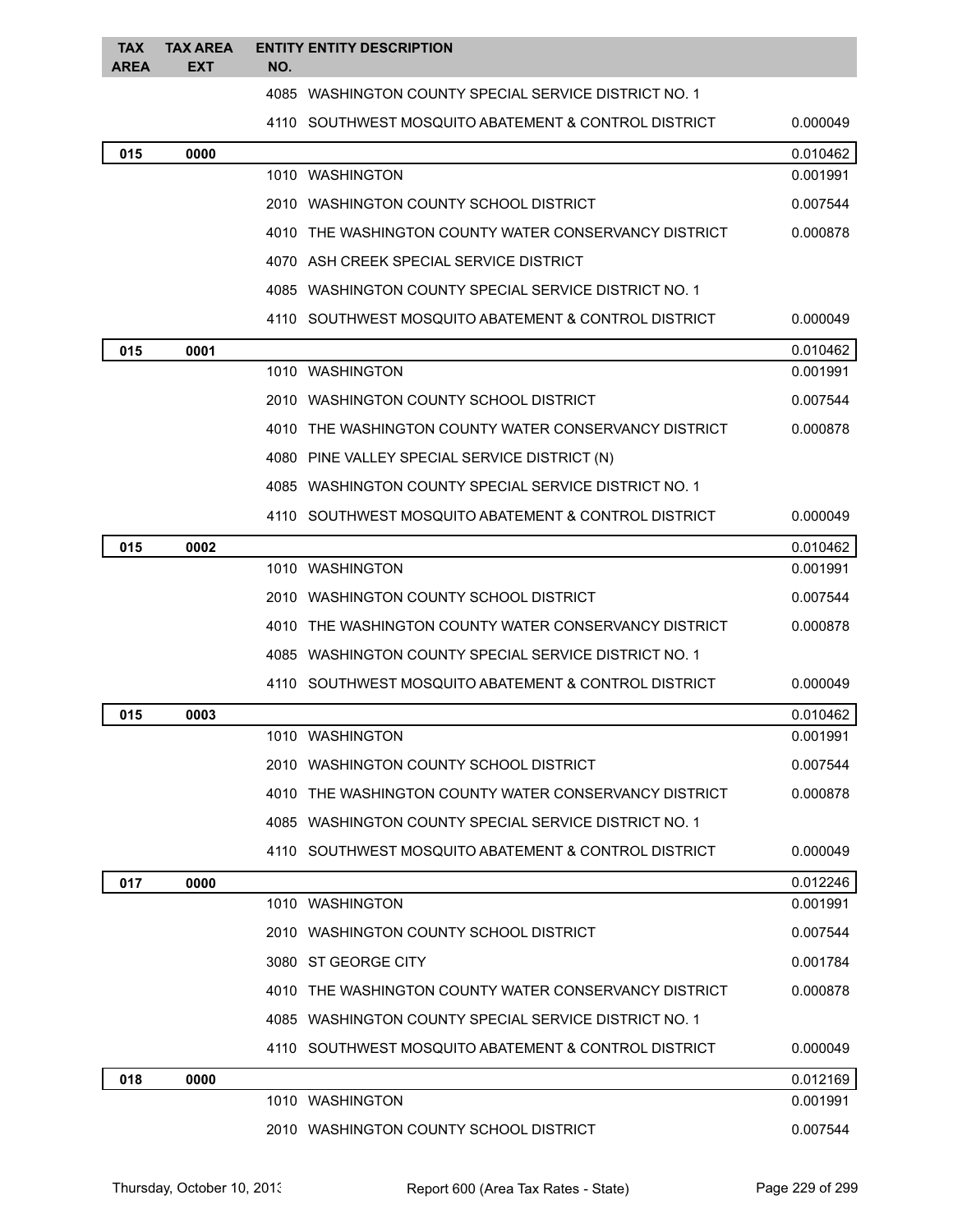| <b>TAX</b><br><b>AREA</b> | <b>TAX AREA</b><br><b>EXT</b> | <b>ENTITY ENTITY DESCRIPTION</b><br>NO.               |          |
|---------------------------|-------------------------------|-------------------------------------------------------|----------|
|                           |                               | 4085 WASHINGTON COUNTY SPECIAL SERVICE DISTRICT NO. 1 |          |
|                           |                               | 4110 SOUTHWEST MOSQUITO ABATEMENT & CONTROL DISTRICT  | 0.000049 |
| 015                       | 0000                          |                                                       | 0.010462 |
|                           |                               | 1010 WASHINGTON                                       | 0.001991 |
|                           |                               | 2010 WASHINGTON COUNTY SCHOOL DISTRICT                | 0.007544 |
|                           |                               | 4010 THE WASHINGTON COUNTY WATER CONSERVANCY DISTRICT | 0.000878 |
|                           |                               | 4070 ASH CREEK SPECIAL SERVICE DISTRICT               |          |
|                           |                               | 4085 WASHINGTON COUNTY SPECIAL SERVICE DISTRICT NO. 1 |          |
|                           |                               | 4110 SOUTHWEST MOSQUITO ABATEMENT & CONTROL DISTRICT  | 0.000049 |
| 015                       | 0001                          |                                                       | 0.010462 |
|                           |                               | 1010 WASHINGTON                                       | 0.001991 |
|                           |                               | 2010 WASHINGTON COUNTY SCHOOL DISTRICT                | 0.007544 |
|                           |                               | 4010 THE WASHINGTON COUNTY WATER CONSERVANCY DISTRICT | 0.000878 |
|                           |                               | 4080 PINE VALLEY SPECIAL SERVICE DISTRICT (N)         |          |
|                           |                               | 4085 WASHINGTON COUNTY SPECIAL SERVICE DISTRICT NO. 1 |          |
|                           |                               | 4110 SOUTHWEST MOSQUITO ABATEMENT & CONTROL DISTRICT  | 0.000049 |
| 015                       | 0002                          |                                                       | 0.010462 |
|                           |                               | 1010 WASHINGTON                                       | 0.001991 |
|                           |                               | 2010 WASHINGTON COUNTY SCHOOL DISTRICT                | 0.007544 |
|                           |                               | 4010 THE WASHINGTON COUNTY WATER CONSERVANCY DISTRICT | 0.000878 |
|                           |                               | 4085 WASHINGTON COUNTY SPECIAL SERVICE DISTRICT NO. 1 |          |
|                           |                               | 4110 SOUTHWEST MOSQUITO ABATEMENT & CONTROL DISTRICT  | 0.000049 |
| 015                       | 0003                          |                                                       | 0.010462 |
|                           |                               | 1010 WASHINGTON                                       | 0.001991 |
|                           |                               | 2010 WASHINGTON COUNTY SCHOOL DISTRICT                | 0.007544 |
|                           |                               | 4010 THE WASHINGTON COUNTY WATER CONSERVANCY DISTRICT | 0.000878 |
|                           |                               | 4085 WASHINGTON COUNTY SPECIAL SERVICE DISTRICT NO. 1 |          |
|                           |                               | 4110 SOUTHWEST MOSQUITO ABATEMENT & CONTROL DISTRICT  | 0.000049 |
| 017                       | 0000                          |                                                       | 0.012246 |
|                           |                               | 1010 WASHINGTON                                       | 0.001991 |
|                           |                               | 2010 WASHINGTON COUNTY SCHOOL DISTRICT                | 0.007544 |
|                           |                               | 3080 ST GEORGE CITY                                   | 0.001784 |
|                           |                               | 4010 THE WASHINGTON COUNTY WATER CONSERVANCY DISTRICT | 0.000878 |
|                           |                               | 4085 WASHINGTON COUNTY SPECIAL SERVICE DISTRICT NO. 1 |          |
|                           |                               | 4110 SOUTHWEST MOSQUITO ABATEMENT & CONTROL DISTRICT  | 0.000049 |
| 018                       | 0000                          |                                                       | 0.012169 |
|                           |                               | 1010 WASHINGTON                                       | 0.001991 |
|                           |                               | 2010 WASHINGTON COUNTY SCHOOL DISTRICT                | 0.007544 |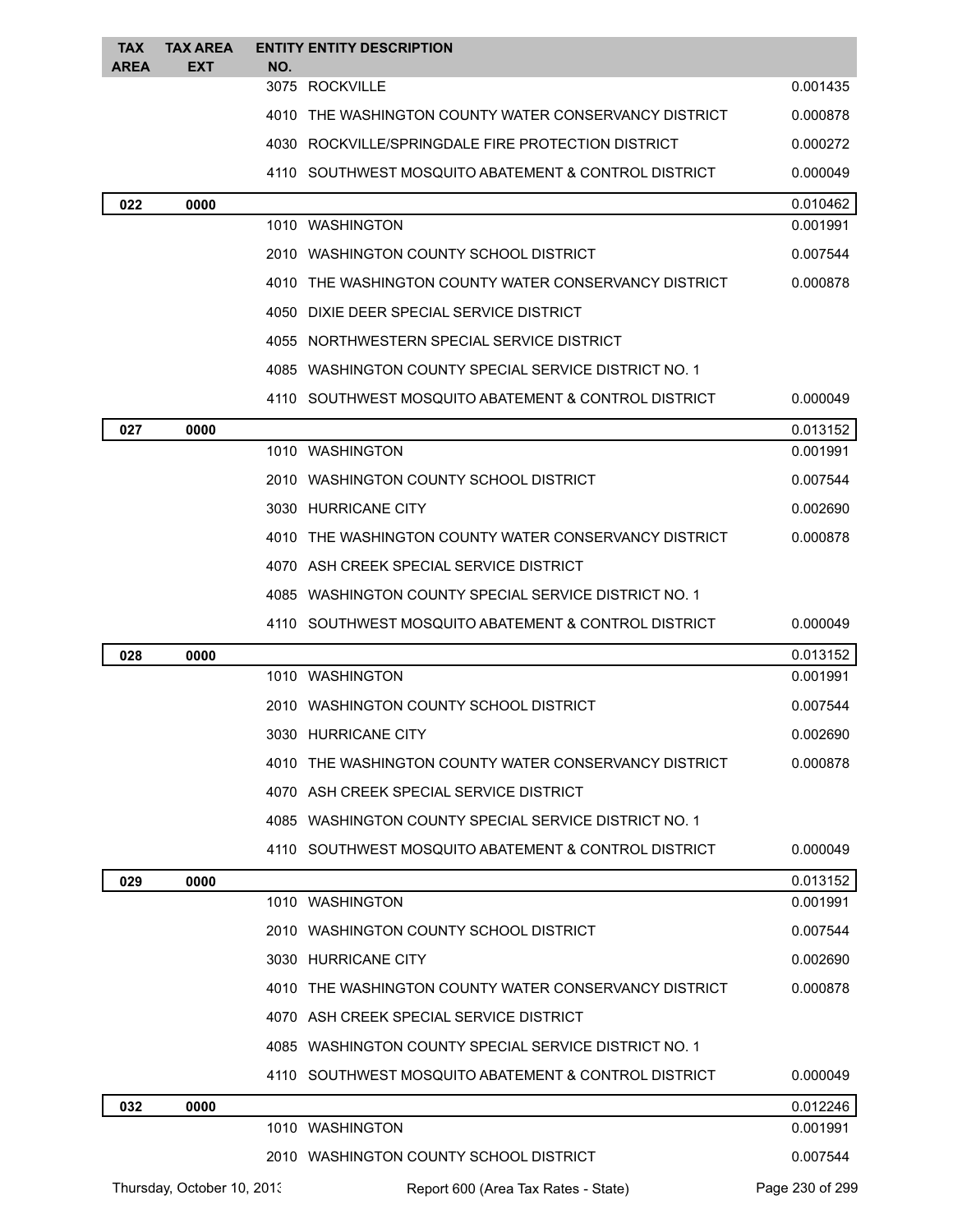| <b>TAX</b><br>AREA | <b>TAX AREA</b><br>EXT     | NO. | <b>ENTITY ENTITY DESCRIPTION</b>                        |                 |
|--------------------|----------------------------|-----|---------------------------------------------------------|-----------------|
|                    |                            |     | 3075 ROCKVILLE                                          | 0.001435        |
|                    |                            |     | 4010 THE WASHINGTON COUNTY WATER CONSERVANCY DISTRICT   | 0.000878        |
|                    |                            |     | 4030 ROCKVILLE/SPRINGDALE FIRE PROTECTION DISTRICT      | 0.000272        |
|                    |                            |     | 4110 SOUTHWEST MOSQUITO ABATEMENT & CONTROL DISTRICT    | 0.000049        |
| 022                | 0000                       |     |                                                         | 0.010462        |
|                    |                            |     | 1010 WASHINGTON                                         | 0.001991        |
|                    |                            |     | 2010 WASHINGTON COUNTY SCHOOL DISTRICT                  | 0.007544        |
|                    |                            |     | 4010 THE WASHINGTON COUNTY WATER CONSERVANCY DISTRICT   | 0.000878        |
|                    |                            |     | 4050 DIXIE DEER SPECIAL SERVICE DISTRICT                |                 |
|                    |                            |     | 4055 NORTHWESTERN SPECIAL SERVICE DISTRICT              |                 |
|                    |                            |     | 4085   WASHINGTON COUNTY SPECIAL SERVICE DISTRICT NO. 1 |                 |
|                    |                            |     | 4110 SOUTHWEST MOSQUITO ABATEMENT & CONTROL DISTRICT    | 0.000049        |
| 027                | 0000                       |     |                                                         | 0.013152        |
|                    |                            |     | 1010 WASHINGTON                                         | 0.001991        |
|                    |                            |     | 2010 WASHINGTON COUNTY SCHOOL DISTRICT                  | 0.007544        |
|                    |                            |     | 3030 HURRICANE CITY                                     | 0.002690        |
|                    |                            |     | 4010 THE WASHINGTON COUNTY WATER CONSERVANCY DISTRICT   | 0.000878        |
|                    |                            |     | 4070 ASH CREEK SPECIAL SERVICE DISTRICT                 |                 |
|                    |                            |     | 4085 WASHINGTON COUNTY SPECIAL SERVICE DISTRICT NO. 1   |                 |
|                    |                            |     | 4110 SOUTHWEST MOSQUITO ABATEMENT & CONTROL DISTRICT    | 0.000049        |
| 028                | 0000                       |     |                                                         | 0.013152        |
|                    |                            |     | 1010 WASHINGTON                                         | 0.001991        |
|                    |                            |     | 2010 WASHINGTON COUNTY SCHOOL DISTRICT                  | 0.007544        |
|                    |                            |     | 3030 HURRICANE CITY                                     | 0.002690        |
|                    |                            |     | 4010 THE WASHINGTON COUNTY WATER CONSERVANCY DISTRICT   | 0.000878        |
|                    |                            |     | 4070 ASH CREEK SPECIAL SERVICE DISTRICT                 |                 |
|                    |                            |     | 4085 WASHINGTON COUNTY SPECIAL SERVICE DISTRICT NO. 1   |                 |
|                    |                            |     | 4110 SOUTHWEST MOSQUITO ABATEMENT & CONTROL DISTRICT    | 0.000049        |
| 029                | 0000                       |     |                                                         | 0.013152        |
|                    |                            |     | 1010 WASHINGTON                                         | 0.001991        |
|                    |                            |     | 2010 WASHINGTON COUNTY SCHOOL DISTRICT                  | 0.007544        |
|                    |                            |     | 3030 HURRICANE CITY                                     | 0.002690        |
|                    |                            |     | 4010 THE WASHINGTON COUNTY WATER CONSERVANCY DISTRICT   | 0.000878        |
|                    |                            |     | 4070 ASH CREEK SPECIAL SERVICE DISTRICT                 |                 |
|                    |                            |     | 4085 WASHINGTON COUNTY SPECIAL SERVICE DISTRICT NO. 1   |                 |
|                    |                            |     | 4110 SOUTHWEST MOSQUITO ABATEMENT & CONTROL DISTRICT    | 0.000049        |
| 032                | 0000                       |     | 1010 WASHINGTON                                         | 0.012246        |
|                    |                            |     |                                                         | 0.001991        |
|                    |                            |     | 2010 WASHINGTON COUNTY SCHOOL DISTRICT                  | 0.007544        |
|                    | Thursday, October 10, 2013 |     | Report 600 (Area Tax Rates - State)                     | Page 230 of 299 |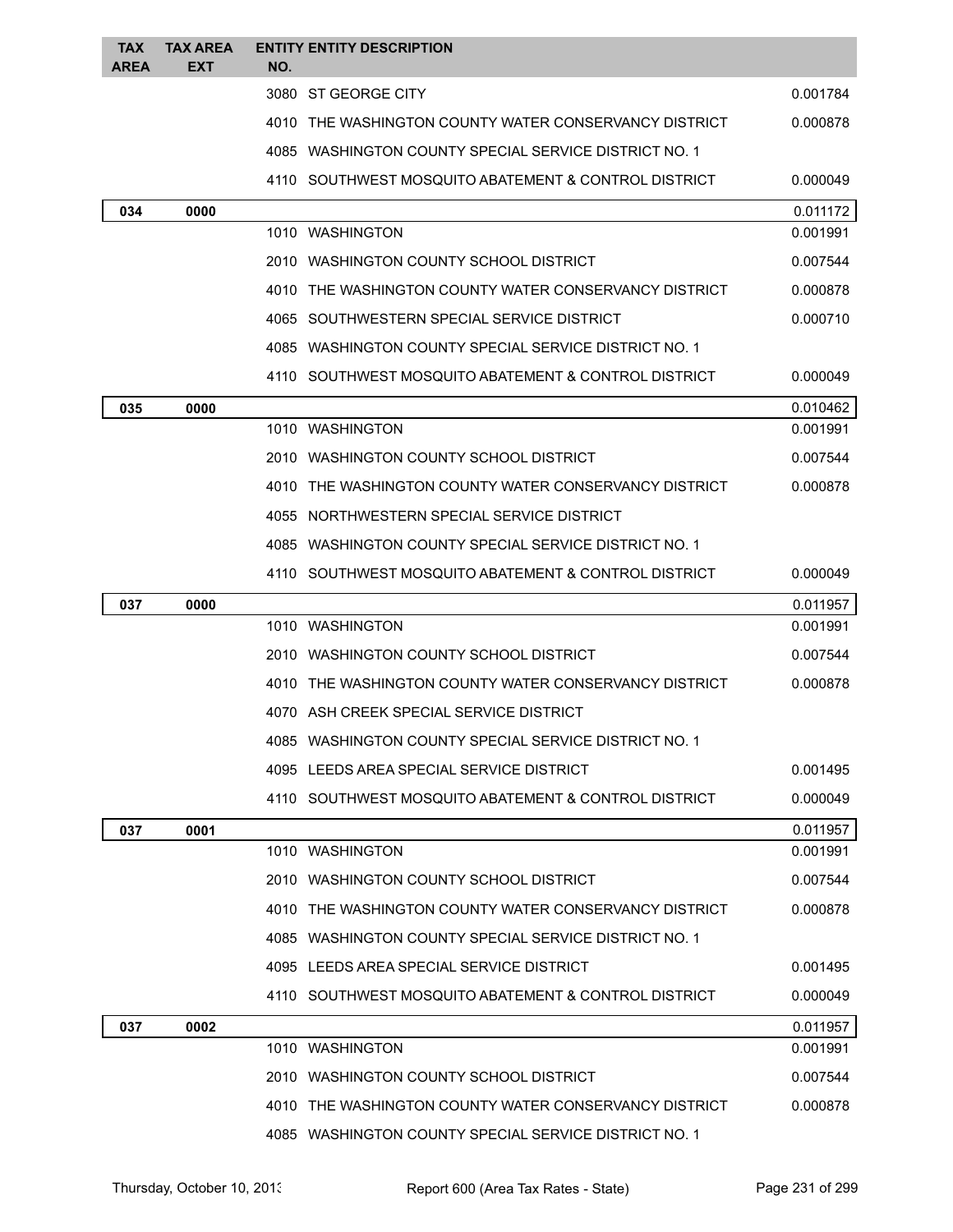| <b>TAX</b><br>AREA | <b>TAX AREA</b><br>EXT | NO. | <b>ENTITY ENTITY DESCRIPTION</b>                        |          |
|--------------------|------------------------|-----|---------------------------------------------------------|----------|
|                    |                        |     | 3080 ST GEORGE CITY                                     | 0.001784 |
|                    |                        |     | 4010 THE WASHINGTON COUNTY WATER CONSERVANCY DISTRICT   | 0.000878 |
|                    |                        |     | 4085 WASHINGTON COUNTY SPECIAL SERVICE DISTRICT NO. 1   |          |
|                    |                        |     | 4110   SOUTHWEST MOSQUITO ABATEMENT & CONTROL DISTRICT  | 0.000049 |
| 034                | 0000                   |     |                                                         | 0.011172 |
|                    |                        |     | 1010 WASHINGTON                                         | 0.001991 |
|                    |                        |     | 2010 WASHINGTON COUNTY SCHOOL DISTRICT                  | 0.007544 |
|                    |                        |     | 4010 THE WASHINGTON COUNTY WATER CONSERVANCY DISTRICT   | 0.000878 |
|                    |                        |     | 4065 SOUTHWESTERN SPECIAL SERVICE DISTRICT              | 0.000710 |
|                    |                        |     | 4085 WASHINGTON COUNTY SPECIAL SERVICE DISTRICT NO. 1   |          |
|                    |                        |     | 4110 SOUTHWEST MOSQUITO ABATEMENT & CONTROL DISTRICT    | 0.000049 |
| 035                | 0000                   |     |                                                         | 0.010462 |
|                    |                        |     | 1010 WASHINGTON                                         | 0.001991 |
|                    |                        |     | 2010 WASHINGTON COUNTY SCHOOL DISTRICT                  | 0.007544 |
|                    |                        |     | 4010 THE WASHINGTON COUNTY WATER CONSERVANCY DISTRICT   | 0.000878 |
|                    |                        |     | 4055 NORTHWESTERN SPECIAL SERVICE DISTRICT              |          |
|                    |                        |     | 4085 WASHINGTON COUNTY SPECIAL SERVICE DISTRICT NO. 1   |          |
|                    |                        |     | 4110 SOUTHWEST MOSQUITO ABATEMENT & CONTROL DISTRICT    | 0.000049 |
| 037                | 0000                   |     |                                                         | 0.011957 |
|                    |                        |     | 1010 WASHINGTON                                         | 0.001991 |
|                    |                        |     | 2010 WASHINGTON COUNTY SCHOOL DISTRICT                  |          |
|                    |                        |     |                                                         | 0.007544 |
|                    |                        |     | 4010 THE WASHINGTON COUNTY WATER CONSERVANCY DISTRICT   | 0.000878 |
|                    |                        |     | 4070 ASH CREEK SPECIAL SERVICE DISTRICT                 |          |
|                    |                        |     | 4085   WASHINGTON COUNTY SPECIAL SERVICE DISTRICT NO. 1 |          |
|                    |                        |     | 4095 LEEDS AREA SPECIAL SERVICE DISTRICT                | 0.001495 |
|                    |                        |     | 4110 SOUTHWEST MOSQUITO ABATEMENT & CONTROL DISTRICT    | 0.000049 |
| 037                | 0001                   |     |                                                         | 0.011957 |
|                    |                        |     | 1010 WASHINGTON                                         | 0.001991 |
|                    |                        |     | 2010 WASHINGTON COUNTY SCHOOL DISTRICT                  | 0.007544 |
|                    |                        |     | 4010 THE WASHINGTON COUNTY WATER CONSERVANCY DISTRICT   | 0.000878 |
|                    |                        |     | 4085 WASHINGTON COUNTY SPECIAL SERVICE DISTRICT NO. 1   |          |
|                    |                        |     | 4095 LEEDS AREA SPECIAL SERVICE DISTRICT                | 0.001495 |
|                    |                        |     | 4110 SOUTHWEST MOSQUITO ABATEMENT & CONTROL DISTRICT    | 0.000049 |
| 037                | 0002                   |     |                                                         | 0.011957 |
|                    |                        |     | 1010 WASHINGTON                                         | 0.001991 |
|                    |                        |     | 2010 WASHINGTON COUNTY SCHOOL DISTRICT                  | 0.007544 |
|                    |                        |     | 4010 THE WASHINGTON COUNTY WATER CONSERVANCY DISTRICT   | 0.000878 |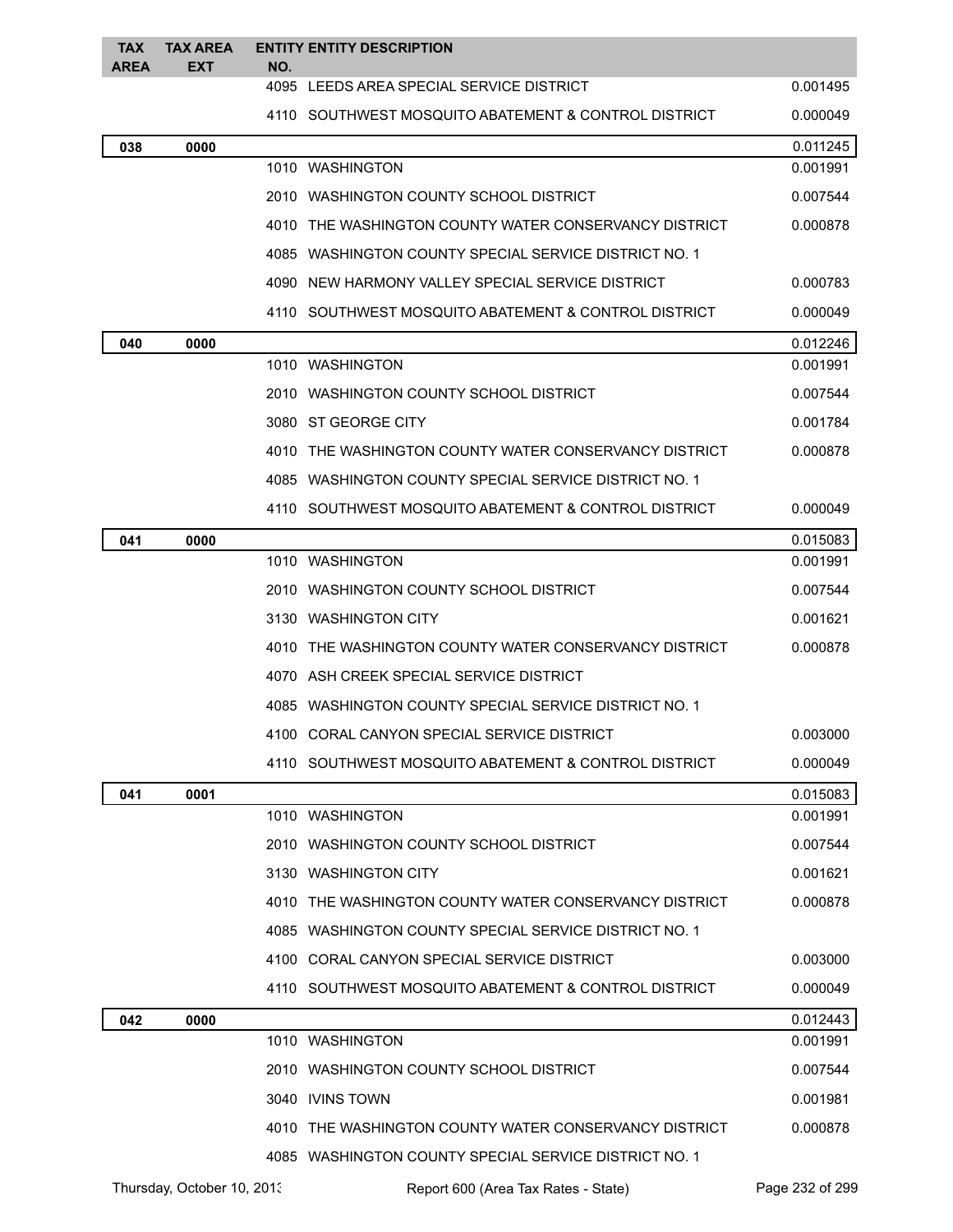| <b>TAX</b><br><b>AREA</b> | <b>TAX AREA</b><br><b>EXT</b> | NO. | <b>ENTITY ENTITY DESCRIPTION</b>                      |          |
|---------------------------|-------------------------------|-----|-------------------------------------------------------|----------|
|                           |                               |     | 4095 LEEDS AREA SPECIAL SERVICE DISTRICT              | 0.001495 |
|                           |                               |     | 4110 SOUTHWEST MOSQUITO ABATEMENT & CONTROL DISTRICT  | 0.000049 |
| 038                       | 0000                          |     |                                                       | 0.011245 |
|                           |                               |     | 1010 WASHINGTON                                       | 0.001991 |
|                           |                               |     | 2010 WASHINGTON COUNTY SCHOOL DISTRICT                | 0.007544 |
|                           |                               |     | 4010 THE WASHINGTON COUNTY WATER CONSERVANCY DISTRICT | 0.000878 |
|                           |                               |     | 4085 WASHINGTON COUNTY SPECIAL SERVICE DISTRICT NO. 1 |          |
|                           |                               |     | 4090 NEW HARMONY VALLEY SPECIAL SERVICE DISTRICT      | 0.000783 |
|                           |                               |     | 4110 SOUTHWEST MOSQUITO ABATEMENT & CONTROL DISTRICT  | 0.000049 |
| 040                       | 0000                          |     |                                                       | 0.012246 |
|                           |                               |     | 1010 WASHINGTON                                       | 0.001991 |
|                           |                               |     | 2010 WASHINGTON COUNTY SCHOOL DISTRICT                | 0.007544 |
|                           |                               |     | 3080 ST GEORGE CITY                                   | 0.001784 |
|                           |                               |     | 4010 THE WASHINGTON COUNTY WATER CONSERVANCY DISTRICT | 0.000878 |
|                           |                               |     | 4085 WASHINGTON COUNTY SPECIAL SERVICE DISTRICT NO. 1 |          |
|                           |                               |     | 4110 SOUTHWEST MOSQUITO ABATEMENT & CONTROL DISTRICT  | 0.000049 |
| 041                       | 0000                          |     |                                                       | 0.015083 |
|                           |                               |     | 1010 WASHINGTON                                       | 0.001991 |
|                           |                               |     | 2010 WASHINGTON COUNTY SCHOOL DISTRICT                | 0.007544 |
|                           |                               |     | 3130 WASHINGTON CITY                                  | 0.001621 |
|                           |                               |     | 4010 THE WASHINGTON COUNTY WATER CONSERVANCY DISTRICT | 0.000878 |
|                           |                               |     | 4070 ASH CREEK SPECIAL SERVICE DISTRICT               |          |
|                           |                               |     | 4085 WASHINGTON COUNTY SPECIAL SERVICE DISTRICT NO. 1 |          |
|                           |                               |     | 4100 CORAL CANYON SPECIAL SERVICE DISTRICT            | 0.003000 |
|                           |                               |     | 4110 SOUTHWEST MOSQUITO ABATEMENT & CONTROL DISTRICT  | 0.000049 |
| 041                       | 0001                          |     |                                                       | 0.015083 |
|                           |                               |     | 1010 WASHINGTON                                       | 0.001991 |
|                           |                               |     | 2010 WASHINGTON COUNTY SCHOOL DISTRICT                | 0.007544 |
|                           |                               |     | 3130 WASHINGTON CITY                                  | 0.001621 |
|                           |                               |     | 4010 THE WASHINGTON COUNTY WATER CONSERVANCY DISTRICT | 0.000878 |
|                           |                               |     | 4085 WASHINGTON COUNTY SPECIAL SERVICE DISTRICT NO. 1 |          |
|                           |                               |     | 4100 CORAL CANYON SPECIAL SERVICE DISTRICT            | 0.003000 |
|                           |                               |     | 4110 SOUTHWEST MOSQUITO ABATEMENT & CONTROL DISTRICT  | 0.000049 |
| 042                       | 0000                          |     |                                                       | 0.012443 |
|                           |                               |     | 1010 WASHINGTON                                       | 0.001991 |
|                           |                               |     | 2010 WASHINGTON COUNTY SCHOOL DISTRICT                | 0.007544 |
|                           |                               |     | 3040 IVINS TOWN                                       | 0.001981 |
|                           |                               |     | 4010 THE WASHINGTON COUNTY WATER CONSERVANCY DISTRICT | 0.000878 |
|                           |                               |     | 4085 WASHINGTON COUNTY SPECIAL SERVICE DISTRICT NO. 1 |          |

Thursday, October 10, 2013 Report 600 (Area Tax Rates - State) Page 232 of 299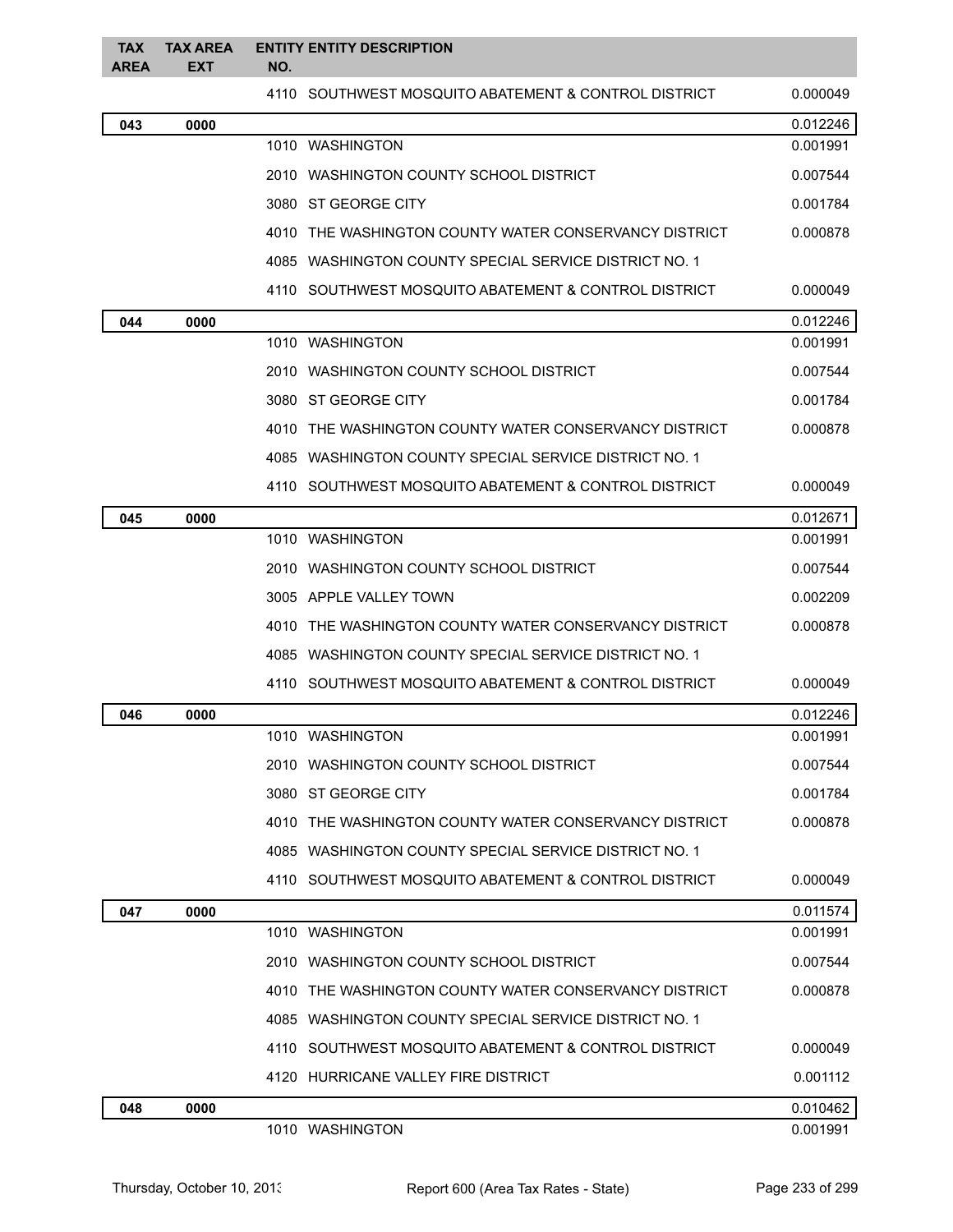| <b>TAX</b><br><b>AREA</b> | <b>TAX AREA</b><br><b>EXT</b> | <b>ENTITY ENTITY DESCRIPTION</b><br>NO.               |          |
|---------------------------|-------------------------------|-------------------------------------------------------|----------|
|                           |                               | 4110 SOUTHWEST MOSQUITO ABATEMENT & CONTROL DISTRICT  | 0.000049 |
| 043                       | 0000                          |                                                       | 0.012246 |
|                           |                               | 1010 WASHINGTON                                       | 0.001991 |
|                           |                               | 2010 WASHINGTON COUNTY SCHOOL DISTRICT                | 0.007544 |
|                           |                               | 3080 ST GEORGE CITY                                   | 0.001784 |
|                           |                               | 4010 THE WASHINGTON COUNTY WATER CONSERVANCY DISTRICT | 0.000878 |
|                           |                               | 4085 WASHINGTON COUNTY SPECIAL SERVICE DISTRICT NO. 1 |          |
|                           |                               | 4110 SOUTHWEST MOSQUITO ABATEMENT & CONTROL DISTRICT  | 0.000049 |
| 044                       | 0000                          |                                                       | 0.012246 |
|                           |                               | 1010 WASHINGTON                                       | 0.001991 |
|                           |                               | 2010 WASHINGTON COUNTY SCHOOL DISTRICT                | 0.007544 |
|                           |                               | 3080 ST GEORGE CITY                                   | 0.001784 |
|                           |                               | 4010 THE WASHINGTON COUNTY WATER CONSERVANCY DISTRICT | 0.000878 |
|                           |                               | 4085 WASHINGTON COUNTY SPECIAL SERVICE DISTRICT NO. 1 |          |
|                           |                               | 4110 SOUTHWEST MOSQUITO ABATEMENT & CONTROL DISTRICT  | 0.000049 |
| 045                       | 0000                          |                                                       | 0.012671 |
|                           |                               | 1010 WASHINGTON                                       | 0.001991 |
|                           |                               | 2010 WASHINGTON COUNTY SCHOOL DISTRICT                | 0.007544 |
|                           |                               | 3005 APPLE VALLEY TOWN                                | 0.002209 |
|                           |                               | 4010 THE WASHINGTON COUNTY WATER CONSERVANCY DISTRICT | 0.000878 |
|                           |                               | 4085 WASHINGTON COUNTY SPECIAL SERVICE DISTRICT NO. 1 |          |
|                           |                               | 4110 SOUTHWEST MOSQUITO ABATEMENT & CONTROL DISTRICT  | 0.000049 |
| 046                       | 0000                          |                                                       | 0.012246 |
|                           |                               | 1010 WASHINGTON                                       | 0.001991 |
|                           |                               | 2010 WASHINGTON COUNTY SCHOOL DISTRICT                | 0.007544 |
|                           |                               | 3080 ST GEORGE CITY                                   | 0.001784 |
|                           |                               | 4010 THE WASHINGTON COUNTY WATER CONSERVANCY DISTRICT | 0.000878 |
|                           |                               | 4085 WASHINGTON COUNTY SPECIAL SERVICE DISTRICT NO. 1 |          |
|                           |                               | 4110 SOUTHWEST MOSQUITO ABATEMENT & CONTROL DISTRICT  | 0.000049 |
| 047                       | 0000                          |                                                       | 0.011574 |
|                           |                               | 1010 WASHINGTON                                       | 0.001991 |
|                           |                               | 2010 WASHINGTON COUNTY SCHOOL DISTRICT                | 0.007544 |
|                           |                               | 4010 THE WASHINGTON COUNTY WATER CONSERVANCY DISTRICT | 0.000878 |
|                           |                               | 4085 WASHINGTON COUNTY SPECIAL SERVICE DISTRICT NO. 1 |          |
|                           |                               | 4110 SOUTHWEST MOSQUITO ABATEMENT & CONTROL DISTRICT  | 0.000049 |
|                           |                               | 4120 HURRICANE VALLEY FIRE DISTRICT                   | 0.001112 |
| 048                       | 0000                          |                                                       | 0.010462 |
|                           |                               | 1010 WASHINGTON                                       | 0.001991 |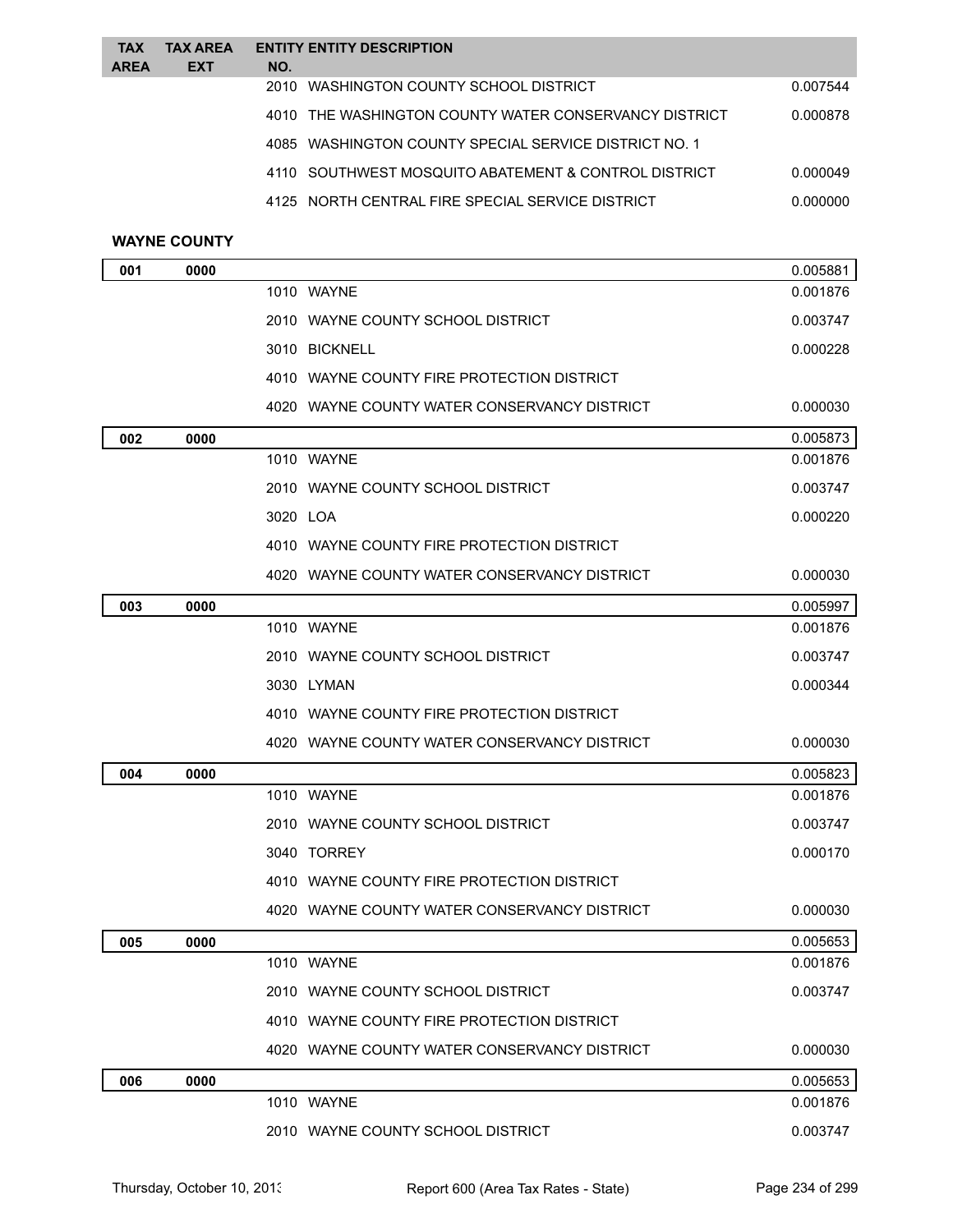| <b>TAX</b>  | <b>TAX AREA</b> |     | <b>ENTITY ENTITY DESCRIPTION</b>                      |          |
|-------------|-----------------|-----|-------------------------------------------------------|----------|
| <b>AREA</b> | <b>EXT</b>      | NO. |                                                       |          |
|             |                 |     | 2010 WASHINGTON COUNTY SCHOOL DISTRICT                | 0.007544 |
|             |                 |     | 4010 THE WASHINGTON COUNTY WATER CONSERVANCY DISTRICT | 0.000878 |
|             |                 |     | 4085 WASHINGTON COUNTY SPECIAL SERVICE DISTRICT NO. 1 |          |
|             |                 |     | 4110 SOUTHWEST MOSQUITO ABATEMENT & CONTROL DISTRICT  | 0.000049 |
|             |                 |     | 4125 NORTH CENTRAL FIRE SPECIAL SERVICE DISTRICT      | 0.000000 |
|             |                 |     |                                                       |          |

## **WAYNE COUNTY**

| 001 | 0000 |                                              | 0.005881 |
|-----|------|----------------------------------------------|----------|
|     |      | 1010 WAYNE                                   | 0.001876 |
|     |      | 2010 WAYNE COUNTY SCHOOL DISTRICT            | 0.003747 |
|     |      | 3010 BICKNELL                                | 0.000228 |
|     |      | 4010 WAYNE COUNTY FIRE PROTECTION DISTRICT   |          |
|     |      | 4020 WAYNE COUNTY WATER CONSERVANCY DISTRICT | 0.000030 |
| 002 | 0000 |                                              | 0.005873 |
|     |      | 1010 WAYNE                                   | 0.001876 |
|     |      | 2010 WAYNE COUNTY SCHOOL DISTRICT            | 0.003747 |
|     |      | 3020 LOA                                     | 0.000220 |
|     |      | 4010 WAYNE COUNTY FIRE PROTECTION DISTRICT   |          |
|     |      | 4020 WAYNE COUNTY WATER CONSERVANCY DISTRICT | 0.000030 |
| 003 | 0000 |                                              | 0.005997 |
|     |      | 1010 WAYNE                                   | 0.001876 |
|     |      | 2010 WAYNE COUNTY SCHOOL DISTRICT            | 0.003747 |
|     |      | 3030 LYMAN                                   | 0.000344 |
|     |      | 4010 WAYNE COUNTY FIRE PROTECTION DISTRICT   |          |
|     |      | 4020 WAYNE COUNTY WATER CONSERVANCY DISTRICT | 0.000030 |
| 004 | 0000 |                                              | 0.005823 |
|     |      | 1010 WAYNE                                   | 0.001876 |
|     |      | 2010 WAYNE COUNTY SCHOOL DISTRICT            | 0.003747 |
|     |      | 3040 TORREY                                  | 0.000170 |
|     |      | 4010 WAYNE COUNTY FIRE PROTECTION DISTRICT   |          |
|     |      | 4020 WAYNE COUNTY WATER CONSERVANCY DISTRICT | 0.000030 |
| 005 | 0000 |                                              | 0.005653 |
|     |      | 1010 WAYNE                                   | 0.001876 |
|     |      | 2010 WAYNE COUNTY SCHOOL DISTRICT            | 0.003747 |
|     |      | 4010 WAYNE COUNTY FIRE PROTECTION DISTRICT   |          |
|     |      | 4020 WAYNE COUNTY WATER CONSERVANCY DISTRICT | 0.000030 |
| 006 | 0000 |                                              | 0.005653 |
|     |      | 1010 WAYNE                                   | 0.001876 |
|     |      | 2010 WAYNE COUNTY SCHOOL DISTRICT            | 0.003747 |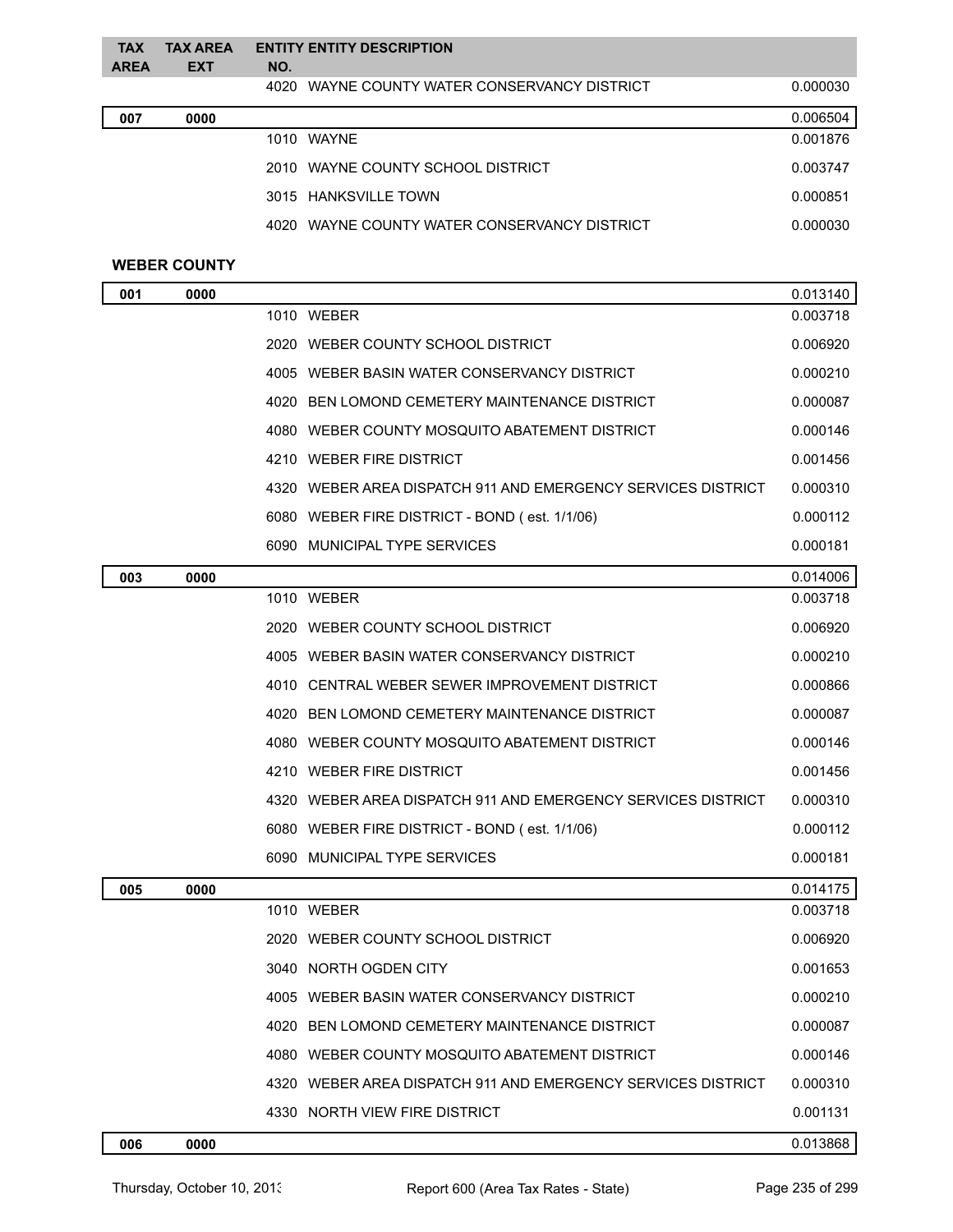| <b>TAX</b><br><b>AREA</b> | <b>TAX AREA</b><br><b>EXT</b> | NO.  | <b>ENTITY ENTITY DESCRIPTION</b>        |          |
|---------------------------|-------------------------------|------|-----------------------------------------|----------|
|                           |                               | 4020 | WAYNE COUNTY WATER CONSERVANCY DISTRICT | 0.000030 |
| 007                       | 0000                          |      |                                         | 0.006504 |
|                           |                               |      | 1010 WAYNE                              | 0.001876 |
|                           |                               | 2010 | WAYNE COUNTY SCHOOL DISTRICT            | 0.003747 |
|                           |                               |      | 3015 HANKSVILLE TOWN                    | 0.000851 |
|                           |                               | 4020 | WAYNE COUNTY WATER CONSERVANCY DISTRICT | 0.000030 |
|                           |                               |      |                                         |          |

#### **WEBER COUNTY**

| 001 | 0000 |                                                              | 0.013140 |
|-----|------|--------------------------------------------------------------|----------|
|     |      | 1010 WEBER                                                   | 0.003718 |
|     |      | 2020 WEBER COUNTY SCHOOL DISTRICT                            | 0.006920 |
|     |      | 4005 WEBER BASIN WATER CONSERVANCY DISTRICT                  | 0.000210 |
|     |      | 4020 BEN LOMOND CEMETERY MAINTENANCE DISTRICT                | 0.000087 |
|     |      | 4080 WEBER COUNTY MOSQUITO ABATEMENT DISTRICT                | 0.000146 |
|     |      | 4210 WEBER FIRE DISTRICT                                     | 0.001456 |
|     |      | 4320 WEBER AREA DISPATCH 911 AND EMERGENCY SERVICES DISTRICT | 0.000310 |
|     |      | 6080 WEBER FIRE DISTRICT - BOND (est. 1/1/06)                | 0.000112 |
|     |      | 6090 MUNICIPAL TYPE SERVICES                                 | 0.000181 |
| 003 | 0000 |                                                              | 0.014006 |
|     |      | 1010 WEBER                                                   | 0.003718 |
|     |      | 2020 WEBER COUNTY SCHOOL DISTRICT                            | 0.006920 |
|     |      | 4005 WEBER BASIN WATER CONSERVANCY DISTRICT                  | 0.000210 |
|     |      | 4010 CENTRAL WEBER SEWER IMPROVEMENT DISTRICT                | 0.000866 |
|     |      | 4020 BEN LOMOND CEMETERY MAINTENANCE DISTRICT                | 0.000087 |
|     |      | 4080 WEBER COUNTY MOSQUITO ABATEMENT DISTRICT                | 0.000146 |
|     |      | 4210 WEBER FIRE DISTRICT                                     | 0.001456 |
|     |      | 4320 WEBER AREA DISPATCH 911 AND EMERGENCY SERVICES DISTRICT | 0.000310 |
|     |      | 6080 WEBER FIRE DISTRICT - BOND (est. 1/1/06)                | 0.000112 |
|     |      | 6090 MUNICIPAL TYPE SERVICES                                 | 0.000181 |
| 005 | 0000 |                                                              | 0.014175 |
|     |      | 1010 WEBER                                                   | 0.003718 |
|     |      | 2020 WEBER COUNTY SCHOOL DISTRICT                            | 0.006920 |
|     |      | 3040 NORTH OGDEN CITY                                        | 0.001653 |
|     |      | 4005 WEBER BASIN WATER CONSERVANCY DISTRICT                  | 0.000210 |
|     |      | 4020 BEN LOMOND CEMETERY MAINTENANCE DISTRICT                | 0.000087 |
|     |      | 4080 WEBER COUNTY MOSQUITO ABATEMENT DISTRICT                | 0.000146 |
|     |      | 4320 WEBER AREA DISPATCH 911 AND EMERGENCY SERVICES DISTRICT | 0.000310 |
|     |      | 4330 NORTH VIEW FIRE DISTRICT                                | 0.001131 |
| 006 | 0000 |                                                              | 0.013868 |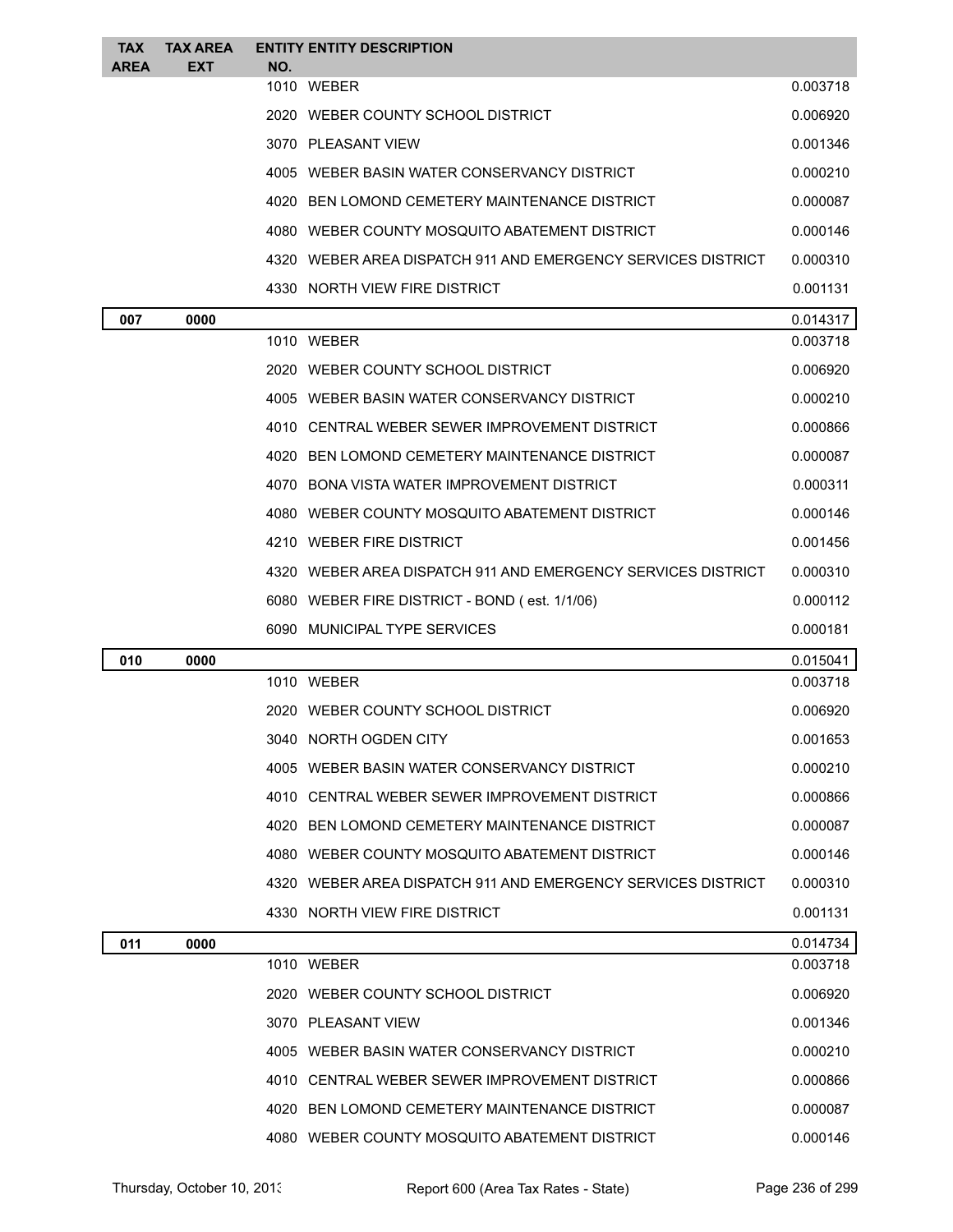| <b>TAX</b><br><b>AREA</b> | <b>TAX AREA</b><br><b>EXT</b> | NO. | <b>ENTITY ENTITY DESCRIPTION</b>                             |          |
|---------------------------|-------------------------------|-----|--------------------------------------------------------------|----------|
|                           |                               |     | 1010 WEBER                                                   | 0.003718 |
|                           |                               |     | 2020 WEBER COUNTY SCHOOL DISTRICT                            | 0.006920 |
|                           |                               |     | 3070 PLEASANT VIEW                                           | 0.001346 |
|                           |                               |     | 4005 WEBER BASIN WATER CONSERVANCY DISTRICT                  | 0.000210 |
|                           |                               |     | 4020 BEN LOMOND CEMETERY MAINTENANCE DISTRICT                | 0.000087 |
|                           |                               |     | 4080 WEBER COUNTY MOSQUITO ABATEMENT DISTRICT                | 0.000146 |
|                           |                               |     | 4320 WEBER AREA DISPATCH 911 AND EMERGENCY SERVICES DISTRICT | 0.000310 |
|                           |                               |     | 4330 NORTH VIEW FIRE DISTRICT                                | 0.001131 |
| 007                       | 0000                          |     |                                                              | 0.014317 |
|                           |                               |     | 1010 WEBER                                                   | 0.003718 |
|                           |                               |     | 2020 WEBER COUNTY SCHOOL DISTRICT                            | 0.006920 |
|                           |                               |     | 4005 WEBER BASIN WATER CONSERVANCY DISTRICT                  | 0.000210 |
|                           |                               |     | 4010 CENTRAL WEBER SEWER IMPROVEMENT DISTRICT                | 0.000866 |
|                           |                               |     | 4020 BEN LOMOND CEMETERY MAINTENANCE DISTRICT                | 0.000087 |
|                           |                               |     | 4070 BONA VISTA WATER IMPROVEMENT DISTRICT                   | 0.000311 |
|                           |                               |     | 4080 WEBER COUNTY MOSQUITO ABATEMENT DISTRICT                | 0.000146 |
|                           |                               |     | 4210 WEBER FIRE DISTRICT                                     | 0.001456 |
|                           |                               |     | 4320 WEBER AREA DISPATCH 911 AND EMERGENCY SERVICES DISTRICT | 0.000310 |
|                           |                               |     | 6080 WEBER FIRE DISTRICT - BOND (est. 1/1/06)                | 0.000112 |
|                           |                               |     |                                                              |          |
|                           |                               |     | 6090 MUNICIPAL TYPE SERVICES                                 | 0.000181 |
| 010                       | 0000                          |     |                                                              | 0.015041 |
|                           |                               |     | 1010 WEBER                                                   | 0.003718 |
|                           |                               |     | 2020 WEBER COUNTY SCHOOL DISTRICT                            | 0.006920 |
|                           |                               |     | 3040 NORTH OGDEN CITY                                        | 0.001653 |
|                           |                               |     | 4005 WEBER BASIN WATER CONSERVANCY DISTRICT                  | 0.000210 |
|                           |                               |     | 4010 CENTRAL WEBER SEWER IMPROVEMENT DISTRICT                | 0.000866 |
|                           |                               |     | 4020 BEN LOMOND CEMETERY MAINTENANCE DISTRICT                | 0.000087 |
|                           |                               |     | 4080 WEBER COUNTY MOSQUITO ABATEMENT DISTRICT                | 0.000146 |
|                           |                               |     | 4320 WEBER AREA DISPATCH 911 AND EMERGENCY SERVICES DISTRICT | 0.000310 |
|                           |                               |     | 4330 NORTH VIEW FIRE DISTRICT                                | 0.001131 |
| 011                       | 0000                          |     |                                                              | 0.014734 |
|                           |                               |     | 1010 WEBER                                                   | 0.003718 |
|                           |                               |     | 2020 WEBER COUNTY SCHOOL DISTRICT                            | 0.006920 |
|                           |                               |     | 3070 PLEASANT VIEW                                           | 0.001346 |
|                           |                               |     | 4005 WEBER BASIN WATER CONSERVANCY DISTRICT                  | 0.000210 |
|                           |                               |     | 4010 CENTRAL WEBER SEWER IMPROVEMENT DISTRICT                | 0.000866 |
|                           |                               |     | 4020 BEN LOMOND CEMETERY MAINTENANCE DISTRICT                | 0.000087 |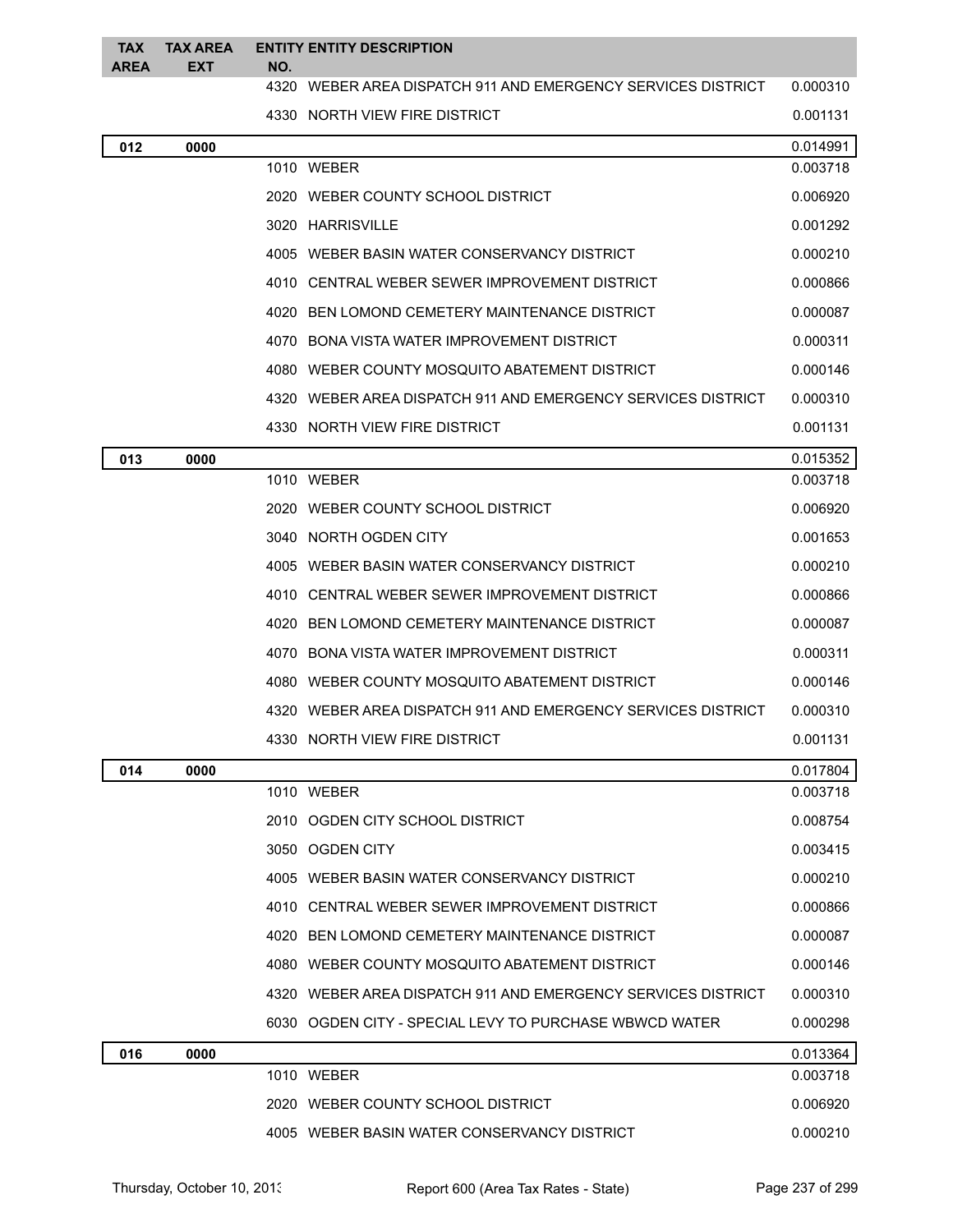| <b>TAX</b><br><b>AREA</b> | <b>TAX AREA</b><br>EXT | NO. | <b>ENTITY ENTITY DESCRIPTION</b>                             |          |
|---------------------------|------------------------|-----|--------------------------------------------------------------|----------|
|                           |                        |     | 4320 WEBER AREA DISPATCH 911 AND EMERGENCY SERVICES DISTRICT | 0.000310 |
|                           |                        |     | 4330 NORTH VIEW FIRE DISTRICT                                | 0.001131 |
| 012                       | 0000                   |     |                                                              | 0.014991 |
|                           |                        |     | 1010 WEBER                                                   | 0.003718 |
|                           |                        |     | 2020 WEBER COUNTY SCHOOL DISTRICT                            | 0.006920 |
|                           |                        |     | 3020 HARRISVILLE                                             | 0.001292 |
|                           |                        |     | 4005 WEBER BASIN WATER CONSERVANCY DISTRICT                  | 0.000210 |
|                           |                        |     | 4010 CENTRAL WEBER SEWER IMPROVEMENT DISTRICT                | 0.000866 |
|                           |                        |     | 4020 BEN LOMOND CEMETERY MAINTENANCE DISTRICT                | 0.000087 |
|                           |                        |     | 4070 BONA VISTA WATER IMPROVEMENT DISTRICT                   | 0.000311 |
|                           |                        |     | 4080 WEBER COUNTY MOSQUITO ABATEMENT DISTRICT                | 0.000146 |
|                           |                        |     | 4320 WEBER AREA DISPATCH 911 AND EMERGENCY SERVICES DISTRICT | 0.000310 |
|                           |                        |     | 4330 NORTH VIEW FIRE DISTRICT                                | 0.001131 |
| 013                       | 0000                   |     |                                                              | 0.015352 |
|                           |                        |     | 1010 WEBER                                                   | 0.003718 |
|                           |                        |     | 2020 WEBER COUNTY SCHOOL DISTRICT                            | 0.006920 |
|                           |                        |     | 3040 NORTH OGDEN CITY                                        | 0.001653 |
|                           |                        |     | 4005 WEBER BASIN WATER CONSERVANCY DISTRICT                  | 0.000210 |
|                           |                        |     | 4010 CENTRAL WEBER SEWER IMPROVEMENT DISTRICT                | 0.000866 |
|                           |                        |     | 4020 BEN LOMOND CEMETERY MAINTENANCE DISTRICT                | 0.000087 |
|                           |                        |     | 4070 BONA VISTA WATER IMPROVEMENT DISTRICT                   | 0.000311 |
|                           |                        |     | 4080 WEBER COUNTY MOSQUITO ABATEMENT DISTRICT                | 0.000146 |
|                           |                        |     | 4320 WEBER AREA DISPATCH 911 AND EMERGENCY SERVICES DISTRICT | 0.000310 |
|                           |                        |     | 4330 NORTH VIEW FIRE DISTRICT                                | 0.001131 |
| 014                       | 0000                   |     |                                                              | 0.017804 |
|                           |                        |     | 1010 WEBER                                                   | 0.003718 |
|                           |                        |     | 2010 OGDEN CITY SCHOOL DISTRICT                              | 0.008754 |
|                           |                        |     | 3050 OGDEN CITY                                              | 0.003415 |
|                           |                        |     | 4005 WEBER BASIN WATER CONSERVANCY DISTRICT                  | 0.000210 |
|                           |                        |     | 4010 CENTRAL WEBER SEWER IMPROVEMENT DISTRICT                | 0.000866 |
|                           |                        |     | 4020 BEN LOMOND CEMETERY MAINTENANCE DISTRICT                | 0.000087 |
|                           |                        |     | 4080 WEBER COUNTY MOSQUITO ABATEMENT DISTRICT                | 0.000146 |
|                           |                        |     | 4320 WEBER AREA DISPATCH 911 AND EMERGENCY SERVICES DISTRICT | 0.000310 |
|                           |                        |     | 6030 OGDEN CITY - SPECIAL LEVY TO PURCHASE WBWCD WATER       | 0.000298 |
| 016                       | 0000                   |     |                                                              | 0.013364 |
|                           |                        |     | 1010 WEBER                                                   | 0.003718 |
|                           |                        |     | 2020 WEBER COUNTY SCHOOL DISTRICT                            | 0.006920 |
|                           |                        |     | 4005 WEBER BASIN WATER CONSERVANCY DISTRICT                  | 0.000210 |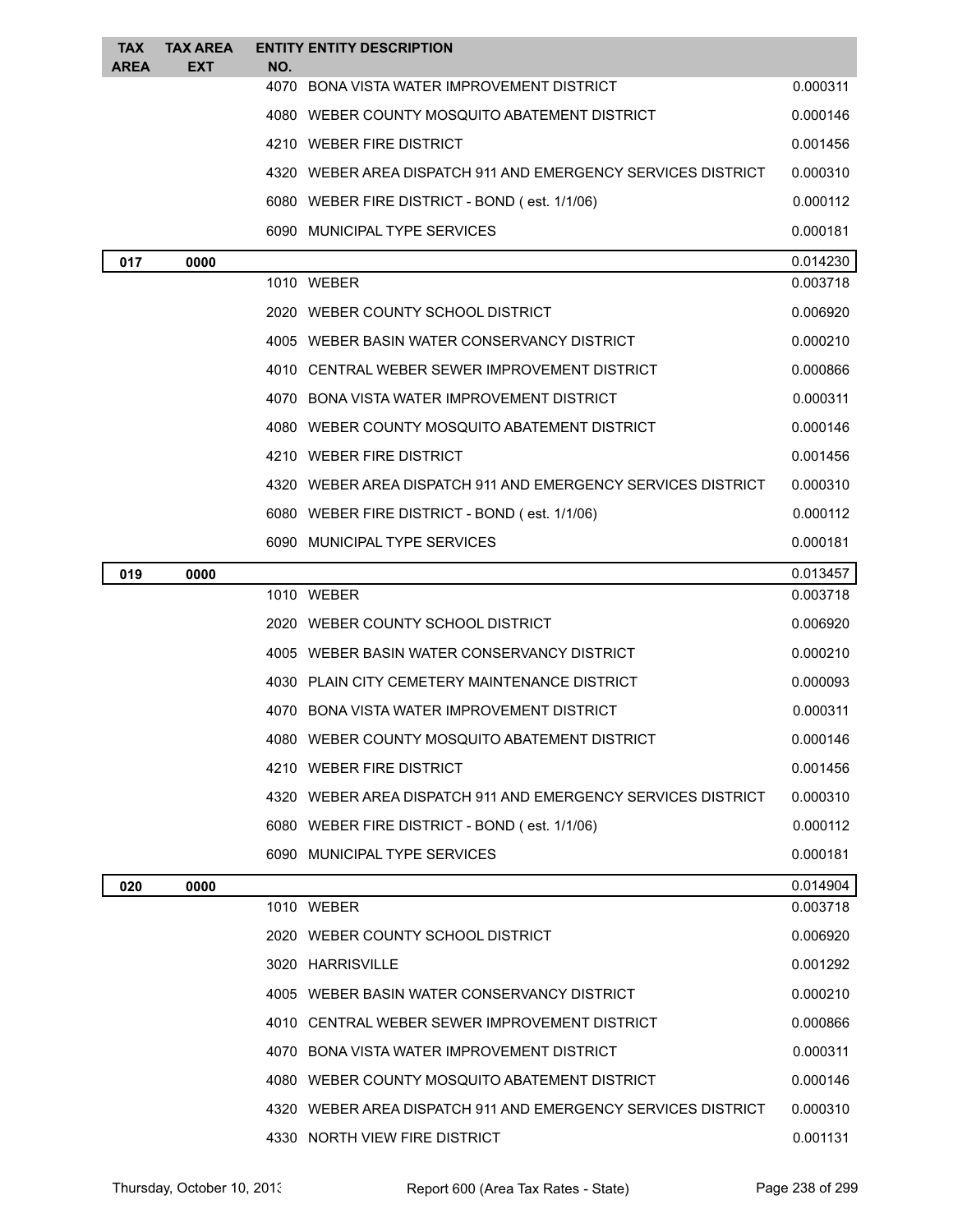| <b>TAX</b><br><b>AREA</b> | <b>TAX AREA</b><br><b>EXT</b> | NO.  | <b>ENTITY ENTITY DESCRIPTION</b>                             |          |
|---------------------------|-------------------------------|------|--------------------------------------------------------------|----------|
|                           |                               | 4070 | <b>BONA VISTA WATER IMPROVEMENT DISTRICT</b>                 | 0.000311 |
|                           |                               |      | 4080 WEBER COUNTY MOSQUITO ABATEMENT DISTRICT                | 0.000146 |
|                           |                               |      | 4210 WEBER FIRE DISTRICT                                     | 0.001456 |
|                           |                               |      | 4320 WEBER AREA DISPATCH 911 AND EMERGENCY SERVICES DISTRICT | 0.000310 |
|                           |                               |      | 6080 WEBER FIRE DISTRICT - BOND (est. 1/1/06)                | 0.000112 |
|                           |                               |      | 6090 MUNICIPAL TYPE SERVICES                                 | 0.000181 |
| 017                       | 0000                          |      |                                                              | 0.014230 |
|                           |                               |      | 1010 WEBER                                                   | 0.003718 |
|                           |                               |      | 2020 WEBER COUNTY SCHOOL DISTRICT                            | 0.006920 |
|                           |                               |      | 4005 WEBER BASIN WATER CONSERVANCY DISTRICT                  | 0.000210 |
|                           |                               |      | 4010 CENTRAL WEBER SEWER IMPROVEMENT DISTRICT                | 0.000866 |
|                           |                               |      | 4070 BONA VISTA WATER IMPROVEMENT DISTRICT                   | 0.000311 |
|                           |                               |      | 4080 WEBER COUNTY MOSQUITO ABATEMENT DISTRICT                | 0.000146 |
|                           |                               |      | 4210 WEBER FIRE DISTRICT                                     | 0.001456 |
|                           |                               |      | 4320 WEBER AREA DISPATCH 911 AND EMERGENCY SERVICES DISTRICT | 0.000310 |
|                           |                               |      | 6080 WEBER FIRE DISTRICT - BOND (est. 1/1/06)                | 0.000112 |
|                           |                               |      | 6090 MUNICIPAL TYPE SERVICES                                 | 0.000181 |
| 019                       | 0000                          |      |                                                              | 0.013457 |
|                           |                               |      | 1010 WEBER                                                   | 0.003718 |
|                           |                               |      | 2020 WEBER COUNTY SCHOOL DISTRICT                            | 0.006920 |
|                           |                               |      | 4005 WEBER BASIN WATER CONSERVANCY DISTRICT                  | 0.000210 |
|                           |                               |      | 4030 PLAIN CITY CEMETERY MAINTENANCE DISTRICT                | 0.000093 |
|                           |                               |      | 4070 BONA VISTA WATER IMPROVEMENT DISTRICT                   | 0.000311 |
|                           |                               |      | 4080 WEBER COUNTY MOSQUITO ABATEMENT DISTRICT                | 0.000146 |
|                           |                               |      | 4210 WEBER FIRE DISTRICT                                     | 0.001456 |
|                           |                               |      | 4320 WEBER AREA DISPATCH 911 AND EMERGENCY SERVICES DISTRICT | 0.000310 |
|                           |                               |      | 6080 WEBER FIRE DISTRICT - BOND (est. 1/1/06)                | 0.000112 |
|                           |                               |      | 6090 MUNICIPAL TYPE SERVICES                                 | 0.000181 |
| 020                       | 0000                          |      |                                                              | 0.014904 |
|                           |                               |      | 1010 WEBER                                                   | 0.003718 |
|                           |                               |      | 2020 WEBER COUNTY SCHOOL DISTRICT                            | 0.006920 |
|                           |                               |      | 3020 HARRISVILLE                                             | 0.001292 |
|                           |                               |      | 4005 WEBER BASIN WATER CONSERVANCY DISTRICT                  | 0.000210 |
|                           |                               |      | 4010 CENTRAL WEBER SEWER IMPROVEMENT DISTRICT                | 0.000866 |
|                           |                               |      | 4070 BONA VISTA WATER IMPROVEMENT DISTRICT                   | 0.000311 |
|                           |                               |      | 4080 WEBER COUNTY MOSQUITO ABATEMENT DISTRICT                | 0.000146 |
|                           |                               |      | 4320 WEBER AREA DISPATCH 911 AND EMERGENCY SERVICES DISTRICT | 0.000310 |
|                           |                               |      | 4330 NORTH VIEW FIRE DISTRICT                                | 0.001131 |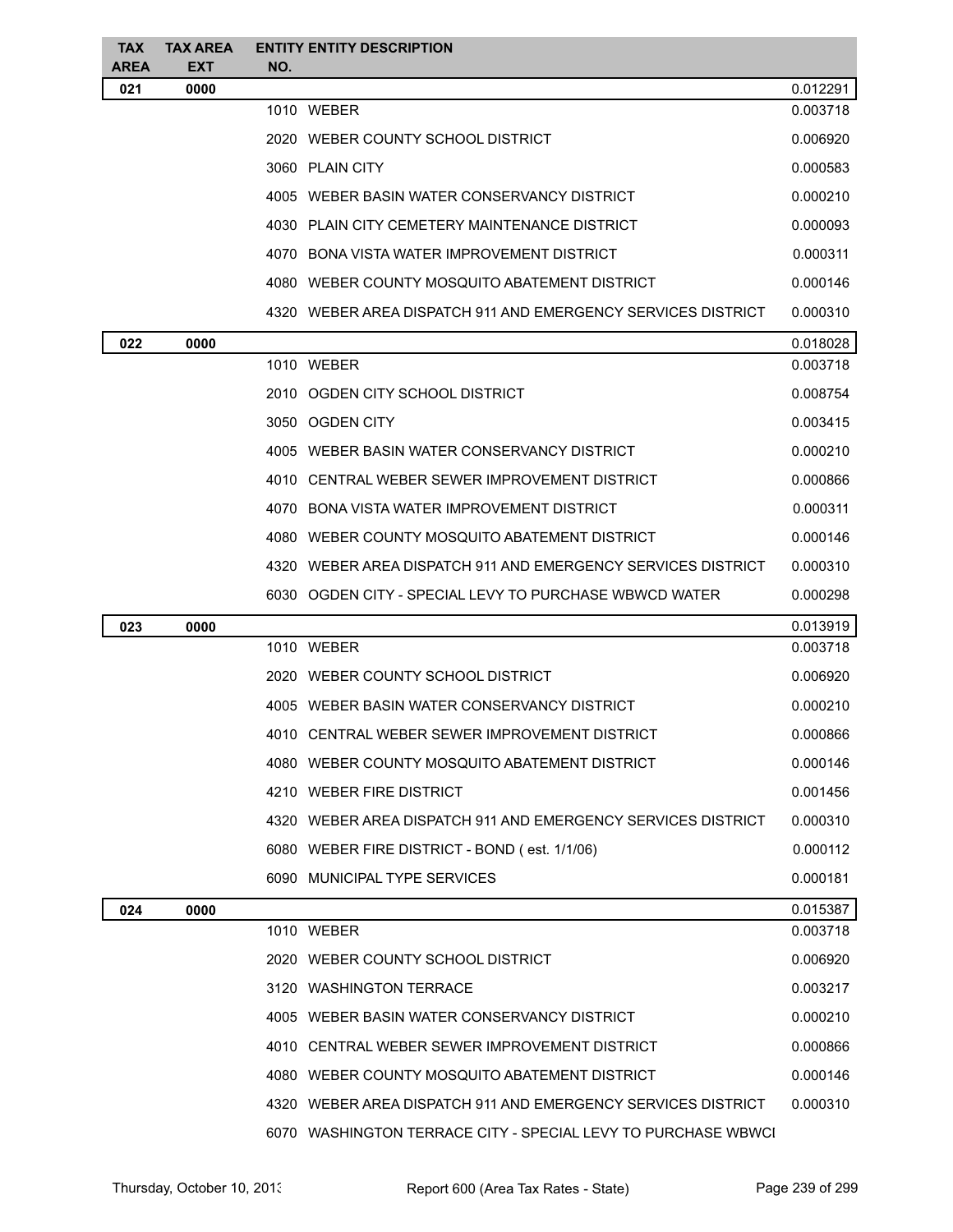| <b>TAX</b><br>AREA | <b>TAX AREA</b><br><b>EXT</b> | NO. | <b>ENTITY ENTITY DESCRIPTION</b>                              |          |
|--------------------|-------------------------------|-----|---------------------------------------------------------------|----------|
| 021                | 0000                          |     |                                                               | 0.012291 |
|                    |                               |     | 1010 WEBER                                                    | 0.003718 |
|                    |                               |     | 2020 WEBER COUNTY SCHOOL DISTRICT                             | 0.006920 |
|                    |                               |     | 3060 PLAIN CITY                                               | 0.000583 |
|                    |                               |     | 4005 WEBER BASIN WATER CONSERVANCY DISTRICT                   | 0.000210 |
|                    |                               |     | 4030 PLAIN CITY CEMETERY MAINTENANCE DISTRICT                 | 0.000093 |
|                    |                               |     | 4070 BONA VISTA WATER IMPROVEMENT DISTRICT                    | 0.000311 |
|                    |                               |     | 4080 WEBER COUNTY MOSQUITO ABATEMENT DISTRICT                 | 0.000146 |
|                    |                               |     | 4320 WEBER AREA DISPATCH 911 AND EMERGENCY SERVICES DISTRICT  | 0.000310 |
| 022                | 0000                          |     |                                                               | 0.018028 |
|                    |                               |     | 1010 WEBER                                                    | 0.003718 |
|                    |                               |     | 2010 OGDEN CITY SCHOOL DISTRICT                               | 0.008754 |
|                    |                               |     | 3050 OGDEN CITY                                               | 0.003415 |
|                    |                               |     | 4005 WEBER BASIN WATER CONSERVANCY DISTRICT                   | 0.000210 |
|                    |                               |     | 4010 CENTRAL WEBER SEWER IMPROVEMENT DISTRICT                 | 0.000866 |
|                    |                               |     | 4070 BONA VISTA WATER IMPROVEMENT DISTRICT                    | 0.000311 |
|                    |                               |     | 4080 WEBER COUNTY MOSQUITO ABATEMENT DISTRICT                 | 0.000146 |
|                    |                               |     | 4320 WEBER AREA DISPATCH 911 AND EMERGENCY SERVICES DISTRICT  | 0.000310 |
|                    |                               |     | 6030 OGDEN CITY - SPECIAL LEVY TO PURCHASE WBWCD WATER        | 0.000298 |
| 023                | 0000                          |     |                                                               | 0.013919 |
|                    |                               |     | 1010 WEBER                                                    | 0.003718 |
|                    |                               |     | 2020 WEBER COUNTY SCHOOL DISTRICT                             | 0.006920 |
|                    |                               |     | 4005 WEBER BASIN WATER CONSERVANCY DISTRICT                   | 0.000210 |
|                    |                               |     | 4010 CENTRAL WEBER SEWER IMPROVEMENT DISTRICT                 | 0.000866 |
|                    |                               |     | 4080 WEBER COUNTY MOSQUITO ABATEMENT DISTRICT                 | 0.000146 |
|                    |                               |     | 4210 WEBER FIRE DISTRICT                                      | 0.001456 |
|                    |                               |     | 4320 WEBER AREA DISPATCH 911 AND EMERGENCY SERVICES DISTRICT  | 0.000310 |
|                    |                               |     | 6080 WEBER FIRE DISTRICT - BOND (est. 1/1/06)                 | 0.000112 |
|                    |                               |     | 6090 MUNICIPAL TYPE SERVICES                                  | 0.000181 |
| 024                | 0000                          |     |                                                               | 0.015387 |
|                    |                               |     | 1010 WEBER                                                    | 0.003718 |
|                    |                               |     | 2020 WEBER COUNTY SCHOOL DISTRICT                             | 0.006920 |
|                    |                               |     | 3120 WASHINGTON TERRACE                                       | 0.003217 |
|                    |                               |     | 4005 WEBER BASIN WATER CONSERVANCY DISTRICT                   | 0.000210 |
|                    |                               |     | 4010 CENTRAL WEBER SEWER IMPROVEMENT DISTRICT                 | 0.000866 |
|                    |                               |     | 4080 WEBER COUNTY MOSQUITO ABATEMENT DISTRICT                 | 0.000146 |
|                    |                               |     | 4320 WEBER AREA DISPATCH 911 AND EMERGENCY SERVICES DISTRICT  | 0.000310 |
|                    |                               |     | 6070 WASHINGTON TERRACE CITY - SPECIAL LEVY TO PURCHASE WBWCI |          |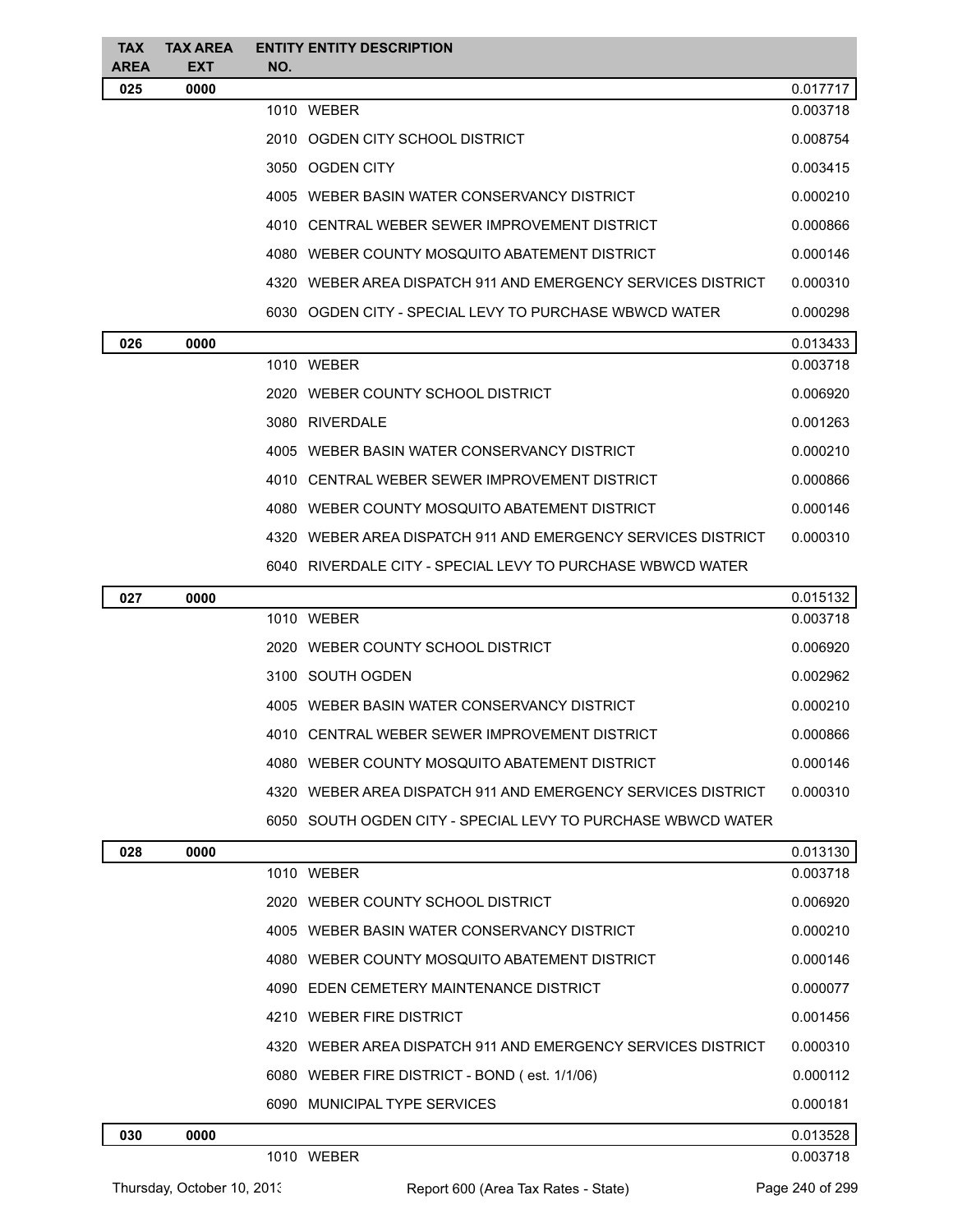| <b>TAX</b><br><b>AREA</b> | <b>TAX AREA</b><br>EXT | <b>ENTITY ENTITY DESCRIPTION</b><br>NO.                      |          |
|---------------------------|------------------------|--------------------------------------------------------------|----------|
| 025                       | 0000                   |                                                              | 0.017717 |
|                           |                        | 1010 WEBER                                                   | 0.003718 |
|                           |                        | 2010 OGDEN CITY SCHOOL DISTRICT                              | 0.008754 |
|                           |                        | 3050 OGDEN CITY                                              | 0.003415 |
|                           |                        | 4005 WEBER BASIN WATER CONSERVANCY DISTRICT                  | 0.000210 |
|                           |                        | 4010 CENTRAL WEBER SEWER IMPROVEMENT DISTRICT                | 0.000866 |
|                           |                        | 4080 WEBER COUNTY MOSQUITO ABATEMENT DISTRICT                | 0.000146 |
|                           |                        | 4320 WEBER AREA DISPATCH 911 AND EMERGENCY SERVICES DISTRICT | 0.000310 |
|                           |                        | 6030 OGDEN CITY - SPECIAL LEVY TO PURCHASE WBWCD WATER       | 0.000298 |
| 026                       | 0000                   |                                                              | 0.013433 |
|                           |                        | 1010 WEBER                                                   | 0.003718 |
|                           |                        | 2020 WEBER COUNTY SCHOOL DISTRICT                            | 0.006920 |
|                           |                        | 3080 RIVERDALE                                               | 0.001263 |
|                           |                        | 4005 WEBER BASIN WATER CONSERVANCY DISTRICT                  | 0.000210 |
|                           |                        | 4010 CENTRAL WEBER SEWER IMPROVEMENT DISTRICT                | 0.000866 |
|                           |                        | 4080 WEBER COUNTY MOSQUITO ABATEMENT DISTRICT                | 0.000146 |
|                           |                        | 4320 WEBER AREA DISPATCH 911 AND EMERGENCY SERVICES DISTRICT | 0.000310 |
|                           |                        | 6040 RIVERDALE CITY - SPECIAL LEVY TO PURCHASE WBWCD WATER   |          |
| 027                       | 0000                   |                                                              | 0.015132 |
|                           |                        | 1010 WEBER                                                   | 0.003718 |
|                           |                        | 2020 WEBER COUNTY SCHOOL DISTRICT                            | 0.006920 |
|                           |                        | 3100 SOUTH OGDEN                                             | 0.002962 |
|                           |                        | 4005 WEBER BASIN WATER CONSERVANCY DISTRICT                  | 0.000210 |
|                           |                        | 4010 CENTRAL WEBER SEWER IMPROVEMENT DISTRICT                | 0.000866 |
|                           |                        | 4080 WEBER COUNTY MOSQUITO ABATEMENT DISTRICT                | 0.000146 |
|                           |                        | 4320 WEBER AREA DISPATCH 911 AND EMERGENCY SERVICES DISTRICT | 0.000310 |
|                           |                        | 6050 SOUTH OGDEN CITY - SPECIAL LEVY TO PURCHASE WBWCD WATER |          |
| 028                       | 0000                   |                                                              | 0.013130 |
|                           |                        | 1010 WEBER                                                   | 0.003718 |
|                           |                        | 2020 WEBER COUNTY SCHOOL DISTRICT                            | 0.006920 |
|                           |                        | 4005 WEBER BASIN WATER CONSERVANCY DISTRICT                  | 0.000210 |
|                           |                        | 4080 WEBER COUNTY MOSQUITO ABATEMENT DISTRICT                | 0.000146 |
|                           |                        | 4090 EDEN CEMETERY MAINTENANCE DISTRICT                      | 0.000077 |
|                           |                        | 4210 WEBER FIRE DISTRICT                                     | 0.001456 |
|                           |                        | 4320 WEBER AREA DISPATCH 911 AND EMERGENCY SERVICES DISTRICT | 0.000310 |
|                           |                        | 6080 WEBER FIRE DISTRICT - BOND (est. 1/1/06)                | 0.000112 |
|                           |                        | 6090 MUNICIPAL TYPE SERVICES                                 | 0.000181 |

#### **0000** 0.013528

WEBER 0.003718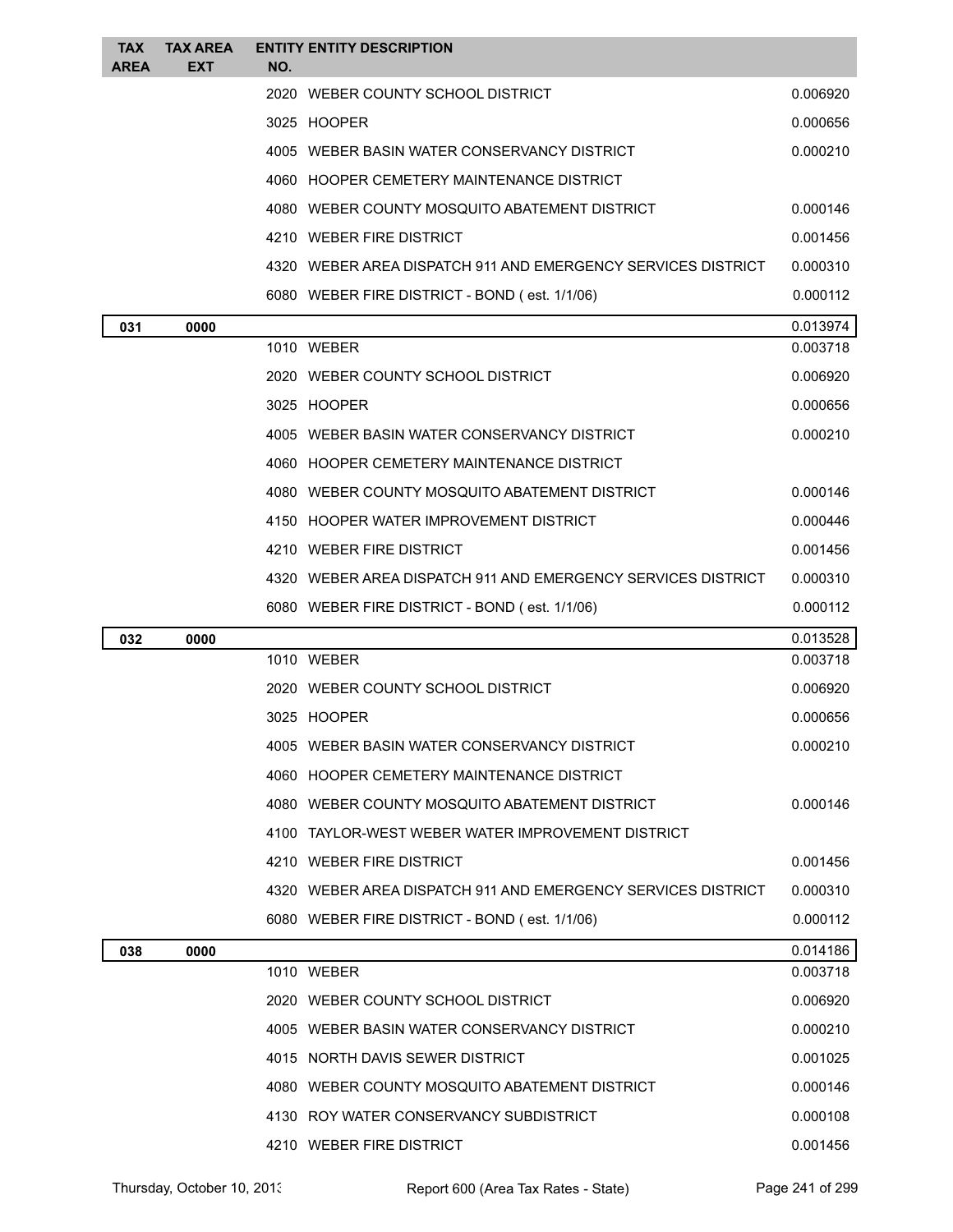| TAX<br><b>AREA</b> | <b>TAX AREA</b><br><b>EXT</b> | NO. | <b>ENTITY ENTITY DESCRIPTION</b>                             |          |
|--------------------|-------------------------------|-----|--------------------------------------------------------------|----------|
|                    |                               |     | 2020 WEBER COUNTY SCHOOL DISTRICT                            | 0.006920 |
|                    |                               |     | 3025 HOOPER                                                  | 0.000656 |
|                    |                               |     | 4005 WEBER BASIN WATER CONSERVANCY DISTRICT                  | 0.000210 |
|                    |                               |     | 4060 HOOPER CEMETERY MAINTENANCE DISTRICT                    |          |
|                    |                               |     | 4080 WEBER COUNTY MOSQUITO ABATEMENT DISTRICT                | 0.000146 |
|                    |                               |     | 4210 WEBER FIRE DISTRICT                                     | 0.001456 |
|                    |                               |     | 4320 WEBER AREA DISPATCH 911 AND EMERGENCY SERVICES DISTRICT | 0.000310 |
|                    |                               |     | 6080 WEBER FIRE DISTRICT - BOND (est. 1/1/06)                | 0.000112 |
| 031                | 0000                          |     |                                                              | 0.013974 |
|                    |                               |     | 1010 WEBER                                                   | 0.003718 |
|                    |                               |     | 2020 WEBER COUNTY SCHOOL DISTRICT                            | 0.006920 |
|                    |                               |     | 3025 HOOPER                                                  | 0.000656 |
|                    |                               |     | 4005 WEBER BASIN WATER CONSERVANCY DISTRICT                  | 0.000210 |
|                    |                               |     | 4060 HOOPER CEMETERY MAINTENANCE DISTRICT                    |          |
|                    |                               |     | 4080 WEBER COUNTY MOSQUITO ABATEMENT DISTRICT                | 0.000146 |
|                    |                               |     | 4150 HOOPER WATER IMPROVEMENT DISTRICT                       | 0.000446 |
|                    |                               |     | 4210 WEBER FIRE DISTRICT                                     | 0.001456 |
|                    |                               |     | 4320 WEBER AREA DISPATCH 911 AND EMERGENCY SERVICES DISTRICT | 0.000310 |
|                    |                               |     | 6080 WEBER FIRE DISTRICT - BOND (est. 1/1/06)                | 0.000112 |
| 032                | 0000                          |     |                                                              | 0.013528 |
|                    |                               |     | 1010 WEBER                                                   | 0.003718 |
|                    |                               |     | 2020 WEBER COUNTY SCHOOL DISTRICT                            | 0.006920 |
|                    |                               |     | 3025 HOOPER                                                  | 0.000656 |
|                    |                               |     | 4005 WEBER BASIN WATER CONSERVANCY DISTRICT                  | 0.000210 |
|                    |                               |     | 4060 HOOPER CEMETERY MAINTENANCE DISTRICT                    |          |
|                    |                               |     | 4080 WEBER COUNTY MOSQUITO ABATEMENT DISTRICT                | 0.000146 |
|                    |                               |     | 4100 TAYLOR-WEST WEBER WATER IMPROVEMENT DISTRICT            |          |
|                    |                               |     | 4210 WEBER FIRE DISTRICT                                     | 0.001456 |
|                    |                               |     | 4320 WEBER AREA DISPATCH 911 AND EMERGENCY SERVICES DISTRICT | 0.000310 |
|                    |                               |     | 6080 WEBER FIRE DISTRICT - BOND (est. 1/1/06)                | 0.000112 |
| 038                | 0000                          |     |                                                              | 0.014186 |
|                    |                               |     | 1010 WEBER                                                   | 0.003718 |
|                    |                               |     | 2020 WEBER COUNTY SCHOOL DISTRICT                            | 0.006920 |
|                    |                               |     | 4005 WEBER BASIN WATER CONSERVANCY DISTRICT                  | 0.000210 |
|                    |                               |     | 4015 NORTH DAVIS SEWER DISTRICT                              | 0.001025 |
|                    |                               |     | 4080 WEBER COUNTY MOSQUITO ABATEMENT DISTRICT                | 0.000146 |
|                    |                               |     | 4130 ROY WATER CONSERVANCY SUBDISTRICT                       | 0.000108 |
|                    |                               |     | 4210 WEBER FIRE DISTRICT                                     | 0.001456 |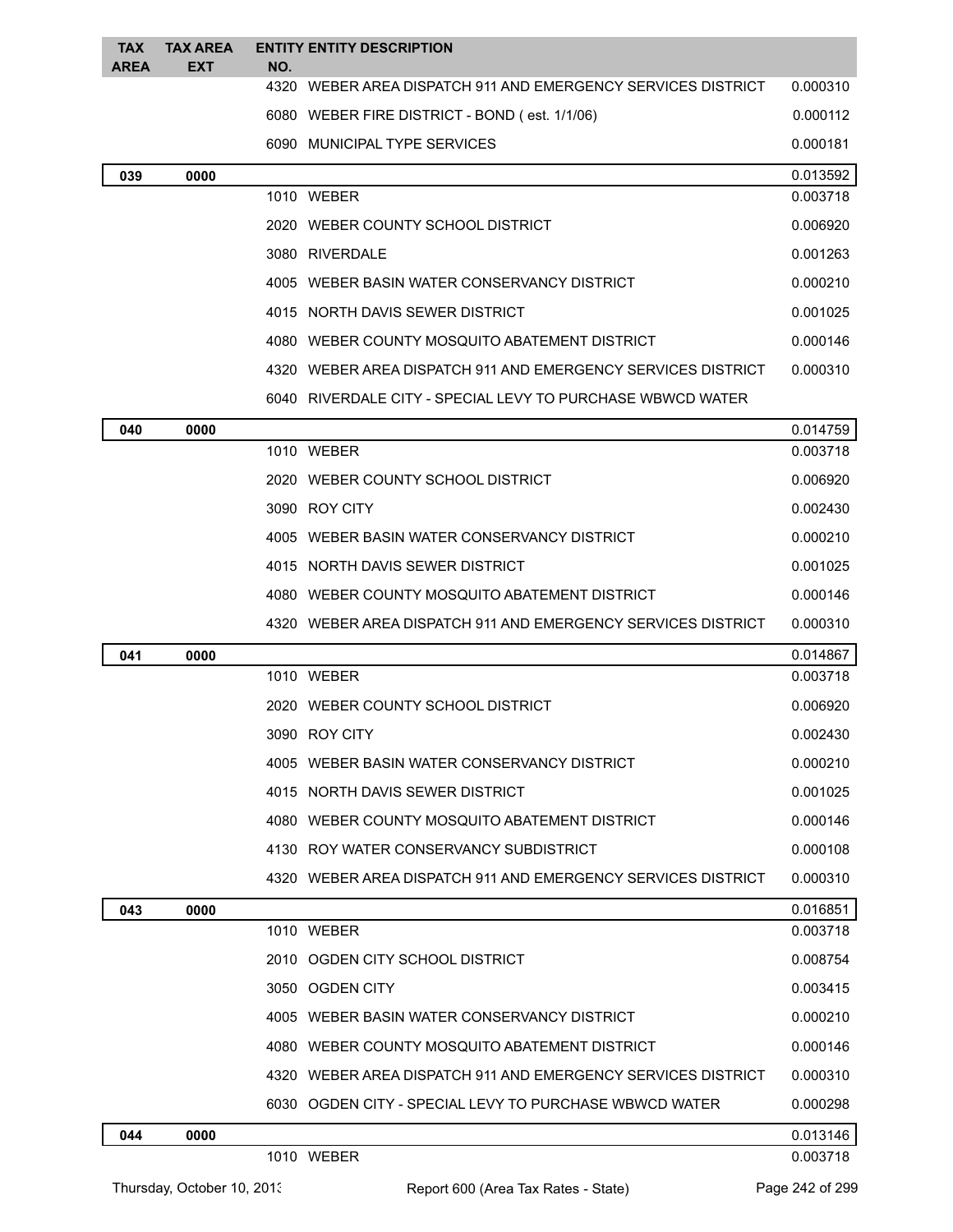| <b>TAX</b><br><b>AREA</b> | <b>TAX AREA</b><br><b>EXT</b> | <b>ENTITY ENTITY DESCRIPTION</b><br>NO.                      |          |
|---------------------------|-------------------------------|--------------------------------------------------------------|----------|
|                           |                               | 4320 WEBER AREA DISPATCH 911 AND EMERGENCY SERVICES DISTRICT | 0.000310 |
|                           |                               | 6080 WEBER FIRE DISTRICT - BOND (est. 1/1/06)                | 0.000112 |
|                           |                               | 6090 MUNICIPAL TYPE SERVICES                                 | 0.000181 |
| 039                       | 0000                          |                                                              | 0.013592 |
|                           |                               | 1010 WEBER                                                   | 0.003718 |
|                           |                               | 2020 WEBER COUNTY SCHOOL DISTRICT                            | 0.006920 |
|                           |                               | 3080 RIVERDALE                                               | 0.001263 |
|                           |                               | 4005 WEBER BASIN WATER CONSERVANCY DISTRICT                  | 0.000210 |
|                           |                               | 4015 NORTH DAVIS SEWER DISTRICT                              | 0.001025 |
|                           |                               | 4080 WEBER COUNTY MOSQUITO ABATEMENT DISTRICT                | 0.000146 |
|                           |                               | 4320 WEBER AREA DISPATCH 911 AND EMERGENCY SERVICES DISTRICT | 0.000310 |
|                           |                               | 6040 RIVERDALE CITY - SPECIAL LEVY TO PURCHASE WBWCD WATER   |          |
| 040                       | 0000                          |                                                              | 0.014759 |
|                           |                               | 1010 WEBER                                                   | 0.003718 |
|                           |                               | 2020 WEBER COUNTY SCHOOL DISTRICT                            | 0.006920 |
|                           |                               | 3090 ROY CITY                                                | 0.002430 |
|                           |                               | 4005 WEBER BASIN WATER CONSERVANCY DISTRICT                  | 0.000210 |
|                           |                               | 4015 NORTH DAVIS SEWER DISTRICT                              | 0.001025 |
|                           |                               | 4080 WEBER COUNTY MOSQUITO ABATEMENT DISTRICT                | 0.000146 |
|                           |                               | 4320 WEBER AREA DISPATCH 911 AND EMERGENCY SERVICES DISTRICT | 0.000310 |
| 041                       | 0000                          |                                                              | 0.014867 |
|                           |                               | 1010 WEBER                                                   | 0.003718 |
|                           |                               | 2020 WEBER COUNTY SCHOOL DISTRICT                            | 0.006920 |
|                           |                               | 3090 ROY CITY                                                | 0.002430 |
|                           |                               | 4005 WEBER BASIN WATER CONSERVANCY DISTRICT                  | 0.000210 |
|                           |                               | 4015 NORTH DAVIS SEWER DISTRICT                              | 0.001025 |
|                           |                               | 4080 WEBER COUNTY MOSQUITO ABATEMENT DISTRICT                | 0.000146 |
|                           |                               | 4130 ROY WATER CONSERVANCY SUBDISTRICT                       | 0.000108 |
|                           |                               | 4320 WEBER AREA DISPATCH 911 AND EMERGENCY SERVICES DISTRICT | 0.000310 |
| 043                       | 0000                          |                                                              | 0.016851 |
|                           |                               | 1010 WEBER                                                   | 0.003718 |
|                           |                               | 2010 OGDEN CITY SCHOOL DISTRICT                              | 0.008754 |
|                           |                               | 3050 OGDEN CITY                                              | 0.003415 |
|                           |                               | 4005 WEBER BASIN WATER CONSERVANCY DISTRICT                  | 0.000210 |
|                           |                               | 4080 WEBER COUNTY MOSQUITO ABATEMENT DISTRICT                | 0.000146 |
|                           |                               | 4320 WEBER AREA DISPATCH 911 AND EMERGENCY SERVICES DISTRICT | 0.000310 |
|                           |                               | 6030 OGDEN CITY - SPECIAL LEVY TO PURCHASE WBWCD WATER       | 0.000298 |
| 044                       | 0000                          |                                                              | 0.013146 |
|                           |                               | 1010 WEBER                                                   | 0.003718 |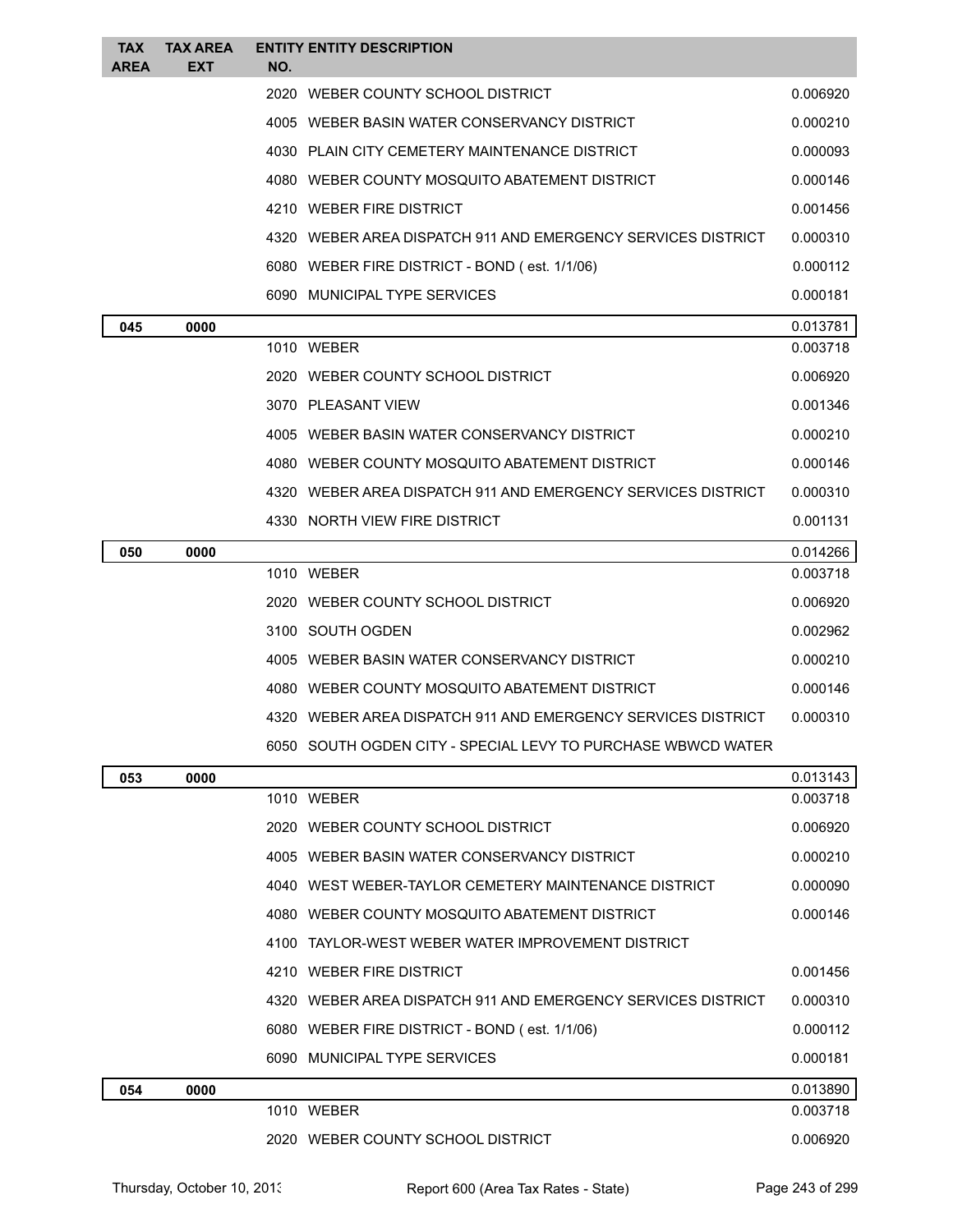| <b>TAX</b><br><b>AREA</b> | <b>TAX AREA</b><br><b>EXT</b> | NO. | <b>ENTITY ENTITY DESCRIPTION</b>                             |          |
|---------------------------|-------------------------------|-----|--------------------------------------------------------------|----------|
|                           |                               |     | 2020 WEBER COUNTY SCHOOL DISTRICT                            | 0.006920 |
|                           |                               |     | 4005 WEBER BASIN WATER CONSERVANCY DISTRICT                  | 0.000210 |
|                           |                               |     | 4030 PLAIN CITY CEMETERY MAINTENANCE DISTRICT                | 0.000093 |
|                           |                               |     | 4080 WEBER COUNTY MOSQUITO ABATEMENT DISTRICT                | 0.000146 |
|                           |                               |     | 4210 WEBER FIRE DISTRICT                                     | 0.001456 |
|                           |                               |     | 4320 WEBER AREA DISPATCH 911 AND EMERGENCY SERVICES DISTRICT | 0.000310 |
|                           |                               |     | 6080 WEBER FIRE DISTRICT - BOND (est. 1/1/06)                | 0.000112 |
|                           |                               |     | 6090 MUNICIPAL TYPE SERVICES                                 | 0.000181 |
| 045                       | 0000                          |     |                                                              | 0.013781 |
|                           |                               |     | 1010 WEBER                                                   | 0.003718 |
|                           |                               |     | 2020 WEBER COUNTY SCHOOL DISTRICT                            | 0.006920 |
|                           |                               |     | 3070 PLEASANT VIEW                                           | 0.001346 |
|                           |                               |     | 4005 WEBER BASIN WATER CONSERVANCY DISTRICT                  | 0.000210 |
|                           |                               |     | 4080 WEBER COUNTY MOSQUITO ABATEMENT DISTRICT                | 0.000146 |
|                           |                               |     | 4320 WEBER AREA DISPATCH 911 AND EMERGENCY SERVICES DISTRICT | 0.000310 |
|                           |                               |     | 4330 NORTH VIEW FIRE DISTRICT                                | 0.001131 |
| 050                       | 0000                          |     |                                                              | 0.014266 |
|                           |                               |     | 1010 WEBER                                                   | 0.003718 |
|                           |                               |     | 2020 WEBER COUNTY SCHOOL DISTRICT                            | 0.006920 |
|                           |                               |     | 3100 SOUTH OGDEN                                             | 0.002962 |
|                           |                               |     | 4005 WEBER BASIN WATER CONSERVANCY DISTRICT                  | 0.000210 |
|                           |                               |     | 4080 WEBER COUNTY MOSQUITO ABATEMENT DISTRICT                | 0.000146 |
|                           |                               |     | 4320 WEBER AREA DISPATCH 911 AND EMERGENCY SERVICES DISTRICT | 0.000310 |
|                           |                               |     | 6050 SOUTH OGDEN CITY - SPECIAL LEVY TO PURCHASE WBWCD WATER |          |
| 053                       | 0000                          |     |                                                              | 0.013143 |
|                           |                               |     | 1010 WEBER                                                   | 0.003718 |
|                           |                               |     | 2020 WEBER COUNTY SCHOOL DISTRICT                            | 0.006920 |
|                           |                               |     | 4005 WEBER BASIN WATER CONSERVANCY DISTRICT                  | 0.000210 |
|                           |                               |     | 4040 WEST WEBER-TAYLOR CEMETERY MAINTENANCE DISTRICT         | 0.000090 |
|                           |                               |     | 4080 WEBER COUNTY MOSQUITO ABATEMENT DISTRICT                | 0.000146 |
|                           |                               |     | 4100 TAYLOR-WEST WEBER WATER IMPROVEMENT DISTRICT            |          |
|                           |                               |     | 4210 WEBER FIRE DISTRICT                                     | 0.001456 |
|                           |                               |     | 4320 WEBER AREA DISPATCH 911 AND EMERGENCY SERVICES DISTRICT | 0.000310 |
|                           |                               |     | 6080 WEBER FIRE DISTRICT - BOND (est. 1/1/06)                | 0.000112 |
|                           |                               |     | 6090 MUNICIPAL TYPE SERVICES                                 | 0.000181 |
| 054                       | 0000                          |     |                                                              | 0.013890 |
|                           |                               |     | 1010 WEBER                                                   | 0.003718 |
|                           |                               |     | 2020 WEBER COUNTY SCHOOL DISTRICT                            | 0.006920 |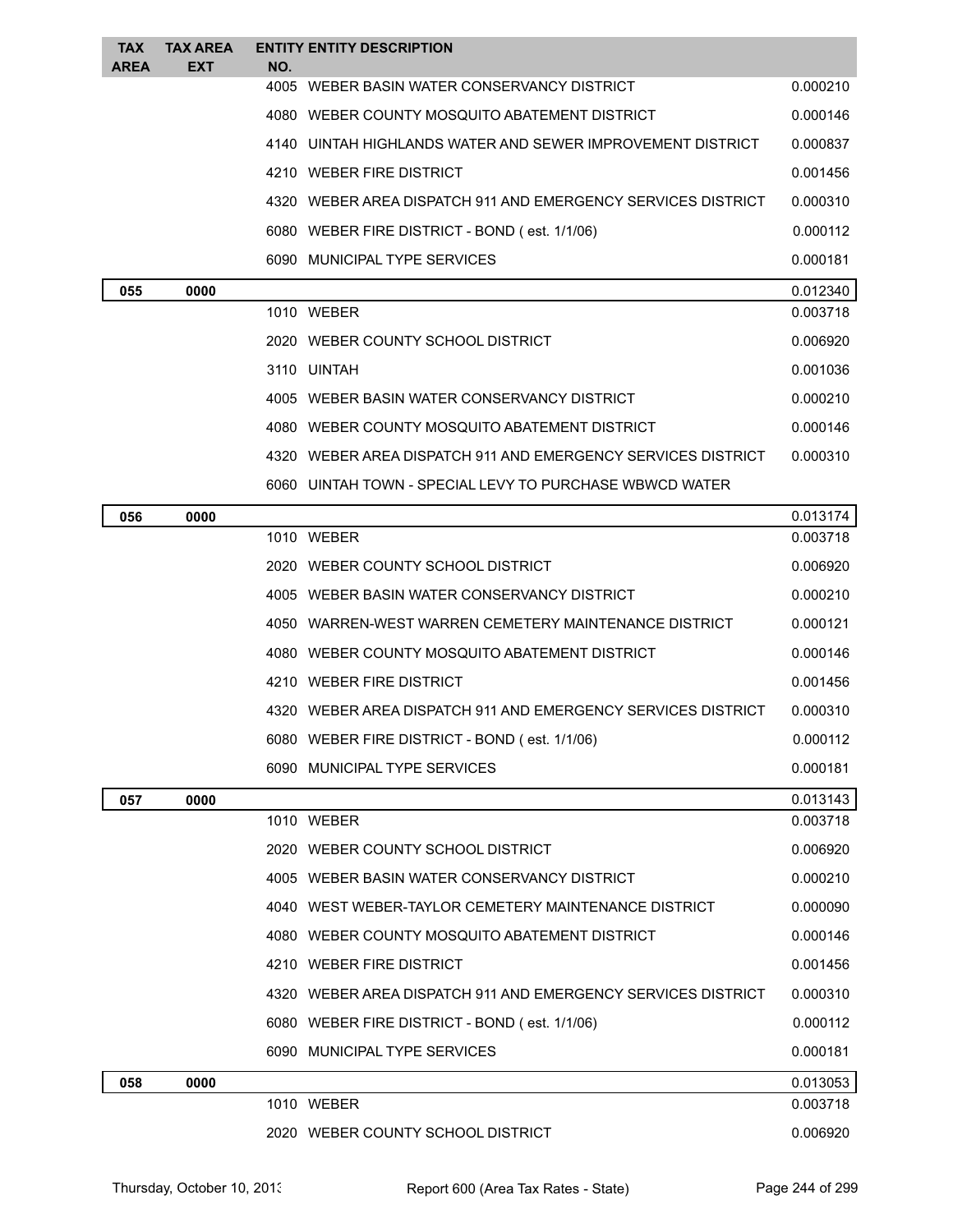| TAX<br><b>AREA</b> | <b>TAX AREA</b><br>EXT | NO. | <b>ENTITY ENTITY DESCRIPTION</b>                             |          |
|--------------------|------------------------|-----|--------------------------------------------------------------|----------|
|                    |                        |     | 4005 WEBER BASIN WATER CONSERVANCY DISTRICT                  | 0.000210 |
|                    |                        |     | 4080 WEBER COUNTY MOSQUITO ABATEMENT DISTRICT                | 0.000146 |
|                    |                        |     | 4140 UINTAH HIGHLANDS WATER AND SEWER IMPROVEMENT DISTRICT   | 0.000837 |
|                    |                        |     | 4210 WEBER FIRE DISTRICT                                     | 0.001456 |
|                    |                        |     | 4320 WEBER AREA DISPATCH 911 AND EMERGENCY SERVICES DISTRICT | 0.000310 |
|                    |                        |     | 6080 WEBER FIRE DISTRICT - BOND (est. 1/1/06)                | 0.000112 |
|                    |                        |     | 6090 MUNICIPAL TYPE SERVICES                                 | 0.000181 |
| 055                | 0000                   |     |                                                              | 0.012340 |
|                    |                        |     | 1010 WEBER                                                   | 0.003718 |
|                    |                        |     | 2020 WEBER COUNTY SCHOOL DISTRICT                            | 0.006920 |
|                    |                        |     | 3110 UINTAH                                                  | 0.001036 |
|                    |                        |     | 4005 WEBER BASIN WATER CONSERVANCY DISTRICT                  | 0.000210 |
|                    |                        |     | 4080 WEBER COUNTY MOSQUITO ABATEMENT DISTRICT                | 0.000146 |
|                    |                        |     | 4320 WEBER AREA DISPATCH 911 AND EMERGENCY SERVICES DISTRICT | 0.000310 |
|                    |                        |     | 6060 UINTAH TOWN - SPECIAL LEVY TO PURCHASE WBWCD WATER      |          |
| 056                | 0000                   |     |                                                              | 0.013174 |
|                    |                        |     | 1010 WEBER                                                   | 0.003718 |
|                    |                        |     | 2020 WEBER COUNTY SCHOOL DISTRICT                            | 0.006920 |
|                    |                        |     | 4005 WEBER BASIN WATER CONSERVANCY DISTRICT                  | 0.000210 |
|                    |                        |     | 4050 WARREN-WEST WARREN CEMETERY MAINTENANCE DISTRICT        | 0.000121 |
|                    |                        |     | 4080 WEBER COUNTY MOSQUITO ABATEMENT DISTRICT                | 0.000146 |
|                    |                        |     | 4210 WEBER FIRE DISTRICT                                     | 0.001456 |
|                    |                        |     | 4320 WEBER AREA DISPATCH 911 AND EMERGENCY SERVICES DISTRICT | 0.000310 |
|                    |                        |     | 6080 WEBER FIRE DISTRICT - BOND (est. 1/1/06)                | 0.000112 |
|                    |                        |     | 6090 MUNICIPAL TYPE SERVICES                                 | 0.000181 |
| 057                | 0000                   |     |                                                              | 0.013143 |
|                    |                        |     | 1010 WEBER                                                   | 0.003718 |
|                    |                        |     | 2020 WEBER COUNTY SCHOOL DISTRICT                            | 0.006920 |
|                    |                        |     | 4005 WEBER BASIN WATER CONSERVANCY DISTRICT                  | 0.000210 |
|                    |                        |     | 4040 WEST WEBER-TAYLOR CEMETERY MAINTENANCE DISTRICT         | 0.000090 |
|                    |                        |     | 4080 WEBER COUNTY MOSQUITO ABATEMENT DISTRICT                | 0.000146 |
|                    |                        |     | 4210 WEBER FIRE DISTRICT                                     | 0.001456 |
|                    |                        |     | 4320 WEBER AREA DISPATCH 911 AND EMERGENCY SERVICES DISTRICT | 0.000310 |
|                    |                        |     | 6080 WEBER FIRE DISTRICT - BOND (est. 1/1/06)                | 0.000112 |
|                    |                        |     | 6090 MUNICIPAL TYPE SERVICES                                 | 0.000181 |
| 058                | 0000                   |     |                                                              | 0.013053 |
|                    |                        |     | 1010 WEBER                                                   | 0.003718 |
|                    |                        |     | 2020 WEBER COUNTY SCHOOL DISTRICT                            | 0.006920 |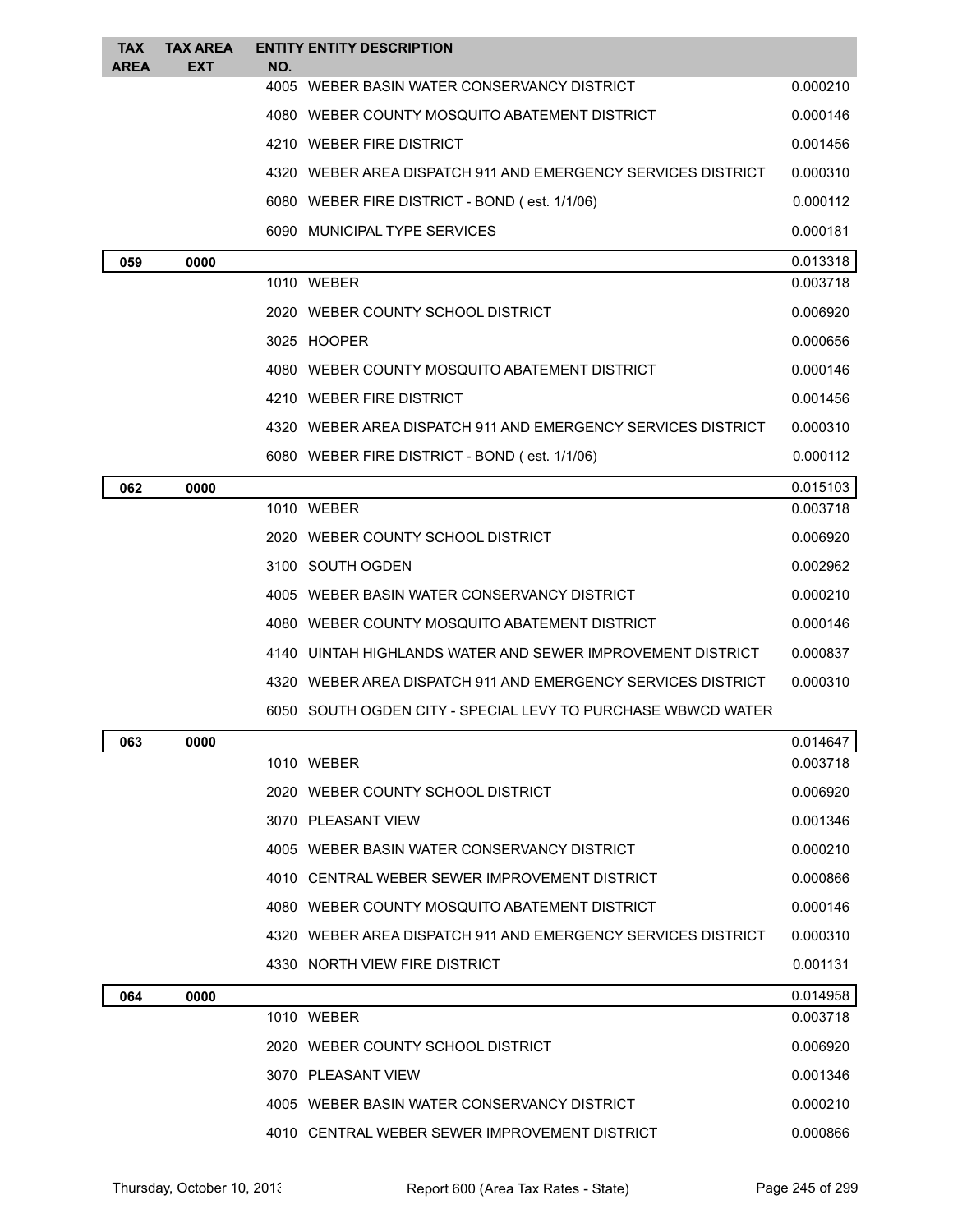| <b>TAX</b><br><b>AREA</b> | <b>TAX AREA</b><br>EXT | NO. | <b>ENTITY ENTITY DESCRIPTION</b>                             |          |
|---------------------------|------------------------|-----|--------------------------------------------------------------|----------|
|                           |                        |     | 4005 WEBER BASIN WATER CONSERVANCY DISTRICT                  | 0.000210 |
|                           |                        |     | 4080 WEBER COUNTY MOSQUITO ABATEMENT DISTRICT                | 0.000146 |
|                           |                        |     | 4210 WEBER FIRE DISTRICT                                     | 0.001456 |
|                           |                        |     | 4320 WEBER AREA DISPATCH 911 AND EMERGENCY SERVICES DISTRICT | 0.000310 |
|                           |                        |     | 6080 WEBER FIRE DISTRICT - BOND (est. 1/1/06)                | 0.000112 |
|                           |                        |     | 6090 MUNICIPAL TYPE SERVICES                                 | 0.000181 |
| 059                       | 0000                   |     |                                                              | 0.013318 |
|                           |                        |     | 1010 WEBER                                                   | 0.003718 |
|                           |                        |     | 2020 WEBER COUNTY SCHOOL DISTRICT                            | 0.006920 |
|                           |                        |     | 3025 HOOPER                                                  | 0.000656 |
|                           |                        |     | 4080 WEBER COUNTY MOSQUITO ABATEMENT DISTRICT                | 0.000146 |
|                           |                        |     | 4210 WEBER FIRE DISTRICT                                     | 0.001456 |
|                           |                        |     | 4320 WEBER AREA DISPATCH 911 AND EMERGENCY SERVICES DISTRICT | 0.000310 |
|                           |                        |     | 6080 WEBER FIRE DISTRICT - BOND (est. 1/1/06)                | 0.000112 |
| 062                       | 0000                   |     |                                                              | 0.015103 |
|                           |                        |     | 1010 WEBER                                                   | 0.003718 |
|                           |                        |     | 2020 WEBER COUNTY SCHOOL DISTRICT                            | 0.006920 |
|                           |                        |     | 3100 SOUTH OGDEN                                             | 0.002962 |
|                           |                        |     | 4005 WEBER BASIN WATER CONSERVANCY DISTRICT                  | 0.000210 |
|                           |                        |     | 4080 WEBER COUNTY MOSQUITO ABATEMENT DISTRICT                | 0.000146 |
|                           |                        |     | 4140 UINTAH HIGHLANDS WATER AND SEWER IMPROVEMENT DISTRICT   | 0.000837 |
|                           |                        |     | 4320 WEBER AREA DISPATCH 911 AND EMERGENCY SERVICES DISTRICT | 0.000310 |
|                           |                        |     | 6050 SOUTH OGDEN CITY - SPECIAL LEVY TO PURCHASE WBWCD WATER |          |
| 063                       | 0000                   |     |                                                              | 0.014647 |
|                           |                        |     | 1010 WEBER                                                   | 0.003718 |
|                           |                        |     | 2020 WEBER COUNTY SCHOOL DISTRICT                            | 0.006920 |
|                           |                        |     | 3070 PLEASANT VIEW                                           | 0.001346 |
|                           |                        |     | 4005 WEBER BASIN WATER CONSERVANCY DISTRICT                  | 0.000210 |
|                           |                        |     | 4010 CENTRAL WEBER SEWER IMPROVEMENT DISTRICT                | 0.000866 |
|                           |                        |     | 4080 WEBER COUNTY MOSQUITO ABATEMENT DISTRICT                | 0.000146 |
|                           |                        |     | 4320 WEBER AREA DISPATCH 911 AND EMERGENCY SERVICES DISTRICT | 0.000310 |
|                           |                        |     | 4330 NORTH VIEW FIRE DISTRICT                                | 0.001131 |
| 064                       | 0000                   |     |                                                              | 0.014958 |
|                           |                        |     | 1010 WEBER                                                   | 0.003718 |
|                           |                        |     | 2020 WEBER COUNTY SCHOOL DISTRICT                            | 0.006920 |
|                           |                        |     | 3070 PLEASANT VIEW                                           | 0.001346 |
|                           |                        |     | 4005 WEBER BASIN WATER CONSERVANCY DISTRICT                  | 0.000210 |
|                           |                        |     | 4010 CENTRAL WEBER SEWER IMPROVEMENT DISTRICT                | 0.000866 |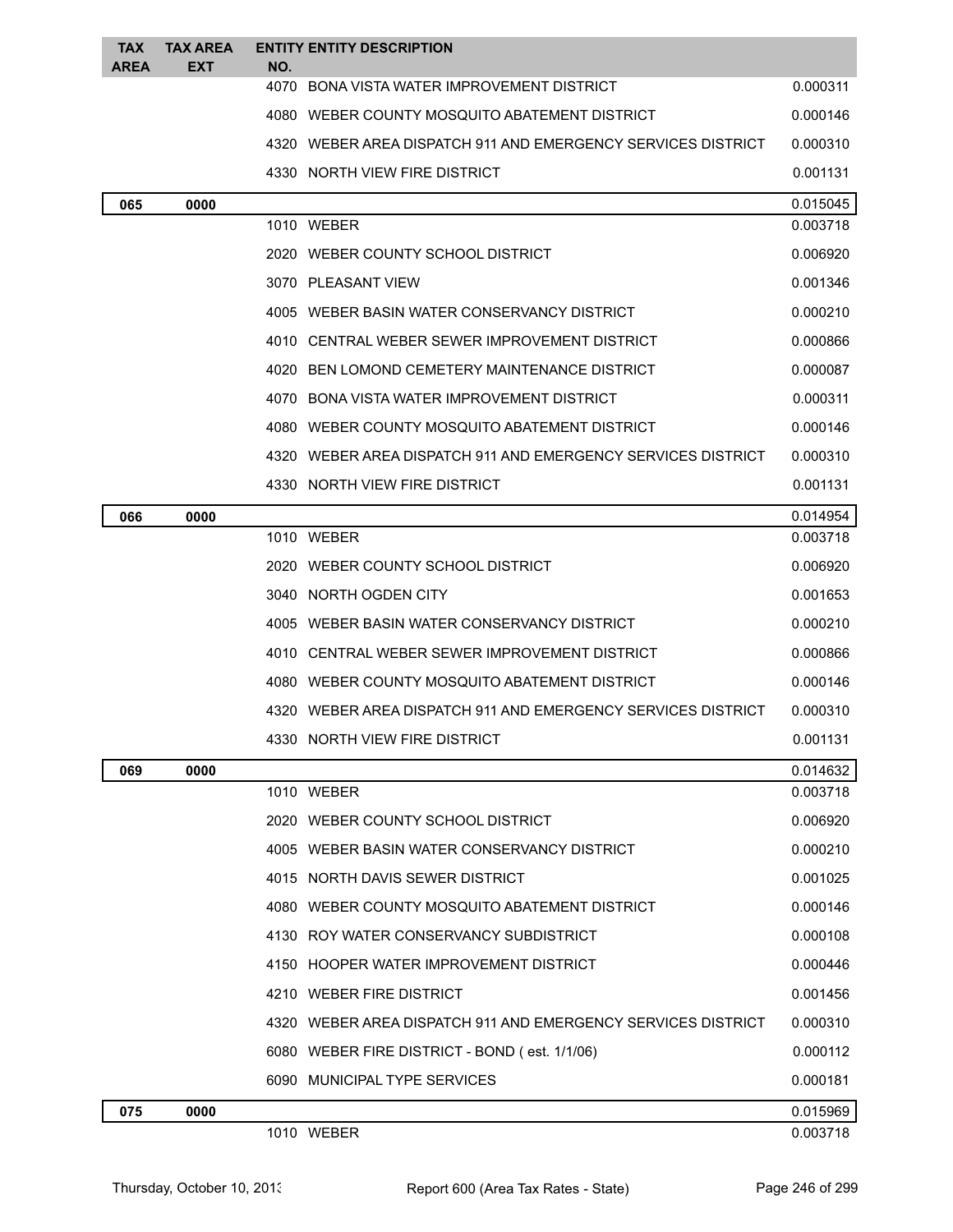| <b>TAX</b><br><b>AREA</b> | <b>TAX AREA</b><br>EXT | NO.  | <b>ENTITY ENTITY DESCRIPTION</b>                               |          |
|---------------------------|------------------------|------|----------------------------------------------------------------|----------|
|                           |                        |      | 4070 BONA VISTA WATER IMPROVEMENT DISTRICT                     | 0.000311 |
|                           |                        |      | 4080 WEBER COUNTY MOSQUITO ABATEMENT DISTRICT                  | 0.000146 |
|                           |                        |      | 4320 WEBER AREA DISPATCH 911 AND EMERGENCY SERVICES DISTRICT   | 0.000310 |
|                           |                        |      | 4330 NORTH VIEW FIRE DISTRICT                                  | 0.001131 |
| 065                       | 0000                   |      |                                                                | 0.015045 |
|                           |                        |      | 1010 WEBER                                                     | 0.003718 |
|                           |                        |      | 2020 WEBER COUNTY SCHOOL DISTRICT                              | 0.006920 |
|                           |                        |      | 3070 PLEASANT VIEW                                             | 0.001346 |
|                           |                        |      | 4005 WEBER BASIN WATER CONSERVANCY DISTRICT                    | 0.000210 |
|                           |                        |      | 4010 CENTRAL WEBER SEWER IMPROVEMENT DISTRICT                  | 0.000866 |
|                           |                        | 4020 | BEN LOMOND CEMETERY MAINTENANCE DISTRICT                       | 0.000087 |
|                           |                        |      | 4070 BONA VISTA WATER IMPROVEMENT DISTRICT                     | 0.000311 |
|                           |                        |      | 4080 WEBER COUNTY MOSQUITO ABATEMENT DISTRICT                  | 0.000146 |
|                           |                        |      | 4320   WEBER AREA DISPATCH 911 AND EMERGENCY SERVICES DISTRICT | 0.000310 |
|                           |                        |      | 4330 NORTH VIEW FIRE DISTRICT                                  | 0.001131 |
| 066                       | 0000                   |      |                                                                | 0.014954 |
|                           |                        |      | 1010 WEBER                                                     | 0.003718 |
|                           |                        |      | 2020 WEBER COUNTY SCHOOL DISTRICT                              | 0.006920 |
|                           |                        |      | 3040 NORTH OGDEN CITY                                          | 0.001653 |
|                           |                        |      | 4005 WEBER BASIN WATER CONSERVANCY DISTRICT                    | 0.000210 |
|                           |                        | 4010 | CENTRAL WEBER SEWER IMPROVEMENT DISTRICT                       | 0.000866 |
|                           |                        |      | 4080 WEBER COUNTY MOSQUITO ABATEMENT DISTRICT                  | 0.000146 |
|                           |                        |      | 4320 WEBER AREA DISPATCH 911 AND EMERGENCY SERVICES DISTRICT   | 0.000310 |
|                           |                        |      | 4330   NORTH VIEW FIRE DISTRICT                                | 0.001131 |
| 069                       | 0000                   |      |                                                                | 0.014632 |
|                           |                        |      | 1010 WEBER                                                     | 0.003718 |
|                           |                        |      | 2020 WEBER COUNTY SCHOOL DISTRICT                              | 0.006920 |
|                           |                        |      | 4005 WEBER BASIN WATER CONSERVANCY DISTRICT                    | 0.000210 |
|                           |                        |      | 4015 NORTH DAVIS SEWER DISTRICT                                | 0.001025 |
|                           |                        |      | 4080 WEBER COUNTY MOSQUITO ABATEMENT DISTRICT                  | 0.000146 |
|                           |                        |      | 4130 ROY WATER CONSERVANCY SUBDISTRICT                         | 0.000108 |
|                           |                        |      | 4150 HOOPER WATER IMPROVEMENT DISTRICT                         | 0.000446 |
|                           |                        |      | 4210 WEBER FIRE DISTRICT                                       | 0.001456 |
|                           |                        |      | 4320 WEBER AREA DISPATCH 911 AND EMERGENCY SERVICES DISTRICT   | 0.000310 |
|                           |                        |      | 6080 WEBER FIRE DISTRICT - BOND (est. 1/1/06)                  | 0.000112 |
|                           |                        |      | 6090 MUNICIPAL TYPE SERVICES                                   | 0.000181 |
| 075                       | 0000                   |      |                                                                | 0.015969 |
|                           |                        |      | 1010 WEBER                                                     | 0.003718 |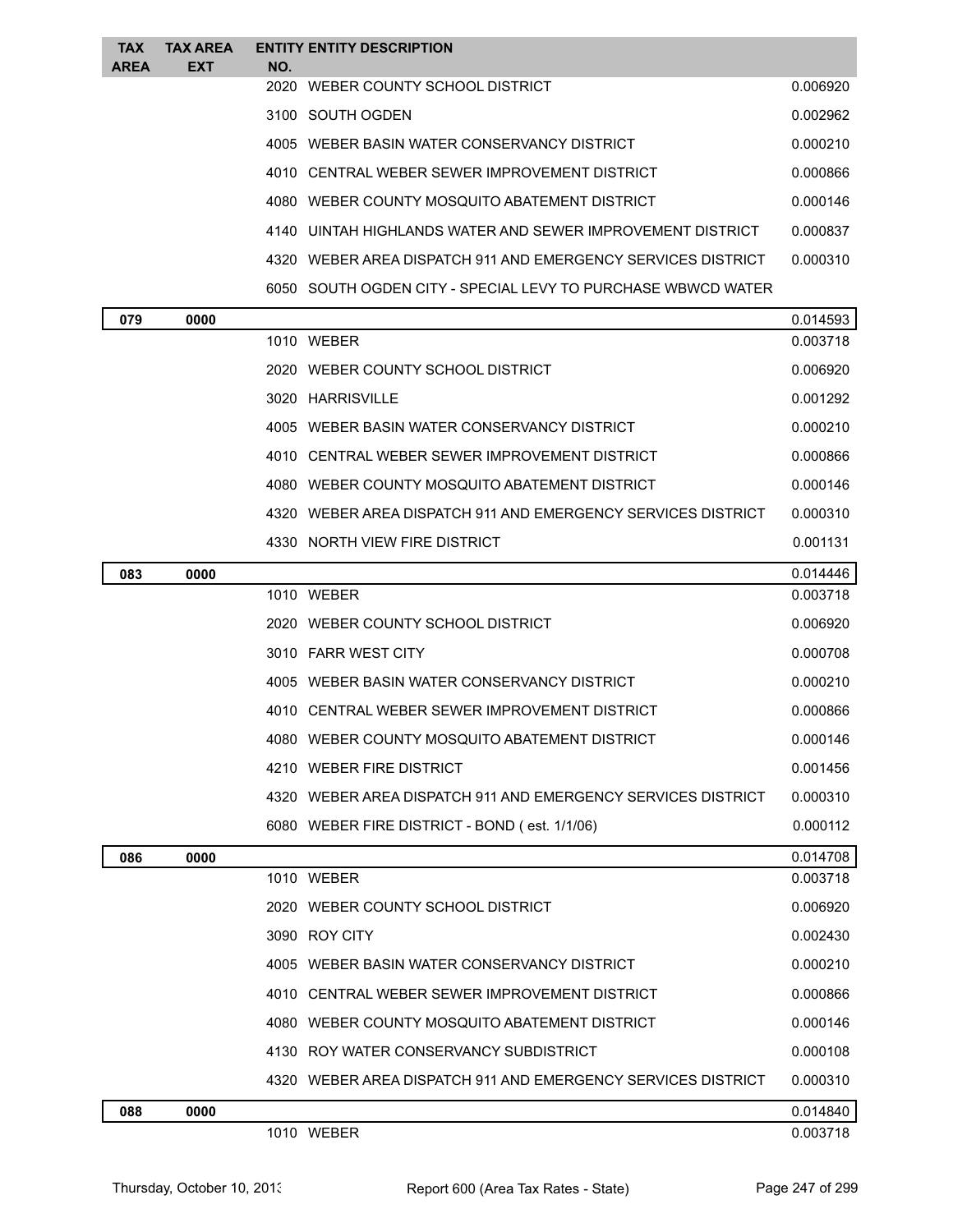| <b>TAX</b><br><b>AREA</b> | <b>TAX AREA</b><br><b>EXT</b> | NO.  | <b>ENTITY ENTITY DESCRIPTION</b>                             |          |
|---------------------------|-------------------------------|------|--------------------------------------------------------------|----------|
|                           |                               | 2020 | WEBER COUNTY SCHOOL DISTRICT                                 | 0.006920 |
|                           |                               |      | 3100 SOUTH OGDEN                                             | 0.002962 |
|                           |                               |      | 4005 WEBER BASIN WATER CONSERVANCY DISTRICT                  | 0.000210 |
|                           |                               | 4010 | CENTRAL WEBER SEWER IMPROVEMENT DISTRICT                     | 0.000866 |
|                           |                               |      | 4080 WEBER COUNTY MOSQUITO ABATEMENT DISTRICT                | 0.000146 |
|                           |                               |      | 4140 UINTAH HIGHI ANDS WATER AND SEWER IMPROVEMENT DISTRICT  | 0.000837 |
|                           |                               |      | 4320 WEBER AREA DISPATCH 911 AND EMERGENCY SERVICES DISTRICT | 0.000310 |
|                           |                               |      | 6050 SOUTH OGDEN CITY - SPECIAL LEVY TO PURCHASE WBWCD WATER |          |
| 079                       | 0000                          |      |                                                              | 0.014593 |
|                           |                               |      | 1010 WEBER                                                   | 0.003718 |
|                           |                               |      | 2020 WEBER COUNTY SCHOOL DISTRICT                            | 0.006920 |
|                           |                               |      | 3020 HARRISVILLE                                             | 0.001292 |
|                           |                               |      | 4005 WEBER BASIN WATER CONSERVANCY DISTRICT                  | 0.000210 |
|                           |                               | 4010 | CENTRAL WEBER SEWER IMPROVEMENT DISTRICT                     | 0.000866 |
|                           |                               |      | 4080 WEBER COUNTY MOSQUITO ABATEMENT DISTRICT                | 0.000146 |
|                           |                               | 4320 | WEBER AREA DISPATCH 911 AND EMERGENCY SERVICES DISTRICT      | 0.000310 |
|                           |                               |      | 4330 NORTH VIEW FIRE DISTRICT                                | 0.001131 |
| 083                       | 0000                          |      |                                                              | 0.014446 |

| 083 | 0000 |                                                              | 0.014446 |
|-----|------|--------------------------------------------------------------|----------|
|     |      | 1010 WEBER                                                   | 0.003718 |
|     |      | 2020 WEBER COUNTY SCHOOL DISTRICT                            | 0.006920 |
|     |      | 3010 FARR WEST CITY                                          | 0.000708 |
|     |      | 4005 WEBER BASIN WATER CONSERVANCY DISTRICT                  | 0.000210 |
|     |      | 4010 CENTRAL WEBER SEWER IMPROVEMENT DISTRICT                | 0.000866 |
|     |      | 4080 WEBER COUNTY MOSQUITO ABATEMENT DISTRICT                | 0.000146 |
|     |      | 4210 WEBER FIRE DISTRICT                                     | 0.001456 |
|     |      | 4320 WEBER AREA DISPATCH 911 AND EMERGENCY SERVICES DISTRICT | 0.000310 |
|     |      | 6080 WEBER FIRE DISTRICT - BOND (est. 1/1/06)                | 0.000112 |
| 086 | 0000 |                                                              | 0.014708 |
|     |      | 1010 WEBER                                                   | 0.003718 |
|     |      | 2020 WEBER COUNTY SCHOOL DISTRICT                            | 0.006920 |
|     |      | 3090 ROY CITY                                                | 0.002430 |
|     |      | 4005 WEBER BASIN WATER CONSERVANCY DISTRICT                  | 0.000210 |
|     |      | 4010 CENTRAL WEBER SEWER IMPROVEMENT DISTRICT                | 0.000866 |
|     |      | 4080 WEBER COUNTY MOSQUITO ABATEMENT DISTRICT                | 0.000146 |
|     |      | 4130 ROY WATER CONSERVANCY SUBDISTRICT                       | 0.000108 |
|     |      | 4320 WEBER AREA DISPATCH 911 AND EMERGENCY SERVICES DISTRICT | 0.000310 |
| 088 | 0000 |                                                              | 0.014840 |
|     |      | 1010 WEBER                                                   | 0.003718 |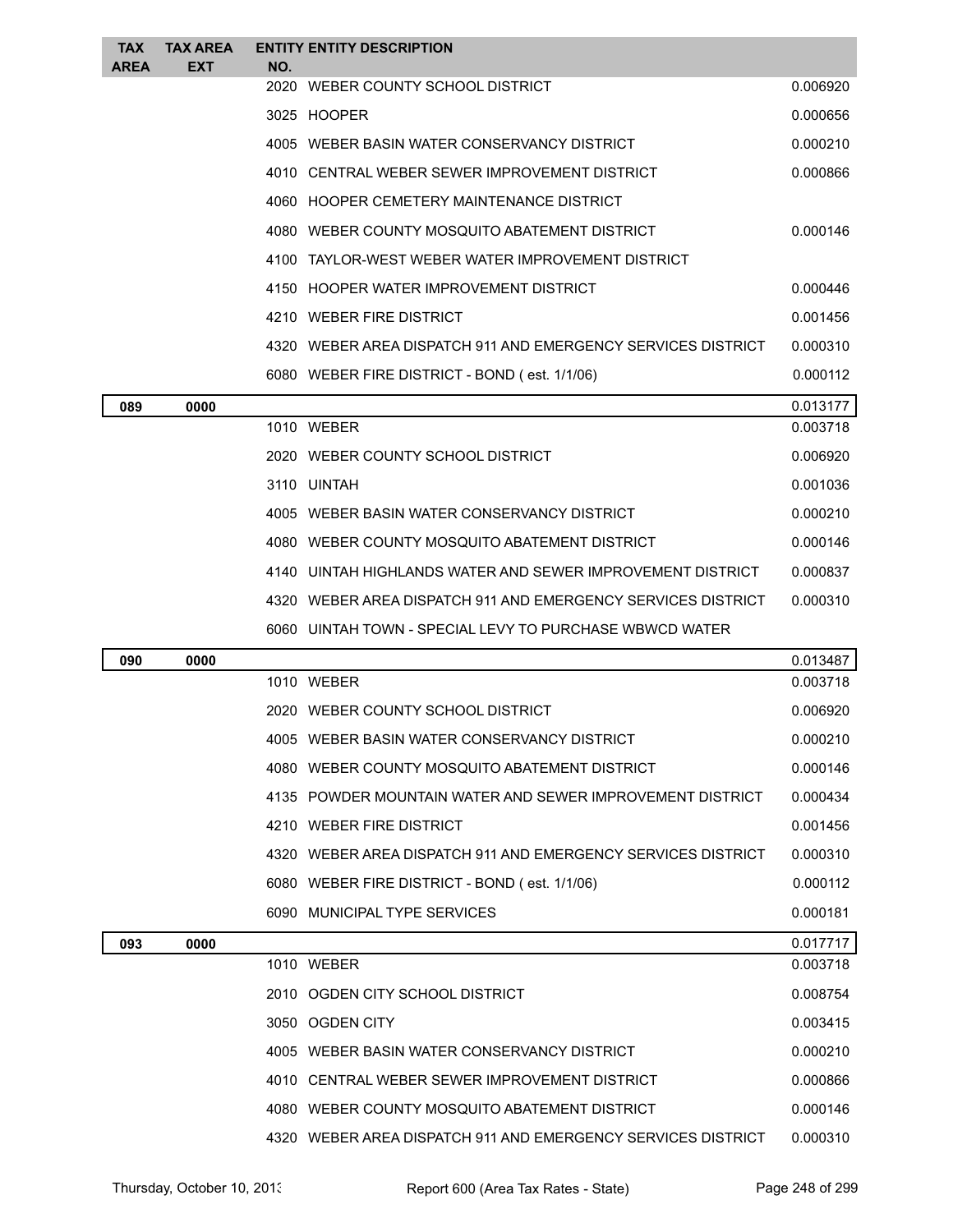| <b>TAX</b><br>AREA | <b>TAX AREA</b><br><b>EXT</b> | NO.  | <b>ENTITY ENTITY DESCRIPTION</b>                             |          |
|--------------------|-------------------------------|------|--------------------------------------------------------------|----------|
|                    |                               |      | 2020 WEBER COUNTY SCHOOL DISTRICT                            | 0.006920 |
|                    |                               |      | 3025 HOOPER                                                  | 0.000656 |
|                    |                               |      | 4005 WEBER BASIN WATER CONSERVANCY DISTRICT                  | 0.000210 |
|                    |                               |      | 4010 CENTRAL WEBER SEWER IMPROVEMENT DISTRICT                | 0.000866 |
|                    |                               |      | 4060 HOOPER CEMETERY MAINTENANCE DISTRICT                    |          |
|                    |                               |      | 4080 WEBER COUNTY MOSQUITO ABATEMENT DISTRICT                | 0.000146 |
|                    |                               | 4100 | TAYLOR-WEST WEBER WATER IMPROVEMENT DISTRICT                 |          |
|                    |                               |      | 4150 HOOPER WATER IMPROVEMENT DISTRICT                       | 0.000446 |
|                    |                               |      | 4210 WEBER FIRE DISTRICT                                     | 0.001456 |
|                    |                               |      | 4320 WEBER AREA DISPATCH 911 AND EMERGENCY SERVICES DISTRICT | 0.000310 |
|                    |                               |      | 6080 WEBER FIRE DISTRICT - BOND (est. 1/1/06)                | 0.000112 |
| 089                | 0000                          |      |                                                              | 0.013177 |
|                    |                               |      | 1010 WEBER                                                   | 0.003718 |
|                    |                               |      | 2020 WEBER COUNTY SCHOOL DISTRICT                            | 0.006920 |
|                    |                               |      | 3110 UINTAH                                                  | 0.001036 |
|                    |                               |      | 4005 WEBER BASIN WATER CONSERVANCY DISTRICT                  | 0.000210 |
|                    |                               |      | 4080 WEBER COUNTY MOSQUITO ABATEMENT DISTRICT                | 0.000146 |
|                    |                               |      | 4140 UINTAH HIGHLANDS WATER AND SEWER IMPROVEMENT DISTRICT   | 0.000837 |
|                    |                               |      | 4320 WEBER AREA DISPATCH 911 AND EMERGENCY SERVICES DISTRICT | 0.000310 |
|                    |                               |      | 6060 UINTAH TOWN - SPECIAL LEVY TO PURCHASE WBWCD WATER      |          |
| 090                | 0000                          |      |                                                              | 0.013487 |
|                    |                               |      | 1010 WEBER                                                   | 0.003718 |
|                    |                               |      | 2020 WEBER COUNTY SCHOOL DISTRICT                            | 0.006920 |
|                    |                               |      | 4005 WEBER BASIN WATER CONSERVANCY DISTRICT                  | 0.000210 |
|                    |                               |      | 4080 WEBER COUNTY MOSQUITO ABATEMENT DISTRICT                | 0.000146 |
|                    |                               |      | 4135 POWDER MOUNTAIN WATER AND SEWER IMPROVEMENT DISTRICT    | 0.000434 |
|                    |                               |      | 4210 WEBER FIRE DISTRICT                                     | 0.001456 |
|                    |                               |      | 4320 WEBER AREA DISPATCH 911 AND EMERGENCY SERVICES DISTRICT | 0.000310 |
|                    |                               |      | 6080 WEBER FIRE DISTRICT - BOND (est. 1/1/06)                | 0.000112 |
|                    |                               |      | 6090 MUNICIPAL TYPE SERVICES                                 | 0.000181 |
| 093                | 0000                          |      |                                                              | 0.017717 |
|                    |                               |      | 1010 WEBER                                                   | 0.003718 |
|                    |                               |      | 2010 OGDEN CITY SCHOOL DISTRICT                              | 0.008754 |
|                    |                               |      | 3050 OGDEN CITY                                              | 0.003415 |
|                    |                               |      | 4005 WEBER BASIN WATER CONSERVANCY DISTRICT                  | 0.000210 |
|                    |                               |      | 4010 CENTRAL WEBER SEWER IMPROVEMENT DISTRICT                | 0.000866 |
|                    |                               |      | 4080 WEBER COUNTY MOSQUITO ABATEMENT DISTRICT                | 0.000146 |
|                    |                               |      | 4320 WEBER AREA DISPATCH 911 AND EMERGENCY SERVICES DISTRICT | 0.000310 |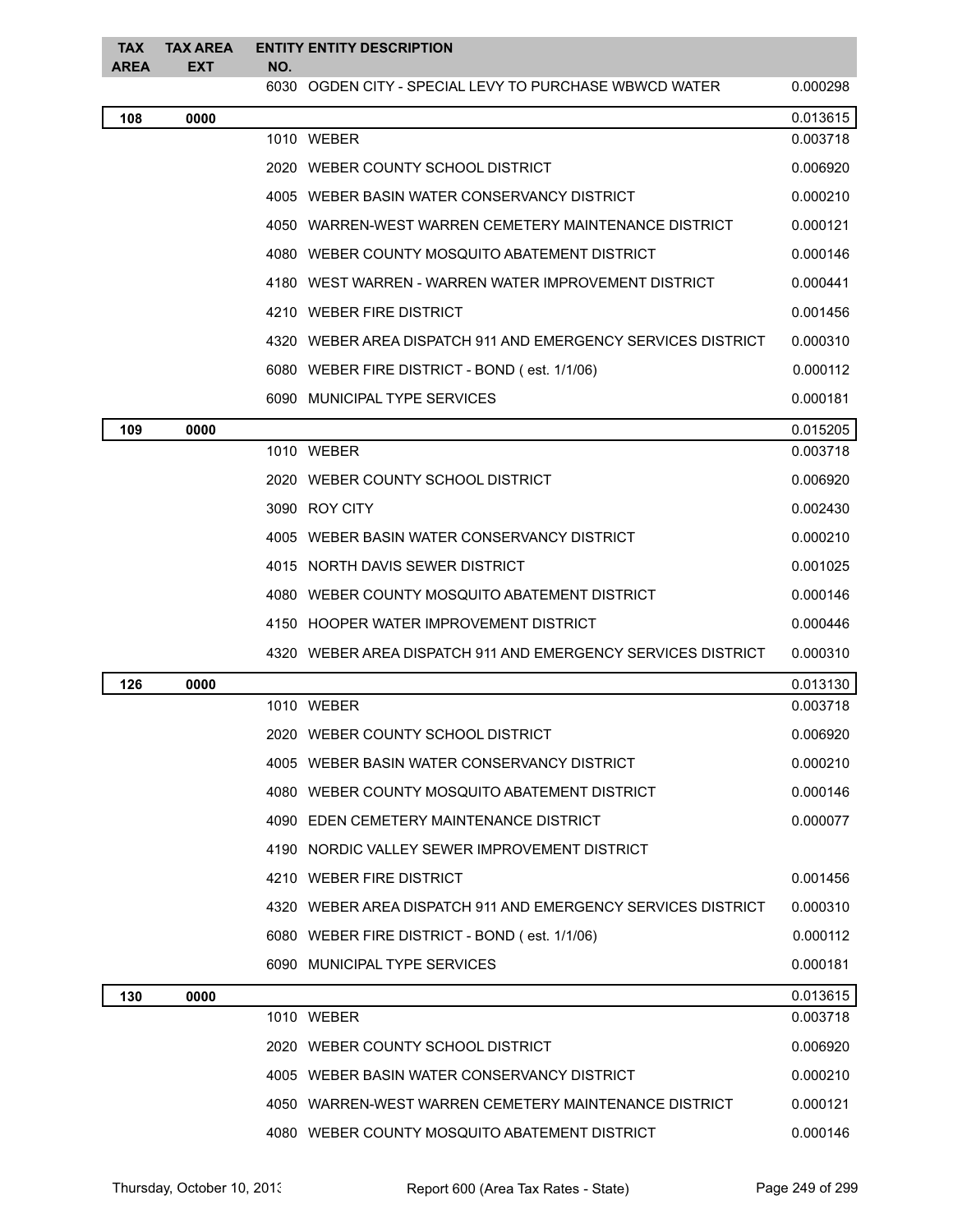| <b>TAX</b><br><b>AREA</b> | <b>TAX AREA</b><br><b>EXT</b> | NO. | <b>ENTITY ENTITY DESCRIPTION</b>                             |          |
|---------------------------|-------------------------------|-----|--------------------------------------------------------------|----------|
|                           |                               |     | 6030 OGDEN CITY - SPECIAL LEVY TO PURCHASE WBWCD WATER       | 0.000298 |
| 108                       | 0000                          |     |                                                              | 0.013615 |
|                           |                               |     | 1010 WEBER                                                   | 0.003718 |
|                           |                               |     | 2020 WEBER COUNTY SCHOOL DISTRICT                            | 0.006920 |
|                           |                               |     | 4005 WEBER BASIN WATER CONSERVANCY DISTRICT                  | 0.000210 |
|                           |                               |     | 4050 WARREN-WEST WARREN CEMETERY MAINTENANCE DISTRICT        | 0.000121 |
|                           |                               |     | 4080 WEBER COUNTY MOSQUITO ABATEMENT DISTRICT                | 0.000146 |
|                           |                               |     | 4180 WEST WARREN - WARREN WATER IMPROVEMENT DISTRICT         | 0.000441 |
|                           |                               |     | 4210 WEBER FIRE DISTRICT                                     | 0.001456 |
|                           |                               |     | 4320 WEBER AREA DISPATCH 911 AND EMERGENCY SERVICES DISTRICT | 0.000310 |
|                           |                               |     | 6080 WEBER FIRE DISTRICT - BOND (est. 1/1/06)                | 0.000112 |
|                           |                               |     | 6090 MUNICIPAL TYPE SERVICES                                 | 0.000181 |
| 109                       | 0000                          |     |                                                              | 0.015205 |
|                           |                               |     | 1010 WEBER                                                   | 0.003718 |
|                           |                               |     | 2020 WEBER COUNTY SCHOOL DISTRICT                            | 0.006920 |
|                           |                               |     | 3090 ROY CITY                                                | 0.002430 |
|                           |                               |     | 4005 WEBER BASIN WATER CONSERVANCY DISTRICT                  | 0.000210 |
|                           |                               |     | 4015 NORTH DAVIS SEWER DISTRICT                              | 0.001025 |
|                           |                               |     | 4080 WEBER COUNTY MOSQUITO ABATEMENT DISTRICT                | 0.000146 |
|                           |                               |     | 4150 HOOPER WATER IMPROVEMENT DISTRICT                       | 0.000446 |
|                           |                               |     | 4320 WEBER AREA DISPATCH 911 AND EMERGENCY SERVICES DISTRICT | 0.000310 |
| 126                       | 0000                          |     |                                                              | 0.013130 |
|                           |                               |     | 1010 WEBER                                                   | 0.003718 |
|                           |                               |     | 2020 WEBER COUNTY SCHOOL DISTRICT                            | 0.006920 |
|                           |                               |     | 4005 WEBER BASIN WATER CONSERVANCY DISTRICT                  | 0.000210 |
|                           |                               |     | 4080 WEBER COUNTY MOSQUITO ABATEMENT DISTRICT                | 0.000146 |
|                           |                               |     | 4090 EDEN CEMETERY MAINTENANCE DISTRICT                      | 0.000077 |
|                           |                               |     | 4190 NORDIC VALLEY SEWER IMPROVEMENT DISTRICT                |          |
|                           |                               |     | 4210 WEBER FIRE DISTRICT                                     | 0.001456 |
|                           |                               |     | 4320 WEBER AREA DISPATCH 911 AND EMERGENCY SERVICES DISTRICT | 0.000310 |
|                           |                               |     | 6080 WEBER FIRE DISTRICT - BOND (est. 1/1/06)                | 0.000112 |
|                           |                               |     | 6090 MUNICIPAL TYPE SERVICES                                 | 0.000181 |
| 130                       | 0000                          |     |                                                              | 0.013615 |
|                           |                               |     | 1010 WEBER                                                   | 0.003718 |
|                           |                               |     | 2020 WEBER COUNTY SCHOOL DISTRICT                            | 0.006920 |
|                           |                               |     | 4005 WEBER BASIN WATER CONSERVANCY DISTRICT                  | 0.000210 |
|                           |                               |     | 4050 WARREN-WEST WARREN CEMETERY MAINTENANCE DISTRICT        | 0.000121 |
|                           |                               |     | 4080 WEBER COUNTY MOSQUITO ABATEMENT DISTRICT                | 0.000146 |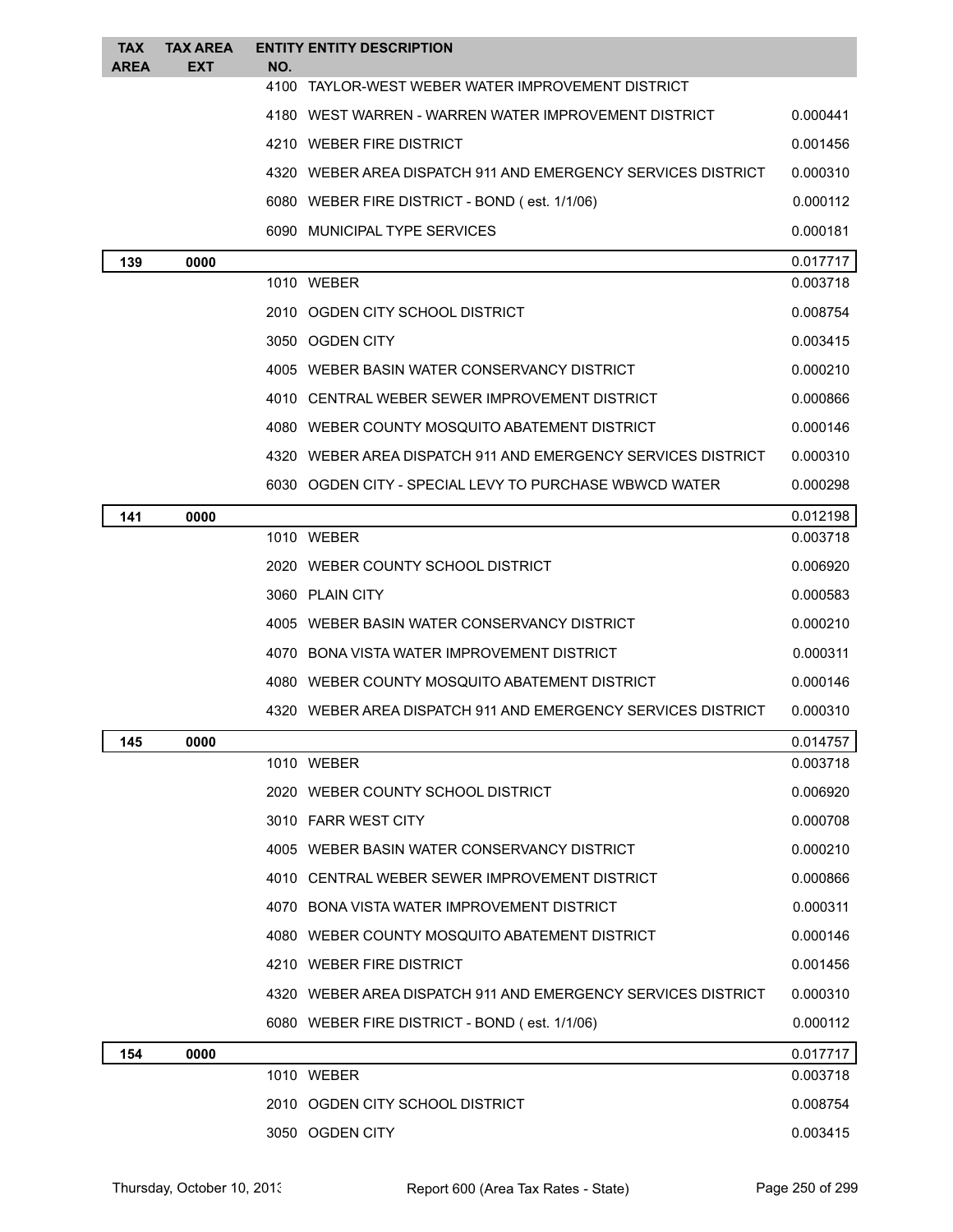| <b>TAX</b><br>AREA | <b>TAX AREA</b><br>EXT | NO.  | <b>ENTITY ENTITY DESCRIPTION</b>                             |          |
|--------------------|------------------------|------|--------------------------------------------------------------|----------|
|                    |                        | 4100 | TAYLOR-WEST WEBER WATER IMPROVEMENT DISTRICT                 |          |
|                    |                        |      | 4180 WEST WARREN - WARREN WATER IMPROVEMENT DISTRICT         | 0.000441 |
|                    |                        |      | 4210 WEBER FIRE DISTRICT                                     | 0.001456 |
|                    |                        |      | 4320 WEBER AREA DISPATCH 911 AND EMERGENCY SERVICES DISTRICT | 0.000310 |
|                    |                        |      | 6080 WEBER FIRE DISTRICT - BOND (est. 1/1/06)                | 0.000112 |
|                    |                        |      | 6090 MUNICIPAL TYPE SERVICES                                 | 0.000181 |
| 139                | 0000                   |      |                                                              | 0.017717 |
|                    |                        |      | 1010 WEBER                                                   | 0.003718 |
|                    |                        |      | 2010 OGDEN CITY SCHOOL DISTRICT                              | 0.008754 |
|                    |                        |      | 3050 OGDEN CITY                                              | 0.003415 |
|                    |                        |      | 4005   WEBER BASIN WATER CONSERVANCY DISTRICT                | 0.000210 |
|                    |                        |      | 4010 CENTRAL WEBER SEWER IMPROVEMENT DISTRICT                | 0.000866 |
|                    |                        |      | 4080 WEBER COUNTY MOSQUITO ABATEMENT DISTRICT                | 0.000146 |
|                    |                        |      | 4320 WEBER AREA DISPATCH 911 AND EMERGENCY SERVICES DISTRICT | 0.000310 |
|                    |                        |      | 6030 OGDEN CITY - SPECIAL LEVY TO PURCHASE WBWCD WATER       | 0.000298 |
| 141                | 0000                   |      |                                                              | 0.012198 |
|                    |                        |      | 1010 WEBER                                                   | 0.003718 |
|                    |                        |      | 2020 WEBER COUNTY SCHOOL DISTRICT                            | 0.006920 |
|                    |                        |      | 3060 PLAIN CITY                                              | 0.000583 |
|                    |                        |      | 4005 WEBER BASIN WATER CONSERVANCY DISTRICT                  | 0.000210 |
|                    |                        |      | 4070 BONA VISTA WATER IMPROVEMENT DISTRICT                   | 0.000311 |
|                    |                        |      | 4080 WEBER COUNTY MOSQUITO ABATEMENT DISTRICT                | 0.000146 |
|                    |                        |      | 4320 WEBER AREA DISPATCH 911 AND EMERGENCY SERVICES DISTRICT | 0.000310 |
| 145                | 0000                   |      |                                                              | 0.014757 |
|                    |                        |      | 1010 WEBER                                                   | 0.003718 |
|                    |                        |      | 2020 WEBER COUNTY SCHOOL DISTRICT                            | 0.006920 |
|                    |                        |      | 3010 FARR WEST CITY                                          | 0.000708 |
|                    |                        |      | 4005 WEBER BASIN WATER CONSERVANCY DISTRICT                  | 0.000210 |
|                    |                        |      | 4010 CENTRAL WEBER SEWER IMPROVEMENT DISTRICT                | 0.000866 |
|                    |                        |      | 4070 BONA VISTA WATER IMPROVEMENT DISTRICT                   | 0.000311 |
|                    |                        |      | 4080 WEBER COUNTY MOSQUITO ABATEMENT DISTRICT                | 0.000146 |
|                    |                        |      | 4210 WEBER FIRE DISTRICT                                     | 0.001456 |
|                    |                        |      | 4320 WEBER AREA DISPATCH 911 AND EMERGENCY SERVICES DISTRICT | 0.000310 |
|                    |                        |      | 6080 WEBER FIRE DISTRICT - BOND (est. 1/1/06)                | 0.000112 |
| 154                | 0000                   |      |                                                              | 0.017717 |
|                    |                        |      | 1010 WEBER                                                   | 0.003718 |
|                    |                        |      | 2010 OGDEN CITY SCHOOL DISTRICT                              | 0.008754 |
|                    |                        |      | 3050 OGDEN CITY                                              | 0.003415 |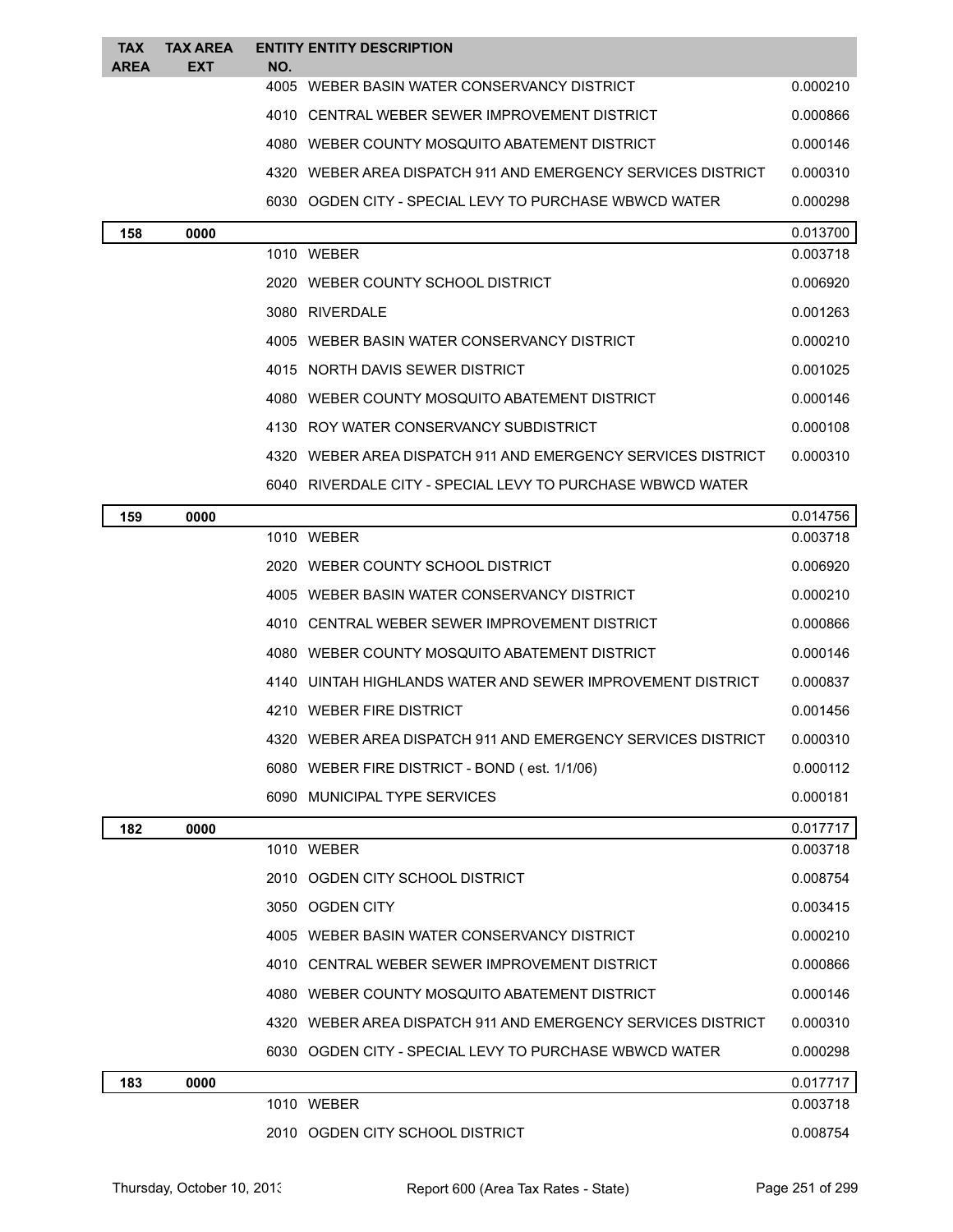| TAX<br><b>AREA</b> | <b>TAX AREA</b><br><b>EXT</b> | NO. | <b>ENTITY ENTITY DESCRIPTION</b>                             |          |
|--------------------|-------------------------------|-----|--------------------------------------------------------------|----------|
|                    |                               |     | 4005 WEBER BASIN WATER CONSERVANCY DISTRICT                  | 0.000210 |
|                    |                               |     | 4010 CENTRAL WEBER SEWER IMPROVEMENT DISTRICT                | 0.000866 |
|                    |                               |     | 4080 WEBER COUNTY MOSQUITO ABATEMENT DISTRICT                | 0.000146 |
|                    |                               |     | 4320 WEBER AREA DISPATCH 911 AND EMERGENCY SERVICES DISTRICT | 0.000310 |
|                    |                               |     | 6030 OGDEN CITY - SPECIAL LEVY TO PURCHASE WBWCD WATER       | 0.000298 |
| 158                | 0000                          |     |                                                              | 0.013700 |
|                    |                               |     | 1010 WEBER                                                   | 0.003718 |
|                    |                               |     | 2020 WEBER COUNTY SCHOOL DISTRICT                            | 0.006920 |
|                    |                               |     | 3080 RIVERDALE                                               | 0.001263 |
|                    |                               |     | 4005 WEBER BASIN WATER CONSERVANCY DISTRICT                  | 0.000210 |
|                    |                               |     | 4015 NORTH DAVIS SEWER DISTRICT                              | 0.001025 |
|                    |                               |     | 4080 WEBER COUNTY MOSQUITO ABATEMENT DISTRICT                | 0.000146 |
|                    |                               |     | 4130 ROY WATER CONSERVANCY SUBDISTRICT                       | 0.000108 |
|                    |                               |     | 4320 WEBER AREA DISPATCH 911 AND EMERGENCY SERVICES DISTRICT | 0.000310 |
|                    |                               |     | 6040   RIVERDALE CITY - SPECIAL LEVY TO PURCHASE WBWCD WATER |          |
| 159                | 0000                          |     |                                                              | 0.014756 |
|                    |                               |     | 1010 WEBER                                                   | 0.003718 |
|                    |                               |     | 2020 WEBER COUNTY SCHOOL DISTRICT                            | 0.006920 |
|                    |                               |     | 4005 WEBER BASIN WATER CONSERVANCY DISTRICT                  | 0.000210 |
|                    |                               |     | 4010 CENTRAL WEBER SEWER IMPROVEMENT DISTRICT                | 0.000866 |
|                    |                               |     | 4080 WEBER COUNTY MOSQUITO ABATEMENT DISTRICT                | 0.000146 |
|                    |                               |     | 4140 UINTAH HIGHLANDS WATER AND SEWER IMPROVEMENT DISTRICT   | 0.000837 |
|                    |                               |     | 4210 WEBER FIRE DISTRICT                                     | 0.001456 |
|                    |                               |     | 4320 WEBER AREA DISPATCH 911 AND EMERGENCY SERVICES DISTRICT | 0.000310 |
|                    |                               |     | 6080 WEBER FIRE DISTRICT - BOND (est. 1/1/06)                | 0.000112 |
|                    |                               |     | 6090 MUNICIPAL TYPE SERVICES                                 | 0.000181 |
| 182                | 0000                          |     |                                                              | 0.017717 |
|                    |                               |     | 1010 WEBER                                                   | 0.003718 |
|                    |                               |     | 2010 OGDEN CITY SCHOOL DISTRICT                              | 0.008754 |
|                    |                               |     | 3050 OGDEN CITY                                              | 0.003415 |
|                    |                               |     | 4005 WEBER BASIN WATER CONSERVANCY DISTRICT                  | 0.000210 |
|                    |                               |     | 4010 CENTRAL WEBER SEWER IMPROVEMENT DISTRICT                | 0.000866 |
|                    |                               |     | 4080 WEBER COUNTY MOSQUITO ABATEMENT DISTRICT                | 0.000146 |
|                    |                               |     | 4320 WEBER AREA DISPATCH 911 AND EMERGENCY SERVICES DISTRICT | 0.000310 |
|                    |                               |     | 6030 OGDEN CITY - SPECIAL LEVY TO PURCHASE WBWCD WATER       | 0.000298 |
| 183                | 0000                          |     |                                                              | 0.017717 |
|                    |                               |     | 1010 WEBER                                                   | 0.003718 |
|                    |                               |     | 2010 OGDEN CITY SCHOOL DISTRICT                              | 0.008754 |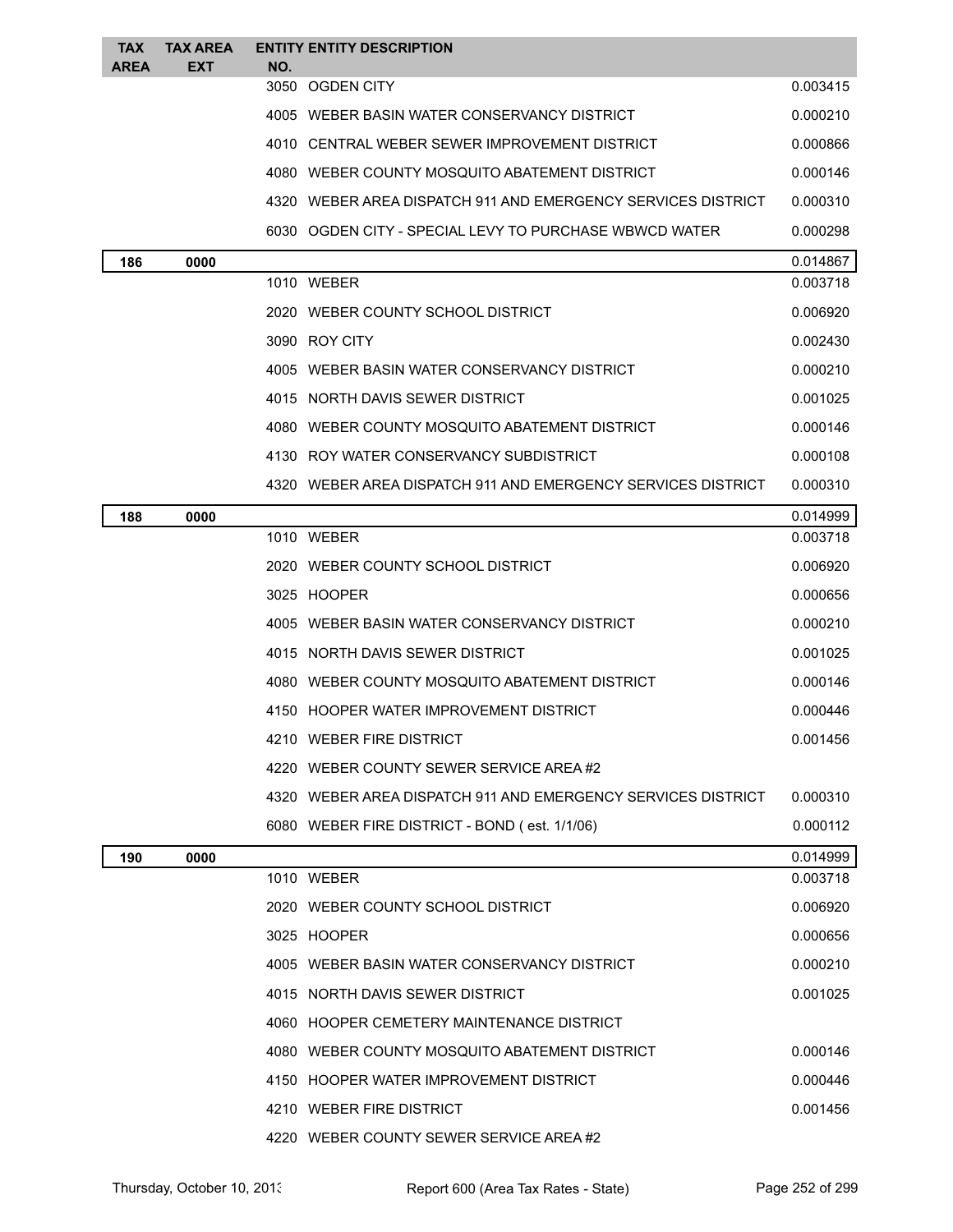| <b>TAX</b><br><b>AREA</b> | <b>TAX AREA</b><br>EXT | NO. | <b>ENTITY ENTITY DESCRIPTION</b>                               |          |
|---------------------------|------------------------|-----|----------------------------------------------------------------|----------|
|                           |                        |     | 3050 OGDEN CITY                                                | 0.003415 |
|                           |                        |     | 4005 WEBER BASIN WATER CONSERVANCY DISTRICT                    | 0.000210 |
|                           |                        |     | 4010 CENTRAL WEBER SEWER IMPROVEMENT DISTRICT                  | 0.000866 |
|                           |                        |     | 4080 WEBER COUNTY MOSQUITO ABATEMENT DISTRICT                  | 0.000146 |
|                           |                        |     | 4320 WEBER AREA DISPATCH 911 AND EMERGENCY SERVICES DISTRICT   | 0.000310 |
|                           |                        |     | 6030 OGDEN CITY - SPECIAL LEVY TO PURCHASE WBWCD WATER         | 0.000298 |
| 186                       | 0000                   |     |                                                                | 0.014867 |
|                           |                        |     | 1010 WEBER                                                     | 0.003718 |
|                           |                        |     | 2020 WEBER COUNTY SCHOOL DISTRICT                              | 0.006920 |
|                           |                        |     | 3090 ROY CITY                                                  | 0.002430 |
|                           |                        |     | 4005 WEBER BASIN WATER CONSERVANCY DISTRICT                    | 0.000210 |
|                           |                        |     | 4015 NORTH DAVIS SEWER DISTRICT                                | 0.001025 |
|                           |                        |     | 4080 WEBER COUNTY MOSQUITO ABATEMENT DISTRICT                  | 0.000146 |
|                           |                        |     | 4130 ROY WATER CONSERVANCY SUBDISTRICT                         | 0.000108 |
|                           |                        |     | 4320   WEBER AREA DISPATCH 911 AND EMERGENCY SERVICES DISTRICT | 0.000310 |
| 188                       | 0000                   |     |                                                                | 0.014999 |
|                           |                        |     | 1010 WEBER                                                     | 0.003718 |
|                           |                        |     | 2020 WEBER COUNTY SCHOOL DISTRICT                              | 0.006920 |
|                           |                        |     | 3025 HOOPER                                                    | 0.000656 |
|                           |                        |     | 4005 WEBER BASIN WATER CONSERVANCY DISTRICT                    | 0.000210 |
|                           |                        |     | 4015 NORTH DAVIS SEWER DISTRICT                                | 0.001025 |
|                           |                        |     | 4080 WEBER COUNTY MOSQUITO ABATEMENT DISTRICT                  | 0.000146 |
|                           |                        |     | 4150 HOOPER WATER IMPROVEMENT DISTRICT                         | 0.000446 |
|                           |                        |     | 4210 WEBER FIRE DISTRICT                                       | 0.001456 |
|                           |                        |     | 4220 WEBER COUNTY SEWER SERVICE AREA #2                        |          |
|                           |                        |     | 4320 WEBER AREA DISPATCH 911 AND EMERGENCY SERVICES DISTRICT   | 0.000310 |
|                           |                        |     | 6080 WEBER FIRE DISTRICT - BOND (est. 1/1/06)                  | 0.000112 |
| 190                       | 0000                   |     |                                                                | 0.014999 |
|                           |                        |     | 1010 WEBER                                                     | 0.003718 |
|                           |                        |     | 2020 WEBER COUNTY SCHOOL DISTRICT                              | 0.006920 |
|                           |                        |     | 3025 HOOPER                                                    | 0.000656 |
|                           |                        |     | 4005 WEBER BASIN WATER CONSERVANCY DISTRICT                    | 0.000210 |
|                           |                        |     | 4015 NORTH DAVIS SEWER DISTRICT                                | 0.001025 |
|                           |                        |     | 4060 HOOPER CEMETERY MAINTENANCE DISTRICT                      |          |
|                           |                        |     | 4080 WEBER COUNTY MOSQUITO ABATEMENT DISTRICT                  | 0.000146 |
|                           |                        |     | 4150 HOOPER WATER IMPROVEMENT DISTRICT                         | 0.000446 |
|                           |                        |     | 4210 WEBER FIRE DISTRICT                                       | 0.001456 |
|                           |                        |     | 4220 WEBER COUNTY SEWER SERVICE AREA#2                         |          |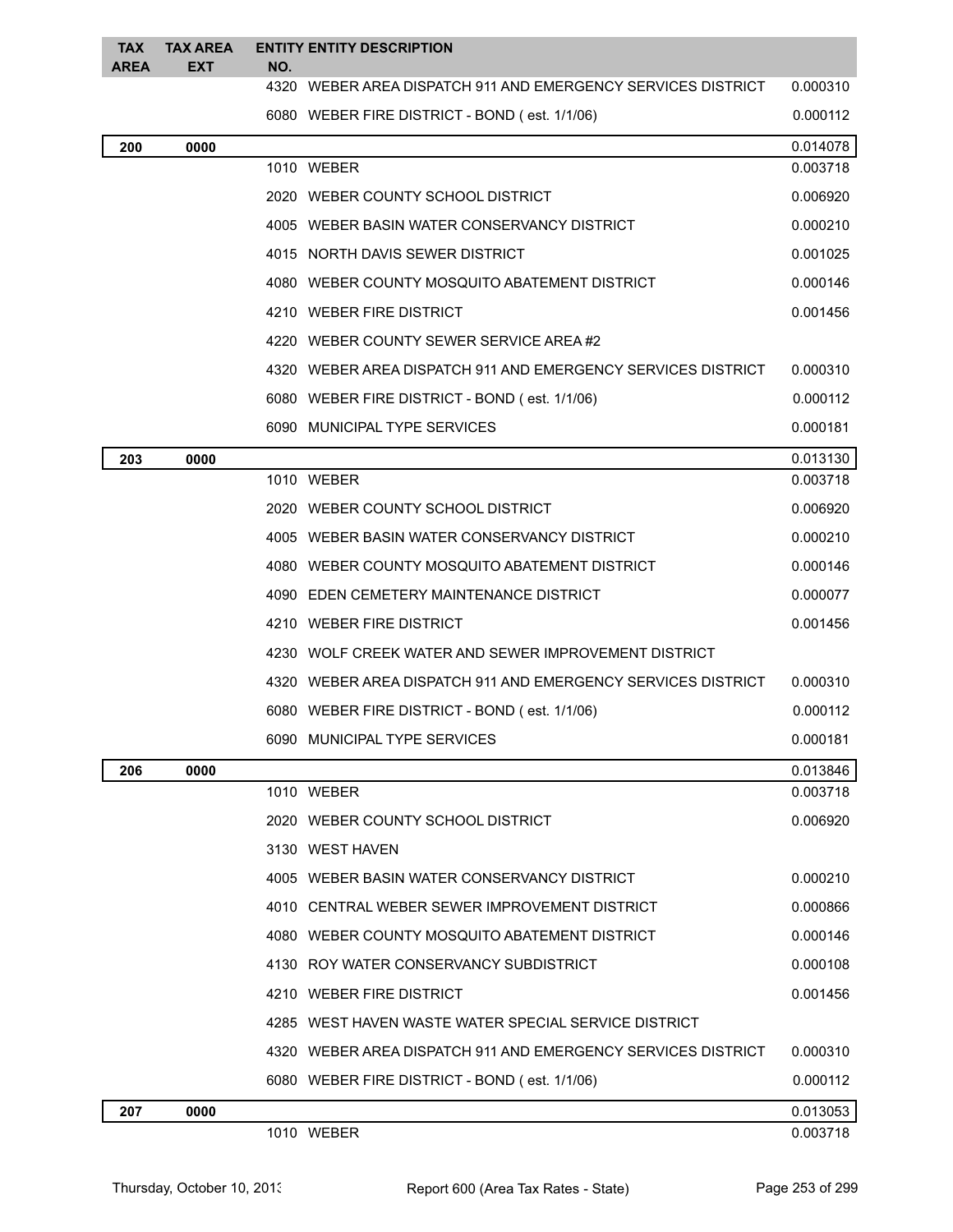| <b>TAX</b><br><b>AREA</b> | <b>TAX AREA</b><br>EXT | NO. | <b>ENTITY ENTITY DESCRIPTION</b>                             |          |
|---------------------------|------------------------|-----|--------------------------------------------------------------|----------|
|                           |                        |     | 4320 WEBER AREA DISPATCH 911 AND EMERGENCY SERVICES DISTRICT | 0.000310 |
|                           |                        |     | 6080 WEBER FIRE DISTRICT - BOND (est. 1/1/06)                | 0.000112 |
| 200                       | 0000                   |     |                                                              | 0.014078 |
|                           |                        |     | 1010 WEBER                                                   | 0.003718 |
|                           |                        |     | 2020 WEBER COUNTY SCHOOL DISTRICT                            | 0.006920 |
|                           |                        |     | 4005 WEBER BASIN WATER CONSERVANCY DISTRICT                  | 0.000210 |
|                           |                        |     | 4015 NORTH DAVIS SEWER DISTRICT                              | 0.001025 |
|                           |                        |     | 4080 WEBER COUNTY MOSQUITO ABATEMENT DISTRICT                | 0.000146 |
|                           |                        |     | 4210 WEBER FIRE DISTRICT                                     | 0.001456 |
|                           |                        |     | 4220 WEBER COUNTY SEWER SERVICE AREA#2                       |          |
|                           |                        |     | 4320 WEBER AREA DISPATCH 911 AND EMERGENCY SERVICES DISTRICT | 0.000310 |
|                           |                        |     | 6080 WEBER FIRE DISTRICT - BOND (est. 1/1/06)                | 0.000112 |
|                           |                        |     | 6090 MUNICIPAL TYPE SERVICES                                 | 0.000181 |
| 203                       | 0000                   |     |                                                              | 0.013130 |
|                           |                        |     | 1010 WEBER                                                   | 0.003718 |
|                           |                        |     | 2020 WEBER COUNTY SCHOOL DISTRICT                            | 0.006920 |
|                           |                        |     | 4005 WEBER BASIN WATER CONSERVANCY DISTRICT                  | 0.000210 |
|                           |                        |     | 4080 WEBER COUNTY MOSQUITO ABATEMENT DISTRICT                | 0.000146 |
|                           |                        |     | 4090 EDEN CEMETERY MAINTENANCE DISTRICT                      | 0.000077 |
|                           |                        |     | 4210 WEBER FIRE DISTRICT                                     | 0.001456 |
|                           |                        |     | 4230 WOLF CREEK WATER AND SEWER IMPROVEMENT DISTRICT         |          |
|                           |                        |     | 4320 WEBER AREA DISPATCH 911 AND EMERGENCY SERVICES DISTRICT | 0.000310 |
|                           |                        |     | 6080 WEBER FIRE DISTRICT - BOND (est. 1/1/06)                | 0.000112 |
|                           |                        |     | 6090 MUNICIPAL TYPE SERVICES                                 | 0.000181 |
| 206                       | 0000                   |     |                                                              | 0.013846 |
|                           |                        |     | 1010 WEBER                                                   | 0.003718 |
|                           |                        |     | 2020 WEBER COUNTY SCHOOL DISTRICT                            | 0.006920 |
|                           |                        |     | 3130 WEST HAVEN                                              |          |
|                           |                        |     | 4005 WEBER BASIN WATER CONSERVANCY DISTRICT                  | 0.000210 |
|                           |                        |     | 4010 CENTRAL WEBER SEWER IMPROVEMENT DISTRICT                | 0.000866 |
|                           |                        |     | 4080 WEBER COUNTY MOSQUITO ABATEMENT DISTRICT                | 0.000146 |
|                           |                        |     | 4130 ROY WATER CONSERVANCY SUBDISTRICT                       | 0.000108 |
|                           |                        |     | 4210 WEBER FIRE DISTRICT                                     | 0.001456 |
|                           |                        |     | 4285 WEST HAVEN WASTE WATER SPECIAL SERVICE DISTRICT         |          |
|                           |                        |     | 4320 WEBER AREA DISPATCH 911 AND EMERGENCY SERVICES DISTRICT | 0.000310 |
|                           |                        |     | 6080 WEBER FIRE DISTRICT - BOND (est. 1/1/06)                | 0.000112 |
| 207                       | 0000                   |     |                                                              | 0.013053 |
|                           |                        |     | 1010 WEBER                                                   | 0.003718 |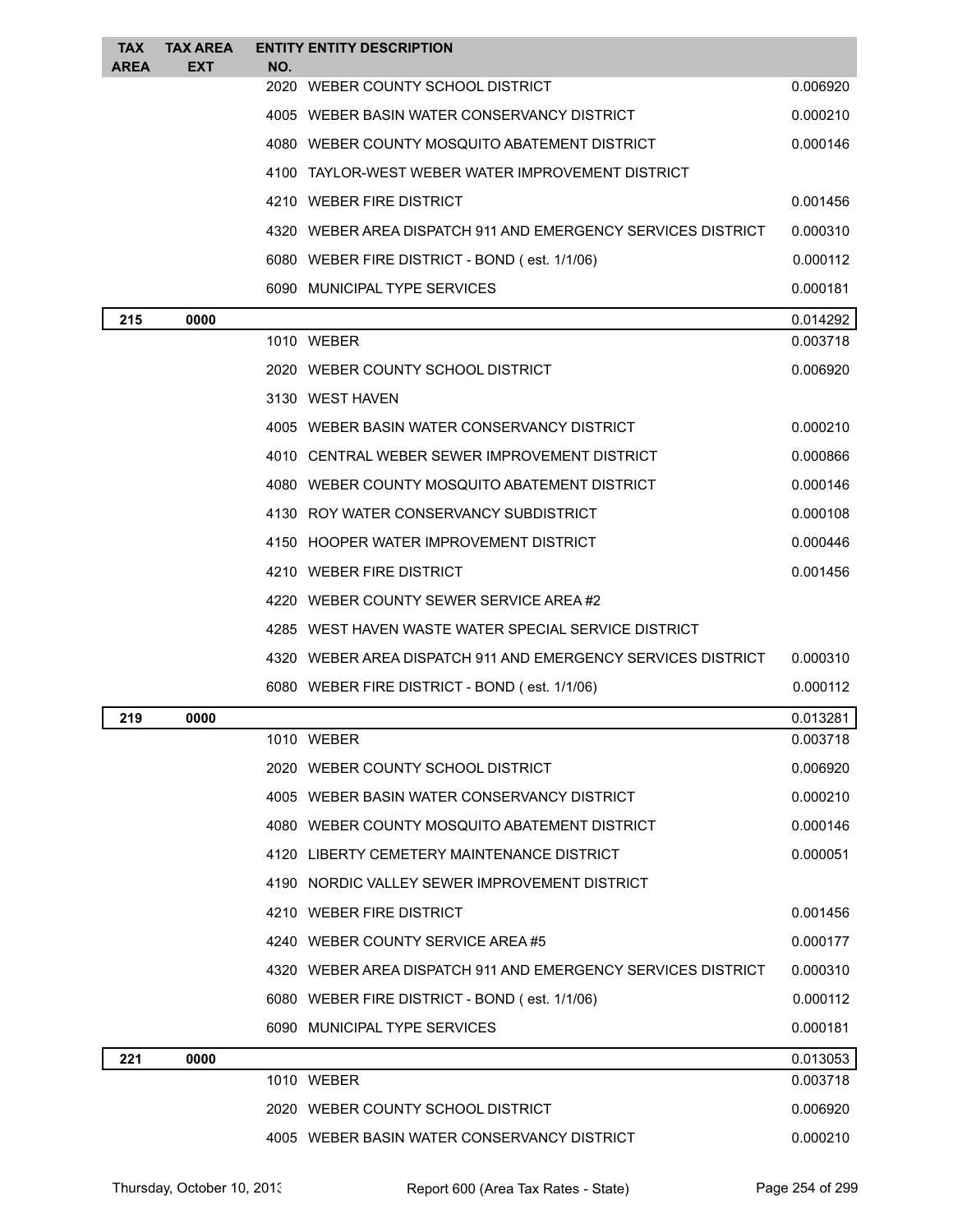| <b>TAX</b><br><b>AREA</b> | <b>TAX AREA</b><br><b>EXT</b> | NO. | <b>ENTITY ENTITY DESCRIPTION</b>                             |          |
|---------------------------|-------------------------------|-----|--------------------------------------------------------------|----------|
|                           |                               |     | 2020 WEBER COUNTY SCHOOL DISTRICT                            | 0.006920 |
|                           |                               |     | 4005 WEBER BASIN WATER CONSERVANCY DISTRICT                  | 0.000210 |
|                           |                               |     | 4080 WEBER COUNTY MOSQUITO ABATEMENT DISTRICT                | 0.000146 |
|                           |                               |     | 4100 TAYLOR-WEST WEBER WATER IMPROVEMENT DISTRICT            |          |
|                           |                               |     | 4210 WEBER FIRE DISTRICT                                     | 0.001456 |
|                           |                               |     | 4320 WEBER AREA DISPATCH 911 AND EMERGENCY SERVICES DISTRICT | 0.000310 |
|                           |                               |     | 6080 WEBER FIRE DISTRICT - BOND (est. 1/1/06)                | 0.000112 |
|                           |                               |     | 6090 MUNICIPAL TYPE SERVICES                                 | 0.000181 |
| 215                       | 0000                          |     |                                                              | 0.014292 |
|                           |                               |     | 1010 WEBER                                                   | 0.003718 |
|                           |                               |     | 2020 WEBER COUNTY SCHOOL DISTRICT                            | 0.006920 |
|                           |                               |     | 3130 WEST HAVEN                                              |          |
|                           |                               |     | 4005 WEBER BASIN WATER CONSERVANCY DISTRICT                  | 0.000210 |
|                           |                               |     | 4010 CENTRAL WEBER SEWER IMPROVEMENT DISTRICT                | 0.000866 |
|                           |                               |     | 4080 WEBER COUNTY MOSQUITO ABATEMENT DISTRICT                | 0.000146 |
|                           |                               |     | 4130 ROY WATER CONSERVANCY SUBDISTRICT                       | 0.000108 |
|                           |                               |     | 4150 HOOPER WATER IMPROVEMENT DISTRICT                       | 0.000446 |
|                           |                               |     | 4210 WEBER FIRE DISTRICT                                     | 0.001456 |
|                           |                               |     | 4220 WEBER COUNTY SEWER SERVICE AREA#2                       |          |
|                           |                               |     | 4285 WEST HAVEN WASTE WATER SPECIAL SERVICE DISTRICT         |          |
|                           |                               |     | 4320 WEBER AREA DISPATCH 911 AND EMERGENCY SERVICES DISTRICT | 0.000310 |
|                           |                               |     | 6080 WEBER FIRE DISTRICT - BOND (est. 1/1/06)                | 0.000112 |
| 219                       | 0000                          |     |                                                              | 0.013281 |
|                           |                               |     | 1010 WEBER                                                   | 0.003718 |
|                           |                               |     | 2020 WEBER COUNTY SCHOOL DISTRICT                            | 0.006920 |
|                           |                               |     | 4005 WEBER BASIN WATER CONSERVANCY DISTRICT                  | 0.000210 |
|                           |                               |     | 4080 WEBER COUNTY MOSQUITO ABATEMENT DISTRICT                | 0.000146 |
|                           |                               |     | 4120 LIBERTY CEMETERY MAINTENANCE DISTRICT                   | 0.000051 |
|                           |                               |     | 4190 NORDIC VALLEY SEWER IMPROVEMENT DISTRICT                |          |
|                           |                               |     | 4210 WEBER FIRE DISTRICT                                     | 0.001456 |
|                           |                               |     | 4240 WEBER COUNTY SERVICE AREA#5                             | 0.000177 |
|                           |                               |     | 4320 WEBER AREA DISPATCH 911 AND EMERGENCY SERVICES DISTRICT | 0.000310 |
|                           |                               |     | 6080 WEBER FIRE DISTRICT - BOND (est. 1/1/06)                | 0.000112 |
|                           |                               |     | 6090 MUNICIPAL TYPE SERVICES                                 | 0.000181 |
| 221                       | 0000                          |     |                                                              | 0.013053 |
|                           |                               |     | 1010 WEBER                                                   | 0.003718 |
|                           |                               |     | 2020 WEBER COUNTY SCHOOL DISTRICT                            | 0.006920 |
|                           |                               |     | 4005 WEBER BASIN WATER CONSERVANCY DISTRICT                  | 0.000210 |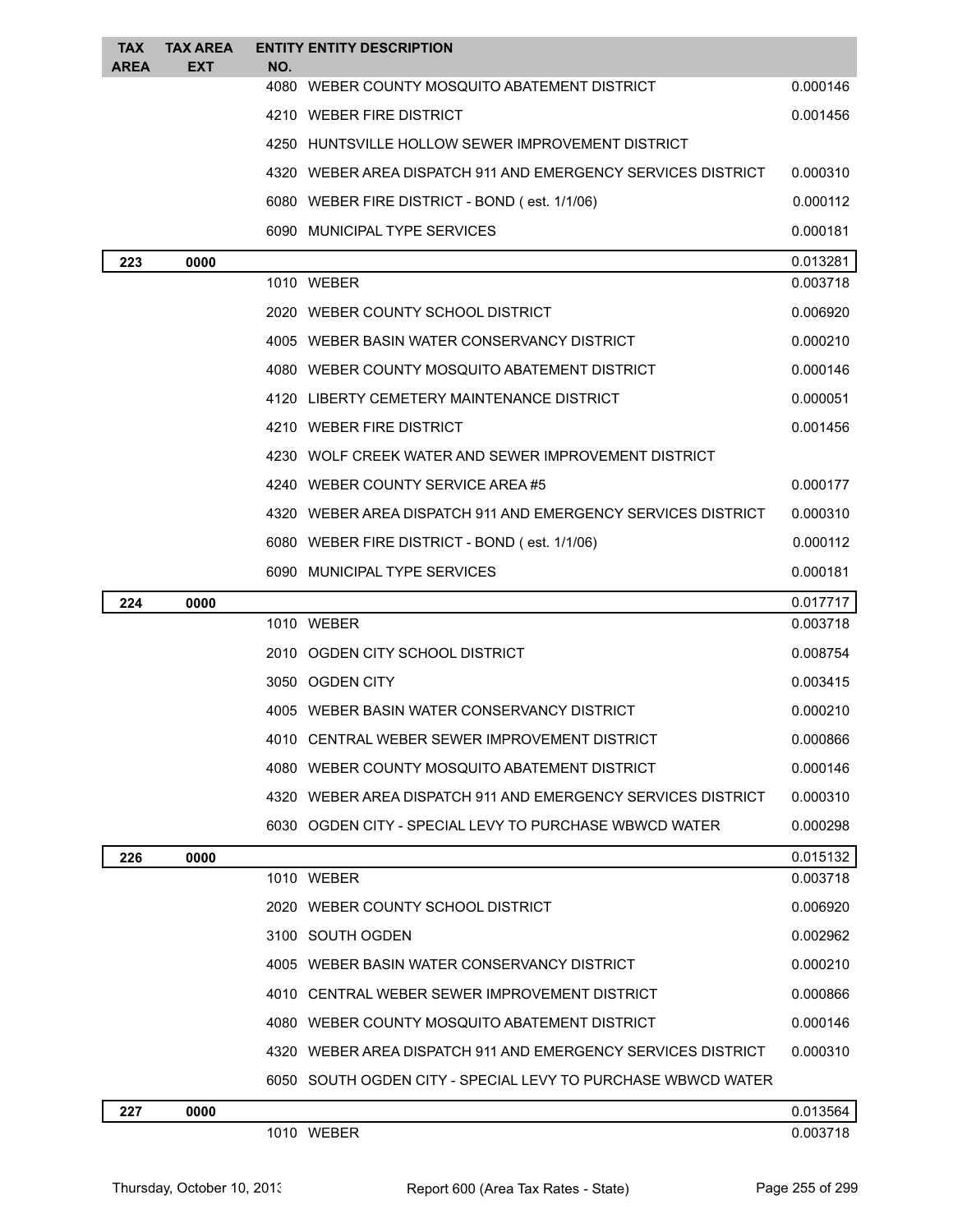| TAX<br><b>AREA</b> | <b>TAX AREA</b><br>EXT | NO. | <b>ENTITY ENTITY DESCRIPTION</b>                             |          |
|--------------------|------------------------|-----|--------------------------------------------------------------|----------|
|                    |                        |     | 4080 WEBER COUNTY MOSQUITO ABATEMENT DISTRICT                | 0.000146 |
|                    |                        |     | 4210 WEBER FIRE DISTRICT                                     | 0.001456 |
|                    |                        |     | 4250 HUNTSVILLE HOLLOW SEWER IMPROVEMENT DISTRICT            |          |
|                    |                        |     | 4320 WEBER AREA DISPATCH 911 AND EMERGENCY SERVICES DISTRICT | 0.000310 |
|                    |                        |     | 6080 WEBER FIRE DISTRICT - BOND (est. 1/1/06)                | 0.000112 |
|                    |                        |     | 6090 MUNICIPAL TYPE SERVICES                                 | 0.000181 |
| 223                | 0000                   |     |                                                              | 0.013281 |
|                    |                        |     | 1010 WEBER                                                   | 0.003718 |
|                    |                        |     | 2020 WEBER COUNTY SCHOOL DISTRICT                            | 0.006920 |
|                    |                        |     | 4005 WEBER BASIN WATER CONSERVANCY DISTRICT                  | 0.000210 |
|                    |                        |     | 4080 WEBER COUNTY MOSQUITO ABATEMENT DISTRICT                | 0.000146 |
|                    |                        |     | 4120 LIBERTY CEMETERY MAINTENANCE DISTRICT                   | 0.000051 |
|                    |                        |     | 4210 WEBER FIRE DISTRICT                                     | 0.001456 |
|                    |                        |     | 4230 WOLF CREEK WATER AND SEWER IMPROVEMENT DISTRICT         |          |
|                    |                        |     | 4240 WEBER COUNTY SERVICE AREA#5                             | 0.000177 |
|                    |                        |     | 4320 WEBER AREA DISPATCH 911 AND EMERGENCY SERVICES DISTRICT | 0.000310 |
|                    |                        |     | 6080 WEBER FIRE DISTRICT - BOND (est. 1/1/06)                | 0.000112 |
|                    |                        |     | 6090 MUNICIPAL TYPE SERVICES                                 | 0.000181 |
| 224                | 0000                   |     |                                                              | 0.017717 |
|                    |                        |     | 1010 WEBER                                                   | 0.003718 |
|                    |                        |     | 2010 OGDEN CITY SCHOOL DISTRICT                              | 0.008754 |
|                    |                        |     | 3050 OGDEN CITY                                              | 0.003415 |
|                    |                        |     | 4005 WEBER BASIN WATER CONSERVANCY DISTRICT                  | 0.000210 |
|                    |                        |     | 4010 CENTRAL WEBER SEWER IMPROVEMENT DISTRICT                | 0.000866 |
|                    |                        |     | 4080 WEBER COUNTY MOSQUITO ABATEMENT DISTRICT                | 0.000146 |
|                    |                        |     | 4320 WEBER AREA DISPATCH 911 AND EMERGENCY SERVICES DISTRICT | 0.000310 |
|                    |                        |     | 6030 OGDEN CITY - SPECIAL LEVY TO PURCHASE WBWCD WATER       | 0.000298 |
| 226                | 0000                   |     |                                                              | 0.015132 |
|                    |                        |     | 1010 WEBER                                                   | 0.003718 |
|                    |                        |     | 2020 WEBER COUNTY SCHOOL DISTRICT                            | 0.006920 |
|                    |                        |     | 3100 SOUTH OGDEN                                             | 0.002962 |
|                    |                        |     | 4005 WEBER BASIN WATER CONSERVANCY DISTRICT                  | 0.000210 |
|                    |                        |     | 4010 CENTRAL WEBER SEWER IMPROVEMENT DISTRICT                | 0.000866 |
|                    |                        |     | 4080 WEBER COUNTY MOSQUITO ABATEMENT DISTRICT                | 0.000146 |
|                    |                        |     | 4320 WEBER AREA DISPATCH 911 AND EMERGENCY SERVICES DISTRICT | 0.000310 |
|                    |                        |     | 6050 SOUTH OGDEN CITY - SPECIAL LEVY TO PURCHASE WBWCD WATER |          |
| 227                | 0000                   |     |                                                              | 0.013564 |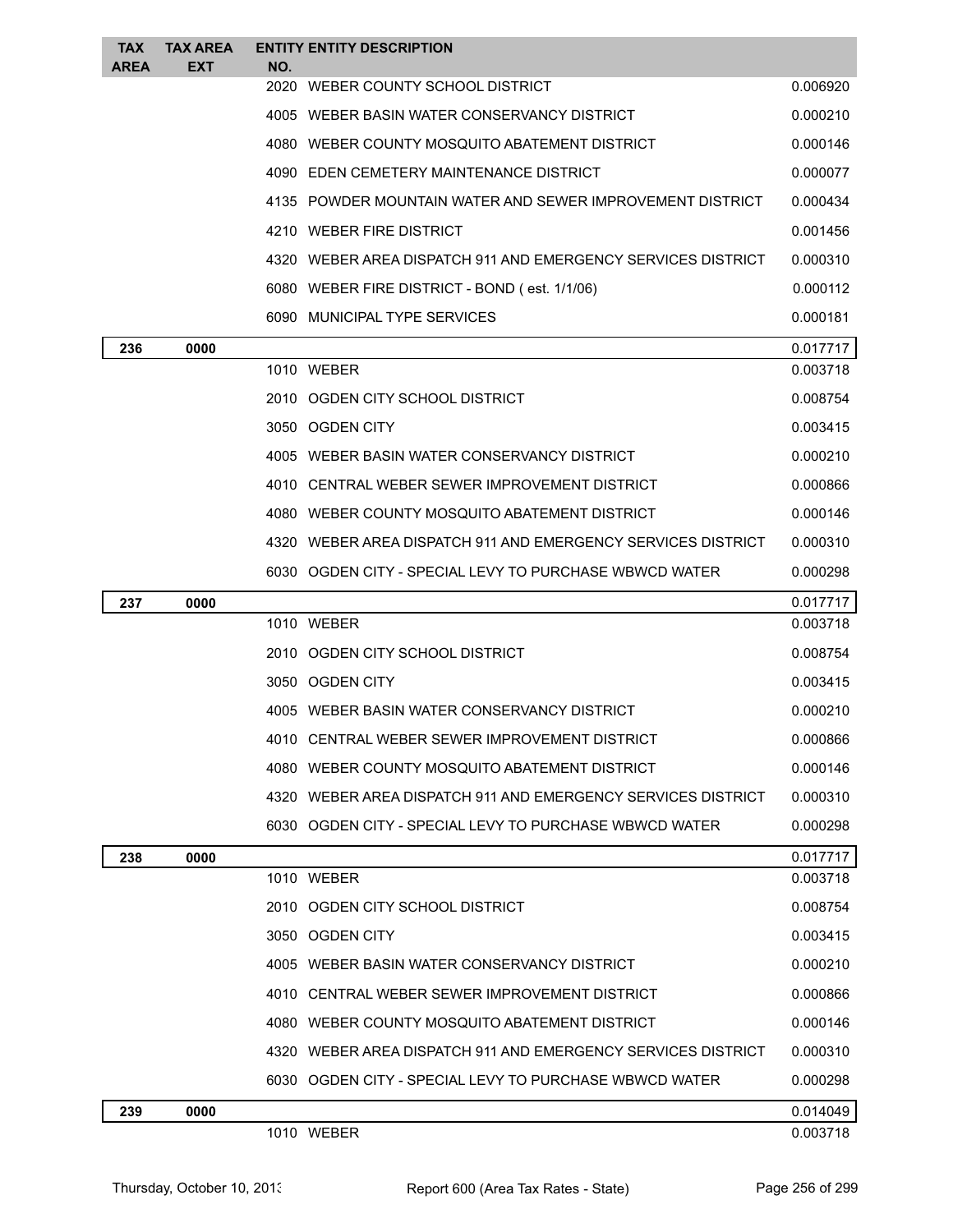| <b>TAX</b><br><b>AREA</b> | <b>TAX AREA</b><br><b>EXT</b> | NO.  | <b>ENTITY ENTITY DESCRIPTION</b>                               |                      |
|---------------------------|-------------------------------|------|----------------------------------------------------------------|----------------------|
|                           |                               | 2020 | WEBER COUNTY SCHOOL DISTRICT                                   | 0.006920             |
|                           |                               |      | 4005 WEBER BASIN WATER CONSERVANCY DISTRICT                    | 0.000210             |
|                           |                               |      | 4080 WEBER COUNTY MOSQUITO ABATEMENT DISTRICT                  | 0.000146             |
|                           |                               |      | 4090 EDEN CEMETERY MAINTENANCE DISTRICT                        | 0.000077             |
|                           |                               |      | 4135 POWDER MOUNTAIN WATER AND SEWER IMPROVEMENT DISTRICT      | 0.000434             |
|                           |                               |      | 4210 WEBER FIRE DISTRICT                                       | 0.001456             |
|                           |                               |      | 4320 WEBER AREA DISPATCH 911 AND EMERGENCY SERVICES DISTRICT   | 0.000310             |
|                           |                               |      | 6080 WEBER FIRE DISTRICT - BOND (est. 1/1/06)                  | 0.000112             |
|                           |                               |      | 6090 MUNICIPAL TYPE SERVICES                                   | 0.000181             |
| 236                       | 0000                          |      |                                                                | 0.017717             |
|                           |                               |      | 1010 WEBER                                                     | 0.003718             |
|                           |                               |      | 2010 OGDEN CITY SCHOOL DISTRICT                                | 0.008754             |
|                           |                               |      | 3050 OGDEN CITY                                                | 0.003415             |
|                           |                               |      | 4005 WEBER BASIN WATER CONSERVANCY DISTRICT                    | 0.000210             |
|                           |                               |      | 4010 CENTRAL WEBER SEWER IMPROVEMENT DISTRICT                  | 0.000866             |
|                           |                               |      | 4080 WEBER COUNTY MOSQUITO ABATEMENT DISTRICT                  | 0.000146             |
|                           |                               |      | 4320   WEBER AREA DISPATCH 911 AND EMERGENCY SERVICES DISTRICT | 0.000310             |
|                           |                               |      | 6030 OGDEN CITY - SPECIAL LEVY TO PURCHASE WBWCD WATER         | 0.000298             |
| 237                       | 0000                          |      |                                                                | 0.017717             |
|                           |                               |      | 1010 WEBER                                                     | 0.003718             |
|                           |                               |      | 2010 OGDEN CITY SCHOOL DISTRICT                                | 0.008754             |
|                           |                               |      | 3050 OGDEN CITY                                                | 0.003415             |
|                           |                               |      | 4005 WEBER BASIN WATER CONSERVANCY DISTRICT                    | 0.000210             |
|                           |                               |      | 4010 CENTRAL WEBER SEWER IMPROVEMENT DISTRICT                  | 0.000866             |
|                           |                               |      | 4080 WEBER COUNTY MOSQUITO ABATEMENT DISTRICT                  | 0.000146             |
|                           |                               |      | 4320 WEBER AREA DISPATCH 911 AND EMERGENCY SERVICES DISTRICT   | 0.000310             |
|                           |                               |      | 6030 OGDEN CITY - SPECIAL LEVY TO PURCHASE WBWCD WATER         | 0.000298             |
| 238                       | 0000                          |      |                                                                | 0.017717             |
|                           |                               |      | 1010 WEBER                                                     | 0.003718             |
|                           |                               |      | 2010 OGDEN CITY SCHOOL DISTRICT                                | 0.008754             |
|                           |                               |      | 3050 OGDEN CITY                                                | 0.003415             |
|                           |                               |      | 4005 WEBER BASIN WATER CONSERVANCY DISTRICT                    | 0.000210             |
|                           |                               |      | 4010 CENTRAL WEBER SEWER IMPROVEMENT DISTRICT                  | 0.000866             |
|                           |                               |      | 4080 WEBER COUNTY MOSQUITO ABATEMENT DISTRICT                  | 0.000146             |
|                           |                               |      | 4320   WEBER AREA DISPATCH 911 AND EMERGENCY SERVICES DISTRICT | 0.000310             |
|                           |                               |      | 6030 OGDEN CITY - SPECIAL LEVY TO PURCHASE WBWCD WATER         | 0.000298             |
| 239                       | 0000                          |      | 1010 WEBER                                                     | 0.014049<br>0.003718 |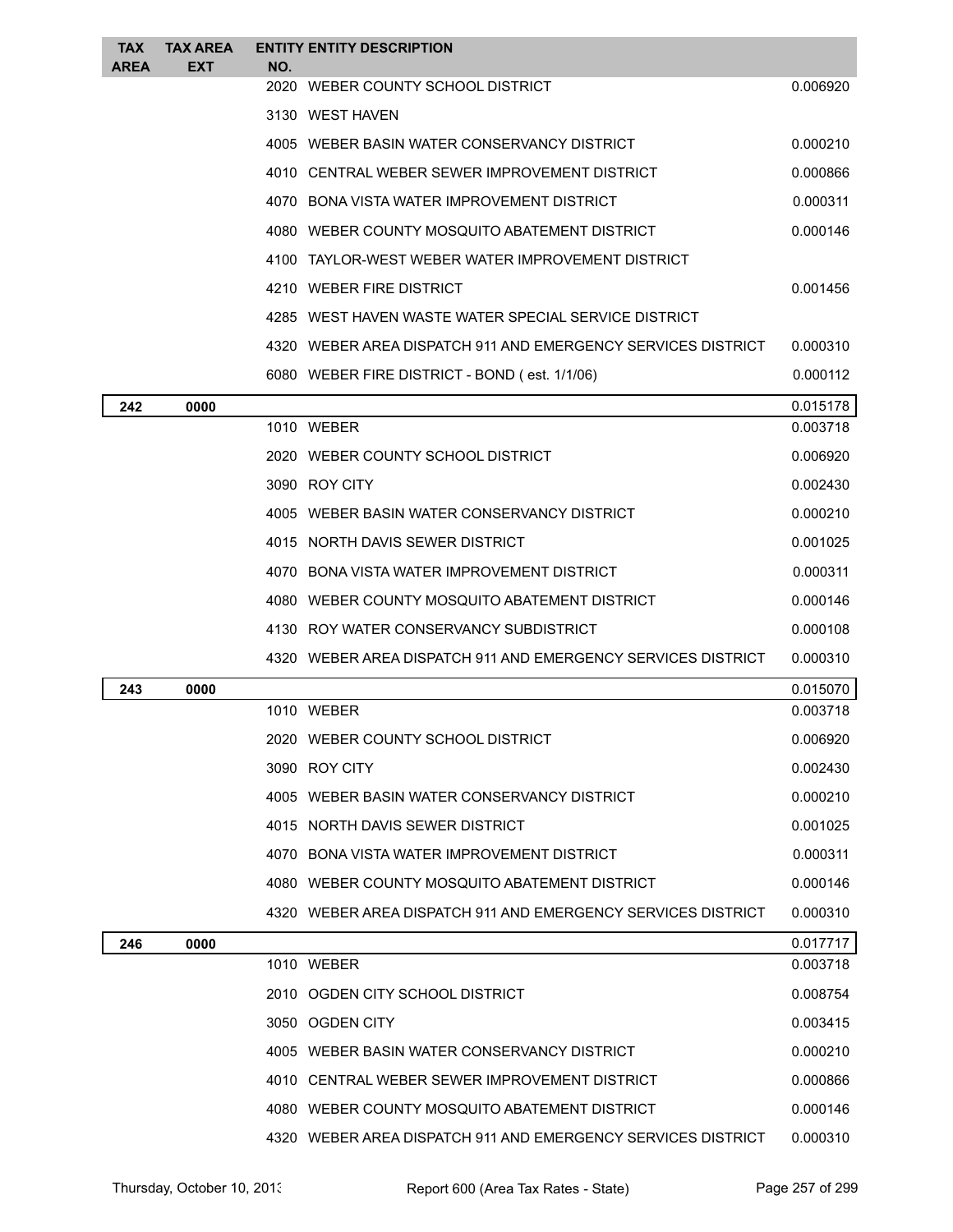| <b>TAX</b><br><b>AREA</b> | TAX AREA<br><b>EXT</b> | NO. | <b>ENTITY ENTITY DESCRIPTION</b>                             |          |
|---------------------------|------------------------|-----|--------------------------------------------------------------|----------|
|                           |                        |     | 2020 WEBER COUNTY SCHOOL DISTRICT                            | 0.006920 |
|                           |                        |     | 3130 WEST HAVEN                                              |          |
|                           |                        |     | 4005 WEBER BASIN WATER CONSERVANCY DISTRICT                  | 0.000210 |
|                           |                        |     | 4010 CENTRAL WEBER SEWER IMPROVEMENT DISTRICT                | 0.000866 |
|                           |                        |     | 4070 BONA VISTA WATER IMPROVEMENT DISTRICT                   | 0.000311 |
|                           |                        |     | 4080 WEBER COUNTY MOSQUITO ABATEMENT DISTRICT                | 0.000146 |
|                           |                        |     | 4100 TAYLOR-WEST WEBER WATER IMPROVEMENT DISTRICT            |          |
|                           |                        |     | 4210 WEBER FIRE DISTRICT                                     | 0.001456 |
|                           |                        |     | 4285 WEST HAVEN WASTE WATER SPECIAL SERVICE DISTRICT         |          |
|                           |                        |     | 4320 WEBER AREA DISPATCH 911 AND EMERGENCY SERVICES DISTRICT | 0.000310 |
|                           |                        |     | 6080 WEBER FIRE DISTRICT - BOND (est. 1/1/06)                | 0.000112 |
| 242                       | 0000                   |     |                                                              | 0.015178 |
|                           |                        |     | 1010 WEBER                                                   | 0.003718 |
|                           |                        |     | 2020 WEBER COUNTY SCHOOL DISTRICT                            | 0.006920 |
|                           |                        |     | 3090 ROY CITY                                                | 0.002430 |
|                           |                        |     | 4005 WEBER BASIN WATER CONSERVANCY DISTRICT                  | 0.000210 |
|                           |                        |     | 4015 NORTH DAVIS SEWER DISTRICT                              | 0.001025 |
|                           |                        |     | 4070 BONA VISTA WATER IMPROVEMENT DISTRICT                   | 0.000311 |
|                           |                        |     | 4080 WEBER COUNTY MOSQUITO ABATEMENT DISTRICT                | 0.000146 |
|                           |                        |     | 4130 ROY WATER CONSERVANCY SUBDISTRICT                       | 0.000108 |
|                           |                        |     | 4320 WEBER AREA DISPATCH 911 AND EMERGENCY SERVICES DISTRICT | 0.000310 |
| 243                       | 0000                   |     |                                                              | 0.015070 |
|                           |                        |     | 1010 WEBER                                                   | 0.003718 |
|                           |                        |     | 2020 WEBER COUNTY SCHOOL DISTRICT                            | 0.006920 |
|                           |                        |     | 3090 ROY CITY                                                | 0.002430 |
|                           |                        |     | 4005 WEBER BASIN WATER CONSERVANCY DISTRICT                  | 0.000210 |
|                           |                        |     | 4015 NORTH DAVIS SEWER DISTRICT                              | 0.001025 |
|                           |                        |     | 4070 BONA VISTA WATER IMPROVEMENT DISTRICT                   | 0.000311 |
|                           |                        |     | 4080 WEBER COUNTY MOSQUITO ABATEMENT DISTRICT                | 0.000146 |
|                           |                        |     | 4320 WEBER AREA DISPATCH 911 AND EMERGENCY SERVICES DISTRICT | 0.000310 |
| 246                       | 0000                   |     |                                                              | 0.017717 |
|                           |                        |     | 1010 WEBER                                                   | 0.003718 |
|                           |                        |     | 2010 OGDEN CITY SCHOOL DISTRICT                              | 0.008754 |
|                           |                        |     | 3050 OGDEN CITY                                              | 0.003415 |
|                           |                        |     | 4005 WEBER BASIN WATER CONSERVANCY DISTRICT                  | 0.000210 |
|                           |                        |     | 4010 CENTRAL WEBER SEWER IMPROVEMENT DISTRICT                | 0.000866 |
|                           |                        |     | 4080 WEBER COUNTY MOSQUITO ABATEMENT DISTRICT                | 0.000146 |
|                           |                        |     | 4320 WEBER AREA DISPATCH 911 AND EMERGENCY SERVICES DISTRICT | 0.000310 |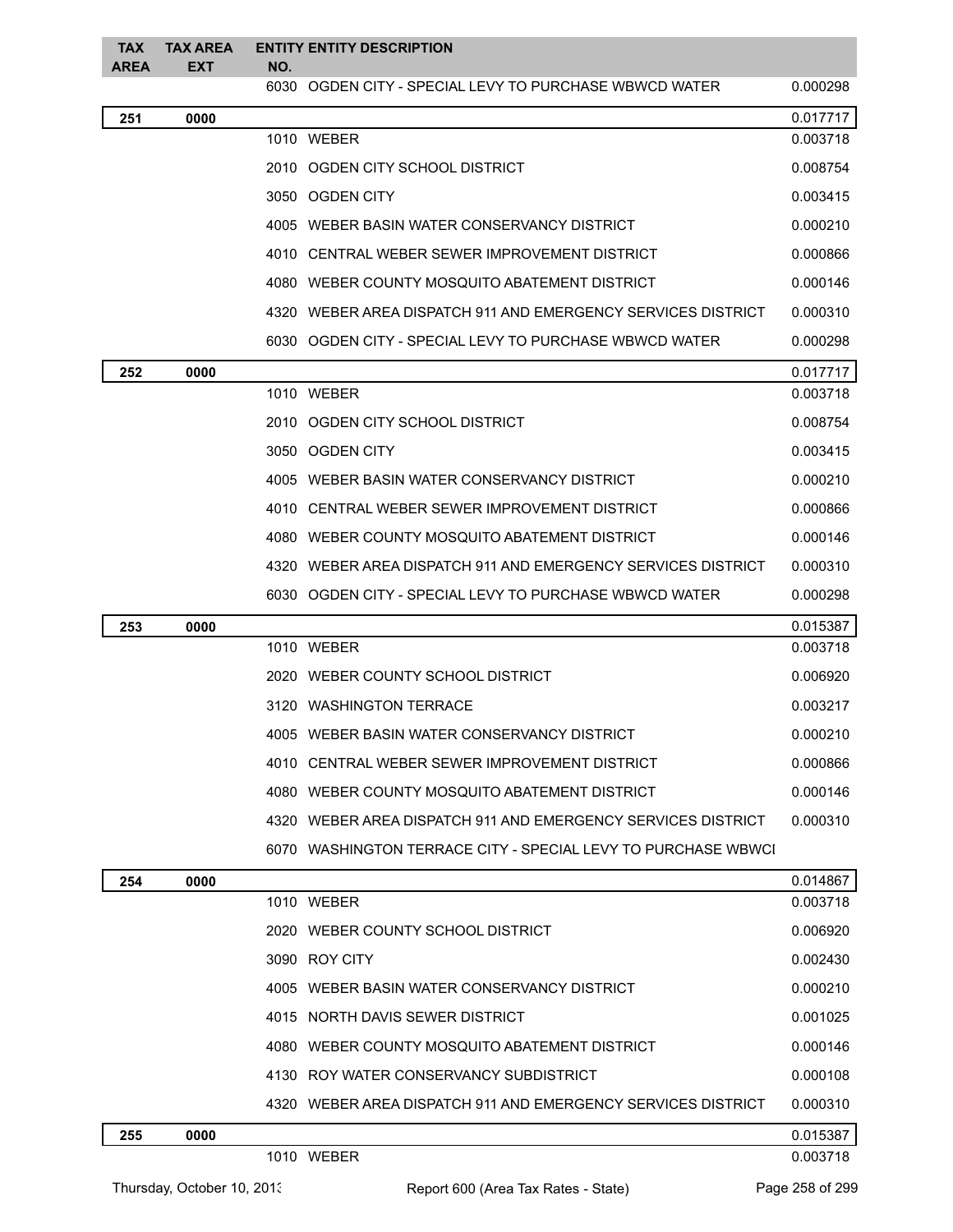| <b>TAX</b><br><b>AREA</b> | <b>TAX AREA</b><br>EXT | NO. | <b>ENTITY ENTITY DESCRIPTION</b>                               |          |
|---------------------------|------------------------|-----|----------------------------------------------------------------|----------|
|                           |                        |     | 6030 OGDEN CITY - SPECIAL LEVY TO PURCHASE WBWCD WATER         | 0.000298 |
| 251                       | 0000                   |     |                                                                | 0.017717 |
|                           |                        |     | 1010 WEBER                                                     | 0.003718 |
|                           |                        |     | 2010 OGDEN CITY SCHOOL DISTRICT                                | 0.008754 |
|                           |                        |     | 3050 OGDEN CITY                                                | 0.003415 |
|                           |                        |     | 4005 WEBER BASIN WATER CONSERVANCY DISTRICT                    | 0.000210 |
|                           |                        |     | 4010   CENTRAL WEBER SEWER IMPROVEMENT DISTRICT                | 0.000866 |
|                           |                        |     | 4080   WEBER COUNTY MOSQUITO ABATEMENT DISTRICT                | 0.000146 |
|                           |                        |     | 4320   WEBER AREA DISPATCH 911 AND EMERGENCY SERVICES DISTRICT | 0.000310 |
|                           |                        |     | 6030 OGDEN CITY - SPECIAL LEVY TO PURCHASE WBWCD WATER         | 0.000298 |
| 252                       | 0000                   |     |                                                                | 0.017717 |
|                           |                        |     | 1010 WEBER                                                     | 0.003718 |
|                           |                        |     | 2010 OGDEN CITY SCHOOL DISTRICT                                | 0.008754 |
|                           |                        |     | 3050 OGDEN CITY                                                | 0.003415 |
|                           |                        |     | 4005 WEBER BASIN WATER CONSERVANCY DISTRICT                    | 0.000210 |
|                           |                        |     | 4010   CENTRAL WEBER SEWER IMPROVEMENT DISTRICT                | 0.000866 |
|                           |                        |     | 4080   WEBER COUNTY MOSQUITO ABATEMENT DISTRICT                | 0.000146 |
|                           |                        |     | 4320   WEBER AREA DISPATCH 911 AND EMERGENCY SERVICES DISTRICT | 0.000310 |
|                           |                        |     | 6030 OGDEN CITY - SPECIAL LEVY TO PURCHASE WBWCD WATER         | 0.000298 |
| 253                       | 0000                   |     |                                                                | 0.015387 |
|                           |                        |     | 1010 WEBER                                                     | 0.003718 |
|                           |                        |     | 2020 WEBER COUNTY SCHOOL DISTRICT                              | 0.006920 |
|                           |                        |     | 3120 WASHINGTON TERRACE                                        | 0.003217 |
|                           |                        |     | 4005 WEBER BASIN WATER CONSERVANCY DISTRICT                    | 0.000210 |
|                           |                        |     | 4010   CENTRAL WEBER SEWER IMPROVEMENT DISTRICT                | 0.000866 |
|                           |                        |     | 4080 WEBER COUNTY MOSQUITO ABATEMENT DISTRICT                  | 0.000146 |
|                           |                        |     | 4320 WEBER AREA DISPATCH 911 AND EMERGENCY SERVICES DISTRICT   | 0.000310 |
|                           |                        |     | 6070 WASHINGTON TERRACE CITY - SPECIAL LEVY TO PURCHASE WBWCI  |          |
| 254                       | 0000                   |     |                                                                | 0.014867 |
|                           |                        |     | 1010 WEBER                                                     | 0.003718 |
|                           |                        |     | 2020 WEBER COUNTY SCHOOL DISTRICT                              | 0.006920 |
|                           |                        |     | 3090 ROY CITY                                                  | 0.002430 |
|                           |                        |     | 4005 WEBER BASIN WATER CONSERVANCY DISTRICT                    | 0.000210 |
|                           |                        |     | 4015 NORTH DAVIS SEWER DISTRICT                                | 0.001025 |
|                           |                        |     | 4080 WEBER COUNTY MOSQUITO ABATEMENT DISTRICT                  | 0.000146 |
|                           |                        |     | 4130 ROY WATER CONSERVANCY SUBDISTRICT                         | 0.000108 |
|                           |                        |     | 4320   WEBER AREA DISPATCH 911 AND EMERGENCY SERVICES DISTRICT | 0.000310 |
| 255                       | 0000                   |     |                                                                | 0.015387 |
|                           |                        |     | 1010 WEBER                                                     | 0.003718 |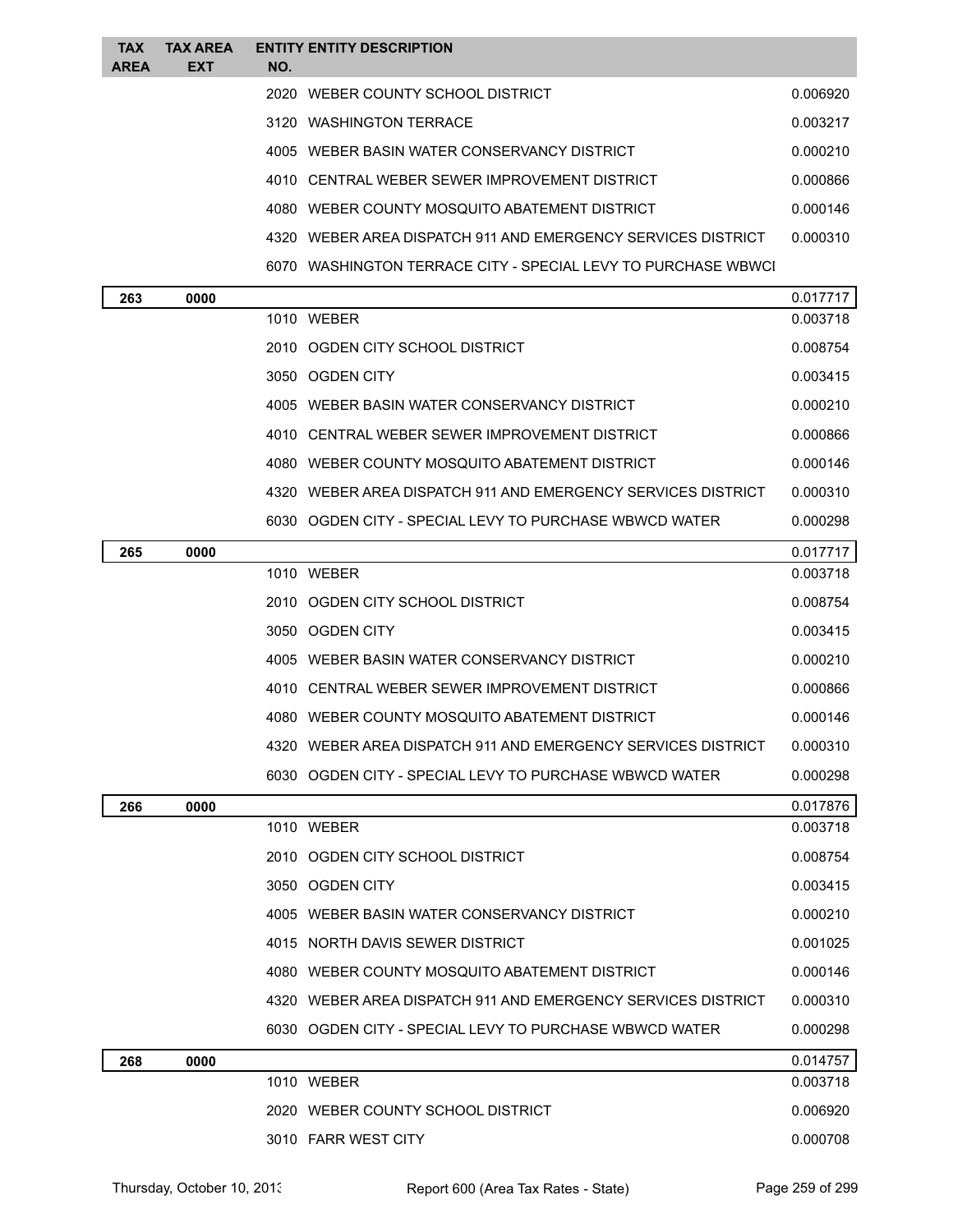| TAX<br>AREA | <b>TAX AREA</b><br>EXT | NO. | <b>ENTITY ENTITY DESCRIPTION</b>                                |          |
|-------------|------------------------|-----|-----------------------------------------------------------------|----------|
|             |                        |     | 2020 WEBER COUNTY SCHOOL DISTRICT                               | 0.006920 |
|             |                        |     | 3120 WASHINGTON TERRACE                                         | 0.003217 |
|             |                        |     | 4005 WEBER BASIN WATER CONSERVANCY DISTRICT                     | 0.000210 |
|             |                        |     | 4010   CENTRAL WEBER SEWER IMPROVEMENT DISTRICT                 | 0.000866 |
|             |                        |     | 4080   WEBER COUNTY MOSQUITO ABATEMENT DISTRICT                 | 0.000146 |
|             |                        |     | 4320   WEBER AREA DISPATCH 911 AND EMERGENCY SERVICES DISTRICT  | 0.000310 |
|             |                        |     | 6070   WASHINGTON TERRACE CITY - SPECIAL LEVY TO PURCHASE WBWCI |          |
| 263         | 0000                   |     |                                                                 | 0.017717 |
|             |                        |     | 1010 WEBER                                                      | 0.003718 |
|             |                        |     | 2010   OGDEN CITY SCHOOL DISTRICT                               | 0.008754 |
|             |                        |     | 3050 OGDEN CITY                                                 | 0.003415 |
|             |                        |     | 4005   WEBER BASIN WATER CONSERVANCY DISTRICT                   | 0.000210 |
|             |                        |     | 4010   CENTRAL WEBER SEWER IMPROVEMENT DISTRICT                 | 0.000866 |
|             |                        |     | 4080   WEBER COUNTY MOSQUITO ABATEMENT DISTRICT                 | 0.000146 |
|             |                        |     | 4320 WEBER AREA DISPATCH 911 AND EMERGENCY SERVICES DISTRICT    | 0.000310 |
|             |                        |     | 6030 OGDEN CITY - SPECIAL LEVY TO PURCHASE WBWCD WATER          | 0.000298 |
| 265         | 0000                   |     |                                                                 | 0.017717 |
|             |                        |     | 1010 WEBER                                                      | 0.003718 |
|             |                        |     | 2010   OGDEN CITY SCHOOL DISTRICT                               | 0.008754 |
|             |                        |     | 3050 OGDEN CITY                                                 | 0.003415 |
|             |                        |     | 4005 WEBER BASIN WATER CONSERVANCY DISTRICT                     | 0.000210 |
|             |                        |     | 4010 CENTRAL WEBER SEWER IMPROVEMENT DISTRICT                   | 0.000866 |
|             |                        |     | 4080 WEBER COUNTY MOSQUITO ABATEMENT DISTRICT                   | 0.000146 |
|             |                        |     | 4320   WEBER AREA DISPATCH 911 AND EMERGENCY SERVICES DISTRICT  | 0.000310 |
|             |                        |     | 6030 OGDEN CITY - SPECIAL LEVY TO PURCHASE WBWCD WATER          | 0.000298 |
| 266         | 0000                   |     |                                                                 | 0.017876 |
|             |                        |     | 1010 WEBER                                                      | 0.003718 |
|             |                        |     | 2010 OGDEN CITY SCHOOL DISTRICT                                 | 0.008754 |
|             |                        |     | 3050 OGDEN CITY                                                 | 0.003415 |
|             |                        |     | 4005 WEBER BASIN WATER CONSERVANCY DISTRICT                     | 0.000210 |
|             |                        |     | 4015 NORTH DAVIS SEWER DISTRICT                                 | 0.001025 |
|             |                        |     | 4080 WEBER COUNTY MOSQUITO ABATEMENT DISTRICT                   | 0.000146 |
|             |                        |     | 4320 WEBER AREA DISPATCH 911 AND EMERGENCY SERVICES DISTRICT    | 0.000310 |
|             |                        |     | 6030 OGDEN CITY - SPECIAL LEVY TO PURCHASE WBWCD WATER          | 0.000298 |
| 268         | 0000                   |     |                                                                 | 0.014757 |
|             |                        |     | 1010 WEBER                                                      | 0.003718 |
|             |                        |     | 2020 WEBER COUNTY SCHOOL DISTRICT                               | 0.006920 |
|             |                        |     | 3010 FARR WEST CITY                                             | 0.000708 |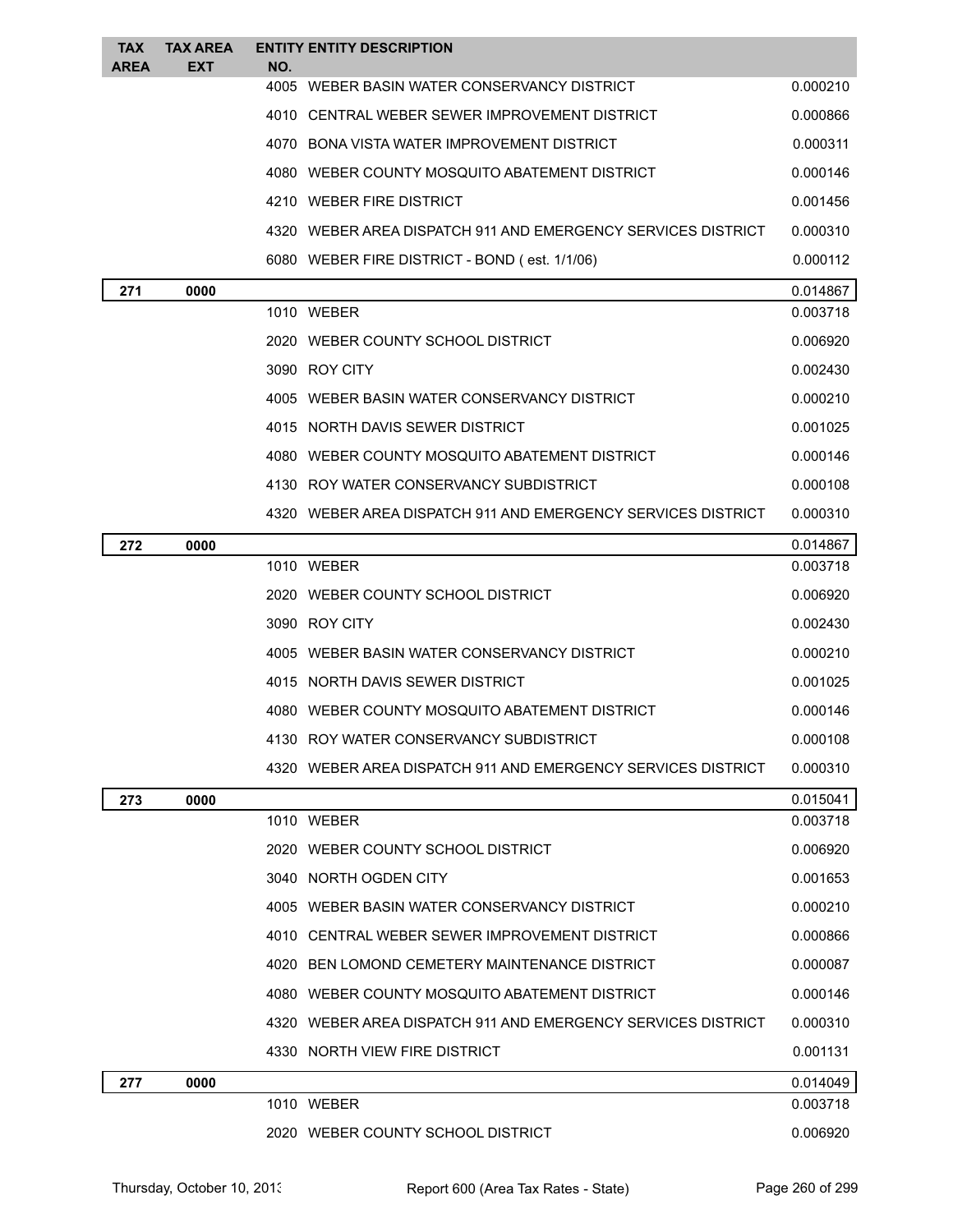| TAX<br>AREA | <b>TAX AREA</b><br><b>EXT</b> | <b>ENTITY ENTITY DESCRIPTION</b><br>NO.                        |          |
|-------------|-------------------------------|----------------------------------------------------------------|----------|
|             |                               | 4005 WEBER BASIN WATER CONSERVANCY DISTRICT                    | 0.000210 |
|             |                               | 4010 CENTRAL WEBER SEWER IMPROVEMENT DISTRICT                  | 0.000866 |
|             |                               | 4070 BONA VISTA WATER IMPROVEMENT DISTRICT                     | 0.000311 |
|             |                               | 4080 WEBER COUNTY MOSQUITO ABATEMENT DISTRICT                  | 0.000146 |
|             |                               | 4210 WEBER FIRE DISTRICT                                       | 0.001456 |
|             |                               | 4320 WEBER AREA DISPATCH 911 AND EMERGENCY SERVICES DISTRICT   | 0.000310 |
|             |                               | 6080 WEBER FIRE DISTRICT - BOND (est. 1/1/06)                  | 0.000112 |
| 271         | 0000                          |                                                                | 0.014867 |
|             |                               | 1010 WEBER                                                     | 0.003718 |
|             |                               | 2020 WEBER COUNTY SCHOOL DISTRICT                              | 0.006920 |
|             |                               | 3090 ROY CITY                                                  | 0.002430 |
|             |                               | 4005 WEBER BASIN WATER CONSERVANCY DISTRICT                    | 0.000210 |
|             |                               | 4015 NORTH DAVIS SEWER DISTRICT                                | 0.001025 |
|             |                               | 4080 WEBER COUNTY MOSQUITO ABATEMENT DISTRICT                  | 0.000146 |
|             |                               | 4130 ROY WATER CONSERVANCY SUBDISTRICT                         | 0.000108 |
|             |                               | 4320 WEBER AREA DISPATCH 911 AND EMERGENCY SERVICES DISTRICT   | 0.000310 |
| 272         | 0000                          |                                                                | 0.014867 |
|             |                               | 1010 WEBER                                                     | 0.003718 |
|             |                               | 2020 WEBER COUNTY SCHOOL DISTRICT                              | 0.006920 |
|             |                               | 3090 ROY CITY                                                  | 0.002430 |
|             |                               | 4005 WEBER BASIN WATER CONSERVANCY DISTRICT                    | 0.000210 |
|             |                               | 4015 NORTH DAVIS SEWER DISTRICT                                | 0.001025 |
|             |                               | 4080 WEBER COUNTY MOSQUITO ABATEMENT DISTRICT                  | 0.000146 |
|             |                               | 4130   ROY WATER CONSERVANCY SUBDISTRICT                       | 0.000108 |
|             |                               | 4320   WEBER AREA DISPATCH 911 AND EMERGENCY SERVICES DISTRICT | 0.000310 |
| 273         | 0000                          |                                                                | 0.015041 |
|             |                               | 1010 WEBER                                                     | 0.003718 |
|             |                               | 2020 WEBER COUNTY SCHOOL DISTRICT                              | 0.006920 |
|             |                               | 3040 NORTH OGDEN CITY                                          | 0.001653 |
|             |                               | 4005 WEBER BASIN WATER CONSERVANCY DISTRICT                    | 0.000210 |
|             |                               | 4010 CENTRAL WEBER SEWER IMPROVEMENT DISTRICT                  | 0.000866 |
|             |                               | 4020 BEN LOMOND CEMETERY MAINTENANCE DISTRICT                  | 0.000087 |
|             |                               | 4080 WEBER COUNTY MOSQUITO ABATEMENT DISTRICT                  | 0.000146 |
|             |                               | 4320 WEBER AREA DISPATCH 911 AND EMERGENCY SERVICES DISTRICT   | 0.000310 |
|             |                               | 4330 NORTH VIEW FIRE DISTRICT                                  | 0.001131 |
| 277         | 0000                          |                                                                | 0.014049 |
|             |                               | 1010 WEBER                                                     | 0.003718 |
|             |                               | 2020 WEBER COUNTY SCHOOL DISTRICT                              | 0.006920 |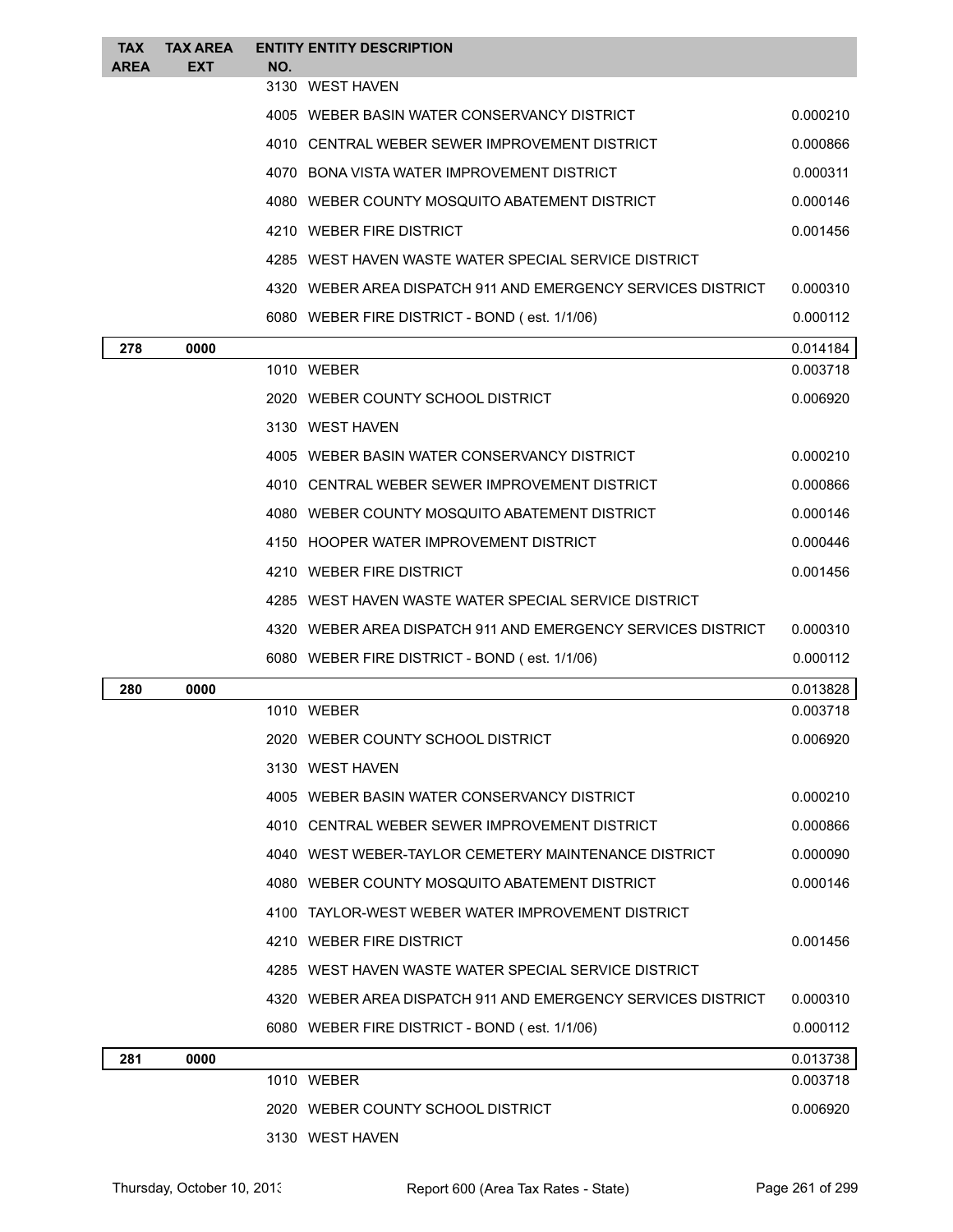| <b>TAX</b><br><b>AREA</b> | <b>TAX AREA</b><br><b>EXT</b> | NO. | <b>ENTITY ENTITY DESCRIPTION</b>                             |          |
|---------------------------|-------------------------------|-----|--------------------------------------------------------------|----------|
|                           |                               |     | 3130 WEST HAVEN                                              |          |
|                           |                               |     | 4005 WEBER BASIN WATER CONSERVANCY DISTRICT                  | 0.000210 |
|                           |                               |     | 4010 CENTRAL WEBER SEWER IMPROVEMENT DISTRICT                | 0.000866 |
|                           |                               |     | 4070 BONA VISTA WATER IMPROVEMENT DISTRICT                   | 0.000311 |
|                           |                               |     | 4080 WEBER COUNTY MOSQUITO ABATEMENT DISTRICT                | 0.000146 |
|                           |                               |     | 4210 WEBER FIRE DISTRICT                                     | 0.001456 |
|                           |                               |     | 4285 WEST HAVEN WASTE WATER SPECIAL SERVICE DISTRICT         |          |
|                           |                               |     | 4320 WEBER AREA DISPATCH 911 AND EMERGENCY SERVICES DISTRICT | 0.000310 |
|                           |                               |     | 6080 WEBER FIRE DISTRICT - BOND (est. 1/1/06)                | 0.000112 |
| 278                       | 0000                          |     |                                                              | 0.014184 |
|                           |                               |     | 1010 WEBER                                                   | 0.003718 |
|                           |                               |     | 2020 WEBER COUNTY SCHOOL DISTRICT                            | 0.006920 |
|                           |                               |     | 3130 WEST HAVEN                                              |          |
|                           |                               |     | 4005 WEBER BASIN WATER CONSERVANCY DISTRICT                  | 0.000210 |
|                           |                               |     | 4010 CENTRAL WEBER SEWER IMPROVEMENT DISTRICT                | 0.000866 |
|                           |                               |     | 4080 WEBER COUNTY MOSQUITO ABATEMENT DISTRICT                | 0.000146 |
|                           |                               |     | 4150 HOOPER WATER IMPROVEMENT DISTRICT                       | 0.000446 |
|                           |                               |     | 4210 WEBER FIRE DISTRICT                                     | 0.001456 |
|                           |                               |     | 4285 WEST HAVEN WASTE WATER SPECIAL SERVICE DISTRICT         |          |
|                           |                               |     | 4320 WEBER AREA DISPATCH 911 AND EMERGENCY SERVICES DISTRICT | 0.000310 |
|                           |                               |     | 6080 WEBER FIRE DISTRICT - BOND (est. 1/1/06)                | 0.000112 |
| 280                       | 0000                          |     |                                                              | 0.013828 |
|                           |                               |     | 1010 WEBER                                                   | 0.003718 |
|                           |                               |     | 2020 WEBER COUNTY SCHOOL DISTRICT                            | 0.006920 |
|                           |                               |     | 3130 WEST HAVEN                                              |          |
|                           |                               |     | 4005 WEBER BASIN WATER CONSERVANCY DISTRICT                  | 0.000210 |
|                           |                               |     | 4010 CENTRAL WEBER SEWER IMPROVEMENT DISTRICT                | 0.000866 |
|                           |                               |     | 4040 WEST WEBER-TAYLOR CEMETERY MAINTENANCE DISTRICT         | 0.000090 |
|                           |                               |     | 4080 WEBER COUNTY MOSQUITO ABATEMENT DISTRICT                | 0.000146 |
|                           |                               |     | 4100 TAYLOR-WEST WEBER WATER IMPROVEMENT DISTRICT            |          |
|                           |                               |     | 4210 WEBER FIRE DISTRICT                                     | 0.001456 |
|                           |                               |     | 4285 WEST HAVEN WASTE WATER SPECIAL SERVICE DISTRICT         |          |
|                           |                               |     | 4320 WEBER AREA DISPATCH 911 AND EMERGENCY SERVICES DISTRICT | 0.000310 |
|                           |                               |     | 6080 WEBER FIRE DISTRICT - BOND (est. 1/1/06)                | 0.000112 |
| 281                       | 0000                          |     |                                                              | 0.013738 |
|                           |                               |     | 1010 WEBER                                                   | 0.003718 |
|                           |                               |     | 2020 WEBER COUNTY SCHOOL DISTRICT                            | 0.006920 |
|                           |                               |     | 3130 WEST HAVEN                                              |          |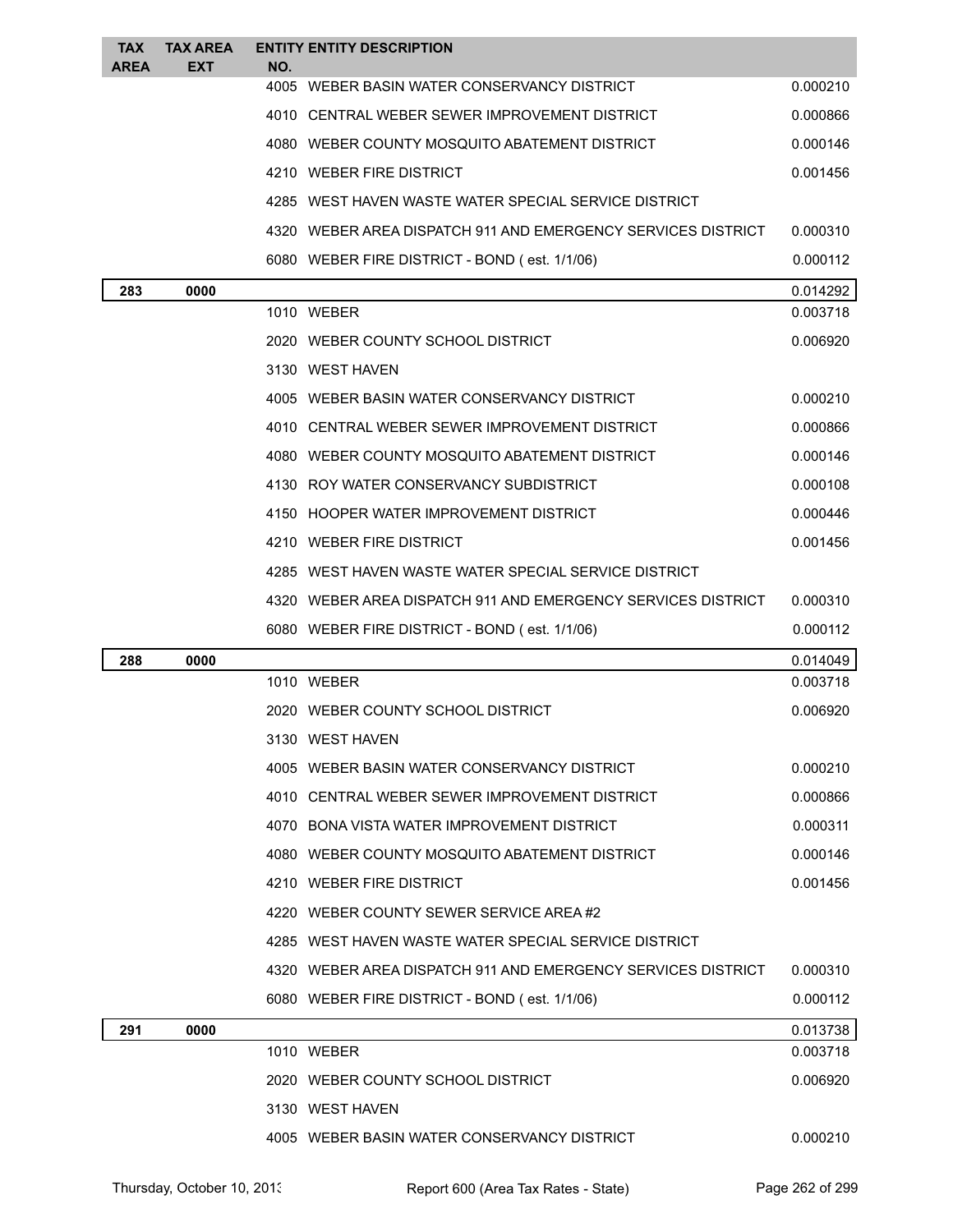| <b>TAX</b><br><b>AREA</b> | <b>TAX AREA</b><br><b>EXT</b> | NO. | <b>ENTITY ENTITY DESCRIPTION</b>                             |          |
|---------------------------|-------------------------------|-----|--------------------------------------------------------------|----------|
|                           |                               |     | 4005 WEBER BASIN WATER CONSERVANCY DISTRICT                  | 0.000210 |
|                           |                               |     | 4010 CENTRAL WEBER SEWER IMPROVEMENT DISTRICT                | 0.000866 |
|                           |                               |     | 4080 WEBER COUNTY MOSQUITO ABATEMENT DISTRICT                | 0.000146 |
|                           |                               |     | 4210 WEBER FIRE DISTRICT                                     | 0.001456 |
|                           |                               |     | 4285 WEST HAVEN WASTE WATER SPECIAL SERVICE DISTRICT         |          |
|                           |                               |     | 4320 WEBER AREA DISPATCH 911 AND EMERGENCY SERVICES DISTRICT | 0.000310 |
|                           |                               |     | 6080 WEBER FIRE DISTRICT - BOND (est. 1/1/06)                | 0.000112 |
| 283                       | 0000                          |     |                                                              | 0.014292 |
|                           |                               |     | 1010 WEBER                                                   | 0.003718 |
|                           |                               |     | 2020 WEBER COUNTY SCHOOL DISTRICT                            | 0.006920 |
|                           |                               |     | 3130 WEST HAVEN                                              |          |
|                           |                               |     | 4005 WEBER BASIN WATER CONSERVANCY DISTRICT                  | 0.000210 |
|                           |                               |     | 4010 CENTRAL WEBER SEWER IMPROVEMENT DISTRICT                | 0.000866 |
|                           |                               |     | 4080 WEBER COUNTY MOSQUITO ABATEMENT DISTRICT                | 0.000146 |
|                           |                               |     | 4130 ROY WATER CONSERVANCY SUBDISTRICT                       | 0.000108 |
|                           |                               |     | 4150 HOOPER WATER IMPROVEMENT DISTRICT                       | 0.000446 |
|                           |                               |     | 4210 WEBER FIRE DISTRICT                                     | 0.001456 |
|                           |                               |     | 4285 WEST HAVEN WASTE WATER SPECIAL SERVICE DISTRICT         |          |
|                           |                               |     | 4320 WEBER AREA DISPATCH 911 AND EMERGENCY SERVICES DISTRICT | 0.000310 |
|                           |                               |     | 6080 WEBER FIRE DISTRICT - BOND (est. 1/1/06)                | 0.000112 |
| 288                       | 0000                          |     |                                                              | 0.014049 |
|                           |                               |     | 1010 WEBER                                                   |          |
|                           |                               |     |                                                              | 0.003718 |
|                           |                               |     | 2020 WEBER COUNTY SCHOOL DISTRICT                            | 0.006920 |
|                           |                               |     | 3130 WEST HAVEN                                              |          |
|                           |                               |     | 4005 WEBER BASIN WATER CONSERVANCY DISTRICT                  | 0.000210 |
|                           |                               |     | 4010 CENTRAL WEBER SEWER IMPROVEMENT DISTRICT                | 0.000866 |
|                           |                               |     | 4070 BONA VISTA WATER IMPROVEMENT DISTRICT                   | 0.000311 |
|                           |                               |     | 4080 WEBER COUNTY MOSQUITO ABATEMENT DISTRICT                | 0.000146 |
|                           |                               |     | 4210 WEBER FIRE DISTRICT                                     | 0.001456 |
|                           |                               |     | 4220 WEBER COUNTY SEWER SERVICE AREA#2                       |          |
|                           |                               |     | 4285 WEST HAVEN WASTE WATER SPECIAL SERVICE DISTRICT         |          |
|                           |                               |     | 4320 WEBER AREA DISPATCH 911 AND EMERGENCY SERVICES DISTRICT | 0.000310 |
|                           |                               |     | 6080 WEBER FIRE DISTRICT - BOND (est. 1/1/06)                | 0.000112 |
| 291                       | 0000                          |     |                                                              | 0.013738 |
|                           |                               |     | 1010 WEBER                                                   | 0.003718 |
|                           |                               |     | 2020 WEBER COUNTY SCHOOL DISTRICT                            | 0.006920 |
|                           |                               |     | 3130 WEST HAVEN                                              |          |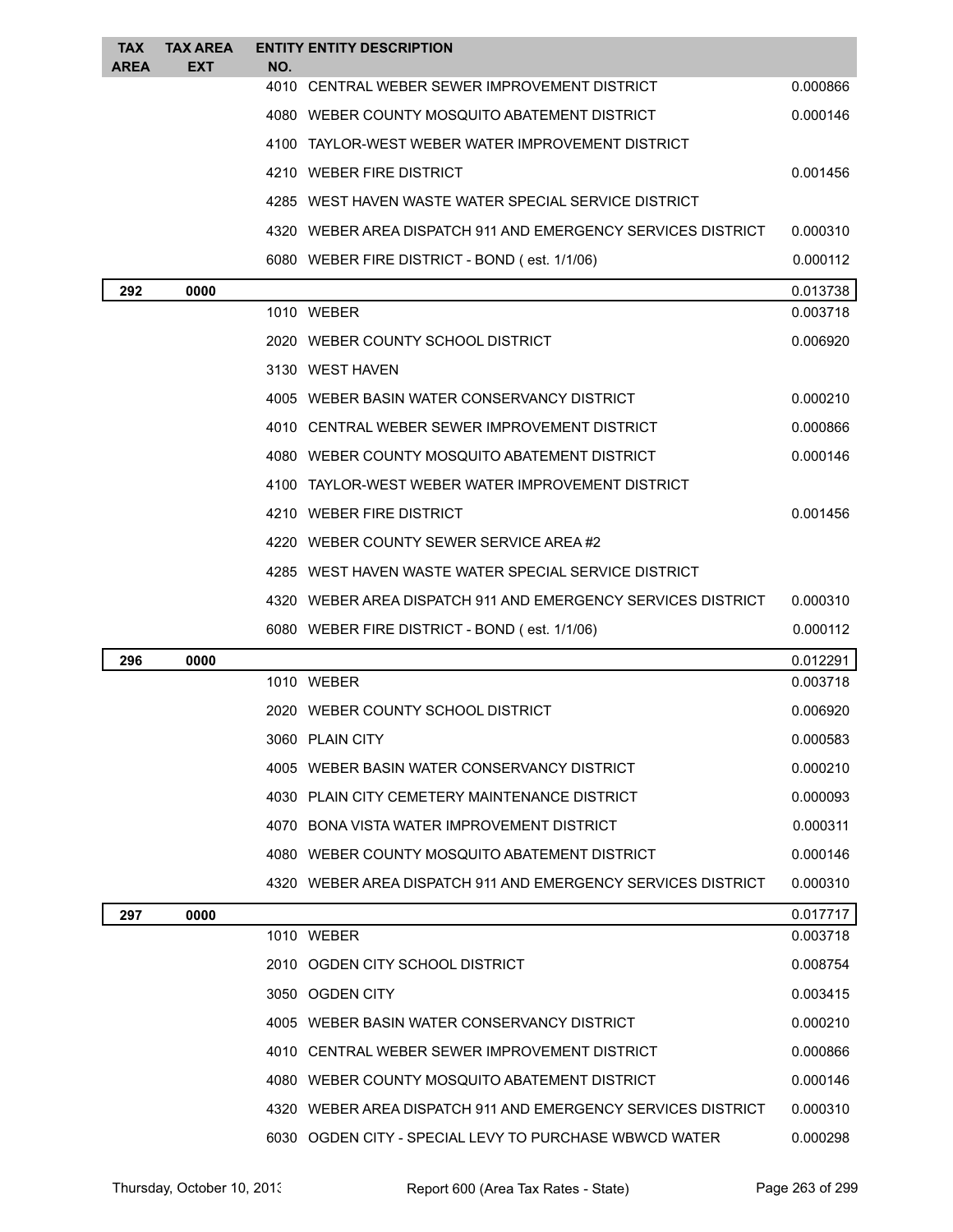| TAX<br><b>AREA</b> | <b>TAX AREA</b><br><b>EXT</b> | NO. | <b>ENTITY ENTITY DESCRIPTION</b>                               |          |
|--------------------|-------------------------------|-----|----------------------------------------------------------------|----------|
|                    |                               |     | 4010 CENTRAL WEBER SEWER IMPROVEMENT DISTRICT                  | 0.000866 |
|                    |                               |     | 4080 WEBER COUNTY MOSQUITO ABATEMENT DISTRICT                  | 0.000146 |
|                    |                               |     | 4100 TAYLOR-WEST WEBER WATER IMPROVEMENT DISTRICT              |          |
|                    |                               |     | 4210 WEBER FIRE DISTRICT                                       | 0.001456 |
|                    |                               |     | 4285 WEST HAVEN WASTE WATER SPECIAL SERVICE DISTRICT           |          |
|                    |                               |     | 4320 WEBER AREA DISPATCH 911 AND EMERGENCY SERVICES DISTRICT   | 0.000310 |
|                    |                               |     | 6080 WEBER FIRE DISTRICT - BOND (est. 1/1/06)                  | 0.000112 |
| 292                | 0000                          |     |                                                                | 0.013738 |
|                    |                               |     | 1010 WEBER                                                     | 0.003718 |
|                    |                               |     | 2020 WEBER COUNTY SCHOOL DISTRICT                              | 0.006920 |
|                    |                               |     | 3130 WEST HAVEN                                                |          |
|                    |                               |     | 4005 WEBER BASIN WATER CONSERVANCY DISTRICT                    | 0.000210 |
|                    |                               |     | 4010 CENTRAL WEBER SEWER IMPROVEMENT DISTRICT                  | 0.000866 |
|                    |                               |     | 4080 WEBER COUNTY MOSQUITO ABATEMENT DISTRICT                  | 0.000146 |
|                    |                               |     | 4100 TAYLOR-WEST WEBER WATER IMPROVEMENT DISTRICT              |          |
|                    |                               |     | 4210 WEBER FIRE DISTRICT                                       | 0.001456 |
|                    |                               |     | 4220 WEBER COUNTY SEWER SERVICE AREA#2                         |          |
|                    |                               |     | 4285 WEST HAVEN WASTE WATER SPECIAL SERVICE DISTRICT           |          |
|                    |                               |     | 4320 WEBER AREA DISPATCH 911 AND EMERGENCY SERVICES DISTRICT   | 0.000310 |
|                    |                               |     | 6080 WEBER FIRE DISTRICT - BOND (est. 1/1/06)                  | 0.000112 |
| 296                | 0000                          |     |                                                                | 0.012291 |
|                    |                               |     | 1010 WEBER                                                     | 0.003718 |
|                    |                               |     | 2020 WEBER COUNTY SCHOOL DISTRICT                              | 0.006920 |
|                    |                               |     | 3060 PLAIN CITY                                                | 0.000583 |
|                    |                               |     | 4005 WEBER BASIN WATER CONSERVANCY DISTRICT                    | 0.000210 |
|                    |                               |     | 4030 PLAIN CITY CEMETERY MAINTENANCE DISTRICT                  | 0.000093 |
|                    |                               |     | 4070 BONA VISTA WATER IMPROVEMENT DISTRICT                     | 0.000311 |
|                    |                               |     | 4080 WEBER COUNTY MOSQUITO ABATEMENT DISTRICT                  | 0.000146 |
|                    |                               |     | 4320   WEBER AREA DISPATCH 911 AND EMERGENCY SERVICES DISTRICT | 0.000310 |
| 297                | 0000                          |     |                                                                | 0.017717 |
|                    |                               |     | 1010 WEBER                                                     | 0.003718 |
|                    |                               |     | 2010 OGDEN CITY SCHOOL DISTRICT                                | 0.008754 |
|                    |                               |     | 3050 OGDEN CITY                                                | 0.003415 |
|                    |                               |     | 4005 WEBER BASIN WATER CONSERVANCY DISTRICT                    | 0.000210 |
|                    |                               |     | 4010 CENTRAL WEBER SEWER IMPROVEMENT DISTRICT                  | 0.000866 |
|                    |                               |     | 4080 WEBER COUNTY MOSQUITO ABATEMENT DISTRICT                  | 0.000146 |
|                    |                               |     | 4320 WEBER AREA DISPATCH 911 AND EMERGENCY SERVICES DISTRICT   | 0.000310 |
|                    |                               |     | 6030 OGDEN CITY - SPECIAL LEVY TO PURCHASE WBWCD WATER         | 0.000298 |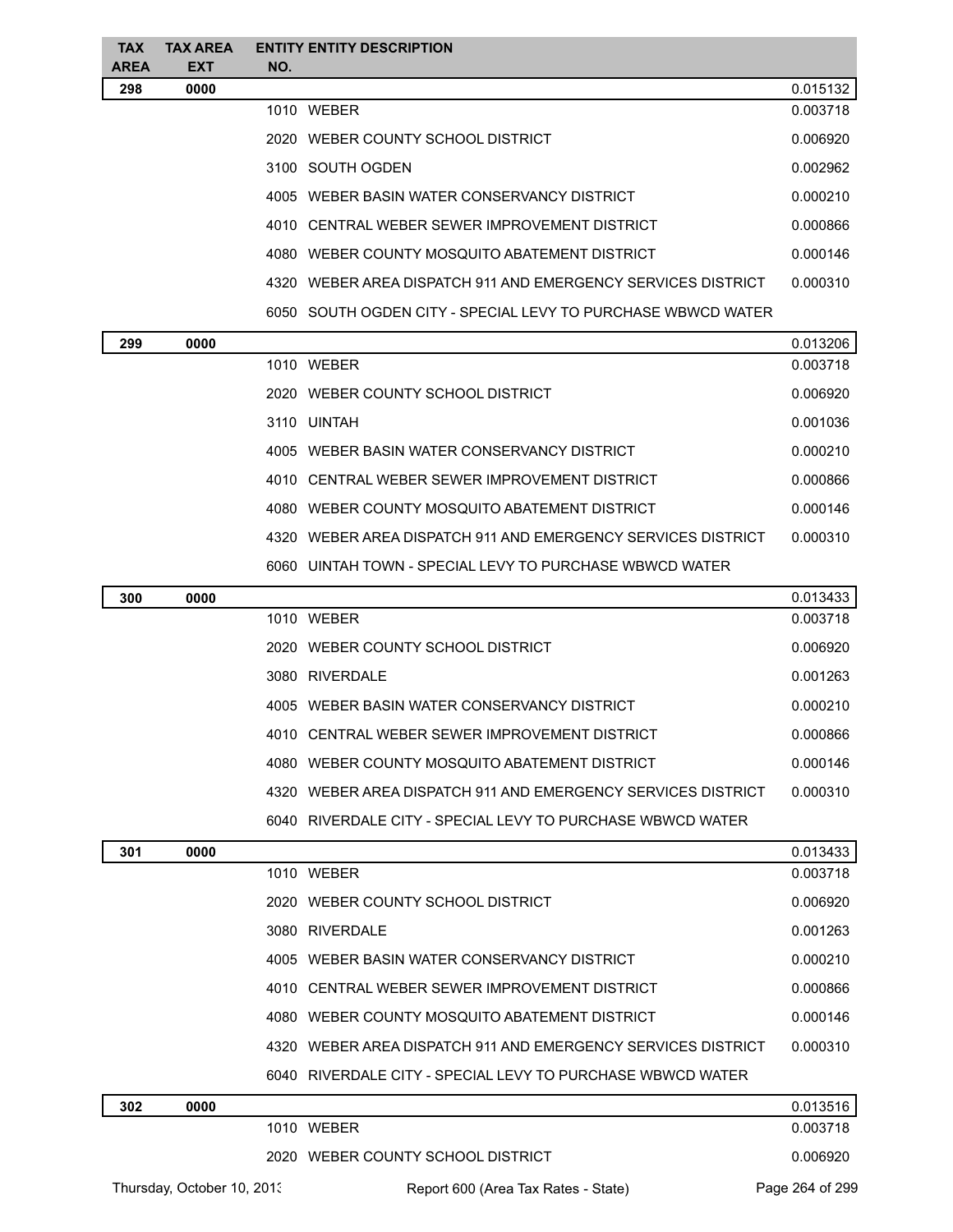| <b>TAX</b>  | <b>TAX AREA</b> | <b>ENTITY ENTITY DESCRIPTION</b>                             |          |
|-------------|-----------------|--------------------------------------------------------------|----------|
| <b>AREA</b> | <b>EXT</b>      | NO.                                                          |          |
| 298         | 0000            |                                                              | 0.015132 |
|             |                 | 1010 WEBER                                                   | 0.003718 |
|             |                 | 2020 WEBER COUNTY SCHOOL DISTRICT                            | 0.006920 |
|             |                 | 3100 SOUTH OGDEN                                             | 0.002962 |
|             |                 | 4005 WEBER BASIN WATER CONSERVANCY DISTRICT                  | 0.000210 |
|             |                 | 4010 CENTRAL WEBER SEWER IMPROVEMENT DISTRICT                | 0.000866 |
|             |                 | 4080 WEBER COUNTY MOSQUITO ABATEMENT DISTRICT                | 0.000146 |
|             |                 | 4320 WEBER AREA DISPATCH 911 AND EMERGENCY SERVICES DISTRICT | 0.000310 |
|             |                 | 6050 SOUTH OGDEN CITY - SPECIAL LEVY TO PURCHASE WBWCD WATER |          |
| 299         | 0000            |                                                              | 0.013206 |
|             |                 | 1010 WEBER                                                   | 0.003718 |
|             |                 | 2020 WEBER COUNTY SCHOOL DISTRICT                            | 0.006920 |
|             |                 | 3110 UINTAH                                                  | 0.001036 |
|             |                 | 4005 WEBER BASIN WATER CONSERVANCY DISTRICT                  | 0.000210 |
|             |                 | 4010 CENTRAL WEBER SEWER IMPROVEMENT DISTRICT                | 0.000866 |

4080 WEBER COUNTY MOSQUITO ABATEMENT DISTRICT 0.000146 WEBER AREA DISPATCH 911 AND EMERGENCY SERVICES DISTRICT 0.000310 UINTAH TOWN - SPECIAL LEVY TO PURCHASE WBWCD WATER

| 300 | 0000 |                                                                 | 0.013433 |
|-----|------|-----------------------------------------------------------------|----------|
|     |      | WFBFR<br>1010                                                   | 0.003718 |
|     |      | 2020 WEBER COUNTY SCHOOL DISTRICT                               | 0.006920 |
|     |      | 3080 RIVERDALE                                                  | 0.001263 |
|     |      | WEBER BASIN WATER CONSERVANCY DISTRICT<br>4005.                 | 0.000210 |
|     |      | 4010 CENTRAL WEBER SEWER IMPROVEMENT DISTRICT                   | 0.000866 |
|     |      | WEBER COUNTY MOSQUITO ABATEMENT DISTRICT<br>4080                | 0.000146 |
|     |      | WEBER AREA DISPATCH 911 AND EMERGENCY SERVICES DISTRICT<br>4320 | 0.000310 |
|     |      | 6040 RIVERDALE CITY - SPECIAL LEVY TO PURCHASE WBWCD WATER      |          |

| 301 | 0000 |                                                              | 0.013433 |
|-----|------|--------------------------------------------------------------|----------|
|     |      | 1010 WEBER                                                   | 0.003718 |
|     |      | 2020 WEBER COUNTY SCHOOL DISTRICT                            | 0.006920 |
|     |      | 3080 RIVERDALE                                               | 0.001263 |
|     |      | WEBER BASIN WATER CONSERVANCY DISTRICT<br>4005               | 0.000210 |
|     |      | 4010 CENTRAL WEBER SEWER IMPROVEMENT DISTRICT                | 0.000866 |
|     |      | 4080 WEBER COUNTY MOSQUITO ABATEMENT DISTRICT                | 0.000146 |
|     |      | 4320 WEBER AREA DISPATCH 911 AND EMERGENCY SERVICES DISTRICT | 0.000310 |
|     |      | 6040 RIVERDALE CITY - SPECIAL LEVY TO PURCHASE WBWCD WATER   |          |
| 302 | 0000 |                                                              | 0.013516 |
|     |      | WEBER<br>1010                                                | 0.003718 |

|                            | 2020 WEBER COUNTY SCHOOL DISTRICT   | 0.006920        |
|----------------------------|-------------------------------------|-----------------|
| Thursday, October 10, 2013 | Report 600 (Area Tax Rates - State) | Page 264 of 299 |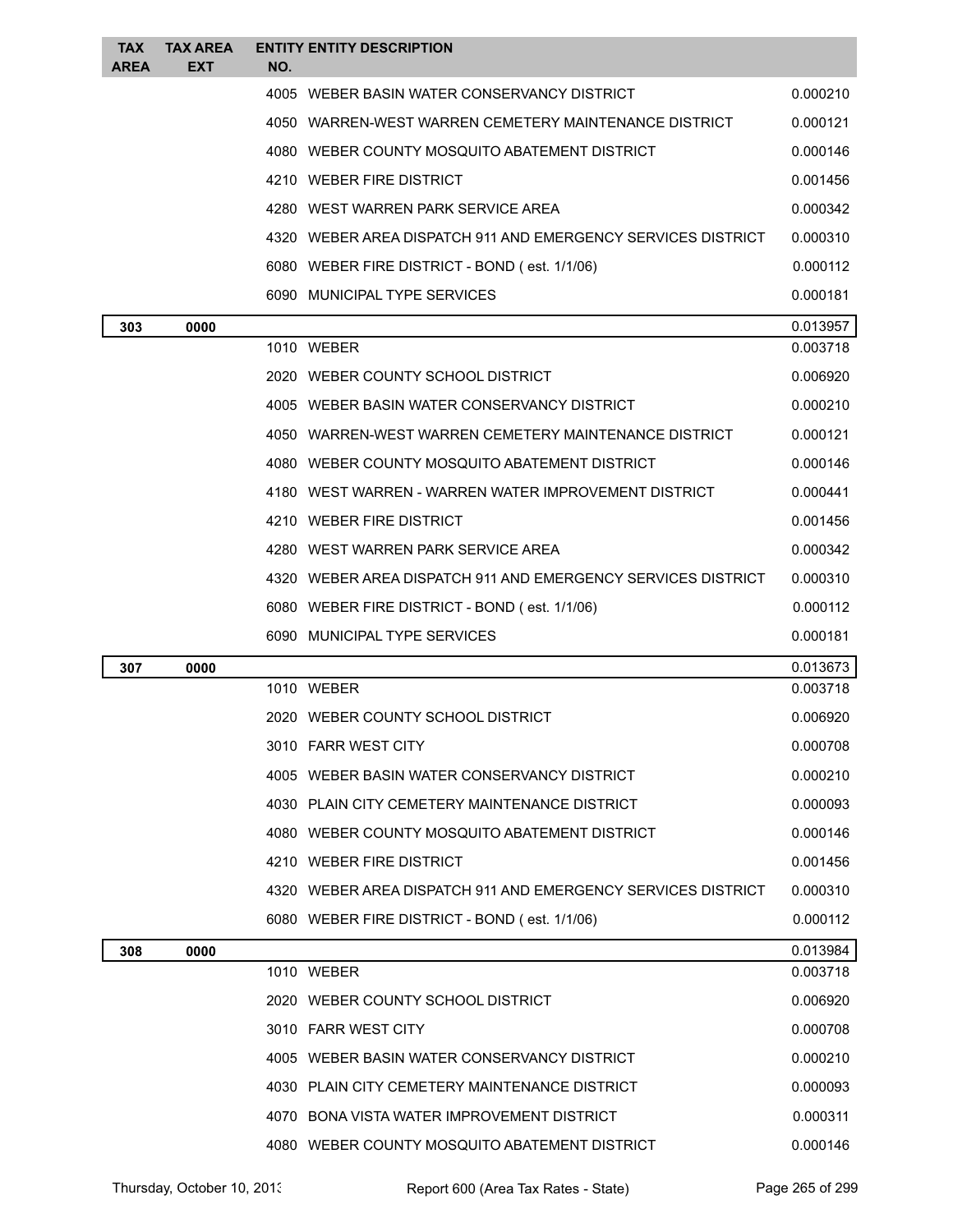| <b>TAX</b><br><b>AREA</b> | <b>TAX AREA</b><br>EXT | NO. | <b>ENTITY ENTITY DESCRIPTION</b>                               |          |
|---------------------------|------------------------|-----|----------------------------------------------------------------|----------|
|                           |                        |     | 4005 WEBER BASIN WATER CONSERVANCY DISTRICT                    | 0.000210 |
|                           |                        |     | 4050 WARREN-WEST WARREN CEMETERY MAINTENANCE DISTRICT          | 0.000121 |
|                           |                        |     | 4080 WEBER COUNTY MOSQUITO ABATEMENT DISTRICT                  | 0.000146 |
|                           |                        |     | 4210 WEBER FIRE DISTRICT                                       | 0.001456 |
|                           |                        |     | 4280 WEST WARREN PARK SERVICE AREA                             | 0.000342 |
|                           |                        |     | 4320   WEBER AREA DISPATCH 911 AND EMERGENCY SERVICES DISTRICT | 0.000310 |
|                           |                        |     | 6080 WEBER FIRE DISTRICT - BOND (est. 1/1/06)                  | 0.000112 |
|                           |                        |     | 6090 MUNICIPAL TYPE SERVICES                                   | 0.000181 |
| 303                       | 0000                   |     |                                                                | 0.013957 |
|                           |                        |     | 1010 WEBER                                                     | 0.003718 |
|                           |                        |     | 2020 WEBER COUNTY SCHOOL DISTRICT                              | 0.006920 |
|                           |                        |     | 4005 WEBER BASIN WATER CONSERVANCY DISTRICT                    | 0.000210 |
|                           |                        |     | 4050 WARREN-WEST WARREN CEMETERY MAINTENANCE DISTRICT          | 0.000121 |
|                           |                        |     | 4080   WEBER COUNTY MOSQUITO ABATEMENT DISTRICT                | 0.000146 |
|                           |                        |     | 4180   WEST WARREN - WARREN WATER IMPROVEMENT DISTRICT         | 0.000441 |
|                           |                        |     | 4210 WEBER FIRE DISTRICT                                       | 0.001456 |
|                           |                        |     | 4280 WEST WARREN PARK SERVICE AREA                             | 0.000342 |
|                           |                        |     | 4320 WEBER AREA DISPATCH 911 AND EMERGENCY SERVICES DISTRICT   | 0.000310 |
|                           |                        |     | 6080 WEBER FIRE DISTRICT - BOND (est. 1/1/06)                  | 0.000112 |
|                           |                        |     | 6090 MUNICIPAL TYPE SERVICES                                   | 0.000181 |
| 307                       | 0000                   |     |                                                                | 0.013673 |
|                           |                        |     | 1010 WEBER                                                     | 0.003718 |
|                           |                        |     | 2020 WEBER COUNTY SCHOOL DISTRICT                              | 0.006920 |
|                           |                        |     | 3010 FARR WEST CITY                                            | 0.000708 |
|                           |                        |     |                                                                |          |
|                           |                        |     | 4005 WEBER BASIN WATER CONSERVANCY DISTRICT                    | 0.000210 |
|                           |                        |     | 4030 PLAIN CITY CEMETERY MAINTENANCE DISTRICT                  | 0.000093 |
|                           |                        |     | 4080 WEBER COUNTY MOSQUITO ABATEMENT DISTRICT                  | 0.000146 |
|                           |                        |     | 4210 WEBER FIRE DISTRICT                                       | 0.001456 |
|                           |                        |     | 4320 WEBER AREA DISPATCH 911 AND EMERGENCY SERVICES DISTRICT   | 0.000310 |
|                           |                        |     | 6080 WEBER FIRE DISTRICT - BOND (est. 1/1/06)                  | 0.000112 |
| 308                       | 0000                   |     |                                                                | 0.013984 |
|                           |                        |     | 1010 WEBER                                                     | 0.003718 |
|                           |                        |     | 2020 WEBER COUNTY SCHOOL DISTRICT                              | 0.006920 |
|                           |                        |     | 3010 FARR WEST CITY                                            | 0.000708 |
|                           |                        |     | 4005 WEBER BASIN WATER CONSERVANCY DISTRICT                    | 0.000210 |
|                           |                        |     | 4030 PLAIN CITY CEMETERY MAINTENANCE DISTRICT                  | 0.000093 |
|                           |                        |     | 4070   BONA VISTA WATER IMPROVEMENT DISTRICT                   | 0.000311 |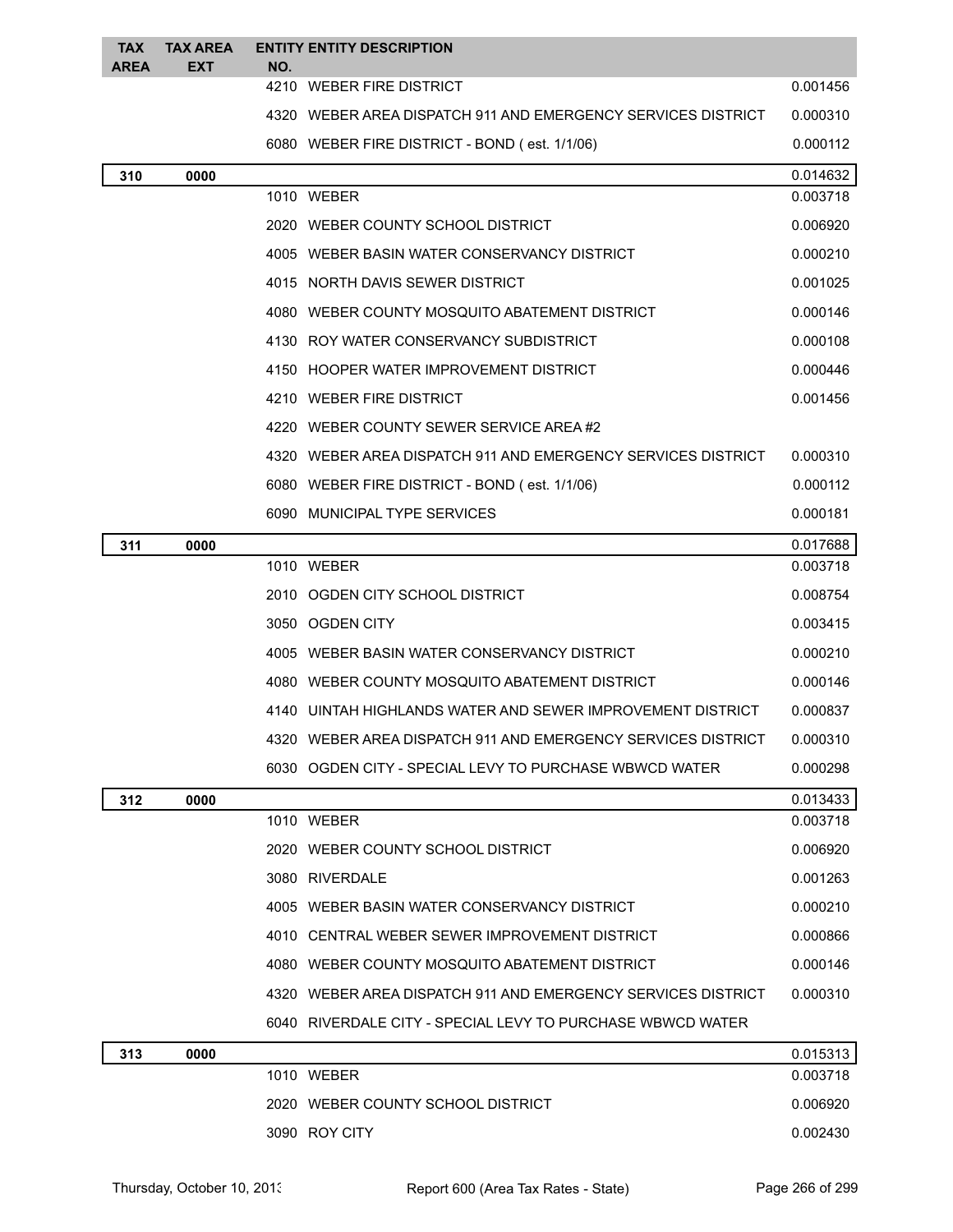| <b>AREA</b><br>EXT<br>NO.<br>4210 WEBER FIRE DISTRICT<br>0.001456<br>4320 WEBER AREA DISPATCH 911 AND EMERGENCY SERVICES DISTRICT<br>0.000310<br>6080 WEBER FIRE DISTRICT - BOND (est. 1/1/06)<br>0.000112<br>0.014632<br>310<br>0000<br>1010 WEBER<br>0.003718<br>2020 WEBER COUNTY SCHOOL DISTRICT<br>0.006920<br>0.000210<br>4005 WEBER BASIN WATER CONSERVANCY DISTRICT<br>0.001025<br>4015 NORTH DAVIS SEWER DISTRICT<br>4080 WEBER COUNTY MOSQUITO ABATEMENT DISTRICT<br>0.000146<br>0.000108<br>4130 ROY WATER CONSERVANCY SUBDISTRICT<br>0.000446<br>4150 HOOPER WATER IMPROVEMENT DISTRICT<br>4210 WEBER FIRE DISTRICT<br>0.001456<br>4220 WEBER COUNTY SEWER SERVICE AREA#2<br>4320 WEBER AREA DISPATCH 911 AND EMERGENCY SERVICES DISTRICT<br>0.000310<br>6080 WEBER FIRE DISTRICT - BOND (est. 1/1/06)<br>0.000112<br>6090 MUNICIPAL TYPE SERVICES<br>0.000181<br>0.017688<br>0000<br>311<br>1010 WEBER<br>0.003718<br>2010 OGDEN CITY SCHOOL DISTRICT<br>0.008754<br>3050 OGDEN CITY<br>0.003415<br>4005 WEBER BASIN WATER CONSERVANCY DISTRICT<br>0.000210<br>4080 WEBER COUNTY MOSQUITO ABATEMENT DISTRICT<br>0.000146<br>4140 UINTAH HIGHLANDS WATER AND SEWER IMPROVEMENT DISTRICT<br>0.000837<br>WEBER AREA DISPATCH 911 AND EMERGENCY SERVICES DISTRICT<br>0.000310<br>6030 OGDEN CITY - SPECIAL LEVY TO PURCHASE WBWCD WATER<br>0.000298 |
|--------------------------------------------------------------------------------------------------------------------------------------------------------------------------------------------------------------------------------------------------------------------------------------------------------------------------------------------------------------------------------------------------------------------------------------------------------------------------------------------------------------------------------------------------------------------------------------------------------------------------------------------------------------------------------------------------------------------------------------------------------------------------------------------------------------------------------------------------------------------------------------------------------------------------------------------------------------------------------------------------------------------------------------------------------------------------------------------------------------------------------------------------------------------------------------------------------------------------------------------------------------------------------------------------------------------------------------------------------------|
|                                                                                                                                                                                                                                                                                                                                                                                                                                                                                                                                                                                                                                                                                                                                                                                                                                                                                                                                                                                                                                                                                                                                                                                                                                                                                                                                                              |
|                                                                                                                                                                                                                                                                                                                                                                                                                                                                                                                                                                                                                                                                                                                                                                                                                                                                                                                                                                                                                                                                                                                                                                                                                                                                                                                                                              |
|                                                                                                                                                                                                                                                                                                                                                                                                                                                                                                                                                                                                                                                                                                                                                                                                                                                                                                                                                                                                                                                                                                                                                                                                                                                                                                                                                              |
|                                                                                                                                                                                                                                                                                                                                                                                                                                                                                                                                                                                                                                                                                                                                                                                                                                                                                                                                                                                                                                                                                                                                                                                                                                                                                                                                                              |
|                                                                                                                                                                                                                                                                                                                                                                                                                                                                                                                                                                                                                                                                                                                                                                                                                                                                                                                                                                                                                                                                                                                                                                                                                                                                                                                                                              |
|                                                                                                                                                                                                                                                                                                                                                                                                                                                                                                                                                                                                                                                                                                                                                                                                                                                                                                                                                                                                                                                                                                                                                                                                                                                                                                                                                              |
|                                                                                                                                                                                                                                                                                                                                                                                                                                                                                                                                                                                                                                                                                                                                                                                                                                                                                                                                                                                                                                                                                                                                                                                                                                                                                                                                                              |
|                                                                                                                                                                                                                                                                                                                                                                                                                                                                                                                                                                                                                                                                                                                                                                                                                                                                                                                                                                                                                                                                                                                                                                                                                                                                                                                                                              |
|                                                                                                                                                                                                                                                                                                                                                                                                                                                                                                                                                                                                                                                                                                                                                                                                                                                                                                                                                                                                                                                                                                                                                                                                                                                                                                                                                              |
|                                                                                                                                                                                                                                                                                                                                                                                                                                                                                                                                                                                                                                                                                                                                                                                                                                                                                                                                                                                                                                                                                                                                                                                                                                                                                                                                                              |
|                                                                                                                                                                                                                                                                                                                                                                                                                                                                                                                                                                                                                                                                                                                                                                                                                                                                                                                                                                                                                                                                                                                                                                                                                                                                                                                                                              |
|                                                                                                                                                                                                                                                                                                                                                                                                                                                                                                                                                                                                                                                                                                                                                                                                                                                                                                                                                                                                                                                                                                                                                                                                                                                                                                                                                              |
|                                                                                                                                                                                                                                                                                                                                                                                                                                                                                                                                                                                                                                                                                                                                                                                                                                                                                                                                                                                                                                                                                                                                                                                                                                                                                                                                                              |
|                                                                                                                                                                                                                                                                                                                                                                                                                                                                                                                                                                                                                                                                                                                                                                                                                                                                                                                                                                                                                                                                                                                                                                                                                                                                                                                                                              |
|                                                                                                                                                                                                                                                                                                                                                                                                                                                                                                                                                                                                                                                                                                                                                                                                                                                                                                                                                                                                                                                                                                                                                                                                                                                                                                                                                              |
|                                                                                                                                                                                                                                                                                                                                                                                                                                                                                                                                                                                                                                                                                                                                                                                                                                                                                                                                                                                                                                                                                                                                                                                                                                                                                                                                                              |
|                                                                                                                                                                                                                                                                                                                                                                                                                                                                                                                                                                                                                                                                                                                                                                                                                                                                                                                                                                                                                                                                                                                                                                                                                                                                                                                                                              |
|                                                                                                                                                                                                                                                                                                                                                                                                                                                                                                                                                                                                                                                                                                                                                                                                                                                                                                                                                                                                                                                                                                                                                                                                                                                                                                                                                              |
|                                                                                                                                                                                                                                                                                                                                                                                                                                                                                                                                                                                                                                                                                                                                                                                                                                                                                                                                                                                                                                                                                                                                                                                                                                                                                                                                                              |
|                                                                                                                                                                                                                                                                                                                                                                                                                                                                                                                                                                                                                                                                                                                                                                                                                                                                                                                                                                                                                                                                                                                                                                                                                                                                                                                                                              |
|                                                                                                                                                                                                                                                                                                                                                                                                                                                                                                                                                                                                                                                                                                                                                                                                                                                                                                                                                                                                                                                                                                                                                                                                                                                                                                                                                              |
|                                                                                                                                                                                                                                                                                                                                                                                                                                                                                                                                                                                                                                                                                                                                                                                                                                                                                                                                                                                                                                                                                                                                                                                                                                                                                                                                                              |
|                                                                                                                                                                                                                                                                                                                                                                                                                                                                                                                                                                                                                                                                                                                                                                                                                                                                                                                                                                                                                                                                                                                                                                                                                                                                                                                                                              |
|                                                                                                                                                                                                                                                                                                                                                                                                                                                                                                                                                                                                                                                                                                                                                                                                                                                                                                                                                                                                                                                                                                                                                                                                                                                                                                                                                              |
|                                                                                                                                                                                                                                                                                                                                                                                                                                                                                                                                                                                                                                                                                                                                                                                                                                                                                                                                                                                                                                                                                                                                                                                                                                                                                                                                                              |
| 0.013433<br>312<br>0000                                                                                                                                                                                                                                                                                                                                                                                                                                                                                                                                                                                                                                                                                                                                                                                                                                                                                                                                                                                                                                                                                                                                                                                                                                                                                                                                      |
| 1010 WEBER<br>0.003718                                                                                                                                                                                                                                                                                                                                                                                                                                                                                                                                                                                                                                                                                                                                                                                                                                                                                                                                                                                                                                                                                                                                                                                                                                                                                                                                       |
| 2020 WEBER COUNTY SCHOOL DISTRICT<br>0.006920                                                                                                                                                                                                                                                                                                                                                                                                                                                                                                                                                                                                                                                                                                                                                                                                                                                                                                                                                                                                                                                                                                                                                                                                                                                                                                                |
| 3080 RIVERDALE<br>0.001263                                                                                                                                                                                                                                                                                                                                                                                                                                                                                                                                                                                                                                                                                                                                                                                                                                                                                                                                                                                                                                                                                                                                                                                                                                                                                                                                   |
| 4005 WEBER BASIN WATER CONSERVANCY DISTRICT<br>0.000210                                                                                                                                                                                                                                                                                                                                                                                                                                                                                                                                                                                                                                                                                                                                                                                                                                                                                                                                                                                                                                                                                                                                                                                                                                                                                                      |
| 4010 CENTRAL WEBER SEWER IMPROVEMENT DISTRICT<br>0.000866                                                                                                                                                                                                                                                                                                                                                                                                                                                                                                                                                                                                                                                                                                                                                                                                                                                                                                                                                                                                                                                                                                                                                                                                                                                                                                    |
| 4080 WEBER COUNTY MOSQUITO ABATEMENT DISTRICT<br>0.000146                                                                                                                                                                                                                                                                                                                                                                                                                                                                                                                                                                                                                                                                                                                                                                                                                                                                                                                                                                                                                                                                                                                                                                                                                                                                                                    |
| 4320 WEBER AREA DISPATCH 911 AND EMERGENCY SERVICES DISTRICT<br>0.000310                                                                                                                                                                                                                                                                                                                                                                                                                                                                                                                                                                                                                                                                                                                                                                                                                                                                                                                                                                                                                                                                                                                                                                                                                                                                                     |
| 6040 RIVERDALE CITY - SPECIAL LEVY TO PURCHASE WBWCD WATER                                                                                                                                                                                                                                                                                                                                                                                                                                                                                                                                                                                                                                                                                                                                                                                                                                                                                                                                                                                                                                                                                                                                                                                                                                                                                                   |
| 0.015313<br>313<br>0000<br>1010 WEBER<br>0.003718                                                                                                                                                                                                                                                                                                                                                                                                                                                                                                                                                                                                                                                                                                                                                                                                                                                                                                                                                                                                                                                                                                                                                                                                                                                                                                            |
| 2020 WEBER COUNTY SCHOOL DISTRICT<br>0.006920                                                                                                                                                                                                                                                                                                                                                                                                                                                                                                                                                                                                                                                                                                                                                                                                                                                                                                                                                                                                                                                                                                                                                                                                                                                                                                                |
| 0.002430<br>3090 ROY CITY                                                                                                                                                                                                                                                                                                                                                                                                                                                                                                                                                                                                                                                                                                                                                                                                                                                                                                                                                                                                                                                                                                                                                                                                                                                                                                                                    |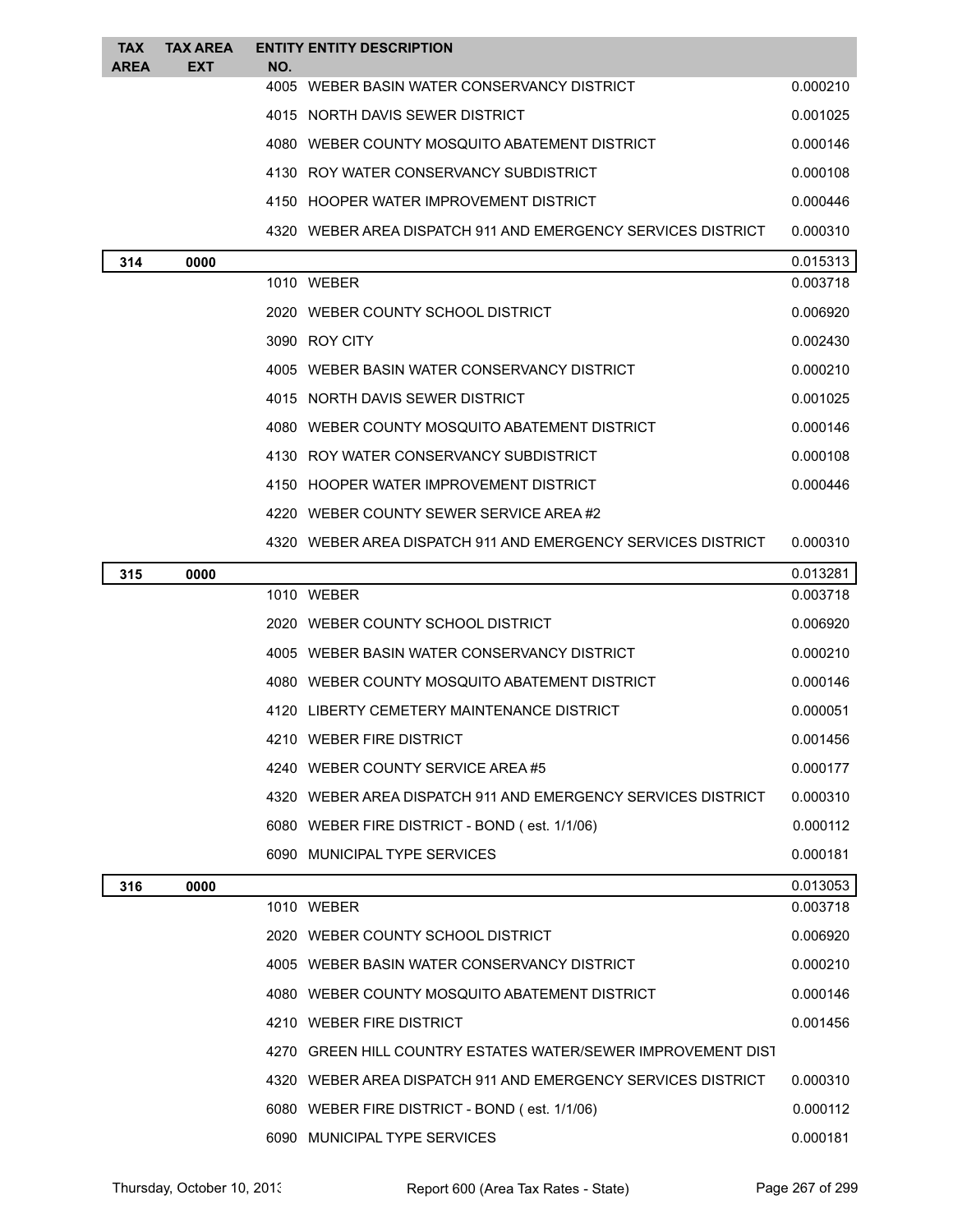| TAX<br><b>AREA</b> | <b>TAX AREA</b><br><b>EXT</b> | NO. | <b>ENTITY ENTITY DESCRIPTION</b>                             |          |
|--------------------|-------------------------------|-----|--------------------------------------------------------------|----------|
|                    |                               |     | 4005 WEBER BASIN WATER CONSERVANCY DISTRICT                  | 0.000210 |
|                    |                               |     | 4015 NORTH DAVIS SEWER DISTRICT                              | 0.001025 |
|                    |                               |     | 4080 WEBER COUNTY MOSQUITO ABATEMENT DISTRICT                | 0.000146 |
|                    |                               |     | 4130 ROY WATER CONSERVANCY SUBDISTRICT                       | 0.000108 |
|                    |                               |     | 4150 HOOPER WATER IMPROVEMENT DISTRICT                       | 0.000446 |
|                    |                               |     | 4320 WEBER AREA DISPATCH 911 AND EMERGENCY SERVICES DISTRICT | 0.000310 |
| 314                | 0000                          |     |                                                              | 0.015313 |
|                    |                               |     | 1010 WEBER                                                   | 0.003718 |
|                    |                               |     | 2020 WEBER COUNTY SCHOOL DISTRICT                            | 0.006920 |
|                    |                               |     | 3090 ROY CITY                                                | 0.002430 |
|                    |                               |     | 4005 WEBER BASIN WATER CONSERVANCY DISTRICT                  | 0.000210 |
|                    |                               |     | 4015 NORTH DAVIS SEWER DISTRICT                              | 0.001025 |
|                    |                               |     | 4080 WEBER COUNTY MOSQUITO ABATEMENT DISTRICT                | 0.000146 |
|                    |                               |     | 4130 ROY WATER CONSERVANCY SUBDISTRICT                       | 0.000108 |
|                    |                               |     | 4150 HOOPER WATER IMPROVEMENT DISTRICT                       | 0.000446 |
|                    |                               |     | 4220 WEBER COUNTY SEWER SERVICE AREA#2                       |          |
|                    |                               |     | 4320 WEBER AREA DISPATCH 911 AND EMERGENCY SERVICES DISTRICT | 0.000310 |
| 315                | 0000                          |     |                                                              | 0.013281 |
|                    |                               |     | 1010 WEBER                                                   | 0.003718 |
|                    |                               |     | 2020 WEBER COUNTY SCHOOL DISTRICT                            | 0.006920 |
|                    |                               |     | 4005 WEBER BASIN WATER CONSERVANCY DISTRICT                  | 0.000210 |
|                    |                               |     | 4080 WEBER COUNTY MOSQUITO ABATEMENT DISTRICT                | 0.000146 |
|                    |                               |     | 4120 LIBERTY CEMETERY MAINTENANCE DISTRICT                   | 0.000051 |
|                    |                               |     | 4210 WEBER FIRE DISTRICT                                     | 0.001456 |
|                    |                               |     | 4240 WEBER COUNTY SERVICE AREA #5                            | 0.000177 |
|                    |                               |     | 4320 WEBER AREA DISPATCH 911 AND EMERGENCY SERVICES DISTRICT | 0.000310 |
|                    |                               |     | 6080 WEBER FIRE DISTRICT - BOND (est. 1/1/06)                | 0.000112 |
|                    |                               |     | 6090 MUNICIPAL TYPE SERVICES                                 | 0.000181 |
| 316                | 0000                          |     |                                                              | 0.013053 |
|                    |                               |     | 1010 WEBER                                                   | 0.003718 |
|                    |                               |     | 2020 WEBER COUNTY SCHOOL DISTRICT                            | 0.006920 |
|                    |                               |     | 4005 WEBER BASIN WATER CONSERVANCY DISTRICT                  | 0.000210 |
|                    |                               |     | 4080 WEBER COUNTY MOSQUITO ABATEMENT DISTRICT                | 0.000146 |
|                    |                               |     | 4210 WEBER FIRE DISTRICT                                     | 0.001456 |
|                    |                               |     | 4270 GREEN HILL COUNTRY ESTATES WATER/SEWER IMPROVEMENT DIST |          |
|                    |                               |     | 4320 WEBER AREA DISPATCH 911 AND EMERGENCY SERVICES DISTRICT | 0.000310 |
|                    |                               |     | 6080 WEBER FIRE DISTRICT - BOND (est. 1/1/06)                | 0.000112 |
|                    |                               |     | 6090 MUNICIPAL TYPE SERVICES                                 | 0.000181 |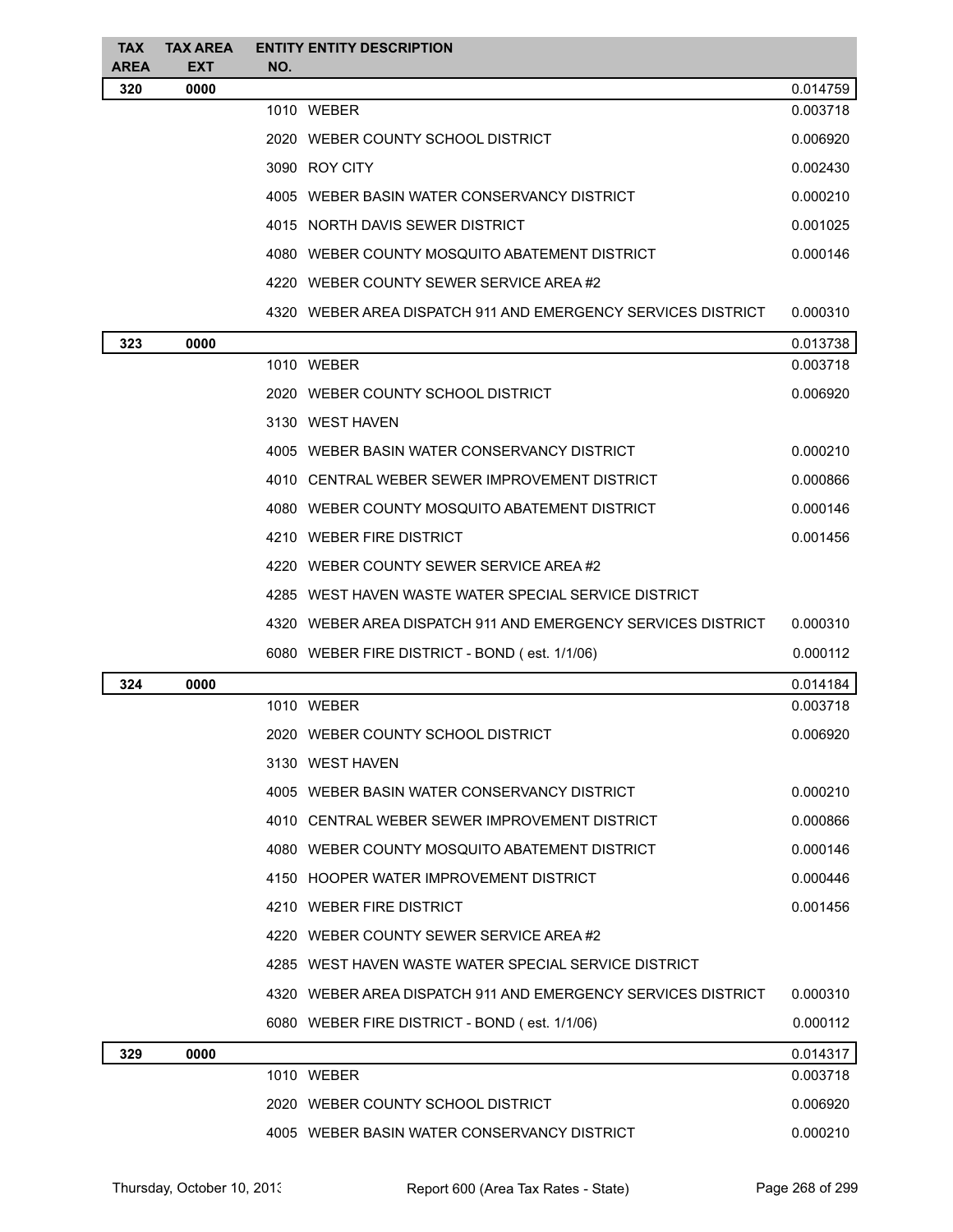| <b>TAX</b><br><b>AREA</b> | <b>TAX AREA</b><br><b>EXT</b> | NO. | <b>ENTITY ENTITY DESCRIPTION</b>                             |          |
|---------------------------|-------------------------------|-----|--------------------------------------------------------------|----------|
| 320                       | 0000                          |     |                                                              | 0.014759 |
|                           |                               |     | 1010 WEBER                                                   | 0.003718 |
|                           |                               |     | 2020 WEBER COUNTY SCHOOL DISTRICT                            | 0.006920 |
|                           |                               |     | 3090 ROY CITY                                                | 0.002430 |
|                           |                               |     | 4005 WEBER BASIN WATER CONSERVANCY DISTRICT                  | 0.000210 |
|                           |                               |     | 4015 NORTH DAVIS SEWER DISTRICT                              | 0.001025 |
|                           |                               |     | 4080 WEBER COUNTY MOSQUITO ABATEMENT DISTRICT                | 0.000146 |
|                           |                               |     | 4220 WEBER COUNTY SEWER SERVICE AREA#2                       |          |
|                           |                               |     | 4320 WEBER AREA DISPATCH 911 AND EMERGENCY SERVICES DISTRICT | 0.000310 |
| 323                       | 0000                          |     |                                                              | 0.013738 |
|                           |                               |     | 1010 WEBER                                                   | 0.003718 |
|                           |                               |     | 2020 WEBER COUNTY SCHOOL DISTRICT                            | 0.006920 |
|                           |                               |     | 3130 WEST HAVEN                                              |          |
|                           |                               |     | 4005 WEBER BASIN WATER CONSERVANCY DISTRICT                  | 0.000210 |
|                           |                               |     | 4010 CENTRAL WEBER SEWER IMPROVEMENT DISTRICT                | 0.000866 |
|                           |                               |     | 4080 WEBER COUNTY MOSQUITO ABATEMENT DISTRICT                | 0.000146 |
|                           |                               |     | 4210 WEBER FIRE DISTRICT                                     | 0.001456 |
|                           |                               |     | 4220 WEBER COUNTY SEWER SERVICE AREA#2                       |          |
|                           |                               |     | 4285 WEST HAVEN WASTE WATER SPECIAL SERVICE DISTRICT         |          |
|                           |                               |     | 4320 WEBER AREA DISPATCH 911 AND EMERGENCY SERVICES DISTRICT | 0.000310 |
|                           |                               |     | 6080 WEBER FIRE DISTRICT - BOND (est. 1/1/06)                | 0.000112 |
| 324                       | 0000                          |     |                                                              | 0.014184 |
|                           |                               |     | 1010 WEBER                                                   | 0.003718 |
|                           |                               |     | 2020 WEBER COUNTY SCHOOL DISTRICT                            | 0.006920 |
|                           |                               |     | 3130 WEST HAVEN                                              |          |
|                           |                               |     | 4005 WEBER BASIN WATER CONSERVANCY DISTRICT                  | 0.000210 |
|                           |                               |     | 4010 CENTRAL WEBER SEWER IMPROVEMENT DISTRICT                | 0.000866 |
|                           |                               |     | 4080 WEBER COUNTY MOSQUITO ABATEMENT DISTRICT                | 0.000146 |
|                           |                               |     | 4150 HOOPER WATER IMPROVEMENT DISTRICT                       | 0.000446 |
|                           |                               |     | 4210 WEBER FIRE DISTRICT                                     | 0.001456 |
|                           |                               |     | 4220 WEBER COUNTY SEWER SERVICE AREA#2                       |          |
|                           |                               |     | 4285 WEST HAVEN WASTE WATER SPECIAL SERVICE DISTRICT         |          |
|                           |                               |     | 4320 WEBER AREA DISPATCH 911 AND EMERGENCY SERVICES DISTRICT | 0.000310 |
|                           |                               |     | 6080 WEBER FIRE DISTRICT - BOND (est. 1/1/06)                | 0.000112 |
| 329                       | 0000                          |     |                                                              | 0.014317 |
|                           |                               |     | 1010 WEBER                                                   | 0.003718 |
|                           |                               |     | 2020 WEBER COUNTY SCHOOL DISTRICT                            | 0.006920 |
|                           |                               |     | 4005 WEBER BASIN WATER CONSERVANCY DISTRICT                  | 0.000210 |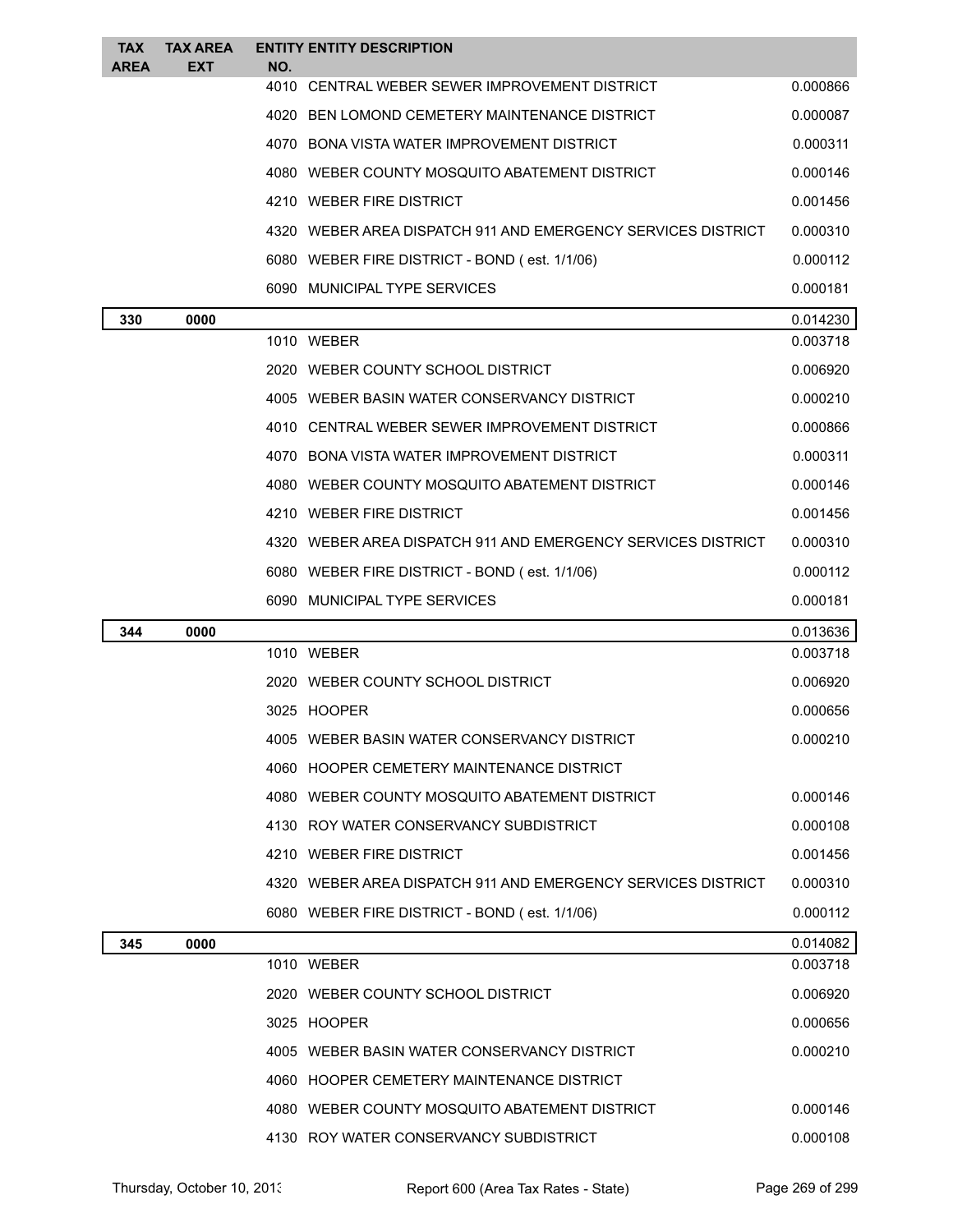| <b>TAX</b><br><b>AREA</b> | <b>TAX AREA</b><br><b>EXT</b> | NO.  | <b>ENTITY ENTITY DESCRIPTION</b>                             |          |
|---------------------------|-------------------------------|------|--------------------------------------------------------------|----------|
|                           |                               | 4010 | CENTRAL WEBER SEWER IMPROVEMENT DISTRICT                     | 0.000866 |
|                           |                               |      | 4020 BEN LOMOND CEMETERY MAINTENANCE DISTRICT                | 0.000087 |
|                           |                               |      | 4070 BONA VISTA WATER IMPROVEMENT DISTRICT                   | 0.000311 |
|                           |                               |      | 4080 WEBER COUNTY MOSQUITO ABATEMENT DISTRICT                | 0.000146 |
|                           |                               |      | 4210 WEBER FIRE DISTRICT                                     | 0.001456 |
|                           |                               |      | 4320 WEBER AREA DISPATCH 911 AND EMERGENCY SERVICES DISTRICT | 0.000310 |
|                           |                               |      | 6080 WEBER FIRE DISTRICT - BOND (est. 1/1/06)                | 0.000112 |
|                           |                               |      | 6090 MUNICIPAL TYPE SERVICES                                 | 0.000181 |
| 330                       | 0000                          |      |                                                              | 0.014230 |
|                           |                               |      | 1010 WEBER                                                   | 0.003718 |
|                           |                               |      | 2020 WEBER COUNTY SCHOOL DISTRICT                            | 0.006920 |
|                           |                               |      | 4005 WEBER BASIN WATER CONSERVANCY DISTRICT                  | 0.000210 |
|                           |                               |      | 4010 CENTRAL WEBER SEWER IMPROVEMENT DISTRICT                | 0.000866 |
|                           |                               |      | 4070 BONA VISTA WATER IMPROVEMENT DISTRICT                   | 0.000311 |
|                           |                               |      | 4080 WEBER COUNTY MOSQUITO ABATEMENT DISTRICT                | 0.000146 |
|                           |                               |      | 4210 WEBER FIRE DISTRICT                                     | 0.001456 |
|                           |                               |      | 4320 WEBER AREA DISPATCH 911 AND EMERGENCY SERVICES DISTRICT | 0.000310 |
|                           |                               |      | 6080 WEBER FIRE DISTRICT - BOND (est. 1/1/06)                | 0.000112 |
|                           |                               |      | 6090 MUNICIPAL TYPE SERVICES                                 | 0.000181 |
| 344                       | 0000                          |      |                                                              | 0.013636 |
|                           |                               |      | 1010 WEBER                                                   | 0.003718 |
|                           |                               |      | 2020 WEBER COUNTY SCHOOL DISTRICT                            | 0.006920 |
|                           |                               |      | 3025 HOOPER                                                  | 0.000656 |
|                           |                               | 4005 | WEBER BASIN WATER CONSERVANCY DISTRICT                       | 0.000210 |
|                           |                               |      | 4060 HOOPER CEMETERY MAINTENANCE DISTRICT                    |          |
|                           |                               |      | 4080 WEBER COUNTY MOSQUITO ABATEMENT DISTRICT                | 0.000146 |
|                           |                               |      | 4130 ROY WATER CONSERVANCY SUBDISTRICT                       | 0.000108 |
|                           |                               |      | 4210 WEBER FIRE DISTRICT                                     | 0.001456 |
|                           |                               |      | 4320 WEBER AREA DISPATCH 911 AND EMERGENCY SERVICES DISTRICT | 0.000310 |
|                           |                               |      | 6080 WEBER FIRE DISTRICT - BOND (est. 1/1/06)                | 0.000112 |
| 345                       | 0000                          |      |                                                              | 0.014082 |
|                           |                               |      | 1010 WEBER                                                   | 0.003718 |
|                           |                               |      | 2020 WEBER COUNTY SCHOOL DISTRICT                            | 0.006920 |
|                           |                               |      | 3025 HOOPER                                                  | 0.000656 |
|                           |                               |      | 4005 WEBER BASIN WATER CONSERVANCY DISTRICT                  | 0.000210 |
|                           |                               |      | 4060 HOOPER CEMETERY MAINTENANCE DISTRICT                    |          |
|                           |                               |      | 4080 WEBER COUNTY MOSQUITO ABATEMENT DISTRICT                | 0.000146 |
|                           |                               |      |                                                              |          |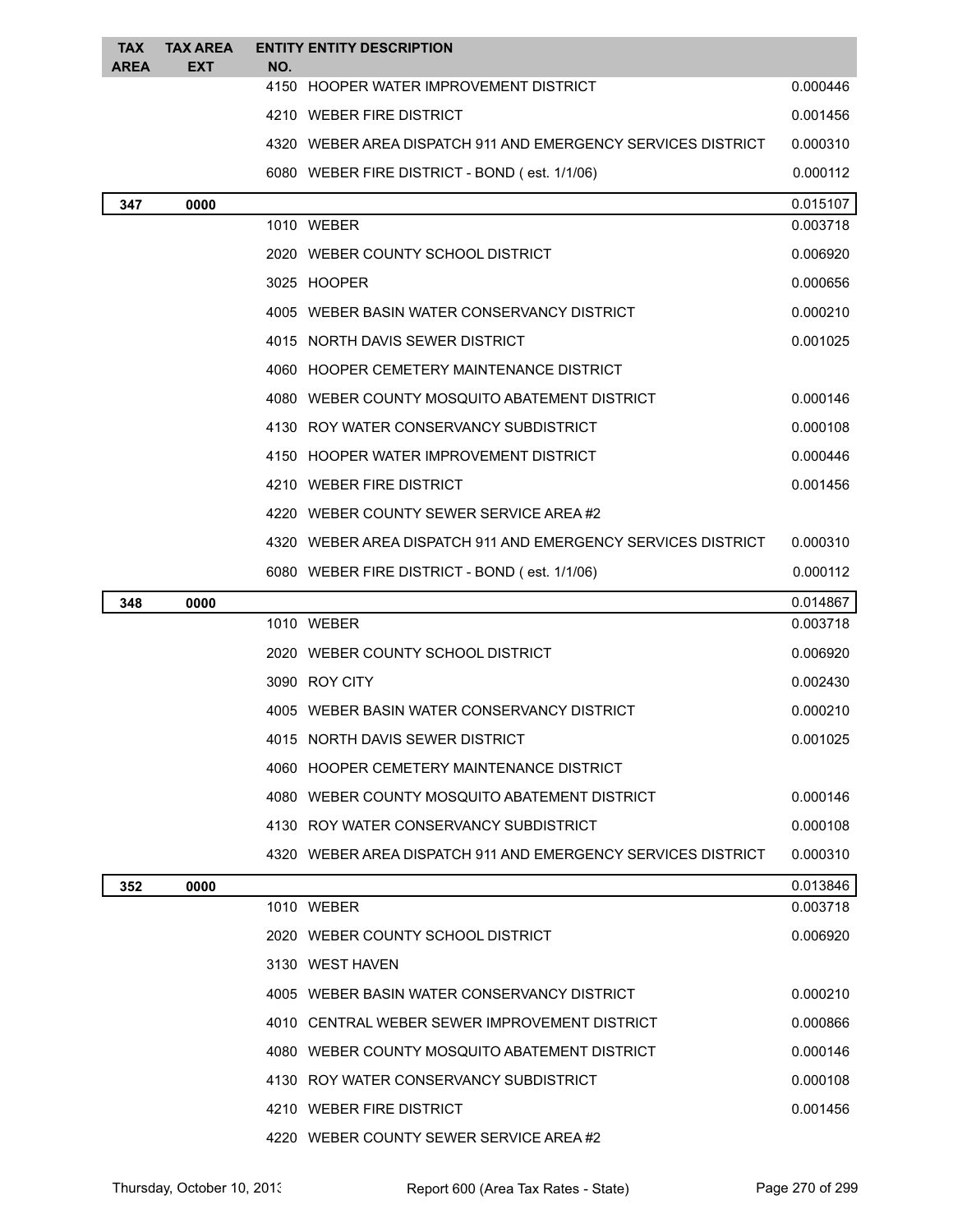| <b>TAX</b><br><b>AREA</b> | <b>TAX AREA</b><br><b>EXT</b> | NO. | <b>ENTITY ENTITY DESCRIPTION</b>                             |          |
|---------------------------|-------------------------------|-----|--------------------------------------------------------------|----------|
|                           |                               |     | 4150 HOOPER WATER IMPROVEMENT DISTRICT                       | 0.000446 |
|                           |                               |     | 4210 WEBER FIRE DISTRICT                                     | 0.001456 |
|                           |                               |     | 4320 WEBER AREA DISPATCH 911 AND EMERGENCY SERVICES DISTRICT | 0.000310 |
|                           |                               |     | 6080 WEBER FIRE DISTRICT - BOND (est. 1/1/06)                | 0.000112 |
| 347                       | 0000                          |     |                                                              | 0.015107 |
|                           |                               |     | 1010 WEBER                                                   | 0.003718 |
|                           |                               |     | 2020 WEBER COUNTY SCHOOL DISTRICT                            | 0.006920 |
|                           |                               |     | 3025 HOOPER                                                  | 0.000656 |
|                           |                               |     | 4005 WEBER BASIN WATER CONSERVANCY DISTRICT                  | 0.000210 |
|                           |                               |     | 4015 NORTH DAVIS SEWER DISTRICT                              | 0.001025 |
|                           |                               |     | 4060 HOOPER CEMETERY MAINTENANCE DISTRICT                    |          |
|                           |                               |     | 4080 WEBER COUNTY MOSQUITO ABATEMENT DISTRICT                | 0.000146 |
|                           |                               |     | 4130 ROY WATER CONSERVANCY SUBDISTRICT                       | 0.000108 |
|                           |                               |     | 4150 HOOPER WATER IMPROVEMENT DISTRICT                       | 0.000446 |
|                           |                               |     | 4210 WEBER FIRE DISTRICT                                     | 0.001456 |
|                           |                               |     | 4220 WEBER COUNTY SEWER SERVICE AREA#2                       |          |
|                           |                               |     | 4320 WEBER AREA DISPATCH 911 AND EMERGENCY SERVICES DISTRICT | 0.000310 |
|                           |                               |     | 6080 WEBER FIRE DISTRICT - BOND (est. 1/1/06)                | 0.000112 |
|                           |                               |     |                                                              |          |
| 348                       | 0000                          |     |                                                              | 0.014867 |
|                           |                               |     | 1010 WEBER                                                   | 0.003718 |
|                           |                               |     | 2020 WEBER COUNTY SCHOOL DISTRICT                            | 0.006920 |
|                           |                               |     | 3090 ROY CITY                                                | 0.002430 |
|                           |                               |     | 4005 WEBER BASIN WATER CONSERVANCY DISTRICT                  | 0.000210 |
|                           |                               |     | 4015 NORTH DAVIS SEWER DISTRICT                              | 0.001025 |
|                           |                               |     | 4060 HOOPER CEMETERY MAINTENANCE DISTRICT                    |          |
|                           |                               |     | 4080 WEBER COUNTY MOSQUITO ABATEMENT DISTRICT                | 0.000146 |
|                           |                               |     | 4130 ROY WATER CONSERVANCY SUBDISTRICT                       | 0.000108 |
|                           |                               |     | 4320 WEBER AREA DISPATCH 911 AND EMERGENCY SERVICES DISTRICT | 0.000310 |
| 352                       | 0000                          |     |                                                              | 0.013846 |
|                           |                               |     | 1010 WEBER                                                   | 0.003718 |
|                           |                               |     | 2020 WEBER COUNTY SCHOOL DISTRICT                            | 0.006920 |
|                           |                               |     | 3130 WEST HAVEN                                              |          |
|                           |                               |     | 4005 WEBER BASIN WATER CONSERVANCY DISTRICT                  | 0.000210 |
|                           |                               |     | 4010 CENTRAL WEBER SEWER IMPROVEMENT DISTRICT                | 0.000866 |
|                           |                               |     | 4080 WEBER COUNTY MOSQUITO ABATEMENT DISTRICT                | 0.000146 |
|                           |                               |     | 4130 ROY WATER CONSERVANCY SUBDISTRICT                       | 0.000108 |
|                           |                               |     | 4210 WEBER FIRE DISTRICT                                     | 0.001456 |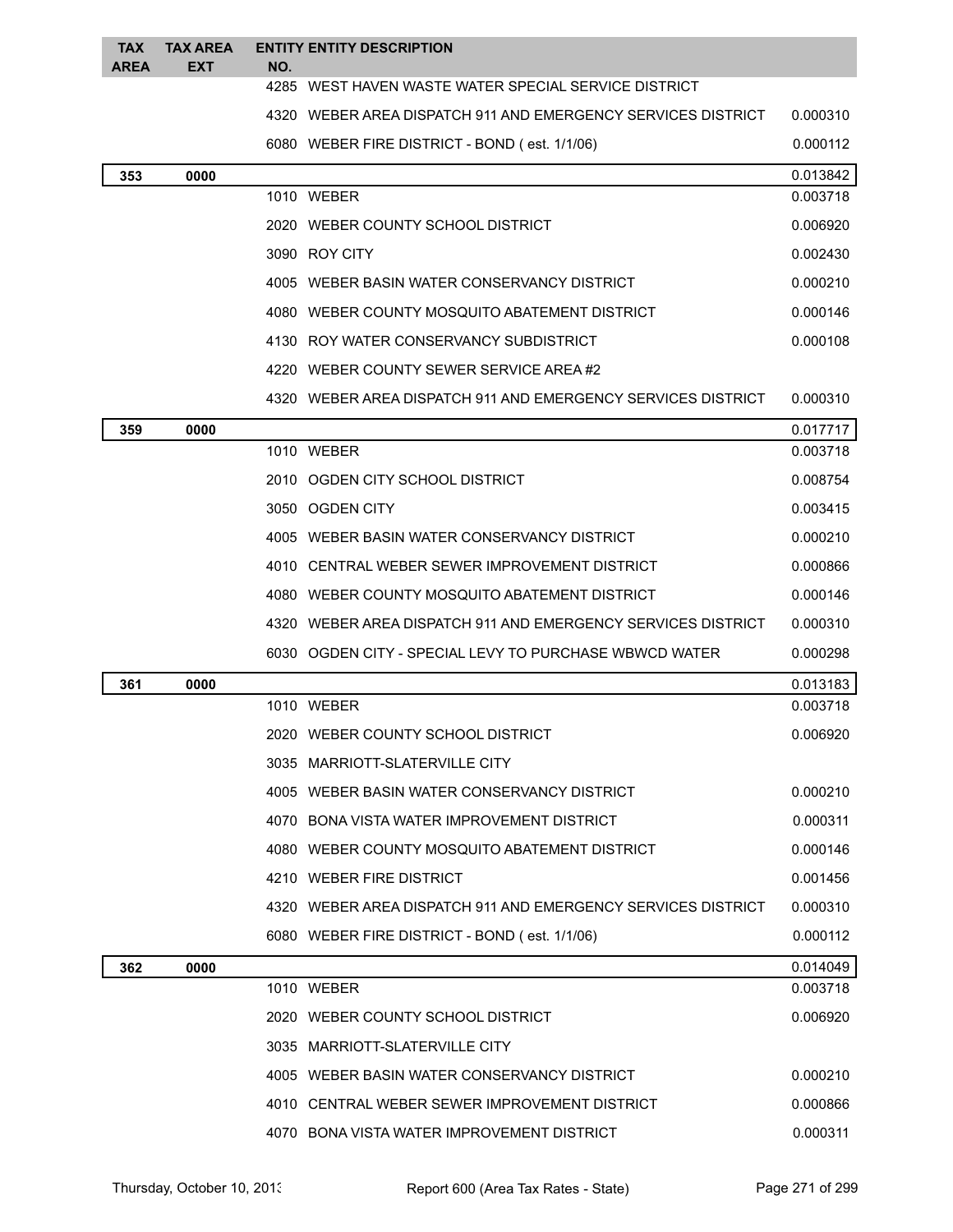| <b>TAX</b><br><b>AREA</b> | <b>TAX AREA</b><br><b>EXT</b> | NO. | <b>ENTITY ENTITY DESCRIPTION</b>                             |          |
|---------------------------|-------------------------------|-----|--------------------------------------------------------------|----------|
|                           |                               |     | 4285 WEST HAVEN WASTE WATER SPECIAL SERVICE DISTRICT         |          |
|                           |                               |     | 4320 WEBER AREA DISPATCH 911 AND EMERGENCY SERVICES DISTRICT | 0.000310 |
|                           |                               |     | 6080 WEBER FIRE DISTRICT - BOND (est. 1/1/06)                | 0.000112 |
| 353                       | 0000                          |     |                                                              | 0.013842 |
|                           |                               |     | 1010 WEBER                                                   | 0.003718 |
|                           |                               |     | 2020 WEBER COUNTY SCHOOL DISTRICT                            | 0.006920 |
|                           |                               |     | 3090 ROY CITY                                                | 0.002430 |
|                           |                               |     | 4005 WEBER BASIN WATER CONSERVANCY DISTRICT                  | 0.000210 |
|                           |                               |     | 4080 WEBER COUNTY MOSQUITO ABATEMENT DISTRICT                | 0.000146 |
|                           |                               |     | 4130 ROY WATER CONSERVANCY SUBDISTRICT                       | 0.000108 |
|                           |                               |     | 4220 WEBER COUNTY SEWER SERVICE AREA#2                       |          |
|                           |                               |     | 4320 WEBER AREA DISPATCH 911 AND EMERGENCY SERVICES DISTRICT | 0.000310 |
| 359                       | 0000                          |     |                                                              | 0.017717 |
|                           |                               |     | 1010 WEBER                                                   | 0.003718 |
|                           |                               |     | 2010 OGDEN CITY SCHOOL DISTRICT                              | 0.008754 |
|                           |                               |     | 3050 OGDEN CITY                                              | 0.003415 |
|                           |                               |     | 4005 WEBER BASIN WATER CONSERVANCY DISTRICT                  | 0.000210 |
|                           |                               |     | 4010 CENTRAL WEBER SEWER IMPROVEMENT DISTRICT                | 0.000866 |
|                           |                               |     | 4080 WEBER COUNTY MOSQUITO ABATEMENT DISTRICT                | 0.000146 |
|                           |                               |     | 4320 WEBER AREA DISPATCH 911 AND EMERGENCY SERVICES DISTRICT | 0.000310 |
|                           |                               |     | 6030 OGDEN CITY - SPECIAL LEVY TO PURCHASE WBWCD WATER       | 0.000298 |
| 361                       | 0000                          |     |                                                              | 0.013183 |
|                           |                               |     | 1010 WEBER                                                   | 0.003718 |
|                           |                               |     | 2020 WEBER COUNTY SCHOOL DISTRICT                            | 0.006920 |
|                           |                               |     | 3035 MARRIOTT-SLATERVILLE CITY                               |          |
|                           |                               |     | 4005 WEBER BASIN WATER CONSERVANCY DISTRICT                  | 0.000210 |
|                           |                               |     | 4070 BONA VISTA WATER IMPROVEMENT DISTRICT                   | 0.000311 |
|                           |                               |     | 4080 WEBER COUNTY MOSQUITO ABATEMENT DISTRICT                | 0.000146 |
|                           |                               |     | 4210 WEBER FIRE DISTRICT                                     | 0.001456 |
|                           |                               |     | 4320 WEBER AREA DISPATCH 911 AND EMERGENCY SERVICES DISTRICT | 0.000310 |
|                           |                               |     | 6080 WEBER FIRE DISTRICT - BOND (est. 1/1/06)                | 0.000112 |
| 362                       | 0000                          |     |                                                              | 0.014049 |
|                           |                               |     | 1010 WEBER                                                   | 0.003718 |
|                           |                               |     | 2020 WEBER COUNTY SCHOOL DISTRICT                            | 0.006920 |
|                           |                               |     | 3035 MARRIOTT-SLATERVILLE CITY                               |          |
|                           |                               |     | 4005 WEBER BASIN WATER CONSERVANCY DISTRICT                  | 0.000210 |
|                           |                               |     | 4010 CENTRAL WEBER SEWER IMPROVEMENT DISTRICT                | 0.000866 |
|                           |                               |     | 4070 BONA VISTA WATER IMPROVEMENT DISTRICT                   | 0.000311 |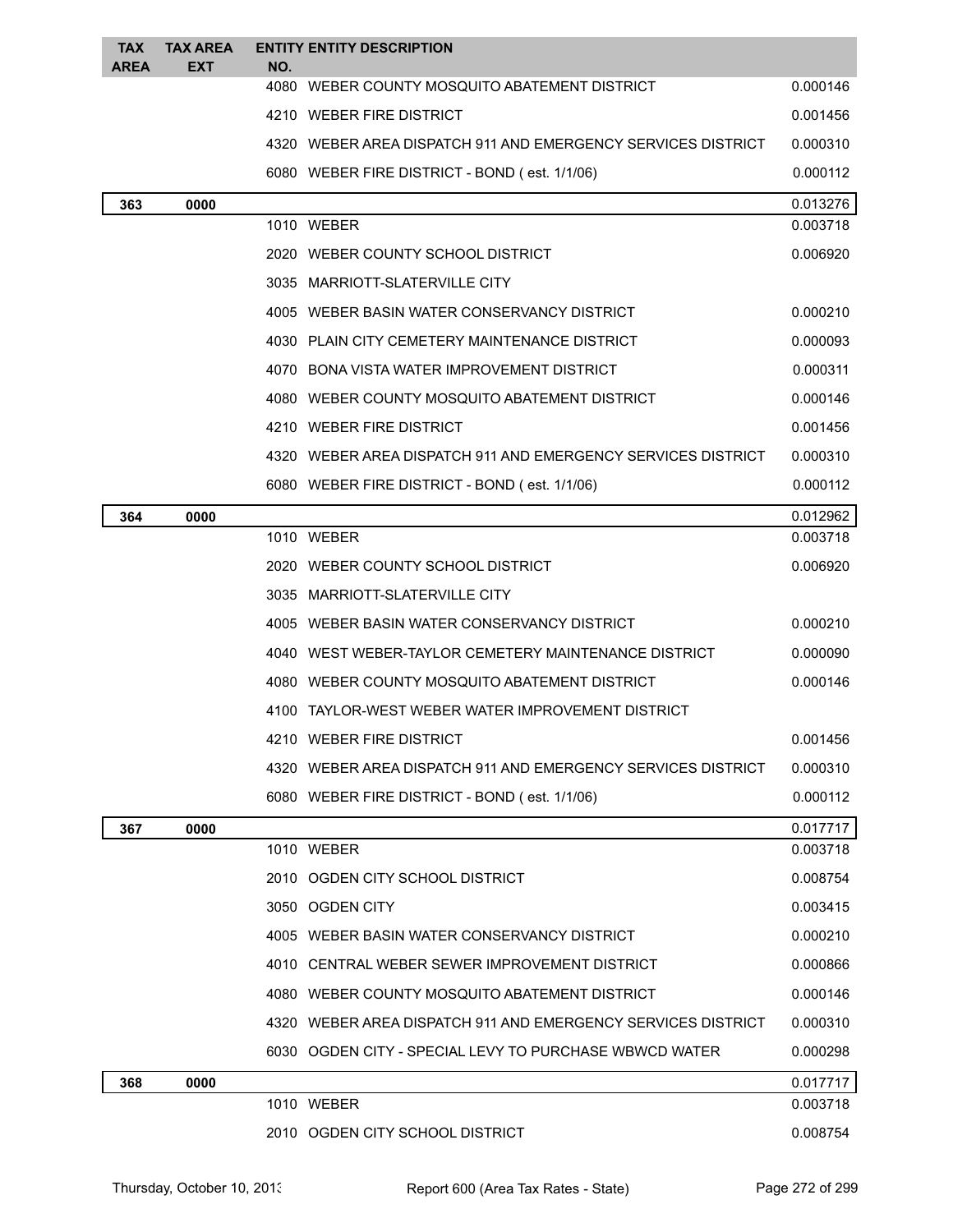| <b>TAX</b><br><b>AREA</b> | <b>TAX AREA</b><br><b>EXT</b> | NO.        | <b>ENTITY ENTITY DESCRIPTION</b>                               |          |
|---------------------------|-------------------------------|------------|----------------------------------------------------------------|----------|
|                           |                               |            | 4080 WEBER COUNTY MOSQUITO ABATEMENT DISTRICT                  | 0.000146 |
|                           |                               |            | 4210 WEBER FIRE DISTRICT                                       | 0.001456 |
|                           |                               |            | 4320 WEBER AREA DISPATCH 911 AND EMERGENCY SERVICES DISTRICT   | 0.000310 |
|                           |                               |            | 6080 WEBER FIRE DISTRICT - BOND (est. 1/1/06)                  | 0.000112 |
| 363                       | 0000                          |            |                                                                | 0.013276 |
|                           |                               | 1010 WEBER |                                                                | 0.003718 |
|                           |                               |            | 2020 WEBER COUNTY SCHOOL DISTRICT                              | 0.006920 |
|                           |                               |            | 3035 MARRIOTT-SLATERVILLE CITY                                 |          |
|                           |                               |            | 4005 WEBER BASIN WATER CONSERVANCY DISTRICT                    | 0.000210 |
|                           |                               |            | 4030 PLAIN CITY CEMETERY MAINTENANCE DISTRICT                  | 0.000093 |
|                           |                               |            | 4070 BONA VISTA WATER IMPROVEMENT DISTRICT                     | 0.000311 |
|                           |                               |            | 4080 WEBER COUNTY MOSQUITO ABATEMENT DISTRICT                  | 0.000146 |
|                           |                               |            | 4210 WEBER FIRE DISTRICT                                       | 0.001456 |
|                           |                               |            | 4320   WEBER AREA DISPATCH 911 AND EMERGENCY SERVICES DISTRICT | 0.000310 |
|                           |                               |            | 6080 WEBER FIRE DISTRICT - BOND (est. 1/1/06)                  | 0.000112 |
| 364                       | 0000                          |            |                                                                | 0.012962 |
|                           |                               | 1010 WEBER |                                                                | 0.003718 |
|                           |                               |            | 2020 WEBER COUNTY SCHOOL DISTRICT                              | 0.006920 |
|                           |                               |            | 3035 MARRIOTT-SLATERVILLE CITY                                 |          |
|                           |                               |            | 4005 WEBER BASIN WATER CONSERVANCY DISTRICT                    | 0.000210 |
|                           |                               |            | 4040 WEST WEBER-TAYLOR CEMETERY MAINTENANCE DISTRICT           | 0.000090 |
|                           |                               |            | 4080 WEBER COUNTY MOSQUITO ABATEMENT DISTRICT                  | 0.000146 |
|                           |                               |            | 4100 TAYLOR-WEST WEBER WATER IMPROVEMENT DISTRICT              |          |
|                           |                               |            | 4210 WEBER FIRE DISTRICT                                       | 0.001456 |
|                           |                               |            | 4320 WEBER AREA DISPATCH 911 AND EMERGENCY SERVICES DISTRICT   | 0.000310 |
|                           |                               |            | 6080 WEBER FIRE DISTRICT - BOND (est. 1/1/06)                  | 0.000112 |
| 367                       | 0000                          |            |                                                                | 0.017717 |
|                           |                               | 1010 WEBER |                                                                | 0.003718 |
|                           |                               |            | 2010 OGDEN CITY SCHOOL DISTRICT                                | 0.008754 |
|                           |                               |            | 3050 OGDEN CITY                                                | 0.003415 |
|                           |                               |            | 4005 WEBER BASIN WATER CONSERVANCY DISTRICT                    | 0.000210 |
|                           |                               |            | 4010 CENTRAL WEBER SEWER IMPROVEMENT DISTRICT                  | 0.000866 |
|                           |                               |            | 4080 WEBER COUNTY MOSQUITO ABATEMENT DISTRICT                  | 0.000146 |
|                           |                               |            | 4320 WEBER AREA DISPATCH 911 AND EMERGENCY SERVICES DISTRICT   | 0.000310 |
|                           |                               |            | 6030 OGDEN CITY - SPECIAL LEVY TO PURCHASE WBWCD WATER         | 0.000298 |
| 368                       | 0000                          |            |                                                                | 0.017717 |
|                           |                               | 1010 WEBER |                                                                | 0.003718 |
|                           |                               |            | 2010 OGDEN CITY SCHOOL DISTRICT                                | 0.008754 |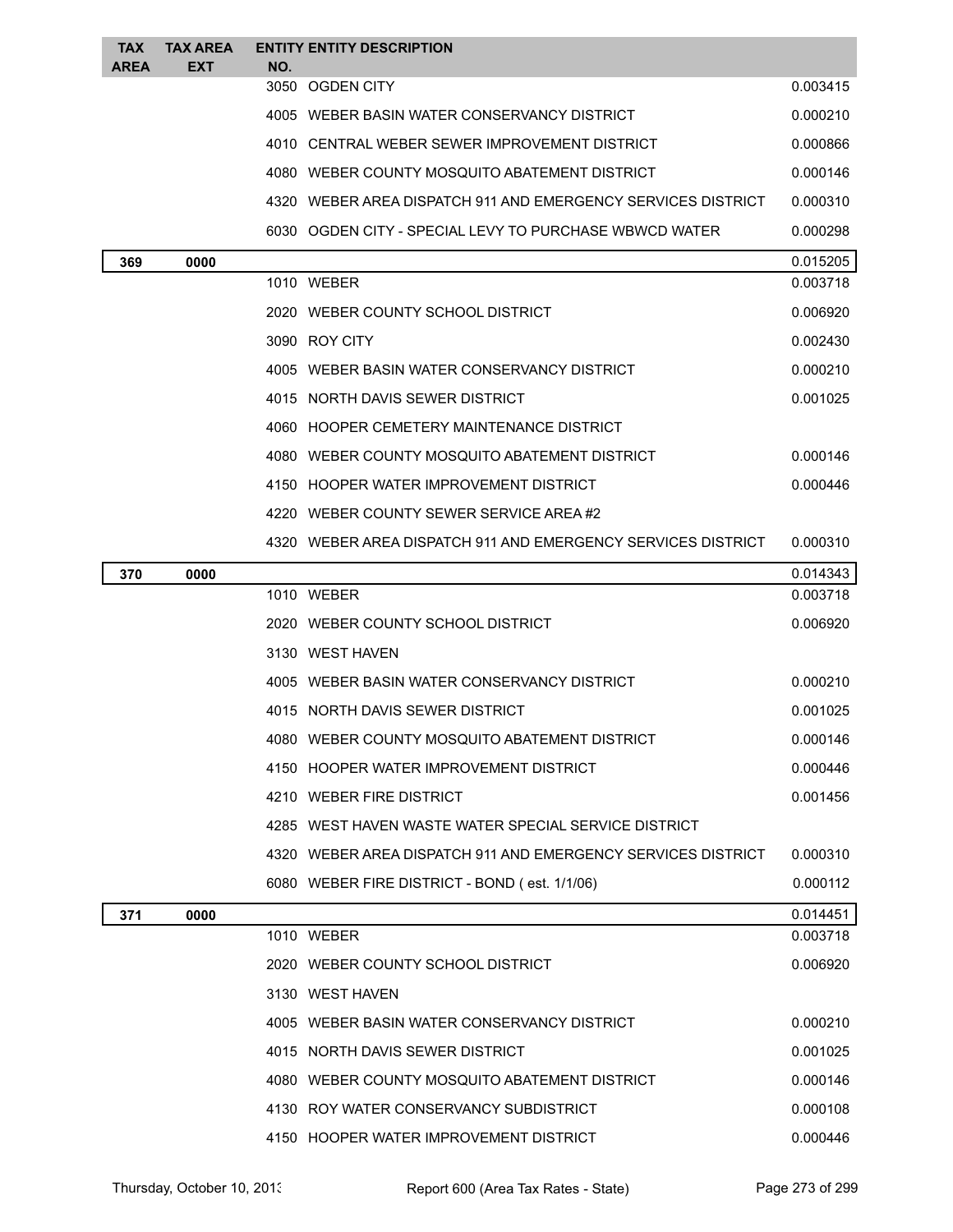| TAX<br><b>AREA</b> | <b>TAX AREA</b><br><b>EXT</b> | NO. | <b>ENTITY ENTITY DESCRIPTION</b>                             |          |
|--------------------|-------------------------------|-----|--------------------------------------------------------------|----------|
|                    |                               |     | 3050 OGDEN CITY                                              | 0.003415 |
|                    |                               |     | 4005 WEBER BASIN WATER CONSERVANCY DISTRICT                  | 0.000210 |
|                    |                               |     | 4010 CENTRAL WEBER SEWER IMPROVEMENT DISTRICT                | 0.000866 |
|                    |                               |     | 4080 WEBER COUNTY MOSQUITO ABATEMENT DISTRICT                | 0.000146 |
|                    |                               |     | 4320 WEBER AREA DISPATCH 911 AND EMERGENCY SERVICES DISTRICT | 0.000310 |
|                    |                               |     | 6030 OGDEN CITY - SPECIAL LEVY TO PURCHASE WBWCD WATER       | 0.000298 |
| 369                | 0000                          |     |                                                              | 0.015205 |
|                    |                               |     | 1010 WEBER                                                   | 0.003718 |
|                    |                               |     | 2020 WEBER COUNTY SCHOOL DISTRICT                            | 0.006920 |
|                    |                               |     | 3090 ROY CITY                                                | 0.002430 |
|                    |                               |     | 4005 WEBER BASIN WATER CONSERVANCY DISTRICT                  | 0.000210 |
|                    |                               |     | 4015 NORTH DAVIS SEWER DISTRICT                              | 0.001025 |
|                    |                               |     | 4060 HOOPER CEMETERY MAINTENANCE DISTRICT                    |          |
|                    |                               |     | 4080 WEBER COUNTY MOSQUITO ABATEMENT DISTRICT                | 0.000146 |
|                    |                               |     | 4150 HOOPER WATER IMPROVEMENT DISTRICT                       | 0.000446 |
|                    |                               |     | 4220 WEBER COUNTY SEWER SERVICE AREA#2                       |          |
|                    |                               |     | 4320 WEBER AREA DISPATCH 911 AND EMERGENCY SERVICES DISTRICT | 0.000310 |
| 370                | 0000                          |     |                                                              | 0.014343 |
|                    |                               |     | 1010 WEBER                                                   | 0.003718 |
|                    |                               |     | 2020 WEBER COUNTY SCHOOL DISTRICT                            | 0.006920 |
|                    |                               |     | 3130 WEST HAVEN                                              |          |
|                    |                               |     | 4005 WEBER BASIN WATER CONSERVANCY DISTRICT                  | 0.000210 |
|                    |                               |     | 4015 NORTH DAVIS SEWER DISTRICT                              | 0.001025 |
|                    |                               |     | 4080 WEBER COUNTY MOSQUITO ABATEMENT DISTRICT                | 0.000146 |
|                    |                               |     | 4150 HOOPER WATER IMPROVEMENT DISTRICT                       | 0.000446 |
|                    |                               |     | 4210 WEBER FIRE DISTRICT                                     | 0.001456 |
|                    |                               |     | 4285 WEST HAVEN WASTE WATER SPECIAL SERVICE DISTRICT         |          |
|                    |                               |     | 4320 WEBER AREA DISPATCH 911 AND EMERGENCY SERVICES DISTRICT | 0.000310 |
|                    |                               |     | 6080 WEBER FIRE DISTRICT - BOND (est. 1/1/06)                | 0.000112 |
| 371                | 0000                          |     |                                                              | 0.014451 |
|                    |                               |     | 1010 WEBER                                                   | 0.003718 |
|                    |                               |     | 2020 WEBER COUNTY SCHOOL DISTRICT                            | 0.006920 |
|                    |                               |     | 3130 WEST HAVEN                                              |          |
|                    |                               |     | 4005 WEBER BASIN WATER CONSERVANCY DISTRICT                  | 0.000210 |
|                    |                               |     | 4015 NORTH DAVIS SEWER DISTRICT                              | 0.001025 |
|                    |                               |     | 4080 WEBER COUNTY MOSQUITO ABATEMENT DISTRICT                | 0.000146 |
|                    |                               |     | 4130 ROY WATER CONSERVANCY SUBDISTRICT                       | 0.000108 |
|                    |                               |     | 4150 HOOPER WATER IMPROVEMENT DISTRICT                       | 0.000446 |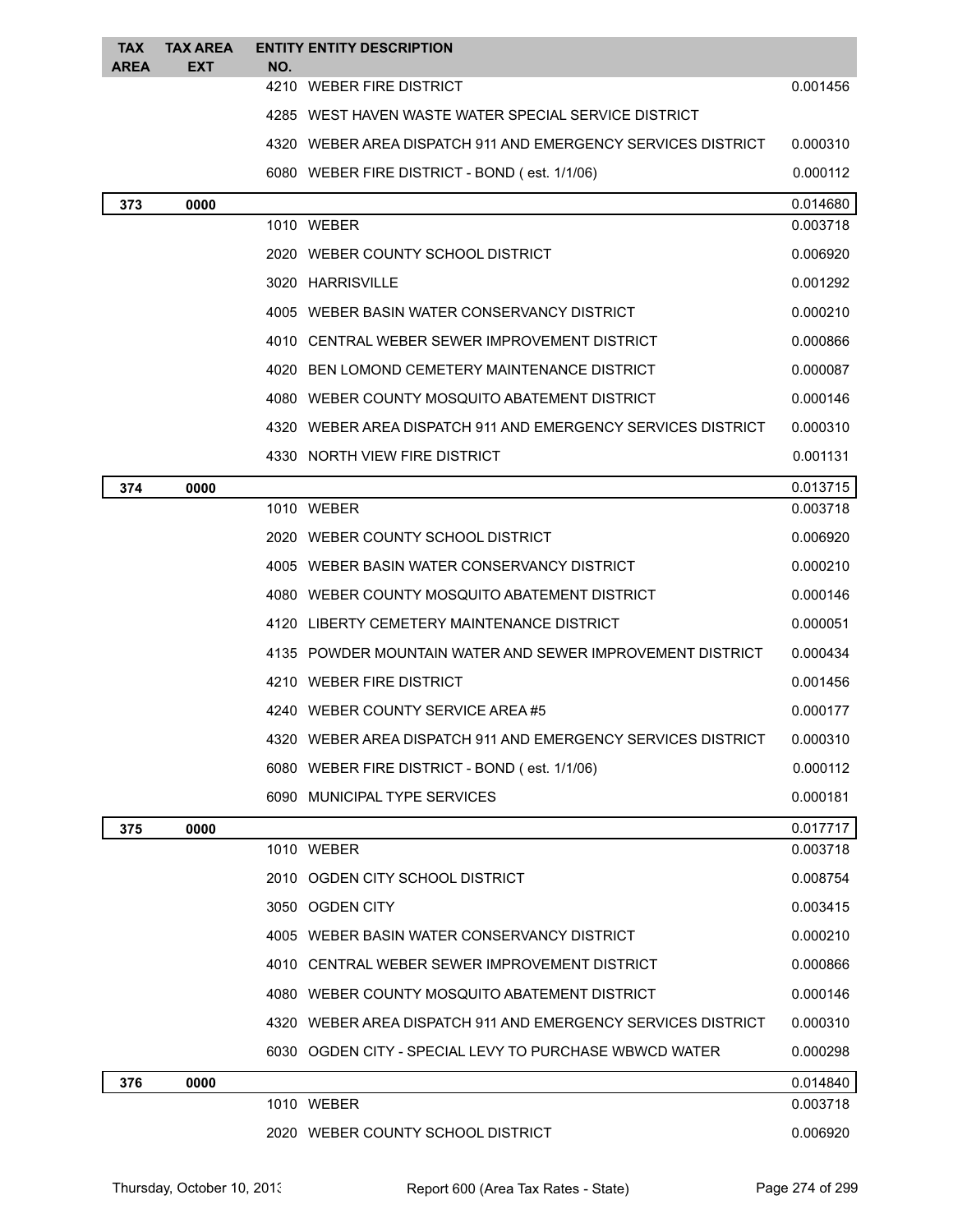| <b>TAX</b><br><b>AREA</b> | <b>TAX AREA</b><br><b>EXT</b> | NO. | <b>ENTITY ENTITY DESCRIPTION</b>                             |          |
|---------------------------|-------------------------------|-----|--------------------------------------------------------------|----------|
|                           |                               |     | 4210 WEBER FIRE DISTRICT                                     | 0.001456 |
|                           |                               |     | 4285 WEST HAVEN WASTE WATER SPECIAL SERVICE DISTRICT         |          |
|                           |                               |     | 4320 WEBER AREA DISPATCH 911 AND EMERGENCY SERVICES DISTRICT | 0.000310 |
|                           |                               |     | 6080 WEBER FIRE DISTRICT - BOND (est. 1/1/06)                | 0.000112 |
| 373                       | 0000                          |     |                                                              | 0.014680 |
|                           |                               |     | 1010 WEBER                                                   | 0.003718 |
|                           |                               |     | 2020 WEBER COUNTY SCHOOL DISTRICT                            | 0.006920 |
|                           |                               |     | 3020 HARRISVILLE                                             | 0.001292 |
|                           |                               |     | 4005 WEBER BASIN WATER CONSERVANCY DISTRICT                  | 0.000210 |
|                           |                               |     | 4010 CENTRAL WEBER SEWER IMPROVEMENT DISTRICT                | 0.000866 |
|                           |                               |     | 4020 BEN LOMOND CEMETERY MAINTENANCE DISTRICT                | 0.000087 |
|                           |                               |     | 4080 WEBER COUNTY MOSQUITO ABATEMENT DISTRICT                | 0.000146 |
|                           |                               |     | 4320 WEBER AREA DISPATCH 911 AND EMERGENCY SERVICES DISTRICT | 0.000310 |
|                           |                               |     | 4330 NORTH VIEW FIRE DISTRICT                                | 0.001131 |
| 374                       | 0000                          |     |                                                              | 0.013715 |
|                           |                               |     | 1010 WEBER                                                   | 0.003718 |
|                           |                               |     | 2020 WEBER COUNTY SCHOOL DISTRICT                            | 0.006920 |
|                           |                               |     | 4005 WEBER BASIN WATER CONSERVANCY DISTRICT                  | 0.000210 |
|                           |                               |     | 4080 WEBER COUNTY MOSQUITO ABATEMENT DISTRICT                | 0.000146 |
|                           |                               |     | 4120 LIBERTY CEMETERY MAINTENANCE DISTRICT                   | 0.000051 |
|                           |                               |     | 4135 POWDER MOUNTAIN WATER AND SEWER IMPROVEMENT DISTRICT    | 0.000434 |
|                           |                               |     | 4210 WEBER FIRE DISTRICT                                     | 0.001456 |
|                           |                               |     | 4240 WEBER COUNTY SERVICE AREA#5                             | 0.000177 |
|                           |                               |     | WEBER AREA DISPATCH 911 AND EMERGENCY SERVICES DISTRICT      | 0.000310 |
|                           |                               |     | 6080 WEBER FIRE DISTRICT - BOND (est. 1/1/06)                | 0.000112 |
|                           |                               |     | 6090 MUNICIPAL TYPE SERVICES                                 | 0.000181 |
| 375                       | 0000                          |     |                                                              | 0.017717 |
|                           |                               |     | 1010 WEBER                                                   | 0.003718 |
|                           |                               |     | 2010 OGDEN CITY SCHOOL DISTRICT                              | 0.008754 |
|                           |                               |     | 3050 OGDEN CITY                                              | 0.003415 |
|                           |                               |     | 4005 WEBER BASIN WATER CONSERVANCY DISTRICT                  | 0.000210 |
|                           |                               |     | 4010 CENTRAL WEBER SEWER IMPROVEMENT DISTRICT                | 0.000866 |
|                           |                               |     | 4080 WEBER COUNTY MOSQUITO ABATEMENT DISTRICT                | 0.000146 |
|                           |                               |     | 4320 WEBER AREA DISPATCH 911 AND EMERGENCY SERVICES DISTRICT | 0.000310 |
|                           |                               |     | 6030 OGDEN CITY - SPECIAL LEVY TO PURCHASE WBWCD WATER       | 0.000298 |
| 376                       | 0000                          |     |                                                              | 0.014840 |
|                           |                               |     | 1010 WEBER                                                   | 0.003718 |
|                           |                               |     | 2020 WEBER COUNTY SCHOOL DISTRICT                            | 0.006920 |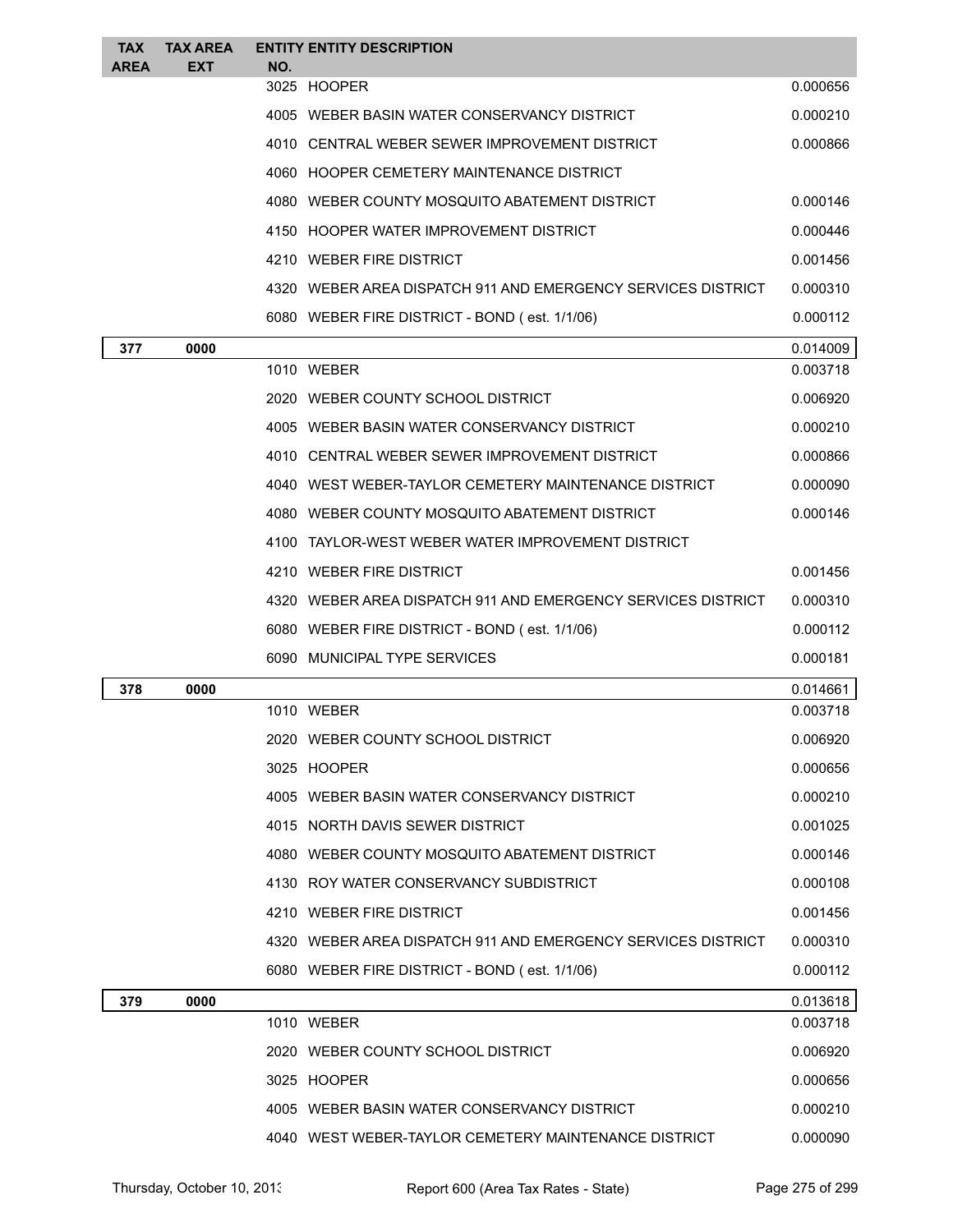| <b>TAX</b><br><b>AREA</b> | <b>TAX AREA</b><br><b>EXT</b> | <b>ENTITY ENTITY DESCRIPTION</b><br>NO.                      |          |
|---------------------------|-------------------------------|--------------------------------------------------------------|----------|
|                           |                               | 3025 HOOPER                                                  | 0.000656 |
|                           |                               | 4005 WEBER BASIN WATER CONSERVANCY DISTRICT                  | 0.000210 |
|                           |                               | 4010 CENTRAL WEBER SEWER IMPROVEMENT DISTRICT                | 0.000866 |
|                           |                               | 4060 HOOPER CEMETERY MAINTENANCE DISTRICT                    |          |
|                           |                               | 4080 WEBER COUNTY MOSQUITO ABATEMENT DISTRICT                | 0.000146 |
|                           |                               | 4150 HOOPER WATER IMPROVEMENT DISTRICT                       | 0.000446 |
|                           |                               | 4210 WEBER FIRE DISTRICT                                     | 0.001456 |
|                           |                               | 4320 WEBER AREA DISPATCH 911 AND EMERGENCY SERVICES DISTRICT | 0.000310 |
|                           |                               | 6080 WEBER FIRE DISTRICT - BOND (est. 1/1/06)                | 0.000112 |
| 377                       | 0000                          |                                                              | 0.014009 |
|                           |                               | 1010 WEBER                                                   | 0.003718 |
|                           |                               | 2020 WEBER COUNTY SCHOOL DISTRICT                            | 0.006920 |
|                           |                               | 4005 WEBER BASIN WATER CONSERVANCY DISTRICT                  | 0.000210 |
|                           |                               | 4010 CENTRAL WEBER SEWER IMPROVEMENT DISTRICT                | 0.000866 |
|                           |                               | 4040 WEST WEBER-TAYLOR CEMETERY MAINTENANCE DISTRICT         | 0.000090 |
|                           |                               | 4080 WEBER COUNTY MOSQUITO ABATEMENT DISTRICT                | 0.000146 |
|                           |                               | 4100 TAYLOR-WEST WEBER WATER IMPROVEMENT DISTRICT            |          |
|                           |                               | 4210 WEBER FIRE DISTRICT                                     | 0.001456 |
|                           |                               | 4320 WEBER AREA DISPATCH 911 AND EMERGENCY SERVICES DISTRICT | 0.000310 |
|                           |                               | 6080 WEBER FIRE DISTRICT - BOND (est. 1/1/06)                | 0.000112 |
|                           |                               | 6090 MUNICIPAL TYPE SERVICES                                 | 0.000181 |
| 378                       | 0000                          |                                                              | 0.014661 |
|                           |                               | 1010 WEBER                                                   | 0.003718 |
|                           |                               | 2020 WEBER COUNTY SCHOOL DISTRICT                            | 0.006920 |
|                           |                               | 3025 HOOPER                                                  | 0.000656 |
|                           |                               | 4005 WEBER BASIN WATER CONSERVANCY DISTRICT                  | 0.000210 |
|                           |                               | 4015 NORTH DAVIS SEWER DISTRICT                              | 0.001025 |
|                           |                               | 4080 WEBER COUNTY MOSQUITO ABATEMENT DISTRICT                | 0.000146 |
|                           |                               | 4130 ROY WATER CONSERVANCY SUBDISTRICT                       | 0.000108 |
|                           |                               | 4210 WEBER FIRE DISTRICT                                     | 0.001456 |
|                           |                               | 4320 WEBER AREA DISPATCH 911 AND EMERGENCY SERVICES DISTRICT | 0.000310 |
|                           |                               | 6080 WEBER FIRE DISTRICT - BOND (est. 1/1/06)                | 0.000112 |
| 379                       | 0000                          |                                                              | 0.013618 |
|                           |                               | 1010 WEBER                                                   | 0.003718 |
|                           |                               | 2020 WEBER COUNTY SCHOOL DISTRICT                            | 0.006920 |
|                           |                               | 3025 HOOPER                                                  | 0.000656 |
|                           |                               | 4005 WEBER BASIN WATER CONSERVANCY DISTRICT                  | 0.000210 |
|                           |                               | 4040 WEST WEBER-TAYLOR CEMETERY MAINTENANCE DISTRICT         | 0.000090 |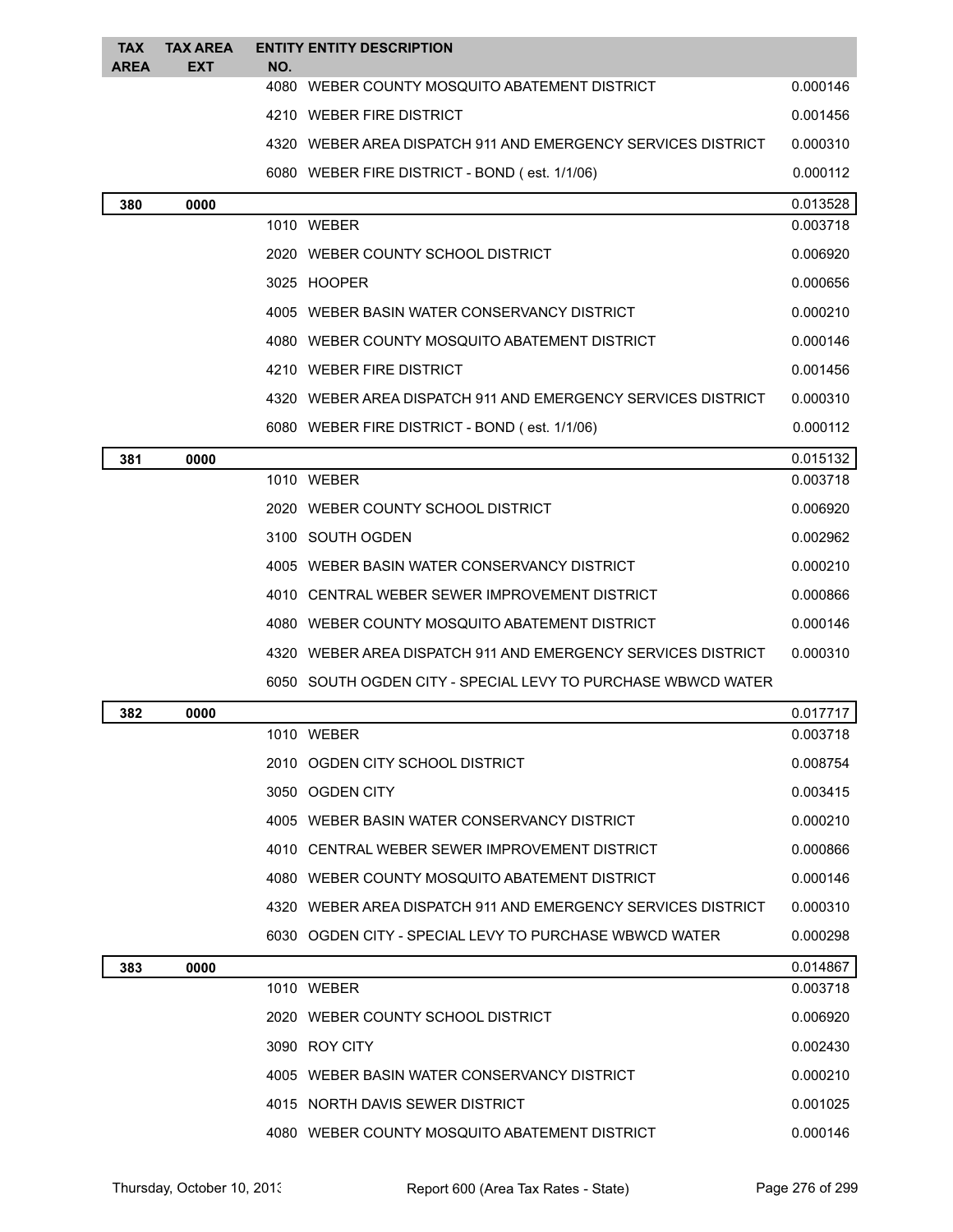| <b>TAX</b><br><b>AREA</b> | <b>TAX AREA</b><br><b>EXT</b> | NO. | <b>ENTITY ENTITY DESCRIPTION</b>                             |          |
|---------------------------|-------------------------------|-----|--------------------------------------------------------------|----------|
|                           |                               |     | 4080 WEBER COUNTY MOSQUITO ABATEMENT DISTRICT                | 0.000146 |
|                           |                               |     | 4210 WEBER FIRE DISTRICT                                     | 0.001456 |
|                           |                               |     | 4320 WEBER AREA DISPATCH 911 AND EMERGENCY SERVICES DISTRICT | 0.000310 |
|                           |                               |     | 6080 WEBER FIRE DISTRICT - BOND (est. 1/1/06)                | 0.000112 |
| 380                       | 0000                          |     |                                                              | 0.013528 |
|                           |                               |     | 1010 WEBER                                                   | 0.003718 |
|                           |                               |     | 2020 WEBER COUNTY SCHOOL DISTRICT                            | 0.006920 |
|                           |                               |     | 3025 HOOPER                                                  | 0.000656 |
|                           |                               |     | 4005 WEBER BASIN WATER CONSERVANCY DISTRICT                  | 0.000210 |
|                           |                               |     | 4080 WEBER COUNTY MOSQUITO ABATEMENT DISTRICT                | 0.000146 |
|                           |                               |     | 4210 WEBER FIRE DISTRICT                                     | 0.001456 |
|                           |                               |     | 4320 WEBER AREA DISPATCH 911 AND EMERGENCY SERVICES DISTRICT | 0.000310 |
|                           |                               |     | 6080 WEBER FIRE DISTRICT - BOND (est. 1/1/06)                | 0.000112 |
| 381                       | 0000                          |     |                                                              | 0.015132 |
|                           |                               |     | 1010 WEBER                                                   | 0.003718 |
|                           |                               |     | 2020 WEBER COUNTY SCHOOL DISTRICT                            | 0.006920 |
|                           |                               |     | 3100 SOUTH OGDEN                                             | 0.002962 |
|                           |                               |     | 4005 WEBER BASIN WATER CONSERVANCY DISTRICT                  | 0.000210 |
|                           |                               |     | 4010 CENTRAL WEBER SEWER IMPROVEMENT DISTRICT                | 0.000866 |
|                           |                               |     | 4080 WEBER COUNTY MOSQUITO ABATEMENT DISTRICT                | 0.000146 |
|                           |                               |     | 4320 WEBER AREA DISPATCH 911 AND EMERGENCY SERVICES DISTRICT | 0.000310 |
|                           |                               |     | 6050 SOUTH OGDEN CITY - SPECIAL LEVY TO PURCHASE WBWCD WATER |          |
| 382                       | 0000                          |     |                                                              | 0.017717 |
|                           |                               |     | 1010 WEBER                                                   | 0.003718 |
|                           |                               |     | 2010 OGDEN CITY SCHOOL DISTRICT                              | 0.008754 |
|                           |                               |     | 3050 OGDEN CITY                                              | 0.003415 |
|                           |                               |     | 4005 WEBER BASIN WATER CONSERVANCY DISTRICT                  | 0.000210 |
|                           |                               |     | 4010 CENTRAL WEBER SEWER IMPROVEMENT DISTRICT                | 0.000866 |
|                           |                               |     | 4080 WEBER COUNTY MOSQUITO ABATEMENT DISTRICT                | 0.000146 |
|                           |                               |     | 4320 WEBER AREA DISPATCH 911 AND EMERGENCY SERVICES DISTRICT | 0.000310 |
|                           |                               |     | 6030 OGDEN CITY - SPECIAL LEVY TO PURCHASE WBWCD WATER       | 0.000298 |
| 383                       | 0000                          |     |                                                              | 0.014867 |
|                           |                               |     | 1010 WEBER                                                   | 0.003718 |
|                           |                               |     | 2020 WEBER COUNTY SCHOOL DISTRICT                            | 0.006920 |
|                           |                               |     | 3090 ROY CITY                                                | 0.002430 |
|                           |                               |     | 4005 WEBER BASIN WATER CONSERVANCY DISTRICT                  | 0.000210 |
|                           |                               |     | 4015 NORTH DAVIS SEWER DISTRICT                              | 0.001025 |
|                           |                               |     | 4080 WEBER COUNTY MOSQUITO ABATEMENT DISTRICT                | 0.000146 |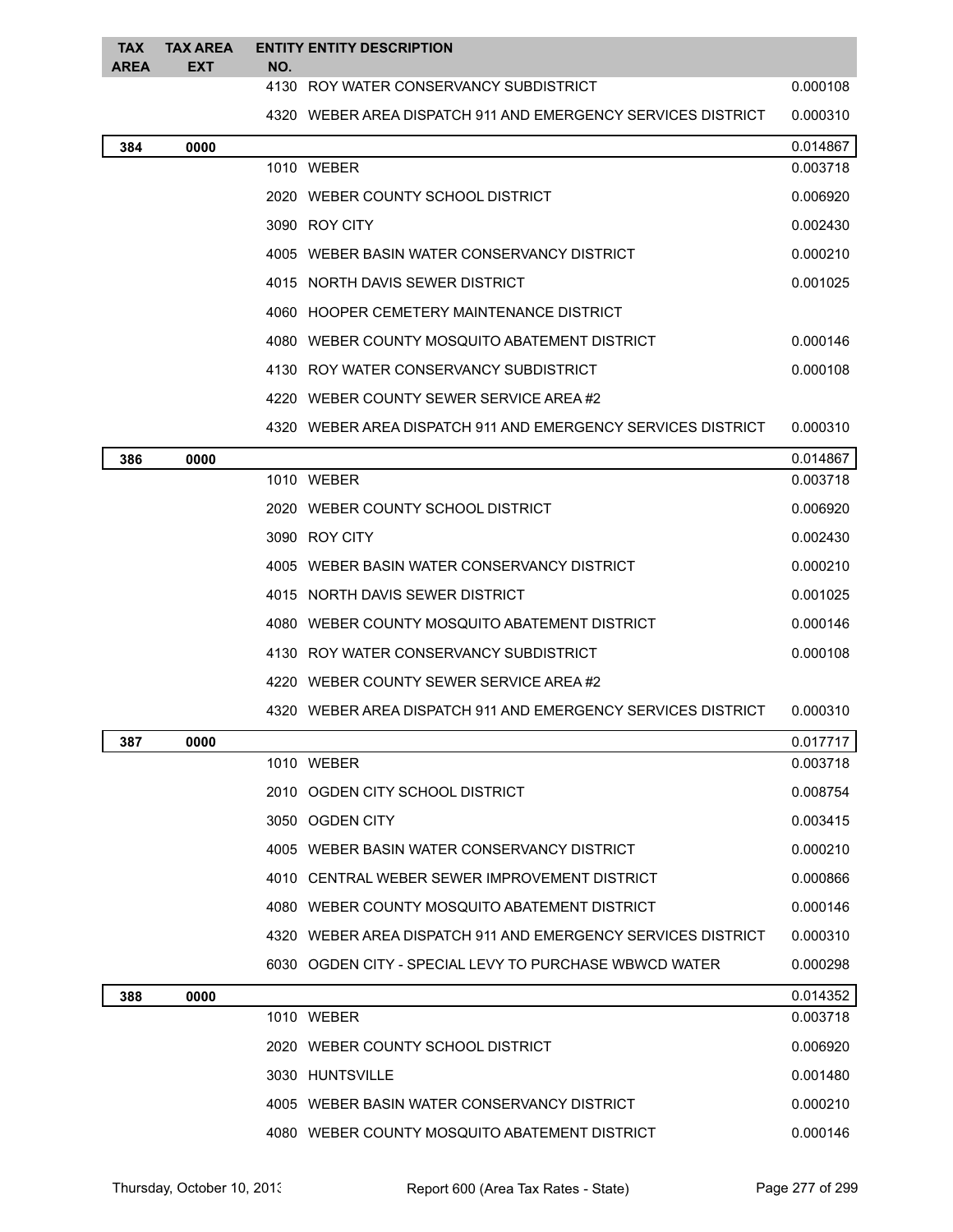| <b>TAX</b><br><b>AREA</b> | <b>TAX AREA</b><br><b>EXT</b> | NO. | <b>ENTITY ENTITY DESCRIPTION</b>                             |          |
|---------------------------|-------------------------------|-----|--------------------------------------------------------------|----------|
|                           |                               |     | 4130 ROY WATER CONSERVANCY SUBDISTRICT                       | 0.000108 |
|                           |                               |     | 4320 WEBER AREA DISPATCH 911 AND EMERGENCY SERVICES DISTRICT | 0.000310 |
| 384                       | 0000                          |     |                                                              | 0.014867 |
|                           |                               |     | 1010 WEBER                                                   | 0.003718 |
|                           |                               |     | 2020 WEBER COUNTY SCHOOL DISTRICT                            | 0.006920 |
|                           |                               |     | 3090 ROY CITY                                                | 0.002430 |
|                           |                               |     | 4005 WEBER BASIN WATER CONSERVANCY DISTRICT                  | 0.000210 |
|                           |                               |     | 4015 NORTH DAVIS SEWER DISTRICT                              | 0.001025 |
|                           |                               |     | 4060 HOOPER CEMETERY MAINTENANCE DISTRICT                    |          |
|                           |                               |     | 4080 WEBER COUNTY MOSQUITO ABATEMENT DISTRICT                | 0.000146 |
|                           |                               |     | 4130 ROY WATER CONSERVANCY SUBDISTRICT                       | 0.000108 |
|                           |                               |     | 4220 WEBER COUNTY SEWER SERVICE AREA #2                      |          |
|                           |                               |     | 4320 WEBER AREA DISPATCH 911 AND EMERGENCY SERVICES DISTRICT | 0.000310 |
| 386                       | 0000                          |     |                                                              | 0.014867 |
|                           |                               |     | 1010 WEBER                                                   | 0.003718 |
|                           |                               |     | 2020 WEBER COUNTY SCHOOL DISTRICT                            | 0.006920 |
|                           |                               |     | 3090 ROY CITY                                                | 0.002430 |
|                           |                               |     | 4005 WEBER BASIN WATER CONSERVANCY DISTRICT                  | 0.000210 |
|                           |                               |     | 4015 NORTH DAVIS SEWER DISTRICT                              | 0.001025 |
|                           |                               |     | 4080 WEBER COUNTY MOSQUITO ABATEMENT DISTRICT                | 0.000146 |
|                           |                               |     | 4130 ROY WATER CONSERVANCY SUBDISTRICT                       | 0.000108 |
|                           |                               |     | 4220 WEBER COUNTY SEWER SERVICE AREA#2                       |          |
|                           |                               |     | 4320 WEBER AREA DISPATCH 911 AND EMERGENCY SERVICES DISTRICT | 0.000310 |
| 387                       | 0000                          |     |                                                              | 0.017717 |
|                           |                               |     | 1010 WEBER                                                   | 0.003718 |
|                           |                               |     | 2010 OGDEN CITY SCHOOL DISTRICT                              | 0.008754 |
|                           |                               |     | 3050 OGDEN CITY                                              | 0.003415 |
|                           |                               |     | 4005 WEBER BASIN WATER CONSERVANCY DISTRICT                  | 0.000210 |
|                           |                               |     | 4010 CENTRAL WEBER SEWER IMPROVEMENT DISTRICT                | 0.000866 |
|                           |                               |     | 4080 WEBER COUNTY MOSQUITO ABATEMENT DISTRICT                | 0.000146 |
|                           |                               |     | 4320 WEBER AREA DISPATCH 911 AND EMERGENCY SERVICES DISTRICT | 0.000310 |
|                           |                               |     | 6030 OGDEN CITY - SPECIAL LEVY TO PURCHASE WBWCD WATER       | 0.000298 |
| 388                       | 0000                          |     |                                                              | 0.014352 |
|                           |                               |     | 1010 WEBER                                                   | 0.003718 |
|                           |                               |     | 2020 WEBER COUNTY SCHOOL DISTRICT                            | 0.006920 |
|                           |                               |     | 3030 HUNTSVILLE                                              | 0.001480 |
|                           |                               |     | 4005 WEBER BASIN WATER CONSERVANCY DISTRICT                  | 0.000210 |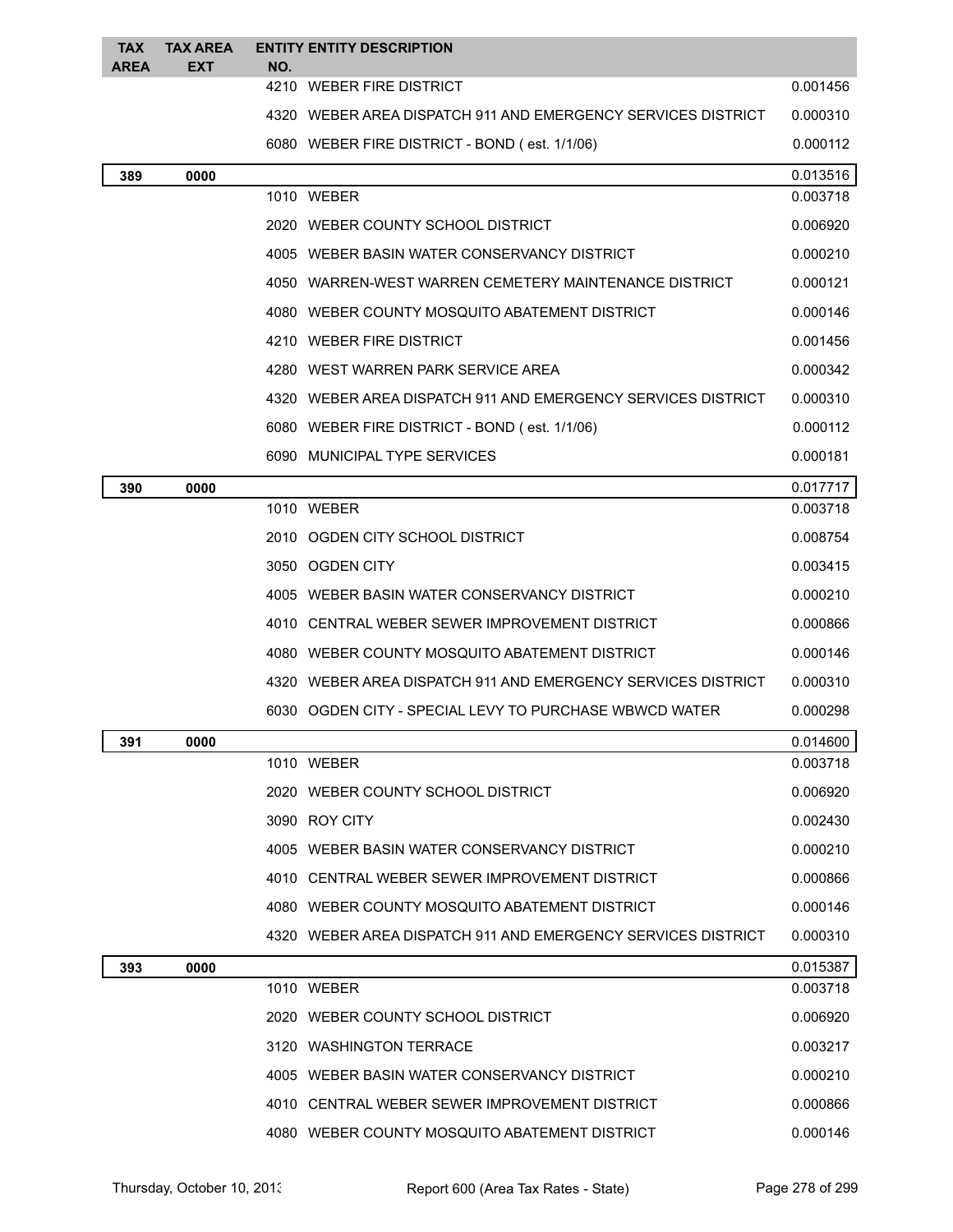| TAX<br><b>AREA</b> | <b>TAX AREA</b><br><b>EXT</b> | NO. | <b>ENTITY ENTITY DESCRIPTION</b>                               |          |
|--------------------|-------------------------------|-----|----------------------------------------------------------------|----------|
|                    |                               |     | 4210 WEBER FIRE DISTRICT                                       | 0.001456 |
|                    |                               |     | 4320 WEBER AREA DISPATCH 911 AND EMERGENCY SERVICES DISTRICT   | 0.000310 |
|                    |                               |     | 6080 WEBER FIRE DISTRICT - BOND (est. 1/1/06)                  | 0.000112 |
| 389                | 0000                          |     |                                                                | 0.013516 |
|                    |                               |     | 1010 WEBER                                                     | 0.003718 |
|                    |                               |     | 2020 WEBER COUNTY SCHOOL DISTRICT                              | 0.006920 |
|                    |                               |     | 4005 WEBER BASIN WATER CONSERVANCY DISTRICT                    | 0.000210 |
|                    |                               |     | 4050 WARREN-WEST WARREN CEMETERY MAINTENANCE DISTRICT          | 0.000121 |
|                    |                               |     | 4080 WEBER COUNTY MOSQUITO ABATEMENT DISTRICT                  | 0.000146 |
|                    |                               |     | 4210 WEBER FIRE DISTRICT                                       | 0.001456 |
|                    |                               |     | 4280 WEST WARREN PARK SERVICE AREA                             | 0.000342 |
|                    |                               |     | 4320 WEBER AREA DISPATCH 911 AND EMERGENCY SERVICES DISTRICT   | 0.000310 |
|                    |                               |     | 6080 WEBER FIRE DISTRICT - BOND (est. 1/1/06)                  | 0.000112 |
|                    |                               |     | 6090 MUNICIPAL TYPE SERVICES                                   | 0.000181 |
| 390                | 0000                          |     |                                                                | 0.017717 |
|                    |                               |     | 1010 WEBER                                                     | 0.003718 |
|                    |                               |     | 2010 OGDEN CITY SCHOOL DISTRICT                                | 0.008754 |
|                    |                               |     | 3050 OGDEN CITY                                                | 0.003415 |
|                    |                               |     | 4005 WEBER BASIN WATER CONSERVANCY DISTRICT                    | 0.000210 |
|                    |                               |     | 4010 CENTRAL WEBER SEWER IMPROVEMENT DISTRICT                  | 0.000866 |
|                    |                               |     | 4080 WEBER COUNTY MOSQUITO ABATEMENT DISTRICT                  | 0.000146 |
|                    |                               |     | 4320 WEBER AREA DISPATCH 911 AND EMERGENCY SERVICES DISTRICT   | 0.000310 |
|                    |                               |     | 6030 OGDEN CITY - SPECIAL LEVY TO PURCHASE WBWCD WATER         | 0.000298 |
| 391                | 0000                          |     |                                                                | 0.014600 |
|                    |                               |     | 1010 WEBER                                                     | 0.003718 |
|                    |                               |     | 2020 WEBER COUNTY SCHOOL DISTRICT                              | 0.006920 |
|                    |                               |     | 3090 ROY CITY                                                  | 0.002430 |
|                    |                               |     | 4005 WEBER BASIN WATER CONSERVANCY DISTRICT                    | 0.000210 |
|                    |                               |     | 4010 CENTRAL WEBER SEWER IMPROVEMENT DISTRICT                  | 0.000866 |
|                    |                               |     | 4080 WEBER COUNTY MOSQUITO ABATEMENT DISTRICT                  | 0.000146 |
|                    |                               |     | 4320   WEBER AREA DISPATCH 911 AND EMERGENCY SERVICES DISTRICT | 0.000310 |
| 393                | 0000                          |     |                                                                | 0.015387 |
|                    |                               |     | 1010 WEBER                                                     | 0.003718 |
|                    |                               |     | 2020 WEBER COUNTY SCHOOL DISTRICT                              | 0.006920 |
|                    |                               |     | 3120 WASHINGTON TERRACE                                        | 0.003217 |
|                    |                               |     | 4005 WEBER BASIN WATER CONSERVANCY DISTRICT                    | 0.000210 |
|                    |                               |     | 4010 CENTRAL WEBER SEWER IMPROVEMENT DISTRICT                  | 0.000866 |
|                    |                               |     | 4080 WEBER COUNTY MOSQUITO ABATEMENT DISTRICT                  | 0.000146 |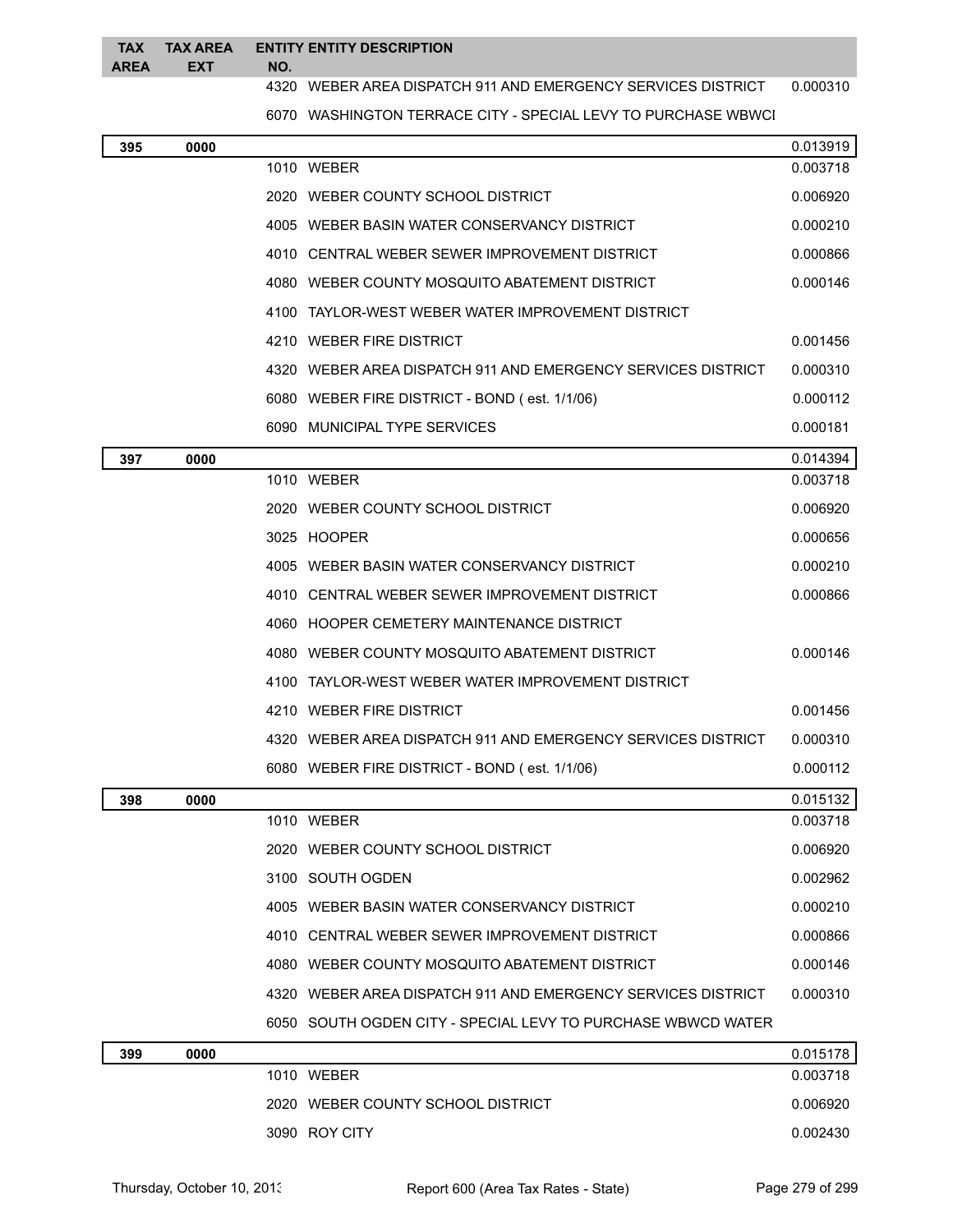## **TAX AREA TAX AREA EXT ENTITY ENTITY DESCRIPTION NO.**

## WEBER AREA DISPATCH 911 AND EMERGENCY SERVICES DISTRICT 0.000310

6070 WASHINGTON TERRACE CITY - SPECIAL LEVY TO PURCHASE WBWCI

| 395 | 0000 |                                                              | 0.013919 |
|-----|------|--------------------------------------------------------------|----------|
|     |      | 1010 WEBER                                                   | 0.003718 |
|     |      | 2020 WEBER COUNTY SCHOOL DISTRICT                            | 0.006920 |
|     |      | 4005 WEBER BASIN WATER CONSERVANCY DISTRICT                  | 0.000210 |
|     |      | 4010 CENTRAL WEBER SEWER IMPROVEMENT DISTRICT                | 0.000866 |
|     |      | 4080 WEBER COUNTY MOSQUITO ABATEMENT DISTRICT                | 0.000146 |
|     |      | 4100 TAYLOR-WEST WEBER WATER IMPROVEMENT DISTRICT            |          |
|     |      | 4210 WEBER FIRE DISTRICT                                     | 0.001456 |
|     |      | 4320 WEBER AREA DISPATCH 911 AND EMERGENCY SERVICES DISTRICT | 0.000310 |
|     |      | 6080 WEBER FIRE DISTRICT - BOND (est. 1/1/06)                | 0.000112 |
|     |      | 6090 MUNICIPAL TYPE SERVICES                                 | 0.000181 |
| 397 | 0000 |                                                              | 0.014394 |
|     |      | 1010 WEBER                                                   | 0.003718 |
|     |      | 2020 WEBER COUNTY SCHOOL DISTRICT                            | 0.006920 |
|     |      | 3025 HOOPER                                                  | 0.000656 |
|     |      | 4005 WEBER BASIN WATER CONSERVANCY DISTRICT                  | 0.000210 |
|     |      | 4010 CENTRAL WEBER SEWER IMPROVEMENT DISTRICT                | 0.000866 |
|     |      | 4060 HOOPER CEMETERY MAINTENANCE DISTRICT                    |          |
|     |      | 4080 WEBER COUNTY MOSQUITO ABATEMENT DISTRICT                | 0.000146 |
|     |      | 4100 TAYLOR-WEST WEBER WATER IMPROVEMENT DISTRICT            |          |
|     |      | 4210 WEBER FIRE DISTRICT                                     | 0.001456 |
|     |      | 4320 WEBER AREA DISPATCH 911 AND EMERGENCY SERVICES DISTRICT | 0.000310 |
|     |      | 6080 WEBER FIRE DISTRICT - BOND (est. 1/1/06)                | 0.000112 |
| 398 | 0000 |                                                              | 0.015132 |
|     |      | 1010 WEBER                                                   | 0.003718 |
|     |      | 2020 WEBER COUNTY SCHOOL DISTRICT                            | 0.006920 |
|     |      | 3100 SOUTH OGDEN                                             | 0.002962 |
|     |      | 4005 WEBER BASIN WATER CONSERVANCY DISTRICT                  | 0.000210 |
|     |      | 4010 CENTRAL WEBER SEWER IMPROVEMENT DISTRICT                | 0.000866 |
|     |      | 4080 WEBER COUNTY MOSQUITO ABATEMENT DISTRICT                | 0.000146 |
|     |      | 4320 WEBER AREA DISPATCH 911 AND EMERGENCY SERVICES DISTRICT | 0.000310 |
|     |      | 6050 SOUTH OGDEN CITY - SPECIAL LEVY TO PURCHASE WBWCD WATER |          |
| 399 | 0000 |                                                              | 0.015178 |
|     |      | 1010 WEBER                                                   | 0.003718 |
|     |      | 2020 WEBER COUNTY SCHOOL DISTRICT                            | 0.006920 |

ROY CITY 0.002430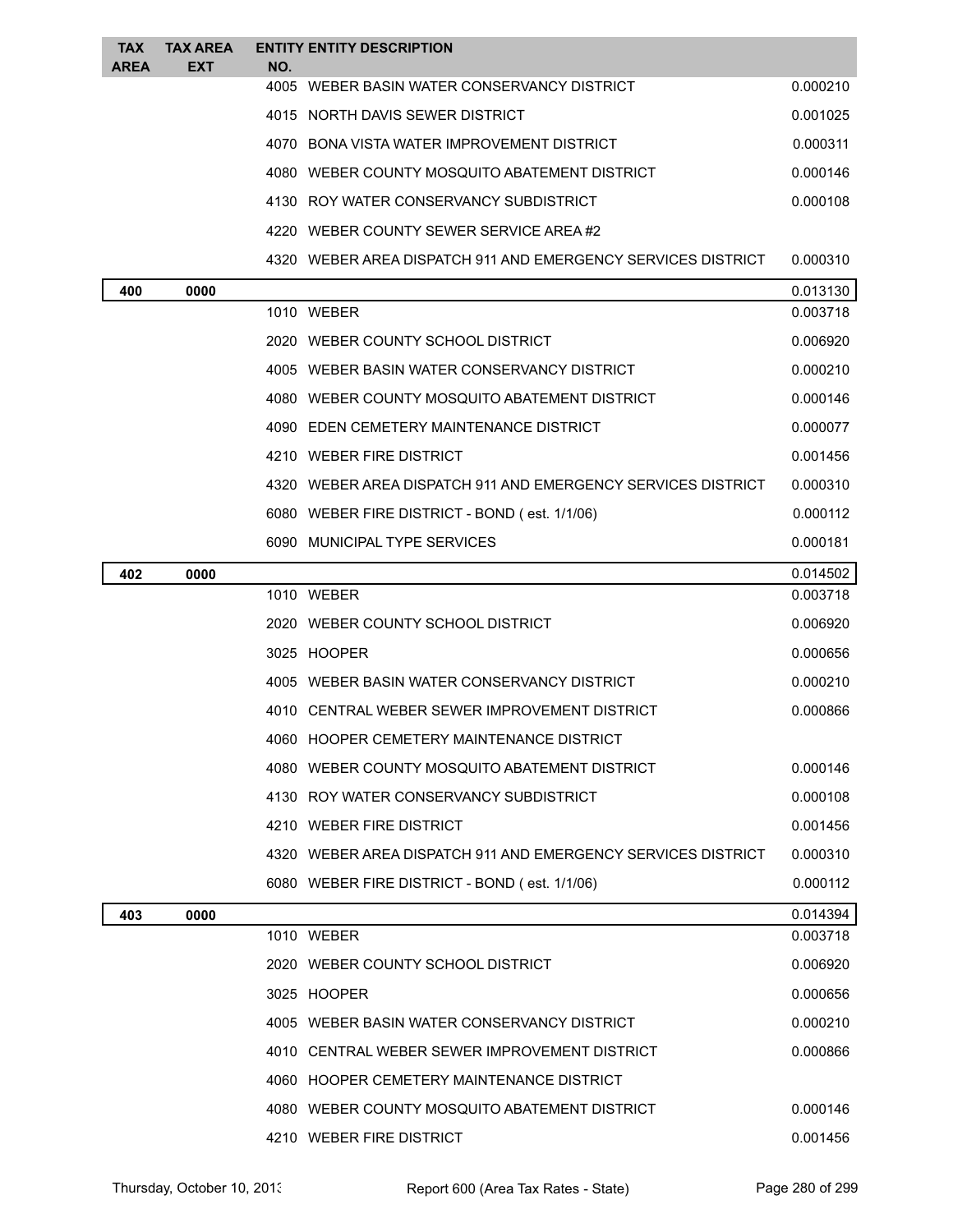| <b>TAX</b><br><b>AREA</b> | <b>TAX AREA</b><br><b>EXT</b> | NO. | <b>ENTITY ENTITY DESCRIPTION</b>                             |          |
|---------------------------|-------------------------------|-----|--------------------------------------------------------------|----------|
|                           |                               |     | 4005 WEBER BASIN WATER CONSERVANCY DISTRICT                  | 0.000210 |
|                           |                               |     | 4015 NORTH DAVIS SEWER DISTRICT                              | 0.001025 |
|                           |                               |     | 4070 BONA VISTA WATER IMPROVEMENT DISTRICT                   | 0.000311 |
|                           |                               |     | 4080 WEBER COUNTY MOSQUITO ABATEMENT DISTRICT                | 0.000146 |
|                           |                               |     | 4130 ROY WATER CONSERVANCY SUBDISTRICT                       | 0.000108 |
|                           |                               |     | 4220 WEBER COUNTY SEWER SERVICE AREA#2                       |          |
|                           |                               |     | 4320 WEBER AREA DISPATCH 911 AND EMERGENCY SERVICES DISTRICT | 0.000310 |
| 400                       | 0000                          |     |                                                              | 0.013130 |
|                           |                               |     | 1010 WEBER                                                   | 0.003718 |
|                           |                               |     | 2020 WEBER COUNTY SCHOOL DISTRICT                            | 0.006920 |
|                           |                               |     | 4005 WEBER BASIN WATER CONSERVANCY DISTRICT                  | 0.000210 |
|                           |                               |     | 4080 WEBER COUNTY MOSQUITO ABATEMENT DISTRICT                | 0.000146 |
|                           |                               |     | 4090 EDEN CEMETERY MAINTENANCE DISTRICT                      | 0.000077 |
|                           |                               |     | 4210 WEBER FIRE DISTRICT                                     | 0.001456 |
|                           |                               |     | 4320 WEBER AREA DISPATCH 911 AND EMERGENCY SERVICES DISTRICT | 0.000310 |
|                           |                               |     | 6080 WEBER FIRE DISTRICT - BOND (est. 1/1/06)                | 0.000112 |
|                           |                               |     | 6090 MUNICIPAL TYPE SERVICES                                 | 0.000181 |
| 402                       | 0000                          |     |                                                              | 0.014502 |
|                           |                               |     | 1010 WEBER                                                   | 0.003718 |
|                           |                               |     | 2020 WEBER COUNTY SCHOOL DISTRICT                            | 0.006920 |
|                           |                               |     | 3025 HOOPER                                                  | 0.000656 |
|                           |                               |     | 4005 WEBER BASIN WATER CONSERVANCY DISTRICT                  | 0.000210 |
|                           |                               |     | 4010 CENTRAL WEBER SEWER IMPROVEMENT DISTRICT                | 0.000866 |
|                           |                               |     | 4060 HOOPER CEMETERY MAINTENANCE DISTRICT                    |          |
|                           |                               |     | 4080 WEBER COUNTY MOSOUITO ABATEMENT DISTRICT                | 0.000146 |
|                           |                               |     | 4130 ROY WATER CONSERVANCY SUBDISTRICT                       | 0.000108 |
|                           |                               |     | 4210 WEBER FIRE DISTRICT                                     | 0.001456 |
|                           |                               |     | 4320 WEBER AREA DISPATCH 911 AND EMERGENCY SERVICES DISTRICT | 0.000310 |
|                           |                               |     | 6080 WEBER FIRE DISTRICT - BOND (est. 1/1/06)                | 0.000112 |
| 403                       | 0000                          |     |                                                              | 0.014394 |
|                           |                               |     | 1010 WEBER                                                   | 0.003718 |
|                           |                               |     | 2020 WEBER COUNTY SCHOOL DISTRICT                            | 0.006920 |
|                           |                               |     | 3025 HOOPER                                                  | 0.000656 |
|                           |                               |     | 4005 WEBER BASIN WATER CONSERVANCY DISTRICT                  | 0.000210 |
|                           |                               |     | 4010 CENTRAL WEBER SEWER IMPROVEMENT DISTRICT                | 0.000866 |
|                           |                               |     | 4060 HOOPER CEMETERY MAINTENANCE DISTRICT                    |          |
|                           |                               |     | 4080 WEBER COUNTY MOSQUITO ABATEMENT DISTRICT                | 0.000146 |
|                           |                               |     | 4210 WEBER FIRE DISTRICT                                     | 0.001456 |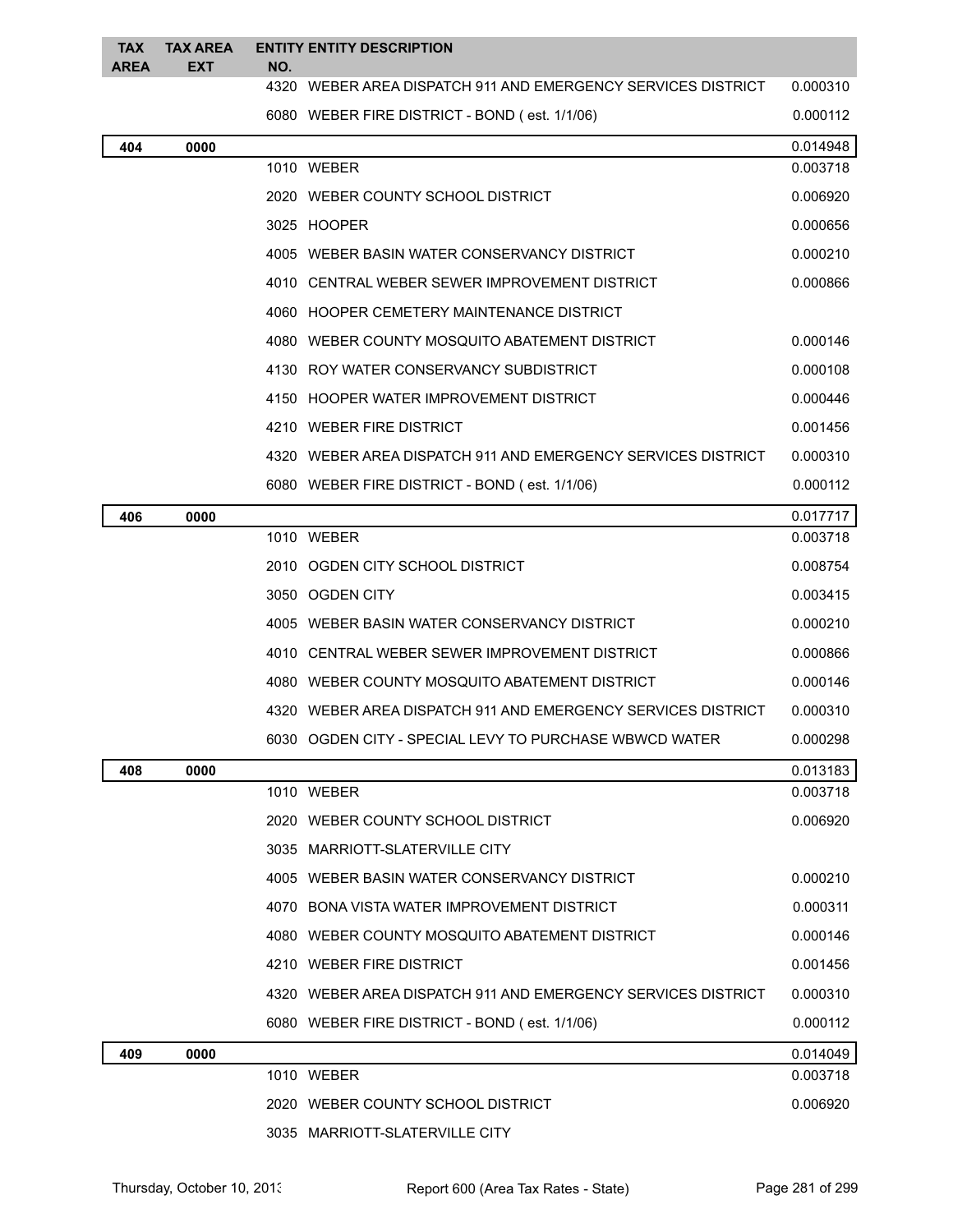| <b>TAX</b><br>AREA | <b>TAX AREA</b><br>EXT | NO. | <b>ENTITY ENTITY DESCRIPTION</b>                             |          |
|--------------------|------------------------|-----|--------------------------------------------------------------|----------|
|                    |                        |     | 4320 WEBER AREA DISPATCH 911 AND EMERGENCY SERVICES DISTRICT | 0.000310 |
|                    |                        |     | 6080 WEBER FIRE DISTRICT - BOND (est. 1/1/06)                | 0.000112 |
| 404                | 0000                   |     |                                                              | 0.014948 |
|                    |                        |     | 1010 WEBER                                                   | 0.003718 |
|                    |                        |     | 2020 WEBER COUNTY SCHOOL DISTRICT                            | 0.006920 |
|                    |                        |     | 3025 HOOPER                                                  | 0.000656 |
|                    |                        |     | 4005 WEBER BASIN WATER CONSERVANCY DISTRICT                  | 0.000210 |
|                    |                        |     | 4010 CENTRAL WEBER SEWER IMPROVEMENT DISTRICT                | 0.000866 |
|                    |                        |     | 4060 HOOPER CEMETERY MAINTENANCE DISTRICT                    |          |
|                    |                        |     | 4080 WEBER COUNTY MOSQUITO ABATEMENT DISTRICT                | 0.000146 |
|                    |                        |     | 4130 ROY WATER CONSERVANCY SUBDISTRICT                       | 0.000108 |
|                    |                        |     | 4150 HOOPER WATER IMPROVEMENT DISTRICT                       | 0.000446 |
|                    |                        |     | 4210 WEBER FIRE DISTRICT                                     | 0.001456 |
|                    |                        |     | 4320 WEBER AREA DISPATCH 911 AND EMERGENCY SERVICES DISTRICT | 0.000310 |
|                    |                        |     | 6080 WEBER FIRE DISTRICT - BOND (est. 1/1/06)                | 0.000112 |
| 406                | 0000                   |     |                                                              | 0.017717 |
|                    |                        |     | 1010 WEBER                                                   | 0.003718 |
|                    |                        |     | 2010 OGDEN CITY SCHOOL DISTRICT                              | 0.008754 |
|                    |                        |     | 3050 OGDEN CITY                                              | 0.003415 |
|                    |                        |     | 4005 WEBER BASIN WATER CONSERVANCY DISTRICT                  | 0.000210 |
|                    |                        |     | 4010 CENTRAL WEBER SEWER IMPROVEMENT DISTRICT                | 0.000866 |
|                    |                        |     | 4080 WEBER COUNTY MOSQUITO ABATEMENT DISTRICT                | 0.000146 |
|                    |                        |     | 4320 WEBER AREA DISPATCH 911 AND EMERGENCY SERVICES DISTRICT | 0.000310 |
|                    |                        |     | 6030 OGDEN CITY - SPECIAL LEVY TO PURCHASE WBWCD WATER       | 0.000298 |
| 408                | 0000                   |     |                                                              | 0.013183 |
|                    |                        |     | 1010 WEBER                                                   | 0.003718 |
|                    |                        |     | 2020 WEBER COUNTY SCHOOL DISTRICT                            | 0.006920 |
|                    |                        |     | 3035 MARRIOTT-SLATERVILLE CITY                               |          |
|                    |                        |     | 4005 WEBER BASIN WATER CONSERVANCY DISTRICT                  | 0.000210 |
|                    |                        |     | 4070 BONA VISTA WATER IMPROVEMENT DISTRICT                   | 0.000311 |
|                    |                        |     | 4080 WEBER COUNTY MOSQUITO ABATEMENT DISTRICT                | 0.000146 |
|                    |                        |     | 4210 WEBER FIRE DISTRICT                                     | 0.001456 |
|                    |                        |     | 4320 WEBER AREA DISPATCH 911 AND EMERGENCY SERVICES DISTRICT | 0.000310 |
|                    |                        |     | 6080 WEBER FIRE DISTRICT - BOND (est. 1/1/06)                | 0.000112 |
| 409                | 0000                   |     |                                                              | 0.014049 |
|                    |                        |     | 1010 WEBER                                                   | 0.003718 |
|                    |                        |     | 2020 WEBER COUNTY SCHOOL DISTRICT                            | 0.006920 |
|                    |                        |     | 3035 MARRIOTT-SLATERVILLE CITY                               |          |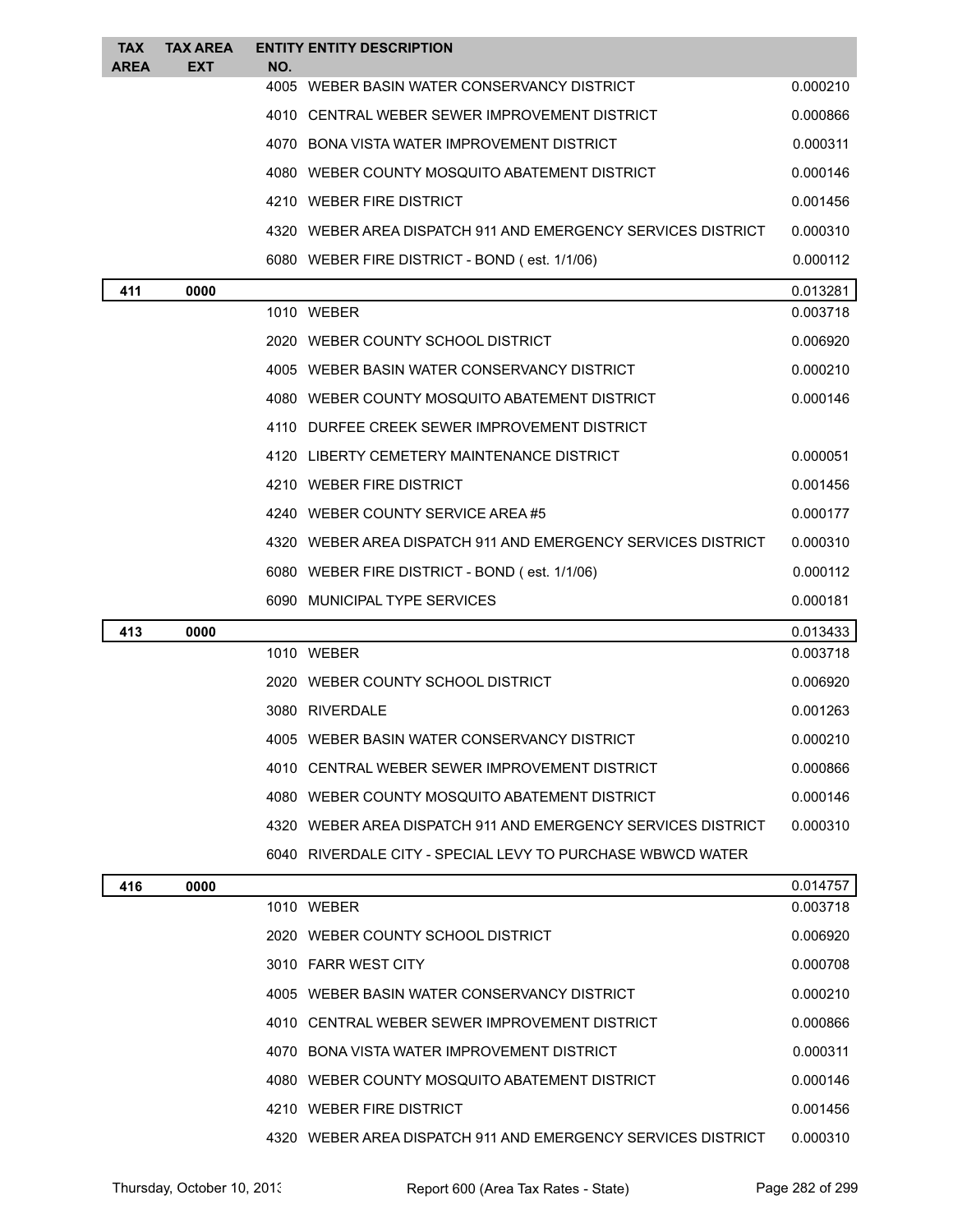| <b>TAX</b><br><b>AREA</b> | <b>TAX AREA</b><br><b>EXT</b> | NO.  | <b>ENTITY ENTITY DESCRIPTION</b>                             |          |
|---------------------------|-------------------------------|------|--------------------------------------------------------------|----------|
|                           |                               |      | 4005 WEBER BASIN WATER CONSERVANCY DISTRICT                  | 0.000210 |
|                           |                               |      | 4010 CENTRAL WEBER SEWER IMPROVEMENT DISTRICT                | 0.000866 |
|                           |                               |      | 4070 BONA VISTA WATER IMPROVEMENT DISTRICT                   | 0.000311 |
|                           |                               |      | 4080 WEBER COUNTY MOSQUITO ABATEMENT DISTRICT                | 0.000146 |
|                           |                               |      | 4210 WEBER FIRE DISTRICT                                     | 0.001456 |
|                           |                               |      | 4320 WEBER AREA DISPATCH 911 AND EMERGENCY SERVICES DISTRICT | 0.000310 |
|                           |                               |      | 6080 WEBER FIRE DISTRICT - BOND (est. 1/1/06)                | 0.000112 |
| 411                       | 0000                          |      |                                                              | 0.013281 |
|                           |                               |      | 1010 WEBER                                                   | 0.003718 |
|                           |                               |      | 2020 WEBER COUNTY SCHOOL DISTRICT                            | 0.006920 |
|                           |                               |      | 4005 WEBER BASIN WATER CONSERVANCY DISTRICT                  | 0.000210 |
|                           |                               |      | 4080 WEBER COUNTY MOSQUITO ABATEMENT DISTRICT                | 0.000146 |
|                           |                               |      | 4110 DURFEE CREEK SEWER IMPROVEMENT DISTRICT                 |          |
|                           |                               |      | 4120 LIBERTY CEMETERY MAINTENANCE DISTRICT                   | 0.000051 |
|                           |                               |      | 4210 WEBER FIRE DISTRICT                                     | 0.001456 |
|                           |                               |      | 4240 WEBER COUNTY SERVICE AREA#5                             | 0.000177 |
|                           |                               |      | 4320 WEBER AREA DISPATCH 911 AND EMERGENCY SERVICES DISTRICT | 0.000310 |
|                           |                               |      | 6080 WEBER FIRE DISTRICT - BOND (est. 1/1/06)                | 0.000112 |
|                           |                               |      | 6090 MUNICIPAL TYPE SERVICES                                 | 0.000181 |
| 413                       | 0000                          |      |                                                              | 0.013433 |
|                           |                               |      | 1010 WEBER                                                   | 0.003718 |
|                           |                               |      | 2020 WEBER COUNTY SCHOOL DISTRICT                            | 0.006920 |
|                           |                               |      | 3080 RIVERDALE                                               | 0.001263 |
|                           |                               | 4005 | WEBER BASIN WATER CONSERVANCY DISTRICT                       | 0.000210 |
|                           |                               |      | 4010 CENTRAL WEBER SEWER IMPROVEMENT DISTRICT                | 0.000866 |
|                           |                               |      | 4080 WEBER COUNTY MOSQUITO ABATEMENT DISTRICT                | 0.000146 |
|                           |                               |      | 4320 WEBER AREA DISPATCH 911 AND EMERGENCY SERVICES DISTRICT | 0.000310 |
|                           |                               |      | 6040 RIVERDALE CITY - SPECIAL LEVY TO PURCHASE WBWCD WATER   |          |
| 416                       | 0000                          |      |                                                              | 0.014757 |
|                           |                               |      | 1010 WEBER                                                   | 0.003718 |
|                           |                               |      | 2020 WEBER COUNTY SCHOOL DISTRICT                            | 0.006920 |
|                           |                               |      | 3010 FARR WEST CITY                                          | 0.000708 |
|                           |                               |      | 4005 WEBER BASIN WATER CONSERVANCY DISTRICT                  | 0.000210 |
|                           |                               |      | 4010 CENTRAL WEBER SEWER IMPROVEMENT DISTRICT                | 0.000866 |
|                           |                               |      | 4070 BONA VISTA WATER IMPROVEMENT DISTRICT                   | 0.000311 |
|                           |                               |      | 4080 WEBER COUNTY MOSQUITO ABATEMENT DISTRICT                | 0.000146 |
|                           |                               |      | 4210 WEBER FIRE DISTRICT                                     | 0.001456 |
|                           |                               |      | 4320 WEBER AREA DISPATCH 911 AND EMERGENCY SERVICES DISTRICT | 0.000310 |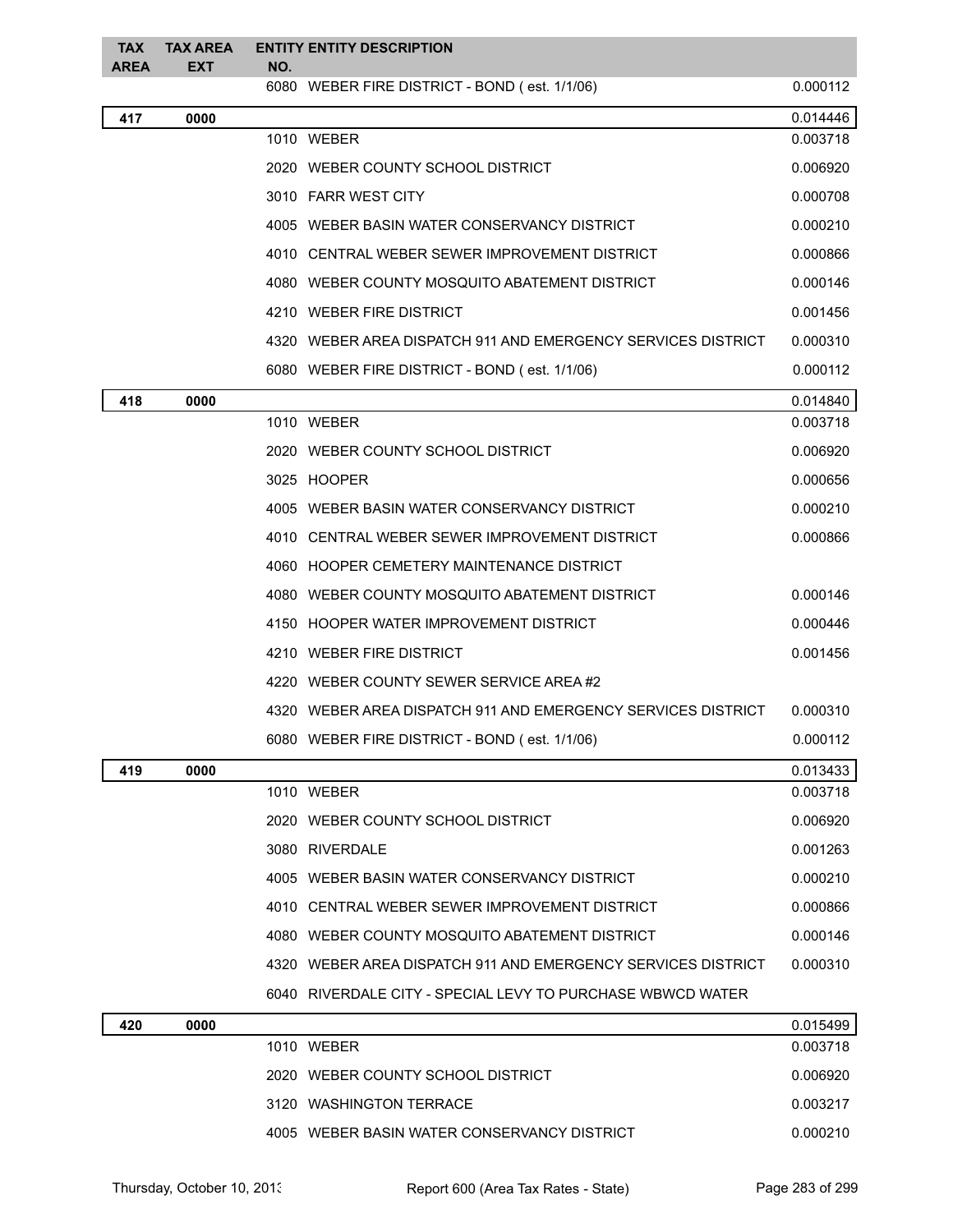| <b>TAX</b><br><b>AREA</b> | <b>TAX AREA</b><br><b>EXT</b> | NO. | <b>ENTITY ENTITY DESCRIPTION</b>                             |          |
|---------------------------|-------------------------------|-----|--------------------------------------------------------------|----------|
|                           |                               |     | 6080 WEBER FIRE DISTRICT - BOND (est. 1/1/06)                | 0.000112 |
| 417                       | 0000                          |     |                                                              | 0.014446 |
|                           |                               |     | 1010 WEBER                                                   | 0.003718 |
|                           |                               |     | 2020 WEBER COUNTY SCHOOL DISTRICT                            | 0.006920 |
|                           |                               |     | 3010 FARR WEST CITY                                          | 0.000708 |
|                           |                               |     | 4005 WEBER BASIN WATER CONSERVANCY DISTRICT                  | 0.000210 |
|                           |                               |     | 4010 CENTRAL WEBER SEWER IMPROVEMENT DISTRICT                | 0.000866 |
|                           |                               |     | 4080 WEBER COUNTY MOSQUITO ABATEMENT DISTRICT                | 0.000146 |
|                           |                               |     | 4210 WEBER FIRE DISTRICT                                     | 0.001456 |
|                           |                               |     | 4320 WEBER AREA DISPATCH 911 AND EMERGENCY SERVICES DISTRICT | 0.000310 |
|                           |                               |     | 6080 WEBER FIRE DISTRICT - BOND (est. 1/1/06)                | 0.000112 |
| 418                       | 0000                          |     |                                                              | 0.014840 |
|                           |                               |     | 1010 WEBER                                                   | 0.003718 |
|                           |                               |     | 2020 WEBER COUNTY SCHOOL DISTRICT                            | 0.006920 |
|                           |                               |     | 3025 HOOPER                                                  | 0.000656 |
|                           |                               |     | 4005 WEBER BASIN WATER CONSERVANCY DISTRICT                  | 0.000210 |
|                           |                               |     | 4010 CENTRAL WEBER SEWER IMPROVEMENT DISTRICT                | 0.000866 |
|                           |                               |     | 4060 HOOPER CEMETERY MAINTENANCE DISTRICT                    |          |
|                           |                               |     | 4080 WEBER COUNTY MOSQUITO ABATEMENT DISTRICT                | 0.000146 |
|                           |                               |     | 4150 HOOPER WATER IMPROVEMENT DISTRICT                       | 0.000446 |
|                           |                               |     | 4210 WEBER FIRE DISTRICT                                     | 0.001456 |
|                           |                               |     | 4220 WEBER COUNTY SEWER SERVICE AREA#2                       |          |
|                           |                               |     | 4320 WEBER AREA DISPATCH 911 AND EMERGENCY SERVICES DISTRICT | 0.000310 |
|                           |                               |     | 6080 WEBER FIRE DISTRICT - BOND (est. 1/1/06)                | 0.000112 |
| 419                       | 0000                          |     |                                                              | 0.013433 |
|                           |                               |     | 1010 WEBER                                                   | 0.003718 |
|                           |                               |     | 2020 WEBER COUNTY SCHOOL DISTRICT                            | 0.006920 |
|                           |                               |     | 3080 RIVERDALE                                               | 0.001263 |
|                           |                               |     | 4005 WEBER BASIN WATER CONSERVANCY DISTRICT                  | 0.000210 |
|                           |                               |     | 4010 CENTRAL WEBER SEWER IMPROVEMENT DISTRICT                | 0.000866 |
|                           |                               |     | 4080 WEBER COUNTY MOSQUITO ABATEMENT DISTRICT                | 0.000146 |
|                           |                               |     | 4320 WEBER AREA DISPATCH 911 AND EMERGENCY SERVICES DISTRICT | 0.000310 |
|                           |                               |     | 6040 RIVERDALE CITY - SPECIAL LEVY TO PURCHASE WBWCD WATER   |          |
| 420                       | 0000                          |     |                                                              | 0.015499 |
|                           |                               |     | 1010 WEBER                                                   | 0.003718 |
|                           |                               |     | 2020 WEBER COUNTY SCHOOL DISTRICT                            | 0.006920 |
|                           |                               |     | 3120 WASHINGTON TERRACE                                      | 0.003217 |
|                           |                               |     | 4005 WEBER BASIN WATER CONSERVANCY DISTRICT                  | 0.000210 |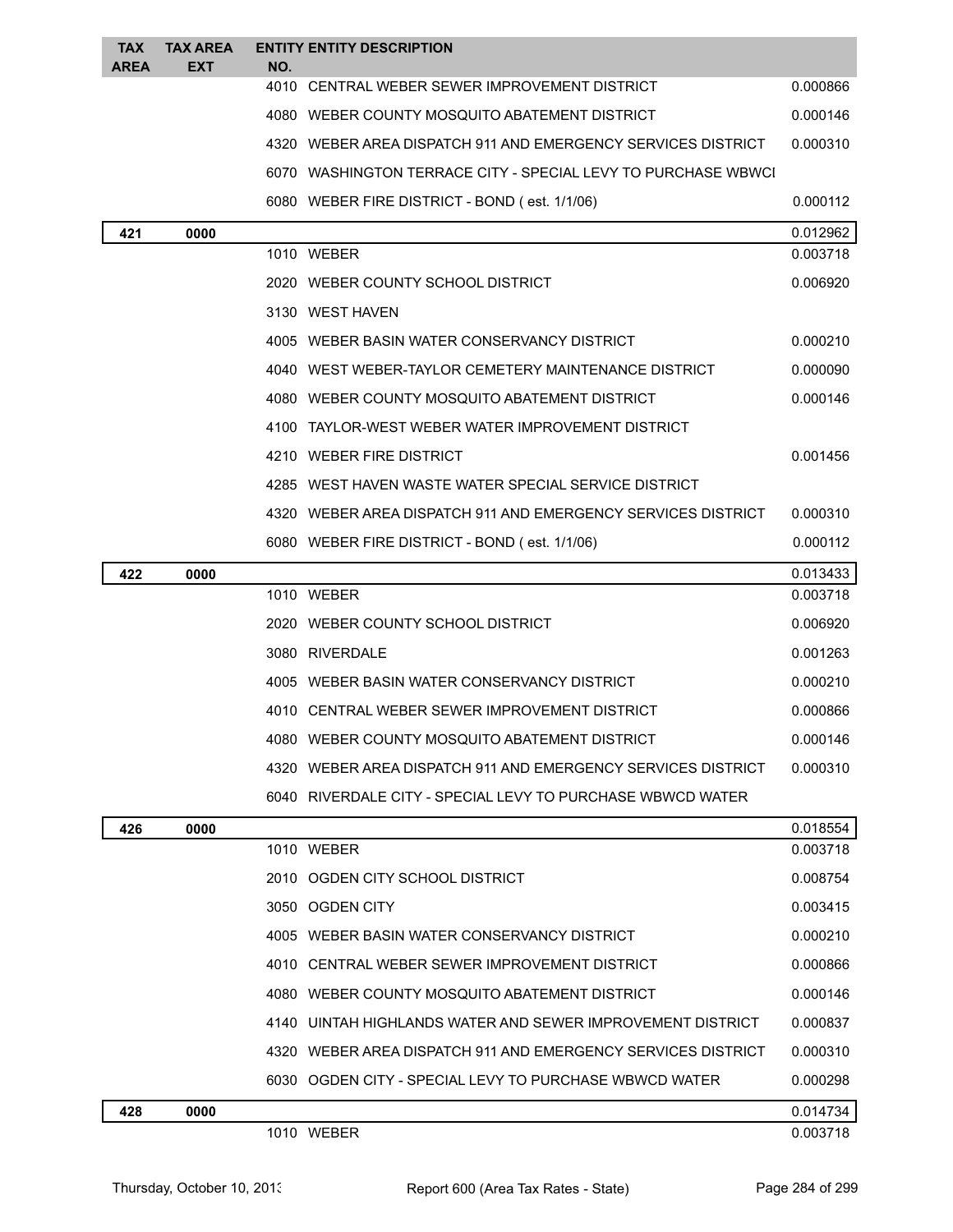| TAX<br><b>AREA</b> | <b>TAX AREA</b><br><b>EXT</b> | NO. | <b>ENTITY ENTITY DESCRIPTION</b>                              |          |
|--------------------|-------------------------------|-----|---------------------------------------------------------------|----------|
|                    |                               |     | 4010 CENTRAL WEBER SEWER IMPROVEMENT DISTRICT                 | 0.000866 |
|                    |                               |     | 4080 WEBER COUNTY MOSQUITO ABATEMENT DISTRICT                 | 0.000146 |
|                    |                               |     | 4320 WEBER AREA DISPATCH 911 AND EMERGENCY SERVICES DISTRICT  | 0.000310 |
|                    |                               |     | 6070 WASHINGTON TERRACE CITY - SPECIAL LEVY TO PURCHASE WBWCI |          |
|                    |                               |     | 6080 WEBER FIRE DISTRICT - BOND (est. 1/1/06)                 | 0.000112 |
| 421                | 0000                          |     |                                                               | 0.012962 |
|                    |                               |     | 1010 WEBER                                                    | 0.003718 |
|                    |                               |     | 2020 WEBER COUNTY SCHOOL DISTRICT                             | 0.006920 |
|                    |                               |     | 3130 WEST HAVEN                                               |          |
|                    |                               |     | 4005 WEBER BASIN WATER CONSERVANCY DISTRICT                   | 0.000210 |
|                    |                               |     | 4040 WEST WEBER-TAYLOR CEMETERY MAINTENANCE DISTRICT          | 0.000090 |
|                    |                               |     | 4080 WEBER COUNTY MOSQUITO ABATEMENT DISTRICT                 | 0.000146 |
|                    |                               |     | 4100 TAYLOR-WEST WEBER WATER IMPROVEMENT DISTRICT             |          |
|                    |                               |     | 4210 WEBER FIRE DISTRICT                                      | 0.001456 |
|                    |                               |     | 4285 WEST HAVEN WASTE WATER SPECIAL SERVICE DISTRICT          |          |
|                    |                               |     | 4320 WEBER AREA DISPATCH 911 AND EMERGENCY SERVICES DISTRICT  | 0.000310 |
|                    |                               |     | 6080 WEBER FIRE DISTRICT - BOND (est. 1/1/06)                 | 0.000112 |
| 422                | 0000                          |     |                                                               | 0.013433 |
|                    |                               |     | 1010 WEBER                                                    | 0.003718 |
|                    |                               |     | 2020 WEBER COUNTY SCHOOL DISTRICT                             | 0.006920 |
|                    |                               |     | 3080 RIVERDALE                                                | 0.001263 |
|                    |                               |     | 4005 WEBER BASIN WATER CONSERVANCY DISTRICT                   | 0.000210 |
|                    |                               |     | 4010 CENTRAL WEBER SEWER IMPROVEMENT DISTRICT                 | 0.000866 |
|                    |                               |     | 4080 WEBER COUNTY MOSQUITO ABATEMENT DISTRICT                 | 0.000146 |
|                    |                               |     | 4320 WEBER AREA DISPATCH 911 AND EMERGENCY SERVICES DISTRICT  | 0.000310 |
|                    |                               |     | 6040 RIVERDALE CITY - SPECIAL LEVY TO PURCHASE WBWCD WATER    |          |
| 426                | 0000                          |     |                                                               | 0.018554 |
|                    |                               |     | 1010 WEBER                                                    | 0.003718 |
|                    |                               |     | 2010 OGDEN CITY SCHOOL DISTRICT                               | 0.008754 |
|                    |                               |     | 3050 OGDEN CITY                                               | 0.003415 |
|                    |                               |     | 4005 WEBER BASIN WATER CONSERVANCY DISTRICT                   | 0.000210 |
|                    |                               |     | 4010 CENTRAL WEBER SEWER IMPROVEMENT DISTRICT                 | 0.000866 |
|                    |                               |     | 4080 WEBER COUNTY MOSQUITO ABATEMENT DISTRICT                 | 0.000146 |
|                    |                               |     | 4140 UINTAH HIGHLANDS WATER AND SEWER IMPROVEMENT DISTRICT    | 0.000837 |
|                    |                               |     | 4320 WEBER AREA DISPATCH 911 AND EMERGENCY SERVICES DISTRICT  | 0.000310 |
|                    |                               |     | 6030 OGDEN CITY - SPECIAL LEVY TO PURCHASE WBWCD WATER        | 0.000298 |
| 428                | 0000                          |     |                                                               | 0.014734 |
|                    |                               |     | 1010 WEBER                                                    | 0.003718 |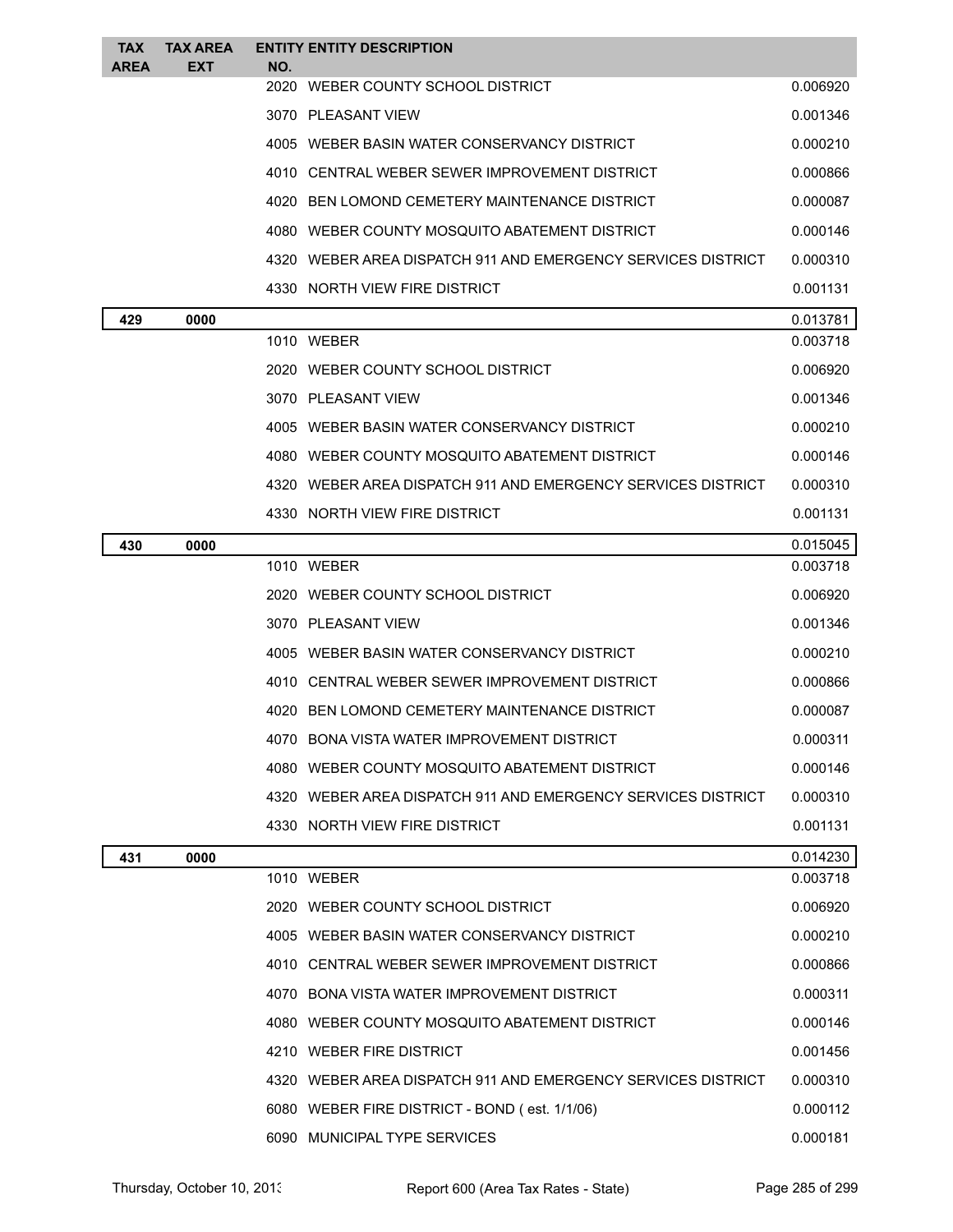| TAX<br><b>AREA</b> | <b>TAX AREA</b><br><b>EXT</b> | NO. | <b>ENTITY ENTITY DESCRIPTION</b>                             |          |
|--------------------|-------------------------------|-----|--------------------------------------------------------------|----------|
|                    |                               |     | 2020 WEBER COUNTY SCHOOL DISTRICT                            | 0.006920 |
|                    |                               |     | 3070 PLEASANT VIEW                                           | 0.001346 |
|                    |                               |     | 4005 WEBER BASIN WATER CONSERVANCY DISTRICT                  | 0.000210 |
|                    |                               |     | 4010 CENTRAL WEBER SEWER IMPROVEMENT DISTRICT                | 0.000866 |
|                    |                               |     | 4020 BEN LOMOND CEMETERY MAINTENANCE DISTRICT                | 0.000087 |
|                    |                               |     | 4080 WEBER COUNTY MOSQUITO ABATEMENT DISTRICT                | 0.000146 |
|                    |                               |     | 4320 WEBER AREA DISPATCH 911 AND EMERGENCY SERVICES DISTRICT | 0.000310 |
|                    |                               |     | 4330 NORTH VIEW FIRE DISTRICT                                | 0.001131 |
| 429                | 0000                          |     |                                                              | 0.013781 |
|                    |                               |     | 1010 WEBER                                                   | 0.003718 |
|                    |                               |     | 2020 WEBER COUNTY SCHOOL DISTRICT                            | 0.006920 |
|                    |                               |     | 3070 PLEASANT VIEW                                           | 0.001346 |
|                    |                               |     | 4005 WEBER BASIN WATER CONSERVANCY DISTRICT                  | 0.000210 |
|                    |                               |     | 4080 WEBER COUNTY MOSQUITO ABATEMENT DISTRICT                | 0.000146 |
|                    |                               |     | 4320 WEBER AREA DISPATCH 911 AND EMERGENCY SERVICES DISTRICT | 0.000310 |
|                    |                               |     | 4330 NORTH VIEW FIRE DISTRICT                                | 0.001131 |
| 430                | 0000                          |     |                                                              | 0.015045 |
|                    |                               |     | 1010 WEBER                                                   | 0.003718 |
|                    |                               |     | 2020 WEBER COUNTY SCHOOL DISTRICT                            | 0.006920 |
|                    |                               |     | 3070 PLEASANT VIEW                                           | 0.001346 |
|                    |                               |     | 4005 WEBER BASIN WATER CONSERVANCY DISTRICT                  | 0.000210 |
|                    |                               |     | 4010 CENTRAL WEBER SEWER IMPROVEMENT DISTRICT                | 0.000866 |
|                    |                               |     | 4020 BEN LOMOND CEMETERY MAINTENANCE DISTRICT                | 0.000087 |
|                    |                               |     | 4070 BONA VISTA WATER IMPROVEMENT DISTRICT                   | 0.000311 |
|                    |                               |     | 4080 WEBER COUNTY MOSQUITO ABATEMENT DISTRICT                | 0.000146 |
|                    |                               |     | 4320 WEBER AREA DISPATCH 911 AND EMERGENCY SERVICES DISTRICT | 0.000310 |
|                    |                               |     | 4330 NORTH VIEW FIRE DISTRICT                                | 0.001131 |
| 431                | 0000                          |     |                                                              | 0.014230 |
|                    |                               |     | 1010 WEBER                                                   | 0.003718 |
|                    |                               |     | 2020 WEBER COUNTY SCHOOL DISTRICT                            | 0.006920 |
|                    |                               |     | 4005 WEBER BASIN WATER CONSERVANCY DISTRICT                  | 0.000210 |
|                    |                               |     | 4010 CENTRAL WEBER SEWER IMPROVEMENT DISTRICT                | 0.000866 |
|                    |                               |     | 4070 BONA VISTA WATER IMPROVEMENT DISTRICT                   | 0.000311 |
|                    |                               |     | 4080 WEBER COUNTY MOSQUITO ABATEMENT DISTRICT                | 0.000146 |
|                    |                               |     | 4210 WEBER FIRE DISTRICT                                     | 0.001456 |
|                    |                               |     | 4320 WEBER AREA DISPATCH 911 AND EMERGENCY SERVICES DISTRICT | 0.000310 |
|                    |                               |     | 6080 WEBER FIRE DISTRICT - BOND (est. 1/1/06)                | 0.000112 |
|                    |                               |     | 6090 MUNICIPAL TYPE SERVICES                                 | 0.000181 |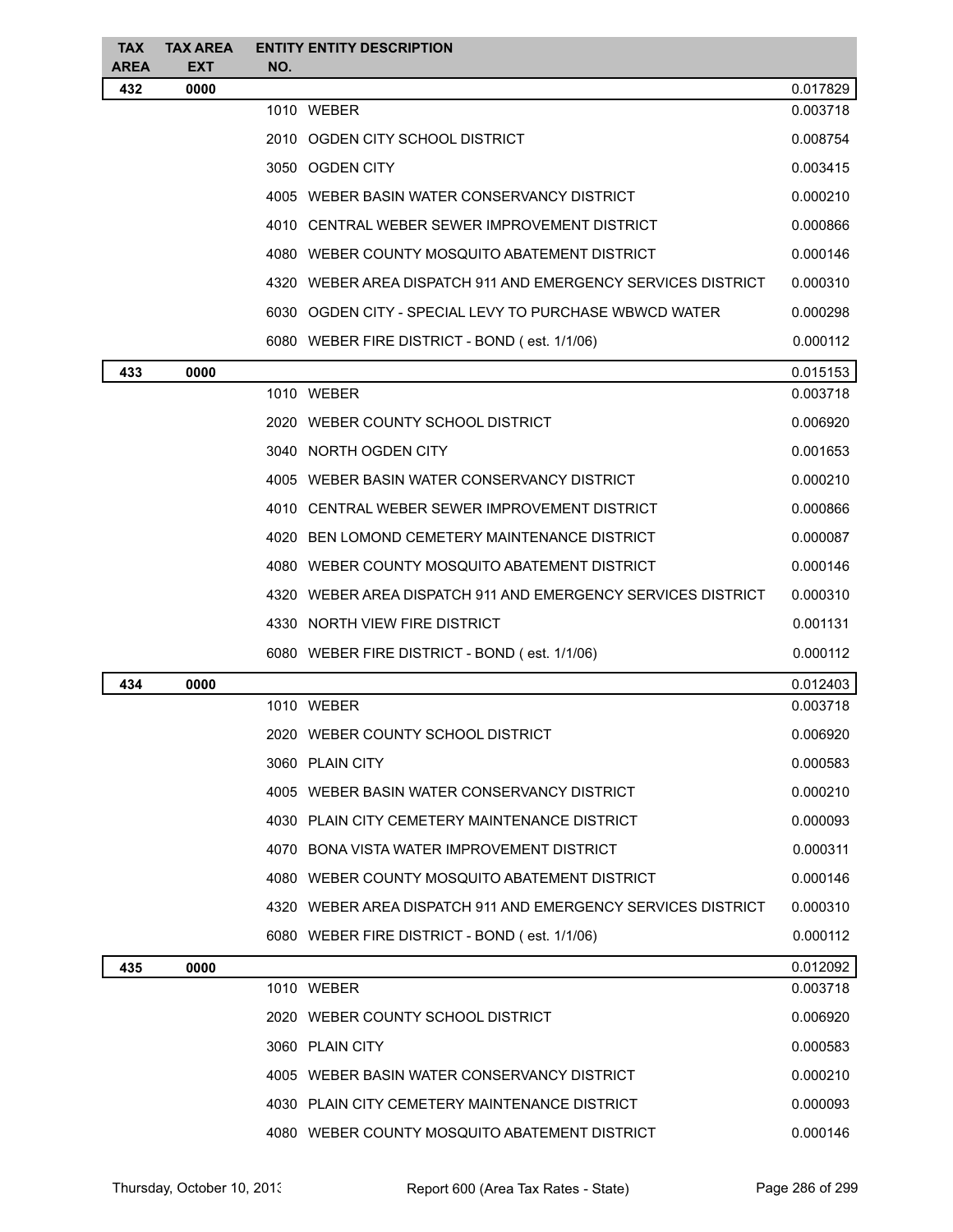| <b>TAX</b><br><b>AREA</b> | <b>TAX AREA</b><br><b>EXT</b> | NO. | <b>ENTITY ENTITY DESCRIPTION</b>                             |          |
|---------------------------|-------------------------------|-----|--------------------------------------------------------------|----------|
| 432                       | 0000                          |     |                                                              | 0.017829 |
|                           |                               |     | 1010 WEBER                                                   | 0.003718 |
|                           |                               |     | 2010 OGDEN CITY SCHOOL DISTRICT                              | 0.008754 |
|                           |                               |     | 3050 OGDEN CITY                                              | 0.003415 |
|                           |                               |     | 4005 WEBER BASIN WATER CONSERVANCY DISTRICT                  | 0.000210 |
|                           |                               |     | 4010 CENTRAL WEBER SEWER IMPROVEMENT DISTRICT                | 0.000866 |
|                           |                               |     | 4080 WEBER COUNTY MOSQUITO ABATEMENT DISTRICT                | 0.000146 |
|                           |                               |     | 4320 WEBER AREA DISPATCH 911 AND EMERGENCY SERVICES DISTRICT | 0.000310 |
|                           |                               |     | 6030 OGDEN CITY - SPECIAL LEVY TO PURCHASE WBWCD WATER       | 0.000298 |
|                           |                               |     | 6080 WEBER FIRE DISTRICT - BOND (est. 1/1/06)                | 0.000112 |
| 433                       | 0000                          |     |                                                              | 0.015153 |
|                           |                               |     | 1010 WEBER                                                   | 0.003718 |
|                           |                               |     | 2020 WEBER COUNTY SCHOOL DISTRICT                            | 0.006920 |
|                           |                               |     | 3040 NORTH OGDEN CITY                                        | 0.001653 |
|                           |                               |     | 4005 WEBER BASIN WATER CONSERVANCY DISTRICT                  | 0.000210 |
|                           |                               |     | 4010 CENTRAL WEBER SEWER IMPROVEMENT DISTRICT                | 0.000866 |
|                           |                               |     | 4020 BEN LOMOND CEMETERY MAINTENANCE DISTRICT                | 0.000087 |
|                           |                               |     | 4080 WEBER COUNTY MOSQUITO ABATEMENT DISTRICT                | 0.000146 |
|                           |                               |     | 4320 WEBER AREA DISPATCH 911 AND EMERGENCY SERVICES DISTRICT | 0.000310 |
|                           |                               |     | 4330 NORTH VIEW FIRE DISTRICT                                | 0.001131 |
|                           |                               |     | 6080 WEBER FIRE DISTRICT - BOND (est. 1/1/06)                | 0.000112 |
| 434                       | 0000                          |     |                                                              | 0.012403 |
|                           |                               |     | 1010 WEBER                                                   | 0.003718 |
|                           |                               |     | 2020 WEBER COUNTY SCHOOL DISTRICT                            | 0.006920 |
|                           |                               |     | 3060 PLAIN CITY                                              | 0.000583 |
|                           |                               |     | 4005 WEBER BASIN WATER CONSERVANCY DISTRICT                  | 0.000210 |
|                           |                               |     | 4030 PLAIN CITY CEMETERY MAINTENANCE DISTRICT                | 0.000093 |
|                           |                               |     | 4070 BONA VISTA WATER IMPROVEMENT DISTRICT                   | 0.000311 |
|                           |                               |     | 4080 WEBER COUNTY MOSQUITO ABATEMENT DISTRICT                | 0.000146 |
|                           |                               |     | 4320 WEBER AREA DISPATCH 911 AND EMERGENCY SERVICES DISTRICT | 0.000310 |
|                           |                               |     | 6080 WEBER FIRE DISTRICT - BOND (est. 1/1/06)                | 0.000112 |
| 435                       | 0000                          |     |                                                              | 0.012092 |
|                           |                               |     | 1010 WEBER                                                   | 0.003718 |
|                           |                               |     | 2020 WEBER COUNTY SCHOOL DISTRICT                            | 0.006920 |
|                           |                               |     | 3060 PLAIN CITY                                              | 0.000583 |
|                           |                               |     | 4005 WEBER BASIN WATER CONSERVANCY DISTRICT                  | 0.000210 |
|                           |                               |     | 4030 PLAIN CITY CEMETERY MAINTENANCE DISTRICT                | 0.000093 |
|                           |                               |     | 4080 WEBER COUNTY MOSQUITO ABATEMENT DISTRICT                | 0.000146 |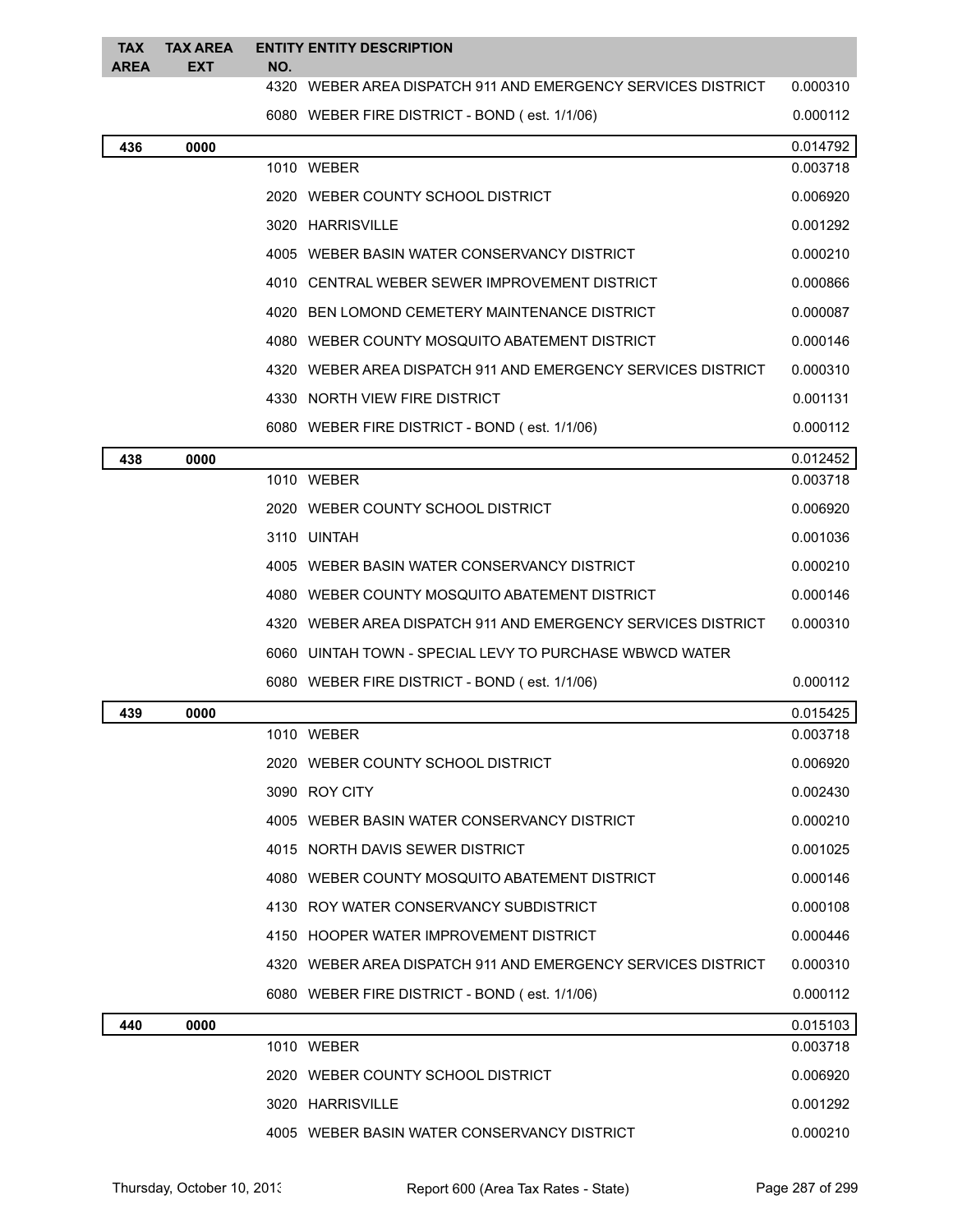| <b>TAX</b><br><b>AREA</b> | <b>TAX AREA</b><br><b>EXT</b> | NO. | <b>ENTITY ENTITY DESCRIPTION</b>                             |                      |
|---------------------------|-------------------------------|-----|--------------------------------------------------------------|----------------------|
|                           |                               |     | 4320 WEBER AREA DISPATCH 911 AND EMERGENCY SERVICES DISTRICT | 0.000310             |
|                           |                               |     | 6080 WEBER FIRE DISTRICT - BOND (est. 1/1/06)                | 0.000112             |
| 436                       | 0000                          |     |                                                              | 0.014792             |
|                           |                               |     | 1010 WEBER                                                   | 0.003718             |
|                           |                               |     | 2020 WEBER COUNTY SCHOOL DISTRICT                            | 0.006920             |
|                           |                               |     | 3020 HARRISVILLE                                             | 0.001292             |
|                           |                               |     | 4005 WEBER BASIN WATER CONSERVANCY DISTRICT                  | 0.000210             |
|                           |                               |     | 4010 CENTRAL WEBER SEWER IMPROVEMENT DISTRICT                | 0.000866             |
|                           |                               |     | 4020 BEN LOMOND CEMETERY MAINTENANCE DISTRICT                | 0.000087             |
|                           |                               |     | 4080 WEBER COUNTY MOSQUITO ABATEMENT DISTRICT                | 0.000146             |
|                           |                               |     | 4320 WEBER AREA DISPATCH 911 AND EMERGENCY SERVICES DISTRICT | 0.000310             |
|                           |                               |     | 4330 NORTH VIEW FIRE DISTRICT                                | 0.001131             |
|                           |                               |     | 6080 WEBER FIRE DISTRICT - BOND (est. 1/1/06)                | 0.000112             |
| 438                       | 0000                          |     | 1010 WEBER                                                   | 0.012452<br>0.003718 |
|                           |                               |     | 2020 WEBER COUNTY SCHOOL DISTRICT                            | 0.006920             |
|                           |                               |     | 3110 UINTAH                                                  | 0.001036             |
|                           |                               |     | 4005 WEBER BASIN WATER CONSERVANCY DISTRICT                  | 0.000210             |
|                           |                               |     | 4080 WEBER COUNTY MOSQUITO ABATEMENT DISTRICT                | 0.000146             |
|                           |                               |     | 4320 WEBER AREA DISPATCH 911 AND EMERGENCY SERVICES DISTRICT | 0.000310             |
|                           |                               |     | 6060 UINTAH TOWN - SPECIAL LEVY TO PURCHASE WBWCD WATER      |                      |
|                           |                               |     | 6080 WEBER FIRE DISTRICT - BOND (est. 1/1/06)                | 0.000112             |
| 439                       | 0000                          |     |                                                              | 0.015425             |
|                           |                               |     | 1010 WEBER                                                   | 0.003718             |
|                           |                               |     | 2020 WEBER COUNTY SCHOOL DISTRICT                            | 0.006920             |
|                           |                               |     | 3090 ROY CITY                                                | 0.002430             |
|                           |                               |     | 4005 WEBER BASIN WATER CONSERVANCY DISTRICT                  | 0.000210             |
|                           |                               |     | 4015 NORTH DAVIS SEWER DISTRICT                              | 0.001025             |
|                           |                               |     | 4080 WEBER COUNTY MOSQUITO ABATEMENT DISTRICT                | 0.000146             |
|                           |                               |     | 4130 ROY WATER CONSERVANCY SUBDISTRICT                       | 0.000108             |
|                           |                               |     | 4150 HOOPER WATER IMPROVEMENT DISTRICT                       | 0.000446             |
|                           |                               |     | 4320 WEBER AREA DISPATCH 911 AND EMERGENCY SERVICES DISTRICT | 0.000310             |
|                           |                               |     | 6080 WEBER FIRE DISTRICT - BOND (est. 1/1/06)                | 0.000112             |
| 440                       | 0000                          |     |                                                              | 0.015103             |
|                           |                               |     | 1010 WEBER                                                   | 0.003718             |
|                           |                               |     | 2020 WEBER COUNTY SCHOOL DISTRICT                            | 0.006920             |
|                           |                               |     | 3020 HARRISVILLE                                             | 0.001292             |
|                           |                               |     | 4005 WEBER BASIN WATER CONSERVANCY DISTRICT                  | 0.000210             |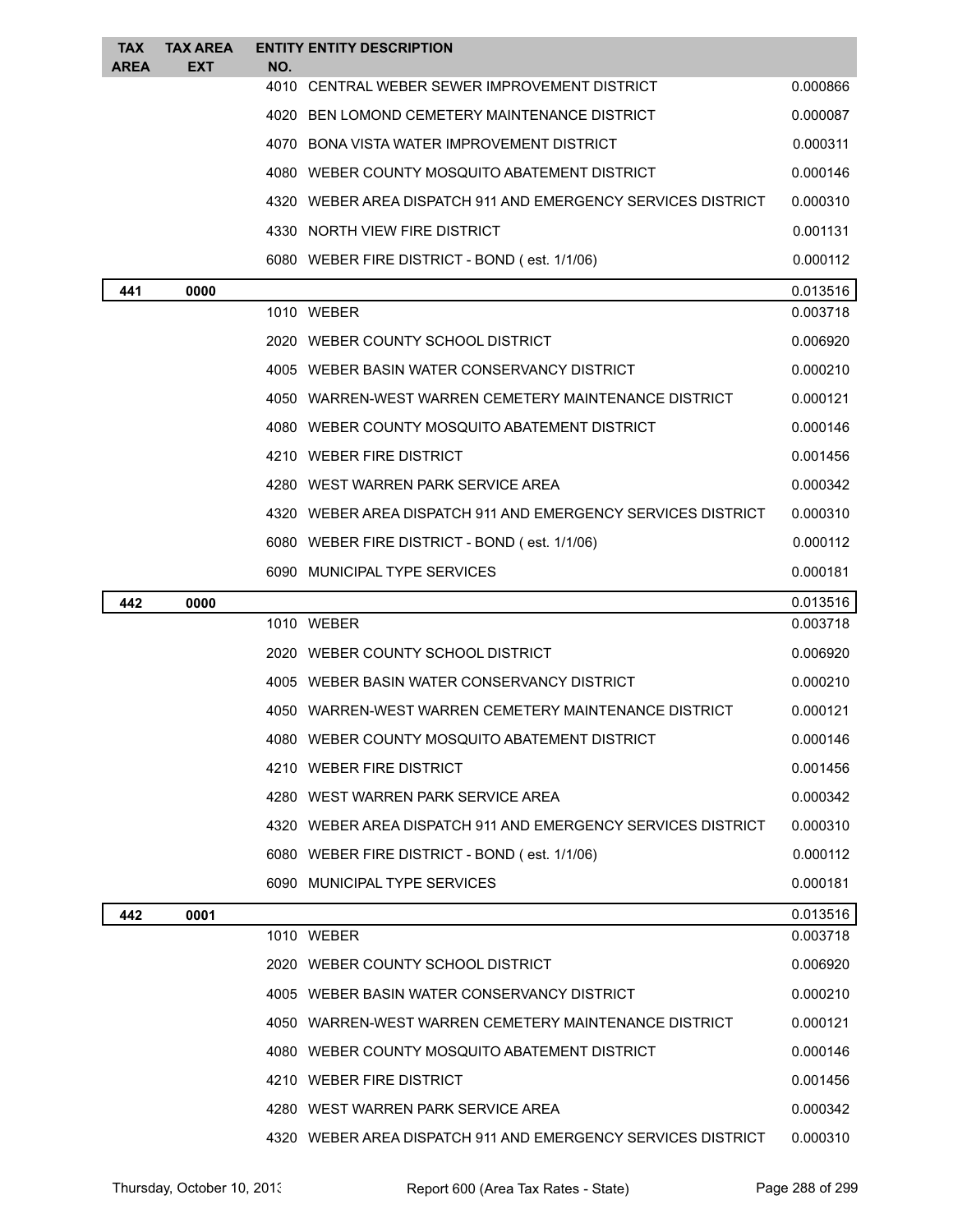| <b>TAX</b><br><b>AREA</b> | <b>TAX AREA</b><br><b>EXT</b> | NO. | <b>ENTITY ENTITY DESCRIPTION</b>                             |          |
|---------------------------|-------------------------------|-----|--------------------------------------------------------------|----------|
|                           |                               |     | 4010 CENTRAL WEBER SEWER IMPROVEMENT DISTRICT                | 0.000866 |
|                           |                               |     | 4020 BEN LOMOND CEMETERY MAINTENANCE DISTRICT                | 0.000087 |
|                           |                               |     | 4070 BONA VISTA WATER IMPROVEMENT DISTRICT                   | 0.000311 |
|                           |                               |     | 4080 WEBER COUNTY MOSQUITO ABATEMENT DISTRICT                | 0.000146 |
|                           |                               |     | 4320 WEBER AREA DISPATCH 911 AND EMERGENCY SERVICES DISTRICT | 0.000310 |
|                           |                               |     | 4330 NORTH VIEW FIRE DISTRICT                                | 0.001131 |
|                           |                               |     | 6080 WEBER FIRE DISTRICT - BOND (est. 1/1/06)                | 0.000112 |
| 441                       | 0000                          |     |                                                              | 0.013516 |
|                           |                               |     | 1010 WEBER                                                   | 0.003718 |
|                           |                               |     | 2020 WEBER COUNTY SCHOOL DISTRICT                            | 0.006920 |
|                           |                               |     | 4005 WEBER BASIN WATER CONSERVANCY DISTRICT                  | 0.000210 |
|                           |                               |     | 4050 WARREN-WEST WARREN CEMETERY MAINTENANCE DISTRICT        | 0.000121 |
|                           |                               |     | 4080 WEBER COUNTY MOSQUITO ABATEMENT DISTRICT                | 0.000146 |
|                           |                               |     | 4210 WEBER FIRE DISTRICT                                     | 0.001456 |
|                           |                               |     | 4280 WEST WARREN PARK SERVICE AREA                           | 0.000342 |
|                           |                               |     | 4320 WEBER AREA DISPATCH 911 AND EMERGENCY SERVICES DISTRICT | 0.000310 |
|                           |                               |     | 6080 WEBER FIRE DISTRICT - BOND (est. 1/1/06)                | 0.000112 |
|                           |                               |     | 6090 MUNICIPAL TYPE SERVICES                                 | 0.000181 |
| 442                       | 0000                          |     |                                                              | 0.013516 |
|                           |                               |     | 1010 WEBER                                                   | 0.003718 |
|                           |                               |     | 2020 WEBER COUNTY SCHOOL DISTRICT                            | 0.006920 |
|                           |                               |     | 4005 WEBER BASIN WATER CONSERVANCY DISTRICT                  | 0.000210 |
|                           |                               |     | 4050 WARREN-WEST WARREN CEMETERY MAINTENANCE DISTRICT        | 0.000121 |
|                           |                               |     | WEBER COUNTY MOSQUITO ABATEMENT DISTRICT                     | 0.000146 |
|                           |                               |     | 4210 WEBER FIRE DISTRICT                                     | 0.001456 |
|                           |                               |     | 4280 WEST WARREN PARK SERVICE AREA                           | 0.000342 |
|                           |                               |     | 4320 WEBER AREA DISPATCH 911 AND EMERGENCY SERVICES DISTRICT | 0.000310 |
|                           |                               |     | 6080 WEBER FIRE DISTRICT - BOND (est. 1/1/06)                | 0.000112 |
|                           |                               |     | 6090 MUNICIPAL TYPE SERVICES                                 | 0.000181 |
| 442                       | 0001                          |     |                                                              | 0.013516 |
|                           |                               |     | 1010 WEBER                                                   | 0.003718 |
|                           |                               |     | 2020 WEBER COUNTY SCHOOL DISTRICT                            | 0.006920 |
|                           |                               |     | 4005 WEBER BASIN WATER CONSERVANCY DISTRICT                  | 0.000210 |
|                           |                               |     | 4050 WARREN-WEST WARREN CEMETERY MAINTENANCE DISTRICT        | 0.000121 |
|                           |                               |     | 4080 WEBER COUNTY MOSQUITO ABATEMENT DISTRICT                | 0.000146 |
|                           |                               |     | 4210 WEBER FIRE DISTRICT                                     | 0.001456 |
|                           |                               |     | 4280 WEST WARREN PARK SERVICE AREA                           | 0.000342 |
|                           |                               |     | 4320 WEBER AREA DISPATCH 911 AND EMERGENCY SERVICES DISTRICT | 0.000310 |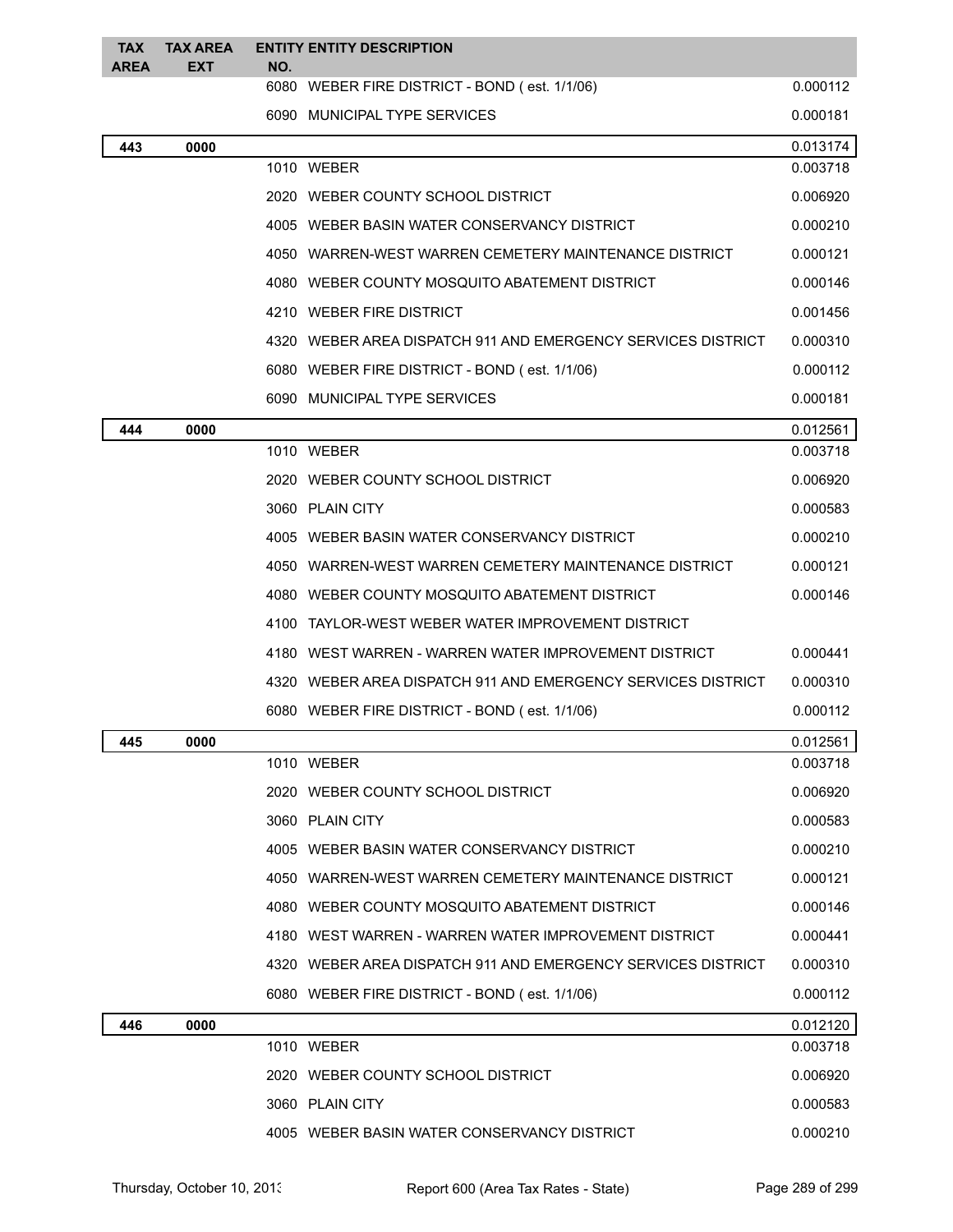| <b>TAX</b><br><b>AREA</b> | <b>TAX AREA</b><br><b>EXT</b> | NO.  | <b>ENTITY ENTITY DESCRIPTION</b>                             |          |
|---------------------------|-------------------------------|------|--------------------------------------------------------------|----------|
|                           |                               |      | 6080 WEBER FIRE DISTRICT - BOND (est. 1/1/06)                | 0.000112 |
|                           |                               |      | 6090 MUNICIPAL TYPE SERVICES                                 | 0.000181 |
| 443                       | 0000                          |      |                                                              | 0.013174 |
|                           |                               |      | 1010 WEBER                                                   | 0.003718 |
|                           |                               |      | 2020 WEBER COUNTY SCHOOL DISTRICT                            | 0.006920 |
|                           |                               |      | 4005 WEBER BASIN WATER CONSERVANCY DISTRICT                  | 0.000210 |
|                           |                               |      | 4050 WARREN-WEST WARREN CEMETERY MAINTENANCE DISTRICT        | 0.000121 |
|                           |                               |      | 4080 WEBER COUNTY MOSQUITO ABATEMENT DISTRICT                | 0.000146 |
|                           |                               |      | 4210 WEBER FIRE DISTRICT                                     | 0.001456 |
|                           |                               |      | 4320 WEBER AREA DISPATCH 911 AND EMERGENCY SERVICES DISTRICT | 0.000310 |
|                           |                               |      | 6080 WEBER FIRE DISTRICT - BOND (est. 1/1/06)                | 0.000112 |
|                           |                               |      | 6090 MUNICIPAL TYPE SERVICES                                 | 0.000181 |
| 444                       | 0000                          |      |                                                              | 0.012561 |
|                           |                               |      | 1010 WEBER                                                   | 0.003718 |
|                           |                               |      | 2020 WEBER COUNTY SCHOOL DISTRICT                            | 0.006920 |
|                           |                               |      | 3060 PLAIN CITY                                              | 0.000583 |
|                           |                               |      | 4005 WEBER BASIN WATER CONSERVANCY DISTRICT                  | 0.000210 |
|                           |                               |      | 4050 WARREN-WEST WARREN CEMETERY MAINTENANCE DISTRICT        | 0.000121 |
|                           |                               |      | 4080 WEBER COUNTY MOSQUITO ABATEMENT DISTRICT                | 0.000146 |
|                           |                               | 4100 | TAYLOR-WEST WEBER WATER IMPROVEMENT DISTRICT                 |          |
|                           |                               |      | 4180 WEST WARREN - WARREN WATER IMPROVEMENT DISTRICT         | 0.000441 |
|                           |                               |      | 4320 WEBER AREA DISPATCH 911 AND EMERGENCY SERVICES DISTRICT | 0.000310 |
|                           |                               |      | 6080 WEBER FIRE DISTRICT - BOND (est. 1/1/06)                | 0.000112 |
| 445                       | 0000                          |      |                                                              | 0.012561 |
|                           |                               |      | 1010 WEBER                                                   | 0.003718 |
|                           |                               |      | 2020 WEBER COUNTY SCHOOL DISTRICT                            | 0.006920 |
|                           |                               |      | 3060 PLAIN CITY                                              | 0.000583 |
|                           |                               |      | 4005 WEBER BASIN WATER CONSERVANCY DISTRICT                  | 0.000210 |
|                           |                               |      | 4050 WARREN-WEST WARREN CEMETERY MAINTENANCE DISTRICT        | 0.000121 |
|                           |                               |      | 4080 WEBER COUNTY MOSQUITO ABATEMENT DISTRICT                | 0.000146 |
|                           |                               |      | 4180 WEST WARREN - WARREN WATER IMPROVEMENT DISTRICT         | 0.000441 |
|                           |                               |      | 4320 WEBER AREA DISPATCH 911 AND EMERGENCY SERVICES DISTRICT | 0.000310 |
|                           |                               |      | 6080 WEBER FIRE DISTRICT - BOND (est. 1/1/06)                | 0.000112 |
| 446                       | 0000                          |      |                                                              | 0.012120 |
|                           |                               |      | 1010 WEBER                                                   | 0.003718 |
|                           |                               |      | 2020 WEBER COUNTY SCHOOL DISTRICT                            | 0.006920 |
|                           |                               |      | 3060 PLAIN CITY                                              | 0.000583 |
|                           |                               |      | 4005 WEBER BASIN WATER CONSERVANCY DISTRICT                  | 0.000210 |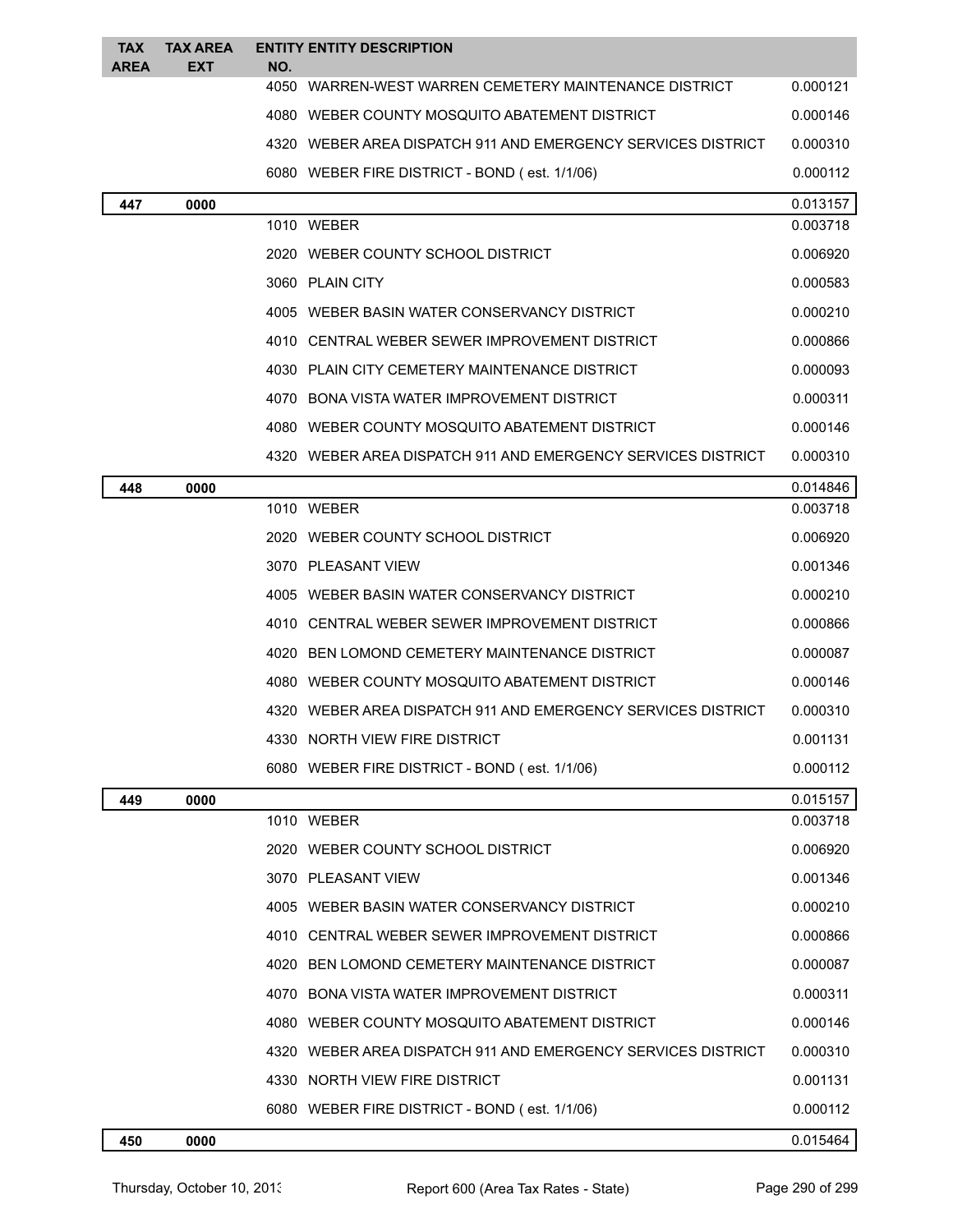| <b>TAX</b><br><b>AREA</b> | <b>TAX AREA</b><br>EXT | NO.  | <b>ENTITY ENTITY DESCRIPTION</b>                             |          |
|---------------------------|------------------------|------|--------------------------------------------------------------|----------|
|                           |                        | 4050 | WARREN-WEST WARREN CEMETERY MAINTENANCE DISTRICT             | 0.000121 |
|                           |                        |      | 4080 WEBER COUNTY MOSQUITO ABATEMENT DISTRICT                | 0.000146 |
|                           |                        |      | 4320 WEBER AREA DISPATCH 911 AND EMERGENCY SERVICES DISTRICT | 0.000310 |
|                           |                        |      | 6080 WEBER FIRE DISTRICT - BOND (est. 1/1/06)                | 0.000112 |
| 447                       | 0000                   |      |                                                              | 0.013157 |
|                           |                        |      | 1010 WEBER                                                   | 0.003718 |
|                           |                        |      | 2020 WEBER COUNTY SCHOOL DISTRICT                            | 0.006920 |
|                           |                        |      | 3060 PLAIN CITY                                              | 0.000583 |
|                           |                        |      | 4005 WEBER BASIN WATER CONSERVANCY DISTRICT                  | 0.000210 |
|                           |                        |      | 4010 CENTRAL WEBER SEWER IMPROVEMENT DISTRICT                | 0.000866 |
|                           |                        |      | 4030 PLAIN CITY CEMETERY MAINTENANCE DISTRICT                | 0.000093 |
|                           |                        |      | 4070 BONA VISTA WATER IMPROVEMENT DISTRICT                   | 0.000311 |
|                           |                        |      | 4080 WEBER COUNTY MOSQUITO ABATEMENT DISTRICT                | 0.000146 |
|                           |                        |      | 4320 WEBER AREA DISPATCH 911 AND EMERGENCY SERVICES DISTRICT | 0.000310 |
| 448                       | 0000                   |      |                                                              | 0.014846 |
|                           |                        |      | 1010 WEBER                                                   | 0.003718 |
|                           |                        |      | 2020 WEBER COUNTY SCHOOL DISTRICT                            | 0.006920 |
|                           |                        |      | 3070 PLEASANT VIEW                                           | 0.001346 |
|                           |                        |      | 4005 WEBER BASIN WATER CONSERVANCY DISTRICT                  | 0.000210 |
|                           |                        |      | 4010 CENTRAL WEBER SEWER IMPROVEMENT DISTRICT                | 0.000866 |
|                           |                        |      | 4020 BEN LOMOND CEMETERY MAINTENANCE DISTRICT                | 0.000087 |
|                           |                        |      | 4080 WEBER COUNTY MOSQUITO ABATEMENT DISTRICT                | 0.000146 |
|                           |                        |      | 4320 WEBER AREA DISPATCH 911 AND EMERGENCY SERVICES DISTRICT | 0.000310 |
|                           |                        |      | 4330 NORTH VIEW FIRE DISTRICT                                | 0.001131 |
|                           |                        |      | 6080 WEBER FIRE DISTRICT - BOND (est. 1/1/06)                | 0.000112 |
| 449                       | 0000                   |      |                                                              | 0.015157 |
|                           |                        |      | 1010 WEBER                                                   | 0.003718 |
|                           |                        |      | 2020 WEBER COUNTY SCHOOL DISTRICT                            | 0.006920 |
|                           |                        |      | 3070 PLEASANT VIEW                                           | 0.001346 |
|                           |                        |      | 4005 WEBER BASIN WATER CONSERVANCY DISTRICT                  | 0.000210 |
|                           |                        |      | 4010 CENTRAL WEBER SEWER IMPROVEMENT DISTRICT                | 0.000866 |
|                           |                        |      | 4020 BEN LOMOND CEMETERY MAINTENANCE DISTRICT                | 0.000087 |
|                           |                        |      | 4070 BONA VISTA WATER IMPROVEMENT DISTRICT                   | 0.000311 |
|                           |                        |      | 4080 WEBER COUNTY MOSQUITO ABATEMENT DISTRICT                | 0.000146 |
|                           |                        |      | 4320 WEBER AREA DISPATCH 911 AND EMERGENCY SERVICES DISTRICT | 0.000310 |
|                           |                        |      | 4330 NORTH VIEW FIRE DISTRICT                                | 0.001131 |
|                           |                        |      | 6080 WEBER FIRE DISTRICT - BOND (est. 1/1/06)                | 0.000112 |
| 450                       | 0000                   |      |                                                              | 0.015464 |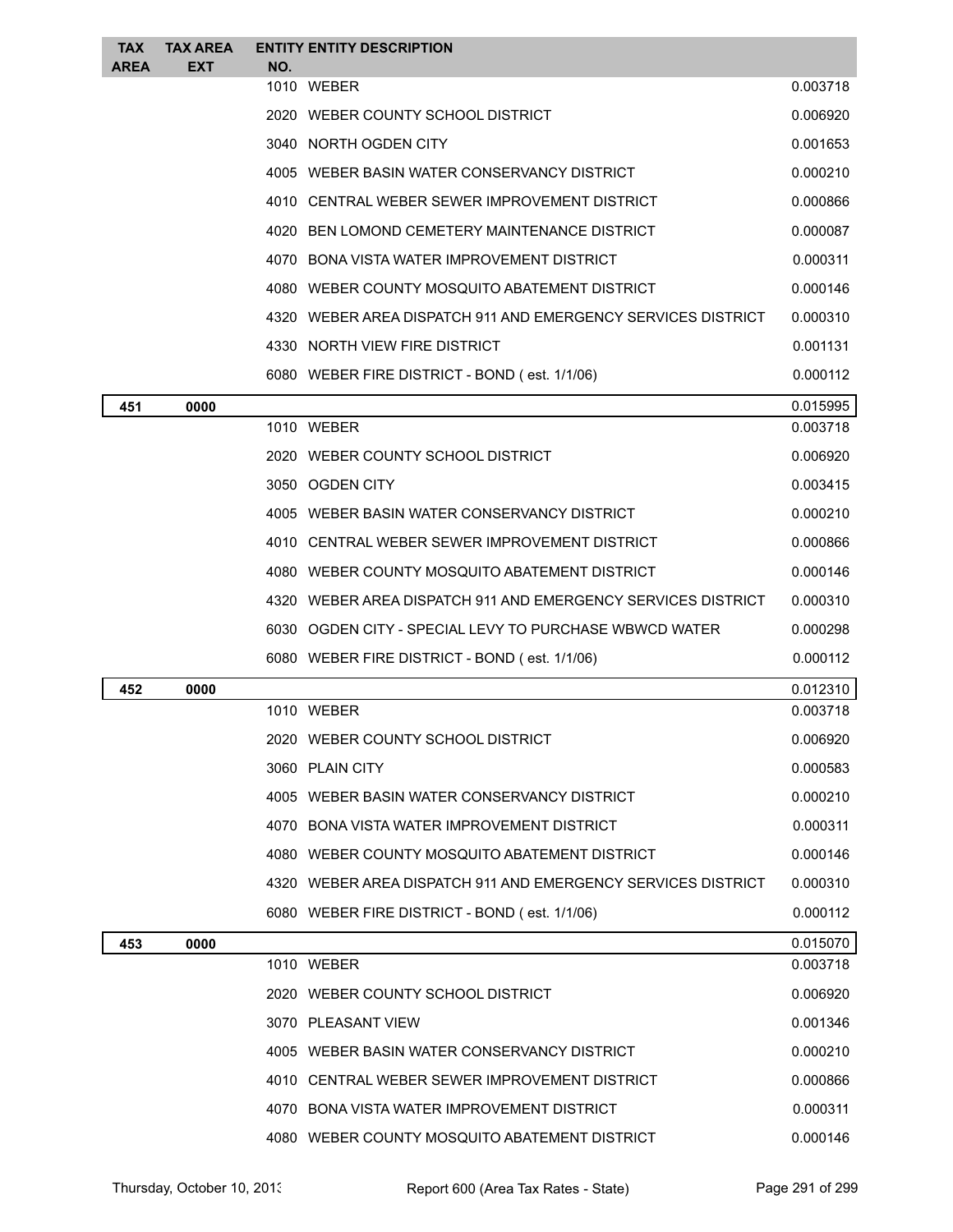| <b>TAX</b><br><b>AREA</b> | <b>TAX AREA</b><br><b>EXT</b> | NO. | <b>ENTITY ENTITY DESCRIPTION</b>                             |          |
|---------------------------|-------------------------------|-----|--------------------------------------------------------------|----------|
|                           |                               |     | 1010 WEBER                                                   | 0.003718 |
|                           |                               |     | 2020 WEBER COUNTY SCHOOL DISTRICT                            | 0.006920 |
|                           |                               |     | 3040 NORTH OGDEN CITY                                        | 0.001653 |
|                           |                               |     | 4005 WEBER BASIN WATER CONSERVANCY DISTRICT                  | 0.000210 |
|                           |                               |     | 4010 CENTRAL WEBER SEWER IMPROVEMENT DISTRICT                | 0.000866 |
|                           |                               |     | 4020 BEN LOMOND CEMETERY MAINTENANCE DISTRICT                | 0.000087 |
|                           |                               |     | 4070 BONA VISTA WATER IMPROVEMENT DISTRICT                   | 0.000311 |
|                           |                               |     | 4080 WEBER COUNTY MOSQUITO ABATEMENT DISTRICT                | 0.000146 |
|                           |                               |     | 4320 WEBER AREA DISPATCH 911 AND EMERGENCY SERVICES DISTRICT | 0.000310 |
|                           |                               |     | 4330 NORTH VIEW FIRE DISTRICT                                | 0.001131 |
|                           |                               |     | 6080 WEBER FIRE DISTRICT - BOND (est. 1/1/06)                | 0.000112 |
| 451                       | 0000                          |     |                                                              | 0.015995 |
|                           |                               |     | 1010 WEBER                                                   | 0.003718 |
|                           |                               |     | 2020 WEBER COUNTY SCHOOL DISTRICT                            | 0.006920 |
|                           |                               |     | 3050 OGDEN CITY                                              | 0.003415 |
|                           |                               |     | 4005 WEBER BASIN WATER CONSERVANCY DISTRICT                  | 0.000210 |
|                           |                               |     | 4010 CENTRAL WEBER SEWER IMPROVEMENT DISTRICT                | 0.000866 |
|                           |                               |     | 4080 WEBER COUNTY MOSQUITO ABATEMENT DISTRICT                | 0.000146 |
|                           |                               |     | 4320 WEBER AREA DISPATCH 911 AND EMERGENCY SERVICES DISTRICT | 0.000310 |
|                           |                               |     | 6030 OGDEN CITY - SPECIAL LEVY TO PURCHASE WBWCD WATER       | 0.000298 |
|                           |                               |     | 6080 WEBER FIRE DISTRICT - BOND (est. 1/1/06)                | 0.000112 |
| 452                       | 0000                          |     |                                                              | 0.012310 |
|                           |                               |     | 1010 WEBER                                                   | 0.003718 |
|                           |                               |     | 2020 WEBER COUNTY SCHOOL DISTRICT                            | 0.006920 |
|                           |                               |     | 3060 PLAIN CITY                                              | 0.000583 |
|                           |                               |     | 4005 WEBER BASIN WATER CONSERVANCY DISTRICT                  | 0.000210 |
|                           |                               |     | 4070 BONA VISTA WATER IMPROVEMENT DISTRICT                   | 0.000311 |
|                           |                               |     | 4080 WEBER COUNTY MOSQUITO ABATEMENT DISTRICT                | 0.000146 |
|                           |                               |     | 4320 WEBER AREA DISPATCH 911 AND EMERGENCY SERVICES DISTRICT | 0.000310 |
|                           |                               |     | 6080 WEBER FIRE DISTRICT - BOND (est. 1/1/06)                | 0.000112 |
| 453                       | 0000                          |     |                                                              | 0.015070 |
|                           |                               |     | 1010 WEBER                                                   | 0.003718 |
|                           |                               |     | 2020 WEBER COUNTY SCHOOL DISTRICT                            | 0.006920 |
|                           |                               |     | 3070 PLEASANT VIEW                                           | 0.001346 |
|                           |                               |     | 4005 WEBER BASIN WATER CONSERVANCY DISTRICT                  | 0.000210 |
|                           |                               |     | 4010 CENTRAL WEBER SEWER IMPROVEMENT DISTRICT                | 0.000866 |
|                           |                               |     | 4070 BONA VISTA WATER IMPROVEMENT DISTRICT                   | 0.000311 |
|                           |                               |     | 4080 WEBER COUNTY MOSQUITO ABATEMENT DISTRICT                | 0.000146 |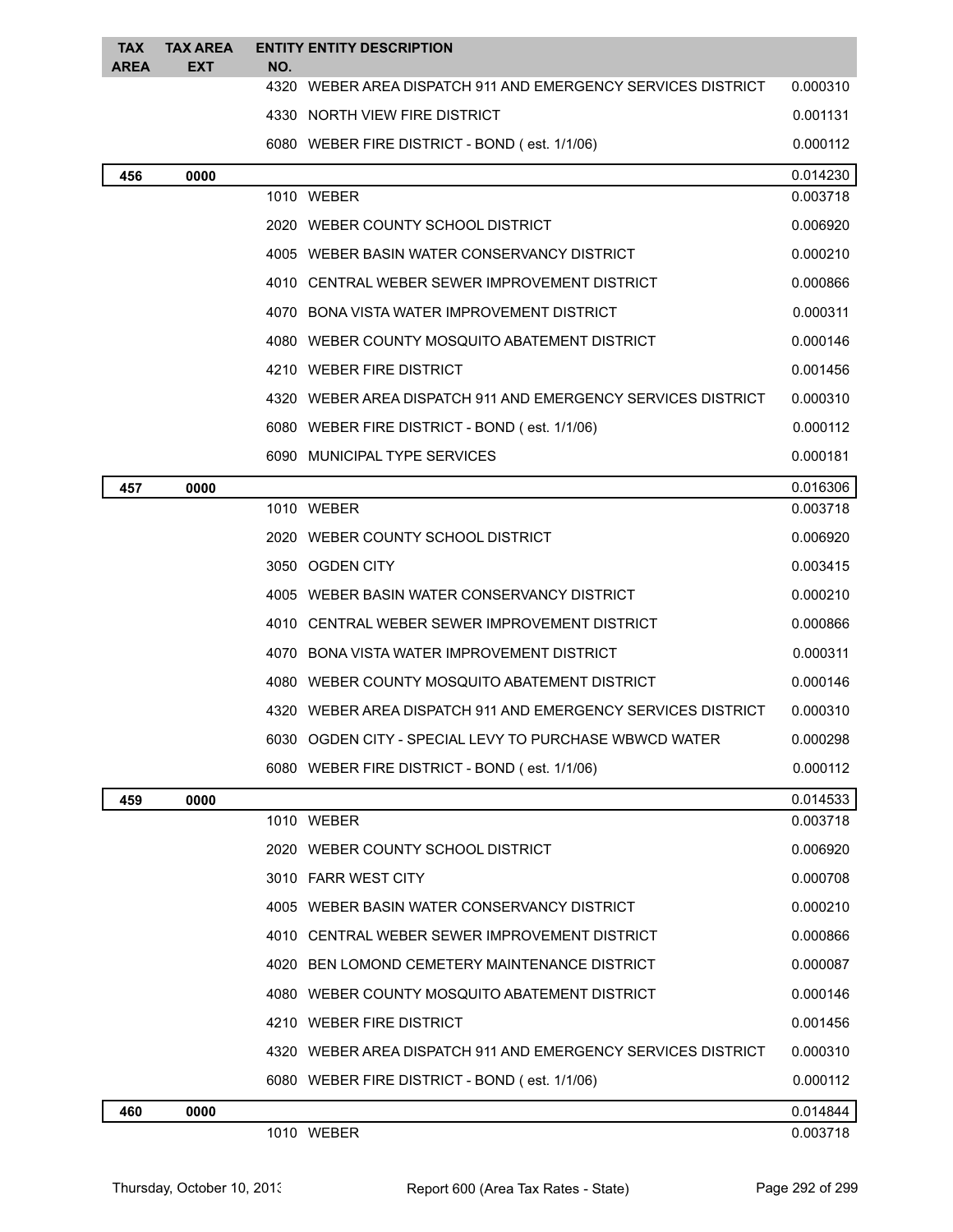| TAX<br><b>AREA</b> | <b>TAX AREA</b><br>EXT | NO. | <b>ENTITY ENTITY DESCRIPTION</b>                             |          |
|--------------------|------------------------|-----|--------------------------------------------------------------|----------|
|                    |                        |     | 4320 WEBER AREA DISPATCH 911 AND EMERGENCY SERVICES DISTRICT | 0.000310 |
|                    |                        |     | 4330 NORTH VIEW FIRE DISTRICT                                | 0.001131 |
|                    |                        |     | 6080 WEBER FIRE DISTRICT - BOND (est. 1/1/06)                | 0.000112 |
| 456                | 0000                   |     |                                                              | 0.014230 |
|                    |                        |     | 1010 WEBER                                                   | 0.003718 |
|                    |                        |     | 2020 WEBER COUNTY SCHOOL DISTRICT                            | 0.006920 |
|                    |                        |     | 4005 WEBER BASIN WATER CONSERVANCY DISTRICT                  | 0.000210 |
|                    |                        |     | 4010 CENTRAL WEBER SEWER IMPROVEMENT DISTRICT                | 0.000866 |
|                    |                        |     | 4070 BONA VISTA WATER IMPROVEMENT DISTRICT                   | 0.000311 |
|                    |                        |     | 4080 WEBER COUNTY MOSQUITO ABATEMENT DISTRICT                | 0.000146 |
|                    |                        |     | 4210 WEBER FIRE DISTRICT                                     | 0.001456 |
|                    |                        |     | 4320 WEBER AREA DISPATCH 911 AND EMERGENCY SERVICES DISTRICT | 0.000310 |
|                    |                        |     | 6080 WEBER FIRE DISTRICT - BOND (est. 1/1/06)                | 0.000112 |
|                    |                        |     | 6090 MUNICIPAL TYPE SERVICES                                 | 0.000181 |
| 457                | 0000                   |     |                                                              | 0.016306 |
|                    |                        |     | 1010 WEBER                                                   | 0.003718 |
|                    |                        |     | 2020 WEBER COUNTY SCHOOL DISTRICT                            | 0.006920 |
|                    |                        |     | 3050 OGDEN CITY                                              | 0.003415 |
|                    |                        |     | 4005 WEBER BASIN WATER CONSERVANCY DISTRICT                  | 0.000210 |
|                    |                        |     | 4010 CENTRAL WEBER SEWER IMPROVEMENT DISTRICT                | 0.000866 |
|                    |                        |     | 4070 BONA VISTA WATER IMPROVEMENT DISTRICT                   | 0.000311 |
|                    |                        |     | 4080 WEBER COUNTY MOSQUITO ABATEMENT DISTRICT                | 0.000146 |
|                    |                        |     | 4320 WEBER AREA DISPATCH 911 AND EMERGENCY SERVICES DISTRICT | 0.000310 |
|                    |                        |     | 6030 OGDEN CITY - SPECIAL LEVY TO PURCHASE WBWCD WATER       | 0.000298 |
|                    |                        |     | 6080 WEBER FIRE DISTRICT - BOND (est. 1/1/06)                | 0.000112 |
| 459                | 0000                   |     |                                                              | 0.014533 |
|                    |                        |     | 1010 WEBER                                                   | 0.003718 |
|                    |                        |     | 2020 WEBER COUNTY SCHOOL DISTRICT                            | 0.006920 |
|                    |                        |     | 3010 FARR WEST CITY                                          | 0.000708 |
|                    |                        |     | 4005 WEBER BASIN WATER CONSERVANCY DISTRICT                  | 0.000210 |
|                    |                        |     | 4010 CENTRAL WEBER SEWER IMPROVEMENT DISTRICT                | 0.000866 |
|                    |                        |     | 4020 BEN LOMOND CEMETERY MAINTENANCE DISTRICT                | 0.000087 |
|                    |                        |     | 4080 WEBER COUNTY MOSQUITO ABATEMENT DISTRICT                | 0.000146 |
|                    |                        |     | 4210 WEBER FIRE DISTRICT                                     | 0.001456 |
|                    |                        |     | 4320 WEBER AREA DISPATCH 911 AND EMERGENCY SERVICES DISTRICT | 0.000310 |
|                    |                        |     | 6080 WEBER FIRE DISTRICT - BOND (est. 1/1/06)                | 0.000112 |
| 460                | 0000                   |     |                                                              | 0.014844 |
|                    |                        |     | 1010 WEBER                                                   | 0.003718 |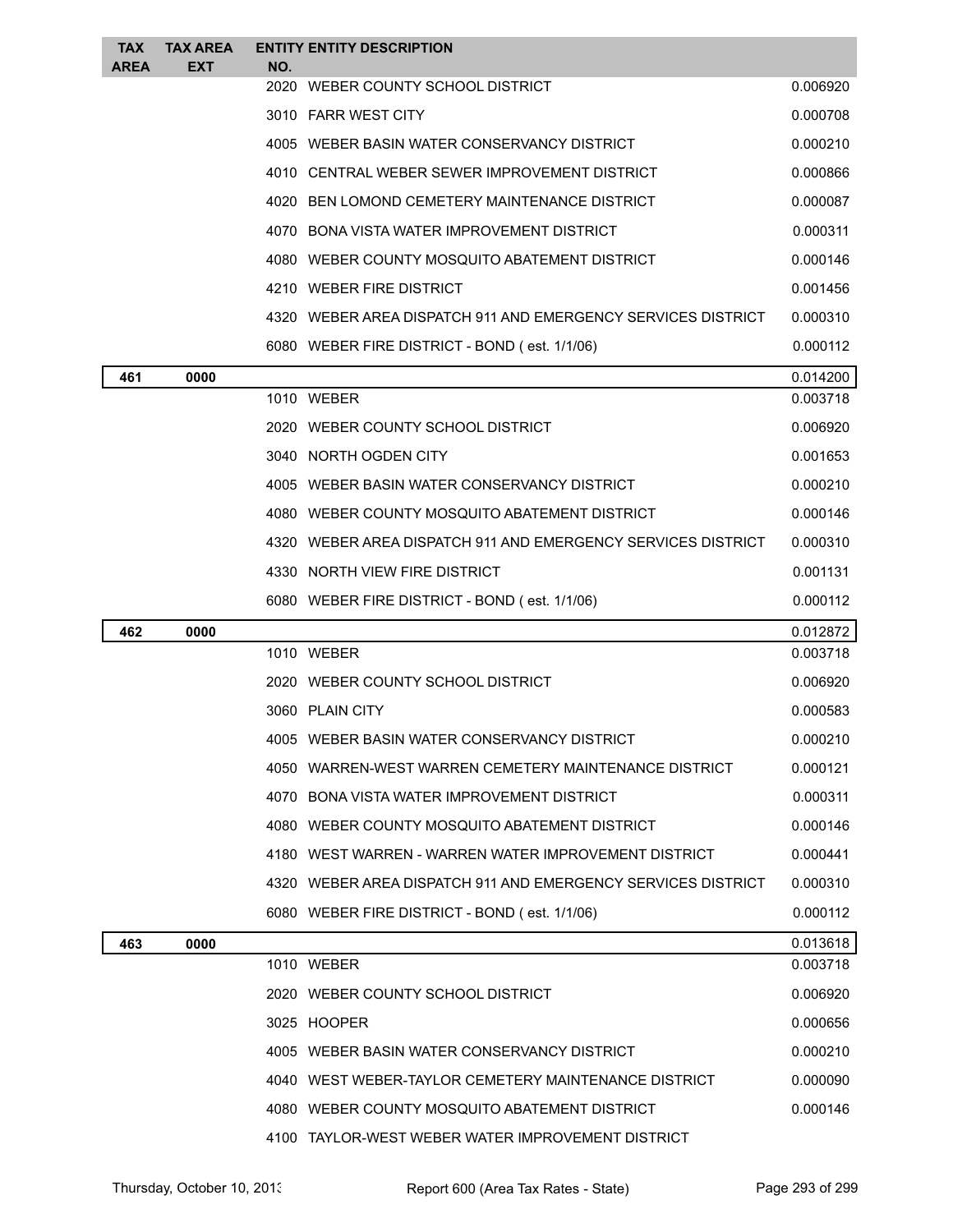| <b>TAX</b><br><b>AREA</b> | <b>TAX AREA</b><br><b>EXT</b> | NO. | <b>ENTITY ENTITY DESCRIPTION</b>                             |          |
|---------------------------|-------------------------------|-----|--------------------------------------------------------------|----------|
|                           |                               |     | 2020 WEBER COUNTY SCHOOL DISTRICT                            | 0.006920 |
|                           |                               |     | 3010 FARR WEST CITY                                          | 0.000708 |
|                           |                               |     | 4005 WEBER BASIN WATER CONSERVANCY DISTRICT                  | 0.000210 |
|                           |                               |     | 4010 CENTRAL WEBER SEWER IMPROVEMENT DISTRICT                | 0.000866 |
|                           |                               |     | 4020 BEN LOMOND CEMETERY MAINTENANCE DISTRICT                | 0.000087 |
|                           |                               |     | 4070 BONA VISTA WATER IMPROVEMENT DISTRICT                   | 0.000311 |
|                           |                               |     | 4080 WEBER COUNTY MOSQUITO ABATEMENT DISTRICT                | 0.000146 |
|                           |                               |     | 4210 WEBER FIRE DISTRICT                                     | 0.001456 |
|                           |                               |     | 4320 WEBER AREA DISPATCH 911 AND EMERGENCY SERVICES DISTRICT | 0.000310 |
|                           |                               |     | 6080 WEBER FIRE DISTRICT - BOND (est. 1/1/06)                | 0.000112 |
| 461                       | 0000                          |     |                                                              | 0.014200 |
|                           |                               |     | 1010 WEBER                                                   | 0.003718 |
|                           |                               |     | 2020 WEBER COUNTY SCHOOL DISTRICT                            | 0.006920 |
|                           |                               |     | 3040 NORTH OGDEN CITY                                        | 0.001653 |
|                           |                               |     | 4005 WEBER BASIN WATER CONSERVANCY DISTRICT                  | 0.000210 |
|                           |                               |     | 4080 WEBER COUNTY MOSQUITO ABATEMENT DISTRICT                | 0.000146 |
|                           |                               |     | 4320 WEBER AREA DISPATCH 911 AND EMERGENCY SERVICES DISTRICT | 0.000310 |
|                           |                               |     | 4330 NORTH VIEW FIRE DISTRICT                                | 0.001131 |
|                           |                               |     | 6080 WEBER FIRE DISTRICT - BOND (est. 1/1/06)                | 0.000112 |
| 462                       | 0000                          |     |                                                              | 0.012872 |
|                           |                               |     | 1010 WEBER                                                   | 0.003718 |
|                           |                               |     | 2020 WEBER COUNTY SCHOOL DISTRICT                            | 0.006920 |
|                           |                               |     | 3060 PLAIN CITY                                              | 0.000583 |
|                           |                               |     | 4005 WEBER BASIN WATER CONSERVANCY DISTRICT                  | 0.000210 |
|                           |                               |     | 4050 WARREN-WEST WARREN CEMETERY MAINTENANCE DISTRICT        | 0.000121 |
|                           |                               |     | 4070 BONA VISTA WATER IMPROVEMENT DISTRICT                   | 0.000311 |
|                           |                               |     | 4080 WEBER COUNTY MOSQUITO ABATEMENT DISTRICT                | 0.000146 |
|                           |                               |     | 4180 WEST WARREN - WARREN WATER IMPROVEMENT DISTRICT         | 0.000441 |
|                           |                               |     | 4320 WEBER AREA DISPATCH 911 AND EMERGENCY SERVICES DISTRICT | 0.000310 |
|                           |                               |     | 6080 WEBER FIRE DISTRICT - BOND (est. 1/1/06)                | 0.000112 |
| 463                       | 0000                          |     |                                                              | 0.013618 |
|                           |                               |     | 1010 WEBER                                                   | 0.003718 |
|                           |                               |     | 2020 WEBER COUNTY SCHOOL DISTRICT                            | 0.006920 |
|                           |                               |     | 3025 HOOPER                                                  | 0.000656 |
|                           |                               |     | 4005 WEBER BASIN WATER CONSERVANCY DISTRICT                  | 0.000210 |
|                           |                               |     | 4040 WEST WEBER-TAYLOR CEMETERY MAINTENANCE DISTRICT         | 0.000090 |
|                           |                               |     | 4080 WEBER COUNTY MOSQUITO ABATEMENT DISTRICT                | 0.000146 |
|                           |                               |     | 4100 TAYLOR-WEST WEBER WATER IMPROVEMENT DISTRICT            |          |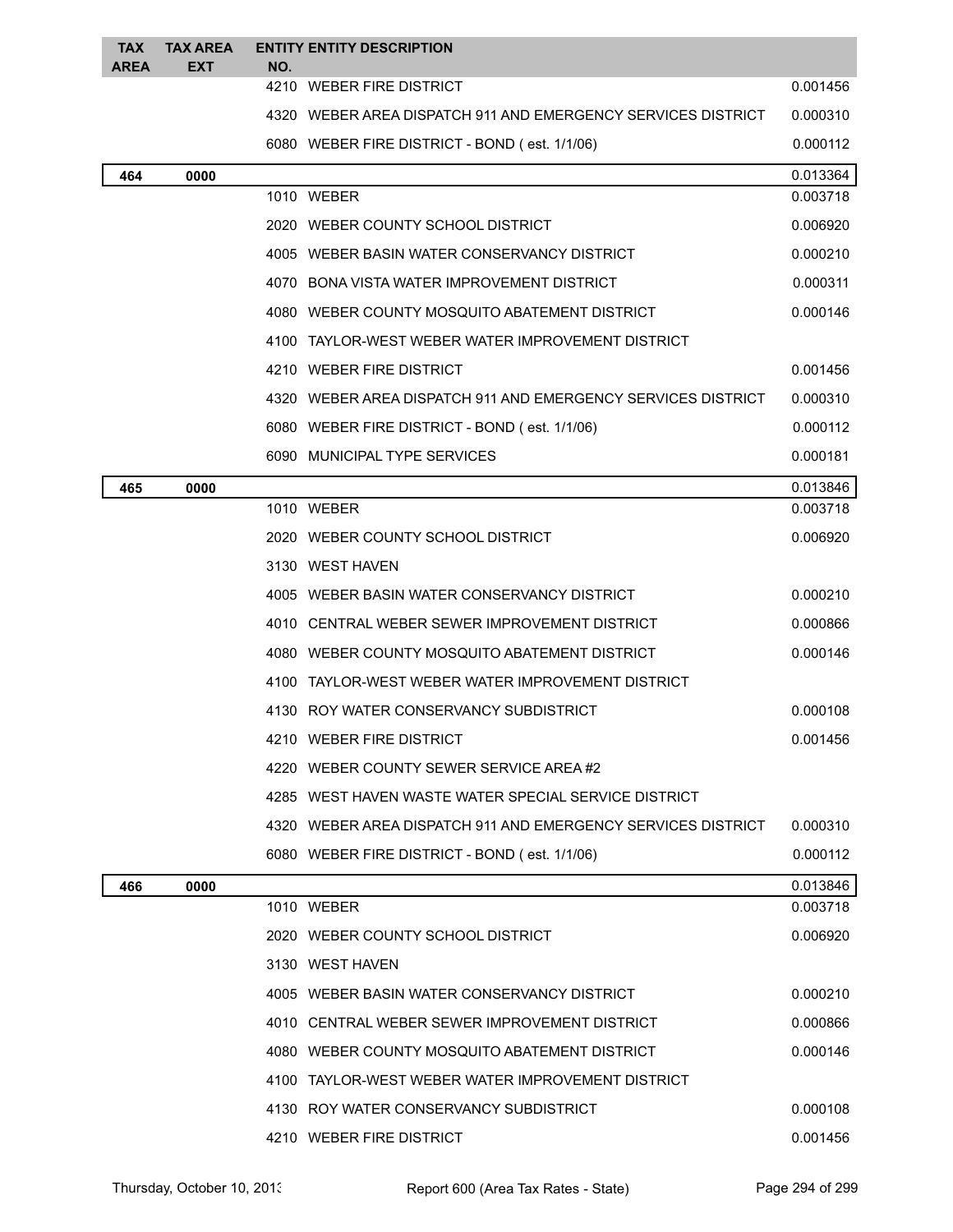| <b>TAX</b><br><b>AREA</b> | <b>TAX AREA</b><br><b>EXT</b> | NO. | <b>ENTITY ENTITY DESCRIPTION</b>                             |          |
|---------------------------|-------------------------------|-----|--------------------------------------------------------------|----------|
|                           |                               |     | 4210 WEBER FIRE DISTRICT                                     | 0.001456 |
|                           |                               |     | 4320 WEBER AREA DISPATCH 911 AND EMERGENCY SERVICES DISTRICT | 0.000310 |
|                           |                               |     | 6080 WEBER FIRE DISTRICT - BOND (est. 1/1/06)                | 0.000112 |
| 464                       | 0000                          |     |                                                              | 0.013364 |
|                           |                               |     | 1010 WEBER                                                   | 0.003718 |
|                           |                               |     | 2020 WEBER COUNTY SCHOOL DISTRICT                            | 0.006920 |
|                           |                               |     | 4005 WEBER BASIN WATER CONSERVANCY DISTRICT                  | 0.000210 |
|                           |                               |     | 4070 BONA VISTA WATER IMPROVEMENT DISTRICT                   | 0.000311 |
|                           |                               |     | 4080 WEBER COUNTY MOSQUITO ABATEMENT DISTRICT                | 0.000146 |
|                           |                               |     | 4100 TAYLOR-WEST WEBER WATER IMPROVEMENT DISTRICT            |          |
|                           |                               |     | 4210 WEBER FIRE DISTRICT                                     | 0.001456 |
|                           |                               |     | 4320 WEBER AREA DISPATCH 911 AND EMERGENCY SERVICES DISTRICT | 0.000310 |
|                           |                               |     | 6080 WEBER FIRE DISTRICT - BOND (est. 1/1/06)                | 0.000112 |
|                           |                               |     | 6090 MUNICIPAL TYPE SERVICES                                 | 0.000181 |
| 465                       | 0000                          |     |                                                              | 0.013846 |
|                           |                               |     | 1010 WEBER                                                   | 0.003718 |
|                           |                               |     | 2020 WEBER COUNTY SCHOOL DISTRICT                            | 0.006920 |
|                           |                               |     | 3130 WEST HAVEN                                              |          |
|                           |                               |     | 4005 WEBER BASIN WATER CONSERVANCY DISTRICT                  | 0.000210 |
|                           |                               |     | 4010 CENTRAL WEBER SEWER IMPROVEMENT DISTRICT                | 0.000866 |
|                           |                               |     | 4080 WEBER COUNTY MOSQUITO ABATEMENT DISTRICT                | 0.000146 |
|                           |                               |     | 4100 TAYLOR-WEST WEBER WATER IMPROVEMENT DISTRICT            |          |
|                           |                               |     | 4130 ROY WATER CONSERVANCY SUBDISTRICT                       | 0.000108 |
|                           |                               |     | 4210 WEBER FIRE DISTRICT                                     | 0.001456 |
|                           |                               |     | 4220 WEBER COUNTY SEWER SERVICE AREA#2                       |          |
|                           |                               |     | 4285 WEST HAVEN WASTE WATER SPECIAL SERVICE DISTRICT         |          |
|                           |                               |     | 4320 WEBER AREA DISPATCH 911 AND EMERGENCY SERVICES DISTRICT | 0.000310 |
|                           |                               |     | 6080 WEBER FIRE DISTRICT - BOND (est. 1/1/06)                | 0.000112 |
| 466                       | 0000                          |     |                                                              | 0.013846 |
|                           |                               |     | 1010 WEBER                                                   | 0.003718 |
|                           |                               |     | 2020 WEBER COUNTY SCHOOL DISTRICT                            | 0.006920 |
|                           |                               |     | 3130 WEST HAVEN                                              |          |
|                           |                               |     | 4005 WEBER BASIN WATER CONSERVANCY DISTRICT                  | 0.000210 |
|                           |                               |     | 4010 CENTRAL WEBER SEWER IMPROVEMENT DISTRICT                | 0.000866 |
|                           |                               |     | 4080 WEBER COUNTY MOSQUITO ABATEMENT DISTRICT                | 0.000146 |
|                           |                               |     | 4100 TAYLOR-WEST WEBER WATER IMPROVEMENT DISTRICT            |          |
|                           |                               |     | 4130 ROY WATER CONSERVANCY SUBDISTRICT                       | 0.000108 |
|                           |                               |     | 4210 WEBER FIRE DISTRICT                                     | 0.001456 |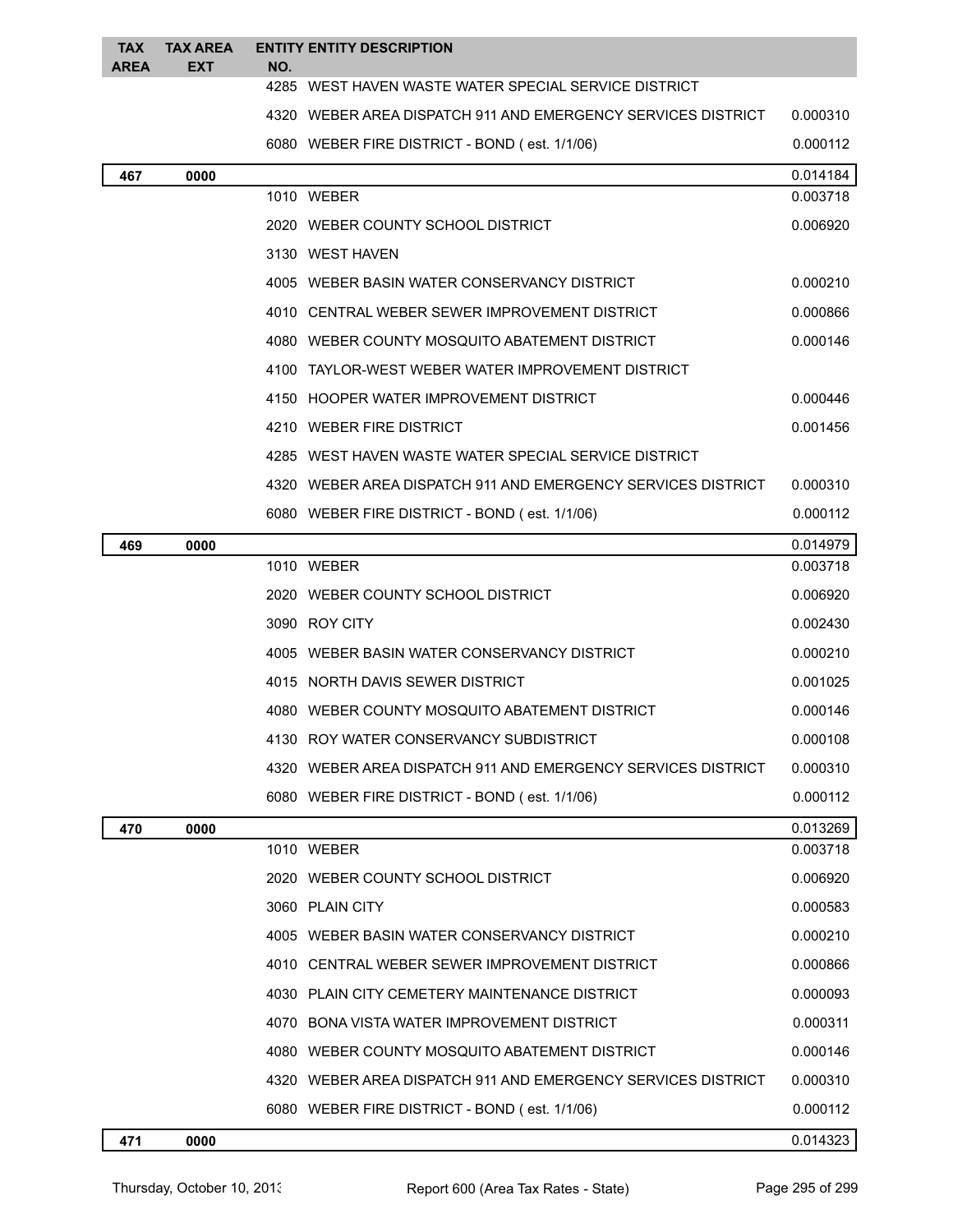| <b>TAX</b><br><b>AREA</b> | <b>TAX AREA</b><br><b>EXT</b> | NO. | <b>ENTITY ENTITY DESCRIPTION</b>                             |          |
|---------------------------|-------------------------------|-----|--------------------------------------------------------------|----------|
|                           |                               |     | 4285 WEST HAVEN WASTE WATER SPECIAL SERVICE DISTRICT         |          |
|                           |                               |     | 4320 WEBER AREA DISPATCH 911 AND EMERGENCY SERVICES DISTRICT | 0.000310 |
|                           |                               |     | 6080 WEBER FIRE DISTRICT - BOND (est. 1/1/06)                | 0.000112 |
| 467                       | 0000                          |     |                                                              | 0.014184 |
|                           |                               |     | 1010 WEBER                                                   | 0.003718 |
|                           |                               |     | 2020 WEBER COUNTY SCHOOL DISTRICT                            | 0.006920 |
|                           |                               |     | 3130 WEST HAVEN                                              |          |
|                           |                               |     | 4005 WEBER BASIN WATER CONSERVANCY DISTRICT                  | 0.000210 |
|                           |                               |     | 4010 CENTRAL WEBER SEWER IMPROVEMENT DISTRICT                | 0.000866 |
|                           |                               |     | 4080 WEBER COUNTY MOSQUITO ABATEMENT DISTRICT                | 0.000146 |
|                           |                               |     | 4100 TAYLOR-WEST WEBER WATER IMPROVEMENT DISTRICT            |          |
|                           |                               |     | 4150 HOOPER WATER IMPROVEMENT DISTRICT                       | 0.000446 |
|                           |                               |     | 4210 WEBER FIRE DISTRICT                                     | 0.001456 |
|                           |                               |     | 4285 WEST HAVEN WASTE WATER SPECIAL SERVICE DISTRICT         |          |
|                           |                               |     | 4320 WEBER AREA DISPATCH 911 AND EMERGENCY SERVICES DISTRICT | 0.000310 |
|                           |                               |     | 6080 WEBER FIRE DISTRICT - BOND (est. 1/1/06)                | 0.000112 |
| 469                       | 0000                          |     |                                                              | 0.014979 |
|                           |                               |     | 1010 WEBER                                                   | 0.003718 |
|                           |                               |     | 2020 WEBER COUNTY SCHOOL DISTRICT                            | 0.006920 |
|                           |                               |     | 3090 ROY CITY                                                | 0.002430 |
|                           |                               |     | 4005 WEBER BASIN WATER CONSERVANCY DISTRICT                  | 0.000210 |
|                           |                               |     | 4015 NORTH DAVIS SEWER DISTRICT                              | 0.001025 |
|                           |                               |     | 4080 WEBER COUNTY MOSQUITO ABATEMENT DISTRICT                | 0.000146 |
|                           |                               |     | 4130 ROY WATER CONSERVANCY SUBDISTRICT                       | 0.000108 |
|                           |                               |     | 4320 WEBER AREA DISPATCH 911 AND EMERGENCY SERVICES DISTRICT | 0.000310 |
|                           |                               |     | 6080 WEBER FIRE DISTRICT - BOND (est. 1/1/06)                | 0.000112 |
| 470                       | 0000                          |     |                                                              | 0.013269 |
|                           |                               |     | 1010 WEBER                                                   | 0.003718 |
|                           |                               |     | 2020 WEBER COUNTY SCHOOL DISTRICT                            | 0.006920 |
|                           |                               |     | 3060 PLAIN CITY                                              | 0.000583 |
|                           |                               |     | 4005 WEBER BASIN WATER CONSERVANCY DISTRICT                  | 0.000210 |
|                           |                               |     | 4010 CENTRAL WEBER SEWER IMPROVEMENT DISTRICT                | 0.000866 |
|                           |                               |     | 4030 PLAIN CITY CEMETERY MAINTENANCE DISTRICT                | 0.000093 |
|                           |                               |     | 4070 BONA VISTA WATER IMPROVEMENT DISTRICT                   | 0.000311 |
|                           |                               |     | 4080 WEBER COUNTY MOSQUITO ABATEMENT DISTRICT                | 0.000146 |
|                           |                               |     | 4320 WEBER AREA DISPATCH 911 AND EMERGENCY SERVICES DISTRICT | 0.000310 |
|                           |                               |     | 6080 WEBER FIRE DISTRICT - BOND (est. 1/1/06)                | 0.000112 |

## **0000** 0.014323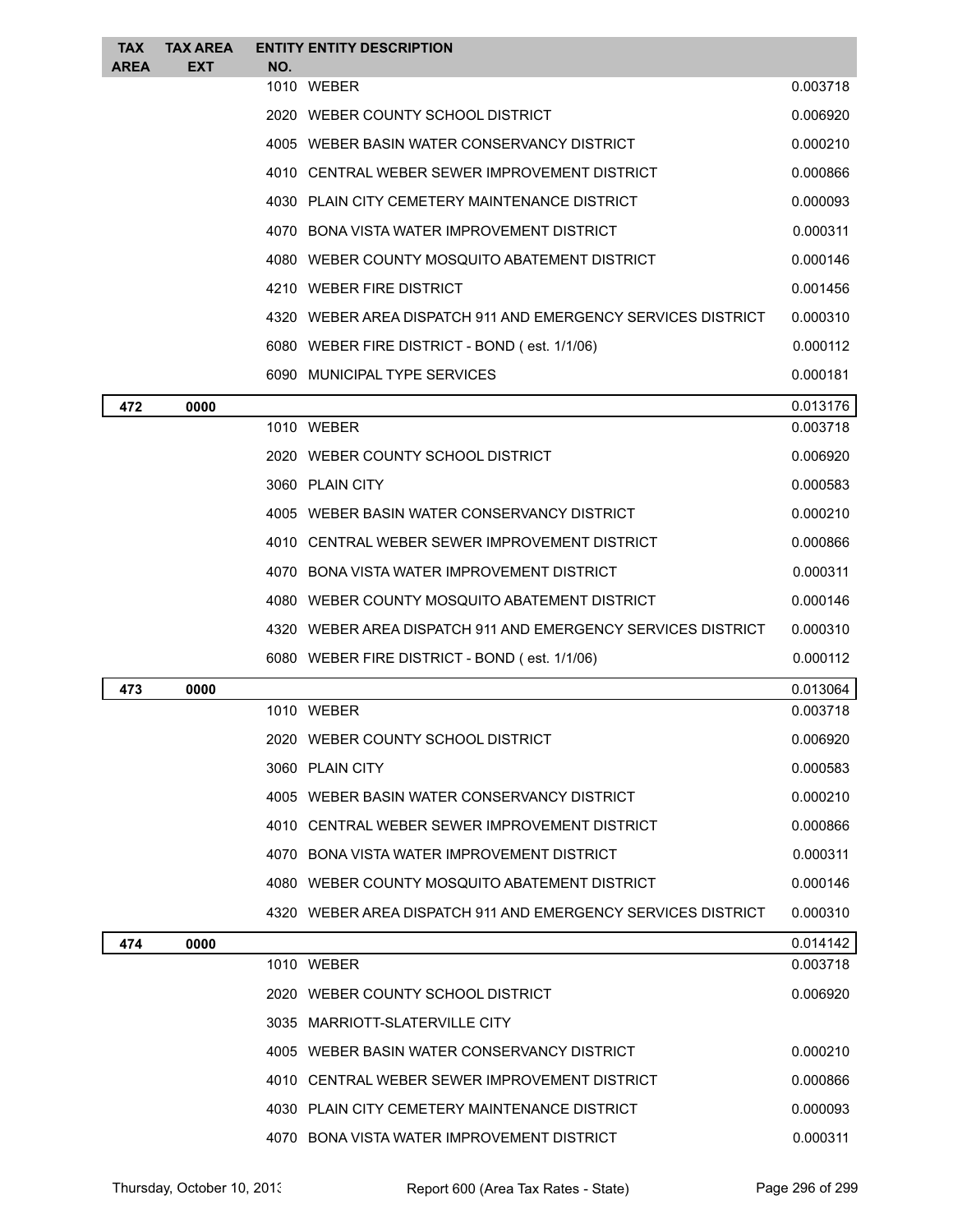| <b>TAX</b><br><b>AREA</b> | <b>TAX AREA</b><br><b>EXT</b> | NO. | <b>ENTITY ENTITY DESCRIPTION</b>                             |          |
|---------------------------|-------------------------------|-----|--------------------------------------------------------------|----------|
|                           |                               |     | 1010 WEBER                                                   | 0.003718 |
|                           |                               |     | 2020 WEBER COUNTY SCHOOL DISTRICT                            | 0.006920 |
|                           |                               |     | 4005 WEBER BASIN WATER CONSERVANCY DISTRICT                  | 0.000210 |
|                           |                               |     | 4010 CENTRAL WEBER SEWER IMPROVEMENT DISTRICT                | 0.000866 |
|                           |                               |     | 4030 PLAIN CITY CEMETERY MAINTENANCE DISTRICT                | 0.000093 |
|                           |                               |     | 4070 BONA VISTA WATER IMPROVEMENT DISTRICT                   | 0.000311 |
|                           |                               |     | 4080 WEBER COUNTY MOSQUITO ABATEMENT DISTRICT                | 0.000146 |
|                           |                               |     | 4210 WEBER FIRE DISTRICT                                     | 0.001456 |
|                           |                               |     | 4320 WEBER AREA DISPATCH 911 AND EMERGENCY SERVICES DISTRICT | 0.000310 |
|                           |                               |     | 6080 WEBER FIRE DISTRICT - BOND (est. 1/1/06)                | 0.000112 |
|                           |                               |     | 6090 MUNICIPAL TYPE SERVICES                                 | 0.000181 |
| 472                       | 0000                          |     |                                                              | 0.013176 |
|                           |                               |     | 1010 WEBER                                                   | 0.003718 |
|                           |                               |     | 2020 WEBER COUNTY SCHOOL DISTRICT                            | 0.006920 |
|                           |                               |     | 3060 PLAIN CITY                                              | 0.000583 |
|                           |                               |     | 4005 WEBER BASIN WATER CONSERVANCY DISTRICT                  | 0.000210 |
|                           |                               |     | 4010 CENTRAL WEBER SEWER IMPROVEMENT DISTRICT                | 0.000866 |
|                           |                               |     | 4070 BONA VISTA WATER IMPROVEMENT DISTRICT                   | 0.000311 |
|                           |                               |     | 4080 WEBER COUNTY MOSQUITO ABATEMENT DISTRICT                | 0.000146 |
|                           |                               |     | 4320 WEBER AREA DISPATCH 911 AND EMERGENCY SERVICES DISTRICT | 0.000310 |
|                           |                               |     | 6080 WEBER FIRE DISTRICT - BOND (est. 1/1/06)                | 0.000112 |
| 473                       | 0000                          |     |                                                              | 0.013064 |
|                           |                               |     | 1010 WEBER                                                   | 0.003718 |
|                           |                               |     | 2020 WEBER COUNTY SCHOOL DISTRICT                            | 0.006920 |
|                           |                               |     | 3060 PLAIN CITY                                              | 0.000583 |
|                           |                               |     | 4005 WEBER BASIN WATER CONSERVANCY DISTRICT                  | 0.000210 |
|                           |                               |     | 4010 CENTRAL WEBER SEWER IMPROVEMENT DISTRICT                | 0.000866 |
|                           |                               |     | 4070 BONA VISTA WATER IMPROVEMENT DISTRICT                   | 0.000311 |
|                           |                               |     | 4080 WEBER COUNTY MOSQUITO ABATEMENT DISTRICT                | 0.000146 |
|                           |                               |     | 4320 WEBER AREA DISPATCH 911 AND EMERGENCY SERVICES DISTRICT | 0.000310 |
| 474                       | 0000                          |     |                                                              | 0.014142 |
|                           |                               |     | 1010 WEBER                                                   | 0.003718 |
|                           |                               |     | 2020 WEBER COUNTY SCHOOL DISTRICT                            | 0.006920 |
|                           |                               |     | 3035 MARRIOTT-SLATERVILLE CITY                               |          |
|                           |                               |     | 4005 WEBER BASIN WATER CONSERVANCY DISTRICT                  | 0.000210 |
|                           |                               |     | 4010 CENTRAL WEBER SEWER IMPROVEMENT DISTRICT                | 0.000866 |
|                           |                               |     | 4030 PLAIN CITY CEMETERY MAINTENANCE DISTRICT                | 0.000093 |
|                           |                               |     | 4070 BONA VISTA WATER IMPROVEMENT DISTRICT                   | 0.000311 |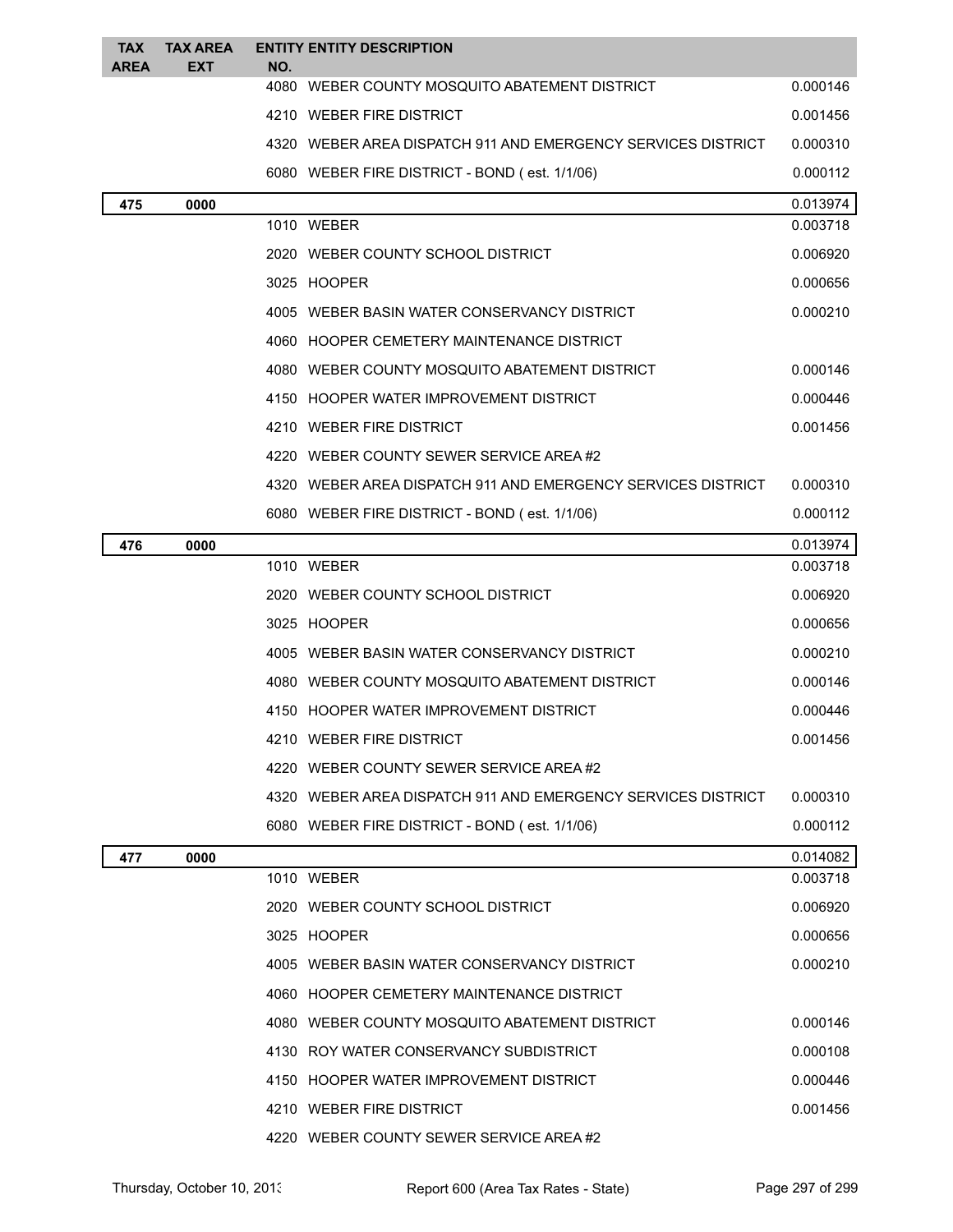| <b>TAX</b><br>AREA | <b>TAX AREA</b><br>EXT | NO. | <b>ENTITY ENTITY DESCRIPTION</b>                             |          |
|--------------------|------------------------|-----|--------------------------------------------------------------|----------|
|                    |                        |     | 4080 WEBER COUNTY MOSQUITO ABATEMENT DISTRICT                | 0.000146 |
|                    |                        |     | 4210 WEBER FIRE DISTRICT                                     | 0.001456 |
|                    |                        |     | 4320 WEBER AREA DISPATCH 911 AND EMERGENCY SERVICES DISTRICT | 0.000310 |
|                    |                        |     | 6080 WEBER FIRE DISTRICT - BOND (est. 1/1/06)                | 0.000112 |
| 475                | 0000                   |     |                                                              | 0.013974 |
|                    |                        |     | 1010 WEBER                                                   | 0.003718 |
|                    |                        |     | 2020 WEBER COUNTY SCHOOL DISTRICT                            | 0.006920 |
|                    |                        |     | 3025 HOOPER                                                  | 0.000656 |
|                    |                        |     | 4005 WEBER BASIN WATER CONSERVANCY DISTRICT                  | 0.000210 |
|                    |                        |     | 4060 HOOPER CEMETERY MAINTENANCE DISTRICT                    |          |
|                    |                        |     | 4080 WEBER COUNTY MOSQUITO ABATEMENT DISTRICT                | 0.000146 |
|                    |                        |     | 4150 HOOPER WATER IMPROVEMENT DISTRICT                       | 0.000446 |
|                    |                        |     | 4210 WEBER FIRE DISTRICT                                     | 0.001456 |
|                    |                        |     | 4220 WEBER COUNTY SEWER SERVICE AREA#2                       |          |
|                    |                        |     | 4320 WEBER AREA DISPATCH 911 AND EMERGENCY SERVICES DISTRICT | 0.000310 |
|                    |                        |     | 6080 WEBER FIRE DISTRICT - BOND (est. 1/1/06)                | 0.000112 |
| 476                | 0000                   |     |                                                              | 0.013974 |
|                    |                        |     | 1010 WEBER                                                   | 0.003718 |
|                    |                        |     | 2020 WEBER COUNTY SCHOOL DISTRICT                            | 0.006920 |
|                    |                        |     | 3025 HOOPER                                                  | 0.000656 |
|                    |                        |     | 4005 WEBER BASIN WATER CONSERVANCY DISTRICT                  | 0.000210 |
|                    |                        |     | 4080 WEBER COUNTY MOSQUITO ABATEMENT DISTRICT                | 0.000146 |
|                    |                        |     | 4150 HOOPER WATER IMPROVEMENT DISTRICT                       | 0.000446 |
|                    |                        |     | 4210 WEBER FIRE DISTRICT                                     | 0.001456 |
|                    |                        |     | 4220 WEBER COUNTY SEWER SERVICE AREA#2                       |          |
|                    |                        |     | 4320 WEBER AREA DISPATCH 911 AND EMERGENCY SERVICES DISTRICT | 0.000310 |
|                    |                        |     | 6080 WEBER FIRE DISTRICT - BOND (est. 1/1/06)                | 0.000112 |
| 477                | 0000                   |     |                                                              | 0.014082 |
|                    |                        |     | 1010 WEBER                                                   | 0.003718 |
|                    |                        |     | 2020 WEBER COUNTY SCHOOL DISTRICT                            | 0.006920 |
|                    |                        |     | 3025 HOOPER                                                  | 0.000656 |
|                    |                        |     | 4005 WEBER BASIN WATER CONSERVANCY DISTRICT                  | 0.000210 |
|                    |                        |     | 4060 HOOPER CEMETERY MAINTENANCE DISTRICT                    |          |
|                    |                        |     | 4080 WEBER COUNTY MOSQUITO ABATEMENT DISTRICT                | 0.000146 |
|                    |                        |     | 4130 ROY WATER CONSERVANCY SUBDISTRICT                       | 0.000108 |
|                    |                        |     | 4150 HOOPER WATER IMPROVEMENT DISTRICT                       | 0.000446 |
|                    |                        |     | 4210 WEBER FIRE DISTRICT                                     | 0.001456 |
|                    |                        |     | 4220 WEBER COUNTY SEWER SERVICE AREA#2                       |          |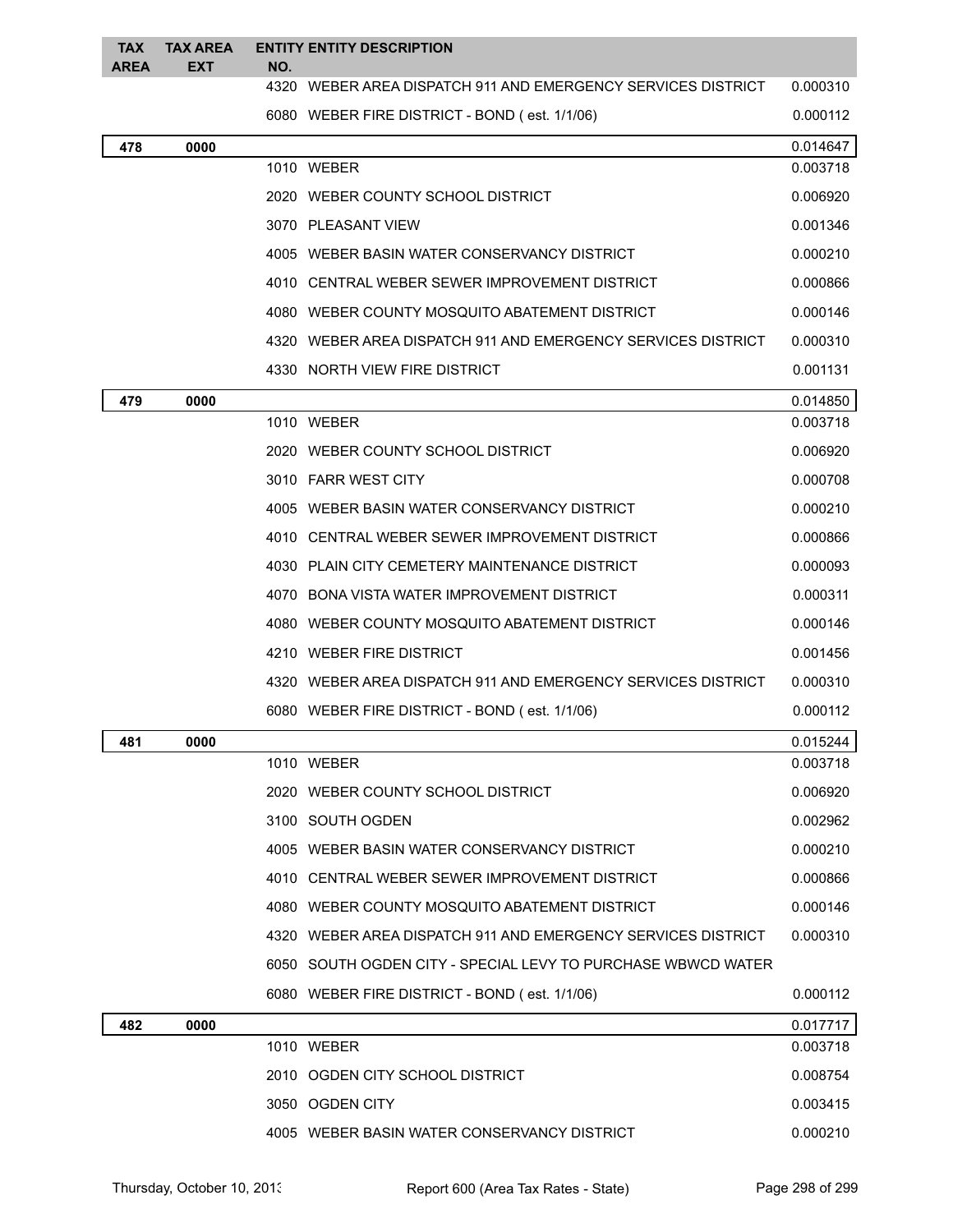| <b>TAX</b><br><b>AREA</b> | <b>TAX AREA</b><br><b>EXT</b> | NO. | <b>ENTITY ENTITY DESCRIPTION</b>                             |          |
|---------------------------|-------------------------------|-----|--------------------------------------------------------------|----------|
|                           |                               |     | 4320 WEBER AREA DISPATCH 911 AND EMERGENCY SERVICES DISTRICT | 0.000310 |
|                           |                               |     | 6080 WEBER FIRE DISTRICT - BOND (est. 1/1/06)                | 0.000112 |
| 478                       | 0000                          |     |                                                              | 0.014647 |
|                           |                               |     | 1010 WEBER                                                   | 0.003718 |
|                           |                               |     | 2020 WEBER COUNTY SCHOOL DISTRICT                            | 0.006920 |
|                           |                               |     | 3070 PLEASANT VIEW                                           | 0.001346 |
|                           |                               |     | 4005 WEBER BASIN WATER CONSERVANCY DISTRICT                  | 0.000210 |
|                           |                               |     | 4010 CENTRAL WEBER SEWER IMPROVEMENT DISTRICT                | 0.000866 |
|                           |                               |     | 4080 WEBER COUNTY MOSQUITO ABATEMENT DISTRICT                | 0.000146 |
|                           |                               |     | 4320 WEBER AREA DISPATCH 911 AND EMERGENCY SERVICES DISTRICT | 0.000310 |
|                           |                               |     | 4330 NORTH VIEW FIRE DISTRICT                                | 0.001131 |
| 479                       | 0000                          |     |                                                              | 0.014850 |
|                           |                               |     | 1010 WEBER                                                   | 0.003718 |
|                           |                               |     | 2020 WEBER COUNTY SCHOOL DISTRICT                            | 0.006920 |
|                           |                               |     | 3010 FARR WEST CITY                                          | 0.000708 |
|                           |                               |     | 4005 WEBER BASIN WATER CONSERVANCY DISTRICT                  | 0.000210 |
|                           |                               |     | 4010 CENTRAL WEBER SEWER IMPROVEMENT DISTRICT                | 0.000866 |
|                           |                               |     | 4030 PLAIN CITY CEMETERY MAINTENANCE DISTRICT                | 0.000093 |
|                           |                               |     | 4070 BONA VISTA WATER IMPROVEMENT DISTRICT                   | 0.000311 |
|                           |                               |     | 4080 WEBER COUNTY MOSQUITO ABATEMENT DISTRICT                | 0.000146 |
|                           |                               |     | 4210 WEBER FIRE DISTRICT                                     | 0.001456 |
|                           |                               |     | 4320 WEBER AREA DISPATCH 911 AND EMERGENCY SERVICES DISTRICT | 0.000310 |
|                           |                               |     | 6080 WEBER FIRE DISTRICT - BOND (est. 1/1/06)                | 0.000112 |
| 481                       | 0000                          |     |                                                              | 0.015244 |
|                           |                               |     | 1010 WEBER                                                   | 0.003718 |
|                           |                               |     | 2020 WEBER COUNTY SCHOOL DISTRICT                            | 0.006920 |
|                           |                               |     | 3100 SOUTH OGDEN                                             | 0.002962 |
|                           |                               |     | 4005 WEBER BASIN WATER CONSERVANCY DISTRICT                  | 0.000210 |
|                           |                               |     | 4010 CENTRAL WEBER SEWER IMPROVEMENT DISTRICT                | 0.000866 |
|                           |                               |     | 4080 WEBER COUNTY MOSQUITO ABATEMENT DISTRICT                | 0.000146 |
|                           |                               |     | 4320 WEBER AREA DISPATCH 911 AND EMERGENCY SERVICES DISTRICT | 0.000310 |
|                           |                               |     | 6050 SOUTH OGDEN CITY - SPECIAL LEVY TO PURCHASE WBWCD WATER |          |
|                           |                               |     | 6080 WEBER FIRE DISTRICT - BOND (est. 1/1/06)                | 0.000112 |
| 482                       | 0000                          |     |                                                              | 0.017717 |
|                           |                               |     | 1010 WEBER                                                   | 0.003718 |
|                           |                               |     | 2010 OGDEN CITY SCHOOL DISTRICT                              | 0.008754 |
|                           |                               |     | 3050 OGDEN CITY                                              | 0.003415 |
|                           |                               |     | 4005 WEBER BASIN WATER CONSERVANCY DISTRICT                  | 0.000210 |